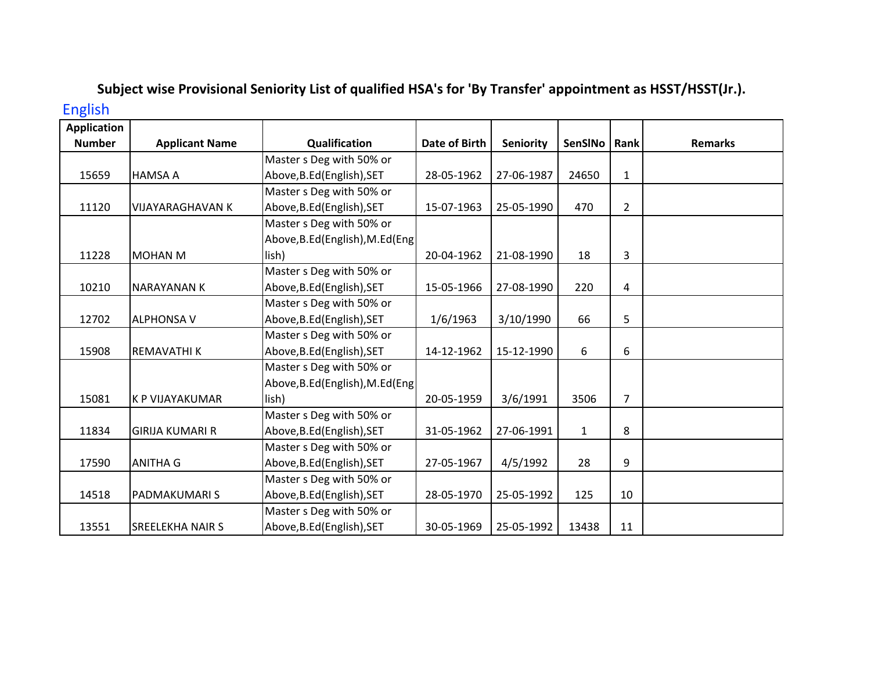## Subject wise Provisional Seniority List of qualified HSA's for 'By Transfer' appointment as HSST/HSST(Jr.). English

| <b>Application</b> |                         |                                  |                      |            |              |                |                |
|--------------------|-------------------------|----------------------------------|----------------------|------------|--------------|----------------|----------------|
| <b>Number</b>      | <b>Applicant Name</b>   | Qualification                    | <b>Date of Birth</b> | Seniority  | SenSINo      | Rank           | <b>Remarks</b> |
|                    |                         | Master s Deg with 50% or         |                      |            |              |                |                |
| 15659              | <b>HAMSA A</b>          | Above, B.Ed (English), SET       | 28-05-1962           | 27-06-1987 | 24650        | $\mathbf{1}$   |                |
|                    |                         | Master s Deg with 50% or         |                      |            |              |                |                |
| 11120              | <b>VIJAYARAGHAVAN K</b> | Above, B.Ed (English), SET       | 15-07-1963           | 25-05-1990 | 470          | $\overline{2}$ |                |
|                    |                         | Master s Deg with 50% or         |                      |            |              |                |                |
|                    |                         | Above, B.Ed (English), M.Ed (Eng |                      |            |              |                |                |
| 11228              | <b>MOHAN M</b>          | lish)                            | 20-04-1962           | 21-08-1990 | 18           | 3              |                |
|                    |                         | Master s Deg with 50% or         |                      |            |              |                |                |
| 10210              | <b>NARAYANAN K</b>      | Above, B.Ed (English), SET       | 15-05-1966           | 27-08-1990 | 220          | 4              |                |
|                    |                         | Master s Deg with 50% or         |                      |            |              |                |                |
| 12702              | <b>ALPHONSA V</b>       | Above, B.Ed (English), SET       | 1/6/1963             | 3/10/1990  | 66           | 5              |                |
|                    |                         | Master s Deg with 50% or         |                      |            |              |                |                |
| 15908              | <b>REMAVATHIK</b>       | Above, B.Ed (English), SET       | 14-12-1962           | 15-12-1990 | 6            | 6              |                |
|                    |                         | Master s Deg with 50% or         |                      |            |              |                |                |
|                    |                         | Above, B.Ed (English), M.Ed (Eng |                      |            |              |                |                |
| 15081              | <b>K P VIJAYAKUMAR</b>  | lish)                            | 20-05-1959           | 3/6/1991   | 3506         | $\overline{7}$ |                |
|                    |                         | Master s Deg with 50% or         |                      |            |              |                |                |
| 11834              | <b>GIRIJA KUMARI R</b>  | Above, B.Ed (English), SET       | 31-05-1962           | 27-06-1991 | $\mathbf{1}$ | 8              |                |
|                    |                         | Master s Deg with 50% or         |                      |            |              |                |                |
| 17590              | <b>ANITHA G</b>         | Above, B.Ed (English), SET       | 27-05-1967           | 4/5/1992   | 28           | 9              |                |
|                    |                         | Master s Deg with 50% or         |                      |            |              |                |                |
| 14518              | <b>PADMAKUMARIS</b>     | Above, B.Ed (English), SET       | 28-05-1970           | 25-05-1992 | 125          | 10             |                |
|                    |                         | Master s Deg with 50% or         |                      |            |              |                |                |
| 13551              | <b>SREELEKHA NAIR S</b> | Above, B.Ed (English), SET       | 30-05-1969           | 25-05-1992 | 13438        | 11             |                |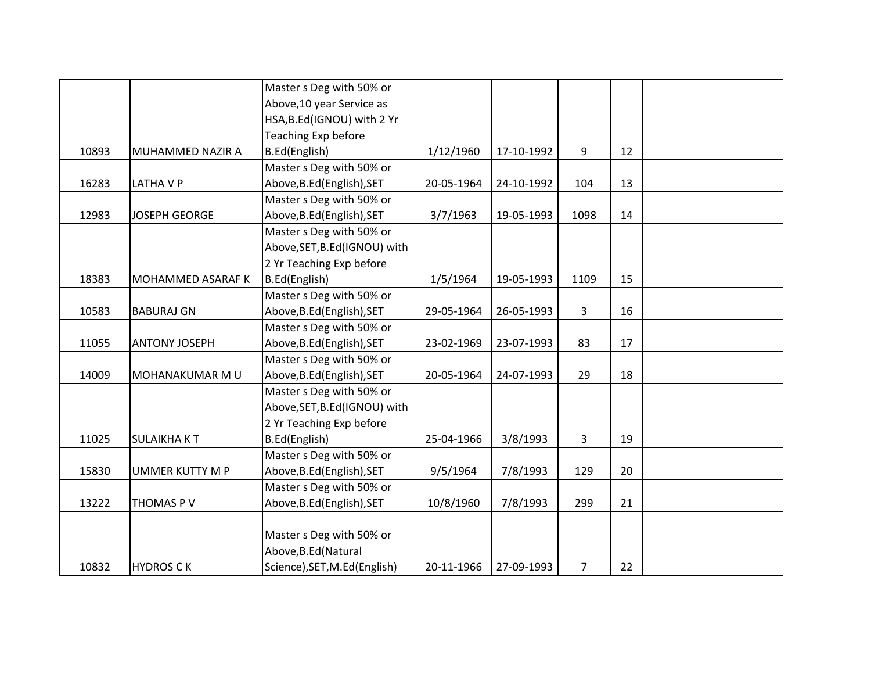|       |                      | Master s Deg with 50% or      |            |            |      |    |  |
|-------|----------------------|-------------------------------|------------|------------|------|----|--|
|       |                      | Above, 10 year Service as     |            |            |      |    |  |
|       |                      | HSA, B.Ed(IGNOU) with 2 Yr    |            |            |      |    |  |
|       |                      | Teaching Exp before           |            |            |      |    |  |
| 10893 | MUHAMMED NAZIR A     | B.Ed(English)                 | 1/12/1960  | 17-10-1992 | 9    | 12 |  |
|       |                      | Master s Deg with 50% or      |            |            |      |    |  |
| 16283 | LATHA V P            | Above, B.Ed (English), SET    | 20-05-1964 | 24-10-1992 | 104  | 13 |  |
|       |                      | Master s Deg with 50% or      |            |            |      |    |  |
| 12983 | <b>JOSEPH GEORGE</b> | Above, B.Ed (English), SET    | 3/7/1963   | 19-05-1993 | 1098 | 14 |  |
|       |                      | Master s Deg with 50% or      |            |            |      |    |  |
|       |                      | Above, SET, B.Ed (IGNOU) with |            |            |      |    |  |
|       |                      | 2 Yr Teaching Exp before      |            |            |      |    |  |
| 18383 | MOHAMMED ASARAF K    | B.Ed(English)                 | 1/5/1964   | 19-05-1993 | 1109 | 15 |  |
|       |                      | Master s Deg with 50% or      |            |            |      |    |  |
| 10583 | <b>BABURAJ GN</b>    | Above, B.Ed (English), SET    | 29-05-1964 | 26-05-1993 | 3    | 16 |  |
|       |                      | Master s Deg with 50% or      |            |            |      |    |  |
| 11055 | <b>ANTONY JOSEPH</b> | Above, B.Ed (English), SET    | 23-02-1969 | 23-07-1993 | 83   | 17 |  |
|       |                      | Master s Deg with 50% or      |            |            |      |    |  |
| 14009 | MOHANAKUMAR M U      | Above, B.Ed (English), SET    | 20-05-1964 | 24-07-1993 | 29   | 18 |  |
|       |                      | Master s Deg with 50% or      |            |            |      |    |  |
|       |                      | Above, SET, B.Ed (IGNOU) with |            |            |      |    |  |
|       |                      | 2 Yr Teaching Exp before      |            |            |      |    |  |
| 11025 | <b>SULAIKHAKT</b>    | B.Ed(English)                 | 25-04-1966 | 3/8/1993   | 3    | 19 |  |
|       |                      | Master s Deg with 50% or      |            |            |      |    |  |
| 15830 | UMMER KUTTY M P      | Above, B.Ed (English), SET    | 9/5/1964   | 7/8/1993   | 129  | 20 |  |
|       |                      | Master s Deg with 50% or      |            |            |      |    |  |
| 13222 | THOMAS PV            | Above, B.Ed (English), SET    | 10/8/1960  | 7/8/1993   | 299  | 21 |  |
|       |                      |                               |            |            |      |    |  |
|       |                      | Master s Deg with 50% or      |            |            |      |    |  |
|       |                      | Above, B.Ed (Natural          |            |            |      |    |  |
| 10832 | <b>HYDROS CK</b>     | Science), SET, M.Ed (English) | 20-11-1966 | 27-09-1993 | 7    | 22 |  |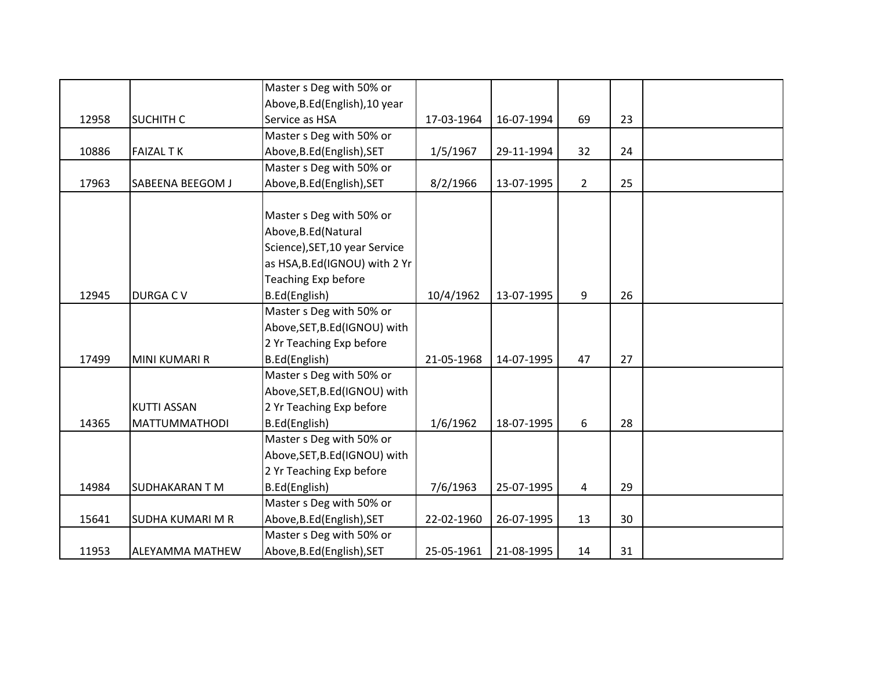|       |                         | Master s Deg with 50% or       |            |            |             |    |  |
|-------|-------------------------|--------------------------------|------------|------------|-------------|----|--|
|       |                         | Above, B.Ed (English), 10 year |            |            |             |    |  |
| 12958 | <b>SUCHITH C</b>        | Service as HSA                 | 17-03-1964 | 16-07-1994 | 69          | 23 |  |
|       |                         | Master s Deg with 50% or       |            |            |             |    |  |
| 10886 | <b>FAIZAL TK</b>        | Above, B.Ed (English), SET     | 1/5/1967   | 29-11-1994 | 32          | 24 |  |
|       |                         | Master s Deg with 50% or       |            |            |             |    |  |
| 17963 | SABEENA BEEGOM J        | Above, B.Ed (English), SET     | 8/2/1966   | 13-07-1995 | $2^{\circ}$ | 25 |  |
|       |                         |                                |            |            |             |    |  |
|       |                         | Master s Deg with 50% or       |            |            |             |    |  |
|       |                         | Above, B.Ed (Natural           |            |            |             |    |  |
|       |                         | Science), SET, 10 year Service |            |            |             |    |  |
|       |                         | as HSA, B.Ed(IGNOU) with 2 Yr  |            |            |             |    |  |
|       |                         | Teaching Exp before            |            |            |             |    |  |
| 12945 | <b>DURGACV</b>          | B.Ed(English)                  | 10/4/1962  | 13-07-1995 | 9           | 26 |  |
|       |                         | Master s Deg with 50% or       |            |            |             |    |  |
|       |                         | Above, SET, B.Ed (IGNOU) with  |            |            |             |    |  |
|       |                         | 2 Yr Teaching Exp before       |            |            |             |    |  |
| 17499 | <b>MINI KUMARI R</b>    | B.Ed(English)                  | 21-05-1968 | 14-07-1995 | 47          | 27 |  |
|       |                         | Master s Deg with 50% or       |            |            |             |    |  |
|       |                         | Above, SET, B.Ed (IGNOU) with  |            |            |             |    |  |
|       | <b>KUTTI ASSAN</b>      | 2 Yr Teaching Exp before       |            |            |             |    |  |
| 14365 | <b>MATTUMMATHODI</b>    | B.Ed(English)                  | 1/6/1962   | 18-07-1995 | 6           | 28 |  |
|       |                         | Master s Deg with 50% or       |            |            |             |    |  |
|       |                         | Above, SET, B.Ed (IGNOU) with  |            |            |             |    |  |
|       |                         | 2 Yr Teaching Exp before       |            |            |             |    |  |
| 14984 | <b>SUDHAKARAN T M</b>   | B.Ed(English)                  | 7/6/1963   | 25-07-1995 | 4           | 29 |  |
|       |                         | Master s Deg with 50% or       |            |            |             |    |  |
| 15641 | <b>SUDHA KUMARI M R</b> | Above, B.Ed (English), SET     | 22-02-1960 | 26-07-1995 | 13          | 30 |  |
|       |                         | Master s Deg with 50% or       |            |            |             |    |  |
| 11953 | <b>ALEYAMMA MATHEW</b>  | Above, B.Ed (English), SET     | 25-05-1961 | 21-08-1995 | 14          | 31 |  |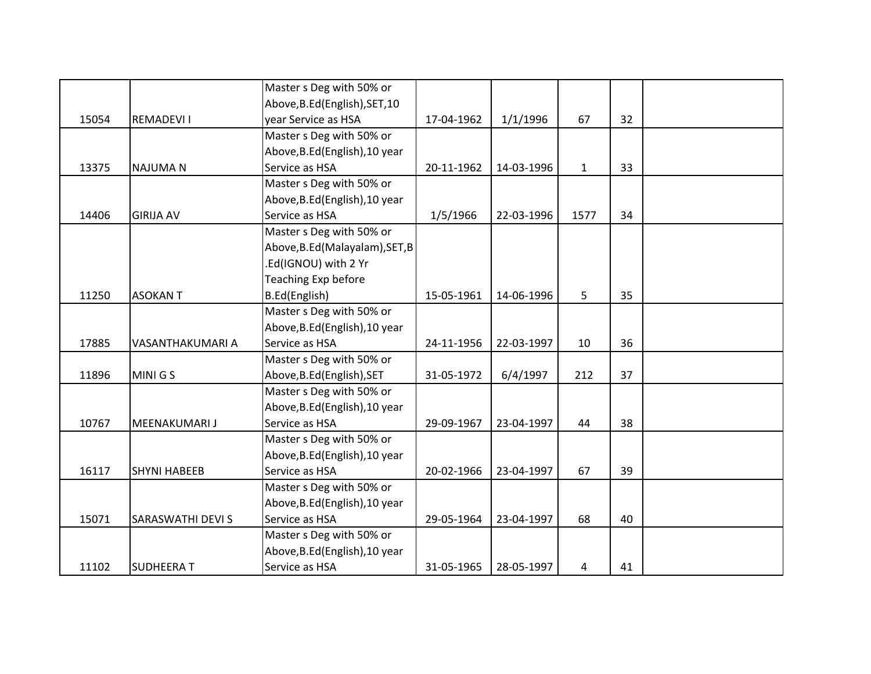|       |                     | Master s Deg with 50% or        |            |            |              |    |  |
|-------|---------------------|---------------------------------|------------|------------|--------------|----|--|
|       |                     | Above, B.Ed (English), SET, 10  |            |            |              |    |  |
| 15054 | <b>REMADEVI I</b>   | year Service as HSA             | 17-04-1962 | 1/1/1996   | 67           | 32 |  |
|       |                     | Master s Deg with 50% or        |            |            |              |    |  |
|       |                     | Above, B.Ed (English), 10 year  |            |            |              |    |  |
| 13375 | <b>NAJUMAN</b>      | Service as HSA                  | 20-11-1962 | 14-03-1996 | $\mathbf{1}$ | 33 |  |
|       |                     | Master s Deg with 50% or        |            |            |              |    |  |
|       |                     | Above, B.Ed (English), 10 year  |            |            |              |    |  |
| 14406 | <b>GIRIJA AV</b>    | Service as HSA                  | 1/5/1966   | 22-03-1996 | 1577         | 34 |  |
|       |                     | Master s Deg with 50% or        |            |            |              |    |  |
|       |                     | Above, B.Ed (Malayalam), SET, B |            |            |              |    |  |
|       |                     | .Ed(IGNOU) with 2 Yr            |            |            |              |    |  |
|       |                     | Teaching Exp before             |            |            |              |    |  |
| 11250 | <b>ASOKANT</b>      | B.Ed(English)                   | 15-05-1961 | 14-06-1996 | 5            | 35 |  |
|       |                     | Master s Deg with 50% or        |            |            |              |    |  |
|       |                     | Above, B.Ed (English), 10 year  |            |            |              |    |  |
| 17885 | VASANTHAKUMARI A    | Service as HSA                  | 24-11-1956 | 22-03-1997 | 10           | 36 |  |
|       |                     | Master s Deg with 50% or        |            |            |              |    |  |
| 11896 | MINI G S            | Above, B.Ed (English), SET      | 31-05-1972 | 6/4/1997   | 212          | 37 |  |
|       |                     | Master s Deg with 50% or        |            |            |              |    |  |
|       |                     | Above, B.Ed (English), 10 year  |            |            |              |    |  |
| 10767 | MEENAKUMARI J       | Service as HSA                  | 29-09-1967 | 23-04-1997 | 44           | 38 |  |
|       |                     | Master s Deg with 50% or        |            |            |              |    |  |
|       |                     | Above, B.Ed (English), 10 year  |            |            |              |    |  |
| 16117 | <b>SHYNI HABEEB</b> | Service as HSA                  | 20-02-1966 | 23-04-1997 | 67           | 39 |  |
|       |                     | Master s Deg with 50% or        |            |            |              |    |  |
|       |                     | Above, B.Ed (English), 10 year  |            |            |              |    |  |
| 15071 | SARASWATHI DEVI S   | Service as HSA                  | 29-05-1964 | 23-04-1997 | 68           | 40 |  |
|       |                     | Master s Deg with 50% or        |            |            |              |    |  |
|       |                     | Above, B.Ed (English), 10 year  |            |            |              |    |  |
| 11102 | <b>SUDHEERAT</b>    | Service as HSA                  | 31-05-1965 | 28-05-1997 | 4            | 41 |  |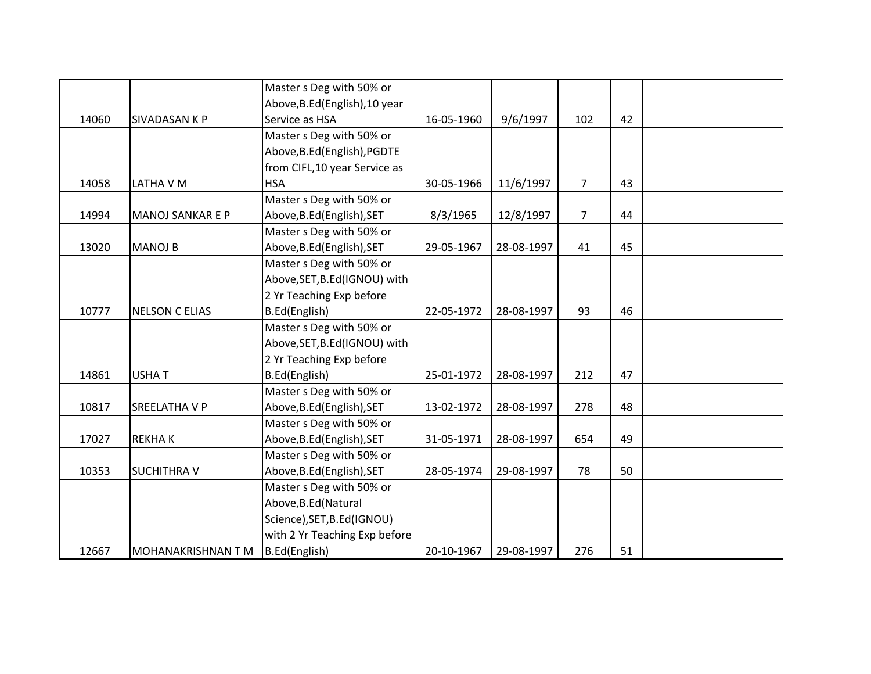|       |                         | Master s Deg with 50% or       |            |            |                |    |  |
|-------|-------------------------|--------------------------------|------------|------------|----------------|----|--|
|       |                         | Above, B.Ed (English), 10 year |            |            |                |    |  |
| 14060 | SIVADASAN K P           | Service as HSA                 | 16-05-1960 | 9/6/1997   | 102            | 42 |  |
|       |                         | Master s Deg with 50% or       |            |            |                |    |  |
|       |                         | Above, B.Ed (English), PGDTE   |            |            |                |    |  |
|       |                         | from CIFL, 10 year Service as  |            |            |                |    |  |
| 14058 | LATHA V M               | <b>HSA</b>                     | 30-05-1966 | 11/6/1997  | $\overline{7}$ | 43 |  |
|       |                         | Master s Deg with 50% or       |            |            |                |    |  |
| 14994 | <b>MANOJ SANKAR E P</b> | Above, B.Ed (English), SET     | 8/3/1965   | 12/8/1997  | $\overline{7}$ | 44 |  |
|       |                         | Master s Deg with 50% or       |            |            |                |    |  |
| 13020 | <b>MANOJ B</b>          | Above, B.Ed (English), SET     | 29-05-1967 | 28-08-1997 | 41             | 45 |  |
|       |                         | Master s Deg with 50% or       |            |            |                |    |  |
|       |                         | Above, SET, B.Ed (IGNOU) with  |            |            |                |    |  |
|       |                         | 2 Yr Teaching Exp before       |            |            |                |    |  |
| 10777 | <b>NELSON C ELIAS</b>   | B.Ed(English)                  | 22-05-1972 | 28-08-1997 | 93             | 46 |  |
|       |                         | Master s Deg with 50% or       |            |            |                |    |  |
|       |                         | Above, SET, B.Ed (IGNOU) with  |            |            |                |    |  |
|       |                         | 2 Yr Teaching Exp before       |            |            |                |    |  |
| 14861 | <b>USHAT</b>            | B.Ed(English)                  | 25-01-1972 | 28-08-1997 | 212            | 47 |  |
|       |                         | Master s Deg with 50% or       |            |            |                |    |  |
| 10817 | SREELATHA V P           | Above, B.Ed (English), SET     | 13-02-1972 | 28-08-1997 | 278            | 48 |  |
|       |                         | Master s Deg with 50% or       |            |            |                |    |  |
| 17027 | <b>REKHAK</b>           | Above, B.Ed (English), SET     | 31-05-1971 | 28-08-1997 | 654            | 49 |  |
|       |                         | Master s Deg with 50% or       |            |            |                |    |  |
| 10353 | <b>SUCHITHRA V</b>      | Above, B.Ed (English), SET     | 28-05-1974 | 29-08-1997 | 78             | 50 |  |
|       |                         | Master s Deg with 50% or       |            |            |                |    |  |
|       |                         | Above, B.Ed (Natural           |            |            |                |    |  |
|       |                         | Science), SET, B.Ed(IGNOU)     |            |            |                |    |  |
|       |                         | with 2 Yr Teaching Exp before  |            |            |                |    |  |
| 12667 | MOHANAKRISHNAN T M      | B.Ed(English)                  | 20-10-1967 | 29-08-1997 | 276            | 51 |  |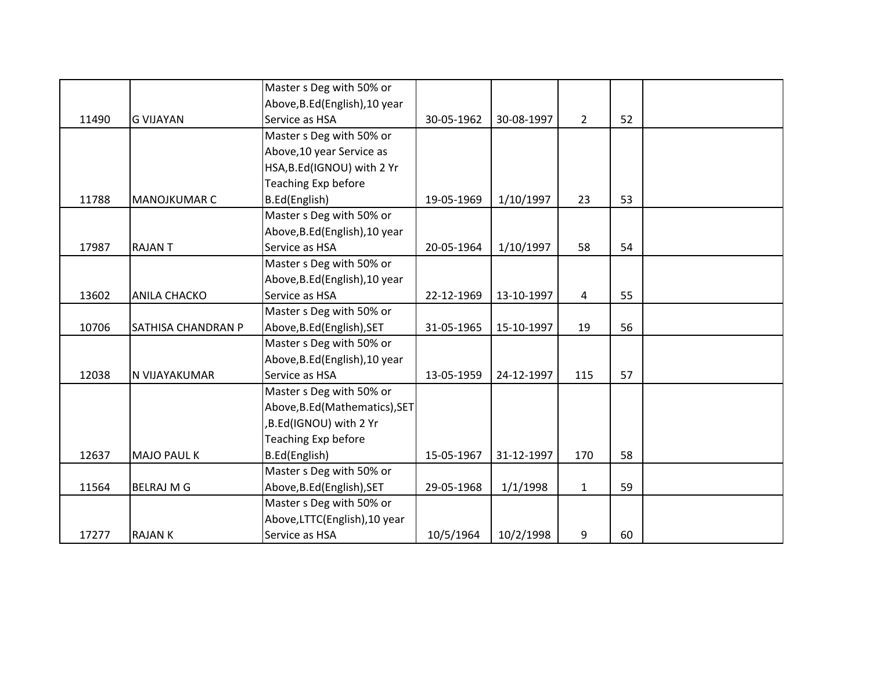|       |                     | Master s Deg with 50% or       |            |            |                |    |  |
|-------|---------------------|--------------------------------|------------|------------|----------------|----|--|
|       |                     | Above, B.Ed (English), 10 year |            |            |                |    |  |
| 11490 | <b>G VIJAYAN</b>    | Service as HSA                 | 30-05-1962 | 30-08-1997 | $\overline{2}$ | 52 |  |
|       |                     | Master s Deg with 50% or       |            |            |                |    |  |
|       |                     | Above, 10 year Service as      |            |            |                |    |  |
|       |                     | HSA, B.Ed(IGNOU) with 2 Yr     |            |            |                |    |  |
|       |                     | Teaching Exp before            |            |            |                |    |  |
| 11788 | MANOJKUMAR C        | B.Ed(English)                  | 19-05-1969 | 1/10/1997  | 23             | 53 |  |
|       |                     | Master s Deg with 50% or       |            |            |                |    |  |
|       |                     | Above, B.Ed (English), 10 year |            |            |                |    |  |
| 17987 | <b>RAJANT</b>       | Service as HSA                 | 20-05-1964 | 1/10/1997  | 58             | 54 |  |
|       |                     | Master s Deg with 50% or       |            |            |                |    |  |
|       |                     | Above, B.Ed (English), 10 year |            |            |                |    |  |
| 13602 | <b>ANILA CHACKO</b> | Service as HSA                 | 22-12-1969 | 13-10-1997 | $\overline{4}$ | 55 |  |
|       |                     | Master s Deg with 50% or       |            |            |                |    |  |
| 10706 | SATHISA CHANDRAN P  | Above, B.Ed (English), SET     | 31-05-1965 | 15-10-1997 | 19             | 56 |  |
|       |                     | Master s Deg with 50% or       |            |            |                |    |  |
|       |                     | Above, B.Ed (English), 10 year |            |            |                |    |  |
| 12038 | N VIJAYAKUMAR       | Service as HSA                 | 13-05-1959 | 24-12-1997 | 115            | 57 |  |
|       |                     | Master s Deg with 50% or       |            |            |                |    |  |
|       |                     | Above, B.Ed (Mathematics), SET |            |            |                |    |  |
|       |                     | ,B.Ed(IGNOU) with 2 Yr         |            |            |                |    |  |
|       |                     | Teaching Exp before            |            |            |                |    |  |
| 12637 | <b>MAJO PAUL K</b>  | B.Ed(English)                  | 15-05-1967 | 31-12-1997 | 170            | 58 |  |
|       |                     | Master s Deg with 50% or       |            |            |                |    |  |
| 11564 | <b>BELRAJ M G</b>   | Above, B.Ed (English), SET     | 29-05-1968 | 1/1/1998   | $\mathbf{1}$   | 59 |  |
|       |                     | Master s Deg with 50% or       |            |            |                |    |  |
|       |                     | Above, LTTC(English), 10 year  |            |            |                |    |  |
| 17277 | <b>RAJAN K</b>      | Service as HSA                 | 10/5/1964  | 10/2/1998  | 9              | 60 |  |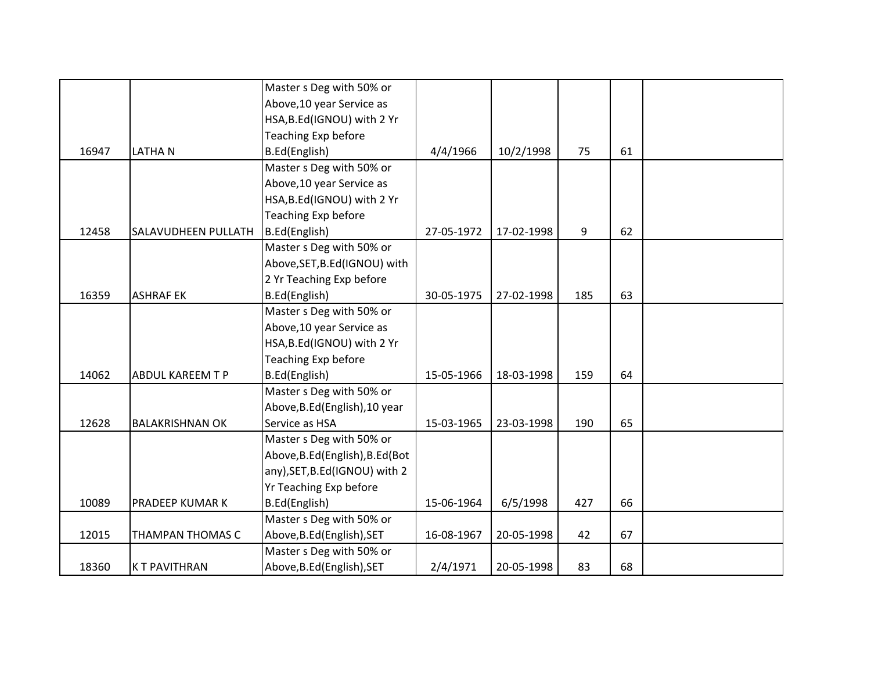|       |                         | Master s Deg with 50% or         |            |            |     |    |  |
|-------|-------------------------|----------------------------------|------------|------------|-----|----|--|
|       |                         | Above, 10 year Service as        |            |            |     |    |  |
|       |                         | HSA, B.Ed(IGNOU) with 2 Yr       |            |            |     |    |  |
|       |                         | Teaching Exp before              |            |            |     |    |  |
| 16947 | <b>LATHAN</b>           | B.Ed(English)                    | 4/4/1966   | 10/2/1998  | 75  | 61 |  |
|       |                         | Master s Deg with 50% or         |            |            |     |    |  |
|       |                         | Above, 10 year Service as        |            |            |     |    |  |
|       |                         | HSA, B.Ed(IGNOU) with 2 Yr       |            |            |     |    |  |
|       |                         | Teaching Exp before              |            |            |     |    |  |
| 12458 | SALAVUDHEEN PULLATH     | B.Ed(English)                    | 27-05-1972 | 17-02-1998 | 9   | 62 |  |
|       |                         | Master s Deg with 50% or         |            |            |     |    |  |
|       |                         | Above, SET, B.Ed (IGNOU) with    |            |            |     |    |  |
|       |                         | 2 Yr Teaching Exp before         |            |            |     |    |  |
| 16359 | <b>ASHRAF EK</b>        | B.Ed(English)                    | 30-05-1975 | 27-02-1998 | 185 | 63 |  |
|       |                         | Master s Deg with 50% or         |            |            |     |    |  |
|       |                         | Above, 10 year Service as        |            |            |     |    |  |
|       |                         | HSA, B.Ed(IGNOU) with 2 Yr       |            |            |     |    |  |
|       |                         | Teaching Exp before              |            |            |     |    |  |
| 14062 | <b>ABDUL KAREEM T P</b> | B.Ed(English)                    | 15-05-1966 | 18-03-1998 | 159 | 64 |  |
|       |                         | Master s Deg with 50% or         |            |            |     |    |  |
|       |                         | Above, B.Ed (English), 10 year   |            |            |     |    |  |
| 12628 | <b>BALAKRISHNAN OK</b>  | Service as HSA                   | 15-03-1965 | 23-03-1998 | 190 | 65 |  |
|       |                         | Master s Deg with 50% or         |            |            |     |    |  |
|       |                         | Above, B.Ed (English), B.Ed (Bot |            |            |     |    |  |
|       |                         | any), SET, B.Ed(IGNOU) with 2    |            |            |     |    |  |
|       |                         | Yr Teaching Exp before           |            |            |     |    |  |
| 10089 | PRADEEP KUMAR K         | B.Ed(English)                    | 15-06-1964 | 6/5/1998   | 427 | 66 |  |
|       |                         | Master s Deg with 50% or         |            |            |     |    |  |
| 12015 | THAMPAN THOMAS C        | Above, B.Ed (English), SET       | 16-08-1967 | 20-05-1998 | 42  | 67 |  |
|       |                         | Master s Deg with 50% or         |            |            |     |    |  |
| 18360 | <b>KT PAVITHRAN</b>     | Above, B.Ed (English), SET       | 2/4/1971   | 20-05-1998 | 83  | 68 |  |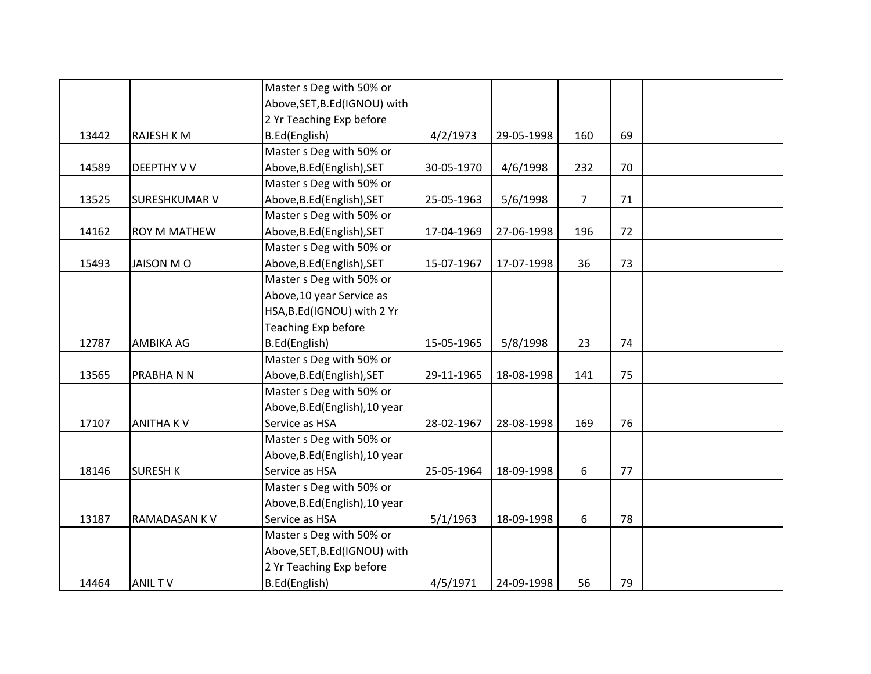|       |                      | Master s Deg with 50% or       |            |            |                |    |  |
|-------|----------------------|--------------------------------|------------|------------|----------------|----|--|
|       |                      | Above, SET, B.Ed (IGNOU) with  |            |            |                |    |  |
|       |                      | 2 Yr Teaching Exp before       |            |            |                |    |  |
| 13442 | <b>RAJESH K M</b>    | B.Ed(English)                  | 4/2/1973   | 29-05-1998 | 160            | 69 |  |
|       |                      | Master s Deg with 50% or       |            |            |                |    |  |
| 14589 | <b>DEEPTHY V V</b>   | Above, B.Ed (English), SET     | 30-05-1970 | 4/6/1998   | 232            | 70 |  |
|       |                      | Master s Deg with 50% or       |            |            |                |    |  |
| 13525 | <b>SURESHKUMAR V</b> | Above, B.Ed (English), SET     | 25-05-1963 | 5/6/1998   | $\overline{7}$ | 71 |  |
|       |                      | Master s Deg with 50% or       |            |            |                |    |  |
| 14162 | <b>ROY M MATHEW</b>  | Above, B.Ed (English), SET     | 17-04-1969 | 27-06-1998 | 196            | 72 |  |
|       |                      | Master s Deg with 50% or       |            |            |                |    |  |
| 15493 | <b>JAISON MO</b>     | Above, B.Ed (English), SET     | 15-07-1967 | 17-07-1998 | 36             | 73 |  |
|       |                      | Master s Deg with 50% or       |            |            |                |    |  |
|       |                      | Above, 10 year Service as      |            |            |                |    |  |
|       |                      | HSA, B.Ed(IGNOU) with 2 Yr     |            |            |                |    |  |
|       |                      | <b>Teaching Exp before</b>     |            |            |                |    |  |
| 12787 | <b>AMBIKA AG</b>     | B.Ed(English)                  | 15-05-1965 | 5/8/1998   | 23             | 74 |  |
|       |                      | Master s Deg with 50% or       |            |            |                |    |  |
| 13565 | PRABHANN             | Above, B.Ed (English), SET     | 29-11-1965 | 18-08-1998 | 141            | 75 |  |
|       |                      | Master s Deg with 50% or       |            |            |                |    |  |
|       |                      | Above, B.Ed (English), 10 year |            |            |                |    |  |
| 17107 | <b>ANITHAKV</b>      | Service as HSA                 | 28-02-1967 | 28-08-1998 | 169            | 76 |  |
|       |                      | Master s Deg with 50% or       |            |            |                |    |  |
|       |                      | Above, B.Ed (English), 10 year |            |            |                |    |  |
| 18146 | <b>SURESH K</b>      | Service as HSA                 | 25-05-1964 | 18-09-1998 | 6              | 77 |  |
|       |                      | Master s Deg with 50% or       |            |            |                |    |  |
|       |                      | Above, B.Ed (English), 10 year |            |            |                |    |  |
| 13187 | RAMADASAN KV         | Service as HSA                 | 5/1/1963   | 18-09-1998 | 6              | 78 |  |
|       |                      | Master s Deg with 50% or       |            |            |                |    |  |
|       |                      | Above, SET, B.Ed (IGNOU) with  |            |            |                |    |  |
|       |                      | 2 Yr Teaching Exp before       |            |            |                |    |  |
| 14464 | <b>ANILTV</b>        | B.Ed(English)                  | 4/5/1971   | 24-09-1998 | 56             | 79 |  |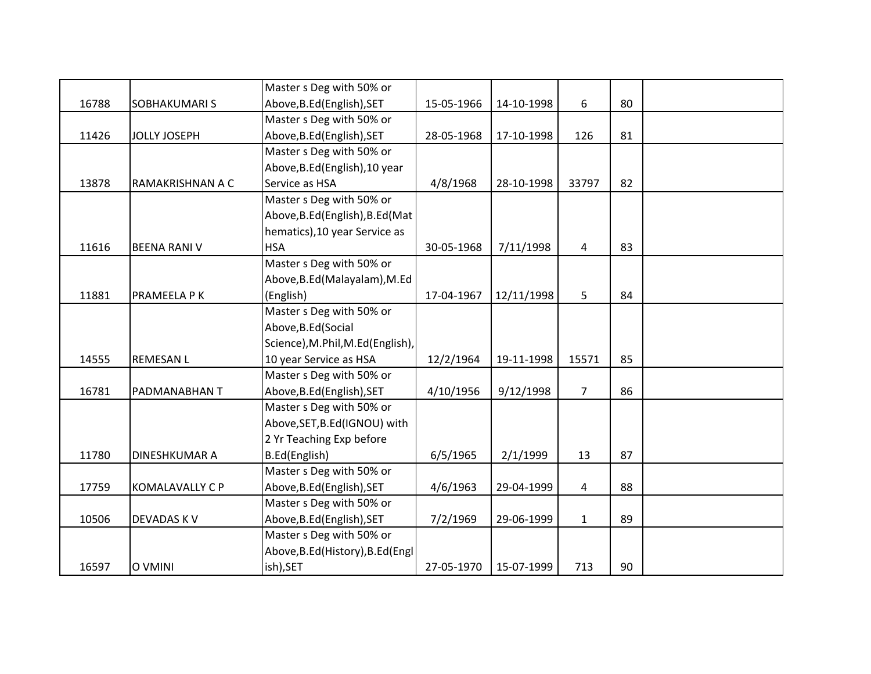|       |                        | Master s Deg with 50% or          |            |            |                |    |  |
|-------|------------------------|-----------------------------------|------------|------------|----------------|----|--|
| 16788 | <b>SOBHAKUMARI S</b>   | Above, B.Ed (English), SET        | 15-05-1966 | 14-10-1998 | 6              | 80 |  |
|       |                        | Master s Deg with 50% or          |            |            |                |    |  |
| 11426 | <b>JOLLY JOSEPH</b>    | Above, B.Ed (English), SET        | 28-05-1968 | 17-10-1998 | 126            | 81 |  |
|       |                        | Master s Deg with 50% or          |            |            |                |    |  |
|       |                        | Above, B.Ed (English), 10 year    |            |            |                |    |  |
| 13878 | RAMAKRISHNAN A C       | Service as HSA                    | 4/8/1968   | 28-10-1998 | 33797          | 82 |  |
|       |                        | Master s Deg with 50% or          |            |            |                |    |  |
|       |                        | Above, B.Ed (English), B.Ed (Mat  |            |            |                |    |  |
|       |                        | hematics), 10 year Service as     |            |            |                |    |  |
| 11616 | <b>BEENA RANI V</b>    | <b>HSA</b>                        | 30-05-1968 | 7/11/1998  | $\overline{4}$ | 83 |  |
|       |                        | Master s Deg with 50% or          |            |            |                |    |  |
|       |                        | Above, B.Ed (Malayalam), M.Ed     |            |            |                |    |  |
| 11881 | PRAMEELA P K           | (English)                         | 17-04-1967 | 12/11/1998 | 5              | 84 |  |
|       |                        | Master s Deg with 50% or          |            |            |                |    |  |
|       |                        | Above, B.Ed (Social               |            |            |                |    |  |
|       |                        | Science), M.Phil, M.Ed(English),  |            |            |                |    |  |
| 14555 | <b>REMESAN L</b>       | 10 year Service as HSA            | 12/2/1964  | 19-11-1998 | 15571          | 85 |  |
|       |                        | Master s Deg with 50% or          |            |            |                |    |  |
| 16781 | PADMANABHAN T          | Above, B.Ed (English), SET        | 4/10/1956  | 9/12/1998  | $\overline{7}$ | 86 |  |
|       |                        | Master s Deg with 50% or          |            |            |                |    |  |
|       |                        | Above, SET, B.Ed (IGNOU) with     |            |            |                |    |  |
|       |                        | 2 Yr Teaching Exp before          |            |            |                |    |  |
| 11780 | <b>DINESHKUMAR A</b>   | B.Ed(English)                     | 6/5/1965   | 2/1/1999   | 13             | 87 |  |
|       |                        | Master s Deg with 50% or          |            |            |                |    |  |
| 17759 | <b>KOMALAVALLY C P</b> | Above, B.Ed (English), SET        | 4/6/1963   | 29-04-1999 | 4              | 88 |  |
|       |                        | Master s Deg with 50% or          |            |            |                |    |  |
| 10506 | <b>DEVADAS KV</b>      | Above, B.Ed (English), SET        | 7/2/1969   | 29-06-1999 | $\mathbf{1}$   | 89 |  |
|       |                        | Master s Deg with 50% or          |            |            |                |    |  |
|       |                        | Above, B.Ed (History), B.Ed (Engl |            |            |                |    |  |
| 16597 | O VMINI                | ish), SET                         | 27-05-1970 | 15-07-1999 | 713            | 90 |  |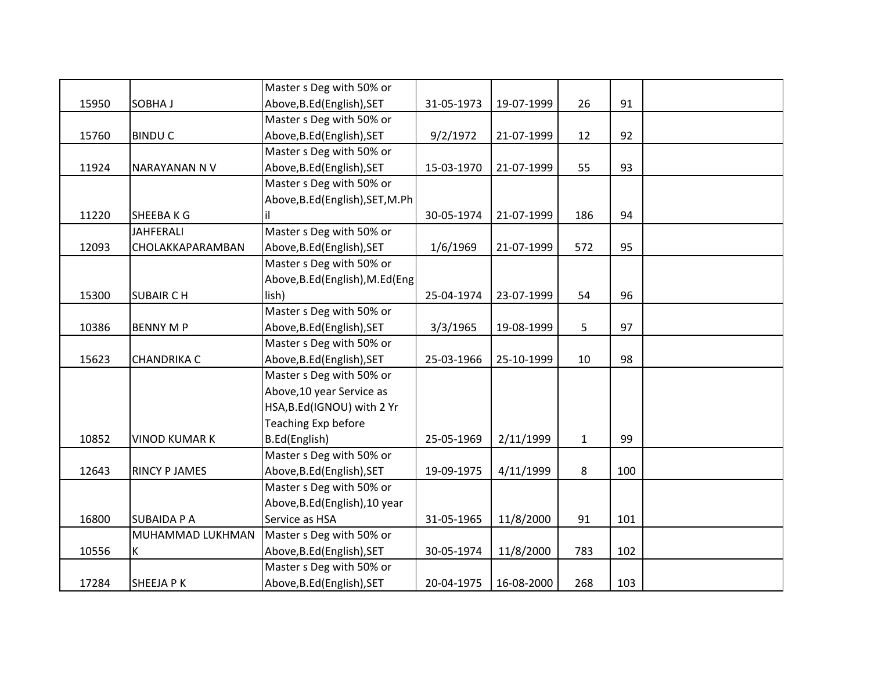|       |                      | Master s Deg with 50% or         |            |            |              |     |  |
|-------|----------------------|----------------------------------|------------|------------|--------------|-----|--|
| 15950 | SOBHA J              | Above, B.Ed (English), SET       | 31-05-1973 | 19-07-1999 | 26           | 91  |  |
|       |                      | Master s Deg with 50% or         |            |            |              |     |  |
| 15760 | <b>BINDUC</b>        | Above, B.Ed (English), SET       | 9/2/1972   | 21-07-1999 | 12           | 92  |  |
|       |                      | Master s Deg with 50% or         |            |            |              |     |  |
| 11924 | NARAYANAN N V        | Above, B.Ed (English), SET       | 15-03-1970 | 21-07-1999 | 55           | 93  |  |
|       |                      | Master s Deg with 50% or         |            |            |              |     |  |
|       |                      | Above, B.Ed (English), SET, M.Ph |            |            |              |     |  |
| 11220 | <b>SHEEBAKG</b>      | İΙ                               | 30-05-1974 | 21-07-1999 | 186          | 94  |  |
|       | <b>JAHFERALI</b>     | Master s Deg with 50% or         |            |            |              |     |  |
| 12093 | CHOLAKKAPARAMBAN     | Above, B.Ed (English), SET       | 1/6/1969   | 21-07-1999 | 572          | 95  |  |
|       |                      | Master s Deg with 50% or         |            |            |              |     |  |
|       |                      | Above, B.Ed (English), M.Ed (Eng |            |            |              |     |  |
| 15300 | <b>SUBAIR CH</b>     | lish)                            | 25-04-1974 | 23-07-1999 | 54           | 96  |  |
|       |                      | Master s Deg with 50% or         |            |            |              |     |  |
| 10386 | <b>BENNY M P</b>     | Above, B.Ed (English), SET       | 3/3/1965   | 19-08-1999 | 5            | 97  |  |
|       |                      | Master s Deg with 50% or         |            |            |              |     |  |
| 15623 | <b>CHANDRIKA C</b>   | Above, B.Ed (English), SET       | 25-03-1966 | 25-10-1999 | 10           | 98  |  |
|       |                      | Master s Deg with 50% or         |            |            |              |     |  |
|       |                      | Above, 10 year Service as        |            |            |              |     |  |
|       |                      | HSA, B.Ed(IGNOU) with 2 Yr       |            |            |              |     |  |
|       |                      | Teaching Exp before              |            |            |              |     |  |
| 10852 | <b>VINOD KUMAR K</b> | B.Ed(English)                    | 25-05-1969 | 2/11/1999  | $\mathbf{1}$ | 99  |  |
|       |                      | Master s Deg with 50% or         |            |            |              |     |  |
| 12643 | <b>RINCY P JAMES</b> | Above, B.Ed (English), SET       | 19-09-1975 | 4/11/1999  | 8            | 100 |  |
|       |                      | Master s Deg with 50% or         |            |            |              |     |  |
|       |                      | Above, B.Ed (English), 10 year   |            |            |              |     |  |
| 16800 | <b>SUBAIDA P A</b>   | Service as HSA                   | 31-05-1965 | 11/8/2000  | 91           | 101 |  |
|       | MUHAMMAD LUKHMAN     | Master s Deg with 50% or         |            |            |              |     |  |
| 10556 | Κ                    | Above, B.Ed (English), SET       | 30-05-1974 | 11/8/2000  | 783          | 102 |  |
|       |                      | Master s Deg with 50% or         |            |            |              |     |  |
| 17284 | <b>SHEEJAPK</b>      | Above, B.Ed (English), SET       | 20-04-1975 | 16-08-2000 | 268          | 103 |  |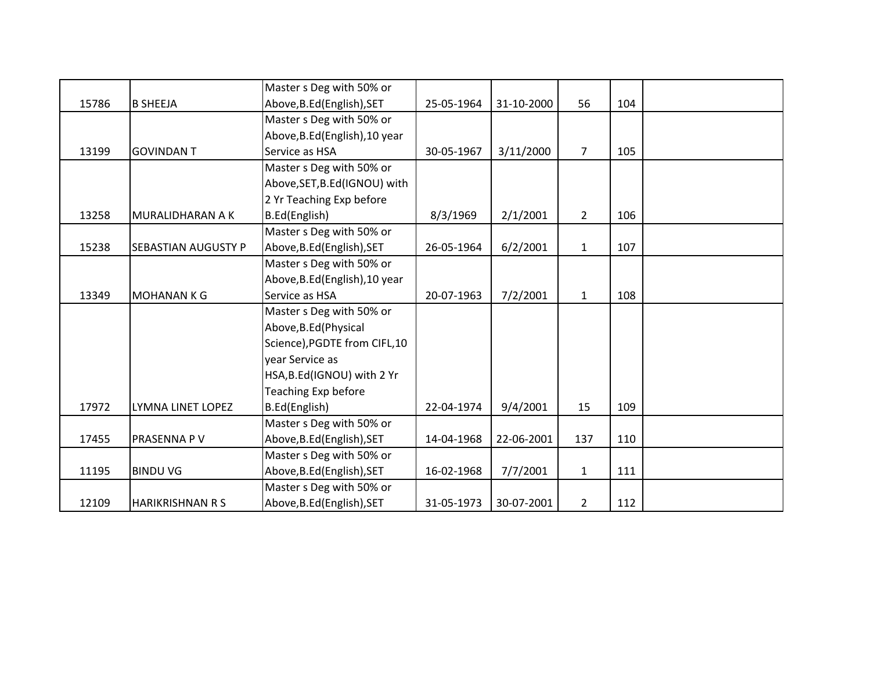|       |                         | Master s Deg with 50% or       |            |            |                |     |  |
|-------|-------------------------|--------------------------------|------------|------------|----------------|-----|--|
| 15786 | <b>B SHEEJA</b>         | Above, B.Ed (English), SET     | 25-05-1964 | 31-10-2000 | 56             | 104 |  |
|       |                         | Master s Deg with 50% or       |            |            |                |     |  |
|       |                         | Above, B.Ed (English), 10 year |            |            |                |     |  |
| 13199 | <b>GOVINDANT</b>        | Service as HSA                 | 30-05-1967 | 3/11/2000  | $\overline{7}$ | 105 |  |
|       |                         | Master s Deg with 50% or       |            |            |                |     |  |
|       |                         | Above, SET, B.Ed (IGNOU) with  |            |            |                |     |  |
|       |                         | 2 Yr Teaching Exp before       |            |            |                |     |  |
| 13258 | MURALIDHARAN A K        | B.Ed(English)                  | 8/3/1969   | 2/1/2001   | $\overline{2}$ | 106 |  |
|       |                         | Master s Deg with 50% or       |            |            |                |     |  |
| 15238 | SEBASTIAN AUGUSTY P     | Above, B.Ed (English), SET     | 26-05-1964 | 6/2/2001   | $\mathbf{1}$   | 107 |  |
|       |                         | Master s Deg with 50% or       |            |            |                |     |  |
|       |                         | Above, B.Ed (English), 10 year |            |            |                |     |  |
| 13349 | <b>MOHANANKG</b>        | Service as HSA                 | 20-07-1963 | 7/2/2001   | $\mathbf{1}$   | 108 |  |
|       |                         | Master s Deg with 50% or       |            |            |                |     |  |
|       |                         | Above, B.Ed (Physical          |            |            |                |     |  |
|       |                         | Science), PGDTE from CIFL, 10  |            |            |                |     |  |
|       |                         | year Service as                |            |            |                |     |  |
|       |                         | HSA, B.Ed (IGNOU) with 2 Yr    |            |            |                |     |  |
|       |                         | Teaching Exp before            |            |            |                |     |  |
| 17972 | LYMNA LINET LOPEZ       | B.Ed(English)                  | 22-04-1974 | 9/4/2001   | 15             | 109 |  |
|       |                         | Master s Deg with 50% or       |            |            |                |     |  |
| 17455 | PRASENNA P V            | Above, B.Ed (English), SET     | 14-04-1968 | 22-06-2001 | 137            | 110 |  |
|       |                         | Master s Deg with 50% or       |            |            |                |     |  |
| 11195 | <b>BINDUVG</b>          | Above, B.Ed (English), SET     | 16-02-1968 | 7/7/2001   | $\mathbf{1}$   | 111 |  |
|       |                         | Master s Deg with 50% or       |            |            |                |     |  |
| 12109 | <b>HARIKRISHNAN R S</b> | Above, B.Ed (English), SET     | 31-05-1973 | 30-07-2001 | $\overline{2}$ | 112 |  |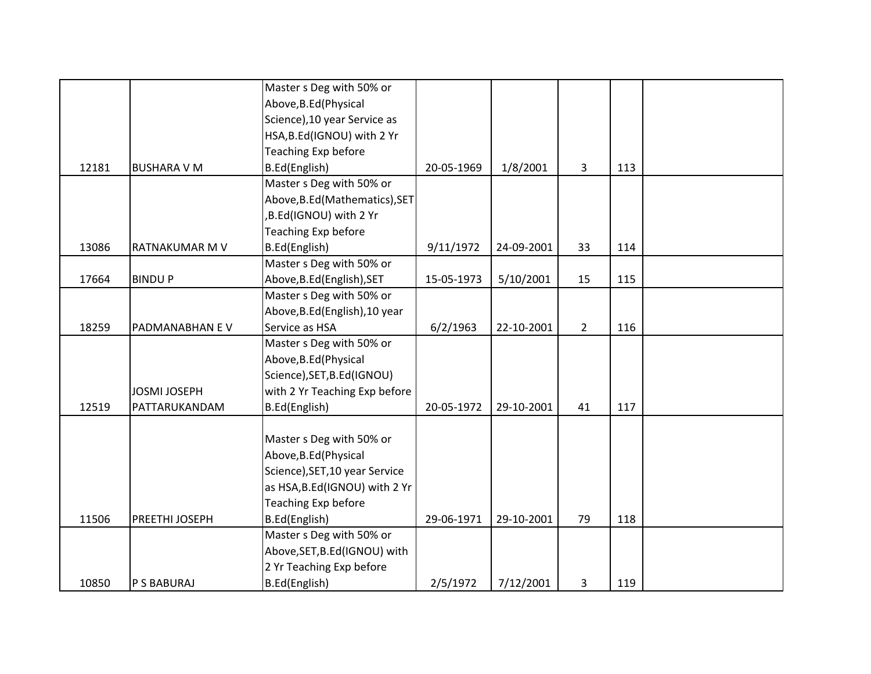|       |                     | Master s Deg with 50% or       |            |            |             |     |  |
|-------|---------------------|--------------------------------|------------|------------|-------------|-----|--|
|       |                     | Above, B.Ed (Physical          |            |            |             |     |  |
|       |                     | Science), 10 year Service as   |            |            |             |     |  |
|       |                     | HSA, B.Ed(IGNOU) with 2 Yr     |            |            |             |     |  |
|       |                     | Teaching Exp before            |            |            |             |     |  |
| 12181 | <b>BUSHARA V M</b>  | B.Ed(English)                  | 20-05-1969 | 1/8/2001   | 3           | 113 |  |
|       |                     | Master s Deg with 50% or       |            |            |             |     |  |
|       |                     | Above, B.Ed (Mathematics), SET |            |            |             |     |  |
|       |                     | ,B.Ed(IGNOU) with 2 Yr         |            |            |             |     |  |
|       |                     | Teaching Exp before            |            |            |             |     |  |
| 13086 | RATNAKUMAR M V      | B.Ed(English)                  | 9/11/1972  | 24-09-2001 | 33          | 114 |  |
|       |                     | Master s Deg with 50% or       |            |            |             |     |  |
| 17664 | <b>BINDUP</b>       | Above, B.Ed (English), SET     | 15-05-1973 | 5/10/2001  | 15          | 115 |  |
|       |                     | Master s Deg with 50% or       |            |            |             |     |  |
|       |                     | Above, B.Ed (English), 10 year |            |            |             |     |  |
| 18259 | PADMANABHAN EV      | Service as HSA                 | 6/2/1963   | 22-10-2001 | $2^{\circ}$ | 116 |  |
|       |                     | Master s Deg with 50% or       |            |            |             |     |  |
|       |                     | Above, B.Ed (Physical          |            |            |             |     |  |
|       |                     | Science), SET, B.Ed(IGNOU)     |            |            |             |     |  |
|       | <b>JOSMI JOSEPH</b> | with 2 Yr Teaching Exp before  |            |            |             |     |  |
| 12519 | PATTARUKANDAM       | B.Ed(English)                  | 20-05-1972 | 29-10-2001 | 41          | 117 |  |
|       |                     |                                |            |            |             |     |  |
|       |                     | Master s Deg with 50% or       |            |            |             |     |  |
|       |                     | Above, B.Ed (Physical          |            |            |             |     |  |
|       |                     | Science), SET, 10 year Service |            |            |             |     |  |
|       |                     | as HSA, B.Ed(IGNOU) with 2 Yr  |            |            |             |     |  |
|       |                     | Teaching Exp before            |            |            |             |     |  |
| 11506 | PREETHI JOSEPH      | B.Ed(English)                  | 29-06-1971 | 29-10-2001 | 79          | 118 |  |
|       |                     | Master s Deg with 50% or       |            |            |             |     |  |
|       |                     | Above, SET, B.Ed (IGNOU) with  |            |            |             |     |  |
|       |                     | 2 Yr Teaching Exp before       |            |            |             |     |  |
| 10850 | P S BABURAJ         | B.Ed(English)                  | 2/5/1972   | 7/12/2001  | 3           | 119 |  |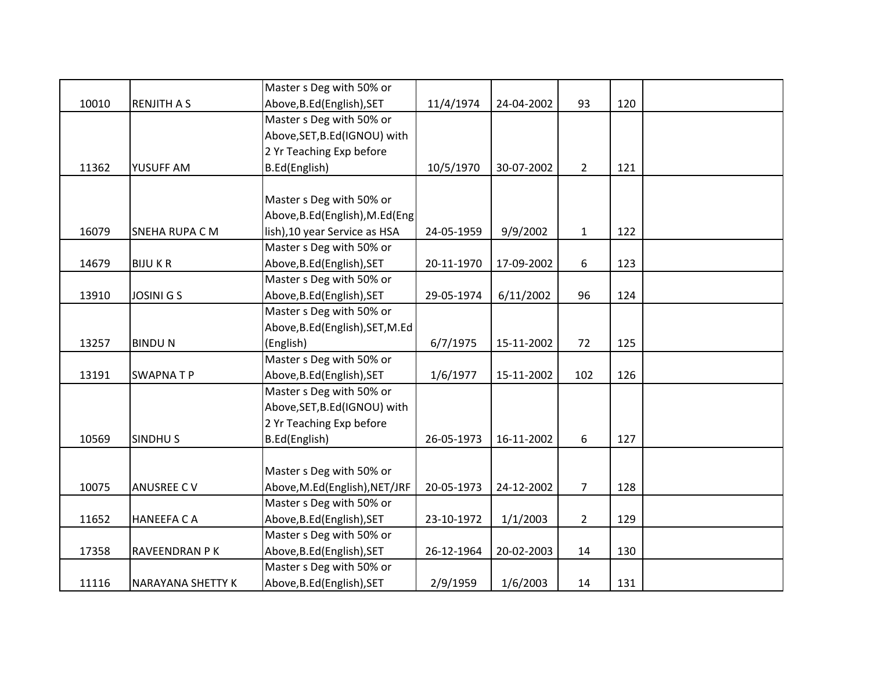|       |                          | Master s Deg with 50% or         |            |            |                |     |  |
|-------|--------------------------|----------------------------------|------------|------------|----------------|-----|--|
| 10010 | <b>RENJITH A S</b>       | Above, B.Ed (English), SET       | 11/4/1974  | 24-04-2002 | 93             | 120 |  |
|       |                          | Master s Deg with 50% or         |            |            |                |     |  |
|       |                          | Above, SET, B.Ed (IGNOU) with    |            |            |                |     |  |
|       |                          | 2 Yr Teaching Exp before         |            |            |                |     |  |
| 11362 | YUSUFF AM                | B.Ed(English)                    | 10/5/1970  | 30-07-2002 | $2^{\circ}$    | 121 |  |
|       |                          |                                  |            |            |                |     |  |
|       |                          | Master s Deg with 50% or         |            |            |                |     |  |
|       |                          | Above, B.Ed (English), M.Ed (Eng |            |            |                |     |  |
| 16079 | SNEHA RUPA C M           | lish), 10 year Service as HSA    | 24-05-1959 | 9/9/2002   | $\mathbf{1}$   | 122 |  |
|       |                          | Master s Deg with 50% or         |            |            |                |     |  |
| 14679 | <b>BIJUKR</b>            | Above, B.Ed (English), SET       | 20-11-1970 | 17-09-2002 | 6              | 123 |  |
|       |                          | Master s Deg with 50% or         |            |            |                |     |  |
| 13910 | <b>JOSINI G S</b>        | Above, B.Ed (English), SET       | 29-05-1974 | 6/11/2002  | 96             | 124 |  |
|       |                          | Master s Deg with 50% or         |            |            |                |     |  |
|       |                          | Above, B.Ed (English), SET, M.Ed |            |            |                |     |  |
| 13257 | <b>BINDUN</b>            | (English)                        | 6/7/1975   | 15-11-2002 | 72             | 125 |  |
|       |                          | Master s Deg with 50% or         |            |            |                |     |  |
| 13191 | <b>SWAPNATP</b>          | Above, B.Ed (English), SET       | 1/6/1977   | 15-11-2002 | 102            | 126 |  |
|       |                          | Master s Deg with 50% or         |            |            |                |     |  |
|       |                          | Above, SET, B.Ed (IGNOU) with    |            |            |                |     |  |
|       |                          | 2 Yr Teaching Exp before         |            |            |                |     |  |
| 10569 | <b>SINDHUS</b>           | B.Ed(English)                    | 26-05-1973 | 16-11-2002 | 6              | 127 |  |
|       |                          |                                  |            |            |                |     |  |
|       |                          | Master s Deg with 50% or         |            |            |                |     |  |
| 10075 | <b>ANUSREE CV</b>        | Above, M.Ed(English), NET/JRF    | 20-05-1973 | 24-12-2002 | $\overline{7}$ | 128 |  |
|       |                          | Master s Deg with 50% or         |            |            |                |     |  |
| 11652 | <b>HANEEFA CA</b>        | Above, B.Ed (English), SET       | 23-10-1972 | 1/1/2003   | $\overline{2}$ | 129 |  |
|       |                          | Master s Deg with 50% or         |            |            |                |     |  |
| 17358 | RAVEENDRAN P K           | Above, B.Ed (English), SET       | 26-12-1964 | 20-02-2003 | 14             | 130 |  |
|       |                          | Master s Deg with 50% or         |            |            |                |     |  |
| 11116 | <b>NARAYANA SHETTY K</b> | Above, B.Ed (English), SET       | 2/9/1959   | 1/6/2003   | 14             | 131 |  |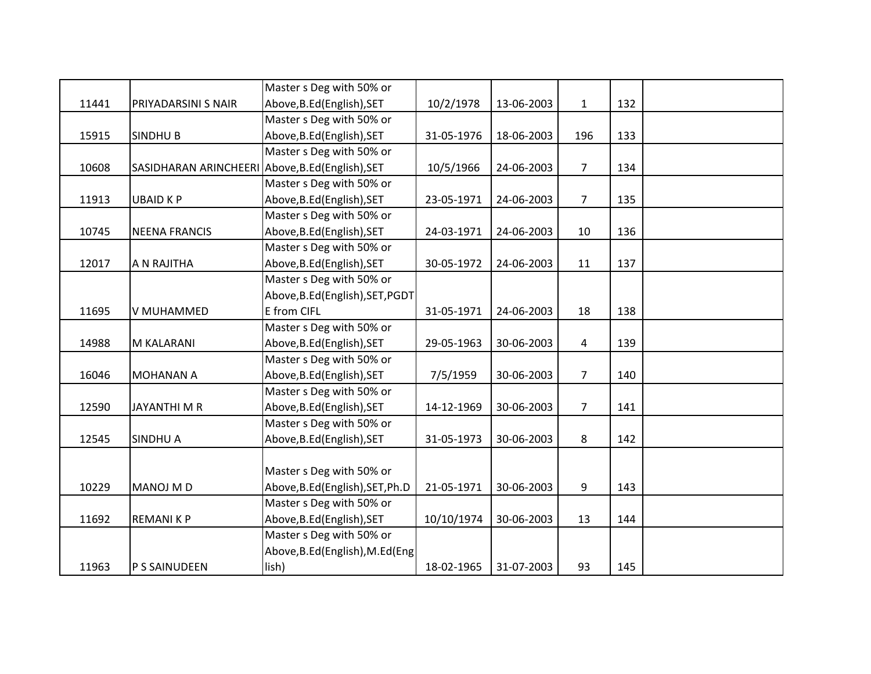|       |                                                  | Master s Deg with 50% or         |            |            |                 |     |  |
|-------|--------------------------------------------------|----------------------------------|------------|------------|-----------------|-----|--|
| 11441 | PRIYADARSINI S NAIR                              | Above, B.Ed (English), SET       | 10/2/1978  | 13-06-2003 | $\mathbf{1}$    | 132 |  |
|       |                                                  | Master s Deg with 50% or         |            |            |                 |     |  |
| 15915 | <b>SINDHUB</b>                                   | Above, B.Ed (English), SET       | 31-05-1976 | 18-06-2003 | 196             | 133 |  |
|       |                                                  | Master s Deg with 50% or         |            |            |                 |     |  |
| 10608 | SASIDHARAN ARINCHEERI Above, B.Ed (English), SET |                                  | 10/5/1966  | 24-06-2003 | 7 <sup>1</sup>  | 134 |  |
|       |                                                  | Master s Deg with 50% or         |            |            |                 |     |  |
| 11913 | <b>UBAID KP</b>                                  | Above, B.Ed (English), SET       | 23-05-1971 | 24-06-2003 | $\overline{7}$  | 135 |  |
|       |                                                  | Master s Deg with 50% or         |            |            |                 |     |  |
| 10745 | <b>NEENA FRANCIS</b>                             | Above, B.Ed (English), SET       | 24-03-1971 | 24-06-2003 | 10              | 136 |  |
|       |                                                  | Master s Deg with 50% or         |            |            |                 |     |  |
| 12017 | A N RAJITHA                                      | Above, B.Ed (English), SET       | 30-05-1972 | 24-06-2003 | 11              | 137 |  |
|       |                                                  | Master s Deg with 50% or         |            |            |                 |     |  |
|       |                                                  | Above, B.Ed (English), SET, PGDT |            |            |                 |     |  |
| 11695 | V MUHAMMED                                       | E from CIFL                      | 31-05-1971 | 24-06-2003 | 18              | 138 |  |
|       |                                                  | Master s Deg with 50% or         |            |            |                 |     |  |
| 14988 | M KALARANI                                       | Above, B.Ed (English), SET       | 29-05-1963 | 30-06-2003 | 4               | 139 |  |
|       |                                                  | Master s Deg with 50% or         |            |            |                 |     |  |
| 16046 | <b>MOHANAN A</b>                                 | Above, B.Ed (English), SET       | 7/5/1959   | 30-06-2003 | $7\overline{ }$ | 140 |  |
|       |                                                  | Master s Deg with 50% or         |            |            |                 |     |  |
| 12590 | <b>JAYANTHIMR</b>                                | Above, B.Ed (English), SET       | 14-12-1969 | 30-06-2003 | $\overline{7}$  | 141 |  |
|       |                                                  | Master s Deg with 50% or         |            |            |                 |     |  |
| 12545 | <b>SINDHU A</b>                                  | Above, B.Ed (English), SET       | 31-05-1973 | 30-06-2003 | 8               | 142 |  |
|       |                                                  |                                  |            |            |                 |     |  |
|       |                                                  | Master s Deg with 50% or         |            |            |                 |     |  |
| 10229 | <b>MANOJ MD</b>                                  | Above, B.Ed (English), SET, Ph.D | 21-05-1971 | 30-06-2003 | 9               | 143 |  |
|       |                                                  | Master s Deg with 50% or         |            |            |                 |     |  |
| 11692 | <b>REMANIKP</b>                                  | Above, B.Ed (English), SET       | 10/10/1974 | 30-06-2003 | 13              | 144 |  |
|       |                                                  | Master s Deg with 50% or         |            |            |                 |     |  |
|       |                                                  | Above, B.Ed (English), M.Ed (Eng |            |            |                 |     |  |
| 11963 | P S SAINUDEEN                                    | lish)                            | 18-02-1965 | 31-07-2003 | 93              | 145 |  |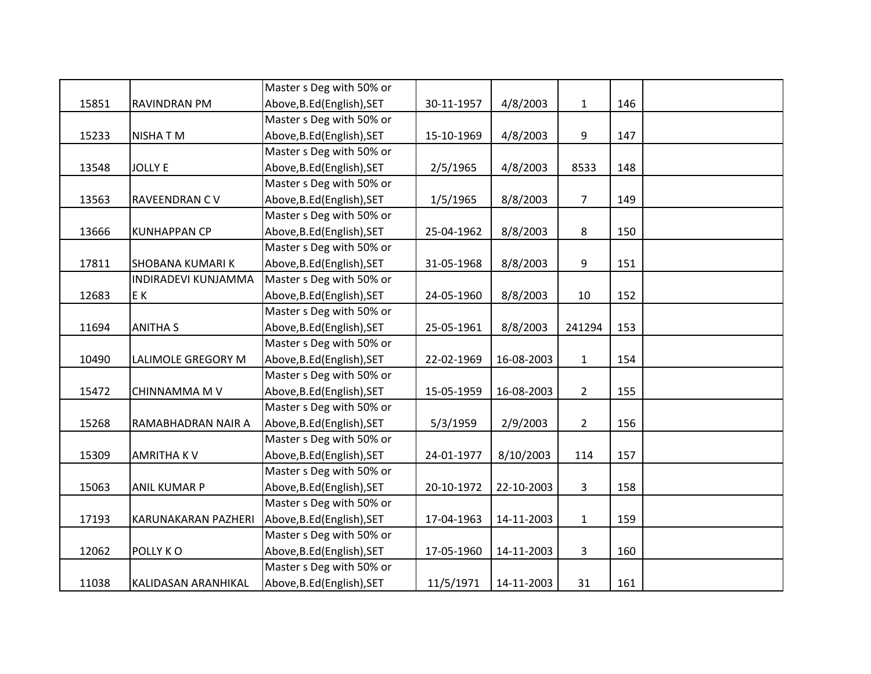|       |                         | Master s Deg with 50% or   |            |            |                |     |  |
|-------|-------------------------|----------------------------|------------|------------|----------------|-----|--|
| 15851 | <b>RAVINDRAN PM</b>     | Above, B.Ed (English), SET | 30-11-1957 | 4/8/2003   | $\mathbf{1}$   | 146 |  |
|       |                         | Master s Deg with 50% or   |            |            |                |     |  |
| 15233 | <b>NISHATM</b>          | Above, B.Ed (English), SET | 15-10-1969 | 4/8/2003   | 9              | 147 |  |
|       |                         | Master s Deg with 50% or   |            |            |                |     |  |
| 13548 | <b>JOLLY E</b>          | Above, B.Ed (English), SET | 2/5/1965   | 4/8/2003   | 8533           | 148 |  |
|       |                         | Master s Deg with 50% or   |            |            |                |     |  |
| 13563 | RAVEENDRAN CV           | Above, B.Ed (English), SET | 1/5/1965   | 8/8/2003   | $\overline{7}$ | 149 |  |
|       |                         | Master s Deg with 50% or   |            |            |                |     |  |
| 13666 | <b>KUNHAPPAN CP</b>     | Above, B.Ed (English), SET | 25-04-1962 | 8/8/2003   | 8              | 150 |  |
|       |                         | Master s Deg with 50% or   |            |            |                |     |  |
| 17811 | <b>SHOBANA KUMARI K</b> | Above, B.Ed (English), SET | 31-05-1968 | 8/8/2003   | 9              | 151 |  |
|       | INDIRADEVI KUNJAMMA     | Master s Deg with 50% or   |            |            |                |     |  |
| 12683 | E K                     | Above, B.Ed (English), SET | 24-05-1960 | 8/8/2003   | 10             | 152 |  |
|       |                         | Master s Deg with 50% or   |            |            |                |     |  |
| 11694 | <b>ANITHA S</b>         | Above, B.Ed (English), SET | 25-05-1961 | 8/8/2003   | 241294         | 153 |  |
|       |                         | Master s Deg with 50% or   |            |            |                |     |  |
| 10490 | LALIMOLE GREGORY M      | Above, B.Ed (English), SET | 22-02-1969 | 16-08-2003 | $\mathbf{1}$   | 154 |  |
|       |                         | Master s Deg with 50% or   |            |            |                |     |  |
| 15472 | CHINNAMMA M V           | Above, B.Ed (English), SET | 15-05-1959 | 16-08-2003 | $\overline{2}$ | 155 |  |
|       |                         | Master s Deg with 50% or   |            |            |                |     |  |
| 15268 | RAMABHADRAN NAIR A      | Above, B.Ed (English), SET | 5/3/1959   | 2/9/2003   | $\overline{2}$ | 156 |  |
|       |                         | Master s Deg with 50% or   |            |            |                |     |  |
| 15309 | <b>AMRITHAKV</b>        | Above, B.Ed (English), SET | 24-01-1977 | 8/10/2003  | 114            | 157 |  |
|       |                         | Master s Deg with 50% or   |            |            |                |     |  |
| 15063 | <b>ANIL KUMAR P</b>     | Above, B.Ed (English), SET | 20-10-1972 | 22-10-2003 | 3              | 158 |  |
|       |                         | Master s Deg with 50% or   |            |            |                |     |  |
| 17193 | KARUNAKARAN PAZHERI     | Above, B.Ed (English), SET | 17-04-1963 | 14-11-2003 | $\mathbf{1}$   | 159 |  |
|       |                         | Master s Deg with 50% or   |            |            |                |     |  |
| 12062 | POLLY KO                | Above, B.Ed (English), SET | 17-05-1960 | 14-11-2003 | 3              | 160 |  |
|       |                         | Master s Deg with 50% or   |            |            |                |     |  |
| 11038 | KALIDASAN ARANHIKAL     | Above, B.Ed (English), SET | 11/5/1971  | 14-11-2003 | 31             | 161 |  |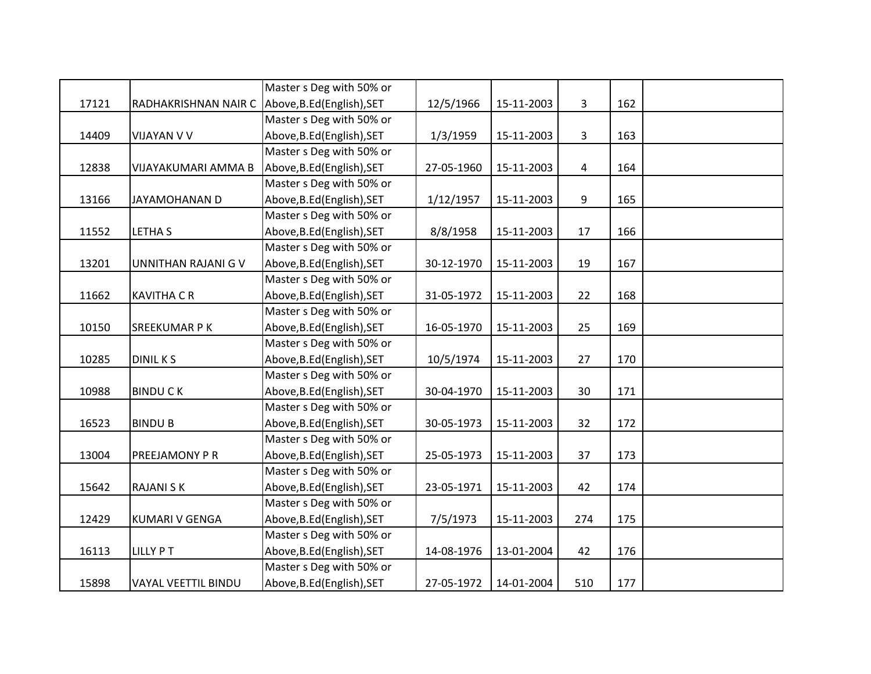|       |                      | Master s Deg with 50% or   |            |            |     |     |  |
|-------|----------------------|----------------------------|------------|------------|-----|-----|--|
| 17121 | RADHAKRISHNAN NAIR C | Above, B.Ed (English), SET | 12/5/1966  | 15-11-2003 | 3   | 162 |  |
|       |                      | Master s Deg with 50% or   |            |            |     |     |  |
| 14409 | VIJAYAN V V          | Above, B.Ed (English), SET | 1/3/1959   | 15-11-2003 | 3   | 163 |  |
|       |                      | Master s Deg with 50% or   |            |            |     |     |  |
| 12838 | VIJAYAKUMARI AMMA B  | Above, B.Ed (English), SET | 27-05-1960 | 15-11-2003 | 4   | 164 |  |
|       |                      | Master s Deg with 50% or   |            |            |     |     |  |
| 13166 | JAYAMOHANAN D        | Above, B.Ed (English), SET | 1/12/1957  | 15-11-2003 | 9   | 165 |  |
|       |                      | Master s Deg with 50% or   |            |            |     |     |  |
| 11552 | <b>LETHA S</b>       | Above, B.Ed (English), SET | 8/8/1958   | 15-11-2003 | 17  | 166 |  |
|       |                      | Master s Deg with 50% or   |            |            |     |     |  |
| 13201 | UNNITHAN RAJANI G V  | Above, B.Ed (English), SET | 30-12-1970 | 15-11-2003 | 19  | 167 |  |
|       |                      | Master s Deg with 50% or   |            |            |     |     |  |
| 11662 | <b>KAVITHA C R</b>   | Above, B.Ed (English), SET | 31-05-1972 | 15-11-2003 | 22  | 168 |  |
|       |                      | Master s Deg with 50% or   |            |            |     |     |  |
| 10150 | <b>SREEKUMAR P K</b> | Above, B.Ed (English), SET | 16-05-1970 | 15-11-2003 | 25  | 169 |  |
|       |                      | Master s Deg with 50% or   |            |            |     |     |  |
| 10285 | <b>DINIL KS</b>      | Above, B.Ed (English), SET | 10/5/1974  | 15-11-2003 | 27  | 170 |  |
|       |                      | Master s Deg with 50% or   |            |            |     |     |  |
| 10988 | <b>BINDUCK</b>       | Above, B.Ed (English), SET | 30-04-1970 | 15-11-2003 | 30  | 171 |  |
|       |                      | Master s Deg with 50% or   |            |            |     |     |  |
| 16523 | <b>BINDU B</b>       | Above, B.Ed (English), SET | 30-05-1973 | 15-11-2003 | 32  | 172 |  |
|       |                      | Master s Deg with 50% or   |            |            |     |     |  |
| 13004 | PREEJAMONY P R       | Above, B.Ed (English), SET | 25-05-1973 | 15-11-2003 | 37  | 173 |  |
|       |                      | Master s Deg with 50% or   |            |            |     |     |  |
| 15642 | <b>RAJANI SK</b>     | Above, B.Ed (English), SET | 23-05-1971 | 15-11-2003 | 42  | 174 |  |
|       |                      | Master s Deg with 50% or   |            |            |     |     |  |
| 12429 | KUMARI V GENGA       | Above, B.Ed (English), SET | 7/5/1973   | 15-11-2003 | 274 | 175 |  |
|       |                      | Master s Deg with 50% or   |            |            |     |     |  |
| 16113 | <b>LILLY PT</b>      | Above, B.Ed (English), SET | 14-08-1976 | 13-01-2004 | 42  | 176 |  |
|       |                      | Master s Deg with 50% or   |            |            |     |     |  |
| 15898 | VAYAL VEETTIL BINDU  | Above, B.Ed (English), SET | 27-05-1972 | 14-01-2004 | 510 | 177 |  |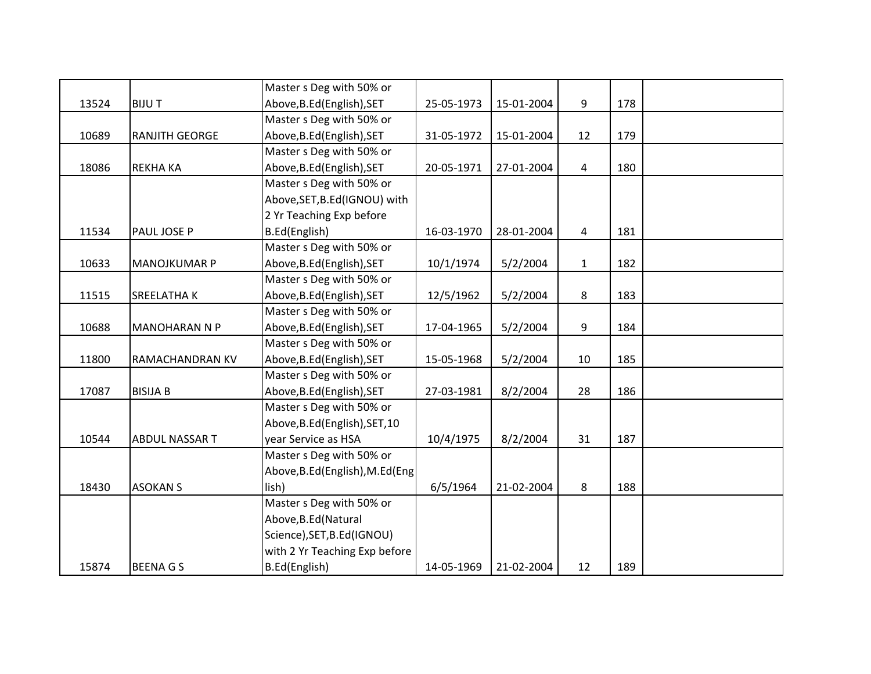|       |                      | Master s Deg with 50% or         |            |            |                |     |  |
|-------|----------------------|----------------------------------|------------|------------|----------------|-----|--|
| 13524 | <b>BIJUT</b>         | Above, B.Ed (English), SET       | 25-05-1973 | 15-01-2004 | 9              | 178 |  |
|       |                      | Master s Deg with 50% or         |            |            |                |     |  |
| 10689 | RANJITH GEORGE       | Above, B.Ed (English), SET       | 31-05-1972 | 15-01-2004 | 12             | 179 |  |
|       |                      | Master s Deg with 50% or         |            |            |                |     |  |
| 18086 | <b>REKHA KA</b>      | Above, B.Ed (English), SET       | 20-05-1971 | 27-01-2004 | $\overline{4}$ | 180 |  |
|       |                      | Master s Deg with 50% or         |            |            |                |     |  |
|       |                      | Above, SET, B.Ed (IGNOU) with    |            |            |                |     |  |
|       |                      | 2 Yr Teaching Exp before         |            |            |                |     |  |
| 11534 | PAUL JOSE P          | B.Ed(English)                    | 16-03-1970 | 28-01-2004 | 4              | 181 |  |
|       |                      | Master s Deg with 50% or         |            |            |                |     |  |
| 10633 | <b>MANOJKUMAR P</b>  | Above, B.Ed (English), SET       | 10/1/1974  | 5/2/2004   | $\mathbf{1}$   | 182 |  |
|       |                      | Master s Deg with 50% or         |            |            |                |     |  |
| 11515 | SREELATHA K          | Above, B.Ed (English), SET       | 12/5/1962  | 5/2/2004   | 8              | 183 |  |
|       |                      | Master s Deg with 50% or         |            |            |                |     |  |
| 10688 | <b>MANOHARAN N P</b> | Above, B.Ed (English), SET       | 17-04-1965 | 5/2/2004   | 9              | 184 |  |
|       |                      | Master s Deg with 50% or         |            |            |                |     |  |
| 11800 | RAMACHANDRAN KV      | Above, B.Ed (English), SET       | 15-05-1968 | 5/2/2004   | 10             | 185 |  |
|       |                      | Master s Deg with 50% or         |            |            |                |     |  |
| 17087 | <b>BISIJA B</b>      | Above, B.Ed (English), SET       | 27-03-1981 | 8/2/2004   | 28             | 186 |  |
|       |                      | Master s Deg with 50% or         |            |            |                |     |  |
|       |                      | Above, B.Ed (English), SET, 10   |            |            |                |     |  |
| 10544 | ABDUL NASSAR T       | year Service as HSA              | 10/4/1975  | 8/2/2004   | 31             | 187 |  |
|       |                      | Master s Deg with 50% or         |            |            |                |     |  |
|       |                      | Above, B.Ed (English), M.Ed (Eng |            |            |                |     |  |
| 18430 | <b>ASOKAN S</b>      | lish)                            | 6/5/1964   | 21-02-2004 | 8              | 188 |  |
|       |                      | Master s Deg with 50% or         |            |            |                |     |  |
|       |                      | Above, B.Ed (Natural             |            |            |                |     |  |
|       |                      | Science), SET, B.Ed(IGNOU)       |            |            |                |     |  |
|       |                      | with 2 Yr Teaching Exp before    |            |            |                |     |  |
| 15874 | <b>BEENAGS</b>       | B.Ed(English)                    | 14-05-1969 | 21-02-2004 | 12             | 189 |  |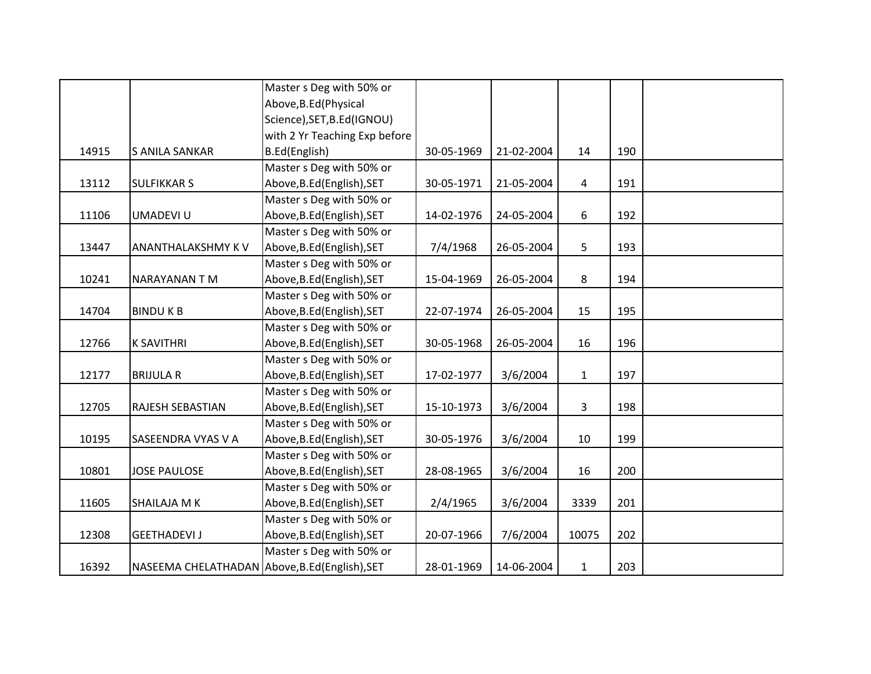|       |                                                | Master s Deg with 50% or      |            |            |              |     |  |
|-------|------------------------------------------------|-------------------------------|------------|------------|--------------|-----|--|
|       |                                                | Above, B.Ed (Physical         |            |            |              |     |  |
|       |                                                | Science), SET, B.Ed(IGNOU)    |            |            |              |     |  |
|       |                                                | with 2 Yr Teaching Exp before |            |            |              |     |  |
| 14915 | S ANILA SANKAR                                 | B.Ed(English)                 | 30-05-1969 | 21-02-2004 | 14           | 190 |  |
|       |                                                | Master s Deg with 50% or      |            |            |              |     |  |
| 13112 | <b>SULFIKKAR S</b>                             | Above, B.Ed (English), SET    | 30-05-1971 | 21-05-2004 | 4            | 191 |  |
|       |                                                | Master s Deg with 50% or      |            |            |              |     |  |
| 11106 | UMADEVI U                                      | Above, B.Ed (English), SET    | 14-02-1976 | 24-05-2004 | 6            | 192 |  |
|       |                                                | Master s Deg with 50% or      |            |            |              |     |  |
| 13447 | ANANTHALAKSHMY K V                             | Above, B.Ed (English), SET    | 7/4/1968   | 26-05-2004 | 5            | 193 |  |
|       |                                                | Master s Deg with 50% or      |            |            |              |     |  |
| 10241 | NARAYANAN T M                                  | Above, B.Ed (English), SET    | 15-04-1969 | 26-05-2004 | 8            | 194 |  |
|       |                                                | Master s Deg with 50% or      |            |            |              |     |  |
| 14704 | <b>BINDUKB</b>                                 | Above, B.Ed (English), SET    | 22-07-1974 | 26-05-2004 | 15           | 195 |  |
|       |                                                | Master s Deg with 50% or      |            |            |              |     |  |
| 12766 | <b>K SAVITHRI</b>                              | Above, B.Ed (English), SET    | 30-05-1968 | 26-05-2004 | 16           | 196 |  |
|       |                                                | Master s Deg with 50% or      |            |            |              |     |  |
| 12177 | <b>BRIJULA R</b>                               | Above, B.Ed (English), SET    | 17-02-1977 | 3/6/2004   | $\mathbf{1}$ | 197 |  |
|       |                                                | Master s Deg with 50% or      |            |            |              |     |  |
| 12705 | <b>RAJESH SEBASTIAN</b>                        | Above, B.Ed (English), SET    | 15-10-1973 | 3/6/2004   | 3            | 198 |  |
|       |                                                | Master s Deg with 50% or      |            |            |              |     |  |
| 10195 | SASEENDRA VYAS V A                             | Above, B.Ed (English), SET    | 30-05-1976 | 3/6/2004   | 10           | 199 |  |
|       |                                                | Master s Deg with 50% or      |            |            |              |     |  |
| 10801 | <b>JOSE PAULOSE</b>                            | Above, B.Ed (English), SET    | 28-08-1965 | 3/6/2004   | 16           | 200 |  |
|       |                                                | Master s Deg with 50% or      |            |            |              |     |  |
| 11605 | SHAILAJA M K                                   | Above, B.Ed (English), SET    | 2/4/1965   | 3/6/2004   | 3339         | 201 |  |
|       |                                                | Master s Deg with 50% or      |            |            |              |     |  |
| 12308 | <b>GEETHADEVI J</b>                            | Above, B.Ed (English), SET    | 20-07-1966 | 7/6/2004   | 10075        | 202 |  |
|       |                                                | Master s Deg with 50% or      |            |            |              |     |  |
| 16392 | NASEEMA CHELATHADAN Above, B.Ed (English), SET |                               | 28-01-1969 | 14-06-2004 | $\mathbf{1}$ | 203 |  |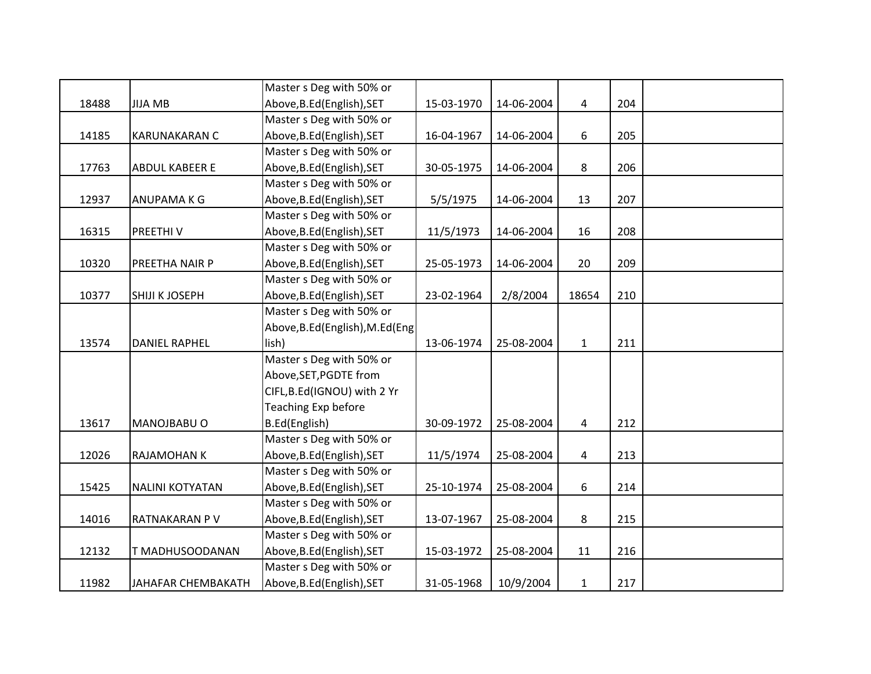|       |                           | Master s Deg with 50% or         |            |            |              |     |  |
|-------|---------------------------|----------------------------------|------------|------------|--------------|-----|--|
| 18488 | <b>JIJA MB</b>            | Above, B.Ed (English), SET       | 15-03-1970 | 14-06-2004 | 4            | 204 |  |
|       |                           | Master s Deg with 50% or         |            |            |              |     |  |
| 14185 | <b>KARUNAKARAN C</b>      | Above, B.Ed (English), SET       | 16-04-1967 | 14-06-2004 | 6            | 205 |  |
|       |                           | Master s Deg with 50% or         |            |            |              |     |  |
| 17763 | ABDUL KABEER E            | Above, B.Ed (English), SET       | 30-05-1975 | 14-06-2004 | 8            | 206 |  |
|       |                           | Master s Deg with 50% or         |            |            |              |     |  |
| 12937 | ANUPAMA K G               | Above, B.Ed (English), SET       | 5/5/1975   | 14-06-2004 | 13           | 207 |  |
|       |                           | Master s Deg with 50% or         |            |            |              |     |  |
| 16315 | PREETHIV                  | Above, B.Ed (English), SET       | 11/5/1973  | 14-06-2004 | 16           | 208 |  |
|       |                           | Master s Deg with 50% or         |            |            |              |     |  |
| 10320 | PREETHA NAIR P            | Above, B.Ed (English), SET       | 25-05-1973 | 14-06-2004 | 20           | 209 |  |
|       |                           | Master s Deg with 50% or         |            |            |              |     |  |
| 10377 | SHIJI K JOSEPH            | Above, B.Ed (English), SET       | 23-02-1964 | 2/8/2004   | 18654        | 210 |  |
|       |                           | Master s Deg with 50% or         |            |            |              |     |  |
|       |                           | Above, B.Ed (English), M.Ed (Eng |            |            |              |     |  |
| 13574 | <b>DANIEL RAPHEL</b>      | lish)                            | 13-06-1974 | 25-08-2004 | $\mathbf{1}$ | 211 |  |
|       |                           | Master s Deg with 50% or         |            |            |              |     |  |
|       |                           | Above, SET, PGDTE from           |            |            |              |     |  |
|       |                           | CIFL, B.Ed(IGNOU) with 2 Yr      |            |            |              |     |  |
|       |                           | Teaching Exp before              |            |            |              |     |  |
| 13617 | MANOJBABU O               | B.Ed(English)                    | 30-09-1972 | 25-08-2004 | 4            | 212 |  |
|       |                           | Master s Deg with 50% or         |            |            |              |     |  |
| 12026 | RAJAMOHAN K               | Above, B.Ed (English), SET       | 11/5/1974  | 25-08-2004 | 4            | 213 |  |
|       |                           | Master s Deg with 50% or         |            |            |              |     |  |
| 15425 | <b>NALINI KOTYATAN</b>    | Above, B.Ed (English), SET       | 25-10-1974 | 25-08-2004 | 6            | 214 |  |
|       |                           | Master s Deg with 50% or         |            |            |              |     |  |
| 14016 | RATNAKARAN P V            | Above, B.Ed (English), SET       | 13-07-1967 | 25-08-2004 | 8            | 215 |  |
|       |                           | Master s Deg with 50% or         |            |            |              |     |  |
| 12132 | T MADHUSOODANAN           | Above, B.Ed (English), SET       | 15-03-1972 | 25-08-2004 | 11           | 216 |  |
|       |                           | Master s Deg with 50% or         |            |            |              |     |  |
| 11982 | <b>JAHAFAR CHEMBAKATH</b> | Above, B.Ed (English), SET       | 31-05-1968 | 10/9/2004  | $\mathbf{1}$ | 217 |  |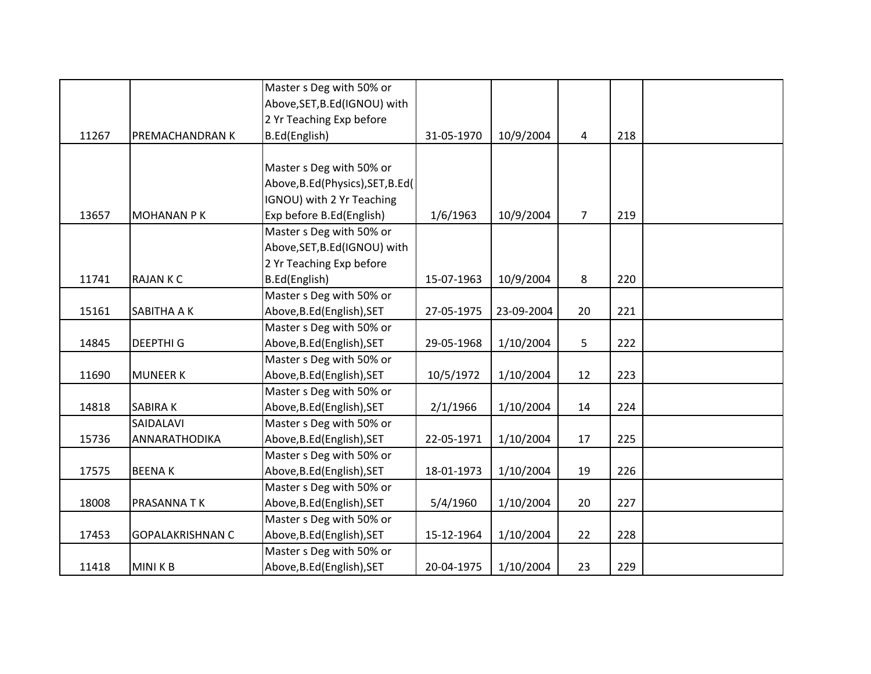|       |                         | Master s Deg with 50% or           |            |            |                |     |  |
|-------|-------------------------|------------------------------------|------------|------------|----------------|-----|--|
|       |                         | Above, SET, B.Ed (IGNOU) with      |            |            |                |     |  |
|       |                         | 2 Yr Teaching Exp before           |            |            |                |     |  |
| 11267 | PREMACHANDRAN K         | B.Ed(English)                      | 31-05-1970 | 10/9/2004  | 4              | 218 |  |
|       |                         |                                    |            |            |                |     |  |
|       |                         | Master s Deg with 50% or           |            |            |                |     |  |
|       |                         | Above, B.Ed (Physics), SET, B.Ed ( |            |            |                |     |  |
|       |                         | IGNOU) with 2 Yr Teaching          |            |            |                |     |  |
| 13657 | <b>MOHANAN PK</b>       | Exp before B.Ed(English)           | 1/6/1963   | 10/9/2004  | $\overline{7}$ | 219 |  |
|       |                         | Master s Deg with 50% or           |            |            |                |     |  |
|       |                         | Above, SET, B.Ed (IGNOU) with      |            |            |                |     |  |
|       |                         | 2 Yr Teaching Exp before           |            |            |                |     |  |
| 11741 | <b>RAJANKC</b>          | B.Ed(English)                      | 15-07-1963 | 10/9/2004  | 8              | 220 |  |
|       |                         | Master s Deg with 50% or           |            |            |                |     |  |
| 15161 | SABITHA A K             | Above, B.Ed (English), SET         | 27-05-1975 | 23-09-2004 | 20             | 221 |  |
|       |                         | Master s Deg with 50% or           |            |            |                |     |  |
| 14845 | <b>DEEPTHI G</b>        | Above, B.Ed (English), SET         | 29-05-1968 | 1/10/2004  | 5              | 222 |  |
|       |                         | Master s Deg with 50% or           |            |            |                |     |  |
| 11690 | <b>MUNEER K</b>         | Above, B.Ed (English), SET         | 10/5/1972  | 1/10/2004  | 12             | 223 |  |
|       |                         | Master s Deg with 50% or           |            |            |                |     |  |
| 14818 | <b>SABIRAK</b>          | Above, B.Ed (English), SET         | 2/1/1966   | 1/10/2004  | 14             | 224 |  |
|       | SAIDALAVI               | Master s Deg with 50% or           |            |            |                |     |  |
| 15736 | ANNARATHODIKA           | Above, B.Ed (English), SET         | 22-05-1971 | 1/10/2004  | 17             | 225 |  |
|       |                         | Master s Deg with 50% or           |            |            |                |     |  |
| 17575 | <b>BEENAK</b>           | Above, B.Ed (English), SET         | 18-01-1973 | 1/10/2004  | 19             | 226 |  |
|       |                         | Master s Deg with 50% or           |            |            |                |     |  |
| 18008 | PRASANNA TK             | Above, B.Ed (English), SET         | 5/4/1960   | 1/10/2004  | 20             | 227 |  |
|       |                         | Master s Deg with 50% or           |            |            |                |     |  |
| 17453 | <b>GOPALAKRISHNAN C</b> | Above, B.Ed (English), SET         | 15-12-1964 | 1/10/2004  | 22             | 228 |  |
|       |                         | Master s Deg with 50% or           |            |            |                |     |  |
| 11418 | <b>MINIKB</b>           | Above, B.Ed (English), SET         | 20-04-1975 | 1/10/2004  | 23             | 229 |  |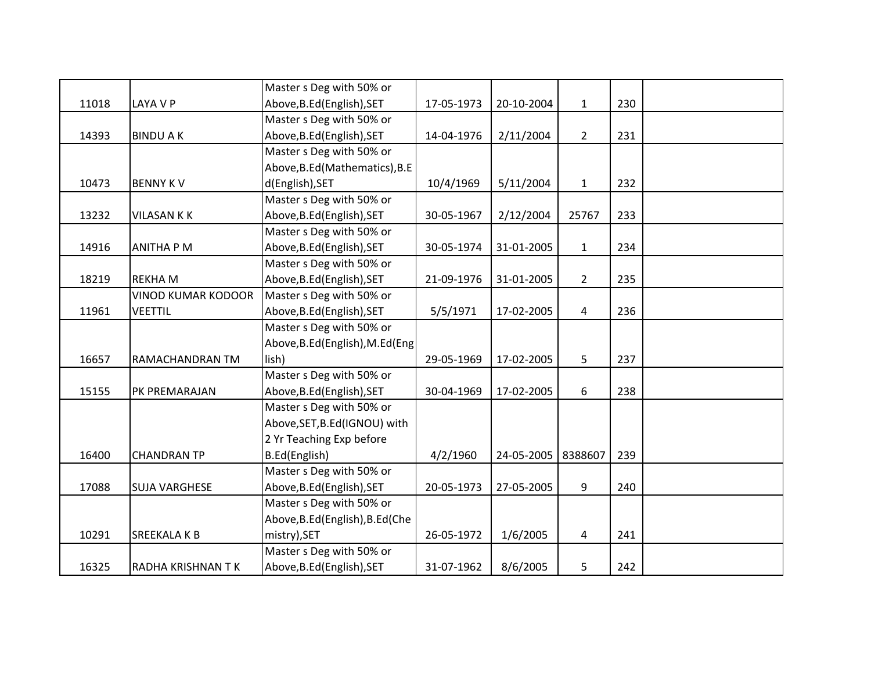|       |                           | Master s Deg with 50% or         |            |            |                |     |  |
|-------|---------------------------|----------------------------------|------------|------------|----------------|-----|--|
| 11018 | LAYA V P                  | Above, B.Ed (English), SET       | 17-05-1973 | 20-10-2004 | $\mathbf{1}$   | 230 |  |
|       |                           | Master s Deg with 50% or         |            |            |                |     |  |
| 14393 | <b>BINDU A K</b>          | Above, B.Ed (English), SET       | 14-04-1976 | 2/11/2004  | $\overline{2}$ | 231 |  |
|       |                           | Master s Deg with 50% or         |            |            |                |     |  |
|       |                           | Above, B.Ed (Mathematics), B.E   |            |            |                |     |  |
| 10473 | <b>BENNY KV</b>           | d(English), SET                  | 10/4/1969  | 5/11/2004  | $\mathbf{1}$   | 232 |  |
|       |                           | Master s Deg with 50% or         |            |            |                |     |  |
| 13232 | <b>VILASAN K K</b>        | Above, B.Ed (English), SET       | 30-05-1967 | 2/12/2004  | 25767          | 233 |  |
|       |                           | Master s Deg with 50% or         |            |            |                |     |  |
| 14916 | <b>ANITHA P M</b>         | Above, B.Ed (English), SET       | 30-05-1974 | 31-01-2005 | $\mathbf{1}$   | 234 |  |
|       |                           | Master s Deg with 50% or         |            |            |                |     |  |
| 18219 | <b>REKHAM</b>             | Above, B.Ed (English), SET       | 21-09-1976 | 31-01-2005 | $\overline{2}$ | 235 |  |
|       | <b>VINOD KUMAR KODOOR</b> | Master s Deg with 50% or         |            |            |                |     |  |
| 11961 | <b>VEETTIL</b>            | Above, B.Ed (English), SET       | 5/5/1971   | 17-02-2005 | $\overline{4}$ | 236 |  |
|       |                           | Master s Deg with 50% or         |            |            |                |     |  |
|       |                           | Above, B.Ed (English), M.Ed (Eng |            |            |                |     |  |
| 16657 | RAMACHANDRAN TM           | lish)                            | 29-05-1969 | 17-02-2005 | 5              | 237 |  |
|       |                           | Master s Deg with 50% or         |            |            |                |     |  |
| 15155 | PK PREMARAJAN             | Above, B.Ed (English), SET       | 30-04-1969 | 17-02-2005 | 6              | 238 |  |
|       |                           | Master s Deg with 50% or         |            |            |                |     |  |
|       |                           | Above, SET, B.Ed (IGNOU) with    |            |            |                |     |  |
|       |                           | 2 Yr Teaching Exp before         |            |            |                |     |  |
| 16400 | <b>CHANDRAN TP</b>        | B.Ed(English)                    | 4/2/1960   | 24-05-2005 | 8388607        | 239 |  |
|       |                           | Master s Deg with 50% or         |            |            |                |     |  |
| 17088 | <b>SUJA VARGHESE</b>      | Above, B.Ed (English), SET       | 20-05-1973 | 27-05-2005 | 9              | 240 |  |
|       |                           | Master s Deg with 50% or         |            |            |                |     |  |
|       |                           | Above, B.Ed (English), B.Ed (Che |            |            |                |     |  |
| 10291 | <b>SREEKALA K B</b>       | mistry), SET                     | 26-05-1972 | 1/6/2005   | $\overline{4}$ | 241 |  |
|       |                           | Master s Deg with 50% or         |            |            |                |     |  |
| 16325 | <b>RADHA KRISHNAN T K</b> | Above, B.Ed (English), SET       | 31-07-1962 | 8/6/2005   | 5              | 242 |  |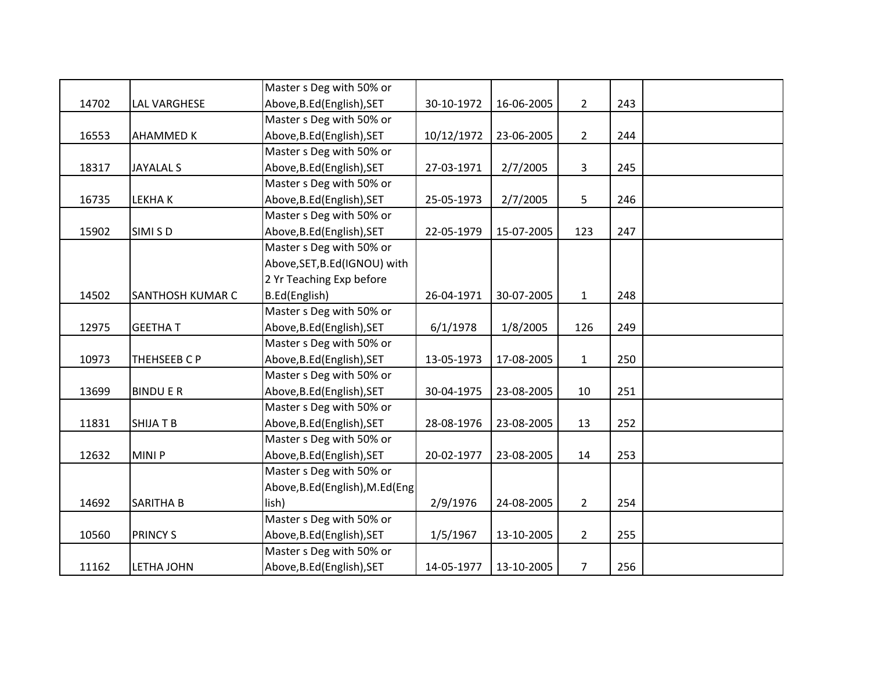|       |                     | Master s Deg with 50% or         |            |            |                |     |  |
|-------|---------------------|----------------------------------|------------|------------|----------------|-----|--|
| 14702 | <b>LAL VARGHESE</b> | Above, B.Ed (English), SET       | 30-10-1972 | 16-06-2005 | $2^{\circ}$    | 243 |  |
|       |                     | Master s Deg with 50% or         |            |            |                |     |  |
| 16553 | <b>AHAMMED K</b>    | Above, B.Ed (English), SET       | 10/12/1972 | 23-06-2005 | $\overline{2}$ | 244 |  |
|       |                     | Master s Deg with 50% or         |            |            |                |     |  |
| 18317 | <b>JAYALAL S</b>    | Above, B.Ed (English), SET       | 27-03-1971 | 2/7/2005   | $\mathbf{3}$   | 245 |  |
|       |                     | Master s Deg with 50% or         |            |            |                |     |  |
| 16735 | LEKHA K             | Above, B.Ed (English), SET       | 25-05-1973 | 2/7/2005   | 5              | 246 |  |
|       |                     | Master s Deg with 50% or         |            |            |                |     |  |
| 15902 | SIMI S D            | Above, B.Ed (English), SET       | 22-05-1979 | 15-07-2005 | 123            | 247 |  |
|       |                     | Master s Deg with 50% or         |            |            |                |     |  |
|       |                     | Above, SET, B.Ed (IGNOU) with    |            |            |                |     |  |
|       |                     | 2 Yr Teaching Exp before         |            |            |                |     |  |
| 14502 | SANTHOSH KUMAR C    | B.Ed(English)                    | 26-04-1971 | 30-07-2005 | $\mathbf{1}$   | 248 |  |
|       |                     | Master s Deg with 50% or         |            |            |                |     |  |
| 12975 | <b>GEETHAT</b>      | Above, B.Ed (English), SET       | 6/1/1978   | 1/8/2005   | 126            | 249 |  |
|       |                     | Master s Deg with 50% or         |            |            |                |     |  |
| 10973 | THEHSEEB C P        | Above, B.Ed (English), SET       | 13-05-1973 | 17-08-2005 | $\mathbf{1}$   | 250 |  |
|       |                     | Master s Deg with 50% or         |            |            |                |     |  |
| 13699 | <b>BINDUER</b>      | Above, B.Ed (English), SET       | 30-04-1975 | 23-08-2005 | 10             | 251 |  |
|       |                     | Master s Deg with 50% or         |            |            |                |     |  |
| 11831 | SHIJA T B           | Above, B.Ed (English), SET       | 28-08-1976 | 23-08-2005 | 13             | 252 |  |
|       |                     | Master s Deg with 50% or         |            |            |                |     |  |
| 12632 | MINI P              | Above, B.Ed (English), SET       | 20-02-1977 | 23-08-2005 | 14             | 253 |  |
|       |                     | Master s Deg with 50% or         |            |            |                |     |  |
|       |                     | Above, B.Ed (English), M.Ed (Eng |            |            |                |     |  |
| 14692 | SARITHA B           | lish)                            | 2/9/1976   | 24-08-2005 | $\overline{2}$ | 254 |  |
|       |                     | Master s Deg with 50% or         |            |            |                |     |  |
| 10560 | <b>PRINCY S</b>     | Above, B.Ed (English), SET       | 1/5/1967   | 13-10-2005 | $\overline{2}$ | 255 |  |
|       |                     | Master s Deg with 50% or         |            |            |                |     |  |
| 11162 | LETHA JOHN          | Above, B.Ed (English), SET       | 14-05-1977 | 13-10-2005 | $\overline{7}$ | 256 |  |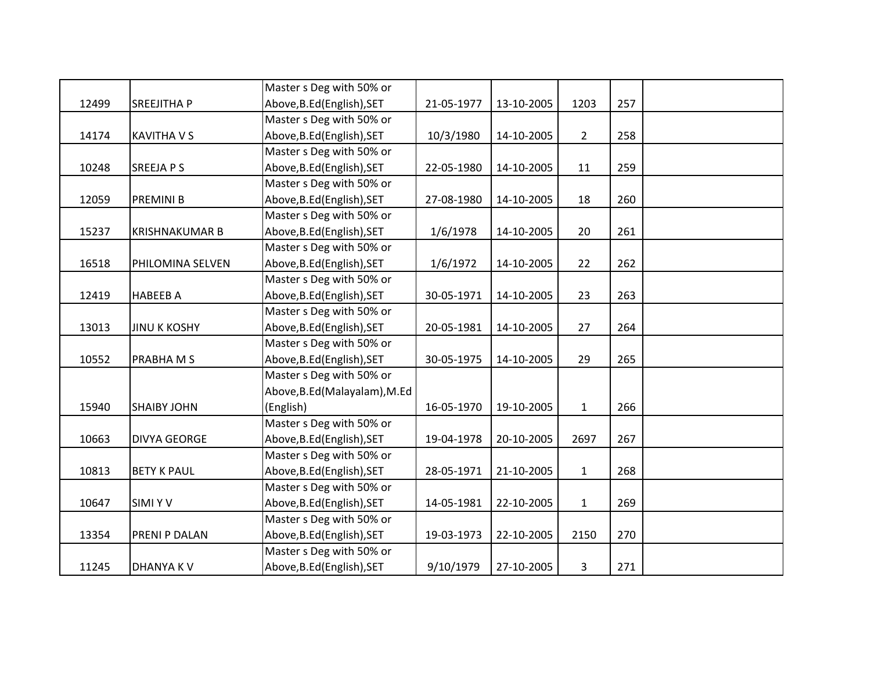|       |                       | Master s Deg with 50% or      |            |            |              |     |  |
|-------|-----------------------|-------------------------------|------------|------------|--------------|-----|--|
| 12499 | <b>SREEJITHA P</b>    | Above, B.Ed (English), SET    | 21-05-1977 | 13-10-2005 | 1203         | 257 |  |
|       |                       | Master s Deg with 50% or      |            |            |              |     |  |
| 14174 | <b>KAVITHA V S</b>    | Above, B.Ed (English), SET    | 10/3/1980  | 14-10-2005 | $2^{\circ}$  | 258 |  |
|       |                       | Master s Deg with 50% or      |            |            |              |     |  |
| 10248 | SREEJA P S            | Above, B.Ed (English), SET    | 22-05-1980 | 14-10-2005 | 11           | 259 |  |
|       |                       | Master s Deg with 50% or      |            |            |              |     |  |
| 12059 | PREMINI B             | Above, B.Ed (English), SET    | 27-08-1980 | 14-10-2005 | 18           | 260 |  |
|       |                       | Master s Deg with 50% or      |            |            |              |     |  |
| 15237 | <b>KRISHNAKUMAR B</b> | Above, B.Ed (English), SET    | 1/6/1978   | 14-10-2005 | 20           | 261 |  |
|       |                       | Master s Deg with 50% or      |            |            |              |     |  |
| 16518 | PHILOMINA SELVEN      | Above, B.Ed (English), SET    | 1/6/1972   | 14-10-2005 | 22           | 262 |  |
|       |                       | Master s Deg with 50% or      |            |            |              |     |  |
| 12419 | <b>HABEEB A</b>       | Above, B.Ed (English), SET    | 30-05-1971 | 14-10-2005 | 23           | 263 |  |
|       |                       | Master s Deg with 50% or      |            |            |              |     |  |
| 13013 | <b>JINU K KOSHY</b>   | Above, B.Ed (English), SET    | 20-05-1981 | 14-10-2005 | 27           | 264 |  |
|       |                       | Master s Deg with 50% or      |            |            |              |     |  |
| 10552 | PRABHAMS              | Above, B.Ed (English), SET    | 30-05-1975 | 14-10-2005 | 29           | 265 |  |
|       |                       | Master s Deg with 50% or      |            |            |              |     |  |
|       |                       | Above, B.Ed (Malayalam), M.Ed |            |            |              |     |  |
| 15940 | <b>SHAIBY JOHN</b>    | (English)                     | 16-05-1970 | 19-10-2005 | $\mathbf{1}$ | 266 |  |
|       |                       | Master s Deg with 50% or      |            |            |              |     |  |
| 10663 | <b>DIVYA GEORGE</b>   | Above, B.Ed (English), SET    | 19-04-1978 | 20-10-2005 | 2697         | 267 |  |
|       |                       | Master s Deg with 50% or      |            |            |              |     |  |
| 10813 | <b>BETY K PAUL</b>    | Above, B.Ed (English), SET    | 28-05-1971 | 21-10-2005 | $\mathbf{1}$ | 268 |  |
|       |                       | Master s Deg with 50% or      |            |            |              |     |  |
| 10647 | <b>SIMIYV</b>         | Above, B.Ed (English), SET    | 14-05-1981 | 22-10-2005 | $\mathbf{1}$ | 269 |  |
|       |                       | Master s Deg with 50% or      |            |            |              |     |  |
| 13354 | PRENI P DALAN         | Above, B.Ed (English), SET    | 19-03-1973 | 22-10-2005 | 2150         | 270 |  |
|       |                       | Master s Deg with 50% or      |            |            |              |     |  |
| 11245 | <b>DHANYAKV</b>       | Above, B.Ed (English), SET    | 9/10/1979  | 27-10-2005 | 3            | 271 |  |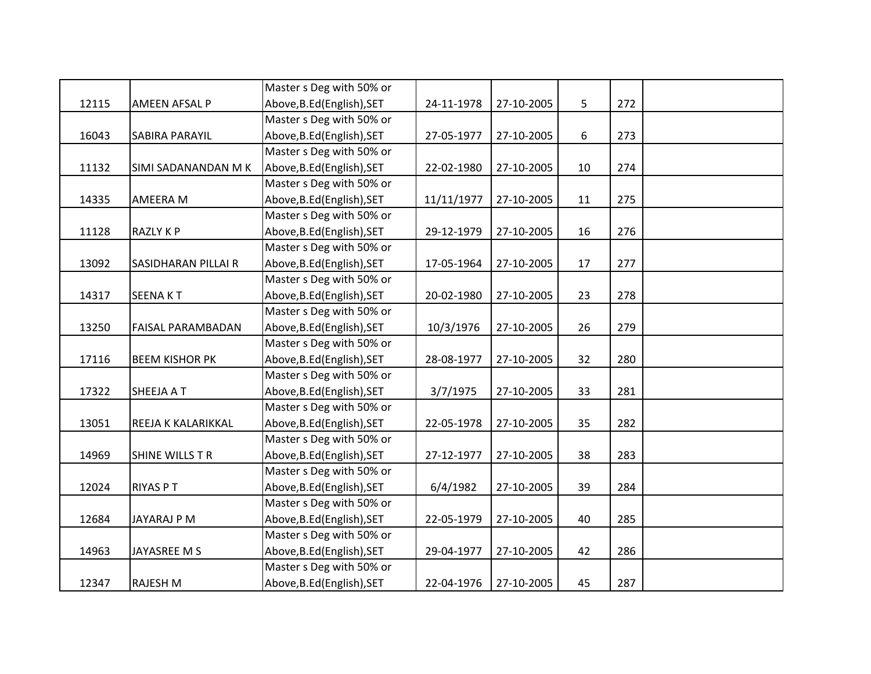|       |                            | Master s Deg with 50% or   |            |            |    |     |  |
|-------|----------------------------|----------------------------|------------|------------|----|-----|--|
| 12115 | <b>AMEEN AFSAL P</b>       | Above, B.Ed (English), SET | 24-11-1978 | 27-10-2005 | 5  | 272 |  |
|       |                            | Master s Deg with 50% or   |            |            |    |     |  |
| 16043 | <b>SABIRA PARAYIL</b>      | Above, B.Ed (English), SET | 27-05-1977 | 27-10-2005 | 6  | 273 |  |
|       |                            | Master s Deg with 50% or   |            |            |    |     |  |
| 11132 | SIMI SADANANDAN M K        | Above, B.Ed (English), SET | 22-02-1980 | 27-10-2005 | 10 | 274 |  |
|       |                            | Master s Deg with 50% or   |            |            |    |     |  |
| 14335 | <b>AMEERA M</b>            | Above, B.Ed (English), SET | 11/11/1977 | 27-10-2005 | 11 | 275 |  |
|       |                            | Master s Deg with 50% or   |            |            |    |     |  |
| 11128 | <b>RAZLY KP</b>            | Above, B.Ed (English), SET | 29-12-1979 | 27-10-2005 | 16 | 276 |  |
|       |                            | Master s Deg with 50% or   |            |            |    |     |  |
| 13092 | <b>SASIDHARAN PILLAI R</b> | Above, B.Ed (English), SET | 17-05-1964 | 27-10-2005 | 17 | 277 |  |
|       |                            | Master s Deg with 50% or   |            |            |    |     |  |
| 14317 | <b>SEENAKT</b>             | Above, B.Ed (English), SET | 20-02-1980 | 27-10-2005 | 23 | 278 |  |
|       |                            | Master s Deg with 50% or   |            |            |    |     |  |
| 13250 | <b>FAISAL PARAMBADAN</b>   | Above, B.Ed (English), SET | 10/3/1976  | 27-10-2005 | 26 | 279 |  |
|       |                            | Master s Deg with 50% or   |            |            |    |     |  |
| 17116 | <b>BEEM KISHOR PK</b>      | Above, B.Ed (English), SET | 28-08-1977 | 27-10-2005 | 32 | 280 |  |
|       |                            | Master s Deg with 50% or   |            |            |    |     |  |
| 17322 | SHEEJA A T                 | Above, B.Ed (English), SET | 3/7/1975   | 27-10-2005 | 33 | 281 |  |
|       |                            | Master s Deg with 50% or   |            |            |    |     |  |
| 13051 | REEJA K KALARIKKAL         | Above, B.Ed (English), SET | 22-05-1978 | 27-10-2005 | 35 | 282 |  |
|       |                            | Master s Deg with 50% or   |            |            |    |     |  |
| 14969 | SHINE WILLS T R            | Above, B.Ed (English), SET | 27-12-1977 | 27-10-2005 | 38 | 283 |  |
|       |                            | Master s Deg with 50% or   |            |            |    |     |  |
| 12024 | <b>RIYAS PT</b>            | Above, B.Ed (English), SET | 6/4/1982   | 27-10-2005 | 39 | 284 |  |
|       |                            | Master s Deg with 50% or   |            |            |    |     |  |
| 12684 | JAYARAJ P M                | Above, B.Ed (English), SET | 22-05-1979 | 27-10-2005 | 40 | 285 |  |
|       |                            | Master s Deg with 50% or   |            |            |    |     |  |
| 14963 | JAYASREE M S               | Above, B.Ed (English), SET | 29-04-1977 | 27-10-2005 | 42 | 286 |  |
|       |                            | Master s Deg with 50% or   |            |            |    |     |  |
| 12347 | <b>RAJESH M</b>            | Above, B.Ed (English), SET | 22-04-1976 | 27-10-2005 | 45 | 287 |  |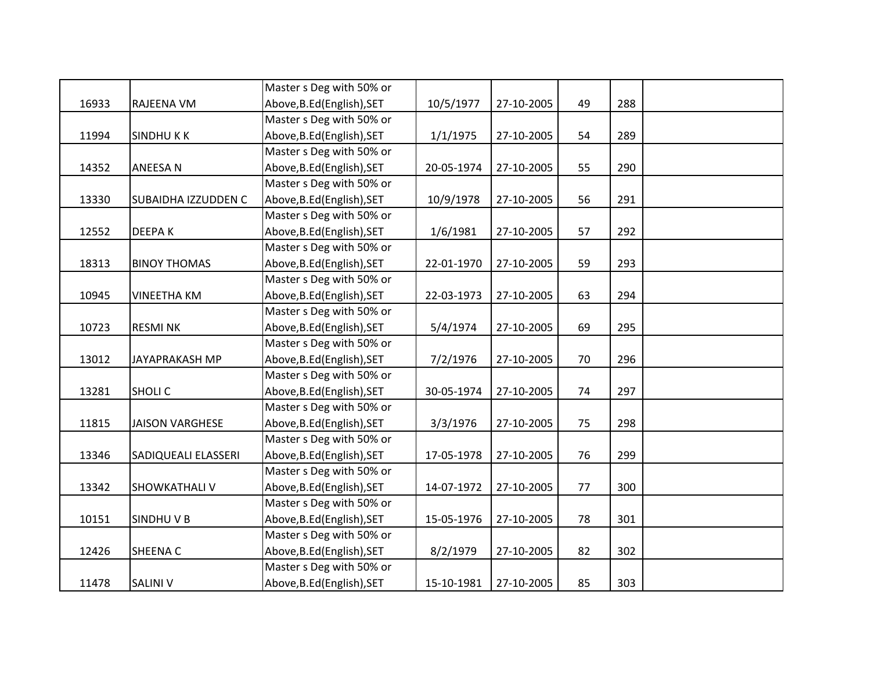|       |                        | Master s Deg with 50% or   |            |            |    |     |  |
|-------|------------------------|----------------------------|------------|------------|----|-----|--|
| 16933 | RAJEENA VM             | Above, B.Ed (English), SET | 10/5/1977  | 27-10-2005 | 49 | 288 |  |
|       |                        | Master s Deg with 50% or   |            |            |    |     |  |
| 11994 | <b>SINDHUKK</b>        | Above, B.Ed (English), SET | 1/1/1975   | 27-10-2005 | 54 | 289 |  |
|       |                        | Master s Deg with 50% or   |            |            |    |     |  |
| 14352 | <b>ANEESAN</b>         | Above, B.Ed (English), SET | 20-05-1974 | 27-10-2005 | 55 | 290 |  |
|       |                        | Master s Deg with 50% or   |            |            |    |     |  |
| 13330 | SUBAIDHA IZZUDDEN C    | Above, B.Ed (English), SET | 10/9/1978  | 27-10-2005 | 56 | 291 |  |
|       |                        | Master s Deg with 50% or   |            |            |    |     |  |
| 12552 | <b>DEEPAK</b>          | Above, B.Ed (English), SET | 1/6/1981   | 27-10-2005 | 57 | 292 |  |
|       |                        | Master s Deg with 50% or   |            |            |    |     |  |
| 18313 | <b>BINOY THOMAS</b>    | Above, B.Ed (English), SET | 22-01-1970 | 27-10-2005 | 59 | 293 |  |
|       |                        | Master s Deg with 50% or   |            |            |    |     |  |
| 10945 | <b>VINEETHA KM</b>     | Above, B.Ed (English), SET | 22-03-1973 | 27-10-2005 | 63 | 294 |  |
|       |                        | Master s Deg with 50% or   |            |            |    |     |  |
| 10723 | <b>RESMINK</b>         | Above, B.Ed (English), SET | 5/4/1974   | 27-10-2005 | 69 | 295 |  |
|       |                        | Master s Deg with 50% or   |            |            |    |     |  |
| 13012 | <b>JAYAPRAKASH MP</b>  | Above, B.Ed (English), SET | 7/2/1976   | 27-10-2005 | 70 | 296 |  |
|       |                        | Master s Deg with 50% or   |            |            |    |     |  |
| 13281 | <b>SHOLIC</b>          | Above, B.Ed (English), SET | 30-05-1974 | 27-10-2005 | 74 | 297 |  |
|       |                        | Master s Deg with 50% or   |            |            |    |     |  |
| 11815 | <b>JAISON VARGHESE</b> | Above, B.Ed (English), SET | 3/3/1976   | 27-10-2005 | 75 | 298 |  |
|       |                        | Master s Deg with 50% or   |            |            |    |     |  |
| 13346 | SADIQUEALI ELASSERI    | Above, B.Ed (English), SET | 17-05-1978 | 27-10-2005 | 76 | 299 |  |
|       |                        | Master s Deg with 50% or   |            |            |    |     |  |
| 13342 | <b>SHOWKATHALI V</b>   | Above, B.Ed (English), SET | 14-07-1972 | 27-10-2005 | 77 | 300 |  |
|       |                        | Master s Deg with 50% or   |            |            |    |     |  |
| 10151 | SINDHU V B             | Above, B.Ed (English), SET | 15-05-1976 | 27-10-2005 | 78 | 301 |  |
|       |                        | Master s Deg with 50% or   |            |            |    |     |  |
| 12426 | <b>SHEENA C</b>        | Above, B.Ed (English), SET | 8/2/1979   | 27-10-2005 | 82 | 302 |  |
|       |                        | Master s Deg with 50% or   |            |            |    |     |  |
| 11478 | <b>SALINI V</b>        | Above, B.Ed (English), SET | 15-10-1981 | 27-10-2005 | 85 | 303 |  |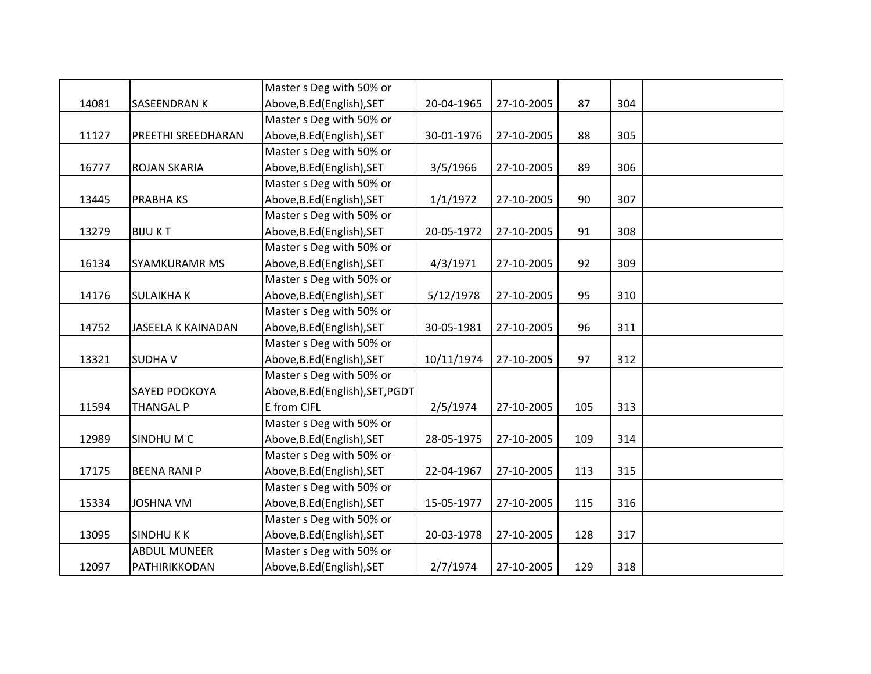|       |                           | Master s Deg with 50% or         |            |            |     |     |  |
|-------|---------------------------|----------------------------------|------------|------------|-----|-----|--|
| 14081 | <b>SASEENDRAN K</b>       | Above, B.Ed (English), SET       | 20-04-1965 | 27-10-2005 | 87  | 304 |  |
|       |                           | Master s Deg with 50% or         |            |            |     |     |  |
| 11127 | PREETHI SREEDHARAN        | Above, B.Ed (English), SET       | 30-01-1976 | 27-10-2005 | 88  | 305 |  |
|       |                           | Master s Deg with 50% or         |            |            |     |     |  |
| 16777 | <b>ROJAN SKARIA</b>       | Above, B.Ed (English), SET       | 3/5/1966   | 27-10-2005 | 89  | 306 |  |
|       |                           | Master s Deg with 50% or         |            |            |     |     |  |
| 13445 | <b>PRABHAKS</b>           | Above, B.Ed (English), SET       | 1/1/1972   | 27-10-2005 | 90  | 307 |  |
|       |                           | Master s Deg with 50% or         |            |            |     |     |  |
| 13279 | <b>BIJUKT</b>             | Above, B.Ed (English), SET       | 20-05-1972 | 27-10-2005 | 91  | 308 |  |
|       |                           | Master s Deg with 50% or         |            |            |     |     |  |
| 16134 | <b>SYAMKURAMR MS</b>      | Above, B.Ed (English), SET       | 4/3/1971   | 27-10-2005 | 92  | 309 |  |
|       |                           | Master s Deg with 50% or         |            |            |     |     |  |
| 14176 | <b>SULAIKHAK</b>          | Above, B.Ed (English), SET       | 5/12/1978  | 27-10-2005 | 95  | 310 |  |
|       |                           | Master s Deg with 50% or         |            |            |     |     |  |
| 14752 | <b>JASEELA K KAINADAN</b> | Above, B.Ed (English), SET       | 30-05-1981 | 27-10-2005 | 96  | 311 |  |
|       |                           | Master s Deg with 50% or         |            |            |     |     |  |
| 13321 | <b>SUDHAV</b>             | Above, B.Ed (English), SET       | 10/11/1974 | 27-10-2005 | 97  | 312 |  |
|       |                           | Master s Deg with 50% or         |            |            |     |     |  |
|       | SAYED POOKOYA             | Above, B.Ed (English), SET, PGDT |            |            |     |     |  |
| 11594 | <b>THANGAL P</b>          | E from CIFL                      | 2/5/1974   | 27-10-2005 | 105 | 313 |  |
|       |                           | Master s Deg with 50% or         |            |            |     |     |  |
| 12989 | SINDHUM C                 | Above, B.Ed (English), SET       | 28-05-1975 | 27-10-2005 | 109 | 314 |  |
|       |                           | Master s Deg with 50% or         |            |            |     |     |  |
| 17175 | <b>BEENA RANI P</b>       | Above, B.Ed (English), SET       | 22-04-1967 | 27-10-2005 | 113 | 315 |  |
|       |                           | Master s Deg with 50% or         |            |            |     |     |  |
| 15334 | <b>JOSHNA VM</b>          | Above, B.Ed (English), SET       | 15-05-1977 | 27-10-2005 | 115 | 316 |  |
|       |                           | Master s Deg with 50% or         |            |            |     |     |  |
| 13095 | <b>SINDHUKK</b>           | Above, B.Ed (English), SET       | 20-03-1978 | 27-10-2005 | 128 | 317 |  |
|       | <b>ABDUL MUNEER</b>       | Master s Deg with 50% or         |            |            |     |     |  |
| 12097 | PATHIRIKKODAN             | Above, B.Ed (English), SET       | 2/7/1974   | 27-10-2005 | 129 | 318 |  |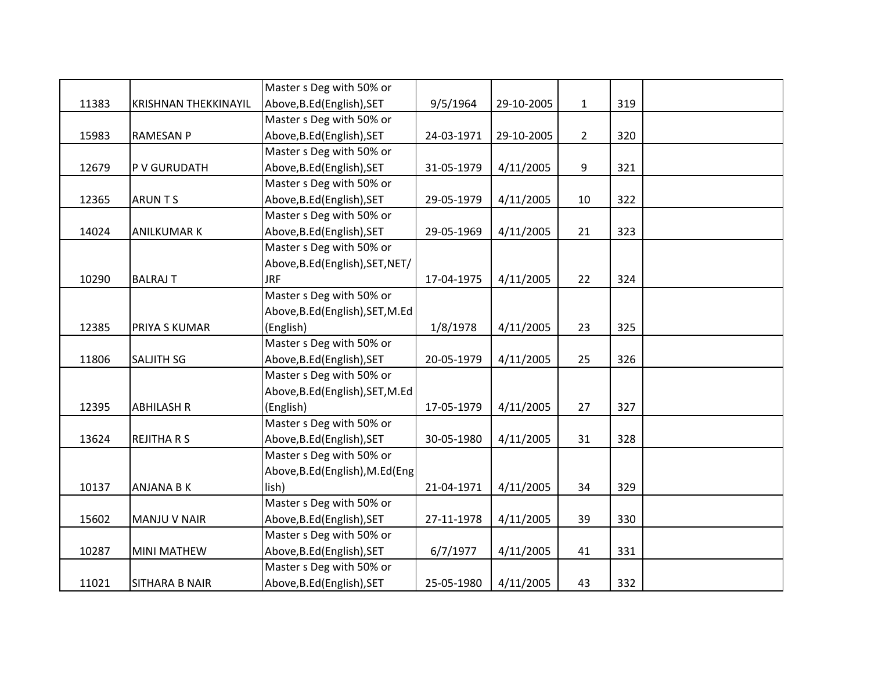|       |                             | Master s Deg with 50% or         |            |            |                |     |  |
|-------|-----------------------------|----------------------------------|------------|------------|----------------|-----|--|
| 11383 | <b>KRISHNAN THEKKINAYIL</b> | Above, B.Ed (English), SET       | 9/5/1964   | 29-10-2005 | $\mathbf{1}$   | 319 |  |
|       |                             | Master s Deg with 50% or         |            |            |                |     |  |
| 15983 | <b>RAMESAN P</b>            | Above, B.Ed (English), SET       | 24-03-1971 | 29-10-2005 | $\overline{2}$ | 320 |  |
|       |                             | Master s Deg with 50% or         |            |            |                |     |  |
| 12679 | P V GURUDATH                | Above, B.Ed (English), SET       | 31-05-1979 | 4/11/2005  | 9              | 321 |  |
|       |                             | Master s Deg with 50% or         |            |            |                |     |  |
| 12365 | <b>ARUNTS</b>               | Above, B.Ed (English), SET       | 29-05-1979 | 4/11/2005  | 10             | 322 |  |
|       |                             | Master s Deg with 50% or         |            |            |                |     |  |
| 14024 | <b>ANILKUMAR K</b>          | Above, B.Ed (English), SET       | 29-05-1969 | 4/11/2005  | 21             | 323 |  |
|       |                             | Master s Deg with 50% or         |            |            |                |     |  |
|       |                             | Above, B.Ed (English), SET, NET/ |            |            |                |     |  |
| 10290 | <b>BALRAJ T</b>             | <b>JRF</b>                       | 17-04-1975 | 4/11/2005  | 22             | 324 |  |
|       |                             | Master s Deg with 50% or         |            |            |                |     |  |
|       |                             | Above, B.Ed (English), SET, M.Ed |            |            |                |     |  |
| 12385 | PRIYA S KUMAR               | (English)                        | 1/8/1978   | 4/11/2005  | 23             | 325 |  |
|       |                             | Master s Deg with 50% or         |            |            |                |     |  |
| 11806 | SALJITH SG                  | Above, B.Ed (English), SET       | 20-05-1979 | 4/11/2005  | 25             | 326 |  |
|       |                             | Master s Deg with 50% or         |            |            |                |     |  |
|       |                             | Above, B.Ed (English), SET, M.Ed |            |            |                |     |  |
| 12395 | <b>ABHILASH R</b>           | (English)                        | 17-05-1979 | 4/11/2005  | 27             | 327 |  |
|       |                             | Master s Deg with 50% or         |            |            |                |     |  |
| 13624 | <b>REJITHA R S</b>          | Above, B.Ed (English), SET       | 30-05-1980 | 4/11/2005  | 31             | 328 |  |
|       |                             | Master s Deg with 50% or         |            |            |                |     |  |
|       |                             | Above, B.Ed (English), M.Ed (Eng |            |            |                |     |  |
| 10137 | ANJANA B K                  | lish)                            | 21-04-1971 | 4/11/2005  | 34             | 329 |  |
|       |                             | Master s Deg with 50% or         |            |            |                |     |  |
| 15602 | MANJU V NAIR                | Above, B.Ed (English), SET       | 27-11-1978 | 4/11/2005  | 39             | 330 |  |
|       |                             | Master s Deg with 50% or         |            |            |                |     |  |
| 10287 | <b>MINI MATHEW</b>          | Above, B.Ed (English), SET       | 6/7/1977   | 4/11/2005  | 41             | 331 |  |
|       |                             | Master s Deg with 50% or         |            |            |                |     |  |
| 11021 | <b>SITHARA B NAIR</b>       | Above, B.Ed (English), SET       | 25-05-1980 | 4/11/2005  | 43             | 332 |  |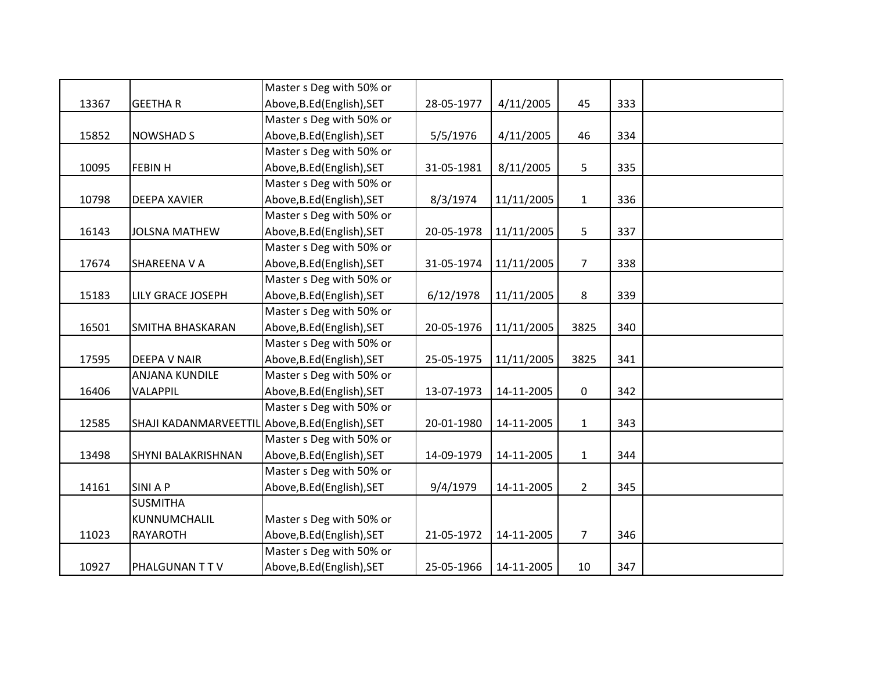|       |                                                  | Master s Deg with 50% or   |            |            |                  |     |  |
|-------|--------------------------------------------------|----------------------------|------------|------------|------------------|-----|--|
| 13367 | <b>GEETHAR</b>                                   | Above, B.Ed (English), SET | 28-05-1977 | 4/11/2005  | 45               | 333 |  |
|       |                                                  | Master s Deg with 50% or   |            |            |                  |     |  |
| 15852 | <b>NOWSHAD S</b>                                 | Above, B.Ed (English), SET | 5/5/1976   | 4/11/2005  | 46               | 334 |  |
|       |                                                  | Master s Deg with 50% or   |            |            |                  |     |  |
| 10095 | <b>FEBIN H</b>                                   | Above, B.Ed (English), SET | 31-05-1981 | 8/11/2005  | 5                | 335 |  |
|       |                                                  | Master s Deg with 50% or   |            |            |                  |     |  |
| 10798 | <b>DEEPA XAVIER</b>                              | Above, B.Ed (English), SET | 8/3/1974   | 11/11/2005 | $\mathbf{1}$     | 336 |  |
|       |                                                  | Master s Deg with 50% or   |            |            |                  |     |  |
| 16143 | <b>JOLSNA MATHEW</b>                             | Above, B.Ed (English), SET | 20-05-1978 | 11/11/2005 | 5                | 337 |  |
|       |                                                  | Master s Deg with 50% or   |            |            |                  |     |  |
| 17674 | <b>SHAREENA V A</b>                              | Above, B.Ed (English), SET | 31-05-1974 | 11/11/2005 | $\overline{7}$   | 338 |  |
|       |                                                  | Master s Deg with 50% or   |            |            |                  |     |  |
| 15183 | <b>LILY GRACE JOSEPH</b>                         | Above, B.Ed (English), SET | 6/12/1978  | 11/11/2005 | 8                | 339 |  |
|       |                                                  | Master s Deg with 50% or   |            |            |                  |     |  |
| 16501 | SMITHA BHASKARAN                                 | Above, B.Ed (English), SET | 20-05-1976 | 11/11/2005 | 3825             | 340 |  |
|       |                                                  | Master s Deg with 50% or   |            |            |                  |     |  |
| 17595 | <b>DEEPA V NAIR</b>                              | Above, B.Ed (English), SET | 25-05-1975 | 11/11/2005 | 3825             | 341 |  |
|       | <b>ANJANA KUNDILE</b>                            | Master s Deg with 50% or   |            |            |                  |     |  |
| 16406 | VALAPPIL                                         | Above, B.Ed (English), SET | 13-07-1973 | 14-11-2005 | $\boldsymbol{0}$ | 342 |  |
|       |                                                  | Master s Deg with 50% or   |            |            |                  |     |  |
| 12585 | SHAJI KADANMARVEETTIL Above, B.Ed (English), SET |                            | 20-01-1980 | 14-11-2005 | $\mathbf{1}$     | 343 |  |
|       |                                                  | Master s Deg with 50% or   |            |            |                  |     |  |
| 13498 | SHYNI BALAKRISHNAN                               | Above, B.Ed (English), SET | 14-09-1979 | 14-11-2005 | $\mathbf{1}$     | 344 |  |
|       |                                                  | Master s Deg with 50% or   |            |            |                  |     |  |
| 14161 | <b>SINIAP</b>                                    | Above, B.Ed (English), SET | 9/4/1979   | 14-11-2005 | $\overline{2}$   | 345 |  |
|       | <b>SUSMITHA</b>                                  |                            |            |            |                  |     |  |
|       | KUNNUMCHALIL                                     | Master s Deg with 50% or   |            |            |                  |     |  |
| 11023 | <b>RAYAROTH</b>                                  | Above, B.Ed (English), SET | 21-05-1972 | 14-11-2005 | $\overline{7}$   | 346 |  |
|       |                                                  | Master s Deg with 50% or   |            |            |                  |     |  |
| 10927 | <b>PHALGUNANTTV</b>                              | Above, B.Ed (English), SET | 25-05-1966 | 14-11-2005 | 10               | 347 |  |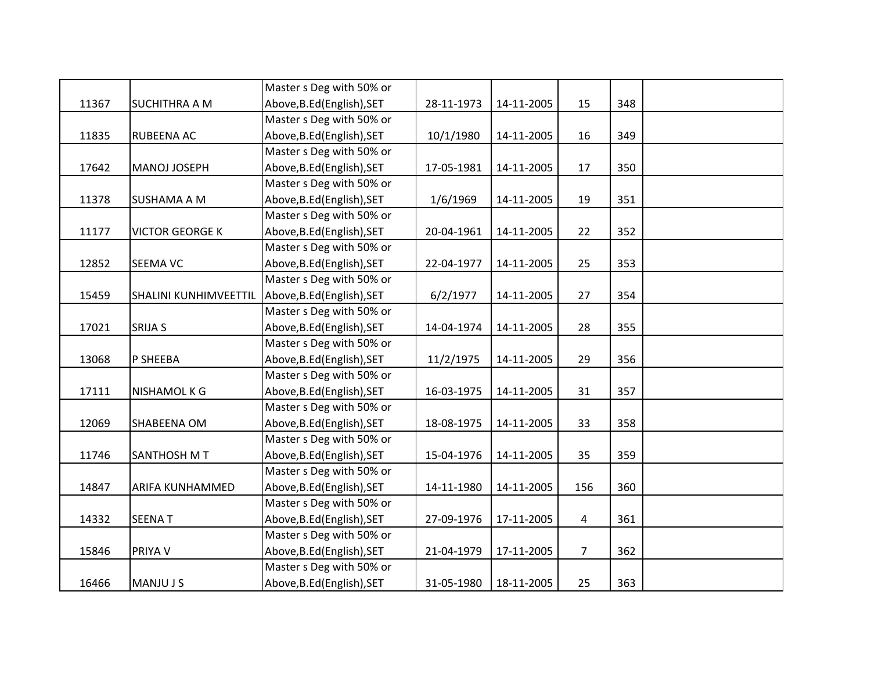|       |                        | Master s Deg with 50% or   |            |            |                |     |  |
|-------|------------------------|----------------------------|------------|------------|----------------|-----|--|
| 11367 | <b>SUCHITHRA A M</b>   | Above, B.Ed (English), SET | 28-11-1973 | 14-11-2005 | 15             | 348 |  |
|       |                        | Master s Deg with 50% or   |            |            |                |     |  |
| 11835 | <b>RUBEENA AC</b>      | Above, B.Ed (English), SET | 10/1/1980  | 14-11-2005 | 16             | 349 |  |
|       |                        | Master s Deg with 50% or   |            |            |                |     |  |
| 17642 | MANOJ JOSEPH           | Above, B.Ed (English), SET | 17-05-1981 | 14-11-2005 | 17             | 350 |  |
|       |                        | Master s Deg with 50% or   |            |            |                |     |  |
| 11378 | <b>SUSHAMA A M</b>     | Above, B.Ed (English), SET | 1/6/1969   | 14-11-2005 | 19             | 351 |  |
|       |                        | Master s Deg with 50% or   |            |            |                |     |  |
| 11177 | <b>VICTOR GEORGE K</b> | Above, B.Ed (English), SET | 20-04-1961 | 14-11-2005 | 22             | 352 |  |
|       |                        | Master s Deg with 50% or   |            |            |                |     |  |
| 12852 | <b>SEEMA VC</b>        | Above, B.Ed (English), SET | 22-04-1977 | 14-11-2005 | 25             | 353 |  |
|       |                        | Master s Deg with 50% or   |            |            |                |     |  |
| 15459 | SHALINI KUNHIMVEETTIL  | Above, B.Ed (English), SET | 6/2/1977   | 14-11-2005 | 27             | 354 |  |
|       |                        | Master s Deg with 50% or   |            |            |                |     |  |
| 17021 | <b>SRIJA S</b>         | Above, B.Ed (English), SET | 14-04-1974 | 14-11-2005 | 28             | 355 |  |
|       |                        | Master s Deg with 50% or   |            |            |                |     |  |
| 13068 | P SHEEBA               | Above, B.Ed (English), SET | 11/2/1975  | 14-11-2005 | 29             | 356 |  |
|       |                        | Master s Deg with 50% or   |            |            |                |     |  |
| 17111 | <b>NISHAMOL K G</b>    | Above, B.Ed (English), SET | 16-03-1975 | 14-11-2005 | 31             | 357 |  |
|       |                        | Master s Deg with 50% or   |            |            |                |     |  |
| 12069 | SHABEENA OM            | Above, B.Ed (English), SET | 18-08-1975 | 14-11-2005 | 33             | 358 |  |
|       |                        | Master s Deg with 50% or   |            |            |                |     |  |
| 11746 | <b>SANTHOSH M T</b>    | Above, B.Ed (English), SET | 15-04-1976 | 14-11-2005 | 35             | 359 |  |
|       |                        | Master s Deg with 50% or   |            |            |                |     |  |
| 14847 | <b>ARIFA KUNHAMMED</b> | Above, B.Ed (English), SET | 14-11-1980 | 14-11-2005 | 156            | 360 |  |
|       |                        | Master s Deg with 50% or   |            |            |                |     |  |
| 14332 | <b>SEENAT</b>          | Above, B.Ed (English), SET | 27-09-1976 | 17-11-2005 | $\overline{a}$ | 361 |  |
|       |                        | Master s Deg with 50% or   |            |            |                |     |  |
| 15846 | <b>PRIYAV</b>          | Above, B.Ed (English), SET | 21-04-1979 | 17-11-2005 | $\overline{7}$ | 362 |  |
|       |                        | Master s Deg with 50% or   |            |            |                |     |  |
| 16466 | <b>MANJUJS</b>         | Above, B.Ed (English), SET | 31-05-1980 | 18-11-2005 | 25             | 363 |  |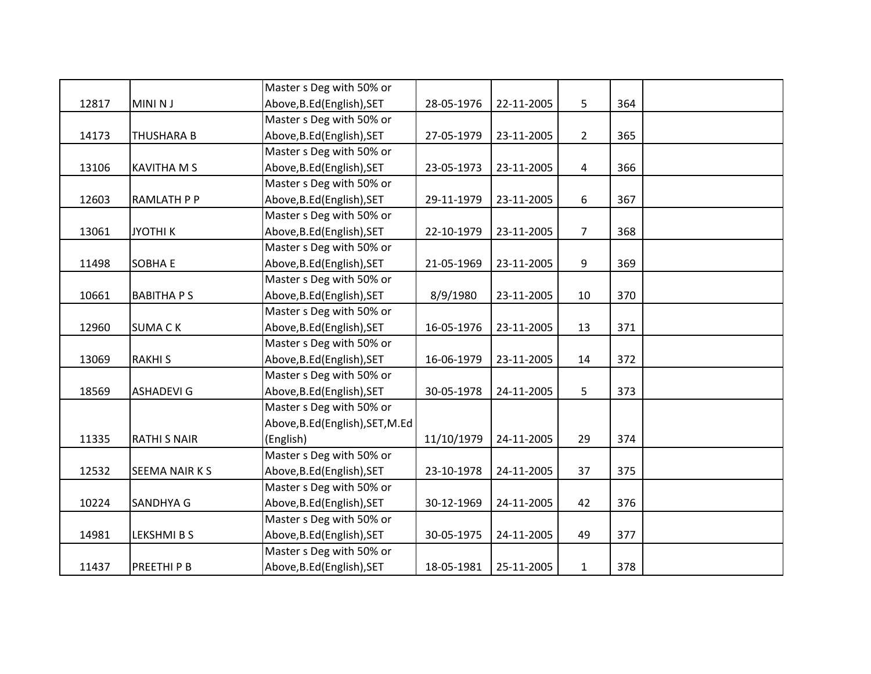|       |                     | Master s Deg with 50% or         |            |            |                |     |  |
|-------|---------------------|----------------------------------|------------|------------|----------------|-----|--|
| 12817 | <b>MINI NJ</b>      | Above, B.Ed (English), SET       | 28-05-1976 | 22-11-2005 | 5              | 364 |  |
|       |                     | Master s Deg with 50% or         |            |            |                |     |  |
| 14173 | <b>THUSHARA B</b>   | Above, B.Ed (English), SET       | 27-05-1979 | 23-11-2005 | $\overline{2}$ | 365 |  |
|       |                     | Master s Deg with 50% or         |            |            |                |     |  |
| 13106 | <b>KAVITHA M S</b>  | Above, B.Ed (English), SET       | 23-05-1973 | 23-11-2005 | $\overline{a}$ | 366 |  |
|       |                     | Master s Deg with 50% or         |            |            |                |     |  |
| 12603 | RAMLATH P P         | Above, B.Ed (English), SET       | 29-11-1979 | 23-11-2005 | 6              | 367 |  |
|       |                     | Master s Deg with 50% or         |            |            |                |     |  |
| 13061 | <b>JYOTHIK</b>      | Above, B.Ed (English), SET       | 22-10-1979 | 23-11-2005 | $\overline{7}$ | 368 |  |
|       |                     | Master s Deg with 50% or         |            |            |                |     |  |
| 11498 | <b>SOBHA E</b>      | Above, B.Ed (English), SET       | 21-05-1969 | 23-11-2005 | 9              | 369 |  |
|       |                     | Master s Deg with 50% or         |            |            |                |     |  |
| 10661 | <b>BABITHAPS</b>    | Above, B.Ed (English), SET       | 8/9/1980   | 23-11-2005 | 10             | 370 |  |
|       |                     | Master s Deg with 50% or         |            |            |                |     |  |
| 12960 | <b>SUMACK</b>       | Above, B.Ed (English), SET       | 16-05-1976 | 23-11-2005 | 13             | 371 |  |
|       |                     | Master s Deg with 50% or         |            |            |                |     |  |
| 13069 | <b>RAKHIS</b>       | Above, B.Ed (English), SET       | 16-06-1979 | 23-11-2005 | 14             | 372 |  |
|       |                     | Master s Deg with 50% or         |            |            |                |     |  |
| 18569 | <b>ASHADEVI G</b>   | Above, B.Ed (English), SET       | 30-05-1978 | 24-11-2005 | 5              | 373 |  |
|       |                     | Master s Deg with 50% or         |            |            |                |     |  |
|       |                     | Above, B.Ed (English), SET, M.Ed |            |            |                |     |  |
| 11335 | <b>RATHI S NAIR</b> | (English)                        | 11/10/1979 | 24-11-2005 | 29             | 374 |  |
|       |                     | Master s Deg with 50% or         |            |            |                |     |  |
| 12532 | SEEMA NAIR K S      | Above, B.Ed (English), SET       | 23-10-1978 | 24-11-2005 | 37             | 375 |  |
|       |                     | Master s Deg with 50% or         |            |            |                |     |  |
| 10224 | SANDHYA G           | Above, B.Ed (English), SET       | 30-12-1969 | 24-11-2005 | 42             | 376 |  |
|       |                     | Master s Deg with 50% or         |            |            |                |     |  |
| 14981 | <b>LEKSHMIBS</b>    | Above, B.Ed (English), SET       | 30-05-1975 | 24-11-2005 | 49             | 377 |  |
|       |                     | Master s Deg with 50% or         |            |            |                |     |  |
| 11437 | PREETHI P B         | Above, B.Ed (English), SET       | 18-05-1981 | 25-11-2005 | $\mathbf{1}$   | 378 |  |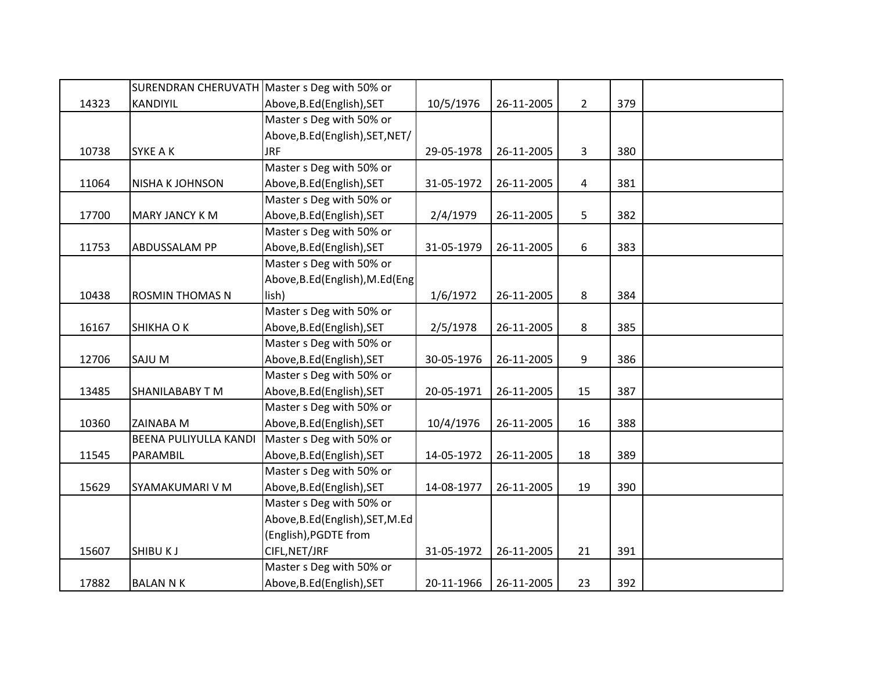|       |                        | SURENDRAN CHERUVATH Master s Deg with 50% or |            |            |                |     |  |
|-------|------------------------|----------------------------------------------|------------|------------|----------------|-----|--|
| 14323 | KANDIYIL               | Above, B.Ed (English), SET                   | 10/5/1976  | 26-11-2005 | $2^{\circ}$    | 379 |  |
|       |                        | Master s Deg with 50% or                     |            |            |                |     |  |
|       |                        | Above, B.Ed (English), SET, NET/             |            |            |                |     |  |
| 10738 | SYKE A K               | <b>JRF</b>                                   | 29-05-1978 | 26-11-2005 | $\overline{3}$ | 380 |  |
|       |                        | Master s Deg with 50% or                     |            |            |                |     |  |
| 11064 | <b>NISHA K JOHNSON</b> | Above, B.Ed (English), SET                   | 31-05-1972 | 26-11-2005 | $\overline{a}$ | 381 |  |
|       |                        | Master s Deg with 50% or                     |            |            |                |     |  |
| 17700 | <b>MARY JANCY KM</b>   | Above, B.Ed (English), SET                   | 2/4/1979   | 26-11-2005 | 5              | 382 |  |
|       |                        | Master s Deg with 50% or                     |            |            |                |     |  |
| 11753 | ABDUSSALAM PP          | Above, B.Ed (English), SET                   | 31-05-1979 | 26-11-2005 | 6              | 383 |  |
|       |                        | Master s Deg with 50% or                     |            |            |                |     |  |
|       |                        | Above, B.Ed (English), M.Ed (Eng             |            |            |                |     |  |
| 10438 | <b>ROSMIN THOMAS N</b> | lish)                                        | 1/6/1972   | 26-11-2005 | 8              | 384 |  |
|       |                        | Master s Deg with 50% or                     |            |            |                |     |  |
| 16167 | SHIKHA O K             | Above, B.Ed (English), SET                   | 2/5/1978   | 26-11-2005 | 8              | 385 |  |
|       |                        | Master s Deg with 50% or                     |            |            |                |     |  |
| 12706 | SAJU M                 | Above, B.Ed (English), SET                   | 30-05-1976 | 26-11-2005 | 9              | 386 |  |
|       |                        | Master s Deg with 50% or                     |            |            |                |     |  |
| 13485 | SHANILABABY TM         | Above, B.Ed (English), SET                   | 20-05-1971 | 26-11-2005 | 15             | 387 |  |
|       |                        | Master s Deg with 50% or                     |            |            |                |     |  |
| 10360 | ZAINABA M              | Above, B.Ed (English), SET                   | 10/4/1976  | 26-11-2005 | 16             | 388 |  |
|       | BEENA PULIYULLA KANDI  | Master s Deg with 50% or                     |            |            |                |     |  |
| 11545 | PARAMBIL               | Above, B.Ed (English), SET                   | 14-05-1972 | 26-11-2005 | 18             | 389 |  |
|       |                        | Master s Deg with 50% or                     |            |            |                |     |  |
| 15629 | SYAMAKUMARI V M        | Above, B.Ed (English), SET                   | 14-08-1977 | 26-11-2005 | 19             | 390 |  |
|       |                        | Master s Deg with 50% or                     |            |            |                |     |  |
|       |                        | Above, B.Ed (English), SET, M.Ed             |            |            |                |     |  |
|       |                        | (English), PGDTE from                        |            |            |                |     |  |
| 15607 | <b>SHIBUKJ</b>         | CIFL, NET/JRF                                | 31-05-1972 | 26-11-2005 | 21             | 391 |  |
|       |                        | Master s Deg with 50% or                     |            |            |                |     |  |
| 17882 | <b>BALAN N K</b>       | Above, B.Ed (English), SET                   | 20-11-1966 | 26-11-2005 | 23             | 392 |  |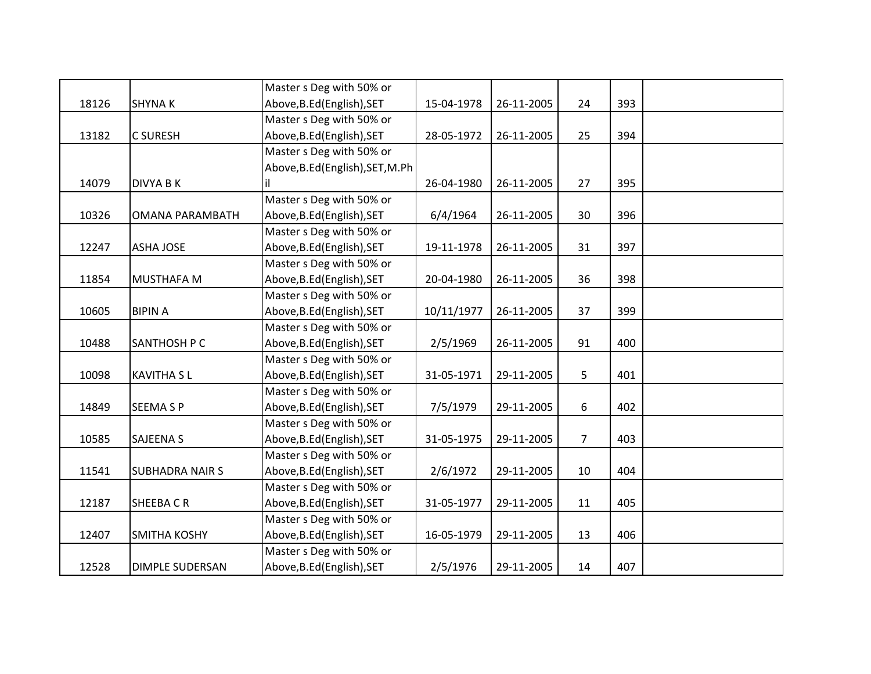|       |                        | Master s Deg with 50% or         |            |            |                |     |  |
|-------|------------------------|----------------------------------|------------|------------|----------------|-----|--|
| 18126 | <b>SHYNAK</b>          | Above, B.Ed (English), SET       | 15-04-1978 | 26-11-2005 | 24             | 393 |  |
|       |                        | Master s Deg with 50% or         |            |            |                |     |  |
| 13182 | <b>C SURESH</b>        | Above, B.Ed (English), SET       | 28-05-1972 | 26-11-2005 | 25             | 394 |  |
|       |                        | Master s Deg with 50% or         |            |            |                |     |  |
|       |                        | Above, B.Ed (English), SET, M.Ph |            |            |                |     |  |
| 14079 | <b>DIVYA B K</b>       | il                               | 26-04-1980 | 26-11-2005 | 27             | 395 |  |
|       |                        | Master s Deg with 50% or         |            |            |                |     |  |
| 10326 | <b>OMANA PARAMBATH</b> | Above, B.Ed (English), SET       | 6/4/1964   | 26-11-2005 | 30             | 396 |  |
|       |                        | Master s Deg with 50% or         |            |            |                |     |  |
| 12247 | <b>ASHA JOSE</b>       | Above, B.Ed (English), SET       | 19-11-1978 | 26-11-2005 | 31             | 397 |  |
|       |                        | Master s Deg with 50% or         |            |            |                |     |  |
| 11854 | <b>MUSTHAFA M</b>      | Above, B.Ed (English), SET       | 20-04-1980 | 26-11-2005 | 36             | 398 |  |
|       |                        | Master s Deg with 50% or         |            |            |                |     |  |
| 10605 | <b>BIPIN A</b>         | Above, B.Ed (English), SET       | 10/11/1977 | 26-11-2005 | 37             | 399 |  |
|       |                        | Master s Deg with 50% or         |            |            |                |     |  |
| 10488 | SANTHOSH P C           | Above, B.Ed (English), SET       | 2/5/1969   | 26-11-2005 | 91             | 400 |  |
|       |                        | Master s Deg with 50% or         |            |            |                |     |  |
| 10098 | <b>KAVITHA SL</b>      | Above, B.Ed (English), SET       | 31-05-1971 | 29-11-2005 | 5 <sup>5</sup> | 401 |  |
|       |                        | Master s Deg with 50% or         |            |            |                |     |  |
| 14849 | <b>SEEMA S P</b>       | Above, B.Ed (English), SET       | 7/5/1979   | 29-11-2005 | 6              | 402 |  |
|       |                        | Master s Deg with 50% or         |            |            |                |     |  |
| 10585 | <b>SAJEENA S</b>       | Above, B.Ed (English), SET       | 31-05-1975 | 29-11-2005 | $\overline{7}$ | 403 |  |
|       |                        | Master s Deg with 50% or         |            |            |                |     |  |
| 11541 | <b>SUBHADRA NAIR S</b> | Above, B.Ed (English), SET       | 2/6/1972   | 29-11-2005 | 10             | 404 |  |
|       |                        | Master s Deg with 50% or         |            |            |                |     |  |
| 12187 | SHEEBACR               | Above, B.Ed (English), SET       | 31-05-1977 | 29-11-2005 | 11             | 405 |  |
|       |                        | Master s Deg with 50% or         |            |            |                |     |  |
| 12407 | <b>SMITHA KOSHY</b>    | Above, B.Ed (English), SET       | 16-05-1979 | 29-11-2005 | 13             | 406 |  |
|       |                        | Master s Deg with 50% or         |            |            |                |     |  |
| 12528 | <b>DIMPLE SUDERSAN</b> | Above, B.Ed (English), SET       | 2/5/1976   | 29-11-2005 | 14             | 407 |  |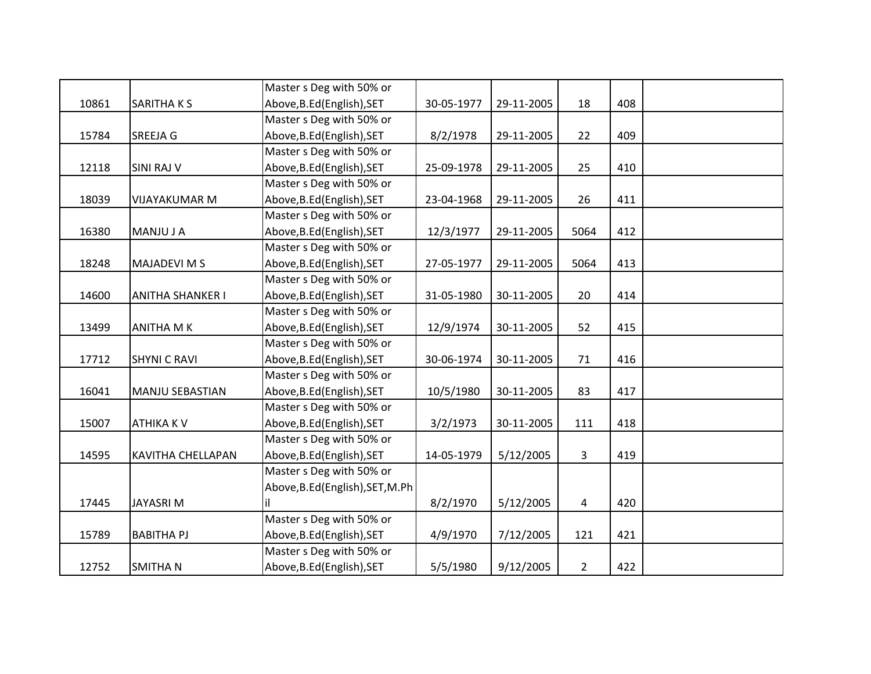|       |                          | Master s Deg with 50% or         |            |            |                |     |  |
|-------|--------------------------|----------------------------------|------------|------------|----------------|-----|--|
| 10861 | <b>SARITHAKS</b>         | Above, B.Ed (English), SET       | 30-05-1977 | 29-11-2005 | 18             | 408 |  |
|       |                          | Master s Deg with 50% or         |            |            |                |     |  |
| 15784 | SREEJA G                 | Above, B.Ed (English), SET       | 8/2/1978   | 29-11-2005 | 22             | 409 |  |
|       |                          | Master s Deg with 50% or         |            |            |                |     |  |
| 12118 | <b>SINI RAJ V</b>        | Above, B.Ed (English), SET       | 25-09-1978 | 29-11-2005 | 25             | 410 |  |
|       |                          | Master s Deg with 50% or         |            |            |                |     |  |
| 18039 | <b>VIJAYAKUMAR M</b>     | Above, B.Ed (English), SET       | 23-04-1968 | 29-11-2005 | 26             | 411 |  |
|       |                          | Master s Deg with 50% or         |            |            |                |     |  |
| 16380 | MANJU J A                | Above, B.Ed (English), SET       | 12/3/1977  | 29-11-2005 | 5064           | 412 |  |
|       |                          | Master s Deg with 50% or         |            |            |                |     |  |
| 18248 | <b>MAJADEVI M S</b>      | Above, B.Ed (English), SET       | 27-05-1977 | 29-11-2005 | 5064           | 413 |  |
|       |                          | Master s Deg with 50% or         |            |            |                |     |  |
| 14600 | <b>ANITHA SHANKER I</b>  | Above, B.Ed (English), SET       | 31-05-1980 | 30-11-2005 | 20             | 414 |  |
|       |                          | Master s Deg with 50% or         |            |            |                |     |  |
| 13499 | <b>ANITHA MK</b>         | Above, B.Ed (English), SET       | 12/9/1974  | 30-11-2005 | 52             | 415 |  |
|       |                          | Master s Deg with 50% or         |            |            |                |     |  |
| 17712 | <b>SHYNI C RAVI</b>      | Above, B.Ed (English), SET       | 30-06-1974 | 30-11-2005 | 71             | 416 |  |
|       |                          | Master s Deg with 50% or         |            |            |                |     |  |
| 16041 | <b>MANJU SEBASTIAN</b>   | Above, B.Ed (English), SET       | 10/5/1980  | 30-11-2005 | 83             | 417 |  |
|       |                          | Master s Deg with 50% or         |            |            |                |     |  |
| 15007 | <b>ATHIKA KV</b>         | Above, B.Ed (English), SET       | 3/2/1973   | 30-11-2005 | 111            | 418 |  |
|       |                          | Master s Deg with 50% or         |            |            |                |     |  |
| 14595 | <b>KAVITHA CHELLAPAN</b> | Above, B.Ed (English), SET       | 14-05-1979 | 5/12/2005  | $\overline{3}$ | 419 |  |
|       |                          | Master s Deg with 50% or         |            |            |                |     |  |
|       |                          | Above, B.Ed (English), SET, M.Ph |            |            |                |     |  |
| 17445 | <b>JAYASRIM</b>          | il                               | 8/2/1970   | 5/12/2005  | 4              | 420 |  |
|       |                          | Master s Deg with 50% or         |            |            |                |     |  |
| 15789 | <b>BABITHA PJ</b>        | Above, B.Ed (English), SET       | 4/9/1970   | 7/12/2005  | 121            | 421 |  |
|       |                          | Master s Deg with 50% or         |            |            |                |     |  |
| 12752 | <b>SMITHAN</b>           | Above, B.Ed (English), SET       | 5/5/1980   | 9/12/2005  | $\overline{2}$ | 422 |  |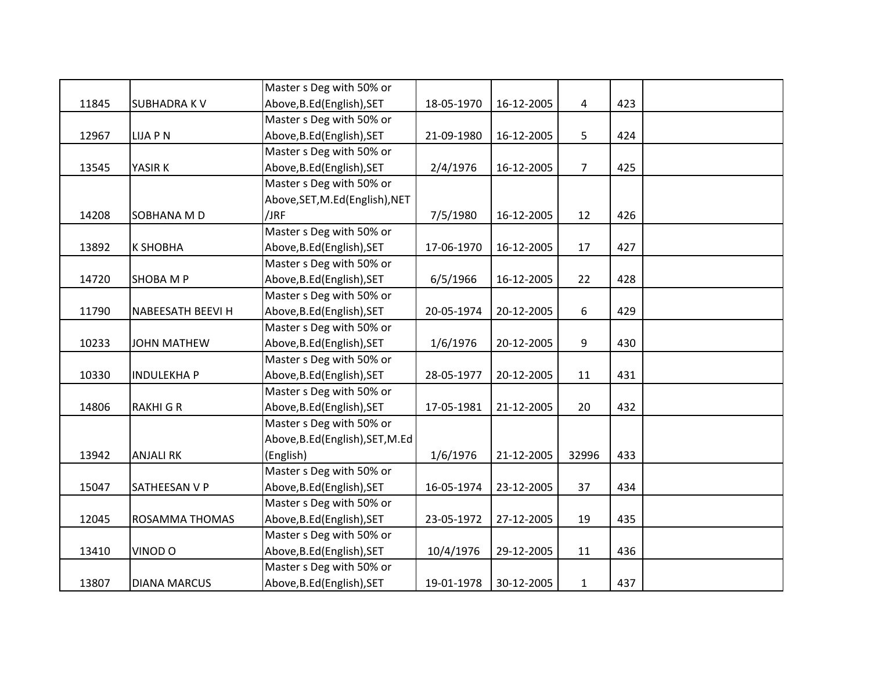|       |                          | Master s Deg with 50% or         |            |            |                |     |  |
|-------|--------------------------|----------------------------------|------------|------------|----------------|-----|--|
| 11845 | <b>SUBHADRAKV</b>        | Above, B.Ed (English), SET       | 18-05-1970 | 16-12-2005 | $\overline{4}$ | 423 |  |
|       |                          | Master s Deg with 50% or         |            |            |                |     |  |
| 12967 | <b>LIJA P N</b>          | Above, B.Ed (English), SET       | 21-09-1980 | 16-12-2005 | 5              | 424 |  |
|       |                          | Master s Deg with 50% or         |            |            |                |     |  |
| 13545 | YASIR K                  | Above, B.Ed (English), SET       | 2/4/1976   | 16-12-2005 | $\overline{7}$ | 425 |  |
|       |                          | Master s Deg with 50% or         |            |            |                |     |  |
|       |                          | Above, SET, M.Ed (English), NET  |            |            |                |     |  |
| 14208 | SOBHANA M D              | /JRF                             | 7/5/1980   | 16-12-2005 | 12             | 426 |  |
|       |                          | Master s Deg with 50% or         |            |            |                |     |  |
| 13892 | К ЅНОВНА                 | Above, B.Ed (English), SET       | 17-06-1970 | 16-12-2005 | 17             | 427 |  |
|       |                          | Master s Deg with 50% or         |            |            |                |     |  |
| 14720 | <b>SHOBA M P</b>         | Above, B.Ed (English), SET       | 6/5/1966   | 16-12-2005 | 22             | 428 |  |
|       |                          | Master s Deg with 50% or         |            |            |                |     |  |
| 11790 | <b>NABEESATH BEEVI H</b> | Above, B.Ed (English), SET       | 20-05-1974 | 20-12-2005 | 6              | 429 |  |
|       |                          | Master s Deg with 50% or         |            |            |                |     |  |
| 10233 | <b>JOHN MATHEW</b>       | Above, B.Ed (English), SET       | 1/6/1976   | 20-12-2005 | 9              | 430 |  |
|       |                          | Master s Deg with 50% or         |            |            |                |     |  |
| 10330 | <b>INDULEKHAP</b>        | Above, B.Ed (English), SET       | 28-05-1977 | 20-12-2005 | 11             | 431 |  |
|       |                          | Master s Deg with 50% or         |            |            |                |     |  |
| 14806 | <b>RAKHIGR</b>           | Above, B.Ed (English), SET       | 17-05-1981 | 21-12-2005 | 20             | 432 |  |
|       |                          | Master s Deg with 50% or         |            |            |                |     |  |
|       |                          | Above, B.Ed (English), SET, M.Ed |            |            |                |     |  |
| 13942 | <b>ANJALI RK</b>         | (English)                        | 1/6/1976   | 21-12-2005 | 32996          | 433 |  |
|       |                          | Master s Deg with 50% or         |            |            |                |     |  |
| 15047 | SATHEESAN V P            | Above, B.Ed (English), SET       | 16-05-1974 | 23-12-2005 | 37             | 434 |  |
|       |                          | Master s Deg with 50% or         |            |            |                |     |  |
| 12045 | ROSAMMA THOMAS           | Above, B.Ed (English), SET       | 23-05-1972 | 27-12-2005 | 19             | 435 |  |
|       |                          | Master s Deg with 50% or         |            |            |                |     |  |
| 13410 | VINOD O                  | Above, B.Ed (English), SET       | 10/4/1976  | 29-12-2005 | 11             | 436 |  |
|       |                          | Master s Deg with 50% or         |            |            |                |     |  |
| 13807 | <b>DIANA MARCUS</b>      | Above, B.Ed (English), SET       | 19-01-1978 | 30-12-2005 | $\mathbf{1}$   | 437 |  |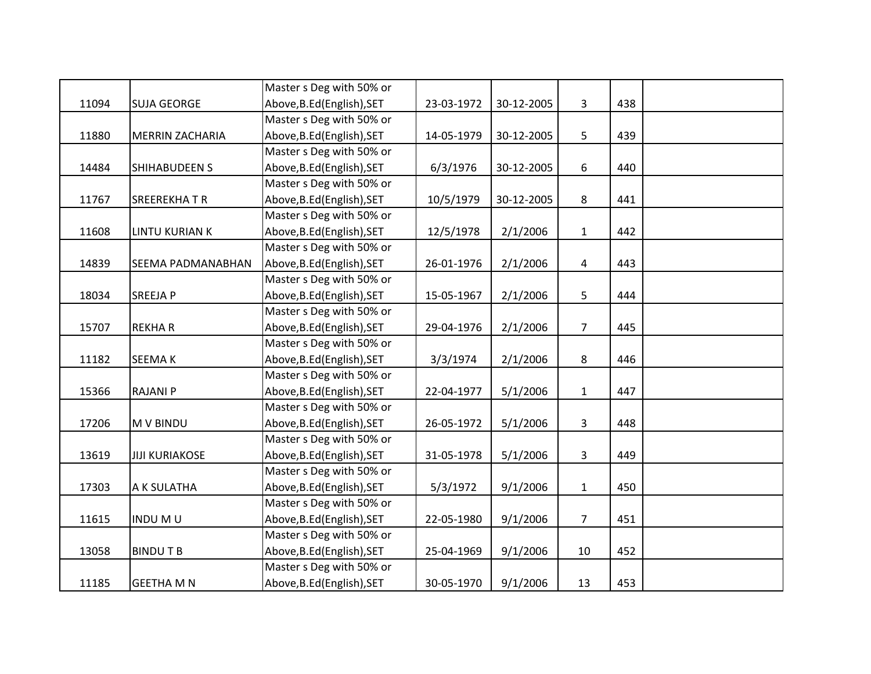|       |                        | Master s Deg with 50% or   |            |            |                |     |  |
|-------|------------------------|----------------------------|------------|------------|----------------|-----|--|
| 11094 | <b>SUJA GEORGE</b>     | Above, B.Ed (English), SET | 23-03-1972 | 30-12-2005 | 3              | 438 |  |
|       |                        | Master s Deg with 50% or   |            |            |                |     |  |
| 11880 | <b>MERRIN ZACHARIA</b> | Above, B.Ed (English), SET | 14-05-1979 | 30-12-2005 | 5              | 439 |  |
|       |                        | Master s Deg with 50% or   |            |            |                |     |  |
| 14484 | SHIHABUDEEN S          | Above, B.Ed (English), SET | 6/3/1976   | 30-12-2005 | 6              | 440 |  |
|       |                        | Master s Deg with 50% or   |            |            |                |     |  |
| 11767 | <b>SREEREKHATR</b>     | Above, B.Ed (English), SET | 10/5/1979  | 30-12-2005 | 8              | 441 |  |
|       |                        | Master s Deg with 50% or   |            |            |                |     |  |
| 11608 | <b>LINTU KURIAN K</b>  | Above, B.Ed (English), SET | 12/5/1978  | 2/1/2006   | $\mathbf{1}$   | 442 |  |
|       |                        | Master s Deg with 50% or   |            |            |                |     |  |
| 14839 | SEEMA PADMANABHAN      | Above, B.Ed (English), SET | 26-01-1976 | 2/1/2006   | 4              | 443 |  |
|       |                        | Master s Deg with 50% or   |            |            |                |     |  |
| 18034 | <b>SREEJAP</b>         | Above, B.Ed (English), SET | 15-05-1967 | 2/1/2006   | 5              | 444 |  |
|       |                        | Master s Deg with 50% or   |            |            |                |     |  |
| 15707 | <b>REKHAR</b>          | Above, B.Ed (English), SET | 29-04-1976 | 2/1/2006   | $\overline{7}$ | 445 |  |
|       |                        | Master s Deg with 50% or   |            |            |                |     |  |
| 11182 | <b>SEEMAK</b>          | Above, B.Ed (English), SET | 3/3/1974   | 2/1/2006   | 8              | 446 |  |
|       |                        | Master s Deg with 50% or   |            |            |                |     |  |
| 15366 | <b>RAJANI P</b>        | Above, B.Ed (English), SET | 22-04-1977 | 5/1/2006   | $\mathbf{1}$   | 447 |  |
|       |                        | Master s Deg with 50% or   |            |            |                |     |  |
| 17206 | <b>M V BINDU</b>       | Above, B.Ed (English), SET | 26-05-1972 | 5/1/2006   | 3              | 448 |  |
|       |                        | Master s Deg with 50% or   |            |            |                |     |  |
| 13619 | <b>JIJI KURIAKOSE</b>  | Above, B.Ed (English), SET | 31-05-1978 | 5/1/2006   | $\overline{3}$ | 449 |  |
|       |                        | Master s Deg with 50% or   |            |            |                |     |  |
| 17303 | A K SULATHA            | Above, B.Ed (English), SET | 5/3/1972   | 9/1/2006   | $\mathbf{1}$   | 450 |  |
|       |                        | Master s Deg with 50% or   |            |            |                |     |  |
| 11615 | <b>INDUMU</b>          | Above, B.Ed (English), SET | 22-05-1980 | 9/1/2006   | $\overline{7}$ | 451 |  |
|       |                        | Master s Deg with 50% or   |            |            |                |     |  |
| 13058 | <b>BINDUTB</b>         | Above, B.Ed (English), SET | 25-04-1969 | 9/1/2006   | 10             | 452 |  |
|       |                        | Master s Deg with 50% or   |            |            |                |     |  |
| 11185 | <b>GEETHA M N</b>      | Above, B.Ed (English), SET | 30-05-1970 | 9/1/2006   | 13             | 453 |  |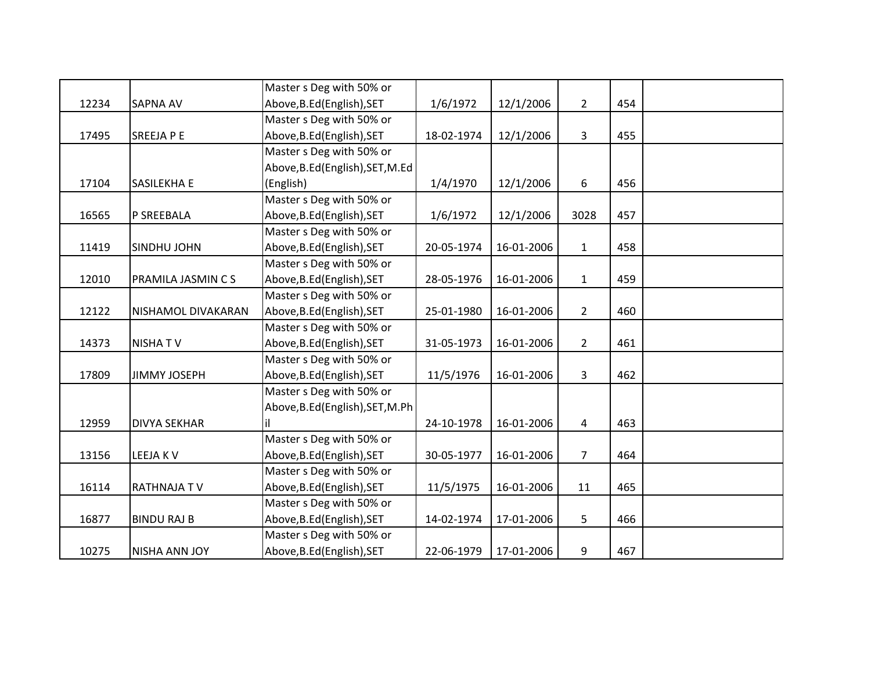|       |                      | Master s Deg with 50% or         |            |            |                |     |  |
|-------|----------------------|----------------------------------|------------|------------|----------------|-----|--|
| 12234 | <b>SAPNA AV</b>      | Above, B.Ed (English), SET       | 1/6/1972   | 12/1/2006  | $\overline{2}$ | 454 |  |
|       |                      | Master s Deg with 50% or         |            |            |                |     |  |
| 17495 | <b>SREEJA P E</b>    | Above, B.Ed (English), SET       | 18-02-1974 | 12/1/2006  | 3              | 455 |  |
|       |                      | Master s Deg with 50% or         |            |            |                |     |  |
|       |                      | Above, B.Ed (English), SET, M.Ed |            |            |                |     |  |
| 17104 | <b>SASILEKHA E</b>   | (English)                        | 1/4/1970   | 12/1/2006  | 6              | 456 |  |
|       |                      | Master s Deg with 50% or         |            |            |                |     |  |
| 16565 | P SREEBALA           | Above, B.Ed (English), SET       | 1/6/1972   | 12/1/2006  | 3028           | 457 |  |
|       |                      | Master s Deg with 50% or         |            |            |                |     |  |
| 11419 | <b>SINDHU JOHN</b>   | Above, B.Ed (English), SET       | 20-05-1974 | 16-01-2006 | $\mathbf{1}$   | 458 |  |
|       |                      | Master s Deg with 50% or         |            |            |                |     |  |
| 12010 | PRAMILA JASMIN C S   | Above, B.Ed (English), SET       | 28-05-1976 | 16-01-2006 | $\mathbf{1}$   | 459 |  |
|       |                      | Master s Deg with 50% or         |            |            |                |     |  |
| 12122 | NISHAMOL DIVAKARAN   | Above, B.Ed (English), SET       | 25-01-1980 | 16-01-2006 | $\overline{2}$ | 460 |  |
|       |                      | Master s Deg with 50% or         |            |            |                |     |  |
| 14373 | <b>NISHATV</b>       | Above, B.Ed (English), SET       | 31-05-1973 | 16-01-2006 | $\overline{2}$ | 461 |  |
|       |                      | Master s Deg with 50% or         |            |            |                |     |  |
| 17809 | <b>JIMMY JOSEPH</b>  | Above, B.Ed (English), SET       | 11/5/1976  | 16-01-2006 | 3              | 462 |  |
|       |                      | Master s Deg with 50% or         |            |            |                |     |  |
|       |                      | Above, B.Ed (English), SET, M.Ph |            |            |                |     |  |
| 12959 | <b>DIVYA SEKHAR</b>  | il                               | 24-10-1978 | 16-01-2006 | $\overline{4}$ | 463 |  |
|       |                      | Master s Deg with 50% or         |            |            |                |     |  |
| 13156 | LEEJA KV             | Above, B.Ed (English), SET       | 30-05-1977 | 16-01-2006 | $\overline{7}$ | 464 |  |
|       |                      | Master s Deg with 50% or         |            |            |                |     |  |
| 16114 | <b>RATHNAJATV</b>    | Above, B.Ed (English), SET       | 11/5/1975  | 16-01-2006 | 11             | 465 |  |
|       |                      | Master s Deg with 50% or         |            |            |                |     |  |
| 16877 | <b>BINDU RAJ B</b>   | Above, B.Ed (English), SET       | 14-02-1974 | 17-01-2006 | 5              | 466 |  |
|       |                      | Master s Deg with 50% or         |            |            |                |     |  |
| 10275 | <b>NISHA ANN JOY</b> | Above, B.Ed (English), SET       | 22-06-1979 | 17-01-2006 | 9              | 467 |  |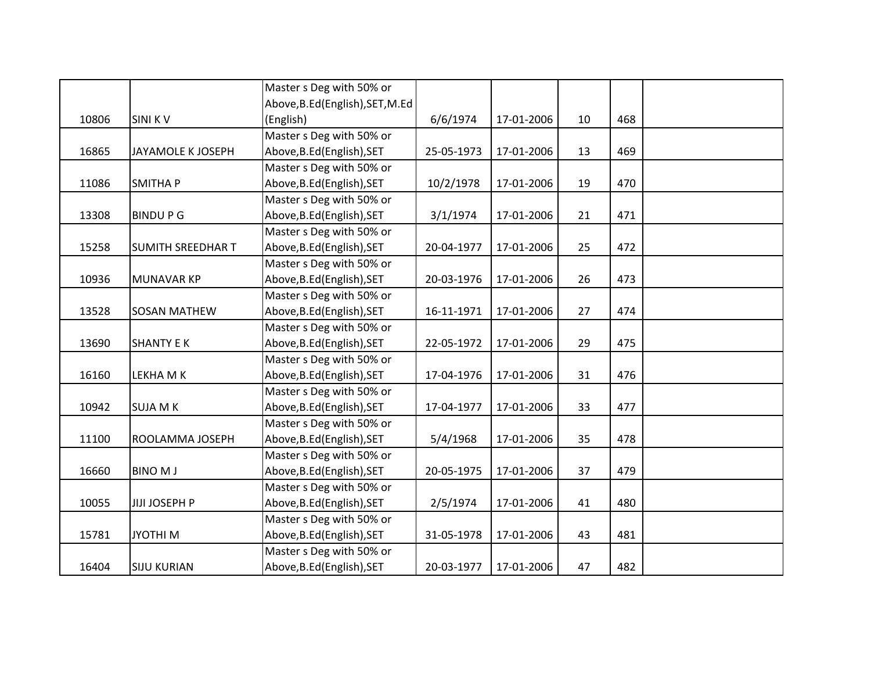|       |                          | Master s Deg with 50% or         |            |            |    |     |  |
|-------|--------------------------|----------------------------------|------------|------------|----|-----|--|
|       |                          | Above, B.Ed (English), SET, M.Ed |            |            |    |     |  |
| 10806 | <b>SINI KV</b>           | (English)                        | 6/6/1974   | 17-01-2006 | 10 | 468 |  |
|       |                          | Master s Deg with 50% or         |            |            |    |     |  |
| 16865 | <b>JAYAMOLE K JOSEPH</b> | Above, B.Ed (English), SET       | 25-05-1973 | 17-01-2006 | 13 | 469 |  |
|       |                          | Master s Deg with 50% or         |            |            |    |     |  |
| 11086 | <b>SMITHAP</b>           | Above, B.Ed (English), SET       | 10/2/1978  | 17-01-2006 | 19 | 470 |  |
|       |                          | Master s Deg with 50% or         |            |            |    |     |  |
| 13308 | <b>BINDUPG</b>           | Above, B.Ed (English), SET       | 3/1/1974   | 17-01-2006 | 21 | 471 |  |
|       |                          | Master s Deg with 50% or         |            |            |    |     |  |
| 15258 | <b>SUMITH SREEDHAR T</b> | Above, B.Ed (English), SET       | 20-04-1977 | 17-01-2006 | 25 | 472 |  |
|       |                          | Master s Deg with 50% or         |            |            |    |     |  |
| 10936 | MUNAVAR KP               | Above, B.Ed (English), SET       | 20-03-1976 | 17-01-2006 | 26 | 473 |  |
|       |                          | Master s Deg with 50% or         |            |            |    |     |  |
| 13528 | <b>SOSAN MATHEW</b>      | Above, B.Ed (English), SET       | 16-11-1971 | 17-01-2006 | 27 | 474 |  |
|       |                          | Master s Deg with 50% or         |            |            |    |     |  |
| 13690 | <b>SHANTY E K</b>        | Above, B.Ed (English), SET       | 22-05-1972 | 17-01-2006 | 29 | 475 |  |
|       |                          | Master s Deg with 50% or         |            |            |    |     |  |
| 16160 | LEKHA M K                | Above, B.Ed (English), SET       | 17-04-1976 | 17-01-2006 | 31 | 476 |  |
|       |                          | Master s Deg with 50% or         |            |            |    |     |  |
| 10942 | <b>SUJA M K</b>          | Above, B.Ed (English), SET       | 17-04-1977 | 17-01-2006 | 33 | 477 |  |
|       |                          | Master s Deg with 50% or         |            |            |    |     |  |
| 11100 | ROOLAMMA JOSEPH          | Above, B.Ed (English), SET       | 5/4/1968   | 17-01-2006 | 35 | 478 |  |
|       |                          | Master s Deg with 50% or         |            |            |    |     |  |
| 16660 | <b>BINO MJ</b>           | Above, B.Ed (English), SET       | 20-05-1975 | 17-01-2006 | 37 | 479 |  |
|       |                          | Master s Deg with 50% or         |            |            |    |     |  |
| 10055 | JIJI JOSEPH P            | Above, B.Ed (English), SET       | 2/5/1974   | 17-01-2006 | 41 | 480 |  |
|       |                          | Master s Deg with 50% or         |            |            |    |     |  |
| 15781 | <b>JYOTHIM</b>           | Above, B.Ed (English), SET       | 31-05-1978 | 17-01-2006 | 43 | 481 |  |
|       |                          | Master s Deg with 50% or         |            |            |    |     |  |
| 16404 | <b>SIJU KURIAN</b>       | Above, B.Ed (English), SET       | 20-03-1977 | 17-01-2006 | 47 | 482 |  |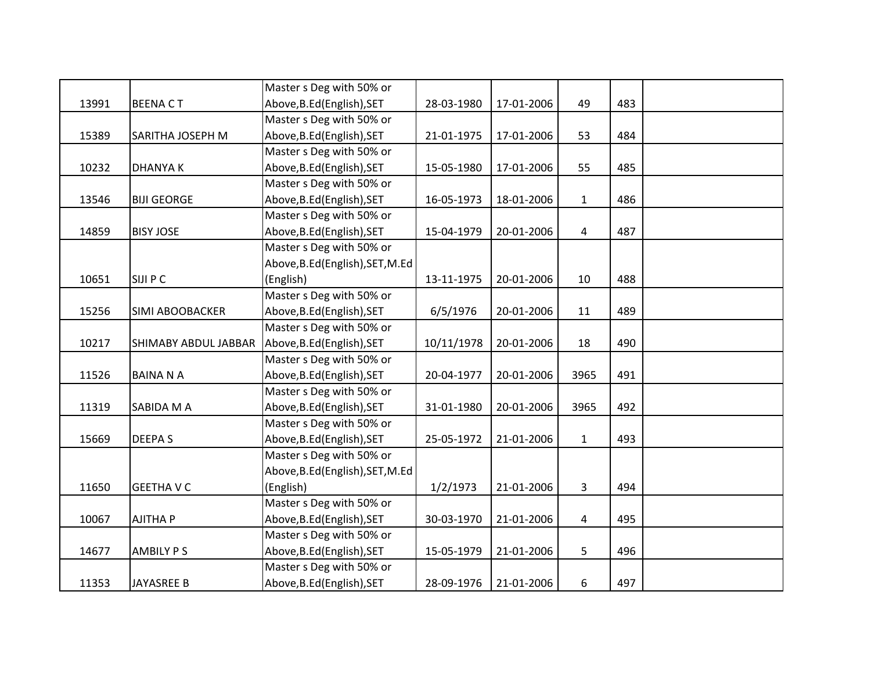|       |                      | Master s Deg with 50% or         |            |            |                |     |  |
|-------|----------------------|----------------------------------|------------|------------|----------------|-----|--|
| 13991 | <b>BEENACT</b>       | Above, B.Ed (English), SET       | 28-03-1980 | 17-01-2006 | 49             | 483 |  |
|       |                      | Master s Deg with 50% or         |            |            |                |     |  |
| 15389 | SARITHA JOSEPH M     | Above, B.Ed (English), SET       | 21-01-1975 | 17-01-2006 | 53             | 484 |  |
|       |                      | Master s Deg with 50% or         |            |            |                |     |  |
| 10232 | <b>DHANYAK</b>       | Above, B.Ed (English), SET       | 15-05-1980 | 17-01-2006 | 55             | 485 |  |
|       |                      | Master s Deg with 50% or         |            |            |                |     |  |
| 13546 | <b>BIJI GEORGE</b>   | Above, B.Ed (English), SET       | 16-05-1973 | 18-01-2006 | $\mathbf{1}$   | 486 |  |
|       |                      | Master s Deg with 50% or         |            |            |                |     |  |
| 14859 | <b>BISY JOSE</b>     | Above, B.Ed (English), SET       | 15-04-1979 | 20-01-2006 | $\overline{4}$ | 487 |  |
|       |                      | Master s Deg with 50% or         |            |            |                |     |  |
|       |                      | Above, B.Ed (English), SET, M.Ed |            |            |                |     |  |
| 10651 | SIJI P C             | (English)                        | 13-11-1975 | 20-01-2006 | 10             | 488 |  |
|       |                      | Master s Deg with 50% or         |            |            |                |     |  |
| 15256 | SIMI ABOOBACKER      | Above, B.Ed (English), SET       | 6/5/1976   | 20-01-2006 | 11             | 489 |  |
|       |                      | Master s Deg with 50% or         |            |            |                |     |  |
| 10217 | SHIMABY ABDUL JABBAR | Above, B.Ed (English), SET       | 10/11/1978 | 20-01-2006 | 18             | 490 |  |
|       |                      | Master s Deg with 50% or         |            |            |                |     |  |
| 11526 | <b>BAINA N A</b>     | Above, B.Ed (English), SET       | 20-04-1977 | 20-01-2006 | 3965           | 491 |  |
|       |                      | Master s Deg with 50% or         |            |            |                |     |  |
| 11319 | SABIDA M A           | Above, B.Ed (English), SET       | 31-01-1980 | 20-01-2006 | 3965           | 492 |  |
|       |                      | Master s Deg with 50% or         |            |            |                |     |  |
| 15669 | <b>DEEPAS</b>        | Above, B.Ed (English), SET       | 25-05-1972 | 21-01-2006 | $\mathbf{1}$   | 493 |  |
|       |                      | Master s Deg with 50% or         |            |            |                |     |  |
|       |                      | Above, B.Ed (English), SET, M.Ed |            |            |                |     |  |
| 11650 | <b>GEETHAVC</b>      | (English)                        | 1/2/1973   | 21-01-2006 | 3              | 494 |  |
|       |                      | Master s Deg with 50% or         |            |            |                |     |  |
| 10067 | AJITHA P             | Above, B.Ed (English), SET       | 30-03-1970 | 21-01-2006 | $\overline{a}$ | 495 |  |
|       |                      | Master s Deg with 50% or         |            |            |                |     |  |
| 14677 | <b>AMBILY PS</b>     | Above, B.Ed (English), SET       | 15-05-1979 | 21-01-2006 | 5              | 496 |  |
|       |                      | Master s Deg with 50% or         |            |            |                |     |  |
| 11353 | <b>JAYASREE B</b>    | Above, B.Ed (English), SET       | 28-09-1976 | 21-01-2006 | 6              | 497 |  |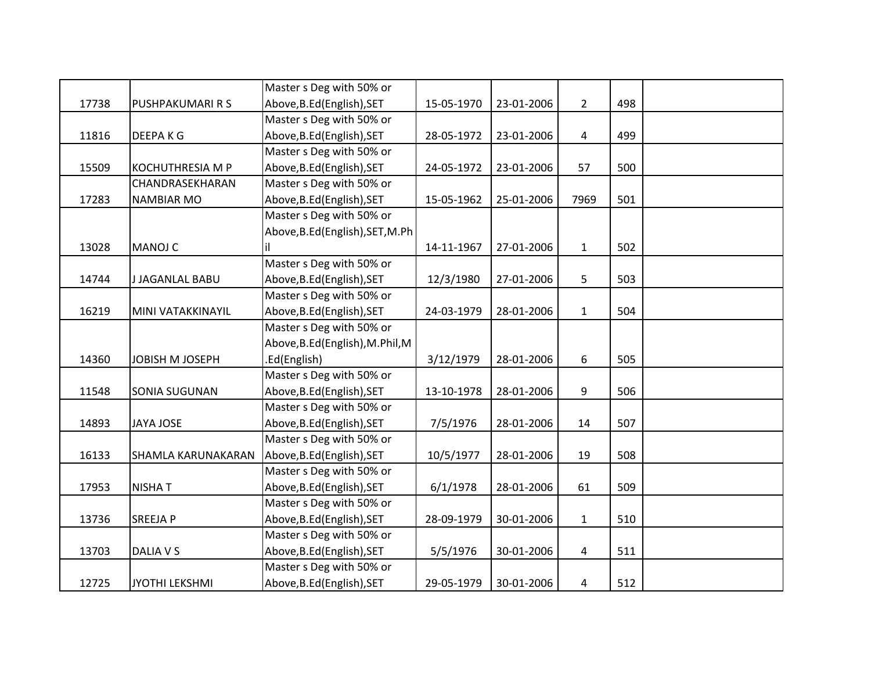|       |                           | Master s Deg with 50% or         |            |            |                |     |  |
|-------|---------------------------|----------------------------------|------------|------------|----------------|-----|--|
| 17738 | <b>PUSHPAKUMARI R S</b>   | Above, B.Ed (English), SET       | 15-05-1970 | 23-01-2006 | $2^{\circ}$    | 498 |  |
|       |                           | Master s Deg with 50% or         |            |            |                |     |  |
| 11816 | <b>DEEPAKG</b>            | Above, B.Ed (English), SET       | 28-05-1972 | 23-01-2006 | $\overline{a}$ | 499 |  |
|       |                           | Master s Deg with 50% or         |            |            |                |     |  |
| 15509 | <b>KOCHUTHRESIA M P</b>   | Above, B.Ed (English), SET       | 24-05-1972 | 23-01-2006 | 57             | 500 |  |
|       | CHANDRASEKHARAN           | Master s Deg with 50% or         |            |            |                |     |  |
| 17283 | <b>NAMBIAR MO</b>         | Above, B.Ed (English), SET       | 15-05-1962 | 25-01-2006 | 7969           | 501 |  |
|       |                           | Master s Deg with 50% or         |            |            |                |     |  |
|       |                           | Above, B.Ed (English), SET, M.Ph |            |            |                |     |  |
| 13028 | <b>MANOJ C</b>            | il                               | 14-11-1967 | 27-01-2006 | $\mathbf{1}$   | 502 |  |
|       |                           | Master s Deg with 50% or         |            |            |                |     |  |
| 14744 | <b>J JAGANLAL BABU</b>    | Above, B.Ed (English), SET       | 12/3/1980  | 27-01-2006 | 5              | 503 |  |
|       |                           | Master s Deg with 50% or         |            |            |                |     |  |
| 16219 | MINI VATAKKINAYIL         | Above, B.Ed (English), SET       | 24-03-1979 | 28-01-2006 | $\mathbf{1}$   | 504 |  |
|       |                           | Master s Deg with 50% or         |            |            |                |     |  |
|       |                           | Above, B.Ed (English), M.Phil, M |            |            |                |     |  |
| 14360 | JOBISH M JOSEPH           | .Ed(English)                     | 3/12/1979  | 28-01-2006 | 6              | 505 |  |
|       |                           | Master s Deg with 50% or         |            |            |                |     |  |
| 11548 | <b>SONIA SUGUNAN</b>      | Above, B.Ed (English), SET       | 13-10-1978 | 28-01-2006 | $9\,$          | 506 |  |
|       |                           | Master s Deg with 50% or         |            |            |                |     |  |
| 14893 | <b>JAYA JOSE</b>          | Above, B.Ed (English), SET       | 7/5/1976   | 28-01-2006 | 14             | 507 |  |
|       |                           | Master s Deg with 50% or         |            |            |                |     |  |
| 16133 | <b>SHAMLA KARUNAKARAN</b> | Above, B.Ed (English), SET       | 10/5/1977  | 28-01-2006 | 19             | 508 |  |
|       |                           | Master s Deg with 50% or         |            |            |                |     |  |
| 17953 | <b>NISHAT</b>             | Above, B.Ed (English), SET       | 6/1/1978   | 28-01-2006 | 61             | 509 |  |
|       |                           | Master s Deg with 50% or         |            |            |                |     |  |
| 13736 | <b>SREEJAP</b>            | Above, B.Ed (English), SET       | 28-09-1979 | 30-01-2006 | $\mathbf{1}$   | 510 |  |
|       |                           | Master s Deg with 50% or         |            |            |                |     |  |
| 13703 | DALIA V S                 | Above, B.Ed (English), SET       | 5/5/1976   | 30-01-2006 | 4              | 511 |  |
|       |                           | Master s Deg with 50% or         |            |            |                |     |  |
| 12725 | JYOTHI LEKSHMI            | Above, B.Ed (English), SET       | 29-05-1979 | 30-01-2006 | 4              | 512 |  |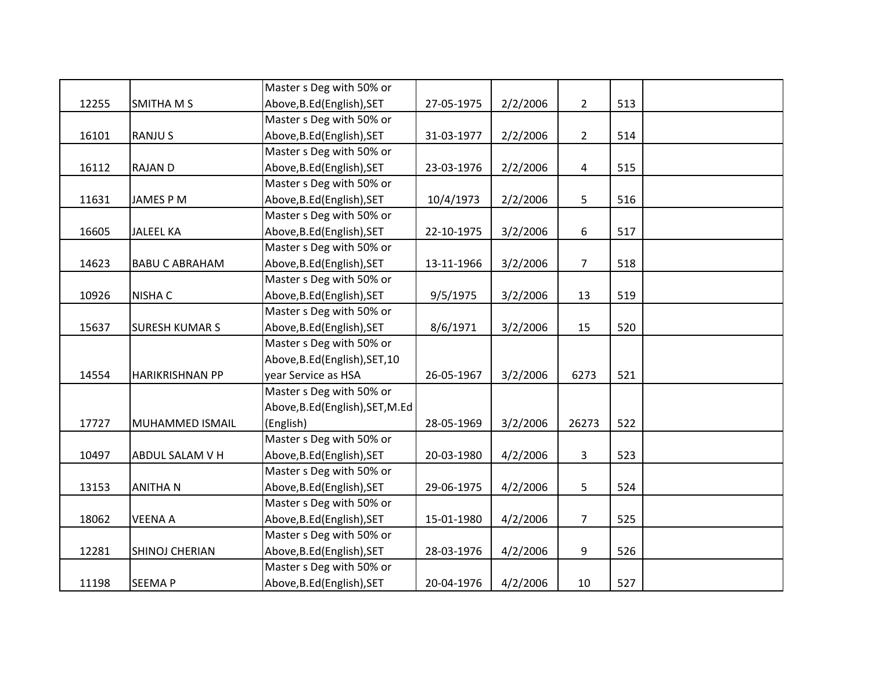|       |                        | Master s Deg with 50% or         |            |          |                |     |  |
|-------|------------------------|----------------------------------|------------|----------|----------------|-----|--|
| 12255 | SMITHA M S             | Above, B.Ed (English), SET       | 27-05-1975 | 2/2/2006 | $\overline{2}$ | 513 |  |
|       |                        | Master s Deg with 50% or         |            |          |                |     |  |
| 16101 | <b>RANJUS</b>          | Above, B.Ed (English), SET       | 31-03-1977 | 2/2/2006 | $\overline{2}$ | 514 |  |
|       |                        | Master s Deg with 50% or         |            |          |                |     |  |
| 16112 | <b>RAJAN D</b>         | Above, B.Ed (English), SET       | 23-03-1976 | 2/2/2006 | 4              | 515 |  |
|       |                        | Master s Deg with 50% or         |            |          |                |     |  |
| 11631 | <b>JAMES P M</b>       | Above, B.Ed (English), SET       | 10/4/1973  | 2/2/2006 | 5              | 516 |  |
|       |                        | Master s Deg with 50% or         |            |          |                |     |  |
| 16605 | <b>JALEEL KA</b>       | Above, B.Ed (English), SET       | 22-10-1975 | 3/2/2006 | 6              | 517 |  |
|       |                        | Master s Deg with 50% or         |            |          |                |     |  |
| 14623 | <b>BABU C ABRAHAM</b>  | Above, B.Ed (English), SET       | 13-11-1966 | 3/2/2006 | $\overline{7}$ | 518 |  |
|       |                        | Master s Deg with 50% or         |            |          |                |     |  |
| 10926 | <b>NISHA C</b>         | Above, B.Ed (English), SET       | 9/5/1975   | 3/2/2006 | 13             | 519 |  |
|       |                        | Master s Deg with 50% or         |            |          |                |     |  |
| 15637 | <b>SURESH KUMAR S</b>  | Above, B.Ed (English), SET       | 8/6/1971   | 3/2/2006 | 15             | 520 |  |
|       |                        | Master s Deg with 50% or         |            |          |                |     |  |
|       |                        | Above, B.Ed (English), SET, 10   |            |          |                |     |  |
| 14554 | <b>HARIKRISHNAN PP</b> | year Service as HSA              | 26-05-1967 | 3/2/2006 | 6273           | 521 |  |
|       |                        | Master s Deg with 50% or         |            |          |                |     |  |
|       |                        | Above, B.Ed (English), SET, M.Ed |            |          |                |     |  |
| 17727 | MUHAMMED ISMAIL        | (English)                        | 28-05-1969 | 3/2/2006 | 26273          | 522 |  |
|       |                        | Master s Deg with 50% or         |            |          |                |     |  |
| 10497 | ABDUL SALAM V H        | Above, B.Ed (English), SET       | 20-03-1980 | 4/2/2006 | $\overline{3}$ | 523 |  |
|       |                        | Master s Deg with 50% or         |            |          |                |     |  |
| 13153 | <b>ANITHAN</b>         | Above, B.Ed (English), SET       | 29-06-1975 | 4/2/2006 | 5              | 524 |  |
|       |                        | Master s Deg with 50% or         |            |          |                |     |  |
| 18062 | <b>VEENA A</b>         | Above, B.Ed (English), SET       | 15-01-1980 | 4/2/2006 | $\overline{7}$ | 525 |  |
|       |                        | Master s Deg with 50% or         |            |          |                |     |  |
| 12281 | SHINOJ CHERIAN         | Above, B.Ed (English), SET       | 28-03-1976 | 4/2/2006 | 9              | 526 |  |
|       |                        | Master s Deg with 50% or         |            |          |                |     |  |
| 11198 | <b>SEEMAP</b>          | Above, B.Ed (English), SET       | 20-04-1976 | 4/2/2006 | 10             | 527 |  |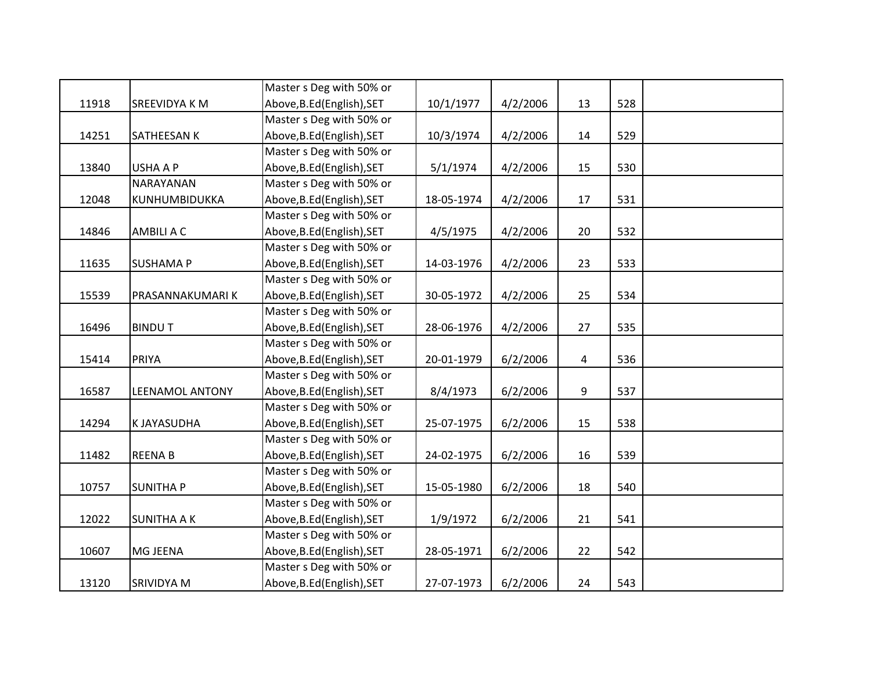|       |                        | Master s Deg with 50% or   |            |          |    |     |  |
|-------|------------------------|----------------------------|------------|----------|----|-----|--|
| 11918 | SREEVIDYA K M          | Above, B.Ed (English), SET | 10/1/1977  | 4/2/2006 | 13 | 528 |  |
|       |                        | Master s Deg with 50% or   |            |          |    |     |  |
| 14251 | SATHEESAN K            | Above, B.Ed (English), SET | 10/3/1974  | 4/2/2006 | 14 | 529 |  |
|       |                        | Master s Deg with 50% or   |            |          |    |     |  |
| 13840 | USHA A P               | Above, B.Ed (English), SET | 5/1/1974   | 4/2/2006 | 15 | 530 |  |
|       | <b>NARAYANAN</b>       | Master s Deg with 50% or   |            |          |    |     |  |
| 12048 | KUNHUMBIDUKKA          | Above, B.Ed (English), SET | 18-05-1974 | 4/2/2006 | 17 | 531 |  |
|       |                        | Master s Deg with 50% or   |            |          |    |     |  |
| 14846 | AMBILI A C             | Above, B.Ed (English), SET | 4/5/1975   | 4/2/2006 | 20 | 532 |  |
|       |                        | Master s Deg with 50% or   |            |          |    |     |  |
| 11635 | <b>SUSHAMA P</b>       | Above, B.Ed (English), SET | 14-03-1976 | 4/2/2006 | 23 | 533 |  |
|       |                        | Master s Deg with 50% or   |            |          |    |     |  |
| 15539 | PRASANNAKUMARIK        | Above, B.Ed (English), SET | 30-05-1972 | 4/2/2006 | 25 | 534 |  |
|       |                        | Master s Deg with 50% or   |            |          |    |     |  |
| 16496 | <b>BINDUT</b>          | Above, B.Ed (English), SET | 28-06-1976 | 4/2/2006 | 27 | 535 |  |
|       |                        | Master s Deg with 50% or   |            |          |    |     |  |
| 15414 | PRIYA                  | Above, B.Ed (English), SET | 20-01-1979 | 6/2/2006 | 4  | 536 |  |
|       |                        | Master s Deg with 50% or   |            |          |    |     |  |
| 16587 | <b>LEENAMOL ANTONY</b> | Above, B.Ed (English), SET | 8/4/1973   | 6/2/2006 | 9  | 537 |  |
|       |                        | Master s Deg with 50% or   |            |          |    |     |  |
| 14294 | K JAYASUDHA            | Above, B.Ed (English), SET | 25-07-1975 | 6/2/2006 | 15 | 538 |  |
|       |                        | Master s Deg with 50% or   |            |          |    |     |  |
| 11482 | <b>REENAB</b>          | Above, B.Ed (English), SET | 24-02-1975 | 6/2/2006 | 16 | 539 |  |
|       |                        | Master s Deg with 50% or   |            |          |    |     |  |
| 10757 | <b>SUNITHA P</b>       | Above, B.Ed (English), SET | 15-05-1980 | 6/2/2006 | 18 | 540 |  |
|       |                        | Master s Deg with 50% or   |            |          |    |     |  |
| 12022 | <b>SUNITHA A K</b>     | Above, B.Ed (English), SET | 1/9/1972   | 6/2/2006 | 21 | 541 |  |
|       |                        | Master s Deg with 50% or   |            |          |    |     |  |
| 10607 | MG JEENA               | Above, B.Ed (English), SET | 28-05-1971 | 6/2/2006 | 22 | 542 |  |
|       |                        | Master s Deg with 50% or   |            |          |    |     |  |
| 13120 | SRIVIDYA M             | Above, B.Ed (English), SET | 27-07-1973 | 6/2/2006 | 24 | 543 |  |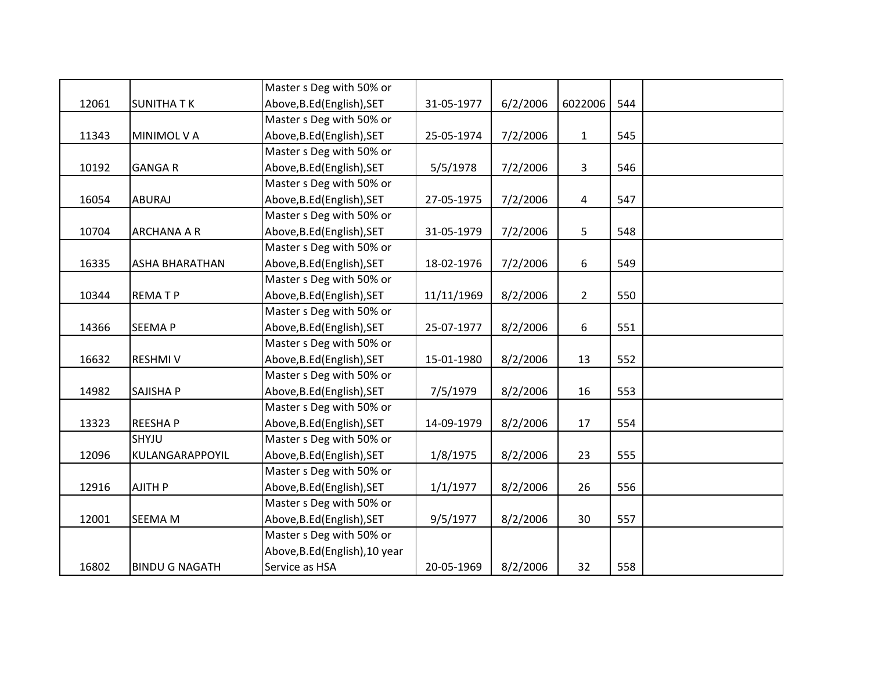|       |                       | Master s Deg with 50% or       |            |          |                |     |  |
|-------|-----------------------|--------------------------------|------------|----------|----------------|-----|--|
| 12061 | <b>SUNITHA TK</b>     | Above, B.Ed (English), SET     | 31-05-1977 | 6/2/2006 | 6022006        | 544 |  |
|       |                       | Master s Deg with 50% or       |            |          |                |     |  |
| 11343 | MINIMOL V A           | Above, B.Ed (English), SET     | 25-05-1974 | 7/2/2006 | $\mathbf{1}$   | 545 |  |
|       |                       | Master s Deg with 50% or       |            |          |                |     |  |
| 10192 | <b>GANGAR</b>         | Above, B.Ed (English), SET     | 5/5/1978   | 7/2/2006 | $\mathbf{3}$   | 546 |  |
|       |                       | Master s Deg with 50% or       |            |          |                |     |  |
| 16054 | ABURAJ                | Above, B.Ed (English), SET     | 27-05-1975 | 7/2/2006 | 4              | 547 |  |
|       |                       | Master s Deg with 50% or       |            |          |                |     |  |
| 10704 | ARCHANA A R           | Above, B.Ed (English), SET     | 31-05-1979 | 7/2/2006 | 5              | 548 |  |
|       |                       | Master s Deg with 50% or       |            |          |                |     |  |
| 16335 | ASHA BHARATHAN        | Above, B.Ed (English), SET     | 18-02-1976 | 7/2/2006 | 6              | 549 |  |
|       |                       | Master s Deg with 50% or       |            |          |                |     |  |
| 10344 | <b>REMATP</b>         | Above, B.Ed (English), SET     | 11/11/1969 | 8/2/2006 | $\overline{2}$ | 550 |  |
|       |                       | Master s Deg with 50% or       |            |          |                |     |  |
| 14366 | <b>SEEMAP</b>         | Above, B.Ed (English), SET     | 25-07-1977 | 8/2/2006 | 6              | 551 |  |
|       |                       | Master s Deg with 50% or       |            |          |                |     |  |
| 16632 | <b>RESHMIV</b>        | Above, B.Ed (English), SET     | 15-01-1980 | 8/2/2006 | 13             | 552 |  |
|       |                       | Master s Deg with 50% or       |            |          |                |     |  |
| 14982 | SAJISHA P             | Above, B.Ed (English), SET     | 7/5/1979   | 8/2/2006 | 16             | 553 |  |
|       |                       | Master s Deg with 50% or       |            |          |                |     |  |
| 13323 | <b>REESHAP</b>        | Above, B.Ed (English), SET     | 14-09-1979 | 8/2/2006 | 17             | 554 |  |
|       | SHYJU                 | Master s Deg with 50% or       |            |          |                |     |  |
| 12096 | KULANGARAPPOYIL       | Above, B.Ed (English), SET     | 1/8/1975   | 8/2/2006 | 23             | 555 |  |
|       |                       | Master s Deg with 50% or       |            |          |                |     |  |
| 12916 | <b>AJITH P</b>        | Above, B.Ed (English), SET     | 1/1/1977   | 8/2/2006 | 26             | 556 |  |
|       |                       | Master s Deg with 50% or       |            |          |                |     |  |
| 12001 | SEEMA M               | Above, B.Ed (English), SET     | 9/5/1977   | 8/2/2006 | 30             | 557 |  |
|       |                       | Master s Deg with 50% or       |            |          |                |     |  |
|       |                       | Above, B.Ed (English), 10 year |            |          |                |     |  |
| 16802 | <b>BINDU G NAGATH</b> | Service as HSA                 | 20-05-1969 | 8/2/2006 | 32             | 558 |  |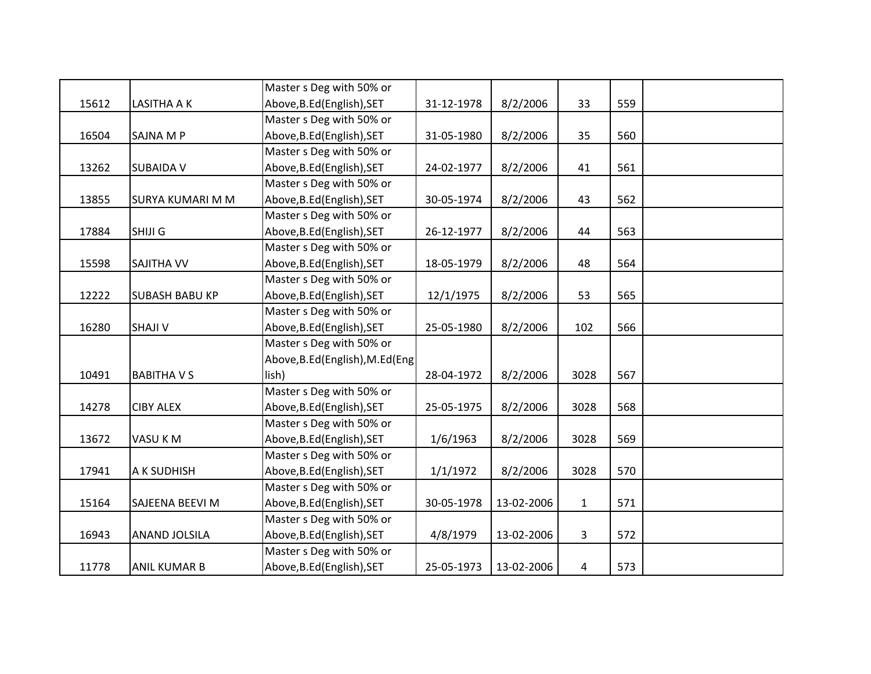|       |                         | Master s Deg with 50% or         |            |            |              |     |  |
|-------|-------------------------|----------------------------------|------------|------------|--------------|-----|--|
| 15612 | <b>LASITHA A K</b>      | Above, B.Ed (English), SET       | 31-12-1978 | 8/2/2006   | 33           | 559 |  |
|       |                         | Master s Deg with 50% or         |            |            |              |     |  |
| 16504 | SAJNA M P               | Above, B.Ed (English), SET       | 31-05-1980 | 8/2/2006   | 35           | 560 |  |
|       |                         | Master s Deg with 50% or         |            |            |              |     |  |
| 13262 | <b>SUBAIDA V</b>        | Above, B.Ed (English), SET       | 24-02-1977 | 8/2/2006   | 41           | 561 |  |
|       |                         | Master s Deg with 50% or         |            |            |              |     |  |
| 13855 | <b>SURYA KUMARI M M</b> | Above, B.Ed (English), SET       | 30-05-1974 | 8/2/2006   | 43           | 562 |  |
|       |                         | Master s Deg with 50% or         |            |            |              |     |  |
| 17884 | SHIJI G                 | Above, B.Ed (English), SET       | 26-12-1977 | 8/2/2006   | 44           | 563 |  |
|       |                         | Master s Deg with 50% or         |            |            |              |     |  |
| 15598 | SAJITHA VV              | Above, B.Ed (English), SET       | 18-05-1979 | 8/2/2006   | 48           | 564 |  |
|       |                         | Master s Deg with 50% or         |            |            |              |     |  |
| 12222 | <b>SUBASH BABU KP</b>   | Above, B.Ed (English), SET       | 12/1/1975  | 8/2/2006   | 53           | 565 |  |
|       |                         | Master s Deg with 50% or         |            |            |              |     |  |
| 16280 | <b>SHAJI V</b>          | Above, B.Ed (English), SET       | 25-05-1980 | 8/2/2006   | 102          | 566 |  |
|       |                         | Master s Deg with 50% or         |            |            |              |     |  |
|       |                         | Above, B.Ed (English), M.Ed (Eng |            |            |              |     |  |
| 10491 | <b>BABITHAVS</b>        | lish)                            | 28-04-1972 | 8/2/2006   | 3028         | 567 |  |
|       |                         | Master s Deg with 50% or         |            |            |              |     |  |
| 14278 | <b>CIBY ALEX</b>        | Above, B.Ed (English), SET       | 25-05-1975 | 8/2/2006   | 3028         | 568 |  |
|       |                         | Master s Deg with 50% or         |            |            |              |     |  |
| 13672 | VASU KM                 | Above, B.Ed (English), SET       | 1/6/1963   | 8/2/2006   | 3028         | 569 |  |
|       |                         | Master s Deg with 50% or         |            |            |              |     |  |
| 17941 | A K SUDHISH             | Above, B.Ed (English), SET       | 1/1/1972   | 8/2/2006   | 3028         | 570 |  |
|       |                         | Master s Deg with 50% or         |            |            |              |     |  |
| 15164 | SAJEENA BEEVI M         | Above, B.Ed (English), SET       | 30-05-1978 | 13-02-2006 | $\mathbf{1}$ | 571 |  |
|       |                         | Master s Deg with 50% or         |            |            |              |     |  |
| 16943 | ANAND JOLSILA           | Above, B.Ed (English), SET       | 4/8/1979   | 13-02-2006 | $\mathbf{3}$ | 572 |  |
|       |                         | Master s Deg with 50% or         |            |            |              |     |  |
| 11778 | ANIL KUMAR B            | Above, B.Ed (English), SET       | 25-05-1973 | 13-02-2006 | 4            | 573 |  |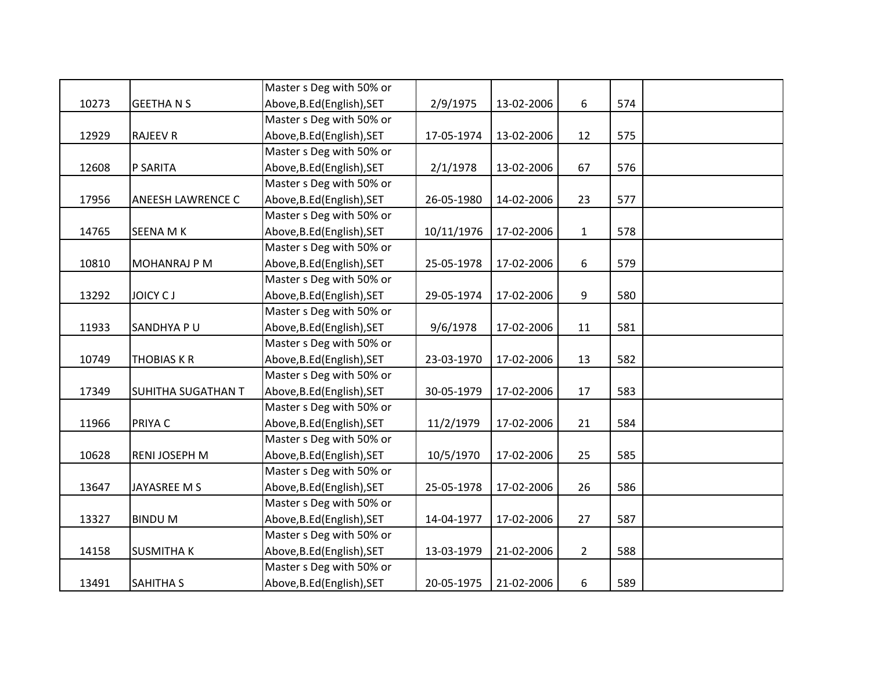|       |                     | Master s Deg with 50% or   |            |            |                |     |  |
|-------|---------------------|----------------------------|------------|------------|----------------|-----|--|
| 10273 | <b>GEETHANS</b>     | Above, B.Ed (English), SET | 2/9/1975   | 13-02-2006 | 6              | 574 |  |
|       |                     | Master s Deg with 50% or   |            |            |                |     |  |
| 12929 | <b>RAJEEV R</b>     | Above, B.Ed (English), SET | 17-05-1974 | 13-02-2006 | 12             | 575 |  |
|       |                     | Master s Deg with 50% or   |            |            |                |     |  |
| 12608 | P SARITA            | Above, B.Ed (English), SET | 2/1/1978   | 13-02-2006 | 67             | 576 |  |
|       |                     | Master s Deg with 50% or   |            |            |                |     |  |
| 17956 | ANEESH LAWRENCE C   | Above, B.Ed (English), SET | 26-05-1980 | 14-02-2006 | 23             | 577 |  |
|       |                     | Master s Deg with 50% or   |            |            |                |     |  |
| 14765 | <b>SEENA MK</b>     | Above, B.Ed (English), SET | 10/11/1976 | 17-02-2006 | $\mathbf{1}$   | 578 |  |
|       |                     | Master s Deg with 50% or   |            |            |                |     |  |
| 10810 | <b>MOHANRAJ P M</b> | Above, B.Ed (English), SET | 25-05-1978 | 17-02-2006 | 6              | 579 |  |
|       |                     | Master s Deg with 50% or   |            |            |                |     |  |
| 13292 | JOICY CJ            | Above, B.Ed (English), SET | 29-05-1974 | 17-02-2006 | 9              | 580 |  |
|       |                     | Master s Deg with 50% or   |            |            |                |     |  |
| 11933 | SANDHYA PU          | Above, B.Ed (English), SET | 9/6/1978   | 17-02-2006 | 11             | 581 |  |
|       |                     | Master s Deg with 50% or   |            |            |                |     |  |
| 10749 | <b>THOBIAS K R</b>  | Above, B.Ed (English), SET | 23-03-1970 | 17-02-2006 | 13             | 582 |  |
|       |                     | Master s Deg with 50% or   |            |            |                |     |  |
| 17349 | SUHITHA SUGATHAN T  | Above, B.Ed (English), SET | 30-05-1979 | 17-02-2006 | 17             | 583 |  |
|       |                     | Master s Deg with 50% or   |            |            |                |     |  |
| 11966 | PRIYA C             | Above, B.Ed (English), SET | 11/2/1979  | 17-02-2006 | 21             | 584 |  |
|       |                     | Master s Deg with 50% or   |            |            |                |     |  |
| 10628 | RENI JOSEPH M       | Above, B.Ed (English), SET | 10/5/1970  | 17-02-2006 | 25             | 585 |  |
|       |                     | Master s Deg with 50% or   |            |            |                |     |  |
| 13647 | JAYASREE M S        | Above, B.Ed (English), SET | 25-05-1978 | 17-02-2006 | 26             | 586 |  |
|       |                     | Master s Deg with 50% or   |            |            |                |     |  |
| 13327 | <b>BINDUM</b>       | Above, B.Ed (English), SET | 14-04-1977 | 17-02-2006 | 27             | 587 |  |
|       |                     | Master s Deg with 50% or   |            |            |                |     |  |
| 14158 | <b>SUSMITHAK</b>    | Above, B.Ed (English), SET | 13-03-1979 | 21-02-2006 | $\overline{2}$ | 588 |  |
|       |                     | Master s Deg with 50% or   |            |            |                |     |  |
| 13491 | <b>SAHITHA S</b>    | Above, B.Ed (English), SET | 20-05-1975 | 21-02-2006 | 6              | 589 |  |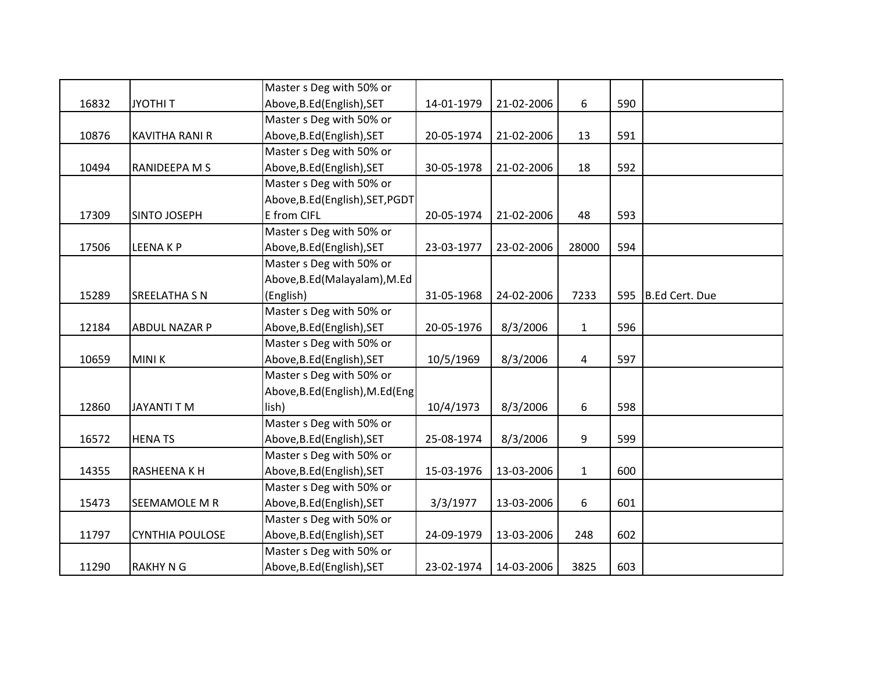|       |                        | Master s Deg with 50% or         |            |            |              |     |                |
|-------|------------------------|----------------------------------|------------|------------|--------------|-----|----------------|
| 16832 | <b>JYOTHIT</b>         | Above, B.Ed (English), SET       | 14-01-1979 | 21-02-2006 | 6            | 590 |                |
|       |                        | Master s Deg with 50% or         |            |            |              |     |                |
| 10876 | <b>KAVITHA RANI R</b>  | Above, B.Ed (English), SET       | 20-05-1974 | 21-02-2006 | 13           | 591 |                |
|       |                        | Master s Deg with 50% or         |            |            |              |     |                |
| 10494 | RANIDEEPA M S          | Above, B.Ed (English), SET       | 30-05-1978 | 21-02-2006 | 18           | 592 |                |
|       |                        | Master s Deg with 50% or         |            |            |              |     |                |
|       |                        | Above, B.Ed (English), SET, PGDT |            |            |              |     |                |
| 17309 | SINTO JOSEPH           | E from CIFL                      | 20-05-1974 | 21-02-2006 | 48           | 593 |                |
|       |                        | Master s Deg with 50% or         |            |            |              |     |                |
| 17506 | <b>LEENAKP</b>         | Above, B.Ed (English), SET       | 23-03-1977 | 23-02-2006 | 28000        | 594 |                |
|       |                        | Master s Deg with 50% or         |            |            |              |     |                |
|       |                        | Above, B.Ed (Malayalam), M.Ed    |            |            |              |     |                |
| 15289 | <b>SREELATHA S N</b>   | (English)                        | 31-05-1968 | 24-02-2006 | 7233         | 595 | B.Ed Cert. Due |
|       |                        | Master s Deg with 50% or         |            |            |              |     |                |
| 12184 | <b>ABDUL NAZAR P</b>   | Above, B.Ed (English), SET       | 20-05-1976 | 8/3/2006   | $\mathbf{1}$ | 596 |                |
|       |                        | Master s Deg with 50% or         |            |            |              |     |                |
| 10659 | <b>MINIK</b>           | Above, B.Ed (English), SET       | 10/5/1969  | 8/3/2006   | 4            | 597 |                |
|       |                        | Master s Deg with 50% or         |            |            |              |     |                |
|       |                        | Above, B.Ed (English), M.Ed (Eng |            |            |              |     |                |
| 12860 | JAYANTI T M            | lish)                            | 10/4/1973  | 8/3/2006   | 6            | 598 |                |
|       |                        | Master s Deg with 50% or         |            |            |              |     |                |
| 16572 | <b>HENATS</b>          | Above, B.Ed (English), SET       | 25-08-1974 | 8/3/2006   | 9            | 599 |                |
|       |                        | Master s Deg with 50% or         |            |            |              |     |                |
| 14355 | RASHEENA K H           | Above, B.Ed (English), SET       | 15-03-1976 | 13-03-2006 | $\mathbf{1}$ | 600 |                |
|       |                        | Master s Deg with 50% or         |            |            |              |     |                |
| 15473 | SEEMAMOLE M R          | Above, B.Ed (English), SET       | 3/3/1977   | 13-03-2006 | 6            | 601 |                |
|       |                        | Master s Deg with 50% or         |            |            |              |     |                |
| 11797 | <b>CYNTHIA POULOSE</b> | Above, B.Ed (English), SET       | 24-09-1979 | 13-03-2006 | 248          | 602 |                |
|       |                        | Master s Deg with 50% or         |            |            |              |     |                |
| 11290 | <b>RAKHY N G</b>       | Above, B.Ed (English), SET       | 23-02-1974 | 14-03-2006 | 3825         | 603 |                |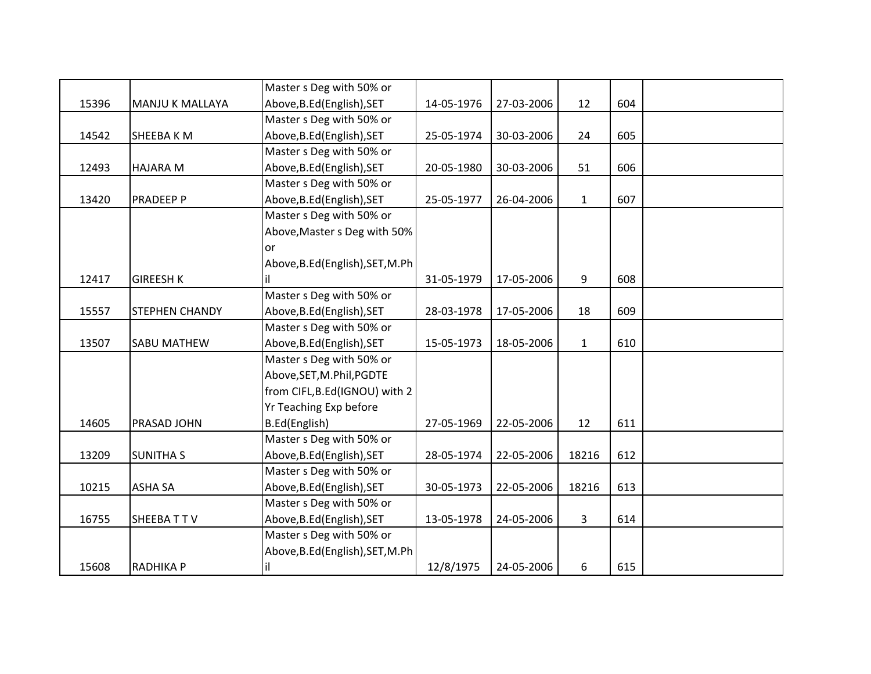|       |                        | Master s Deg with 50% or         |            |            |              |     |  |
|-------|------------------------|----------------------------------|------------|------------|--------------|-----|--|
| 15396 | <b>MANJU K MALLAYA</b> | Above, B.Ed (English), SET       | 14-05-1976 | 27-03-2006 | 12           | 604 |  |
|       |                        | Master s Deg with 50% or         |            |            |              |     |  |
| 14542 | SHEEBA K M             | Above, B.Ed (English), SET       | 25-05-1974 | 30-03-2006 | 24           | 605 |  |
|       |                        | Master s Deg with 50% or         |            |            |              |     |  |
| 12493 | <b>HAJARA M</b>        | Above, B.Ed (English), SET       | 20-05-1980 | 30-03-2006 | 51           | 606 |  |
|       |                        | Master s Deg with 50% or         |            |            |              |     |  |
| 13420 | <b>PRADEEP P</b>       | Above, B.Ed (English), SET       | 25-05-1977 | 26-04-2006 | $\mathbf{1}$ | 607 |  |
|       |                        | Master s Deg with 50% or         |            |            |              |     |  |
|       |                        | Above, Master s Deg with 50%     |            |            |              |     |  |
|       |                        | or                               |            |            |              |     |  |
|       |                        | Above, B.Ed (English), SET, M.Ph |            |            |              |     |  |
| 12417 | <b>GIREESH K</b>       | il.                              | 31-05-1979 | 17-05-2006 | 9            | 608 |  |
|       |                        | Master s Deg with 50% or         |            |            |              |     |  |
| 15557 | <b>STEPHEN CHANDY</b>  | Above, B.Ed (English), SET       | 28-03-1978 | 17-05-2006 | 18           | 609 |  |
|       |                        | Master s Deg with 50% or         |            |            |              |     |  |
| 13507 | <b>SABU MATHEW</b>     | Above, B.Ed (English), SET       | 15-05-1973 | 18-05-2006 | $\mathbf{1}$ | 610 |  |
|       |                        | Master s Deg with 50% or         |            |            |              |     |  |
|       |                        | Above, SET, M. Phil, PGDTE       |            |            |              |     |  |
|       |                        | from CIFL, B.Ed(IGNOU) with 2    |            |            |              |     |  |
|       |                        | Yr Teaching Exp before           |            |            |              |     |  |
| 14605 | PRASAD JOHN            | B.Ed(English)                    | 27-05-1969 | 22-05-2006 | 12           | 611 |  |
|       |                        | Master s Deg with 50% or         |            |            |              |     |  |
| 13209 | <b>SUNITHA S</b>       | Above, B.Ed (English), SET       | 28-05-1974 | 22-05-2006 | 18216        | 612 |  |
|       |                        | Master s Deg with 50% or         |            |            |              |     |  |
| 10215 | <b>ASHA SA</b>         | Above, B.Ed (English), SET       | 30-05-1973 | 22-05-2006 | 18216        | 613 |  |
|       |                        | Master s Deg with 50% or         |            |            |              |     |  |
| 16755 | SHEEBATTV              | Above, B.Ed (English), SET       | 13-05-1978 | 24-05-2006 | $\mathbf{3}$ | 614 |  |
|       |                        | Master s Deg with 50% or         |            |            |              |     |  |
|       |                        | Above, B.Ed (English), SET, M.Ph |            |            |              |     |  |
| 15608 | <b>RADHIKA P</b>       | il                               | 12/8/1975  | 24-05-2006 | 6            | 615 |  |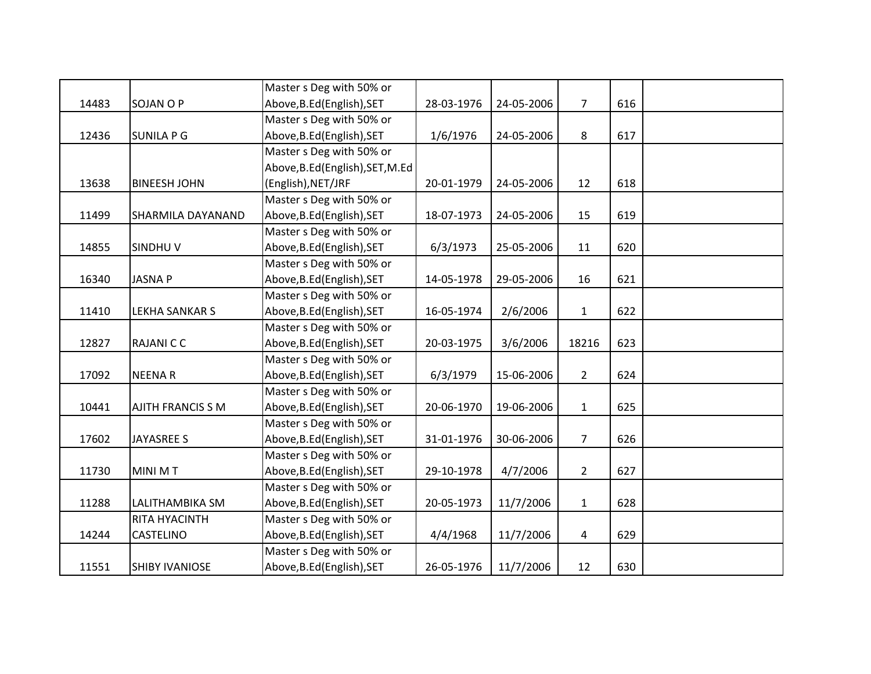|       |                          | Master s Deg with 50% or         |            |            |                |     |  |
|-------|--------------------------|----------------------------------|------------|------------|----------------|-----|--|
| 14483 | <b>SOJAN O P</b>         | Above, B.Ed (English), SET       | 28-03-1976 | 24-05-2006 | $\overline{7}$ | 616 |  |
|       |                          | Master s Deg with 50% or         |            |            |                |     |  |
| 12436 | <b>SUNILA P G</b>        | Above, B.Ed (English), SET       | 1/6/1976   | 24-05-2006 | 8              | 617 |  |
|       |                          | Master s Deg with 50% or         |            |            |                |     |  |
|       |                          | Above, B.Ed (English), SET, M.Ed |            |            |                |     |  |
| 13638 | <b>BINEESH JOHN</b>      | (English), NET/JRF               | 20-01-1979 | 24-05-2006 | 12             | 618 |  |
|       |                          | Master s Deg with 50% or         |            |            |                |     |  |
| 11499 | SHARMILA DAYANAND        | Above, B.Ed (English), SET       | 18-07-1973 | 24-05-2006 | 15             | 619 |  |
|       |                          | Master s Deg with 50% or         |            |            |                |     |  |
| 14855 | <b>SINDHUV</b>           | Above, B.Ed (English), SET       | 6/3/1973   | 25-05-2006 | 11             | 620 |  |
|       |                          | Master s Deg with 50% or         |            |            |                |     |  |
| 16340 | <b>JASNAP</b>            | Above, B.Ed (English), SET       | 14-05-1978 | 29-05-2006 | 16             | 621 |  |
|       |                          | Master s Deg with 50% or         |            |            |                |     |  |
| 11410 | <b>LEKHA SANKAR S</b>    | Above, B.Ed (English), SET       | 16-05-1974 | 2/6/2006   | $\mathbf{1}$   | 622 |  |
|       |                          | Master s Deg with 50% or         |            |            |                |     |  |
| 12827 | <b>RAJANICC</b>          | Above, B.Ed (English), SET       | 20-03-1975 | 3/6/2006   | 18216          | 623 |  |
|       |                          | Master s Deg with 50% or         |            |            |                |     |  |
| 17092 | <b>NEENAR</b>            | Above, B.Ed (English), SET       | 6/3/1979   | 15-06-2006 | $\overline{2}$ | 624 |  |
|       |                          | Master s Deg with 50% or         |            |            |                |     |  |
| 10441 | <b>AJITH FRANCIS S M</b> | Above, B.Ed (English), SET       | 20-06-1970 | 19-06-2006 | $\mathbf{1}$   | 625 |  |
|       |                          | Master s Deg with 50% or         |            |            |                |     |  |
| 17602 | <b>JAYASREE S</b>        | Above, B.Ed (English), SET       | 31-01-1976 | 30-06-2006 | $\overline{7}$ | 626 |  |
|       |                          | Master s Deg with 50% or         |            |            |                |     |  |
| 11730 | <b>MINI MT</b>           | Above, B.Ed (English), SET       | 29-10-1978 | 4/7/2006   | $\overline{2}$ | 627 |  |
|       |                          | Master s Deg with 50% or         |            |            |                |     |  |
| 11288 | LALITHAMBIKA SM          | Above, B.Ed (English), SET       | 20-05-1973 | 11/7/2006  | $\mathbf{1}$   | 628 |  |
|       | RITA HYACINTH            | Master s Deg with 50% or         |            |            |                |     |  |
| 14244 | <b>CASTELINO</b>         | Above, B.Ed (English), SET       | 4/4/1968   | 11/7/2006  | $\overline{4}$ | 629 |  |
|       |                          | Master s Deg with 50% or         |            |            |                |     |  |
| 11551 | <b>SHIBY IVANIOSE</b>    | Above, B.Ed (English), SET       | 26-05-1976 | 11/7/2006  | 12             | 630 |  |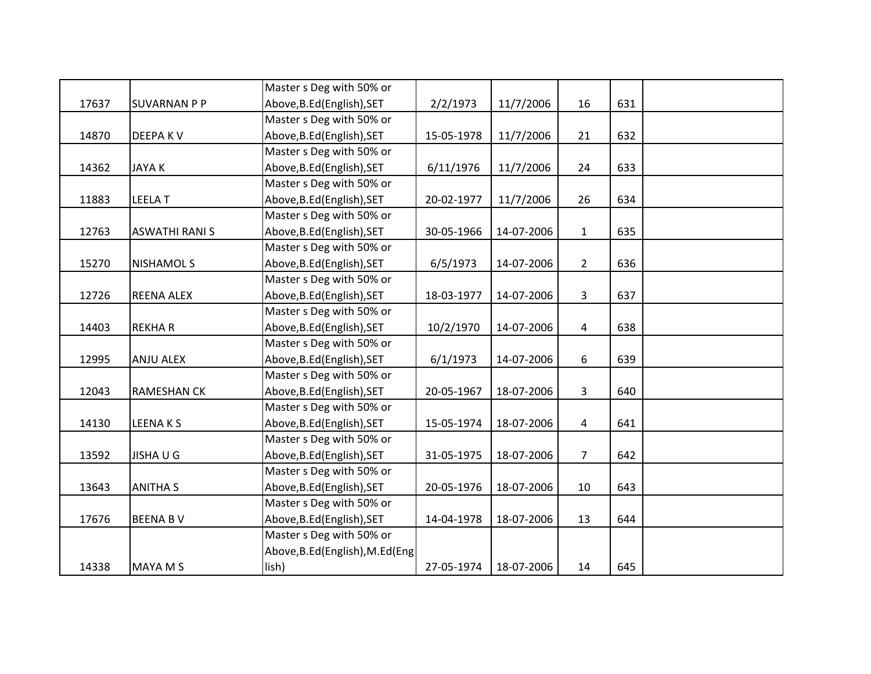|       |                       | Master s Deg with 50% or         |            |            |                |     |  |
|-------|-----------------------|----------------------------------|------------|------------|----------------|-----|--|
| 17637 | <b>SUVARNAN P P</b>   | Above, B.Ed (English), SET       | 2/2/1973   | 11/7/2006  | 16             | 631 |  |
|       |                       | Master s Deg with 50% or         |            |            |                |     |  |
| 14870 | <b>DEEPAKV</b>        | Above, B.Ed (English), SET       | 15-05-1978 | 11/7/2006  | 21             | 632 |  |
|       |                       | Master s Deg with 50% or         |            |            |                |     |  |
| 14362 | <b>JAYAK</b>          | Above, B.Ed (English), SET       | 6/11/1976  | 11/7/2006  | 24             | 633 |  |
|       |                       | Master s Deg with 50% or         |            |            |                |     |  |
| 11883 | <b>LEELAT</b>         | Above, B.Ed (English), SET       | 20-02-1977 | 11/7/2006  | 26             | 634 |  |
|       |                       | Master s Deg with 50% or         |            |            |                |     |  |
| 12763 | <b>ASWATHI RANI S</b> | Above, B.Ed (English), SET       | 30-05-1966 | 14-07-2006 | $\mathbf{1}$   | 635 |  |
|       |                       | Master s Deg with 50% or         |            |            |                |     |  |
| 15270 | <b>NISHAMOL S</b>     | Above, B.Ed (English), SET       | 6/5/1973   | 14-07-2006 | $2^{\circ}$    | 636 |  |
|       |                       | Master s Deg with 50% or         |            |            |                |     |  |
| 12726 | <b>REENA ALEX</b>     | Above, B.Ed (English), SET       | 18-03-1977 | 14-07-2006 | $\overline{3}$ | 637 |  |
|       |                       | Master s Deg with 50% or         |            |            |                |     |  |
| 14403 | <b>REKHAR</b>         | Above, B.Ed (English), SET       | 10/2/1970  | 14-07-2006 | $\overline{4}$ | 638 |  |
|       |                       | Master s Deg with 50% or         |            |            |                |     |  |
| 12995 | <b>ANJU ALEX</b>      | Above, B.Ed (English), SET       | 6/1/1973   | 14-07-2006 | 6              | 639 |  |
|       |                       | Master s Deg with 50% or         |            |            |                |     |  |
| 12043 | <b>RAMESHAN CK</b>    | Above, B.Ed (English), SET       | 20-05-1967 | 18-07-2006 | 3              | 640 |  |
|       |                       | Master s Deg with 50% or         |            |            |                |     |  |
| 14130 | <b>LEENAKS</b>        | Above, B.Ed (English), SET       | 15-05-1974 | 18-07-2006 | 4              | 641 |  |
|       |                       | Master s Deg with 50% or         |            |            |                |     |  |
| 13592 | <b>JISHAUG</b>        | Above, B.Ed (English), SET       | 31-05-1975 | 18-07-2006 | $\overline{7}$ | 642 |  |
|       |                       | Master s Deg with 50% or         |            |            |                |     |  |
| 13643 | <b>ANITHA S</b>       | Above, B.Ed (English), SET       | 20-05-1976 | 18-07-2006 | 10             | 643 |  |
|       |                       | Master s Deg with 50% or         |            |            |                |     |  |
| 17676 | <b>BEENA BV</b>       | Above, B.Ed (English), SET       | 14-04-1978 | 18-07-2006 | 13             | 644 |  |
|       |                       | Master s Deg with 50% or         |            |            |                |     |  |
|       |                       | Above, B.Ed (English), M.Ed (Eng |            |            |                |     |  |
| 14338 | <b>MAYA M S</b>       | lish)                            | 27-05-1974 | 18-07-2006 | 14             | 645 |  |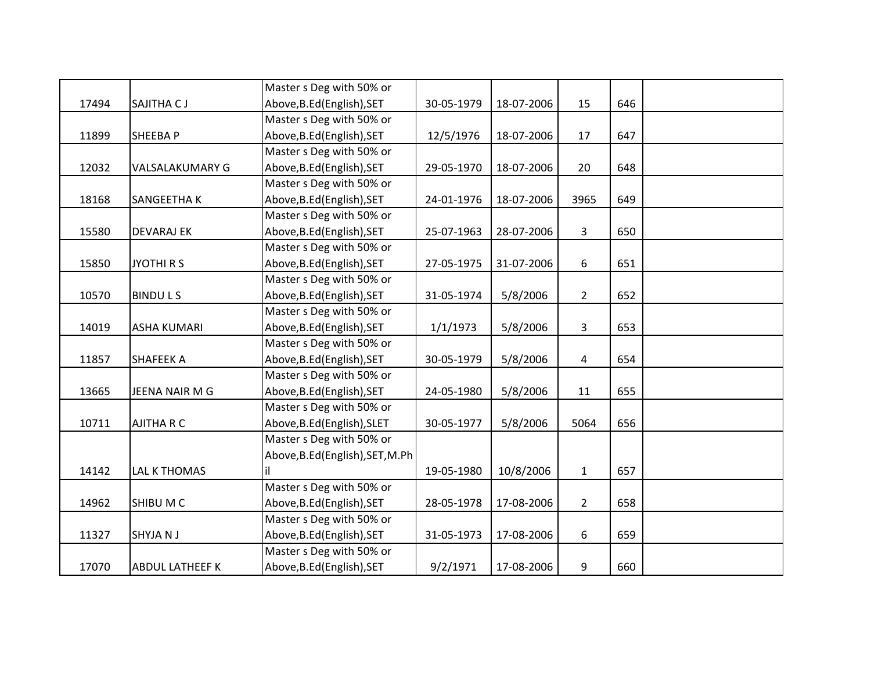|       |                        | Master s Deg with 50% or         |            |            |                |     |  |
|-------|------------------------|----------------------------------|------------|------------|----------------|-----|--|
| 17494 | SAJITHA CJ             | Above, B.Ed (English), SET       | 30-05-1979 | 18-07-2006 | 15             | 646 |  |
|       |                        | Master s Deg with 50% or         |            |            |                |     |  |
| 11899 | SHEEBA P               | Above, B.Ed (English), SET       | 12/5/1976  | 18-07-2006 | 17             | 647 |  |
|       |                        | Master s Deg with 50% or         |            |            |                |     |  |
| 12032 | VALSALAKUMARY G        | Above, B.Ed (English), SET       | 29-05-1970 | 18-07-2006 | 20             | 648 |  |
|       |                        | Master s Deg with 50% or         |            |            |                |     |  |
| 18168 | SANGEETHA K            | Above, B.Ed (English), SET       | 24-01-1976 | 18-07-2006 | 3965           | 649 |  |
|       |                        | Master s Deg with 50% or         |            |            |                |     |  |
| 15580 | <b>DEVARAJ EK</b>      | Above, B.Ed (English), SET       | 25-07-1963 | 28-07-2006 | $\overline{3}$ | 650 |  |
|       |                        | Master s Deg with 50% or         |            |            |                |     |  |
| 15850 | <b>JYOTHIRS</b>        | Above, B.Ed (English), SET       | 27-05-1975 | 31-07-2006 | 6              | 651 |  |
|       |                        | Master s Deg with 50% or         |            |            |                |     |  |
| 10570 | <b>BINDULS</b>         | Above, B.Ed (English), SET       | 31-05-1974 | 5/8/2006   | $\overline{2}$ | 652 |  |
|       |                        | Master s Deg with 50% or         |            |            |                |     |  |
| 14019 | <b>ASHA KUMARI</b>     | Above, B.Ed (English), SET       | 1/1/1973   | 5/8/2006   | 3              | 653 |  |
|       |                        | Master s Deg with 50% or         |            |            |                |     |  |
| 11857 | <b>SHAFEEK A</b>       | Above, B.Ed (English), SET       | 30-05-1979 | 5/8/2006   | 4              | 654 |  |
|       |                        | Master s Deg with 50% or         |            |            |                |     |  |
| 13665 | JEENA NAIR M G         | Above, B.Ed (English), SET       | 24-05-1980 | 5/8/2006   | 11             | 655 |  |
|       |                        | Master s Deg with 50% or         |            |            |                |     |  |
| 10711 | AJITHA R C             | Above, B.Ed (English), SLET      | 30-05-1977 | 5/8/2006   | 5064           | 656 |  |
|       |                        | Master s Deg with 50% or         |            |            |                |     |  |
|       |                        | Above, B.Ed (English), SET, M.Ph |            |            |                |     |  |
| 14142 | <b>LAL K THOMAS</b>    |                                  | 19-05-1980 | 10/8/2006  | $\mathbf{1}$   | 657 |  |
|       |                        | Master s Deg with 50% or         |            |            |                |     |  |
| 14962 | SHIBU M C              | Above, B.Ed (English), SET       | 28-05-1978 | 17-08-2006 | $\overline{2}$ | 658 |  |
|       |                        | Master s Deg with 50% or         |            |            |                |     |  |
| 11327 | <b>SHYJANJ</b>         | Above, B.Ed (English), SET       | 31-05-1973 | 17-08-2006 | 6              | 659 |  |
|       |                        | Master s Deg with 50% or         |            |            |                |     |  |
| 17070 | <b>ABDUL LATHEEF K</b> | Above, B.Ed (English), SET       | 9/2/1971   | 17-08-2006 | 9              | 660 |  |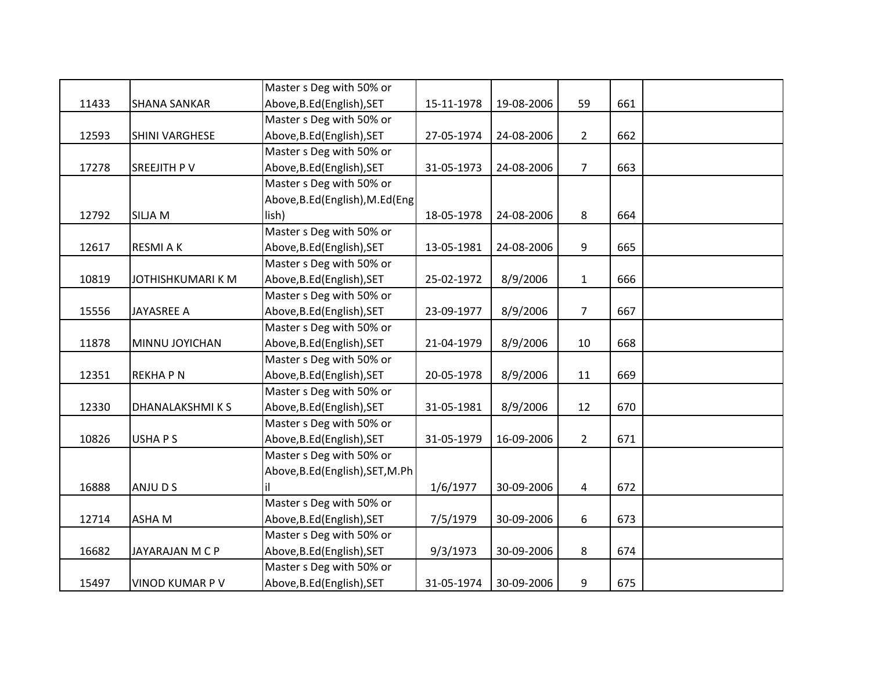|       |                       | Master s Deg with 50% or         |            |            |                |     |  |
|-------|-----------------------|----------------------------------|------------|------------|----------------|-----|--|
| 11433 | <b>SHANA SANKAR</b>   | Above, B.Ed (English), SET       | 15-11-1978 | 19-08-2006 | 59             | 661 |  |
|       |                       | Master s Deg with 50% or         |            |            |                |     |  |
| 12593 | <b>SHINI VARGHESE</b> | Above, B.Ed (English), SET       | 27-05-1974 | 24-08-2006 | $\overline{2}$ | 662 |  |
|       |                       | Master s Deg with 50% or         |            |            |                |     |  |
| 17278 | SREEJITH PV           | Above, B.Ed (English), SET       | 31-05-1973 | 24-08-2006 | $\overline{7}$ | 663 |  |
|       |                       | Master s Deg with 50% or         |            |            |                |     |  |
|       |                       | Above, B.Ed (English), M.Ed (Eng |            |            |                |     |  |
| 12792 | <b>SILJA M</b>        | lish)                            | 18-05-1978 | 24-08-2006 | 8              | 664 |  |
|       |                       | Master s Deg with 50% or         |            |            |                |     |  |
| 12617 | <b>RESMIAK</b>        | Above, B.Ed (English), SET       | 13-05-1981 | 24-08-2006 | $9\,$          | 665 |  |
|       |                       | Master s Deg with 50% or         |            |            |                |     |  |
| 10819 | JOTHISHKUMARI K M     | Above, B.Ed (English), SET       | 25-02-1972 | 8/9/2006   | $\mathbf{1}$   | 666 |  |
|       |                       | Master s Deg with 50% or         |            |            |                |     |  |
| 15556 | <b>JAYASREE A</b>     | Above, B.Ed (English), SET       | 23-09-1977 | 8/9/2006   | $\overline{7}$ | 667 |  |
|       |                       | Master s Deg with 50% or         |            |            |                |     |  |
| 11878 | MINNU JOYICHAN        | Above, B.Ed (English), SET       | 21-04-1979 | 8/9/2006   | 10             | 668 |  |
|       |                       | Master s Deg with 50% or         |            |            |                |     |  |
| 12351 | <b>REKHAPN</b>        | Above, B.Ed (English), SET       | 20-05-1978 | 8/9/2006   | 11             | 669 |  |
|       |                       | Master s Deg with 50% or         |            |            |                |     |  |
| 12330 | <b>DHANALAKSHMIKS</b> | Above, B.Ed (English), SET       | 31-05-1981 | 8/9/2006   | 12             | 670 |  |
|       |                       | Master s Deg with 50% or         |            |            |                |     |  |
| 10826 | <b>USHAPS</b>         | Above, B.Ed (English), SET       | 31-05-1979 | 16-09-2006 | $\overline{2}$ | 671 |  |
|       |                       | Master s Deg with 50% or         |            |            |                |     |  |
|       |                       | Above, B.Ed (English), SET, M.Ph |            |            |                |     |  |
| 16888 | ANJU D S              | iΙ                               | 1/6/1977   | 30-09-2006 | 4              | 672 |  |
|       |                       | Master s Deg with 50% or         |            |            |                |     |  |
| 12714 | ASHA M                | Above, B.Ed (English), SET       | 7/5/1979   | 30-09-2006 | 6              | 673 |  |
|       |                       | Master s Deg with 50% or         |            |            |                |     |  |
| 16682 | JAYARAJAN M C P       | Above, B.Ed (English), SET       | 9/3/1973   | 30-09-2006 | 8              | 674 |  |
|       |                       | Master s Deg with 50% or         |            |            |                |     |  |
| 15497 | VINOD KUMAR P V       | Above, B.Ed (English), SET       | 31-05-1974 | 30-09-2006 | 9              | 675 |  |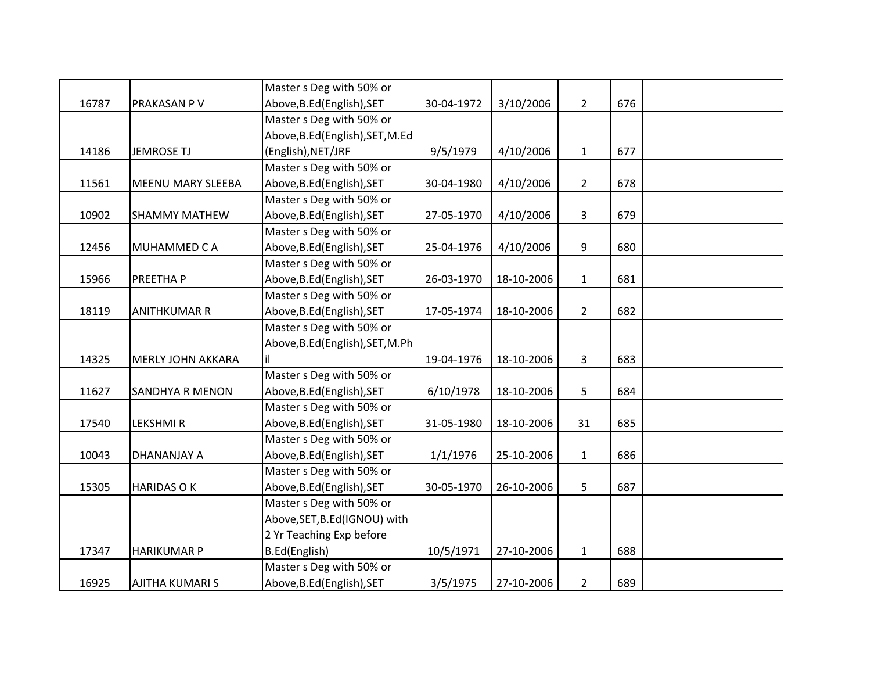|       |                        | Master s Deg with 50% or         |            |            |                |     |  |
|-------|------------------------|----------------------------------|------------|------------|----------------|-----|--|
| 16787 | PRAKASAN P V           | Above, B.Ed (English), SET       | 30-04-1972 | 3/10/2006  | $\overline{2}$ | 676 |  |
|       |                        | Master s Deg with 50% or         |            |            |                |     |  |
|       |                        | Above, B.Ed (English), SET, M.Ed |            |            |                |     |  |
| 14186 | <b>JEMROSE TJ</b>      | (English), NET/JRF               | 9/5/1979   | 4/10/2006  | $\mathbf{1}$   | 677 |  |
|       |                        | Master s Deg with 50% or         |            |            |                |     |  |
| 11561 | MEENU MARY SLEEBA      | Above, B.Ed (English), SET       | 30-04-1980 | 4/10/2006  | $\overline{2}$ | 678 |  |
|       |                        | Master s Deg with 50% or         |            |            |                |     |  |
| 10902 | <b>SHAMMY MATHEW</b>   | Above, B.Ed (English), SET       | 27-05-1970 | 4/10/2006  | 3              | 679 |  |
|       |                        | Master s Deg with 50% or         |            |            |                |     |  |
| 12456 | MUHAMMED C A           | Above, B.Ed (English), SET       | 25-04-1976 | 4/10/2006  | 9              | 680 |  |
|       |                        | Master s Deg with 50% or         |            |            |                |     |  |
| 15966 | PREETHA P              | Above, B.Ed (English), SET       | 26-03-1970 | 18-10-2006 | $\mathbf{1}$   | 681 |  |
|       |                        | Master s Deg with 50% or         |            |            |                |     |  |
| 18119 | <b>ANITHKUMAR R</b>    | Above, B.Ed (English), SET       | 17-05-1974 | 18-10-2006 | $\overline{2}$ | 682 |  |
|       |                        | Master s Deg with 50% or         |            |            |                |     |  |
|       |                        | Above, B.Ed (English), SET, M.Ph |            |            |                |     |  |
| 14325 | MERLY JOHN AKKARA      |                                  | 19-04-1976 | 18-10-2006 | 3              | 683 |  |
|       |                        | Master s Deg with 50% or         |            |            |                |     |  |
| 11627 | <b>SANDHYA R MENON</b> | Above, B.Ed (English), SET       | 6/10/1978  | 18-10-2006 | 5              | 684 |  |
|       |                        | Master s Deg with 50% or         |            |            |                |     |  |
| 17540 | <b>LEKSHMIR</b>        | Above, B.Ed (English), SET       | 31-05-1980 | 18-10-2006 | 31             | 685 |  |
|       |                        | Master s Deg with 50% or         |            |            |                |     |  |
| 10043 | DHANANJAY A            | Above, B.Ed (English), SET       | 1/1/1976   | 25-10-2006 | $\mathbf{1}$   | 686 |  |
|       |                        | Master s Deg with 50% or         |            |            |                |     |  |
| 15305 | <b>HARIDAS OK</b>      | Above, B.Ed (English), SET       | 30-05-1970 | 26-10-2006 | 5              | 687 |  |
|       |                        | Master s Deg with 50% or         |            |            |                |     |  |
|       |                        | Above, SET, B.Ed (IGNOU) with    |            |            |                |     |  |
|       |                        | 2 Yr Teaching Exp before         |            |            |                |     |  |
| 17347 | <b>HARIKUMAR P</b>     | B.Ed(English)                    | 10/5/1971  | 27-10-2006 | $\mathbf{1}$   | 688 |  |
|       |                        | Master s Deg with 50% or         |            |            |                |     |  |
| 16925 | <b>AJITHA KUMARI S</b> | Above, B.Ed (English), SET       | 3/5/1975   | 27-10-2006 | $\overline{2}$ | 689 |  |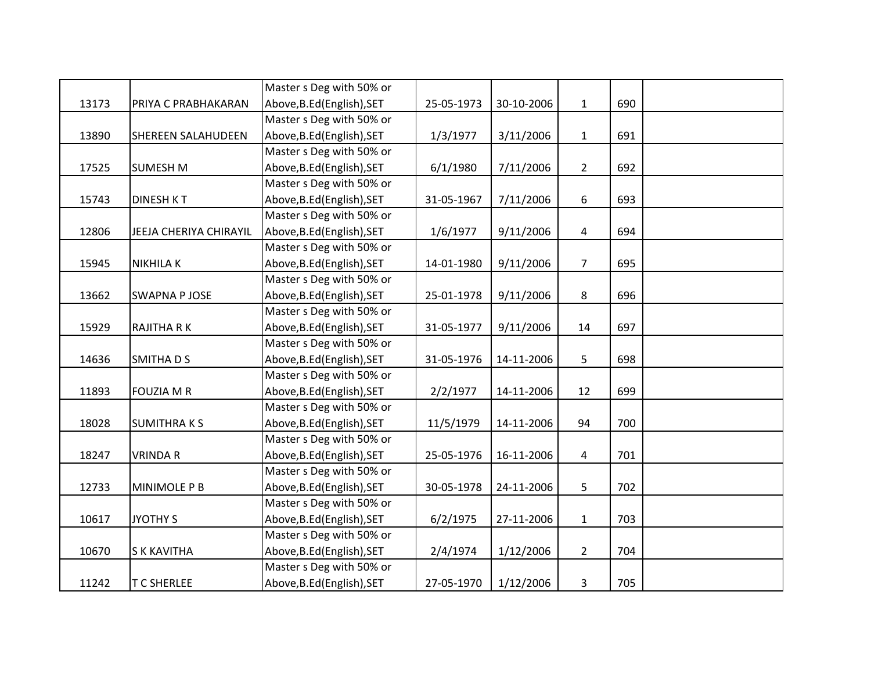|       |                           | Master s Deg with 50% or   |            |            |                |     |  |
|-------|---------------------------|----------------------------|------------|------------|----------------|-----|--|
| 13173 | PRIYA C PRABHAKARAN       | Above, B.Ed (English), SET | 25-05-1973 | 30-10-2006 | $\mathbf{1}$   | 690 |  |
|       |                           | Master s Deg with 50% or   |            |            |                |     |  |
| 13890 | <b>SHEREEN SALAHUDEEN</b> | Above, B.Ed (English), SET | 1/3/1977   | 3/11/2006  | $\mathbf{1}$   | 691 |  |
|       |                           | Master s Deg with 50% or   |            |            |                |     |  |
| 17525 | <b>SUMESH M</b>           | Above, B.Ed (English), SET | 6/1/1980   | 7/11/2006  | $\overline{2}$ | 692 |  |
|       |                           | Master s Deg with 50% or   |            |            |                |     |  |
| 15743 | <b>DINESH KT</b>          | Above, B.Ed (English), SET | 31-05-1967 | 7/11/2006  | 6              | 693 |  |
|       |                           | Master s Deg with 50% or   |            |            |                |     |  |
| 12806 | JEEJA CHERIYA CHIRAYIL    | Above, B.Ed (English), SET | 1/6/1977   | 9/11/2006  | $\overline{4}$ | 694 |  |
|       |                           | Master s Deg with 50% or   |            |            |                |     |  |
| 15945 | <b>NIKHILAK</b>           | Above, B.Ed (English), SET | 14-01-1980 | 9/11/2006  | $\overline{7}$ | 695 |  |
|       |                           | Master s Deg with 50% or   |            |            |                |     |  |
| 13662 | <b>SWAPNA P JOSE</b>      | Above, B.Ed (English), SET | 25-01-1978 | 9/11/2006  | 8              | 696 |  |
|       |                           | Master s Deg with 50% or   |            |            |                |     |  |
| 15929 | <b>RAJITHA RK</b>         | Above, B.Ed (English), SET | 31-05-1977 | 9/11/2006  | 14             | 697 |  |
|       |                           | Master s Deg with 50% or   |            |            |                |     |  |
| 14636 | <b>SMITHADS</b>           | Above, B.Ed (English), SET | 31-05-1976 | 14-11-2006 | 5              | 698 |  |
|       |                           | Master s Deg with 50% or   |            |            |                |     |  |
| 11893 | <b>FOUZIA M R</b>         | Above, B.Ed (English), SET | 2/2/1977   | 14-11-2006 | 12             | 699 |  |
|       |                           | Master s Deg with 50% or   |            |            |                |     |  |
| 18028 | <b>SUMITHRAKS</b>         | Above, B.Ed (English), SET | 11/5/1979  | 14-11-2006 | 94             | 700 |  |
|       |                           | Master s Deg with 50% or   |            |            |                |     |  |
| 18247 | <b>VRINDA R</b>           | Above, B.Ed (English), SET | 25-05-1976 | 16-11-2006 | 4              | 701 |  |
|       |                           | Master s Deg with 50% or   |            |            |                |     |  |
| 12733 | MINIMOLE P B              | Above, B.Ed (English), SET | 30-05-1978 | 24-11-2006 | 5              | 702 |  |
|       |                           | Master s Deg with 50% or   |            |            |                |     |  |
| 10617 | <b>JYOTHY S</b>           | Above, B.Ed (English), SET | 6/2/1975   | 27-11-2006 | $\mathbf{1}$   | 703 |  |
|       |                           | Master s Deg with 50% or   |            |            |                |     |  |
| 10670 | <b>S K KAVITHA</b>        | Above, B.Ed (English), SET | 2/4/1974   | 1/12/2006  | $\overline{2}$ | 704 |  |
|       |                           | Master s Deg with 50% or   |            |            |                |     |  |
| 11242 | <b>T C SHERLEE</b>        | Above, B.Ed (English), SET | 27-05-1970 | 1/12/2006  | 3              | 705 |  |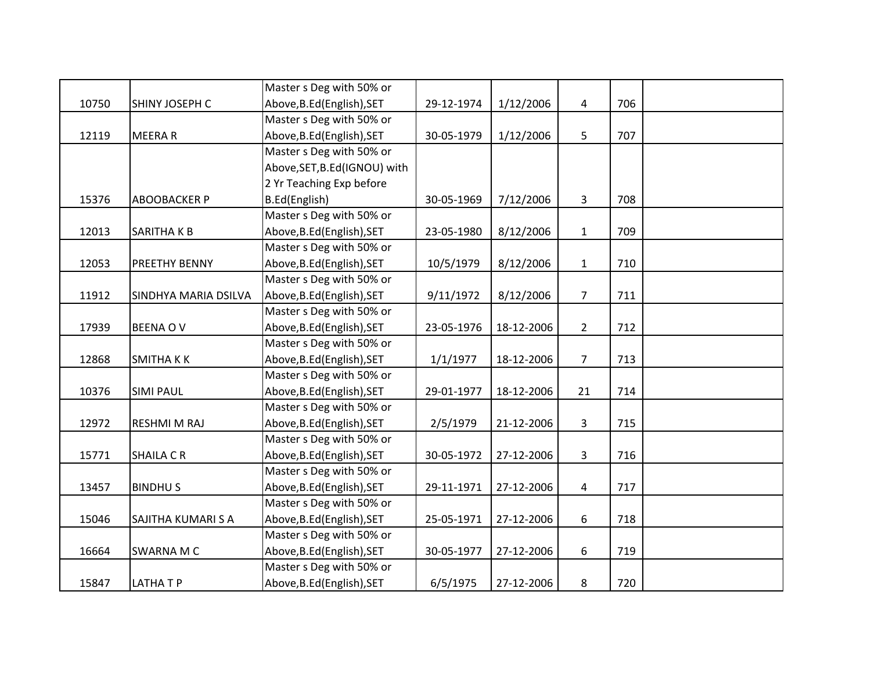|       |                      | Master s Deg with 50% or      |            |            |                |     |  |
|-------|----------------------|-------------------------------|------------|------------|----------------|-----|--|
| 10750 | SHINY JOSEPH C       | Above, B.Ed (English), SET    | 29-12-1974 | 1/12/2006  | 4              | 706 |  |
|       |                      | Master s Deg with 50% or      |            |            |                |     |  |
| 12119 | <b>MEERAR</b>        | Above, B.Ed (English), SET    | 30-05-1979 | 1/12/2006  | 5              | 707 |  |
|       |                      | Master s Deg with 50% or      |            |            |                |     |  |
|       |                      | Above, SET, B.Ed (IGNOU) with |            |            |                |     |  |
|       |                      | 2 Yr Teaching Exp before      |            |            |                |     |  |
| 15376 | <b>ABOOBACKER P</b>  | B.Ed(English)                 | 30-05-1969 | 7/12/2006  | 3              | 708 |  |
|       |                      | Master s Deg with 50% or      |            |            |                |     |  |
| 12013 | <b>SARITHAKB</b>     | Above, B.Ed (English), SET    | 23-05-1980 | 8/12/2006  | $\mathbf{1}$   | 709 |  |
|       |                      | Master s Deg with 50% or      |            |            |                |     |  |
| 12053 | <b>PREETHY BENNY</b> | Above, B.Ed (English), SET    | 10/5/1979  | 8/12/2006  | $\mathbf{1}$   | 710 |  |
|       |                      | Master s Deg with 50% or      |            |            |                |     |  |
| 11912 | SINDHYA MARIA DSILVA | Above, B.Ed (English), SET    | 9/11/1972  | 8/12/2006  | $\overline{7}$ | 711 |  |
|       |                      | Master s Deg with 50% or      |            |            |                |     |  |
| 17939 | <b>BEENA OV</b>      | Above, B.Ed (English), SET    | 23-05-1976 | 18-12-2006 | $\overline{2}$ | 712 |  |
|       |                      | Master s Deg with 50% or      |            |            |                |     |  |
| 12868 | <b>SMITHAKK</b>      | Above, B.Ed (English), SET    | 1/1/1977   | 18-12-2006 | $\overline{7}$ | 713 |  |
|       |                      | Master s Deg with 50% or      |            |            |                |     |  |
| 10376 | <b>SIMI PAUL</b>     | Above, B.Ed (English), SET    | 29-01-1977 | 18-12-2006 | 21             | 714 |  |
|       |                      | Master s Deg with 50% or      |            |            |                |     |  |
| 12972 | <b>RESHMI M RAJ</b>  | Above, B.Ed (English), SET    | 2/5/1979   | 21-12-2006 | $\mathbf{3}$   | 715 |  |
|       |                      | Master s Deg with 50% or      |            |            |                |     |  |
| 15771 | <b>SHAILA CR</b>     | Above, B.Ed (English), SET    | 30-05-1972 | 27-12-2006 | $\overline{3}$ | 716 |  |
|       |                      | Master s Deg with 50% or      |            |            |                |     |  |
| 13457 | <b>BINDHUS</b>       | Above, B.Ed (English), SET    | 29-11-1971 | 27-12-2006 | $\overline{4}$ | 717 |  |
|       |                      | Master s Deg with 50% or      |            |            |                |     |  |
| 15046 | SAJITHA KUMARI S A   | Above, B.Ed (English), SET    | 25-05-1971 | 27-12-2006 | 6              | 718 |  |
|       |                      | Master s Deg with 50% or      |            |            |                |     |  |
| 16664 | <b>SWARNA M C</b>    | Above, B.Ed (English), SET    | 30-05-1977 | 27-12-2006 | 6              | 719 |  |
|       |                      | Master s Deg with 50% or      |            |            |                |     |  |
| 15847 | <b>LATHATP</b>       | Above, B.Ed (English), SET    | 6/5/1975   | 27-12-2006 | 8              | 720 |  |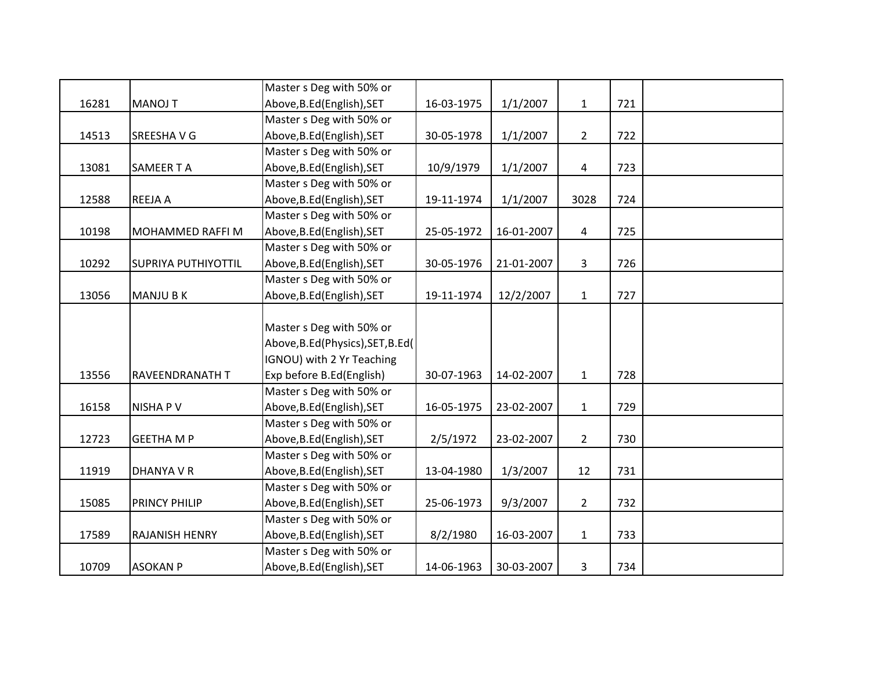|       |                            | Master s Deg with 50% or           |            |            |                |     |  |
|-------|----------------------------|------------------------------------|------------|------------|----------------|-----|--|
| 16281 | <b>MANOJ T</b>             | Above, B.Ed (English), SET         | 16-03-1975 | 1/1/2007   | $\mathbf{1}$   | 721 |  |
|       |                            | Master s Deg with 50% or           |            |            |                |     |  |
| 14513 | <b>SREESHAVG</b>           | Above, B.Ed (English), SET         | 30-05-1978 | 1/1/2007   | $\overline{2}$ | 722 |  |
|       |                            | Master s Deg with 50% or           |            |            |                |     |  |
| 13081 | <b>SAMEER T A</b>          | Above, B.Ed (English), SET         | 10/9/1979  | 1/1/2007   | 4              | 723 |  |
|       |                            | Master s Deg with 50% or           |            |            |                |     |  |
| 12588 | <b>REEJA A</b>             | Above, B.Ed (English), SET         | 19-11-1974 | 1/1/2007   | 3028           | 724 |  |
|       |                            | Master s Deg with 50% or           |            |            |                |     |  |
| 10198 | MOHAMMED RAFFI M           | Above, B.Ed (English), SET         | 25-05-1972 | 16-01-2007 | 4              | 725 |  |
|       |                            | Master s Deg with 50% or           |            |            |                |     |  |
| 10292 | <b>SUPRIYA PUTHIYOTTIL</b> | Above, B.Ed (English), SET         | 30-05-1976 | 21-01-2007 | $\overline{3}$ | 726 |  |
|       |                            | Master s Deg with 50% or           |            |            |                |     |  |
| 13056 | <b>MANJU B K</b>           | Above, B.Ed (English), SET         | 19-11-1974 | 12/2/2007  | $\mathbf{1}$   | 727 |  |
|       |                            |                                    |            |            |                |     |  |
|       |                            | Master s Deg with 50% or           |            |            |                |     |  |
|       |                            | Above, B.Ed (Physics), SET, B.Ed ( |            |            |                |     |  |
|       |                            | IGNOU) with 2 Yr Teaching          |            |            |                |     |  |
| 13556 | RAVEENDRANATH T            | Exp before B.Ed(English)           | 30-07-1963 | 14-02-2007 | $\mathbf{1}$   | 728 |  |
|       |                            | Master s Deg with 50% or           |            |            |                |     |  |
| 16158 | <b>NISHAPV</b>             | Above, B.Ed (English), SET         | 16-05-1975 | 23-02-2007 | $\mathbf{1}$   | 729 |  |
|       |                            | Master s Deg with 50% or           |            |            |                |     |  |
| 12723 | <b>GEETHA M P</b>          | Above, B.Ed (English), SET         | 2/5/1972   | 23-02-2007 | $2^{\circ}$    | 730 |  |
|       |                            | Master s Deg with 50% or           |            |            |                |     |  |
| 11919 | DHANYA V R                 | Above, B.Ed (English), SET         | 13-04-1980 | 1/3/2007   | 12             | 731 |  |
|       |                            | Master s Deg with 50% or           |            |            |                |     |  |
| 15085 | <b>PRINCY PHILIP</b>       | Above, B.Ed (English), SET         | 25-06-1973 | 9/3/2007   | $\overline{2}$ | 732 |  |
|       |                            | Master s Deg with 50% or           |            |            |                |     |  |
| 17589 | RAJANISH HENRY             | Above, B.Ed (English), SET         | 8/2/1980   | 16-03-2007 | $\mathbf{1}$   | 733 |  |
|       |                            | Master s Deg with 50% or           |            |            |                |     |  |
| 10709 | <b>ASOKAN P</b>            | Above, B.Ed (English), SET         | 14-06-1963 | 30-03-2007 | 3              | 734 |  |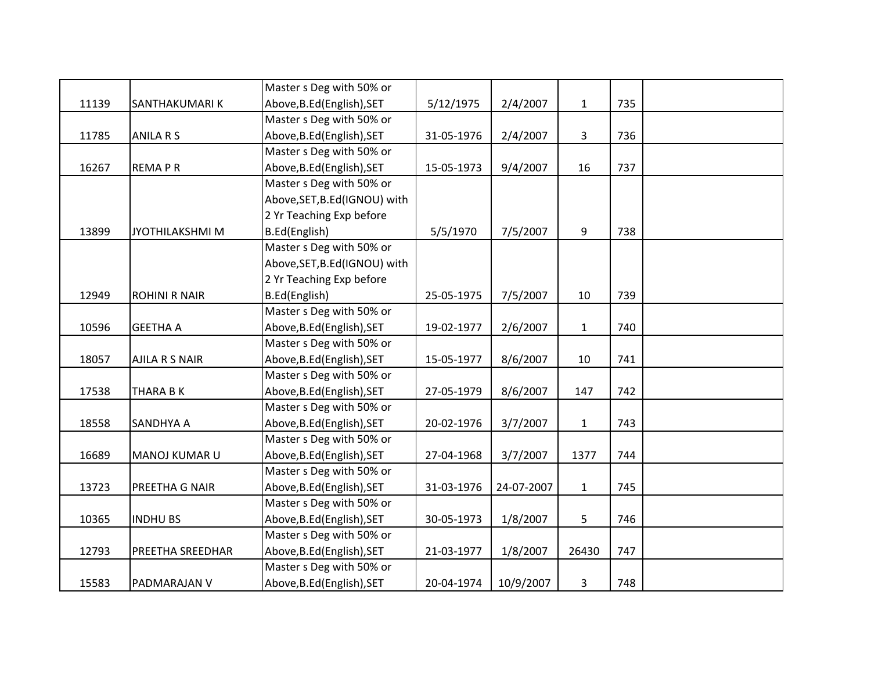|       |                       | Master s Deg with 50% or      |            |            |              |     |  |
|-------|-----------------------|-------------------------------|------------|------------|--------------|-----|--|
| 11139 | SANTHAKUMARIK         | Above, B.Ed (English), SET    | 5/12/1975  | 2/4/2007   | $\mathbf{1}$ | 735 |  |
|       |                       | Master s Deg with 50% or      |            |            |              |     |  |
| 11785 | <b>ANILA R S</b>      | Above, B.Ed (English), SET    | 31-05-1976 | 2/4/2007   | 3            | 736 |  |
|       |                       | Master s Deg with 50% or      |            |            |              |     |  |
| 16267 | <b>REMAPR</b>         | Above, B.Ed (English), SET    | 15-05-1973 | 9/4/2007   | 16           | 737 |  |
|       |                       | Master s Deg with 50% or      |            |            |              |     |  |
|       |                       | Above, SET, B.Ed (IGNOU) with |            |            |              |     |  |
|       |                       | 2 Yr Teaching Exp before      |            |            |              |     |  |
| 13899 | JYOTHILAKSHMI M       | B.Ed(English)                 | 5/5/1970   | 7/5/2007   | 9            | 738 |  |
|       |                       | Master s Deg with 50% or      |            |            |              |     |  |
|       |                       | Above, SET, B.Ed (IGNOU) with |            |            |              |     |  |
|       |                       | 2 Yr Teaching Exp before      |            |            |              |     |  |
| 12949 | <b>ROHINI R NAIR</b>  | B.Ed(English)                 | 25-05-1975 | 7/5/2007   | 10           | 739 |  |
|       |                       | Master s Deg with 50% or      |            |            |              |     |  |
| 10596 | <b>GEETHA A</b>       | Above, B.Ed (English), SET    | 19-02-1977 | 2/6/2007   | $\mathbf{1}$ | 740 |  |
|       |                       | Master s Deg with 50% or      |            |            |              |     |  |
| 18057 | <b>AJILA R S NAIR</b> | Above, B.Ed (English), SET    | 15-05-1977 | 8/6/2007   | 10           | 741 |  |
|       |                       | Master s Deg with 50% or      |            |            |              |     |  |
| 17538 | <b>THARA B K</b>      | Above, B.Ed (English), SET    | 27-05-1979 | 8/6/2007   | 147          | 742 |  |
|       |                       | Master s Deg with 50% or      |            |            |              |     |  |
| 18558 | SANDHYA A             | Above, B.Ed (English), SET    | 20-02-1976 | 3/7/2007   | $\mathbf{1}$ | 743 |  |
|       |                       | Master s Deg with 50% or      |            |            |              |     |  |
| 16689 | MANOJ KUMAR U         | Above, B.Ed (English), SET    | 27-04-1968 | 3/7/2007   | 1377         | 744 |  |
|       |                       | Master s Deg with 50% or      |            |            |              |     |  |
| 13723 | PREETHA G NAIR        | Above, B.Ed (English), SET    | 31-03-1976 | 24-07-2007 | $\mathbf{1}$ | 745 |  |
|       |                       | Master s Deg with 50% or      |            |            |              |     |  |
| 10365 | <b>INDHUBS</b>        | Above, B.Ed (English), SET    | 30-05-1973 | 1/8/2007   | 5            | 746 |  |
|       |                       | Master s Deg with 50% or      |            |            |              |     |  |
| 12793 | PREETHA SREEDHAR      | Above, B.Ed (English), SET    | 21-03-1977 | 1/8/2007   | 26430        | 747 |  |
|       |                       | Master s Deg with 50% or      |            |            |              |     |  |
| 15583 | PADMARAJAN V          | Above, B.Ed (English), SET    | 20-04-1974 | 10/9/2007  | 3            | 748 |  |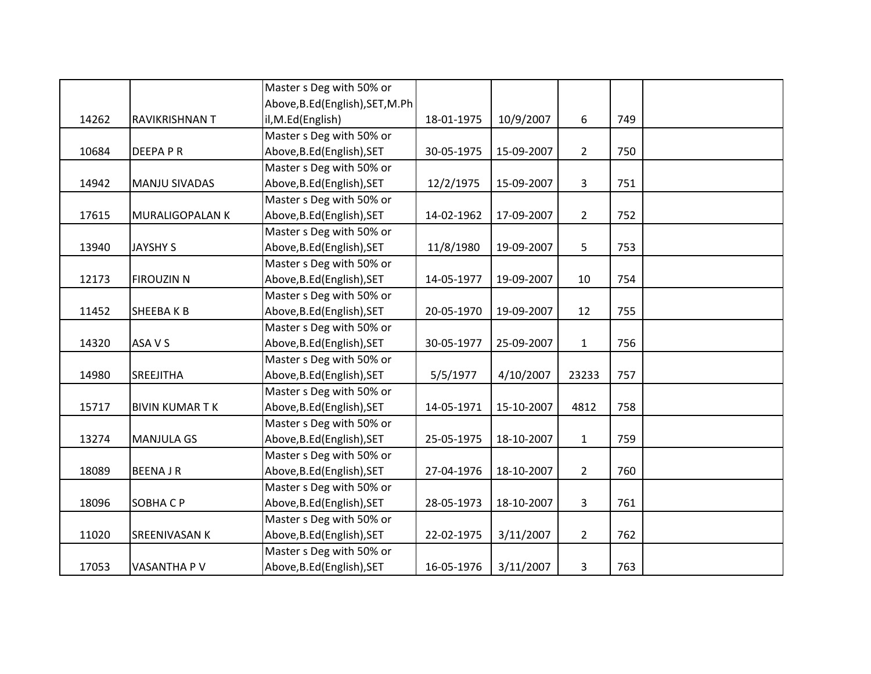|       |                        | Master s Deg with 50% or         |            |            |                |     |  |
|-------|------------------------|----------------------------------|------------|------------|----------------|-----|--|
|       |                        | Above, B.Ed (English), SET, M.Ph |            |            |                |     |  |
| 14262 | RAVIKRISHNAN T         | il, M.Ed(English)                | 18-01-1975 | 10/9/2007  | 6              | 749 |  |
|       |                        | Master s Deg with 50% or         |            |            |                |     |  |
| 10684 | <b>DEEPAPR</b>         | Above, B.Ed (English), SET       | 30-05-1975 | 15-09-2007 | $\overline{2}$ | 750 |  |
|       |                        | Master s Deg with 50% or         |            |            |                |     |  |
| 14942 | <b>MANJU SIVADAS</b>   | Above, B.Ed (English), SET       | 12/2/1975  | 15-09-2007 | 3              | 751 |  |
|       |                        | Master s Deg with 50% or         |            |            |                |     |  |
| 17615 | <b>MURALIGOPALAN K</b> | Above, B.Ed (English), SET       | 14-02-1962 | 17-09-2007 | $\overline{2}$ | 752 |  |
|       |                        | Master s Deg with 50% or         |            |            |                |     |  |
| 13940 | <b>JAYSHY S</b>        | Above, B.Ed (English), SET       | 11/8/1980  | 19-09-2007 | 5              | 753 |  |
|       |                        | Master s Deg with 50% or         |            |            |                |     |  |
| 12173 | <b>FIROUZIN N</b>      | Above, B.Ed (English), SET       | 14-05-1977 | 19-09-2007 | 10             | 754 |  |
|       |                        | Master s Deg with 50% or         |            |            |                |     |  |
| 11452 | SHEEBAKB               | Above, B.Ed (English), SET       | 20-05-1970 | 19-09-2007 | 12             | 755 |  |
|       |                        | Master s Deg with 50% or         |            |            |                |     |  |
| 14320 | ASA V S                | Above, B.Ed (English), SET       | 30-05-1977 | 25-09-2007 | $\mathbf{1}$   | 756 |  |
|       |                        | Master s Deg with 50% or         |            |            |                |     |  |
| 14980 | <b>SREEJITHA</b>       | Above, B.Ed (English), SET       | 5/5/1977   | 4/10/2007  | 23233          | 757 |  |
|       |                        | Master s Deg with 50% or         |            |            |                |     |  |
| 15717 | <b>BIVIN KUMARTK</b>   | Above, B.Ed (English), SET       | 14-05-1971 | 15-10-2007 | 4812           | 758 |  |
|       |                        | Master s Deg with 50% or         |            |            |                |     |  |
| 13274 | <b>MANJULA GS</b>      | Above, B.Ed (English), SET       | 25-05-1975 | 18-10-2007 | $\mathbf{1}$   | 759 |  |
|       |                        | Master s Deg with 50% or         |            |            |                |     |  |
| 18089 | <b>BEENAJR</b>         | Above, B.Ed (English), SET       | 27-04-1976 | 18-10-2007 | $2^{\circ}$    | 760 |  |
|       |                        | Master s Deg with 50% or         |            |            |                |     |  |
| 18096 | SOBHACP                | Above, B.Ed (English), SET       | 28-05-1973 | 18-10-2007 | $\overline{3}$ | 761 |  |
|       |                        | Master s Deg with 50% or         |            |            |                |     |  |
| 11020 | <b>SREENIVASAN K</b>   | Above, B.Ed (English), SET       | 22-02-1975 | 3/11/2007  | $\overline{2}$ | 762 |  |
|       |                        | Master s Deg with 50% or         |            |            |                |     |  |
| 17053 | VASANTHA P V           | Above, B.Ed (English), SET       | 16-05-1976 | 3/11/2007  | 3              | 763 |  |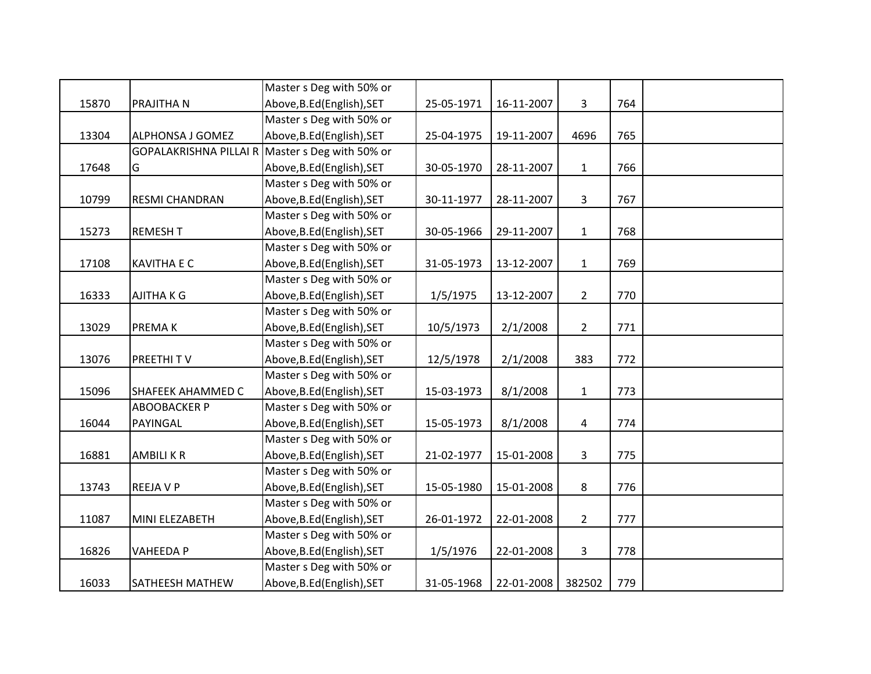|       |                         | Master s Deg with 50% or                        |            |            |                |     |  |
|-------|-------------------------|-------------------------------------------------|------------|------------|----------------|-----|--|
| 15870 | PRAJITHA N              | Above, B.Ed (English), SET                      | 25-05-1971 | 16-11-2007 | 3              | 764 |  |
|       |                         | Master s Deg with 50% or                        |            |            |                |     |  |
| 13304 | <b>ALPHONSA J GOMEZ</b> | Above, B.Ed (English), SET                      | 25-04-1975 | 19-11-2007 | 4696           | 765 |  |
|       |                         | GOPALAKRISHNA PILLAI R Master s Deg with 50% or |            |            |                |     |  |
| 17648 | G                       | Above, B.Ed (English), SET                      | 30-05-1970 | 28-11-2007 | $\mathbf{1}$   | 766 |  |
|       |                         | Master s Deg with 50% or                        |            |            |                |     |  |
| 10799 | <b>RESMI CHANDRAN</b>   | Above, B.Ed (English), SET                      | 30-11-1977 | 28-11-2007 | 3              | 767 |  |
|       |                         | Master s Deg with 50% or                        |            |            |                |     |  |
| 15273 | <b>REMESHT</b>          | Above, B.Ed (English), SET                      | 30-05-1966 | 29-11-2007 | $\mathbf{1}$   | 768 |  |
|       |                         | Master s Deg with 50% or                        |            |            |                |     |  |
| 17108 | <b>KAVITHA E C</b>      | Above, B.Ed (English), SET                      | 31-05-1973 | 13-12-2007 | $\mathbf{1}$   | 769 |  |
|       |                         | Master s Deg with 50% or                        |            |            |                |     |  |
| 16333 | AJITHA K G              | Above, B.Ed (English), SET                      | 1/5/1975   | 13-12-2007 | $\overline{2}$ | 770 |  |
|       |                         | Master s Deg with 50% or                        |            |            |                |     |  |
| 13029 | PREMA K                 | Above, B.Ed (English), SET                      | 10/5/1973  | 2/1/2008   | $\overline{2}$ | 771 |  |
|       |                         | Master s Deg with 50% or                        |            |            |                |     |  |
| 13076 | PREETHITV               | Above, B.Ed (English), SET                      | 12/5/1978  | 2/1/2008   | 383            | 772 |  |
|       |                         | Master s Deg with 50% or                        |            |            |                |     |  |
| 15096 | SHAFEEK AHAMMED C       | Above, B.Ed (English), SET                      | 15-03-1973 | 8/1/2008   | $\mathbf{1}$   | 773 |  |
|       | <b>ABOOBACKER P</b>     | Master s Deg with 50% or                        |            |            |                |     |  |
| 16044 | PAYINGAL                | Above, B.Ed (English), SET                      | 15-05-1973 | 8/1/2008   | 4              | 774 |  |
|       |                         | Master s Deg with 50% or                        |            |            |                |     |  |
| 16881 | <b>AMBILIKR</b>         | Above, B.Ed (English), SET                      | 21-02-1977 | 15-01-2008 | $\overline{3}$ | 775 |  |
|       |                         | Master s Deg with 50% or                        |            |            |                |     |  |
| 13743 | <b>REEJAVP</b>          | Above, B.Ed (English), SET                      | 15-05-1980 | 15-01-2008 | 8              | 776 |  |
|       |                         | Master s Deg with 50% or                        |            |            |                |     |  |
| 11087 | MINI ELEZABETH          | Above, B.Ed (English), SET                      | 26-01-1972 | 22-01-2008 | $\overline{2}$ | 777 |  |
|       |                         | Master s Deg with 50% or                        |            |            |                |     |  |
| 16826 | <b>VAHEEDA P</b>        | Above, B.Ed (English), SET                      | 1/5/1976   | 22-01-2008 | 3              | 778 |  |
|       |                         | Master s Deg with 50% or                        |            |            |                |     |  |
| 16033 | <b>SATHEESH MATHEW</b>  | Above, B.Ed (English), SET                      | 31-05-1968 | 22-01-2008 | 382502         | 779 |  |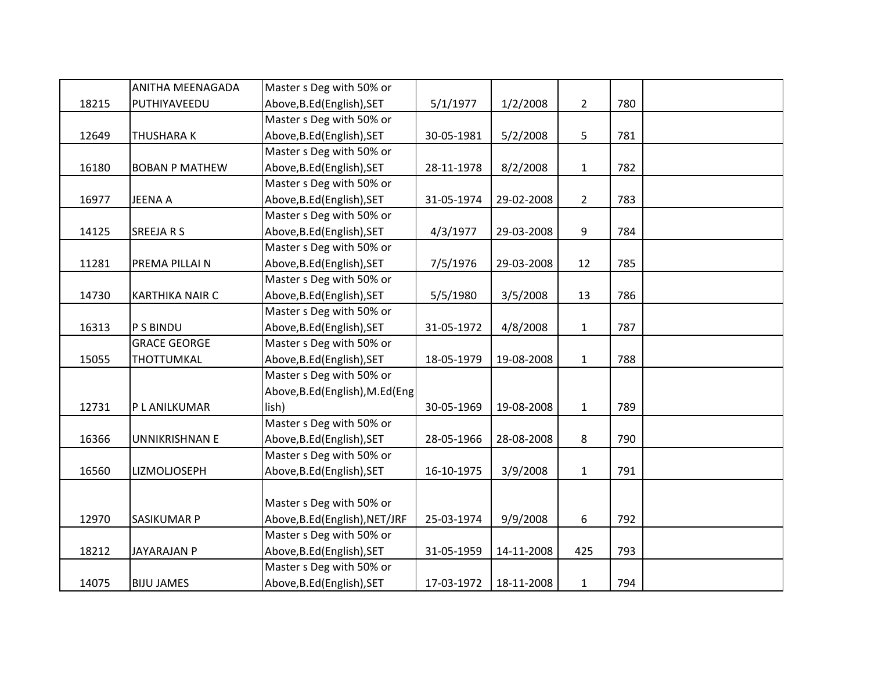|       | ANITHA MEENAGADA       | Master s Deg with 50% or         |            |            |                |     |  |
|-------|------------------------|----------------------------------|------------|------------|----------------|-----|--|
| 18215 | PUTHIYAVEEDU           | Above, B.Ed (English), SET       | 5/1/1977   | 1/2/2008   | $\overline{2}$ | 780 |  |
|       |                        | Master s Deg with 50% or         |            |            |                |     |  |
| 12649 | <b>THUSHARAK</b>       | Above, B.Ed (English), SET       | 30-05-1981 | 5/2/2008   | 5              | 781 |  |
|       |                        | Master s Deg with 50% or         |            |            |                |     |  |
| 16180 | <b>BOBAN P MATHEW</b>  | Above, B.Ed (English), SET       | 28-11-1978 | 8/2/2008   | $\mathbf{1}$   | 782 |  |
|       |                        | Master s Deg with 50% or         |            |            |                |     |  |
| 16977 | <b>JEENA A</b>         | Above, B.Ed (English), SET       | 31-05-1974 | 29-02-2008 | $2^{\circ}$    | 783 |  |
|       |                        | Master s Deg with 50% or         |            |            |                |     |  |
| 14125 | <b>SREEJARS</b>        | Above, B.Ed (English), SET       | 4/3/1977   | 29-03-2008 | 9              | 784 |  |
|       |                        | Master s Deg with 50% or         |            |            |                |     |  |
| 11281 | PREMA PILLAI N         | Above, B.Ed (English), SET       | 7/5/1976   | 29-03-2008 | 12             | 785 |  |
|       |                        | Master s Deg with 50% or         |            |            |                |     |  |
| 14730 | <b>KARTHIKA NAIR C</b> | Above, B.Ed (English), SET       | 5/5/1980   | 3/5/2008   | 13             | 786 |  |
|       |                        | Master s Deg with 50% or         |            |            |                |     |  |
| 16313 | P S BINDU              | Above, B.Ed (English), SET       | 31-05-1972 | 4/8/2008   | $\mathbf{1}$   | 787 |  |
|       | <b>GRACE GEORGE</b>    | Master s Deg with 50% or         |            |            |                |     |  |
| 15055 | THOTTUMKAL             | Above, B.Ed (English), SET       | 18-05-1979 | 19-08-2008 | $\mathbf{1}$   | 788 |  |
|       |                        | Master s Deg with 50% or         |            |            |                |     |  |
|       |                        | Above, B.Ed (English), M.Ed (Eng |            |            |                |     |  |
| 12731 | P L ANILKUMAR          | lish)                            | 30-05-1969 | 19-08-2008 | $\mathbf{1}$   | 789 |  |
|       |                        | Master s Deg with 50% or         |            |            |                |     |  |
| 16366 | <b>UNNIKRISHNAN E</b>  | Above, B.Ed (English), SET       | 28-05-1966 | 28-08-2008 | 8              | 790 |  |
|       |                        | Master s Deg with 50% or         |            |            |                |     |  |
| 16560 | LIZMOLJOSEPH           | Above, B.Ed (English), SET       | 16-10-1975 | 3/9/2008   | $\mathbf{1}$   | 791 |  |
|       |                        |                                  |            |            |                |     |  |
|       |                        | Master s Deg with 50% or         |            |            |                |     |  |
| 12970 | <b>SASIKUMAR P</b>     | Above, B.Ed (English), NET/JRF   | 25-03-1974 | 9/9/2008   | 6              | 792 |  |
|       |                        | Master s Deg with 50% or         |            |            |                |     |  |
| 18212 | <b>JAYARAJAN P</b>     | Above, B.Ed (English), SET       | 31-05-1959 | 14-11-2008 | 425            | 793 |  |
|       |                        | Master s Deg with 50% or         |            |            |                |     |  |
| 14075 | <b>BIJU JAMES</b>      | Above, B.Ed (English), SET       | 17-03-1972 | 18-11-2008 | $\mathbf{1}$   | 794 |  |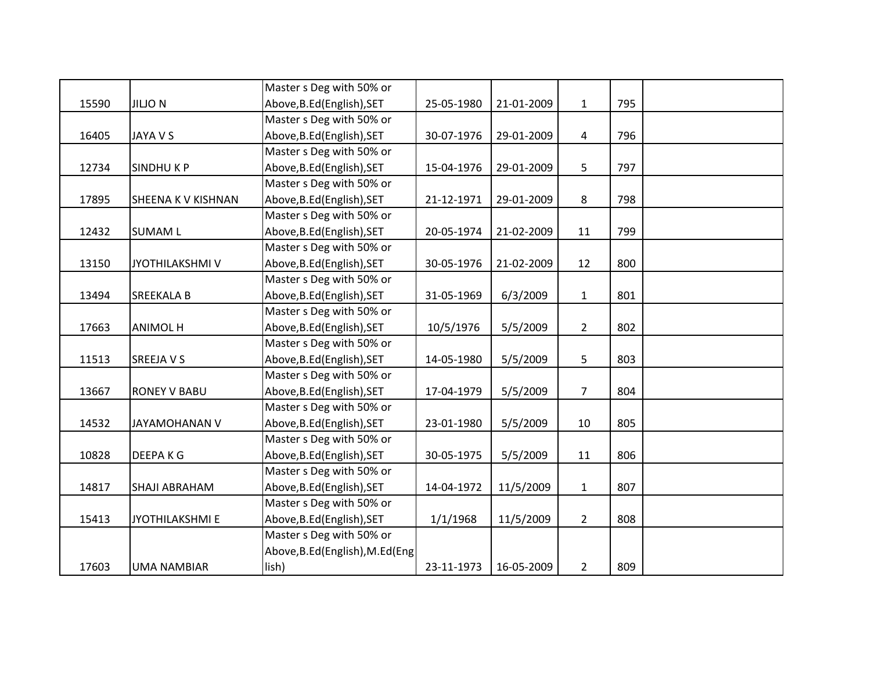|       |                        | Master s Deg with 50% or         |            |            |                |     |  |
|-------|------------------------|----------------------------------|------------|------------|----------------|-----|--|
| 15590 | <b>JILJO N</b>         | Above, B.Ed (English), SET       | 25-05-1980 | 21-01-2009 | $\mathbf{1}$   | 795 |  |
|       |                        | Master s Deg with 50% or         |            |            |                |     |  |
| 16405 | <b>JAYA V S</b>        | Above, B.Ed (English), SET       | 30-07-1976 | 29-01-2009 | $\overline{4}$ | 796 |  |
|       |                        | Master s Deg with 50% or         |            |            |                |     |  |
| 12734 | <b>SINDHUKP</b>        | Above, B.Ed (English), SET       | 15-04-1976 | 29-01-2009 | 5              | 797 |  |
|       |                        | Master s Deg with 50% or         |            |            |                |     |  |
| 17895 | SHEENA K V KISHNAN     | Above, B.Ed (English), SET       | 21-12-1971 | 29-01-2009 | 8              | 798 |  |
|       |                        | Master s Deg with 50% or         |            |            |                |     |  |
| 12432 | <b>SUMAM L</b>         | Above, B.Ed (English), SET       | 20-05-1974 | 21-02-2009 | 11             | 799 |  |
|       |                        | Master s Deg with 50% or         |            |            |                |     |  |
| 13150 | <b>JYOTHILAKSHMIV</b>  | Above, B.Ed (English), SET       | 30-05-1976 | 21-02-2009 | 12             | 800 |  |
|       |                        | Master s Deg with 50% or         |            |            |                |     |  |
| 13494 | <b>SREEKALA B</b>      | Above, B.Ed (English), SET       | 31-05-1969 | 6/3/2009   | $\mathbf{1}$   | 801 |  |
|       |                        | Master s Deg with 50% or         |            |            |                |     |  |
| 17663 | <b>ANIMOL H</b>        | Above, B.Ed (English), SET       | 10/5/1976  | 5/5/2009   | $\overline{2}$ | 802 |  |
|       |                        | Master s Deg with 50% or         |            |            |                |     |  |
| 11513 | <b>SREEJA V S</b>      | Above, B.Ed (English), SET       | 14-05-1980 | 5/5/2009   | 5              | 803 |  |
|       |                        | Master s Deg with 50% or         |            |            |                |     |  |
| 13667 | <b>RONEY V BABU</b>    | Above, B.Ed (English), SET       | 17-04-1979 | 5/5/2009   | $\overline{7}$ | 804 |  |
|       |                        | Master s Deg with 50% or         |            |            |                |     |  |
| 14532 | <b>JAYAMOHANAN V</b>   | Above, B.Ed (English), SET       | 23-01-1980 | 5/5/2009   | 10             | 805 |  |
|       |                        | Master s Deg with 50% or         |            |            |                |     |  |
| 10828 | <b>DEEPAKG</b>         | Above, B.Ed (English), SET       | 30-05-1975 | 5/5/2009   | 11             | 806 |  |
|       |                        | Master s Deg with 50% or         |            |            |                |     |  |
| 14817 | <b>SHAJI ABRAHAM</b>   | Above, B.Ed (English), SET       | 14-04-1972 | 11/5/2009  | $\mathbf{1}$   | 807 |  |
|       |                        | Master s Deg with 50% or         |            |            |                |     |  |
| 15413 | <b>JYOTHILAKSHMI E</b> | Above, B.Ed (English), SET       | 1/1/1968   | 11/5/2009  | $\overline{2}$ | 808 |  |
|       |                        | Master s Deg with 50% or         |            |            |                |     |  |
|       |                        | Above, B.Ed (English), M.Ed (Eng |            |            |                |     |  |
| 17603 | <b>UMA NAMBIAR</b>     | lish)                            | 23-11-1973 | 16-05-2009 | $\overline{2}$ | 809 |  |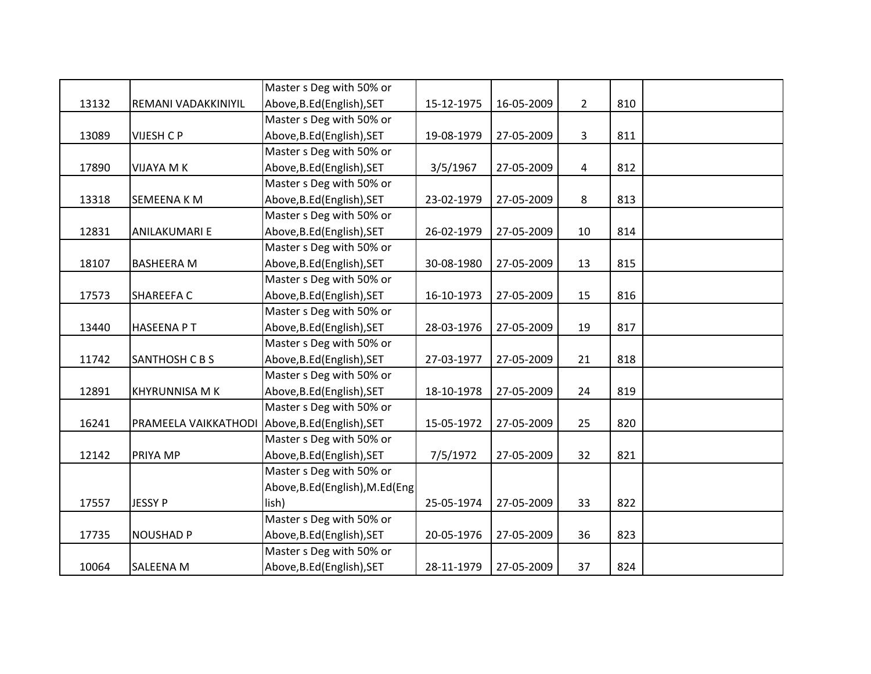|       |                                                 | Master s Deg with 50% or         |            |            |                |     |  |
|-------|-------------------------------------------------|----------------------------------|------------|------------|----------------|-----|--|
| 13132 | REMANI VADAKKINIYIL                             | Above, B.Ed (English), SET       | 15-12-1975 | 16-05-2009 | $2^{\circ}$    | 810 |  |
|       |                                                 | Master s Deg with 50% or         |            |            |                |     |  |
| 13089 | VIJESH C P                                      | Above, B.Ed (English), SET       | 19-08-1979 | 27-05-2009 | 3              | 811 |  |
|       |                                                 | Master s Deg with 50% or         |            |            |                |     |  |
| 17890 | VIJAYA M K                                      | Above, B.Ed (English), SET       | 3/5/1967   | 27-05-2009 | $\overline{4}$ | 812 |  |
|       |                                                 | Master s Deg with 50% or         |            |            |                |     |  |
| 13318 | <b>SEMEENA K M</b>                              | Above, B.Ed (English), SET       | 23-02-1979 | 27-05-2009 | 8              | 813 |  |
|       |                                                 | Master s Deg with 50% or         |            |            |                |     |  |
| 12831 | ANILAKUMARI E                                   | Above, B.Ed (English), SET       | 26-02-1979 | 27-05-2009 | 10             | 814 |  |
|       |                                                 | Master s Deg with 50% or         |            |            |                |     |  |
| 18107 | <b>BASHEERA M</b>                               | Above, B.Ed (English), SET       | 30-08-1980 | 27-05-2009 | 13             | 815 |  |
|       |                                                 | Master s Deg with 50% or         |            |            |                |     |  |
| 17573 | <b>SHAREEFAC</b>                                | Above, B.Ed (English), SET       | 16-10-1973 | 27-05-2009 | 15             | 816 |  |
|       |                                                 | Master s Deg with 50% or         |            |            |                |     |  |
| 13440 | <b>HASEENA PT</b>                               | Above, B.Ed (English), SET       | 28-03-1976 | 27-05-2009 | 19             | 817 |  |
|       |                                                 | Master s Deg with 50% or         |            |            |                |     |  |
| 11742 | SANTHOSH C B S                                  | Above, B.Ed (English), SET       | 27-03-1977 | 27-05-2009 | 21             | 818 |  |
|       |                                                 | Master s Deg with 50% or         |            |            |                |     |  |
| 12891 | <b>KHYRUNNISA M K</b>                           | Above, B.Ed (English), SET       | 18-10-1978 | 27-05-2009 | 24             | 819 |  |
|       |                                                 | Master s Deg with 50% or         |            |            |                |     |  |
| 16241 | PRAMEELA VAIKKATHODI Above, B.Ed (English), SET |                                  | 15-05-1972 | 27-05-2009 | 25             | 820 |  |
|       |                                                 | Master s Deg with 50% or         |            |            |                |     |  |
| 12142 | PRIYA MP                                        | Above, B.Ed (English), SET       | 7/5/1972   | 27-05-2009 | 32             | 821 |  |
|       |                                                 | Master s Deg with 50% or         |            |            |                |     |  |
|       |                                                 | Above, B.Ed (English), M.Ed (Eng |            |            |                |     |  |
| 17557 | <b>JESSY P</b>                                  | lish)                            | 25-05-1974 | 27-05-2009 | 33             | 822 |  |
|       |                                                 | Master s Deg with 50% or         |            |            |                |     |  |
| 17735 | <b>NOUSHAD P</b>                                | Above, B.Ed (English), SET       | 20-05-1976 | 27-05-2009 | 36             | 823 |  |
|       |                                                 | Master s Deg with 50% or         |            |            |                |     |  |
| 10064 | <b>SALEENA M</b>                                | Above, B.Ed (English), SET       | 28-11-1979 | 27-05-2009 | 37             | 824 |  |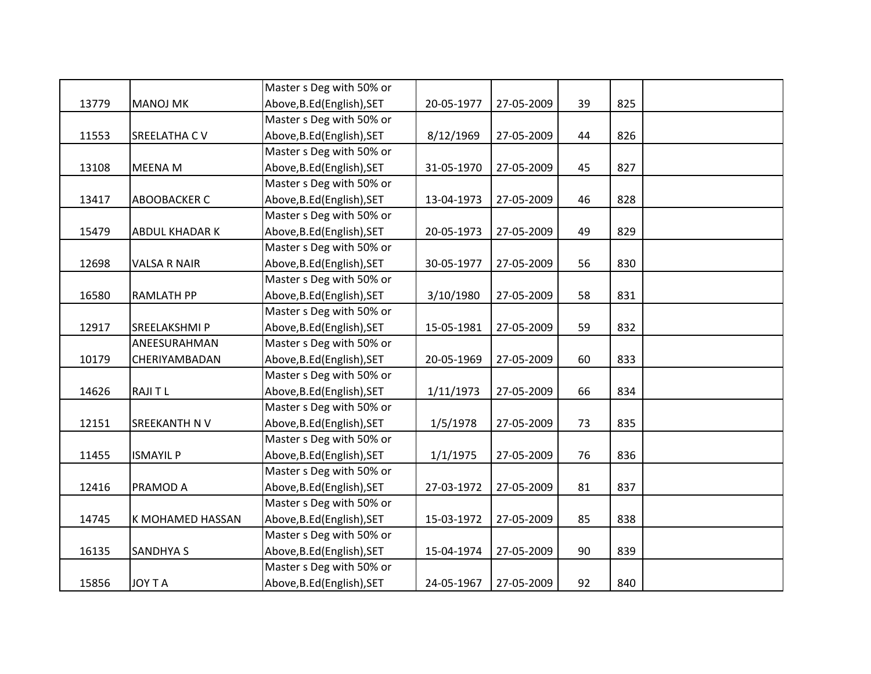|       |                       | Master s Deg with 50% or   |            |            |    |     |  |
|-------|-----------------------|----------------------------|------------|------------|----|-----|--|
| 13779 | <b>MANOJ MK</b>       | Above, B.Ed (English), SET | 20-05-1977 | 27-05-2009 | 39 | 825 |  |
|       |                       | Master s Deg with 50% or   |            |            |    |     |  |
| 11553 | <b>SREELATHA CV</b>   | Above, B.Ed (English), SET | 8/12/1969  | 27-05-2009 | 44 | 826 |  |
|       |                       | Master s Deg with 50% or   |            |            |    |     |  |
| 13108 | <b>MEENA M</b>        | Above, B.Ed (English), SET | 31-05-1970 | 27-05-2009 | 45 | 827 |  |
|       |                       | Master s Deg with 50% or   |            |            |    |     |  |
| 13417 | <b>ABOOBACKER C</b>   | Above, B.Ed (English), SET | 13-04-1973 | 27-05-2009 | 46 | 828 |  |
|       |                       | Master s Deg with 50% or   |            |            |    |     |  |
| 15479 | <b>ABDUL KHADAR K</b> | Above, B.Ed (English), SET | 20-05-1973 | 27-05-2009 | 49 | 829 |  |
|       |                       | Master s Deg with 50% or   |            |            |    |     |  |
| 12698 | <b>VALSA R NAIR</b>   | Above, B.Ed (English), SET | 30-05-1977 | 27-05-2009 | 56 | 830 |  |
|       |                       | Master s Deg with 50% or   |            |            |    |     |  |
| 16580 | <b>RAMLATH PP</b>     | Above, B.Ed (English), SET | 3/10/1980  | 27-05-2009 | 58 | 831 |  |
|       |                       | Master s Deg with 50% or   |            |            |    |     |  |
| 12917 | SREELAKSHMI P         | Above, B.Ed (English), SET | 15-05-1981 | 27-05-2009 | 59 | 832 |  |
|       | ANEESURAHMAN          | Master s Deg with 50% or   |            |            |    |     |  |
| 10179 | CHERIYAMBADAN         | Above, B.Ed (English), SET | 20-05-1969 | 27-05-2009 | 60 | 833 |  |
|       |                       | Master s Deg with 50% or   |            |            |    |     |  |
| 14626 | <b>RAJITL</b>         | Above, B.Ed (English), SET | 1/11/1973  | 27-05-2009 | 66 | 834 |  |
|       |                       | Master s Deg with 50% or   |            |            |    |     |  |
| 12151 | SREEKANTH N V         | Above, B.Ed (English), SET | 1/5/1978   | 27-05-2009 | 73 | 835 |  |
|       |                       | Master s Deg with 50% or   |            |            |    |     |  |
| 11455 | <b>ISMAYIL P</b>      | Above, B.Ed (English), SET | 1/1/1975   | 27-05-2009 | 76 | 836 |  |
|       |                       | Master s Deg with 50% or   |            |            |    |     |  |
| 12416 | <b>PRAMOD A</b>       | Above, B.Ed (English), SET | 27-03-1972 | 27-05-2009 | 81 | 837 |  |
|       |                       | Master s Deg with 50% or   |            |            |    |     |  |
| 14745 | K MOHAMED HASSAN      | Above, B.Ed (English), SET | 15-03-1972 | 27-05-2009 | 85 | 838 |  |
|       |                       | Master s Deg with 50% or   |            |            |    |     |  |
| 16135 | <b>SANDHYA S</b>      | Above, B.Ed (English), SET | 15-04-1974 | 27-05-2009 | 90 | 839 |  |
|       |                       | Master s Deg with 50% or   |            |            |    |     |  |
| 15856 | <b>JOY T A</b>        | Above, B.Ed (English), SET | 24-05-1967 | 27-05-2009 | 92 | 840 |  |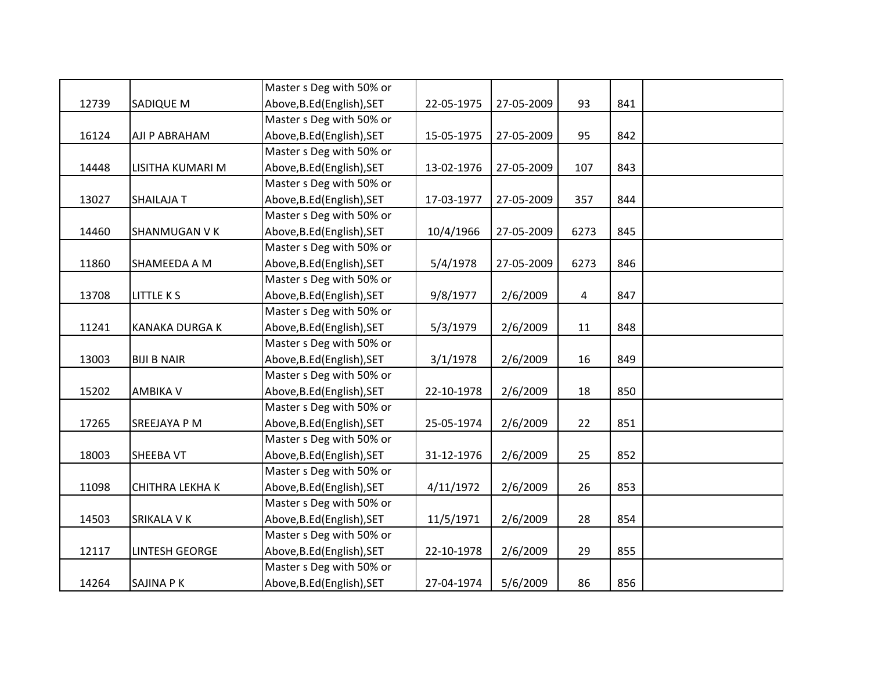|       |                        | Master s Deg with 50% or   |            |            |                |     |  |
|-------|------------------------|----------------------------|------------|------------|----------------|-----|--|
| 12739 | <b>SADIQUE M</b>       | Above, B.Ed (English), SET | 22-05-1975 | 27-05-2009 | 93             | 841 |  |
|       |                        | Master s Deg with 50% or   |            |            |                |     |  |
| 16124 | AJI P ABRAHAM          | Above, B.Ed (English), SET | 15-05-1975 | 27-05-2009 | 95             | 842 |  |
|       |                        | Master s Deg with 50% or   |            |            |                |     |  |
| 14448 | LISITHA KUMARI M       | Above, B.Ed (English), SET | 13-02-1976 | 27-05-2009 | 107            | 843 |  |
|       |                        | Master s Deg with 50% or   |            |            |                |     |  |
| 13027 | <b>SHAILAJA T</b>      | Above, B.Ed (English), SET | 17-03-1977 | 27-05-2009 | 357            | 844 |  |
|       |                        | Master s Deg with 50% or   |            |            |                |     |  |
| 14460 | <b>SHANMUGAN V K</b>   | Above, B.Ed (English), SET | 10/4/1966  | 27-05-2009 | 6273           | 845 |  |
|       |                        | Master s Deg with 50% or   |            |            |                |     |  |
| 11860 | SHAMEEDA A M           | Above, B.Ed (English), SET | 5/4/1978   | 27-05-2009 | 6273           | 846 |  |
|       |                        | Master s Deg with 50% or   |            |            |                |     |  |
| 13708 | <b>LITTLE KS</b>       | Above, B.Ed (English), SET | 9/8/1977   | 2/6/2009   | $\overline{4}$ | 847 |  |
|       |                        | Master s Deg with 50% or   |            |            |                |     |  |
| 11241 | KANAKA DURGA K         | Above, B.Ed (English), SET | 5/3/1979   | 2/6/2009   | 11             | 848 |  |
|       |                        | Master s Deg with 50% or   |            |            |                |     |  |
| 13003 | <b>BIJI B NAIR</b>     | Above, B.Ed (English), SET | 3/1/1978   | 2/6/2009   | 16             | 849 |  |
|       |                        | Master s Deg with 50% or   |            |            |                |     |  |
| 15202 | <b>AMBIKA V</b>        | Above, B.Ed (English), SET | 22-10-1978 | 2/6/2009   | 18             | 850 |  |
|       |                        | Master s Deg with 50% or   |            |            |                |     |  |
| 17265 | SREEJAYA P M           | Above, B.Ed (English), SET | 25-05-1974 | 2/6/2009   | 22             | 851 |  |
|       |                        | Master s Deg with 50% or   |            |            |                |     |  |
| 18003 | <b>SHEEBA VT</b>       | Above, B.Ed (English), SET | 31-12-1976 | 2/6/2009   | 25             | 852 |  |
|       |                        | Master s Deg with 50% or   |            |            |                |     |  |
| 11098 | <b>CHITHRA LEKHA K</b> | Above, B.Ed (English), SET | 4/11/1972  | 2/6/2009   | 26             | 853 |  |
|       |                        | Master s Deg with 50% or   |            |            |                |     |  |
| 14503 | SRIKALA V K            | Above, B.Ed (English), SET | 11/5/1971  | 2/6/2009   | 28             | 854 |  |
|       |                        | Master s Deg with 50% or   |            |            |                |     |  |
| 12117 | <b>LINTESH GEORGE</b>  | Above, B.Ed (English), SET | 22-10-1978 | 2/6/2009   | 29             | 855 |  |
|       |                        | Master s Deg with 50% or   |            |            |                |     |  |
| 14264 | <b>SAJINA PK</b>       | Above, B.Ed (English), SET | 27-04-1974 | 5/6/2009   | 86             | 856 |  |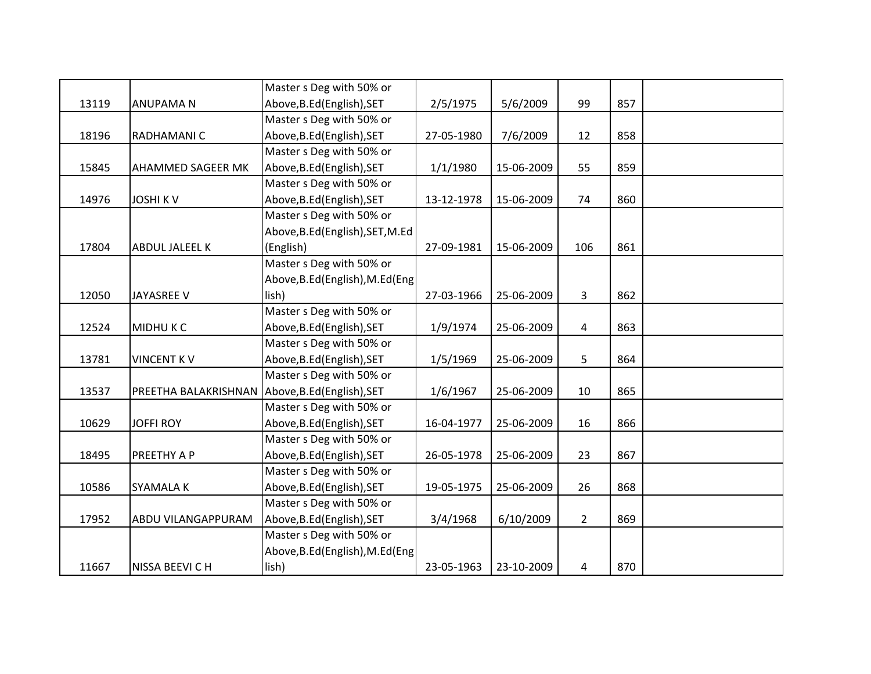|       |                                                 | Master s Deg with 50% or         |            |            |                |     |  |
|-------|-------------------------------------------------|----------------------------------|------------|------------|----------------|-----|--|
| 13119 | <b>ANUPAMAN</b>                                 | Above, B.Ed (English), SET       | 2/5/1975   | 5/6/2009   | 99             | 857 |  |
|       |                                                 | Master s Deg with 50% or         |            |            |                |     |  |
| 18196 | RADHAMANI C                                     | Above, B.Ed (English), SET       | 27-05-1980 | 7/6/2009   | 12             | 858 |  |
|       |                                                 | Master s Deg with 50% or         |            |            |                |     |  |
| 15845 | AHAMMED SAGEER MK                               | Above, B.Ed (English), SET       | 1/1/1980   | 15-06-2009 | 55             | 859 |  |
|       |                                                 | Master s Deg with 50% or         |            |            |                |     |  |
| 14976 | <b>JOSHIKV</b>                                  | Above, B.Ed (English), SET       | 13-12-1978 | 15-06-2009 | 74             | 860 |  |
|       |                                                 | Master s Deg with 50% or         |            |            |                |     |  |
|       |                                                 | Above, B.Ed (English), SET, M.Ed |            |            |                |     |  |
| 17804 | ABDUL JALEEL K                                  | (English)                        | 27-09-1981 | 15-06-2009 | 106            | 861 |  |
|       |                                                 | Master s Deg with 50% or         |            |            |                |     |  |
|       |                                                 | Above, B.Ed (English), M.Ed (Eng |            |            |                |     |  |
| 12050 | JAYASREE V                                      | lish)                            | 27-03-1966 | 25-06-2009 | 3              | 862 |  |
|       |                                                 | Master s Deg with 50% or         |            |            |                |     |  |
| 12524 | <b>MIDHUKC</b>                                  | Above, B.Ed (English), SET       | 1/9/1974   | 25-06-2009 | $\overline{4}$ | 863 |  |
|       |                                                 | Master s Deg with 50% or         |            |            |                |     |  |
| 13781 | <b>VINCENT KV</b>                               | Above, B.Ed (English), SET       | 1/5/1969   | 25-06-2009 | 5              | 864 |  |
|       |                                                 | Master s Deg with 50% or         |            |            |                |     |  |
| 13537 | PREETHA BALAKRISHNAN Above, B.Ed (English), SET |                                  | 1/6/1967   | 25-06-2009 | 10             | 865 |  |
|       |                                                 | Master s Deg with 50% or         |            |            |                |     |  |
| 10629 | <b>JOFFI ROY</b>                                | Above, B.Ed (English), SET       | 16-04-1977 | 25-06-2009 | 16             | 866 |  |
|       |                                                 | Master s Deg with 50% or         |            |            |                |     |  |
| 18495 | PREETHY A P                                     | Above, B.Ed (English), SET       | 26-05-1978 | 25-06-2009 | 23             | 867 |  |
|       |                                                 | Master s Deg with 50% or         |            |            |                |     |  |
| 10586 | SYAMALA K                                       | Above, B.Ed (English), SET       | 19-05-1975 | 25-06-2009 | 26             | 868 |  |
|       |                                                 | Master s Deg with 50% or         |            |            |                |     |  |
| 17952 | ABDU VILANGAPPURAM                              | Above, B.Ed (English), SET       | 3/4/1968   | 6/10/2009  | $\overline{2}$ | 869 |  |
|       |                                                 | Master s Deg with 50% or         |            |            |                |     |  |
|       |                                                 | Above, B.Ed (English), M.Ed (Eng |            |            |                |     |  |
| 11667 | NISSA BEEVI C H                                 | lish)                            | 23-05-1963 | 23-10-2009 | 4              | 870 |  |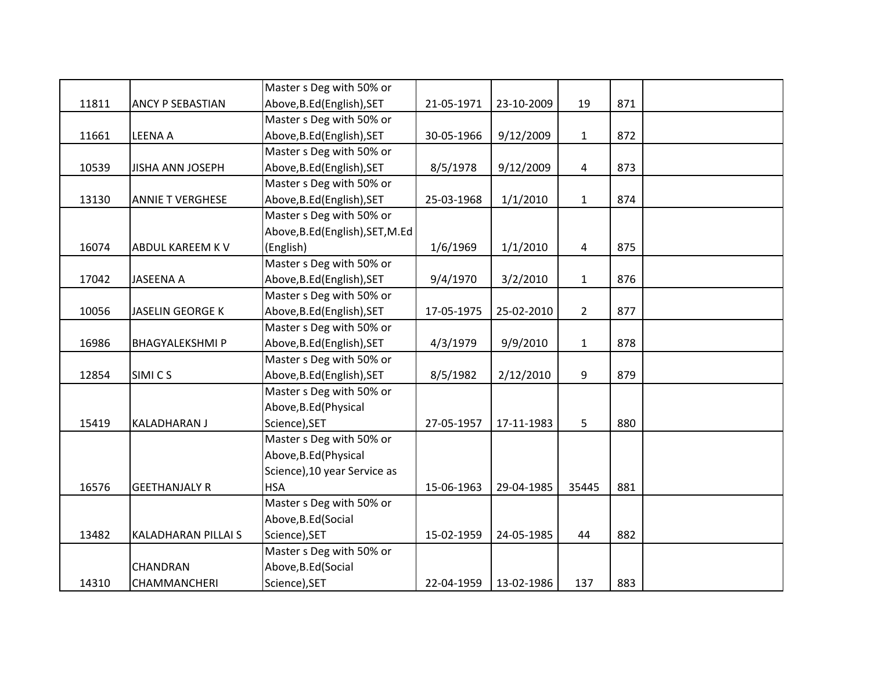|       |                         | Master s Deg with 50% or         |            |            |                |     |  |
|-------|-------------------------|----------------------------------|------------|------------|----------------|-----|--|
| 11811 | ANCY P SEBASTIAN        | Above, B.Ed (English), SET       | 21-05-1971 | 23-10-2009 | 19             | 871 |  |
|       |                         | Master s Deg with 50% or         |            |            |                |     |  |
| 11661 | <b>LEENA A</b>          | Above, B.Ed (English), SET       | 30-05-1966 | 9/12/2009  | $\mathbf{1}$   | 872 |  |
|       |                         | Master s Deg with 50% or         |            |            |                |     |  |
| 10539 | <b>JISHA ANN JOSEPH</b> | Above, B.Ed (English), SET       | 8/5/1978   | 9/12/2009  | 4              | 873 |  |
|       |                         | Master s Deg with 50% or         |            |            |                |     |  |
| 13130 | <b>ANNIE T VERGHESE</b> | Above, B.Ed (English), SET       | 25-03-1968 | 1/1/2010   | $\mathbf{1}$   | 874 |  |
|       |                         | Master s Deg with 50% or         |            |            |                |     |  |
|       |                         | Above, B.Ed (English), SET, M.Ed |            |            |                |     |  |
| 16074 | ABDUL KAREEM K V        | (English)                        | 1/6/1969   | 1/1/2010   | 4              | 875 |  |
|       |                         | Master s Deg with 50% or         |            |            |                |     |  |
| 17042 | <b>JASEENA A</b>        | Above, B.Ed (English), SET       | 9/4/1970   | 3/2/2010   | $\mathbf{1}$   | 876 |  |
|       |                         | Master s Deg with 50% or         |            |            |                |     |  |
| 10056 | <b>JASELIN GEORGE K</b> | Above, B.Ed (English), SET       | 17-05-1975 | 25-02-2010 | $\overline{2}$ | 877 |  |
|       |                         | Master s Deg with 50% or         |            |            |                |     |  |
| 16986 | <b>BHAGYALEKSHMIP</b>   | Above, B.Ed (English), SET       | 4/3/1979   | 9/9/2010   | $\mathbf{1}$   | 878 |  |
|       |                         | Master s Deg with 50% or         |            |            |                |     |  |
| 12854 | SIMI C S                | Above, B.Ed (English), SET       | 8/5/1982   | 2/12/2010  | 9              | 879 |  |
|       |                         | Master s Deg with 50% or         |            |            |                |     |  |
|       |                         | Above, B.Ed (Physical            |            |            |                |     |  |
| 15419 | <b>KALADHARAN J</b>     | Science), SET                    | 27-05-1957 | 17-11-1983 | 5              | 880 |  |
|       |                         | Master s Deg with 50% or         |            |            |                |     |  |
|       |                         | Above, B.Ed (Physical            |            |            |                |     |  |
|       |                         | Science), 10 year Service as     |            |            |                |     |  |
| 16576 | <b>GEETHANJALY R</b>    | <b>HSA</b>                       | 15-06-1963 | 29-04-1985 | 35445          | 881 |  |
|       |                         | Master s Deg with 50% or         |            |            |                |     |  |
|       |                         | Above, B.Ed (Social              |            |            |                |     |  |
| 13482 | KALADHARAN PILLAI S     | Science), SET                    | 15-02-1959 | 24-05-1985 | 44             | 882 |  |
|       |                         | Master s Deg with 50% or         |            |            |                |     |  |
|       | CHANDRAN                | Above, B.Ed (Social              |            |            |                |     |  |
| 14310 | <b>CHAMMANCHERI</b>     | Science), SET                    | 22-04-1959 | 13-02-1986 | 137            | 883 |  |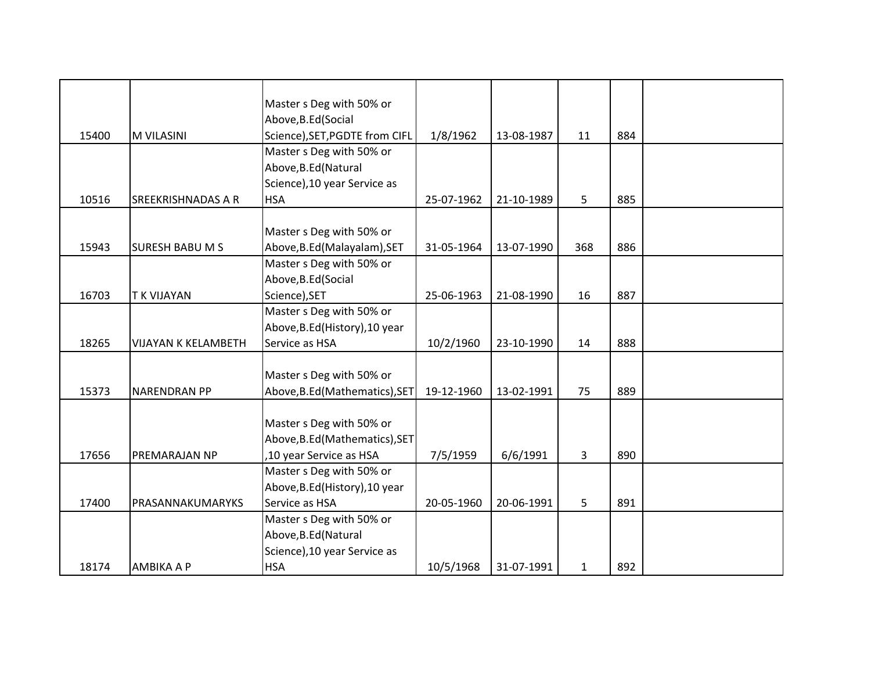|       |                            | Master s Deg with 50% or       |            |            |              |     |  |
|-------|----------------------------|--------------------------------|------------|------------|--------------|-----|--|
|       |                            | Above, B.Ed (Social            |            |            |              |     |  |
| 15400 | <b>M VILASINI</b>          | Science), SET, PGDTE from CIFL | 1/8/1962   | 13-08-1987 | 11           | 884 |  |
|       |                            | Master s Deg with 50% or       |            |            |              |     |  |
|       |                            | Above, B.Ed (Natural           |            |            |              |     |  |
|       |                            | Science), 10 year Service as   |            |            |              |     |  |
| 10516 | <b>SREEKRISHNADAS A R</b>  | <b>HSA</b>                     | 25-07-1962 | 21-10-1989 | 5            | 885 |  |
|       |                            |                                |            |            |              |     |  |
|       |                            | Master s Deg with 50% or       |            |            |              |     |  |
| 15943 | <b>SURESH BABU M S</b>     | Above, B.Ed (Malayalam), SET   | 31-05-1964 | 13-07-1990 | 368          | 886 |  |
|       |                            | Master s Deg with 50% or       |            |            |              |     |  |
|       |                            | Above, B.Ed (Social            |            |            |              |     |  |
| 16703 | <b>TK VIJAYAN</b>          | Science), SET                  | 25-06-1963 | 21-08-1990 | 16           | 887 |  |
|       |                            | Master s Deg with 50% or       |            |            |              |     |  |
|       |                            | Above, B.Ed (History), 10 year |            |            |              |     |  |
| 18265 | <b>VIJAYAN K KELAMBETH</b> | Service as HSA                 | 10/2/1960  | 23-10-1990 | 14           | 888 |  |
|       |                            |                                |            |            |              |     |  |
|       |                            | Master s Deg with 50% or       |            |            |              |     |  |
| 15373 | <b>NARENDRAN PP</b>        | Above, B.Ed (Mathematics), SET | 19-12-1960 | 13-02-1991 | 75           | 889 |  |
|       |                            |                                |            |            |              |     |  |
|       |                            | Master s Deg with 50% or       |            |            |              |     |  |
|       |                            | Above, B.Ed (Mathematics), SET |            |            |              |     |  |
| 17656 | PREMARAJAN NP              | ,10 year Service as HSA        | 7/5/1959   | 6/6/1991   | 3            | 890 |  |
|       |                            | Master s Deg with 50% or       |            |            |              |     |  |
|       |                            | Above, B.Ed (History), 10 year |            |            |              |     |  |
| 17400 | PRASANNAKUMARYKS           | Service as HSA                 | 20-05-1960 | 20-06-1991 | 5            | 891 |  |
|       |                            | Master s Deg with 50% or       |            |            |              |     |  |
|       |                            | Above, B.Ed (Natural           |            |            |              |     |  |
|       |                            | Science), 10 year Service as   |            |            |              |     |  |
| 18174 | <b>AMBIKA A P</b>          | <b>HSA</b>                     | 10/5/1968  | 31-07-1991 | $\mathbf{1}$ | 892 |  |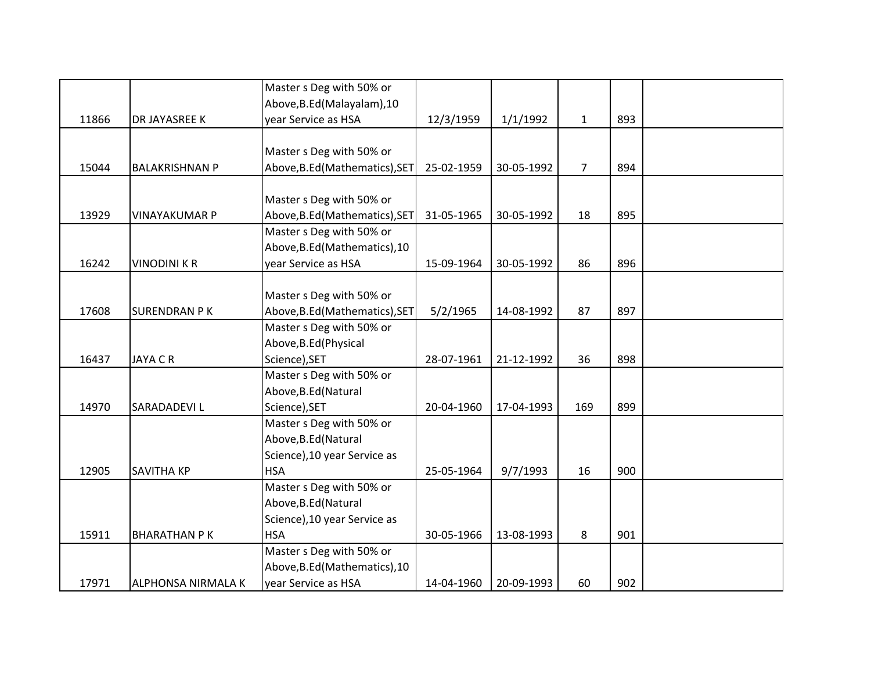|       |                           | Master s Deg with 50% or       |            |            |                |     |  |
|-------|---------------------------|--------------------------------|------------|------------|----------------|-----|--|
|       |                           | Above, B.Ed (Malayalam), 10    |            |            |                |     |  |
| 11866 | DR JAYASREE K             | year Service as HSA            | 12/3/1959  | 1/1/1992   | $\mathbf{1}$   | 893 |  |
|       |                           |                                |            |            |                |     |  |
|       |                           | Master s Deg with 50% or       |            |            |                |     |  |
| 15044 | <b>BALAKRISHNAN P</b>     | Above, B.Ed (Mathematics), SET | 25-02-1959 | 30-05-1992 | $\overline{7}$ | 894 |  |
|       |                           |                                |            |            |                |     |  |
|       |                           | Master s Deg with 50% or       |            |            |                |     |  |
| 13929 | <b>VINAYAKUMAR P</b>      | Above, B.Ed (Mathematics), SET | 31-05-1965 | 30-05-1992 | 18             | 895 |  |
|       |                           | Master s Deg with 50% or       |            |            |                |     |  |
|       |                           | Above, B.Ed (Mathematics), 10  |            |            |                |     |  |
| 16242 | <b>VINODINI K R</b>       | year Service as HSA            | 15-09-1964 | 30-05-1992 | 86             | 896 |  |
|       |                           |                                |            |            |                |     |  |
|       |                           | Master s Deg with 50% or       |            |            |                |     |  |
| 17608 | <b>SURENDRAN PK</b>       | Above, B.Ed (Mathematics), SET | 5/2/1965   | 14-08-1992 | 87             | 897 |  |
|       |                           | Master s Deg with 50% or       |            |            |                |     |  |
|       |                           | Above, B.Ed (Physical          |            |            |                |     |  |
| 16437 | <b>JAYA C R</b>           | Science), SET                  | 28-07-1961 | 21-12-1992 | 36             | 898 |  |
|       |                           | Master s Deg with 50% or       |            |            |                |     |  |
|       |                           | Above, B.Ed (Natural           |            |            |                |     |  |
| 14970 | <b>SARADADEVIL</b>        | Science), SET                  | 20-04-1960 | 17-04-1993 | 169            | 899 |  |
|       |                           | Master s Deg with 50% or       |            |            |                |     |  |
|       |                           | Above, B.Ed (Natural           |            |            |                |     |  |
|       |                           | Science), 10 year Service as   |            |            |                |     |  |
| 12905 | <b>SAVITHA KP</b>         | <b>HSA</b>                     | 25-05-1964 | 9/7/1993   | 16             | 900 |  |
|       |                           | Master s Deg with 50% or       |            |            |                |     |  |
|       |                           | Above, B.Ed (Natural           |            |            |                |     |  |
|       |                           | Science), 10 year Service as   |            |            |                |     |  |
| 15911 | <b>BHARATHAN PK</b>       | <b>HSA</b>                     | 30-05-1966 | 13-08-1993 | 8              | 901 |  |
|       |                           | Master s Deg with 50% or       |            |            |                |     |  |
|       |                           | Above, B.Ed (Mathematics), 10  |            |            |                |     |  |
| 17971 | <b>ALPHONSA NIRMALA K</b> | year Service as HSA            | 14-04-1960 | 20-09-1993 | 60             | 902 |  |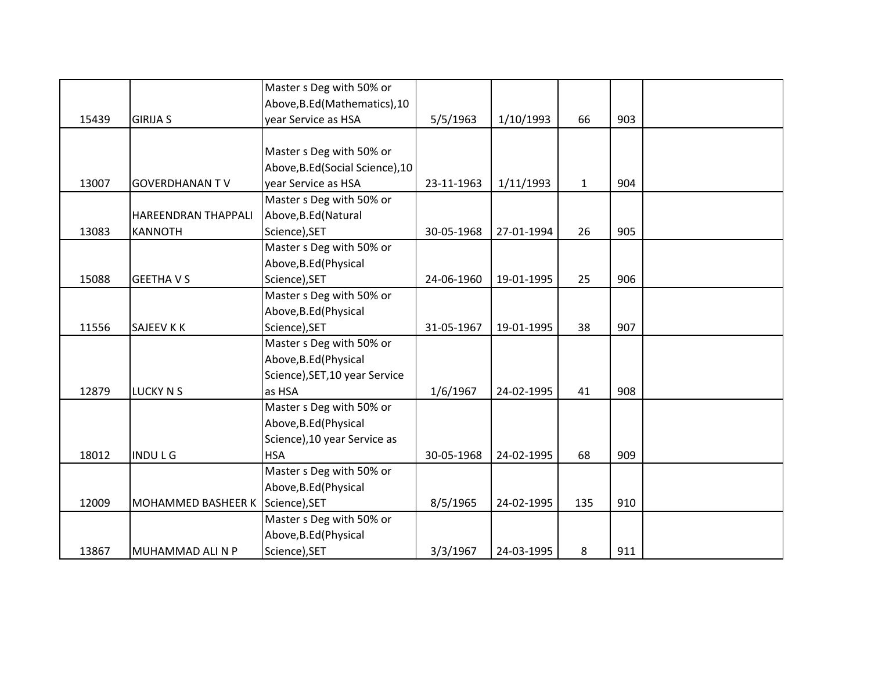|       |                                  | Master s Deg with 50% or         |            |            |              |     |  |
|-------|----------------------------------|----------------------------------|------------|------------|--------------|-----|--|
|       |                                  | Above, B.Ed (Mathematics), 10    |            |            |              |     |  |
| 15439 | <b>GIRIJA S</b>                  | year Service as HSA              | 5/5/1963   | 1/10/1993  | 66           | 903 |  |
|       |                                  |                                  |            |            |              |     |  |
|       |                                  | Master s Deg with 50% or         |            |            |              |     |  |
|       |                                  | Above, B.Ed (Social Science), 10 |            |            |              |     |  |
| 13007 | <b>GOVERDHANAN TV</b>            | year Service as HSA              | 23-11-1963 | 1/11/1993  | $\mathbf{1}$ | 904 |  |
|       |                                  | Master s Deg with 50% or         |            |            |              |     |  |
|       | <b>HAREENDRAN THAPPALI</b>       | Above, B.Ed (Natural             |            |            |              |     |  |
| 13083 | <b>KANNOTH</b>                   | Science), SET                    | 30-05-1968 | 27-01-1994 | 26           | 905 |  |
|       |                                  | Master s Deg with 50% or         |            |            |              |     |  |
|       |                                  | Above, B.Ed (Physical            |            |            |              |     |  |
| 15088 | <b>GEETHAVS</b>                  | Science), SET                    | 24-06-1960 | 19-01-1995 | 25           | 906 |  |
|       |                                  | Master s Deg with 50% or         |            |            |              |     |  |
|       |                                  | Above, B.Ed (Physical            |            |            |              |     |  |
| 11556 | <b>SAJEEV K K</b>                | Science), SET                    | 31-05-1967 | 19-01-1995 | 38           | 907 |  |
|       |                                  | Master s Deg with 50% or         |            |            |              |     |  |
|       |                                  | Above, B.Ed (Physical            |            |            |              |     |  |
|       |                                  | Science), SET, 10 year Service   |            |            |              |     |  |
| 12879 | <b>LUCKY N S</b>                 | as HSA                           | 1/6/1967   | 24-02-1995 | 41           | 908 |  |
|       |                                  | Master s Deg with 50% or         |            |            |              |     |  |
|       |                                  | Above, B.Ed (Physical            |            |            |              |     |  |
|       |                                  | Science), 10 year Service as     |            |            |              |     |  |
| 18012 | <b>INDULG</b>                    | <b>HSA</b>                       | 30-05-1968 | 24-02-1995 | 68           | 909 |  |
|       |                                  | Master s Deg with 50% or         |            |            |              |     |  |
|       |                                  | Above, B.Ed (Physical            |            |            |              |     |  |
| 12009 | MOHAMMED BASHEER K Science), SET |                                  | 8/5/1965   | 24-02-1995 | 135          | 910 |  |
|       |                                  | Master s Deg with 50% or         |            |            |              |     |  |
|       |                                  | Above, B.Ed (Physical            |            |            |              |     |  |
| 13867 | MUHAMMAD ALI N P                 | Science), SET                    | 3/3/1967   | 24-03-1995 | 8            | 911 |  |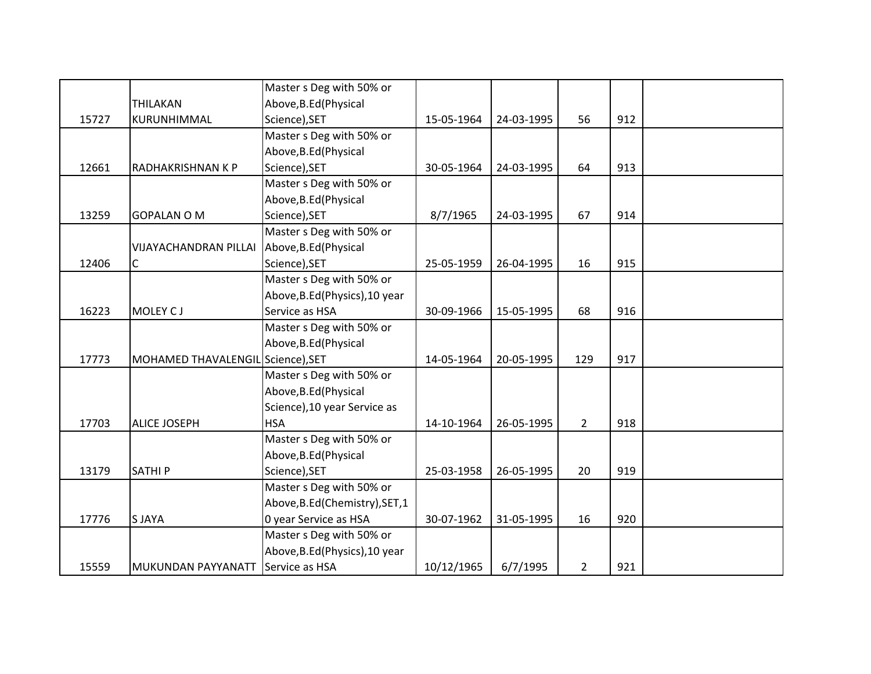|       |                                   | Master s Deg with 50% or        |            |            |                |     |  |
|-------|-----------------------------------|---------------------------------|------------|------------|----------------|-----|--|
|       | <b>THILAKAN</b>                   | Above, B.Ed (Physical           |            |            |                |     |  |
| 15727 | KURUNHIMMAL                       | Science), SET                   | 15-05-1964 | 24-03-1995 | 56             | 912 |  |
|       |                                   | Master s Deg with 50% or        |            |            |                |     |  |
|       |                                   | Above, B.Ed (Physical           |            |            |                |     |  |
| 12661 | <b>RADHAKRISHNAN K P</b>          | Science), SET                   | 30-05-1964 | 24-03-1995 | 64             | 913 |  |
|       |                                   | Master s Deg with 50% or        |            |            |                |     |  |
|       |                                   | Above, B.Ed (Physical           |            |            |                |     |  |
| 13259 | <b>GOPALAN O M</b>                | Science), SET                   | 8/7/1965   | 24-03-1995 | 67             | 914 |  |
|       |                                   | Master s Deg with 50% or        |            |            |                |     |  |
|       | <b>VIJAYACHANDRAN PILLAI</b>      | Above, B.Ed (Physical           |            |            |                |     |  |
| 12406 | $\mathsf C$                       | Science), SET                   | 25-05-1959 | 26-04-1995 | 16             | 915 |  |
|       |                                   | Master s Deg with 50% or        |            |            |                |     |  |
|       |                                   | Above, B.Ed (Physics), 10 year  |            |            |                |     |  |
| 16223 | MOLEY CJ                          | Service as HSA                  | 30-09-1966 | 15-05-1995 | 68             | 916 |  |
|       |                                   | Master s Deg with 50% or        |            |            |                |     |  |
|       |                                   | Above, B.Ed (Physical           |            |            |                |     |  |
| 17773 | MOHAMED THAVALENGIL Science), SET |                                 | 14-05-1964 | 20-05-1995 | 129            | 917 |  |
|       |                                   | Master s Deg with 50% or        |            |            |                |     |  |
|       |                                   | Above, B.Ed (Physical           |            |            |                |     |  |
|       |                                   | Science), 10 year Service as    |            |            |                |     |  |
| 17703 | <b>ALICE JOSEPH</b>               | <b>HSA</b>                      | 14-10-1964 | 26-05-1995 | $2^{\circ}$    | 918 |  |
|       |                                   | Master s Deg with 50% or        |            |            |                |     |  |
|       |                                   | Above, B.Ed (Physical           |            |            |                |     |  |
| 13179 | <b>SATHIP</b>                     | Science), SET                   | 25-03-1958 | 26-05-1995 | 20             | 919 |  |
|       |                                   | Master s Deg with 50% or        |            |            |                |     |  |
|       |                                   | Above, B.Ed (Chemistry), SET, 1 |            |            |                |     |  |
| 17776 | <b>SJAYA</b>                      | 0 year Service as HSA           | 30-07-1962 | 31-05-1995 | 16             | 920 |  |
|       |                                   | Master s Deg with 50% or        |            |            |                |     |  |
|       |                                   | Above, B.Ed (Physics), 10 year  |            |            |                |     |  |
| 15559 | MUKUNDAN PAYYANATT                | Service as HSA                  | 10/12/1965 | 6/7/1995   | $\overline{2}$ | 921 |  |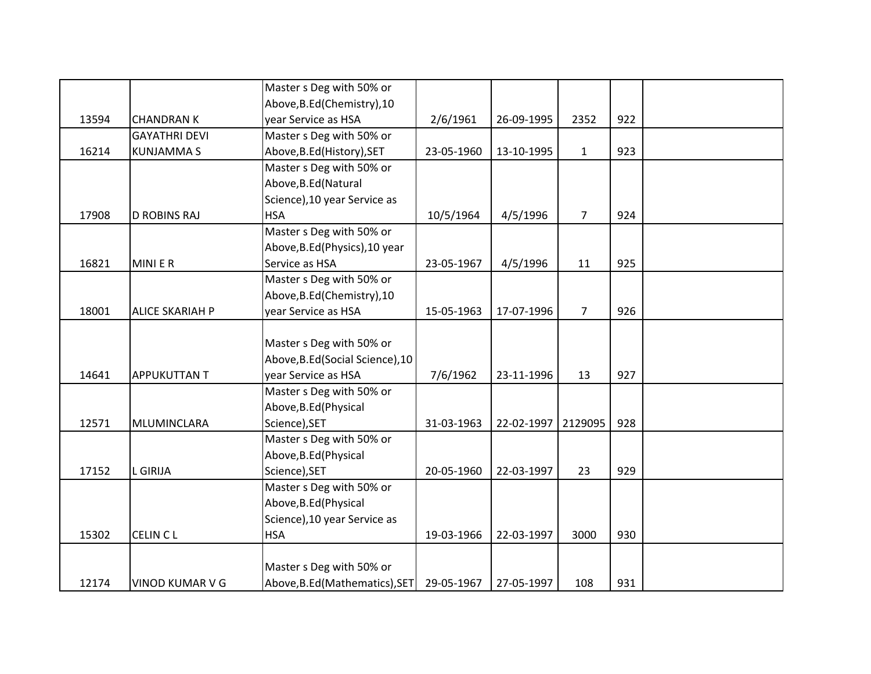|       |                        | Master s Deg with 50% or         |            |            |                |     |  |
|-------|------------------------|----------------------------------|------------|------------|----------------|-----|--|
|       |                        | Above, B.Ed (Chemistry), 10      |            |            |                |     |  |
| 13594 | <b>CHANDRAN K</b>      | year Service as HSA              | 2/6/1961   | 26-09-1995 | 2352           | 922 |  |
|       | <b>GAYATHRI DEVI</b>   | Master s Deg with 50% or         |            |            |                |     |  |
| 16214 | <b>KUNJAMMAS</b>       | Above, B.Ed (History), SET       | 23-05-1960 | 13-10-1995 | $\mathbf{1}$   | 923 |  |
|       |                        | Master s Deg with 50% or         |            |            |                |     |  |
|       |                        | Above, B.Ed (Natural             |            |            |                |     |  |
|       |                        | Science), 10 year Service as     |            |            |                |     |  |
| 17908 | <b>D ROBINS RAJ</b>    | <b>HSA</b>                       | 10/5/1964  | 4/5/1996   | $\overline{7}$ | 924 |  |
|       |                        | Master s Deg with 50% or         |            |            |                |     |  |
|       |                        | Above, B.Ed (Physics), 10 year   |            |            |                |     |  |
| 16821 | MINI E R               | Service as HSA                   | 23-05-1967 | 4/5/1996   | 11             | 925 |  |
|       |                        | Master s Deg with 50% or         |            |            |                |     |  |
|       |                        | Above, B.Ed (Chemistry), 10      |            |            |                |     |  |
| 18001 | <b>ALICE SKARIAH P</b> | year Service as HSA              | 15-05-1963 | 17-07-1996 | $\overline{7}$ | 926 |  |
|       |                        |                                  |            |            |                |     |  |
|       |                        | Master s Deg with 50% or         |            |            |                |     |  |
|       |                        | Above, B.Ed (Social Science), 10 |            |            |                |     |  |
| 14641 | <b>APPUKUTTAN T</b>    | year Service as HSA              | 7/6/1962   | 23-11-1996 | 13             | 927 |  |
|       |                        | Master s Deg with 50% or         |            |            |                |     |  |
|       |                        | Above, B.Ed (Physical            |            |            |                |     |  |
| 12571 | MLUMINCLARA            | Science), SET                    | 31-03-1963 | 22-02-1997 | 2129095        | 928 |  |
|       |                        | Master s Deg with 50% or         |            |            |                |     |  |
|       |                        | Above, B.Ed (Physical            |            |            |                |     |  |
| 17152 | L GIRIJA               | Science), SET                    | 20-05-1960 | 22-03-1997 | 23             | 929 |  |
|       |                        | Master s Deg with 50% or         |            |            |                |     |  |
|       |                        | Above, B.Ed (Physical            |            |            |                |     |  |
|       |                        | Science), 10 year Service as     |            |            |                |     |  |
| 15302 | <b>CELIN CL</b>        | <b>HSA</b>                       | 19-03-1966 | 22-03-1997 | 3000           | 930 |  |
|       |                        |                                  |            |            |                |     |  |
|       |                        | Master s Deg with 50% or         |            |            |                |     |  |
| 12174 | <b>VINOD KUMAR V G</b> | Above, B.Ed (Mathematics), SET   | 29-05-1967 | 27-05-1997 | 108            | 931 |  |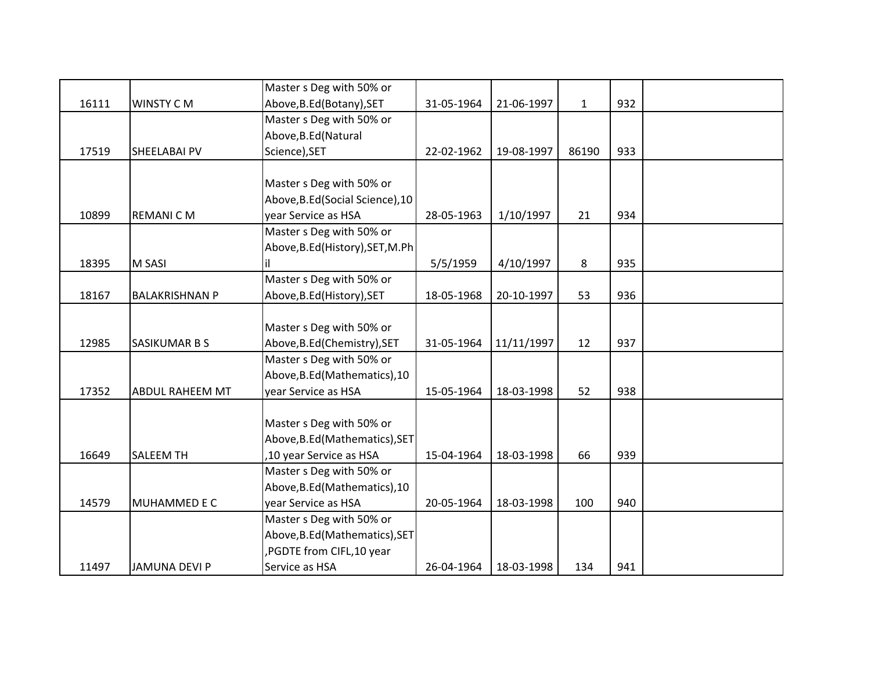|       |                        | Master s Deg with 50% or         |            |            |              |     |  |
|-------|------------------------|----------------------------------|------------|------------|--------------|-----|--|
| 16111 | WINSTY CM              | Above, B.Ed (Botany), SET        | 31-05-1964 | 21-06-1997 | $\mathbf{1}$ | 932 |  |
|       |                        | Master s Deg with 50% or         |            |            |              |     |  |
|       |                        | Above, B.Ed (Natural             |            |            |              |     |  |
| 17519 | SHEELABAI PV           | Science), SET                    | 22-02-1962 | 19-08-1997 | 86190        | 933 |  |
|       |                        |                                  |            |            |              |     |  |
|       |                        | Master s Deg with 50% or         |            |            |              |     |  |
|       |                        | Above, B.Ed (Social Science), 10 |            |            |              |     |  |
| 10899 | <b>REMANICM</b>        | year Service as HSA              | 28-05-1963 | 1/10/1997  | 21           | 934 |  |
|       |                        | Master s Deg with 50% or         |            |            |              |     |  |
|       |                        | Above, B.Ed (History), SET, M.Ph |            |            |              |     |  |
| 18395 | M SASI                 |                                  | 5/5/1959   | 4/10/1997  | 8            | 935 |  |
|       |                        | Master s Deg with 50% or         |            |            |              |     |  |
| 18167 | <b>BALAKRISHNAN P</b>  | Above, B.Ed (History), SET       | 18-05-1968 | 20-10-1997 | 53           | 936 |  |
|       |                        |                                  |            |            |              |     |  |
|       |                        | Master s Deg with 50% or         |            |            |              |     |  |
| 12985 | SASIKUMAR B S          | Above, B.Ed (Chemistry), SET     | 31-05-1964 | 11/11/1997 | 12           | 937 |  |
|       |                        | Master s Deg with 50% or         |            |            |              |     |  |
|       |                        | Above, B.Ed (Mathematics), 10    |            |            |              |     |  |
| 17352 | <b>ABDUL RAHEEM MT</b> | year Service as HSA              | 15-05-1964 | 18-03-1998 | 52           | 938 |  |
|       |                        |                                  |            |            |              |     |  |
|       |                        | Master s Deg with 50% or         |            |            |              |     |  |
|       |                        | Above, B.Ed (Mathematics), SET   |            |            |              |     |  |
| 16649 | SALEEM TH              | ,10 year Service as HSA          | 15-04-1964 | 18-03-1998 | 66           | 939 |  |
|       |                        | Master s Deg with 50% or         |            |            |              |     |  |
|       |                        | Above, B.Ed (Mathematics), 10    |            |            |              |     |  |
| 14579 | MUHAMMED E C           | year Service as HSA              | 20-05-1964 | 18-03-1998 | 100          | 940 |  |
|       |                        | Master s Deg with 50% or         |            |            |              |     |  |
|       |                        | Above, B.Ed (Mathematics), SET   |            |            |              |     |  |
|       |                        | ,PGDTE from CIFL,10 year         |            |            |              |     |  |
| 11497 | <b>JAMUNA DEVI P</b>   | Service as HSA                   | 26-04-1964 | 18-03-1998 | 134          | 941 |  |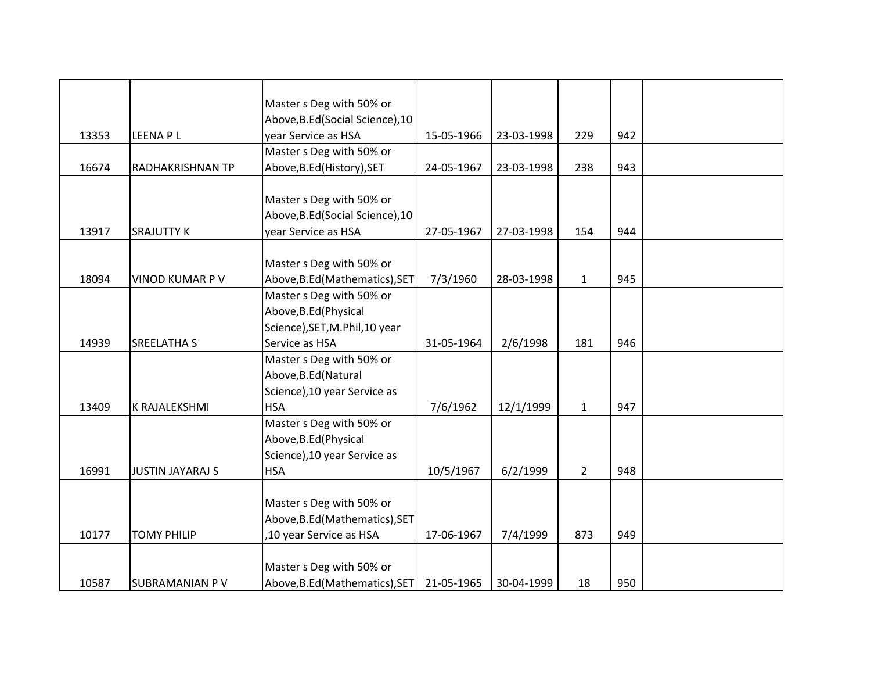|       |                         | Master s Deg with 50% or         |            |            |                |     |  |
|-------|-------------------------|----------------------------------|------------|------------|----------------|-----|--|
|       |                         | Above, B.Ed (Social Science), 10 |            |            |                |     |  |
| 13353 | LEENA P L               | year Service as HSA              | 15-05-1966 | 23-03-1998 | 229            | 942 |  |
|       |                         | Master s Deg with 50% or         |            |            |                |     |  |
| 16674 | RADHAKRISHNAN TP        | Above, B.Ed (History), SET       | 24-05-1967 | 23-03-1998 | 238            | 943 |  |
|       |                         |                                  |            |            |                |     |  |
|       |                         | Master s Deg with 50% or         |            |            |                |     |  |
|       |                         | Above, B.Ed (Social Science), 10 |            |            |                |     |  |
| 13917 | <b>SRAJUTTY K</b>       | year Service as HSA              | 27-05-1967 | 27-03-1998 | 154            | 944 |  |
|       |                         |                                  |            |            |                |     |  |
|       |                         | Master s Deg with 50% or         |            |            |                |     |  |
| 18094 | VINOD KUMAR P V         | Above, B.Ed (Mathematics), SET   | 7/3/1960   | 28-03-1998 | $\mathbf{1}$   | 945 |  |
|       |                         | Master s Deg with 50% or         |            |            |                |     |  |
|       |                         | Above, B.Ed (Physical            |            |            |                |     |  |
|       |                         | Science), SET, M. Phil, 10 year  |            |            |                |     |  |
| 14939 | <b>SREELATHA S</b>      | Service as HSA                   | 31-05-1964 | 2/6/1998   | 181            | 946 |  |
|       |                         | Master s Deg with 50% or         |            |            |                |     |  |
|       |                         | Above, B.Ed (Natural             |            |            |                |     |  |
|       |                         | Science), 10 year Service as     |            |            |                |     |  |
| 13409 | K RAJALEKSHMI           | <b>HSA</b>                       | 7/6/1962   | 12/1/1999  | $\mathbf{1}$   | 947 |  |
|       |                         | Master s Deg with 50% or         |            |            |                |     |  |
|       |                         | Above, B.Ed (Physical            |            |            |                |     |  |
|       |                         | Science), 10 year Service as     |            |            |                |     |  |
| 16991 | <b>JUSTIN JAYARAJ S</b> | <b>HSA</b>                       | 10/5/1967  | 6/2/1999   | $\overline{2}$ | 948 |  |
|       |                         |                                  |            |            |                |     |  |
|       |                         | Master s Deg with 50% or         |            |            |                |     |  |
|       |                         | Above, B.Ed (Mathematics), SET   |            |            |                |     |  |
| 10177 | <b>TOMY PHILIP</b>      | ,10 year Service as HSA          | 17-06-1967 | 7/4/1999   | 873            | 949 |  |
|       |                         |                                  |            |            |                |     |  |
|       |                         | Master s Deg with 50% or         |            |            |                |     |  |
| 10587 | <b>SUBRAMANIAN PV</b>   | Above, B.Ed (Mathematics), SET   | 21-05-1965 | 30-04-1999 | 18             | 950 |  |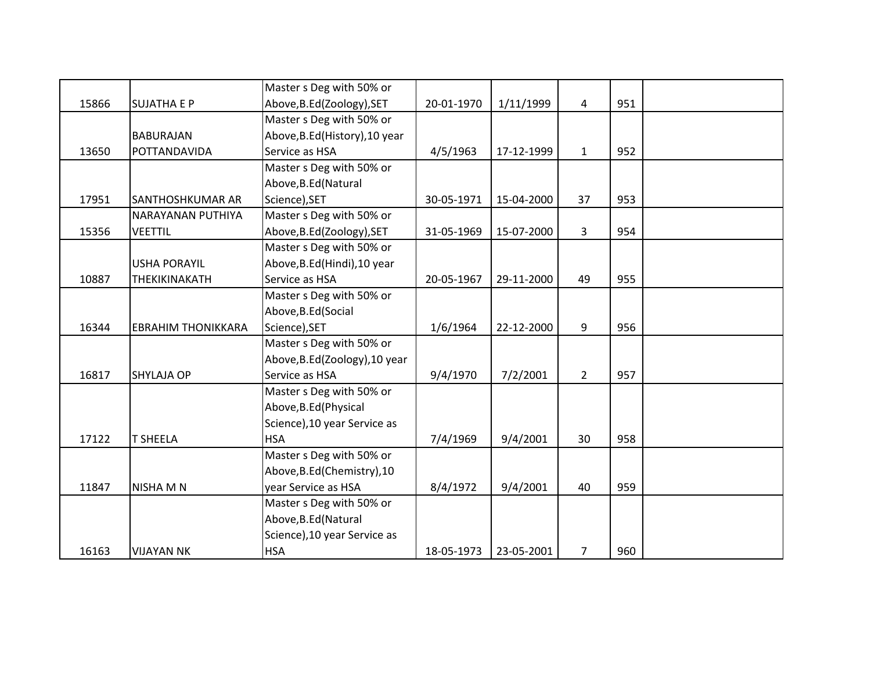|       |                           | Master s Deg with 50% or       |            |            |                |     |  |
|-------|---------------------------|--------------------------------|------------|------------|----------------|-----|--|
| 15866 | <b>SUJATHA E P</b>        | Above, B.Ed(Zoology), SET      | 20-01-1970 | 1/11/1999  | 4              | 951 |  |
|       |                           | Master s Deg with 50% or       |            |            |                |     |  |
|       | <b>BABURAJAN</b>          | Above, B.Ed (History), 10 year |            |            |                |     |  |
| 13650 | POTTANDAVIDA              | Service as HSA                 | 4/5/1963   | 17-12-1999 | $\mathbf{1}$   | 952 |  |
|       |                           | Master s Deg with 50% or       |            |            |                |     |  |
|       |                           | Above, B.Ed (Natural           |            |            |                |     |  |
| 17951 | SANTHOSHKUMAR AR          | Science), SET                  | 30-05-1971 | 15-04-2000 | 37             | 953 |  |
|       | <b>NARAYANAN PUTHIYA</b>  | Master s Deg with 50% or       |            |            |                |     |  |
| 15356 | <b>VEETTIL</b>            | Above, B.Ed (Zoology), SET     | 31-05-1969 | 15-07-2000 | $\overline{3}$ | 954 |  |
|       |                           | Master s Deg with 50% or       |            |            |                |     |  |
|       | <b>USHA PORAYIL</b>       | Above, B.Ed (Hindi), 10 year   |            |            |                |     |  |
| 10887 | THEKIKINAKATH             | Service as HSA                 | 20-05-1967 | 29-11-2000 | 49             | 955 |  |
|       |                           | Master s Deg with 50% or       |            |            |                |     |  |
|       |                           | Above, B.Ed (Social            |            |            |                |     |  |
| 16344 | <b>EBRAHIM THONIKKARA</b> | Science), SET                  | 1/6/1964   | 22-12-2000 | 9              | 956 |  |
|       |                           | Master s Deg with 50% or       |            |            |                |     |  |
|       |                           | Above, B.Ed (Zoology), 10 year |            |            |                |     |  |
| 16817 | <b>SHYLAJA OP</b>         | Service as HSA                 | 9/4/1970   | 7/2/2001   | $\overline{2}$ | 957 |  |
|       |                           | Master s Deg with 50% or       |            |            |                |     |  |
|       |                           | Above, B.Ed (Physical          |            |            |                |     |  |
|       |                           | Science), 10 year Service as   |            |            |                |     |  |
| 17122 | <b>T SHEELA</b>           | <b>HSA</b>                     | 7/4/1969   | 9/4/2001   | 30             | 958 |  |
|       |                           | Master s Deg with 50% or       |            |            |                |     |  |
|       |                           | Above, B.Ed (Chemistry), 10    |            |            |                |     |  |
| 11847 | <b>NISHA M N</b>          | year Service as HSA            | 8/4/1972   | 9/4/2001   | 40             | 959 |  |
|       |                           | Master s Deg with 50% or       |            |            |                |     |  |
|       |                           | Above, B.Ed (Natural           |            |            |                |     |  |
|       |                           | Science), 10 year Service as   |            |            |                |     |  |
| 16163 | <b>VIJAYAN NK</b>         | <b>HSA</b>                     | 18-05-1973 | 23-05-2001 | $\overline{7}$ | 960 |  |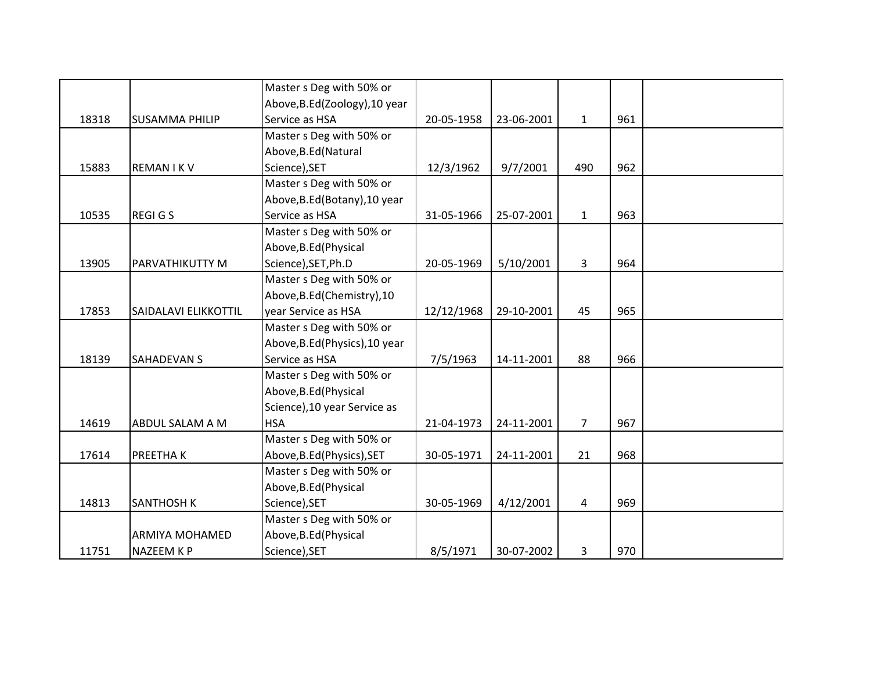|       |                       | Master s Deg with 50% or       |            |            |                |     |  |
|-------|-----------------------|--------------------------------|------------|------------|----------------|-----|--|
|       |                       | Above, B.Ed (Zoology), 10 year |            |            |                |     |  |
| 18318 | <b>SUSAMMA PHILIP</b> | Service as HSA                 | 20-05-1958 | 23-06-2001 | $\mathbf{1}$   | 961 |  |
|       |                       | Master s Deg with 50% or       |            |            |                |     |  |
|       |                       | Above, B.Ed (Natural           |            |            |                |     |  |
| 15883 | <b>REMAN IKV</b>      | Science), SET                  | 12/3/1962  | 9/7/2001   | 490            | 962 |  |
|       |                       | Master s Deg with 50% or       |            |            |                |     |  |
|       |                       | Above, B.Ed (Botany), 10 year  |            |            |                |     |  |
| 10535 | <b>REGIGS</b>         | Service as HSA                 | 31-05-1966 | 25-07-2001 | $\mathbf{1}$   | 963 |  |
|       |                       | Master s Deg with 50% or       |            |            |                |     |  |
|       |                       | Above, B.Ed (Physical          |            |            |                |     |  |
| 13905 | PARVATHIKUTTY M       | Science), SET, Ph.D            | 20-05-1969 | 5/10/2001  | 3              | 964 |  |
|       |                       | Master s Deg with 50% or       |            |            |                |     |  |
|       |                       | Above, B.Ed (Chemistry), 10    |            |            |                |     |  |
| 17853 | SAIDALAVI ELIKKOTTIL  | year Service as HSA            | 12/12/1968 | 29-10-2001 | 45             | 965 |  |
|       |                       | Master s Deg with 50% or       |            |            |                |     |  |
|       |                       | Above, B.Ed (Physics), 10 year |            |            |                |     |  |
| 18139 | <b>SAHADEVAN S</b>    | Service as HSA                 | 7/5/1963   | 14-11-2001 | 88             | 966 |  |
|       |                       | Master s Deg with 50% or       |            |            |                |     |  |
|       |                       | Above, B.Ed (Physical          |            |            |                |     |  |
|       |                       | Science), 10 year Service as   |            |            |                |     |  |
| 14619 | ABDUL SALAM A M       | <b>HSA</b>                     | 21-04-1973 | 24-11-2001 | $\overline{7}$ | 967 |  |
|       |                       | Master s Deg with 50% or       |            |            |                |     |  |
| 17614 | PREETHA K             | Above, B.Ed (Physics), SET     | 30-05-1971 | 24-11-2001 | 21             | 968 |  |
|       |                       | Master s Deg with 50% or       |            |            |                |     |  |
|       |                       | Above, B.Ed (Physical          |            |            |                |     |  |
| 14813 | <b>SANTHOSH K</b>     | Science), SET                  | 30-05-1969 | 4/12/2001  | 4              | 969 |  |
|       |                       | Master s Deg with 50% or       |            |            |                |     |  |
|       | <b>ARMIYA MOHAMED</b> | Above, B.Ed (Physical          |            |            |                |     |  |
| 11751 | NAZEEM K P            | Science), SET                  | 8/5/1971   | 30-07-2002 | 3              | 970 |  |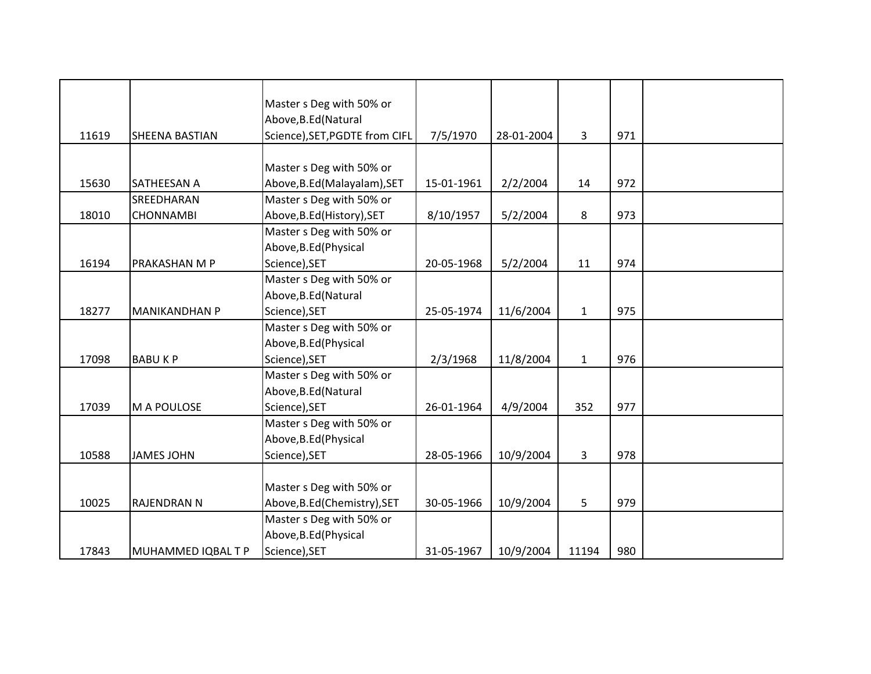|       |                      | Master s Deg with 50% or       |            |            |                |     |  |
|-------|----------------------|--------------------------------|------------|------------|----------------|-----|--|
|       |                      | Above, B.Ed (Natural           |            |            |                |     |  |
| 11619 | SHEENA BASTIAN       | Science), SET, PGDTE from CIFL | 7/5/1970   | 28-01-2004 | 3              | 971 |  |
|       |                      |                                |            |            |                |     |  |
|       |                      | Master s Deg with 50% or       |            |            |                |     |  |
| 15630 | SATHEESAN A          | Above, B.Ed (Malayalam), SET   | 15-01-1961 | 2/2/2004   | 14             | 972 |  |
|       | SREEDHARAN           | Master s Deg with 50% or       |            |            |                |     |  |
| 18010 | <b>CHONNAMBI</b>     | Above, B.Ed (History), SET     | 8/10/1957  | 5/2/2004   | 8              | 973 |  |
|       |                      | Master s Deg with 50% or       |            |            |                |     |  |
|       |                      | Above, B.Ed (Physical          |            |            |                |     |  |
| 16194 | PRAKASHAN M P        | Science), SET                  | 20-05-1968 | 5/2/2004   | 11             | 974 |  |
|       |                      | Master s Deg with 50% or       |            |            |                |     |  |
|       |                      | Above, B.Ed (Natural           |            |            |                |     |  |
| 18277 | <b>MANIKANDHAN P</b> | Science), SET                  | 25-05-1974 | 11/6/2004  | $\mathbf{1}$   | 975 |  |
|       |                      | Master s Deg with 50% or       |            |            |                |     |  |
|       |                      | Above, B.Ed (Physical          |            |            |                |     |  |
| 17098 | <b>BABUKP</b>        | Science), SET                  | 2/3/1968   | 11/8/2004  | $\mathbf{1}$   | 976 |  |
|       |                      | Master s Deg with 50% or       |            |            |                |     |  |
|       |                      | Above, B.Ed (Natural           |            |            |                |     |  |
| 17039 | M A POULOSE          | Science), SET                  | 26-01-1964 | 4/9/2004   | 352            | 977 |  |
|       |                      | Master s Deg with 50% or       |            |            |                |     |  |
|       |                      | Above, B.Ed (Physical          |            |            |                |     |  |
| 10588 | <b>JAMES JOHN</b>    | Science), SET                  | 28-05-1966 | 10/9/2004  | $\overline{3}$ | 978 |  |
|       |                      |                                |            |            |                |     |  |
|       |                      | Master s Deg with 50% or       |            |            |                |     |  |
| 10025 | <b>RAJENDRAN N</b>   | Above, B.Ed (Chemistry), SET   | 30-05-1966 | 10/9/2004  | 5              | 979 |  |
|       |                      | Master s Deg with 50% or       |            |            |                |     |  |
|       |                      | Above, B.Ed (Physical          |            |            |                |     |  |
| 17843 | MUHAMMED IQBAL T P   | Science), SET                  | 31-05-1967 | 10/9/2004  | 11194          | 980 |  |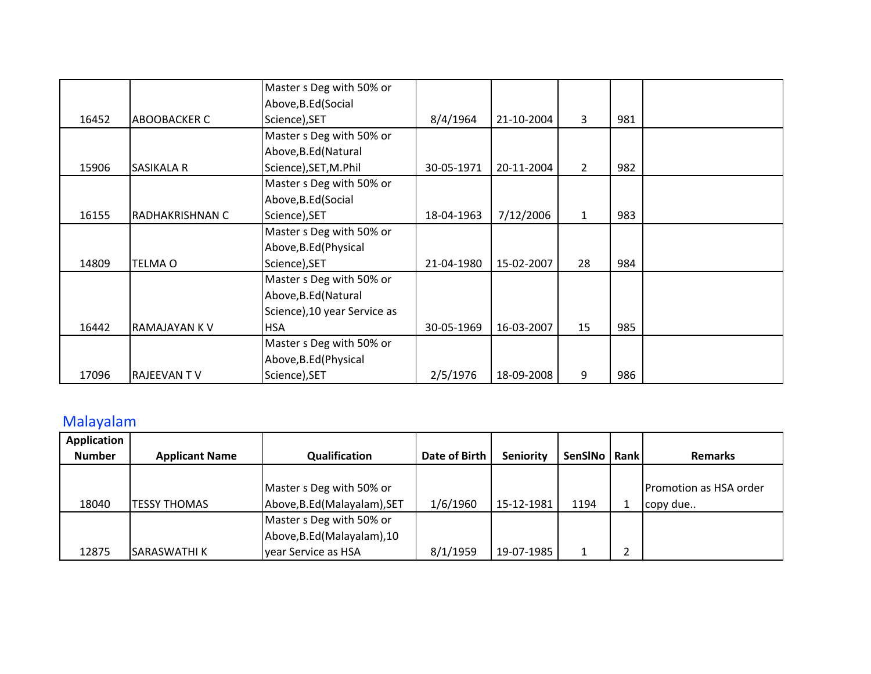|       |                     | Master s Deg with 50% or     |            |            |                |     |  |
|-------|---------------------|------------------------------|------------|------------|----------------|-----|--|
|       |                     | Above, B.Ed (Social          |            |            |                |     |  |
| 16452 | <b>ABOOBACKER C</b> | Science), SET                | 8/4/1964   | 21-10-2004 | 3              | 981 |  |
|       |                     | Master s Deg with 50% or     |            |            |                |     |  |
|       |                     | Above, B.Ed (Natural         |            |            |                |     |  |
| 15906 | <b>SASIKALA R</b>   | Science), SET, M.Phil        | 30-05-1971 | 20-11-2004 | $\overline{2}$ | 982 |  |
|       |                     | Master s Deg with 50% or     |            |            |                |     |  |
|       |                     | Above, B.Ed (Social          |            |            |                |     |  |
| 16155 | RADHAKRISHNAN C     | Science), SET                | 18-04-1963 | 7/12/2006  | $\mathbf{1}$   | 983 |  |
|       |                     | Master s Deg with 50% or     |            |            |                |     |  |
|       |                     | Above, B.Ed (Physical        |            |            |                |     |  |
| 14809 | <b>TELMA O</b>      | Science), SET                | 21-04-1980 | 15-02-2007 | 28             | 984 |  |
|       |                     | Master s Deg with 50% or     |            |            |                |     |  |
|       |                     | Above, B.Ed (Natural         |            |            |                |     |  |
|       |                     | Science), 10 year Service as |            |            |                |     |  |
| 16442 | IRAMAJAYAN K V      | <b>HSA</b>                   | 30-05-1969 | 16-03-2007 | 15             | 985 |  |
|       |                     | Master s Deg with 50% or     |            |            |                |     |  |
|       |                     | Above, B.Ed (Physical        |            |            |                |     |  |
| 17096 | <b>RAJEEVANTV</b>   | Science), SET                | 2/5/1976   | 18-09-2008 | 9              | 986 |  |

## Malayalam

| Application   |                       |                              |               |            |                |        |                               |
|---------------|-----------------------|------------------------------|---------------|------------|----------------|--------|-------------------------------|
| <b>Number</b> | <b>Applicant Name</b> | Qualification                | Date of Birth | Seniority  | <b>SenSINo</b> | Rank   | <b>Remarks</b>                |
|               |                       |                              |               |            |                |        |                               |
|               |                       | Master s Deg with 50% or     |               |            |                |        | <b>Promotion as HSA order</b> |
| 18040         | <b>TESSY THOMAS</b>   | Above, B.Ed (Malayalam), SET | 1/6/1960      | 15-12-1981 | 1194           |        | copy due                      |
|               |                       | Master s Deg with 50% or     |               |            |                |        |                               |
|               |                       | Above, B.Ed (Malayalam), 10  |               |            |                |        |                               |
| 12875         | ISARASWATHI K         | vear Service as HSA          | 8/1/1959      | 19-07-1985 |                | ┑<br>∸ |                               |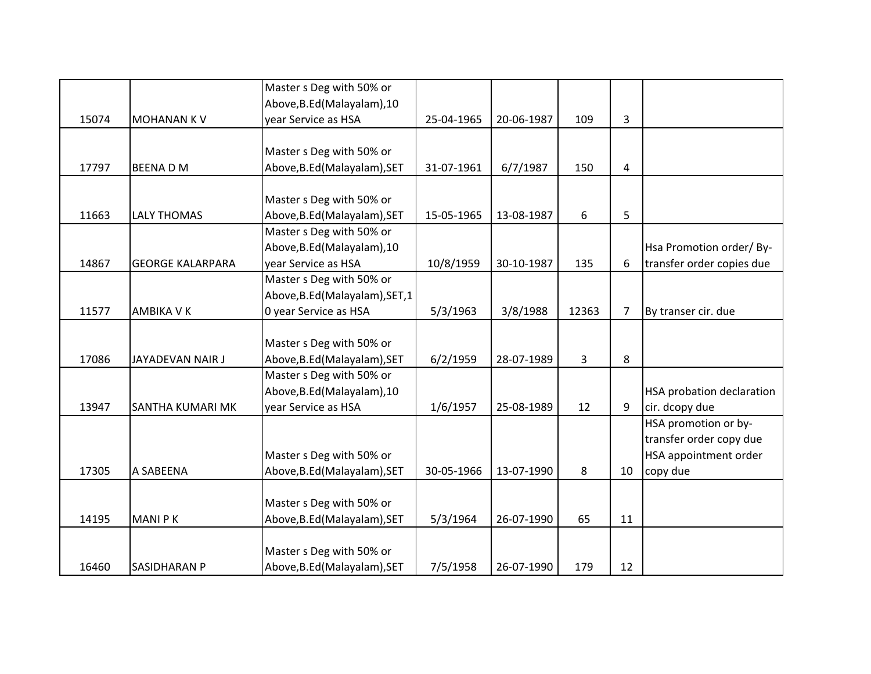|       |                         | Master s Deg with 50% or        |            |            |       |                |                                  |
|-------|-------------------------|---------------------------------|------------|------------|-------|----------------|----------------------------------|
|       |                         | Above, B.Ed (Malayalam), 10     |            |            |       |                |                                  |
| 15074 | <b>MOHANAN KV</b>       | year Service as HSA             | 25-04-1965 | 20-06-1987 | 109   | 3              |                                  |
|       |                         |                                 |            |            |       |                |                                  |
|       |                         | Master s Deg with 50% or        |            |            |       |                |                                  |
| 17797 | <b>BEENADM</b>          | Above, B.Ed (Malayalam), SET    | 31-07-1961 | 6/7/1987   | 150   | 4              |                                  |
|       |                         |                                 |            |            |       |                |                                  |
|       |                         | Master s Deg with 50% or        |            |            |       |                |                                  |
| 11663 | <b>LALY THOMAS</b>      | Above, B.Ed (Malayalam), SET    | 15-05-1965 | 13-08-1987 | 6     | 5              |                                  |
|       |                         | Master s Deg with 50% or        |            |            |       |                |                                  |
|       |                         | Above, B.Ed (Malayalam), 10     |            |            |       |                | Hsa Promotion order/By-          |
| 14867 | <b>GEORGE KALARPARA</b> | year Service as HSA             | 10/8/1959  | 30-10-1987 | 135   | 6              | transfer order copies due        |
|       |                         | Master s Deg with 50% or        |            |            |       |                |                                  |
|       |                         | Above, B.Ed (Malayalam), SET, 1 |            |            |       |                |                                  |
| 11577 | AMBIKA V K              | 0 year Service as HSA           | 5/3/1963   | 3/8/1988   | 12363 | $\overline{7}$ | By transer cir. due              |
|       |                         |                                 |            |            |       |                |                                  |
|       |                         | Master s Deg with 50% or        |            |            |       |                |                                  |
| 17086 | JAYADEVAN NAIR J        | Above, B.Ed (Malayalam), SET    | 6/2/1959   | 28-07-1989 | 3     | 8              |                                  |
|       |                         | Master s Deg with 50% or        |            |            |       |                |                                  |
|       |                         | Above, B.Ed (Malayalam), 10     |            |            |       |                | <b>HSA probation declaration</b> |
| 13947 | SANTHA KUMARI MK        | year Service as HSA             | 1/6/1957   | 25-08-1989 | 12    | 9              | cir. dcopy due                   |
|       |                         |                                 |            |            |       |                | HSA promotion or by-             |
|       |                         |                                 |            |            |       |                | transfer order copy due          |
|       |                         | Master s Deg with 50% or        |            |            |       |                | HSA appointment order            |
| 17305 | A SABEENA               | Above, B.Ed (Malayalam), SET    | 30-05-1966 | 13-07-1990 | 8     | 10             | copy due                         |
|       |                         |                                 |            |            |       |                |                                  |
|       |                         | Master s Deg with 50% or        |            |            |       |                |                                  |
| 14195 | <b>MANIPK</b>           | Above, B.Ed (Malayalam), SET    | 5/3/1964   | 26-07-1990 | 65    | 11             |                                  |
|       |                         |                                 |            |            |       |                |                                  |
|       |                         | Master s Deg with 50% or        |            |            |       |                |                                  |
| 16460 | <b>SASIDHARAN P</b>     | Above, B.Ed (Malayalam), SET    | 7/5/1958   | 26-07-1990 | 179   | 12             |                                  |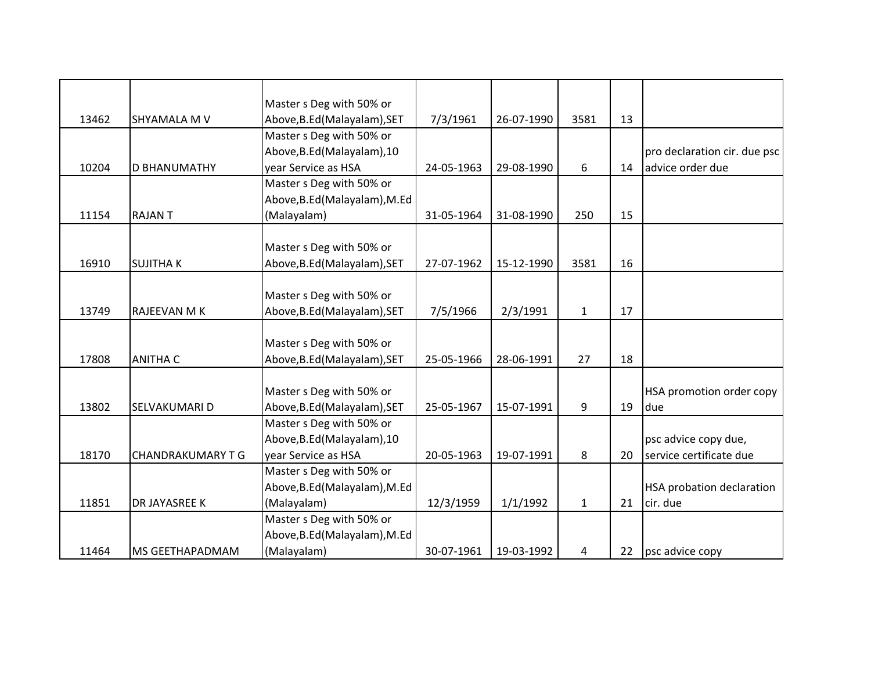|       |                          | Master s Deg with 50% or      |            |            |              |    |                              |
|-------|--------------------------|-------------------------------|------------|------------|--------------|----|------------------------------|
| 13462 | <b>SHYAMALA M V</b>      | Above, B.Ed (Malayalam), SET  | 7/3/1961   | 26-07-1990 | 3581         | 13 |                              |
|       |                          | Master s Deg with 50% or      |            |            |              |    |                              |
|       |                          | Above, B.Ed (Malayalam), 10   |            |            |              |    | pro declaration cir. due psc |
| 10204 | <b>D BHANUMATHY</b>      | vear Service as HSA           | 24-05-1963 | 29-08-1990 | 6            | 14 | advice order due             |
|       |                          | Master s Deg with 50% or      |            |            |              |    |                              |
|       |                          | Above, B.Ed (Malayalam), M.Ed |            |            |              |    |                              |
| 11154 | <b>RAJANT</b>            | (Malayalam)                   | 31-05-1964 | 31-08-1990 | 250          | 15 |                              |
|       |                          |                               |            |            |              |    |                              |
|       |                          | Master s Deg with 50% or      |            |            |              |    |                              |
| 16910 | <b>SUJITHAK</b>          | Above, B.Ed (Malayalam), SET  | 27-07-1962 | 15-12-1990 | 3581         | 16 |                              |
|       |                          |                               |            |            |              |    |                              |
|       |                          | Master s Deg with 50% or      |            |            |              |    |                              |
| 13749 | RAJEEVAN M K             | Above, B.Ed (Malayalam), SET  | 7/5/1966   | 2/3/1991   | $\mathbf{1}$ | 17 |                              |
|       |                          |                               |            |            |              |    |                              |
|       |                          | Master s Deg with 50% or      |            |            |              |    |                              |
| 17808 | <b>ANITHA C</b>          | Above, B.Ed (Malayalam), SET  | 25-05-1966 | 28-06-1991 | 27           | 18 |                              |
|       |                          |                               |            |            |              |    |                              |
|       |                          | Master s Deg with 50% or      |            |            |              |    | HSA promotion order copy     |
| 13802 | SELVAKUMARI D            | Above, B.Ed (Malayalam), SET  | 25-05-1967 | 15-07-1991 | 9            | 19 | due                          |
|       |                          | Master s Deg with 50% or      |            |            |              |    |                              |
|       |                          | Above, B.Ed (Malayalam), 10   |            |            |              |    | psc advice copy due,         |
| 18170 | <b>CHANDRAKUMARY T G</b> | year Service as HSA           | 20-05-1963 | 19-07-1991 | 8            | 20 | service certificate due      |
|       |                          | Master s Deg with 50% or      |            |            |              |    |                              |
|       |                          | Above, B.Ed (Malayalam), M.Ed |            |            |              |    | HSA probation declaration    |
| 11851 | DR JAYASREE K            | (Malayalam)                   | 12/3/1959  | 1/1/1992   | $\mathbf{1}$ | 21 | cir. due                     |
|       |                          | Master s Deg with 50% or      |            |            |              |    |                              |
|       |                          | Above, B.Ed (Malayalam), M.Ed |            |            |              |    |                              |
| 11464 | MS GEETHAPADMAM          | (Malayalam)                   | 30-07-1961 | 19-03-1992 | 4            | 22 | psc advice copy              |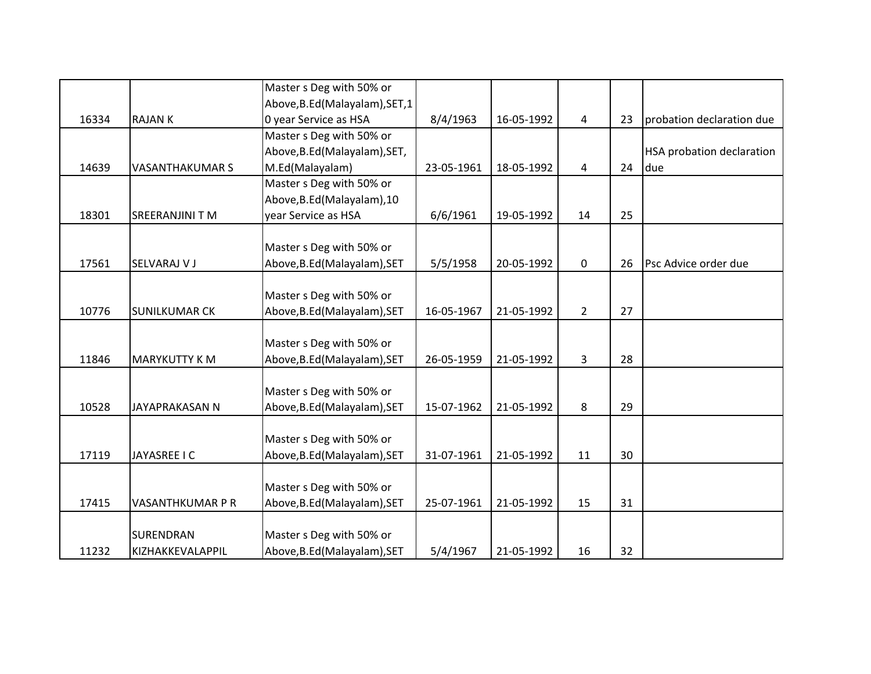|       |                        | Master s Deg with 50% or        |            |            |                |    |                                  |
|-------|------------------------|---------------------------------|------------|------------|----------------|----|----------------------------------|
|       |                        | Above, B.Ed (Malayalam), SET, 1 |            |            |                |    |                                  |
| 16334 | <b>RAJANK</b>          | 0 year Service as HSA           | 8/4/1963   | 16-05-1992 | $\overline{4}$ | 23 | probation declaration due        |
|       |                        | Master s Deg with 50% or        |            |            |                |    |                                  |
|       |                        | Above, B.Ed (Malayalam), SET,   |            |            |                |    | <b>HSA probation declaration</b> |
| 14639 | <b>VASANTHAKUMAR S</b> | M.Ed(Malayalam)                 | 23-05-1961 | 18-05-1992 | 4              | 24 | due                              |
|       |                        | Master s Deg with 50% or        |            |            |                |    |                                  |
|       |                        | Above, B.Ed (Malayalam), 10     |            |            |                |    |                                  |
| 18301 | <b>SREERANJINI T M</b> | year Service as HSA             | 6/6/1961   | 19-05-1992 | 14             | 25 |                                  |
|       |                        |                                 |            |            |                |    |                                  |
|       |                        | Master s Deg with 50% or        |            |            |                |    |                                  |
| 17561 | SELVARAJ V J           | Above, B.Ed (Malayalam), SET    | 5/5/1958   | 20-05-1992 | 0              | 26 | Psc Advice order due             |
|       |                        |                                 |            |            |                |    |                                  |
|       |                        | Master s Deg with 50% or        |            |            |                |    |                                  |
| 10776 | <b>SUNILKUMAR CK</b>   | Above, B.Ed (Malayalam), SET    | 16-05-1967 | 21-05-1992 | $\overline{2}$ | 27 |                                  |
|       |                        |                                 |            |            |                |    |                                  |
|       |                        | Master s Deg with 50% or        |            |            |                |    |                                  |
| 11846 | <b>MARYKUTTY K M</b>   | Above, B.Ed (Malayalam), SET    | 26-05-1959 | 21-05-1992 | 3              | 28 |                                  |
|       |                        |                                 |            |            |                |    |                                  |
|       |                        | Master s Deg with 50% or        |            |            |                |    |                                  |
| 10528 | JAYAPRAKASAN N         | Above, B.Ed (Malayalam), SET    | 15-07-1962 | 21-05-1992 | 8              | 29 |                                  |
|       |                        |                                 |            |            |                |    |                                  |
|       |                        | Master s Deg with 50% or        |            |            |                |    |                                  |
| 17119 | JAYASREE I C           | Above, B.Ed (Malayalam), SET    | 31-07-1961 | 21-05-1992 | 11             | 30 |                                  |
|       |                        |                                 |            |            |                |    |                                  |
|       |                        | Master s Deg with 50% or        |            |            |                |    |                                  |
| 17415 | VASANTHKUMAR P R       | Above, B.Ed (Malayalam), SET    | 25-07-1961 | 21-05-1992 | 15             | 31 |                                  |
|       |                        |                                 |            |            |                |    |                                  |
|       | <b>SURENDRAN</b>       | Master s Deg with 50% or        |            |            |                |    |                                  |
| 11232 | KIZHAKKEVALAPPIL       | Above, B.Ed (Malayalam), SET    | 5/4/1967   | 21-05-1992 | 16             | 32 |                                  |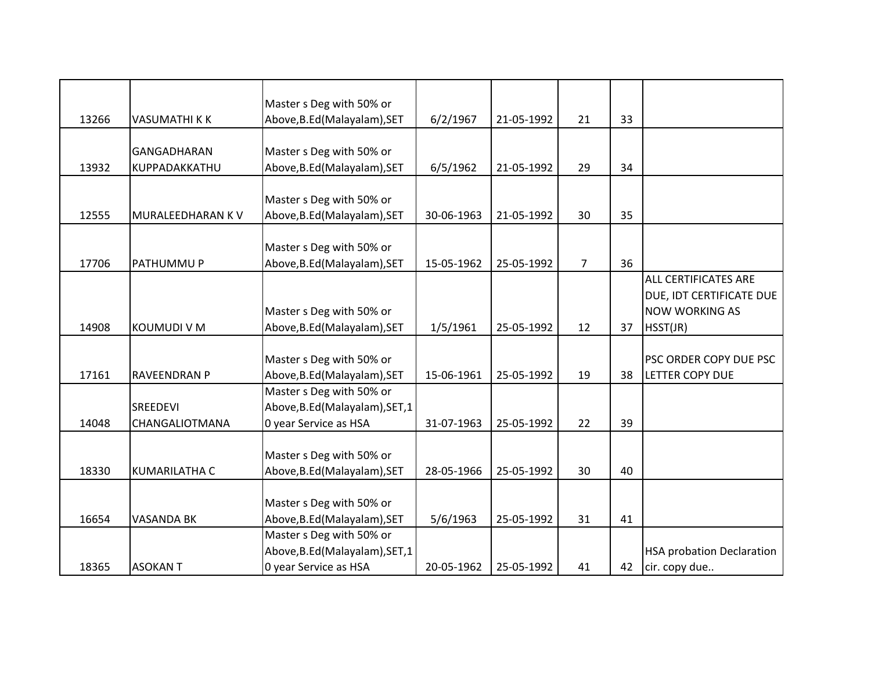|       |                      | Master s Deg with 50% or        |            |            |                |    |                                  |
|-------|----------------------|---------------------------------|------------|------------|----------------|----|----------------------------------|
| 13266 | <b>VASUMATHI K K</b> | Above, B.Ed (Malayalam), SET    | 6/2/1967   | 21-05-1992 | 21             | 33 |                                  |
|       |                      |                                 |            |            |                |    |                                  |
|       | GANGADHARAN          | Master s Deg with 50% or        |            |            |                |    |                                  |
| 13932 | KUPPADAKKATHU        | Above, B.Ed (Malayalam), SET    | 6/5/1962   | 21-05-1992 | 29             | 34 |                                  |
|       |                      |                                 |            |            |                |    |                                  |
|       |                      | Master s Deg with 50% or        |            |            |                |    |                                  |
| 12555 | MURALEEDHARAN KV     | Above, B.Ed (Malayalam), SET    | 30-06-1963 | 21-05-1992 | 30             | 35 |                                  |
|       |                      |                                 |            |            |                |    |                                  |
|       |                      | Master s Deg with 50% or        |            |            |                |    |                                  |
| 17706 | PATHUMMU P           | Above, B.Ed (Malayalam), SET    | 15-05-1962 | 25-05-1992 | $\overline{7}$ | 36 |                                  |
|       |                      |                                 |            |            |                |    | ALL CERTIFICATES ARE             |
|       |                      |                                 |            |            |                |    | DUE, IDT CERTIFICATE DUE         |
|       |                      | Master s Deg with 50% or        |            |            |                |    | <b>NOW WORKING AS</b>            |
| 14908 | <b>KOUMUDI V M</b>   | Above, B.Ed (Malayalam), SET    | 1/5/1961   | 25-05-1992 | 12             | 37 | HSST(JR)                         |
|       |                      |                                 |            |            |                |    |                                  |
|       |                      | Master s Deg with 50% or        |            |            |                |    | PSC ORDER COPY DUE PSC           |
| 17161 | RAVEENDRAN P         | Above, B.Ed (Malayalam), SET    | 15-06-1961 | 25-05-1992 | 19             | 38 | <b>LETTER COPY DUE</b>           |
|       |                      | Master s Deg with 50% or        |            |            |                |    |                                  |
|       | SREEDEVI             | Above, B.Ed (Malayalam), SET, 1 |            |            |                |    |                                  |
| 14048 | CHANGALIOTMANA       | 0 year Service as HSA           | 31-07-1963 | 25-05-1992 | 22             | 39 |                                  |
|       |                      |                                 |            |            |                |    |                                  |
|       |                      | Master s Deg with 50% or        |            |            |                |    |                                  |
| 18330 | <b>KUMARILATHA C</b> | Above, B.Ed (Malayalam), SET    | 28-05-1966 | 25-05-1992 | 30             | 40 |                                  |
|       |                      |                                 |            |            |                |    |                                  |
|       |                      | Master s Deg with 50% or        |            |            |                |    |                                  |
| 16654 | <b>VASANDA BK</b>    | Above, B.Ed (Malayalam), SET    | 5/6/1963   | 25-05-1992 | 31             | 41 |                                  |
|       |                      | Master s Deg with 50% or        |            |            |                |    |                                  |
|       |                      | Above, B.Ed (Malayalam), SET, 1 |            |            |                |    | <b>HSA probation Declaration</b> |
| 18365 | <b>ASOKANT</b>       | 0 year Service as HSA           | 20-05-1962 | 25-05-1992 | 41             | 42 | cir. copy due                    |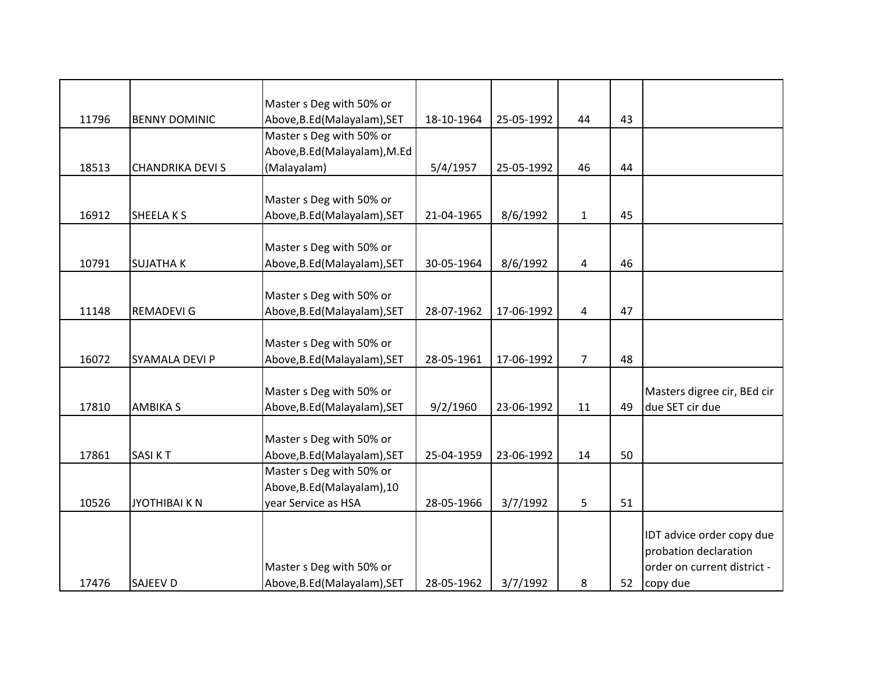|       |                         | Master s Deg with 50% or      |            |            |                |    |                             |
|-------|-------------------------|-------------------------------|------------|------------|----------------|----|-----------------------------|
| 11796 | <b>BENNY DOMINIC</b>    | Above, B.Ed (Malayalam), SET  | 18-10-1964 | 25-05-1992 | 44             | 43 |                             |
|       |                         | Master s Deg with 50% or      |            |            |                |    |                             |
|       |                         | Above, B.Ed (Malayalam), M.Ed |            |            |                |    |                             |
| 18513 | <b>CHANDRIKA DEVI S</b> | (Malayalam)                   | 5/4/1957   | 25-05-1992 | 46             | 44 |                             |
|       |                         |                               |            |            |                |    |                             |
|       |                         | Master s Deg with 50% or      |            |            |                |    |                             |
| 16912 | SHEELA K S              | Above, B.Ed (Malayalam), SET  | 21-04-1965 | 8/6/1992   | $\mathbf{1}$   | 45 |                             |
|       |                         |                               |            |            |                |    |                             |
|       |                         | Master s Deg with 50% or      |            |            |                |    |                             |
| 10791 | <b>SUJATHAK</b>         | Above, B.Ed (Malayalam), SET  | 30-05-1964 | 8/6/1992   | 4              | 46 |                             |
|       |                         |                               |            |            |                |    |                             |
|       |                         | Master s Deg with 50% or      |            |            |                |    |                             |
| 11148 | <b>REMADEVI G</b>       | Above, B.Ed (Malayalam), SET  | 28-07-1962 | 17-06-1992 | 4              | 47 |                             |
|       |                         |                               |            |            |                |    |                             |
|       |                         | Master s Deg with 50% or      |            |            |                |    |                             |
| 16072 | SYAMALA DEVI P          | Above, B.Ed (Malayalam), SET  | 28-05-1961 | 17-06-1992 | $\overline{7}$ | 48 |                             |
|       |                         |                               |            |            |                |    |                             |
|       |                         | Master s Deg with 50% or      |            |            |                |    | Masters digree cir, BEd cir |
| 17810 | <b>AMBIKA S</b>         | Above, B.Ed (Malayalam), SET  | 9/2/1960   | 23-06-1992 | 11             | 49 | due SET cir due             |
|       |                         | Master s Deg with 50% or      |            |            |                |    |                             |
| 17861 | <b>SASIKT</b>           | Above, B.Ed (Malayalam), SET  | 25-04-1959 | 23-06-1992 | 14             | 50 |                             |
|       |                         | Master s Deg with 50% or      |            |            |                |    |                             |
|       |                         | Above, B.Ed (Malayalam), 10   |            |            |                |    |                             |
| 10526 | <b>JYOTHIBAI K N</b>    | year Service as HSA           | 28-05-1966 | 3/7/1992   | 5              | 51 |                             |
|       |                         |                               |            |            |                |    |                             |
|       |                         |                               |            |            |                |    | IDT advice order copy due   |
|       |                         |                               |            |            |                |    | probation declaration       |
|       |                         | Master s Deg with 50% or      |            |            |                |    | order on current district - |
| 17476 | <b>SAJEEV D</b>         | Above, B.Ed (Malayalam), SET  | 28-05-1962 | 3/7/1992   | 8              | 52 | copy due                    |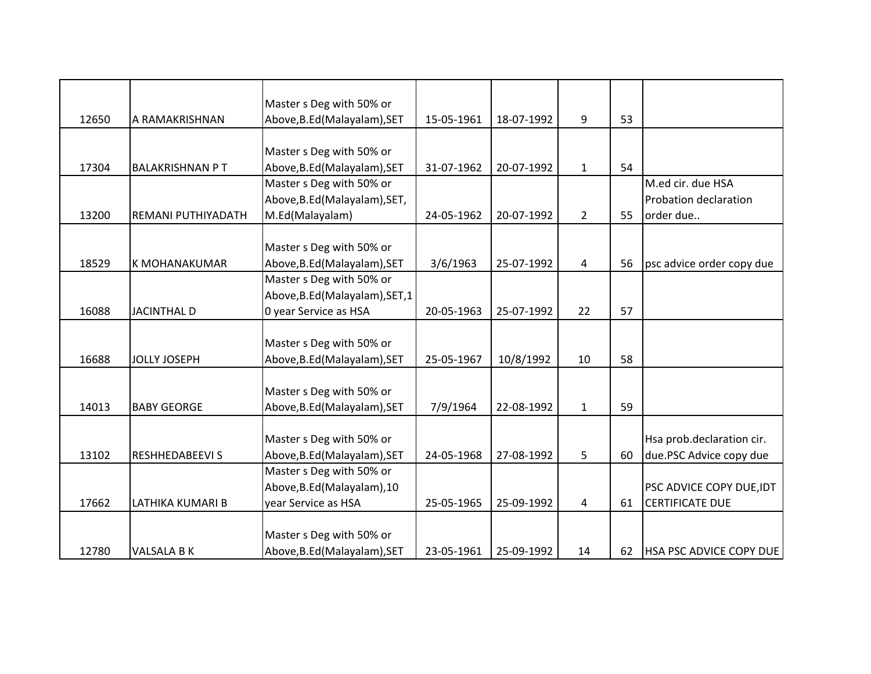|       |                        | Master s Deg with 50% or        |            |            |                |    |                                |
|-------|------------------------|---------------------------------|------------|------------|----------------|----|--------------------------------|
| 12650 | A RAMAKRISHNAN         | Above, B.Ed (Malayalam), SET    | 15-05-1961 | 18-07-1992 | 9              | 53 |                                |
|       |                        |                                 |            |            |                |    |                                |
|       |                        | Master s Deg with 50% or        |            |            |                |    |                                |
| 17304 | <b>BALAKRISHNAN PT</b> | Above, B.Ed (Malayalam), SET    | 31-07-1962 | 20-07-1992 | $\mathbf{1}$   | 54 |                                |
|       |                        | Master s Deg with 50% or        |            |            |                |    | M.ed cir. due HSA              |
|       |                        | Above, B.Ed (Malayalam), SET,   |            |            |                |    | Probation declaration          |
| 13200 | REMANI PUTHIYADATH     | M.Ed(Malayalam)                 | 24-05-1962 | 20-07-1992 | $\overline{2}$ | 55 | order due                      |
|       |                        |                                 |            |            |                |    |                                |
|       |                        | Master s Deg with 50% or        |            |            |                |    |                                |
| 18529 | K MOHANAKUMAR          | Above, B.Ed (Malayalam), SET    | 3/6/1963   | 25-07-1992 | 4              | 56 | psc advice order copy due      |
|       |                        | Master s Deg with 50% or        |            |            |                |    |                                |
|       |                        | Above, B.Ed (Malayalam), SET, 1 |            |            |                |    |                                |
| 16088 | <b>JACINTHAL D</b>     | 0 year Service as HSA           | 20-05-1963 | 25-07-1992 | 22             | 57 |                                |
|       |                        |                                 |            |            |                |    |                                |
|       |                        | Master s Deg with 50% or        |            |            |                |    |                                |
| 16688 | <b>JOLLY JOSEPH</b>    | Above, B.Ed (Malayalam), SET    | 25-05-1967 | 10/8/1992  | 10             | 58 |                                |
|       |                        |                                 |            |            |                |    |                                |
|       |                        | Master s Deg with 50% or        |            |            |                |    |                                |
| 14013 | <b>BABY GEORGE</b>     | Above, B.Ed (Malayalam), SET    | 7/9/1964   | 22-08-1992 | $\mathbf{1}$   | 59 |                                |
|       |                        |                                 |            |            |                |    |                                |
|       |                        | Master s Deg with 50% or        |            |            |                |    | Hsa prob.declaration cir.      |
| 13102 | <b>RESHHEDABEEVIS</b>  | Above, B.Ed (Malayalam), SET    | 24-05-1968 | 27-08-1992 | 5              | 60 | due.PSC Advice copy due        |
|       |                        | Master s Deg with 50% or        |            |            |                |    |                                |
|       |                        | Above, B.Ed (Malayalam), 10     |            |            |                |    | PSC ADVICE COPY DUE, IDT       |
| 17662 | LATHIKA KUMARI B       | year Service as HSA             | 25-05-1965 | 25-09-1992 | $\overline{4}$ | 61 | <b>CERTIFICATE DUE</b>         |
|       |                        |                                 |            |            |                |    |                                |
|       |                        | Master s Deg with 50% or        |            |            |                |    |                                |
| 12780 | <b>VALSALA B K</b>     | Above, B.Ed (Malayalam), SET    | 23-05-1961 | 25-09-1992 | 14             | 62 | <b>HSA PSC ADVICE COPY DUE</b> |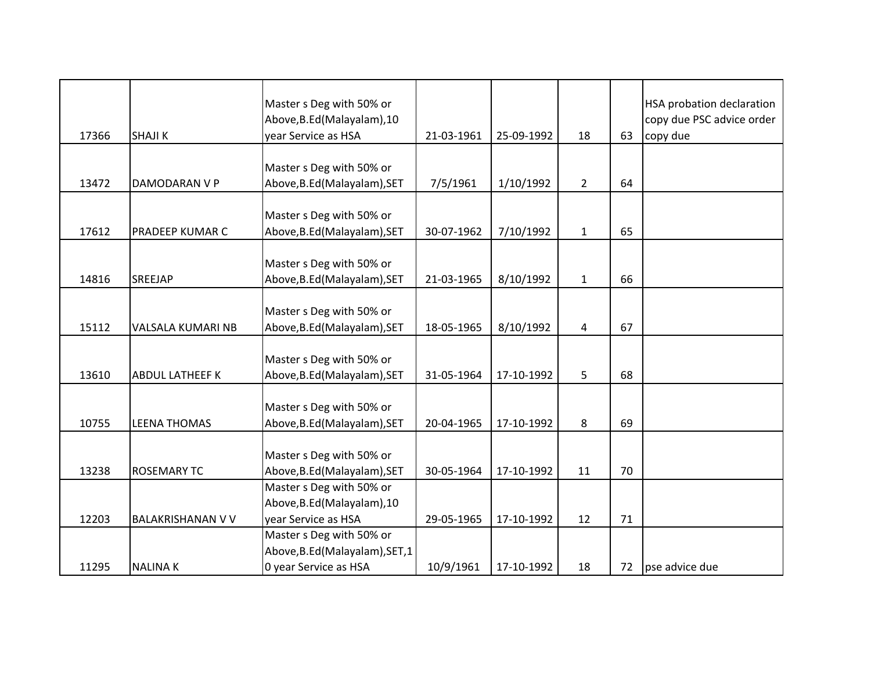|       |                          | Master s Deg with 50% or<br>Above, B.Ed (Malayalam), 10 |            |            |                |    | <b>HSA probation declaration</b><br>copy due PSC advice order |
|-------|--------------------------|---------------------------------------------------------|------------|------------|----------------|----|---------------------------------------------------------------|
| 17366 | <b>SHAJIK</b>            | year Service as HSA                                     | 21-03-1961 | 25-09-1992 | 18             | 63 | copy due                                                      |
|       |                          |                                                         |            |            |                |    |                                                               |
| 13472 | DAMODARAN V P            | Master s Deg with 50% or                                | 7/5/1961   |            | $\overline{2}$ | 64 |                                                               |
|       |                          | Above, B.Ed (Malayalam), SET                            |            | 1/10/1992  |                |    |                                                               |
|       |                          | Master s Deg with 50% or                                |            |            |                |    |                                                               |
| 17612 | PRADEEP KUMAR C          | Above, B.Ed (Malayalam), SET                            | 30-07-1962 | 7/10/1992  | $\mathbf{1}$   | 65 |                                                               |
|       |                          |                                                         |            |            |                |    |                                                               |
|       |                          | Master s Deg with 50% or                                |            |            |                |    |                                                               |
| 14816 | SREEJAP                  | Above, B.Ed (Malayalam), SET                            | 21-03-1965 | 8/10/1992  | $\mathbf{1}$   | 66 |                                                               |
|       |                          |                                                         |            |            |                |    |                                                               |
|       |                          | Master s Deg with 50% or                                |            |            |                |    |                                                               |
| 15112 | VALSALA KUMARI NB        | Above, B.Ed (Malayalam), SET                            | 18-05-1965 | 8/10/1992  | 4              | 67 |                                                               |
|       |                          |                                                         |            |            |                |    |                                                               |
|       |                          | Master s Deg with 50% or                                |            |            |                |    |                                                               |
| 13610 | <b>ABDUL LATHEEF K</b>   | Above, B.Ed (Malayalam), SET                            | 31-05-1964 | 17-10-1992 | 5              | 68 |                                                               |
|       |                          |                                                         |            |            |                |    |                                                               |
|       |                          | Master s Deg with 50% or                                |            |            |                |    |                                                               |
| 10755 | <b>LEENA THOMAS</b>      | Above, B.Ed (Malayalam), SET                            | 20-04-1965 | 17-10-1992 | 8              | 69 |                                                               |
|       |                          |                                                         |            |            |                |    |                                                               |
|       |                          | Master s Deg with 50% or                                |            |            |                |    |                                                               |
| 13238 | <b>ROSEMARY TC</b>       | Above, B.Ed (Malayalam), SET                            | 30-05-1964 | 17-10-1992 | 11             | 70 |                                                               |
|       |                          | Master s Deg with 50% or                                |            |            |                |    |                                                               |
|       |                          | Above, B.Ed (Malayalam), 10                             |            |            |                |    |                                                               |
| 12203 | <b>BALAKRISHANAN V V</b> | year Service as HSA                                     | 29-05-1965 | 17-10-1992 | 12             | 71 |                                                               |
|       |                          | Master s Deg with 50% or                                |            |            |                |    |                                                               |
|       |                          | Above, B.Ed (Malayalam), SET, 1                         |            |            |                |    |                                                               |
| 11295 | <b>NALINAK</b>           | 0 year Service as HSA                                   | 10/9/1961  | 17-10-1992 | 18             | 72 | pse advice due                                                |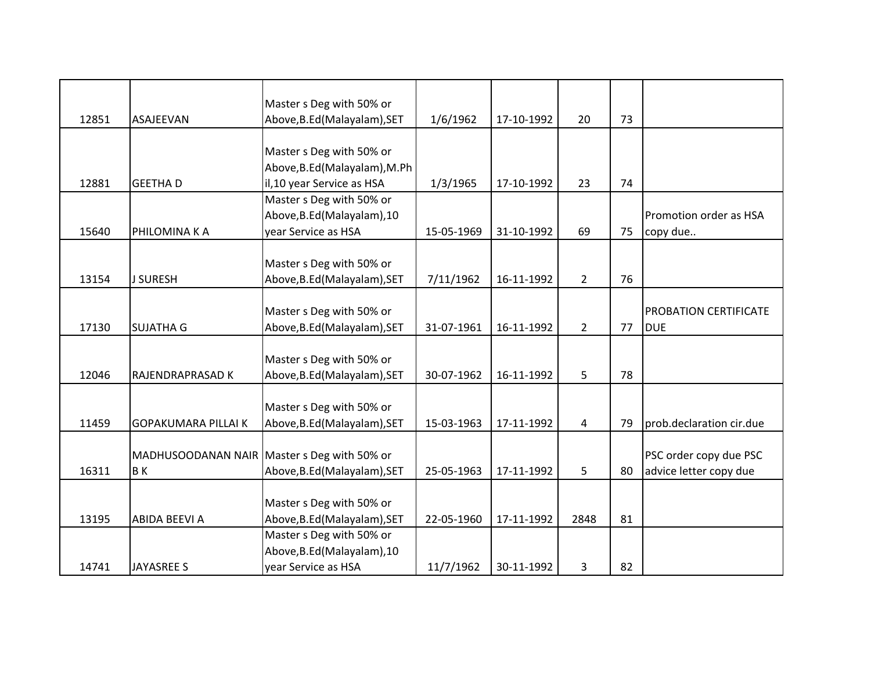|       |                            | Master s Deg with 50% or                    |            |            |                |    |                              |
|-------|----------------------------|---------------------------------------------|------------|------------|----------------|----|------------------------------|
| 12851 | ASAJEEVAN                  | Above, B.Ed (Malayalam), SET                | 1/6/1962   | 17-10-1992 | 20             | 73 |                              |
|       |                            |                                             |            |            |                |    |                              |
|       |                            | Master s Deg with 50% or                    |            |            |                |    |                              |
| 12881 | <b>GEETHAD</b>             | Above, B.Ed (Malayalam), M.Ph               |            | 17-10-1992 | 23             | 74 |                              |
|       |                            | il,10 year Service as HSA                   | 1/3/1965   |            |                |    |                              |
|       |                            | Master s Deg with 50% or                    |            |            |                |    |                              |
|       |                            | Above, B.Ed (Malayalam), 10                 |            |            |                |    | Promotion order as HSA       |
| 15640 | PHILOMINA K A              | year Service as HSA                         | 15-05-1969 | 31-10-1992 | 69             | 75 | copy due                     |
|       |                            |                                             |            |            |                |    |                              |
|       |                            | Master s Deg with 50% or                    |            |            |                |    |                              |
| 13154 | <b>J SURESH</b>            | Above, B.Ed (Malayalam), SET                | 7/11/1962  | 16-11-1992 | $\overline{2}$ | 76 |                              |
|       |                            |                                             |            |            |                |    |                              |
|       |                            | Master s Deg with 50% or                    |            |            |                |    | <b>PROBATION CERTIFICATE</b> |
| 17130 | <b>SUJATHA G</b>           | Above, B.Ed (Malayalam), SET                | 31-07-1961 | 16-11-1992 | $\overline{2}$ | 77 | <b>DUE</b>                   |
|       |                            |                                             |            |            |                |    |                              |
|       |                            | Master s Deg with 50% or                    |            |            |                |    |                              |
| 12046 | RAJENDRAPRASAD K           | Above, B.Ed (Malayalam), SET                | 30-07-1962 | 16-11-1992 | 5              | 78 |                              |
|       |                            |                                             |            |            |                |    |                              |
|       |                            | Master s Deg with 50% or                    |            |            |                |    |                              |
| 11459 | <b>GOPAKUMARA PILLAI K</b> | Above, B.Ed (Malayalam), SET                | 15-03-1963 | 17-11-1992 | 4              | 79 | prob.declaration cir.due     |
|       |                            |                                             |            |            |                |    |                              |
|       |                            | MADHUSOODANAN NAIR Master s Deg with 50% or |            |            |                |    | PSC order copy due PSC       |
| 16311 | <b>BK</b>                  | Above, B.Ed (Malayalam), SET                | 25-05-1963 | 17-11-1992 | 5              | 80 | advice letter copy due       |
|       |                            |                                             |            |            |                |    |                              |
|       |                            | Master s Deg with 50% or                    |            |            |                |    |                              |
| 13195 | <b>ABIDA BEEVI A</b>       | Above, B.Ed (Malayalam), SET                | 22-05-1960 | 17-11-1992 | 2848           | 81 |                              |
|       |                            | Master s Deg with 50% or                    |            |            |                |    |                              |
|       |                            | Above, B.Ed (Malayalam), 10                 |            |            |                |    |                              |
| 14741 | <b>JAYASREE S</b>          | year Service as HSA                         | 11/7/1962  | 30-11-1992 | 3              | 82 |                              |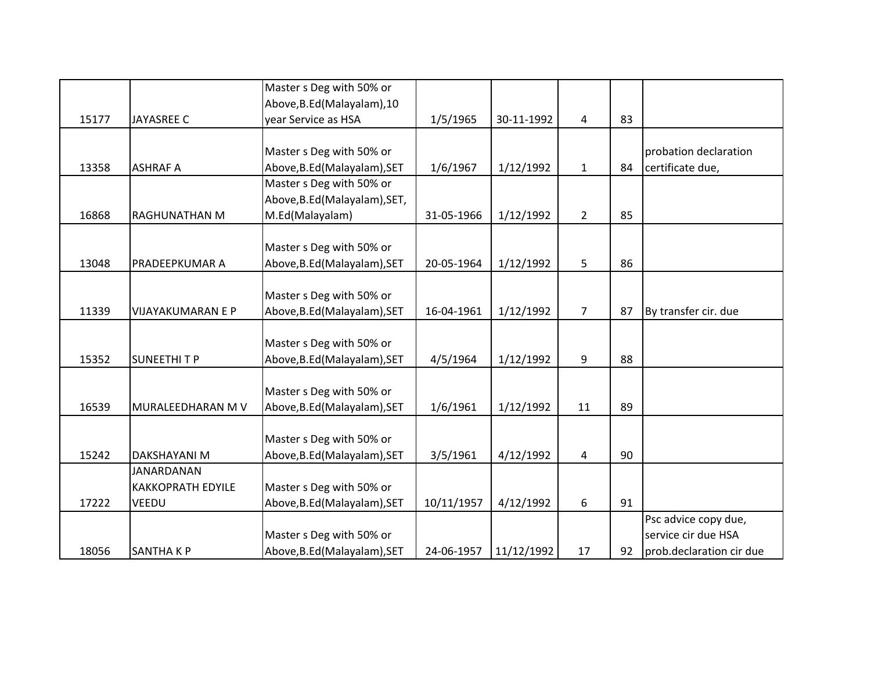|       |                          | Master s Deg with 50% or      |            |            |                |    |                          |
|-------|--------------------------|-------------------------------|------------|------------|----------------|----|--------------------------|
|       |                          | Above, B.Ed (Malayalam), 10   |            |            |                |    |                          |
| 15177 | <b>JAYASREE C</b>        | year Service as HSA           | 1/5/1965   | 30-11-1992 | $\overline{4}$ | 83 |                          |
|       |                          |                               |            |            |                |    |                          |
|       |                          | Master s Deg with 50% or      |            |            |                |    | probation declaration    |
| 13358 | <b>ASHRAF A</b>          | Above, B.Ed (Malayalam), SET  | 1/6/1967   | 1/12/1992  | $\mathbf{1}$   | 84 | certificate due,         |
|       |                          | Master s Deg with 50% or      |            |            |                |    |                          |
|       |                          | Above, B.Ed (Malayalam), SET, |            |            |                |    |                          |
| 16868 | <b>RAGHUNATHAN M</b>     | M.Ed(Malayalam)               | 31-05-1966 | 1/12/1992  | $2^{\circ}$    | 85 |                          |
|       |                          |                               |            |            |                |    |                          |
|       |                          | Master s Deg with 50% or      |            |            |                |    |                          |
| 13048 | PRADEEPKUMAR A           | Above, B.Ed (Malayalam), SET  | 20-05-1964 | 1/12/1992  | 5              | 86 |                          |
|       |                          |                               |            |            |                |    |                          |
|       |                          | Master s Deg with 50% or      |            |            |                |    |                          |
| 11339 | <b>VIJAYAKUMARAN E P</b> | Above, B.Ed (Malayalam), SET  | 16-04-1961 | 1/12/1992  | $\overline{7}$ | 87 | By transfer cir. due     |
|       |                          |                               |            |            |                |    |                          |
|       |                          | Master s Deg with 50% or      |            |            |                |    |                          |
| 15352 | <b>SUNEETHITP</b>        | Above, B.Ed (Malayalam), SET  | 4/5/1964   | 1/12/1992  | 9              | 88 |                          |
|       |                          |                               |            |            |                |    |                          |
|       |                          | Master s Deg with 50% or      |            |            |                |    |                          |
| 16539 | MURALEEDHARAN M V        | Above, B.Ed (Malayalam), SET  | 1/6/1961   | 1/12/1992  | 11             | 89 |                          |
|       |                          |                               |            |            |                |    |                          |
|       |                          | Master s Deg with 50% or      |            |            |                |    |                          |
| 15242 | <b>DAKSHAYANI M</b>      | Above, B.Ed (Malayalam), SET  | 3/5/1961   | 4/12/1992  | 4              | 90 |                          |
|       | <b>JANARDANAN</b>        |                               |            |            |                |    |                          |
|       | <b>KAKKOPRATH EDYILE</b> | Master s Deg with 50% or      |            |            |                |    |                          |
| 17222 | VEEDU                    | Above, B.Ed (Malayalam), SET  | 10/11/1957 | 4/12/1992  | 6              | 91 |                          |
|       |                          |                               |            |            |                |    | Psc advice copy due,     |
|       |                          | Master s Deg with 50% or      |            |            |                |    | service cir due HSA      |
| 18056 | <b>SANTHAKP</b>          | Above, B.Ed (Malayalam), SET  | 24-06-1957 | 11/12/1992 | 17             | 92 | prob.declaration cir due |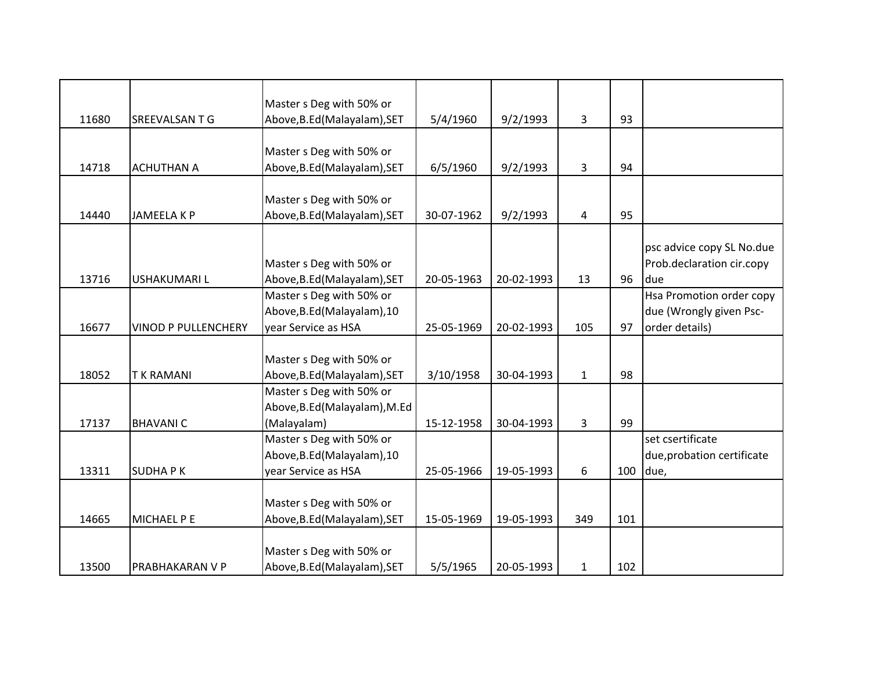|       |                            | Master s Deg with 50% or      |            |            |              |     |                            |
|-------|----------------------------|-------------------------------|------------|------------|--------------|-----|----------------------------|
| 11680 | SREEVALSAN T G             | Above, B.Ed (Malayalam), SET  | 5/4/1960   | 9/2/1993   | 3            | 93  |                            |
|       |                            |                               |            |            |              |     |                            |
|       |                            | Master s Deg with 50% or      |            |            |              |     |                            |
| 14718 | <b>ACHUTHAN A</b>          | Above, B.Ed (Malayalam), SET  | 6/5/1960   | 9/2/1993   | 3            | 94  |                            |
|       |                            |                               |            |            |              |     |                            |
|       |                            | Master s Deg with 50% or      |            |            |              |     |                            |
| 14440 | <b>JAMEELA K P</b>         | Above, B.Ed (Malayalam), SET  | 30-07-1962 | 9/2/1993   | 4            | 95  |                            |
|       |                            |                               |            |            |              |     |                            |
|       |                            |                               |            |            |              |     | psc advice copy SL No.due  |
|       |                            | Master s Deg with 50% or      |            |            |              |     | Prob.declaration cir.copy  |
| 13716 | <b>USHAKUMARIL</b>         | Above, B.Ed (Malayalam), SET  | 20-05-1963 | 20-02-1993 | 13           | 96  | due                        |
|       |                            | Master s Deg with 50% or      |            |            |              |     | Hsa Promotion order copy   |
|       |                            | Above, B.Ed (Malayalam), 10   |            |            |              |     | due (Wrongly given Psc-    |
| 16677 | <b>VINOD P PULLENCHERY</b> | year Service as HSA           | 25-05-1969 | 20-02-1993 | 105          | 97  | order details)             |
|       |                            |                               |            |            |              |     |                            |
|       |                            | Master s Deg with 50% or      |            |            |              |     |                            |
| 18052 | <b>TK RAMANI</b>           | Above, B.Ed (Malayalam), SET  | 3/10/1958  | 30-04-1993 | $\mathbf{1}$ | 98  |                            |
|       |                            | Master s Deg with 50% or      |            |            |              |     |                            |
|       |                            | Above, B.Ed (Malayalam), M.Ed |            |            |              |     |                            |
| 17137 | <b>BHAVANIC</b>            | (Malayalam)                   | 15-12-1958 | 30-04-1993 | 3            | 99  |                            |
|       |                            | Master s Deg with 50% or      |            |            |              |     | set csertificate           |
|       |                            | Above, B.Ed (Malayalam), 10   |            |            |              |     | due, probation certificate |
| 13311 | <b>SUDHAPK</b>             | year Service as HSA           | 25-05-1966 | 19-05-1993 | 6            | 100 | due,                       |
|       |                            |                               |            |            |              |     |                            |
|       |                            | Master s Deg with 50% or      |            |            |              |     |                            |
| 14665 | MICHAEL P E                | Above, B.Ed (Malayalam), SET  | 15-05-1969 | 19-05-1993 | 349          | 101 |                            |
|       |                            |                               |            |            |              |     |                            |
|       |                            | Master s Deg with 50% or      |            |            |              |     |                            |
| 13500 | PRABHAKARAN V P            | Above, B.Ed (Malayalam), SET  | 5/5/1965   | 20-05-1993 | $\mathbf{1}$ | 102 |                            |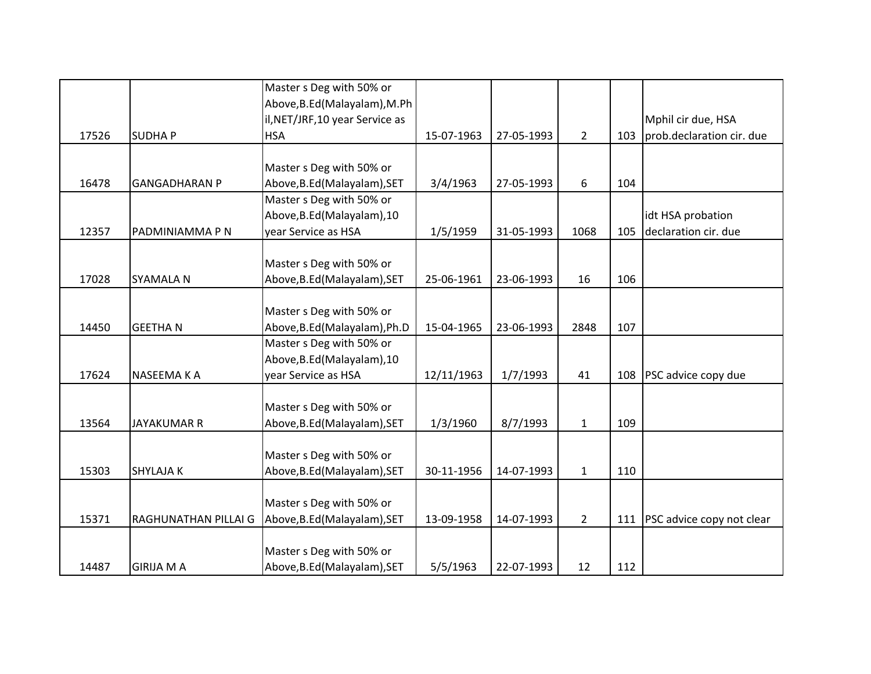|       |                      | Master s Deg with 50% or                                 |            |            |                |     |                           |
|-------|----------------------|----------------------------------------------------------|------------|------------|----------------|-----|---------------------------|
|       |                      | Above, B.Ed (Malayalam), M.Ph                            |            |            |                |     |                           |
|       |                      | il, NET/JRF, 10 year Service as                          |            |            |                |     | Mphil cir due, HSA        |
| 17526 | <b>SUDHAP</b>        | <b>HSA</b>                                               | 15-07-1963 | 27-05-1993 | $\overline{2}$ | 103 | prob.declaration cir. due |
|       |                      |                                                          |            |            |                |     |                           |
| 16478 | <b>GANGADHARAN P</b> | Master s Deg with 50% or<br>Above, B.Ed (Malayalam), SET | 3/4/1963   | 27-05-1993 | 6              | 104 |                           |
|       |                      | Master s Deg with 50% or                                 |            |            |                |     |                           |
|       |                      | Above, B.Ed (Malayalam), 10                              |            |            |                |     | idt HSA probation         |
| 12357 | PADMINIAMMA P N      | year Service as HSA                                      | 1/5/1959   | 31-05-1993 | 1068           | 105 | declaration cir. due      |
|       |                      |                                                          |            |            |                |     |                           |
|       |                      | Master s Deg with 50% or                                 |            |            |                |     |                           |
| 17028 | <b>SYAMALA N</b>     | Above, B.Ed (Malayalam), SET                             | 25-06-1961 | 23-06-1993 | 16             | 106 |                           |
|       |                      |                                                          |            |            |                |     |                           |
|       |                      | Master s Deg with 50% or                                 |            |            |                |     |                           |
| 14450 | <b>GEETHAN</b>       | Above, B.Ed (Malayalam), Ph.D                            | 15-04-1965 | 23-06-1993 | 2848           | 107 |                           |
|       |                      | Master s Deg with 50% or                                 |            |            |                |     |                           |
|       |                      | Above, B.Ed (Malayalam), 10                              |            |            |                |     |                           |
| 17624 | NASEEMA K A          | year Service as HSA                                      | 12/11/1963 | 1/7/1993   | 41             | 108 | PSC advice copy due       |
|       |                      |                                                          |            |            |                |     |                           |
|       |                      | Master s Deg with 50% or                                 |            |            |                |     |                           |
| 13564 | <b>JAYAKUMAR R</b>   | Above, B.Ed (Malayalam), SET                             | 1/3/1960   | 8/7/1993   | $\mathbf{1}$   | 109 |                           |
|       |                      |                                                          |            |            |                |     |                           |
|       |                      | Master s Deg with 50% or                                 |            |            |                |     |                           |
| 15303 | <b>SHYLAJAK</b>      | Above, B.Ed (Malayalam), SET                             | 30-11-1956 | 14-07-1993 | $\mathbf{1}$   | 110 |                           |
|       |                      |                                                          |            |            |                |     |                           |
|       |                      | Master s Deg with 50% or                                 |            |            |                |     |                           |
| 15371 | RAGHUNATHAN PILLAI G | Above, B.Ed (Malayalam), SET                             | 13-09-1958 | 14-07-1993 | $\overline{2}$ | 111 | PSC advice copy not clear |
|       |                      |                                                          |            |            |                |     |                           |
|       |                      | Master s Deg with 50% or                                 |            |            |                |     |                           |
| 14487 | <b>GIRIJA M A</b>    | Above, B.Ed (Malayalam), SET                             | 5/5/1963   | 22-07-1993 | 12             | 112 |                           |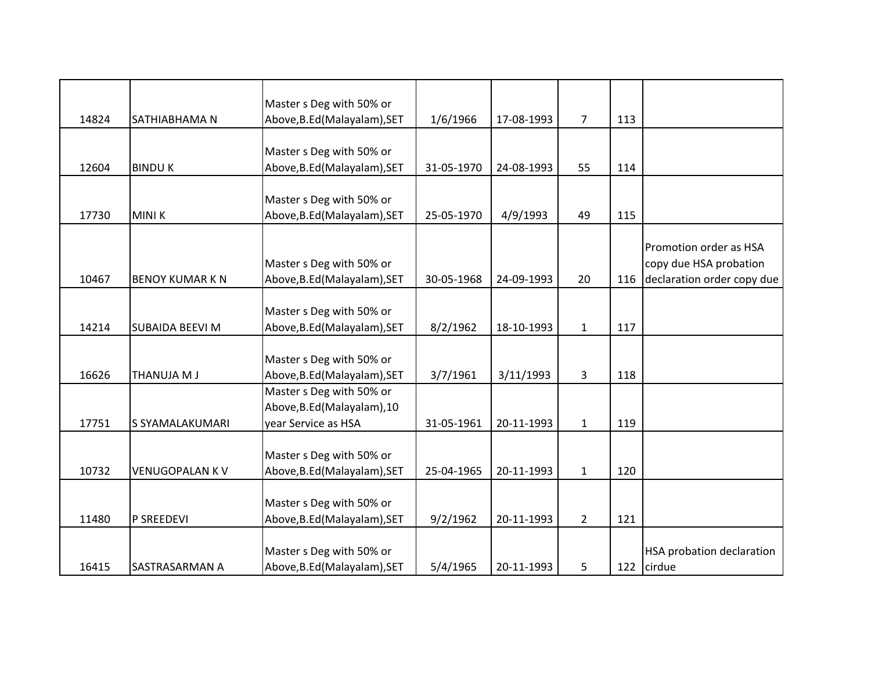|       |                        | Master s Deg with 50% or     |            |            |                |     |                                  |
|-------|------------------------|------------------------------|------------|------------|----------------|-----|----------------------------------|
| 14824 | SATHIABHAMA N          | Above, B.Ed (Malayalam), SET | 1/6/1966   | 17-08-1993 | $\overline{7}$ | 113 |                                  |
|       |                        |                              |            |            |                |     |                                  |
|       |                        | Master s Deg with 50% or     |            |            |                |     |                                  |
| 12604 | <b>BINDUK</b>          | Above, B.Ed (Malayalam), SET | 31-05-1970 | 24-08-1993 | 55             | 114 |                                  |
|       |                        |                              |            |            |                |     |                                  |
|       |                        | Master s Deg with 50% or     |            |            |                |     |                                  |
| 17730 | <b>MINIK</b>           | Above, B.Ed (Malayalam), SET | 25-05-1970 | 4/9/1993   | 49             | 115 |                                  |
|       |                        |                              |            |            |                |     | Promotion order as HSA           |
|       |                        | Master s Deg with 50% or     |            |            |                |     | copy due HSA probation           |
| 10467 | <b>BENOY KUMAR K N</b> | Above, B.Ed (Malayalam), SET | 30-05-1968 | 24-09-1993 | 20             | 116 | declaration order copy due       |
|       |                        |                              |            |            |                |     |                                  |
|       |                        | Master s Deg with 50% or     |            |            |                |     |                                  |
| 14214 | <b>SUBAIDA BEEVI M</b> | Above, B.Ed (Malayalam), SET | 8/2/1962   | 18-10-1993 | $\mathbf{1}$   | 117 |                                  |
|       |                        |                              |            |            |                |     |                                  |
|       |                        | Master s Deg with 50% or     |            |            |                |     |                                  |
| 16626 | THANUJA M J            | Above, B.Ed (Malayalam), SET | 3/7/1961   | 3/11/1993  | $\overline{3}$ | 118 |                                  |
|       |                        | Master s Deg with 50% or     |            |            |                |     |                                  |
|       |                        | Above, B.Ed (Malayalam), 10  |            |            |                |     |                                  |
| 17751 | S SYAMALAKUMARI        | year Service as HSA          | 31-05-1961 | 20-11-1993 | $\mathbf{1}$   | 119 |                                  |
|       |                        |                              |            |            |                |     |                                  |
|       |                        | Master s Deg with 50% or     |            |            |                |     |                                  |
| 10732 | <b>VENUGOPALAN KV</b>  | Above, B.Ed (Malayalam), SET | 25-04-1965 | 20-11-1993 | $\mathbf{1}$   | 120 |                                  |
|       |                        |                              |            |            |                |     |                                  |
|       |                        | Master s Deg with 50% or     |            |            |                |     |                                  |
| 11480 | P SREEDEVI             | Above, B.Ed (Malayalam), SET | 9/2/1962   | 20-11-1993 | $\overline{2}$ | 121 |                                  |
|       |                        |                              |            |            |                |     |                                  |
|       |                        | Master s Deg with 50% or     |            |            |                |     | <b>HSA probation declaration</b> |
| 16415 | SASTRASARMAN A         | Above, B.Ed (Malayalam), SET | 5/4/1965   | 20-11-1993 | 5              | 122 | cirdue                           |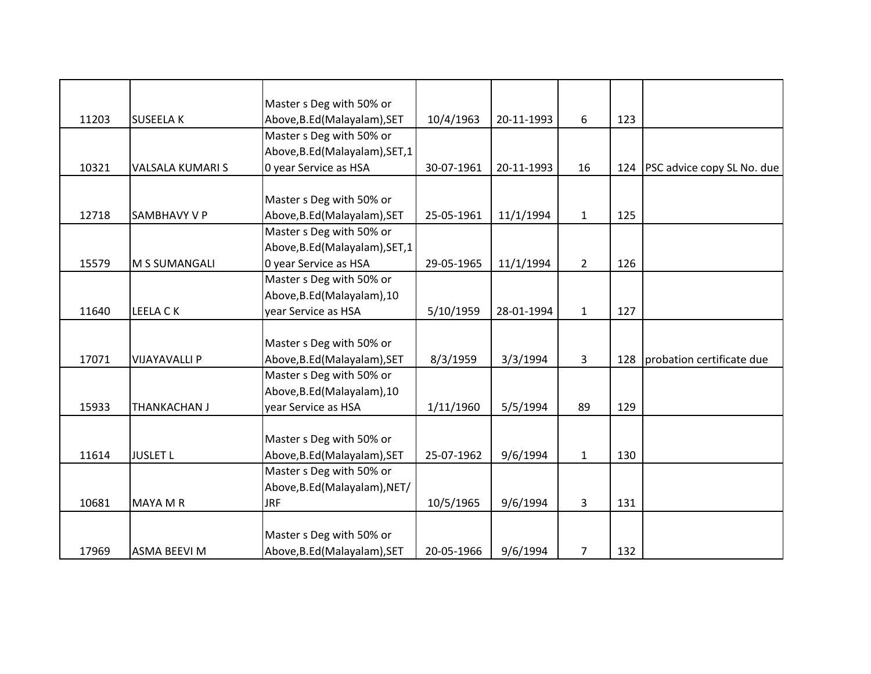|       |                         | Master s Deg with 50% or        |            |            |                |     |                            |
|-------|-------------------------|---------------------------------|------------|------------|----------------|-----|----------------------------|
| 11203 | <b>SUSEELAK</b>         | Above, B.Ed (Malayalam), SET    | 10/4/1963  | 20-11-1993 | 6              | 123 |                            |
|       |                         | Master s Deg with 50% or        |            |            |                |     |                            |
|       |                         | Above, B.Ed (Malayalam), SET, 1 |            |            |                |     |                            |
| 10321 | <b>VALSALA KUMARI S</b> | 0 year Service as HSA           | 30-07-1961 | 20-11-1993 | 16             | 124 | PSC advice copy SL No. due |
|       |                         |                                 |            |            |                |     |                            |
|       |                         | Master s Deg with 50% or        |            |            |                |     |                            |
| 12718 | <b>SAMBHAVY V P</b>     | Above, B.Ed (Malayalam), SET    | 25-05-1961 | 11/1/1994  | $\mathbf{1}$   | 125 |                            |
|       |                         | Master s Deg with 50% or        |            |            |                |     |                            |
|       |                         | Above, B.Ed (Malayalam), SET, 1 |            |            |                |     |                            |
| 15579 | M S SUMANGALI           | 0 year Service as HSA           | 29-05-1965 | 11/1/1994  | $\overline{2}$ | 126 |                            |
|       |                         | Master s Deg with 50% or        |            |            |                |     |                            |
|       |                         | Above, B.Ed (Malayalam), 10     |            |            |                |     |                            |
| 11640 | LEELA CK                | year Service as HSA             | 5/10/1959  | 28-01-1994 | $\mathbf{1}$   | 127 |                            |
|       |                         |                                 |            |            |                |     |                            |
|       |                         | Master s Deg with 50% or        |            |            |                |     |                            |
| 17071 | <b>VIJAYAVALLI P</b>    | Above, B.Ed (Malayalam), SET    | 8/3/1959   | 3/3/1994   | 3              | 128 | probation certificate due  |
|       |                         | Master s Deg with 50% or        |            |            |                |     |                            |
|       |                         | Above, B.Ed (Malayalam), 10     |            |            |                |     |                            |
| 15933 | THANKACHAN J            | year Service as HSA             | 1/11/1960  | 5/5/1994   | 89             | 129 |                            |
|       |                         |                                 |            |            |                |     |                            |
|       |                         | Master s Deg with 50% or        |            |            |                |     |                            |
| 11614 | <b>JUSLET L</b>         | Above, B.Ed (Malayalam), SET    | 25-07-1962 | 9/6/1994   | $\mathbf{1}$   | 130 |                            |
|       |                         | Master s Deg with 50% or        |            |            |                |     |                            |
|       |                         | Above, B.Ed (Malayalam), NET/   |            |            |                |     |                            |
| 10681 | <b>MAYA M R</b>         | <b>JRF</b>                      | 10/5/1965  | 9/6/1994   | 3              | 131 |                            |
|       |                         |                                 |            |            |                |     |                            |
|       |                         | Master s Deg with 50% or        |            |            |                |     |                            |
| 17969 | <b>ASMA BEEVI M</b>     | Above, B.Ed (Malayalam), SET    | 20-05-1966 | 9/6/1994   | $\overline{7}$ | 132 |                            |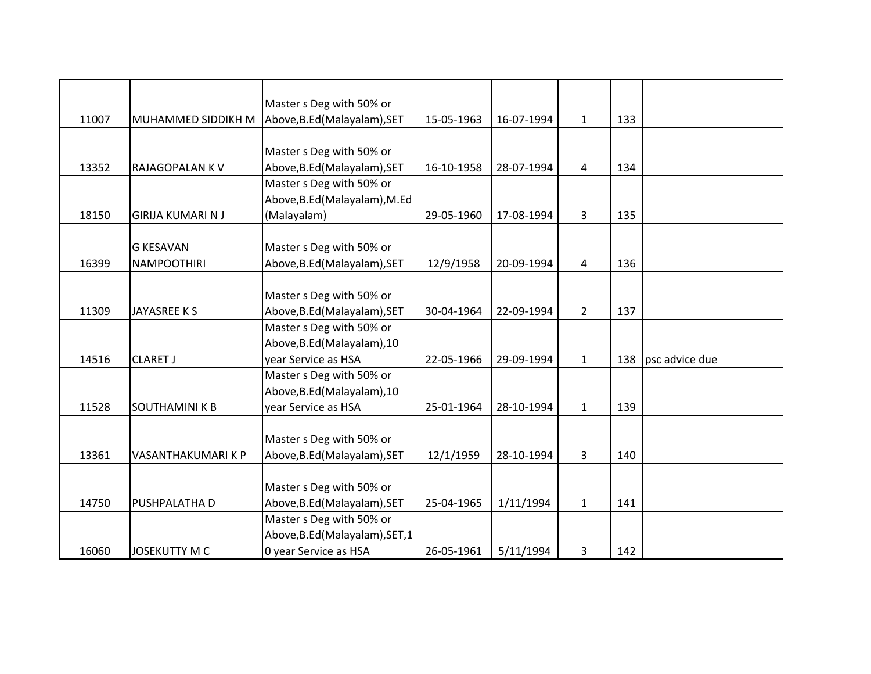|       |                          | Master s Deg with 50% or        |            |            |              |     |                |
|-------|--------------------------|---------------------------------|------------|------------|--------------|-----|----------------|
| 11007 | MUHAMMED SIDDIKH M       | Above, B.Ed (Malayalam), SET    | 15-05-1963 | 16-07-1994 | $\mathbf{1}$ | 133 |                |
|       |                          |                                 |            |            |              |     |                |
|       |                          | Master s Deg with 50% or        |            |            |              |     |                |
| 13352 | RAJAGOPALAN K V          | Above, B.Ed (Malayalam), SET    | 16-10-1958 | 28-07-1994 | 4            | 134 |                |
|       |                          | Master s Deg with 50% or        |            |            |              |     |                |
|       |                          | Above, B.Ed (Malayalam), M.Ed   |            |            |              |     |                |
| 18150 | <b>GIRIJA KUMARI N J</b> | (Malayalam)                     | 29-05-1960 | 17-08-1994 | 3            | 135 |                |
|       |                          |                                 |            |            |              |     |                |
|       | <b>G KESAVAN</b>         | Master s Deg with 50% or        |            |            |              |     |                |
| 16399 | <b>NAMPOOTHIRI</b>       | Above, B.Ed (Malayalam), SET    | 12/9/1958  | 20-09-1994 | 4            | 136 |                |
|       |                          |                                 |            |            |              |     |                |
|       |                          | Master s Deg with 50% or        |            |            |              |     |                |
| 11309 | JAYASREE K S             | Above, B.Ed (Malayalam), SET    | 30-04-1964 | 22-09-1994 | $2^{\circ}$  | 137 |                |
|       |                          | Master s Deg with 50% or        |            |            |              |     |                |
|       |                          | Above, B.Ed (Malayalam), 10     |            |            |              |     |                |
| 14516 | <b>CLARET J</b>          | year Service as HSA             | 22-05-1966 | 29-09-1994 | $\mathbf{1}$ | 138 | psc advice due |
|       |                          | Master s Deg with 50% or        |            |            |              |     |                |
|       |                          | Above, B.Ed (Malayalam), 10     |            |            |              |     |                |
| 11528 | SOUTHAMINI K B           | year Service as HSA             | 25-01-1964 | 28-10-1994 | $\mathbf{1}$ | 139 |                |
|       |                          |                                 |            |            |              |     |                |
|       |                          | Master s Deg with 50% or        |            |            |              |     |                |
| 13361 | VASANTHAKUMARI K P       | Above, B.Ed (Malayalam), SET    | 12/1/1959  | 28-10-1994 | 3            | 140 |                |
|       |                          |                                 |            |            |              |     |                |
|       |                          | Master s Deg with 50% or        |            |            |              |     |                |
| 14750 | PUSHPALATHA D            | Above, B.Ed (Malayalam), SET    | 25-04-1965 | 1/11/1994  | $\mathbf{1}$ | 141 |                |
|       |                          | Master s Deg with 50% or        |            |            |              |     |                |
|       |                          | Above, B.Ed (Malayalam), SET, 1 |            |            |              |     |                |
| 16060 | <b>JOSEKUTTY M C</b>     | 0 year Service as HSA           | 26-05-1961 | 5/11/1994  | 3            | 142 |                |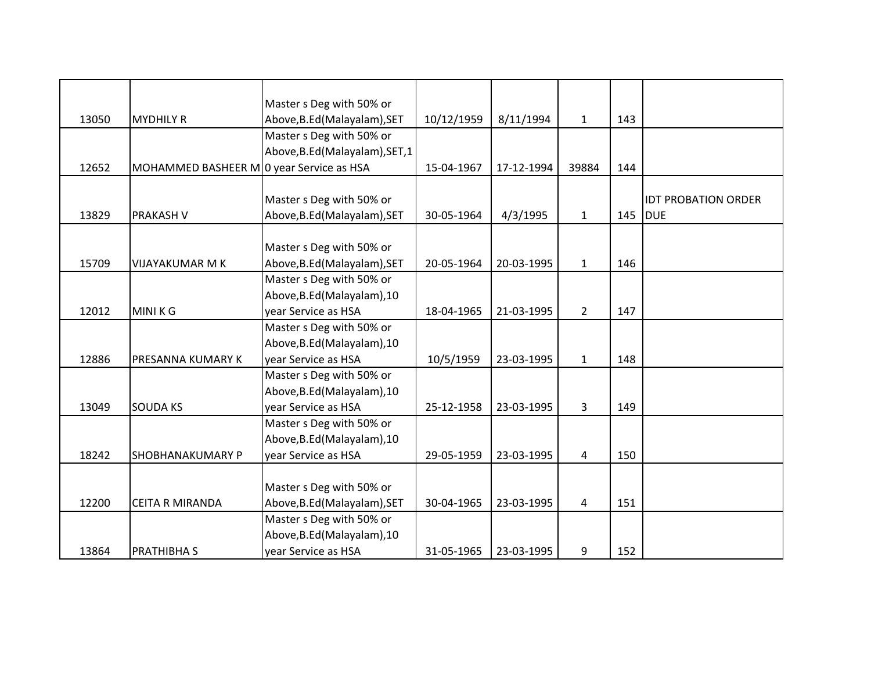|       |                                          | Master s Deg with 50% or        |            |            |                |     |                            |
|-------|------------------------------------------|---------------------------------|------------|------------|----------------|-----|----------------------------|
| 13050 | <b>MYDHILY R</b>                         | Above, B.Ed (Malayalam), SET    | 10/12/1959 | 8/11/1994  | $\mathbf{1}$   | 143 |                            |
|       |                                          | Master s Deg with 50% or        |            |            |                |     |                            |
|       |                                          | Above, B.Ed (Malayalam), SET, 1 |            |            |                |     |                            |
| 12652 | MOHAMMED BASHEER M 0 year Service as HSA |                                 | 15-04-1967 | 17-12-1994 | 39884          | 144 |                            |
|       |                                          |                                 |            |            |                |     |                            |
|       |                                          | Master s Deg with 50% or        |            |            |                |     | <b>IDT PROBATION ORDER</b> |
| 13829 | PRAKASH V                                | Above, B.Ed (Malayalam), SET    | 30-05-1964 | 4/3/1995   | $\mathbf{1}$   | 145 | <b>DUE</b>                 |
|       |                                          |                                 |            |            |                |     |                            |
|       |                                          | Master s Deg with 50% or        |            |            |                |     |                            |
| 15709 | <b>VIJAYAKUMAR M K</b>                   | Above, B.Ed (Malayalam), SET    | 20-05-1964 | 20-03-1995 | $\mathbf{1}$   | 146 |                            |
|       |                                          | Master s Deg with 50% or        |            |            |                |     |                            |
|       |                                          | Above, B.Ed (Malayalam), 10     |            |            |                |     |                            |
| 12012 | MINI K G                                 | year Service as HSA             | 18-04-1965 | 21-03-1995 | $\overline{2}$ | 147 |                            |
|       |                                          | Master s Deg with 50% or        |            |            |                |     |                            |
|       |                                          | Above, B.Ed (Malayalam), 10     |            |            |                |     |                            |
| 12886 | PRESANNA KUMARY K                        | year Service as HSA             | 10/5/1959  | 23-03-1995 | $\mathbf{1}$   | 148 |                            |
|       |                                          | Master s Deg with 50% or        |            |            |                |     |                            |
|       |                                          | Above, B.Ed (Malayalam), 10     |            |            |                |     |                            |
| 13049 | <b>SOUDA KS</b>                          | year Service as HSA             | 25-12-1958 | 23-03-1995 | 3              | 149 |                            |
|       |                                          | Master s Deg with 50% or        |            |            |                |     |                            |
|       |                                          | Above, B.Ed (Malayalam), 10     |            |            |                |     |                            |
| 18242 | <b>SHOBHANAKUMARY P</b>                  | year Service as HSA             | 29-05-1959 | 23-03-1995 | 4              | 150 |                            |
|       |                                          |                                 |            |            |                |     |                            |
|       |                                          | Master s Deg with 50% or        |            |            |                |     |                            |
| 12200 | <b>CEITA R MIRANDA</b>                   | Above, B.Ed (Malayalam), SET    | 30-04-1965 | 23-03-1995 | 4              | 151 |                            |
|       |                                          | Master s Deg with 50% or        |            |            |                |     |                            |
|       |                                          | Above, B.Ed (Malayalam), 10     |            |            |                |     |                            |
| 13864 | <b>PRATHIBHA S</b>                       | year Service as HSA             | 31-05-1965 | 23-03-1995 | 9              | 152 |                            |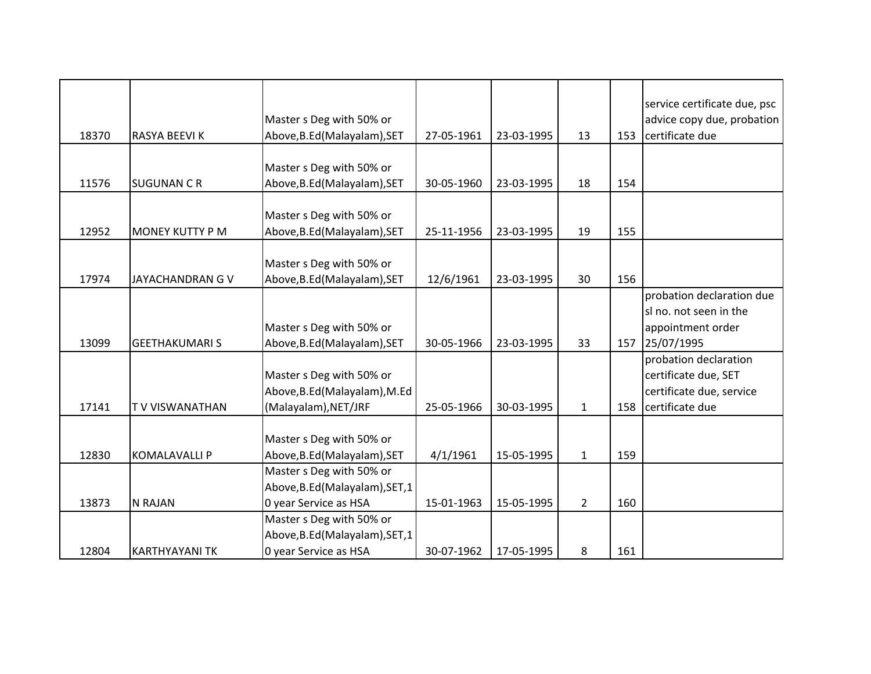| 18370 | RASYA BEEVI K          | Master s Deg with 50% or<br>Above, B.Ed (Malayalam), SET                             | 27-05-1961 | 23-03-1995 | 13           | 153 | service certificate due, psc<br>advice copy due, probation<br>certificate due                |
|-------|------------------------|--------------------------------------------------------------------------------------|------------|------------|--------------|-----|----------------------------------------------------------------------------------------------|
| 11576 | <b>SUGUNAN C R</b>     | Master s Deg with 50% or<br>Above, B.Ed (Malayalam), SET                             | 30-05-1960 | 23-03-1995 | 18           | 154 |                                                                                              |
| 12952 | <b>MONEY KUTTY P M</b> | Master s Deg with 50% or<br>Above, B.Ed (Malayalam), SET                             | 25-11-1956 | 23-03-1995 | 19           | 155 |                                                                                              |
| 17974 | JAYACHANDRAN G V       | Master s Deg with 50% or<br>Above, B.Ed (Malayalam), SET                             | 12/6/1961  | 23-03-1995 | 30           | 156 |                                                                                              |
|       |                        | Master s Deg with 50% or                                                             |            |            |              |     | probation declaration due<br>sl no. not seen in the<br>appointment order                     |
| 13099 | <b>GEETHAKUMARI S</b>  | Above, B.Ed (Malayalam), SET                                                         | 30-05-1966 | 23-03-1995 | 33           | 157 | 25/07/1995                                                                                   |
| 17141 | <b>TV VISWANATHAN</b>  | Master s Deg with 50% or<br>Above, B.Ed (Malayalam), M.Ed<br>(Malayalam), NET/JRF    | 25-05-1966 | 30-03-1995 | $\mathbf{1}$ | 158 | probation declaration<br>certificate due, SET<br>certificate due, service<br>certificate due |
| 12830 | <b>KOMALAVALLI P</b>   | Master s Deg with 50% or<br>Above, B.Ed (Malayalam), SET                             | 4/1/1961   | 15-05-1995 | $\mathbf{1}$ | 159 |                                                                                              |
| 13873 | N RAJAN                | Master s Deg with 50% or<br>Above, B.Ed (Malayalam), SET, 1<br>0 year Service as HSA | 15-01-1963 | 15-05-1995 | $2^{\circ}$  | 160 |                                                                                              |
| 12804 | <b>KARTHYAYANI TK</b>  | Master s Deg with 50% or<br>Above, B.Ed (Malayalam), SET, 1<br>0 year Service as HSA | 30-07-1962 | 17-05-1995 | 8            | 161 |                                                                                              |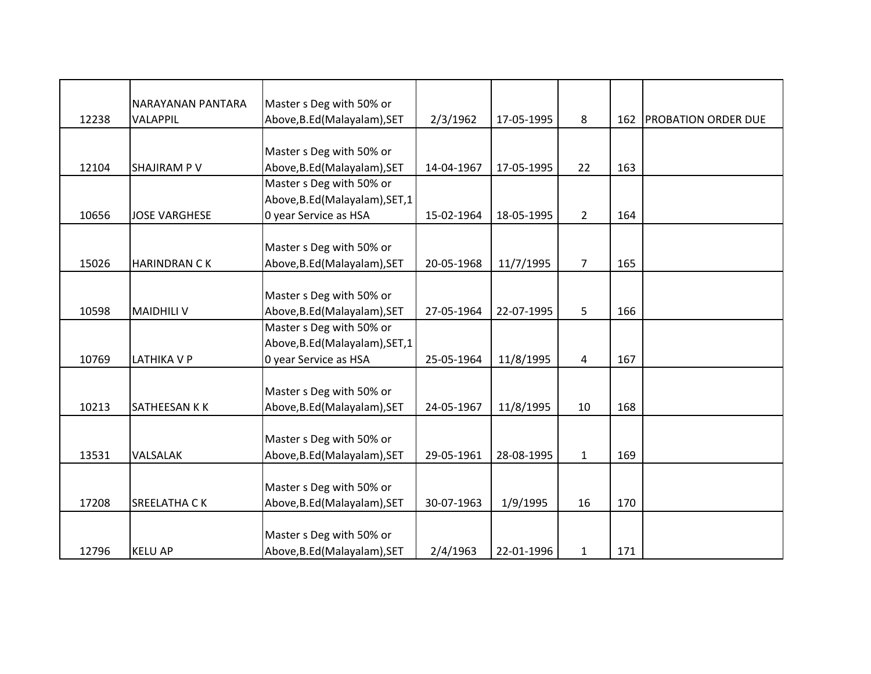|       | NARAYANAN PANTARA    | Master s Deg with 50% or        |            |            |                |     |                            |
|-------|----------------------|---------------------------------|------------|------------|----------------|-----|----------------------------|
| 12238 | VALAPPIL             | Above, B.Ed (Malayalam), SET    | 2/3/1962   | 17-05-1995 | 8              | 162 | <b>PROBATION ORDER DUE</b> |
|       |                      |                                 |            |            |                |     |                            |
|       |                      | Master s Deg with 50% or        |            |            |                |     |                            |
| 12104 | <b>SHAJIRAM P V</b>  | Above, B.Ed (Malayalam), SET    | 14-04-1967 | 17-05-1995 | 22             | 163 |                            |
|       |                      | Master s Deg with 50% or        |            |            |                |     |                            |
|       |                      | Above, B.Ed (Malayalam), SET, 1 |            |            |                |     |                            |
| 10656 | <b>JOSE VARGHESE</b> | 0 year Service as HSA           | 15-02-1964 | 18-05-1995 | $\overline{2}$ | 164 |                            |
|       |                      |                                 |            |            |                |     |                            |
|       |                      | Master s Deg with 50% or        |            |            |                |     |                            |
| 15026 | <b>HARINDRAN CK</b>  | Above, B.Ed (Malayalam), SET    | 20-05-1968 | 11/7/1995  | $\overline{7}$ | 165 |                            |
|       |                      |                                 |            |            |                |     |                            |
|       |                      | Master s Deg with 50% or        |            |            |                |     |                            |
| 10598 | <b>MAIDHILI V</b>    | Above, B.Ed (Malayalam), SET    | 27-05-1964 | 22-07-1995 | 5              | 166 |                            |
|       |                      | Master s Deg with 50% or        |            |            |                |     |                            |
|       |                      | Above, B.Ed (Malayalam), SET, 1 |            |            |                |     |                            |
| 10769 | <b>LATHIKA V P</b>   | 0 year Service as HSA           | 25-05-1964 | 11/8/1995  | 4              | 167 |                            |
|       |                      |                                 |            |            |                |     |                            |
|       |                      | Master s Deg with 50% or        |            |            |                |     |                            |
| 10213 | SATHEESAN K K        | Above, B.Ed (Malayalam), SET    | 24-05-1967 | 11/8/1995  | 10             | 168 |                            |
|       |                      |                                 |            |            |                |     |                            |
|       |                      | Master s Deg with 50% or        |            |            |                |     |                            |
| 13531 | VALSALAK             | Above, B.Ed (Malayalam), SET    | 29-05-1961 | 28-08-1995 | $\mathbf{1}$   | 169 |                            |
|       |                      |                                 |            |            |                |     |                            |
|       |                      | Master s Deg with 50% or        |            |            |                |     |                            |
| 17208 | <b>SREELATHA CK</b>  | Above, B.Ed (Malayalam), SET    | 30-07-1963 | 1/9/1995   | 16             | 170 |                            |
|       |                      |                                 |            |            |                |     |                            |
|       |                      | Master s Deg with 50% or        |            |            |                |     |                            |
| 12796 | <b>KELU AP</b>       | Above, B.Ed (Malayalam), SET    | 2/4/1963   | 22-01-1996 | $\mathbf{1}$   | 171 |                            |
|       |                      |                                 |            |            |                |     |                            |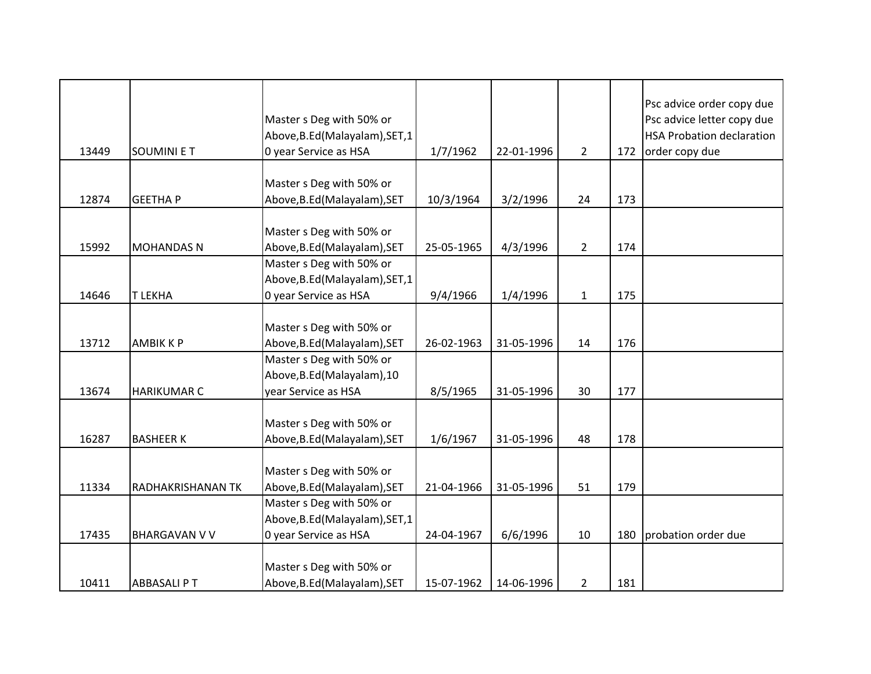|       |                      | Master s Deg with 50% or                                |            |            |                |     | Psc advice order copy due<br>Psc advice letter copy due |
|-------|----------------------|---------------------------------------------------------|------------|------------|----------------|-----|---------------------------------------------------------|
|       |                      | Above, B.Ed (Malayalam), SET, 1                         |            |            |                |     | <b>HSA Probation declaration</b>                        |
| 13449 | <b>SOUMINIET</b>     | 0 year Service as HSA                                   | 1/7/1962   | 22-01-1996 | $2^{\circ}$    | 172 | order copy due                                          |
|       |                      | Master s Deg with 50% or                                |            |            |                |     |                                                         |
| 12874 | <b>GEETHAP</b>       | Above, B.Ed (Malayalam), SET                            | 10/3/1964  | 3/2/1996   | 24             | 173 |                                                         |
|       |                      |                                                         |            |            |                |     |                                                         |
|       |                      | Master s Deg with 50% or                                |            |            |                |     |                                                         |
| 15992 | <b>MOHANDAS N</b>    | Above, B.Ed (Malayalam), SET                            | 25-05-1965 | 4/3/1996   | $\overline{2}$ | 174 |                                                         |
|       |                      | Master s Deg with 50% or                                |            |            |                |     |                                                         |
|       |                      | Above, B.Ed (Malayalam), SET, 1                         |            |            |                |     |                                                         |
| 14646 | <b>T LEKHA</b>       | 0 year Service as HSA                                   | 9/4/1966   | 1/4/1996   | $\mathbf{1}$   | 175 |                                                         |
|       |                      |                                                         |            |            |                |     |                                                         |
|       |                      | Master s Deg with 50% or                                |            |            |                |     |                                                         |
| 13712 | <b>AMBIKKP</b>       | Above, B.Ed (Malayalam), SET                            | 26-02-1963 | 31-05-1996 | 14             | 176 |                                                         |
|       |                      | Master s Deg with 50% or<br>Above, B.Ed (Malayalam), 10 |            |            |                |     |                                                         |
| 13674 | <b>HARIKUMAR C</b>   | year Service as HSA                                     | 8/5/1965   | 31-05-1996 | 30             | 177 |                                                         |
|       |                      |                                                         |            |            |                |     |                                                         |
|       |                      | Master s Deg with 50% or                                |            |            |                |     |                                                         |
| 16287 | <b>BASHEER K</b>     | Above, B.Ed (Malayalam), SET                            | 1/6/1967   | 31-05-1996 | 48             | 178 |                                                         |
|       |                      |                                                         |            |            |                |     |                                                         |
|       |                      | Master s Deg with 50% or                                |            |            |                |     |                                                         |
| 11334 | RADHAKRISHANAN TK    | Above, B.Ed (Malayalam), SET                            | 21-04-1966 | 31-05-1996 | 51             | 179 |                                                         |
|       |                      | Master s Deg with 50% or                                |            |            |                |     |                                                         |
|       |                      | Above, B.Ed (Malayalam), SET, 1                         |            |            |                |     |                                                         |
| 17435 | <b>BHARGAVAN V V</b> | 0 year Service as HSA                                   | 24-04-1967 | 6/6/1996   | 10             | 180 | probation order due                                     |
|       |                      |                                                         |            |            |                |     |                                                         |
|       |                      | Master s Deg with 50% or                                |            |            |                |     |                                                         |
| 10411 | <b>ABBASALI PT</b>   | Above, B.Ed (Malayalam), SET                            | 15-07-1962 | 14-06-1996 | $\overline{2}$ | 181 |                                                         |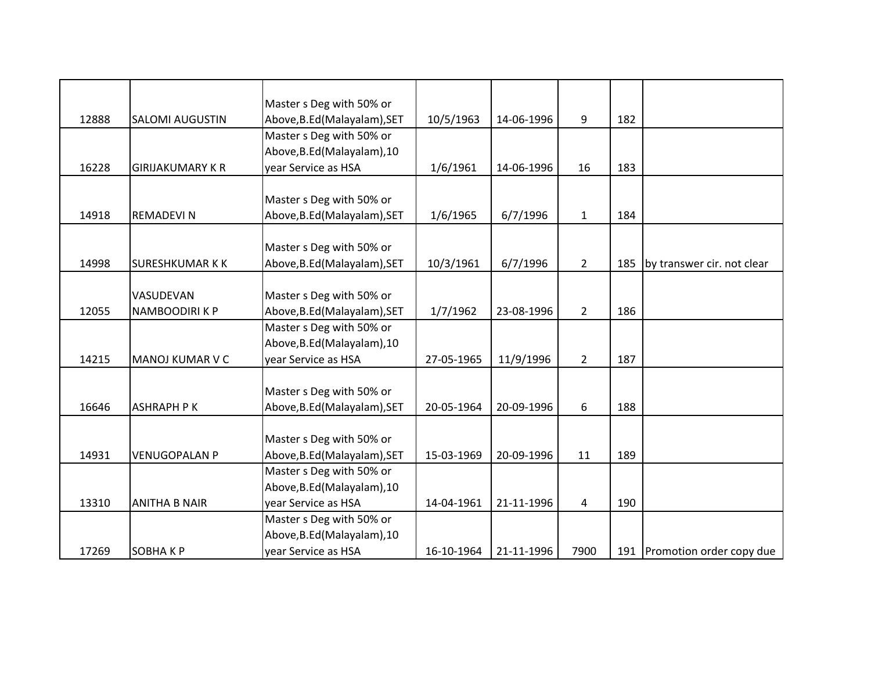|       |                         | Master s Deg with 50% or     |            |            |                |     |                              |
|-------|-------------------------|------------------------------|------------|------------|----------------|-----|------------------------------|
| 12888 | <b>SALOMI AUGUSTIN</b>  | Above, B.Ed (Malayalam), SET | 10/5/1963  | 14-06-1996 | 9              | 182 |                              |
|       |                         | Master s Deg with 50% or     |            |            |                |     |                              |
|       |                         | Above, B.Ed (Malayalam), 10  |            |            |                |     |                              |
| 16228 | <b>GIRIJAKUMARY K R</b> | year Service as HSA          | 1/6/1961   | 14-06-1996 | 16             | 183 |                              |
|       |                         |                              |            |            |                |     |                              |
|       |                         | Master s Deg with 50% or     |            |            |                |     |                              |
| 14918 | REMADEVI N              | Above, B.Ed (Malayalam), SET | 1/6/1965   | 6/7/1996   | $\mathbf{1}$   | 184 |                              |
|       |                         |                              |            |            |                |     |                              |
|       |                         | Master s Deg with 50% or     |            |            |                |     |                              |
| 14998 | <b>SURESHKUMAR KK</b>   | Above, B.Ed (Malayalam), SET | 10/3/1961  | 6/7/1996   | $\overline{2}$ | 185 | by transwer cir. not clear   |
|       |                         |                              |            |            |                |     |                              |
|       | VASUDEVAN               | Master s Deg with 50% or     |            |            |                |     |                              |
| 12055 | NAMBOODIRI K P          | Above, B.Ed (Malayalam), SET | 1/7/1962   | 23-08-1996 | $\overline{2}$ | 186 |                              |
|       |                         | Master s Deg with 50% or     |            |            |                |     |                              |
|       |                         | Above, B.Ed (Malayalam), 10  |            |            |                |     |                              |
| 14215 | MANOJ KUMAR V C         | year Service as HSA          | 27-05-1965 | 11/9/1996  | $\overline{2}$ | 187 |                              |
|       |                         |                              |            |            |                |     |                              |
|       |                         | Master s Deg with 50% or     |            |            |                |     |                              |
| 16646 | <b>ASHRAPH PK</b>       | Above, B.Ed (Malayalam), SET | 20-05-1964 | 20-09-1996 | 6              | 188 |                              |
|       |                         |                              |            |            |                |     |                              |
|       |                         | Master s Deg with 50% or     |            |            |                |     |                              |
| 14931 | <b>VENUGOPALAN P</b>    | Above, B.Ed (Malayalam), SET | 15-03-1969 | 20-09-1996 | 11             | 189 |                              |
|       |                         | Master s Deg with 50% or     |            |            |                |     |                              |
|       |                         | Above, B.Ed (Malayalam), 10  |            |            |                |     |                              |
| 13310 | <b>ANITHA B NAIR</b>    | year Service as HSA          | 14-04-1961 | 21-11-1996 | 4              | 190 |                              |
|       |                         | Master s Deg with 50% or     |            |            |                |     |                              |
|       |                         | Above, B.Ed (Malayalam), 10  |            |            |                |     |                              |
| 17269 | <b>SOBHAKP</b>          | year Service as HSA          | 16-10-1964 | 21-11-1996 | 7900           |     | 191 Promotion order copy due |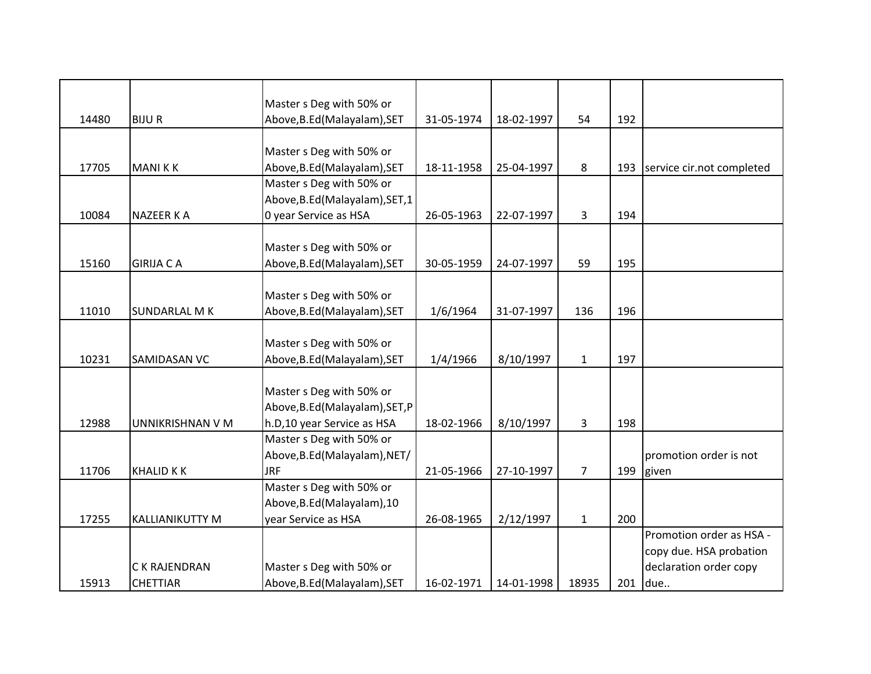|       |                        | Master s Deg with 50% or        |            |            |                |     |                           |
|-------|------------------------|---------------------------------|------------|------------|----------------|-----|---------------------------|
| 14480 | <b>BIJUR</b>           | Above, B.Ed (Malayalam), SET    | 31-05-1974 | 18-02-1997 | 54             | 192 |                           |
|       |                        |                                 |            |            |                |     |                           |
|       |                        | Master s Deg with 50% or        |            |            |                |     |                           |
| 17705 | <b>MANIKK</b>          | Above, B.Ed (Malayalam), SET    | 18-11-1958 | 25-04-1997 | 8              | 193 | service cir.not completed |
|       |                        | Master s Deg with 50% or        |            |            |                |     |                           |
|       |                        | Above, B.Ed (Malayalam), SET, 1 |            |            |                |     |                           |
| 10084 | <b>NAZEER KA</b>       | 0 year Service as HSA           | 26-05-1963 | 22-07-1997 | $\overline{3}$ | 194 |                           |
|       |                        |                                 |            |            |                |     |                           |
|       |                        | Master s Deg with 50% or        |            |            |                |     |                           |
| 15160 | <b>GIRIJA CA</b>       | Above, B.Ed (Malayalam), SET    | 30-05-1959 | 24-07-1997 | 59             | 195 |                           |
|       |                        |                                 |            |            |                |     |                           |
|       |                        | Master s Deg with 50% or        |            |            |                |     |                           |
| 11010 | <b>SUNDARLAL MK</b>    | Above, B.Ed (Malayalam), SET    | 1/6/1964   | 31-07-1997 | 136            | 196 |                           |
|       |                        |                                 |            |            |                |     |                           |
|       |                        | Master s Deg with 50% or        |            |            |                |     |                           |
| 10231 | SAMIDASAN VC           | Above, B.Ed (Malayalam), SET    | 1/4/1966   | 8/10/1997  | $\mathbf{1}$   | 197 |                           |
|       |                        |                                 |            |            |                |     |                           |
|       |                        | Master s Deg with 50% or        |            |            |                |     |                           |
|       |                        | Above, B.Ed (Malayalam), SET, P |            |            |                |     |                           |
| 12988 | UNNIKRISHNAN V M       | h.D,10 year Service as HSA      | 18-02-1966 | 8/10/1997  | 3              | 198 |                           |
|       |                        | Master s Deg with 50% or        |            |            |                |     |                           |
|       |                        | Above, B.Ed (Malayalam), NET/   |            |            |                |     | promotion order is not    |
| 11706 | <b>KHALID K K</b>      | <b>JRF</b>                      | 21-05-1966 | 27-10-1997 | $\overline{7}$ | 199 | given                     |
|       |                        | Master s Deg with 50% or        |            |            |                |     |                           |
|       |                        | Above, B.Ed (Malayalam), 10     |            |            |                |     |                           |
| 17255 | <b>KALLIANIKUTTY M</b> | year Service as HSA             | 26-08-1965 | 2/12/1997  | $\mathbf{1}$   | 200 |                           |
|       |                        |                                 |            |            |                |     | Promotion order as HSA -  |
|       |                        |                                 |            |            |                |     | copy due. HSA probation   |
|       | C K RAJENDRAN          | Master s Deg with 50% or        |            |            |                |     | declaration order copy    |
| 15913 | <b>CHETTIAR</b>        | Above, B.Ed (Malayalam), SET    | 16-02-1971 | 14-01-1998 | 18935          | 201 | due                       |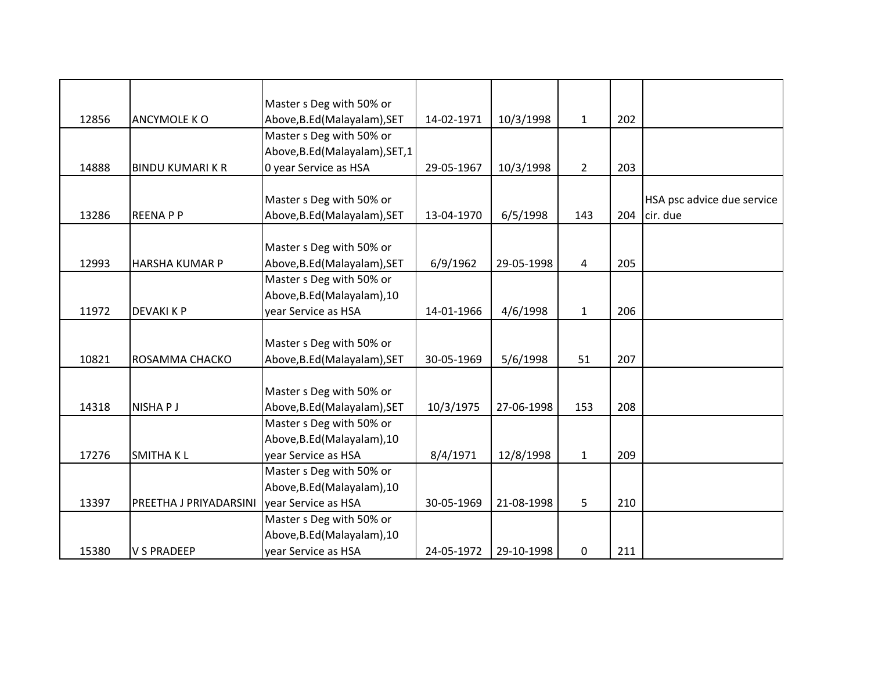|       |                         | Master s Deg with 50% or        |            |            |                |     |                            |
|-------|-------------------------|---------------------------------|------------|------------|----------------|-----|----------------------------|
| 12856 | ANCYMOLE KO             | Above, B.Ed (Malayalam), SET    | 14-02-1971 | 10/3/1998  | $\mathbf{1}$   | 202 |                            |
|       |                         | Master s Deg with 50% or        |            |            |                |     |                            |
|       |                         | Above, B.Ed (Malayalam), SET, 1 |            |            |                |     |                            |
| 14888 | <b>BINDU KUMARI K R</b> | 0 year Service as HSA           | 29-05-1967 | 10/3/1998  | $\overline{2}$ | 203 |                            |
|       |                         |                                 |            |            |                |     |                            |
|       |                         | Master s Deg with 50% or        |            |            |                |     | HSA psc advice due service |
| 13286 | <b>REENAPP</b>          | Above, B.Ed (Malayalam), SET    | 13-04-1970 | 6/5/1998   | 143            | 204 | cir. due                   |
|       |                         |                                 |            |            |                |     |                            |
|       |                         | Master s Deg with 50% or        |            |            |                |     |                            |
| 12993 | <b>HARSHA KUMAR P</b>   | Above, B.Ed (Malayalam), SET    | 6/9/1962   | 29-05-1998 | 4              | 205 |                            |
|       |                         | Master s Deg with 50% or        |            |            |                |     |                            |
|       |                         | Above, B.Ed (Malayalam), 10     |            |            |                |     |                            |
| 11972 | <b>DEVAKI K P</b>       | year Service as HSA             | 14-01-1966 | 4/6/1998   | $\mathbf{1}$   | 206 |                            |
|       |                         |                                 |            |            |                |     |                            |
|       |                         | Master s Deg with 50% or        |            |            |                |     |                            |
| 10821 | ROSAMMA CHACKO          | Above, B.Ed (Malayalam), SET    | 30-05-1969 | 5/6/1998   | 51             | 207 |                            |
|       |                         |                                 |            |            |                |     |                            |
|       |                         | Master s Deg with 50% or        |            |            |                |     |                            |
| 14318 | NISHA P J               | Above, B.Ed (Malayalam), SET    | 10/3/1975  | 27-06-1998 | 153            | 208 |                            |
|       |                         | Master s Deg with 50% or        |            |            |                |     |                            |
|       |                         | Above, B.Ed (Malayalam), 10     |            |            |                |     |                            |
| 17276 | <b>SMITHAKL</b>         | year Service as HSA             | 8/4/1971   | 12/8/1998  | $\mathbf{1}$   | 209 |                            |
|       |                         | Master s Deg with 50% or        |            |            |                |     |                            |
|       |                         | Above, B.Ed (Malayalam), 10     |            |            |                |     |                            |
| 13397 | PREETHA J PRIYADARSINI  | year Service as HSA             | 30-05-1969 | 21-08-1998 | 5              | 210 |                            |
|       |                         | Master s Deg with 50% or        |            |            |                |     |                            |
|       |                         | Above, B.Ed (Malayalam), 10     |            |            |                |     |                            |
| 15380 | <b>V S PRADEEP</b>      | year Service as HSA             | 24-05-1972 | 29-10-1998 | 0              | 211 |                            |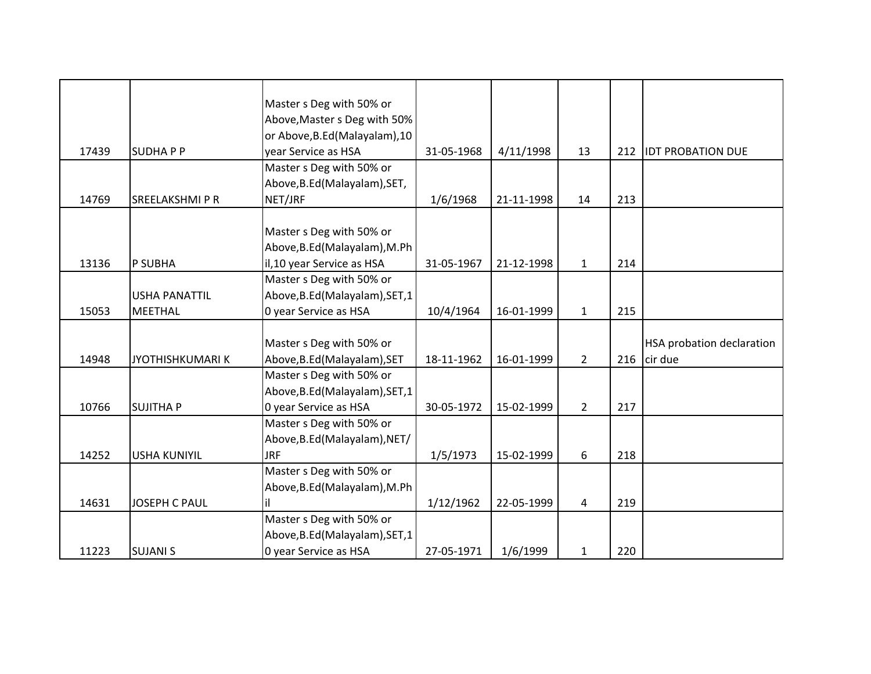|       |                        | Master s Deg with 50% or        |            |            |                |     |                                  |
|-------|------------------------|---------------------------------|------------|------------|----------------|-----|----------------------------------|
|       |                        | Above, Master s Deg with 50%    |            |            |                |     |                                  |
|       |                        | or Above, B.Ed (Malayalam), 10  |            |            |                |     |                                  |
| 17439 | <b>SUDHAPP</b>         | year Service as HSA             | 31-05-1968 | 4/11/1998  | 13             | 212 | <b>IDT PROBATION DUE</b>         |
|       |                        | Master s Deg with 50% or        |            |            |                |     |                                  |
|       |                        | Above, B.Ed (Malayalam), SET,   |            |            |                |     |                                  |
| 14769 | <b>SREELAKSHMI P R</b> | NET/JRF                         | 1/6/1968   | 21-11-1998 | 14             | 213 |                                  |
|       |                        |                                 |            |            |                |     |                                  |
|       |                        | Master s Deg with 50% or        |            |            |                |     |                                  |
|       |                        | Above, B.Ed (Malayalam), M.Ph   |            |            |                |     |                                  |
| 13136 | P SUBHA                | il, 10 year Service as HSA      | 31-05-1967 | 21-12-1998 | $\mathbf{1}$   | 214 |                                  |
|       |                        | Master s Deg with 50% or        |            |            |                |     |                                  |
|       | <b>USHA PANATTIL</b>   | Above, B.Ed (Malayalam), SET, 1 |            |            |                |     |                                  |
| 15053 | <b>MEETHAL</b>         | 0 year Service as HSA           | 10/4/1964  | 16-01-1999 | $\mathbf{1}$   | 215 |                                  |
|       |                        |                                 |            |            |                |     |                                  |
|       |                        | Master s Deg with 50% or        |            |            |                |     | <b>HSA probation declaration</b> |
| 14948 | <b>JYOTHISHKUMARIK</b> | Above, B.Ed (Malayalam), SET    | 18-11-1962 | 16-01-1999 | $\overline{2}$ | 216 | cir due                          |
|       |                        | Master s Deg with 50% or        |            |            |                |     |                                  |
|       |                        | Above, B.Ed (Malayalam), SET, 1 |            |            |                |     |                                  |
| 10766 | <b>SUJITHA P</b>       | 0 year Service as HSA           | 30-05-1972 | 15-02-1999 | $\overline{2}$ | 217 |                                  |
|       |                        | Master s Deg with 50% or        |            |            |                |     |                                  |
|       |                        | Above, B.Ed (Malayalam), NET/   |            |            |                |     |                                  |
| 14252 | <b>USHA KUNIYIL</b>    | <b>JRF</b>                      | 1/5/1973   | 15-02-1999 | 6              | 218 |                                  |
|       |                        | Master s Deg with 50% or        |            |            |                |     |                                  |
|       |                        | Above, B.Ed (Malayalam), M.Ph   |            |            |                |     |                                  |
| 14631 | <b>JOSEPH C PAUL</b>   | lil                             | 1/12/1962  | 22-05-1999 | 4              | 219 |                                  |
|       |                        | Master s Deg with 50% or        |            |            |                |     |                                  |
|       |                        | Above, B.Ed (Malayalam), SET, 1 |            |            |                |     |                                  |
|       |                        |                                 |            |            |                |     |                                  |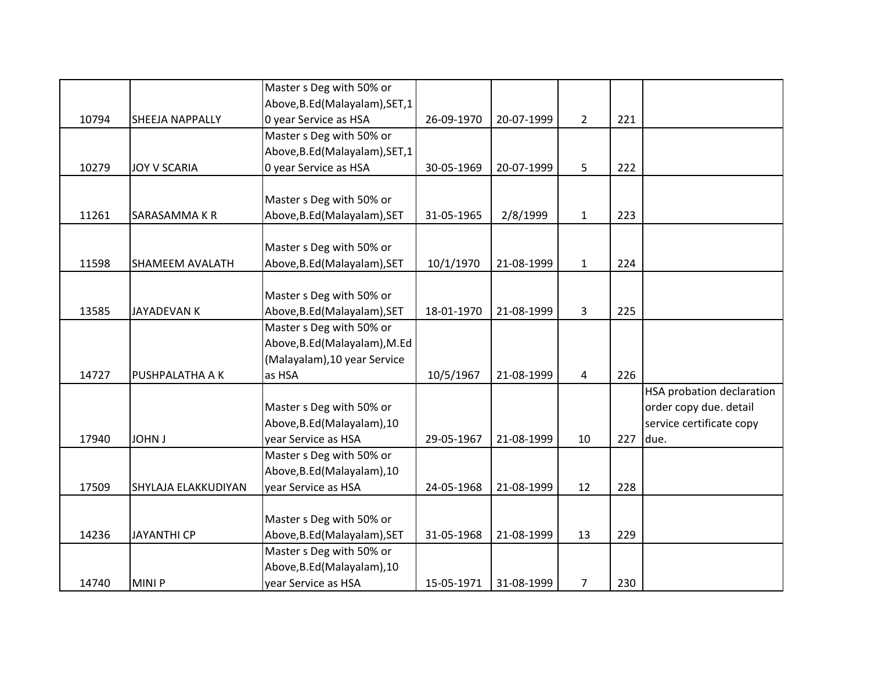|       |                        | Master s Deg with 50% or        |            |            |                |     |                           |
|-------|------------------------|---------------------------------|------------|------------|----------------|-----|---------------------------|
|       |                        | Above, B.Ed (Malayalam), SET, 1 |            |            |                |     |                           |
| 10794 | SHEEJA NAPPALLY        | 0 year Service as HSA           | 26-09-1970 | 20-07-1999 | $\overline{2}$ | 221 |                           |
|       |                        | Master s Deg with 50% or        |            |            |                |     |                           |
|       |                        | Above, B.Ed (Malayalam), SET, 1 |            |            |                |     |                           |
| 10279 | JOY V SCARIA           | 0 year Service as HSA           | 30-05-1969 | 20-07-1999 | 5              | 222 |                           |
|       |                        |                                 |            |            |                |     |                           |
|       |                        | Master s Deg with 50% or        |            |            |                |     |                           |
| 11261 | SARASAMMA K R          | Above, B.Ed (Malayalam), SET    | 31-05-1965 | 2/8/1999   | $\mathbf{1}$   | 223 |                           |
|       |                        |                                 |            |            |                |     |                           |
|       |                        | Master s Deg with 50% or        |            |            |                |     |                           |
| 11598 | <b>SHAMEEM AVALATH</b> | Above, B.Ed (Malayalam), SET    | 10/1/1970  | 21-08-1999 | $\mathbf{1}$   | 224 |                           |
|       |                        |                                 |            |            |                |     |                           |
|       |                        | Master s Deg with 50% or        |            |            |                |     |                           |
| 13585 | <b>JAYADEVAN K</b>     | Above, B.Ed (Malayalam), SET    | 18-01-1970 | 21-08-1999 | 3              | 225 |                           |
|       |                        | Master s Deg with 50% or        |            |            |                |     |                           |
|       |                        | Above, B.Ed (Malayalam), M.Ed   |            |            |                |     |                           |
|       |                        | (Malayalam), 10 year Service    |            |            |                |     |                           |
| 14727 | <b>PUSHPALATHA A K</b> | as HSA                          | 10/5/1967  | 21-08-1999 | 4              | 226 |                           |
|       |                        |                                 |            |            |                |     | HSA probation declaration |
|       |                        | Master s Deg with 50% or        |            |            |                |     | order copy due. detail    |
|       |                        | Above, B.Ed (Malayalam), 10     |            |            |                |     | service certificate copy  |
| 17940 | <b>JOHN J</b>          | year Service as HSA             | 29-05-1967 | 21-08-1999 | 10             | 227 | due.                      |
|       |                        | Master s Deg with 50% or        |            |            |                |     |                           |
|       |                        | Above, B.Ed (Malayalam), 10     |            |            |                |     |                           |
| 17509 | SHYLAJA ELAKKUDIYAN    | year Service as HSA             | 24-05-1968 | 21-08-1999 | 12             | 228 |                           |
|       |                        |                                 |            |            |                |     |                           |
|       |                        | Master s Deg with 50% or        |            |            |                |     |                           |
| 14236 | <b>JAYANTHI CP</b>     | Above, B.Ed (Malayalam), SET    | 31-05-1968 | 21-08-1999 | 13             | 229 |                           |
|       |                        | Master s Deg with 50% or        |            |            |                |     |                           |
|       |                        | Above, B.Ed (Malayalam), 10     |            |            |                |     |                           |
| 14740 | <b>MINIP</b>           | year Service as HSA             | 15-05-1971 | 31-08-1999 | $\overline{7}$ | 230 |                           |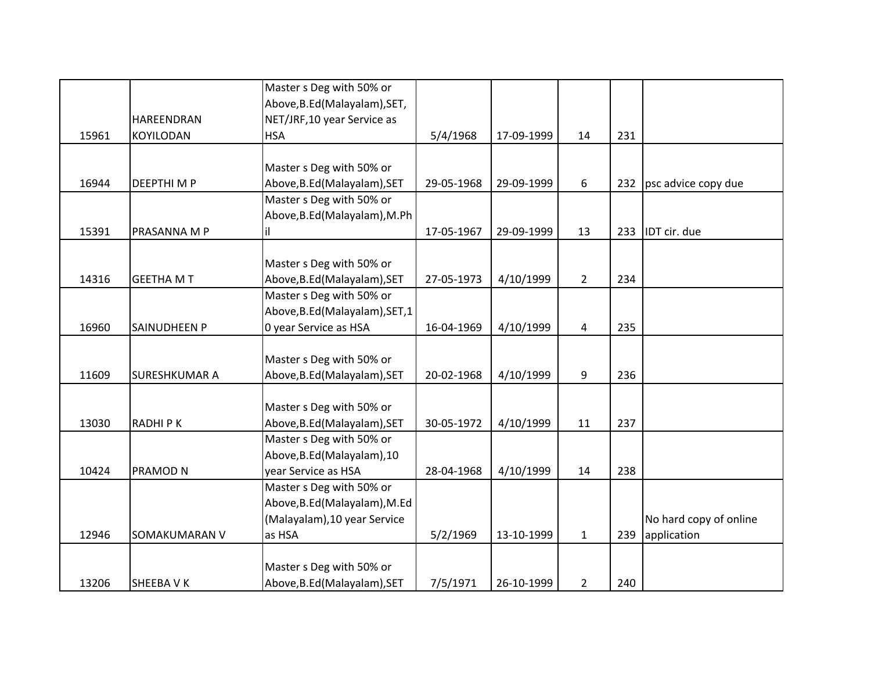|       |                      | Master s Deg with 50% or        |            |            |                |     |                        |
|-------|----------------------|---------------------------------|------------|------------|----------------|-----|------------------------|
|       |                      | Above, B.Ed (Malayalam), SET,   |            |            |                |     |                        |
|       | HAREENDRAN           | NET/JRF,10 year Service as      |            |            |                |     |                        |
| 15961 | <b>KOYILODAN</b>     | <b>HSA</b>                      | 5/4/1968   | 17-09-1999 | 14             | 231 |                        |
|       |                      |                                 |            |            |                |     |                        |
|       |                      | Master s Deg with 50% or        |            |            |                |     |                        |
| 16944 | <b>DEEPTHIMP</b>     | Above, B.Ed (Malayalam), SET    | 29-05-1968 | 29-09-1999 | 6              | 232 | psc advice copy due    |
|       |                      | Master s Deg with 50% or        |            |            |                |     |                        |
|       |                      | Above, B.Ed (Malayalam), M.Ph   |            |            |                |     |                        |
| 15391 | PRASANNA M P         | il                              | 17-05-1967 | 29-09-1999 | 13             | 233 | IDT cir. due           |
|       |                      |                                 |            |            |                |     |                        |
|       |                      | Master s Deg with 50% or        |            |            |                |     |                        |
| 14316 | <b>GEETHA MT</b>     | Above, B.Ed (Malayalam), SET    | 27-05-1973 | 4/10/1999  | $\overline{2}$ | 234 |                        |
|       |                      | Master s Deg with 50% or        |            |            |                |     |                        |
|       |                      | Above, B.Ed (Malayalam), SET, 1 |            |            |                |     |                        |
| 16960 | <b>SAINUDHEEN P</b>  | 0 year Service as HSA           | 16-04-1969 | 4/10/1999  | 4              | 235 |                        |
|       |                      |                                 |            |            |                |     |                        |
|       |                      | Master s Deg with 50% or        |            |            |                |     |                        |
| 11609 | <b>SURESHKUMAR A</b> | Above, B.Ed (Malayalam), SET    | 20-02-1968 | 4/10/1999  | 9              | 236 |                        |
|       |                      |                                 |            |            |                |     |                        |
|       |                      | Master s Deg with 50% or        |            |            |                |     |                        |
| 13030 | <b>RADHIPK</b>       | Above, B.Ed (Malayalam), SET    | 30-05-1972 | 4/10/1999  | 11             | 237 |                        |
|       |                      | Master s Deg with 50% or        |            |            |                |     |                        |
|       |                      | Above, B.Ed (Malayalam), 10     |            |            |                |     |                        |
| 10424 | PRAMOD N             | year Service as HSA             | 28-04-1968 | 4/10/1999  | 14             | 238 |                        |
|       |                      | Master s Deg with 50% or        |            |            |                |     |                        |
|       |                      | Above, B.Ed (Malayalam), M.Ed   |            |            |                |     |                        |
|       |                      | (Malayalam), 10 year Service    |            |            |                |     | No hard copy of online |
| 12946 | <b>SOMAKUMARAN V</b> | as HSA                          | 5/2/1969   | 13-10-1999 | $\mathbf{1}$   | 239 | application            |
|       |                      |                                 |            |            |                |     |                        |
|       |                      | Master s Deg with 50% or        |            |            |                |     |                        |
| 13206 | SHEEBA V K           | Above, B.Ed (Malayalam), SET    | 7/5/1971   | 26-10-1999 | $\overline{2}$ | 240 |                        |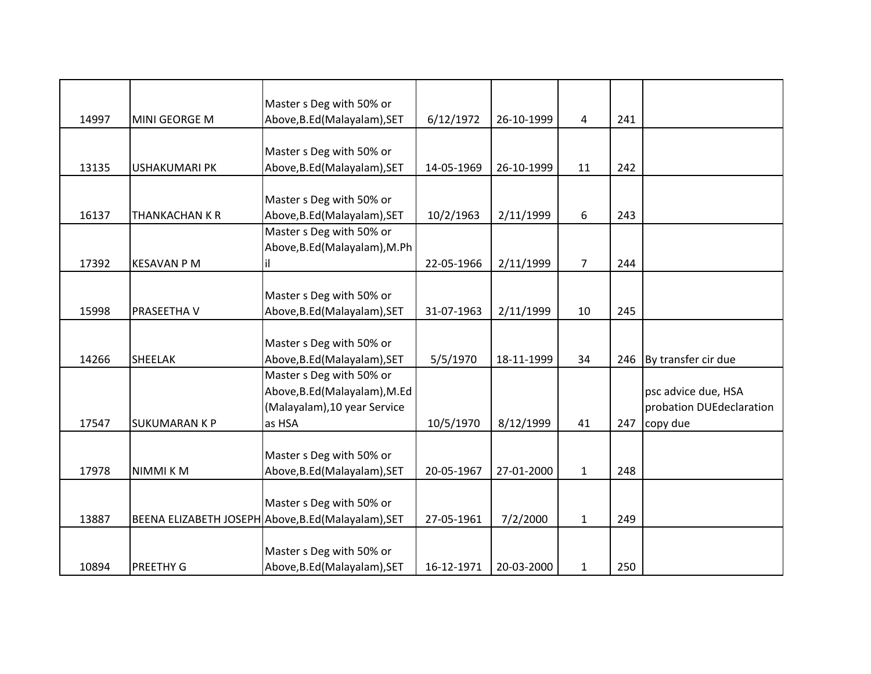|       |                      | Master s Deg with 50% or                            |            |            |                |     |                          |
|-------|----------------------|-----------------------------------------------------|------------|------------|----------------|-----|--------------------------|
| 14997 | MINI GEORGE M        | Above, B.Ed (Malayalam), SET                        | 6/12/1972  | 26-10-1999 | 4              | 241 |                          |
|       |                      |                                                     |            |            |                |     |                          |
|       |                      | Master s Deg with 50% or                            |            |            |                |     |                          |
| 13135 | <b>USHAKUMARI PK</b> | Above, B.Ed (Malayalam), SET                        | 14-05-1969 | 26-10-1999 | 11             | 242 |                          |
|       |                      |                                                     |            |            |                |     |                          |
|       |                      | Master s Deg with 50% or                            |            |            |                |     |                          |
| 16137 | THANKACHAN K R       | Above, B.Ed (Malayalam), SET                        | 10/2/1963  | 2/11/1999  | 6              | 243 |                          |
|       |                      | Master s Deg with 50% or                            |            |            |                |     |                          |
|       |                      | Above, B.Ed (Malayalam), M.Ph                       |            |            |                |     |                          |
| 17392 | <b>KESAVAN P M</b>   | ΙiΙ                                                 | 22-05-1966 | 2/11/1999  | $\overline{7}$ | 244 |                          |
|       |                      |                                                     |            |            |                |     |                          |
|       |                      | Master s Deg with 50% or                            |            |            |                |     |                          |
| 15998 | PRASEETHA V          | Above, B.Ed (Malayalam), SET                        | 31-07-1963 | 2/11/1999  | 10             | 245 |                          |
|       |                      |                                                     |            |            |                |     |                          |
|       |                      | Master s Deg with 50% or                            |            |            |                |     |                          |
| 14266 | <b>SHEELAK</b>       | Above, B.Ed (Malayalam), SET                        | 5/5/1970   | 18-11-1999 | 34             | 246 | By transfer cir due      |
|       |                      | Master s Deg with 50% or                            |            |            |                |     |                          |
|       |                      | Above, B.Ed (Malayalam), M.Ed                       |            |            |                |     | psc advice due, HSA      |
|       |                      | (Malayalam), 10 year Service                        |            |            |                |     | probation DUEdeclaration |
| 17547 | <b>SUKUMARAN K P</b> | as HSA                                              | 10/5/1970  | 8/12/1999  | 41             | 247 | copy due                 |
|       |                      |                                                     |            |            |                |     |                          |
|       |                      | Master s Deg with 50% or                            |            |            |                |     |                          |
| 17978 | NIMMI KM             | Above, B.Ed (Malayalam), SET                        | 20-05-1967 | 27-01-2000 | $\mathbf{1}$   | 248 |                          |
|       |                      |                                                     |            |            |                |     |                          |
|       |                      | Master s Deg with 50% or                            |            |            |                |     |                          |
| 13887 |                      | BEENA ELIZABETH JOSEPH Above, B.Ed (Malayalam), SET | 27-05-1961 | 7/2/2000   | $\mathbf{1}$   | 249 |                          |
|       |                      |                                                     |            |            |                |     |                          |
|       |                      | Master s Deg with 50% or                            |            |            |                |     |                          |
| 10894 | PREETHY G            | Above, B.Ed (Malayalam), SET                        | 16-12-1971 | 20-03-2000 | $\mathbf{1}$   | 250 |                          |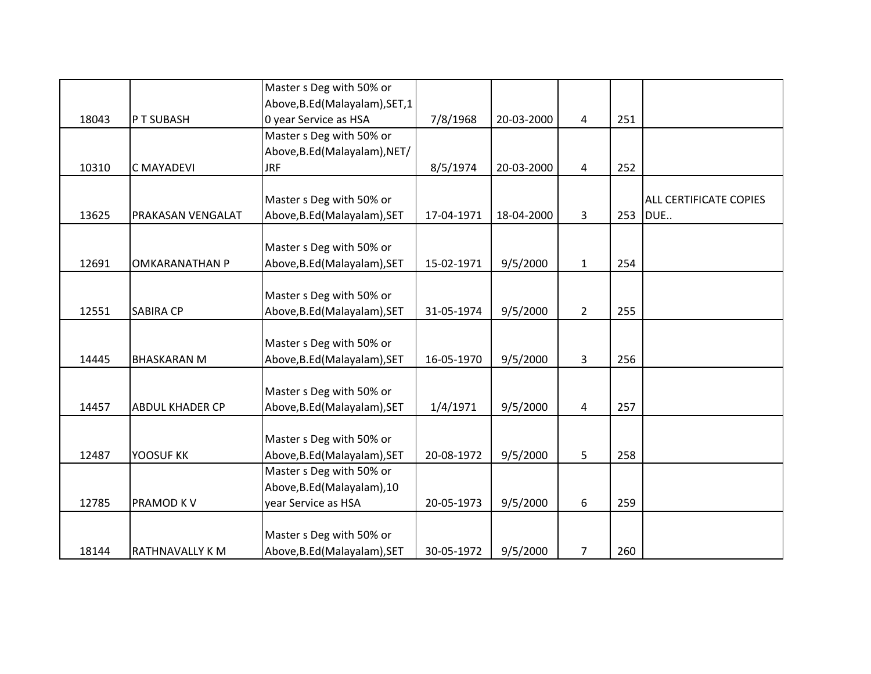|       |                        | Master s Deg with 50% or        |            |            |                |     |                        |
|-------|------------------------|---------------------------------|------------|------------|----------------|-----|------------------------|
|       |                        | Above, B.Ed (Malayalam), SET, 1 |            |            |                |     |                        |
| 18043 | PT SUBASH              | 0 year Service as HSA           | 7/8/1968   | 20-03-2000 | 4              | 251 |                        |
|       |                        | Master s Deg with 50% or        |            |            |                |     |                        |
|       |                        | Above, B.Ed (Malayalam), NET/   |            |            |                |     |                        |
| 10310 | <b>C MAYADEVI</b>      | <b>JRF</b>                      | 8/5/1974   | 20-03-2000 | 4              | 252 |                        |
|       |                        |                                 |            |            |                |     |                        |
|       |                        | Master s Deg with 50% or        |            |            |                |     | ALL CERTIFICATE COPIES |
| 13625 | PRAKASAN VENGALAT      | Above, B.Ed (Malayalam), SET    | 17-04-1971 | 18-04-2000 | 3              | 253 | DUE                    |
|       |                        |                                 |            |            |                |     |                        |
|       |                        | Master s Deg with 50% or        |            |            |                |     |                        |
| 12691 | <b>OMKARANATHAN P</b>  | Above, B.Ed (Malayalam), SET    | 15-02-1971 | 9/5/2000   | $\mathbf{1}$   | 254 |                        |
|       |                        |                                 |            |            |                |     |                        |
|       |                        | Master s Deg with 50% or        |            |            |                |     |                        |
| 12551 | <b>SABIRA CP</b>       | Above, B.Ed (Malayalam), SET    | 31-05-1974 | 9/5/2000   | $\overline{2}$ | 255 |                        |
|       |                        |                                 |            |            |                |     |                        |
|       |                        | Master s Deg with 50% or        |            |            |                |     |                        |
| 14445 | <b>BHASKARAN M</b>     | Above, B.Ed (Malayalam), SET    | 16-05-1970 | 9/5/2000   | 3              | 256 |                        |
|       |                        |                                 |            |            |                |     |                        |
|       |                        | Master s Deg with 50% or        |            |            |                |     |                        |
| 14457 | <b>ABDUL KHADER CP</b> | Above, B.Ed (Malayalam), SET    | 1/4/1971   | 9/5/2000   | 4              | 257 |                        |
|       |                        |                                 |            |            |                |     |                        |
|       |                        | Master s Deg with 50% or        |            |            |                |     |                        |
| 12487 | YOOSUF KK              | Above, B.Ed (Malayalam), SET    | 20-08-1972 | 9/5/2000   | 5              | 258 |                        |
|       |                        | Master s Deg with 50% or        |            |            |                |     |                        |
|       |                        | Above, B.Ed (Malayalam), 10     |            |            |                |     |                        |
| 12785 | PRAMOD KV              | year Service as HSA             | 20-05-1973 | 9/5/2000   | 6              | 259 |                        |
|       |                        |                                 |            |            |                |     |                        |
|       |                        | Master s Deg with 50% or        |            |            |                |     |                        |
| 18144 | RATHNAVALLY K M        | Above, B.Ed (Malayalam), SET    | 30-05-1972 | 9/5/2000   | 7              | 260 |                        |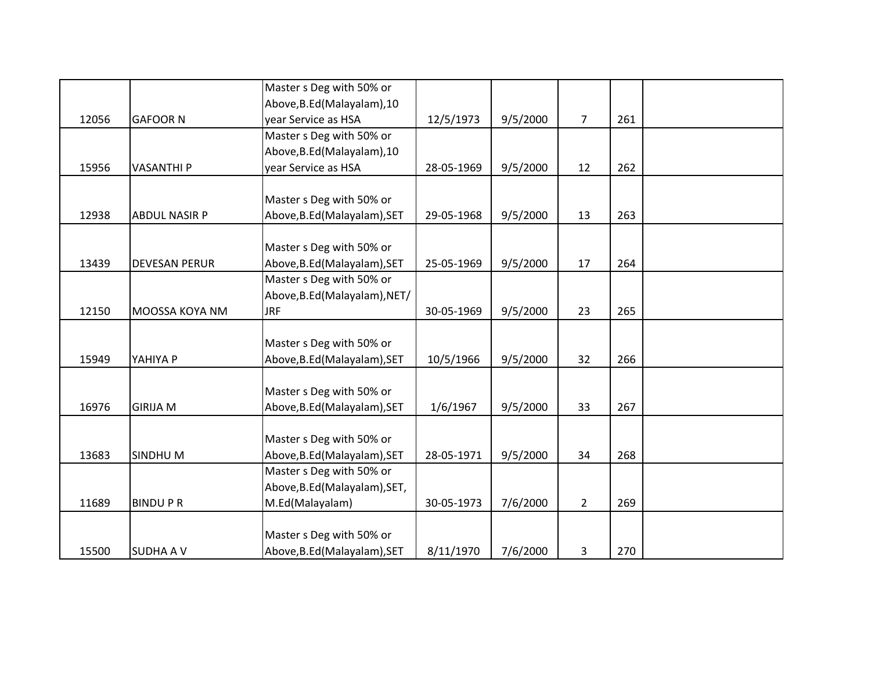|       |                      | Master s Deg with 50% or      |            |          |                |     |  |
|-------|----------------------|-------------------------------|------------|----------|----------------|-----|--|
|       |                      | Above, B.Ed (Malayalam), 10   |            |          |                |     |  |
| 12056 | <b>GAFOOR N</b>      | year Service as HSA           | 12/5/1973  | 9/5/2000 | $\overline{7}$ | 261 |  |
|       |                      | Master s Deg with 50% or      |            |          |                |     |  |
|       |                      | Above, B.Ed (Malayalam), 10   |            |          |                |     |  |
| 15956 | <b>VASANTHI P</b>    | year Service as HSA           | 28-05-1969 | 9/5/2000 | 12             | 262 |  |
|       |                      |                               |            |          |                |     |  |
|       |                      | Master s Deg with 50% or      |            |          |                |     |  |
| 12938 | <b>ABDUL NASIR P</b> | Above, B.Ed (Malayalam), SET  | 29-05-1968 | 9/5/2000 | 13             | 263 |  |
|       |                      |                               |            |          |                |     |  |
|       |                      | Master s Deg with 50% or      |            |          |                |     |  |
| 13439 | <b>DEVESAN PERUR</b> | Above, B.Ed (Malayalam), SET  | 25-05-1969 | 9/5/2000 | 17             | 264 |  |
|       |                      | Master s Deg with 50% or      |            |          |                |     |  |
|       |                      | Above, B.Ed (Malayalam), NET/ |            |          |                |     |  |
| 12150 | MOOSSA KOYA NM       | <b>JRF</b>                    | 30-05-1969 | 9/5/2000 | 23             | 265 |  |
|       |                      |                               |            |          |                |     |  |
|       |                      | Master s Deg with 50% or      |            |          |                |     |  |
| 15949 | YAHIYA P             | Above, B.Ed (Malayalam), SET  | 10/5/1966  | 9/5/2000 | 32             | 266 |  |
|       |                      |                               |            |          |                |     |  |
|       |                      | Master s Deg with 50% or      |            |          |                |     |  |
| 16976 | <b>GIRIJA M</b>      | Above, B.Ed (Malayalam), SET  | 1/6/1967   | 9/5/2000 | 33             | 267 |  |
|       |                      |                               |            |          |                |     |  |
|       |                      | Master s Deg with 50% or      |            |          |                |     |  |
| 13683 | <b>SINDHUM</b>       | Above, B.Ed (Malayalam), SET  | 28-05-1971 | 9/5/2000 | 34             | 268 |  |
|       |                      | Master s Deg with 50% or      |            |          |                |     |  |
|       |                      | Above, B.Ed (Malayalam), SET, |            |          |                |     |  |
| 11689 | <b>BINDUPR</b>       | M.Ed(Malayalam)               | 30-05-1973 | 7/6/2000 | $2^{\circ}$    | 269 |  |
|       |                      |                               |            |          |                |     |  |
|       |                      | Master s Deg with 50% or      |            |          |                |     |  |
| 15500 | <b>SUDHA A V</b>     | Above, B.Ed (Malayalam), SET  | 8/11/1970  | 7/6/2000 | 3              | 270 |  |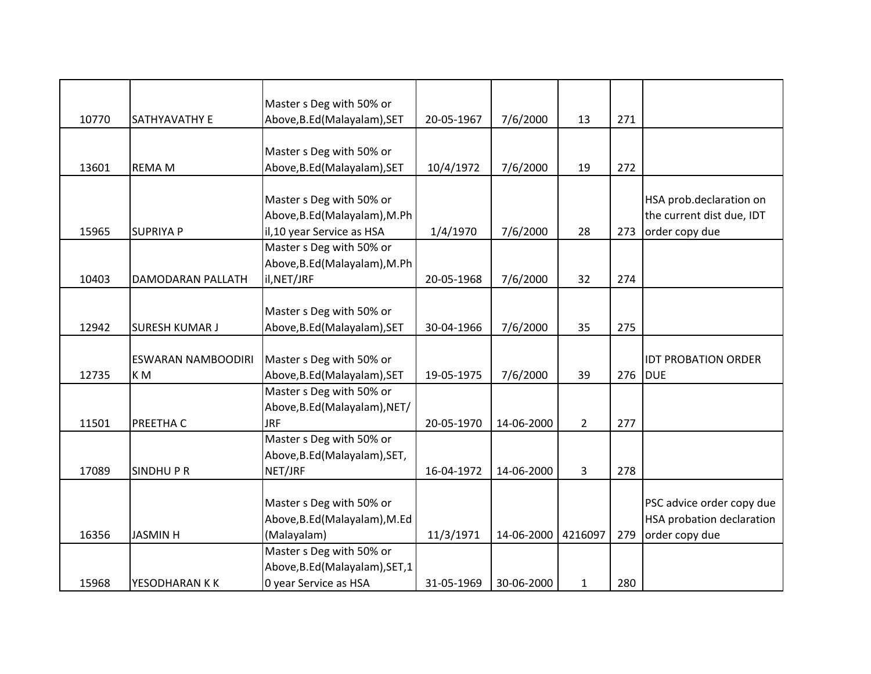|       |                           | Master s Deg with 50% or        |            |            |                |     |                            |
|-------|---------------------------|---------------------------------|------------|------------|----------------|-----|----------------------------|
| 10770 | SATHYAVATHY E             | Above, B.Ed (Malayalam), SET    | 20-05-1967 | 7/6/2000   | 13             | 271 |                            |
|       |                           |                                 |            |            |                |     |                            |
|       |                           | Master s Deg with 50% or        |            |            |                |     |                            |
| 13601 | <b>REMA M</b>             | Above, B.Ed (Malayalam), SET    | 10/4/1972  | 7/6/2000   | 19             | 272 |                            |
|       |                           |                                 |            |            |                |     |                            |
|       |                           | Master s Deg with 50% or        |            |            |                |     | HSA prob.declaration on    |
|       |                           | Above, B.Ed (Malayalam), M.Ph   |            |            |                |     | the current dist due, IDT  |
| 15965 | <b>SUPRIYA P</b>          | il, 10 year Service as HSA      | 1/4/1970   | 7/6/2000   | 28             | 273 | order copy due             |
|       |                           | Master s Deg with 50% or        |            |            |                |     |                            |
|       |                           | Above, B.Ed (Malayalam), M.Ph   |            |            |                |     |                            |
| 10403 | DAMODARAN PALLATH         | il, NET/JRF                     | 20-05-1968 | 7/6/2000   | 32             | 274 |                            |
|       |                           |                                 |            |            |                |     |                            |
|       |                           | Master s Deg with 50% or        |            |            |                |     |                            |
| 12942 | <b>SURESH KUMAR J</b>     | Above, B.Ed (Malayalam), SET    | 30-04-1966 | 7/6/2000   | 35             | 275 |                            |
|       |                           |                                 |            |            |                |     |                            |
|       | <b>ESWARAN NAMBOODIRI</b> | Master s Deg with 50% or        |            |            |                |     | <b>IDT PROBATION ORDER</b> |
| 12735 | KM                        | Above, B.Ed (Malayalam), SET    | 19-05-1975 | 7/6/2000   | 39             | 276 | <b>DUE</b>                 |
|       |                           | Master s Deg with 50% or        |            |            |                |     |                            |
|       |                           | Above, B.Ed (Malayalam), NET/   |            |            |                |     |                            |
| 11501 | PREETHA C                 | <b>JRF</b>                      | 20-05-1970 | 14-06-2000 | $\overline{2}$ | 277 |                            |
|       |                           | Master s Deg with 50% or        |            |            |                |     |                            |
|       |                           | Above, B.Ed (Malayalam), SET,   |            |            |                |     |                            |
| 17089 | <b>SINDHUPR</b>           | NET/JRF                         | 16-04-1972 | 14-06-2000 | 3              | 278 |                            |
|       |                           |                                 |            |            |                |     |                            |
|       |                           | Master s Deg with 50% or        |            |            |                |     | PSC advice order copy due  |
|       |                           | Above, B.Ed (Malayalam), M.Ed   |            |            |                |     | HSA probation declaration  |
| 16356 | <b>JASMIN H</b>           | (Malayalam)                     | 11/3/1971  | 14-06-2000 | 4216097        | 279 | order copy due             |
|       |                           | Master s Deg with 50% or        |            |            |                |     |                            |
|       |                           | Above, B.Ed (Malayalam), SET, 1 |            |            |                |     |                            |
| 15968 | YESODHARAN K K            | 0 year Service as HSA           | 31-05-1969 | 30-06-2000 | $\mathbf{1}$   | 280 |                            |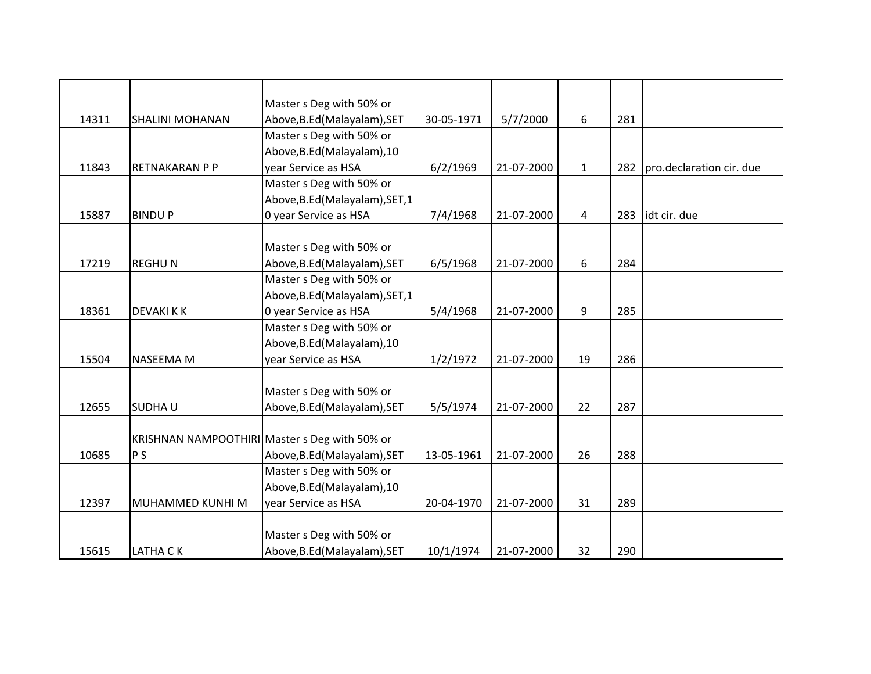|       |                        | Master s Deg with 50% or                      |            |            |                |     |                          |
|-------|------------------------|-----------------------------------------------|------------|------------|----------------|-----|--------------------------|
| 14311 | <b>SHALINI MOHANAN</b> | Above, B.Ed (Malayalam), SET                  | 30-05-1971 | 5/7/2000   | 6              | 281 |                          |
|       |                        | Master s Deg with 50% or                      |            |            |                |     |                          |
|       |                        | Above, B.Ed (Malayalam), 10                   |            |            |                |     |                          |
| 11843 | RETNAKARAN P P         | year Service as HSA                           | 6/2/1969   | 21-07-2000 | $\mathbf{1}$   | 282 | pro.declaration cir. due |
|       |                        | Master s Deg with 50% or                      |            |            |                |     |                          |
|       |                        | Above, B.Ed (Malayalam), SET, 1               |            |            |                |     |                          |
| 15887 | <b>BINDUP</b>          | 0 year Service as HSA                         | 7/4/1968   | 21-07-2000 | $\overline{4}$ | 283 | idt cir. due             |
|       |                        |                                               |            |            |                |     |                          |
|       |                        | Master s Deg with 50% or                      |            |            |                |     |                          |
| 17219 | <b>REGHUN</b>          | Above, B.Ed (Malayalam), SET                  | 6/5/1968   | 21-07-2000 | 6              | 284 |                          |
|       |                        | Master s Deg with 50% or                      |            |            |                |     |                          |
|       |                        | Above, B.Ed (Malayalam), SET, 1               |            |            |                |     |                          |
| 18361 | <b>DEVAKI K K</b>      | 0 year Service as HSA                         | 5/4/1968   | 21-07-2000 | 9              | 285 |                          |
|       |                        | Master s Deg with 50% or                      |            |            |                |     |                          |
|       |                        | Above, B.Ed (Malayalam), 10                   |            |            |                |     |                          |
| 15504 | <b>NASEEMA M</b>       | year Service as HSA                           | 1/2/1972   | 21-07-2000 | 19             | 286 |                          |
|       |                        |                                               |            |            |                |     |                          |
|       |                        | Master s Deg with 50% or                      |            |            |                |     |                          |
| 12655 | <b>SUDHAU</b>          | Above, B.Ed (Malayalam), SET                  | 5/5/1974   | 21-07-2000 | 22             | 287 |                          |
|       |                        |                                               |            |            |                |     |                          |
|       |                        | KRISHNAN NAMPOOTHIRI Master s Deg with 50% or |            |            |                |     |                          |
| 10685 | P <sub>S</sub>         | Above, B.Ed (Malayalam), SET                  | 13-05-1961 | 21-07-2000 | 26             | 288 |                          |
|       |                        | Master s Deg with 50% or                      |            |            |                |     |                          |
|       |                        | Above, B.Ed (Malayalam), 10                   |            |            |                |     |                          |
| 12397 | MUHAMMED KUNHI M       | year Service as HSA                           | 20-04-1970 | 21-07-2000 | 31             | 289 |                          |
|       |                        |                                               |            |            |                |     |                          |
|       |                        | Master s Deg with 50% or                      |            |            |                |     |                          |
| 15615 | <b>LATHA CK</b>        | Above, B.Ed (Malayalam), SET                  | 10/1/1974  | 21-07-2000 | 32             | 290 |                          |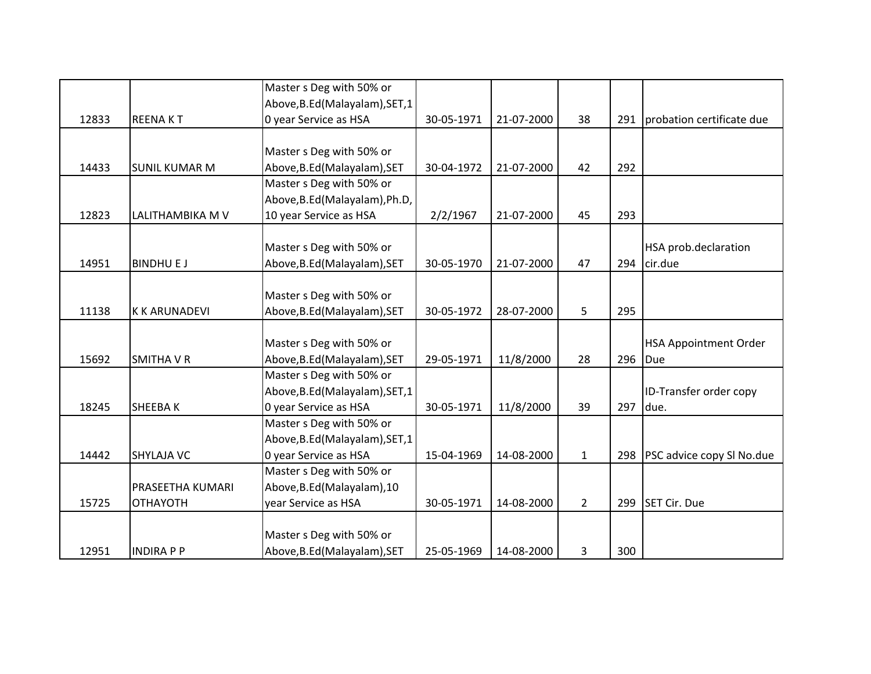|       |                      | Master s Deg with 50% or        |            |            |                |     |                              |
|-------|----------------------|---------------------------------|------------|------------|----------------|-----|------------------------------|
|       |                      | Above, B.Ed (Malayalam), SET, 1 |            |            |                |     |                              |
| 12833 | <b>REENAKT</b>       | 0 year Service as HSA           | 30-05-1971 | 21-07-2000 | 38             | 291 | probation certificate due    |
|       |                      |                                 |            |            |                |     |                              |
|       |                      | Master s Deg with 50% or        |            |            |                |     |                              |
| 14433 | <b>SUNIL KUMAR M</b> | Above, B.Ed (Malayalam), SET    | 30-04-1972 | 21-07-2000 | 42             | 292 |                              |
|       |                      | Master s Deg with 50% or        |            |            |                |     |                              |
|       |                      | Above, B.Ed (Malayalam), Ph.D,  |            |            |                |     |                              |
| 12823 | LALITHAMBIKA M V     | 10 year Service as HSA          | 2/2/1967   | 21-07-2000 | 45             | 293 |                              |
|       |                      |                                 |            |            |                |     |                              |
|       |                      | Master s Deg with 50% or        |            |            |                |     | HSA prob.declaration         |
| 14951 | <b>BINDHU E J</b>    | Above, B.Ed (Malayalam), SET    | 30-05-1970 | 21-07-2000 | 47             | 294 | cir.due                      |
|       |                      |                                 |            |            |                |     |                              |
|       |                      | Master s Deg with 50% or        |            |            |                |     |                              |
| 11138 | <b>K K ARUNADEVI</b> | Above, B.Ed (Malayalam), SET    | 30-05-1972 | 28-07-2000 | 5              | 295 |                              |
|       |                      |                                 |            |            |                |     |                              |
|       |                      | Master s Deg with 50% or        |            |            |                |     | <b>HSA Appointment Order</b> |
| 15692 | <b>SMITHA V R</b>    | Above, B.Ed (Malayalam), SET    | 29-05-1971 | 11/8/2000  | 28             | 296 | Due                          |
|       |                      | Master s Deg with 50% or        |            |            |                |     |                              |
|       |                      | Above, B.Ed (Malayalam), SET, 1 |            |            |                |     | ID-Transfer order copy       |
| 18245 | <b>SHEEBAK</b>       | 0 year Service as HSA           | 30-05-1971 | 11/8/2000  | 39             | 297 | due.                         |
|       |                      | Master s Deg with 50% or        |            |            |                |     |                              |
|       |                      | Above, B.Ed (Malayalam), SET, 1 |            |            |                |     |                              |
| 14442 | <b>SHYLAJA VC</b>    | 0 year Service as HSA           | 15-04-1969 | 14-08-2000 | $\mathbf{1}$   | 298 | PSC advice copy SI No.due    |
|       |                      | Master s Deg with 50% or        |            |            |                |     |                              |
|       | PRASEETHA KUMARI     | Above, B.Ed (Malayalam), 10     |            |            |                |     |                              |
| 15725 | <b>OTHAYOTH</b>      | year Service as HSA             | 30-05-1971 | 14-08-2000 | $\overline{2}$ | 299 | SET Cir. Due                 |
|       |                      |                                 |            |            |                |     |                              |
|       |                      | Master s Deg with 50% or        |            |            |                |     |                              |
| 12951 | <b>INDIRA P P</b>    | Above, B.Ed (Malayalam), SET    | 25-05-1969 | 14-08-2000 | 3              | 300 |                              |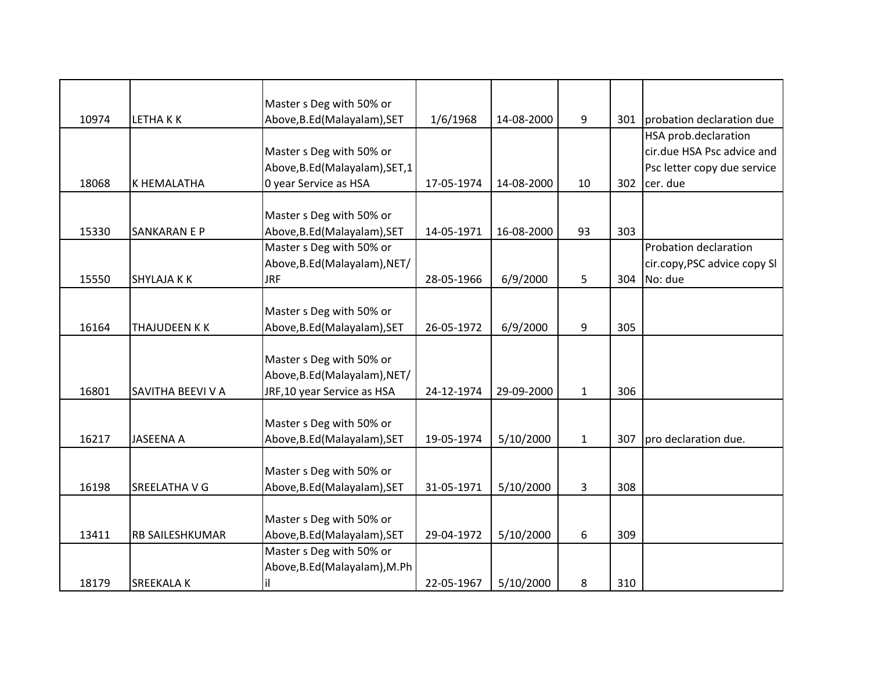|       |                     | Master s Deg with 50% or        |            |            |              |     |                               |
|-------|---------------------|---------------------------------|------------|------------|--------------|-----|-------------------------------|
| 10974 | LETHAKK             | Above, B.Ed (Malayalam), SET    | 1/6/1968   | 14-08-2000 | 9            |     | 301 probation declaration due |
|       |                     |                                 |            |            |              |     | HSA prob.declaration          |
|       |                     | Master s Deg with 50% or        |            |            |              |     | cir.due HSA Psc advice and    |
|       |                     | Above, B.Ed (Malayalam), SET, 1 |            |            |              |     | Psc letter copy due service   |
| 18068 | K HEMALATHA         | 0 year Service as HSA           | 17-05-1974 | 14-08-2000 | 10           | 302 | cer. due                      |
|       |                     |                                 |            |            |              |     |                               |
|       |                     | Master s Deg with 50% or        |            |            |              |     |                               |
| 15330 | <b>SANKARAN E P</b> | Above, B.Ed (Malayalam), SET    | 14-05-1971 | 16-08-2000 | 93           | 303 |                               |
|       |                     | Master s Deg with 50% or        |            |            |              |     | Probation declaration         |
|       |                     | Above, B.Ed (Malayalam), NET/   |            |            |              |     | cir.copy, PSC advice copy SI  |
| 15550 | <b>SHYLAJA K K</b>  | <b>JRF</b>                      | 28-05-1966 | 6/9/2000   | 5            | 304 | No: due                       |
|       |                     |                                 |            |            |              |     |                               |
|       |                     | Master s Deg with 50% or        |            |            |              |     |                               |
| 16164 | THAJUDEEN K K       | Above, B.Ed (Malayalam), SET    | 26-05-1972 | 6/9/2000   | 9            | 305 |                               |
|       |                     |                                 |            |            |              |     |                               |
|       |                     | Master s Deg with 50% or        |            |            |              |     |                               |
|       |                     | Above, B.Ed (Malayalam), NET/   |            |            |              |     |                               |
| 16801 | SAVITHA BEEVI V A   | JRF,10 year Service as HSA      | 24-12-1974 | 29-09-2000 | $\mathbf{1}$ | 306 |                               |
|       |                     |                                 |            |            |              |     |                               |
|       |                     | Master s Deg with 50% or        |            |            |              |     |                               |
| 16217 | <b>JASEENA A</b>    | Above, B.Ed (Malayalam), SET    | 19-05-1974 | 5/10/2000  | $\mathbf{1}$ | 307 | pro declaration due.          |
|       |                     |                                 |            |            |              |     |                               |
|       |                     | Master s Deg with 50% or        |            |            |              |     |                               |
| 16198 | SREELATHA V G       | Above, B.Ed (Malayalam), SET    | 31-05-1971 | 5/10/2000  | 3            | 308 |                               |
|       |                     |                                 |            |            |              |     |                               |
|       |                     | Master s Deg with 50% or        |            |            |              |     |                               |
| 13411 | RB SAILESHKUMAR     | Above, B.Ed (Malayalam), SET    | 29-04-1972 | 5/10/2000  | 6            | 309 |                               |
|       |                     | Master s Deg with 50% or        |            |            |              |     |                               |
|       |                     | Above, B.Ed (Malayalam), M.Ph   |            |            |              |     |                               |
| 18179 | <b>SREEKALAK</b>    | il                              | 22-05-1967 | 5/10/2000  | 8            | 310 |                               |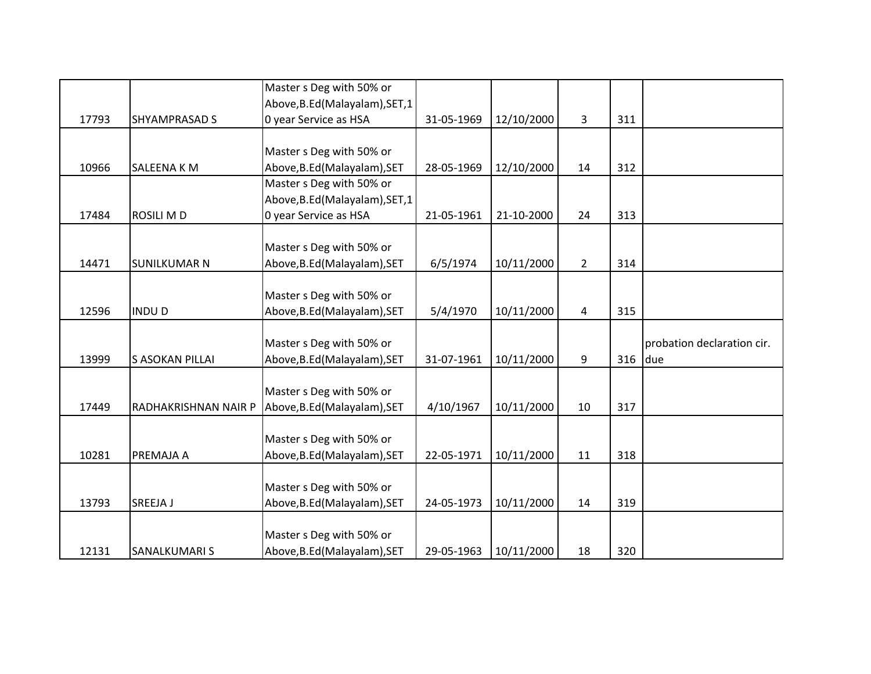|       |                      | Master s Deg with 50% or                                 |            |            |                         |     |                            |
|-------|----------------------|----------------------------------------------------------|------------|------------|-------------------------|-----|----------------------------|
|       |                      | Above, B.Ed (Malayalam), SET, 1                          |            |            |                         |     |                            |
| 17793 | <b>SHYAMPRASAD S</b> | 0 year Service as HSA                                    | 31-05-1969 | 12/10/2000 | $\overline{\mathbf{3}}$ | 311 |                            |
|       |                      |                                                          |            |            |                         |     |                            |
|       |                      | Master s Deg with 50% or                                 |            |            |                         |     |                            |
| 10966 | SALEENA K M          | Above, B.Ed (Malayalam), SET                             | 28-05-1969 | 12/10/2000 | 14                      | 312 |                            |
|       |                      | Master s Deg with 50% or                                 |            |            |                         |     |                            |
|       |                      | Above, B.Ed (Malayalam), SET, 1                          |            |            |                         |     |                            |
| 17484 | <b>ROSILI MD</b>     | 0 year Service as HSA                                    | 21-05-1961 | 21-10-2000 | 24                      | 313 |                            |
|       |                      |                                                          |            |            |                         |     |                            |
|       |                      | Master s Deg with 50% or                                 |            |            |                         |     |                            |
| 14471 | <b>SUNILKUMAR N</b>  | Above, B.Ed (Malayalam), SET                             | 6/5/1974   | 10/11/2000 | $\overline{2}$          | 314 |                            |
|       |                      |                                                          |            |            |                         |     |                            |
|       |                      | Master s Deg with 50% or                                 |            |            |                         |     |                            |
| 12596 | <b>INDUD</b>         | Above, B.Ed (Malayalam), SET                             | 5/4/1970   | 10/11/2000 | 4                       | 315 |                            |
|       |                      |                                                          |            |            |                         |     |                            |
|       |                      | Master s Deg with 50% or                                 |            |            |                         |     | probation declaration cir. |
| 13999 | S ASOKAN PILLAI      | Above, B.Ed (Malayalam), SET                             | 31-07-1961 | 10/11/2000 | 9                       | 316 | due                        |
|       |                      |                                                          |            |            |                         |     |                            |
|       |                      | Master s Deg with 50% or                                 |            |            |                         |     |                            |
| 17449 | RADHAKRISHNAN NAIR P | Above, B.Ed (Malayalam), SET                             | 4/10/1967  | 10/11/2000 | 10                      | 317 |                            |
|       |                      |                                                          |            |            |                         |     |                            |
|       |                      |                                                          |            |            |                         |     |                            |
|       |                      | Master s Deg with 50% or                                 |            |            |                         |     |                            |
| 10281 | PREMAJA A            | Above, B.Ed (Malayalam), SET                             | 22-05-1971 | 10/11/2000 | 11                      | 318 |                            |
|       |                      |                                                          |            |            |                         |     |                            |
|       |                      | Master s Deg with 50% or                                 |            |            |                         |     |                            |
| 13793 | SREEJA J             | Above, B.Ed (Malayalam), SET                             | 24-05-1973 | 10/11/2000 | 14                      | 319 |                            |
|       |                      |                                                          |            |            |                         |     |                            |
| 12131 | SANALKUMARI S        | Master s Deg with 50% or<br>Above, B.Ed (Malayalam), SET | 29-05-1963 | 10/11/2000 | 18                      | 320 |                            |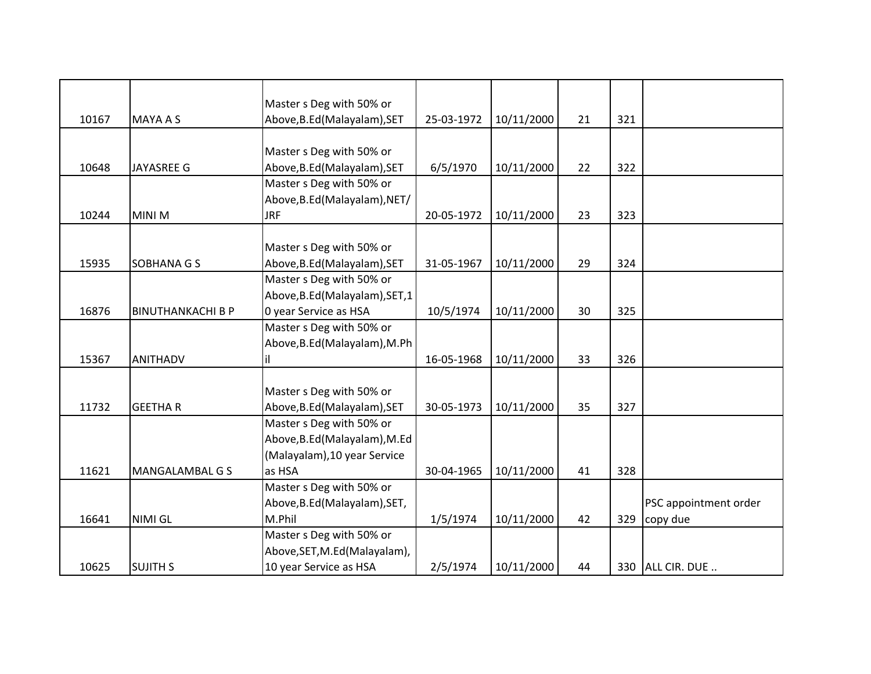|       |                          | Master s Deg with 50% or        |            |            |    |     |                       |
|-------|--------------------------|---------------------------------|------------|------------|----|-----|-----------------------|
| 10167 | <b>MAYA A S</b>          | Above, B.Ed (Malayalam), SET    | 25-03-1972 | 10/11/2000 | 21 | 321 |                       |
|       |                          |                                 |            |            |    |     |                       |
|       |                          | Master s Deg with 50% or        |            |            |    |     |                       |
| 10648 | <b>JAYASREE G</b>        | Above, B.Ed (Malayalam), SET    | 6/5/1970   | 10/11/2000 | 22 | 322 |                       |
|       |                          | Master s Deg with 50% or        |            |            |    |     |                       |
|       |                          | Above, B.Ed (Malayalam), NET/   |            |            |    |     |                       |
| 10244 | <b>MINI M</b>            | <b>JRF</b>                      | 20-05-1972 | 10/11/2000 | 23 | 323 |                       |
|       |                          |                                 |            |            |    |     |                       |
|       |                          | Master s Deg with 50% or        |            |            |    |     |                       |
| 15935 | <b>SOBHANA G S</b>       | Above, B.Ed (Malayalam), SET    | 31-05-1967 | 10/11/2000 | 29 | 324 |                       |
|       |                          | Master s Deg with 50% or        |            |            |    |     |                       |
|       |                          | Above, B.Ed (Malayalam), SET, 1 |            |            |    |     |                       |
| 16876 | <b>BINUTHANKACHI B P</b> | 0 year Service as HSA           | 10/5/1974  | 10/11/2000 | 30 | 325 |                       |
|       |                          | Master s Deg with 50% or        |            |            |    |     |                       |
|       |                          | Above, B.Ed (Malayalam), M.Ph   |            |            |    |     |                       |
| 15367 | <b>ANITHADV</b>          | il.                             | 16-05-1968 | 10/11/2000 | 33 | 326 |                       |
|       |                          |                                 |            |            |    |     |                       |
|       |                          | Master s Deg with 50% or        |            |            |    |     |                       |
| 11732 | <b>GEETHAR</b>           | Above, B.Ed (Malayalam), SET    | 30-05-1973 | 10/11/2000 | 35 | 327 |                       |
|       |                          | Master s Deg with 50% or        |            |            |    |     |                       |
|       |                          | Above, B.Ed (Malayalam), M.Ed   |            |            |    |     |                       |
|       |                          | (Malayalam), 10 year Service    |            |            |    |     |                       |
| 11621 | MANGALAMBAL G S          | as HSA                          | 30-04-1965 | 10/11/2000 | 41 | 328 |                       |
|       |                          | Master s Deg with 50% or        |            |            |    |     |                       |
|       |                          | Above, B.Ed (Malayalam), SET,   |            |            |    |     | PSC appointment order |
| 16641 | <b>NIMI GL</b>           | M.Phil                          | 1/5/1974   | 10/11/2000 | 42 | 329 | copy due              |
|       |                          | Master s Deg with 50% or        |            |            |    |     |                       |
|       |                          | Above, SET, M.Ed (Malayalam),   |            |            |    |     |                       |
| 10625 | <b>SUJITH S</b>          | 10 year Service as HSA          | 2/5/1974   | 10/11/2000 | 44 |     | 330 ALL CIR. DUE      |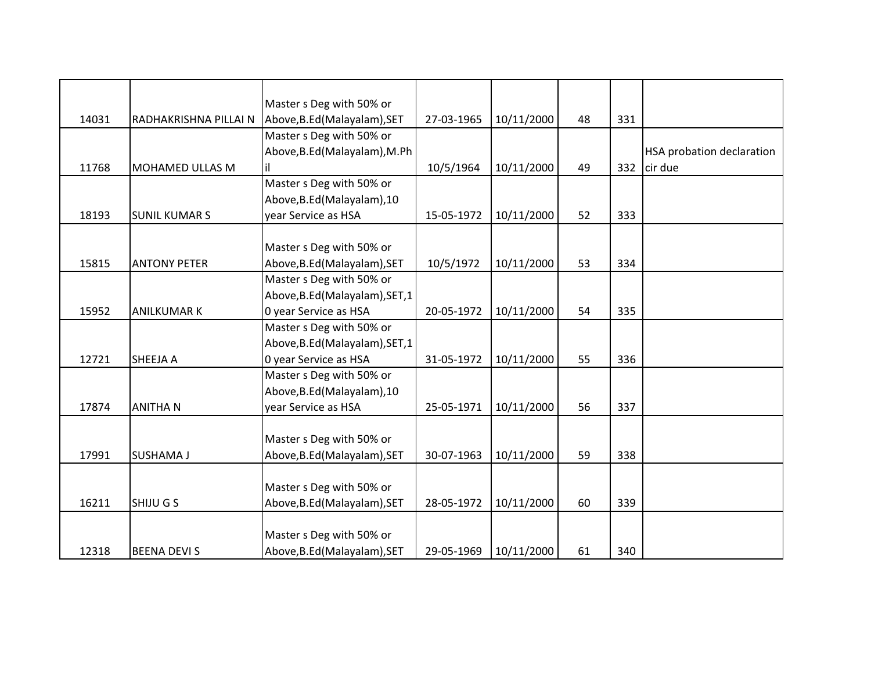|       |                        | Master s Deg with 50% or        |            |            |    |     |                                  |
|-------|------------------------|---------------------------------|------------|------------|----|-----|----------------------------------|
| 14031 | RADHAKRISHNA PILLAI N  | Above, B.Ed (Malayalam), SET    | 27-03-1965 | 10/11/2000 | 48 | 331 |                                  |
|       |                        | Master s Deg with 50% or        |            |            |    |     |                                  |
|       |                        | Above, B.Ed (Malayalam), M.Ph   |            |            |    |     | <b>HSA probation declaration</b> |
| 11768 | <b>MOHAMED ULLAS M</b> | ΙiΙ                             | 10/5/1964  | 10/11/2000 | 49 | 332 | cir due                          |
|       |                        | Master s Deg with 50% or        |            |            |    |     |                                  |
|       |                        | Above, B.Ed (Malayalam), 10     |            |            |    |     |                                  |
| 18193 | <b>SUNIL KUMAR S</b>   | year Service as HSA             | 15-05-1972 | 10/11/2000 | 52 | 333 |                                  |
|       |                        |                                 |            |            |    |     |                                  |
|       |                        | Master s Deg with 50% or        |            |            |    |     |                                  |
| 15815 | <b>ANTONY PETER</b>    | Above, B.Ed (Malayalam), SET    | 10/5/1972  | 10/11/2000 | 53 | 334 |                                  |
|       |                        | Master s Deg with 50% or        |            |            |    |     |                                  |
|       |                        | Above, B.Ed (Malayalam), SET, 1 |            |            |    |     |                                  |
| 15952 | <b>ANILKUMAR K</b>     | 0 year Service as HSA           | 20-05-1972 | 10/11/2000 | 54 | 335 |                                  |
|       |                        | Master s Deg with 50% or        |            |            |    |     |                                  |
|       |                        | Above, B.Ed (Malayalam), SET, 1 |            |            |    |     |                                  |
| 12721 | SHEEJA A               | 0 year Service as HSA           | 31-05-1972 | 10/11/2000 | 55 | 336 |                                  |
|       |                        | Master s Deg with 50% or        |            |            |    |     |                                  |
|       |                        | Above, B.Ed (Malayalam), 10     |            |            |    |     |                                  |
| 17874 | <b>ANITHAN</b>         | year Service as HSA             | 25-05-1971 | 10/11/2000 | 56 | 337 |                                  |
|       |                        |                                 |            |            |    |     |                                  |
|       |                        | Master s Deg with 50% or        |            |            |    |     |                                  |
| 17991 | <b>SUSHAMA J</b>       | Above, B.Ed (Malayalam), SET    | 30-07-1963 | 10/11/2000 | 59 | 338 |                                  |
|       |                        |                                 |            |            |    |     |                                  |
|       |                        | Master s Deg with 50% or        |            |            |    |     |                                  |
| 16211 | SHIJU G S              | Above, B.Ed (Malayalam), SET    | 28-05-1972 | 10/11/2000 | 60 | 339 |                                  |
|       |                        |                                 |            |            |    |     |                                  |
|       |                        | Master s Deg with 50% or        |            |            |    |     |                                  |
| 12318 | <b>BEENA DEVI S</b>    | Above, B.Ed (Malayalam), SET    | 29-05-1969 | 10/11/2000 | 61 | 340 |                                  |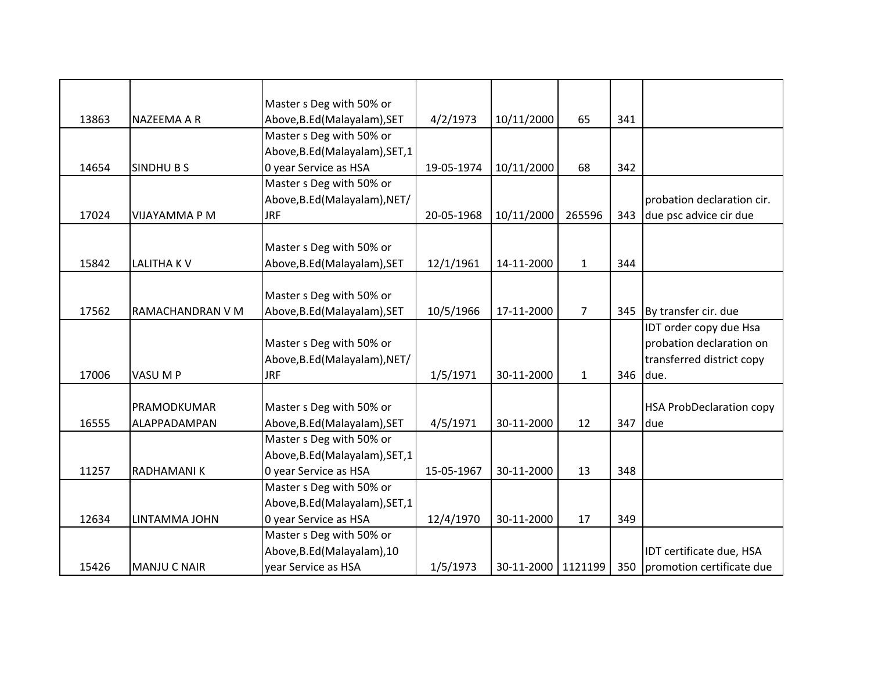|       |                     | Master s Deg with 50% or        |            |                      |                |     |                                 |
|-------|---------------------|---------------------------------|------------|----------------------|----------------|-----|---------------------------------|
| 13863 | NAZEEMA A R         | Above, B.Ed (Malayalam), SET    | 4/2/1973   | 10/11/2000           | 65             | 341 |                                 |
|       |                     | Master s Deg with 50% or        |            |                      |                |     |                                 |
|       |                     | Above, B.Ed (Malayalam), SET, 1 |            |                      |                |     |                                 |
| 14654 | <b>SINDHUBS</b>     | 0 year Service as HSA           | 19-05-1974 | 10/11/2000           | 68             | 342 |                                 |
|       |                     | Master s Deg with 50% or        |            |                      |                |     |                                 |
|       |                     | Above, B.Ed (Malayalam), NET/   |            |                      |                |     | probation declaration cir.      |
| 17024 | VIJAYAMMA P M       | <b>JRF</b>                      | 20-05-1968 | 10/11/2000           | 265596         | 343 | due psc advice cir due          |
|       |                     |                                 |            |                      |                |     |                                 |
|       |                     | Master s Deg with 50% or        |            |                      |                |     |                                 |
| 15842 | <b>LALITHAKV</b>    | Above, B.Ed (Malayalam), SET    | 12/1/1961  | 14-11-2000           | $\mathbf{1}$   | 344 |                                 |
|       |                     |                                 |            |                      |                |     |                                 |
|       |                     | Master s Deg with 50% or        |            |                      |                |     |                                 |
| 17562 | RAMACHANDRAN V M    | Above, B.Ed (Malayalam), SET    | 10/5/1966  | 17-11-2000           | $\overline{7}$ | 345 | By transfer cir. due            |
|       |                     |                                 |            |                      |                |     | IDT order copy due Hsa          |
|       |                     | Master s Deg with 50% or        |            |                      |                |     | probation declaration on        |
|       |                     | Above, B.Ed (Malayalam), NET/   |            |                      |                |     | transferred district copy       |
| 17006 | VASU M P            | <b>JRF</b>                      | 1/5/1971   | 30-11-2000           | $\mathbf{1}$   | 346 | due.                            |
|       |                     |                                 |            |                      |                |     |                                 |
|       | PRAMODKUMAR         | Master s Deg with 50% or        |            |                      |                |     | <b>HSA ProbDeclaration copy</b> |
| 16555 | ALAPPADAMPAN        | Above, B.Ed (Malayalam), SET    | 4/5/1971   | 30-11-2000           | 12             | 347 | due                             |
|       |                     | Master s Deg with 50% or        |            |                      |                |     |                                 |
|       |                     | Above, B.Ed (Malayalam), SET, 1 |            |                      |                |     |                                 |
| 11257 | <b>RADHAMANIK</b>   | 0 year Service as HSA           | 15-05-1967 | 30-11-2000           | 13             | 348 |                                 |
|       |                     | Master s Deg with 50% or        |            |                      |                |     |                                 |
|       |                     | Above, B.Ed (Malayalam), SET, 1 |            |                      |                |     |                                 |
| 12634 | LINTAMMA JOHN       | 0 year Service as HSA           | 12/4/1970  | 30-11-2000           | 17             | 349 |                                 |
|       |                     | Master s Deg with 50% or        |            |                      |                |     |                                 |
|       |                     | Above, B.Ed (Malayalam), 10     |            |                      |                |     | IDT certificate due, HSA        |
| 15426 | <b>MANJU C NAIR</b> | year Service as HSA             | 1/5/1973   | 30-11-2000   1121199 |                | 350 | promotion certificate due       |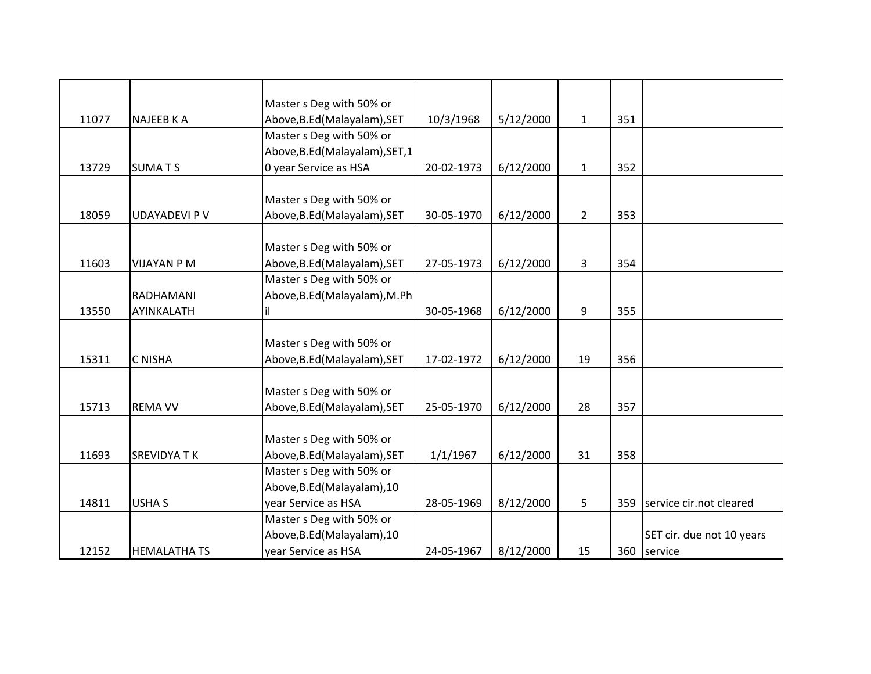|       |                      | Master s Deg with 50% or        |            |           |                |     |                           |
|-------|----------------------|---------------------------------|------------|-----------|----------------|-----|---------------------------|
| 11077 | <b>NAJEEB K A</b>    | Above, B.Ed (Malayalam), SET    | 10/3/1968  | 5/12/2000 | $\mathbf{1}$   | 351 |                           |
|       |                      | Master s Deg with 50% or        |            |           |                |     |                           |
|       |                      | Above, B.Ed (Malayalam), SET, 1 |            |           |                |     |                           |
| 13729 | <b>SUMATS</b>        | 0 year Service as HSA           | 20-02-1973 | 6/12/2000 | $\mathbf{1}$   | 352 |                           |
|       |                      |                                 |            |           |                |     |                           |
|       |                      | Master s Deg with 50% or        |            |           |                |     |                           |
| 18059 | <b>UDAYADEVI P V</b> | Above, B.Ed (Malayalam), SET    | 30-05-1970 | 6/12/2000 | $\overline{2}$ | 353 |                           |
|       |                      |                                 |            |           |                |     |                           |
|       |                      | Master s Deg with 50% or        |            |           |                |     |                           |
| 11603 | <b>VIJAYAN P M</b>   | Above, B.Ed (Malayalam), SET    | 27-05-1973 | 6/12/2000 | 3              | 354 |                           |
|       |                      | Master s Deg with 50% or        |            |           |                |     |                           |
|       | RADHAMANI            | Above, B.Ed (Malayalam), M.Ph   |            |           |                |     |                           |
| 13550 | AYINKALATH           | il.                             | 30-05-1968 | 6/12/2000 | 9              | 355 |                           |
|       |                      |                                 |            |           |                |     |                           |
|       |                      | Master s Deg with 50% or        |            |           |                |     |                           |
| 15311 | C NISHA              | Above, B.Ed (Malayalam), SET    | 17-02-1972 | 6/12/2000 | 19             | 356 |                           |
|       |                      |                                 |            |           |                |     |                           |
|       |                      | Master s Deg with 50% or        |            |           |                |     |                           |
| 15713 | <b>REMA VV</b>       | Above, B.Ed (Malayalam), SET    | 25-05-1970 | 6/12/2000 | 28             | 357 |                           |
|       |                      |                                 |            |           |                |     |                           |
|       |                      | Master s Deg with 50% or        |            |           |                |     |                           |
| 11693 | <b>SREVIDYATK</b>    | Above, B.Ed (Malayalam), SET    | 1/1/1967   | 6/12/2000 | 31             | 358 |                           |
|       |                      | Master s Deg with 50% or        |            |           |                |     |                           |
|       |                      | Above, B.Ed (Malayalam), 10     |            |           |                |     |                           |
| 14811 | <b>USHA S</b>        | year Service as HSA             | 28-05-1969 | 8/12/2000 | 5              | 359 | service cir.not cleared   |
|       |                      | Master s Deg with 50% or        |            |           |                |     |                           |
|       |                      | Above, B.Ed (Malayalam), 10     |            |           |                |     | SET cir. due not 10 years |
| 12152 | <b>HEMALATHA TS</b>  | year Service as HSA             | 24-05-1967 | 8/12/2000 | 15             |     | 360 service               |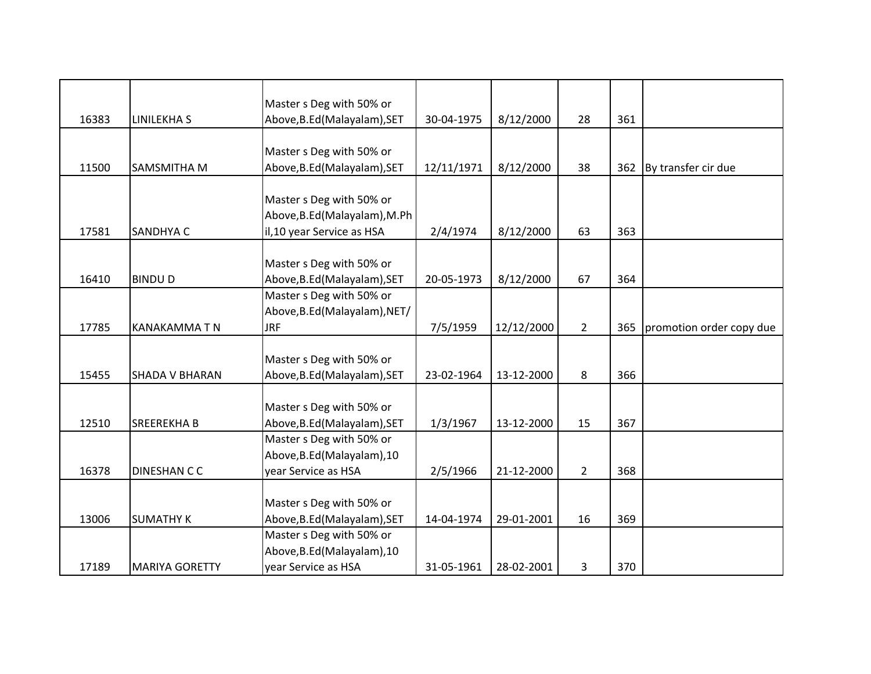|       |                       | Master s Deg with 50% or      |            |            |                |     |                          |
|-------|-----------------------|-------------------------------|------------|------------|----------------|-----|--------------------------|
| 16383 | <b>LINILEKHA S</b>    | Above, B.Ed (Malayalam), SET  | 30-04-1975 | 8/12/2000  | 28             | 361 |                          |
|       |                       |                               |            |            |                |     |                          |
|       |                       | Master s Deg with 50% or      |            |            |                |     |                          |
| 11500 | SAMSMITHA M           | Above, B.Ed (Malayalam), SET  | 12/11/1971 | 8/12/2000  | 38             | 362 | By transfer cir due      |
|       |                       |                               |            |            |                |     |                          |
|       |                       | Master s Deg with 50% or      |            |            |                |     |                          |
|       |                       | Above, B.Ed (Malayalam), M.Ph |            |            |                |     |                          |
| 17581 | SANDHYA C             | il,10 year Service as HSA     | 2/4/1974   | 8/12/2000  | 63             | 363 |                          |
|       |                       |                               |            |            |                |     |                          |
|       |                       | Master s Deg with 50% or      |            |            |                |     |                          |
| 16410 | <b>BINDUD</b>         | Above, B.Ed (Malayalam), SET  | 20-05-1973 | 8/12/2000  | 67             | 364 |                          |
|       |                       | Master s Deg with 50% or      |            |            |                |     |                          |
|       |                       | Above, B.Ed (Malayalam), NET/ |            |            |                |     |                          |
| 17785 | KANAKAMMA T N         | <b>JRF</b>                    | 7/5/1959   | 12/12/2000 | $\overline{2}$ | 365 | promotion order copy due |
|       |                       |                               |            |            |                |     |                          |
|       |                       | Master s Deg with 50% or      |            |            |                |     |                          |
| 15455 | <b>SHADA V BHARAN</b> | Above, B.Ed (Malayalam), SET  | 23-02-1964 | 13-12-2000 | 8              | 366 |                          |
|       |                       |                               |            |            |                |     |                          |
|       |                       | Master s Deg with 50% or      |            |            |                |     |                          |
| 12510 | <b>SREEREKHAB</b>     | Above, B.Ed (Malayalam), SET  | 1/3/1967   | 13-12-2000 | 15             | 367 |                          |
|       |                       | Master s Deg with 50% or      |            |            |                |     |                          |
|       |                       | Above, B.Ed (Malayalam), 10   |            |            |                |     |                          |
| 16378 | DINESHAN C C          | year Service as HSA           | 2/5/1966   | 21-12-2000 | $2^{\circ}$    | 368 |                          |
|       |                       |                               |            |            |                |     |                          |
|       |                       | Master s Deg with 50% or      |            |            |                |     |                          |
| 13006 | <b>SUMATHY K</b>      | Above, B.Ed (Malayalam), SET  | 14-04-1974 | 29-01-2001 | 16             | 369 |                          |
|       |                       | Master s Deg with 50% or      |            |            |                |     |                          |
|       |                       | Above, B.Ed (Malayalam), 10   |            |            |                |     |                          |
| 17189 | <b>MARIYA GORETTY</b> | year Service as HSA           | 31-05-1961 | 28-02-2001 | 3              | 370 |                          |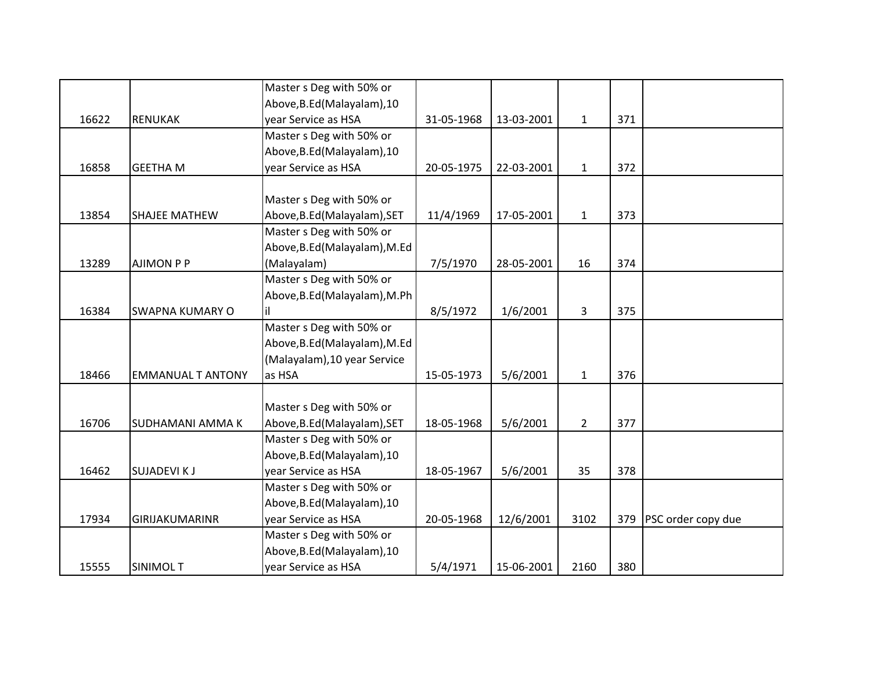|       |                          | Master s Deg with 50% or      |            |            |              |     |                    |
|-------|--------------------------|-------------------------------|------------|------------|--------------|-----|--------------------|
|       |                          | Above, B.Ed (Malayalam), 10   |            |            |              |     |                    |
| 16622 | <b>RENUKAK</b>           | year Service as HSA           | 31-05-1968 | 13-03-2001 | $\mathbf{1}$ | 371 |                    |
|       |                          | Master s Deg with 50% or      |            |            |              |     |                    |
|       |                          | Above, B.Ed (Malayalam), 10   |            |            |              |     |                    |
| 16858 | <b>GEETHA M</b>          | year Service as HSA           | 20-05-1975 | 22-03-2001 | $\mathbf{1}$ | 372 |                    |
|       |                          |                               |            |            |              |     |                    |
|       |                          | Master s Deg with 50% or      |            |            |              |     |                    |
| 13854 | <b>SHAJEE MATHEW</b>     | Above, B.Ed (Malayalam), SET  | 11/4/1969  | 17-05-2001 | $\mathbf{1}$ | 373 |                    |
|       |                          | Master s Deg with 50% or      |            |            |              |     |                    |
|       |                          | Above, B.Ed (Malayalam), M.Ed |            |            |              |     |                    |
| 13289 | <b>AJIMON P P</b>        | (Malayalam)                   | 7/5/1970   | 28-05-2001 | 16           | 374 |                    |
|       |                          | Master s Deg with 50% or      |            |            |              |     |                    |
|       |                          | Above, B.Ed (Malayalam), M.Ph |            |            |              |     |                    |
| 16384 | <b>SWAPNA KUMARY O</b>   |                               | 8/5/1972   | 1/6/2001   | 3            | 375 |                    |
|       |                          | Master s Deg with 50% or      |            |            |              |     |                    |
|       |                          | Above, B.Ed (Malayalam), M.Ed |            |            |              |     |                    |
|       |                          | (Malayalam), 10 year Service  |            |            |              |     |                    |
| 18466 | <b>EMMANUAL T ANTONY</b> | as HSA                        | 15-05-1973 | 5/6/2001   | $\mathbf{1}$ | 376 |                    |
|       |                          |                               |            |            |              |     |                    |
|       |                          | Master s Deg with 50% or      |            |            |              |     |                    |
| 16706 | <b>SUDHAMANI AMMAK</b>   | Above, B.Ed (Malayalam), SET  | 18-05-1968 | 5/6/2001   | $2^{\circ}$  | 377 |                    |
|       |                          | Master s Deg with 50% or      |            |            |              |     |                    |
|       |                          | Above, B.Ed (Malayalam), 10   |            |            |              |     |                    |
| 16462 | <b>SUJADEVIKJ</b>        | year Service as HSA           | 18-05-1967 | 5/6/2001   | 35           | 378 |                    |
|       |                          | Master s Deg with 50% or      |            |            |              |     |                    |
|       |                          | Above, B.Ed (Malayalam), 10   |            |            |              |     |                    |
| 17934 | GIRIJAKUMARINR           | year Service as HSA           | 20-05-1968 | 12/6/2001  | 3102         | 379 | PSC order copy due |
|       |                          | Master s Deg with 50% or      |            |            |              |     |                    |
|       |                          | Above, B.Ed (Malayalam), 10   |            |            |              |     |                    |
| 15555 | SINIMOL T                | year Service as HSA           | 5/4/1971   | 15-06-2001 | 2160         | 380 |                    |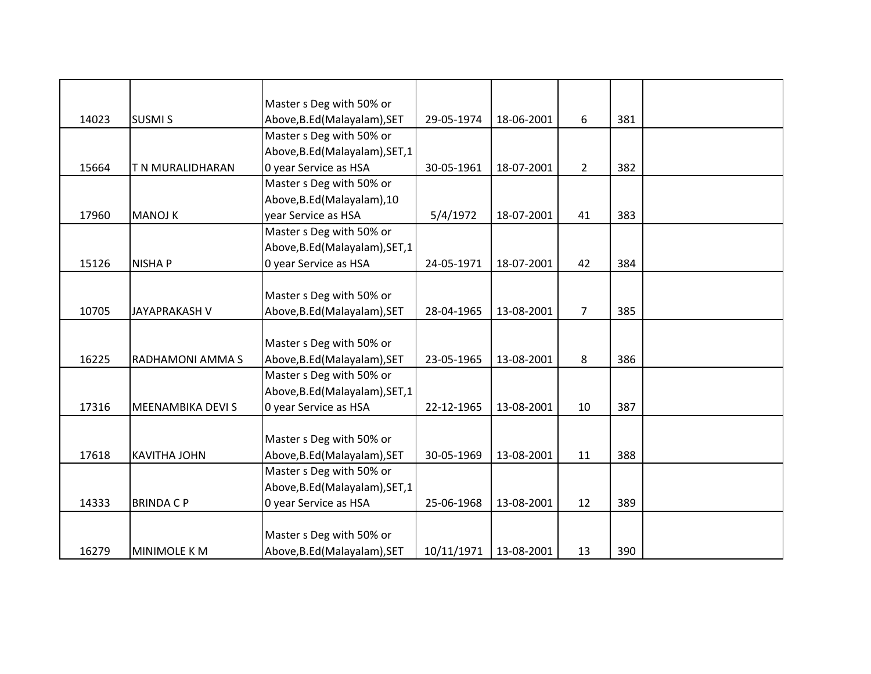|       |                      | Master s Deg with 50% or        |            |            |                |     |  |
|-------|----------------------|---------------------------------|------------|------------|----------------|-----|--|
| 14023 | <b>SUSMIS</b>        | Above, B.Ed (Malayalam), SET    | 29-05-1974 | 18-06-2001 | 6              | 381 |  |
|       |                      | Master s Deg with 50% or        |            |            |                |     |  |
|       |                      | Above, B.Ed (Malayalam), SET, 1 |            |            |                |     |  |
| 15664 | T N MURALIDHARAN     | 0 year Service as HSA           | 30-05-1961 | 18-07-2001 | $\overline{2}$ | 382 |  |
|       |                      | Master s Deg with 50% or        |            |            |                |     |  |
|       |                      | Above, B.Ed (Malayalam), 10     |            |            |                |     |  |
| 17960 | <b>MANOJ K</b>       | year Service as HSA             | 5/4/1972   | 18-07-2001 | 41             | 383 |  |
|       |                      | Master s Deg with 50% or        |            |            |                |     |  |
|       |                      | Above, B.Ed (Malayalam), SET, 1 |            |            |                |     |  |
| 15126 | <b>NISHAP</b>        | 0 year Service as HSA           | 24-05-1971 | 18-07-2001 | 42             | 384 |  |
|       |                      |                                 |            |            |                |     |  |
|       |                      | Master s Deg with 50% or        |            |            |                |     |  |
| 10705 | <b>JAYAPRAKASH V</b> | Above, B.Ed (Malayalam), SET    | 28-04-1965 | 13-08-2001 | 7              | 385 |  |
|       |                      |                                 |            |            |                |     |  |
|       |                      | Master s Deg with 50% or        |            |            |                |     |  |
| 16225 | RADHAMONI AMMA S     | Above, B.Ed (Malayalam), SET    | 23-05-1965 | 13-08-2001 | 8              | 386 |  |
|       |                      | Master s Deg with 50% or        |            |            |                |     |  |
|       |                      | Above, B.Ed (Malayalam), SET, 1 |            |            |                |     |  |
| 17316 | MEENAMBIKA DEVI S    | 0 year Service as HSA           | 22-12-1965 | 13-08-2001 | 10             | 387 |  |
|       |                      |                                 |            |            |                |     |  |
|       |                      | Master s Deg with 50% or        |            |            |                |     |  |
| 17618 | <b>KAVITHA JOHN</b>  | Above, B.Ed (Malayalam), SET    | 30-05-1969 | 13-08-2001 | 11             | 388 |  |
|       |                      | Master s Deg with 50% or        |            |            |                |     |  |
|       |                      | Above, B.Ed (Malayalam), SET, 1 |            |            |                |     |  |
| 14333 | <b>BRINDACP</b>      | 0 year Service as HSA           | 25-06-1968 | 13-08-2001 | 12             | 389 |  |
|       |                      |                                 |            |            |                |     |  |
|       |                      | Master s Deg with 50% or        |            |            |                |     |  |
| 16279 | <b>MINIMOLE K M</b>  | Above, B.Ed (Malayalam), SET    | 10/11/1971 | 13-08-2001 | 13             | 390 |  |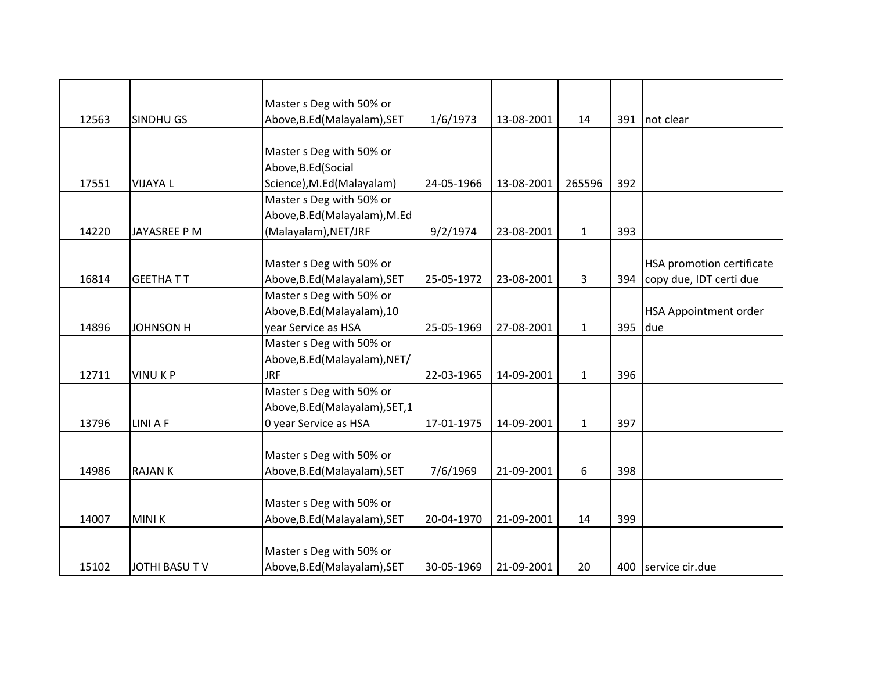|       |                  | Master s Deg with 50% or        |            |            |              |     |                                  |
|-------|------------------|---------------------------------|------------|------------|--------------|-----|----------------------------------|
| 12563 | SINDHU GS        | Above, B.Ed (Malayalam), SET    | 1/6/1973   | 13-08-2001 | 14           | 391 | not clear                        |
|       |                  |                                 |            |            |              |     |                                  |
|       |                  | Master s Deg with 50% or        |            |            |              |     |                                  |
|       |                  | Above, B.Ed (Social             |            |            |              |     |                                  |
| 17551 | <b>VIJAYA L</b>  | Science), M.Ed(Malayalam)       | 24-05-1966 | 13-08-2001 | 265596       | 392 |                                  |
|       |                  | Master s Deg with 50% or        |            |            |              |     |                                  |
|       |                  | Above, B.Ed (Malayalam), M.Ed   |            |            |              |     |                                  |
| 14220 | JAYASREE P M     | (Malayalam), NET/JRF            | 9/2/1974   | 23-08-2001 | $\mathbf{1}$ | 393 |                                  |
|       |                  |                                 |            |            |              |     |                                  |
|       |                  | Master s Deg with 50% or        |            |            |              |     | <b>HSA promotion certificate</b> |
| 16814 | <b>GEETHATT</b>  | Above, B.Ed (Malayalam), SET    | 25-05-1972 | 23-08-2001 | 3            | 394 | copy due, IDT certi due          |
|       |                  | Master s Deg with 50% or        |            |            |              |     |                                  |
|       |                  | Above, B.Ed (Malayalam), 10     |            |            |              |     | <b>HSA Appointment order</b>     |
| 14896 | <b>JOHNSON H</b> | year Service as HSA             | 25-05-1969 | 27-08-2001 | $\mathbf{1}$ | 395 | due                              |
|       |                  | Master s Deg with 50% or        |            |            |              |     |                                  |
|       |                  | Above, B.Ed (Malayalam), NET/   |            |            |              |     |                                  |
| 12711 | <b>VINUKP</b>    | <b>JRF</b>                      | 22-03-1965 | 14-09-2001 | $\mathbf{1}$ | 396 |                                  |
|       |                  | Master s Deg with 50% or        |            |            |              |     |                                  |
|       |                  | Above, B.Ed (Malayalam), SET, 1 |            |            |              |     |                                  |
| 13796 | <b>LINI A F</b>  | 0 year Service as HSA           | 17-01-1975 | 14-09-2001 | $\mathbf{1}$ | 397 |                                  |
|       |                  |                                 |            |            |              |     |                                  |
|       |                  | Master s Deg with 50% or        |            |            |              |     |                                  |
| 14986 | <b>RAJANK</b>    | Above, B.Ed (Malayalam), SET    | 7/6/1969   | 21-09-2001 | 6            | 398 |                                  |
|       |                  |                                 |            |            |              |     |                                  |
|       |                  | Master s Deg with 50% or        |            |            |              |     |                                  |
| 14007 | <b>MINIK</b>     | Above, B.Ed (Malayalam), SET    | 20-04-1970 | 21-09-2001 | 14           | 399 |                                  |
|       |                  |                                 |            |            |              |     |                                  |
|       |                  | Master s Deg with 50% or        |            |            |              |     |                                  |
| 15102 | JOTHI BASU TV    | Above, B.Ed (Malayalam), SET    | 30-05-1969 | 21-09-2001 | 20           | 400 | service cir.due                  |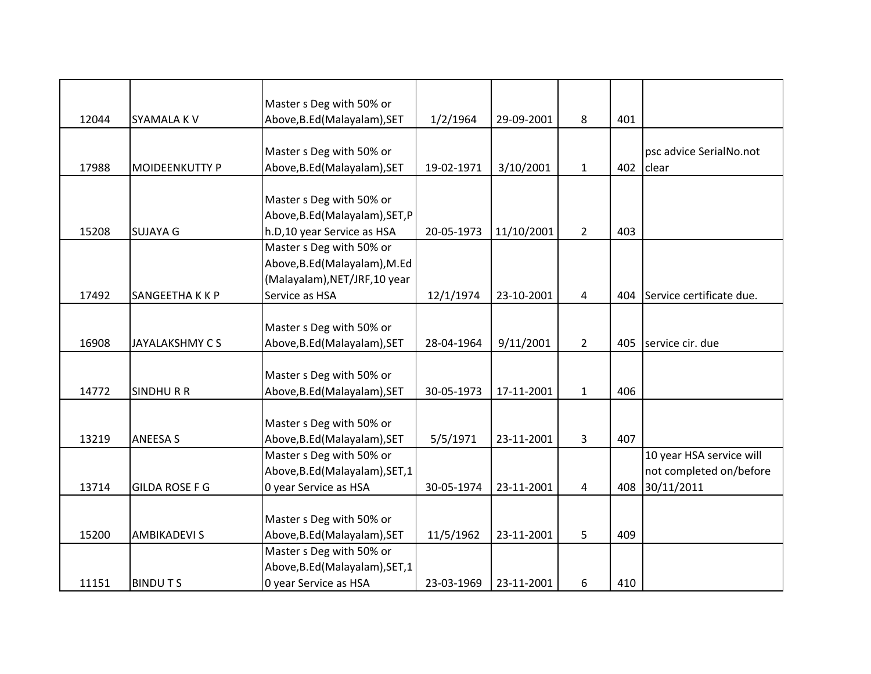|       |                       | Master s Deg with 50% or        |            |            |                |     |                          |
|-------|-----------------------|---------------------------------|------------|------------|----------------|-----|--------------------------|
| 12044 | SYAMALA KV            | Above, B.Ed (Malayalam), SET    | 1/2/1964   | 29-09-2001 | 8              | 401 |                          |
|       |                       |                                 |            |            |                |     |                          |
|       |                       | Master s Deg with 50% or        |            |            |                |     | psc advice SerialNo.not  |
| 17988 | <b>MOIDEENKUTTY P</b> | Above, B.Ed (Malayalam), SET    | 19-02-1971 | 3/10/2001  | $\mathbf{1}$   | 402 | clear                    |
|       |                       |                                 |            |            |                |     |                          |
|       |                       | Master s Deg with 50% or        |            |            |                |     |                          |
|       |                       | Above, B.Ed (Malayalam), SET, P |            |            |                |     |                          |
| 15208 | <b>SUJAYA G</b>       | h.D,10 year Service as HSA      | 20-05-1973 | 11/10/2001 | $\overline{2}$ | 403 |                          |
|       |                       | Master s Deg with 50% or        |            |            |                |     |                          |
|       |                       | Above, B.Ed (Malayalam), M.Ed   |            |            |                |     |                          |
|       |                       | (Malayalam), NET/JRF, 10 year   |            |            |                |     |                          |
| 17492 | SANGEETHA K K P       | Service as HSA                  | 12/1/1974  | 23-10-2001 | $\overline{4}$ | 404 | Service certificate due. |
|       |                       |                                 |            |            |                |     |                          |
|       |                       | Master s Deg with 50% or        |            |            |                |     |                          |
| 16908 | JAYALAKSHMY CS        | Above, B.Ed (Malayalam), SET    | 28-04-1964 | 9/11/2001  | $2^{\circ}$    | 405 | service cir. due         |
|       |                       |                                 |            |            |                |     |                          |
|       |                       | Master s Deg with 50% or        |            |            |                |     |                          |
| 14772 | <b>SINDHURR</b>       | Above, B.Ed (Malayalam), SET    | 30-05-1973 | 17-11-2001 | $\mathbf{1}$   | 406 |                          |
|       |                       |                                 |            |            |                |     |                          |
|       |                       | Master s Deg with 50% or        |            |            |                |     |                          |
| 13219 | <b>ANEESA S</b>       | Above, B.Ed (Malayalam), SET    | 5/5/1971   | 23-11-2001 | 3              | 407 |                          |
|       |                       | Master s Deg with 50% or        |            |            |                |     | 10 year HSA service will |
|       |                       | Above, B.Ed (Malayalam), SET, 1 |            |            |                |     | not completed on/before  |
| 13714 | <b>GILDA ROSE F G</b> | 0 year Service as HSA           | 30-05-1974 | 23-11-2001 | 4              | 408 | 30/11/2011               |
|       |                       |                                 |            |            |                |     |                          |
|       |                       | Master s Deg with 50% or        |            |            |                |     |                          |
| 15200 | <b>AMBIKADEVI S</b>   | Above, B.Ed (Malayalam), SET    | 11/5/1962  | 23-11-2001 | 5              | 409 |                          |
|       |                       | Master s Deg with 50% or        |            |            |                |     |                          |
|       |                       | Above, B.Ed (Malayalam), SET, 1 |            |            |                |     |                          |
| 11151 | <b>BINDUTS</b>        | 0 year Service as HSA           | 23-03-1969 | 23-11-2001 | 6              | 410 |                          |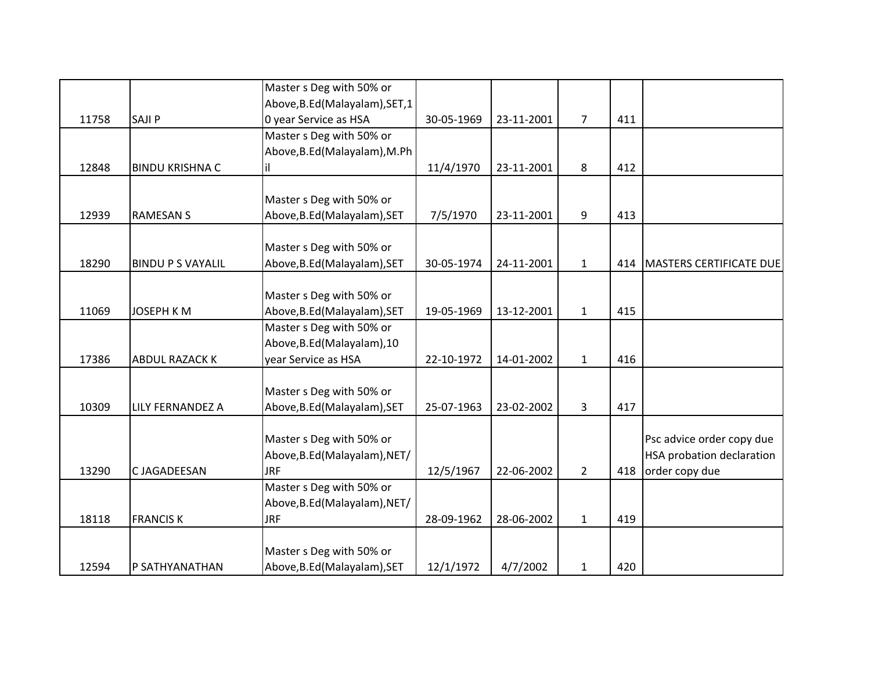|       |                          | Master s Deg with 50% or        |            |            |                |     |                                |
|-------|--------------------------|---------------------------------|------------|------------|----------------|-----|--------------------------------|
|       |                          | Above, B.Ed (Malayalam), SET, 1 |            |            |                |     |                                |
| 11758 | SAJI P                   | 0 year Service as HSA           | 30-05-1969 | 23-11-2001 | $\overline{7}$ | 411 |                                |
|       |                          | Master s Deg with 50% or        |            |            |                |     |                                |
|       |                          | Above, B.Ed (Malayalam), M.Ph   |            |            |                |     |                                |
| 12848 | <b>BINDU KRISHNA C</b>   | il.                             | 11/4/1970  | 23-11-2001 | 8              | 412 |                                |
|       |                          |                                 |            |            |                |     |                                |
|       |                          | Master s Deg with 50% or        |            |            |                |     |                                |
| 12939 | <b>RAMESAN S</b>         | Above, B.Ed (Malayalam), SET    | 7/5/1970   | 23-11-2001 | 9              | 413 |                                |
|       |                          |                                 |            |            |                |     |                                |
|       |                          | Master s Deg with 50% or        |            |            |                |     |                                |
| 18290 | <b>BINDU P S VAYALIL</b> | Above, B.Ed (Malayalam), SET    | 30-05-1974 | 24-11-2001 | $\mathbf{1}$   | 414 | <b>MASTERS CERTIFICATE DUE</b> |
|       |                          |                                 |            |            |                |     |                                |
|       |                          | Master s Deg with 50% or        |            |            |                |     |                                |
| 11069 | <b>JOSEPH KM</b>         | Above, B.Ed (Malayalam), SET    | 19-05-1969 | 13-12-2001 | $\mathbf{1}$   | 415 |                                |
|       |                          | Master s Deg with 50% or        |            |            |                |     |                                |
|       |                          | Above, B.Ed (Malayalam), 10     |            |            |                |     |                                |
| 17386 | <b>ABDUL RAZACK K</b>    | year Service as HSA             | 22-10-1972 | 14-01-2002 | $\mathbf{1}$   | 416 |                                |
|       |                          |                                 |            |            |                |     |                                |
|       |                          | Master s Deg with 50% or        |            |            |                |     |                                |
| 10309 | LILY FERNANDEZ A         | Above, B.Ed (Malayalam), SET    | 25-07-1963 | 23-02-2002 | 3              | 417 |                                |
|       |                          | Master s Deg with 50% or        |            |            |                |     | Psc advice order copy due      |
|       |                          | Above, B.Ed (Malayalam), NET/   |            |            |                |     | HSA probation declaration      |
| 13290 | C JAGADEESAN             | <b>JRF</b>                      | 12/5/1967  | 22-06-2002 | $2^{\circ}$    | 418 | order copy due                 |
|       |                          | Master s Deg with 50% or        |            |            |                |     |                                |
|       |                          | Above, B.Ed (Malayalam), NET/   |            |            |                |     |                                |
| 18118 | <b>FRANCISK</b>          | <b>JRF</b>                      | 28-09-1962 | 28-06-2002 | $\mathbf{1}$   | 419 |                                |
|       |                          |                                 |            |            |                |     |                                |
|       |                          | Master s Deg with 50% or        |            |            |                |     |                                |
| 12594 | P SATHYANATHAN           | Above, B.Ed (Malayalam), SET    | 12/1/1972  | 4/7/2002   | $\mathbf{1}$   | 420 |                                |
|       |                          |                                 |            |            |                |     |                                |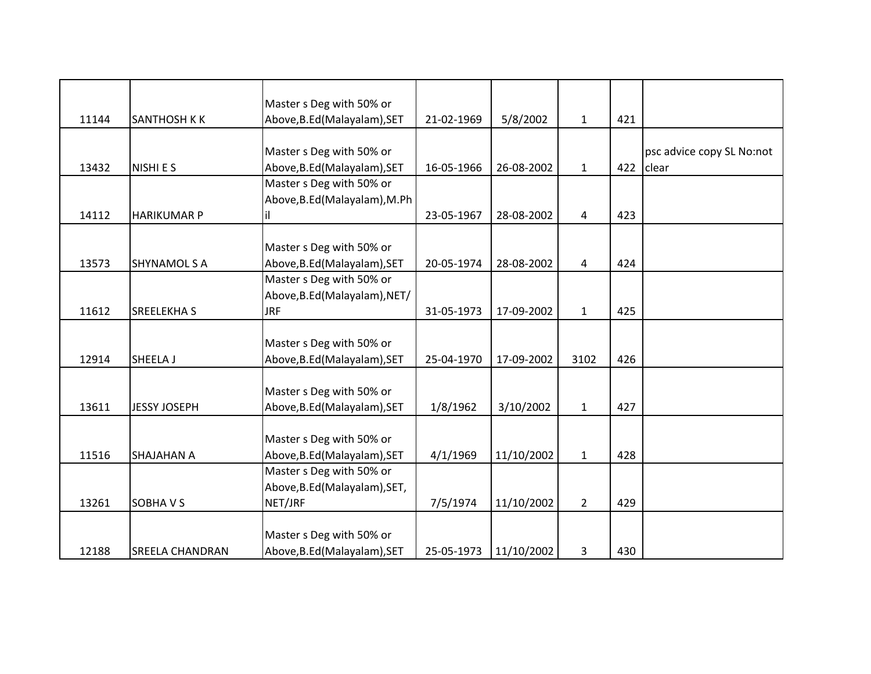|       |                        | Master s Deg with 50% or      |            |            |              |     |                           |
|-------|------------------------|-------------------------------|------------|------------|--------------|-----|---------------------------|
| 11144 | <b>SANTHOSH K K</b>    | Above, B.Ed (Malayalam), SET  | 21-02-1969 | 5/8/2002   | $\mathbf{1}$ | 421 |                           |
|       |                        |                               |            |            |              |     |                           |
|       |                        | Master s Deg with 50% or      |            |            |              |     | psc advice copy SL No:not |
| 13432 | NISHI E S              | Above, B.Ed (Malayalam), SET  | 16-05-1966 | 26-08-2002 | $\mathbf{1}$ | 422 | clear                     |
|       |                        | Master s Deg with 50% or      |            |            |              |     |                           |
|       |                        | Above, B.Ed (Malayalam), M.Ph |            |            |              |     |                           |
| 14112 | <b>HARIKUMAR P</b>     |                               | 23-05-1967 | 28-08-2002 | 4            | 423 |                           |
|       |                        |                               |            |            |              |     |                           |
|       |                        | Master s Deg with 50% or      |            |            |              |     |                           |
| 13573 | <b>SHYNAMOL S A</b>    | Above, B.Ed (Malayalam), SET  | 20-05-1974 | 28-08-2002 | 4            | 424 |                           |
|       |                        | Master s Deg with 50% or      |            |            |              |     |                           |
|       |                        | Above, B.Ed (Malayalam), NET/ |            |            |              |     |                           |
| 11612 | <b>SREELEKHA S</b>     | <b>JRF</b>                    | 31-05-1973 | 17-09-2002 | $\mathbf{1}$ | 425 |                           |
|       |                        |                               |            |            |              |     |                           |
|       |                        | Master s Deg with 50% or      |            |            |              |     |                           |
| 12914 | SHEELA J               | Above, B.Ed (Malayalam), SET  | 25-04-1970 | 17-09-2002 | 3102         | 426 |                           |
|       |                        |                               |            |            |              |     |                           |
|       |                        | Master s Deg with 50% or      |            |            |              |     |                           |
| 13611 | <b>JESSY JOSEPH</b>    | Above, B.Ed (Malayalam), SET  | 1/8/1962   | 3/10/2002  | $\mathbf{1}$ | 427 |                           |
|       |                        |                               |            |            |              |     |                           |
|       |                        | Master s Deg with 50% or      |            |            |              |     |                           |
| 11516 | <b>SHAJAHAN A</b>      | Above, B.Ed (Malayalam), SET  | 4/1/1969   | 11/10/2002 | $\mathbf{1}$ | 428 |                           |
|       |                        | Master s Deg with 50% or      |            |            |              |     |                           |
|       |                        | Above, B.Ed (Malayalam), SET, |            |            |              |     |                           |
| 13261 | <b>SOBHAVS</b>         | NET/JRF                       | 7/5/1974   | 11/10/2002 | $2^{\circ}$  | 429 |                           |
|       |                        |                               |            |            |              |     |                           |
|       |                        | Master s Deg with 50% or      |            |            |              |     |                           |
| 12188 | <b>SREELA CHANDRAN</b> | Above, B.Ed (Malayalam), SET  | 25-05-1973 | 11/10/2002 | 3            | 430 |                           |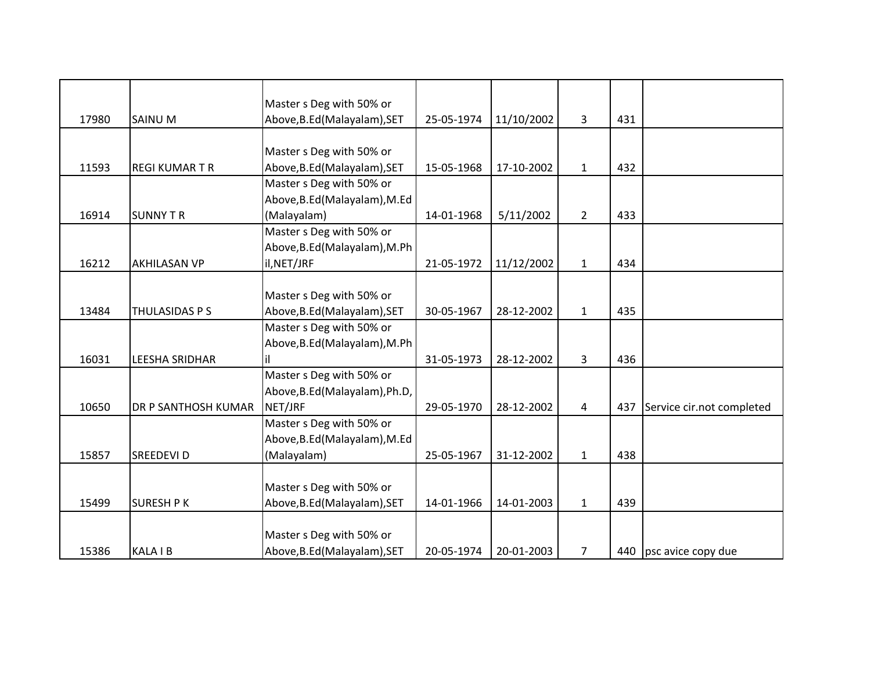|       |                       | Master s Deg with 50% or       |            |            |                |     |                           |
|-------|-----------------------|--------------------------------|------------|------------|----------------|-----|---------------------------|
| 17980 | <b>SAINU M</b>        | Above, B.Ed (Malayalam), SET   | 25-05-1974 | 11/10/2002 | 3              | 431 |                           |
|       |                       |                                |            |            |                |     |                           |
|       |                       | Master s Deg with 50% or       |            |            |                |     |                           |
| 11593 | <b>REGI KUMARTR</b>   | Above, B.Ed (Malayalam), SET   | 15-05-1968 | 17-10-2002 | $\mathbf{1}$   | 432 |                           |
|       |                       | Master s Deg with 50% or       |            |            |                |     |                           |
|       |                       | Above, B.Ed (Malayalam), M.Ed  |            |            |                |     |                           |
| 16914 | <b>SUNNY T R</b>      | (Malayalam)                    | 14-01-1968 | 5/11/2002  | $\overline{2}$ | 433 |                           |
|       |                       | Master s Deg with 50% or       |            |            |                |     |                           |
|       |                       | Above, B.Ed (Malayalam), M.Ph  |            |            |                |     |                           |
| 16212 | <b>AKHILASAN VP</b>   | il, NET/JRF                    | 21-05-1972 | 11/12/2002 | $\mathbf{1}$   | 434 |                           |
|       |                       |                                |            |            |                |     |                           |
|       |                       | Master s Deg with 50% or       |            |            |                |     |                           |
| 13484 | THULASIDAS P S        | Above, B.Ed (Malayalam), SET   | 30-05-1967 | 28-12-2002 | $\mathbf{1}$   | 435 |                           |
|       |                       | Master s Deg with 50% or       |            |            |                |     |                           |
|       |                       | Above, B.Ed (Malayalam), M.Ph  |            |            |                |     |                           |
| 16031 | <b>LEESHA SRIDHAR</b> |                                | 31-05-1973 | 28-12-2002 | $\overline{3}$ | 436 |                           |
|       |                       | Master s Deg with 50% or       |            |            |                |     |                           |
|       |                       | Above, B.Ed (Malayalam), Ph.D, |            |            |                |     |                           |
| 10650 | DR P SANTHOSH KUMAR   | NET/JRF                        | 29-05-1970 | 28-12-2002 | 4              | 437 | Service cir.not completed |
|       |                       | Master s Deg with 50% or       |            |            |                |     |                           |
|       |                       | Above, B.Ed (Malayalam), M.Ed  |            |            |                |     |                           |
| 15857 | <b>SREEDEVID</b>      | (Malayalam)                    | 25-05-1967 | 31-12-2002 | $\mathbf{1}$   | 438 |                           |
|       |                       |                                |            |            |                |     |                           |
|       |                       | Master s Deg with 50% or       |            |            |                |     |                           |
| 15499 | <b>SURESH P K</b>     | Above, B.Ed (Malayalam), SET   | 14-01-1966 | 14-01-2003 | $\mathbf{1}$   | 439 |                           |
|       |                       |                                |            |            |                |     |                           |
|       |                       | Master s Deg with 50% or       |            |            |                |     |                           |
| 15386 | <b>KALA IB</b>        | Above, B.Ed (Malayalam), SET   | 20-05-1974 | 20-01-2003 | 7              |     | 440 psc avice copy due    |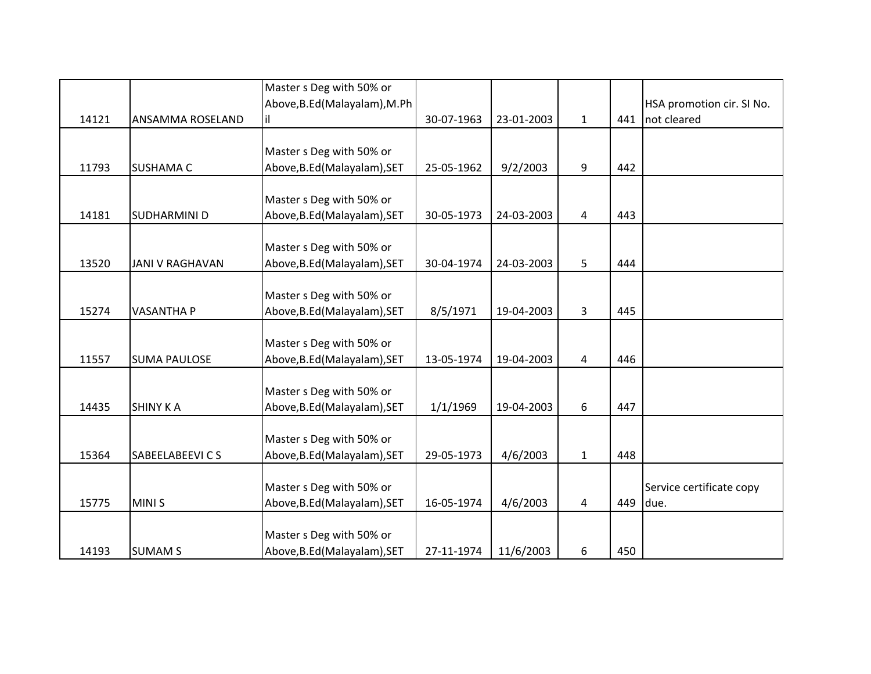|       |                        | Master s Deg with 50% or      |            |            |                |     |                           |
|-------|------------------------|-------------------------------|------------|------------|----------------|-----|---------------------------|
|       |                        | Above, B.Ed (Malayalam), M.Ph |            |            |                |     | HSA promotion cir. SI No. |
| 14121 | ANSAMMA ROSELAND       | il                            | 30-07-1963 | 23-01-2003 | $\mathbf{1}$   | 441 | not cleared               |
|       |                        |                               |            |            |                |     |                           |
|       |                        | Master s Deg with 50% or      |            |            |                |     |                           |
| 11793 | <b>SUSHAMA C</b>       | Above, B.Ed (Malayalam), SET  | 25-05-1962 | 9/2/2003   | 9              | 442 |                           |
|       |                        |                               |            |            |                |     |                           |
|       |                        | Master s Deg with 50% or      |            |            |                |     |                           |
| 14181 | SUDHARMINI D           | Above, B.Ed (Malayalam), SET  | 30-05-1973 | 24-03-2003 | 4              | 443 |                           |
|       |                        |                               |            |            |                |     |                           |
|       |                        | Master s Deg with 50% or      |            |            |                |     |                           |
| 13520 | <b>JANI V RAGHAVAN</b> | Above, B.Ed (Malayalam), SET  | 30-04-1974 | 24-03-2003 | 5              | 444 |                           |
|       |                        |                               |            |            |                |     |                           |
|       |                        | Master s Deg with 50% or      |            |            |                |     |                           |
| 15274 | <b>VASANTHA P</b>      | Above, B.Ed (Malayalam), SET  | 8/5/1971   | 19-04-2003 | $\overline{3}$ | 445 |                           |
|       |                        |                               |            |            |                |     |                           |
|       |                        | Master s Deg with 50% or      |            |            |                |     |                           |
| 11557 | <b>SUMA PAULOSE</b>    | Above, B.Ed (Malayalam), SET  | 13-05-1974 | 19-04-2003 | 4              | 446 |                           |
|       |                        |                               |            |            |                |     |                           |
|       |                        | Master s Deg with 50% or      |            |            |                |     |                           |
| 14435 | <b>SHINY KA</b>        | Above, B.Ed (Malayalam), SET  | 1/1/1969   | 19-04-2003 | 6              | 447 |                           |
|       |                        |                               |            |            |                |     |                           |
|       |                        | Master s Deg with 50% or      |            |            |                |     |                           |
| 15364 | SABEELABEEVI C S       | Above, B.Ed (Malayalam), SET  | 29-05-1973 | 4/6/2003   | $1\,$          | 448 |                           |
|       |                        |                               |            |            |                |     |                           |
|       |                        | Master s Deg with 50% or      |            |            |                |     | Service certificate copy  |
| 15775 | MINI <sub>S</sub>      | Above, B.Ed (Malayalam), SET  | 16-05-1974 | 4/6/2003   | 4              | 449 | due.                      |
|       |                        |                               |            |            |                |     |                           |
|       |                        | Master s Deg with 50% or      |            |            |                |     |                           |
| 14193 | <b>SUMAM S</b>         | Above, B.Ed (Malayalam), SET  | 27-11-1974 | 11/6/2003  | 6              | 450 |                           |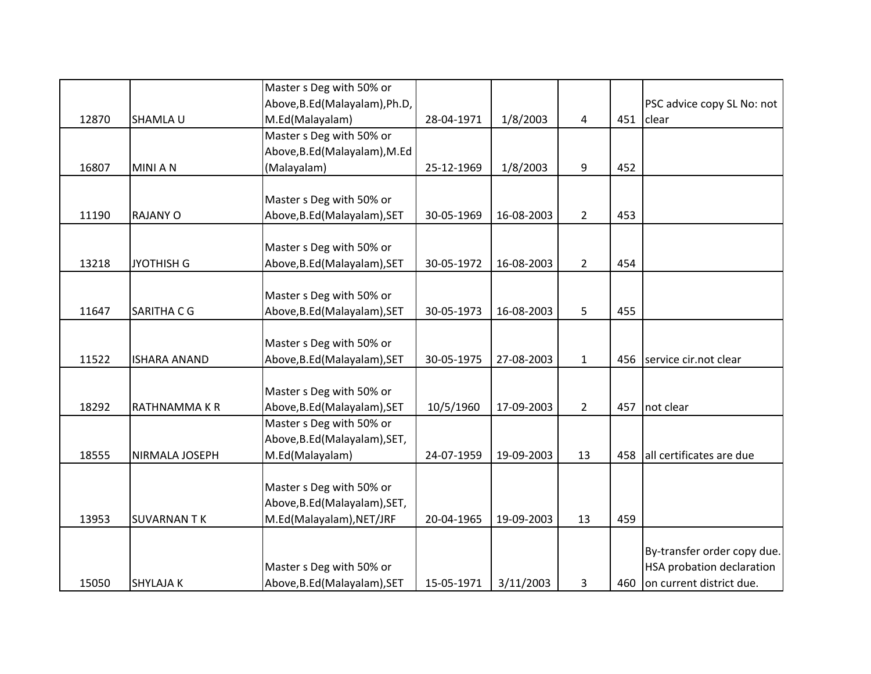|       |                     | Master s Deg with 50% or       |            |            |                |     |                                  |
|-------|---------------------|--------------------------------|------------|------------|----------------|-----|----------------------------------|
|       |                     | Above, B.Ed (Malayalam), Ph.D, |            |            |                |     | PSC advice copy SL No: not       |
| 12870 | SHAMLA U            | M.Ed(Malayalam)                | 28-04-1971 | 1/8/2003   | 4              | 451 | clear                            |
|       |                     | Master s Deg with 50% or       |            |            |                |     |                                  |
|       |                     | Above, B.Ed (Malayalam), M.Ed  |            |            |                |     |                                  |
| 16807 | <b>MINIAN</b>       | (Malayalam)                    | 25-12-1969 | 1/8/2003   | 9              | 452 |                                  |
|       |                     |                                |            |            |                |     |                                  |
|       |                     | Master s Deg with 50% or       |            |            |                |     |                                  |
| 11190 | <b>RAJANY O</b>     | Above, B.Ed (Malayalam), SET   | 30-05-1969 | 16-08-2003 | $\overline{2}$ | 453 |                                  |
|       |                     |                                |            |            |                |     |                                  |
|       |                     | Master s Deg with 50% or       |            |            |                |     |                                  |
| 13218 | <b>JYOTHISH G</b>   | Above, B.Ed (Malayalam), SET   | 30-05-1972 | 16-08-2003 | $2^{\circ}$    | 454 |                                  |
|       |                     |                                |            |            |                |     |                                  |
|       |                     | Master s Deg with 50% or       |            |            |                |     |                                  |
| 11647 | SARITHA C G         | Above, B.Ed (Malayalam), SET   | 30-05-1973 | 16-08-2003 | 5              | 455 |                                  |
|       |                     |                                |            |            |                |     |                                  |
|       |                     | Master s Deg with 50% or       |            |            |                |     |                                  |
| 11522 | <b>ISHARA ANAND</b> | Above, B.Ed (Malayalam), SET   | 30-05-1975 | 27-08-2003 | $\mathbf{1}$   | 456 | service cir.not clear            |
|       |                     |                                |            |            |                |     |                                  |
|       |                     | Master s Deg with 50% or       |            |            |                |     |                                  |
| 18292 | RATHNAMMA K R       | Above, B.Ed (Malayalam), SET   | 10/5/1960  | 17-09-2003 | $2^{\circ}$    | 457 | not clear                        |
|       |                     | Master s Deg with 50% or       |            |            |                |     |                                  |
|       |                     | Above, B.Ed (Malayalam), SET,  |            |            |                |     |                                  |
| 18555 | NIRMALA JOSEPH      | M.Ed(Malayalam)                | 24-07-1959 | 19-09-2003 | 13             | 458 | all certificates are due         |
|       |                     |                                |            |            |                |     |                                  |
|       |                     | Master s Deg with 50% or       |            |            |                |     |                                  |
|       |                     | Above, B.Ed (Malayalam), SET,  |            |            |                |     |                                  |
| 13953 | <b>SUVARNANTK</b>   | M.Ed(Malayalam), NET/JRF       | 20-04-1965 | 19-09-2003 | 13             | 459 |                                  |
|       |                     |                                |            |            |                |     |                                  |
|       |                     |                                |            |            |                |     | By-transfer order copy due.      |
|       |                     | Master s Deg with 50% or       |            |            |                |     | <b>HSA probation declaration</b> |
| 15050 | <b>SHYLAJAK</b>     | Above, B.Ed (Malayalam), SET   | 15-05-1971 | 3/11/2003  | 3              | 460 | on current district due.         |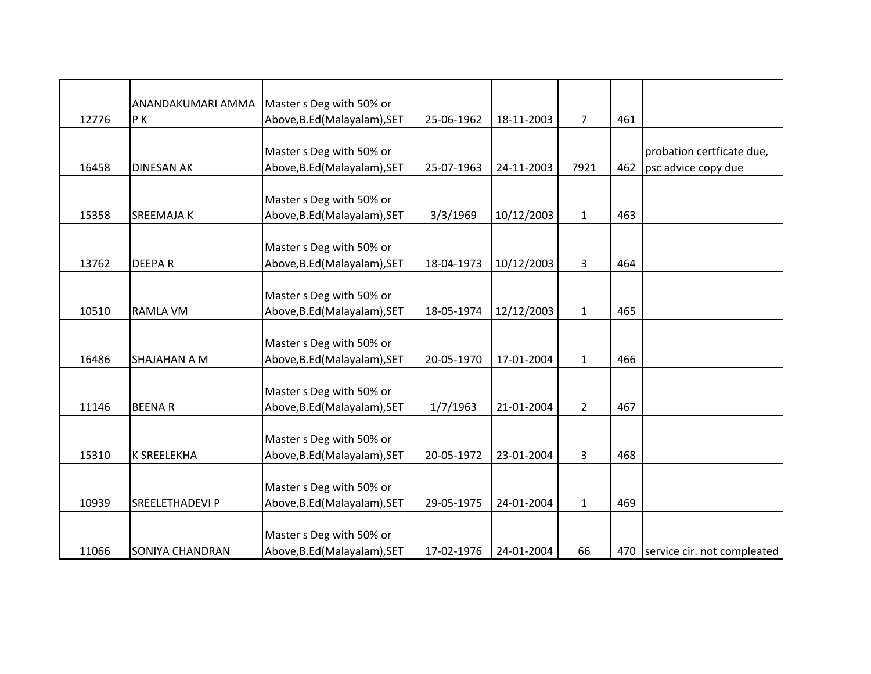|       | ANANDAKUMARI AMMA      | Master s Deg with 50% or     |            |            |                |     |                                 |
|-------|------------------------|------------------------------|------------|------------|----------------|-----|---------------------------------|
| 12776 | PK                     | Above, B.Ed (Malayalam), SET | 25-06-1962 | 18-11-2003 | $\overline{7}$ | 461 |                                 |
|       |                        |                              |            |            |                |     |                                 |
|       |                        | Master s Deg with 50% or     |            |            |                |     | probation certficate due,       |
| 16458 | <b>DINESAN AK</b>      | Above, B.Ed (Malayalam), SET | 25-07-1963 | 24-11-2003 | 7921           | 462 | psc advice copy due             |
|       |                        |                              |            |            |                |     |                                 |
|       |                        | Master s Deg with 50% or     |            |            |                |     |                                 |
| 15358 | <b>SREEMAJA K</b>      | Above, B.Ed (Malayalam), SET | 3/3/1969   | 10/12/2003 | $\mathbf{1}$   | 463 |                                 |
|       |                        |                              |            |            |                |     |                                 |
|       |                        | Master s Deg with 50% or     |            |            |                |     |                                 |
| 13762 | <b>DEEPAR</b>          | Above, B.Ed (Malayalam), SET | 18-04-1973 | 10/12/2003 | $\overline{3}$ | 464 |                                 |
|       |                        |                              |            |            |                |     |                                 |
|       |                        | Master s Deg with 50% or     |            |            |                |     |                                 |
| 10510 | <b>RAMLA VM</b>        | Above, B.Ed (Malayalam), SET | 18-05-1974 | 12/12/2003 | $\mathbf{1}$   | 465 |                                 |
|       |                        |                              |            |            |                |     |                                 |
|       |                        | Master s Deg with 50% or     |            |            |                |     |                                 |
| 16486 | SHAJAHAN A M           | Above, B.Ed (Malayalam), SET | 20-05-1970 | 17-01-2004 | $\mathbf{1}$   | 466 |                                 |
|       |                        |                              |            |            |                |     |                                 |
|       |                        | Master s Deg with 50% or     |            |            |                |     |                                 |
| 11146 | <b>BEENAR</b>          | Above, B.Ed (Malayalam), SET | 1/7/1963   | 21-01-2004 | $\overline{2}$ | 467 |                                 |
|       |                        |                              |            |            |                |     |                                 |
|       |                        | Master s Deg with 50% or     |            |            |                |     |                                 |
| 15310 | <b>K SREELEKHA</b>     | Above, B.Ed (Malayalam), SET | 20-05-1972 | 23-01-2004 | 3              | 468 |                                 |
|       |                        |                              |            |            |                |     |                                 |
|       |                        | Master s Deg with 50% or     |            |            |                |     |                                 |
| 10939 | <b>SREELETHADEVI P</b> | Above, B.Ed (Malayalam), SET | 29-05-1975 | 24-01-2004 | $\mathbf{1}$   | 469 |                                 |
|       |                        |                              |            |            |                |     |                                 |
|       |                        | Master s Deg with 50% or     |            |            |                |     |                                 |
| 11066 | <b>SONIYA CHANDRAN</b> | Above, B.Ed (Malayalam), SET | 17-02-1976 | 24-01-2004 | 66             |     | 470 service cir. not compleated |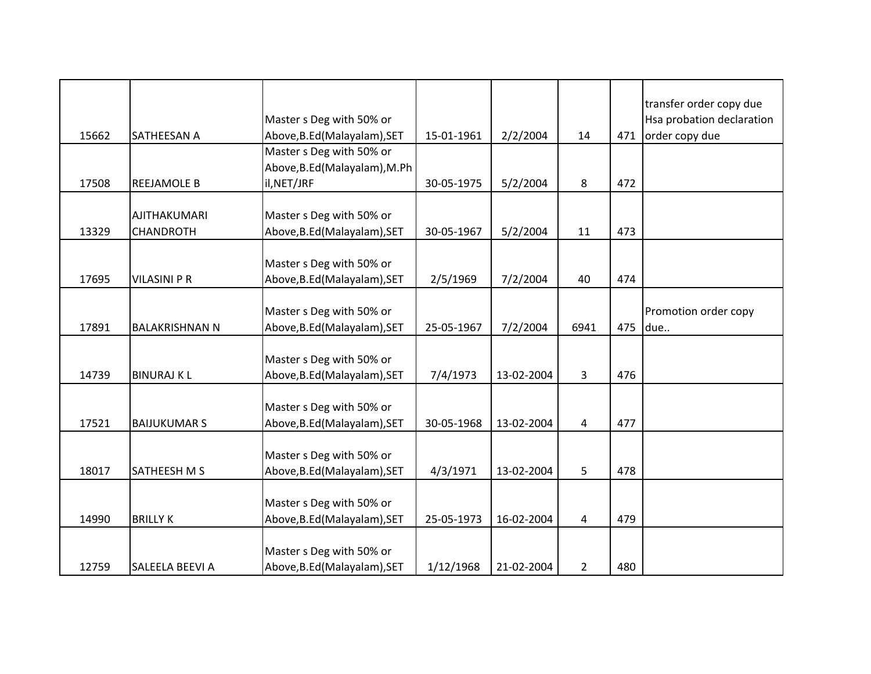| 15662 | SATHEESAN A                             | Master s Deg with 50% or<br>Above, B.Ed (Malayalam), SET                 | 15-01-1961 | 2/2/2004   | 14                      | 471 | transfer order copy due<br>Hsa probation declaration<br>order copy due |
|-------|-----------------------------------------|--------------------------------------------------------------------------|------------|------------|-------------------------|-----|------------------------------------------------------------------------|
| 17508 | <b>REEJAMOLE B</b>                      | Master s Deg with 50% or<br>Above, B.Ed (Malayalam), M.Ph<br>il, NET/JRF | 30-05-1975 | 5/2/2004   | 8                       | 472 |                                                                        |
| 13329 | <b>AJITHAKUMARI</b><br><b>CHANDROTH</b> | Master s Deg with 50% or<br>Above, B.Ed (Malayalam), SET                 | 30-05-1967 | 5/2/2004   | 11                      | 473 |                                                                        |
| 17695 | <b>VILASINI P R</b>                     | Master s Deg with 50% or<br>Above, B.Ed (Malayalam), SET                 | 2/5/1969   | 7/2/2004   | 40                      | 474 |                                                                        |
| 17891 | <b>BALAKRISHNAN N</b>                   | Master s Deg with 50% or<br>Above, B.Ed (Malayalam), SET                 | 25-05-1967 | 7/2/2004   | 6941                    | 475 | Promotion order copy<br>due                                            |
| 14739 | <b>BINURAJ K L</b>                      | Master s Deg with 50% or<br>Above, B.Ed (Malayalam), SET                 | 7/4/1973   | 13-02-2004 | $\overline{\mathbf{3}}$ | 476 |                                                                        |
| 17521 | <b>BAIJUKUMAR S</b>                     | Master s Deg with 50% or<br>Above, B.Ed (Malayalam), SET                 | 30-05-1968 | 13-02-2004 | 4                       | 477 |                                                                        |
| 18017 | SATHEESH M S                            | Master s Deg with 50% or<br>Above, B.Ed (Malayalam), SET                 | 4/3/1971   | 13-02-2004 | 5                       | 478 |                                                                        |
| 14990 | <b>BRILLY K</b>                         | Master s Deg with 50% or<br>Above, B.Ed (Malayalam), SET                 | 25-05-1973 | 16-02-2004 | 4                       | 479 |                                                                        |
| 12759 | SALEELA BEEVI A                         | Master s Deg with 50% or<br>Above, B.Ed (Malayalam), SET                 | 1/12/1968  | 21-02-2004 | $\overline{2}$          | 480 |                                                                        |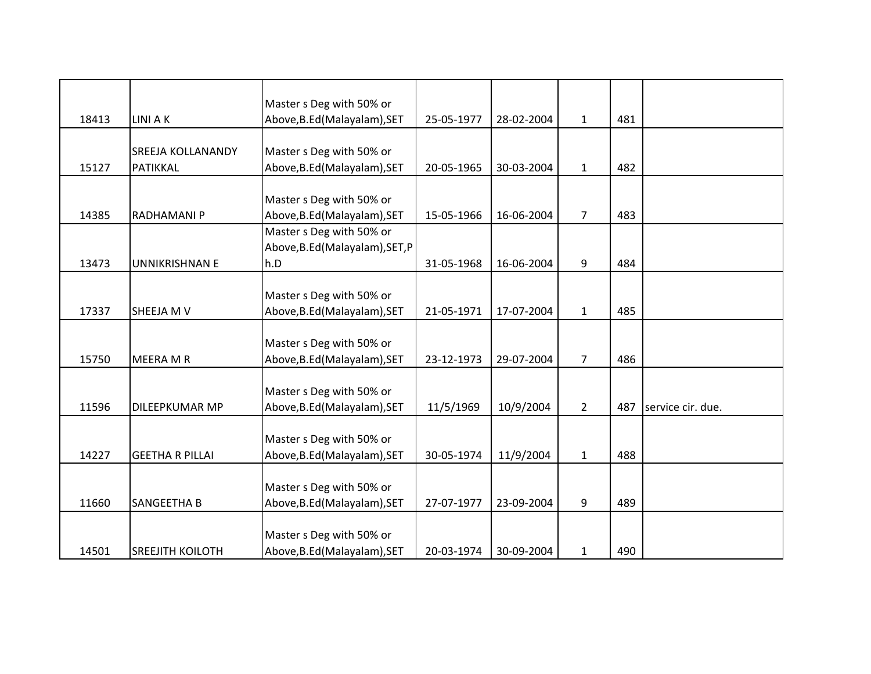|       |                          | Master s Deg with 50% or        |            |            |                |     |                   |
|-------|--------------------------|---------------------------------|------------|------------|----------------|-----|-------------------|
| 18413 | LINI A K                 | Above, B.Ed (Malayalam), SET    | 25-05-1977 | 28-02-2004 | $\mathbf{1}$   | 481 |                   |
|       |                          |                                 |            |            |                |     |                   |
|       | <b>SREEJA KOLLANANDY</b> | Master s Deg with 50% or        |            |            |                |     |                   |
| 15127 | PATIKKAL                 | Above, B.Ed (Malayalam), SET    | 20-05-1965 | 30-03-2004 | $\mathbf{1}$   | 482 |                   |
|       |                          |                                 |            |            |                |     |                   |
|       |                          | Master s Deg with 50% or        |            |            |                |     |                   |
| 14385 | RADHAMANI P              | Above, B.Ed (Malayalam), SET    | 15-05-1966 | 16-06-2004 | $\overline{7}$ | 483 |                   |
|       |                          | Master s Deg with 50% or        |            |            |                |     |                   |
|       |                          | Above, B.Ed (Malayalam), SET, P |            |            |                |     |                   |
| 13473 | <b>UNNIKRISHNAN E</b>    | h.D                             | 31-05-1968 | 16-06-2004 | 9              | 484 |                   |
|       |                          |                                 |            |            |                |     |                   |
|       |                          | Master s Deg with 50% or        |            |            |                |     |                   |
| 17337 | SHEEJA M V               | Above, B.Ed (Malayalam), SET    | 21-05-1971 | 17-07-2004 | 1              | 485 |                   |
|       |                          |                                 |            |            |                |     |                   |
|       |                          | Master s Deg with 50% or        |            |            |                |     |                   |
| 15750 | MEERA M R                | Above, B.Ed (Malayalam), SET    | 23-12-1973 | 29-07-2004 | $\overline{7}$ | 486 |                   |
|       |                          |                                 |            |            |                |     |                   |
|       |                          | Master s Deg with 50% or        |            |            |                |     |                   |
| 11596 | DILEEPKUMAR MP           | Above, B.Ed (Malayalam), SET    | 11/5/1969  | 10/9/2004  | $\overline{2}$ | 487 | service cir. due. |
|       |                          |                                 |            |            |                |     |                   |
|       |                          | Master s Deg with 50% or        |            |            |                |     |                   |
| 14227 | <b>GEETHA R PILLAI</b>   | Above, B.Ed (Malayalam), SET    | 30-05-1974 | 11/9/2004  | $\mathbf{1}$   | 488 |                   |
|       |                          |                                 |            |            |                |     |                   |
|       |                          | Master s Deg with 50% or        |            |            |                |     |                   |
| 11660 | SANGEETHA B              | Above, B.Ed (Malayalam), SET    | 27-07-1977 | 23-09-2004 | 9              | 489 |                   |
|       |                          |                                 |            |            |                |     |                   |
|       |                          | Master s Deg with 50% or        |            |            |                |     |                   |
| 14501 | <b>SREEJITH KOILOTH</b>  | Above, B.Ed (Malayalam), SET    | 20-03-1974 | 30-09-2004 | $\mathbf{1}$   | 490 |                   |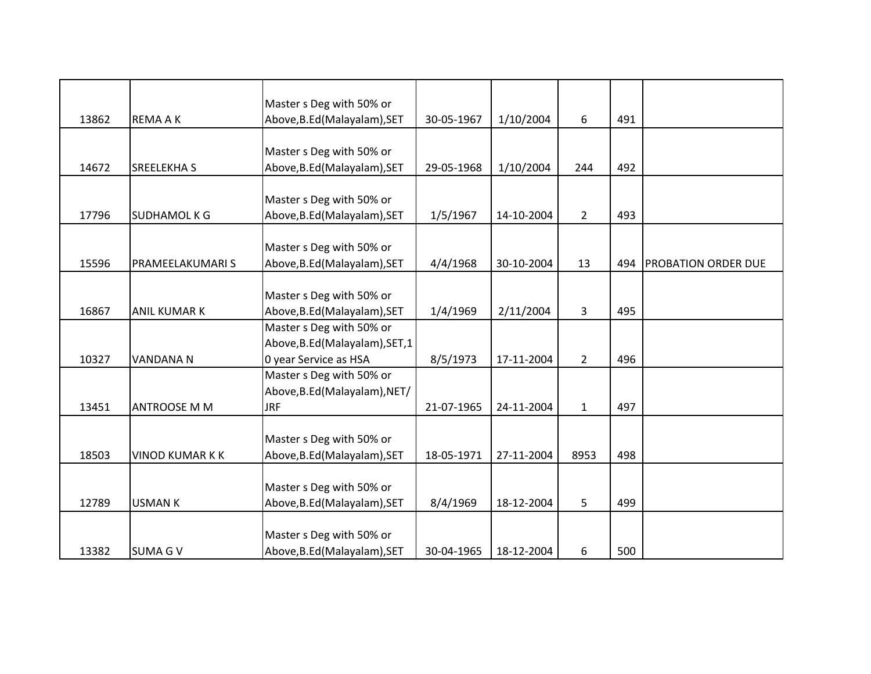| 13862 | <b>REMAAK</b>          | Master s Deg with 50% or<br>Above, B.Ed (Malayalam), SET | 30-05-1967 | 1/10/2004  | 6              | 491 |                     |
|-------|------------------------|----------------------------------------------------------|------------|------------|----------------|-----|---------------------|
|       |                        |                                                          |            |            |                |     |                     |
|       |                        | Master s Deg with 50% or                                 |            |            |                |     |                     |
| 14672 | <b>SREELEKHAS</b>      | Above, B.Ed (Malayalam), SET                             | 29-05-1968 | 1/10/2004  | 244            | 492 |                     |
|       |                        |                                                          |            |            |                |     |                     |
|       |                        | Master s Deg with 50% or                                 |            |            |                |     |                     |
| 17796 | <b>SUDHAMOL K G</b>    | Above, B.Ed (Malayalam), SET                             | 1/5/1967   | 14-10-2004 | $\overline{2}$ | 493 |                     |
|       |                        |                                                          |            |            |                |     |                     |
|       |                        | Master s Deg with 50% or                                 |            |            |                |     |                     |
| 15596 | PRAMEELAKUMARI S       | Above, B.Ed (Malayalam), SET                             | 4/4/1968   | 30-10-2004 | 13             | 494 | PROBATION ORDER DUE |
|       |                        |                                                          |            |            |                |     |                     |
|       |                        | Master s Deg with 50% or                                 |            |            |                |     |                     |
| 16867 | <b>ANIL KUMAR K</b>    | Above, B.Ed (Malayalam), SET                             | 1/4/1969   | 2/11/2004  | 3              | 495 |                     |
|       |                        | Master s Deg with 50% or                                 |            |            |                |     |                     |
|       |                        | Above, B.Ed (Malayalam), SET, 1                          |            |            |                |     |                     |
| 10327 | <b>VANDANA N</b>       | 0 year Service as HSA                                    | 8/5/1973   | 17-11-2004 | $\overline{2}$ | 496 |                     |
|       |                        | Master s Deg with 50% or                                 |            |            |                |     |                     |
|       |                        | Above, B.Ed (Malayalam), NET/                            |            |            |                |     |                     |
| 13451 | <b>ANTROOSE M M</b>    | <b>JRF</b>                                               | 21-07-1965 | 24-11-2004 | $\mathbf{1}$   | 497 |                     |
|       |                        |                                                          |            |            |                |     |                     |
|       |                        | Master s Deg with 50% or                                 |            |            |                |     |                     |
| 18503 | <b>VINOD KUMAR K K</b> | Above, B.Ed (Malayalam), SET                             | 18-05-1971 | 27-11-2004 | 8953           | 498 |                     |
|       |                        |                                                          |            |            |                |     |                     |
|       |                        | Master s Deg with 50% or                                 |            |            |                |     |                     |
| 12789 | <b>USMAN K</b>         | Above, B.Ed (Malayalam), SET                             | 8/4/1969   | 18-12-2004 | 5              | 499 |                     |
|       |                        |                                                          |            |            |                |     |                     |
|       |                        | Master s Deg with 50% or                                 |            |            |                |     |                     |
| 13382 | <b>SUMA G V</b>        | Above, B.Ed (Malayalam), SET                             | 30-04-1965 | 18-12-2004 | 6              | 500 |                     |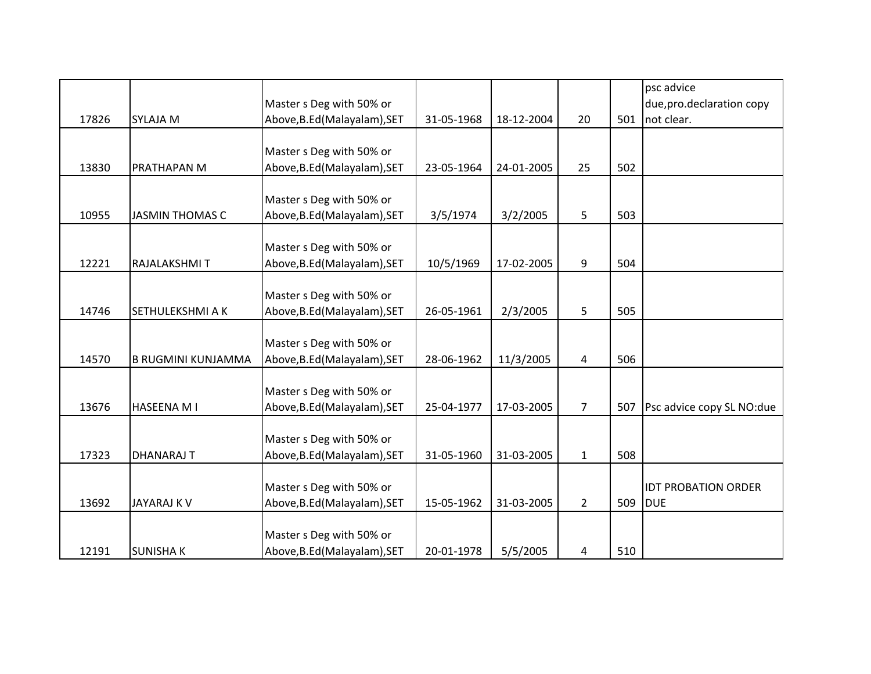|       |                           |                              |            |            |                |     | psc advice                 |
|-------|---------------------------|------------------------------|------------|------------|----------------|-----|----------------------------|
|       |                           | Master s Deg with 50% or     |            |            |                |     | due, pro.declaration copy  |
| 17826 | <b>SYLAJA M</b>           | Above, B.Ed (Malayalam), SET | 31-05-1968 | 18-12-2004 | 20             | 501 | not clear.                 |
|       |                           |                              |            |            |                |     |                            |
|       |                           | Master s Deg with 50% or     |            |            |                |     |                            |
| 13830 | PRATHAPAN M               | Above, B.Ed (Malayalam), SET | 23-05-1964 | 24-01-2005 | 25             | 502 |                            |
|       |                           |                              |            |            |                |     |                            |
|       |                           | Master s Deg with 50% or     |            |            |                |     |                            |
| 10955 | <b>JASMIN THOMAS C</b>    | Above, B.Ed (Malayalam), SET | 3/5/1974   | 3/2/2005   | 5              | 503 |                            |
|       |                           |                              |            |            |                |     |                            |
|       |                           | Master s Deg with 50% or     |            |            |                |     |                            |
| 12221 | RAJALAKSHMIT              | Above, B.Ed (Malayalam), SET | 10/5/1969  | 17-02-2005 | 9              | 504 |                            |
|       |                           |                              |            |            |                |     |                            |
|       |                           | Master s Deg with 50% or     |            |            |                |     |                            |
| 14746 | SETHULEKSHMI A K          | Above, B.Ed (Malayalam), SET | 26-05-1961 | 2/3/2005   | 5              | 505 |                            |
|       |                           |                              |            |            |                |     |                            |
|       |                           | Master s Deg with 50% or     |            |            |                |     |                            |
| 14570 | <b>B RUGMINI KUNJAMMA</b> | Above, B.Ed (Malayalam), SET | 28-06-1962 | 11/3/2005  | 4              | 506 |                            |
|       |                           |                              |            |            |                |     |                            |
|       |                           | Master s Deg with 50% or     |            |            |                |     |                            |
| 13676 | <b>HASEENA MI</b>         | Above, B.Ed (Malayalam), SET | 25-04-1977 | 17-03-2005 | $\overline{7}$ | 507 | Psc advice copy SL NO:due  |
|       |                           |                              |            |            |                |     |                            |
|       |                           | Master s Deg with 50% or     |            |            |                |     |                            |
| 17323 | <b>DHANARAJ T</b>         | Above, B.Ed (Malayalam), SET | 31-05-1960 | 31-03-2005 | $\mathbf{1}$   | 508 |                            |
|       |                           |                              |            |            |                |     |                            |
|       |                           | Master s Deg with 50% or     |            |            |                |     | <b>IDT PROBATION ORDER</b> |
| 13692 | <b>JAYARAJ K V</b>        | Above, B.Ed (Malayalam), SET | 15-05-1962 | 31-03-2005 | $2^{\circ}$    | 509 | <b>DUE</b>                 |
|       |                           |                              |            |            |                |     |                            |
|       |                           | Master s Deg with 50% or     |            |            |                |     |                            |
| 12191 | <b>SUNISHAK</b>           | Above, B.Ed (Malayalam), SET | 20-01-1978 | 5/5/2005   | 4              | 510 |                            |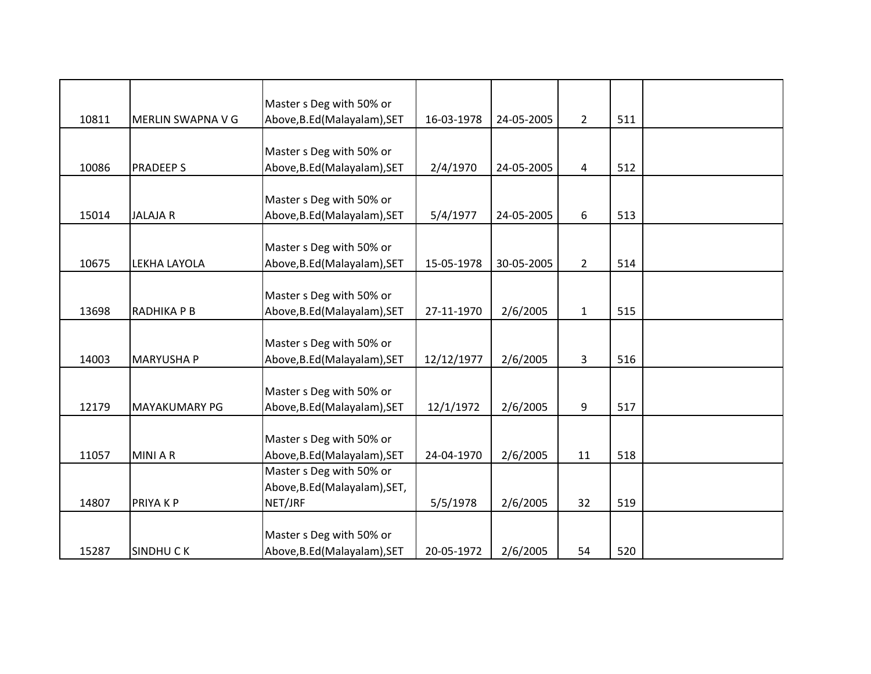|       |                      | Master s Deg with 50% or                                 |            |            |                |     |  |
|-------|----------------------|----------------------------------------------------------|------------|------------|----------------|-----|--|
| 10811 | MERLIN SWAPNA V G    | Above, B.Ed (Malayalam), SET                             | 16-03-1978 | 24-05-2005 | $\overline{2}$ | 511 |  |
|       |                      |                                                          |            |            |                |     |  |
| 10086 | <b>PRADEEPS</b>      | Master s Deg with 50% or<br>Above, B.Ed (Malayalam), SET | 2/4/1970   | 24-05-2005 | 4              | 512 |  |
|       |                      |                                                          |            |            |                |     |  |
|       |                      | Master s Deg with 50% or                                 |            |            |                |     |  |
| 15014 | <b>JALAJAR</b>       | Above, B.Ed (Malayalam), SET                             | 5/4/1977   | 24-05-2005 | 6              | 513 |  |
|       |                      |                                                          |            |            |                |     |  |
|       |                      | Master s Deg with 50% or                                 |            |            |                |     |  |
| 10675 | LEKHA LAYOLA         | Above, B.Ed (Malayalam), SET                             | 15-05-1978 | 30-05-2005 | $\overline{2}$ | 514 |  |
|       |                      |                                                          |            |            |                |     |  |
|       |                      | Master s Deg with 50% or                                 |            |            |                |     |  |
| 13698 | RADHIKA P B          | Above, B.Ed (Malayalam), SET                             | 27-11-1970 | 2/6/2005   | $\mathbf{1}$   | 515 |  |
|       |                      |                                                          |            |            |                |     |  |
|       |                      | Master s Deg with 50% or                                 |            |            |                |     |  |
| 14003 | <b>MARYUSHA P</b>    | Above, B.Ed (Malayalam), SET                             | 12/12/1977 | 2/6/2005   | 3              | 516 |  |
|       |                      |                                                          |            |            |                |     |  |
|       |                      | Master s Deg with 50% or                                 |            |            |                |     |  |
| 12179 | <b>MAYAKUMARY PG</b> | Above, B.Ed (Malayalam), SET                             | 12/1/1972  | 2/6/2005   | 9              | 517 |  |
|       |                      | Master s Deg with 50% or                                 |            |            |                |     |  |
| 11057 | <b>MINIAR</b>        | Above, B.Ed (Malayalam), SET                             | 24-04-1970 | 2/6/2005   | 11             | 518 |  |
|       |                      | Master s Deg with 50% or                                 |            |            |                |     |  |
|       |                      | Above, B.Ed (Malayalam), SET,                            |            |            |                |     |  |
| 14807 | PRIYA K P            | NET/JRF                                                  | 5/5/1978   | 2/6/2005   | 32             | 519 |  |
|       |                      |                                                          |            |            |                |     |  |
|       |                      | Master s Deg with 50% or                                 |            |            |                |     |  |
| 15287 | <b>SINDHUCK</b>      | Above, B.Ed (Malayalam), SET                             | 20-05-1972 | 2/6/2005   | 54             | 520 |  |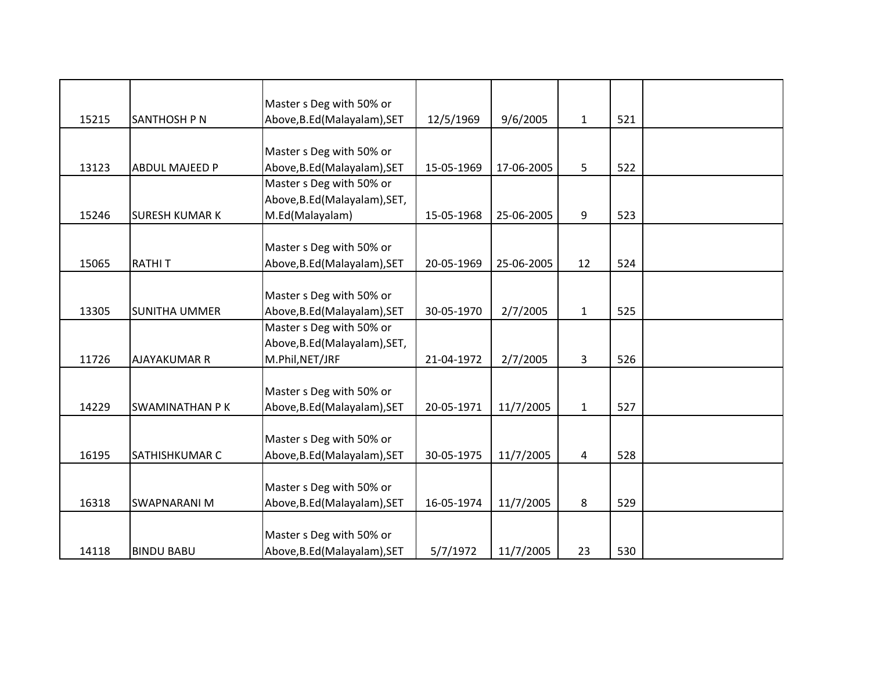|       |                       | Master s Deg with 50% or      |            |            |              |     |  |
|-------|-----------------------|-------------------------------|------------|------------|--------------|-----|--|
| 15215 | SANTHOSH P N          | Above, B.Ed (Malayalam), SET  | 12/5/1969  | 9/6/2005   | $\mathbf{1}$ | 521 |  |
|       |                       |                               |            |            |              |     |  |
|       |                       | Master s Deg with 50% or      |            |            |              |     |  |
| 13123 | <b>ABDUL MAJEED P</b> | Above, B.Ed (Malayalam), SET  | 15-05-1969 | 17-06-2005 | 5            | 522 |  |
|       |                       | Master s Deg with 50% or      |            |            |              |     |  |
|       |                       | Above, B.Ed (Malayalam), SET, |            |            |              |     |  |
| 15246 | <b>SURESH KUMAR K</b> | M.Ed(Malayalam)               | 15-05-1968 | 25-06-2005 | 9            | 523 |  |
|       |                       |                               |            |            |              |     |  |
|       |                       | Master s Deg with 50% or      |            |            |              |     |  |
| 15065 | <b>RATHIT</b>         | Above, B.Ed (Malayalam), SET  | 20-05-1969 | 25-06-2005 | 12           | 524 |  |
|       |                       |                               |            |            |              |     |  |
|       |                       | Master s Deg with 50% or      |            |            |              |     |  |
| 13305 | <b>SUNITHA UMMER</b>  | Above, B.Ed (Malayalam), SET  | 30-05-1970 | 2/7/2005   | $\mathbf{1}$ | 525 |  |
|       |                       | Master s Deg with 50% or      |            |            |              |     |  |
|       |                       | Above, B.Ed (Malayalam), SET, |            |            |              |     |  |
| 11726 | <b>AJAYAKUMAR R</b>   | M.Phil, NET/JRF               | 21-04-1972 | 2/7/2005   | 3            | 526 |  |
|       |                       |                               |            |            |              |     |  |
|       |                       | Master s Deg with 50% or      |            |            |              |     |  |
| 14229 | <b>SWAMINATHAN PK</b> | Above, B.Ed (Malayalam), SET  | 20-05-1971 | 11/7/2005  | $\mathbf 1$  | 527 |  |
|       |                       |                               |            |            |              |     |  |
|       |                       | Master s Deg with 50% or      |            |            |              |     |  |
| 16195 | <b>SATHISHKUMAR C</b> | Above, B.Ed (Malayalam), SET  | 30-05-1975 | 11/7/2005  | 4            | 528 |  |
|       |                       |                               |            |            |              |     |  |
|       |                       | Master s Deg with 50% or      |            |            |              |     |  |
| 16318 | <b>SWAPNARANI M</b>   | Above, B.Ed (Malayalam), SET  | 16-05-1974 | 11/7/2005  | 8            | 529 |  |
|       |                       |                               |            |            |              |     |  |
|       |                       | Master s Deg with 50% or      |            |            |              |     |  |
| 14118 | <b>BINDU BABU</b>     | Above, B.Ed (Malayalam), SET  | 5/7/1972   | 11/7/2005  | 23           | 530 |  |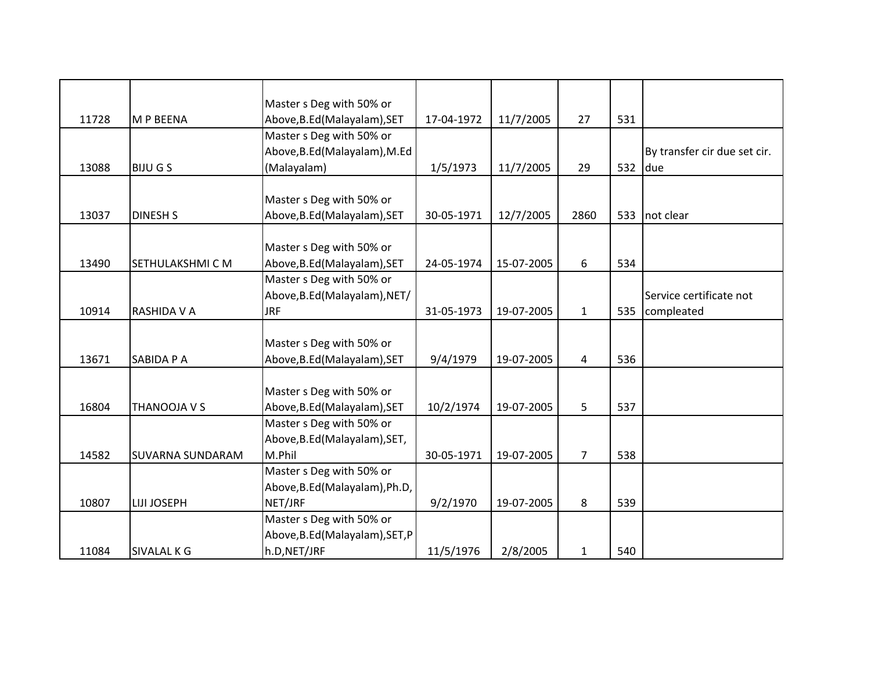|       |                         | Master s Deg with 50% or        |            |            |                |     |                              |
|-------|-------------------------|---------------------------------|------------|------------|----------------|-----|------------------------------|
| 11728 | M P BEENA               | Above, B.Ed (Malayalam), SET    | 17-04-1972 | 11/7/2005  | 27             | 531 |                              |
|       |                         | Master s Deg with 50% or        |            |            |                |     |                              |
|       |                         | Above, B.Ed (Malayalam), M.Ed   |            |            |                |     | By transfer cir due set cir. |
| 13088 | <b>BIJU G S</b>         | (Malayalam)                     | 1/5/1973   | 11/7/2005  | 29             | 532 | due                          |
|       |                         |                                 |            |            |                |     |                              |
|       |                         | Master s Deg with 50% or        |            |            |                |     |                              |
| 13037 | <b>DINESH S</b>         | Above, B.Ed (Malayalam), SET    | 30-05-1971 | 12/7/2005  | 2860           | 533 | not clear                    |
|       |                         |                                 |            |            |                |     |                              |
|       |                         | Master s Deg with 50% or        |            |            |                |     |                              |
| 13490 | SETHULAKSHMI C M        | Above, B.Ed (Malayalam), SET    | 24-05-1974 | 15-07-2005 | 6              | 534 |                              |
|       |                         | Master s Deg with 50% or        |            |            |                |     |                              |
|       |                         | Above, B.Ed (Malayalam), NET/   |            |            |                |     | Service certificate not      |
| 10914 | RASHIDA V A             | <b>JRF</b>                      | 31-05-1973 | 19-07-2005 | $\mathbf{1}$   | 535 | compleated                   |
|       |                         |                                 |            |            |                |     |                              |
|       |                         | Master s Deg with 50% or        |            |            |                |     |                              |
| 13671 | SABIDA P A              | Above, B.Ed (Malayalam), SET    | 9/4/1979   | 19-07-2005 | 4              | 536 |                              |
|       |                         |                                 |            |            |                |     |                              |
|       |                         | Master s Deg with 50% or        |            |            |                |     |                              |
| 16804 | THANOOJA V S            | Above, B.Ed (Malayalam), SET    | 10/2/1974  | 19-07-2005 | 5              | 537 |                              |
|       |                         | Master s Deg with 50% or        |            |            |                |     |                              |
|       |                         | Above, B.Ed (Malayalam), SET,   |            |            |                |     |                              |
| 14582 | <b>SUVARNA SUNDARAM</b> | M.Phil                          | 30-05-1971 | 19-07-2005 | $\overline{7}$ | 538 |                              |
|       |                         | Master s Deg with 50% or        |            |            |                |     |                              |
|       |                         | Above, B.Ed (Malayalam), Ph.D,  |            |            |                |     |                              |
| 10807 | <b>LIJI JOSEPH</b>      | NET/JRF                         | 9/2/1970   | 19-07-2005 | 8              | 539 |                              |
|       |                         | Master s Deg with 50% or        |            |            |                |     |                              |
|       |                         | Above, B.Ed (Malayalam), SET, P |            |            |                |     |                              |
| 11084 | <b>SIVALAL K G</b>      | h.D, NET/JRF                    | 11/5/1976  | 2/8/2005   | $\mathbf{1}$   | 540 |                              |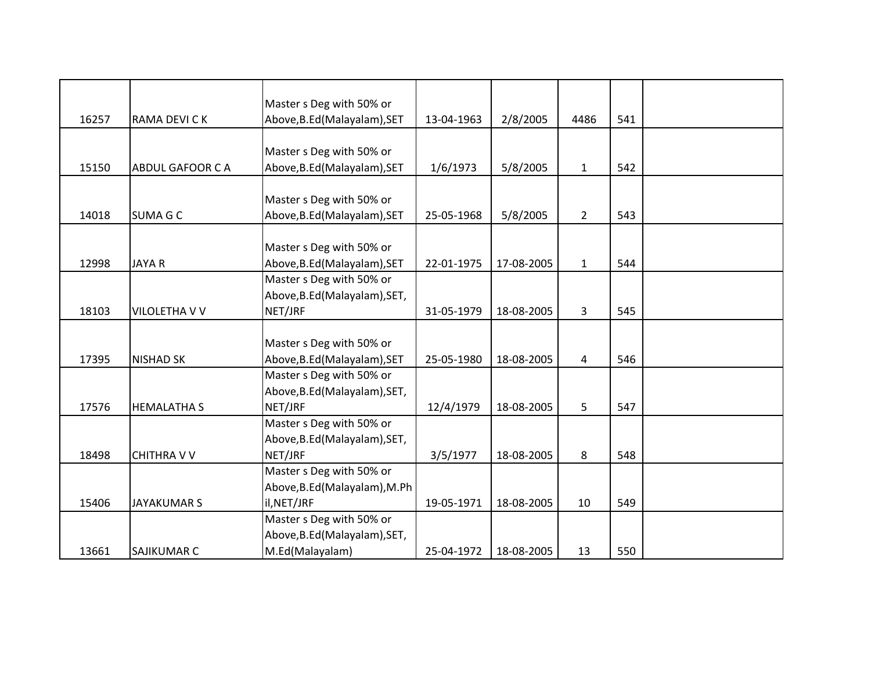|       |                        | Master s Deg with 50% or      |            |            |                |     |  |
|-------|------------------------|-------------------------------|------------|------------|----------------|-----|--|
| 16257 | RAMA DEVI C K          | Above, B.Ed (Malayalam), SET  | 13-04-1963 | 2/8/2005   | 4486           | 541 |  |
|       |                        |                               |            |            |                |     |  |
|       |                        | Master s Deg with 50% or      |            |            |                |     |  |
| 15150 | <b>ABDUL GAFOOR CA</b> | Above, B.Ed (Malayalam), SET  | 1/6/1973   | 5/8/2005   | $\mathbf{1}$   | 542 |  |
|       |                        | Master s Deg with 50% or      |            |            |                |     |  |
| 14018 | <b>SUMA G C</b>        | Above, B.Ed (Malayalam), SET  | 25-05-1968 | 5/8/2005   | $\overline{2}$ | 543 |  |
|       |                        |                               |            |            |                |     |  |
|       |                        | Master s Deg with 50% or      |            |            |                |     |  |
| 12998 | <b>JAYAR</b>           | Above, B.Ed (Malayalam), SET  | 22-01-1975 | 17-08-2005 | $\mathbf{1}$   | 544 |  |
|       |                        | Master s Deg with 50% or      |            |            |                |     |  |
|       |                        | Above, B.Ed (Malayalam), SET, |            |            |                |     |  |
| 18103 | VILOLETHA V V          | NET/JRF                       | 31-05-1979 | 18-08-2005 | 3              | 545 |  |
|       |                        |                               |            |            |                |     |  |
|       |                        | Master s Deg with 50% or      |            |            |                |     |  |
| 17395 | <b>NISHAD SK</b>       | Above, B.Ed (Malayalam), SET  | 25-05-1980 | 18-08-2005 | 4              | 546 |  |
|       |                        | Master s Deg with 50% or      |            |            |                |     |  |
|       |                        | Above, B.Ed (Malayalam), SET, |            |            |                |     |  |
| 17576 | <b>HEMALATHA S</b>     | NET/JRF                       | 12/4/1979  | 18-08-2005 | 5              | 547 |  |
|       |                        | Master s Deg with 50% or      |            |            |                |     |  |
|       |                        | Above, B.Ed (Malayalam), SET, |            |            |                |     |  |
| 18498 | <b>CHITHRA V V</b>     | NET/JRF                       | 3/5/1977   | 18-08-2005 | 8              | 548 |  |
|       |                        | Master s Deg with 50% or      |            |            |                |     |  |
|       |                        | Above, B.Ed (Malayalam), M.Ph |            |            |                |     |  |
| 15406 | <b>JAYAKUMAR S</b>     | il, NET/JRF                   | 19-05-1971 | 18-08-2005 | 10             | 549 |  |
|       |                        | Master s Deg with 50% or      |            |            |                |     |  |
|       |                        | Above, B.Ed (Malayalam), SET, |            |            |                |     |  |
| 13661 | <b>SAJIKUMAR C</b>     | M.Ed(Malayalam)               | 25-04-1972 | 18-08-2005 | 13             | 550 |  |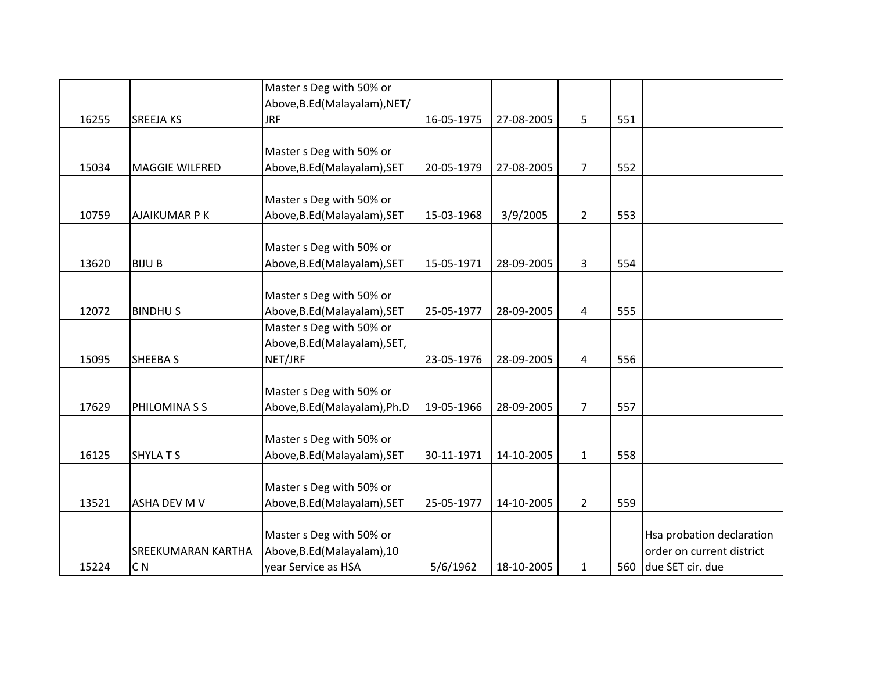|       |                           | Master s Deg with 50% or      |            |            |                |     |                           |
|-------|---------------------------|-------------------------------|------------|------------|----------------|-----|---------------------------|
|       |                           | Above, B.Ed (Malayalam), NET/ |            |            |                |     |                           |
| 16255 | <b>SREEJA KS</b>          | <b>JRF</b>                    | 16-05-1975 | 27-08-2005 | 5              | 551 |                           |
|       |                           |                               |            |            |                |     |                           |
|       |                           | Master s Deg with 50% or      |            |            |                |     |                           |
| 15034 | <b>MAGGIE WILFRED</b>     | Above, B.Ed (Malayalam), SET  | 20-05-1979 | 27-08-2005 | $\overline{7}$ | 552 |                           |
|       |                           | Master s Deg with 50% or      |            |            |                |     |                           |
| 10759 | <b>AJAIKUMAR P K</b>      | Above, B.Ed (Malayalam), SET  | 15-03-1968 | 3/9/2005   | $\overline{2}$ | 553 |                           |
|       |                           |                               |            |            |                |     |                           |
|       |                           | Master s Deg with 50% or      |            |            |                |     |                           |
| 13620 | <b>BIJU B</b>             | Above, B.Ed (Malayalam), SET  | 15-05-1971 | 28-09-2005 | 3              | 554 |                           |
|       |                           | Master s Deg with 50% or      |            |            |                |     |                           |
| 12072 | <b>BINDHUS</b>            | Above, B.Ed (Malayalam), SET  | 25-05-1977 | 28-09-2005 | 4              | 555 |                           |
|       |                           | Master s Deg with 50% or      |            |            |                |     |                           |
|       |                           | Above, B.Ed (Malayalam), SET, |            |            |                |     |                           |
| 15095 | SHEEBA S                  | NET/JRF                       | 23-05-1976 | 28-09-2005 | 4              | 556 |                           |
|       |                           |                               |            |            |                |     |                           |
|       |                           | Master s Deg with 50% or      |            |            |                |     |                           |
| 17629 | PHILOMINA S S             | Above, B.Ed (Malayalam), Ph.D | 19-05-1966 | 28-09-2005 | $\overline{7}$ | 557 |                           |
|       |                           |                               |            |            |                |     |                           |
|       |                           | Master s Deg with 50% or      |            |            |                |     |                           |
| 16125 | <b>SHYLATS</b>            | Above, B.Ed (Malayalam), SET  | 30-11-1971 | 14-10-2005 | $\mathbf{1}$   | 558 |                           |
|       |                           |                               |            |            |                |     |                           |
|       |                           | Master s Deg with 50% or      |            |            |                |     |                           |
| 13521 | <b>ASHA DEV M V</b>       | Above, B.Ed (Malayalam), SET  | 25-05-1977 | 14-10-2005 | $\overline{2}$ | 559 |                           |
|       |                           |                               |            |            |                |     |                           |
|       |                           | Master s Deg with 50% or      |            |            |                |     | Hsa probation declaration |
|       | <b>SREEKUMARAN KARTHA</b> | Above, B.Ed (Malayalam), 10   |            |            |                |     | order on current district |
| 15224 | C <sub>N</sub>            | year Service as HSA           | 5/6/1962   | 18-10-2005 | $\mathbf{1}$   |     | 560 due SET cir. due      |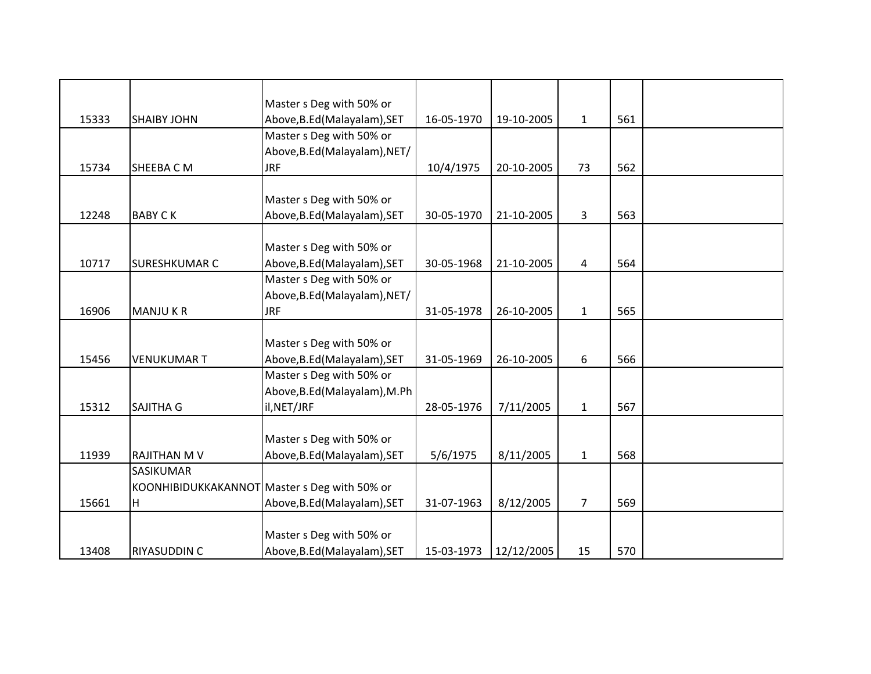|       |                      | Master s Deg with 50% or                     |            |            |                |     |  |
|-------|----------------------|----------------------------------------------|------------|------------|----------------|-----|--|
| 15333 | <b>SHAIBY JOHN</b>   | Above, B.Ed (Malayalam), SET                 | 16-05-1970 | 19-10-2005 | $\mathbf{1}$   | 561 |  |
|       |                      | Master s Deg with 50% or                     |            |            |                |     |  |
|       |                      | Above, B.Ed (Malayalam), NET/                |            |            |                |     |  |
| 15734 | SHEEBA C M           | <b>JRF</b>                                   | 10/4/1975  | 20-10-2005 | 73             | 562 |  |
|       |                      |                                              |            |            |                |     |  |
|       |                      | Master s Deg with 50% or                     |            |            |                |     |  |
| 12248 | <b>BABY CK</b>       | Above, B.Ed (Malayalam), SET                 | 30-05-1970 | 21-10-2005 | 3              | 563 |  |
|       |                      |                                              |            |            |                |     |  |
|       |                      | Master s Deg with 50% or                     |            |            |                |     |  |
| 10717 | <b>SURESHKUMAR C</b> | Above, B.Ed (Malayalam), SET                 | 30-05-1968 | 21-10-2005 | 4              | 564 |  |
|       |                      | Master s Deg with 50% or                     |            |            |                |     |  |
|       |                      | Above, B.Ed (Malayalam), NET/                |            |            |                |     |  |
| 16906 | <b>MANJUKR</b>       | <b>JRF</b>                                   | 31-05-1978 | 26-10-2005 | $\mathbf{1}$   | 565 |  |
|       |                      |                                              |            |            |                |     |  |
|       |                      | Master s Deg with 50% or                     |            |            |                |     |  |
| 15456 | <b>VENUKUMAR T</b>   | Above, B.Ed (Malayalam), SET                 | 31-05-1969 | 26-10-2005 | 6              | 566 |  |
|       |                      | Master s Deg with 50% or                     |            |            |                |     |  |
|       |                      | Above, B.Ed (Malayalam), M.Ph                |            |            |                |     |  |
| 15312 | SAJITHA G            | il, NET/JRF                                  | 28-05-1976 | 7/11/2005  | $\mathbf 1$    | 567 |  |
|       |                      |                                              |            |            |                |     |  |
|       |                      | Master s Deg with 50% or                     |            |            |                |     |  |
| 11939 | <b>RAJITHAN M V</b>  | Above, B.Ed (Malayalam), SET                 | 5/6/1975   | 8/11/2005  | $\mathbf{1}$   | 568 |  |
|       | SASIKUMAR            |                                              |            |            |                |     |  |
|       |                      | KOONHIBIDUKKAKANNOT Master s Deg with 50% or |            |            |                |     |  |
| 15661 | H                    | Above, B.Ed (Malayalam), SET                 | 31-07-1963 | 8/12/2005  | $\overline{7}$ | 569 |  |
|       |                      |                                              |            |            |                |     |  |
|       |                      | Master s Deg with 50% or                     |            |            |                |     |  |
| 13408 | RIYASUDDIN C         | Above, B.Ed (Malayalam), SET                 | 15-03-1973 | 12/12/2005 | 15             | 570 |  |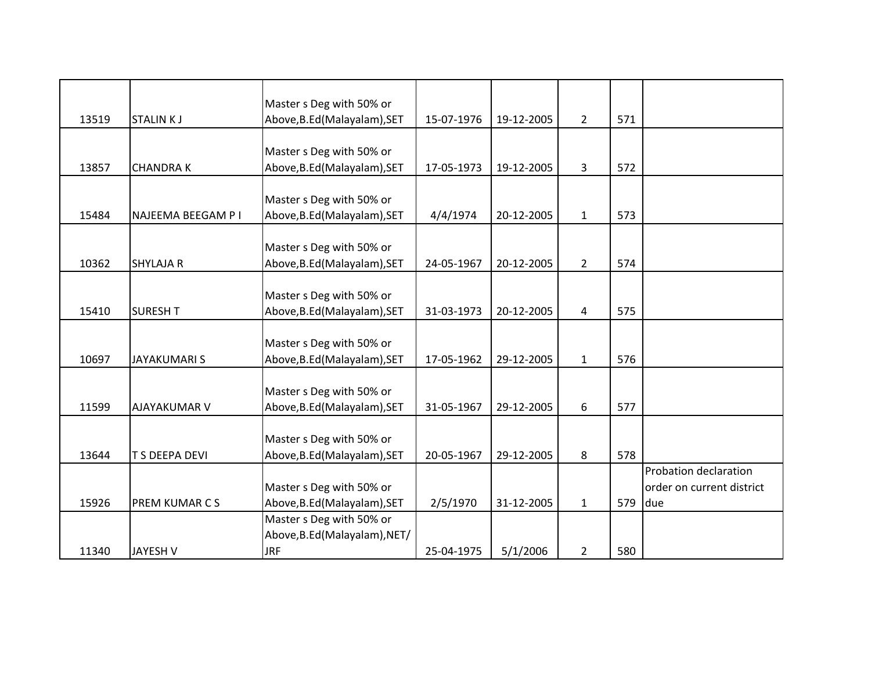|       |                       | Master s Deg with 50% or      |            |            |                |     |                           |
|-------|-----------------------|-------------------------------|------------|------------|----------------|-----|---------------------------|
| 13519 | <b>STALINKJ</b>       | Above, B.Ed (Malayalam), SET  | 15-07-1976 | 19-12-2005 | $2^{\circ}$    | 571 |                           |
|       |                       |                               |            |            |                |     |                           |
|       |                       | Master s Deg with 50% or      |            |            |                |     |                           |
| 13857 | <b>CHANDRAK</b>       | Above, B.Ed (Malayalam), SET  | 17-05-1973 | 19-12-2005 | 3              | 572 |                           |
|       |                       |                               |            |            |                |     |                           |
|       |                       | Master s Deg with 50% or      |            |            |                |     |                           |
| 15484 | NAJEEMA BEEGAM P I    | Above, B.Ed (Malayalam), SET  | 4/4/1974   | 20-12-2005 | $\mathbf{1}$   | 573 |                           |
|       |                       |                               |            |            |                |     |                           |
|       |                       | Master s Deg with 50% or      |            |            |                |     |                           |
| 10362 | <b>SHYLAJA R</b>      | Above, B.Ed (Malayalam), SET  | 24-05-1967 | 20-12-2005 | $\overline{2}$ | 574 |                           |
|       |                       |                               |            |            |                |     |                           |
|       |                       | Master s Deg with 50% or      |            |            |                |     |                           |
| 15410 | <b>SURESH T</b>       | Above, B.Ed (Malayalam), SET  | 31-03-1973 | 20-12-2005 | 4              | 575 |                           |
|       |                       |                               |            |            |                |     |                           |
|       |                       | Master s Deg with 50% or      |            |            |                |     |                           |
| 10697 | <b>JAYAKUMARIS</b>    | Above, B.Ed (Malayalam), SET  | 17-05-1962 | 29-12-2005 | $\mathbf{1}$   | 576 |                           |
|       |                       |                               |            |            |                |     |                           |
|       |                       | Master s Deg with 50% or      |            |            |                |     |                           |
| 11599 | AJAYAKUMAR V          | Above, B.Ed (Malayalam), SET  | 31-05-1967 | 29-12-2005 | 6              | 577 |                           |
|       |                       |                               |            |            |                |     |                           |
|       |                       | Master s Deg with 50% or      |            |            |                |     |                           |
| 13644 | <b>T S DEEPA DEVI</b> | Above, B.Ed (Malayalam), SET  | 20-05-1967 | 29-12-2005 | 8              | 578 |                           |
|       |                       |                               |            |            |                |     | Probation declaration     |
|       |                       | Master s Deg with 50% or      |            |            |                |     | order on current district |
| 15926 | PREM KUMAR C S        | Above, B.Ed (Malayalam), SET  | 2/5/1970   | 31-12-2005 | $\mathbf{1}$   | 579 | due                       |
|       |                       | Master s Deg with 50% or      |            |            |                |     |                           |
|       |                       | Above, B.Ed (Malayalam), NET/ |            |            |                |     |                           |
| 11340 | <b>JAYESH V</b>       | <b>JRF</b>                    | 25-04-1975 | 5/1/2006   | $\overline{2}$ | 580 |                           |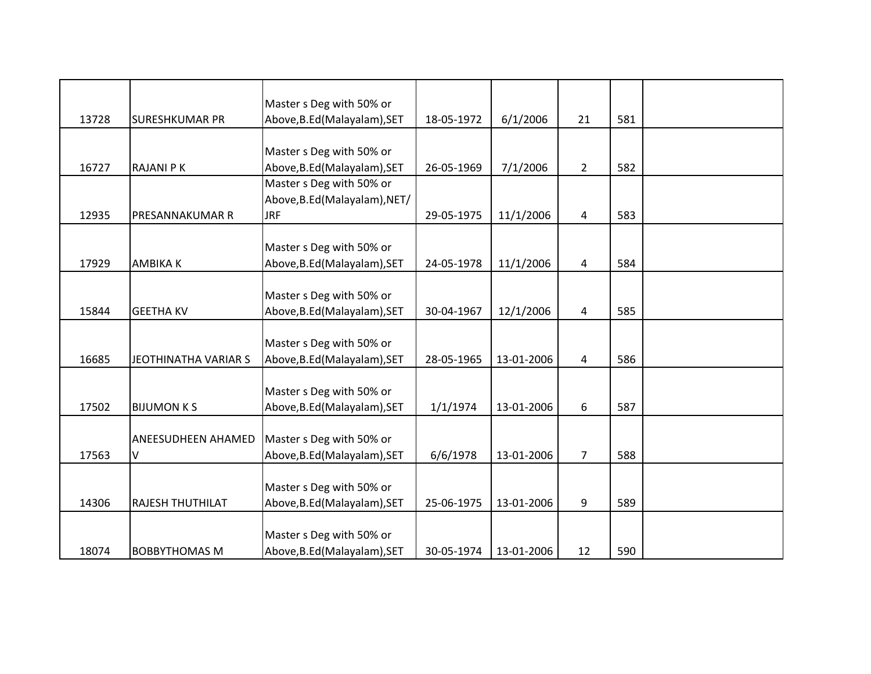|       |                             | Master s Deg with 50% or      |            |            |                |     |  |
|-------|-----------------------------|-------------------------------|------------|------------|----------------|-----|--|
| 13728 | <b>SURESHKUMAR PR</b>       | Above, B.Ed (Malayalam), SET  | 18-05-1972 | 6/1/2006   | 21             | 581 |  |
|       |                             |                               |            |            |                |     |  |
|       |                             | Master s Deg with 50% or      |            |            |                |     |  |
| 16727 | <b>RAJANI PK</b>            | Above, B.Ed (Malayalam), SET  | 26-05-1969 | 7/1/2006   | $2^{\circ}$    | 582 |  |
|       |                             | Master s Deg with 50% or      |            |            |                |     |  |
|       |                             | Above, B.Ed (Malayalam), NET/ |            |            |                |     |  |
| 12935 | PRESANNAKUMAR R             | <b>JRF</b>                    | 29-05-1975 | 11/1/2006  | 4              | 583 |  |
|       |                             |                               |            |            |                |     |  |
|       |                             | Master s Deg with 50% or      |            |            |                |     |  |
| 17929 | <b>AMBIKAK</b>              | Above, B.Ed (Malayalam), SET  | 24-05-1978 | 11/1/2006  | 4              | 584 |  |
|       |                             |                               |            |            |                |     |  |
|       |                             | Master s Deg with 50% or      |            |            |                |     |  |
| 15844 | <b>GEETHA KV</b>            | Above, B.Ed (Malayalam), SET  | 30-04-1967 | 12/1/2006  | 4              | 585 |  |
|       |                             |                               |            |            |                |     |  |
|       |                             | Master s Deg with 50% or      |            |            |                |     |  |
| 16685 | <b>JEOTHINATHA VARIAR S</b> | Above, B.Ed (Malayalam), SET  | 28-05-1965 | 13-01-2006 | 4              | 586 |  |
|       |                             |                               |            |            |                |     |  |
|       |                             | Master s Deg with 50% or      |            |            |                |     |  |
| 17502 | <b>BIJUMON KS</b>           | Above, B.Ed (Malayalam), SET  | 1/1/1974   | 13-01-2006 | 6              | 587 |  |
|       |                             |                               |            |            |                |     |  |
|       | ANEESUDHEEN AHAMED          | Master s Deg with 50% or      |            |            |                |     |  |
| 17563 | V                           | Above, B.Ed (Malayalam), SET  | 6/6/1978   | 13-01-2006 | $\overline{7}$ | 588 |  |
|       |                             |                               |            |            |                |     |  |
|       |                             | Master s Deg with 50% or      |            |            |                |     |  |
| 14306 | <b>RAJESH THUTHILAT</b>     | Above, B.Ed (Malayalam), SET  | 25-06-1975 | 13-01-2006 | 9              | 589 |  |
|       |                             |                               |            |            |                |     |  |
|       |                             | Master s Deg with 50% or      |            |            |                |     |  |
| 18074 | <b>BOBBYTHOMAS M</b>        | Above, B.Ed (Malayalam), SET  | 30-05-1974 | 13-01-2006 | 12             | 590 |  |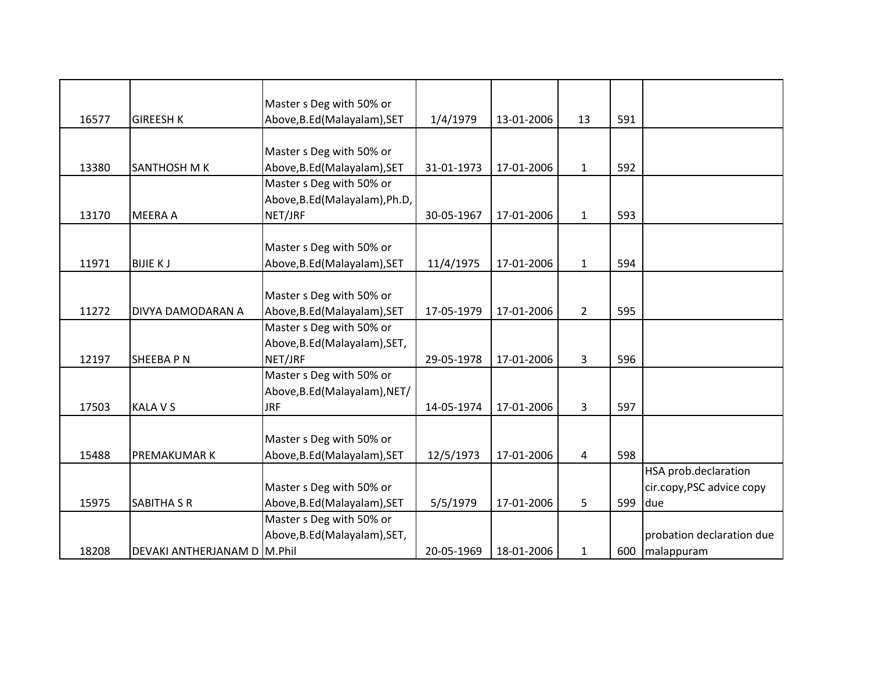|       |                             | Master s Deg with 50% or       |            |            |                |     |                           |
|-------|-----------------------------|--------------------------------|------------|------------|----------------|-----|---------------------------|
| 16577 | <b>GIREESH K</b>            | Above, B.Ed (Malayalam), SET   | 1/4/1979   | 13-01-2006 | 13             | 591 |                           |
|       |                             |                                |            |            |                |     |                           |
|       |                             | Master s Deg with 50% or       |            |            |                |     |                           |
| 13380 | SANTHOSH M K                | Above, B.Ed (Malayalam), SET   | 31-01-1973 | 17-01-2006 | $\mathbf{1}$   | 592 |                           |
|       |                             | Master s Deg with 50% or       |            |            |                |     |                           |
|       |                             | Above, B.Ed (Malayalam), Ph.D, |            |            |                |     |                           |
| 13170 | <b>MEERA A</b>              | NET/JRF                        | 30-05-1967 | 17-01-2006 | $\mathbf{1}$   | 593 |                           |
|       |                             |                                |            |            |                |     |                           |
|       |                             | Master s Deg with 50% or       |            |            |                |     |                           |
| 11971 | <b>BIJIE KJ</b>             | Above, B.Ed (Malayalam), SET   | 11/4/1975  | 17-01-2006 | $\mathbf{1}$   | 594 |                           |
|       |                             |                                |            |            |                |     |                           |
|       |                             | Master s Deg with 50% or       |            |            |                |     |                           |
| 11272 | DIVYA DAMODARAN A           | Above, B.Ed (Malayalam), SET   | 17-05-1979 | 17-01-2006 | $\overline{2}$ | 595 |                           |
|       |                             | Master s Deg with 50% or       |            |            |                |     |                           |
|       |                             | Above, B.Ed (Malayalam), SET,  |            |            |                |     |                           |
| 12197 | <b>SHEEBAPN</b>             | NET/JRF                        | 29-05-1978 | 17-01-2006 | 3              | 596 |                           |
|       |                             | Master s Deg with 50% or       |            |            |                |     |                           |
|       |                             | Above, B.Ed (Malayalam), NET/  |            |            |                |     |                           |
| 17503 | <b>KALA V S</b>             | <b>JRF</b>                     | 14-05-1974 | 17-01-2006 | 3              | 597 |                           |
|       |                             |                                |            |            |                |     |                           |
|       |                             | Master s Deg with 50% or       |            |            |                |     |                           |
| 15488 | <b>PREMAKUMAR K</b>         | Above, B.Ed (Malayalam), SET   | 12/5/1973  | 17-01-2006 | 4              | 598 |                           |
|       |                             |                                |            |            |                |     | HSA prob.declaration      |
|       |                             | Master s Deg with 50% or       |            |            |                |     | cir.copy, PSC advice copy |
| 15975 | <b>SABITHA S R</b>          | Above, B.Ed (Malayalam), SET   | 5/5/1979   | 17-01-2006 | 5              | 599 | due                       |
|       |                             | Master s Deg with 50% or       |            |            |                |     |                           |
|       |                             | Above, B.Ed (Malayalam), SET,  |            |            |                |     | probation declaration due |
| 18208 | DEVAKI ANTHERJANAM D M.Phil |                                | 20-05-1969 | 18-01-2006 | $\mathbf{1}$   | 600 | malappuram                |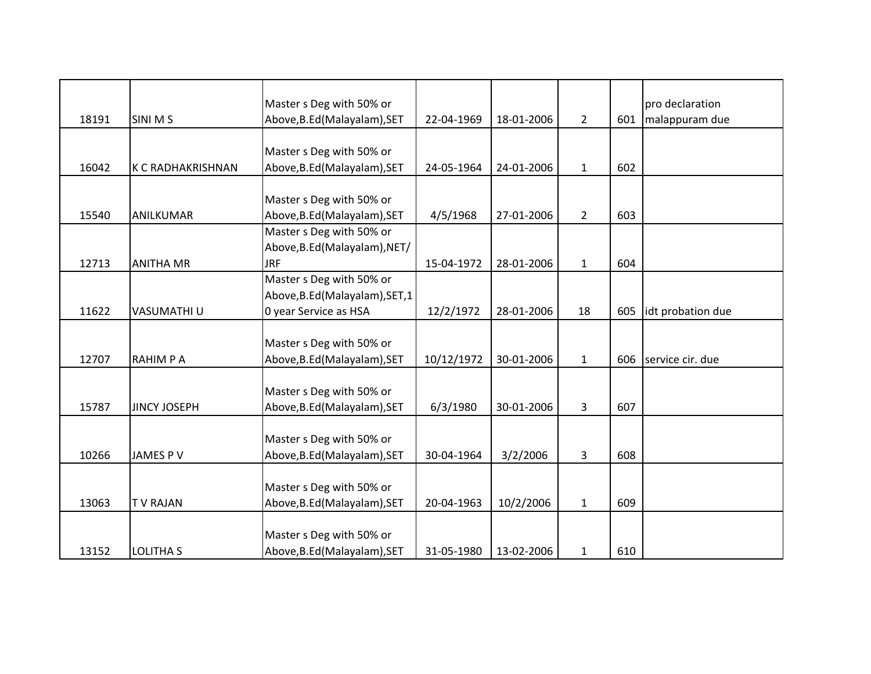|       |                          | Master s Deg with 50% or        |            |            |                |     | pro declaration   |
|-------|--------------------------|---------------------------------|------------|------------|----------------|-----|-------------------|
| 18191 | <b>SINI MS</b>           | Above, B.Ed (Malayalam), SET    | 22-04-1969 | 18-01-2006 | $\overline{2}$ | 601 | malappuram due    |
|       |                          |                                 |            |            |                |     |                   |
|       |                          | Master s Deg with 50% or        |            |            |                |     |                   |
| 16042 | <b>K C RADHAKRISHNAN</b> | Above, B.Ed (Malayalam), SET    | 24-05-1964 | 24-01-2006 | $\mathbf{1}$   | 602 |                   |
|       |                          |                                 |            |            |                |     |                   |
|       |                          | Master s Deg with 50% or        |            |            |                |     |                   |
| 15540 | ANILKUMAR                | Above, B.Ed (Malayalam), SET    | 4/5/1968   | 27-01-2006 | $\overline{2}$ | 603 |                   |
|       |                          | Master s Deg with 50% or        |            |            |                |     |                   |
|       |                          | Above, B.Ed (Malayalam), NET/   |            |            |                |     |                   |
| 12713 | <b>ANITHA MR</b>         | <b>JRF</b>                      | 15-04-1972 | 28-01-2006 | $\mathbf{1}$   | 604 |                   |
|       |                          | Master s Deg with 50% or        |            |            |                |     |                   |
|       |                          | Above, B.Ed (Malayalam), SET, 1 |            |            |                |     |                   |
| 11622 | VASUMATHI U              | 0 year Service as HSA           | 12/2/1972  | 28-01-2006 | 18             | 605 | idt probation due |
|       |                          |                                 |            |            |                |     |                   |
|       |                          | Master s Deg with 50% or        |            |            |                |     |                   |
| 12707 | <b>RAHIMPA</b>           | Above, B.Ed (Malayalam), SET    | 10/12/1972 | 30-01-2006 | $\mathbf{1}$   | 606 | service cir. due  |
|       |                          |                                 |            |            |                |     |                   |
|       |                          | Master s Deg with 50% or        |            |            |                |     |                   |
| 15787 | <b>JINCY JOSEPH</b>      | Above, B.Ed (Malayalam), SET    | 6/3/1980   | 30-01-2006 | $\overline{3}$ | 607 |                   |
|       |                          |                                 |            |            |                |     |                   |
|       |                          | Master s Deg with 50% or        |            |            |                |     |                   |
| 10266 | <b>JAMES PV</b>          | Above, B.Ed (Malayalam), SET    | 30-04-1964 | 3/2/2006   | 3              | 608 |                   |
|       |                          |                                 |            |            |                |     |                   |
|       |                          | Master s Deg with 50% or        |            |            |                |     |                   |
| 13063 | <b>TV RAJAN</b>          | Above, B.Ed (Malayalam), SET    | 20-04-1963 | 10/2/2006  | $\mathbf{1}$   | 609 |                   |
|       |                          |                                 |            |            |                |     |                   |
|       |                          | Master s Deg with 50% or        |            |            |                |     |                   |
| 13152 | <b>LOLITHA S</b>         | Above, B.Ed (Malayalam), SET    | 31-05-1980 | 13-02-2006 | $\mathbf{1}$   | 610 |                   |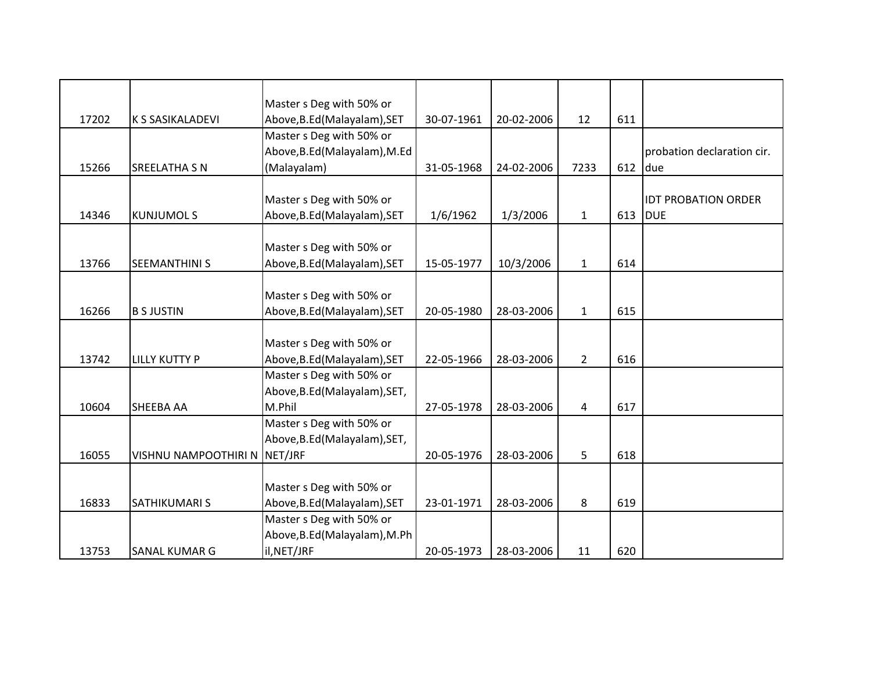|       |                         | Master s Deg with 50% or      |            |            |                |     |                            |
|-------|-------------------------|-------------------------------|------------|------------|----------------|-----|----------------------------|
| 17202 | <b>K S SASIKALADEVI</b> | Above, B.Ed (Malayalam), SET  | 30-07-1961 | 20-02-2006 | 12             | 611 |                            |
|       |                         | Master s Deg with 50% or      |            |            |                |     |                            |
|       |                         | Above, B.Ed (Malayalam), M.Ed |            |            |                |     | probation declaration cir. |
| 15266 | <b>SREELATHA S N</b>    | (Malayalam)                   | 31-05-1968 | 24-02-2006 | 7233           | 612 | due                        |
|       |                         |                               |            |            |                |     |                            |
|       |                         | Master s Deg with 50% or      |            |            |                |     | <b>IDT PROBATION ORDER</b> |
| 14346 | <b>KUNJUMOLS</b>        | Above, B.Ed (Malayalam), SET  | 1/6/1962   | 1/3/2006   | $\mathbf{1}$   | 613 | <b>DUE</b>                 |
|       |                         |                               |            |            |                |     |                            |
|       |                         | Master s Deg with 50% or      |            |            |                |     |                            |
| 13766 | <b>SEEMANTHINI S</b>    | Above, B.Ed (Malayalam), SET  | 15-05-1977 | 10/3/2006  | $\mathbf{1}$   | 614 |                            |
|       |                         |                               |            |            |                |     |                            |
|       |                         | Master s Deg with 50% or      |            |            |                |     |                            |
| 16266 | <b>B S JUSTIN</b>       | Above, B.Ed (Malayalam), SET  | 20-05-1980 | 28-03-2006 | $\mathbf{1}$   | 615 |                            |
|       |                         |                               |            |            |                |     |                            |
|       |                         | Master s Deg with 50% or      |            |            |                |     |                            |
| 13742 | LILLY KUTTY P           | Above, B.Ed (Malayalam), SET  | 22-05-1966 | 28-03-2006 | $2^{\circ}$    | 616 |                            |
|       |                         | Master s Deg with 50% or      |            |            |                |     |                            |
|       |                         | Above, B.Ed (Malayalam), SET, |            |            |                |     |                            |
| 10604 | <b>SHEEBA AA</b>        | M.Phil                        | 27-05-1978 | 28-03-2006 | $\overline{4}$ | 617 |                            |
|       |                         | Master s Deg with 50% or      |            |            |                |     |                            |
|       |                         | Above, B.Ed (Malayalam), SET, |            |            |                |     |                            |
| 16055 | VISHNU NAMPOOTHIRI N    | NET/JRF                       | 20-05-1976 | 28-03-2006 | 5              | 618 |                            |
|       |                         |                               |            |            |                |     |                            |
|       |                         | Master s Deg with 50% or      |            |            |                |     |                            |
| 16833 | SATHIKUMARI S           | Above, B.Ed (Malayalam), SET  | 23-01-1971 | 28-03-2006 | 8              | 619 |                            |
|       |                         | Master s Deg with 50% or      |            |            |                |     |                            |
|       |                         | Above, B.Ed (Malayalam), M.Ph |            |            |                |     |                            |
| 13753 | SANAL KUMAR G           | il, NET/JRF                   | 20-05-1973 | 28-03-2006 | 11             | 620 |                            |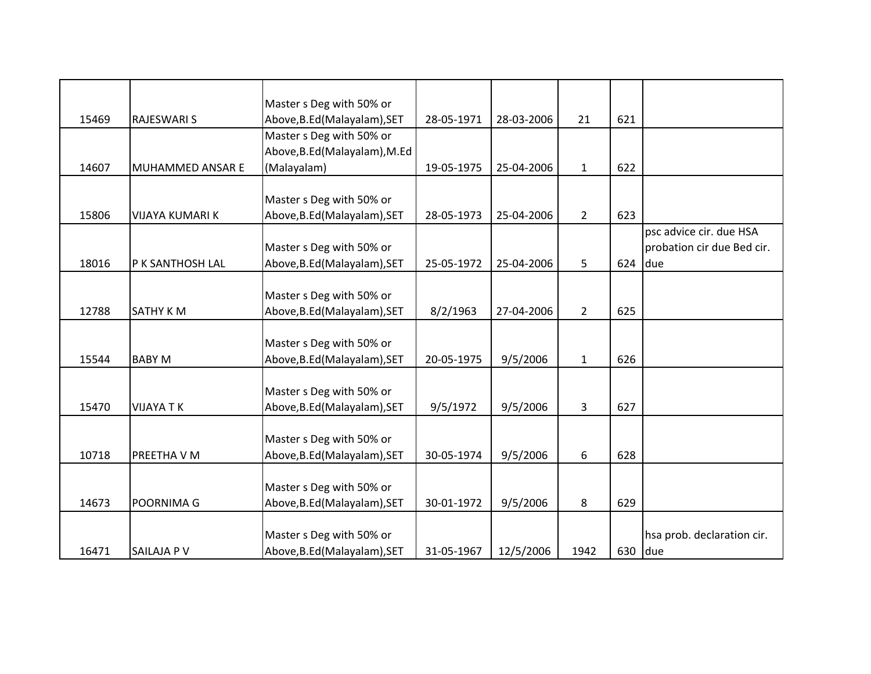|       |                         | Master s Deg with 50% or      |            |            |                |     |                            |
|-------|-------------------------|-------------------------------|------------|------------|----------------|-----|----------------------------|
| 15469 | <b>RAJESWARI S</b>      | Above, B.Ed (Malayalam), SET  | 28-05-1971 | 28-03-2006 | 21             | 621 |                            |
|       |                         | Master s Deg with 50% or      |            |            |                |     |                            |
|       |                         | Above, B.Ed (Malayalam), M.Ed |            |            |                |     |                            |
| 14607 | <b>MUHAMMED ANSAR E</b> | (Malayalam)                   | 19-05-1975 | 25-04-2006 | $\mathbf{1}$   | 622 |                            |
|       |                         |                               |            |            |                |     |                            |
|       |                         | Master s Deg with 50% or      |            |            |                |     |                            |
| 15806 | <b>VIJAYA KUMARI K</b>  | Above, B.Ed (Malayalam), SET  | 28-05-1973 | 25-04-2006 | $2^{\circ}$    | 623 |                            |
|       |                         |                               |            |            |                |     | psc advice cir. due HSA    |
|       |                         | Master s Deg with 50% or      |            |            |                |     | probation cir due Bed cir. |
| 18016 | P K SANTHOSH LAL        | Above, B.Ed (Malayalam), SET  | 25-05-1972 | 25-04-2006 | 5              | 624 | due                        |
|       |                         |                               |            |            |                |     |                            |
|       |                         | Master s Deg with 50% or      |            |            |                |     |                            |
| 12788 | SATHY KM                | Above, B.Ed (Malayalam), SET  | 8/2/1963   | 27-04-2006 | $\overline{2}$ | 625 |                            |
|       |                         |                               |            |            |                |     |                            |
|       |                         | Master s Deg with 50% or      |            |            |                |     |                            |
| 15544 | <b>BABY M</b>           | Above, B.Ed (Malayalam), SET  | 20-05-1975 | 9/5/2006   | $\mathbf{1}$   | 626 |                            |
|       |                         |                               |            |            |                |     |                            |
|       |                         | Master s Deg with 50% or      |            |            |                |     |                            |
| 15470 | <b>VIJAYA TK</b>        | Above, B.Ed (Malayalam), SET  | 9/5/1972   | 9/5/2006   | 3              | 627 |                            |
|       |                         |                               |            |            |                |     |                            |
|       |                         | Master s Deg with 50% or      |            |            |                |     |                            |
| 10718 | PREETHA V M             | Above, B.Ed (Malayalam), SET  | 30-05-1974 | 9/5/2006   | 6              | 628 |                            |
|       |                         |                               |            |            |                |     |                            |
|       |                         | Master s Deg with 50% or      |            |            |                |     |                            |
| 14673 | POORNIMA G              | Above, B.Ed (Malayalam), SET  | 30-01-1972 | 9/5/2006   | 8              | 629 |                            |
|       |                         |                               |            |            |                |     |                            |
|       |                         | Master s Deg with 50% or      |            |            |                |     | hsa prob. declaration cir. |
| 16471 | SAILAJA P V             | Above, B.Ed (Malayalam), SET  | 31-05-1967 | 12/5/2006  | 1942           | 630 | due                        |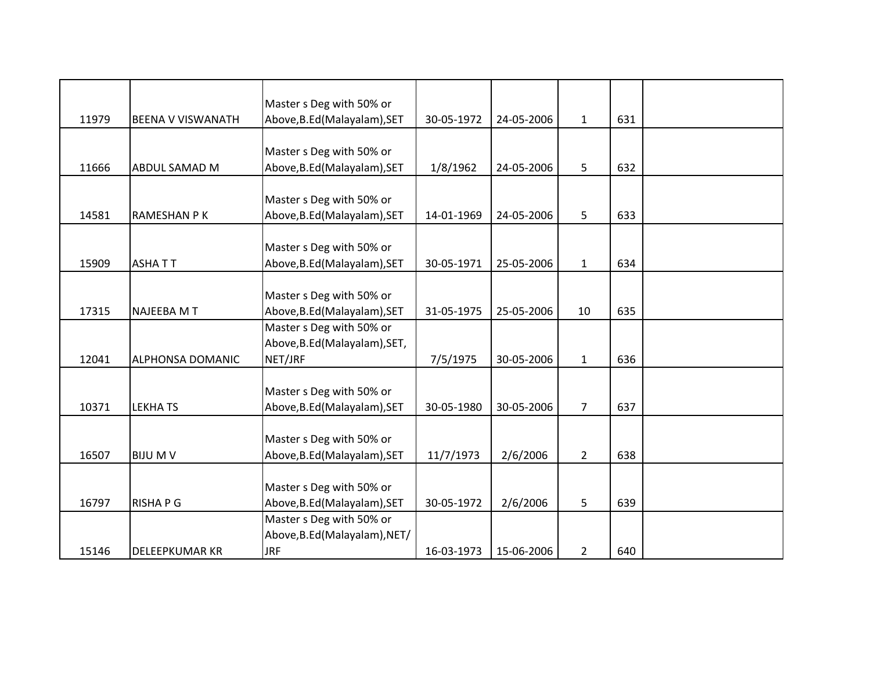|       |                          | Master s Deg with 50% or      |            |            |                |     |  |
|-------|--------------------------|-------------------------------|------------|------------|----------------|-----|--|
| 11979 | <b>BEENA V VISWANATH</b> | Above, B.Ed (Malayalam), SET  | 30-05-1972 | 24-05-2006 | $\mathbf{1}$   | 631 |  |
|       |                          |                               |            |            |                |     |  |
|       |                          | Master s Deg with 50% or      |            |            |                |     |  |
| 11666 | <b>ABDUL SAMAD M</b>     | Above, B.Ed (Malayalam), SET  | 1/8/1962   | 24-05-2006 | 5              | 632 |  |
|       |                          |                               |            |            |                |     |  |
|       |                          | Master s Deg with 50% or      |            |            |                |     |  |
| 14581 | RAMESHAN P K             | Above, B.Ed (Malayalam), SET  | 14-01-1969 | 24-05-2006 | 5              | 633 |  |
|       |                          |                               |            |            |                |     |  |
|       |                          | Master s Deg with 50% or      |            |            |                |     |  |
| 15909 | <b>ASHATT</b>            | Above, B.Ed (Malayalam), SET  | 30-05-1971 | 25-05-2006 | $\mathbf{1}$   | 634 |  |
|       |                          |                               |            |            |                |     |  |
|       |                          | Master s Deg with 50% or      |            |            |                |     |  |
| 17315 | NAJEEBA M T              | Above, B.Ed (Malayalam), SET  | 31-05-1975 | 25-05-2006 | 10             | 635 |  |
|       |                          | Master s Deg with 50% or      |            |            |                |     |  |
|       |                          | Above, B.Ed (Malayalam), SET, |            |            |                |     |  |
| 12041 | <b>ALPHONSA DOMANIC</b>  | NET/JRF                       | 7/5/1975   | 30-05-2006 | $\mathbf{1}$   | 636 |  |
|       |                          |                               |            |            |                |     |  |
|       |                          | Master s Deg with 50% or      |            |            |                |     |  |
| 10371 | <b>LEKHATS</b>           | Above, B.Ed (Malayalam), SET  | 30-05-1980 | 30-05-2006 | $\overline{7}$ | 637 |  |
|       |                          |                               |            |            |                |     |  |
|       |                          | Master s Deg with 50% or      |            |            |                |     |  |
| 16507 | <b>BIJU M V</b>          | Above, B.Ed (Malayalam), SET  | 11/7/1973  | 2/6/2006   | $\overline{2}$ | 638 |  |
|       |                          |                               |            |            |                |     |  |
|       |                          | Master s Deg with 50% or      |            |            |                |     |  |
| 16797 | <b>RISHAPG</b>           | Above, B.Ed (Malayalam), SET  | 30-05-1972 | 2/6/2006   | 5              | 639 |  |
|       |                          | Master s Deg with 50% or      |            |            |                |     |  |
|       |                          | Above, B.Ed (Malayalam), NET/ |            |            |                |     |  |
| 15146 | <b>DELEEPKUMAR KR</b>    | <b>JRF</b>                    | 16-03-1973 | 15-06-2006 | $\overline{2}$ | 640 |  |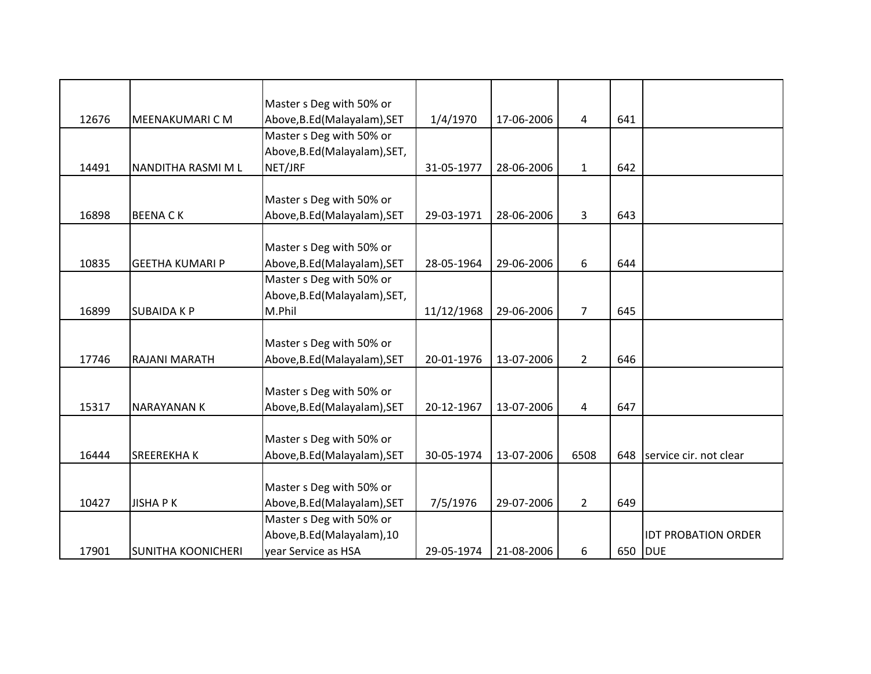|       |                           | Master s Deg with 50% or      |            |            |                |     |                            |
|-------|---------------------------|-------------------------------|------------|------------|----------------|-----|----------------------------|
| 12676 | <b>MEENAKUMARI C M</b>    | Above, B.Ed (Malayalam), SET  | 1/4/1970   | 17-06-2006 | 4              | 641 |                            |
|       |                           | Master s Deg with 50% or      |            |            |                |     |                            |
|       |                           | Above, B.Ed (Malayalam), SET, |            |            |                |     |                            |
| 14491 | NANDITHA RASMI M L        | NET/JRF                       | 31-05-1977 | 28-06-2006 | $\mathbf{1}$   | 642 |                            |
|       |                           |                               |            |            |                |     |                            |
|       |                           | Master s Deg with 50% or      |            |            |                |     |                            |
| 16898 | <b>BEENACK</b>            | Above, B.Ed (Malayalam), SET  | 29-03-1971 | 28-06-2006 | 3              | 643 |                            |
|       |                           |                               |            |            |                |     |                            |
|       |                           | Master s Deg with 50% or      |            |            |                |     |                            |
| 10835 | <b>GEETHA KUMARI P</b>    | Above, B.Ed (Malayalam), SET  | 28-05-1964 | 29-06-2006 | 6              | 644 |                            |
|       |                           | Master s Deg with 50% or      |            |            |                |     |                            |
|       |                           | Above, B.Ed (Malayalam), SET, |            |            |                |     |                            |
| 16899 | <b>SUBAIDA K P</b>        | M.Phil                        | 11/12/1968 | 29-06-2006 | $\overline{7}$ | 645 |                            |
|       |                           |                               |            |            |                |     |                            |
|       |                           | Master s Deg with 50% or      |            |            |                |     |                            |
| 17746 | RAJANI MARATH             | Above, B.Ed (Malayalam), SET  | 20-01-1976 | 13-07-2006 | $\overline{2}$ | 646 |                            |
|       |                           |                               |            |            |                |     |                            |
|       |                           | Master s Deg with 50% or      |            |            |                |     |                            |
| 15317 | <b>NARAYANAN K</b>        | Above, B.Ed (Malayalam), SET  | 20-12-1967 | 13-07-2006 | $\overline{4}$ | 647 |                            |
|       |                           |                               |            |            |                |     |                            |
|       |                           | Master s Deg with 50% or      |            |            |                |     |                            |
| 16444 | <b>SREEREKHAK</b>         | Above, B.Ed (Malayalam), SET  | 30-05-1974 | 13-07-2006 | 6508           | 648 | service cir. not clear     |
|       |                           | Master s Deg with 50% or      |            |            |                |     |                            |
| 10427 | <b>JISHAPK</b>            | Above, B.Ed (Malayalam), SET  | 7/5/1976   | 29-07-2006 | $\overline{2}$ | 649 |                            |
|       |                           | Master s Deg with 50% or      |            |            |                |     |                            |
|       |                           | Above, B.Ed (Malayalam), 10   |            |            |                |     | <b>IDT PROBATION ORDER</b> |
| 17901 | <b>SUNITHA KOONICHERI</b> | year Service as HSA           | 29-05-1974 | 21-08-2006 | 6              |     | 650 DUE                    |
|       |                           |                               |            |            |                |     |                            |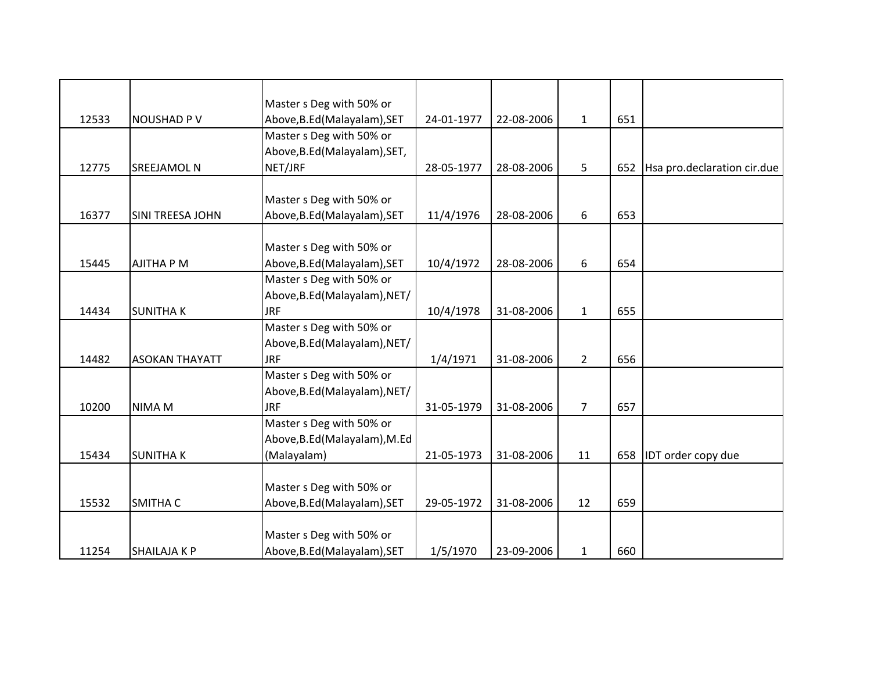|       |                       | Master s Deg with 50% or      |            |            |                |     |                             |
|-------|-----------------------|-------------------------------|------------|------------|----------------|-----|-----------------------------|
| 12533 | <b>NOUSHAD PV</b>     | Above, B.Ed (Malayalam), SET  | 24-01-1977 | 22-08-2006 | $\mathbf{1}$   | 651 |                             |
|       |                       | Master s Deg with 50% or      |            |            |                |     |                             |
|       |                       | Above, B.Ed (Malayalam), SET, |            |            |                |     |                             |
| 12775 | <b>SREEJAMOL N</b>    | NET/JRF                       | 28-05-1977 | 28-08-2006 | 5              | 652 | Hsa pro.declaration cir.due |
|       |                       |                               |            |            |                |     |                             |
|       |                       | Master s Deg with 50% or      |            |            |                |     |                             |
| 16377 | SINI TREESA JOHN      | Above, B.Ed (Malayalam), SET  | 11/4/1976  | 28-08-2006 | 6              | 653 |                             |
|       |                       |                               |            |            |                |     |                             |
|       |                       | Master s Deg with 50% or      |            |            |                |     |                             |
| 15445 | <b>AJITHA P M</b>     | Above, B.Ed (Malayalam), SET  | 10/4/1972  | 28-08-2006 | 6              | 654 |                             |
|       |                       | Master s Deg with 50% or      |            |            |                |     |                             |
|       |                       | Above, B.Ed (Malayalam), NET/ |            |            |                |     |                             |
| 14434 | <b>SUNITHAK</b>       | <b>JRF</b>                    | 10/4/1978  | 31-08-2006 | $\mathbf{1}$   | 655 |                             |
|       |                       | Master s Deg with 50% or      |            |            |                |     |                             |
|       |                       | Above, B.Ed (Malayalam), NET/ |            |            |                |     |                             |
| 14482 | <b>ASOKAN THAYATT</b> | <b>JRF</b>                    | 1/4/1971   | 31-08-2006 | $\overline{2}$ | 656 |                             |
|       |                       | Master s Deg with 50% or      |            |            |                |     |                             |
|       |                       | Above, B.Ed (Malayalam), NET/ |            |            |                |     |                             |
| 10200 | NIMA M                | <b>JRF</b>                    | 31-05-1979 | 31-08-2006 | $\overline{7}$ | 657 |                             |
|       |                       | Master s Deg with 50% or      |            |            |                |     |                             |
|       |                       | Above, B.Ed (Malayalam), M.Ed |            |            |                |     |                             |
| 15434 | <b>SUNITHAK</b>       | (Malayalam)                   | 21-05-1973 | 31-08-2006 | 11             | 658 | IDT order copy due          |
|       |                       |                               |            |            |                |     |                             |
|       |                       | Master s Deg with 50% or      |            |            |                |     |                             |
| 15532 | <b>SMITHA C</b>       | Above, B.Ed (Malayalam), SET  | 29-05-1972 | 31-08-2006 | 12             | 659 |                             |
|       |                       |                               |            |            |                |     |                             |
|       |                       | Master s Deg with 50% or      |            |            |                |     |                             |
| 11254 | <b>SHAILAJA K P</b>   | Above, B.Ed (Malayalam), SET  | 1/5/1970   | 23-09-2006 | $\mathbf{1}$   | 660 |                             |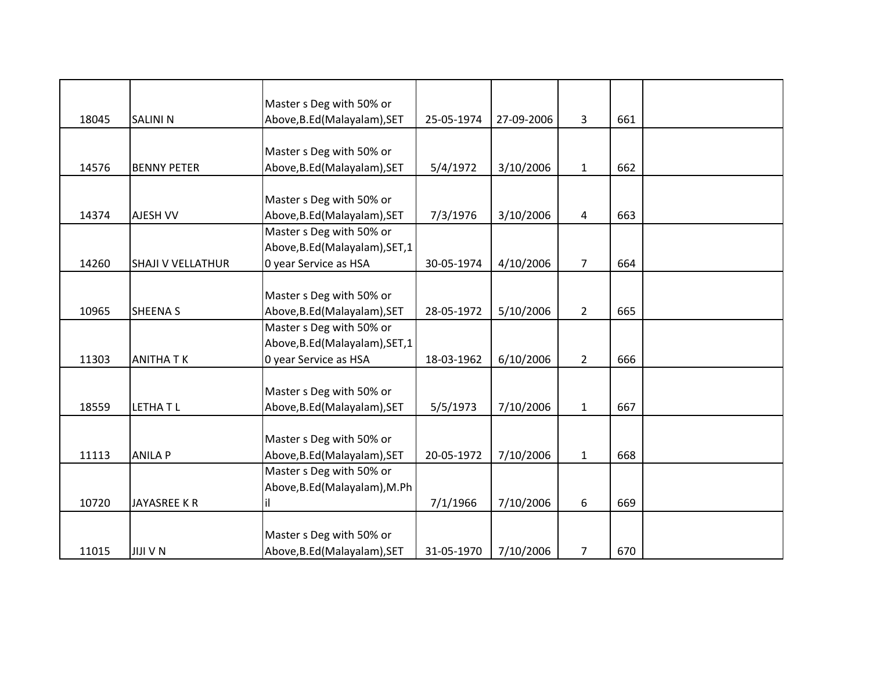|       |                          | Master s Deg with 50% or        |            |            |                |     |  |
|-------|--------------------------|---------------------------------|------------|------------|----------------|-----|--|
| 18045 | <b>SALINI N</b>          | Above, B.Ed (Malayalam), SET    | 25-05-1974 | 27-09-2006 | $\overline{3}$ | 661 |  |
|       |                          |                                 |            |            |                |     |  |
|       |                          | Master s Deg with 50% or        |            |            |                |     |  |
| 14576 | <b>BENNY PETER</b>       | Above, B.Ed (Malayalam), SET    | 5/4/1972   | 3/10/2006  | $\mathbf{1}$   | 662 |  |
|       |                          |                                 |            |            |                |     |  |
|       |                          | Master s Deg with 50% or        |            |            |                |     |  |
| 14374 | AJESH VV                 | Above, B.Ed (Malayalam), SET    | 7/3/1976   | 3/10/2006  | 4              | 663 |  |
|       |                          | Master s Deg with 50% or        |            |            |                |     |  |
|       |                          | Above, B.Ed (Malayalam), SET, 1 |            |            |                |     |  |
| 14260 | <b>SHAJI V VELLATHUR</b> | 0 year Service as HSA           | 30-05-1974 | 4/10/2006  | $\overline{7}$ | 664 |  |
|       |                          |                                 |            |            |                |     |  |
|       |                          | Master s Deg with 50% or        |            |            |                |     |  |
| 10965 | <b>SHEENA S</b>          | Above, B.Ed (Malayalam), SET    | 28-05-1972 | 5/10/2006  | $\overline{2}$ | 665 |  |
|       |                          | Master s Deg with 50% or        |            |            |                |     |  |
|       |                          | Above, B.Ed (Malayalam), SET, 1 |            |            |                |     |  |
| 11303 | <b>ANITHATK</b>          | 0 year Service as HSA           | 18-03-1962 | 6/10/2006  | $\overline{2}$ | 666 |  |
|       |                          |                                 |            |            |                |     |  |
|       |                          | Master s Deg with 50% or        |            |            |                |     |  |
| 18559 | <b>LETHATL</b>           | Above, B.Ed (Malayalam), SET    | 5/5/1973   | 7/10/2006  | $\mathbf{1}$   | 667 |  |
|       |                          |                                 |            |            |                |     |  |
|       |                          | Master s Deg with 50% or        |            |            |                |     |  |
| 11113 | <b>ANILA P</b>           | Above, B.Ed (Malayalam), SET    | 20-05-1972 | 7/10/2006  | $\mathbf{1}$   | 668 |  |
|       |                          | Master s Deg with 50% or        |            |            |                |     |  |
|       |                          | Above, B.Ed (Malayalam), M.Ph   |            |            |                |     |  |
| 10720 | JAYASREE K R             | lil                             | 7/1/1966   | 7/10/2006  | 6              | 669 |  |
|       |                          |                                 |            |            |                |     |  |
|       |                          | Master s Deg with 50% or        |            |            |                |     |  |
| 11015 | <b>JIJI V N</b>          | Above, B.Ed (Malayalam), SET    | 31-05-1970 | 7/10/2006  | 7              | 670 |  |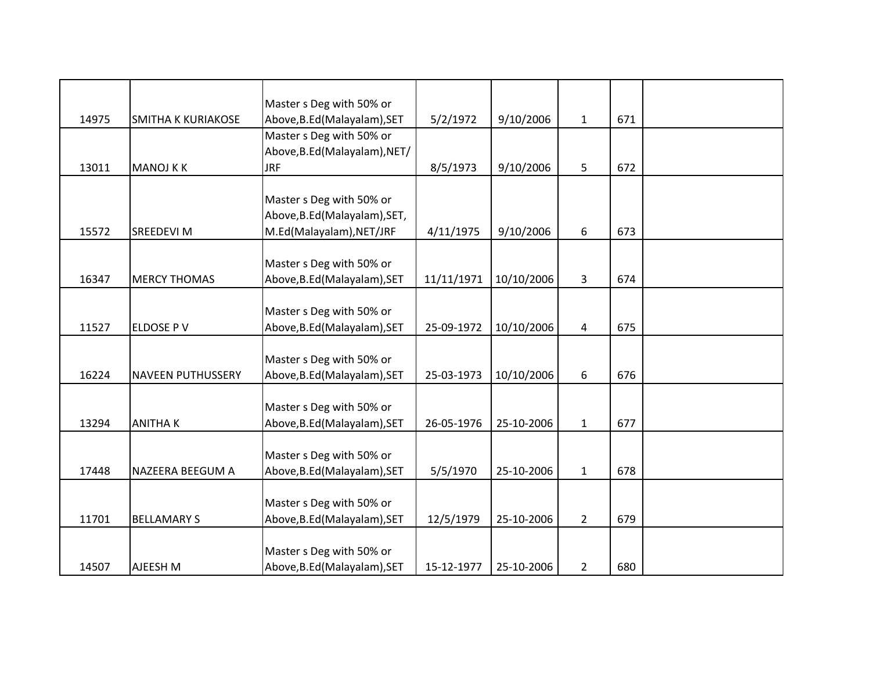|       |                           | Master s Deg with 50% or                                 |            |            |                |     |  |
|-------|---------------------------|----------------------------------------------------------|------------|------------|----------------|-----|--|
| 14975 | <b>SMITHA K KURIAKOSE</b> | Above, B.Ed (Malayalam), SET                             | 5/2/1972   | 9/10/2006  | $\mathbf{1}$   | 671 |  |
|       |                           | Master s Deg with 50% or                                 |            |            |                |     |  |
|       |                           | Above, B.Ed (Malayalam), NET/                            |            |            |                |     |  |
| 13011 | <b>MANOJ KK</b>           | <b>JRF</b>                                               | 8/5/1973   | 9/10/2006  | 5              | 672 |  |
|       |                           |                                                          |            |            |                |     |  |
|       |                           | Master s Deg with 50% or                                 |            |            |                |     |  |
| 15572 | <b>SREEDEVI M</b>         | Above, B.Ed (Malayalam), SET,                            |            |            | 6              | 673 |  |
|       |                           | M.Ed(Malayalam), NET/JRF                                 | 4/11/1975  | 9/10/2006  |                |     |  |
|       |                           | Master s Deg with 50% or                                 |            |            |                |     |  |
| 16347 | <b>MERCY THOMAS</b>       | Above, B.Ed (Malayalam), SET                             | 11/11/1971 | 10/10/2006 | $\overline{3}$ | 674 |  |
|       |                           |                                                          |            |            |                |     |  |
|       |                           | Master s Deg with 50% or                                 |            |            |                |     |  |
| 11527 | <b>ELDOSE PV</b>          | Above, B.Ed (Malayalam), SET                             | 25-09-1972 | 10/10/2006 | 4              | 675 |  |
|       |                           |                                                          |            |            |                |     |  |
|       |                           | Master s Deg with 50% or                                 |            |            |                |     |  |
| 16224 | <b>NAVEEN PUTHUSSERY</b>  | Above, B.Ed (Malayalam), SET                             | 25-03-1973 | 10/10/2006 | 6              | 676 |  |
|       |                           |                                                          |            |            |                |     |  |
| 13294 | <b>ANITHAK</b>            | Master s Deg with 50% or<br>Above, B.Ed (Malayalam), SET | 26-05-1976 | 25-10-2006 | $\mathbf{1}$   | 677 |  |
|       |                           |                                                          |            |            |                |     |  |
|       |                           | Master s Deg with 50% or                                 |            |            |                |     |  |
| 17448 | NAZEERA BEEGUM A          | Above, B.Ed (Malayalam), SET                             | 5/5/1970   | 25-10-2006 | $\mathbf{1}$   | 678 |  |
|       |                           |                                                          |            |            |                |     |  |
|       |                           | Master s Deg with 50% or                                 |            |            |                |     |  |
| 11701 | <b>BELLAMARY S</b>        | Above, B.Ed (Malayalam), SET                             | 12/5/1979  | 25-10-2006 | $\overline{2}$ | 679 |  |
|       |                           |                                                          |            |            |                |     |  |
|       |                           | Master s Deg with 50% or                                 |            |            |                |     |  |
| 14507 | AJEESH M                  | Above, B.Ed (Malayalam), SET                             | 15-12-1977 | 25-10-2006 | $\overline{2}$ | 680 |  |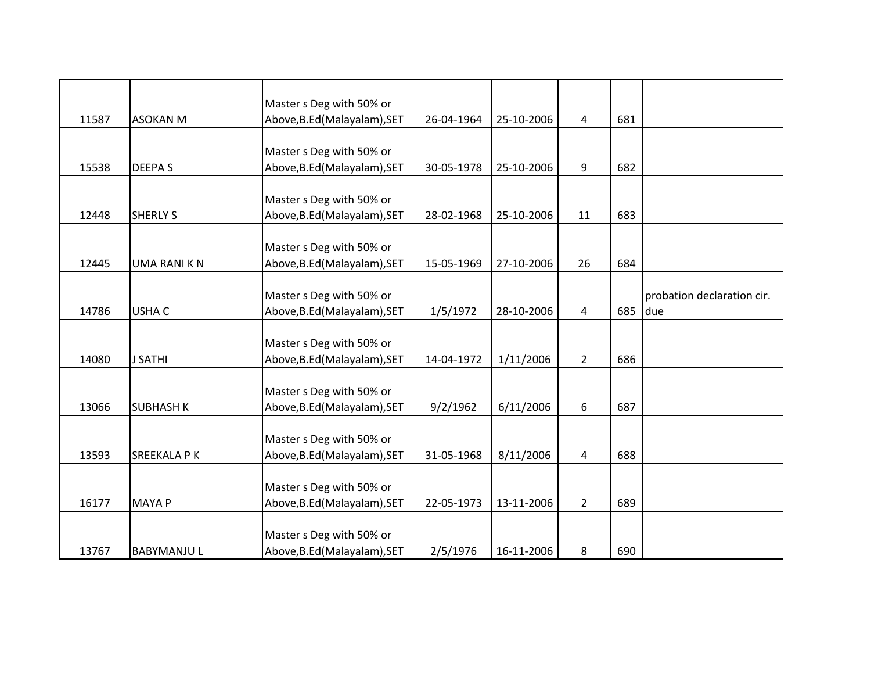|       |                     | Master s Deg with 50% or     |            |            |                |     |                            |
|-------|---------------------|------------------------------|------------|------------|----------------|-----|----------------------------|
| 11587 | <b>ASOKAN M</b>     | Above, B.Ed (Malayalam), SET | 26-04-1964 | 25-10-2006 | 4              | 681 |                            |
|       |                     |                              |            |            |                |     |                            |
|       |                     | Master s Deg with 50% or     |            |            |                |     |                            |
| 15538 | <b>DEEPAS</b>       | Above, B.Ed (Malayalam), SET | 30-05-1978 | 25-10-2006 | 9              | 682 |                            |
|       |                     | Master s Deg with 50% or     |            |            |                |     |                            |
| 12448 | <b>SHERLY S</b>     | Above, B.Ed (Malayalam), SET | 28-02-1968 | 25-10-2006 | 11             | 683 |                            |
|       |                     |                              |            |            |                |     |                            |
|       |                     | Master s Deg with 50% or     |            |            |                |     |                            |
| 12445 | <b>UMA RANI K N</b> | Above, B.Ed (Malayalam), SET | 15-05-1969 | 27-10-2006 | 26             | 684 |                            |
|       |                     |                              |            |            |                |     |                            |
|       |                     | Master s Deg with 50% or     |            |            |                |     | probation declaration cir. |
| 14786 | <b>USHA C</b>       | Above, B.Ed (Malayalam), SET | 1/5/1972   | 28-10-2006 | 4              | 685 | due                        |
|       |                     |                              |            |            |                |     |                            |
|       |                     | Master s Deg with 50% or     |            |            |                |     |                            |
| 14080 | <b>J SATHI</b>      | Above, B.Ed (Malayalam), SET | 14-04-1972 | 1/11/2006  | $\overline{2}$ | 686 |                            |
|       |                     |                              |            |            |                |     |                            |
|       |                     | Master s Deg with 50% or     |            |            |                |     |                            |
| 13066 | <b>SUBHASH K</b>    | Above, B.Ed (Malayalam), SET | 9/2/1962   | 6/11/2006  | 6              | 687 |                            |
|       |                     |                              |            |            |                |     |                            |
|       |                     | Master s Deg with 50% or     |            |            |                |     |                            |
| 13593 | <b>SREEKALA P K</b> | Above, B.Ed (Malayalam), SET | 31-05-1968 | 8/11/2006  | $\overline{4}$ | 688 |                            |
|       |                     |                              |            |            |                |     |                            |
|       |                     | Master s Deg with 50% or     |            |            |                |     |                            |
| 16177 | <b>MAYA P</b>       | Above, B.Ed (Malayalam), SET | 22-05-1973 | 13-11-2006 | $\overline{2}$ | 689 |                            |
|       |                     |                              |            |            |                |     |                            |
|       |                     | Master s Deg with 50% or     |            |            |                |     |                            |
| 13767 | <b>BABYMANJUL</b>   | Above, B.Ed (Malayalam), SET | 2/5/1976   | 16-11-2006 | 8              | 690 |                            |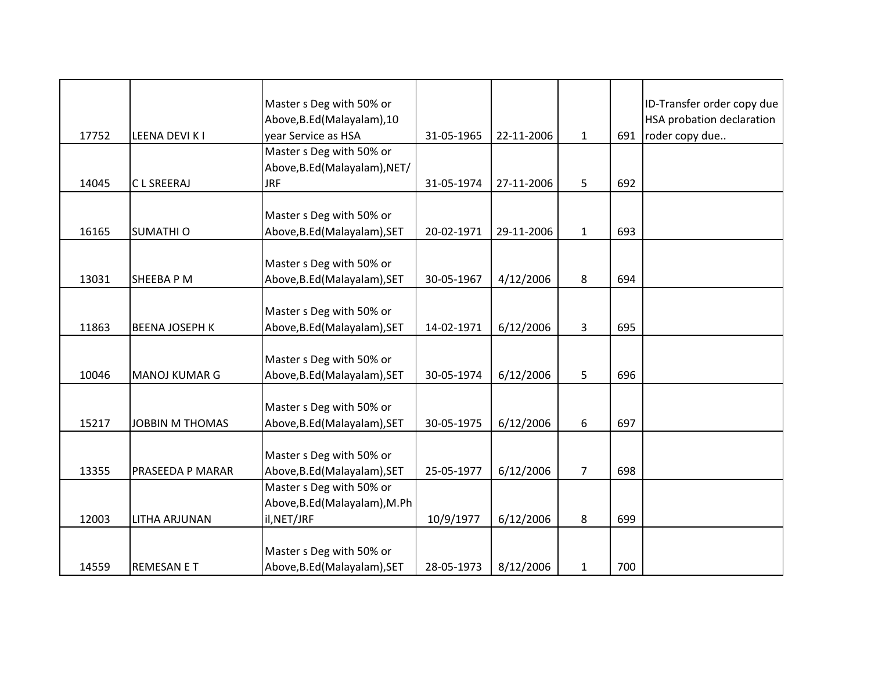| 17752 | LEENA DEVI K I         | Master s Deg with 50% or<br>Above, B.Ed (Malayalam), 10<br>year Service as HSA | 31-05-1965 | 22-11-2006 | $\mathbf{1}$   | 691 | ID-Transfer order copy due<br>HSA probation declaration<br>roder copy due |
|-------|------------------------|--------------------------------------------------------------------------------|------------|------------|----------------|-----|---------------------------------------------------------------------------|
| 14045 | C L SREERAJ            | Master s Deg with 50% or<br>Above, B.Ed (Malayalam), NET/<br><b>JRF</b>        | 31-05-1974 | 27-11-2006 | 5              | 692 |                                                                           |
| 16165 | <b>SUMATHIO</b>        | Master s Deg with 50% or<br>Above, B.Ed (Malayalam), SET                       | 20-02-1971 | 29-11-2006 | $\mathbf{1}$   | 693 |                                                                           |
| 13031 | SHEEBA P M             | Master s Deg with 50% or<br>Above, B.Ed (Malayalam), SET                       | 30-05-1967 | 4/12/2006  | 8              | 694 |                                                                           |
| 11863 | <b>BEENA JOSEPH K</b>  | Master s Deg with 50% or<br>Above, B.Ed (Malayalam), SET                       | 14-02-1971 | 6/12/2006  | 3              | 695 |                                                                           |
| 10046 | <b>MANOJ KUMAR G</b>   | Master s Deg with 50% or<br>Above, B.Ed (Malayalam), SET                       | 30-05-1974 | 6/12/2006  | 5              | 696 |                                                                           |
| 15217 | <b>JOBBIN M THOMAS</b> | Master s Deg with 50% or<br>Above, B.Ed (Malayalam), SET                       | 30-05-1975 | 6/12/2006  | 6              | 697 |                                                                           |
| 13355 | PRASEEDA P MARAR       | Master s Deg with 50% or<br>Above, B.Ed (Malayalam), SET                       | 25-05-1977 | 6/12/2006  | $\overline{7}$ | 698 |                                                                           |
| 12003 | LITHA ARJUNAN          | Master s Deg with 50% or<br>Above, B.Ed (Malayalam), M.Ph<br>il, NET/JRF       | 10/9/1977  | 6/12/2006  | 8              | 699 |                                                                           |
| 14559 | <b>REMESAN E T</b>     | Master s Deg with 50% or<br>Above, B.Ed (Malayalam), SET                       | 28-05-1973 | 8/12/2006  | $\mathbf{1}$   | 700 |                                                                           |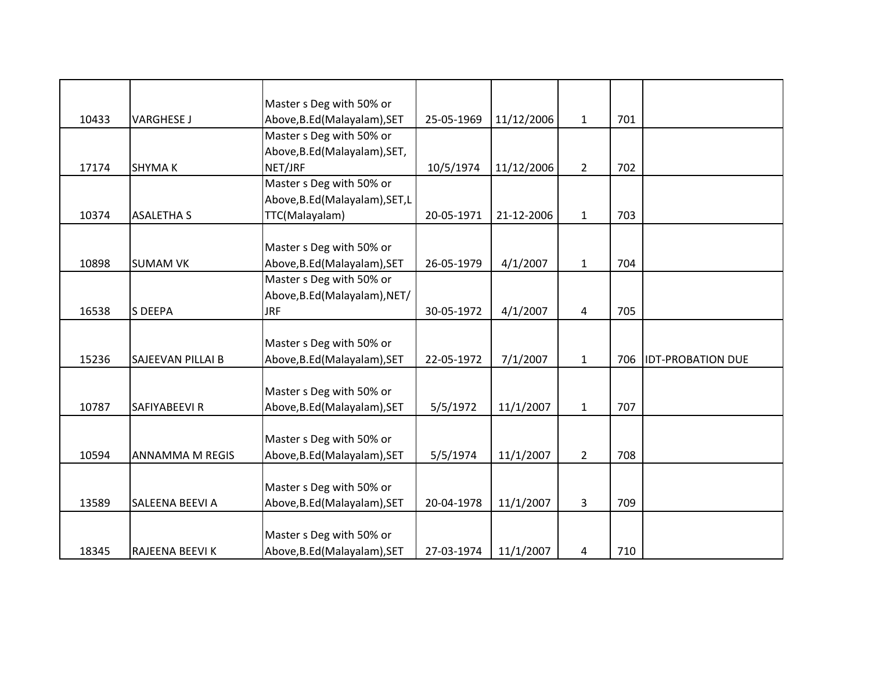|       |                          | Master s Deg with 50% or        |            |            |                |     |                          |
|-------|--------------------------|---------------------------------|------------|------------|----------------|-----|--------------------------|
| 10433 | <b>VARGHESE J</b>        | Above, B.Ed (Malayalam), SET    | 25-05-1969 | 11/12/2006 | $\mathbf{1}$   | 701 |                          |
|       |                          | Master s Deg with 50% or        |            |            |                |     |                          |
|       |                          | Above, B.Ed (Malayalam), SET,   |            |            |                |     |                          |
| 17174 | <b>SHYMAK</b>            | NET/JRF                         | 10/5/1974  | 11/12/2006 | $\overline{2}$ | 702 |                          |
|       |                          | Master s Deg with 50% or        |            |            |                |     |                          |
|       |                          | Above, B.Ed (Malayalam), SET, L |            |            |                |     |                          |
| 10374 | <b>ASALETHA S</b>        | TTC(Malayalam)                  | 20-05-1971 | 21-12-2006 | $\mathbf{1}$   | 703 |                          |
|       |                          |                                 |            |            |                |     |                          |
|       |                          | Master s Deg with 50% or        |            |            |                |     |                          |
| 10898 | <b>SUMAM VK</b>          | Above, B.Ed (Malayalam), SET    | 26-05-1979 | 4/1/2007   | $\mathbf{1}$   | 704 |                          |
|       |                          | Master s Deg with 50% or        |            |            |                |     |                          |
|       |                          | Above, B.Ed (Malayalam), NET/   |            |            |                |     |                          |
| 16538 | <b>S DEEPA</b>           | <b>JRF</b>                      | 30-05-1972 | 4/1/2007   | 4              | 705 |                          |
|       |                          |                                 |            |            |                |     |                          |
|       |                          | Master s Deg with 50% or        |            |            |                |     |                          |
| 15236 | <b>SAJEEVAN PILLAI B</b> | Above, B.Ed (Malayalam), SET    | 22-05-1972 | 7/1/2007   | $\mathbf{1}$   | 706 | <b>IDT-PROBATION DUE</b> |
|       |                          |                                 |            |            |                |     |                          |
|       |                          | Master s Deg with 50% or        |            |            |                |     |                          |
| 10787 | SAFIYABEEVI R            | Above, B.Ed (Malayalam), SET    | 5/5/1972   | 11/1/2007  | $\mathbf{1}$   | 707 |                          |
|       |                          |                                 |            |            |                |     |                          |
|       |                          | Master s Deg with 50% or        |            |            |                |     |                          |
| 10594 | <b>ANNAMMA M REGIS</b>   | Above, B.Ed (Malayalam), SET    | 5/5/1974   | 11/1/2007  | $2^{\circ}$    | 708 |                          |
|       |                          |                                 |            |            |                |     |                          |
|       |                          | Master s Deg with 50% or        |            |            |                |     |                          |
| 13589 | <b>SALEENA BEEVI A</b>   | Above, B.Ed (Malayalam), SET    | 20-04-1978 | 11/1/2007  | 3              | 709 |                          |
|       |                          |                                 |            |            |                |     |                          |
|       |                          | Master s Deg with 50% or        |            |            |                |     |                          |
| 18345 | RAJEENA BEEVI K          | Above, B.Ed (Malayalam), SET    | 27-03-1974 | 11/1/2007  | 4              | 710 |                          |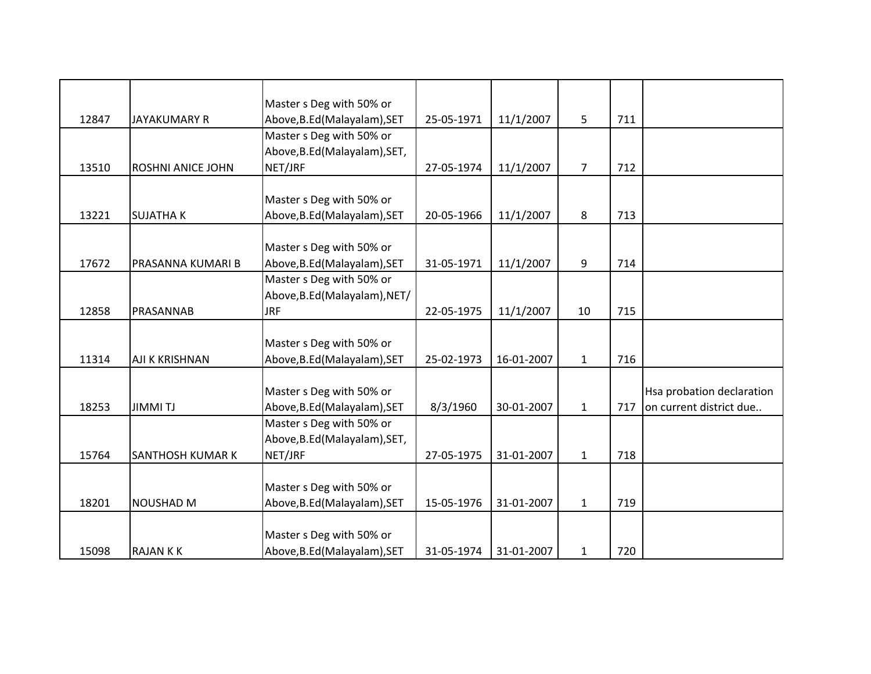|       |                          | Master s Deg with 50% or      |            |            |                |     |                           |
|-------|--------------------------|-------------------------------|------------|------------|----------------|-----|---------------------------|
| 12847 | <b>JAYAKUMARY R</b>      | Above, B.Ed (Malayalam), SET  | 25-05-1971 | 11/1/2007  | 5              | 711 |                           |
|       |                          | Master s Deg with 50% or      |            |            |                |     |                           |
|       |                          | Above, B.Ed (Malayalam), SET, |            |            |                |     |                           |
| 13510 | <b>ROSHNI ANICE JOHN</b> | NET/JRF                       | 27-05-1974 | 11/1/2007  | $\overline{7}$ | 712 |                           |
|       |                          |                               |            |            |                |     |                           |
|       |                          | Master s Deg with 50% or      |            |            |                |     |                           |
| 13221 | <b>SUJATHAK</b>          | Above, B.Ed (Malayalam), SET  | 20-05-1966 | 11/1/2007  | 8              | 713 |                           |
|       |                          |                               |            |            |                |     |                           |
|       |                          | Master s Deg with 50% or      |            |            |                |     |                           |
| 17672 | PRASANNA KUMARI B        | Above, B.Ed (Malayalam), SET  | 31-05-1971 | 11/1/2007  | 9              | 714 |                           |
|       |                          | Master s Deg with 50% or      |            |            |                |     |                           |
|       |                          | Above, B.Ed (Malayalam), NET/ |            |            |                |     |                           |
| 12858 | PRASANNAB                | <b>JRF</b>                    | 22-05-1975 | 11/1/2007  | 10             | 715 |                           |
|       |                          |                               |            |            |                |     |                           |
|       |                          | Master s Deg with 50% or      |            |            |                |     |                           |
| 11314 | AJI K KRISHNAN           | Above, B.Ed (Malayalam), SET  | 25-02-1973 | 16-01-2007 | $\mathbf{1}$   | 716 |                           |
|       |                          |                               |            |            |                |     |                           |
|       |                          | Master s Deg with 50% or      |            |            |                |     | Hsa probation declaration |
| 18253 | <b>JIMMITJ</b>           | Above, B.Ed (Malayalam), SET  | 8/3/1960   | 30-01-2007 | $\mathbf 1$    | 717 | on current district due   |
|       |                          | Master s Deg with 50% or      |            |            |                |     |                           |
|       |                          | Above, B.Ed (Malayalam), SET, |            |            |                |     |                           |
| 15764 | <b>SANTHOSH KUMAR K</b>  | NET/JRF                       | 27-05-1975 | 31-01-2007 | $\mathbf{1}$   | 718 |                           |
|       |                          |                               |            |            |                |     |                           |
|       |                          | Master s Deg with 50% or      |            |            |                |     |                           |
| 18201 | <b>NOUSHAD M</b>         | Above, B.Ed (Malayalam), SET  | 15-05-1976 | 31-01-2007 | $\mathbf{1}$   | 719 |                           |
|       |                          |                               |            |            |                |     |                           |
|       |                          | Master s Deg with 50% or      |            |            |                |     |                           |
| 15098 | <b>RAJANKK</b>           | Above, B.Ed (Malayalam), SET  | 31-05-1974 | 31-01-2007 | $\mathbf{1}$   | 720 |                           |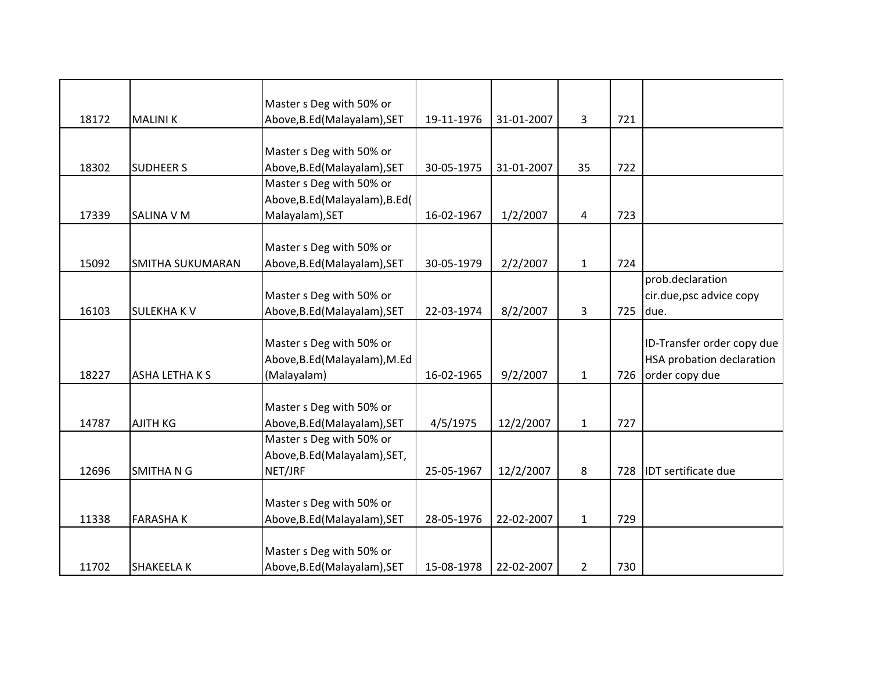|       |                         | Master s Deg with 50% or        |            |            |                |     |                            |
|-------|-------------------------|---------------------------------|------------|------------|----------------|-----|----------------------------|
| 18172 | <b>MALINIK</b>          | Above, B.Ed (Malayalam), SET    | 19-11-1976 | 31-01-2007 | 3              | 721 |                            |
|       |                         |                                 |            |            |                |     |                            |
|       |                         | Master s Deg with 50% or        |            |            |                |     |                            |
| 18302 | <b>SUDHEER S</b>        | Above, B.Ed (Malayalam), SET    | 30-05-1975 | 31-01-2007 | 35             | 722 |                            |
|       |                         | Master s Deg with 50% or        |            |            |                |     |                            |
|       |                         | Above, B.Ed (Malayalam), B.Ed ( |            |            |                |     |                            |
| 17339 | <b>SALINA V M</b>       | Malayalam), SET                 | 16-02-1967 | 1/2/2007   | 4              | 723 |                            |
|       |                         |                                 |            |            |                |     |                            |
|       |                         | Master s Deg with 50% or        |            |            |                |     |                            |
| 15092 | <b>SMITHA SUKUMARAN</b> | Above, B.Ed (Malayalam), SET    | 30-05-1979 | 2/2/2007   | $\mathbf{1}$   | 724 |                            |
|       |                         |                                 |            |            |                |     | prob.declaration           |
|       |                         | Master s Deg with 50% or        |            |            |                |     | cir.due, psc advice copy   |
| 16103 | <b>SULEKHAKV</b>        | Above, B.Ed (Malayalam), SET    | 22-03-1974 | 8/2/2007   | 3              | 725 | due.                       |
|       |                         |                                 |            |            |                |     |                            |
|       |                         | Master s Deg with 50% or        |            |            |                |     | ID-Transfer order copy due |
|       |                         | Above, B.Ed (Malayalam), M.Ed   |            |            |                |     | HSA probation declaration  |
| 18227 | <b>ASHA LETHA K S</b>   | (Malayalam)                     | 16-02-1965 | 9/2/2007   | $\mathbf{1}$   | 726 | order copy due             |
|       |                         |                                 |            |            |                |     |                            |
|       |                         | Master s Deg with 50% or        |            |            |                |     |                            |
| 14787 | <b>AJITH KG</b>         | Above, B.Ed (Malayalam), SET    | 4/5/1975   | 12/2/2007  | $\mathbf{1}$   | 727 |                            |
|       |                         | Master s Deg with 50% or        |            |            |                |     |                            |
|       |                         | Above, B.Ed (Malayalam), SET,   |            |            |                |     |                            |
| 12696 | <b>SMITHANG</b>         | NET/JRF                         | 25-05-1967 | 12/2/2007  | 8              | 728 | <b>IDT</b> sertificate due |
|       |                         |                                 |            |            |                |     |                            |
|       |                         | Master s Deg with 50% or        |            |            |                |     |                            |
| 11338 | <b>FARASHAK</b>         | Above, B.Ed (Malayalam), SET    | 28-05-1976 | 22-02-2007 | $\mathbf{1}$   | 729 |                            |
|       |                         |                                 |            |            |                |     |                            |
|       |                         | Master s Deg with 50% or        |            |            |                |     |                            |
| 11702 | <b>SHAKEELA K</b>       | Above, B.Ed (Malayalam), SET    | 15-08-1978 | 22-02-2007 | $\overline{2}$ | 730 |                            |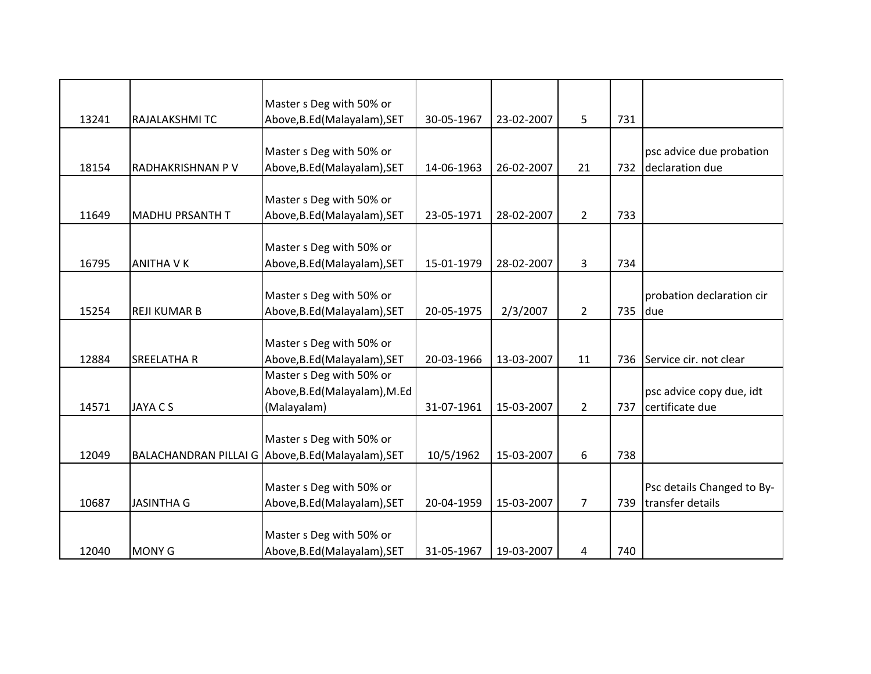|       |                        | Master s Deg with 50% or                           |            |            |                |     |                            |
|-------|------------------------|----------------------------------------------------|------------|------------|----------------|-----|----------------------------|
| 13241 | RAJALAKSHMITC          | Above, B.Ed (Malayalam), SET                       | 30-05-1967 | 23-02-2007 | 5              | 731 |                            |
|       |                        |                                                    |            |            |                |     |                            |
|       |                        | Master s Deg with 50% or                           |            |            |                |     | psc advice due probation   |
| 18154 | RADHAKRISHNAN P V      | Above, B.Ed (Malayalam), SET                       | 14-06-1963 | 26-02-2007 | 21             | 732 | declaration due            |
|       |                        |                                                    |            |            |                |     |                            |
|       |                        | Master s Deg with 50% or                           |            |            |                |     |                            |
| 11649 | <b>MADHU PRSANTH T</b> | Above, B.Ed (Malayalam), SET                       | 23-05-1971 | 28-02-2007 | $\overline{2}$ | 733 |                            |
|       |                        |                                                    |            |            |                |     |                            |
|       |                        | Master s Deg with 50% or                           |            |            |                |     |                            |
| 16795 | <b>ANITHA V K</b>      | Above, B.Ed (Malayalam), SET                       | 15-01-1979 | 28-02-2007 | 3              | 734 |                            |
|       |                        | Master s Deg with 50% or                           |            |            |                |     | probation declaration cir  |
| 15254 | <b>REJI KUMAR B</b>    | Above, B.Ed (Malayalam), SET                       | 20-05-1975 | 2/3/2007   | $\overline{2}$ | 735 | due                        |
|       |                        |                                                    |            |            |                |     |                            |
|       |                        | Master s Deg with 50% or                           |            |            |                |     |                            |
| 12884 | <b>SREELATHA R</b>     | Above, B.Ed (Malayalam), SET                       | 20-03-1966 | 13-03-2007 | 11             | 736 | Service cir. not clear     |
|       |                        | Master s Deg with 50% or                           |            |            |                |     |                            |
|       |                        | Above, B.Ed (Malayalam), M.Ed                      |            |            |                |     | psc advice copy due, idt   |
| 14571 | <b>JAYA C S</b>        | (Malayalam)                                        | 31-07-1961 | 15-03-2007 | $\overline{2}$ | 737 | certificate due            |
|       |                        |                                                    |            |            |                |     |                            |
|       |                        | Master s Deg with 50% or                           |            |            |                |     |                            |
| 12049 |                        | BALACHANDRAN PILLAI G Above, B.Ed (Malayalam), SET | 10/5/1962  | 15-03-2007 | 6              | 738 |                            |
|       |                        |                                                    |            |            |                |     |                            |
|       |                        | Master s Deg with 50% or                           |            |            |                |     | Psc details Changed to By- |
| 10687 | <b>JASINTHA G</b>      | Above, B.Ed (Malayalam), SET                       | 20-04-1959 | 15-03-2007 | $\overline{7}$ | 739 | transfer details           |
|       |                        |                                                    |            |            |                |     |                            |
|       |                        | Master s Deg with 50% or                           |            |            |                |     |                            |
| 12040 | <b>MONY G</b>          | Above, B.Ed (Malayalam), SET                       | 31-05-1967 | 19-03-2007 | 4              | 740 |                            |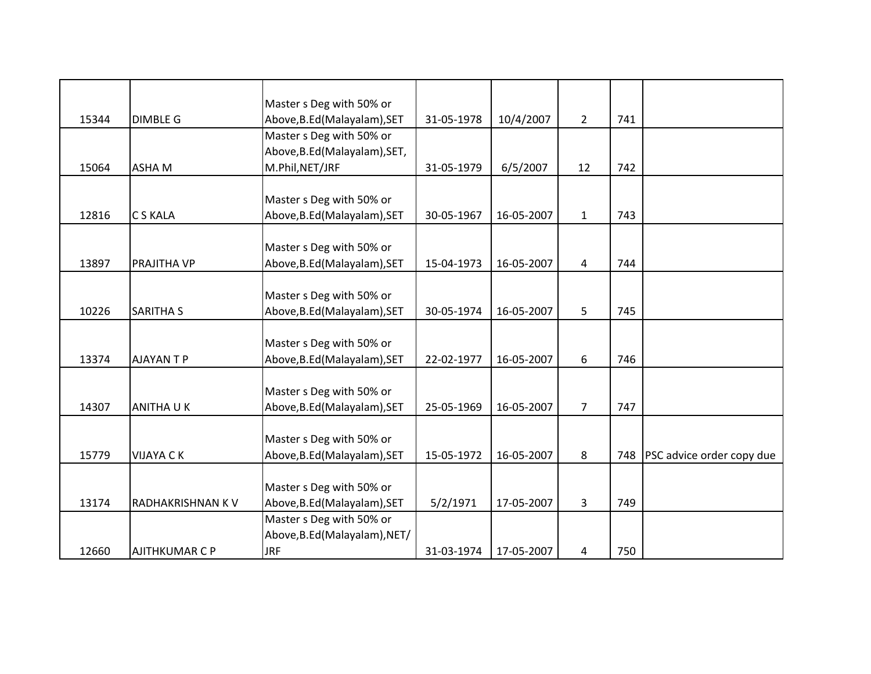|       |                         | Master s Deg with 50% or      |            |            |                |     |                           |
|-------|-------------------------|-------------------------------|------------|------------|----------------|-----|---------------------------|
| 15344 | <b>DIMBLE G</b>         | Above, B.Ed (Malayalam), SET  | 31-05-1978 | 10/4/2007  | $\overline{2}$ | 741 |                           |
|       |                         | Master s Deg with 50% or      |            |            |                |     |                           |
|       |                         | Above, B.Ed (Malayalam), SET, |            |            |                |     |                           |
| 15064 | <b>ASHAM</b>            | M.Phil, NET/JRF               | 31-05-1979 | 6/5/2007   | 12             | 742 |                           |
|       |                         |                               |            |            |                |     |                           |
|       |                         | Master s Deg with 50% or      |            |            |                |     |                           |
| 12816 | <b>CS KALA</b>          | Above, B.Ed (Malayalam), SET  | 30-05-1967 | 16-05-2007 | $\mathbf{1}$   | 743 |                           |
|       |                         |                               |            |            |                |     |                           |
|       |                         | Master s Deg with 50% or      |            |            |                |     |                           |
| 13897 | <b>PRAJITHA VP</b>      | Above, B.Ed (Malayalam), SET  | 15-04-1973 | 16-05-2007 | 4              | 744 |                           |
|       |                         |                               |            |            |                |     |                           |
|       |                         | Master s Deg with 50% or      |            |            |                |     |                           |
| 10226 | <b>SARITHA S</b>        | Above, B.Ed (Malayalam), SET  | 30-05-1974 | 16-05-2007 | 5              | 745 |                           |
|       |                         |                               |            |            |                |     |                           |
|       |                         | Master s Deg with 50% or      |            |            |                |     |                           |
| 13374 | <b>AJAYANTP</b>         | Above, B.Ed (Malayalam), SET  | 22-02-1977 | 16-05-2007 | 6              | 746 |                           |
|       |                         | Master s Deg with 50% or      |            |            |                |     |                           |
| 14307 | <b>ANITHAUK</b>         | Above, B.Ed (Malayalam), SET  | 25-05-1969 | 16-05-2007 | $\overline{7}$ | 747 |                           |
|       |                         |                               |            |            |                |     |                           |
|       |                         | Master s Deg with 50% or      |            |            |                |     |                           |
| 15779 | <b>VIJAYA CK</b>        | Above, B.Ed (Malayalam), SET  | 15-05-1972 | 16-05-2007 | 8              | 748 | PSC advice order copy due |
|       |                         |                               |            |            |                |     |                           |
|       |                         | Master s Deg with 50% or      |            |            |                |     |                           |
| 13174 | <b>RADHAKRISHNAN KV</b> | Above, B.Ed (Malayalam), SET  | 5/2/1971   | 17-05-2007 | 3              | 749 |                           |
|       |                         | Master s Deg with 50% or      |            |            |                |     |                           |
|       |                         | Above, B.Ed (Malayalam), NET/ |            |            |                |     |                           |
| 12660 | <b>AJITHKUMAR C P</b>   | <b>JRF</b>                    | 31-03-1974 | 17-05-2007 | 4              | 750 |                           |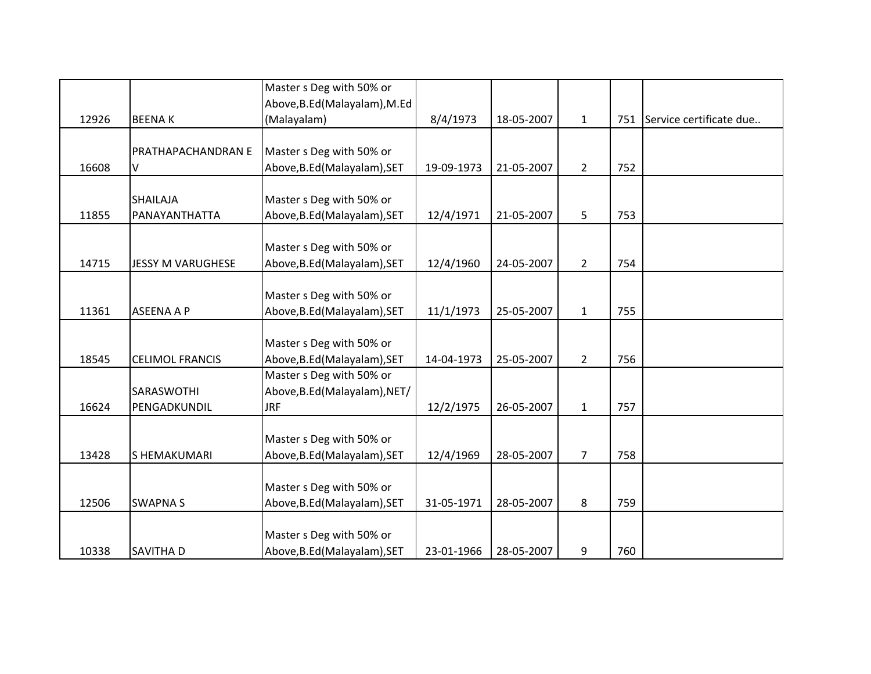|       |                           | Master s Deg with 50% or      |            |            |                |     |                             |
|-------|---------------------------|-------------------------------|------------|------------|----------------|-----|-----------------------------|
|       |                           | Above, B.Ed (Malayalam), M.Ed |            |            |                |     |                             |
| 12926 | <b>BEENAK</b>             | (Malayalam)                   | 8/4/1973   | 18-05-2007 | $\mathbf{1}$   |     | 751 Service certificate due |
|       |                           |                               |            |            |                |     |                             |
|       | <b>PRATHAPACHANDRAN E</b> | Master s Deg with 50% or      |            |            |                |     |                             |
| 16608 | V                         | Above, B.Ed (Malayalam), SET  | 19-09-1973 | 21-05-2007 | $\overline{2}$ | 752 |                             |
|       |                           |                               |            |            |                |     |                             |
|       | <b>SHAILAJA</b>           | Master s Deg with 50% or      |            |            |                |     |                             |
| 11855 | PANAYANTHATTA             | Above, B.Ed (Malayalam), SET  | 12/4/1971  | 21-05-2007 | 5              | 753 |                             |
|       |                           |                               |            |            |                |     |                             |
|       |                           | Master s Deg with 50% or      |            |            |                |     |                             |
| 14715 | <b>JESSY M VARUGHESE</b>  | Above, B.Ed (Malayalam), SET  | 12/4/1960  | 24-05-2007 | $\overline{2}$ | 754 |                             |
|       |                           |                               |            |            |                |     |                             |
|       |                           | Master s Deg with 50% or      |            |            |                |     |                             |
| 11361 | <b>ASEENA A P</b>         | Above, B.Ed (Malayalam), SET  | 11/1/1973  | 25-05-2007 | $\mathbf{1}$   | 755 |                             |
|       |                           |                               |            |            |                |     |                             |
|       |                           | Master s Deg with 50% or      |            |            |                |     |                             |
| 18545 | <b>CELIMOL FRANCIS</b>    | Above, B.Ed (Malayalam), SET  | 14-04-1973 | 25-05-2007 | $\overline{2}$ | 756 |                             |
|       |                           | Master s Deg with 50% or      |            |            |                |     |                             |
|       | <b>SARASWOTHI</b>         | Above, B.Ed (Malayalam), NET/ |            |            |                |     |                             |
| 16624 | PENGADKUNDIL              | <b>JRF</b>                    | 12/2/1975  | 26-05-2007 | $\mathbf{1}$   | 757 |                             |
|       |                           |                               |            |            |                |     |                             |
|       |                           | Master s Deg with 50% or      |            |            |                |     |                             |
| 13428 | <b>SHEMAKUMARI</b>        | Above, B.Ed (Malayalam), SET  | 12/4/1969  | 28-05-2007 | $\overline{7}$ | 758 |                             |
|       |                           |                               |            |            |                |     |                             |
|       |                           | Master s Deg with 50% or      |            |            |                |     |                             |
| 12506 | <b>SWAPNAS</b>            | Above, B.Ed (Malayalam), SET  | 31-05-1971 | 28-05-2007 | 8              | 759 |                             |
|       |                           |                               |            |            |                |     |                             |
|       |                           | Master s Deg with 50% or      |            |            |                |     |                             |
| 10338 | <b>SAVITHAD</b>           | Above, B.Ed (Malayalam), SET  | 23-01-1966 | 28-05-2007 | 9              | 760 |                             |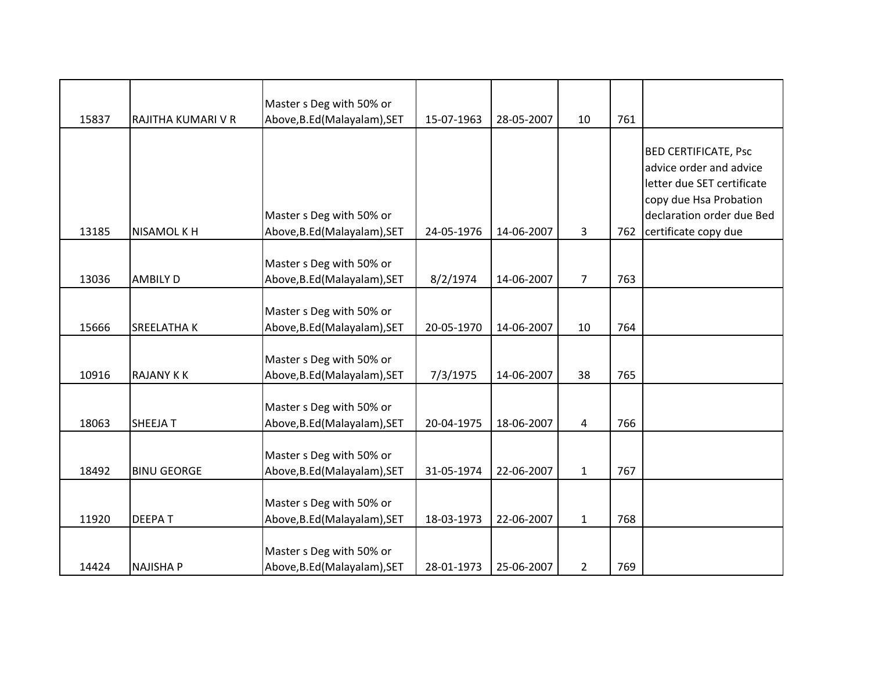|       |                    | Master s Deg with 50% or     |            |            |                |     |                             |
|-------|--------------------|------------------------------|------------|------------|----------------|-----|-----------------------------|
| 15837 | RAJITHA KUMARI V R | Above, B.Ed (Malayalam), SET | 15-07-1963 | 28-05-2007 | 10             | 761 |                             |
|       |                    |                              |            |            |                |     |                             |
|       |                    |                              |            |            |                |     | <b>BED CERTIFICATE, Psc</b> |
|       |                    |                              |            |            |                |     | advice order and advice     |
|       |                    |                              |            |            |                |     | letter due SET certificate  |
|       |                    |                              |            |            |                |     | copy due Hsa Probation      |
|       |                    | Master s Deg with 50% or     |            |            |                |     | declaration order due Bed   |
| 13185 | NISAMOL K H        | Above, B.Ed (Malayalam), SET | 24-05-1976 | 14-06-2007 | 3              | 762 | certificate copy due        |
|       |                    |                              |            |            |                |     |                             |
|       |                    | Master s Deg with 50% or     |            |            |                |     |                             |
| 13036 | <b>AMBILY D</b>    | Above, B.Ed (Malayalam), SET | 8/2/1974   | 14-06-2007 | $\overline{7}$ | 763 |                             |
|       |                    | Master s Deg with 50% or     |            |            |                |     |                             |
| 15666 | <b>SREELATHAK</b>  | Above, B.Ed (Malayalam), SET | 20-05-1970 | 14-06-2007 | 10             | 764 |                             |
|       |                    |                              |            |            |                |     |                             |
|       |                    | Master s Deg with 50% or     |            |            |                |     |                             |
| 10916 | <b>RAJANY KK</b>   | Above, B.Ed (Malayalam), SET | 7/3/1975   | 14-06-2007 | 38             | 765 |                             |
|       |                    |                              |            |            |                |     |                             |
|       |                    | Master s Deg with 50% or     |            |            |                |     |                             |
| 18063 | <b>SHEEJAT</b>     | Above, B.Ed (Malayalam), SET | 20-04-1975 | 18-06-2007 | 4              | 766 |                             |
|       |                    |                              |            |            |                |     |                             |
|       |                    | Master s Deg with 50% or     |            |            |                |     |                             |
| 18492 | <b>BINU GEORGE</b> | Above, B.Ed (Malayalam), SET | 31-05-1974 | 22-06-2007 | $\mathbf{1}$   | 767 |                             |
|       |                    |                              |            |            |                |     |                             |
|       |                    | Master s Deg with 50% or     |            |            |                |     |                             |
| 11920 | <b>DEEPAT</b>      | Above, B.Ed (Malayalam), SET | 18-03-1973 | 22-06-2007 | $\mathbf{1}$   | 768 |                             |
|       |                    |                              |            |            |                |     |                             |
|       |                    | Master s Deg with 50% or     |            |            |                |     |                             |
| 14424 | <b>NAJISHA P</b>   | Above, B.Ed (Malayalam), SET | 28-01-1973 | 25-06-2007 | $\overline{2}$ | 769 |                             |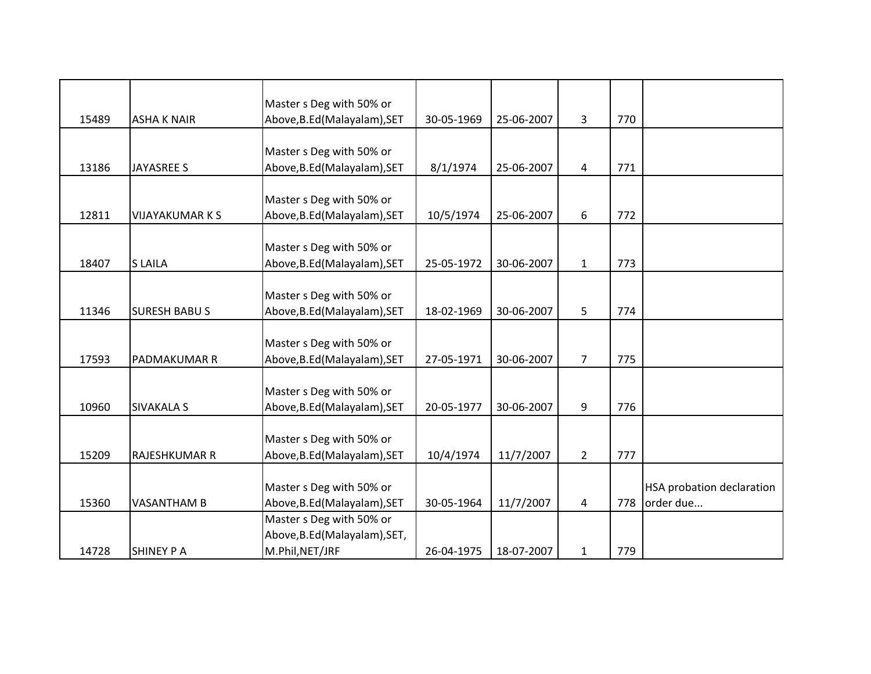| 15489 | <b>ASHA K NAIR</b>     | Master s Deg with 50% or<br>Above, B.Ed (Malayalam), SET | 30-05-1969 | 25-06-2007 | 3              | 770 |                                  |
|-------|------------------------|----------------------------------------------------------|------------|------------|----------------|-----|----------------------------------|
|       |                        |                                                          |            |            |                |     |                                  |
|       |                        | Master s Deg with 50% or                                 |            |            |                |     |                                  |
| 13186 | <b>JAYASREE S</b>      | Above, B.Ed (Malayalam), SET                             | 8/1/1974   | 25-06-2007 | 4              | 771 |                                  |
|       |                        |                                                          |            |            |                |     |                                  |
|       |                        | Master s Deg with 50% or                                 |            |            |                |     |                                  |
| 12811 | <b>VIJAYAKUMAR K S</b> | Above, B.Ed (Malayalam), SET                             | 10/5/1974  | 25-06-2007 | 6              | 772 |                                  |
|       |                        | Master s Deg with 50% or                                 |            |            |                |     |                                  |
| 18407 | <b>SLAILA</b>          | Above, B.Ed (Malayalam), SET                             | 25-05-1972 | 30-06-2007 | $\mathbf{1}$   | 773 |                                  |
|       |                        |                                                          |            |            |                |     |                                  |
|       |                        | Master s Deg with 50% or                                 |            |            |                |     |                                  |
| 11346 | <b>SURESH BABUS</b>    | Above, B.Ed (Malayalam), SET                             | 18-02-1969 | 30-06-2007 | 5              | 774 |                                  |
|       |                        |                                                          |            |            |                |     |                                  |
|       |                        | Master s Deg with 50% or                                 |            |            |                |     |                                  |
| 17593 | <b>PADMAKUMAR R</b>    | Above, B.Ed (Malayalam), SET                             | 27-05-1971 | 30-06-2007 | $\overline{7}$ | 775 |                                  |
|       |                        |                                                          |            |            |                |     |                                  |
| 10960 | <b>SIVAKALA S</b>      | Master s Deg with 50% or<br>Above, B.Ed (Malayalam), SET | 20-05-1977 | 30-06-2007 | 9              | 776 |                                  |
|       |                        |                                                          |            |            |                |     |                                  |
|       |                        | Master s Deg with 50% or                                 |            |            |                |     |                                  |
| 15209 | <b>RAJESHKUMAR R</b>   | Above, B.Ed (Malayalam), SET                             | 10/4/1974  | 11/7/2007  | $\overline{2}$ | 777 |                                  |
|       |                        |                                                          |            |            |                |     |                                  |
|       |                        | Master s Deg with 50% or                                 |            |            |                |     | <b>HSA probation declaration</b> |
| 15360 | <b>VASANTHAM B</b>     | Above, B.Ed (Malayalam), SET                             | 30-05-1964 | 11/7/2007  | 4              | 778 | order due                        |
|       |                        | Master s Deg with 50% or                                 |            |            |                |     |                                  |
|       |                        | Above, B.Ed (Malayalam), SET,                            |            |            |                |     |                                  |
| 14728 | <b>SHINEY P A</b>      | M.Phil, NET/JRF                                          | 26-04-1975 | 18-07-2007 | $\mathbf{1}$   | 779 |                                  |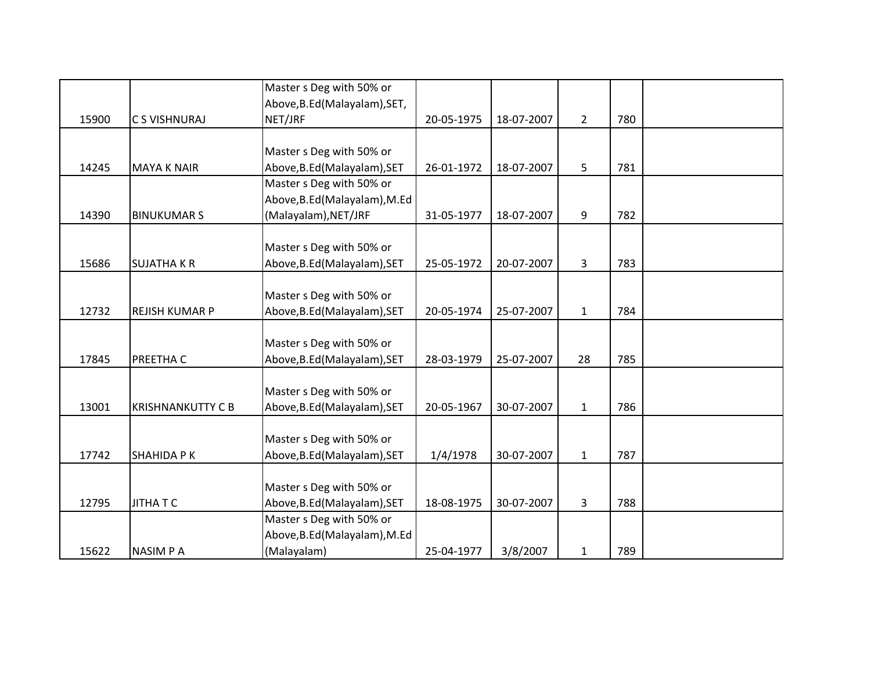|       |                          | Master s Deg with 50% or      |            |            |                |     |  |
|-------|--------------------------|-------------------------------|------------|------------|----------------|-----|--|
|       |                          | Above, B.Ed (Malayalam), SET, |            |            |                |     |  |
| 15900 | C S VISHNURAJ            | NET/JRF                       | 20-05-1975 | 18-07-2007 | $\overline{2}$ | 780 |  |
|       |                          |                               |            |            |                |     |  |
|       |                          | Master s Deg with 50% or      |            |            |                |     |  |
| 14245 | <b>MAYA K NAIR</b>       | Above, B.Ed (Malayalam), SET  | 26-01-1972 | 18-07-2007 | 5              | 781 |  |
|       |                          | Master s Deg with 50% or      |            |            |                |     |  |
|       |                          | Above, B.Ed (Malayalam), M.Ed |            |            |                |     |  |
| 14390 | <b>BINUKUMARS</b>        | (Malayalam), NET/JRF          | 31-05-1977 | 18-07-2007 | 9              | 782 |  |
|       |                          |                               |            |            |                |     |  |
|       |                          | Master s Deg with 50% or      |            |            |                |     |  |
| 15686 | <b>SUJATHA K R</b>       | Above, B.Ed (Malayalam), SET  | 25-05-1972 | 20-07-2007 | 3              | 783 |  |
|       |                          |                               |            |            |                |     |  |
|       |                          | Master s Deg with 50% or      |            |            |                |     |  |
| 12732 | <b>REJISH KUMAR P</b>    | Above, B.Ed (Malayalam), SET  | 20-05-1974 | 25-07-2007 | $\mathbf{1}$   | 784 |  |
|       |                          |                               |            |            |                |     |  |
|       |                          | Master s Deg with 50% or      |            |            |                |     |  |
| 17845 | PREETHA C                | Above, B.Ed (Malayalam), SET  | 28-03-1979 | 25-07-2007 | 28             | 785 |  |
|       |                          |                               |            |            |                |     |  |
|       |                          | Master s Deg with 50% or      |            |            |                |     |  |
| 13001 | <b>KRISHNANKUTTY C B</b> | Above, B.Ed (Malayalam), SET  | 20-05-1967 | 30-07-2007 | $\mathbf{1}$   | 786 |  |
|       |                          |                               |            |            |                |     |  |
|       |                          | Master s Deg with 50% or      |            |            |                |     |  |
| 17742 | <b>SHAHIDA PK</b>        | Above, B.Ed (Malayalam), SET  | 1/4/1978   | 30-07-2007 | $\mathbf{1}$   | 787 |  |
|       |                          |                               |            |            |                |     |  |
|       |                          | Master s Deg with 50% or      |            |            |                |     |  |
| 12795 | <b>JITHATC</b>           | Above, B.Ed (Malayalam), SET  | 18-08-1975 | 30-07-2007 | 3              | 788 |  |
|       |                          | Master s Deg with 50% or      |            |            |                |     |  |
|       |                          | Above, B.Ed (Malayalam), M.Ed |            |            |                |     |  |
| 15622 | <b>NASIMPA</b>           | (Malayalam)                   | 25-04-1977 | 3/8/2007   | $\mathbf{1}$   | 789 |  |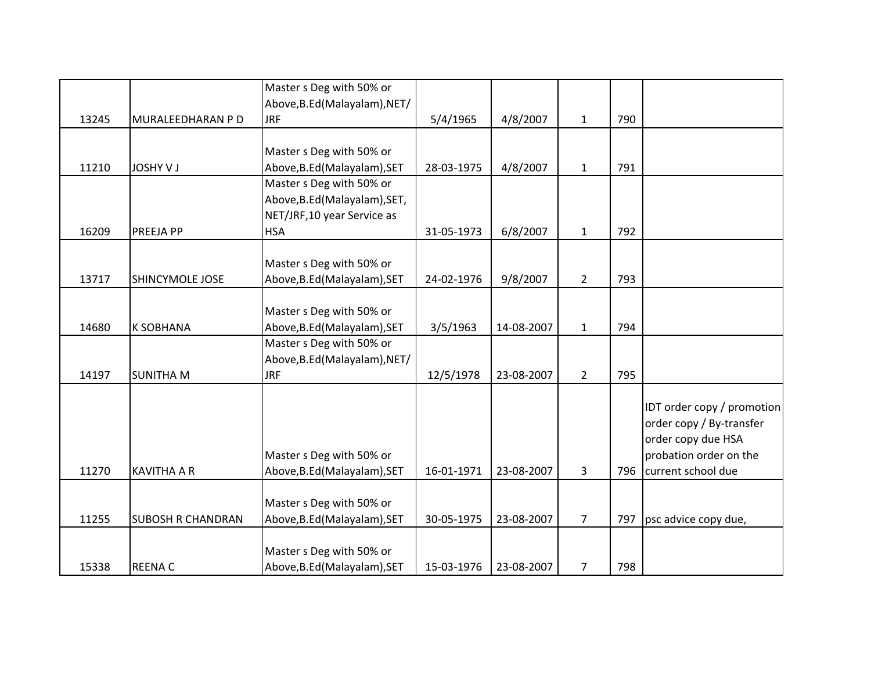|       |                          | Master s Deg with 50% or      |            |            |                |     |                            |
|-------|--------------------------|-------------------------------|------------|------------|----------------|-----|----------------------------|
|       |                          | Above, B.Ed (Malayalam), NET/ |            |            |                |     |                            |
| 13245 | MURALEEDHARAN P D        | <b>JRF</b>                    | 5/4/1965   | 4/8/2007   | $\mathbf{1}$   | 790 |                            |
|       |                          |                               |            |            |                |     |                            |
|       |                          | Master s Deg with 50% or      |            |            |                |     |                            |
| 11210 | <b>JOSHY V J</b>         | Above, B.Ed (Malayalam), SET  | 28-03-1975 | 4/8/2007   | $\mathbf{1}$   | 791 |                            |
|       |                          | Master s Deg with 50% or      |            |            |                |     |                            |
|       |                          | Above, B.Ed (Malayalam), SET, |            |            |                |     |                            |
|       |                          | NET/JRF, 10 year Service as   |            |            |                |     |                            |
| 16209 | PREEJA PP                | <b>HSA</b>                    | 31-05-1973 | 6/8/2007   | $\mathbf 1$    | 792 |                            |
|       |                          | Master s Deg with 50% or      |            |            |                |     |                            |
| 13717 | SHINCYMOLE JOSE          | Above, B.Ed (Malayalam), SET  | 24-02-1976 | 9/8/2007   | $\overline{2}$ | 793 |                            |
|       |                          |                               |            |            |                |     |                            |
|       |                          | Master s Deg with 50% or      |            |            |                |     |                            |
| 14680 | <b>K SOBHANA</b>         | Above, B.Ed (Malayalam), SET  | 3/5/1963   | 14-08-2007 | $\mathbf{1}$   | 794 |                            |
|       |                          | Master s Deg with 50% or      |            |            |                |     |                            |
|       |                          | Above, B.Ed (Malayalam), NET/ |            |            |                |     |                            |
| 14197 | <b>SUNITHA M</b>         | <b>JRF</b>                    | 12/5/1978  | 23-08-2007 | $\overline{2}$ | 795 |                            |
|       |                          |                               |            |            |                |     |                            |
|       |                          |                               |            |            |                |     | IDT order copy / promotion |
|       |                          |                               |            |            |                |     | order copy / By-transfer   |
|       |                          |                               |            |            |                |     | order copy due HSA         |
|       |                          | Master s Deg with 50% or      |            |            |                |     | probation order on the     |
| 11270 | <b>KAVITHA A R</b>       | Above, B.Ed (Malayalam), SET  | 16-01-1971 | 23-08-2007 | 3              | 796 | current school due         |
|       |                          |                               |            |            |                |     |                            |
|       |                          | Master s Deg with 50% or      |            |            |                |     |                            |
| 11255 | <b>SUBOSH R CHANDRAN</b> | Above, B.Ed (Malayalam), SET  | 30-05-1975 | 23-08-2007 | $\overline{7}$ | 797 | psc advice copy due,       |
|       |                          |                               |            |            |                |     |                            |
|       |                          | Master s Deg with 50% or      |            |            |                |     |                            |
| 15338 | <b>REENAC</b>            | Above, B.Ed (Malayalam), SET  | 15-03-1976 | 23-08-2007 | 7              | 798 |                            |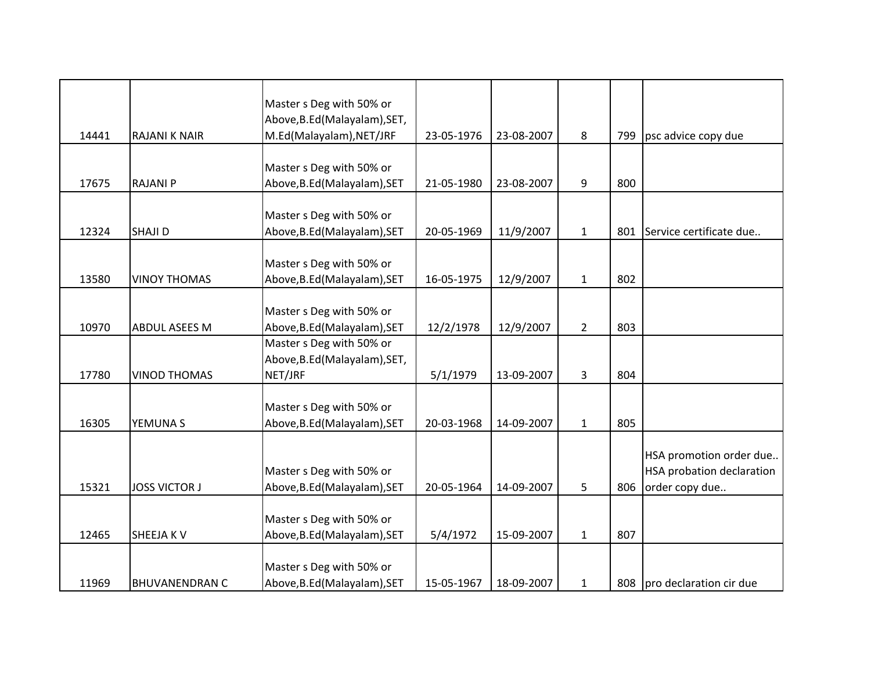|       |                       | Master s Deg with 50% or                                  |            |            |                |     |                                                      |
|-------|-----------------------|-----------------------------------------------------------|------------|------------|----------------|-----|------------------------------------------------------|
| 14441 | <b>RAJANI K NAIR</b>  | Above, B.Ed (Malayalam), SET,<br>M.Ed(Malayalam), NET/JRF | 23-05-1976 | 23-08-2007 | 8              | 799 | psc advice copy due                                  |
|       |                       |                                                           |            |            |                |     |                                                      |
| 17675 | <b>RAJANI P</b>       | Master s Deg with 50% or<br>Above, B.Ed (Malayalam), SET  | 21-05-1980 | 23-08-2007 | 9              | 800 |                                                      |
|       |                       |                                                           |            |            |                |     |                                                      |
| 12324 | SHAJI D               | Master s Deg with 50% or<br>Above, B.Ed (Malayalam), SET  | 20-05-1969 | 11/9/2007  | $\mathbf{1}$   | 801 | Service certificate due                              |
|       |                       |                                                           |            |            |                |     |                                                      |
|       |                       | Master s Deg with 50% or                                  |            |            |                |     |                                                      |
| 13580 | <b>VINOY THOMAS</b>   | Above, B.Ed (Malayalam), SET                              | 16-05-1975 | 12/9/2007  | $\mathbf{1}$   | 802 |                                                      |
|       |                       | Master s Deg with 50% or                                  |            |            |                |     |                                                      |
| 10970 | <b>ABDUL ASEES M</b>  | Above, B.Ed (Malayalam), SET                              | 12/2/1978  | 12/9/2007  | $\overline{2}$ | 803 |                                                      |
|       |                       | Master s Deg with 50% or<br>Above, B.Ed (Malayalam), SET, |            |            |                |     |                                                      |
| 17780 | <b>VINOD THOMAS</b>   | NET/JRF                                                   | 5/1/1979   | 13-09-2007 | 3              | 804 |                                                      |
|       |                       |                                                           |            |            |                |     |                                                      |
| 16305 | YEMUNA S              | Master s Deg with 50% or<br>Above, B.Ed (Malayalam), SET  | 20-03-1968 | 14-09-2007 | $\mathbf{1}$   | 805 |                                                      |
|       |                       |                                                           |            |            |                |     |                                                      |
|       |                       | Master s Deg with 50% or                                  |            |            |                |     | HSA promotion order due<br>HSA probation declaration |
| 15321 | <b>JOSS VICTOR J</b>  | Above, B.Ed (Malayalam), SET                              | 20-05-1964 | 14-09-2007 | 5              | 806 | order copy due                                       |
|       |                       |                                                           |            |            |                |     |                                                      |
|       |                       | Master s Deg with 50% or                                  |            |            |                |     |                                                      |
| 12465 | <b>SHEEJAKV</b>       | Above, B.Ed (Malayalam), SET                              | 5/4/1972   | 15-09-2007 | $\mathbf{1}$   | 807 |                                                      |
|       |                       | Master s Deg with 50% or                                  |            |            |                |     |                                                      |
| 11969 | <b>BHUVANENDRAN C</b> | Above, B.Ed (Malayalam), SET                              | 15-05-1967 | 18-09-2007 | $\mathbf{1}$   | 808 | pro declaration cir due                              |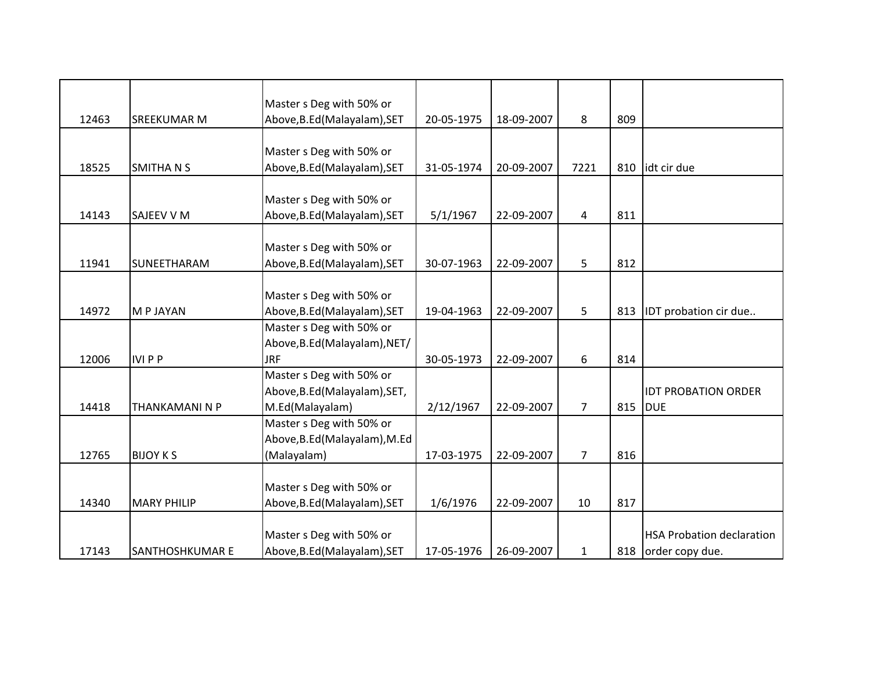|       |                    | Master s Deg with 50% or      |            |            |                |     |                                  |
|-------|--------------------|-------------------------------|------------|------------|----------------|-----|----------------------------------|
| 12463 | <b>SREEKUMAR M</b> | Above, B.Ed (Malayalam), SET  | 20-05-1975 | 18-09-2007 | 8              | 809 |                                  |
|       |                    |                               |            |            |                |     |                                  |
|       |                    | Master s Deg with 50% or      |            |            |                |     |                                  |
| 18525 | <b>SMITHANS</b>    | Above, B.Ed (Malayalam), SET  | 31-05-1974 | 20-09-2007 | 7221           | 810 | idt cir due                      |
|       |                    |                               |            |            |                |     |                                  |
|       |                    | Master s Deg with 50% or      |            |            |                |     |                                  |
| 14143 | SAJEEV V M         | Above, B.Ed (Malayalam), SET  | 5/1/1967   | 22-09-2007 | 4              | 811 |                                  |
|       |                    |                               |            |            |                |     |                                  |
|       |                    | Master s Deg with 50% or      |            |            |                |     |                                  |
| 11941 | SUNEETHARAM        | Above, B.Ed (Malayalam), SET  | 30-07-1963 | 22-09-2007 | 5              | 812 |                                  |
|       |                    |                               |            |            |                |     |                                  |
|       |                    | Master s Deg with 50% or      |            |            |                |     |                                  |
| 14972 | M P JAYAN          | Above, B.Ed (Malayalam), SET  | 19-04-1963 | 22-09-2007 | 5              | 813 | IDT probation cir due            |
|       |                    | Master s Deg with 50% or      |            |            |                |     |                                  |
|       |                    | Above, B.Ed (Malayalam), NET/ |            |            |                |     |                                  |
| 12006 | <b>IVIPP</b>       | <b>JRF</b>                    | 30-05-1973 | 22-09-2007 | 6              | 814 |                                  |
|       |                    | Master s Deg with 50% or      |            |            |                |     |                                  |
|       |                    | Above, B.Ed (Malayalam), SET, |            |            |                |     | <b>IDT PROBATION ORDER</b>       |
| 14418 | THANKAMANI N P     | M.Ed(Malayalam)               | 2/12/1967  | 22-09-2007 | $\overline{7}$ | 815 | <b>DUE</b>                       |
|       |                    | Master s Deg with 50% or      |            |            |                |     |                                  |
|       |                    | Above, B.Ed (Malayalam), M.Ed |            |            |                |     |                                  |
| 12765 | <b>BIJOY KS</b>    | (Malayalam)                   | 17-03-1975 | 22-09-2007 | 7              | 816 |                                  |
|       |                    |                               |            |            |                |     |                                  |
|       |                    | Master s Deg with 50% or      |            |            |                |     |                                  |
| 14340 | <b>MARY PHILIP</b> | Above, B.Ed (Malayalam), SET  | 1/6/1976   | 22-09-2007 | 10             | 817 |                                  |
|       |                    |                               |            |            |                |     |                                  |
|       |                    | Master s Deg with 50% or      |            |            |                |     | <b>HSA Probation declaration</b> |
| 17143 | SANTHOSHKUMAR E    | Above, B.Ed (Malayalam), SET  | 17-05-1976 | 26-09-2007 | $\mathbf{1}$   | 818 | order copy due.                  |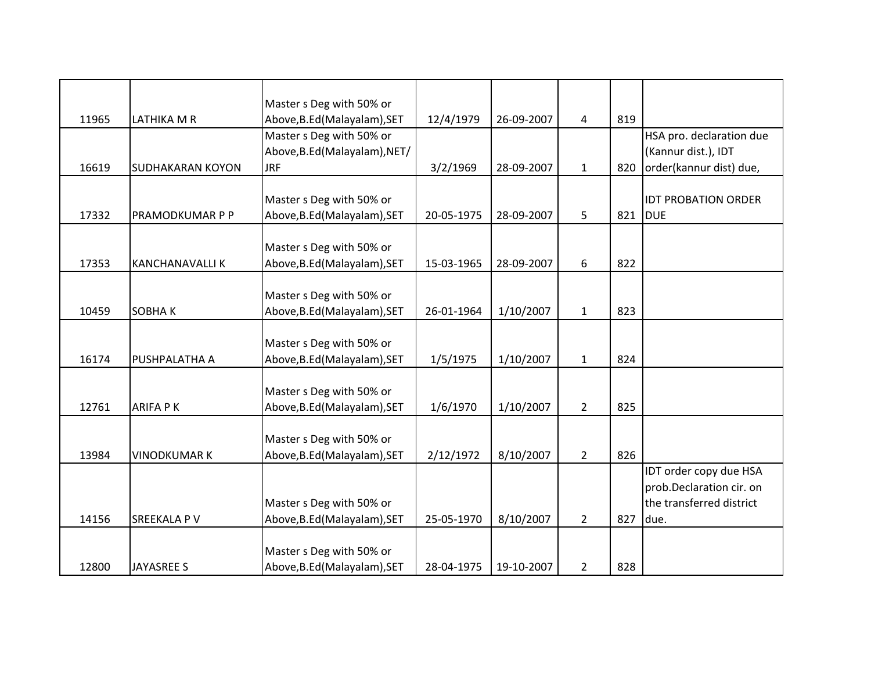|       |                         | Master s Deg with 50% or      |            |            |                |     |                            |
|-------|-------------------------|-------------------------------|------------|------------|----------------|-----|----------------------------|
| 11965 | LATHIKA M R             | Above, B.Ed (Malayalam), SET  | 12/4/1979  | 26-09-2007 | $\overline{a}$ | 819 |                            |
|       |                         | Master s Deg with 50% or      |            |            |                |     | HSA pro. declaration due   |
|       |                         | Above, B.Ed (Malayalam), NET/ |            |            |                |     | (Kannur dist.), IDT        |
| 16619 | <b>SUDHAKARAN KOYON</b> | <b>JRF</b>                    | 3/2/1969   | 28-09-2007 | $\mathbf{1}$   | 820 | order(kannur dist) due,    |
|       |                         |                               |            |            |                |     |                            |
|       |                         | Master s Deg with 50% or      |            |            |                |     | <b>IDT PROBATION ORDER</b> |
| 17332 | PRAMODKUMAR P P         | Above, B.Ed (Malayalam), SET  | 20-05-1975 | 28-09-2007 | 5              | 821 | <b>DUE</b>                 |
|       |                         |                               |            |            |                |     |                            |
|       |                         | Master s Deg with 50% or      |            |            |                |     |                            |
| 17353 | <b>KANCHANAVALLIK</b>   | Above, B.Ed (Malayalam), SET  | 15-03-1965 | 28-09-2007 | 6              | 822 |                            |
|       |                         |                               |            |            |                |     |                            |
|       |                         | Master s Deg with 50% or      |            |            |                |     |                            |
| 10459 | <b>SOBHAK</b>           | Above, B.Ed (Malayalam), SET  | 26-01-1964 | 1/10/2007  | $\mathbf{1}$   | 823 |                            |
|       |                         |                               |            |            |                |     |                            |
|       |                         | Master s Deg with 50% or      |            |            |                |     |                            |
| 16174 | PUSHPALATHA A           | Above, B.Ed (Malayalam), SET  | 1/5/1975   | 1/10/2007  | $\mathbf{1}$   | 824 |                            |
|       |                         |                               |            |            |                |     |                            |
|       |                         | Master s Deg with 50% or      |            |            |                |     |                            |
| 12761 | <b>ARIFA PK</b>         | Above, B.Ed (Malayalam), SET  | 1/6/1970   | 1/10/2007  | $\overline{2}$ | 825 |                            |
|       |                         |                               |            |            |                |     |                            |
| 13984 | <b>VINODKUMAR K</b>     | Master s Deg with 50% or      |            |            |                | 826 |                            |
|       |                         | Above, B.Ed (Malayalam), SET  | 2/12/1972  | 8/10/2007  | $\overline{2}$ |     | IDT order copy due HSA     |
|       |                         |                               |            |            |                |     | prob.Declaration cir. on   |
|       |                         | Master s Deg with 50% or      |            |            |                |     | the transferred district   |
| 14156 | SREEKALA P V            | Above, B.Ed (Malayalam), SET  | 25-05-1970 | 8/10/2007  | $\overline{2}$ | 827 | due.                       |
|       |                         |                               |            |            |                |     |                            |
|       |                         | Master s Deg with 50% or      |            |            |                |     |                            |
| 12800 | <b>JAYASREE S</b>       | Above, B.Ed (Malayalam), SET  | 28-04-1975 | 19-10-2007 | $\overline{2}$ | 828 |                            |
|       |                         |                               |            |            |                |     |                            |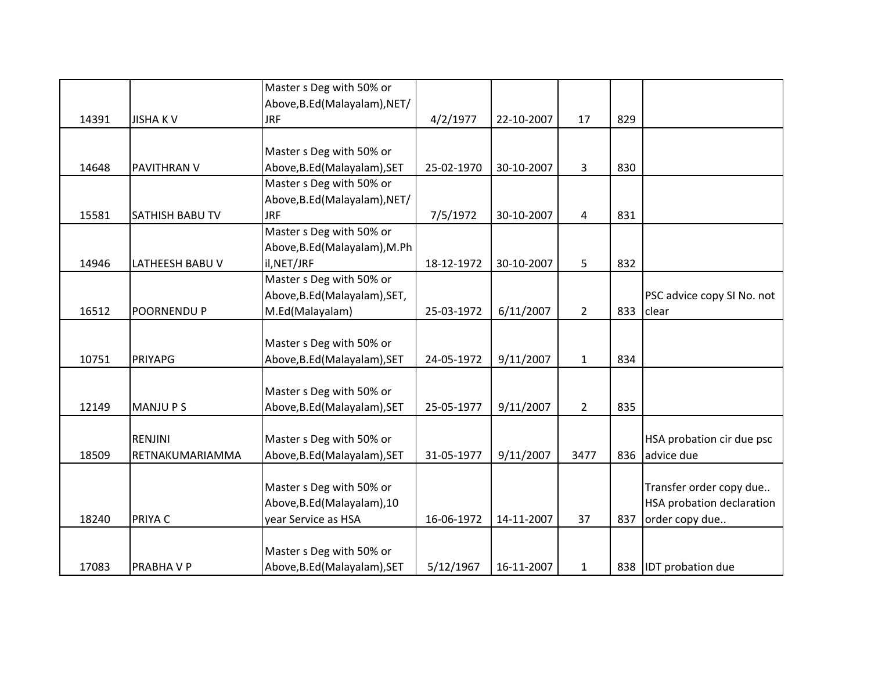|       |                        | Master s Deg with 50% or      |            |            |                |     |                            |
|-------|------------------------|-------------------------------|------------|------------|----------------|-----|----------------------------|
|       |                        | Above, B.Ed (Malayalam), NET/ |            |            |                |     |                            |
| 14391 | <b>JISHAKV</b>         | <b>JRF</b>                    | 4/2/1977   | 22-10-2007 | 17             | 829 |                            |
|       |                        |                               |            |            |                |     |                            |
|       |                        | Master s Deg with 50% or      |            |            |                |     |                            |
| 14648 | PAVITHRAN V            | Above, B.Ed (Malayalam), SET  | 25-02-1970 | 30-10-2007 | 3              | 830 |                            |
|       |                        | Master s Deg with 50% or      |            |            |                |     |                            |
|       |                        | Above, B.Ed (Malayalam), NET/ |            |            |                |     |                            |
| 15581 | SATHISH BABU TV        | <b>JRF</b>                    | 7/5/1972   | 30-10-2007 | 4              | 831 |                            |
|       |                        | Master s Deg with 50% or      |            |            |                |     |                            |
|       |                        | Above, B.Ed (Malayalam), M.Ph |            |            |                |     |                            |
| 14946 | <b>LATHEESH BABU V</b> | il, NET/JRF                   | 18-12-1972 | 30-10-2007 | 5              | 832 |                            |
|       |                        | Master s Deg with 50% or      |            |            |                |     |                            |
|       |                        | Above, B.Ed (Malayalam), SET, |            |            |                |     | PSC advice copy SI No. not |
| 16512 | POORNENDU P            | M.Ed(Malayalam)               | 25-03-1972 | 6/11/2007  | $\overline{2}$ | 833 | clear                      |
|       |                        |                               |            |            |                |     |                            |
|       |                        | Master s Deg with 50% or      |            |            |                |     |                            |
| 10751 | <b>PRIYAPG</b>         | Above, B.Ed (Malayalam), SET  | 24-05-1972 | 9/11/2007  | $\mathbf{1}$   | 834 |                            |
|       |                        |                               |            |            |                |     |                            |
|       |                        | Master s Deg with 50% or      |            |            |                |     |                            |
| 12149 | <b>MANJUPS</b>         | Above, B.Ed (Malayalam), SET  | 25-05-1977 | 9/11/2007  | $\overline{2}$ | 835 |                            |
|       |                        |                               |            |            |                |     |                            |
|       | RENJINI                | Master s Deg with 50% or      |            |            |                |     | HSA probation cir due psc  |
| 18509 | RETNAKUMARIAMMA        | Above, B.Ed (Malayalam), SET  | 31-05-1977 | 9/11/2007  | 3477           | 836 | advice due                 |
|       |                        |                               |            |            |                |     |                            |
|       |                        | Master s Deg with 50% or      |            |            |                |     | Transfer order copy due    |
|       |                        | Above, B.Ed (Malayalam), 10   |            |            |                |     | HSA probation declaration  |
| 18240 | PRIYA C                | year Service as HSA           | 16-06-1972 | 14-11-2007 | 37             | 837 | order copy due             |
|       |                        |                               |            |            |                |     |                            |
|       |                        | Master s Deg with 50% or      |            |            |                |     |                            |
| 17083 | <b>PRABHAVP</b>        | Above, B.Ed (Malayalam), SET  | 5/12/1967  | 16-11-2007 | $\mathbf{1}$   | 838 | <b>IDT</b> probation due   |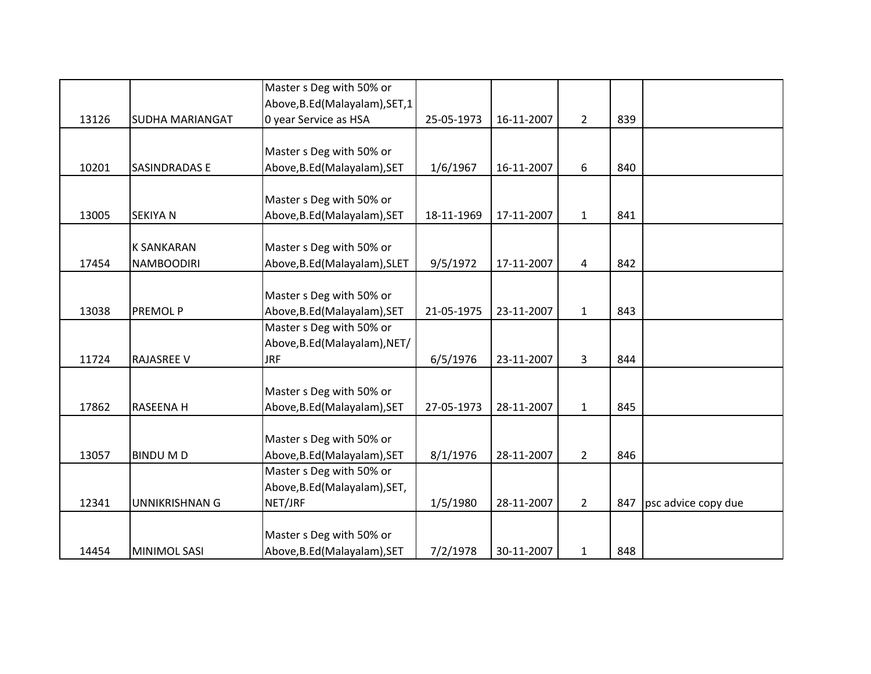|       |                        | Master s Deg with 50% or        |            |            |                |     |                     |
|-------|------------------------|---------------------------------|------------|------------|----------------|-----|---------------------|
|       |                        | Above, B.Ed (Malayalam), SET, 1 |            |            |                |     |                     |
| 13126 | <b>SUDHA MARIANGAT</b> | 0 year Service as HSA           | 25-05-1973 | 16-11-2007 | $\overline{2}$ | 839 |                     |
|       |                        |                                 |            |            |                |     |                     |
|       |                        | Master s Deg with 50% or        |            |            |                |     |                     |
| 10201 | <b>SASINDRADAS E</b>   | Above, B.Ed (Malayalam), SET    | 1/6/1967   | 16-11-2007 | 6              | 840 |                     |
|       |                        |                                 |            |            |                |     |                     |
|       |                        | Master s Deg with 50% or        |            |            |                |     |                     |
| 13005 | <b>SEKIYA N</b>        | Above, B.Ed (Malayalam), SET    | 18-11-1969 | 17-11-2007 | $\mathbf{1}$   | 841 |                     |
|       |                        |                                 |            |            |                |     |                     |
|       | <b>K SANKARAN</b>      | Master s Deg with 50% or        |            |            |                |     |                     |
| 17454 | <b>NAMBOODIRI</b>      | Above, B.Ed (Malayalam), SLET   | 9/5/1972   | 17-11-2007 | 4              | 842 |                     |
|       |                        |                                 |            |            |                |     |                     |
|       |                        | Master s Deg with 50% or        |            |            |                |     |                     |
| 13038 | PREMOL P               | Above, B.Ed (Malayalam), SET    | 21-05-1975 | 23-11-2007 | $\mathbf{1}$   | 843 |                     |
|       |                        | Master s Deg with 50% or        |            |            |                |     |                     |
|       |                        | Above, B.Ed (Malayalam), NET/   |            |            |                |     |                     |
| 11724 | <b>RAJASREE V</b>      | <b>JRF</b>                      | 6/5/1976   | 23-11-2007 | 3              | 844 |                     |
|       |                        |                                 |            |            |                |     |                     |
|       |                        | Master s Deg with 50% or        |            |            |                |     |                     |
| 17862 | RASEENA H              | Above, B.Ed (Malayalam), SET    | 27-05-1973 | 28-11-2007 | $\mathbf{1}$   | 845 |                     |
|       |                        |                                 |            |            |                |     |                     |
|       |                        | Master s Deg with 50% or        |            |            |                |     |                     |
| 13057 | <b>BINDUMD</b>         | Above, B.Ed (Malayalam), SET    | 8/1/1976   | 28-11-2007 | $\overline{2}$ | 846 |                     |
|       |                        | Master s Deg with 50% or        |            |            |                |     |                     |
|       |                        | Above, B.Ed (Malayalam), SET,   |            |            |                |     |                     |
| 12341 | <b>UNNIKRISHNAN G</b>  | NET/JRF                         | 1/5/1980   | 28-11-2007 | $\overline{2}$ | 847 | psc advice copy due |
|       |                        |                                 |            |            |                |     |                     |
|       |                        | Master s Deg with 50% or        |            |            |                |     |                     |
| 14454 | <b>MINIMOL SASI</b>    | Above, B.Ed (Malayalam), SET    | 7/2/1978   | 30-11-2007 | $\mathbf{1}$   | 848 |                     |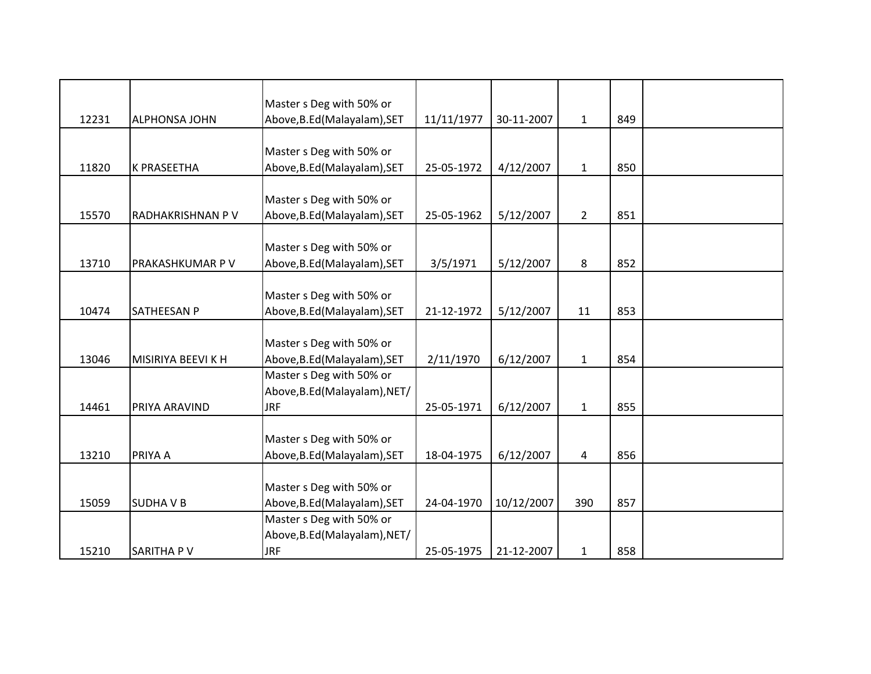|       |                      | Master s Deg with 50% or                                 |            |            |                |     |  |
|-------|----------------------|----------------------------------------------------------|------------|------------|----------------|-----|--|
| 12231 | <b>ALPHONSA JOHN</b> | Above, B.Ed (Malayalam), SET                             | 11/11/1977 | 30-11-2007 | $\mathbf{1}$   | 849 |  |
|       |                      |                                                          |            |            |                |     |  |
| 11820 | <b>K PRASEETHA</b>   | Master s Deg with 50% or<br>Above, B.Ed (Malayalam), SET | 25-05-1972 | 4/12/2007  | $\mathbf{1}$   | 850 |  |
|       |                      |                                                          |            |            |                |     |  |
|       |                      | Master s Deg with 50% or                                 |            |            |                |     |  |
| 15570 | RADHAKRISHNAN P V    | Above, B.Ed (Malayalam), SET                             | 25-05-1962 | 5/12/2007  | $\overline{2}$ | 851 |  |
|       |                      |                                                          |            |            |                |     |  |
|       |                      | Master s Deg with 50% or                                 |            |            |                |     |  |
| 13710 | PRAKASHKUMAR P V     | Above, B.Ed (Malayalam), SET                             | 3/5/1971   | 5/12/2007  | 8              | 852 |  |
|       |                      |                                                          |            |            |                |     |  |
|       |                      | Master s Deg with 50% or                                 |            |            |                |     |  |
| 10474 | SATHEESAN P          | Above, B.Ed (Malayalam), SET                             | 21-12-1972 | 5/12/2007  | 11             | 853 |  |
|       |                      |                                                          |            |            |                |     |  |
|       |                      | Master s Deg with 50% or                                 |            |            |                |     |  |
| 13046 | MISIRIYA BEEVI K H   | Above, B.Ed (Malayalam), SET                             | 2/11/1970  | 6/12/2007  | $\mathbf{1}$   | 854 |  |
|       |                      | Master s Deg with 50% or                                 |            |            |                |     |  |
| 14461 | PRIYA ARAVIND        | Above, B.Ed (Malayalam), NET/<br><b>JRF</b>              | 25-05-1971 | 6/12/2007  | $\mathbf{1}$   | 855 |  |
|       |                      |                                                          |            |            |                |     |  |
|       |                      | Master s Deg with 50% or                                 |            |            |                |     |  |
| 13210 | PRIYA A              | Above, B.Ed (Malayalam), SET                             | 18-04-1975 | 6/12/2007  | 4              | 856 |  |
|       |                      |                                                          |            |            |                |     |  |
|       |                      | Master s Deg with 50% or                                 |            |            |                |     |  |
| 15059 | <b>SUDHAVB</b>       | Above, B.Ed (Malayalam), SET                             | 24-04-1970 | 10/12/2007 | 390            | 857 |  |
|       |                      | Master s Deg with 50% or                                 |            |            |                |     |  |
|       |                      | Above, B.Ed (Malayalam), NET/                            |            |            |                |     |  |
| 15210 | SARITHA PV           | <b>JRF</b>                                               | 25-05-1975 | 21-12-2007 | $\mathbf{1}$   | 858 |  |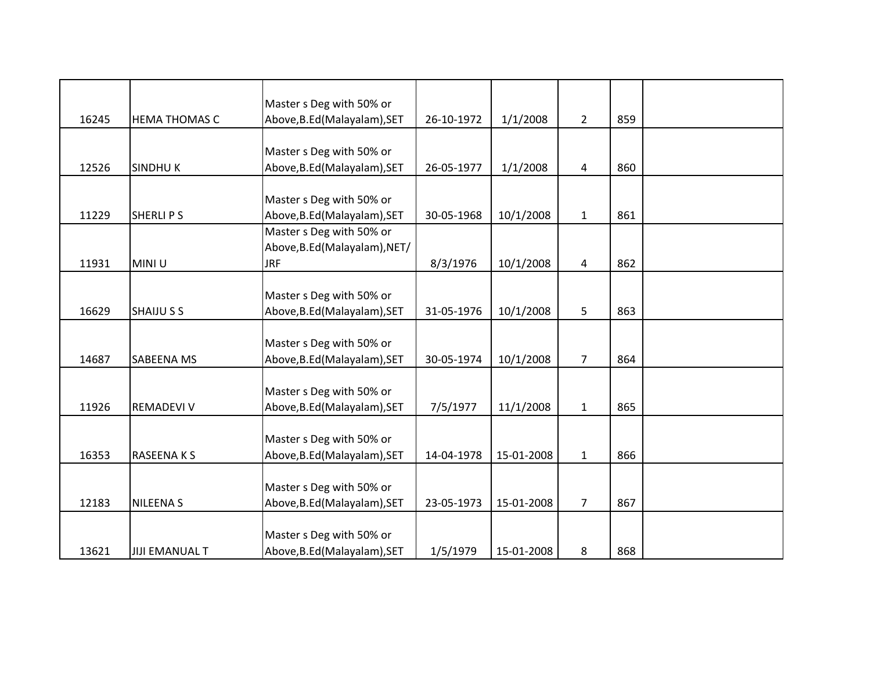|       |                       | Master s Deg with 50% or      |            |            |                |     |  |
|-------|-----------------------|-------------------------------|------------|------------|----------------|-----|--|
| 16245 | <b>HEMA THOMAS C</b>  | Above, B.Ed (Malayalam), SET  | 26-10-1972 | 1/1/2008   | $\overline{2}$ | 859 |  |
|       |                       |                               |            |            |                |     |  |
|       |                       | Master s Deg with 50% or      |            |            |                |     |  |
| 12526 | <b>SINDHUK</b>        | Above, B.Ed (Malayalam), SET  | 26-05-1977 | 1/1/2008   | 4              | 860 |  |
|       |                       |                               |            |            |                |     |  |
|       |                       | Master s Deg with 50% or      |            |            |                |     |  |
| 11229 | <b>SHERLIPS</b>       | Above, B.Ed (Malayalam), SET  | 30-05-1968 | 10/1/2008  | $\mathbf{1}$   | 861 |  |
|       |                       | Master s Deg with 50% or      |            |            |                |     |  |
|       |                       | Above, B.Ed (Malayalam), NET/ |            |            |                |     |  |
| 11931 | MINI U                | <b>JRF</b>                    | 8/3/1976   | 10/1/2008  | 4              | 862 |  |
|       |                       |                               |            |            |                |     |  |
|       |                       | Master s Deg with 50% or      |            |            |                |     |  |
| 16629 | <b>SHAIJU S S</b>     | Above, B.Ed (Malayalam), SET  | 31-05-1976 | 10/1/2008  | 5              | 863 |  |
|       |                       |                               |            |            |                |     |  |
|       |                       | Master s Deg with 50% or      |            |            |                |     |  |
| 14687 | SABEENA MS            | Above, B.Ed (Malayalam), SET  | 30-05-1974 | 10/1/2008  | $\overline{7}$ | 864 |  |
|       |                       |                               |            |            |                |     |  |
|       |                       | Master s Deg with 50% or      |            |            |                |     |  |
| 11926 | <b>REMADEVI V</b>     | Above, B.Ed (Malayalam), SET  | 7/5/1977   | 11/1/2008  | $\mathbf 1$    | 865 |  |
|       |                       |                               |            |            |                |     |  |
|       |                       | Master s Deg with 50% or      |            |            |                |     |  |
| 16353 | <b>RASEENAKS</b>      | Above, B.Ed (Malayalam), SET  | 14-04-1978 | 15-01-2008 | $\mathbf{1}$   | 866 |  |
|       |                       |                               |            |            |                |     |  |
|       |                       | Master s Deg with 50% or      |            |            |                |     |  |
| 12183 | <b>NILEENAS</b>       | Above, B.Ed (Malayalam), SET  | 23-05-1973 | 15-01-2008 | $\overline{7}$ | 867 |  |
|       |                       |                               |            |            |                |     |  |
|       |                       | Master s Deg with 50% or      |            |            |                |     |  |
| 13621 | <b>JIJI EMANUAL T</b> | Above, B.Ed (Malayalam), SET  | 1/5/1979   | 15-01-2008 | 8              | 868 |  |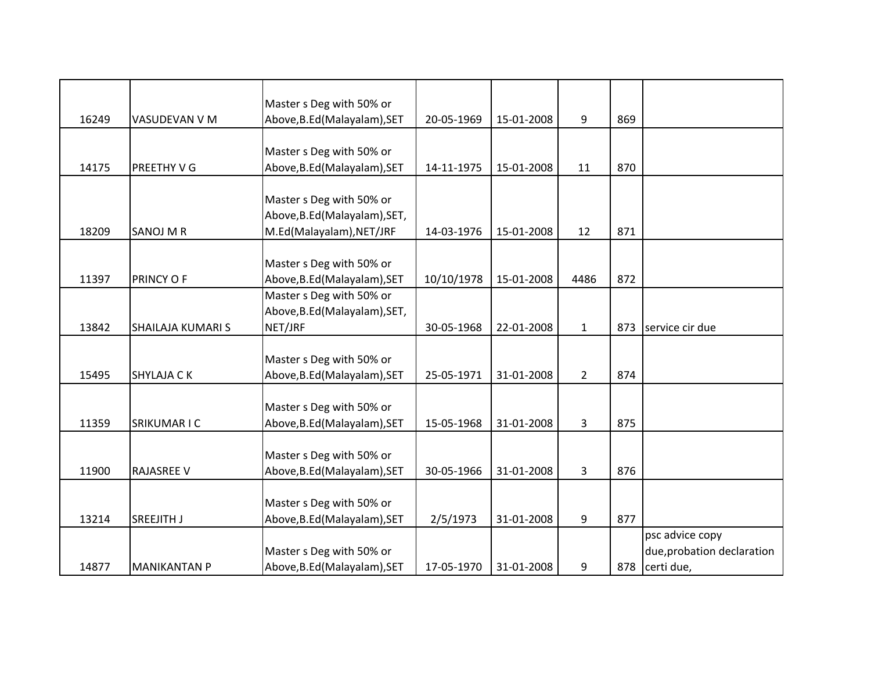|       |                     | Master s Deg with 50% or      |            |            |                |     |                            |
|-------|---------------------|-------------------------------|------------|------------|----------------|-----|----------------------------|
| 16249 | VASUDEVAN V M       | Above, B.Ed (Malayalam), SET  | 20-05-1969 | 15-01-2008 | 9              | 869 |                            |
|       |                     |                               |            |            |                |     |                            |
|       |                     | Master s Deg with 50% or      |            |            |                |     |                            |
| 14175 | PREETHY V G         | Above, B.Ed (Malayalam), SET  | 14-11-1975 | 15-01-2008 | 11             | 870 |                            |
|       |                     |                               |            |            |                |     |                            |
|       |                     | Master s Deg with 50% or      |            |            |                |     |                            |
|       |                     | Above, B.Ed (Malayalam), SET, |            |            |                |     |                            |
| 18209 | SANOJ M R           | M.Ed(Malayalam), NET/JRF      | 14-03-1976 | 15-01-2008 | 12             | 871 |                            |
|       |                     |                               |            |            |                |     |                            |
|       |                     | Master s Deg with 50% or      |            |            |                |     |                            |
| 11397 | PRINCY OF           | Above, B.Ed (Malayalam), SET  | 10/10/1978 | 15-01-2008 | 4486           | 872 |                            |
|       |                     | Master s Deg with 50% or      |            |            |                |     |                            |
|       |                     | Above, B.Ed (Malayalam), SET, |            |            |                |     |                            |
| 13842 | SHAILAJA KUMARI S   | NET/JRF                       | 30-05-1968 | 22-01-2008 | $\mathbf{1}$   | 873 | service cir due            |
|       |                     |                               |            |            |                |     |                            |
|       |                     | Master s Deg with 50% or      |            |            |                |     |                            |
| 15495 | <b>SHYLAJA CK</b>   | Above, B.Ed (Malayalam), SET  | 25-05-1971 | 31-01-2008 | $\overline{2}$ | 874 |                            |
|       |                     |                               |            |            |                |     |                            |
|       |                     | Master s Deg with 50% or      |            |            |                |     |                            |
| 11359 | SRIKUMAR I C        | Above, B.Ed (Malayalam), SET  | 15-05-1968 | 31-01-2008 | 3              | 875 |                            |
|       |                     |                               |            |            |                |     |                            |
|       |                     | Master s Deg with 50% or      |            |            |                |     |                            |
| 11900 | <b>RAJASREE V</b>   | Above, B.Ed (Malayalam), SET  | 30-05-1966 | 31-01-2008 | 3              | 876 |                            |
|       |                     |                               |            |            |                |     |                            |
|       |                     | Master s Deg with 50% or      |            |            |                |     |                            |
| 13214 | SREEJITH J          | Above, B.Ed (Malayalam), SET  | 2/5/1973   | 31-01-2008 | 9              | 877 |                            |
|       |                     |                               |            |            |                |     | psc advice copy            |
|       |                     | Master s Deg with 50% or      |            |            |                |     | due, probation declaration |
| 14877 | <b>MANIKANTAN P</b> | Above, B.Ed (Malayalam), SET  | 17-05-1970 | 31-01-2008 | 9              | 878 | certi due,                 |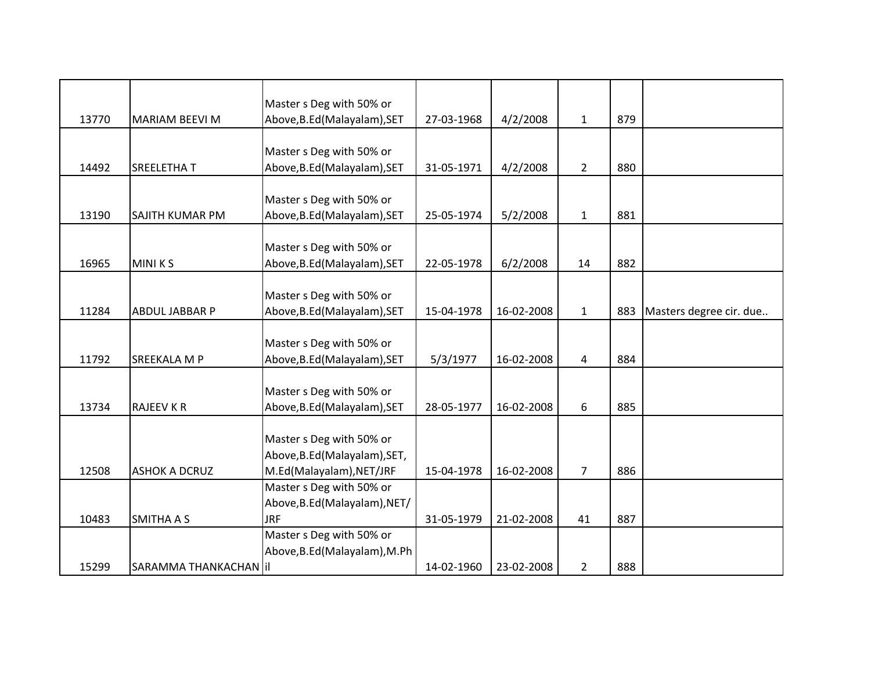|       |                         | Master s Deg with 50% or      |            |            |                |     |                         |
|-------|-------------------------|-------------------------------|------------|------------|----------------|-----|-------------------------|
| 13770 | <b>MARIAM BEEVI M</b>   | Above, B.Ed (Malayalam), SET  | 27-03-1968 | 4/2/2008   | $\mathbf{1}$   | 879 |                         |
|       |                         |                               |            |            |                |     |                         |
|       |                         | Master s Deg with 50% or      |            |            |                |     |                         |
| 14492 | <b>SREELETHAT</b>       | Above, B.Ed (Malayalam), SET  | 31-05-1971 | 4/2/2008   | $2^{\circ}$    | 880 |                         |
|       |                         | Master s Deg with 50% or      |            |            |                |     |                         |
|       |                         |                               |            |            |                |     |                         |
| 13190 | SAJITH KUMAR PM         | Above, B.Ed (Malayalam), SET  | 25-05-1974 | 5/2/2008   | $\mathbf{1}$   | 881 |                         |
|       |                         | Master s Deg with 50% or      |            |            |                |     |                         |
| 16965 | <b>MINIKS</b>           | Above, B.Ed (Malayalam), SET  | 22-05-1978 | 6/2/2008   | 14             | 882 |                         |
|       |                         |                               |            |            |                |     |                         |
|       |                         | Master s Deg with 50% or      |            |            |                |     |                         |
| 11284 | ABDUL JABBAR P          | Above, B.Ed (Malayalam), SET  | 15-04-1978 | 16-02-2008 | $\mathbf{1}$   | 883 | Masters degree cir. due |
|       |                         |                               |            |            |                |     |                         |
|       |                         | Master s Deg with 50% or      |            |            |                |     |                         |
| 11792 | <b>SREEKALA M P</b>     | Above, B.Ed (Malayalam), SET  | 5/3/1977   | 16-02-2008 | 4              | 884 |                         |
|       |                         |                               |            |            |                |     |                         |
|       |                         | Master s Deg with 50% or      |            |            |                |     |                         |
| 13734 | <b>RAJEEV K R</b>       | Above, B.Ed (Malayalam), SET  | 28-05-1977 | 16-02-2008 | 6              | 885 |                         |
|       |                         |                               |            |            |                |     |                         |
|       |                         | Master s Deg with 50% or      |            |            |                |     |                         |
|       |                         | Above, B.Ed (Malayalam), SET, |            |            |                |     |                         |
| 12508 | <b>ASHOK A DCRUZ</b>    | M.Ed(Malayalam), NET/JRF      | 15-04-1978 | 16-02-2008 | $\overline{7}$ | 886 |                         |
|       |                         | Master s Deg with 50% or      |            |            |                |     |                         |
|       |                         | Above, B.Ed (Malayalam), NET/ |            |            |                |     |                         |
| 10483 | <b>SMITHA A S</b>       | <b>JRF</b>                    | 31-05-1979 | 21-02-2008 | 41             | 887 |                         |
|       |                         | Master s Deg with 50% or      |            |            |                |     |                         |
|       |                         | Above, B.Ed (Malayalam), M.Ph |            |            |                |     |                         |
| 15299 | SARAMMA THANKACHAN   il |                               | 14-02-1960 | 23-02-2008 | $\overline{2}$ | 888 |                         |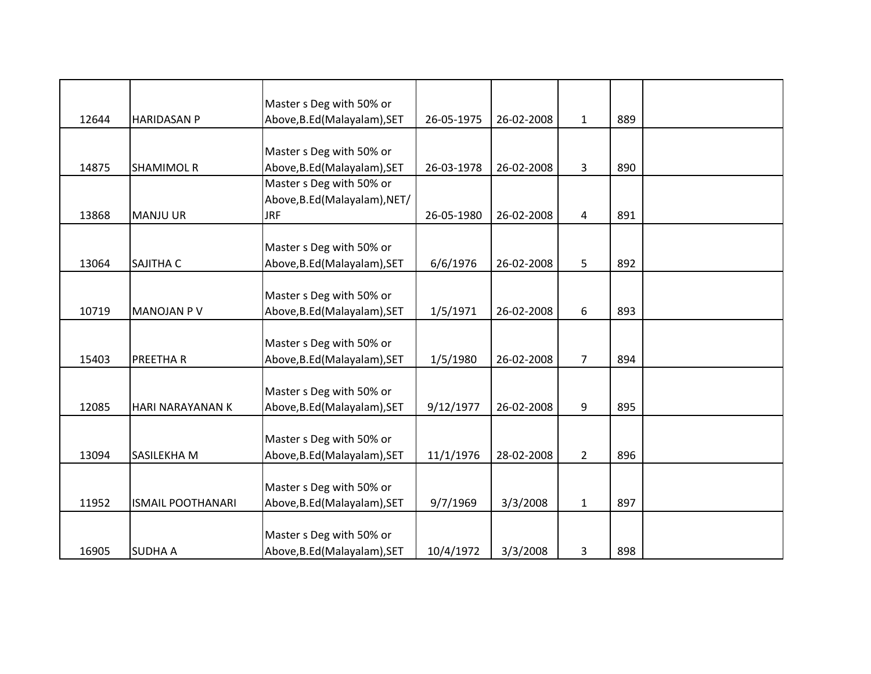|       |                          | Master s Deg with 50% or      |            |            |                |     |  |
|-------|--------------------------|-------------------------------|------------|------------|----------------|-----|--|
| 12644 | <b>HARIDASAN P</b>       | Above, B.Ed (Malayalam), SET  | 26-05-1975 | 26-02-2008 | $\mathbf{1}$   | 889 |  |
|       |                          |                               |            |            |                |     |  |
|       |                          | Master s Deg with 50% or      |            |            |                |     |  |
| 14875 | <b>SHAMIMOL R</b>        | Above, B.Ed (Malayalam), SET  | 26-03-1978 | 26-02-2008 | 3              | 890 |  |
|       |                          | Master s Deg with 50% or      |            |            |                |     |  |
|       |                          | Above, B.Ed (Malayalam), NET/ |            |            |                |     |  |
| 13868 | <b>MANJU UR</b>          | <b>JRF</b>                    | 26-05-1980 | 26-02-2008 | 4              | 891 |  |
|       |                          |                               |            |            |                |     |  |
|       |                          | Master s Deg with 50% or      |            |            |                |     |  |
| 13064 | SAJITHA C                | Above, B.Ed (Malayalam), SET  | 6/6/1976   | 26-02-2008 | 5              | 892 |  |
|       |                          |                               |            |            |                |     |  |
|       |                          | Master s Deg with 50% or      |            |            |                |     |  |
| 10719 | <b>MANOJAN PV</b>        | Above, B.Ed (Malayalam), SET  | 1/5/1971   | 26-02-2008 | 6              | 893 |  |
|       |                          |                               |            |            |                |     |  |
|       |                          | Master s Deg with 50% or      |            |            |                |     |  |
| 15403 | PREETHA R                | Above, B.Ed (Malayalam), SET  | 1/5/1980   | 26-02-2008 | $\overline{7}$ | 894 |  |
|       |                          |                               |            |            |                |     |  |
|       |                          | Master s Deg with 50% or      |            |            |                |     |  |
| 12085 | <b>HARI NARAYANAN K</b>  | Above, B.Ed (Malayalam), SET  | 9/12/1977  | 26-02-2008 | 9              | 895 |  |
|       |                          |                               |            |            |                |     |  |
|       |                          | Master s Deg with 50% or      |            |            |                |     |  |
| 13094 | <b>SASILEKHAM</b>        | Above, B.Ed (Malayalam), SET  | 11/1/1976  | 28-02-2008 | $\overline{2}$ | 896 |  |
|       |                          |                               |            |            |                |     |  |
|       |                          | Master s Deg with 50% or      |            |            |                |     |  |
| 11952 | <b>ISMAIL POOTHANARI</b> | Above, B.Ed (Malayalam), SET  | 9/7/1969   | 3/3/2008   | $\mathbf{1}$   | 897 |  |
|       |                          |                               |            |            |                |     |  |
|       |                          | Master s Deg with 50% or      |            |            |                |     |  |
| 16905 | <b>SUDHA A</b>           | Above, B.Ed (Malayalam), SET  | 10/4/1972  | 3/3/2008   | 3              | 898 |  |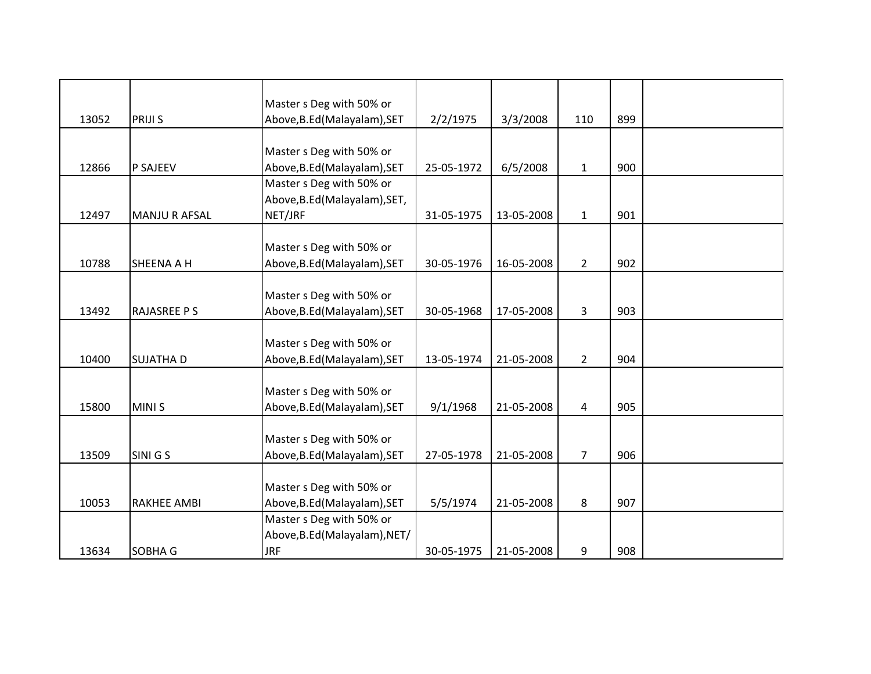|       |                      | Master s Deg with 50% or      |            |            |                |     |  |
|-------|----------------------|-------------------------------|------------|------------|----------------|-----|--|
| 13052 | <b>PRIJI S</b>       | Above, B.Ed (Malayalam), SET  | 2/2/1975   | 3/3/2008   | 110            | 899 |  |
|       |                      |                               |            |            |                |     |  |
|       |                      | Master s Deg with 50% or      |            |            |                |     |  |
| 12866 | <b>P SAJEEV</b>      | Above, B.Ed (Malayalam), SET  | 25-05-1972 | 6/5/2008   | $\mathbf{1}$   | 900 |  |
|       |                      | Master s Deg with 50% or      |            |            |                |     |  |
|       |                      | Above, B.Ed (Malayalam), SET, |            |            |                |     |  |
| 12497 | <b>MANJU R AFSAL</b> | NET/JRF                       | 31-05-1975 | 13-05-2008 | $\mathbf{1}$   | 901 |  |
|       |                      |                               |            |            |                |     |  |
|       |                      | Master s Deg with 50% or      |            |            |                |     |  |
| 10788 | <b>SHEENA A H</b>    | Above, B.Ed (Malayalam), SET  | 30-05-1976 | 16-05-2008 | $\overline{2}$ | 902 |  |
|       |                      |                               |            |            |                |     |  |
|       |                      | Master s Deg with 50% or      |            |            |                |     |  |
| 13492 | <b>RAJASREE P S</b>  | Above, B.Ed (Malayalam), SET  | 30-05-1968 | 17-05-2008 | 3              | 903 |  |
|       |                      |                               |            |            |                |     |  |
|       |                      | Master s Deg with 50% or      |            |            |                |     |  |
| 10400 | <b>SUJATHA D</b>     | Above, B.Ed (Malayalam), SET  | 13-05-1974 | 21-05-2008 | $\overline{2}$ | 904 |  |
|       |                      |                               |            |            |                |     |  |
|       |                      | Master s Deg with 50% or      |            |            |                |     |  |
| 15800 | <b>MINIS</b>         | Above, B.Ed (Malayalam), SET  | 9/1/1968   | 21-05-2008 | 4              | 905 |  |
|       |                      |                               |            |            |                |     |  |
|       |                      | Master s Deg with 50% or      |            |            |                |     |  |
| 13509 | SINI G S             | Above, B.Ed (Malayalam), SET  | 27-05-1978 | 21-05-2008 | 7 <sup>1</sup> | 906 |  |
|       |                      |                               |            |            |                |     |  |
|       |                      | Master s Deg with 50% or      |            |            |                |     |  |
| 10053 | <b>RAKHEE AMBI</b>   | Above, B.Ed (Malayalam), SET  | 5/5/1974   | 21-05-2008 | 8              | 907 |  |
|       |                      | Master s Deg with 50% or      |            |            |                |     |  |
|       |                      | Above, B.Ed (Malayalam), NET/ |            |            |                |     |  |
| 13634 | <b>SOBHA G</b>       | <b>JRF</b>                    | 30-05-1975 | 21-05-2008 | 9              | 908 |  |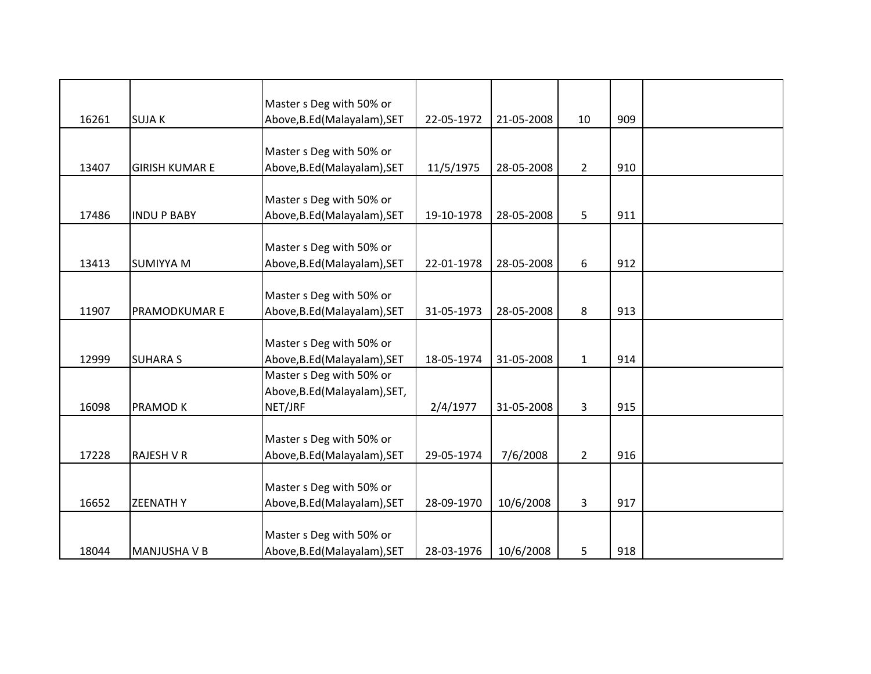|       |                       | Master s Deg with 50% or      |            |            |                |     |  |
|-------|-----------------------|-------------------------------|------------|------------|----------------|-----|--|
| 16261 | <b>SUJAK</b>          | Above, B.Ed (Malayalam), SET  | 22-05-1972 | 21-05-2008 | 10             | 909 |  |
|       |                       |                               |            |            |                |     |  |
|       |                       | Master s Deg with 50% or      |            |            |                |     |  |
| 13407 | <b>GIRISH KUMAR E</b> | Above, B.Ed (Malayalam), SET  | 11/5/1975  | 28-05-2008 | $\overline{2}$ | 910 |  |
|       |                       |                               |            |            |                |     |  |
|       |                       | Master s Deg with 50% or      |            |            |                |     |  |
| 17486 | <b>INDU P BABY</b>    | Above, B.Ed (Malayalam), SET  | 19-10-1978 | 28-05-2008 | 5              | 911 |  |
|       |                       |                               |            |            |                |     |  |
|       |                       | Master s Deg with 50% or      |            |            |                |     |  |
| 13413 | <b>SUMIYYA M</b>      | Above, B.Ed (Malayalam), SET  | 22-01-1978 | 28-05-2008 | 6              | 912 |  |
|       |                       |                               |            |            |                |     |  |
|       |                       | Master s Deg with 50% or      |            |            |                |     |  |
| 11907 | PRAMODKUMAR E         | Above, B.Ed (Malayalam), SET  | 31-05-1973 | 28-05-2008 | 8              | 913 |  |
|       |                       |                               |            |            |                |     |  |
|       |                       | Master s Deg with 50% or      |            |            |                |     |  |
| 12999 | <b>SUHARA S</b>       | Above, B.Ed (Malayalam), SET  | 18-05-1974 | 31-05-2008 | $\mathbf{1}$   | 914 |  |
|       |                       | Master s Deg with 50% or      |            |            |                |     |  |
|       |                       | Above, B.Ed (Malayalam), SET, |            |            |                |     |  |
| 16098 | PRAMOD K              | NET/JRF                       | 2/4/1977   | 31-05-2008 | 3              | 915 |  |
|       |                       |                               |            |            |                |     |  |
|       |                       | Master s Deg with 50% or      |            |            |                |     |  |
| 17228 | <b>RAJESH V R</b>     | Above, B.Ed (Malayalam), SET  | 29-05-1974 | 7/6/2008   | $\overline{2}$ | 916 |  |
|       |                       |                               |            |            |                |     |  |
|       |                       | Master s Deg with 50% or      |            |            |                |     |  |
| 16652 | <b>ZEENATHY</b>       | Above, B.Ed (Malayalam), SET  | 28-09-1970 | 10/6/2008  | 3              | 917 |  |
|       |                       |                               |            |            |                |     |  |
|       |                       | Master s Deg with 50% or      |            |            |                |     |  |
| 18044 | MANJUSHA V B          | Above, B.Ed (Malayalam), SET  | 28-03-1976 | 10/6/2008  | 5              | 918 |  |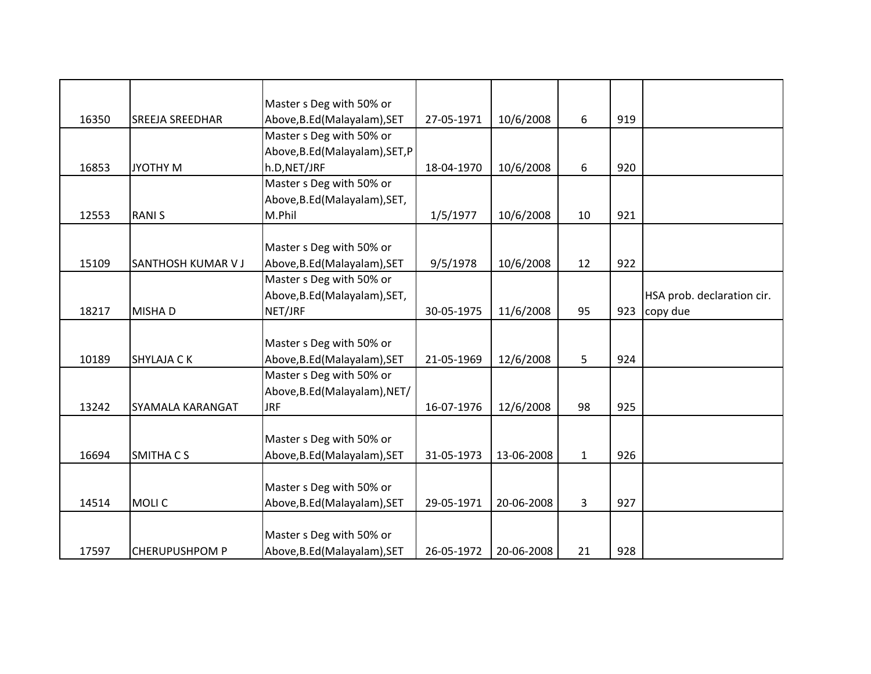|       |                        | Master s Deg with 50% or        |            |            |              |     |                            |
|-------|------------------------|---------------------------------|------------|------------|--------------|-----|----------------------------|
| 16350 | <b>SREEJA SREEDHAR</b> | Above, B.Ed (Malayalam), SET    | 27-05-1971 | 10/6/2008  | 6            | 919 |                            |
|       |                        | Master s Deg with 50% or        |            |            |              |     |                            |
|       |                        | Above, B.Ed (Malayalam), SET, P |            |            |              |     |                            |
| 16853 | <b>JYOTHY M</b>        | h.D, NET/JRF                    | 18-04-1970 | 10/6/2008  | 6            | 920 |                            |
|       |                        | Master s Deg with 50% or        |            |            |              |     |                            |
|       |                        | Above, B.Ed (Malayalam), SET,   |            |            |              |     |                            |
| 12553 | <b>RANIS</b>           | M.Phil                          | 1/5/1977   | 10/6/2008  | 10           | 921 |                            |
|       |                        |                                 |            |            |              |     |                            |
|       |                        | Master s Deg with 50% or        |            |            |              |     |                            |
| 15109 | SANTHOSH KUMAR V J     | Above, B.Ed (Malayalam), SET    | 9/5/1978   | 10/6/2008  | 12           | 922 |                            |
|       |                        | Master s Deg with 50% or        |            |            |              |     |                            |
|       |                        | Above, B.Ed (Malayalam), SET,   |            |            |              |     | HSA prob. declaration cir. |
| 18217 | MISHA D                | NET/JRF                         | 30-05-1975 | 11/6/2008  | 95           | 923 | copy due                   |
|       |                        |                                 |            |            |              |     |                            |
|       |                        | Master s Deg with 50% or        |            |            |              |     |                            |
| 10189 | <b>SHYLAJA CK</b>      | Above, B.Ed (Malayalam), SET    | 21-05-1969 | 12/6/2008  | 5            | 924 |                            |
|       |                        | Master s Deg with 50% or        |            |            |              |     |                            |
|       |                        | Above, B.Ed (Malayalam), NET/   |            |            |              |     |                            |
| 13242 | SYAMALA KARANGAT       | <b>JRF</b>                      | 16-07-1976 | 12/6/2008  | 98           | 925 |                            |
|       |                        |                                 |            |            |              |     |                            |
|       |                        | Master s Deg with 50% or        |            |            |              |     |                            |
| 16694 | <b>SMITHACS</b>        | Above, B.Ed (Malayalam), SET    | 31-05-1973 | 13-06-2008 | $\mathbf{1}$ | 926 |                            |
|       |                        |                                 |            |            |              |     |                            |
|       |                        | Master s Deg with 50% or        |            |            |              |     |                            |
| 14514 | <b>MOLIC</b>           | Above, B.Ed (Malayalam), SET    | 29-05-1971 | 20-06-2008 | 3            | 927 |                            |
|       |                        |                                 |            |            |              |     |                            |
|       |                        | Master s Deg with 50% or        |            |            |              |     |                            |
| 17597 | <b>CHERUPUSHPOM P</b>  | Above, B.Ed (Malayalam), SET    | 26-05-1972 | 20-06-2008 | 21           | 928 |                            |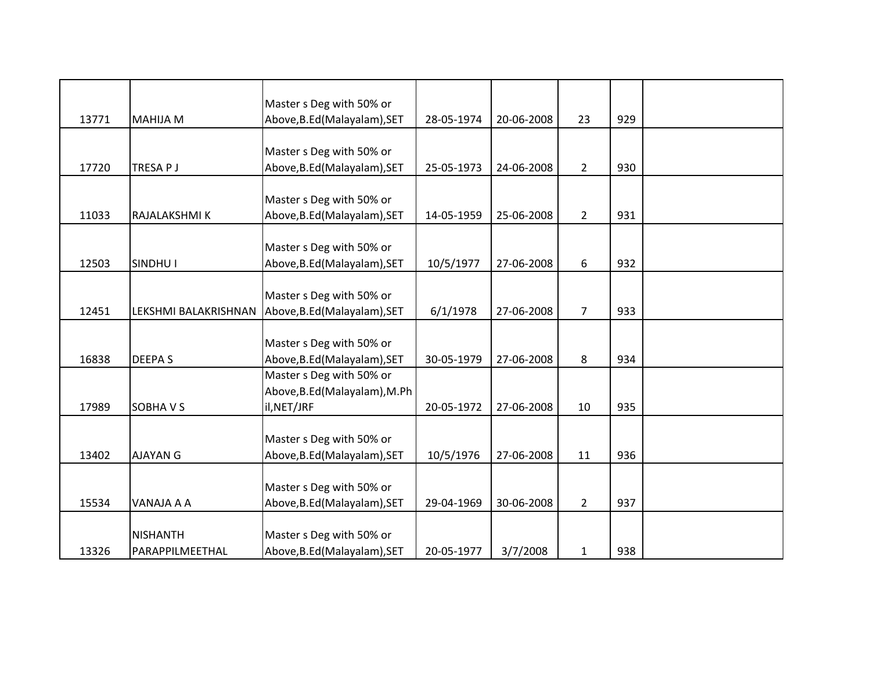|       |                      | Master s Deg with 50% or                                 |            |            |                |     |  |
|-------|----------------------|----------------------------------------------------------|------------|------------|----------------|-----|--|
| 13771 | <b>MAHIJA M</b>      | Above, B.Ed (Malayalam), SET                             | 28-05-1974 | 20-06-2008 | 23             | 929 |  |
|       |                      |                                                          |            |            |                |     |  |
|       |                      | Master s Deg with 50% or                                 |            |            |                |     |  |
| 17720 | TRESA P J            | Above, B.Ed (Malayalam), SET                             | 25-05-1973 | 24-06-2008 | $\overline{2}$ | 930 |  |
|       |                      |                                                          |            |            |                |     |  |
|       |                      | Master s Deg with 50% or                                 |            |            |                |     |  |
| 11033 | RAJALAKSHMI K        | Above, B.Ed (Malayalam), SET                             | 14-05-1959 | 25-06-2008 | $\overline{2}$ | 931 |  |
|       |                      |                                                          |            |            |                |     |  |
|       |                      | Master s Deg with 50% or                                 |            |            |                |     |  |
| 12503 | SINDHU I             | Above, B.Ed (Malayalam), SET                             | 10/5/1977  | 27-06-2008 | 6              | 932 |  |
|       |                      |                                                          |            |            |                |     |  |
|       |                      | Master s Deg with 50% or                                 |            |            | $\overline{7}$ | 933 |  |
| 12451 | LEKSHMI BALAKRISHNAN | Above, B.Ed (Malayalam), SET                             | 6/1/1978   | 27-06-2008 |                |     |  |
|       |                      |                                                          |            |            |                |     |  |
| 16838 | <b>DEEPAS</b>        | Master s Deg with 50% or<br>Above, B.Ed (Malayalam), SET | 30-05-1979 | 27-06-2008 | 8              | 934 |  |
|       |                      |                                                          |            |            |                |     |  |
|       |                      | Master s Deg with 50% or                                 |            |            |                |     |  |
| 17989 | <b>SOBHAVS</b>       | Above, B.Ed (Malayalam), M.Ph<br>il, NET/JRF             | 20-05-1972 | 27-06-2008 | 10             | 935 |  |
|       |                      |                                                          |            |            |                |     |  |
|       |                      | Master s Deg with 50% or                                 |            |            |                |     |  |
| 13402 | <b>AJAYAN G</b>      | Above, B.Ed (Malayalam), SET                             | 10/5/1976  | 27-06-2008 | 11             | 936 |  |
|       |                      |                                                          |            |            |                |     |  |
|       |                      | Master s Deg with 50% or                                 |            |            |                |     |  |
| 15534 | VANAJA A A           | Above, B.Ed (Malayalam), SET                             | 29-04-1969 | 30-06-2008 | $\overline{2}$ | 937 |  |
|       |                      |                                                          |            |            |                |     |  |
|       | <b>NISHANTH</b>      | Master s Deg with 50% or                                 |            |            |                |     |  |
| 13326 | PARAPPILMEETHAL      | Above, B.Ed (Malayalam), SET                             | 20-05-1977 | 3/7/2008   | $\mathbf{1}$   | 938 |  |
|       |                      |                                                          |            |            |                |     |  |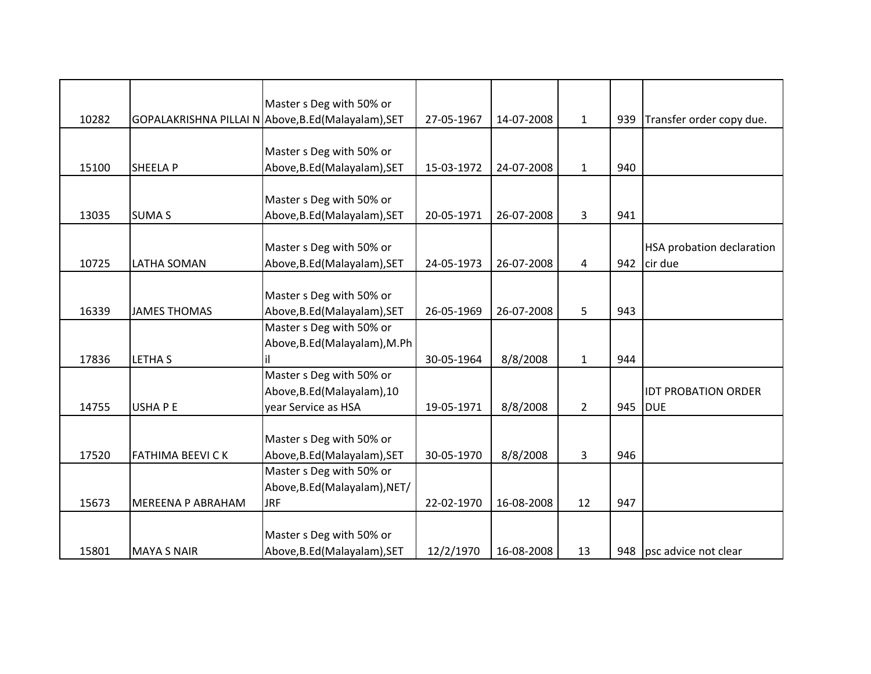|       |                         | Master s Deg with 50% or                            |            |            |                |     |                                  |
|-------|-------------------------|-----------------------------------------------------|------------|------------|----------------|-----|----------------------------------|
| 10282 |                         | GOPALAKRISHNA PILLAI N Above, B.Ed (Malayalam), SET | 27-05-1967 | 14-07-2008 | $\mathbf{1}$   | 939 | Transfer order copy due.         |
|       |                         |                                                     |            |            |                |     |                                  |
|       |                         | Master s Deg with 50% or                            |            |            |                |     |                                  |
| 15100 | <b>SHEELAP</b>          | Above, B.Ed (Malayalam), SET                        | 15-03-1972 | 24-07-2008 | $\mathbf{1}$   | 940 |                                  |
|       |                         |                                                     |            |            |                |     |                                  |
|       |                         | Master s Deg with 50% or                            |            |            |                |     |                                  |
| 13035 | <b>SUMA S</b>           | Above, B.Ed (Malayalam), SET                        | 20-05-1971 | 26-07-2008 | 3              | 941 |                                  |
|       |                         |                                                     |            |            |                |     |                                  |
|       |                         | Master s Deg with 50% or                            |            |            |                |     | <b>HSA probation declaration</b> |
| 10725 | <b>LATHA SOMAN</b>      | Above, B.Ed (Malayalam), SET                        | 24-05-1973 | 26-07-2008 | 4              | 942 | cir due                          |
|       |                         |                                                     |            |            |                |     |                                  |
|       |                         | Master s Deg with 50% or                            |            |            |                |     |                                  |
| 16339 | <b>JAMES THOMAS</b>     | Above, B.Ed (Malayalam), SET                        | 26-05-1969 | 26-07-2008 | 5              | 943 |                                  |
|       |                         | Master s Deg with 50% or                            |            |            |                |     |                                  |
|       |                         | Above, B.Ed (Malayalam), M.Ph                       |            |            |                |     |                                  |
| 17836 | <b>LETHAS</b>           |                                                     | 30-05-1964 | 8/8/2008   | $\mathbf{1}$   | 944 |                                  |
|       |                         | Master s Deg with 50% or                            |            |            |                |     |                                  |
|       |                         | Above, B.Ed (Malayalam), 10                         |            |            |                |     | <b>IDT PROBATION ORDER</b>       |
| 14755 | USHAPE                  | year Service as HSA                                 | 19-05-1971 | 8/8/2008   | $\overline{2}$ | 945 | <b>DUE</b>                       |
|       |                         |                                                     |            |            |                |     |                                  |
|       |                         | Master s Deg with 50% or                            |            |            |                |     |                                  |
| 17520 | <b>FATHIMA BEEVI CK</b> | Above, B.Ed (Malayalam), SET                        | 30-05-1970 | 8/8/2008   | 3              | 946 |                                  |
|       |                         | Master s Deg with 50% or                            |            |            |                |     |                                  |
|       |                         | Above, B.Ed (Malayalam), NET/                       |            |            |                |     |                                  |
| 15673 | MEREENA P ABRAHAM       | <b>JRF</b>                                          | 22-02-1970 | 16-08-2008 | 12             | 947 |                                  |
|       |                         |                                                     |            |            |                |     |                                  |
|       |                         | Master s Deg with 50% or                            |            |            |                |     |                                  |
| 15801 | <b>MAYA S NAIR</b>      | Above, B.Ed (Malayalam), SET                        | 12/2/1970  | 16-08-2008 | 13             | 948 | psc advice not clear             |
|       |                         |                                                     |            |            |                |     |                                  |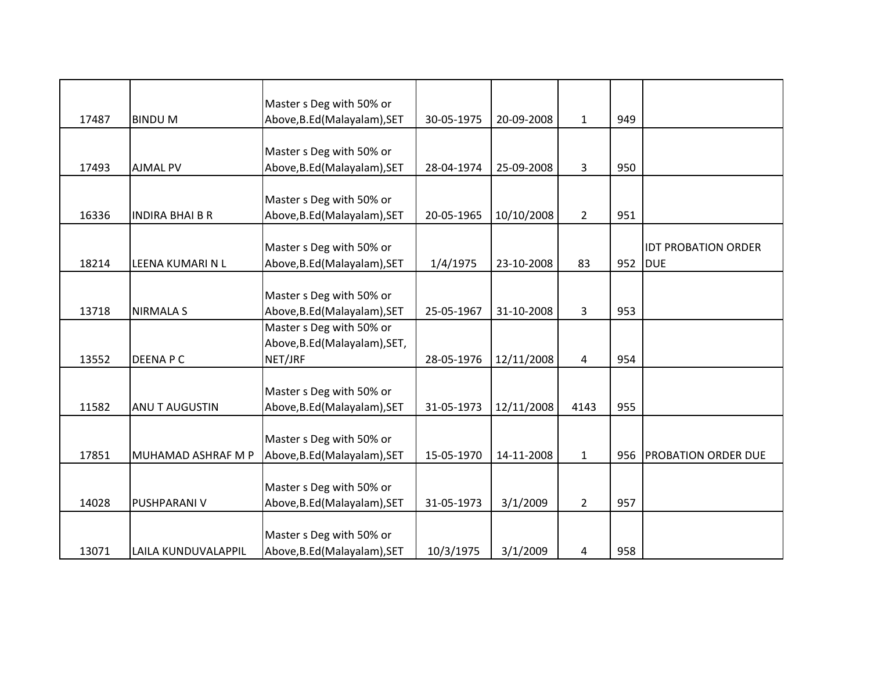|       |                           | Master s Deg with 50% or      |            |            |                |     |                            |
|-------|---------------------------|-------------------------------|------------|------------|----------------|-----|----------------------------|
| 17487 | <b>BINDUM</b>             | Above, B.Ed (Malayalam), SET  | 30-05-1975 | 20-09-2008 | $\mathbf{1}$   | 949 |                            |
|       |                           |                               |            |            |                |     |                            |
|       |                           | Master s Deg with 50% or      |            |            |                |     |                            |
| 17493 | <b>AJMAL PV</b>           | Above, B.Ed (Malayalam), SET  | 28-04-1974 | 25-09-2008 | 3              | 950 |                            |
|       |                           |                               |            |            |                |     |                            |
|       |                           | Master s Deg with 50% or      |            |            |                |     |                            |
| 16336 | <b>INDIRA BHAI B R</b>    | Above, B.Ed (Malayalam), SET  | 20-05-1965 | 10/10/2008 | $\overline{2}$ | 951 |                            |
|       |                           |                               |            |            |                |     |                            |
|       |                           | Master s Deg with 50% or      |            |            |                |     | <b>IDT PROBATION ORDER</b> |
| 18214 | LEENA KUMARI N L          | Above, B.Ed (Malayalam), SET  | 1/4/1975   | 23-10-2008 | 83             | 952 | <b>DUE</b>                 |
|       |                           |                               |            |            |                |     |                            |
|       |                           | Master s Deg with 50% or      |            |            |                |     |                            |
| 13718 | <b>NIRMALA S</b>          | Above, B.Ed (Malayalam), SET  | 25-05-1967 | 31-10-2008 | 3              | 953 |                            |
|       |                           | Master s Deg with 50% or      |            |            |                |     |                            |
|       |                           | Above, B.Ed (Malayalam), SET, |            |            |                |     |                            |
| 13552 | <b>DEENAPC</b>            | NET/JRF                       | 28-05-1976 | 12/11/2008 | 4              | 954 |                            |
|       |                           |                               |            |            |                |     |                            |
|       |                           | Master s Deg with 50% or      |            |            |                |     |                            |
| 11582 | ANU T AUGUSTIN            | Above, B.Ed (Malayalam), SET  | 31-05-1973 | 12/11/2008 | 4143           | 955 |                            |
|       |                           |                               |            |            |                |     |                            |
|       |                           | Master s Deg with 50% or      |            |            |                |     |                            |
| 17851 | <b>MUHAMAD ASHRAF M P</b> | Above, B.Ed (Malayalam), SET  | 15-05-1970 | 14-11-2008 | $\mathbf{1}$   | 956 | <b>PROBATION ORDER DUE</b> |
|       |                           |                               |            |            |                |     |                            |
|       |                           | Master s Deg with 50% or      |            |            |                |     |                            |
| 14028 | <b>PUSHPARANI V</b>       | Above, B.Ed (Malayalam), SET  | 31-05-1973 | 3/1/2009   | $\overline{2}$ | 957 |                            |
|       |                           |                               |            |            |                |     |                            |
|       |                           | Master s Deg with 50% or      |            |            |                |     |                            |
| 13071 | LAILA KUNDUVALAPPIL       | Above, B.Ed (Malayalam), SET  | 10/3/1975  | 3/1/2009   | 4              | 958 |                            |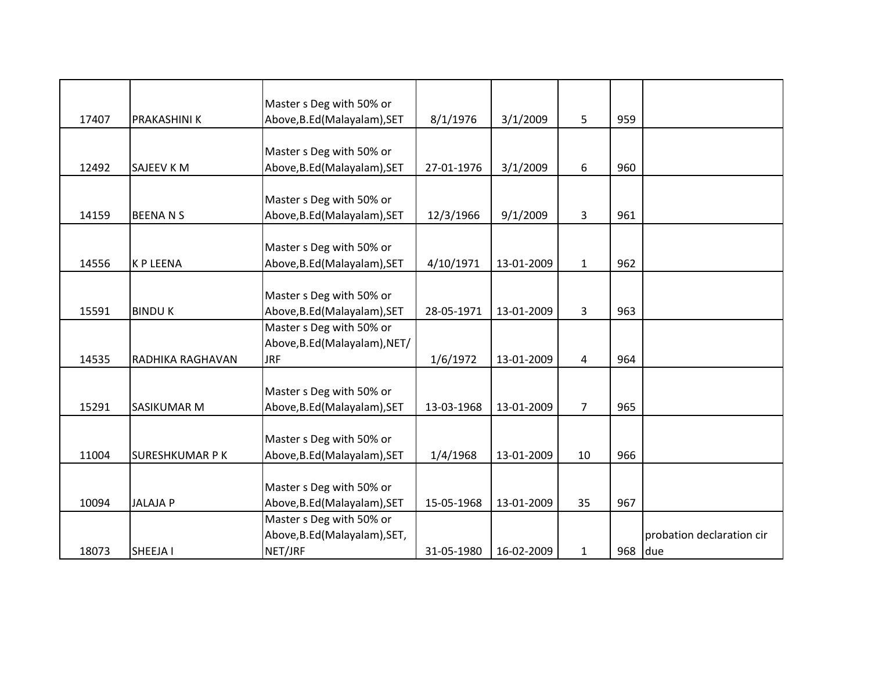|       |                       | Master s Deg with 50% or      |            |            |                |     |                           |
|-------|-----------------------|-------------------------------|------------|------------|----------------|-----|---------------------------|
| 17407 | PRAKASHINI K          | Above, B.Ed (Malayalam), SET  | 8/1/1976   | 3/1/2009   | 5              | 959 |                           |
|       |                       |                               |            |            |                |     |                           |
|       |                       | Master s Deg with 50% or      |            |            |                |     |                           |
| 12492 | <b>SAJEEV KM</b>      | Above, B.Ed (Malayalam), SET  | 27-01-1976 | 3/1/2009   | 6              | 960 |                           |
|       |                       |                               |            |            |                |     |                           |
|       |                       | Master s Deg with 50% or      |            |            |                |     |                           |
| 14159 | <b>BEENANS</b>        | Above, B.Ed (Malayalam), SET  | 12/3/1966  | 9/1/2009   | 3              | 961 |                           |
|       |                       |                               |            |            |                |     |                           |
|       |                       | Master s Deg with 50% or      |            |            |                |     |                           |
| 14556 | <b>KP LEENA</b>       | Above, B.Ed (Malayalam), SET  | 4/10/1971  | 13-01-2009 | $\mathbf{1}$   | 962 |                           |
|       |                       |                               |            |            |                |     |                           |
|       |                       | Master s Deg with 50% or      |            |            |                |     |                           |
| 15591 | <b>BINDUK</b>         | Above, B.Ed (Malayalam), SET  | 28-05-1971 | 13-01-2009 | 3              | 963 |                           |
|       |                       | Master s Deg with 50% or      |            |            |                |     |                           |
|       |                       | Above, B.Ed (Malayalam), NET/ |            |            |                |     |                           |
| 14535 | RADHIKA RAGHAVAN      | <b>JRF</b>                    | 1/6/1972   | 13-01-2009 | 4              | 964 |                           |
|       |                       |                               |            |            |                |     |                           |
|       |                       | Master s Deg with 50% or      |            |            |                |     |                           |
| 15291 | SASIKUMAR M           | Above, B.Ed (Malayalam), SET  | 13-03-1968 | 13-01-2009 | $\overline{7}$ | 965 |                           |
|       |                       |                               |            |            |                |     |                           |
|       |                       | Master s Deg with 50% or      |            |            |                |     |                           |
| 11004 | <b>SURESHKUMAR PK</b> | Above, B.Ed (Malayalam), SET  | 1/4/1968   | 13-01-2009 | 10             | 966 |                           |
|       |                       |                               |            |            |                |     |                           |
|       |                       | Master s Deg with 50% or      |            |            |                |     |                           |
| 10094 | <b>JALAJA P</b>       | Above, B.Ed (Malayalam), SET  | 15-05-1968 | 13-01-2009 | 35             | 967 |                           |
|       |                       | Master s Deg with 50% or      |            |            |                |     |                           |
|       |                       | Above, B.Ed (Malayalam), SET, |            |            |                |     | probation declaration cir |
|       |                       |                               |            |            |                | 968 |                           |
| 18073 | SHEEJA I              | NET/JRF                       | 31-05-1980 | 16-02-2009 | $\mathbf{1}$   |     | due                       |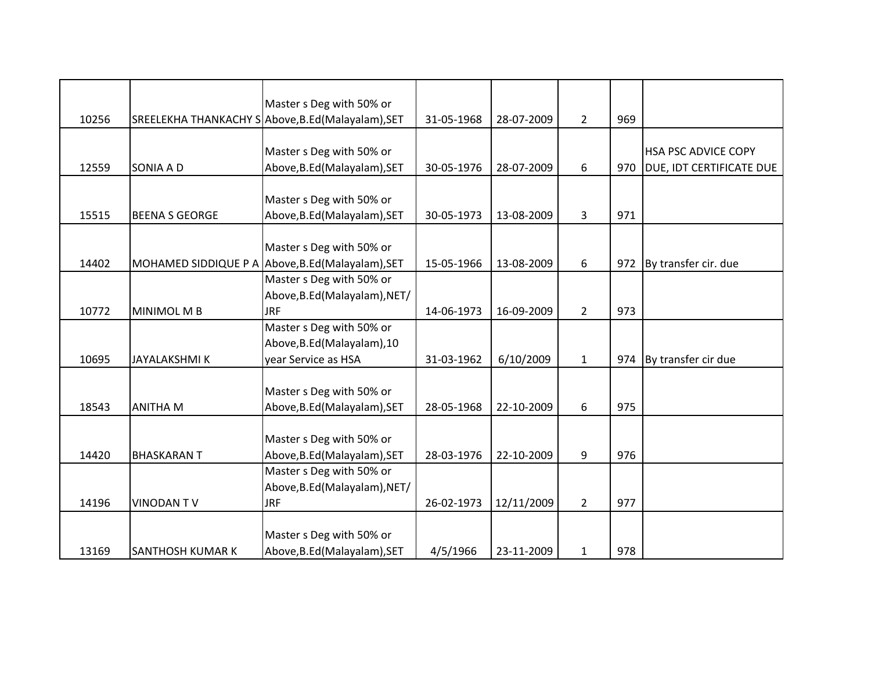|       |                         | Master s Deg with 50% or                          |            |            |                |     |                                 |
|-------|-------------------------|---------------------------------------------------|------------|------------|----------------|-----|---------------------------------|
| 10256 |                         | SREELEKHA THANKACHY SAbove, B.Ed (Malayalam), SET | 31-05-1968 | 28-07-2009 | $\overline{2}$ | 969 |                                 |
|       |                         |                                                   |            |            |                |     |                                 |
|       |                         | Master s Deg with 50% or                          |            |            |                |     | HSA PSC ADVICE COPY             |
| 12559 | <b>SONIA A D</b>        | Above, B.Ed (Malayalam), SET                      | 30-05-1976 | 28-07-2009 | 6              | 970 | <b>DUE, IDT CERTIFICATE DUE</b> |
|       |                         |                                                   |            |            |                |     |                                 |
|       |                         | Master s Deg with 50% or                          |            |            |                |     |                                 |
| 15515 | <b>BEENA S GEORGE</b>   | Above, B.Ed (Malayalam), SET                      | 30-05-1973 | 13-08-2009 | 3              | 971 |                                 |
|       |                         |                                                   |            |            |                |     |                                 |
|       |                         | Master s Deg with 50% or                          |            |            |                |     |                                 |
| 14402 | MOHAMED SIDDIQUE P A    | Above, B.Ed (Malayalam), SET                      | 15-05-1966 | 13-08-2009 | 6              | 972 | By transfer cir. due            |
|       |                         | Master s Deg with 50% or                          |            |            |                |     |                                 |
|       |                         | Above, B.Ed (Malayalam), NET/                     |            |            |                |     |                                 |
| 10772 | MINIMOL M B             | <b>JRF</b>                                        | 14-06-1973 | 16-09-2009 | $\overline{2}$ | 973 |                                 |
|       |                         | Master s Deg with 50% or                          |            |            |                |     |                                 |
|       |                         | Above, B.Ed (Malayalam), 10                       |            |            |                |     |                                 |
| 10695 | <b>JAYALAKSHMIK</b>     | year Service as HSA                               | 31-03-1962 | 6/10/2009  | $\mathbf{1}$   | 974 | By transfer cir due             |
|       |                         |                                                   |            |            |                |     |                                 |
|       |                         | Master s Deg with 50% or                          |            |            |                |     |                                 |
| 18543 | <b>ANITHA M</b>         | Above, B.Ed (Malayalam), SET                      | 28-05-1968 | 22-10-2009 | 6              | 975 |                                 |
|       |                         |                                                   |            |            |                |     |                                 |
|       |                         | Master s Deg with 50% or                          |            |            |                |     |                                 |
| 14420 | <b>BHASKARANT</b>       | Above, B.Ed (Malayalam), SET                      | 28-03-1976 | 22-10-2009 | 9              | 976 |                                 |
|       |                         | Master s Deg with 50% or                          |            |            |                |     |                                 |
|       |                         | Above, B.Ed (Malayalam), NET/                     |            |            |                |     |                                 |
| 14196 | <b>VINODANTV</b>        | <b>JRF</b>                                        | 26-02-1973 | 12/11/2009 | $\overline{2}$ | 977 |                                 |
|       |                         |                                                   |            |            |                |     |                                 |
|       |                         | Master s Deg with 50% or                          |            |            |                |     |                                 |
| 13169 | <b>SANTHOSH KUMAR K</b> | Above, B.Ed (Malayalam), SET                      | 4/5/1966   | 23-11-2009 | $\mathbf{1}$   | 978 |                                 |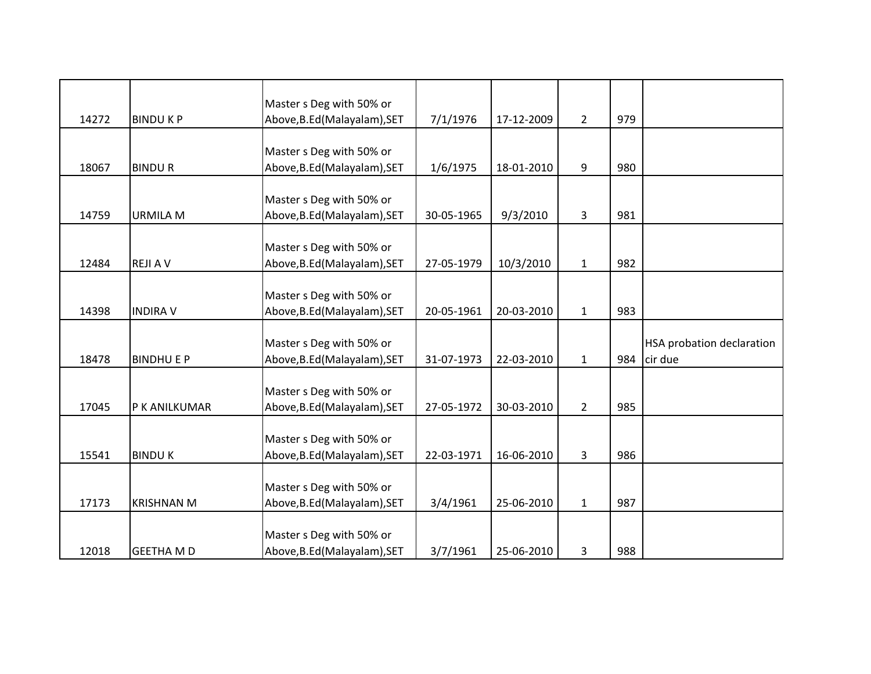|       |                   | Master s Deg with 50% or     |            |            |                |     |                                  |
|-------|-------------------|------------------------------|------------|------------|----------------|-----|----------------------------------|
| 14272 | <b>BINDUKP</b>    | Above, B.Ed (Malayalam), SET | 7/1/1976   | 17-12-2009 | $\overline{2}$ | 979 |                                  |
|       |                   |                              |            |            |                |     |                                  |
|       |                   | Master s Deg with 50% or     |            |            |                |     |                                  |
| 18067 | <b>BINDUR</b>     | Above, B.Ed (Malayalam), SET | 1/6/1975   | 18-01-2010 | 9              | 980 |                                  |
|       |                   | Master s Deg with 50% or     |            |            |                |     |                                  |
| 14759 | <b>URMILA M</b>   | Above, B.Ed (Malayalam), SET | 30-05-1965 | 9/3/2010   | 3              | 981 |                                  |
|       |                   |                              |            |            |                |     |                                  |
|       |                   | Master s Deg with 50% or     |            |            |                |     |                                  |
| 12484 | <b>REJIAV</b>     | Above, B.Ed (Malayalam), SET | 27-05-1979 | 10/3/2010  | $\mathbf{1}$   | 982 |                                  |
|       |                   |                              |            |            |                |     |                                  |
|       |                   | Master s Deg with 50% or     |            |            |                |     |                                  |
| 14398 | <b>INDIRA V</b>   | Above, B.Ed (Malayalam), SET | 20-05-1961 | 20-03-2010 | $\mathbf{1}$   | 983 |                                  |
|       |                   |                              |            |            |                |     |                                  |
|       |                   | Master s Deg with 50% or     |            |            |                |     | <b>HSA probation declaration</b> |
| 18478 | <b>BINDHU E P</b> | Above, B.Ed (Malayalam), SET | 31-07-1973 | 22-03-2010 | $\mathbf{1}$   | 984 | cir due                          |
|       |                   |                              |            |            |                |     |                                  |
|       |                   | Master s Deg with 50% or     |            |            |                |     |                                  |
| 17045 | P K ANILKUMAR     | Above, B.Ed (Malayalam), SET | 27-05-1972 | 30-03-2010 | $\overline{2}$ | 985 |                                  |
|       |                   |                              |            |            |                |     |                                  |
|       |                   | Master s Deg with 50% or     |            |            |                |     |                                  |
| 15541 | <b>BINDUK</b>     | Above, B.Ed (Malayalam), SET | 22-03-1971 | 16-06-2010 | $\mathbf{3}$   | 986 |                                  |
|       |                   |                              |            |            |                |     |                                  |
|       |                   | Master s Deg with 50% or     |            |            |                |     |                                  |
| 17173 | <b>KRISHNAN M</b> | Above, B.Ed (Malayalam), SET | 3/4/1961   | 25-06-2010 | $\mathbf{1}$   | 987 |                                  |
|       |                   | Master s Deg with 50% or     |            |            |                |     |                                  |
|       |                   |                              |            |            |                |     |                                  |
| 12018 | <b>GEETHA MD</b>  | Above, B.Ed (Malayalam), SET | 3/7/1961   | 25-06-2010 | 3              | 988 |                                  |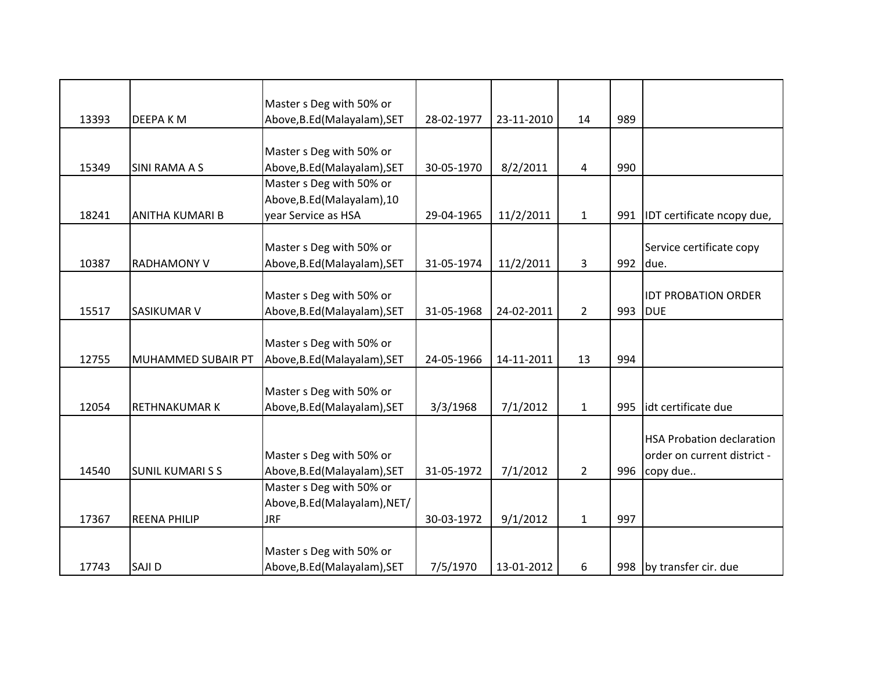|       |                         | Master s Deg with 50% or      |            |            |                |     |                                  |
|-------|-------------------------|-------------------------------|------------|------------|----------------|-----|----------------------------------|
| 13393 | DEEPA K M               | Above, B.Ed (Malayalam), SET  | 28-02-1977 | 23-11-2010 | 14             | 989 |                                  |
|       |                         |                               |            |            |                |     |                                  |
|       |                         | Master s Deg with 50% or      |            |            |                |     |                                  |
| 15349 | <b>SINI RAMA A S</b>    | Above, B.Ed (Malayalam), SET  | 30-05-1970 | 8/2/2011   | 4              | 990 |                                  |
|       |                         | Master s Deg with 50% or      |            |            |                |     |                                  |
|       |                         | Above, B.Ed (Malayalam), 10   |            |            |                |     |                                  |
| 18241 | ANITHA KUMARI B         | year Service as HSA           | 29-04-1965 | 11/2/2011  | $1\,$          | 991 | IDT certificate ncopy due,       |
|       |                         |                               |            |            |                |     |                                  |
|       |                         | Master s Deg with 50% or      |            |            |                |     | Service certificate copy         |
| 10387 | <b>RADHAMONY V</b>      | Above, B.Ed (Malayalam), SET  | 31-05-1974 | 11/2/2011  | 3              | 992 | due.                             |
|       |                         |                               |            |            |                |     |                                  |
|       |                         | Master s Deg with 50% or      |            |            |                |     | <b>IDT PROBATION ORDER</b>       |
| 15517 | <b>SASIKUMAR V</b>      | Above, B.Ed (Malayalam), SET  | 31-05-1968 | 24-02-2011 | $\overline{2}$ | 993 | <b>DUE</b>                       |
|       |                         |                               |            |            |                |     |                                  |
|       |                         | Master s Deg with 50% or      |            |            |                |     |                                  |
| 12755 | MUHAMMED SUBAIR PT      | Above, B.Ed (Malayalam), SET  | 24-05-1966 | 14-11-2011 | 13             | 994 |                                  |
|       |                         |                               |            |            |                |     |                                  |
|       |                         | Master s Deg with 50% or      |            |            |                |     |                                  |
| 12054 | <b>RETHNAKUMARK</b>     | Above, B.Ed (Malayalam), SET  | 3/3/1968   | 7/1/2012   | $\mathbf{1}$   | 995 | idt certificate due              |
|       |                         |                               |            |            |                |     |                                  |
|       |                         |                               |            |            |                |     | <b>HSA Probation declaration</b> |
|       |                         | Master s Deg with 50% or      |            |            |                |     | order on current district -      |
| 14540 | <b>SUNIL KUMARI S S</b> | Above, B.Ed (Malayalam), SET  | 31-05-1972 | 7/1/2012   | $\overline{2}$ | 996 | copy due                         |
|       |                         | Master s Deg with 50% or      |            |            |                |     |                                  |
|       |                         | Above, B.Ed (Malayalam), NET/ |            |            |                |     |                                  |
| 17367 | <b>REENA PHILIP</b>     | <b>JRF</b>                    | 30-03-1972 | 9/1/2012   | $\mathbf{1}$   | 997 |                                  |
|       |                         |                               |            |            |                |     |                                  |
|       |                         | Master s Deg with 50% or      |            |            |                |     |                                  |
| 17743 | SAJI D                  | Above, B.Ed (Malayalam), SET  | 7/5/1970   | 13-01-2012 | 6              |     | 998 by transfer cir. due         |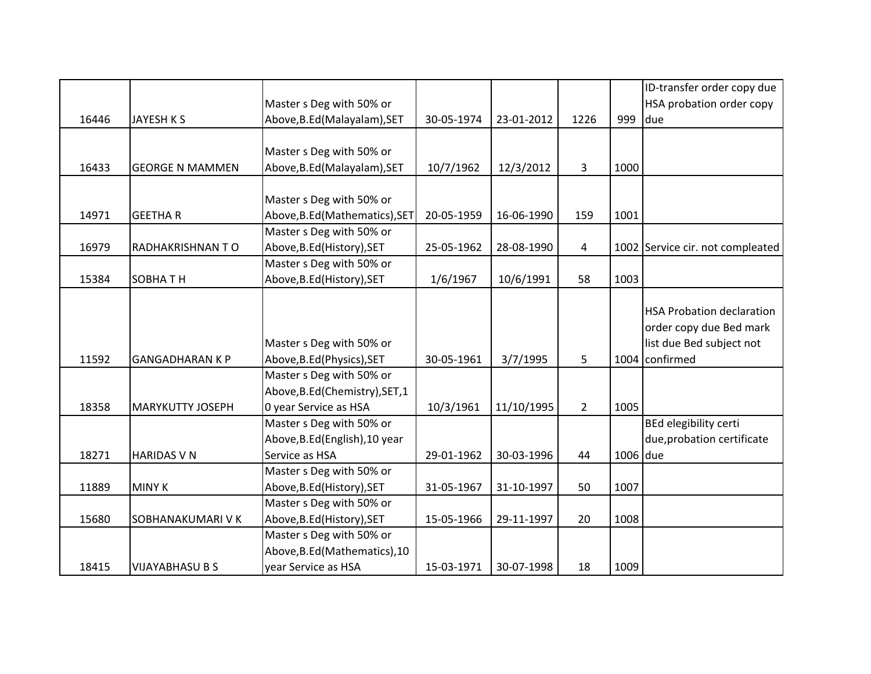|       |                         |                                 |            |            |                |          | ID-transfer order copy due       |
|-------|-------------------------|---------------------------------|------------|------------|----------------|----------|----------------------------------|
|       |                         | Master s Deg with 50% or        |            |            |                |          | HSA probation order copy         |
| 16446 | <b>JAYESH K S</b>       | Above, B.Ed (Malayalam), SET    | 30-05-1974 | 23-01-2012 | 1226           | 999      | due                              |
|       |                         |                                 |            |            |                |          |                                  |
|       |                         | Master s Deg with 50% or        |            |            |                |          |                                  |
| 16433 | <b>GEORGE N MAMMEN</b>  | Above, B.Ed (Malayalam), SET    | 10/7/1962  | 12/3/2012  | 3              | 1000     |                                  |
|       |                         |                                 |            |            |                |          |                                  |
|       |                         | Master s Deg with 50% or        |            |            |                |          |                                  |
| 14971 | <b>GEETHAR</b>          | Above, B.Ed (Mathematics), SET  | 20-05-1959 | 16-06-1990 | 159            | 1001     |                                  |
|       |                         | Master s Deg with 50% or        |            |            |                |          |                                  |
| 16979 | <b>RADHAKRISHNANTO</b>  | Above, B.Ed (History), SET      | 25-05-1962 | 28-08-1990 | 4              |          | 1002 Service cir. not compleated |
|       |                         | Master s Deg with 50% or        |            |            |                |          |                                  |
| 15384 | <b>SOBHATH</b>          | Above, B.Ed (History), SET      | 1/6/1967   | 10/6/1991  | 58             | 1003     |                                  |
|       |                         |                                 |            |            |                |          |                                  |
|       |                         |                                 |            |            |                |          | <b>HSA Probation declaration</b> |
|       |                         |                                 |            |            |                |          | order copy due Bed mark          |
|       |                         | Master s Deg with 50% or        |            |            |                |          | list due Bed subject not         |
| 11592 | <b>GANGADHARAN K P</b>  | Above, B.Ed (Physics), SET      | 30-05-1961 | 3/7/1995   | 5              |          | 1004 confirmed                   |
|       |                         | Master s Deg with 50% or        |            |            |                |          |                                  |
|       |                         | Above, B.Ed (Chemistry), SET, 1 |            |            |                |          |                                  |
| 18358 | <b>MARYKUTTY JOSEPH</b> | 0 year Service as HSA           | 10/3/1961  | 11/10/1995 | $\overline{2}$ | 1005     |                                  |
|       |                         | Master s Deg with 50% or        |            |            |                |          | <b>BEd elegibility certi</b>     |
|       |                         | Above, B.Ed (English), 10 year  |            |            |                |          | due, probation certificate       |
| 18271 | <b>HARIDAS V N</b>      | Service as HSA                  | 29-01-1962 | 30-03-1996 | 44             | 1006 due |                                  |
|       |                         | Master s Deg with 50% or        |            |            |                |          |                                  |
| 11889 | <b>MINY K</b>           | Above, B.Ed (History), SET      | 31-05-1967 | 31-10-1997 | 50             | 1007     |                                  |
|       |                         | Master s Deg with 50% or        |            |            |                |          |                                  |
| 15680 | SOBHANAKUMARI V K       | Above, B.Ed (History), SET      | 15-05-1966 | 29-11-1997 | 20             | 1008     |                                  |
|       |                         | Master s Deg with 50% or        |            |            |                |          |                                  |
|       |                         | Above, B.Ed (Mathematics), 10   |            |            |                |          |                                  |
| 18415 | <b>VIJAYABHASU B S</b>  | year Service as HSA             | 15-03-1971 | 30-07-1998 | 18             | 1009     |                                  |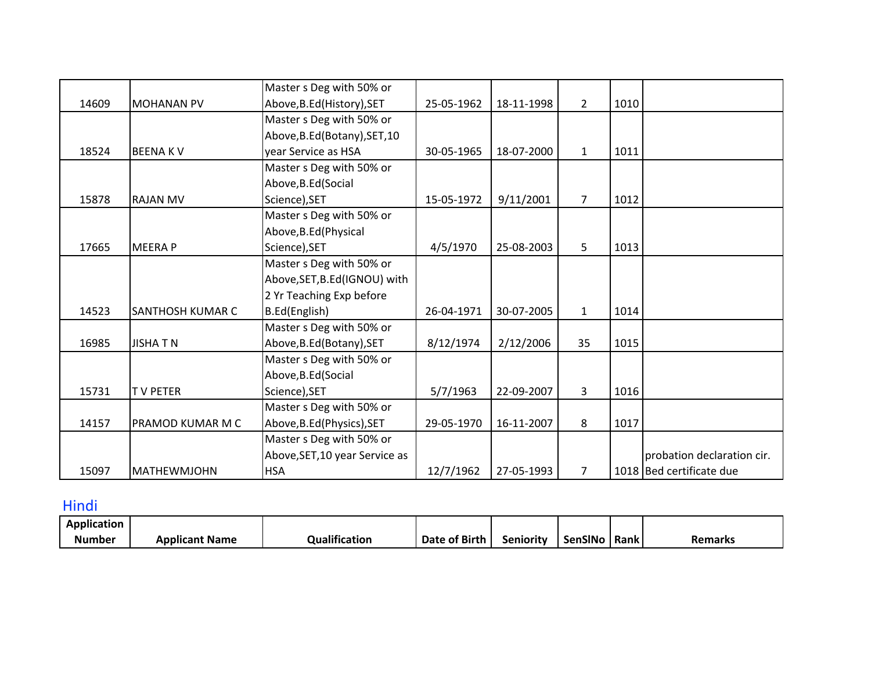|       |                         | Master s Deg with 50% or       |            |            |                |      |                            |
|-------|-------------------------|--------------------------------|------------|------------|----------------|------|----------------------------|
| 14609 | <b>MOHANAN PV</b>       | Above, B.Ed (History), SET     | 25-05-1962 | 18-11-1998 | $\overline{2}$ | 1010 |                            |
|       |                         | Master s Deg with 50% or       |            |            |                |      |                            |
|       |                         | Above, B.Ed (Botany), SET, 10  |            |            |                |      |                            |
| 18524 | <b>BEENAKV</b>          | year Service as HSA            | 30-05-1965 | 18-07-2000 | $\mathbf{1}$   | 1011 |                            |
|       |                         | Master s Deg with 50% or       |            |            |                |      |                            |
|       |                         | Above, B.Ed (Social            |            |            |                |      |                            |
| 15878 | <b>RAJAN MV</b>         | Science), SET                  | 15-05-1972 | 9/11/2001  | $\overline{7}$ | 1012 |                            |
|       |                         | Master s Deg with 50% or       |            |            |                |      |                            |
|       |                         | Above, B.Ed (Physical          |            |            |                |      |                            |
| 17665 | <b>MEERAP</b>           | Science), SET                  | 4/5/1970   | 25-08-2003 | 5              | 1013 |                            |
|       |                         | Master s Deg with 50% or       |            |            |                |      |                            |
|       |                         | Above, SET, B.Ed (IGNOU) with  |            |            |                |      |                            |
|       |                         | 2 Yr Teaching Exp before       |            |            |                |      |                            |
| 14523 | <b>SANTHOSH KUMAR C</b> | B.Ed(English)                  | 26-04-1971 | 30-07-2005 | $\mathbf{1}$   | 1014 |                            |
|       |                         | Master s Deg with 50% or       |            |            |                |      |                            |
| 16985 | <b>JISHATN</b>          | Above, B.Ed (Botany), SET      | 8/12/1974  | 2/12/2006  | 35             | 1015 |                            |
|       |                         | Master s Deg with 50% or       |            |            |                |      |                            |
|       |                         | Above, B.Ed (Social            |            |            |                |      |                            |
| 15731 | <b>TV PETER</b>         | Science), SET                  | 5/7/1963   | 22-09-2007 | 3              | 1016 |                            |
|       |                         | Master s Deg with 50% or       |            |            |                |      |                            |
| 14157 | PRAMOD KUMAR M C        | Above, B.Ed (Physics), SET     | 29-05-1970 | 16-11-2007 | 8              | 1017 |                            |
|       |                         | Master s Deg with 50% or       |            |            |                |      |                            |
|       |                         | Above, SET, 10 year Service as |            |            |                |      | probation declaration cir. |
| 15097 | <b>MATHEWMJOHN</b>      | <b>HSA</b>                     | 12/7/1962  | 27-05-1993 | $\overline{7}$ |      | 1018 Bed certificate due   |

Hindi

| <b>Application</b>             |                |                          |               |           |         |      |         |
|--------------------------------|----------------|--------------------------|---------------|-----------|---------|------|---------|
| $\sim$ $\sim$ $\sim$<br>Number | Applicant Name | <br><b>Qualification</b> | Date of Birth | Senioritv | SenSINo | Rank | 'emarks |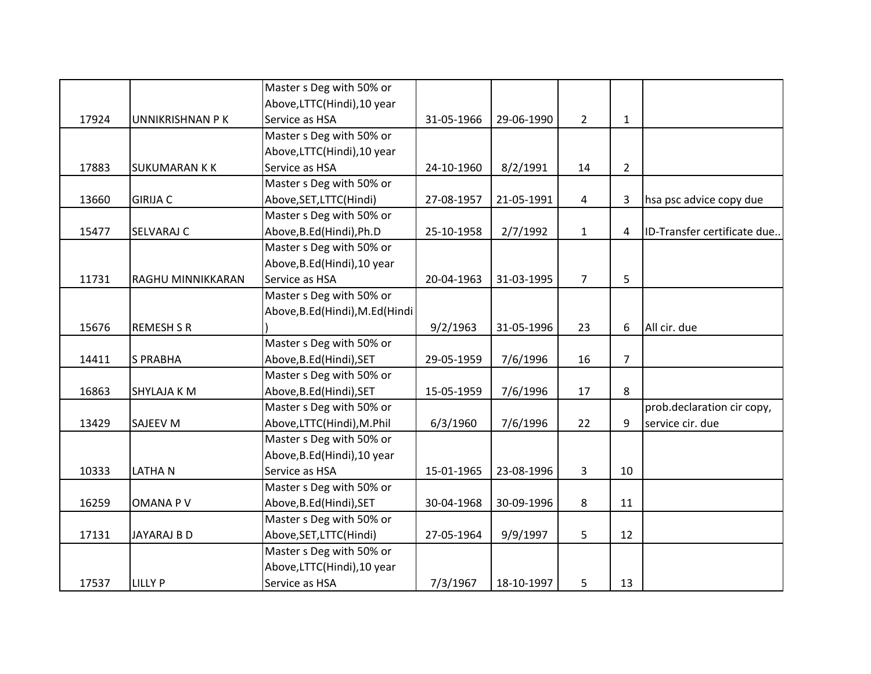|       |                      | Master s Deg with 50% or          |            |            |              |                |                             |
|-------|----------------------|-----------------------------------|------------|------------|--------------|----------------|-----------------------------|
|       |                      | Above, LTTC(Hindi), 10 year       |            |            |              |                |                             |
| 17924 | UNNIKRISHNAN P K     | Service as HSA                    | 31-05-1966 | 29-06-1990 | $2^{\circ}$  | $\mathbf{1}$   |                             |
|       |                      | Master s Deg with 50% or          |            |            |              |                |                             |
|       |                      | Above, LTTC(Hindi), 10 year       |            |            |              |                |                             |
| 17883 | <b>SUKUMARAN K K</b> | Service as HSA                    | 24-10-1960 | 8/2/1991   | 14           | $\overline{2}$ |                             |
|       |                      | Master s Deg with 50% or          |            |            |              |                |                             |
| 13660 | <b>GIRIJA C</b>      | Above, SET, LTTC(Hindi)           | 27-08-1957 | 21-05-1991 | 4            | 3              | hsa psc advice copy due     |
|       |                      | Master s Deg with 50% or          |            |            |              |                |                             |
| 15477 | <b>SELVARAJ C</b>    | Above, B.Ed(Hindi), Ph.D          | 25-10-1958 | 2/7/1992   | $\mathbf{1}$ | $\overline{4}$ | ID-Transfer certificate due |
|       |                      | Master s Deg with 50% or          |            |            |              |                |                             |
|       |                      | Above, B.Ed (Hindi), 10 year      |            |            |              |                |                             |
| 11731 | RAGHU MINNIKKARAN    | Service as HSA                    | 20-04-1963 | 31-03-1995 | 7            | 5              |                             |
|       |                      | Master s Deg with 50% or          |            |            |              |                |                             |
|       |                      | Above, B.Ed (Hindi), M.Ed (Hindi) |            |            |              |                |                             |
| 15676 | <b>REMESH S R</b>    |                                   | 9/2/1963   | 31-05-1996 | 23           | 6              | All cir. due                |
|       |                      | Master s Deg with 50% or          |            |            |              |                |                             |
| 14411 | <b>S PRABHA</b>      | Above, B.Ed (Hindi), SET          | 29-05-1959 | 7/6/1996   | 16           | $\overline{7}$ |                             |
|       |                      | Master s Deg with 50% or          |            |            |              |                |                             |
| 16863 | <b>SHYLAJA K M</b>   | Above, B.Ed (Hindi), SET          | 15-05-1959 | 7/6/1996   | 17           | 8              |                             |
|       |                      | Master s Deg with 50% or          |            |            |              |                | prob.declaration cir copy,  |
| 13429 | <b>SAJEEV M</b>      | Above,LTTC(Hindi),M.Phil          | 6/3/1960   | 7/6/1996   | 22           | 9              | service cir. due            |
|       |                      | Master s Deg with 50% or          |            |            |              |                |                             |
|       |                      | Above, B.Ed (Hindi), 10 year      |            |            |              |                |                             |
| 10333 | <b>LATHAN</b>        | Service as HSA                    | 15-01-1965 | 23-08-1996 | 3            | 10             |                             |
|       |                      | Master s Deg with 50% or          |            |            |              |                |                             |
| 16259 | OMANA P V            | Above, B.Ed (Hindi), SET          | 30-04-1968 | 30-09-1996 | 8            | 11             |                             |
|       |                      | Master s Deg with 50% or          |            |            |              |                |                             |
| 17131 | JAYARAJ B D          | Above, SET, LTTC(Hindi)           | 27-05-1964 | 9/9/1997   | 5            | 12             |                             |
|       |                      | Master s Deg with 50% or          |            |            |              |                |                             |
|       |                      | Above, LTTC(Hindi), 10 year       |            |            |              |                |                             |
| 17537 | <b>LILLY P</b>       | Service as HSA                    | 7/3/1967   | 18-10-1997 | 5            | 13             |                             |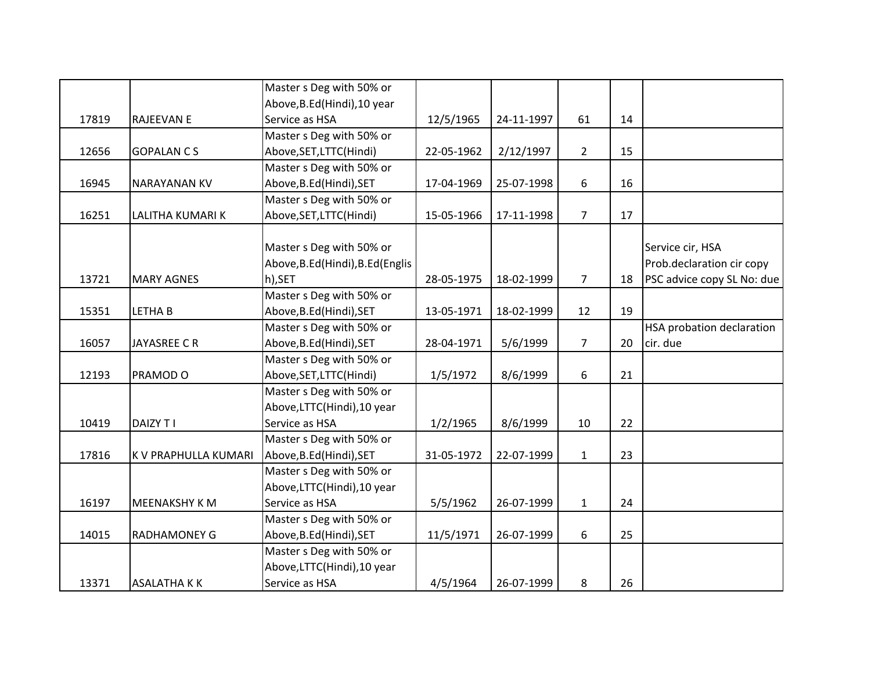|       |                      | Master s Deg with 50% or          |            |            |                |    |                            |
|-------|----------------------|-----------------------------------|------------|------------|----------------|----|----------------------------|
|       |                      | Above, B.Ed (Hindi), 10 year      |            |            |                |    |                            |
| 17819 | <b>RAJEEVAN E</b>    | Service as HSA                    | 12/5/1965  | 24-11-1997 | 61             | 14 |                            |
|       |                      | Master s Deg with 50% or          |            |            |                |    |                            |
| 12656 | <b>GOPALAN CS</b>    | Above, SET, LTTC(Hindi)           | 22-05-1962 | 2/12/1997  | $2^{\circ}$    | 15 |                            |
|       |                      | Master s Deg with 50% or          |            |            |                |    |                            |
| 16945 | <b>NARAYANAN KV</b>  | Above, B.Ed (Hindi), SET          | 17-04-1969 | 25-07-1998 | 6              | 16 |                            |
|       |                      | Master s Deg with 50% or          |            |            |                |    |                            |
| 16251 | LALITHA KUMARI K     | Above, SET, LTTC(Hindi)           | 15-05-1966 | 17-11-1998 | $\overline{7}$ | 17 |                            |
|       |                      |                                   |            |            |                |    |                            |
|       |                      | Master s Deg with 50% or          |            |            |                |    | Service cir, HSA           |
|       |                      | Above, B.Ed (Hindi), B.Ed (Englis |            |            |                |    | Prob.declaration cir copy  |
| 13721 | <b>MARY AGNES</b>    | h),SET                            | 28-05-1975 | 18-02-1999 | $\overline{7}$ | 18 | PSC advice copy SL No: due |
|       |                      | Master s Deg with 50% or          |            |            |                |    |                            |
| 15351 | <b>LETHAB</b>        | Above, B.Ed (Hindi), SET          | 13-05-1971 | 18-02-1999 | 12             | 19 |                            |
|       |                      | Master s Deg with 50% or          |            |            |                |    | HSA probation declaration  |
| 16057 | <b>JAYASREE C R</b>  | Above, B.Ed (Hindi), SET          | 28-04-1971 | 5/6/1999   | $\overline{7}$ | 20 | cir. due                   |
|       |                      | Master s Deg with 50% or          |            |            |                |    |                            |
| 12193 | PRAMOD O             | Above, SET, LTTC(Hindi)           | 1/5/1972   | 8/6/1999   | 6              | 21 |                            |
|       |                      | Master s Deg with 50% or          |            |            |                |    |                            |
|       |                      | Above, LTTC(Hindi), 10 year       |            |            |                |    |                            |
| 10419 | <b>DAIZY T I</b>     | Service as HSA                    | 1/2/1965   | 8/6/1999   | 10             | 22 |                            |
|       |                      | Master s Deg with 50% or          |            |            |                |    |                            |
| 17816 | K V PRAPHULLA KUMARI | Above, B.Ed (Hindi), SET          | 31-05-1972 | 22-07-1999 | $\mathbf{1}$   | 23 |                            |
|       |                      | Master s Deg with 50% or          |            |            |                |    |                            |
|       |                      | Above, LTTC(Hindi), 10 year       |            |            |                |    |                            |
| 16197 | <b>MEENAKSHY K M</b> | Service as HSA                    | 5/5/1962   | 26-07-1999 | $\mathbf{1}$   | 24 |                            |
|       |                      | Master s Deg with 50% or          |            |            |                |    |                            |
| 14015 | <b>RADHAMONEY G</b>  | Above, B.Ed (Hindi), SET          | 11/5/1971  | 26-07-1999 | 6              | 25 |                            |
|       |                      | Master s Deg with 50% or          |            |            |                |    |                            |
|       |                      | Above, LTTC(Hindi), 10 year       |            |            |                |    |                            |
| 13371 | <b>ASALATHAKK</b>    | Service as HSA                    | 4/5/1964   | 26-07-1999 | 8              | 26 |                            |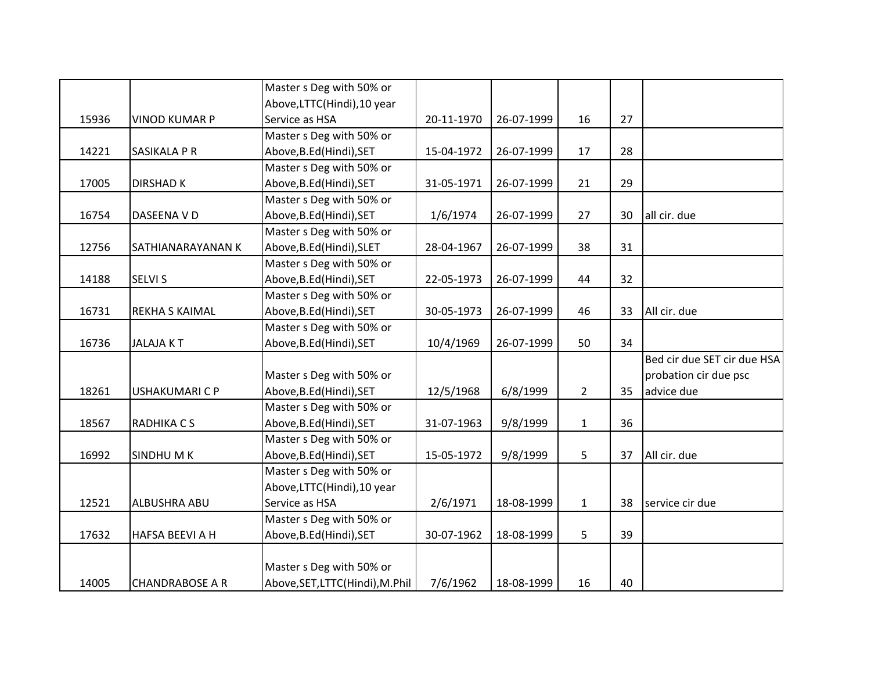|       |                        | Master s Deg with 50% or        |            |            |                |    |                             |
|-------|------------------------|---------------------------------|------------|------------|----------------|----|-----------------------------|
|       |                        | Above, LTTC(Hindi), 10 year     |            |            |                |    |                             |
| 15936 | <b>VINOD KUMAR P</b>   | Service as HSA                  | 20-11-1970 | 26-07-1999 | 16             | 27 |                             |
|       |                        | Master s Deg with 50% or        |            |            |                |    |                             |
| 14221 | <b>SASIKALA P R</b>    | Above, B.Ed (Hindi), SET        | 15-04-1972 | 26-07-1999 | 17             | 28 |                             |
|       |                        | Master s Deg with 50% or        |            |            |                |    |                             |
| 17005 | <b>DIRSHAD K</b>       | Above, B.Ed (Hindi), SET        | 31-05-1971 | 26-07-1999 | 21             | 29 |                             |
|       |                        | Master s Deg with 50% or        |            |            |                |    |                             |
| 16754 | DASEENA V D            | Above, B.Ed (Hindi), SET        | 1/6/1974   | 26-07-1999 | 27             | 30 | all cir. due                |
|       |                        | Master s Deg with 50% or        |            |            |                |    |                             |
| 12756 | SATHIANARAYANAN K      | Above, B.Ed (Hindi), SLET       | 28-04-1967 | 26-07-1999 | 38             | 31 |                             |
|       |                        | Master s Deg with 50% or        |            |            |                |    |                             |
| 14188 | <b>SELVI S</b>         | Above, B.Ed (Hindi), SET        | 22-05-1973 | 26-07-1999 | 44             | 32 |                             |
|       |                        | Master s Deg with 50% or        |            |            |                |    |                             |
| 16731 | <b>REKHA S KAIMAL</b>  | Above, B.Ed (Hindi), SET        | 30-05-1973 | 26-07-1999 | 46             | 33 | All cir. due                |
|       |                        | Master s Deg with 50% or        |            |            |                |    |                             |
| 16736 | <b>JALAJAKT</b>        | Above, B.Ed (Hindi), SET        | 10/4/1969  | 26-07-1999 | 50             | 34 |                             |
|       |                        |                                 |            |            |                |    | Bed cir due SET cir due HSA |
|       |                        | Master s Deg with 50% or        |            |            |                |    | probation cir due psc       |
| 18261 | <b>USHAKUMARI C P</b>  | Above, B.Ed (Hindi), SET        | 12/5/1968  | 6/8/1999   | $\overline{2}$ | 35 | advice due                  |
|       |                        | Master s Deg with 50% or        |            |            |                |    |                             |
| 18567 | RADHIKA C S            | Above, B.Ed (Hindi), SET        | 31-07-1963 | 9/8/1999   | $\mathbf{1}$   | 36 |                             |
|       |                        | Master s Deg with 50% or        |            |            |                |    |                             |
| 16992 | <b>SINDHUMK</b>        | Above, B.Ed (Hindi), SET        | 15-05-1972 | 9/8/1999   | 5              | 37 | All cir. due                |
|       |                        | Master s Deg with 50% or        |            |            |                |    |                             |
|       |                        | Above, LTTC(Hindi), 10 year     |            |            |                |    |                             |
| 12521 | <b>ALBUSHRA ABU</b>    | Service as HSA                  | 2/6/1971   | 18-08-1999 | $\mathbf{1}$   | 38 | service cir due             |
|       |                        | Master s Deg with 50% or        |            |            |                |    |                             |
| 17632 | <b>HAFSA BEEVI A H</b> | Above, B.Ed (Hindi), SET        | 30-07-1962 | 18-08-1999 | 5              | 39 |                             |
|       |                        |                                 |            |            |                |    |                             |
|       |                        | Master s Deg with 50% or        |            |            |                |    |                             |
| 14005 | <b>CHANDRABOSE A R</b> | Above, SET, LTTC(Hindi), M.Phil | 7/6/1962   | 18-08-1999 | 16             | 40 |                             |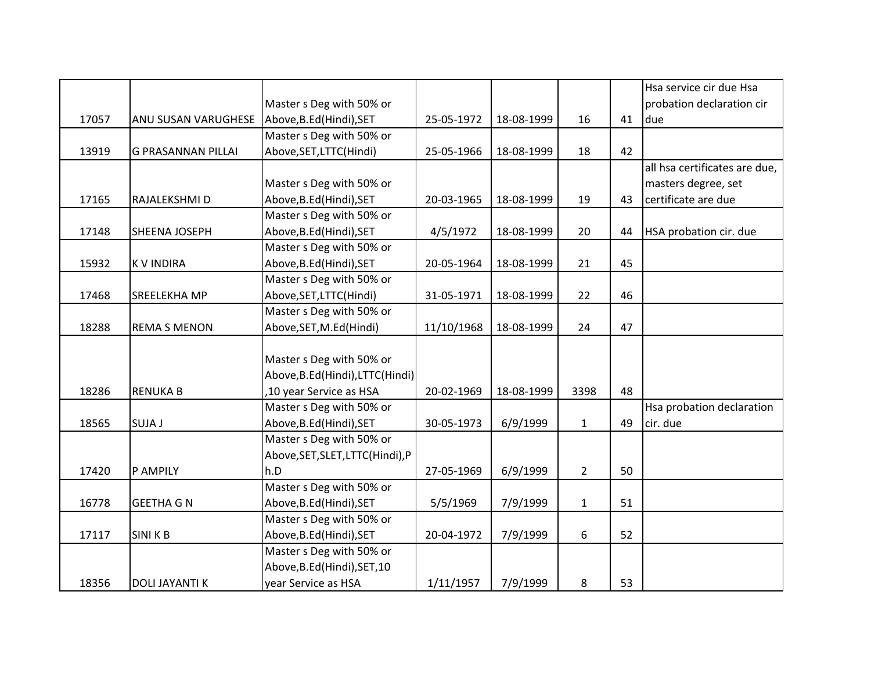|       |                           |                                  |            |            |                |    | Hsa service cir due Hsa       |
|-------|---------------------------|----------------------------------|------------|------------|----------------|----|-------------------------------|
|       |                           | Master s Deg with 50% or         |            |            |                |    | probation declaration cir     |
| 17057 | ANU SUSAN VARUGHESE       | Above, B.Ed (Hindi), SET         | 25-05-1972 | 18-08-1999 | 16             | 41 | due                           |
|       |                           | Master s Deg with 50% or         |            |            |                |    |                               |
| 13919 | <b>G PRASANNAN PILLAI</b> | Above, SET, LTTC(Hindi)          | 25-05-1966 | 18-08-1999 | 18             | 42 |                               |
|       |                           |                                  |            |            |                |    | all hsa certificates are due, |
|       |                           | Master s Deg with 50% or         |            |            |                |    | masters degree, set           |
| 17165 | RAJALEKSHMI D             | Above, B.Ed (Hindi), SET         | 20-03-1965 | 18-08-1999 | 19             | 43 | certificate are due           |
|       |                           | Master s Deg with 50% or         |            |            |                |    |                               |
| 17148 | SHEENA JOSEPH             | Above, B.Ed (Hindi), SET         | 4/5/1972   | 18-08-1999 | 20             | 44 | HSA probation cir. due        |
|       |                           | Master s Deg with 50% or         |            |            |                |    |                               |
| 15932 | <b>KVINDIRA</b>           | Above, B.Ed (Hindi), SET         | 20-05-1964 | 18-08-1999 | 21             | 45 |                               |
|       |                           | Master s Deg with 50% or         |            |            |                |    |                               |
| 17468 | <b>SREELEKHA MP</b>       | Above, SET, LTTC(Hindi)          | 31-05-1971 | 18-08-1999 | 22             | 46 |                               |
|       |                           | Master s Deg with 50% or         |            |            |                |    |                               |
| 18288 | <b>REMA S MENON</b>       | Above, SET, M.Ed (Hindi)         | 11/10/1968 | 18-08-1999 | 24             | 47 |                               |
|       |                           |                                  |            |            |                |    |                               |
|       |                           | Master s Deg with 50% or         |            |            |                |    |                               |
|       |                           | Above, B.Ed(Hindi), LTTC(Hindi)  |            |            |                |    |                               |
| 18286 | <b>RENUKA B</b>           | ,10 year Service as HSA          | 20-02-1969 | 18-08-1999 | 3398           | 48 |                               |
|       |                           | Master s Deg with 50% or         |            |            |                |    | Hsa probation declaration     |
| 18565 | <b>SUJA J</b>             | Above, B.Ed (Hindi), SET         | 30-05-1973 | 6/9/1999   | $\mathbf{1}$   | 49 | cir. due                      |
|       |                           | Master s Deg with 50% or         |            |            |                |    |                               |
|       |                           | Above, SET, SLET, LTTC(Hindi), P |            |            |                |    |                               |
| 17420 | P AMPILY                  | h.D                              | 27-05-1969 | 6/9/1999   | $\overline{2}$ | 50 |                               |
|       |                           | Master s Deg with 50% or         |            |            |                |    |                               |
| 16778 | <b>GEETHA G N</b>         | Above, B.Ed (Hindi), SET         | 5/5/1969   | 7/9/1999   | $\mathbf{1}$   | 51 |                               |
|       |                           | Master s Deg with 50% or         |            |            |                |    |                               |
| 17117 | <b>SINIKB</b>             | Above, B.Ed (Hindi), SET         | 20-04-1972 | 7/9/1999   | 6              | 52 |                               |
|       |                           | Master s Deg with 50% or         |            |            |                |    |                               |
|       |                           | Above, B.Ed (Hindi), SET, 10     |            |            |                |    |                               |
| 18356 | <b>DOLI JAYANTI K</b>     | year Service as HSA              | 1/11/1957  | 7/9/1999   | 8              | 53 |                               |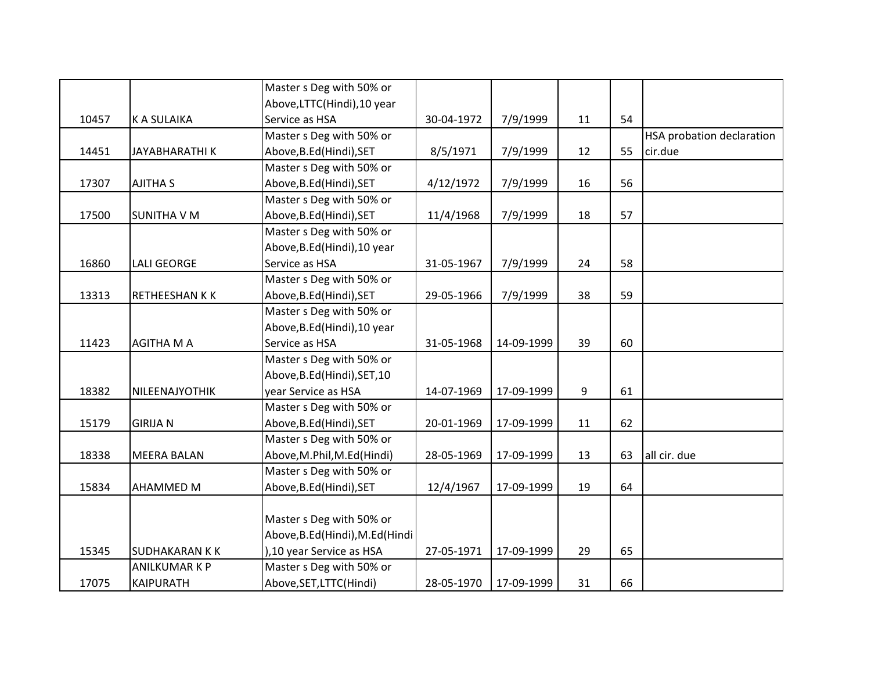|       |                       | Master s Deg with 50% or         |            |            |    |    |                                  |
|-------|-----------------------|----------------------------------|------------|------------|----|----|----------------------------------|
|       |                       | Above, LTTC(Hindi), 10 year      |            |            |    |    |                                  |
| 10457 | <b>K A SULAIKA</b>    | Service as HSA                   | 30-04-1972 | 7/9/1999   | 11 | 54 |                                  |
|       |                       | Master s Deg with 50% or         |            |            |    |    | <b>HSA probation declaration</b> |
| 14451 | <b>JAYABHARATHIK</b>  | Above, B.Ed (Hindi), SET         | 8/5/1971   | 7/9/1999   | 12 | 55 | cir.due                          |
|       |                       | Master s Deg with 50% or         |            |            |    |    |                                  |
| 17307 | <b>AJITHA S</b>       | Above, B.Ed (Hindi), SET         | 4/12/1972  | 7/9/1999   | 16 | 56 |                                  |
|       |                       | Master s Deg with 50% or         |            |            |    |    |                                  |
| 17500 | <b>SUNITHA V M</b>    | Above, B.Ed (Hindi), SET         | 11/4/1968  | 7/9/1999   | 18 | 57 |                                  |
|       |                       | Master s Deg with 50% or         |            |            |    |    |                                  |
|       |                       | Above, B.Ed (Hindi), 10 year     |            |            |    |    |                                  |
| 16860 | <b>LALI GEORGE</b>    | Service as HSA                   | 31-05-1967 | 7/9/1999   | 24 | 58 |                                  |
|       |                       | Master s Deg with 50% or         |            |            |    |    |                                  |
| 13313 | RETHEESHAN K K        | Above, B.Ed (Hindi), SET         | 29-05-1966 | 7/9/1999   | 38 | 59 |                                  |
|       |                       | Master s Deg with 50% or         |            |            |    |    |                                  |
|       |                       | Above, B.Ed (Hindi), 10 year     |            |            |    |    |                                  |
| 11423 | AGITHA M A            | Service as HSA                   | 31-05-1968 | 14-09-1999 | 39 | 60 |                                  |
|       |                       | Master s Deg with 50% or         |            |            |    |    |                                  |
|       |                       | Above, B.Ed (Hindi), SET, 10     |            |            |    |    |                                  |
| 18382 | NILEENAJYOTHIK        | year Service as HSA              | 14-07-1969 | 17-09-1999 | 9  | 61 |                                  |
|       |                       | Master s Deg with 50% or         |            |            |    |    |                                  |
| 15179 | <b>GIRIJA N</b>       | Above, B.Ed (Hindi), SET         | 20-01-1969 | 17-09-1999 | 11 | 62 |                                  |
|       |                       | Master s Deg with 50% or         |            |            |    |    |                                  |
| 18338 | <b>MEERA BALAN</b>    | Above, M.Phil, M.Ed (Hindi)      | 28-05-1969 | 17-09-1999 | 13 | 63 | all cir. due                     |
|       |                       | Master s Deg with 50% or         |            |            |    |    |                                  |
| 15834 | AHAMMED M             | Above, B.Ed (Hindi), SET         | 12/4/1967  | 17-09-1999 | 19 | 64 |                                  |
|       |                       |                                  |            |            |    |    |                                  |
|       |                       | Master s Deg with 50% or         |            |            |    |    |                                  |
|       |                       | Above, B.Ed (Hindi), M.Ed (Hindi |            |            |    |    |                                  |
| 15345 | <b>SUDHAKARAN K K</b> | ), 10 year Service as HSA        | 27-05-1971 | 17-09-1999 | 29 | 65 |                                  |
|       | <b>ANILKUMARKP</b>    | Master s Deg with 50% or         |            |            |    |    |                                  |
| 17075 | <b>KAIPURATH</b>      | Above, SET, LTTC (Hindi)         | 28-05-1970 | 17-09-1999 | 31 | 66 |                                  |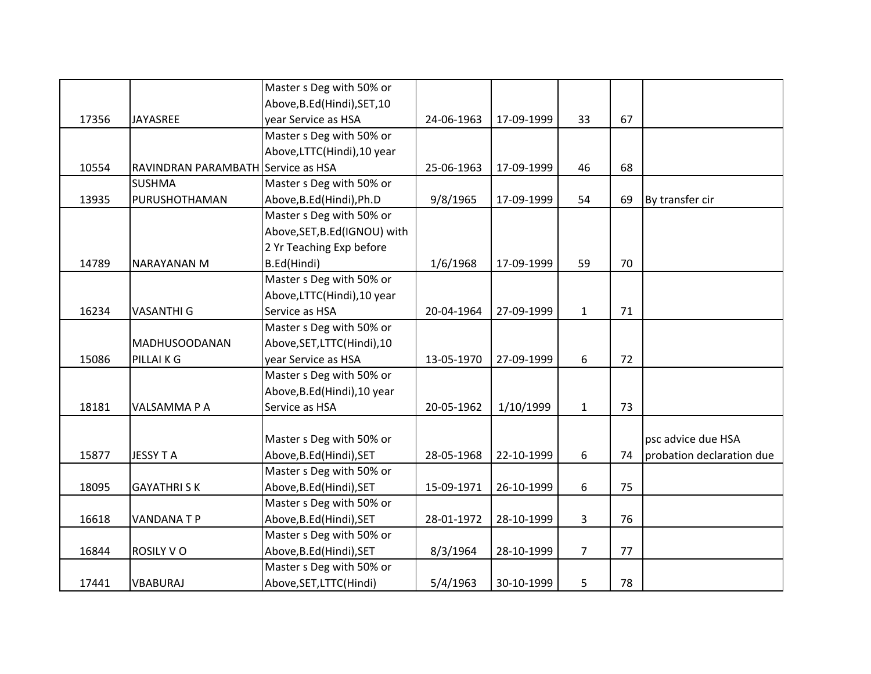|       |                                    | Master s Deg with 50% or      |            |            |                |    |                           |
|-------|------------------------------------|-------------------------------|------------|------------|----------------|----|---------------------------|
|       |                                    | Above, B.Ed (Hindi), SET, 10  |            |            |                |    |                           |
| 17356 | JAYASREE                           | year Service as HSA           | 24-06-1963 | 17-09-1999 | 33             | 67 |                           |
|       |                                    | Master s Deg with 50% or      |            |            |                |    |                           |
|       |                                    | Above,LTTC(Hindi),10 year     |            |            |                |    |                           |
| 10554 | RAVINDRAN PARAMBATH Service as HSA |                               | 25-06-1963 | 17-09-1999 | 46             | 68 |                           |
|       | <b>SUSHMA</b>                      | Master s Deg with 50% or      |            |            |                |    |                           |
| 13935 | PURUSHOTHAMAN                      | Above, B.Ed (Hindi), Ph.D     | 9/8/1965   | 17-09-1999 | 54             | 69 | By transfer cir           |
|       |                                    | Master s Deg with 50% or      |            |            |                |    |                           |
|       |                                    | Above, SET, B.Ed (IGNOU) with |            |            |                |    |                           |
|       |                                    | 2 Yr Teaching Exp before      |            |            |                |    |                           |
| 14789 | <b>NARAYANAN M</b>                 | B.Ed(Hindi)                   | 1/6/1968   | 17-09-1999 | 59             | 70 |                           |
|       |                                    | Master s Deg with 50% or      |            |            |                |    |                           |
|       |                                    | Above, LTTC(Hindi), 10 year   |            |            |                |    |                           |
| 16234 | <b>VASANTHI G</b>                  | Service as HSA                | 20-04-1964 | 27-09-1999 | $\mathbf{1}$   | 71 |                           |
|       |                                    | Master s Deg with 50% or      |            |            |                |    |                           |
|       | <b>MADHUSOODANAN</b>               | Above, SET, LTTC(Hindi), 10   |            |            |                |    |                           |
| 15086 | PILLAI K G                         | year Service as HSA           | 13-05-1970 | 27-09-1999 | 6              | 72 |                           |
|       |                                    | Master s Deg with 50% or      |            |            |                |    |                           |
|       |                                    | Above, B.Ed (Hindi), 10 year  |            |            |                |    |                           |
| 18181 | VALSAMMA P A                       | Service as HSA                | 20-05-1962 | 1/10/1999  | $\mathbf{1}$   | 73 |                           |
|       |                                    |                               |            |            |                |    |                           |
|       |                                    | Master s Deg with 50% or      |            |            |                |    | psc advice due HSA        |
| 15877 | <b>JESSY TA</b>                    | Above, B.Ed (Hindi), SET      | 28-05-1968 | 22-10-1999 | 6              | 74 | probation declaration due |
|       |                                    | Master s Deg with 50% or      |            |            |                |    |                           |
| 18095 | <b>GAYATHRISK</b>                  | Above, B.Ed (Hindi), SET      | 15-09-1971 | 26-10-1999 | 6              | 75 |                           |
|       |                                    | Master s Deg with 50% or      |            |            |                |    |                           |
| 16618 | <b>VANDANATP</b>                   | Above, B.Ed (Hindi), SET      | 28-01-1972 | 28-10-1999 | 3              | 76 |                           |
|       |                                    | Master s Deg with 50% or      |            |            |                |    |                           |
| 16844 | <b>ROSILY VO</b>                   | Above, B.Ed (Hindi), SET      | 8/3/1964   | 28-10-1999 | $\overline{7}$ | 77 |                           |
|       |                                    | Master s Deg with 50% or      |            |            |                |    |                           |
| 17441 | VBABURAJ                           | Above, SET, LTTC(Hindi)       | 5/4/1963   | 30-10-1999 | 5              | 78 |                           |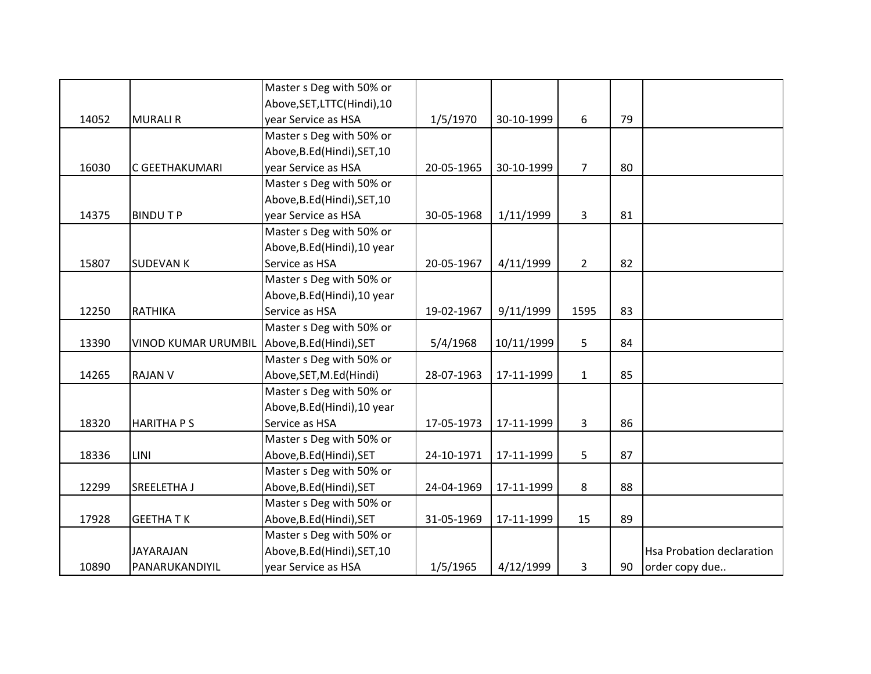|       |                            | Master s Deg with 50% or     |            |            |                |    |                                  |
|-------|----------------------------|------------------------------|------------|------------|----------------|----|----------------------------------|
|       |                            | Above, SET, LTTC(Hindi), 10  |            |            |                |    |                                  |
| 14052 | <b>MURALI R</b>            | year Service as HSA          | 1/5/1970   | 30-10-1999 | 6              | 79 |                                  |
|       |                            | Master s Deg with 50% or     |            |            |                |    |                                  |
|       |                            | Above, B.Ed (Hindi), SET, 10 |            |            |                |    |                                  |
| 16030 | C GEETHAKUMARI             | year Service as HSA          | 20-05-1965 | 30-10-1999 | 7 <sup>1</sup> | 80 |                                  |
|       |                            | Master s Deg with 50% or     |            |            |                |    |                                  |
|       |                            | Above, B.Ed (Hindi), SET, 10 |            |            |                |    |                                  |
| 14375 | <b>BINDUTP</b>             | year Service as HSA          | 30-05-1968 | 1/11/1999  | 3              | 81 |                                  |
|       |                            | Master s Deg with 50% or     |            |            |                |    |                                  |
|       |                            | Above, B.Ed (Hindi), 10 year |            |            |                |    |                                  |
| 15807 | <b>SUDEVAN K</b>           | Service as HSA               | 20-05-1967 | 4/11/1999  | $\overline{2}$ | 82 |                                  |
|       |                            | Master s Deg with 50% or     |            |            |                |    |                                  |
|       |                            | Above, B.Ed (Hindi), 10 year |            |            |                |    |                                  |
| 12250 | RATHIKA                    | Service as HSA               | 19-02-1967 | 9/11/1999  | 1595           | 83 |                                  |
|       |                            | Master s Deg with 50% or     |            |            |                |    |                                  |
| 13390 | <b>VINOD KUMAR URUMBIL</b> | Above, B.Ed (Hindi), SET     | 5/4/1968   | 10/11/1999 | 5              | 84 |                                  |
|       |                            | Master s Deg with 50% or     |            |            |                |    |                                  |
| 14265 | <b>RAJAN V</b>             | Above, SET, M.Ed (Hindi)     | 28-07-1963 | 17-11-1999 | $\mathbf{1}$   | 85 |                                  |
|       |                            | Master s Deg with 50% or     |            |            |                |    |                                  |
|       |                            | Above, B.Ed (Hindi), 10 year |            |            |                |    |                                  |
| 18320 | <b>HARITHA PS</b>          | Service as HSA               | 17-05-1973 | 17-11-1999 | 3              | 86 |                                  |
|       |                            | Master s Deg with 50% or     |            |            |                |    |                                  |
| 18336 | <b>LINI</b>                | Above, B.Ed (Hindi), SET     | 24-10-1971 | 17-11-1999 | 5              | 87 |                                  |
|       |                            | Master s Deg with 50% or     |            |            |                |    |                                  |
| 12299 | SREELETHA J                | Above, B.Ed (Hindi), SET     | 24-04-1969 | 17-11-1999 | 8              | 88 |                                  |
|       |                            | Master s Deg with 50% or     |            |            |                |    |                                  |
| 17928 | <b>GEETHATK</b>            | Above, B.Ed (Hindi), SET     | 31-05-1969 | 17-11-1999 | 15             | 89 |                                  |
|       |                            | Master s Deg with 50% or     |            |            |                |    |                                  |
|       | JAYARAJAN                  | Above, B.Ed (Hindi), SET, 10 |            |            |                |    | <b>Hsa Probation declaration</b> |
| 10890 | PANARUKANDIYIL             | year Service as HSA          | 1/5/1965   | 4/12/1999  | 3              | 90 | order copy due                   |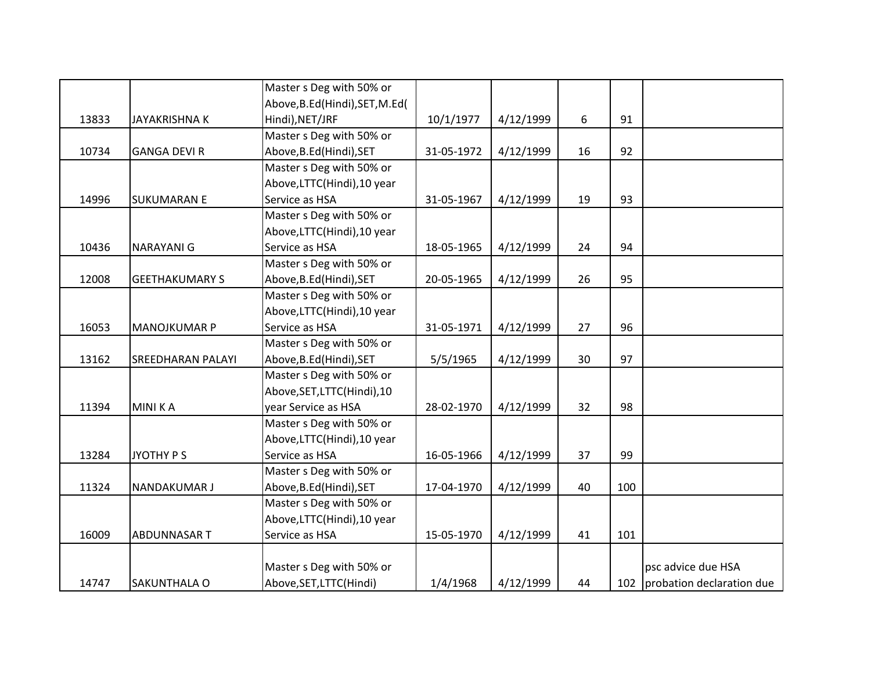|       |                          | Master s Deg with 50% or         |            |           |    |     |                               |
|-------|--------------------------|----------------------------------|------------|-----------|----|-----|-------------------------------|
|       |                          | Above, B.Ed (Hindi), SET, M.Ed ( |            |           |    |     |                               |
| 13833 | <b>JAYAKRISHNA K</b>     | Hindi), NET/JRF                  | 10/1/1977  | 4/12/1999 | 6  | 91  |                               |
|       |                          | Master s Deg with 50% or         |            |           |    |     |                               |
| 10734 | <b>GANGA DEVI R</b>      | Above, B.Ed (Hindi), SET         | 31-05-1972 | 4/12/1999 | 16 | 92  |                               |
|       |                          | Master s Deg with 50% or         |            |           |    |     |                               |
|       |                          | Above, LTTC(Hindi), 10 year      |            |           |    |     |                               |
| 14996 | <b>SUKUMARAN E</b>       | Service as HSA                   | 31-05-1967 | 4/12/1999 | 19 | 93  |                               |
|       |                          | Master s Deg with 50% or         |            |           |    |     |                               |
|       |                          | Above, LTTC(Hindi), 10 year      |            |           |    |     |                               |
| 10436 | <b>NARAYANI G</b>        | Service as HSA                   | 18-05-1965 | 4/12/1999 | 24 | 94  |                               |
|       |                          | Master s Deg with 50% or         |            |           |    |     |                               |
| 12008 | <b>GEETHAKUMARY S</b>    | Above, B.Ed (Hindi), SET         | 20-05-1965 | 4/12/1999 | 26 | 95  |                               |
|       |                          | Master s Deg with 50% or         |            |           |    |     |                               |
|       |                          | Above, LTTC(Hindi), 10 year      |            |           |    |     |                               |
| 16053 | <b>MANOJKUMAR P</b>      | Service as HSA                   | 31-05-1971 | 4/12/1999 | 27 | 96  |                               |
|       |                          | Master s Deg with 50% or         |            |           |    |     |                               |
| 13162 | <b>SREEDHARAN PALAYI</b> | Above, B.Ed (Hindi), SET         | 5/5/1965   | 4/12/1999 | 30 | 97  |                               |
|       |                          | Master s Deg with 50% or         |            |           |    |     |                               |
|       |                          | Above, SET, LTTC(Hindi), 10      |            |           |    |     |                               |
| 11394 | <b>MINIKA</b>            | year Service as HSA              | 28-02-1970 | 4/12/1999 | 32 | 98  |                               |
|       |                          | Master s Deg with 50% or         |            |           |    |     |                               |
|       |                          | Above,LTTC(Hindi),10 year        |            |           |    |     |                               |
| 13284 | JYOTHY P S               | Service as HSA                   | 16-05-1966 | 4/12/1999 | 37 | 99  |                               |
|       |                          | Master s Deg with 50% or         |            |           |    |     |                               |
| 11324 | <b>NANDAKUMAR J</b>      | Above, B.Ed (Hindi), SET         | 17-04-1970 | 4/12/1999 | 40 | 100 |                               |
|       |                          | Master s Deg with 50% or         |            |           |    |     |                               |
|       |                          | Above, LTTC(Hindi), 10 year      |            |           |    |     |                               |
| 16009 | <b>ABDUNNASART</b>       | Service as HSA                   | 15-05-1970 | 4/12/1999 | 41 | 101 |                               |
|       |                          |                                  |            |           |    |     |                               |
|       |                          | Master s Deg with 50% or         |            |           |    |     | psc advice due HSA            |
| 14747 | SAKUNTHALA O             | Above, SET, LTTC(Hindi)          | 1/4/1968   | 4/12/1999 | 44 |     | 102 probation declaration due |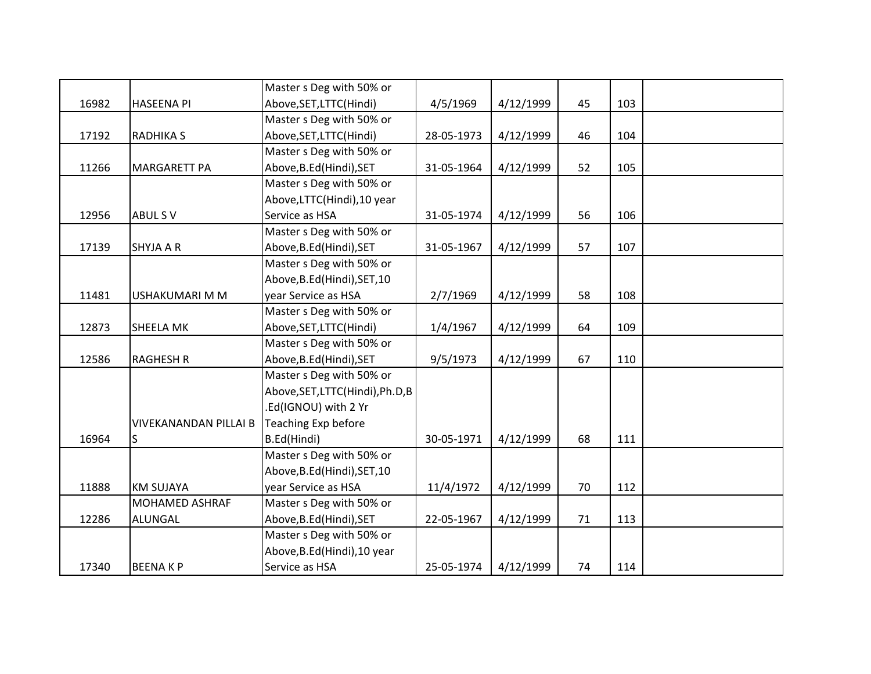|       |                              | Master s Deg with 50% or         |            |           |    |     |  |
|-------|------------------------------|----------------------------------|------------|-----------|----|-----|--|
| 16982 | <b>HASEENA PI</b>            | Above, SET, LTTC(Hindi)          | 4/5/1969   | 4/12/1999 | 45 | 103 |  |
|       |                              | Master s Deg with 50% or         |            |           |    |     |  |
| 17192 | <b>RADHIKA S</b>             | Above, SET, LTTC(Hindi)          | 28-05-1973 | 4/12/1999 | 46 | 104 |  |
|       |                              | Master s Deg with 50% or         |            |           |    |     |  |
| 11266 | <b>MARGARETT PA</b>          | Above, B.Ed (Hindi), SET         | 31-05-1964 | 4/12/1999 | 52 | 105 |  |
|       |                              | Master s Deg with 50% or         |            |           |    |     |  |
|       |                              | Above, LTTC(Hindi), 10 year      |            |           |    |     |  |
| 12956 | ABUL SV                      | Service as HSA                   | 31-05-1974 | 4/12/1999 | 56 | 106 |  |
|       |                              | Master s Deg with 50% or         |            |           |    |     |  |
| 17139 | <b>SHYJA A R</b>             | Above, B.Ed (Hindi), SET         | 31-05-1967 | 4/12/1999 | 57 | 107 |  |
|       |                              | Master s Deg with 50% or         |            |           |    |     |  |
|       |                              | Above, B.Ed (Hindi), SET, 10     |            |           |    |     |  |
| 11481 | USHAKUMARI M M               | year Service as HSA              | 2/7/1969   | 4/12/1999 | 58 | 108 |  |
|       |                              | Master s Deg with 50% or         |            |           |    |     |  |
| 12873 | <b>SHEELA MK</b>             | Above, SET, LTTC(Hindi)          | 1/4/1967   | 4/12/1999 | 64 | 109 |  |
|       |                              | Master s Deg with 50% or         |            |           |    |     |  |
| 12586 | <b>RAGHESH R</b>             | Above, B.Ed (Hindi), SET         | 9/5/1973   | 4/12/1999 | 67 | 110 |  |
|       |                              | Master s Deg with 50% or         |            |           |    |     |  |
|       |                              | Above, SET, LTTC(Hindi), Ph.D, B |            |           |    |     |  |
|       |                              | .Ed(IGNOU) with 2 Yr             |            |           |    |     |  |
|       | <b>VIVEKANANDAN PILLAI B</b> | Teaching Exp before              |            |           |    |     |  |
| 16964 | S.                           | B.Ed(Hindi)                      | 30-05-1971 | 4/12/1999 | 68 | 111 |  |
|       |                              | Master s Deg with 50% or         |            |           |    |     |  |
|       |                              | Above, B.Ed (Hindi), SET, 10     |            |           |    |     |  |
| 11888 | <b>KM SUJAYA</b>             | year Service as HSA              | 11/4/1972  | 4/12/1999 | 70 | 112 |  |
|       | MOHAMED ASHRAF               | Master s Deg with 50% or         |            |           |    |     |  |
| 12286 | <b>ALUNGAL</b>               | Above, B.Ed(Hindi), SET          | 22-05-1967 | 4/12/1999 | 71 | 113 |  |
|       |                              | Master s Deg with 50% or         |            |           |    |     |  |
|       |                              | Above, B.Ed (Hindi), 10 year     |            |           |    |     |  |
| 17340 | <b>BEENAKP</b>               | Service as HSA                   | 25-05-1974 | 4/12/1999 | 74 | 114 |  |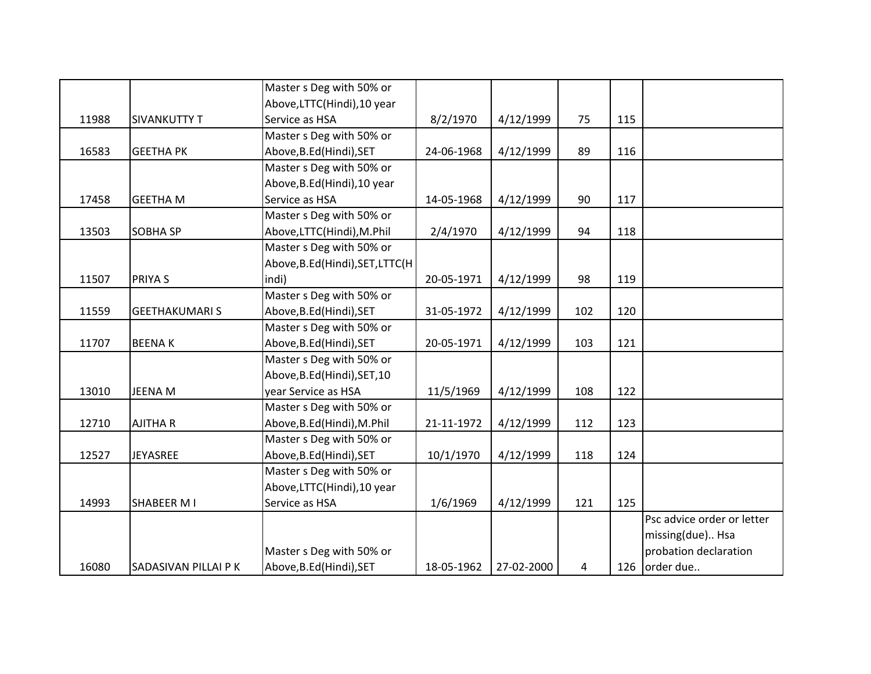|       |                      | Master s Deg with 50% or          |            |            |     |     |                            |
|-------|----------------------|-----------------------------------|------------|------------|-----|-----|----------------------------|
|       |                      | Above, LTTC(Hindi), 10 year       |            |            |     |     |                            |
| 11988 | <b>SIVANKUTTY T</b>  | Service as HSA                    | 8/2/1970   | 4/12/1999  | 75  | 115 |                            |
|       |                      | Master s Deg with 50% or          |            |            |     |     |                            |
| 16583 | <b>GEETHA PK</b>     | Above, B.Ed (Hindi), SET          | 24-06-1968 | 4/12/1999  | 89  | 116 |                            |
|       |                      | Master s Deg with 50% or          |            |            |     |     |                            |
|       |                      | Above, B.Ed (Hindi), 10 year      |            |            |     |     |                            |
| 17458 | <b>GEETHA M</b>      | Service as HSA                    | 14-05-1968 | 4/12/1999  | 90  | 117 |                            |
|       |                      | Master s Deg with 50% or          |            |            |     |     |                            |
| 13503 | <b>SOBHA SP</b>      | Above,LTTC(Hindi),M.Phil          | 2/4/1970   | 4/12/1999  | 94  | 118 |                            |
|       |                      | Master s Deg with 50% or          |            |            |     |     |                            |
|       |                      | Above, B.Ed (Hindi), SET, LTTC (H |            |            |     |     |                            |
| 11507 | PRIYA S              | indi)                             | 20-05-1971 | 4/12/1999  | 98  | 119 |                            |
|       |                      | Master s Deg with 50% or          |            |            |     |     |                            |
| 11559 | <b>GEETHAKUMARIS</b> | Above, B.Ed (Hindi), SET          | 31-05-1972 | 4/12/1999  | 102 | 120 |                            |
|       |                      | Master s Deg with 50% or          |            |            |     |     |                            |
| 11707 | <b>BEENAK</b>        | Above, B.Ed (Hindi), SET          | 20-05-1971 | 4/12/1999  | 103 | 121 |                            |
|       |                      | Master s Deg with 50% or          |            |            |     |     |                            |
|       |                      | Above, B.Ed (Hindi), SET, 10      |            |            |     |     |                            |
| 13010 | JEENA M              | year Service as HSA               | 11/5/1969  | 4/12/1999  | 108 | 122 |                            |
|       |                      | Master s Deg with 50% or          |            |            |     |     |                            |
| 12710 | <b>AJITHA R</b>      | Above, B.Ed (Hindi), M.Phil       | 21-11-1972 | 4/12/1999  | 112 | 123 |                            |
|       |                      | Master s Deg with 50% or          |            |            |     |     |                            |
| 12527 | JEYASREE             | Above, B.Ed (Hindi), SET          | 10/1/1970  | 4/12/1999  | 118 | 124 |                            |
|       |                      | Master s Deg with 50% or          |            |            |     |     |                            |
|       |                      | Above, LTTC(Hindi), 10 year       |            |            |     |     |                            |
| 14993 | <b>SHABEER MI</b>    | Service as HSA                    | 1/6/1969   | 4/12/1999  | 121 | 125 |                            |
|       |                      |                                   |            |            |     |     | Psc advice order or letter |
|       |                      |                                   |            |            |     |     | missing(due) Hsa           |
|       |                      | Master s Deg with 50% or          |            |            |     |     | probation declaration      |
| 16080 | SADASIVAN PILLAI P K | Above, B.Ed (Hindi), SET          | 18-05-1962 | 27-02-2000 | 4   | 126 | order due                  |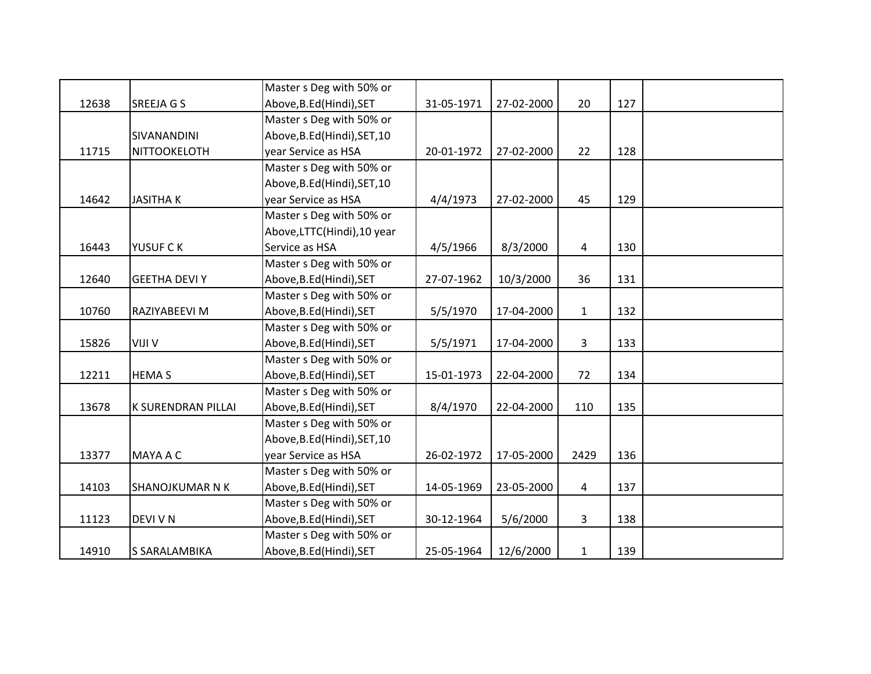|       |                        | Master s Deg with 50% or     |            |            |                |     |  |
|-------|------------------------|------------------------------|------------|------------|----------------|-----|--|
| 12638 | SREEJA G S             | Above, B.Ed (Hindi), SET     | 31-05-1971 | 27-02-2000 | 20             | 127 |  |
|       |                        | Master s Deg with 50% or     |            |            |                |     |  |
|       | SIVANANDINI            | Above, B.Ed (Hindi), SET, 10 |            |            |                |     |  |
| 11715 | NITTOOKELOTH           | year Service as HSA          | 20-01-1972 | 27-02-2000 | 22             | 128 |  |
|       |                        | Master s Deg with 50% or     |            |            |                |     |  |
|       |                        | Above, B.Ed (Hindi), SET, 10 |            |            |                |     |  |
| 14642 | <b>JASITHAK</b>        | year Service as HSA          | 4/4/1973   | 27-02-2000 | 45             | 129 |  |
|       |                        | Master s Deg with 50% or     |            |            |                |     |  |
|       |                        | Above, LTTC(Hindi), 10 year  |            |            |                |     |  |
| 16443 | YUSUF C K              | Service as HSA               | 4/5/1966   | 8/3/2000   | 4              | 130 |  |
|       |                        | Master s Deg with 50% or     |            |            |                |     |  |
| 12640 | <b>GEETHA DEVI Y</b>   | Above, B.Ed (Hindi), SET     | 27-07-1962 | 10/3/2000  | 36             | 131 |  |
|       |                        | Master s Deg with 50% or     |            |            |                |     |  |
| 10760 | RAZIYABEEVI M          | Above, B.Ed (Hindi), SET     | 5/5/1970   | 17-04-2000 | $\mathbf{1}$   | 132 |  |
|       |                        | Master s Deg with 50% or     |            |            |                |     |  |
| 15826 | VIJI V                 | Above, B.Ed (Hindi), SET     | 5/5/1971   | 17-04-2000 | 3              | 133 |  |
|       |                        | Master s Deg with 50% or     |            |            |                |     |  |
| 12211 | <b>HEMAS</b>           | Above, B.Ed (Hindi), SET     | 15-01-1973 | 22-04-2000 | 72             | 134 |  |
|       |                        | Master s Deg with 50% or     |            |            |                |     |  |
| 13678 | K SURENDRAN PILLAI     | Above, B.Ed (Hindi), SET     | 8/4/1970   | 22-04-2000 | 110            | 135 |  |
|       |                        | Master s Deg with 50% or     |            |            |                |     |  |
|       |                        | Above, B.Ed (Hindi), SET, 10 |            |            |                |     |  |
| 13377 | MAYA A C               | year Service as HSA          | 26-02-1972 | 17-05-2000 | 2429           | 136 |  |
|       |                        | Master s Deg with 50% or     |            |            |                |     |  |
| 14103 | <b>SHANOJKUMAR N K</b> | Above, B.Ed (Hindi), SET     | 14-05-1969 | 23-05-2000 | $\overline{4}$ | 137 |  |
|       |                        | Master s Deg with 50% or     |            |            |                |     |  |
| 11123 | DEVI V N               | Above, B.Ed (Hindi), SET     | 30-12-1964 | 5/6/2000   | 3              | 138 |  |
|       |                        | Master s Deg with 50% or     |            |            |                |     |  |
| 14910 | S SARALAMBIKA          | Above, B.Ed (Hindi), SET     | 25-05-1964 | 12/6/2000  | $\mathbf{1}$   | 139 |  |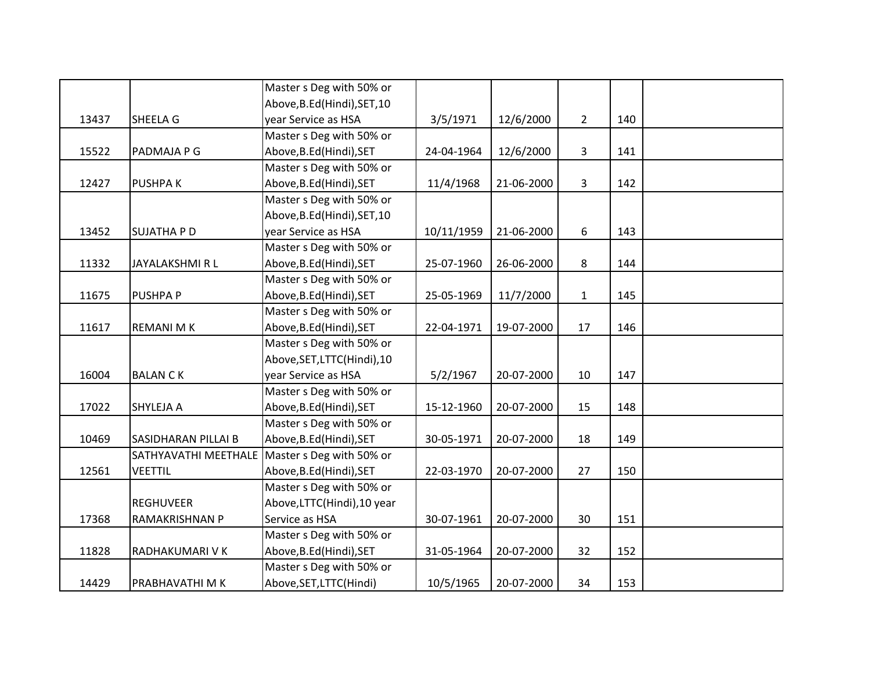|       |                            | Master s Deg with 50% or                      |            |            |              |     |  |
|-------|----------------------------|-----------------------------------------------|------------|------------|--------------|-----|--|
|       |                            | Above, B.Ed (Hindi), SET, 10                  |            |            |              |     |  |
| 13437 | SHEELA G                   | year Service as HSA                           | 3/5/1971   | 12/6/2000  | $2^{\circ}$  | 140 |  |
|       |                            | Master s Deg with 50% or                      |            |            |              |     |  |
| 15522 | PADMAJA P G                | Above, B.Ed (Hindi), SET                      | 24-04-1964 | 12/6/2000  | 3            | 141 |  |
|       |                            | Master s Deg with 50% or                      |            |            |              |     |  |
| 12427 | <b>PUSHPAK</b>             | Above, B.Ed (Hindi), SET                      | 11/4/1968  | 21-06-2000 | 3            | 142 |  |
|       |                            | Master s Deg with 50% or                      |            |            |              |     |  |
|       |                            | Above, B.Ed (Hindi), SET, 10                  |            |            |              |     |  |
| 13452 | <b>SUJATHA P D</b>         | year Service as HSA                           | 10/11/1959 | 21-06-2000 | 6            | 143 |  |
|       |                            | Master s Deg with 50% or                      |            |            |              |     |  |
| 11332 | JAYALAKSHMI R L            | Above, B.Ed (Hindi), SET                      | 25-07-1960 | 26-06-2000 | 8            | 144 |  |
|       |                            | Master s Deg with 50% or                      |            |            |              |     |  |
| 11675 | PUSHPA P                   | Above, B.Ed (Hindi), SET                      | 25-05-1969 | 11/7/2000  | $\mathbf{1}$ | 145 |  |
|       |                            | Master s Deg with 50% or                      |            |            |              |     |  |
| 11617 | <b>REMANI MK</b>           | Above, B.Ed (Hindi), SET                      | 22-04-1971 | 19-07-2000 | 17           | 146 |  |
|       |                            | Master s Deg with 50% or                      |            |            |              |     |  |
|       |                            | Above, SET, LTTC(Hindi), 10                   |            |            |              |     |  |
| 16004 | <b>BALAN CK</b>            | year Service as HSA                           | 5/2/1967   | 20-07-2000 | 10           | 147 |  |
|       |                            | Master s Deg with 50% or                      |            |            |              |     |  |
| 17022 | SHYLEJA A                  | Above, B.Ed (Hindi), SET                      | 15-12-1960 | 20-07-2000 | 15           | 148 |  |
|       |                            | Master s Deg with 50% or                      |            |            |              |     |  |
| 10469 | <b>SASIDHARAN PILLAI B</b> | Above, B.Ed (Hindi), SET                      | 30-05-1971 | 20-07-2000 | 18           | 149 |  |
|       |                            | SATHYAVATHI MEETHALE Master s Deg with 50% or |            |            |              |     |  |
| 12561 | <b>VEETTIL</b>             | Above, B.Ed (Hindi), SET                      | 22-03-1970 | 20-07-2000 | 27           | 150 |  |
|       |                            | Master s Deg with 50% or                      |            |            |              |     |  |
|       | <b>REGHUVEER</b>           | Above, LTTC(Hindi), 10 year                   |            |            |              |     |  |
| 17368 | RAMAKRISHNAN P             | Service as HSA                                | 30-07-1961 | 20-07-2000 | 30           | 151 |  |
|       |                            | Master s Deg with 50% or                      |            |            |              |     |  |
| 11828 | RADHAKUMARI V K            | Above, B.Ed (Hindi), SET                      | 31-05-1964 | 20-07-2000 | 32           | 152 |  |
|       |                            | Master s Deg with 50% or                      |            |            |              |     |  |
| 14429 | PRABHAVATHI M K            | Above, SET, LTTC(Hindi)                       | 10/5/1965  | 20-07-2000 | 34           | 153 |  |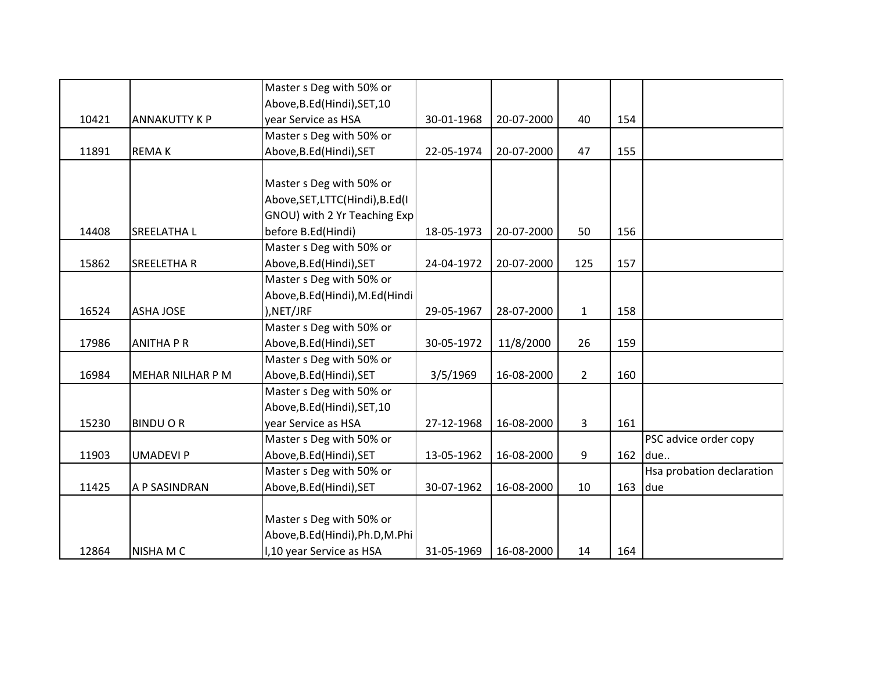|       |                      | Master s Deg with 50% or         |            |            |                |     |                           |
|-------|----------------------|----------------------------------|------------|------------|----------------|-----|---------------------------|
|       |                      | Above, B.Ed (Hindi), SET, 10     |            |            |                |     |                           |
| 10421 | <b>ANNAKUTTY K P</b> | year Service as HSA              | 30-01-1968 | 20-07-2000 | 40             | 154 |                           |
|       |                      | Master s Deg with 50% or         |            |            |                |     |                           |
| 11891 | <b>REMAK</b>         | Above, B.Ed (Hindi), SET         | 22-05-1974 | 20-07-2000 | 47             | 155 |                           |
|       |                      |                                  |            |            |                |     |                           |
|       |                      | Master s Deg with 50% or         |            |            |                |     |                           |
|       |                      | Above, SET, LTTC(Hindi), B.Ed(I  |            |            |                |     |                           |
|       |                      | GNOU) with 2 Yr Teaching Exp     |            |            |                |     |                           |
| 14408 | SREELATHA L          | before B.Ed(Hindi)               | 18-05-1973 | 20-07-2000 | 50             | 156 |                           |
|       |                      | Master s Deg with 50% or         |            |            |                |     |                           |
| 15862 | SREELETHA R          | Above, B.Ed (Hindi), SET         | 24-04-1972 | 20-07-2000 | 125            | 157 |                           |
|       |                      | Master s Deg with 50% or         |            |            |                |     |                           |
|       |                      | Above, B.Ed (Hindi), M.Ed (Hindi |            |            |                |     |                           |
| 16524 | <b>ASHA JOSE</b>     | ), NET/JRF                       | 29-05-1967 | 28-07-2000 | $\mathbf{1}$   | 158 |                           |
|       |                      | Master s Deg with 50% or         |            |            |                |     |                           |
| 17986 | <b>ANITHA P R</b>    | Above, B.Ed (Hindi), SET         | 30-05-1972 | 11/8/2000  | 26             | 159 |                           |
|       |                      | Master s Deg with 50% or         |            |            |                |     |                           |
| 16984 | MEHAR NILHAR P M     | Above, B.Ed (Hindi), SET         | 3/5/1969   | 16-08-2000 | $\overline{2}$ | 160 |                           |
|       |                      | Master s Deg with 50% or         |            |            |                |     |                           |
|       |                      | Above, B.Ed (Hindi), SET, 10     |            |            |                |     |                           |
| 15230 | <b>BINDUOR</b>       | year Service as HSA              | 27-12-1968 | 16-08-2000 | $\mathbf{3}$   | 161 |                           |
|       |                      | Master s Deg with 50% or         |            |            |                |     | PSC advice order copy     |
| 11903 | <b>UMADEVI P</b>     | Above, B.Ed (Hindi), SET         | 13-05-1962 | 16-08-2000 | 9              | 162 | due                       |
|       |                      | Master s Deg with 50% or         |            |            |                |     | Hsa probation declaration |
| 11425 | A P SASINDRAN        | Above, B.Ed (Hindi), SET         | 30-07-1962 | 16-08-2000 | 10             | 163 | due                       |
|       |                      |                                  |            |            |                |     |                           |
|       |                      | Master s Deg with 50% or         |            |            |                |     |                           |
|       |                      | Above, B.Ed (Hindi), Ph.D, M.Phi |            |            |                |     |                           |
| 12864 | NISHA M C            | I,10 year Service as HSA         | 31-05-1969 | 16-08-2000 | 14             | 164 |                           |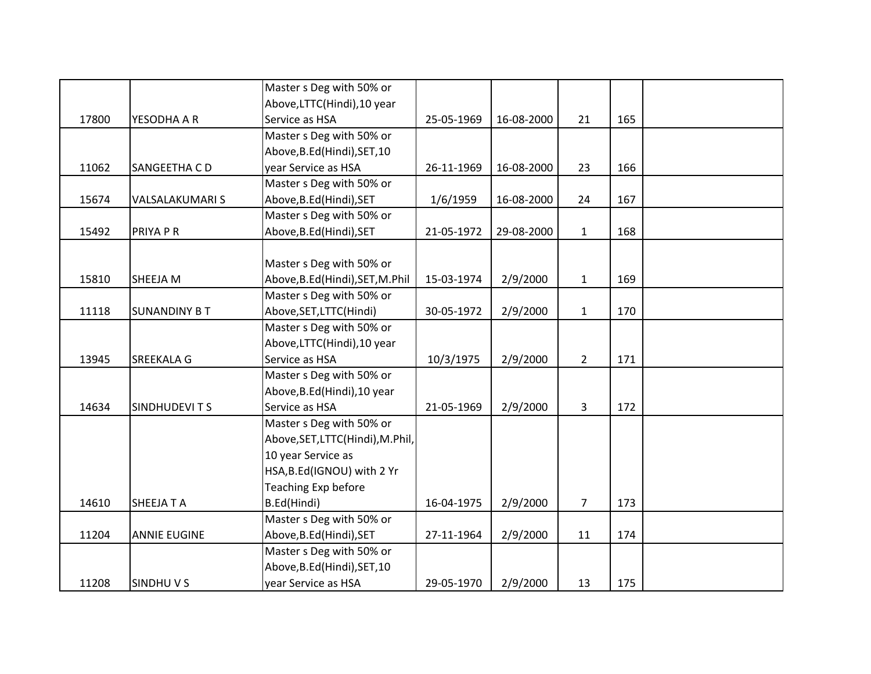|       |                        | Master s Deg with 50% or         |            |            |                |     |  |
|-------|------------------------|----------------------------------|------------|------------|----------------|-----|--|
|       |                        | Above, LTTC(Hindi), 10 year      |            |            |                |     |  |
| 17800 | YESODHA A R            | Service as HSA                   | 25-05-1969 | 16-08-2000 | 21             | 165 |  |
|       |                        | Master s Deg with 50% or         |            |            |                |     |  |
|       |                        | Above, B.Ed (Hindi), SET, 10     |            |            |                |     |  |
| 11062 | SANGEETHA CD           | year Service as HSA              | 26-11-1969 | 16-08-2000 | 23             | 166 |  |
|       |                        | Master s Deg with 50% or         |            |            |                |     |  |
| 15674 | <b>VALSALAKUMARI S</b> | Above, B.Ed (Hindi), SET         | 1/6/1959   | 16-08-2000 | 24             | 167 |  |
|       |                        | Master s Deg with 50% or         |            |            |                |     |  |
| 15492 | PRIYA P R              | Above, B.Ed (Hindi), SET         | 21-05-1972 | 29-08-2000 | $\mathbf{1}$   | 168 |  |
|       |                        |                                  |            |            |                |     |  |
|       |                        | Master s Deg with 50% or         |            |            |                |     |  |
| 15810 | SHEEJA M               | Above, B.Ed (Hindi), SET, M.Phil | 15-03-1974 | 2/9/2000   | $\mathbf{1}$   | 169 |  |
|       |                        | Master s Deg with 50% or         |            |            |                |     |  |
| 11118 | <b>SUNANDINY B T</b>   | Above, SET, LTTC(Hindi)          | 30-05-1972 | 2/9/2000   | $\mathbf{1}$   | 170 |  |
|       |                        | Master s Deg with 50% or         |            |            |                |     |  |
|       |                        | Above,LTTC(Hindi),10 year        |            |            |                |     |  |
| 13945 | <b>SREEKALA G</b>      | Service as HSA                   | 10/3/1975  | 2/9/2000   | $2^{\circ}$    | 171 |  |
|       |                        | Master s Deg with 50% or         |            |            |                |     |  |
|       |                        | Above, B.Ed (Hindi), 10 year     |            |            |                |     |  |
| 14634 | <b>SINDHUDEVITS</b>    | Service as HSA                   | 21-05-1969 | 2/9/2000   | 3              | 172 |  |
|       |                        | Master s Deg with 50% or         |            |            |                |     |  |
|       |                        | Above, SET, LTTC(Hindi), M.Phil, |            |            |                |     |  |
|       |                        | 10 year Service as               |            |            |                |     |  |
|       |                        | HSA, B.Ed(IGNOU) with 2 Yr       |            |            |                |     |  |
|       |                        | Teaching Exp before              |            |            |                |     |  |
| 14610 | <b>SHEEJATA</b>        | B.Ed(Hindi)                      | 16-04-1975 | 2/9/2000   | $\overline{7}$ | 173 |  |
|       |                        | Master s Deg with 50% or         |            |            |                |     |  |
| 11204 | <b>ANNIE EUGINE</b>    | Above, B.Ed (Hindi), SET         | 27-11-1964 | 2/9/2000   | 11             | 174 |  |
|       |                        | Master s Deg with 50% or         |            |            |                |     |  |
|       |                        | Above, B.Ed (Hindi), SET, 10     |            |            |                |     |  |
| 11208 | SINDHUVS               | year Service as HSA              | 29-05-1970 | 2/9/2000   | 13             | 175 |  |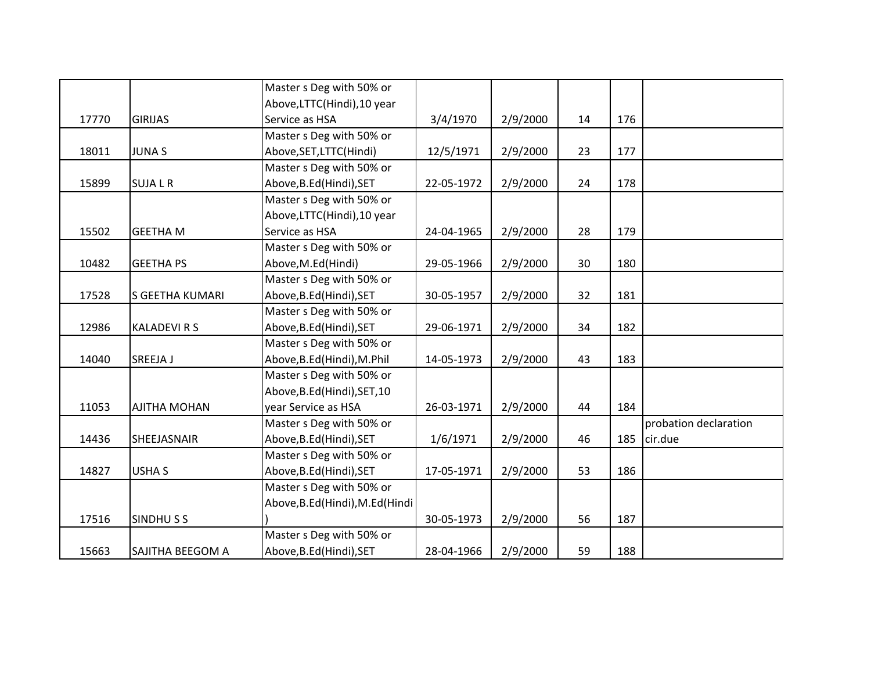|       |                     | Master s Deg with 50% or          |            |          |    |     |                       |
|-------|---------------------|-----------------------------------|------------|----------|----|-----|-----------------------|
|       |                     | Above, LTTC(Hindi), 10 year       |            |          |    |     |                       |
| 17770 | <b>GIRIJAS</b>      | Service as HSA                    | 3/4/1970   | 2/9/2000 | 14 | 176 |                       |
|       |                     | Master s Deg with 50% or          |            |          |    |     |                       |
| 18011 | <b>JUNAS</b>        | Above, SET, LTTC (Hindi)          | 12/5/1971  | 2/9/2000 | 23 | 177 |                       |
|       |                     | Master s Deg with 50% or          |            |          |    |     |                       |
| 15899 | <b>SUJALR</b>       | Above, B.Ed (Hindi), SET          | 22-05-1972 | 2/9/2000 | 24 | 178 |                       |
|       |                     | Master s Deg with 50% or          |            |          |    |     |                       |
|       |                     | Above, LTTC(Hindi), 10 year       |            |          |    |     |                       |
| 15502 | <b>GEETHA M</b>     | Service as HSA                    | 24-04-1965 | 2/9/2000 | 28 | 179 |                       |
|       |                     | Master s Deg with 50% or          |            |          |    |     |                       |
| 10482 | <b>GEETHA PS</b>    | Above, M.Ed(Hindi)                | 29-05-1966 | 2/9/2000 | 30 | 180 |                       |
|       |                     | Master s Deg with 50% or          |            |          |    |     |                       |
| 17528 | S GEETHA KUMARI     | Above, B.Ed (Hindi), SET          | 30-05-1957 | 2/9/2000 | 32 | 181 |                       |
|       |                     | Master s Deg with 50% or          |            |          |    |     |                       |
| 12986 | <b>KALADEVIRS</b>   | Above, B.Ed (Hindi), SET          | 29-06-1971 | 2/9/2000 | 34 | 182 |                       |
|       |                     | Master s Deg with 50% or          |            |          |    |     |                       |
| 14040 | SREEJA J            | Above, B.Ed (Hindi), M.Phil       | 14-05-1973 | 2/9/2000 | 43 | 183 |                       |
|       |                     | Master s Deg with 50% or          |            |          |    |     |                       |
|       |                     | Above, B.Ed (Hindi), SET, 10      |            |          |    |     |                       |
| 11053 | <b>AJITHA MOHAN</b> | year Service as HSA               | 26-03-1971 | 2/9/2000 | 44 | 184 |                       |
|       |                     | Master s Deg with 50% or          |            |          |    |     | probation declaration |
| 14436 | SHEEJASNAIR         | Above, B.Ed (Hindi), SET          | 1/6/1971   | 2/9/2000 | 46 | 185 | cir.due               |
|       |                     | Master s Deg with 50% or          |            |          |    |     |                       |
| 14827 | <b>USHAS</b>        | Above, B.Ed (Hindi), SET          | 17-05-1971 | 2/9/2000 | 53 | 186 |                       |
|       |                     | Master s Deg with 50% or          |            |          |    |     |                       |
|       |                     | Above, B.Ed (Hindi), M.Ed (Hindi) |            |          |    |     |                       |
| 17516 | SINDHUSS            |                                   | 30-05-1973 | 2/9/2000 | 56 | 187 |                       |
|       |                     | Master s Deg with 50% or          |            |          |    |     |                       |
| 15663 | SAJITHA BEEGOM A    | Above, B.Ed (Hindi), SET          | 28-04-1966 | 2/9/2000 | 59 | 188 |                       |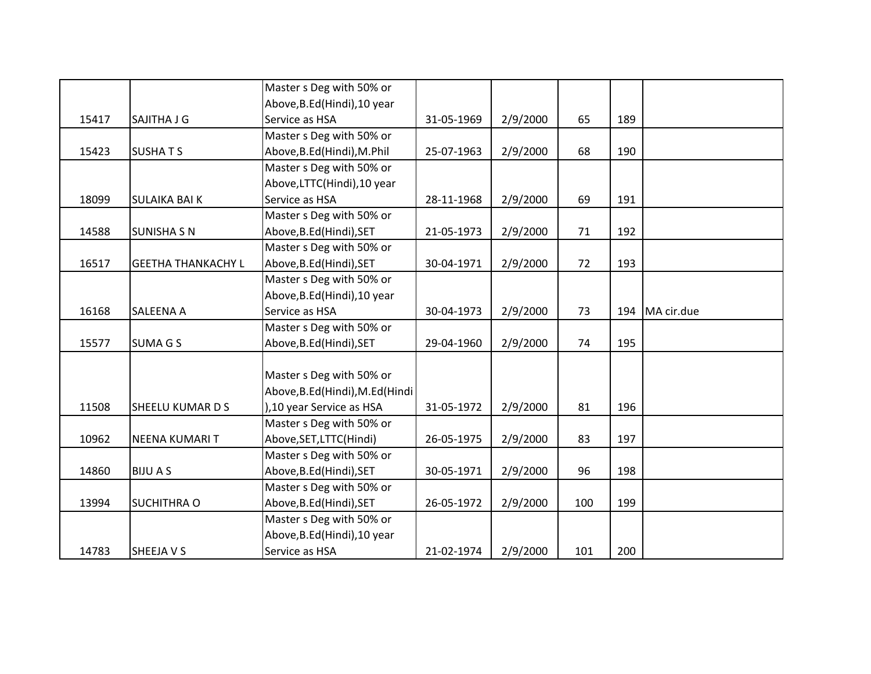|       |                           | Master s Deg with 50% or          |            |          |     |     |            |
|-------|---------------------------|-----------------------------------|------------|----------|-----|-----|------------|
|       |                           | Above, B.Ed (Hindi), 10 year      |            |          |     |     |            |
| 15417 | SAJITHA J G               | Service as HSA                    | 31-05-1969 | 2/9/2000 | 65  | 189 |            |
|       |                           | Master s Deg with 50% or          |            |          |     |     |            |
| 15423 | <b>SUSHATS</b>            | Above, B.Ed (Hindi), M.Phil       | 25-07-1963 | 2/9/2000 | 68  | 190 |            |
|       |                           | Master s Deg with 50% or          |            |          |     |     |            |
|       |                           | Above, LTTC(Hindi), 10 year       |            |          |     |     |            |
| 18099 | <b>SULAIKA BAI K</b>      | Service as HSA                    | 28-11-1968 | 2/9/2000 | 69  | 191 |            |
|       |                           | Master s Deg with 50% or          |            |          |     |     |            |
| 14588 | <b>SUNISHA S N</b>        | Above, B.Ed (Hindi), SET          | 21-05-1973 | 2/9/2000 | 71  | 192 |            |
|       |                           | Master s Deg with 50% or          |            |          |     |     |            |
| 16517 | <b>GEETHA THANKACHY L</b> | Above, B.Ed (Hindi), SET          | 30-04-1971 | 2/9/2000 | 72  | 193 |            |
|       |                           | Master s Deg with 50% or          |            |          |     |     |            |
|       |                           | Above, B.Ed (Hindi), 10 year      |            |          |     |     |            |
| 16168 | SALEENA A                 | Service as HSA                    | 30-04-1973 | 2/9/2000 | 73  | 194 | MA cir.due |
|       |                           | Master s Deg with 50% or          |            |          |     |     |            |
| 15577 | <b>SUMAGS</b>             | Above, B.Ed (Hindi), SET          | 29-04-1960 | 2/9/2000 | 74  | 195 |            |
|       |                           |                                   |            |          |     |     |            |
|       |                           | Master s Deg with 50% or          |            |          |     |     |            |
|       |                           | Above, B.Ed (Hindi), M.Ed (Hindi) |            |          |     |     |            |
| 11508 | SHEELU KUMAR D S          | ), 10 year Service as HSA         | 31-05-1972 | 2/9/2000 | 81  | 196 |            |
|       |                           | Master s Deg with 50% or          |            |          |     |     |            |
| 10962 | NEENA KUMARI T            | Above, SET, LTTC(Hindi)           | 26-05-1975 | 2/9/2000 | 83  | 197 |            |
|       |                           | Master s Deg with 50% or          |            |          |     |     |            |
| 14860 | <b>BIJUAS</b>             | Above, B.Ed (Hindi), SET          | 30-05-1971 | 2/9/2000 | 96  | 198 |            |
|       |                           | Master s Deg with 50% or          |            |          |     |     |            |
| 13994 | <b>SUCHITHRA O</b>        | Above, B.Ed (Hindi), SET          | 26-05-1972 | 2/9/2000 | 100 | 199 |            |
|       |                           | Master s Deg with 50% or          |            |          |     |     |            |
|       |                           | Above, B.Ed (Hindi), 10 year      |            |          |     |     |            |
| 14783 | SHEEJA V S                | Service as HSA                    | 21-02-1974 | 2/9/2000 | 101 | 200 |            |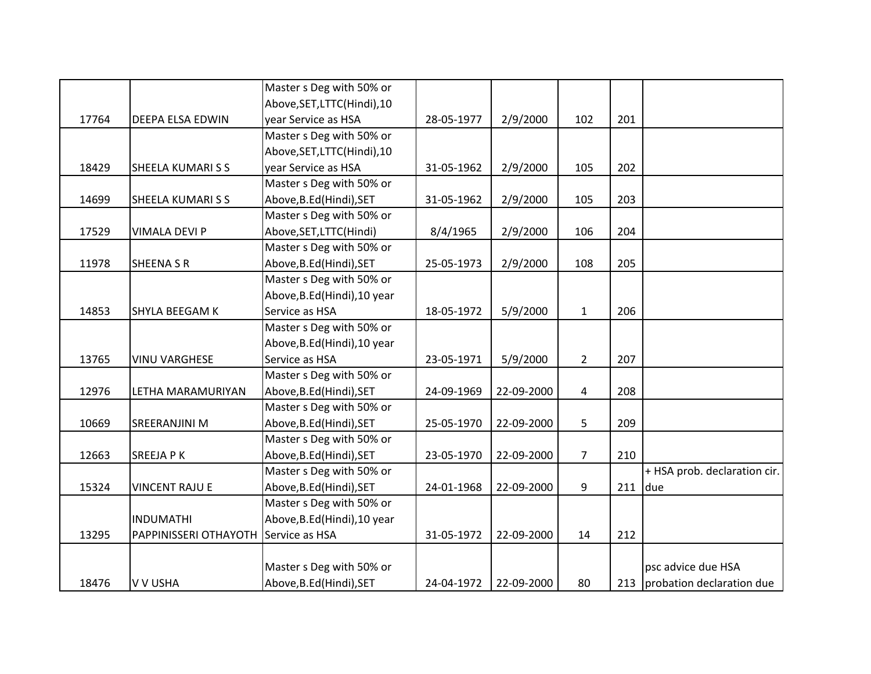|       |                                      | Master s Deg with 50% or     |            |            |                |     |                               |
|-------|--------------------------------------|------------------------------|------------|------------|----------------|-----|-------------------------------|
|       |                                      | Above, SET, LTTC(Hindi), 10  |            |            |                |     |                               |
| 17764 | DEEPA ELSA EDWIN                     | year Service as HSA          | 28-05-1977 | 2/9/2000   | 102            | 201 |                               |
|       |                                      | Master s Deg with 50% or     |            |            |                |     |                               |
|       |                                      | Above, SET, LTTC(Hindi), 10  |            |            |                |     |                               |
| 18429 | SHEELA KUMARI S S                    | year Service as HSA          | 31-05-1962 | 2/9/2000   | 105            | 202 |                               |
|       |                                      | Master s Deg with 50% or     |            |            |                |     |                               |
| 14699 | <b>SHEELA KUMARISS</b>               | Above, B.Ed (Hindi), SET     | 31-05-1962 | 2/9/2000   | 105            | 203 |                               |
|       |                                      | Master s Deg with 50% or     |            |            |                |     |                               |
| 17529 | <b>VIMALA DEVI P</b>                 | Above, SET, LTTC(Hindi)      | 8/4/1965   | 2/9/2000   | 106            | 204 |                               |
|       |                                      | Master s Deg with 50% or     |            |            |                |     |                               |
| 11978 | <b>SHEENA S R</b>                    | Above, B.Ed (Hindi), SET     | 25-05-1973 | 2/9/2000   | 108            | 205 |                               |
|       |                                      | Master s Deg with 50% or     |            |            |                |     |                               |
|       |                                      | Above, B.Ed (Hindi), 10 year |            |            |                |     |                               |
| 14853 | SHYLA BEEGAM K                       | Service as HSA               | 18-05-1972 | 5/9/2000   | $\mathbf{1}$   | 206 |                               |
|       |                                      | Master s Deg with 50% or     |            |            |                |     |                               |
|       |                                      | Above, B.Ed (Hindi), 10 year |            |            |                |     |                               |
| 13765 | <b>VINU VARGHESE</b>                 | Service as HSA               | 23-05-1971 | 5/9/2000   | $\overline{2}$ | 207 |                               |
|       |                                      | Master s Deg with 50% or     |            |            |                |     |                               |
| 12976 | LETHA MARAMURIYAN                    | Above, B.Ed (Hindi), SET     | 24-09-1969 | 22-09-2000 | $\overline{4}$ | 208 |                               |
|       |                                      | Master s Deg with 50% or     |            |            |                |     |                               |
| 10669 | SREERANJINI M                        | Above, B.Ed (Hindi), SET     | 25-05-1970 | 22-09-2000 | 5              | 209 |                               |
|       |                                      | Master s Deg with 50% or     |            |            |                |     |                               |
| 12663 | <b>SREEJAPK</b>                      | Above, B.Ed (Hindi), SET     | 23-05-1970 | 22-09-2000 | $\overline{7}$ | 210 |                               |
|       |                                      | Master s Deg with 50% or     |            |            |                |     | + HSA prob. declaration cir.  |
| 15324 | <b>VINCENT RAJU E</b>                | Above, B.Ed (Hindi), SET     | 24-01-1968 | 22-09-2000 | 9              | 211 | due                           |
|       |                                      | Master s Deg with 50% or     |            |            |                |     |                               |
|       | <b>INDUMATHI</b>                     | Above, B.Ed (Hindi), 10 year |            |            |                |     |                               |
| 13295 | PAPPINISSERI OTHAYOTH Service as HSA |                              | 31-05-1972 | 22-09-2000 | 14             | 212 |                               |
|       |                                      |                              |            |            |                |     |                               |
|       |                                      | Master s Deg with 50% or     |            |            |                |     | psc advice due HSA            |
| 18476 | V V USHA                             | Above, B.Ed (Hindi), SET     | 24-04-1972 | 22-09-2000 | 80             |     | 213 probation declaration due |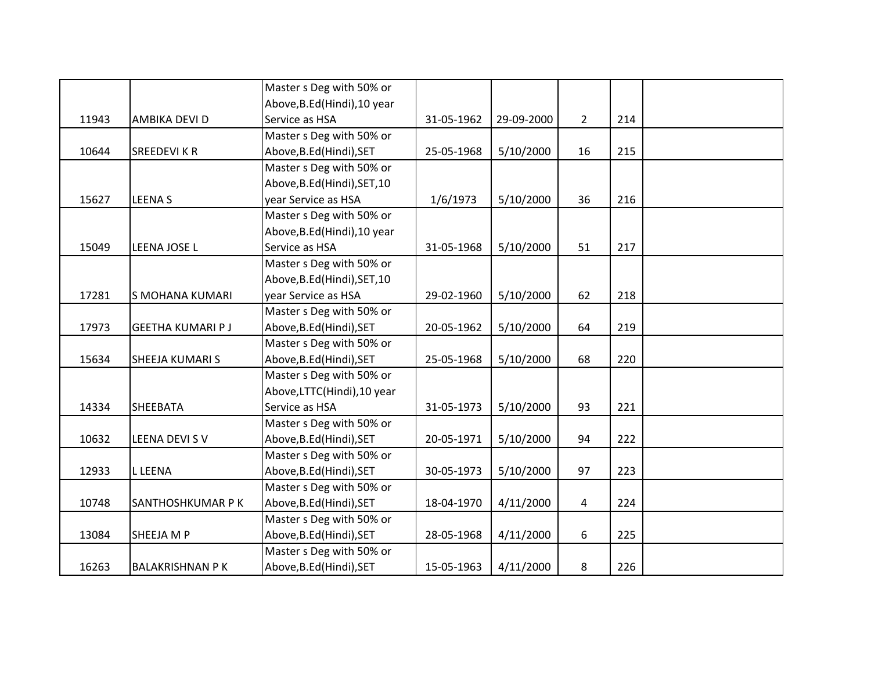|       |                         | Master s Deg with 50% or     |            |            |             |     |  |
|-------|-------------------------|------------------------------|------------|------------|-------------|-----|--|
|       |                         | Above, B.Ed (Hindi), 10 year |            |            |             |     |  |
| 11943 | AMBIKA DEVI D           | Service as HSA               | 31-05-1962 | 29-09-2000 | $2^{\circ}$ | 214 |  |
|       |                         | Master s Deg with 50% or     |            |            |             |     |  |
| 10644 | <b>SREEDEVI K R</b>     | Above, B.Ed (Hindi), SET     | 25-05-1968 | 5/10/2000  | 16          | 215 |  |
|       |                         | Master s Deg with 50% or     |            |            |             |     |  |
|       |                         | Above, B.Ed (Hindi), SET, 10 |            |            |             |     |  |
| 15627 | <b>LEENAS</b>           | year Service as HSA          | 1/6/1973   | 5/10/2000  | 36          | 216 |  |
|       |                         | Master s Deg with 50% or     |            |            |             |     |  |
|       |                         | Above, B.Ed (Hindi), 10 year |            |            |             |     |  |
| 15049 | LEENA JOSE L            | Service as HSA               | 31-05-1968 | 5/10/2000  | 51          | 217 |  |
|       |                         | Master s Deg with 50% or     |            |            |             |     |  |
|       |                         | Above, B.Ed (Hindi), SET, 10 |            |            |             |     |  |
| 17281 | S MOHANA KUMARI         | year Service as HSA          | 29-02-1960 | 5/10/2000  | 62          | 218 |  |
|       |                         | Master s Deg with 50% or     |            |            |             |     |  |
| 17973 | <b>GEETHA KUMARI PJ</b> | Above, B.Ed (Hindi), SET     | 20-05-1962 | 5/10/2000  | 64          | 219 |  |
|       |                         | Master s Deg with 50% or     |            |            |             |     |  |
| 15634 | SHEEJA KUMARI S         | Above, B.Ed (Hindi), SET     | 25-05-1968 | 5/10/2000  | 68          | 220 |  |
|       |                         | Master s Deg with 50% or     |            |            |             |     |  |
|       |                         | Above, LTTC(Hindi), 10 year  |            |            |             |     |  |
| 14334 | <b>SHEEBATA</b>         | Service as HSA               | 31-05-1973 | 5/10/2000  | 93          | 221 |  |
|       |                         | Master s Deg with 50% or     |            |            |             |     |  |
| 10632 | LEENA DEVI SV           | Above, B.Ed (Hindi), SET     | 20-05-1971 | 5/10/2000  | 94          | 222 |  |
|       |                         | Master s Deg with 50% or     |            |            |             |     |  |
| 12933 | <b>L LEENA</b>          | Above, B.Ed (Hindi), SET     | 30-05-1973 | 5/10/2000  | 97          | 223 |  |
|       |                         | Master s Deg with 50% or     |            |            |             |     |  |
| 10748 | SANTHOSHKUMAR P K       | Above, B.Ed (Hindi), SET     | 18-04-1970 | 4/11/2000  | 4           | 224 |  |
|       |                         | Master s Deg with 50% or     |            |            |             |     |  |
| 13084 | SHEEJA M P              | Above, B.Ed (Hindi), SET     | 28-05-1968 | 4/11/2000  | 6           | 225 |  |
|       |                         | Master s Deg with 50% or     |            |            |             |     |  |
| 16263 | <b>BALAKRISHNAN PK</b>  | Above, B.Ed (Hindi), SET     | 15-05-1963 | 4/11/2000  | 8           | 226 |  |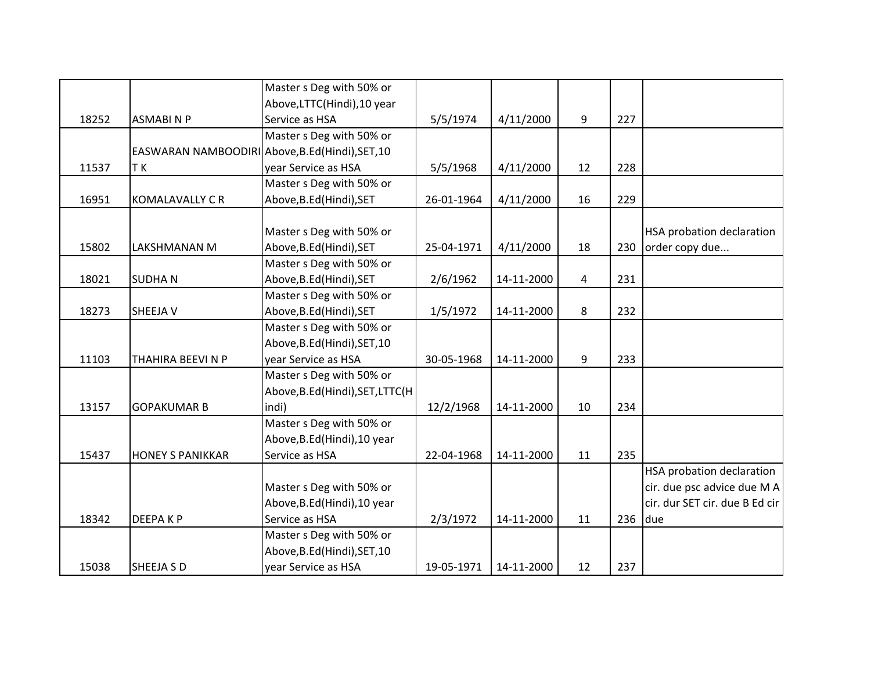|       |                                                  | Master s Deg with 50% or         |            |            |    |     |                                  |
|-------|--------------------------------------------------|----------------------------------|------------|------------|----|-----|----------------------------------|
|       |                                                  | Above, LTTC(Hindi), 10 year      |            |            |    |     |                                  |
| 18252 | <b>ASMABINP</b>                                  | Service as HSA                   | 5/5/1974   | 4/11/2000  | 9  | 227 |                                  |
|       |                                                  | Master s Deg with 50% or         |            |            |    |     |                                  |
|       | EASWARAN NAMBOODIRI Above, B.Ed (Hindi), SET, 10 |                                  |            |            |    |     |                                  |
| 11537 | T K                                              | year Service as HSA              | 5/5/1968   | 4/11/2000  | 12 | 228 |                                  |
|       |                                                  | Master s Deg with 50% or         |            |            |    |     |                                  |
| 16951 | <b>KOMALAVALLY C R</b>                           | Above, B.Ed (Hindi), SET         | 26-01-1964 | 4/11/2000  | 16 | 229 |                                  |
|       |                                                  |                                  |            |            |    |     |                                  |
|       |                                                  | Master s Deg with 50% or         |            |            |    |     | <b>HSA probation declaration</b> |
| 15802 | <b>LAKSHMANAN M</b>                              | Above, B.Ed (Hindi), SET         | 25-04-1971 | 4/11/2000  | 18 | 230 | order copy due                   |
|       |                                                  | Master s Deg with 50% or         |            |            |    |     |                                  |
| 18021 | <b>SUDHAN</b>                                    | Above, B.Ed (Hindi), SET         | 2/6/1962   | 14-11-2000 | 4  | 231 |                                  |
|       |                                                  | Master s Deg with 50% or         |            |            |    |     |                                  |
| 18273 | <b>SHEEJA V</b>                                  | Above, B.Ed (Hindi), SET         | 1/5/1972   | 14-11-2000 | 8  | 232 |                                  |
|       |                                                  | Master s Deg with 50% or         |            |            |    |     |                                  |
|       |                                                  | Above, B.Ed (Hindi), SET, 10     |            |            |    |     |                                  |
| 11103 | THAHIRA BEEVINP                                  | year Service as HSA              | 30-05-1968 | 14-11-2000 | 9  | 233 |                                  |
|       |                                                  | Master s Deg with 50% or         |            |            |    |     |                                  |
|       |                                                  | Above, B.Ed(Hindi), SET, LTTC(H) |            |            |    |     |                                  |
| 13157 | <b>GOPAKUMAR B</b>                               | indi)                            | 12/2/1968  | 14-11-2000 | 10 | 234 |                                  |
|       |                                                  | Master s Deg with 50% or         |            |            |    |     |                                  |
|       |                                                  | Above, B.Ed (Hindi), 10 year     |            |            |    |     |                                  |
| 15437 | <b>HONEY S PANIKKAR</b>                          | Service as HSA                   | 22-04-1968 | 14-11-2000 | 11 | 235 |                                  |
|       |                                                  |                                  |            |            |    |     | HSA probation declaration        |
|       |                                                  | Master s Deg with 50% or         |            |            |    |     | cir. due psc advice due MA       |
|       |                                                  | Above, B.Ed (Hindi), 10 year     |            |            |    |     | cir. dur SET cir. due B Ed cir   |
| 18342 | <b>DEEPAKP</b>                                   | Service as HSA                   | 2/3/1972   | 14-11-2000 | 11 | 236 | due                              |
|       |                                                  | Master s Deg with 50% or         |            |            |    |     |                                  |
|       |                                                  | Above, B.Ed (Hindi), SET, 10     |            |            |    |     |                                  |
| 15038 | <b>SHEEJA S D</b>                                | year Service as HSA              | 19-05-1971 | 14-11-2000 | 12 | 237 |                                  |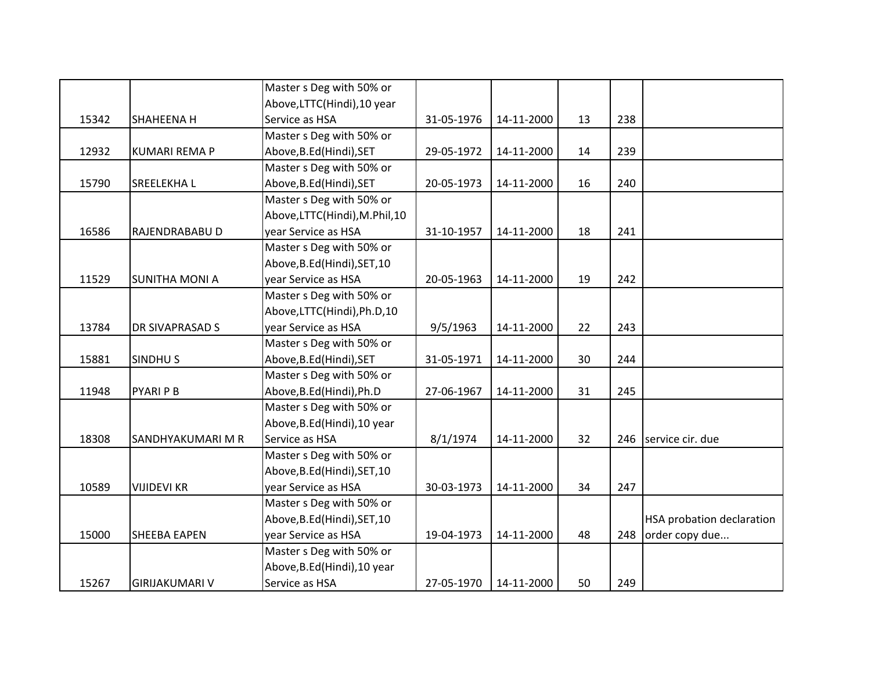|       |                        | Master s Deg with 50% or     |            |            |    |     |                           |
|-------|------------------------|------------------------------|------------|------------|----|-----|---------------------------|
|       |                        | Above, LTTC(Hindi), 10 year  |            |            |    |     |                           |
| 15342 | SHAHEENA H             | Service as HSA               | 31-05-1976 | 14-11-2000 | 13 | 238 |                           |
|       |                        | Master s Deg with 50% or     |            |            |    |     |                           |
| 12932 | <b>KUMARI REMA P</b>   | Above, B.Ed (Hindi), SET     | 29-05-1972 | 14-11-2000 | 14 | 239 |                           |
|       |                        | Master s Deg with 50% or     |            |            |    |     |                           |
| 15790 | <b>SREELEKHAL</b>      | Above, B.Ed (Hindi), SET     | 20-05-1973 | 14-11-2000 | 16 | 240 |                           |
|       |                        | Master s Deg with 50% or     |            |            |    |     |                           |
|       |                        | Above,LTTC(Hindi),M.Phil,10  |            |            |    |     |                           |
| 16586 | RAJENDRABABU D         | year Service as HSA          | 31-10-1957 | 14-11-2000 | 18 | 241 |                           |
|       |                        | Master s Deg with 50% or     |            |            |    |     |                           |
|       |                        | Above, B.Ed (Hindi), SET, 10 |            |            |    |     |                           |
| 11529 | <b>SUNITHA MONI A</b>  | year Service as HSA          | 20-05-1963 | 14-11-2000 | 19 | 242 |                           |
|       |                        | Master s Deg with 50% or     |            |            |    |     |                           |
|       |                        | Above,LTTC(Hindi),Ph.D,10    |            |            |    |     |                           |
| 13784 | <b>DR SIVAPRASAD S</b> | year Service as HSA          | 9/5/1963   | 14-11-2000 | 22 | 243 |                           |
|       |                        | Master s Deg with 50% or     |            |            |    |     |                           |
| 15881 | <b>SINDHUS</b>         | Above, B.Ed (Hindi), SET     | 31-05-1971 | 14-11-2000 | 30 | 244 |                           |
|       |                        | Master s Deg with 50% or     |            |            |    |     |                           |
| 11948 | <b>PYARI P B</b>       | Above, B.Ed (Hindi), Ph.D    | 27-06-1967 | 14-11-2000 | 31 | 245 |                           |
|       |                        | Master s Deg with 50% or     |            |            |    |     |                           |
|       |                        | Above, B.Ed (Hindi), 10 year |            |            |    |     |                           |
| 18308 | SANDHYAKUMARI M R      | Service as HSA               | 8/1/1974   | 14-11-2000 | 32 | 246 | service cir. due          |
|       |                        | Master s Deg with 50% or     |            |            |    |     |                           |
|       |                        | Above, B.Ed (Hindi), SET, 10 |            |            |    |     |                           |
| 10589 | <b>VIJIDEVI KR</b>     | year Service as HSA          | 30-03-1973 | 14-11-2000 | 34 | 247 |                           |
|       |                        | Master s Deg with 50% or     |            |            |    |     |                           |
|       |                        | Above, B.Ed (Hindi), SET, 10 |            |            |    |     | HSA probation declaration |
| 15000 | <b>SHEEBA EAPEN</b>    | year Service as HSA          | 19-04-1973 | 14-11-2000 | 48 | 248 | order copy due            |
|       |                        | Master s Deg with 50% or     |            |            |    |     |                           |
|       |                        | Above, B.Ed (Hindi), 10 year |            |            |    |     |                           |
| 15267 | <b>GIRIJAKUMARI V</b>  | Service as HSA               | 27-05-1970 | 14-11-2000 | 50 | 249 |                           |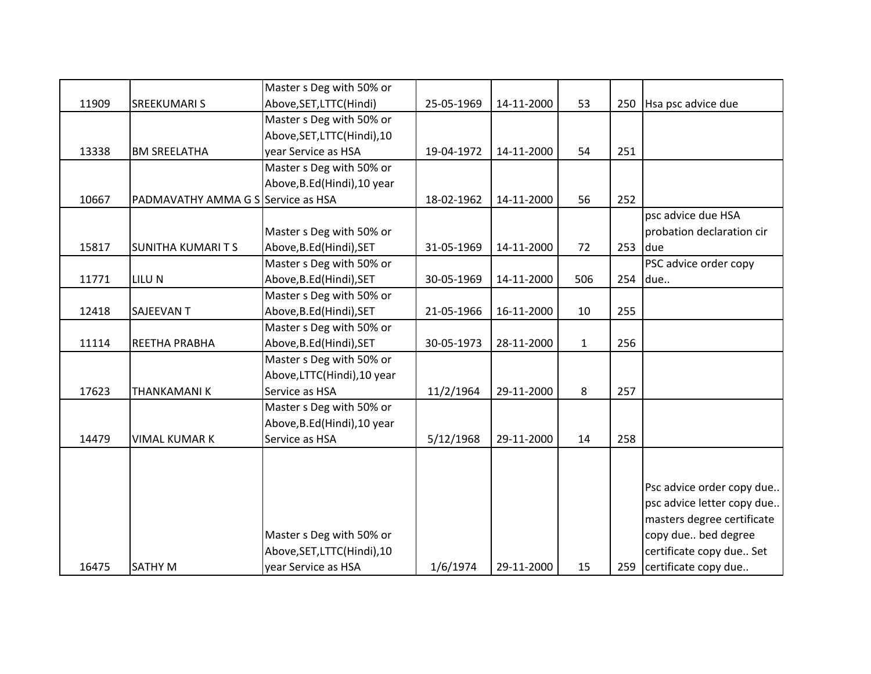|       |                                    | Master s Deg with 50% or     |            |            |              |     |                            |
|-------|------------------------------------|------------------------------|------------|------------|--------------|-----|----------------------------|
| 11909 | <b>SREEKUMARI S</b>                | Above, SET, LTTC(Hindi)      | 25-05-1969 | 14-11-2000 | 53           | 250 | Hsa psc advice due         |
|       |                                    | Master s Deg with 50% or     |            |            |              |     |                            |
|       |                                    | Above, SET, LTTC (Hindi), 10 |            |            |              |     |                            |
| 13338 | <b>BM SREELATHA</b>                | year Service as HSA          | 19-04-1972 | 14-11-2000 | 54           | 251 |                            |
|       |                                    | Master s Deg with 50% or     |            |            |              |     |                            |
|       |                                    | Above, B.Ed (Hindi), 10 year |            |            |              |     |                            |
| 10667 | PADMAVATHY AMMA G S Service as HSA |                              | 18-02-1962 | 14-11-2000 | 56           | 252 |                            |
|       |                                    |                              |            |            |              |     | psc advice due HSA         |
|       |                                    | Master s Deg with 50% or     |            |            |              |     | probation declaration cir  |
| 15817 | <b>SUNITHA KUMARITS</b>            | Above, B.Ed (Hindi), SET     | 31-05-1969 | 14-11-2000 | 72           | 253 | due                        |
|       |                                    | Master s Deg with 50% or     |            |            |              |     | PSC advice order copy      |
| 11771 | LILU N                             | Above, B.Ed (Hindi), SET     | 30-05-1969 | 14-11-2000 | 506          | 254 | due                        |
|       |                                    | Master s Deg with 50% or     |            |            |              |     |                            |
| 12418 | <b>SAJEEVAN T</b>                  | Above, B.Ed (Hindi), SET     | 21-05-1966 | 16-11-2000 | 10           | 255 |                            |
|       |                                    | Master s Deg with 50% or     |            |            |              |     |                            |
| 11114 | REETHA PRABHA                      | Above, B.Ed (Hindi), SET     | 30-05-1973 | 28-11-2000 | $\mathbf{1}$ | 256 |                            |
|       |                                    | Master s Deg with 50% or     |            |            |              |     |                            |
|       |                                    | Above, LTTC(Hindi), 10 year  |            |            |              |     |                            |
| 17623 | <b>THANKAMANIK</b>                 | Service as HSA               | 11/2/1964  | 29-11-2000 | 8            | 257 |                            |
|       |                                    | Master s Deg with 50% or     |            |            |              |     |                            |
|       |                                    | Above, B.Ed (Hindi), 10 year |            |            |              |     |                            |
| 14479 | <b>VIMAL KUMAR K</b>               | Service as HSA               | 5/12/1968  | 29-11-2000 | 14           | 258 |                            |
|       |                                    |                              |            |            |              |     |                            |
|       |                                    |                              |            |            |              |     |                            |
|       |                                    |                              |            |            |              |     | Psc advice order copy due  |
|       |                                    |                              |            |            |              |     | psc advice letter copy due |
|       |                                    |                              |            |            |              |     | masters degree certificate |
|       |                                    | Master s Deg with 50% or     |            |            |              |     | copy due bed degree        |
|       |                                    | Above, SET, LTTC(Hindi), 10  |            |            |              |     | certificate copy due Set   |
| 16475 | <b>SATHY M</b>                     | year Service as HSA          | 1/6/1974   | 29-11-2000 | 15           |     | 259 certificate copy due   |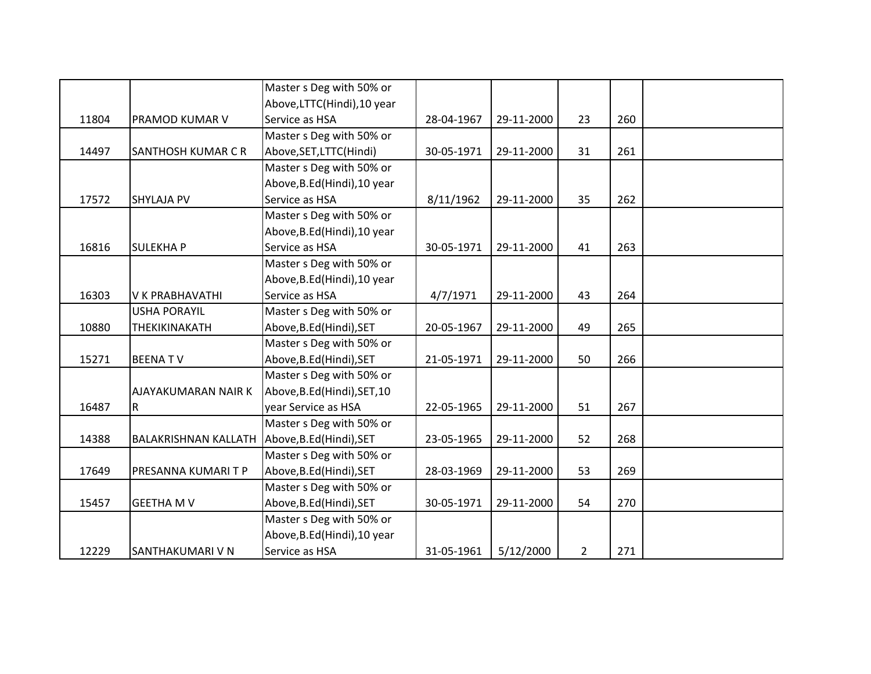|       |                                                 | Master s Deg with 50% or     |            |            |                |     |  |
|-------|-------------------------------------------------|------------------------------|------------|------------|----------------|-----|--|
|       |                                                 | Above, LTTC(Hindi), 10 year  |            |            |                |     |  |
| 11804 | PRAMOD KUMAR V                                  | Service as HSA               | 28-04-1967 | 29-11-2000 | 23             | 260 |  |
|       |                                                 | Master s Deg with 50% or     |            |            |                |     |  |
| 14497 | SANTHOSH KUMAR C R                              | Above, SET, LTTC(Hindi)      | 30-05-1971 | 29-11-2000 | 31             | 261 |  |
|       |                                                 | Master s Deg with 50% or     |            |            |                |     |  |
|       |                                                 | Above, B.Ed (Hindi), 10 year |            |            |                |     |  |
| 17572 | <b>SHYLAJA PV</b>                               | Service as HSA               | 8/11/1962  | 29-11-2000 | 35             | 262 |  |
|       |                                                 | Master s Deg with 50% or     |            |            |                |     |  |
|       |                                                 | Above, B.Ed (Hindi), 10 year |            |            |                |     |  |
| 16816 | <b>SULEKHAP</b>                                 | Service as HSA               | 30-05-1971 | 29-11-2000 | 41             | 263 |  |
|       |                                                 | Master s Deg with 50% or     |            |            |                |     |  |
|       |                                                 | Above, B.Ed (Hindi), 10 year |            |            |                |     |  |
| 16303 | <b>V K PRABHAVATHI</b>                          | Service as HSA               | 4/7/1971   | 29-11-2000 | 43             | 264 |  |
|       | <b>USHA PORAYIL</b>                             | Master s Deg with 50% or     |            |            |                |     |  |
| 10880 | THEKIKINAKATH                                   | Above, B.Ed (Hindi), SET     | 20-05-1967 | 29-11-2000 | 49             | 265 |  |
|       |                                                 | Master s Deg with 50% or     |            |            |                |     |  |
| 15271 | <b>BEENATV</b>                                  | Above, B.Ed (Hindi), SET     | 21-05-1971 | 29-11-2000 | 50             | 266 |  |
|       |                                                 | Master s Deg with 50% or     |            |            |                |     |  |
|       | AJAYAKUMARAN NAIR K                             | Above, B.Ed (Hindi), SET, 10 |            |            |                |     |  |
| 16487 | R                                               | year Service as HSA          | 22-05-1965 | 29-11-2000 | 51             | 267 |  |
|       |                                                 | Master s Deg with 50% or     |            |            |                |     |  |
| 14388 | BALAKRISHNAN KALLATH   Above, B.Ed (Hindi), SET |                              | 23-05-1965 | 29-11-2000 | 52             | 268 |  |
|       |                                                 | Master s Deg with 50% or     |            |            |                |     |  |
| 17649 | PRESANNA KUMARI T P                             | Above, B.Ed (Hindi), SET     | 28-03-1969 | 29-11-2000 | 53             | 269 |  |
|       |                                                 | Master s Deg with 50% or     |            |            |                |     |  |
| 15457 | <b>GEETHA M V</b>                               | Above, B.Ed (Hindi), SET     | 30-05-1971 | 29-11-2000 | 54             | 270 |  |
|       |                                                 | Master s Deg with 50% or     |            |            |                |     |  |
|       |                                                 | Above, B.Ed (Hindi), 10 year |            |            |                |     |  |
| 12229 | SANTHAKUMARI V N                                | Service as HSA               | 31-05-1961 | 5/12/2000  | $\overline{2}$ | 271 |  |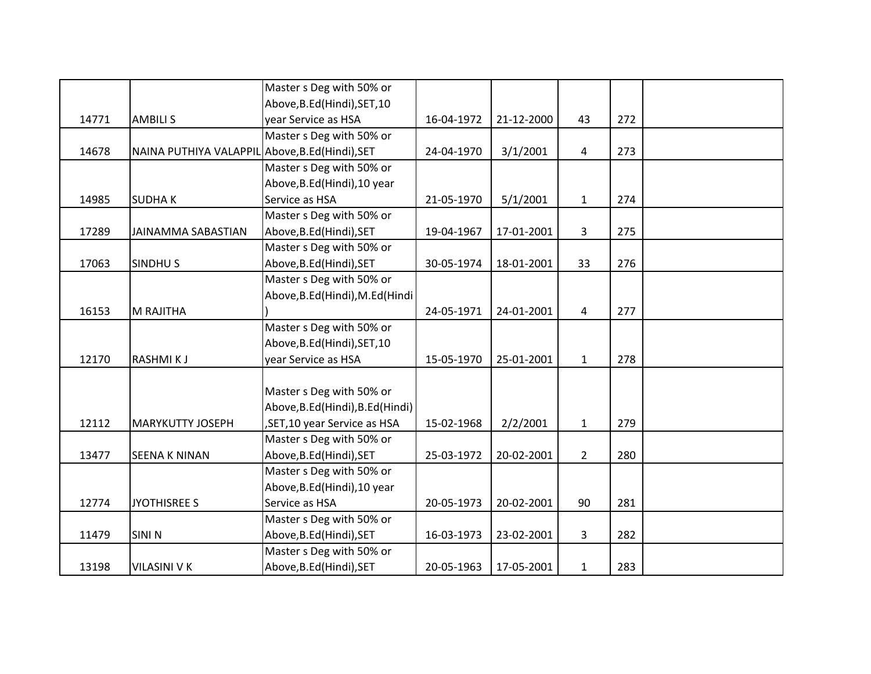|       |                                                 | Master s Deg with 50% or         |            |            |              |     |  |
|-------|-------------------------------------------------|----------------------------------|------------|------------|--------------|-----|--|
|       |                                                 | Above, B.Ed (Hindi), SET, 10     |            |            |              |     |  |
| 14771 | <b>AMBILIS</b>                                  | year Service as HSA              | 16-04-1972 | 21-12-2000 | 43           | 272 |  |
|       |                                                 | Master s Deg with 50% or         |            |            |              |     |  |
| 14678 | NAINA PUTHIYA VALAPPIL Above, B.Ed (Hindi), SET |                                  | 24-04-1970 | 3/1/2001   | 4            | 273 |  |
|       |                                                 | Master s Deg with 50% or         |            |            |              |     |  |
|       |                                                 | Above, B.Ed (Hindi), 10 year     |            |            |              |     |  |
| 14985 | <b>SUDHAK</b>                                   | Service as HSA                   | 21-05-1970 | 5/1/2001   | $\mathbf{1}$ | 274 |  |
|       |                                                 | Master s Deg with 50% or         |            |            |              |     |  |
| 17289 | <b>JAINAMMA SABASTIAN</b>                       | Above, B.Ed (Hindi), SET         | 19-04-1967 | 17-01-2001 | 3            | 275 |  |
|       |                                                 | Master s Deg with 50% or         |            |            |              |     |  |
| 17063 | <b>SINDHUS</b>                                  | Above, B.Ed (Hindi), SET         | 30-05-1974 | 18-01-2001 | 33           | 276 |  |
|       |                                                 | Master s Deg with 50% or         |            |            |              |     |  |
|       |                                                 | Above, B.Ed (Hindi), M.Ed (Hindi |            |            |              |     |  |
| 16153 | M RAJITHA                                       |                                  | 24-05-1971 | 24-01-2001 | 4            | 277 |  |
|       |                                                 | Master s Deg with 50% or         |            |            |              |     |  |
|       |                                                 | Above, B.Ed (Hindi), SET, 10     |            |            |              |     |  |
| 12170 | <b>RASHMIKJ</b>                                 | year Service as HSA              | 15-05-1970 | 25-01-2001 | $\mathbf{1}$ | 278 |  |
|       |                                                 |                                  |            |            |              |     |  |
|       |                                                 | Master s Deg with 50% or         |            |            |              |     |  |
|       |                                                 | Above, B.Ed(Hindi), B.Ed(Hindi)  |            |            |              |     |  |
| 12112 | <b>MARYKUTTY JOSEPH</b>                         | , SET, 10 year Service as HSA    | 15-02-1968 | 2/2/2001   | $\mathbf{1}$ | 279 |  |
|       |                                                 | Master s Deg with 50% or         |            |            |              |     |  |
| 13477 | <b>SEENA K NINAN</b>                            | Above, B.Ed (Hindi), SET         | 25-03-1972 | 20-02-2001 | $2^{\circ}$  | 280 |  |
|       |                                                 | Master s Deg with 50% or         |            |            |              |     |  |
|       |                                                 | Above, B.Ed (Hindi), 10 year     |            |            |              |     |  |
| 12774 | <b>JYOTHISREE S</b>                             | Service as HSA                   | 20-05-1973 | 20-02-2001 | 90           | 281 |  |
|       |                                                 | Master s Deg with 50% or         |            |            |              |     |  |
| 11479 | <b>SININ</b>                                    | Above, B.Ed (Hindi), SET         | 16-03-1973 | 23-02-2001 | $\mathbf{3}$ | 282 |  |
|       |                                                 | Master s Deg with 50% or         |            |            |              |     |  |
| 13198 | <b>VILASINI V K</b>                             | Above, B.Ed (Hindi), SET         | 20-05-1963 | 17-05-2001 | $\mathbf{1}$ | 283 |  |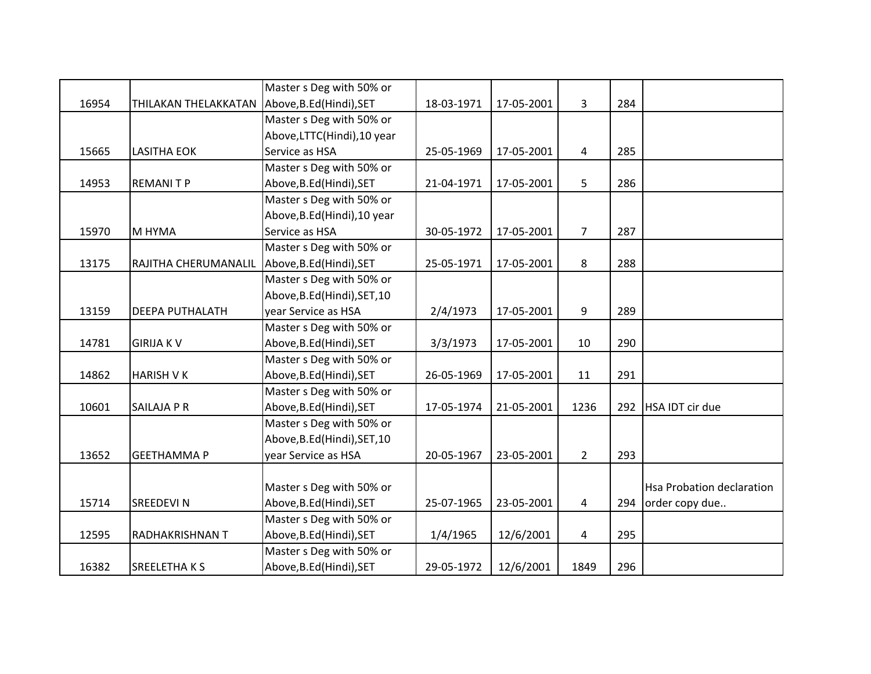|       |                                               | Master s Deg with 50% or     |            |            |                |     |                           |
|-------|-----------------------------------------------|------------------------------|------------|------------|----------------|-----|---------------------------|
| 16954 | THILAKAN THELAKKATAN Above, B.Ed (Hindi), SET |                              | 18-03-1971 | 17-05-2001 | 3              | 284 |                           |
|       |                                               | Master s Deg with 50% or     |            |            |                |     |                           |
|       |                                               | Above, LTTC(Hindi), 10 year  |            |            |                |     |                           |
| 15665 | <b>LASITHA EOK</b>                            | Service as HSA               | 25-05-1969 | 17-05-2001 | 4              | 285 |                           |
|       |                                               | Master s Deg with 50% or     |            |            |                |     |                           |
| 14953 | <b>REMANITP</b>                               | Above, B.Ed (Hindi), SET     | 21-04-1971 | 17-05-2001 | 5              | 286 |                           |
|       |                                               | Master s Deg with 50% or     |            |            |                |     |                           |
|       |                                               | Above, B.Ed (Hindi), 10 year |            |            |                |     |                           |
| 15970 | M HYMA                                        | Service as HSA               | 30-05-1972 | 17-05-2001 | $\overline{7}$ | 287 |                           |
|       |                                               | Master s Deg with 50% or     |            |            |                |     |                           |
| 13175 | RAJITHA CHERUMANALIL                          | Above, B.Ed (Hindi), SET     | 25-05-1971 | 17-05-2001 | 8              | 288 |                           |
|       |                                               | Master s Deg with 50% or     |            |            |                |     |                           |
|       |                                               | Above, B.Ed (Hindi), SET, 10 |            |            |                |     |                           |
| 13159 | <b>DEEPA PUTHALATH</b>                        | year Service as HSA          | 2/4/1973   | 17-05-2001 | 9              | 289 |                           |
|       |                                               | Master s Deg with 50% or     |            |            |                |     |                           |
| 14781 | <b>GIRIJA KV</b>                              | Above, B.Ed (Hindi), SET     | 3/3/1973   | 17-05-2001 | 10             | 290 |                           |
|       |                                               | Master s Deg with 50% or     |            |            |                |     |                           |
| 14862 | <b>HARISH VK</b>                              | Above, B.Ed (Hindi), SET     | 26-05-1969 | 17-05-2001 | 11             | 291 |                           |
|       |                                               | Master s Deg with 50% or     |            |            |                |     |                           |
| 10601 | <b>SAILAJA P R</b>                            | Above, B.Ed (Hindi), SET     | 17-05-1974 | 21-05-2001 | 1236           | 292 | HSA IDT cir due           |
|       |                                               | Master s Deg with 50% or     |            |            |                |     |                           |
|       |                                               | Above, B.Ed (Hindi), SET, 10 |            |            |                |     |                           |
| 13652 | <b>GEETHAMMA P</b>                            | year Service as HSA          | 20-05-1967 | 23-05-2001 | $2^{\circ}$    | 293 |                           |
|       |                                               |                              |            |            |                |     |                           |
|       |                                               | Master s Deg with 50% or     |            |            |                |     | Hsa Probation declaration |
| 15714 | <b>SREEDEVIN</b>                              | Above, B.Ed (Hindi), SET     | 25-07-1965 | 23-05-2001 | 4              | 294 | order copy due            |
|       |                                               | Master s Deg with 50% or     |            |            |                |     |                           |
| 12595 | <b>RADHAKRISHNAN T</b>                        | Above, B.Ed (Hindi), SET     | 1/4/1965   | 12/6/2001  | 4              | 295 |                           |
|       |                                               | Master s Deg with 50% or     |            |            |                |     |                           |
| 16382 | <b>SREELETHAKS</b>                            | Above, B.Ed (Hindi), SET     | 29-05-1972 | 12/6/2001  | 1849           | 296 |                           |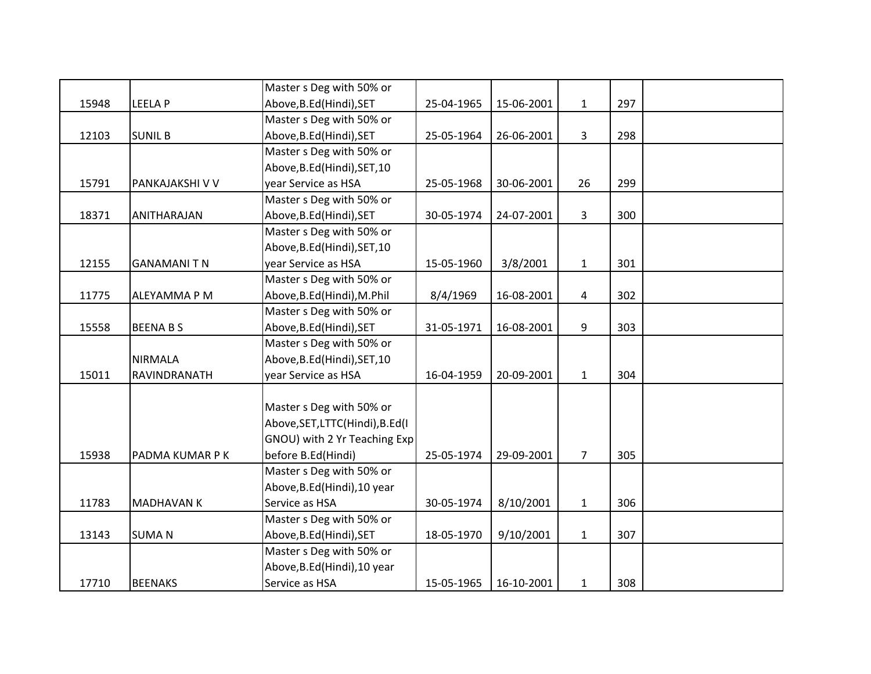|       |                   | Master s Deg with 50% or        |            |            |                |     |  |
|-------|-------------------|---------------------------------|------------|------------|----------------|-----|--|
| 15948 | <b>LEELAP</b>     | Above, B.Ed (Hindi), SET        | 25-04-1965 | 15-06-2001 | $\mathbf{1}$   | 297 |  |
|       |                   | Master s Deg with 50% or        |            |            |                |     |  |
| 12103 | <b>SUNIL B</b>    | Above, B.Ed (Hindi), SET        | 25-05-1964 | 26-06-2001 | 3              | 298 |  |
|       |                   | Master s Deg with 50% or        |            |            |                |     |  |
|       |                   | Above, B.Ed (Hindi), SET, 10    |            |            |                |     |  |
| 15791 | PANKAJAKSHI V V   | year Service as HSA             | 25-05-1968 | 30-06-2001 | 26             | 299 |  |
|       |                   | Master s Deg with 50% or        |            |            |                |     |  |
| 18371 | ANITHARAJAN       | Above, B.Ed (Hindi), SET        | 30-05-1974 | 24-07-2001 | 3              | 300 |  |
|       |                   | Master s Deg with 50% or        |            |            |                |     |  |
|       |                   | Above, B.Ed (Hindi), SET, 10    |            |            |                |     |  |
| 12155 | <b>GANAMANITN</b> | year Service as HSA             | 15-05-1960 | 3/8/2001   | $\mathbf{1}$   | 301 |  |
|       |                   | Master s Deg with 50% or        |            |            |                |     |  |
| 11775 | ALEYAMMA P M      | Above, B.Ed (Hindi), M.Phil     | 8/4/1969   | 16-08-2001 | 4              | 302 |  |
|       |                   | Master s Deg with 50% or        |            |            |                |     |  |
| 15558 | <b>BEENA B S</b>  | Above, B.Ed (Hindi), SET        | 31-05-1971 | 16-08-2001 | 9              | 303 |  |
|       |                   | Master s Deg with 50% or        |            |            |                |     |  |
|       | <b>NIRMALA</b>    | Above, B.Ed (Hindi), SET, 10    |            |            |                |     |  |
| 15011 | RAVINDRANATH      | year Service as HSA             | 16-04-1959 | 20-09-2001 | $\mathbf{1}$   | 304 |  |
|       |                   |                                 |            |            |                |     |  |
|       |                   | Master s Deg with 50% or        |            |            |                |     |  |
|       |                   | Above, SET, LTTC(Hindi), B.Ed(I |            |            |                |     |  |
|       |                   | GNOU) with 2 Yr Teaching Exp    |            |            |                |     |  |
| 15938 | PADMA KUMAR P K   | before B.Ed(Hindi)              | 25-05-1974 | 29-09-2001 | $\overline{7}$ | 305 |  |
|       |                   | Master s Deg with 50% or        |            |            |                |     |  |
|       |                   | Above, B.Ed (Hindi), 10 year    |            |            |                |     |  |
| 11783 | <b>MADHAVAN K</b> | Service as HSA                  | 30-05-1974 | 8/10/2001  | $\mathbf{1}$   | 306 |  |
|       |                   | Master s Deg with 50% or        |            |            |                |     |  |
| 13143 | <b>SUMAN</b>      | Above, B.Ed (Hindi), SET        | 18-05-1970 | 9/10/2001  | $\mathbf{1}$   | 307 |  |
|       |                   | Master s Deg with 50% or        |            |            |                |     |  |
|       |                   | Above, B.Ed(Hindi), 10 year     |            |            |                |     |  |
| 17710 | <b>BEENAKS</b>    | Service as HSA                  | 15-05-1965 | 16-10-2001 | $\mathbf{1}$   | 308 |  |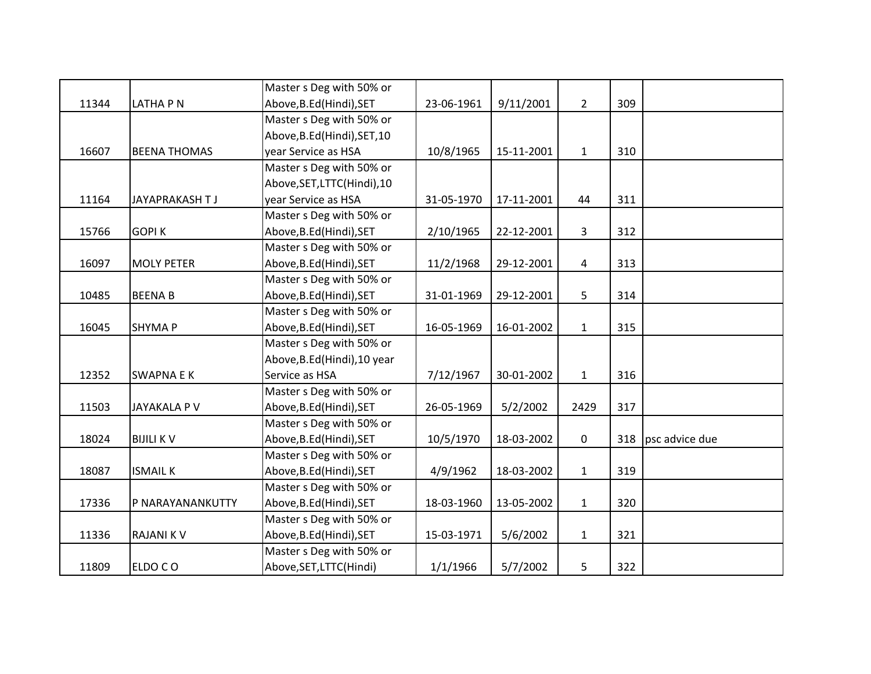|       |                     | Master s Deg with 50% or     |            |            |                |     |                |
|-------|---------------------|------------------------------|------------|------------|----------------|-----|----------------|
| 11344 | LATHA P N           | Above, B.Ed (Hindi), SET     | 23-06-1961 | 9/11/2001  | $2^{\circ}$    | 309 |                |
|       |                     | Master s Deg with 50% or     |            |            |                |     |                |
|       |                     | Above, B.Ed (Hindi), SET, 10 |            |            |                |     |                |
| 16607 | <b>BEENA THOMAS</b> | year Service as HSA          | 10/8/1965  | 15-11-2001 | $1\,$          | 310 |                |
|       |                     | Master s Deg with 50% or     |            |            |                |     |                |
|       |                     | Above, SET, LTTC(Hindi), 10  |            |            |                |     |                |
| 11164 | JAYAPRAKASH T J     | year Service as HSA          | 31-05-1970 | 17-11-2001 | 44             | 311 |                |
|       |                     | Master s Deg with 50% or     |            |            |                |     |                |
| 15766 | <b>GOPIK</b>        | Above, B.Ed (Hindi), SET     | 2/10/1965  | 22-12-2001 | $\mathbf{3}$   | 312 |                |
|       |                     | Master s Deg with 50% or     |            |            |                |     |                |
| 16097 | <b>MOLY PETER</b>   | Above, B.Ed (Hindi), SET     | 11/2/1968  | 29-12-2001 | 4              | 313 |                |
|       |                     | Master s Deg with 50% or     |            |            |                |     |                |
| 10485 | <b>BEENAB</b>       | Above, B.Ed (Hindi), SET     | 31-01-1969 | 29-12-2001 | 5 <sup>1</sup> | 314 |                |
|       |                     | Master s Deg with 50% or     |            |            |                |     |                |
| 16045 | <b>SHYMAP</b>       | Above, B.Ed (Hindi), SET     | 16-05-1969 | 16-01-2002 | $\mathbf{1}$   | 315 |                |
|       |                     | Master s Deg with 50% or     |            |            |                |     |                |
|       |                     | Above, B.Ed (Hindi), 10 year |            |            |                |     |                |
| 12352 | <b>SWAPNA E K</b>   | Service as HSA               | 7/12/1967  | 30-01-2002 | $1\,$          | 316 |                |
|       |                     | Master s Deg with 50% or     |            |            |                |     |                |
| 11503 | JAYAKALA P V        | Above, B.Ed (Hindi), SET     | 26-05-1969 | 5/2/2002   | 2429           | 317 |                |
|       |                     | Master s Deg with 50% or     |            |            |                |     |                |
| 18024 | <b>BIJILI KV</b>    | Above, B.Ed (Hindi), SET     | 10/5/1970  | 18-03-2002 | $\mathbf 0$    | 318 | psc advice due |
|       |                     | Master s Deg with 50% or     |            |            |                |     |                |
| 18087 | <b>ISMAIL K</b>     | Above, B.Ed (Hindi), SET     | 4/9/1962   | 18-03-2002 | $\mathbf{1}$   | 319 |                |
|       |                     | Master s Deg with 50% or     |            |            |                |     |                |
| 17336 | P NARAYANANKUTTY    | Above, B.Ed (Hindi), SET     | 18-03-1960 | 13-05-2002 | $\mathbf{1}$   | 320 |                |
|       |                     | Master s Deg with 50% or     |            |            |                |     |                |
| 11336 | <b>RAJANIKV</b>     | Above, B.Ed (Hindi), SET     | 15-03-1971 | 5/6/2002   | $\mathbf{1}$   | 321 |                |
|       |                     | Master s Deg with 50% or     |            |            |                |     |                |
| 11809 | ELDO CO             | Above, SET, LTTC(Hindi)      | 1/1/1966   | 5/7/2002   | 5              | 322 |                |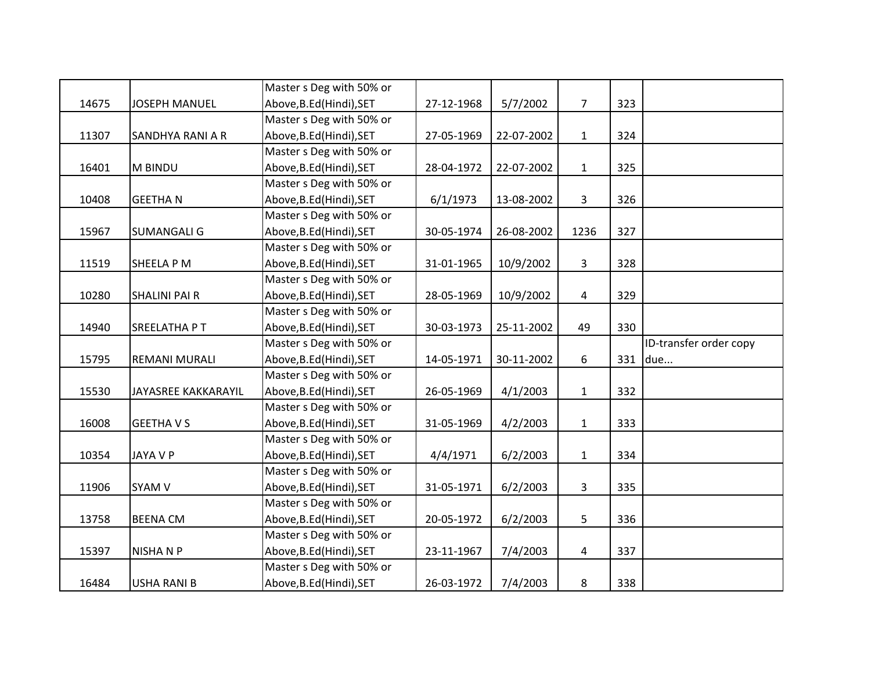|       |                         | Master s Deg with 50% or |            |            |                |     |                        |
|-------|-------------------------|--------------------------|------------|------------|----------------|-----|------------------------|
| 14675 | <b>JOSEPH MANUEL</b>    | Above, B.Ed (Hindi), SET | 27-12-1968 | 5/7/2002   | $\overline{7}$ | 323 |                        |
|       |                         | Master s Deg with 50% or |            |            |                |     |                        |
| 11307 | <b>SANDHYA RANI A R</b> | Above, B.Ed (Hindi), SET | 27-05-1969 | 22-07-2002 | $\mathbf{1}$   | 324 |                        |
|       |                         | Master s Deg with 50% or |            |            |                |     |                        |
| 16401 | M BINDU                 | Above, B.Ed (Hindi), SET | 28-04-1972 | 22-07-2002 | $\mathbf{1}$   | 325 |                        |
|       |                         | Master s Deg with 50% or |            |            |                |     |                        |
| 10408 | <b>GEETHAN</b>          | Above, B.Ed (Hindi), SET | 6/1/1973   | 13-08-2002 | $\mathbf{3}$   | 326 |                        |
|       |                         | Master s Deg with 50% or |            |            |                |     |                        |
| 15967 | <b>SUMANGALI G</b>      | Above, B.Ed (Hindi), SET | 30-05-1974 | 26-08-2002 | 1236           | 327 |                        |
|       |                         | Master s Deg with 50% or |            |            |                |     |                        |
| 11519 | SHEELA P M              | Above, B.Ed (Hindi), SET | 31-01-1965 | 10/9/2002  | $\mathbf{3}$   | 328 |                        |
|       |                         | Master s Deg with 50% or |            |            |                |     |                        |
| 10280 | <b>SHALINI PAI R</b>    | Above, B.Ed (Hindi), SET | 28-05-1969 | 10/9/2002  | $\overline{4}$ | 329 |                        |
|       |                         | Master s Deg with 50% or |            |            |                |     |                        |
| 14940 | SREELATHA PT            | Above, B.Ed (Hindi), SET | 30-03-1973 | 25-11-2002 | 49             | 330 |                        |
|       |                         |                          |            |            |                |     |                        |
|       |                         | Master s Deg with 50% or |            |            |                |     | ID-transfer order copy |
| 15795 | <b>REMANI MURALI</b>    | Above, B.Ed (Hindi), SET | 14-05-1971 | 30-11-2002 | 6              | 331 | due                    |
|       |                         | Master s Deg with 50% or |            |            |                |     |                        |
| 15530 | JAYASREE KAKKARAYIL     | Above, B.Ed (Hindi), SET | 26-05-1969 | 4/1/2003   | $\mathbf{1}$   | 332 |                        |
|       |                         | Master s Deg with 50% or |            |            |                |     |                        |
| 16008 | <b>GEETHAVS</b>         | Above, B.Ed (Hindi), SET | 31-05-1969 | 4/2/2003   | $\mathbf{1}$   | 333 |                        |
|       |                         | Master s Deg with 50% or |            |            |                |     |                        |
| 10354 | JAYA V P                | Above, B.Ed (Hindi), SET | 4/4/1971   | 6/2/2003   | $\mathbf 1$    | 334 |                        |
|       |                         | Master s Deg with 50% or |            |            |                |     |                        |
| 11906 | SYAM V                  | Above, B.Ed (Hindi), SET | 31-05-1971 | 6/2/2003   | $\mathbf{3}$   | 335 |                        |
|       |                         | Master s Deg with 50% or |            |            |                |     |                        |
| 13758 | <b>BEENA CM</b>         | Above, B.Ed (Hindi), SET | 20-05-1972 | 6/2/2003   | 5              | 336 |                        |
|       |                         | Master s Deg with 50% or |            |            |                |     |                        |
| 15397 | <b>NISHANP</b>          | Above, B.Ed (Hindi), SET | 23-11-1967 | 7/4/2003   | 4              | 337 |                        |
|       |                         | Master s Deg with 50% or |            |            |                |     |                        |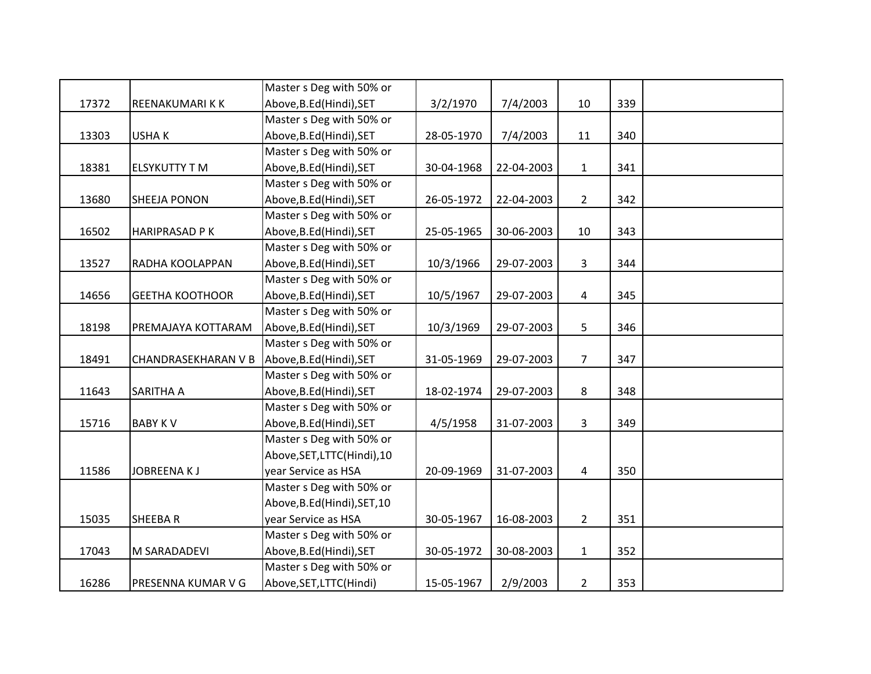|       |                            | Master s Deg with 50% or     |            |            |                |     |  |
|-------|----------------------------|------------------------------|------------|------------|----------------|-----|--|
| 17372 | REENAKUMARIKK              | Above, B.Ed (Hindi), SET     | 3/2/1970   | 7/4/2003   | 10             | 339 |  |
|       |                            | Master s Deg with 50% or     |            |            |                |     |  |
| 13303 | <b>USHAK</b>               | Above, B.Ed (Hindi), SET     | 28-05-1970 | 7/4/2003   | 11             | 340 |  |
|       |                            | Master s Deg with 50% or     |            |            |                |     |  |
| 18381 | <b>ELSYKUTTY T M</b>       | Above, B.Ed(Hindi), SET      | 30-04-1968 | 22-04-2003 | $\mathbf{1}$   | 341 |  |
|       |                            | Master s Deg with 50% or     |            |            |                |     |  |
| 13680 | <b>SHEEJA PONON</b>        | Above, B.Ed (Hindi), SET     | 26-05-1972 | 22-04-2003 | $\overline{2}$ | 342 |  |
|       |                            | Master s Deg with 50% or     |            |            |                |     |  |
| 16502 | <b>HARIPRASAD PK</b>       | Above, B.Ed (Hindi), SET     | 25-05-1965 | 30-06-2003 | 10             | 343 |  |
|       |                            | Master s Deg with 50% or     |            |            |                |     |  |
| 13527 | RADHA KOOLAPPAN            | Above, B.Ed (Hindi), SET     | 10/3/1966  | 29-07-2003 | $\overline{3}$ | 344 |  |
|       |                            | Master s Deg with 50% or     |            |            |                |     |  |
| 14656 | <b>GEETHA KOOTHOOR</b>     | Above, B.Ed (Hindi), SET     | 10/5/1967  | 29-07-2003 | $\overline{4}$ | 345 |  |
|       |                            | Master s Deg with 50% or     |            |            |                |     |  |
| 18198 | PREMAJAYA KOTTARAM         | Above, B.Ed (Hindi), SET     | 10/3/1969  | 29-07-2003 | 5              | 346 |  |
|       |                            | Master s Deg with 50% or     |            |            |                |     |  |
| 18491 | <b>CHANDRASEKHARAN V B</b> | Above, B.Ed (Hindi), SET     | 31-05-1969 | 29-07-2003 | $\overline{7}$ | 347 |  |
|       |                            | Master s Deg with 50% or     |            |            |                |     |  |
| 11643 | <b>SARITHA A</b>           | Above, B.Ed (Hindi), SET     | 18-02-1974 | 29-07-2003 | 8              | 348 |  |
|       |                            | Master s Deg with 50% or     |            |            |                |     |  |
| 15716 | <b>BABY KV</b>             | Above, B.Ed (Hindi), SET     | 4/5/1958   | 31-07-2003 | $\mathbf{3}$   | 349 |  |
|       |                            | Master s Deg with 50% or     |            |            |                |     |  |
|       |                            | Above, SET, LTTC(Hindi), 10  |            |            |                |     |  |
| 11586 | <b>JOBREENAKJ</b>          | year Service as HSA          | 20-09-1969 | 31-07-2003 | $\overline{4}$ | 350 |  |
|       |                            | Master s Deg with 50% or     |            |            |                |     |  |
|       |                            | Above, B.Ed (Hindi), SET, 10 |            |            |                |     |  |
| 15035 | <b>SHEEBAR</b>             | year Service as HSA          | 30-05-1967 | 16-08-2003 | $\overline{2}$ | 351 |  |
|       |                            | Master s Deg with 50% or     |            |            |                |     |  |
| 17043 | M SARADADEVI               | Above, B.Ed (Hindi), SET     | 30-05-1972 | 30-08-2003 | $\mathbf{1}$   | 352 |  |
|       |                            | Master s Deg with 50% or     |            |            |                |     |  |
| 16286 | PRESENNA KUMAR V G         | Above, SET, LTTC(Hindi)      | 15-05-1967 | 2/9/2003   | $\overline{2}$ | 353 |  |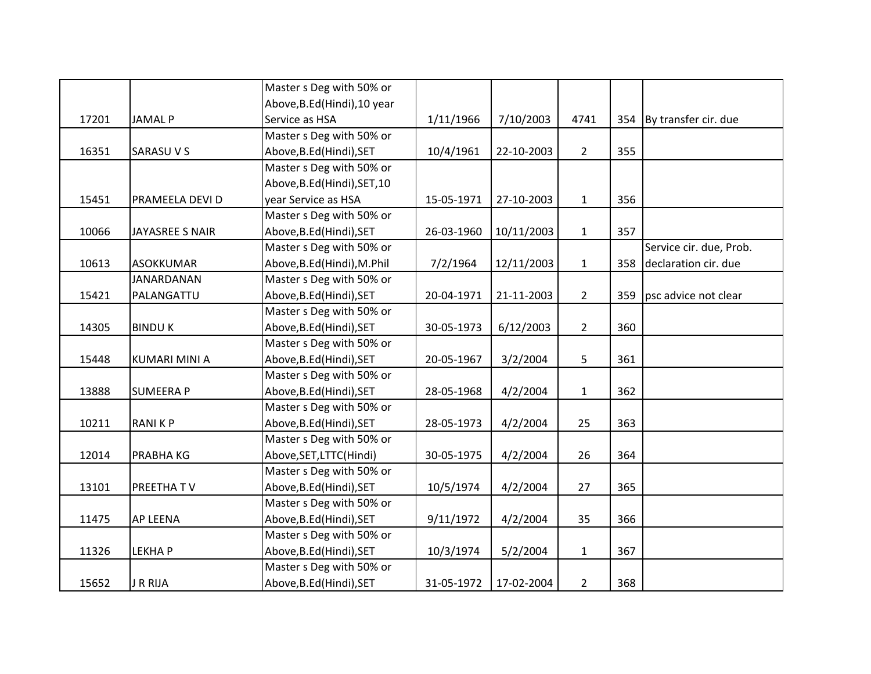|       |                        | Master s Deg with 50% or     |            |            |                |     |                          |
|-------|------------------------|------------------------------|------------|------------|----------------|-----|--------------------------|
|       |                        | Above, B.Ed (Hindi), 10 year |            |            |                |     |                          |
| 17201 | <b>JAMAL P</b>         | Service as HSA               | 1/11/1966  | 7/10/2003  | 4741           |     | 354 By transfer cir. due |
|       |                        | Master s Deg with 50% or     |            |            |                |     |                          |
| 16351 | <b>SARASUVS</b>        | Above, B.Ed (Hindi), SET     | 10/4/1961  | 22-10-2003 | $2^{\circ}$    | 355 |                          |
|       |                        | Master s Deg with 50% or     |            |            |                |     |                          |
|       |                        | Above, B.Ed(Hindi), SET, 10  |            |            |                |     |                          |
| 15451 | PRAMEELA DEVI D        | year Service as HSA          | 15-05-1971 | 27-10-2003 | $\mathbf{1}$   | 356 |                          |
|       |                        | Master s Deg with 50% or     |            |            |                |     |                          |
| 10066 | <b>JAYASREE S NAIR</b> | Above, B.Ed (Hindi), SET     | 26-03-1960 | 10/11/2003 | $\mathbf{1}$   | 357 |                          |
|       |                        | Master s Deg with 50% or     |            |            |                |     | Service cir. due, Prob.  |
| 10613 | <b>ASOKKUMAR</b>       | Above, B.Ed (Hindi), M.Phil  | 7/2/1964   | 12/11/2003 | $\mathbf{1}$   | 358 | declaration cir. due     |
|       | <b>JANARDANAN</b>      | Master s Deg with 50% or     |            |            |                |     |                          |
| 15421 | PALANGATTU             | Above, B.Ed (Hindi), SET     | 20-04-1971 | 21-11-2003 | $\overline{2}$ | 359 | psc advice not clear     |
|       |                        | Master s Deg with 50% or     |            |            |                |     |                          |
| 14305 | <b>BINDUK</b>          | Above, B.Ed (Hindi), SET     | 30-05-1973 | 6/12/2003  | $\overline{2}$ | 360 |                          |
|       |                        | Master s Deg with 50% or     |            |            |                |     |                          |
| 15448 | <b>KUMARI MINI A</b>   | Above, B.Ed (Hindi), SET     | 20-05-1967 | 3/2/2004   | 5              | 361 |                          |
|       |                        | Master s Deg with 50% or     |            |            |                |     |                          |
| 13888 | <b>SUMEERA P</b>       | Above, B.Ed (Hindi), SET     | 28-05-1968 | 4/2/2004   | $\mathbf{1}$   | 362 |                          |
|       |                        | Master s Deg with 50% or     |            |            |                |     |                          |
| 10211 | <b>RANIKP</b>          | Above, B.Ed (Hindi), SET     | 28-05-1973 | 4/2/2004   | 25             | 363 |                          |
|       |                        | Master s Deg with 50% or     |            |            |                |     |                          |
| 12014 | <b>PRABHAKG</b>        | Above, SET, LTTC(Hindi)      | 30-05-1975 | 4/2/2004   | 26             | 364 |                          |
|       |                        | Master s Deg with 50% or     |            |            |                |     |                          |
| 13101 | PREETHA TV             | Above, B.Ed (Hindi), SET     | 10/5/1974  | 4/2/2004   | 27             | 365 |                          |
|       |                        | Master s Deg with 50% or     |            |            |                |     |                          |
| 11475 | AP LEENA               | Above, B.Ed (Hindi), SET     | 9/11/1972  | 4/2/2004   | 35             | 366 |                          |
|       |                        | Master s Deg with 50% or     |            |            |                |     |                          |
| 11326 | <b>LEKHAP</b>          | Above, B.Ed (Hindi), SET     | 10/3/1974  | 5/2/2004   | $\mathbf{1}$   | 367 |                          |
|       |                        | Master s Deg with 50% or     |            |            |                |     |                          |
| 15652 | <b>J R RIJA</b>        | Above, B.Ed (Hindi), SET     | 31-05-1972 | 17-02-2004 | $\overline{2}$ | 368 |                          |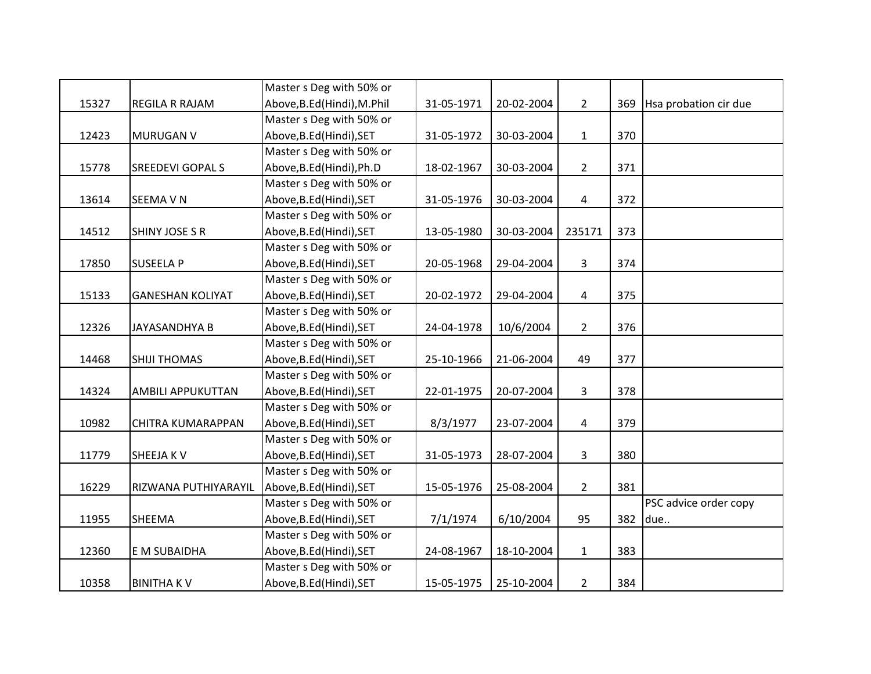|       |                          | Master s Deg with 50% or    |            |            |                |     |                       |
|-------|--------------------------|-----------------------------|------------|------------|----------------|-----|-----------------------|
| 15327 | REGILA R RAJAM           | Above, B.Ed (Hindi), M.Phil | 31-05-1971 | 20-02-2004 | $\overline{2}$ | 369 | Hsa probation cir due |
|       |                          | Master s Deg with 50% or    |            |            |                |     |                       |
| 12423 | <b>MURUGAN V</b>         | Above, B.Ed (Hindi), SET    | 31-05-1972 | 30-03-2004 | $\mathbf{1}$   | 370 |                       |
|       |                          | Master s Deg with 50% or    |            |            |                |     |                       |
| 15778 | <b>SREEDEVI GOPALS</b>   | Above, B.Ed (Hindi), Ph.D   | 18-02-1967 | 30-03-2004 | $\overline{2}$ | 371 |                       |
|       |                          | Master s Deg with 50% or    |            |            |                |     |                       |
| 13614 | <b>SEEMA V N</b>         | Above, B.Ed (Hindi), SET    | 31-05-1976 | 30-03-2004 | 4              | 372 |                       |
|       |                          | Master s Deg with 50% or    |            |            |                |     |                       |
| 14512 | <b>SHINY JOSE S R</b>    | Above, B.Ed (Hindi), SET    | 13-05-1980 | 30-03-2004 | 235171         | 373 |                       |
|       |                          | Master s Deg with 50% or    |            |            |                |     |                       |
| 17850 | <b>SUSEELA P</b>         | Above, B.Ed (Hindi), SET    | 20-05-1968 | 29-04-2004 | $\overline{3}$ | 374 |                       |
|       |                          | Master s Deg with 50% or    |            |            |                |     |                       |
| 15133 | <b>GANESHAN KOLIYAT</b>  | Above, B.Ed (Hindi), SET    | 20-02-1972 | 29-04-2004 | $\overline{4}$ | 375 |                       |
|       |                          | Master s Deg with 50% or    |            |            |                |     |                       |
| 12326 | JAYASANDHYA B            | Above, B.Ed (Hindi), SET    | 24-04-1978 | 10/6/2004  | $\overline{2}$ | 376 |                       |
|       |                          | Master s Deg with 50% or    |            |            |                |     |                       |
| 14468 | <b>SHIJI THOMAS</b>      | Above, B.Ed (Hindi), SET    | 25-10-1966 | 21-06-2004 | 49             | 377 |                       |
|       |                          | Master s Deg with 50% or    |            |            |                |     |                       |
| 14324 | <b>AMBILI APPUKUTTAN</b> | Above, B.Ed (Hindi), SET    | 22-01-1975 | 20-07-2004 | $\mathbf{3}$   | 378 |                       |
|       |                          | Master s Deg with 50% or    |            |            |                |     |                       |
| 10982 | CHITRA KUMARAPPAN        | Above, B.Ed (Hindi), SET    | 8/3/1977   | 23-07-2004 | $\overline{4}$ | 379 |                       |
|       |                          | Master s Deg with 50% or    |            |            |                |     |                       |
| 11779 | <b>SHEEJAKV</b>          | Above, B.Ed (Hindi), SET    | 31-05-1973 | 28-07-2004 | $\overline{3}$ | 380 |                       |
|       |                          | Master s Deg with 50% or    |            |            |                |     |                       |
| 16229 | RIZWANA PUTHIYARAYIL     | Above, B.Ed (Hindi), SET    | 15-05-1976 | 25-08-2004 | $\overline{2}$ | 381 |                       |
|       |                          | Master s Deg with 50% or    |            |            |                |     | PSC advice order copy |
| 11955 | SHEEMA                   | Above, B.Ed (Hindi), SET    | 7/1/1974   | 6/10/2004  | 95             | 382 | due                   |
|       |                          | Master s Deg with 50% or    |            |            |                |     |                       |
| 12360 | E M SUBAIDHA             | Above, B.Ed (Hindi), SET    | 24-08-1967 | 18-10-2004 | $\mathbf{1}$   | 383 |                       |
|       |                          | Master s Deg with 50% or    |            |            |                |     |                       |
| 10358 | <b>BINITHAKV</b>         | Above, B.Ed (Hindi), SET    | 15-05-1975 | 25-10-2004 | $\overline{2}$ | 384 |                       |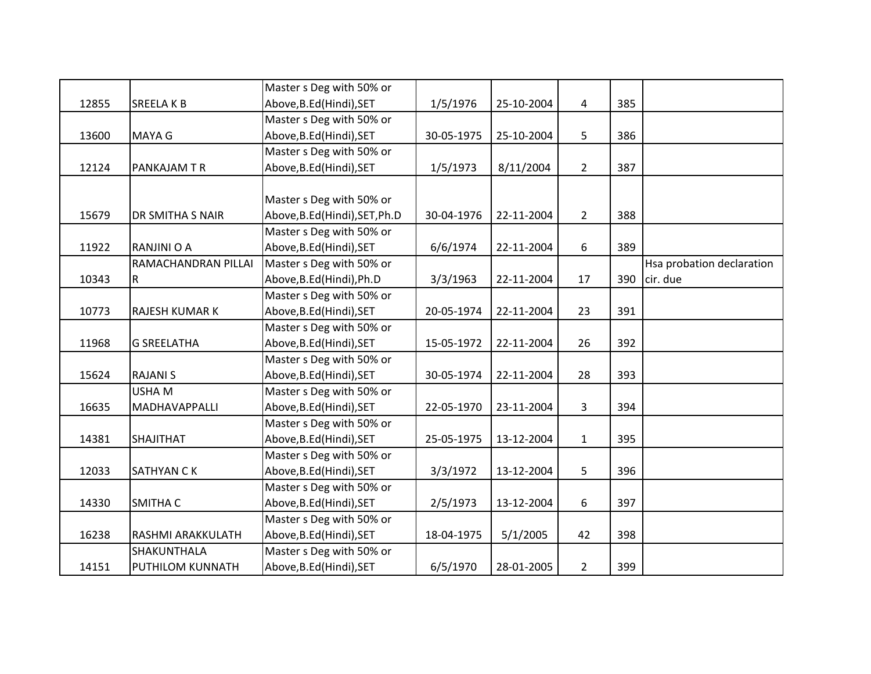|       |                       | Master s Deg with 50% or       |            |            |                |     |                           |
|-------|-----------------------|--------------------------------|------------|------------|----------------|-----|---------------------------|
| 12855 | <b>SREELAKB</b>       | Above, B.Ed (Hindi), SET       | 1/5/1976   | 25-10-2004 | 4              | 385 |                           |
|       |                       | Master s Deg with 50% or       |            |            |                |     |                           |
| 13600 | <b>MAYA G</b>         | Above, B.Ed (Hindi), SET       | 30-05-1975 | 25-10-2004 | 5              | 386 |                           |
|       |                       | Master s Deg with 50% or       |            |            |                |     |                           |
| 12124 | <b>PANKAJAM T R</b>   | Above, B.Ed (Hindi), SET       | 1/5/1973   | 8/11/2004  | $2^{\circ}$    | 387 |                           |
|       |                       |                                |            |            |                |     |                           |
|       |                       | Master s Deg with 50% or       |            |            |                |     |                           |
| 15679 | DR SMITHA S NAIR      | Above, B.Ed (Hindi), SET, Ph.D | 30-04-1976 | 22-11-2004 | $\overline{2}$ | 388 |                           |
|       |                       | Master s Deg with 50% or       |            |            |                |     |                           |
| 11922 | RANJINI O A           | Above, B.Ed (Hindi), SET       | 6/6/1974   | 22-11-2004 | 6              | 389 |                           |
|       | RAMACHANDRAN PILLAI   | Master s Deg with 50% or       |            |            |                |     | Hsa probation declaration |
| 10343 | $\mathsf{R}$          | Above, B.Ed (Hindi), Ph.D      | 3/3/1963   | 22-11-2004 | 17             | 390 | cir. due                  |
|       |                       | Master s Deg with 50% or       |            |            |                |     |                           |
| 10773 | <b>RAJESH KUMAR K</b> | Above, B.Ed (Hindi), SET       | 20-05-1974 | 22-11-2004 | 23             | 391 |                           |
|       |                       | Master s Deg with 50% or       |            |            |                |     |                           |
| 11968 | <b>G SREELATHA</b>    | Above, B.Ed (Hindi), SET       | 15-05-1972 | 22-11-2004 | 26             | 392 |                           |
|       |                       | Master s Deg with 50% or       |            |            |                |     |                           |
| 15624 | <b>RAJANI S</b>       | Above, B.Ed (Hindi), SET       | 30-05-1974 | 22-11-2004 | 28             | 393 |                           |
|       | <b>USHAM</b>          | Master s Deg with 50% or       |            |            |                |     |                           |
| 16635 | MADHAVAPPALLI         | Above, B.Ed (Hindi), SET       | 22-05-1970 | 23-11-2004 | 3              | 394 |                           |
|       |                       | Master s Deg with 50% or       |            |            |                |     |                           |
| 14381 | SHAJITHAT             | Above, B.Ed (Hindi), SET       | 25-05-1975 | 13-12-2004 | $\mathbf{1}$   | 395 |                           |
|       |                       | Master s Deg with 50% or       |            |            |                |     |                           |
| 12033 | <b>SATHYAN CK</b>     | Above, B.Ed (Hindi), SET       | 3/3/1972   | 13-12-2004 | 5              | 396 |                           |
|       |                       | Master s Deg with 50% or       |            |            |                |     |                           |
| 14330 | SMITHA C              | Above, B.Ed (Hindi), SET       | 2/5/1973   | 13-12-2004 | 6              | 397 |                           |
|       |                       | Master s Deg with 50% or       |            |            |                |     |                           |
| 16238 | RASHMI ARAKKULATH     | Above, B.Ed (Hindi), SET       | 18-04-1975 | 5/1/2005   | 42             | 398 |                           |
|       | SHAKUNTHALA           | Master s Deg with 50% or       |            |            |                |     |                           |
| 14151 | PUTHILOM KUNNATH      | Above, B.Ed (Hindi), SET       | 6/5/1970   | 28-01-2005 | $\overline{2}$ | 399 |                           |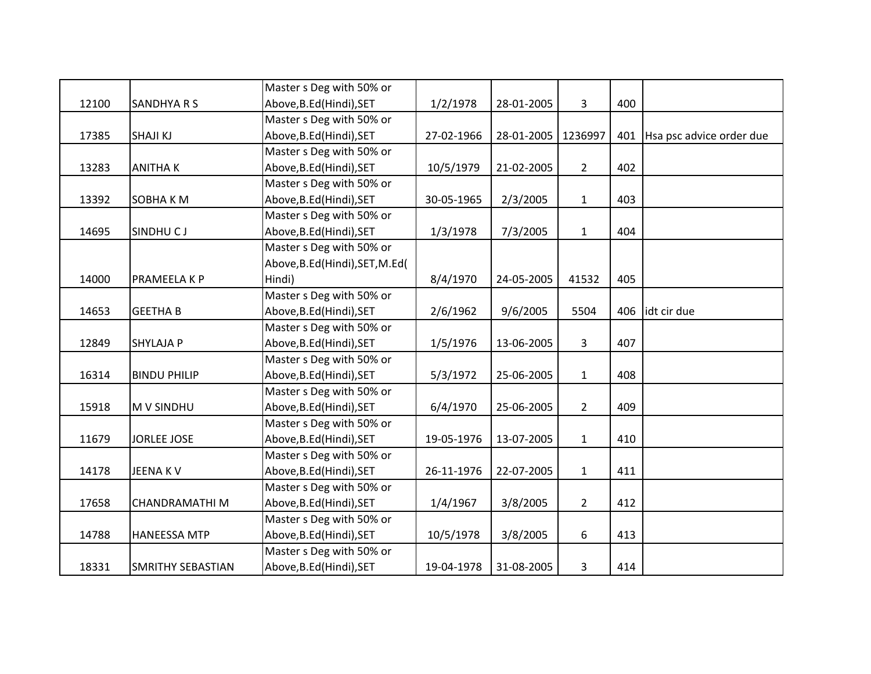|       |                          | Master s Deg with 50% or       |            |            |                |     |                          |
|-------|--------------------------|--------------------------------|------------|------------|----------------|-----|--------------------------|
| 12100 | <b>SANDHYA R S</b>       | Above, B.Ed (Hindi), SET       | 1/2/1978   | 28-01-2005 | 3              | 400 |                          |
|       |                          | Master s Deg with 50% or       |            |            |                |     |                          |
| 17385 | <b>SHAJI KJ</b>          | Above, B.Ed (Hindi), SET       | 27-02-1966 | 28-01-2005 | 1236997        | 401 | Hsa psc advice order due |
|       |                          | Master s Deg with 50% or       |            |            |                |     |                          |
| 13283 | <b>ANITHAK</b>           | Above, B.Ed (Hindi), SET       | 10/5/1979  | 21-02-2005 | $\overline{2}$ | 402 |                          |
|       |                          | Master s Deg with 50% or       |            |            |                |     |                          |
| 13392 | <b>SOBHAKM</b>           | Above, B.Ed (Hindi), SET       | 30-05-1965 | 2/3/2005   | $\mathbf{1}$   | 403 |                          |
|       |                          | Master s Deg with 50% or       |            |            |                |     |                          |
| 14695 | SINDHU CJ                | Above, B.Ed (Hindi), SET       | 1/3/1978   | 7/3/2005   | $\mathbf{1}$   | 404 |                          |
|       |                          | Master s Deg with 50% or       |            |            |                |     |                          |
|       |                          | Above, B.Ed(Hindi), SET, M.Ed( |            |            |                |     |                          |
| 14000 | PRAMEELA K P             | Hindi)                         | 8/4/1970   | 24-05-2005 | 41532          | 405 |                          |
|       |                          | Master s Deg with 50% or       |            |            |                |     |                          |
| 14653 | <b>GEETHA B</b>          | Above, B.Ed (Hindi), SET       | 2/6/1962   | 9/6/2005   | 5504           | 406 | idt cir due              |
|       |                          | Master s Deg with 50% or       |            |            |                |     |                          |
| 12849 | <b>SHYLAJA P</b>         | Above, B.Ed (Hindi), SET       | 1/5/1976   | 13-06-2005 | 3              | 407 |                          |
|       |                          | Master s Deg with 50% or       |            |            |                |     |                          |
| 16314 | <b>BINDU PHILIP</b>      | Above, B.Ed (Hindi), SET       | 5/3/1972   | 25-06-2005 | $\mathbf{1}$   | 408 |                          |
|       |                          | Master s Deg with 50% or       |            |            |                |     |                          |
| 15918 | <b>MV SINDHU</b>         | Above, B.Ed (Hindi), SET       | 6/4/1970   | 25-06-2005 | $\overline{2}$ | 409 |                          |
|       |                          | Master s Deg with 50% or       |            |            |                |     |                          |
| 11679 | <b>JORLEE JOSE</b>       | Above, B.Ed (Hindi), SET       | 19-05-1976 | 13-07-2005 | $\mathbf{1}$   | 410 |                          |
|       |                          | Master s Deg with 50% or       |            |            |                |     |                          |
| 14178 | <b>JEENAKV</b>           | Above, B.Ed (Hindi), SET       | 26-11-1976 | 22-07-2005 | $\mathbf{1}$   | 411 |                          |
|       |                          | Master s Deg with 50% or       |            |            |                |     |                          |
| 17658 | <b>CHANDRAMATHIM</b>     | Above, B.Ed (Hindi), SET       | 1/4/1967   | 3/8/2005   | $\overline{2}$ | 412 |                          |
|       |                          | Master s Deg with 50% or       |            |            |                |     |                          |
| 14788 | <b>HANEESSA MTP</b>      | Above, B.Ed (Hindi), SET       | 10/5/1978  | 3/8/2005   | 6              | 413 |                          |
|       |                          | Master s Deg with 50% or       |            |            |                |     |                          |
| 18331 | <b>SMRITHY SEBASTIAN</b> | Above, B.Ed (Hindi), SET       | 19-04-1978 | 31-08-2005 | 3              | 414 |                          |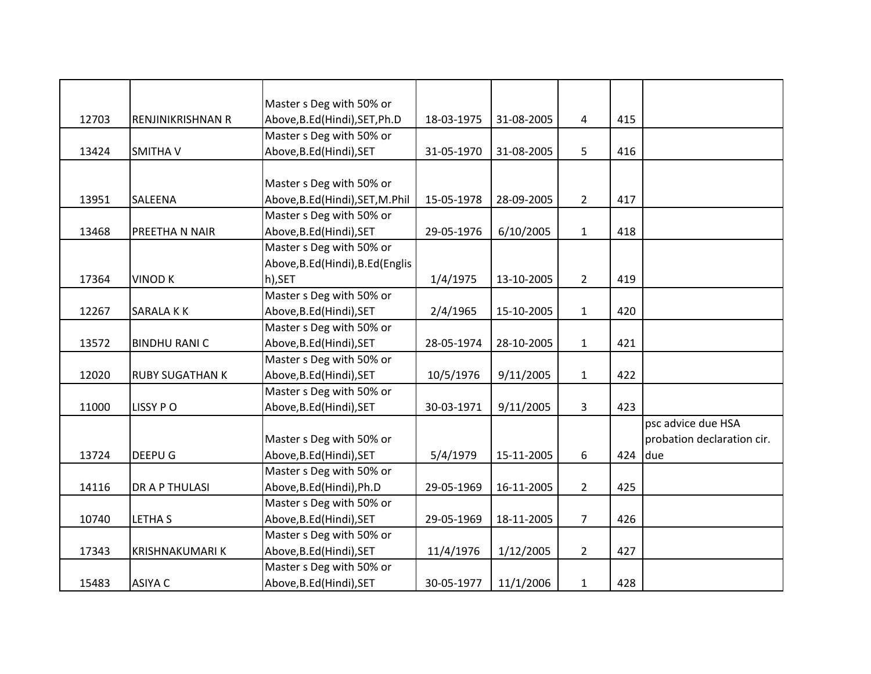|       |                        | Master s Deg with 50% or          |            |            |                |     |                            |
|-------|------------------------|-----------------------------------|------------|------------|----------------|-----|----------------------------|
|       |                        |                                   |            |            |                |     |                            |
| 12703 | RENJINIKRISHNAN R      | Above, B.Ed (Hindi), SET, Ph.D    | 18-03-1975 | 31-08-2005 | 4              | 415 |                            |
|       |                        | Master s Deg with 50% or          |            |            |                |     |                            |
| 13424 | SMITHA V               | Above, B.Ed (Hindi), SET          | 31-05-1970 | 31-08-2005 | 5              | 416 |                            |
|       |                        |                                   |            |            |                |     |                            |
|       |                        | Master s Deg with 50% or          |            |            |                |     |                            |
| 13951 | SALEENA                | Above, B.Ed (Hindi), SET, M.Phil  | 15-05-1978 | 28-09-2005 | $2^{\circ}$    | 417 |                            |
|       |                        | Master s Deg with 50% or          |            |            |                |     |                            |
| 13468 | PREETHA N NAIR         | Above, B.Ed (Hindi), SET          | 29-05-1976 | 6/10/2005  | $\mathbf{1}$   | 418 |                            |
|       |                        | Master s Deg with 50% or          |            |            |                |     |                            |
|       |                        | Above, B.Ed (Hindi), B.Ed (Englis |            |            |                |     |                            |
| 17364 | <b>VINOD K</b>         | h),SET                            | 1/4/1975   | 13-10-2005 | $2^{\circ}$    | 419 |                            |
|       |                        | Master s Deg with 50% or          |            |            |                |     |                            |
| 12267 | SARALA KK              | Above, B.Ed (Hindi), SET          | 2/4/1965   | 15-10-2005 | $\mathbf{1}$   | 420 |                            |
|       |                        | Master s Deg with 50% or          |            |            |                |     |                            |
| 13572 | <b>BINDHU RANI C</b>   | Above, B.Ed (Hindi), SET          | 28-05-1974 | 28-10-2005 | $\mathbf{1}$   | 421 |                            |
|       |                        | Master s Deg with 50% or          |            |            |                |     |                            |
| 12020 | <b>RUBY SUGATHAN K</b> | Above, B.Ed (Hindi), SET          | 10/5/1976  | 9/11/2005  | $\mathbf{1}$   | 422 |                            |
|       |                        | Master s Deg with 50% or          |            |            |                |     |                            |
| 11000 | LISSY PO               | Above, B.Ed (Hindi), SET          | 30-03-1971 | 9/11/2005  | 3              | 423 |                            |
|       |                        |                                   |            |            |                |     | psc advice due HSA         |
|       |                        | Master s Deg with 50% or          |            |            |                |     | probation declaration cir. |
| 13724 | DEEPU G                | Above, B.Ed (Hindi), SET          | 5/4/1979   | 15-11-2005 | 6              | 424 | due                        |
|       |                        | Master s Deg with 50% or          |            |            |                |     |                            |
| 14116 | DR A P THULASI         | Above, B.Ed (Hindi), Ph.D         | 29-05-1969 | 16-11-2005 | $\overline{2}$ | 425 |                            |
|       |                        | Master s Deg with 50% or          |            |            |                |     |                            |
| 10740 | <b>LETHA S</b>         | Above, B.Ed (Hindi), SET          | 29-05-1969 | 18-11-2005 | $\overline{7}$ | 426 |                            |
|       |                        | Master s Deg with 50% or          |            |            |                |     |                            |
| 17343 | <b>KRISHNAKUMARI K</b> | Above, B.Ed (Hindi), SET          | 11/4/1976  | 1/12/2005  | $\overline{2}$ | 427 |                            |
|       |                        | Master s Deg with 50% or          |            |            |                |     |                            |
| 15483 | <b>ASIYA C</b>         | Above, B.Ed (Hindi), SET          | 30-05-1977 | 11/1/2006  | $\mathbf{1}$   | 428 |                            |
|       |                        |                                   |            |            |                |     |                            |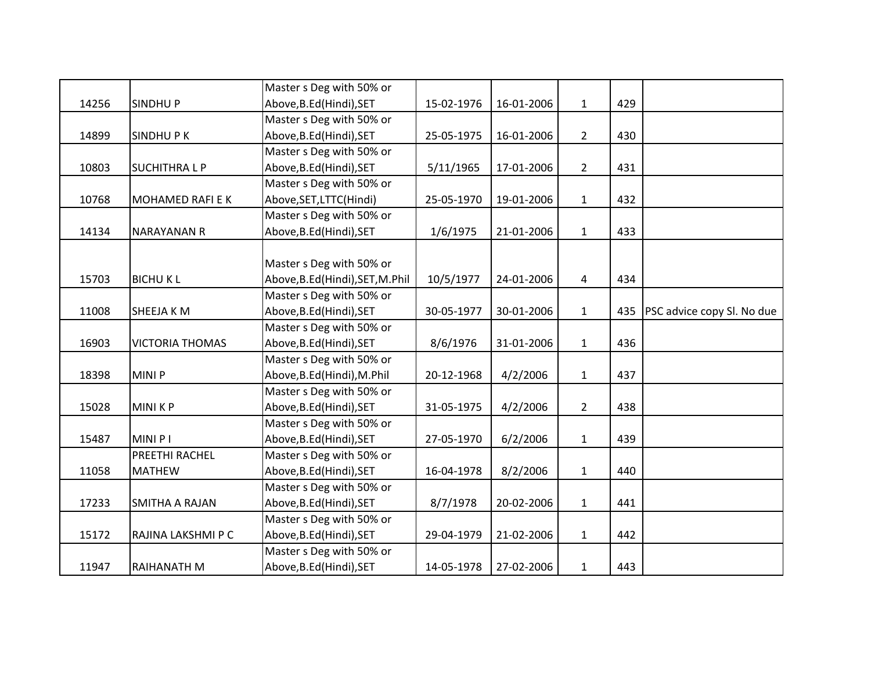|       |                        | Master s Deg with 50% or         |            |            |                |     |                            |
|-------|------------------------|----------------------------------|------------|------------|----------------|-----|----------------------------|
| 14256 | <b>SINDHUP</b>         | Above, B.Ed (Hindi), SET         | 15-02-1976 | 16-01-2006 | $\mathbf{1}$   | 429 |                            |
|       |                        | Master s Deg with 50% or         |            |            |                |     |                            |
| 14899 | <b>SINDHUPK</b>        | Above, B.Ed (Hindi), SET         | 25-05-1975 | 16-01-2006 | $\overline{2}$ | 430 |                            |
|       |                        | Master s Deg with 50% or         |            |            |                |     |                            |
| 10803 | <b>SUCHITHRALP</b>     | Above, B.Ed (Hindi), SET         | 5/11/1965  | 17-01-2006 | $\overline{2}$ | 431 |                            |
|       |                        | Master s Deg with 50% or         |            |            |                |     |                            |
| 10768 | MOHAMED RAFI E K       | Above, SET, LTTC (Hindi)         | 25-05-1970 | 19-01-2006 | $\mathbf{1}$   | 432 |                            |
|       |                        | Master s Deg with 50% or         |            |            |                |     |                            |
| 14134 | <b>NARAYANAN R</b>     | Above, B.Ed (Hindi), SET         | 1/6/1975   | 21-01-2006 | $\mathbf{1}$   | 433 |                            |
|       |                        |                                  |            |            |                |     |                            |
|       |                        | Master s Deg with 50% or         |            |            |                |     |                            |
| 15703 | <b>BICHUKL</b>         | Above, B.Ed (Hindi), SET, M.Phil | 10/5/1977  | 24-01-2006 | $\overline{4}$ | 434 |                            |
|       |                        | Master s Deg with 50% or         |            |            |                |     |                            |
| 11008 | SHEEJA K M             | Above, B.Ed (Hindi), SET         | 30-05-1977 | 30-01-2006 | $\mathbf{1}$   | 435 | PSC advice copy Sl. No due |
|       |                        | Master s Deg with 50% or         |            |            |                |     |                            |
| 16903 | <b>VICTORIA THOMAS</b> | Above, B.Ed (Hindi), SET         | 8/6/1976   | 31-01-2006 | $\mathbf{1}$   | 436 |                            |
|       |                        | Master s Deg with 50% or         |            |            |                |     |                            |
| 18398 | MINI P                 | Above, B.Ed (Hindi), M.Phil      | 20-12-1968 | 4/2/2006   | $\mathbf{1}$   | 437 |                            |
|       |                        | Master s Deg with 50% or         |            |            |                |     |                            |
| 15028 | MINI K P               | Above, B.Ed (Hindi), SET         | 31-05-1975 | 4/2/2006   | $\overline{2}$ | 438 |                            |
|       |                        | Master s Deg with 50% or         |            |            |                |     |                            |
| 15487 | MINI P I               | Above, B.Ed (Hindi), SET         | 27-05-1970 | 6/2/2006   | $\mathbf{1}$   | 439 |                            |
|       | PREETHI RACHEL         | Master s Deg with 50% or         |            |            |                |     |                            |
| 11058 | <b>MATHEW</b>          | Above, B.Ed (Hindi), SET         | 16-04-1978 | 8/2/2006   | $\mathbf{1}$   | 440 |                            |
|       |                        | Master s Deg with 50% or         |            |            |                |     |                            |
| 17233 | SMITHA A RAJAN         | Above, B.Ed (Hindi), SET         | 8/7/1978   | 20-02-2006 | $\mathbf{1}$   | 441 |                            |
|       |                        | Master s Deg with 50% or         |            |            |                |     |                            |
| 15172 | RAJINA LAKSHMI P C     | Above, B.Ed (Hindi), SET         | 29-04-1979 | 21-02-2006 | $\mathbf{1}$   | 442 |                            |
|       |                        | Master s Deg with 50% or         |            |            |                |     |                            |
| 11947 | RAIHANATH M            | Above, B.Ed (Hindi), SET         | 14-05-1978 | 27-02-2006 | $\mathbf{1}$   | 443 |                            |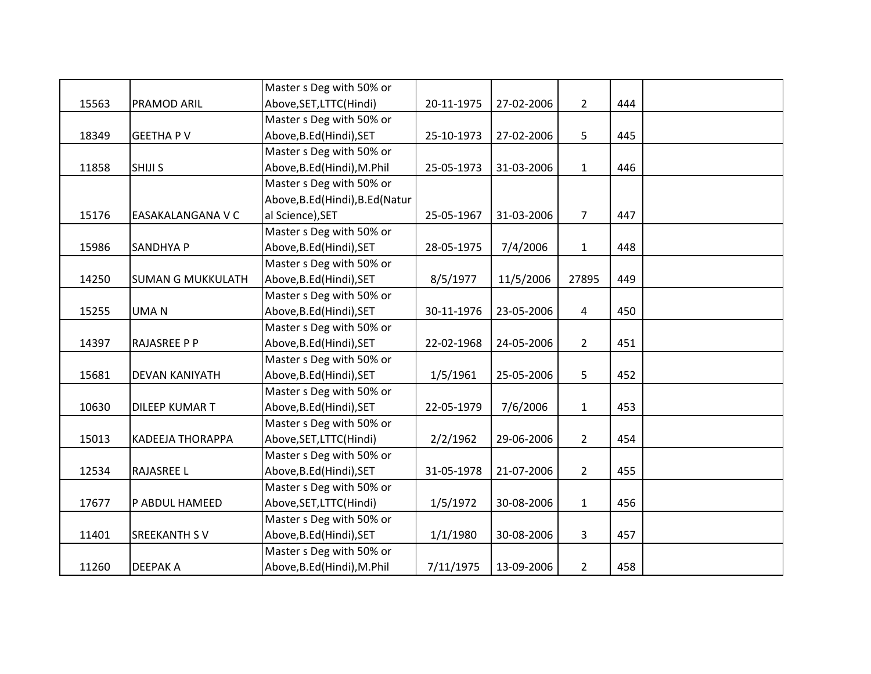|       |                          | Master s Deg with 50% or         |            |            |                |     |  |
|-------|--------------------------|----------------------------------|------------|------------|----------------|-----|--|
| 15563 | <b>PRAMOD ARIL</b>       | Above, SET, LTTC(Hindi)          | 20-11-1975 | 27-02-2006 | $2^{\circ}$    | 444 |  |
|       |                          | Master s Deg with 50% or         |            |            |                |     |  |
| 18349 | <b>GEETHA PV</b>         | Above, B.Ed (Hindi), SET         | 25-10-1973 | 27-02-2006 | 5              | 445 |  |
|       |                          | Master s Deg with 50% or         |            |            |                |     |  |
| 11858 | <b>SHIJI S</b>           | Above, B.Ed (Hindi), M.Phil      | 25-05-1973 | 31-03-2006 | $\mathbf{1}$   | 446 |  |
|       |                          | Master s Deg with 50% or         |            |            |                |     |  |
|       |                          | Above, B.Ed (Hindi), B.Ed (Natur |            |            |                |     |  |
| 15176 | EASAKALANGANA V C        | al Science), SET                 | 25-05-1967 | 31-03-2006 | $\overline{7}$ | 447 |  |
|       |                          | Master s Deg with 50% or         |            |            |                |     |  |
| 15986 | <b>SANDHYA P</b>         | Above, B.Ed (Hindi), SET         | 28-05-1975 | 7/4/2006   | $\mathbf{1}$   | 448 |  |
|       |                          | Master s Deg with 50% or         |            |            |                |     |  |
| 14250 | <b>SUMAN G MUKKULATH</b> | Above, B.Ed (Hindi), SET         | 8/5/1977   | 11/5/2006  | 27895          | 449 |  |
|       |                          | Master s Deg with 50% or         |            |            |                |     |  |
| 15255 | <b>UMAN</b>              | Above, B.Ed (Hindi), SET         | 30-11-1976 | 23-05-2006 | 4              | 450 |  |
|       |                          | Master s Deg with 50% or         |            |            |                |     |  |
| 14397 | <b>RAJASREE P P</b>      | Above, B.Ed (Hindi), SET         | 22-02-1968 | 24-05-2006 | $2^{\circ}$    | 451 |  |
|       |                          | Master s Deg with 50% or         |            |            |                |     |  |
| 15681 | <b>DEVAN KANIYATH</b>    | Above, B.Ed (Hindi), SET         | 1/5/1961   | 25-05-2006 | 5              | 452 |  |
|       |                          | Master s Deg with 50% or         |            |            |                |     |  |
| 10630 | <b>DILEEP KUMAR T</b>    | Above, B.Ed (Hindi), SET         | 22-05-1979 | 7/6/2006   | $\mathbf{1}$   | 453 |  |
|       |                          | Master s Deg with 50% or         |            |            |                |     |  |
| 15013 | <b>KADEEJA THORAPPA</b>  | Above, SET, LTTC(Hindi)          | 2/2/1962   | 29-06-2006 | $\overline{2}$ | 454 |  |
|       |                          | Master s Deg with 50% or         |            |            |                |     |  |
| 12534 | <b>RAJASREE L</b>        | Above, B.Ed (Hindi), SET         | 31-05-1978 | 21-07-2006 | $2^{\circ}$    | 455 |  |
|       |                          | Master s Deg with 50% or         |            |            |                |     |  |
| 17677 | P ABDUL HAMEED           | Above, SET, LTTC(Hindi)          | 1/5/1972   | 30-08-2006 | $\mathbf{1}$   | 456 |  |
|       |                          | Master s Deg with 50% or         |            |            |                |     |  |
| 11401 | <b>SREEKANTH SV</b>      | Above, B.Ed (Hindi), SET         | 1/1/1980   | 30-08-2006 | $\mathbf{3}$   | 457 |  |
|       |                          | Master s Deg with 50% or         |            |            |                |     |  |
| 11260 | <b>DEEPAKA</b>           | Above, B.Ed (Hindi), M.Phil      | 7/11/1975  | 13-09-2006 | $\overline{2}$ | 458 |  |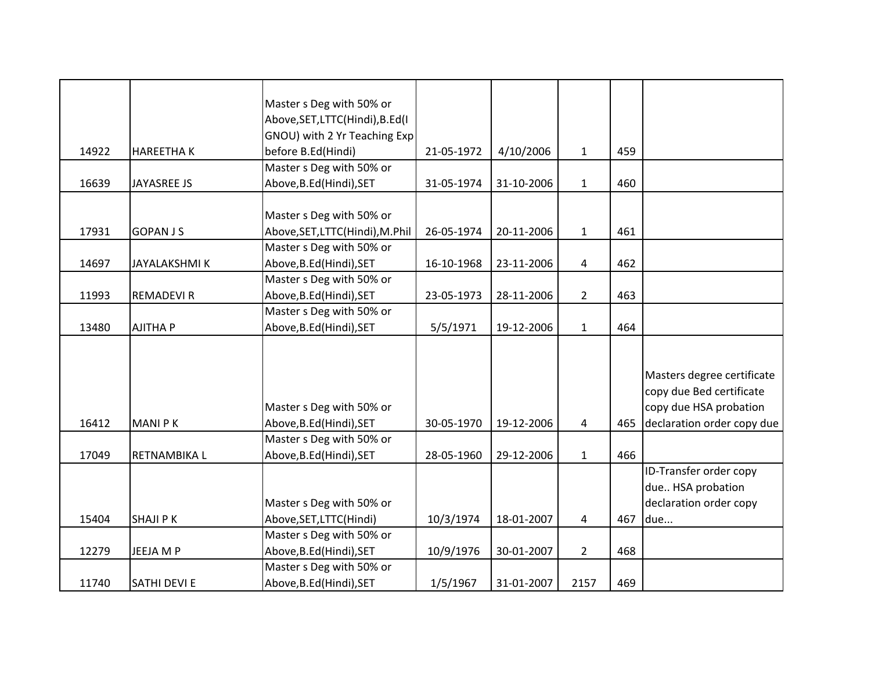|       |                     | Master s Deg with 50% or        |            |            |                |     |                            |
|-------|---------------------|---------------------------------|------------|------------|----------------|-----|----------------------------|
|       |                     | Above, SET, LTTC(Hindi), B.Ed(I |            |            |                |     |                            |
|       |                     | GNOU) with 2 Yr Teaching Exp    |            |            |                |     |                            |
| 14922 | <b>HAREETHAK</b>    | before B.Ed(Hindi)              | 21-05-1972 | 4/10/2006  | $\mathbf{1}$   | 459 |                            |
|       |                     | Master s Deg with 50% or        |            |            |                |     |                            |
| 16639 | JAYASREE JS         | Above, B.Ed (Hindi), SET        | 31-05-1974 | 31-10-2006 | $\mathbf{1}$   | 460 |                            |
|       |                     |                                 |            |            |                |     |                            |
|       |                     | Master s Deg with 50% or        |            |            |                |     |                            |
| 17931 | <b>GOPAN JS</b>     | Above, SET, LTTC(Hindi), M.Phil | 26-05-1974 | 20-11-2006 | $\mathbf{1}$   | 461 |                            |
|       |                     | Master s Deg with 50% or        |            |            |                |     |                            |
| 14697 | <b>JAYALAKSHMIK</b> | Above, B.Ed (Hindi), SET        | 16-10-1968 | 23-11-2006 | 4              | 462 |                            |
|       |                     | Master s Deg with 50% or        |            |            |                |     |                            |
| 11993 | <b>REMADEVI R</b>   | Above, B.Ed (Hindi), SET        | 23-05-1973 | 28-11-2006 | $\overline{2}$ | 463 |                            |
|       |                     | Master s Deg with 50% or        |            |            |                |     |                            |
| 13480 | <b>AJITHA P</b>     | Above, B.Ed (Hindi), SET        | 5/5/1971   | 19-12-2006 | $\mathbf{1}$   | 464 |                            |
|       |                     |                                 |            |            |                |     |                            |
|       |                     |                                 |            |            |                |     |                            |
|       |                     |                                 |            |            |                |     | Masters degree certificate |
|       |                     |                                 |            |            |                |     | copy due Bed certificate   |
|       |                     | Master s Deg with 50% or        |            |            |                |     | copy due HSA probation     |
| 16412 | <b>MANIPK</b>       | Above, B.Ed (Hindi), SET        | 30-05-1970 | 19-12-2006 | 4              | 465 | declaration order copy due |
|       |                     | Master s Deg with 50% or        |            |            |                |     |                            |
| 17049 | RETNAMBIKA L        | Above, B.Ed (Hindi), SET        | 28-05-1960 | 29-12-2006 | $\mathbf{1}$   | 466 |                            |
|       |                     |                                 |            |            |                |     | ID-Transfer order copy     |
|       |                     |                                 |            |            |                |     | due HSA probation          |
|       |                     | Master s Deg with 50% or        |            |            |                |     | declaration order copy     |
| 15404 | <b>SHAJI PK</b>     | Above, SET, LTTC(Hindi)         | 10/3/1974  | 18-01-2007 | 4              | 467 | due                        |
|       |                     | Master s Deg with 50% or        |            |            |                |     |                            |
| 12279 | JEEJA M P           | Above, B.Ed (Hindi), SET        | 10/9/1976  | 30-01-2007 | $\overline{2}$ | 468 |                            |
|       |                     | Master s Deg with 50% or        |            |            |                |     |                            |
| 11740 | <b>SATHI DEVI E</b> | Above, B.Ed (Hindi), SET        | 1/5/1967   | 31-01-2007 | 2157           | 469 |                            |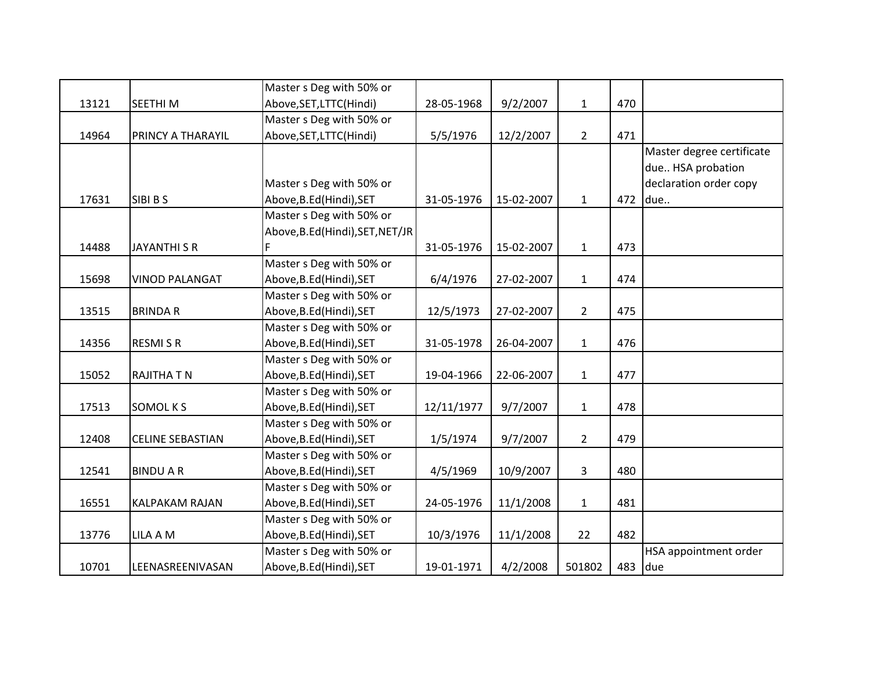|       |                         | Master s Deg with 50% or         |            |            |                |     |                           |
|-------|-------------------------|----------------------------------|------------|------------|----------------|-----|---------------------------|
| 13121 | SEETHI <sub>M</sub>     | Above, SET, LTTC(Hindi)          | 28-05-1968 | 9/2/2007   | $\mathbf{1}$   | 470 |                           |
|       |                         | Master s Deg with 50% or         |            |            |                |     |                           |
| 14964 | PRINCY A THARAYIL       | Above, SET, LTTC(Hindi)          | 5/5/1976   | 12/2/2007  | $\overline{2}$ | 471 |                           |
|       |                         |                                  |            |            |                |     | Master degree certificate |
|       |                         |                                  |            |            |                |     | due HSA probation         |
|       |                         | Master s Deg with 50% or         |            |            |                |     | declaration order copy    |
| 17631 | SIBI B S                | Above, B.Ed (Hindi), SET         | 31-05-1976 | 15-02-2007 | $\mathbf{1}$   | 472 | due                       |
|       |                         | Master s Deg with 50% or         |            |            |                |     |                           |
|       |                         | Above, B.Ed (Hindi), SET, NET/JR |            |            |                |     |                           |
| 14488 | <b>JAYANTHI S R</b>     |                                  | 31-05-1976 | 15-02-2007 | $\mathbf{1}$   | 473 |                           |
|       |                         | Master s Deg with 50% or         |            |            |                |     |                           |
| 15698 | <b>VINOD PALANGAT</b>   | Above, B.Ed (Hindi), SET         | 6/4/1976   | 27-02-2007 | $\mathbf{1}$   | 474 |                           |
|       |                         | Master s Deg with 50% or         |            |            |                |     |                           |
| 13515 | <b>BRINDAR</b>          | Above, B.Ed (Hindi), SET         | 12/5/1973  | 27-02-2007 | 2 <sup>1</sup> | 475 |                           |
|       |                         | Master s Deg with 50% or         |            |            |                |     |                           |
| 14356 | <b>RESMISR</b>          | Above, B.Ed (Hindi), SET         | 31-05-1978 | 26-04-2007 | $\mathbf{1}$   | 476 |                           |
|       |                         | Master s Deg with 50% or         |            |            |                |     |                           |
| 15052 | <b>RAJITHA T N</b>      | Above, B.Ed (Hindi), SET         | 19-04-1966 | 22-06-2007 | $\mathbf{1}$   | 477 |                           |
|       |                         | Master s Deg with 50% or         |            |            |                |     |                           |
| 17513 | <b>SOMOLKS</b>          | Above, B.Ed (Hindi), SET         | 12/11/1977 | 9/7/2007   | $\mathbf{1}$   | 478 |                           |
|       |                         | Master s Deg with 50% or         |            |            |                |     |                           |
| 12408 | <b>CELINE SEBASTIAN</b> | Above, B.Ed (Hindi), SET         | 1/5/1974   | 9/7/2007   | $\overline{2}$ | 479 |                           |
|       |                         | Master s Deg with 50% or         |            |            |                |     |                           |
| 12541 | <b>BINDUAR</b>          | Above, B.Ed (Hindi), SET         | 4/5/1969   | 10/9/2007  | 3              | 480 |                           |
|       |                         | Master s Deg with 50% or         |            |            |                |     |                           |
| 16551 | KALPAKAM RAJAN          | Above, B.Ed (Hindi), SET         | 24-05-1976 | 11/1/2008  | $\mathbf{1}$   | 481 |                           |
|       |                         | Master s Deg with 50% or         |            |            |                |     |                           |
| 13776 | LILA A M                | Above, B.Ed (Hindi), SET         | 10/3/1976  | 11/1/2008  | 22             | 482 |                           |
|       |                         | Master s Deg with 50% or         |            |            |                |     | HSA appointment order     |
| 10701 | LEENASREENIVASAN        | Above, B.Ed (Hindi), SET         | 19-01-1971 | 4/2/2008   | 501802         | 483 | due                       |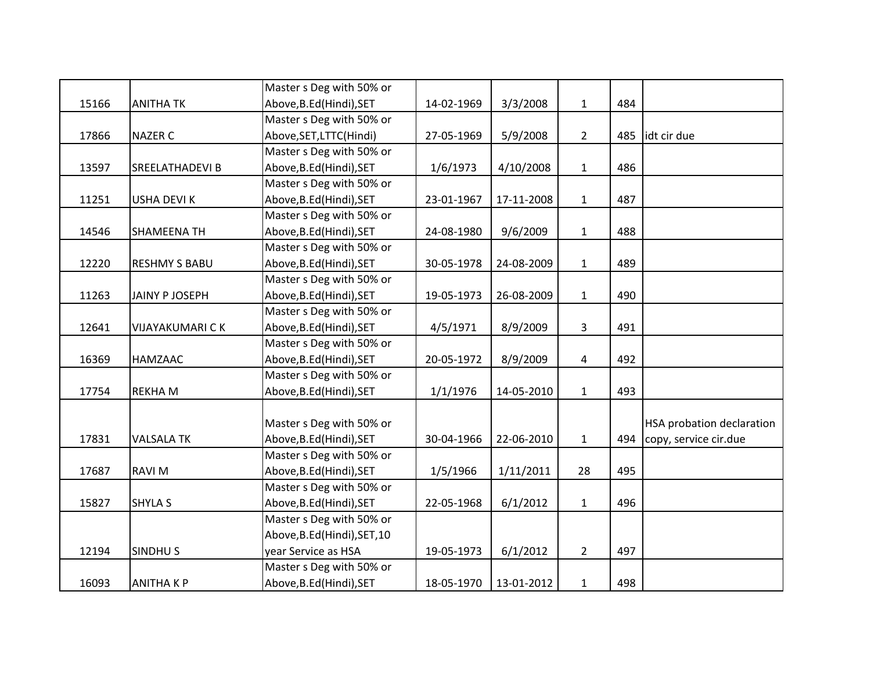|       |                        | Master s Deg with 50% or     |            |            |                |     |                           |
|-------|------------------------|------------------------------|------------|------------|----------------|-----|---------------------------|
| 15166 | <b>ANITHA TK</b>       | Above, B.Ed (Hindi), SET     | 14-02-1969 | 3/3/2008   | $\mathbf{1}$   | 484 |                           |
|       |                        | Master s Deg with 50% or     |            |            |                |     |                           |
| 17866 | <b>NAZER C</b>         | Above, SET, LTTC(Hindi)      | 27-05-1969 | 5/9/2008   | $\overline{2}$ | 485 | idt cir due               |
|       |                        | Master s Deg with 50% or     |            |            |                |     |                           |
| 13597 | SREELATHADEVI B        | Above, B.Ed (Hindi), SET     | 1/6/1973   | 4/10/2008  | $\mathbf{1}$   | 486 |                           |
|       |                        | Master s Deg with 50% or     |            |            |                |     |                           |
| 11251 | <b>USHA DEVIK</b>      | Above, B.Ed (Hindi), SET     | 23-01-1967 | 17-11-2008 | $\mathbf{1}$   | 487 |                           |
|       |                        | Master s Deg with 50% or     |            |            |                |     |                           |
| 14546 | <b>SHAMEENA TH</b>     | Above, B.Ed (Hindi), SET     | 24-08-1980 | 9/6/2009   | $\mathbf{1}$   | 488 |                           |
|       |                        | Master s Deg with 50% or     |            |            |                |     |                           |
| 12220 | <b>RESHMY S BABU</b>   | Above, B.Ed (Hindi), SET     | 30-05-1978 | 24-08-2009 | $\mathbf{1}$   | 489 |                           |
|       |                        | Master s Deg with 50% or     |            |            |                |     |                           |
| 11263 | <b>JAINY P JOSEPH</b>  | Above, B.Ed (Hindi), SET     | 19-05-1973 | 26-08-2009 | $\mathbf{1}$   | 490 |                           |
|       |                        | Master s Deg with 50% or     |            |            |                |     |                           |
| 12641 | <b>VIJAYAKUMARI CK</b> | Above, B.Ed (Hindi), SET     | 4/5/1971   | 8/9/2009   | $\mathbf{3}$   | 491 |                           |
|       |                        | Master s Deg with 50% or     |            |            |                |     |                           |
| 16369 | HAMZAAC                | Above, B.Ed (Hindi), SET     | 20-05-1972 | 8/9/2009   | 4              | 492 |                           |
|       |                        | Master s Deg with 50% or     |            |            |                |     |                           |
| 17754 | <b>REKHAM</b>          | Above, B.Ed (Hindi), SET     | 1/1/1976   | 14-05-2010 | $\mathbf{1}$   | 493 |                           |
|       |                        |                              |            |            |                |     |                           |
|       |                        | Master s Deg with 50% or     |            |            |                |     | HSA probation declaration |
| 17831 | <b>VALSALA TK</b>      | Above, B.Ed (Hindi), SET     | 30-04-1966 | 22-06-2010 | $\mathbf{1}$   | 494 | copy, service cir.due     |
|       |                        | Master s Deg with 50% or     |            |            |                |     |                           |
| 17687 | <b>RAVIM</b>           | Above, B.Ed (Hindi), SET     | 1/5/1966   | 1/11/2011  | 28             | 495 |                           |
|       |                        | Master s Deg with 50% or     |            |            |                |     |                           |
| 15827 | <b>SHYLA S</b>         | Above, B.Ed (Hindi), SET     | 22-05-1968 | 6/1/2012   | $\mathbf{1}$   | 496 |                           |
|       |                        | Master s Deg with 50% or     |            |            |                |     |                           |
|       |                        | Above, B.Ed (Hindi), SET, 10 |            |            |                |     |                           |
| 12194 | <b>SINDHUS</b>         | year Service as HSA          | 19-05-1973 | 6/1/2012   | $\overline{2}$ | 497 |                           |
|       |                        | Master s Deg with 50% or     |            |            |                |     |                           |
| 16093 | <b>ANITHAKP</b>        | Above, B.Ed (Hindi), SET     | 18-05-1970 | 13-01-2012 | $\mathbf{1}$   | 498 |                           |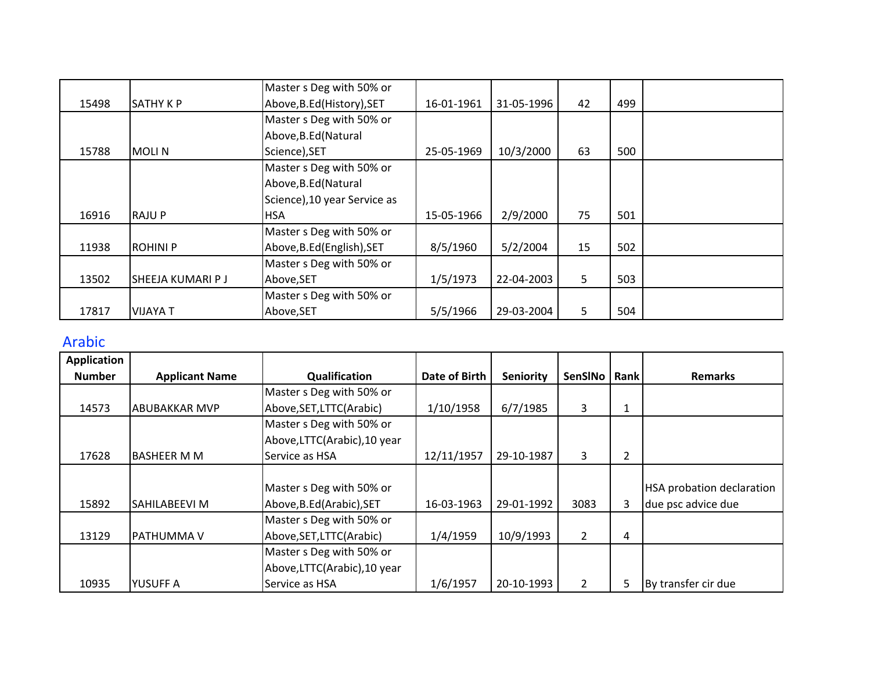|       |                   | Master s Deg with 50% or     |            |            |    |     |  |
|-------|-------------------|------------------------------|------------|------------|----|-----|--|
| 15498 | <b>SATHY K P</b>  | Above, B.Ed (History), SET   | 16-01-1961 | 31-05-1996 | 42 | 499 |  |
|       |                   | Master s Deg with 50% or     |            |            |    |     |  |
|       |                   | Above, B.Ed (Natural         |            |            |    |     |  |
| 15788 | <b>MOLIN</b>      | Science), SET                | 25-05-1969 | 10/3/2000  | 63 | 500 |  |
|       |                   | Master s Deg with 50% or     |            |            |    |     |  |
|       |                   | Above, B.Ed (Natural         |            |            |    |     |  |
|       |                   | Science), 10 year Service as |            |            |    |     |  |
| 16916 | <b>RAJUP</b>      | <b>HSA</b>                   | 15-05-1966 | 2/9/2000   | 75 | 501 |  |
|       |                   | Master s Deg with 50% or     |            |            |    |     |  |
| 11938 | <b>ROHINI P</b>   | Above, B.Ed (English), SET   | 8/5/1960   | 5/2/2004   | 15 | 502 |  |
|       |                   | Master s Deg with 50% or     |            |            |    |     |  |
| 13502 | SHEEJA KUMARI P J | Above, SET                   | 1/5/1973   | 22-04-2003 | 5  | 503 |  |
|       |                   | Master s Deg with 50% or     |            |            |    |     |  |
| 17817 | <b>VIJAYA T</b>   | Above, SET                   | 5/5/1966   | 29-03-2004 | 5  | 504 |  |

## Arabic

| <b>Application</b> |                       |                              |               |                  |                       |                |                                  |
|--------------------|-----------------------|------------------------------|---------------|------------------|-----------------------|----------------|----------------------------------|
| <b>Number</b>      | <b>Applicant Name</b> | Qualification                | Date of Birth | <b>Seniority</b> | <b>SenSINo</b>        | Rank           | <b>Remarks</b>                   |
|                    |                       | Master s Deg with 50% or     |               |                  |                       |                |                                  |
| 14573              | ABUBAKKAR MVP         | Above, SET, LTTC (Arabic)    | 1/10/1958     | 6/7/1985         | 3                     | $\mathbf{1}$   |                                  |
|                    |                       | Master s Deg with 50% or     |               |                  |                       |                |                                  |
|                    |                       | Above, LTTC(Arabic), 10 year |               |                  |                       |                |                                  |
| 17628              | <b>BASHEER M M</b>    | Service as HSA               | 12/11/1957    | 29-10-1987       | 3                     | $\overline{2}$ |                                  |
|                    |                       |                              |               |                  |                       |                |                                  |
|                    |                       | Master s Deg with 50% or     |               |                  |                       |                | <b>HSA probation declaration</b> |
| 15892              | SAHILABEEVI M         | Above, B.Ed (Arabic), SET    | 16-03-1963    | 29-01-1992       | 3083                  | 3              | due psc advice due               |
|                    |                       | Master s Deg with 50% or     |               |                  |                       |                |                                  |
| 13129              | <b>PATHUMMAV</b>      | Above, SET, LTTC (Arabic)    | 1/4/1959      | 10/9/1993        | $\overline{2}$        | 4              |                                  |
|                    |                       | Master s Deg with 50% or     |               |                  |                       |                |                                  |
|                    |                       | Above,LTTC(Arabic),10 year   |               |                  |                       |                |                                  |
| 10935              | YUSUFF A              | Service as HSA               | 1/6/1957      | 20-10-1993       | $\mathbf{2}^{\prime}$ | 5              | By transfer cir due              |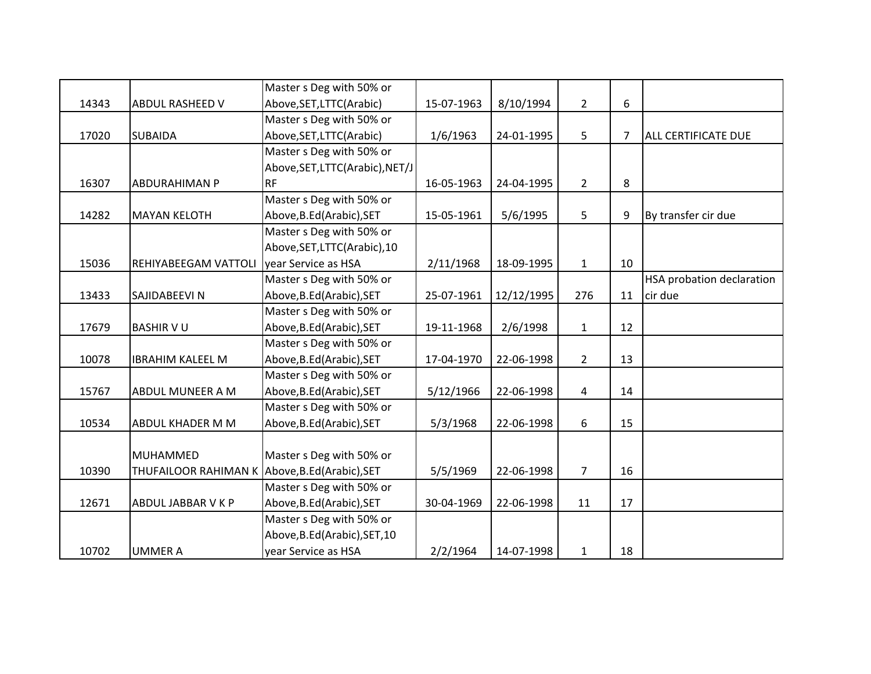|       |                                                | Master s Deg with 50% or        |            |            |                |    |                            |
|-------|------------------------------------------------|---------------------------------|------------|------------|----------------|----|----------------------------|
| 14343 | <b>ABDUL RASHEED V</b>                         | Above, SET, LTTC (Arabic)       | 15-07-1963 | 8/10/1994  | $\overline{2}$ | 6  |                            |
|       |                                                | Master s Deg with 50% or        |            |            |                |    |                            |
| 17020 | <b>SUBAIDA</b>                                 | Above, SET, LTTC (Arabic)       | 1/6/1963   | 24-01-1995 | 5              | 7  | <b>ALL CERTIFICATE DUE</b> |
|       |                                                | Master s Deg with 50% or        |            |            |                |    |                            |
|       |                                                | Above, SET, LTTC(Arabic), NET/J |            |            |                |    |                            |
| 16307 | <b>ABDURAHIMAN P</b>                           | <b>RF</b>                       | 16-05-1963 | 24-04-1995 | $2^{\circ}$    | 8  |                            |
|       |                                                | Master s Deg with 50% or        |            |            |                |    |                            |
| 14282 | <b>MAYAN KELOTH</b>                            | Above, B.Ed(Arabic), SET        | 15-05-1961 | 5/6/1995   | 5              | 9  | By transfer cir due        |
|       |                                                | Master s Deg with 50% or        |            |            |                |    |                            |
|       |                                                | Above, SET, LTTC (Arabic), 10   |            |            |                |    |                            |
| 15036 | REHIYABEEGAM VATTOLI                           | year Service as HSA             | 2/11/1968  | 18-09-1995 | $\mathbf{1}$   | 10 |                            |
|       |                                                | Master s Deg with 50% or        |            |            |                |    | HSA probation declaration  |
| 13433 | <b>SAJIDABEEVI N</b>                           | Above, B.Ed (Arabic), SET       | 25-07-1961 | 12/12/1995 | 276            | 11 | cir due                    |
|       |                                                | Master s Deg with 50% or        |            |            |                |    |                            |
| 17679 | <b>BASHIR V U</b>                              | Above, B.Ed (Arabic), SET       | 19-11-1968 | 2/6/1998   | $\mathbf{1}$   | 12 |                            |
|       |                                                | Master s Deg with 50% or        |            |            |                |    |                            |
| 10078 | <b>IBRAHIM KALEEL M</b>                        | Above, B.Ed (Arabic), SET       | 17-04-1970 | 22-06-1998 | $2^{\circ}$    | 13 |                            |
|       |                                                | Master s Deg with 50% or        |            |            |                |    |                            |
| 15767 | <b>ABDUL MUNEER A M</b>                        | Above, B.Ed (Arabic), SET       | 5/12/1966  | 22-06-1998 | $\overline{4}$ | 14 |                            |
|       |                                                | Master s Deg with 50% or        |            |            |                |    |                            |
| 10534 | ABDUL KHADER M M                               | Above, B.Ed (Arabic), SET       | 5/3/1968   | 22-06-1998 | 6              | 15 |                            |
|       |                                                |                                 |            |            |                |    |                            |
|       | MUHAMMED                                       | Master s Deg with 50% or        |            |            |                |    |                            |
| 10390 | THUFAILOOR RAHIMAN K Above, B.Ed (Arabic), SET |                                 | 5/5/1969   | 22-06-1998 | $\overline{7}$ | 16 |                            |
|       |                                                | Master s Deg with 50% or        |            |            |                |    |                            |
| 12671 | <b>ABDUL JABBAR V K P</b>                      | Above, B.Ed (Arabic), SET       | 30-04-1969 | 22-06-1998 | 11             | 17 |                            |
|       |                                                | Master s Deg with 50% or        |            |            |                |    |                            |
|       |                                                | Above, B.Ed(Arabic), SET, 10    |            |            |                |    |                            |
| 10702 | <b>UMMER A</b>                                 | year Service as HSA             | 2/2/1964   | 14-07-1998 | $\mathbf{1}$   | 18 |                            |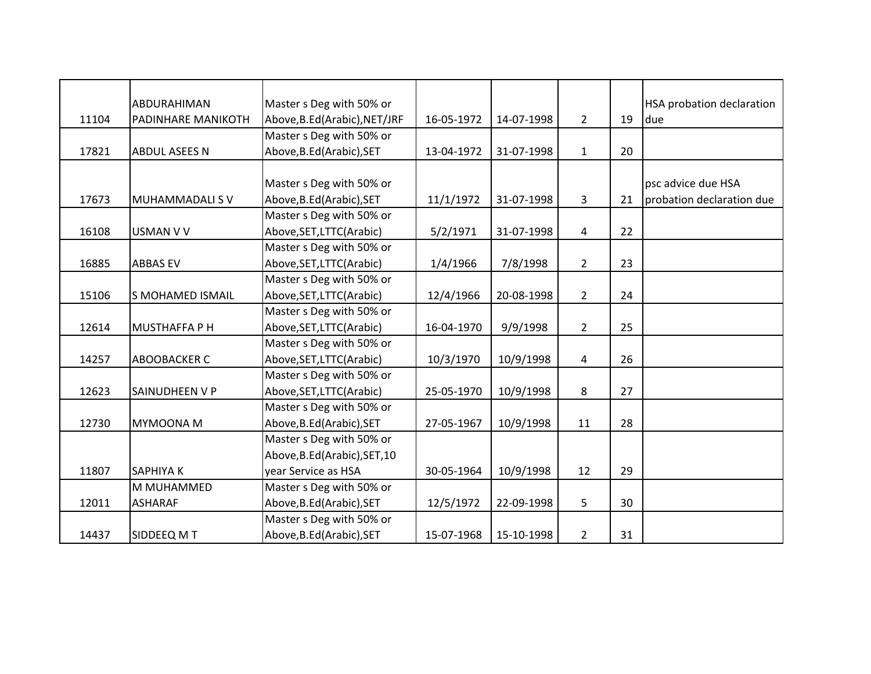|       | ABDURAHIMAN             | Master s Deg with 50% or     |            |            |                |    | <b>HSA probation declaration</b> |
|-------|-------------------------|------------------------------|------------|------------|----------------|----|----------------------------------|
| 11104 | PADINHARE MANIKOTH      | Above, B.Ed(Arabic), NET/JRF | 16-05-1972 | 14-07-1998 | $\overline{2}$ | 19 | due                              |
|       |                         | Master s Deg with 50% or     |            |            |                |    |                                  |
| 17821 | <b>ABDUL ASEES N</b>    | Above, B.Ed (Arabic), SET    | 13-04-1972 | 31-07-1998 | $\mathbf{1}$   | 20 |                                  |
|       |                         |                              |            |            |                |    |                                  |
|       |                         | Master s Deg with 50% or     |            |            |                |    | psc advice due HSA               |
| 17673 | <b>MUHAMMADALI S V</b>  | Above, B.Ed (Arabic), SET    | 11/1/1972  | 31-07-1998 | 3              | 21 | probation declaration due        |
|       |                         | Master s Deg with 50% or     |            |            |                |    |                                  |
| 16108 | <b>USMAN V V</b>        | Above, SET, LTTC (Arabic)    | 5/2/1971   | 31-07-1998 | $\overline{4}$ | 22 |                                  |
|       |                         | Master s Deg with 50% or     |            |            |                |    |                                  |
| 16885 | <b>ABBAS EV</b>         | Above, SET, LTTC (Arabic)    | 1/4/1966   | 7/8/1998   | $\overline{2}$ | 23 |                                  |
|       |                         | Master s Deg with 50% or     |            |            |                |    |                                  |
| 15106 | <b>S MOHAMED ISMAIL</b> | Above, SET, LTTC (Arabic)    | 12/4/1966  | 20-08-1998 | $2^{\circ}$    | 24 |                                  |
|       |                         | Master s Deg with 50% or     |            |            |                |    |                                  |
| 12614 | <b>MUSTHAFFA P H</b>    | Above, SET, LTTC(Arabic)     | 16-04-1970 | 9/9/1998   | $\overline{2}$ | 25 |                                  |
|       |                         | Master s Deg with 50% or     |            |            |                |    |                                  |
| 14257 | <b>ABOOBACKER C</b>     | Above, SET, LTTC (Arabic)    | 10/3/1970  | 10/9/1998  | 4              | 26 |                                  |
|       |                         | Master s Deg with 50% or     |            |            |                |    |                                  |
| 12623 | SAINUDHEEN V P          | Above, SET, LTTC (Arabic)    | 25-05-1970 | 10/9/1998  | 8              | 27 |                                  |
|       |                         | Master s Deg with 50% or     |            |            |                |    |                                  |
| 12730 | <b>MYMOONA M</b>        | Above, B.Ed (Arabic), SET    | 27-05-1967 | 10/9/1998  | 11             | 28 |                                  |
|       |                         | Master s Deg with 50% or     |            |            |                |    |                                  |
|       |                         | Above, B.Ed(Arabic), SET, 10 |            |            |                |    |                                  |
| 11807 | <b>SAPHIYAK</b>         | year Service as HSA          | 30-05-1964 | 10/9/1998  | 12             | 29 |                                  |
|       | M MUHAMMED              | Master s Deg with 50% or     |            |            |                |    |                                  |
| 12011 | <b>ASHARAF</b>          | Above, B.Ed(Arabic), SET     | 12/5/1972  | 22-09-1998 | 5              | 30 |                                  |
|       |                         | Master s Deg with 50% or     |            |            |                |    |                                  |
| 14437 | SIDDEEQ MT              | Above, B.Ed (Arabic), SET    | 15-07-1968 | 15-10-1998 | $\overline{2}$ | 31 |                                  |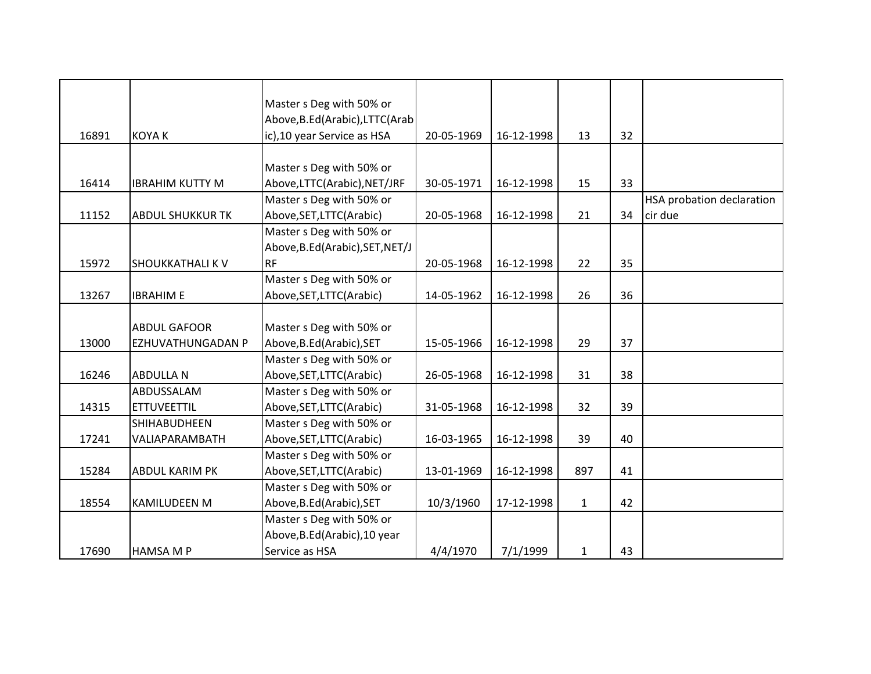|       |                         | Master s Deg with 50% or<br>Above, B.Ed(Arabic), LTTC(Arab |            |            |              |    |                           |
|-------|-------------------------|------------------------------------------------------------|------------|------------|--------------|----|---------------------------|
| 16891 | <b>KOYA K</b>           | ic), 10 year Service as HSA                                | 20-05-1969 | 16-12-1998 | 13           | 32 |                           |
|       |                         |                                                            |            |            |              |    |                           |
| 16414 | <b>IBRAHIM KUTTY M</b>  | Master s Deg with 50% or<br>Above,LTTC(Arabic),NET/JRF     | 30-05-1971 | 16-12-1998 | 15           | 33 |                           |
|       |                         | Master s Deg with 50% or                                   |            |            |              |    | HSA probation declaration |
| 11152 | <b>ABDUL SHUKKUR TK</b> | Above, SET, LTTC (Arabic)                                  | 20-05-1968 | 16-12-1998 | 21           | 34 | cir due                   |
|       |                         | Master s Deg with 50% or                                   |            |            |              |    |                           |
|       |                         | Above, B.Ed(Arabic), SET, NET/J                            |            |            |              |    |                           |
| 15972 | <b>SHOUKKATHALI K V</b> | <b>RF</b>                                                  | 20-05-1968 | 16-12-1998 | 22           | 35 |                           |
|       |                         | Master s Deg with 50% or                                   |            |            |              |    |                           |
| 13267 | <b>IBRAHIM E</b>        | Above, SET, LTTC (Arabic)                                  | 14-05-1962 | 16-12-1998 | 26           | 36 |                           |
|       |                         |                                                            |            |            |              |    |                           |
|       | <b>ABDUL GAFOOR</b>     | Master s Deg with 50% or                                   |            |            |              |    |                           |
| 13000 | EZHUVATHUNGADAN P       | Above, B.Ed (Arabic), SET                                  | 15-05-1966 | 16-12-1998 | 29           | 37 |                           |
|       |                         | Master s Deg with 50% or                                   |            |            |              |    |                           |
| 16246 | <b>ABDULLA N</b>        | Above, SET, LTTC (Arabic)                                  | 26-05-1968 | 16-12-1998 | 31           | 38 |                           |
|       | ABDUSSALAM              | Master s Deg with 50% or                                   |            |            |              |    |                           |
| 14315 | <b>ETTUVEETTIL</b>      | Above, SET, LTTC (Arabic)                                  | 31-05-1968 | 16-12-1998 | 32           | 39 |                           |
|       | <b>SHIHABUDHEEN</b>     | Master s Deg with 50% or                                   |            |            |              |    |                           |
| 17241 | VALIAPARAMBATH          | Above, SET, LTTC (Arabic)                                  | 16-03-1965 | 16-12-1998 | 39           | 40 |                           |
|       |                         | Master s Deg with 50% or                                   |            |            |              |    |                           |
| 15284 | <b>ABDUL KARIM PK</b>   | Above, SET, LTTC (Arabic)                                  | 13-01-1969 | 16-12-1998 | 897          | 41 |                           |
|       |                         | Master s Deg with 50% or                                   |            |            |              |    |                           |
| 18554 | <b>KAMILUDEEN M</b>     | Above, B.Ed (Arabic), SET                                  | 10/3/1960  | 17-12-1998 | $\mathbf{1}$ | 42 |                           |
|       |                         | Master s Deg with 50% or                                   |            |            |              |    |                           |
|       |                         | Above, B.Ed(Arabic), 10 year                               |            |            |              |    |                           |
| 17690 | <b>HAMSA M P</b>        | Service as HSA                                             | 4/4/1970   | 7/1/1999   | $\mathbf{1}$ | 43 |                           |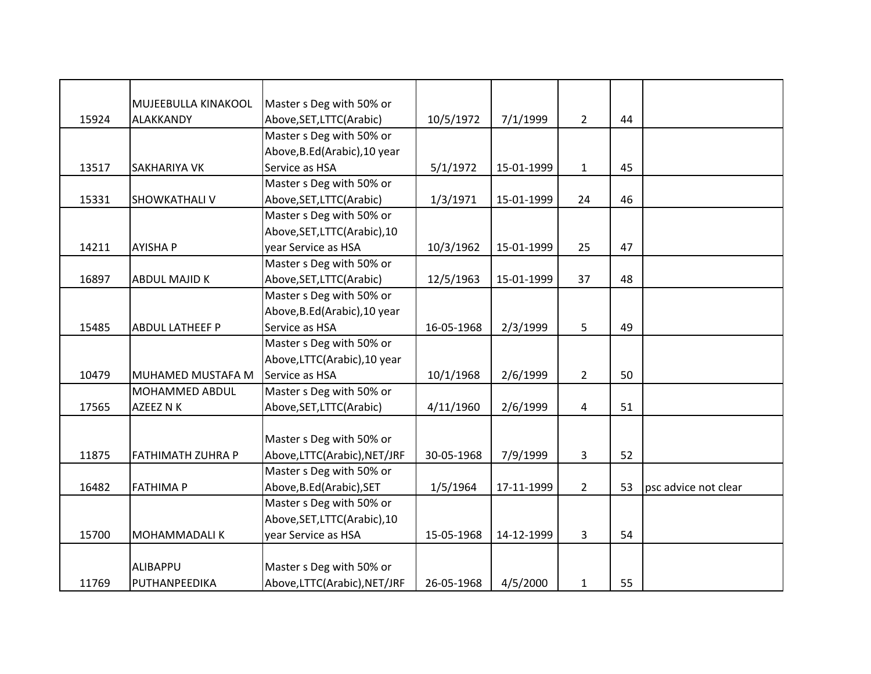|       | MUJEEBULLA KINAKOOL      | Master s Deg with 50% or      |            |            |                |    |                      |
|-------|--------------------------|-------------------------------|------------|------------|----------------|----|----------------------|
| 15924 | <b>ALAKKANDY</b>         | Above, SET, LTTC(Arabic)      | 10/5/1972  | 7/1/1999   | $2^{\circ}$    | 44 |                      |
|       |                          | Master s Deg with 50% or      |            |            |                |    |                      |
|       |                          | Above, B.Ed (Arabic), 10 year |            |            |                |    |                      |
| 13517 | <b>SAKHARIYA VK</b>      | Service as HSA                | 5/1/1972   | 15-01-1999 | $\mathbf{1}$   | 45 |                      |
|       |                          | Master s Deg with 50% or      |            |            |                |    |                      |
| 15331 | <b>SHOWKATHALI V</b>     | Above, SET, LTTC (Arabic)     | 1/3/1971   | 15-01-1999 | 24             | 46 |                      |
|       |                          | Master s Deg with 50% or      |            |            |                |    |                      |
|       |                          | Above, SET, LTTC (Arabic), 10 |            |            |                |    |                      |
| 14211 | <b>AYISHA P</b>          | year Service as HSA           | 10/3/1962  | 15-01-1999 | 25             | 47 |                      |
|       |                          | Master s Deg with 50% or      |            |            |                |    |                      |
| 16897 | <b>ABDUL MAJID K</b>     | Above, SET, LTTC (Arabic)     | 12/5/1963  | 15-01-1999 | 37             | 48 |                      |
|       |                          | Master s Deg with 50% or      |            |            |                |    |                      |
|       |                          | Above, B.Ed(Arabic), 10 year  |            |            |                |    |                      |
| 15485 | <b>ABDUL LATHEEF P</b>   | Service as HSA                | 16-05-1968 | 2/3/1999   | 5              | 49 |                      |
|       |                          | Master s Deg with 50% or      |            |            |                |    |                      |
|       |                          | Above, LTTC(Arabic), 10 year  |            |            |                |    |                      |
| 10479 | MUHAMED MUSTAFA M        | Service as HSA                | 10/1/1968  | 2/6/1999   | $\overline{2}$ | 50 |                      |
|       | MOHAMMED ABDUL           | Master s Deg with 50% or      |            |            |                |    |                      |
| 17565 | AZEEZ N K                | Above, SET, LTTC (Arabic)     | 4/11/1960  | 2/6/1999   | 4              | 51 |                      |
|       |                          |                               |            |            |                |    |                      |
|       |                          | Master s Deg with 50% or      |            |            |                |    |                      |
| 11875 | <b>FATHIMATH ZUHRA P</b> | Above,LTTC(Arabic),NET/JRF    | 30-05-1968 | 7/9/1999   | 3              | 52 |                      |
|       |                          | Master s Deg with 50% or      |            |            |                |    |                      |
| 16482 | <b>FATHIMA P</b>         | Above, B.Ed (Arabic), SET     | 1/5/1964   | 17-11-1999 | $\overline{2}$ | 53 | psc advice not clear |
|       |                          | Master s Deg with 50% or      |            |            |                |    |                      |
|       |                          | Above, SET, LTTC(Arabic), 10  |            |            |                |    |                      |
| 15700 | <b>MOHAMMADALIK</b>      | year Service as HSA           | 15-05-1968 | 14-12-1999 | 3              | 54 |                      |
|       |                          |                               |            |            |                |    |                      |
|       | ALIBAPPU                 | Master s Deg with 50% or      |            |            |                |    |                      |
| 11769 | PUTHANPEEDIKA            | Above,LTTC(Arabic),NET/JRF    | 26-05-1968 | 4/5/2000   | $\mathbf{1}$   | 55 |                      |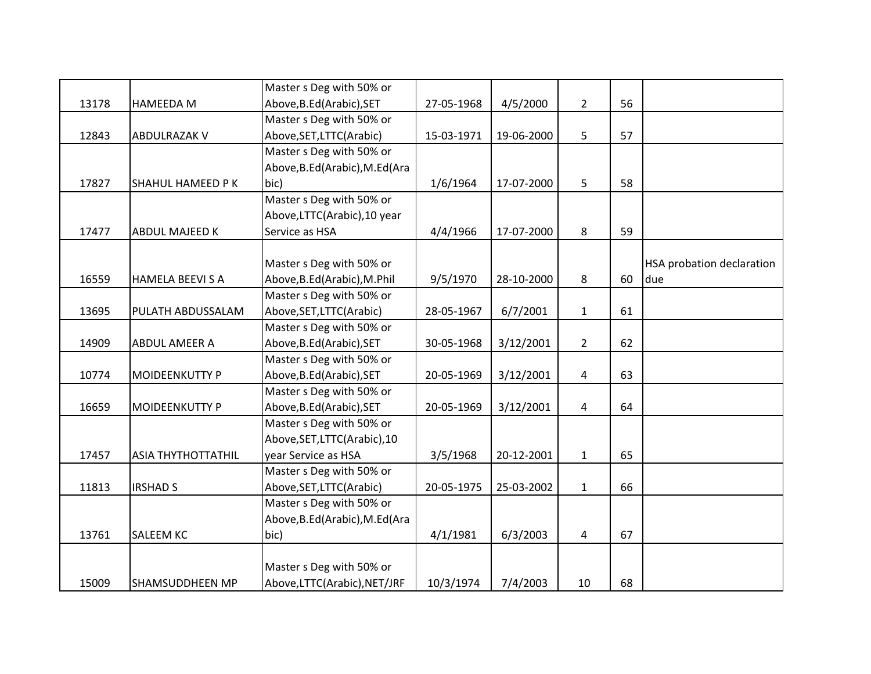|       |                           | Master s Deg with 50% or        |            |            |                |    |                                  |
|-------|---------------------------|---------------------------------|------------|------------|----------------|----|----------------------------------|
| 13178 | <b>HAMEEDA M</b>          | Above, B.Ed (Arabic), SET       | 27-05-1968 | 4/5/2000   | $\overline{2}$ | 56 |                                  |
|       |                           | Master s Deg with 50% or        |            |            |                |    |                                  |
| 12843 | <b>ABDULRAZAK V</b>       | Above, SET, LTTC(Arabic)        | 15-03-1971 | 19-06-2000 | 5              | 57 |                                  |
|       |                           | Master s Deg with 50% or        |            |            |                |    |                                  |
|       |                           | Above, B.Ed (Arabic), M.Ed (Ara |            |            |                |    |                                  |
| 17827 | SHAHUL HAMEED P K         | bic)                            | 1/6/1964   | 17-07-2000 | 5              | 58 |                                  |
|       |                           | Master s Deg with 50% or        |            |            |                |    |                                  |
|       |                           | Above, LTTC(Arabic), 10 year    |            |            |                |    |                                  |
| 17477 | <b>ABDUL MAJEED K</b>     | Service as HSA                  | 4/4/1966   | 17-07-2000 | 8              | 59 |                                  |
|       |                           |                                 |            |            |                |    |                                  |
|       |                           | Master s Deg with 50% or        |            |            |                |    | <b>HSA probation declaration</b> |
| 16559 | <b>HAMELA BEEVI S A</b>   | Above, B.Ed(Arabic), M.Phil     | 9/5/1970   | 28-10-2000 | 8              | 60 | due                              |
|       |                           | Master s Deg with 50% or        |            |            |                |    |                                  |
| 13695 | PULATH ABDUSSALAM         | Above, SET, LTTC (Arabic)       | 28-05-1967 | 6/7/2001   | $\mathbf{1}$   | 61 |                                  |
|       |                           | Master s Deg with 50% or        |            |            |                |    |                                  |
| 14909 | <b>ABDUL AMEER A</b>      | Above, B.Ed (Arabic), SET       | 30-05-1968 | 3/12/2001  | $\overline{2}$ | 62 |                                  |
|       |                           | Master s Deg with 50% or        |            |            |                |    |                                  |
| 10774 | <b>MOIDEENKUTTY P</b>     | Above, B.Ed(Arabic), SET        | 20-05-1969 | 3/12/2001  | 4              | 63 |                                  |
|       |                           | Master s Deg with 50% or        |            |            |                |    |                                  |
| 16659 | <b>MOIDEENKUTTY P</b>     | Above, B.Ed (Arabic), SET       | 20-05-1969 | 3/12/2001  | 4              | 64 |                                  |
|       |                           | Master s Deg with 50% or        |            |            |                |    |                                  |
|       |                           | Above, SET, LTTC (Arabic), 10   |            |            |                |    |                                  |
| 17457 | <b>ASIA THYTHOTTATHIL</b> | year Service as HSA             | 3/5/1968   | 20-12-2001 | $\mathbf{1}$   | 65 |                                  |
|       |                           | Master s Deg with 50% or        |            |            |                |    |                                  |
| 11813 | <b>IRSHAD S</b>           | Above, SET, LTTC (Arabic)       | 20-05-1975 | 25-03-2002 | $\mathbf{1}$   | 66 |                                  |
|       |                           | Master s Deg with 50% or        |            |            |                |    |                                  |
|       |                           | Above, B.Ed(Arabic), M.Ed(Ara   |            |            |                |    |                                  |
| 13761 | <b>SALEEM KC</b>          | bic)                            | 4/1/1981   | 6/3/2003   | 4              | 67 |                                  |
|       |                           |                                 |            |            |                |    |                                  |
|       |                           | Master s Deg with 50% or        |            |            |                |    |                                  |
| 15009 | <b>SHAMSUDDHEEN MP</b>    | Above,LTTC(Arabic),NET/JRF      | 10/3/1974  | 7/4/2003   | 10             | 68 |                                  |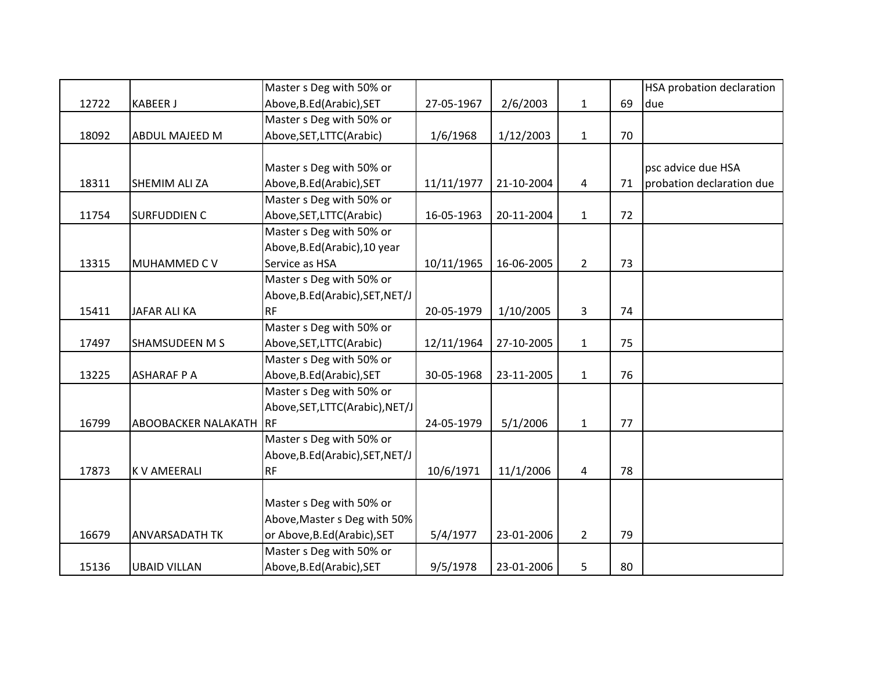|       |                        | Master s Deg with 50% or        |            |            |                |    | HSA probation declaration |
|-------|------------------------|---------------------------------|------------|------------|----------------|----|---------------------------|
| 12722 | <b>KABEER J</b>        | Above, B.Ed (Arabic), SET       | 27-05-1967 | 2/6/2003   | $\mathbf{1}$   | 69 | due                       |
|       |                        | Master s Deg with 50% or        |            |            |                |    |                           |
| 18092 | ABDUL MAJEED M         | Above, SET, LTTC (Arabic)       | 1/6/1968   | 1/12/2003  | $\mathbf{1}$   | 70 |                           |
|       |                        |                                 |            |            |                |    |                           |
|       |                        | Master s Deg with 50% or        |            |            |                |    | psc advice due HSA        |
| 18311 | SHEMIM ALI ZA          | Above, B.Ed (Arabic), SET       | 11/11/1977 | 21-10-2004 | 4              | 71 | probation declaration due |
|       |                        | Master s Deg with 50% or        |            |            |                |    |                           |
| 11754 | <b>SURFUDDIEN C</b>    | Above, SET, LTTC (Arabic)       | 16-05-1963 | 20-11-2004 | $\mathbf{1}$   | 72 |                           |
|       |                        | Master s Deg with 50% or        |            |            |                |    |                           |
|       |                        | Above, B.Ed (Arabic), 10 year   |            |            |                |    |                           |
| 13315 | MUHAMMED C V           | Service as HSA                  | 10/11/1965 | 16-06-2005 | $\overline{2}$ | 73 |                           |
|       |                        | Master s Deg with 50% or        |            |            |                |    |                           |
|       |                        | Above, B.Ed(Arabic), SET, NET/J |            |            |                |    |                           |
| 15411 | JAFAR ALI KA           | <b>RF</b>                       | 20-05-1979 | 1/10/2005  | 3              | 74 |                           |
|       |                        | Master s Deg with 50% or        |            |            |                |    |                           |
| 17497 | SHAMSUDEEN M S         | Above, SET, LTTC (Arabic)       | 12/11/1964 | 27-10-2005 | $\mathbf{1}$   | 75 |                           |
|       |                        | Master s Deg with 50% or        |            |            |                |    |                           |
| 13225 | <b>ASHARAF P A</b>     | Above, B.Ed (Arabic), SET       | 30-05-1968 | 23-11-2005 | $\mathbf{1}$   | 76 |                           |
|       |                        | Master s Deg with 50% or        |            |            |                |    |                           |
|       |                        | Above, SET, LTTC(Arabic), NET/J |            |            |                |    |                           |
| 16799 | ABOOBACKER NALAKATH RF |                                 | 24-05-1979 | 5/1/2006   | $\mathbf{1}$   | 77 |                           |
|       |                        | Master s Deg with 50% or        |            |            |                |    |                           |
|       |                        | Above, B.Ed(Arabic), SET, NET/J |            |            |                |    |                           |
| 17873 | K V AMEERALI           | <b>RF</b>                       | 10/6/1971  | 11/1/2006  | 4              | 78 |                           |
|       |                        |                                 |            |            |                |    |                           |
|       |                        | Master s Deg with 50% or        |            |            |                |    |                           |
|       |                        | Above, Master s Deg with 50%    |            |            |                |    |                           |
| 16679 | <b>ANVARSADATH TK</b>  | or Above, B.Ed (Arabic), SET    | 5/4/1977   | 23-01-2006 | $\overline{2}$ | 79 |                           |
|       |                        | Master s Deg with 50% or        |            |            |                |    |                           |
| 15136 | <b>UBAID VILLAN</b>    | Above, B.Ed (Arabic), SET       | 9/5/1978   | 23-01-2006 | 5              | 80 |                           |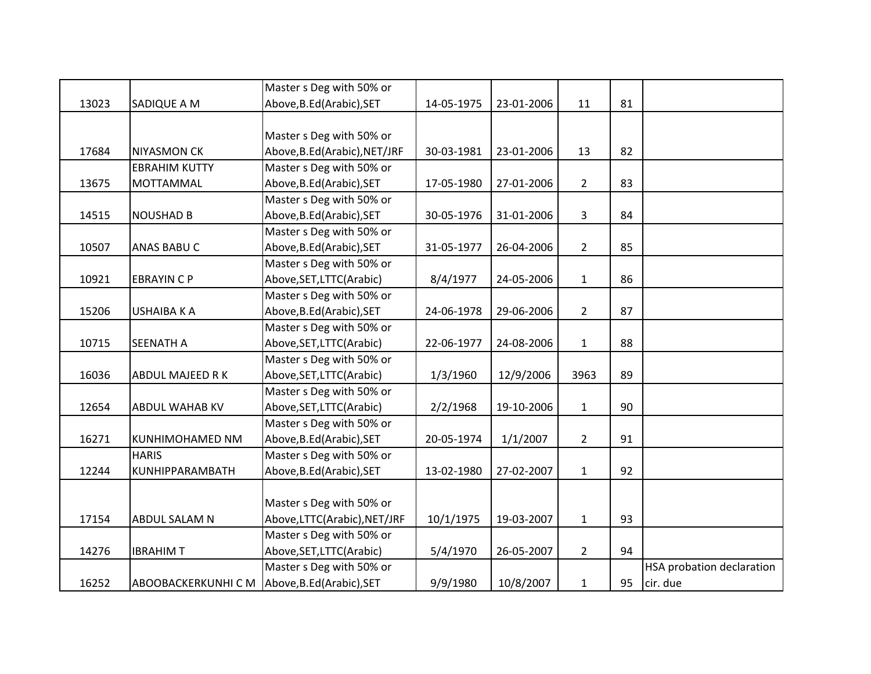|       |                            | Master s Deg with 50% or     |            |            |                |    |                           |
|-------|----------------------------|------------------------------|------------|------------|----------------|----|---------------------------|
| 13023 | SADIQUE A M                | Above, B.Ed (Arabic), SET    | 14-05-1975 | 23-01-2006 | 11             | 81 |                           |
|       |                            |                              |            |            |                |    |                           |
|       |                            | Master s Deg with 50% or     |            |            |                |    |                           |
| 17684 | <b>NIYASMON CK</b>         | Above, B.Ed(Arabic), NET/JRF | 30-03-1981 | 23-01-2006 | 13             | 82 |                           |
|       | <b>EBRAHIM KUTTY</b>       | Master s Deg with 50% or     |            |            |                |    |                           |
| 13675 | <b>MOTTAMMAL</b>           | Above, B.Ed (Arabic), SET    | 17-05-1980 | 27-01-2006 | $2^{\circ}$    | 83 |                           |
|       |                            | Master s Deg with 50% or     |            |            |                |    |                           |
| 14515 | <b>NOUSHAD B</b>           | Above, B.Ed (Arabic), SET    | 30-05-1976 | 31-01-2006 | 3              | 84 |                           |
|       |                            | Master s Deg with 50% or     |            |            |                |    |                           |
| 10507 | <b>ANAS BABU C</b>         | Above, B.Ed (Arabic), SET    | 31-05-1977 | 26-04-2006 | $2^{\circ}$    | 85 |                           |
|       |                            | Master s Deg with 50% or     |            |            |                |    |                           |
| 10921 | <b>EBRAYIN C P</b>         | Above, SET, LTTC (Arabic)    | 8/4/1977   | 24-05-2006 | $\mathbf{1}$   | 86 |                           |
|       |                            | Master s Deg with 50% or     |            |            |                |    |                           |
| 15206 | <b>USHAIBA K A</b>         | Above, B.Ed (Arabic), SET    | 24-06-1978 | 29-06-2006 | $2^{\circ}$    | 87 |                           |
|       |                            | Master s Deg with 50% or     |            |            |                |    |                           |
| 10715 | <b>SEENATH A</b>           | Above, SET, LTTC (Arabic)    | 22-06-1977 | 24-08-2006 | $\mathbf{1}$   | 88 |                           |
|       |                            | Master s Deg with 50% or     |            |            |                |    |                           |
| 16036 | <b>ABDUL MAJEED RK</b>     | Above, SET, LTTC (Arabic)    | 1/3/1960   | 12/9/2006  | 3963           | 89 |                           |
|       |                            | Master s Deg with 50% or     |            |            |                |    |                           |
| 12654 | <b>ABDUL WAHAB KV</b>      | Above, SET, LTTC (Arabic)    | 2/2/1968   | 19-10-2006 | $\mathbf{1}$   | 90 |                           |
|       |                            | Master s Deg with 50% or     |            |            |                |    |                           |
| 16271 | <b>KUNHIMOHAMED NM</b>     | Above, B.Ed (Arabic), SET    | 20-05-1974 | 1/1/2007   | $\overline{2}$ | 91 |                           |
|       | <b>HARIS</b>               | Master s Deg with 50% or     |            |            |                |    |                           |
| 12244 | KUNHIPPARAMBATH            | Above, B.Ed (Arabic), SET    | 13-02-1980 | 27-02-2007 | $\mathbf{1}$   | 92 |                           |
|       |                            |                              |            |            |                |    |                           |
|       |                            | Master s Deg with 50% or     |            |            |                |    |                           |
| 17154 | ABDUL SALAM N              | Above,LTTC(Arabic),NET/JRF   | 10/1/1975  | 19-03-2007 | $\mathbf{1}$   | 93 |                           |
|       |                            | Master s Deg with 50% or     |            |            |                |    |                           |
| 14276 | <b>IBRAHIMT</b>            | Above, SET, LTTC (Arabic)    | 5/4/1970   | 26-05-2007 | $\overline{2}$ | 94 |                           |
|       |                            | Master s Deg with 50% or     |            |            |                |    | HSA probation declaration |
| 16252 | <b>ABOOBACKERKUNHI C M</b> | Above, B.Ed (Arabic), SET    | 9/9/1980   | 10/8/2007  | $\mathbf{1}$   | 95 | cir. due                  |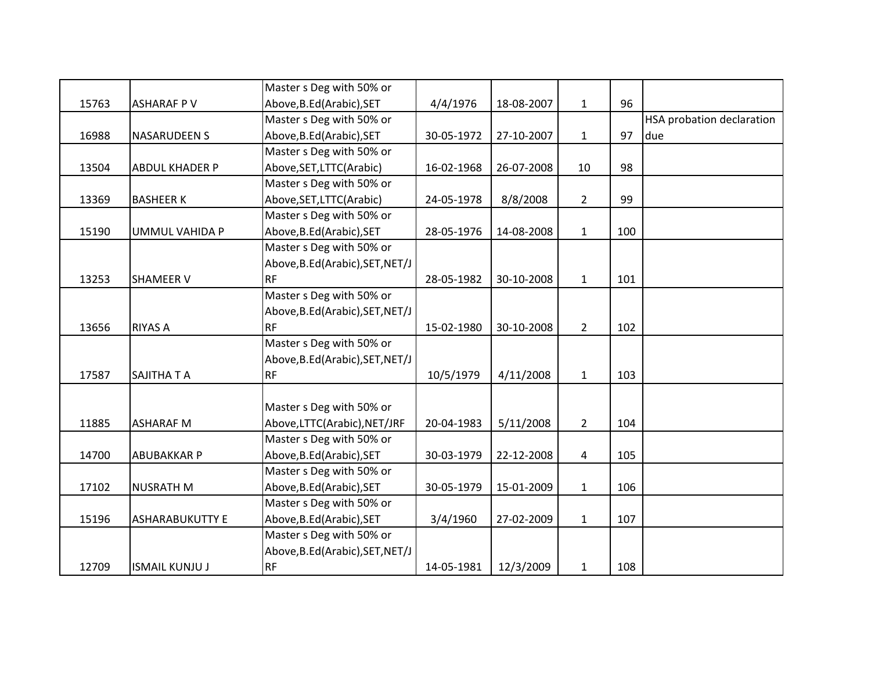|       |                        | Master s Deg with 50% or        |            |            |                |     |                           |
|-------|------------------------|---------------------------------|------------|------------|----------------|-----|---------------------------|
| 15763 | <b>ASHARAF PV</b>      | Above, B.Ed (Arabic), SET       | 4/4/1976   | 18-08-2007 | $\mathbf{1}$   | 96  |                           |
|       |                        | Master s Deg with 50% or        |            |            |                |     | HSA probation declaration |
| 16988 | <b>NASARUDEEN S</b>    | Above, B.Ed (Arabic), SET       | 30-05-1972 | 27-10-2007 | $\mathbf{1}$   | 97  | due                       |
|       |                        | Master s Deg with 50% or        |            |            |                |     |                           |
| 13504 | <b>ABDUL KHADER P</b>  | Above, SET, LTTC (Arabic)       | 16-02-1968 | 26-07-2008 | 10             | 98  |                           |
|       |                        | Master s Deg with 50% or        |            |            |                |     |                           |
| 13369 | <b>BASHEER K</b>       | Above, SET, LTTC(Arabic)        | 24-05-1978 | 8/8/2008   | $\overline{2}$ | 99  |                           |
|       |                        | Master s Deg with 50% or        |            |            |                |     |                           |
| 15190 | <b>UMMUL VAHIDA P</b>  | Above, B.Ed (Arabic), SET       | 28-05-1976 | 14-08-2008 | $\mathbf{1}$   | 100 |                           |
|       |                        | Master s Deg with 50% or        |            |            |                |     |                           |
|       |                        | Above, B.Ed(Arabic), SET, NET/J |            |            |                |     |                           |
| 13253 | <b>SHAMEER V</b>       | <b>RF</b>                       | 28-05-1982 | 30-10-2008 | $\mathbf{1}$   | 101 |                           |
|       |                        | Master s Deg with 50% or        |            |            |                |     |                           |
|       |                        | Above, B.Ed(Arabic), SET, NET/J |            |            |                |     |                           |
| 13656 | <b>RIYAS A</b>         | <b>RF</b>                       | 15-02-1980 | 30-10-2008 | $2^{\circ}$    | 102 |                           |
|       |                        | Master s Deg with 50% or        |            |            |                |     |                           |
|       |                        | Above, B.Ed(Arabic), SET, NET/J |            |            |                |     |                           |
| 17587 | SAJITHA T A            | <b>RF</b>                       | 10/5/1979  | 4/11/2008  | $\mathbf{1}$   | 103 |                           |
|       |                        |                                 |            |            |                |     |                           |
|       |                        | Master s Deg with 50% or        |            |            |                |     |                           |
| 11885 | <b>ASHARAF M</b>       | Above,LTTC(Arabic),NET/JRF      | 20-04-1983 | 5/11/2008  | $2^{\circ}$    | 104 |                           |
|       |                        | Master s Deg with 50% or        |            |            |                |     |                           |
| 14700 | <b>ABUBAKKAR P</b>     | Above, B.Ed (Arabic), SET       | 30-03-1979 | 22-12-2008 | $\overline{4}$ | 105 |                           |
|       |                        | Master s Deg with 50% or        |            |            |                |     |                           |
| 17102 | <b>NUSRATH M</b>       | Above, B.Ed (Arabic), SET       | 30-05-1979 | 15-01-2009 | $\mathbf{1}$   | 106 |                           |
|       |                        | Master s Deg with 50% or        |            |            |                |     |                           |
| 15196 | <b>ASHARABUKUTTY E</b> | Above, B.Ed (Arabic), SET       | 3/4/1960   | 27-02-2009 | $\mathbf{1}$   | 107 |                           |
|       |                        | Master s Deg with 50% or        |            |            |                |     |                           |
|       |                        | Above, B.Ed(Arabic), SET, NET/J |            |            |                |     |                           |
| 12709 | <b>ISMAIL KUNJU J</b>  | <b>RF</b>                       | 14-05-1981 | 12/3/2009  | $\mathbf{1}$   | 108 |                           |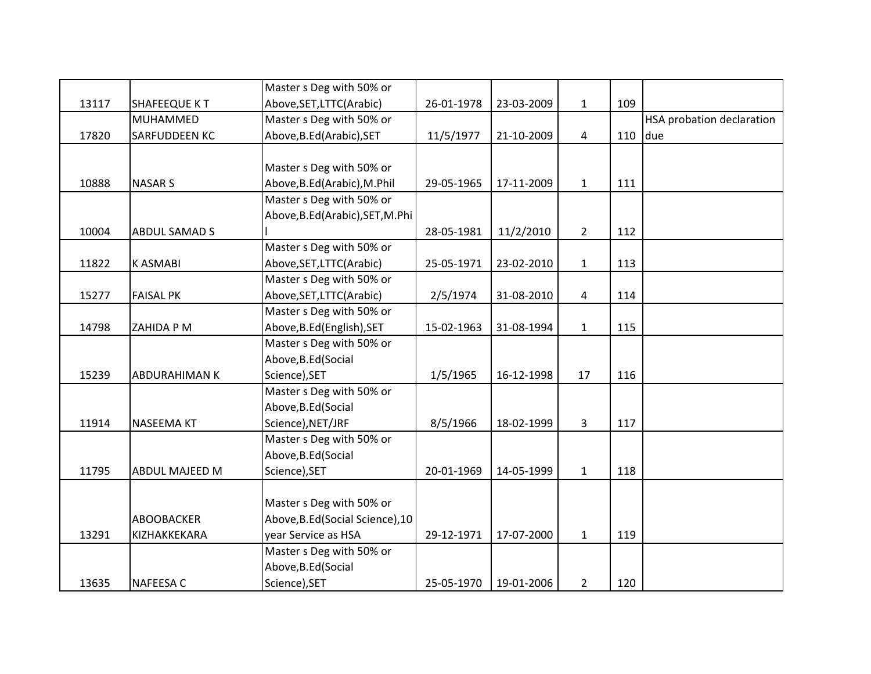|       |                      | Master s Deg with 50% or         |            |            |                |     |                                  |
|-------|----------------------|----------------------------------|------------|------------|----------------|-----|----------------------------------|
| 13117 | <b>SHAFEEQUE KT</b>  | Above, SET, LTTC (Arabic)        | 26-01-1978 | 23-03-2009 | $\mathbf{1}$   | 109 |                                  |
|       | MUHAMMED             | Master s Deg with 50% or         |            |            |                |     | <b>HSA probation declaration</b> |
| 17820 | <b>SARFUDDEEN KC</b> | Above, B.Ed (Arabic), SET        | 11/5/1977  | 21-10-2009 | $\overline{4}$ | 110 | due                              |
|       |                      |                                  |            |            |                |     |                                  |
|       |                      | Master s Deg with 50% or         |            |            |                |     |                                  |
| 10888 | <b>NASAR S</b>       | Above, B.Ed (Arabic), M.Phil     | 29-05-1965 | 17-11-2009 | $\mathbf{1}$   | 111 |                                  |
|       |                      | Master s Deg with 50% or         |            |            |                |     |                                  |
|       |                      | Above, B.Ed (Arabic), SET, M.Phi |            |            |                |     |                                  |
| 10004 | <b>ABDUL SAMAD S</b> |                                  | 28-05-1981 | 11/2/2010  | $\overline{2}$ | 112 |                                  |
|       |                      | Master s Deg with 50% or         |            |            |                |     |                                  |
| 11822 | <b>KASMABI</b>       | Above, SET, LTTC(Arabic)         | 25-05-1971 | 23-02-2010 | $\mathbf{1}$   | 113 |                                  |
|       |                      | Master s Deg with 50% or         |            |            |                |     |                                  |
| 15277 | <b>FAISAL PK</b>     | Above, SET, LTTC(Arabic)         | 2/5/1974   | 31-08-2010 | $\overline{4}$ | 114 |                                  |
|       |                      | Master s Deg with 50% or         |            |            |                |     |                                  |
| 14798 | ZAHIDA P M           | Above, B.Ed (English), SET       | 15-02-1963 | 31-08-1994 | $\mathbf{1}$   | 115 |                                  |
|       |                      | Master s Deg with 50% or         |            |            |                |     |                                  |
|       |                      | Above, B.Ed (Social              |            |            |                |     |                                  |
| 15239 | ABDURAHIMAN K        | Science), SET                    | 1/5/1965   | 16-12-1998 | 17             | 116 |                                  |
|       |                      | Master s Deg with 50% or         |            |            |                |     |                                  |
|       |                      | Above, B.Ed (Social              |            |            |                |     |                                  |
| 11914 | <b>NASEEMA KT</b>    | Science), NET/JRF                | 8/5/1966   | 18-02-1999 | $\mathbf{3}$   | 117 |                                  |
|       |                      | Master s Deg with 50% or         |            |            |                |     |                                  |
|       |                      | Above, B.Ed (Social              |            |            |                |     |                                  |
| 11795 | ABDUL MAJEED M       | Science), SET                    | 20-01-1969 | 14-05-1999 | $\mathbf{1}$   | 118 |                                  |
|       |                      |                                  |            |            |                |     |                                  |
|       |                      | Master s Deg with 50% or         |            |            |                |     |                                  |
|       | <b>ABOOBACKER</b>    | Above, B.Ed (Social Science), 10 |            |            |                |     |                                  |
| 13291 | KIZHAKKEKARA         | year Service as HSA              | 29-12-1971 | 17-07-2000 | $\mathbf{1}$   | 119 |                                  |
|       |                      | Master s Deg with 50% or         |            |            |                |     |                                  |
|       |                      | Above, B.Ed (Social              |            |            |                |     |                                  |
| 13635 | <b>NAFEESA C</b>     | Science), SET                    | 25-05-1970 | 19-01-2006 | $\overline{2}$ | 120 |                                  |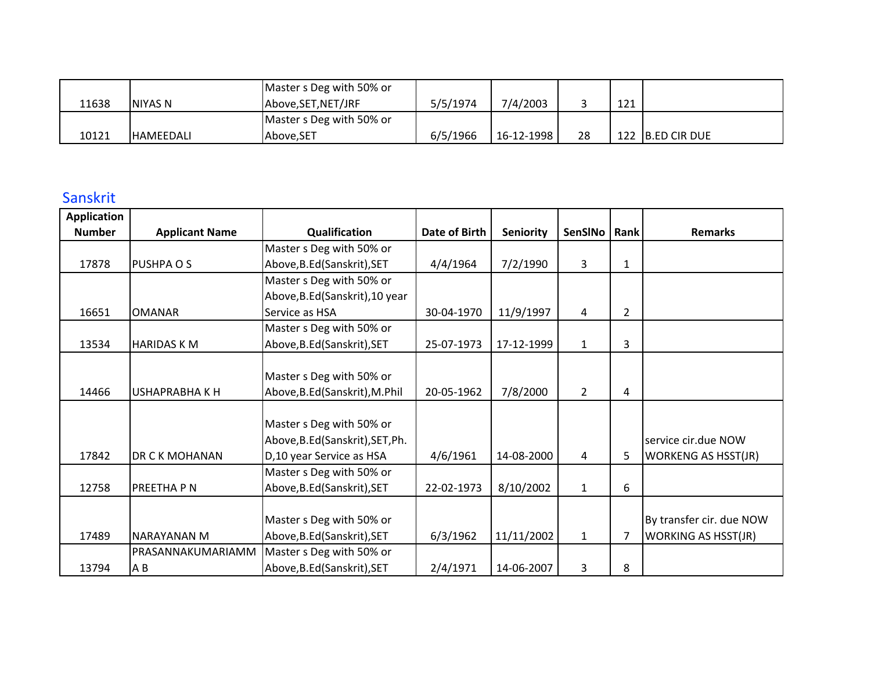|       |                  | Master s Deg with 50% or |          |            |    |     |                  |
|-------|------------------|--------------------------|----------|------------|----|-----|------------------|
| 11638 | NIYAS N          | Above, SET, NET/JRF      | 5/5/1974 | 7/4/2003   |    | 121 |                  |
|       |                  | Master s Deg with 50% or |          |            |    |     |                  |
| 10121 | <b>HAMEEDALI</b> | Above.SET                | 6/5/1966 | 16-12-1998 | 28 |     | 122 B.ED CIR DUE |

## Sanskrit

| <b>Application</b> |                       |                                  |               |                  |                |                |                            |
|--------------------|-----------------------|----------------------------------|---------------|------------------|----------------|----------------|----------------------------|
| <b>Number</b>      | <b>Applicant Name</b> | Qualification                    | Date of Birth | <b>Seniority</b> | SenSINo   Rank |                | <b>Remarks</b>             |
|                    |                       | Master s Deg with 50% or         |               |                  |                |                |                            |
| 17878              | PUSHPA O S            | Above, B.Ed (Sanskrit), SET      | 4/4/1964      | 7/2/1990         | 3              | $\mathbf{1}$   |                            |
|                    |                       | Master s Deg with 50% or         |               |                  |                |                |                            |
|                    |                       | Above, B.Ed (Sanskrit), 10 year  |               |                  |                |                |                            |
| 16651              | <b>OMANAR</b>         | Service as HSA                   | 30-04-1970    | 11/9/1997        | 4              | $\overline{2}$ |                            |
|                    |                       | Master s Deg with 50% or         |               |                  |                |                |                            |
| 13534              | <b>HARIDAS K M</b>    | Above, B.Ed (Sanskrit), SET      | 25-07-1973    | 17-12-1999       | $\mathbf{1}$   | 3              |                            |
|                    |                       |                                  |               |                  |                |                |                            |
|                    |                       | Master s Deg with 50% or         |               |                  |                |                |                            |
| 14466              | USHAPRABHA K H        | Above, B.Ed (Sanskrit), M.Phil   | 20-05-1962    | 7/8/2000         | $\mathbf{2}$   | 4              |                            |
|                    |                       |                                  |               |                  |                |                |                            |
|                    |                       | Master s Deg with 50% or         |               |                  |                |                |                            |
|                    |                       | Above, B.Ed (Sanskrit), SET, Ph. |               |                  |                |                | service cir.due NOW        |
| 17842              | DR C K MOHANAN        | D,10 year Service as HSA         | 4/6/1961      | 14-08-2000       | 4              | 5              | <b>WORKENG AS HSST(JR)</b> |
|                    |                       | Master s Deg with 50% or         |               |                  |                |                |                            |
| 12758              | PREETHA P N           | Above, B.Ed (Sanskrit), SET      | 22-02-1973    | 8/10/2002        | $\mathbf{1}$   | 6              |                            |
|                    |                       |                                  |               |                  |                |                |                            |
|                    |                       | Master s Deg with 50% or         |               |                  |                |                | By transfer cir. due NOW   |
| 17489              | <b>NARAYANAN M</b>    | Above, B.Ed (Sanskrit), SET      | 6/3/1962      | 11/11/2002       | 1              | 7              | <b>WORKING AS HSST(JR)</b> |
|                    | PRASANNAKUMARIAMM     | Master s Deg with 50% or         |               |                  |                |                |                            |
| 13794              | A B                   | Above, B.Ed (Sanskrit), SET      | 2/4/1971      | 14-06-2007       | 3              | 8              |                            |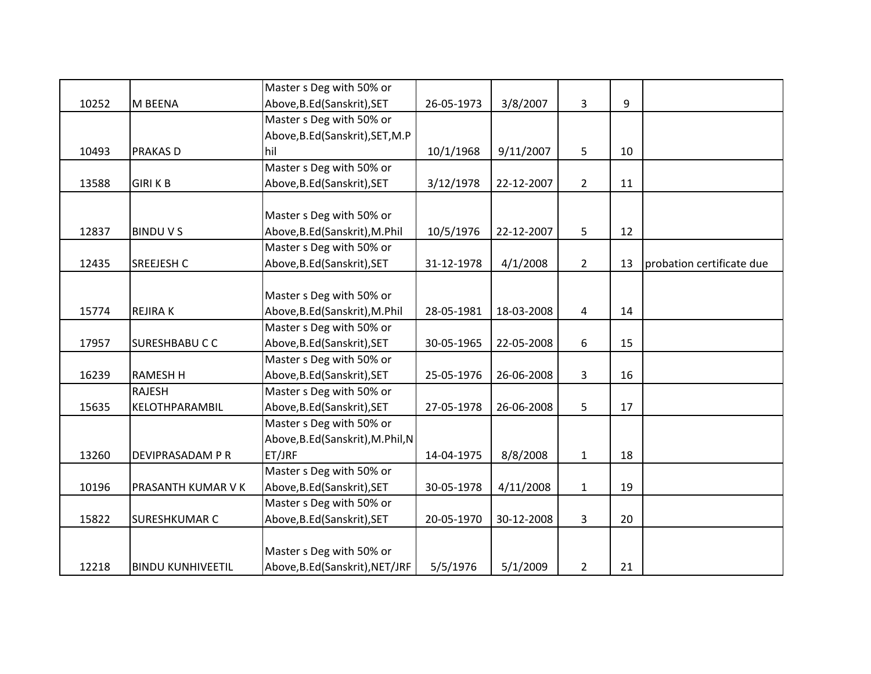|       |                          | Master s Deg with 50% or         |            |            |                |    |                           |
|-------|--------------------------|----------------------------------|------------|------------|----------------|----|---------------------------|
| 10252 | M BEENA                  | Above, B.Ed (Sanskrit), SET      | 26-05-1973 | 3/8/2007   | 3              | 9  |                           |
|       |                          | Master s Deg with 50% or         |            |            |                |    |                           |
|       |                          | Above, B.Ed (Sanskrit), SET, M.P |            |            |                |    |                           |
| 10493 | <b>PRAKAS D</b>          | hil                              | 10/1/1968  | 9/11/2007  | 5              | 10 |                           |
|       |                          | Master s Deg with 50% or         |            |            |                |    |                           |
| 13588 | <b>GIRI K B</b>          | Above, B.Ed (Sanskrit), SET      | 3/12/1978  | 22-12-2007 | $2^{\circ}$    | 11 |                           |
|       |                          |                                  |            |            |                |    |                           |
|       |                          | Master s Deg with 50% or         |            |            |                |    |                           |
| 12837 | <b>BINDUVS</b>           | Above, B.Ed (Sanskrit), M.Phil   | 10/5/1976  | 22-12-2007 | 5              | 12 |                           |
|       |                          | Master s Deg with 50% or         |            |            |                |    |                           |
| 12435 | <b>SREEJESH C</b>        | Above, B.Ed (Sanskrit), SET      | 31-12-1978 | 4/1/2008   | $\overline{2}$ | 13 | probation certificate due |
|       |                          |                                  |            |            |                |    |                           |
|       |                          | Master s Deg with 50% or         |            |            |                |    |                           |
| 15774 | <b>REJIRAK</b>           | Above, B.Ed(Sanskrit), M.Phil    | 28-05-1981 | 18-03-2008 | 4              | 14 |                           |
|       |                          | Master s Deg with 50% or         |            |            |                |    |                           |
| 17957 | <b>SURESHBABUCC</b>      | Above, B.Ed (Sanskrit), SET      | 30-05-1965 | 22-05-2008 | 6              | 15 |                           |
|       |                          | Master s Deg with 50% or         |            |            |                |    |                           |
| 16239 | <b>RAMESH H</b>          | Above, B.Ed (Sanskrit), SET      | 25-05-1976 | 26-06-2008 | 3              | 16 |                           |
|       | <b>RAJESH</b>            | Master s Deg with 50% or         |            |            |                |    |                           |
| 15635 | KELOTHPARAMBIL           | Above, B.Ed(Sanskrit), SET       | 27-05-1978 | 26-06-2008 | 5              | 17 |                           |
|       |                          | Master s Deg with 50% or         |            |            |                |    |                           |
|       |                          | Above, B.Ed(Sanskrit), M.Phil, N |            |            |                |    |                           |
| 13260 | DEVIPRASADAM P R         | ET/JRF                           | 14-04-1975 | 8/8/2008   | $\mathbf{1}$   | 18 |                           |
|       |                          | Master s Deg with 50% or         |            |            |                |    |                           |
| 10196 | PRASANTH KUMAR V K       | Above, B.Ed (Sanskrit), SET      | 30-05-1978 | 4/11/2008  | $\mathbf{1}$   | 19 |                           |
|       |                          | Master s Deg with 50% or         |            |            |                |    |                           |
| 15822 | <b>SURESHKUMAR C</b>     | Above, B.Ed (Sanskrit), SET      | 20-05-1970 | 30-12-2008 | 3              | 20 |                           |
|       |                          |                                  |            |            |                |    |                           |
|       |                          | Master s Deg with 50% or         |            |            |                |    |                           |
| 12218 | <b>BINDU KUNHIVEETIL</b> | Above, B.Ed (Sanskrit), NET/JRF  | 5/5/1976   | 5/1/2009   | $\overline{2}$ | 21 |                           |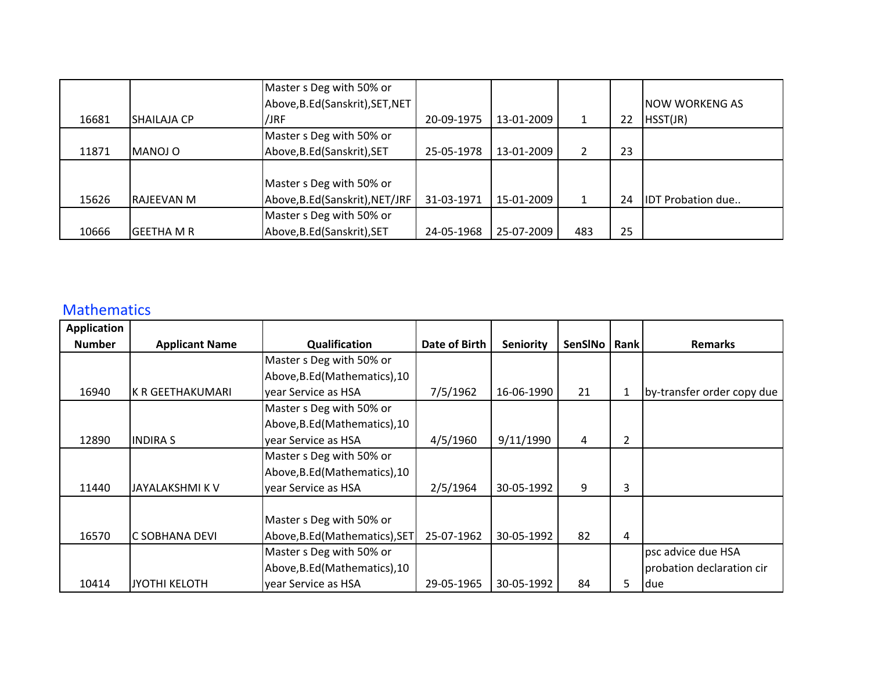|       |                    | Master s Deg with 50% or         |            |            |     |    |                          |
|-------|--------------------|----------------------------------|------------|------------|-----|----|--------------------------|
|       |                    | Above, B.Ed (Sanskrit), SET, NET |            |            |     |    | <b>NOW WORKENG AS</b>    |
| 16681 | <b>SHAILAJA CP</b> | /JRF                             | 20-09-1975 | 13-01-2009 |     | 22 | HSST(JR)                 |
|       |                    | Master s Deg with 50% or         |            |            |     |    |                          |
| 11871 | MANOJ O            | Above, B.Ed (Sanskrit), SET      | 25-05-1978 | 13-01-2009 | 2   | 23 |                          |
|       |                    |                                  |            |            |     |    |                          |
|       |                    | Master s Deg with 50% or         |            |            |     |    |                          |
| 15626 | RAJEEVAN M         | Above, B.Ed (Sanskrit), NET/JRF  | 31-03-1971 | 15-01-2009 |     | 24 | <b>IDT Probation due</b> |
|       |                    | Master s Deg with 50% or         |            |            |     |    |                          |
| 10666 | <b>GEETHA M R</b>  | Above, B.Ed (Sanskrit), SET      | 24-05-1968 | 25-07-2009 | 483 | 25 |                          |

## **Mathematics**

| <b>Application</b> |                       |                                |               |                  |         |      |                            |
|--------------------|-----------------------|--------------------------------|---------------|------------------|---------|------|----------------------------|
| <b>Number</b>      | <b>Applicant Name</b> | Qualification                  | Date of Birth | <b>Seniority</b> | SenSINo | Rank | <b>Remarks</b>             |
|                    |                       | Master s Deg with 50% or       |               |                  |         |      |                            |
|                    |                       | Above, B.Ed (Mathematics), 10  |               |                  |         |      |                            |
| 16940              | K R GEETHAKUMARI      | year Service as HSA            | 7/5/1962      | 16-06-1990       | 21      | 1    | by-transfer order copy due |
|                    |                       | Master s Deg with 50% or       |               |                  |         |      |                            |
|                    |                       | Above, B.Ed (Mathematics), 10  |               |                  |         |      |                            |
| 12890              | <b>INDIRA S</b>       | year Service as HSA            | 4/5/1960      | 9/11/1990        | 4       | 2    |                            |
|                    |                       | Master s Deg with 50% or       |               |                  |         |      |                            |
|                    |                       | Above, B.Ed (Mathematics), 10  |               |                  |         |      |                            |
| 11440              | JAYALAKSHMI K V       | year Service as HSA            | 2/5/1964      | 30-05-1992       | 9       | 3    |                            |
|                    |                       |                                |               |                  |         |      |                            |
|                    |                       | Master s Deg with 50% or       |               |                  |         |      |                            |
| 16570              | C SOBHANA DEVI        | Above, B.Ed (Mathematics), SET | 25-07-1962    | 30-05-1992       | 82      | 4    |                            |
|                    |                       | Master s Deg with 50% or       |               |                  |         |      | psc advice due HSA         |
|                    |                       | Above, B.Ed (Mathematics), 10  |               |                  |         |      | probation declaration cir  |
| 10414              | JYOTHI KELOTH         | year Service as HSA            | 29-05-1965    | 30-05-1992       | 84      | 5    | <b>due</b>                 |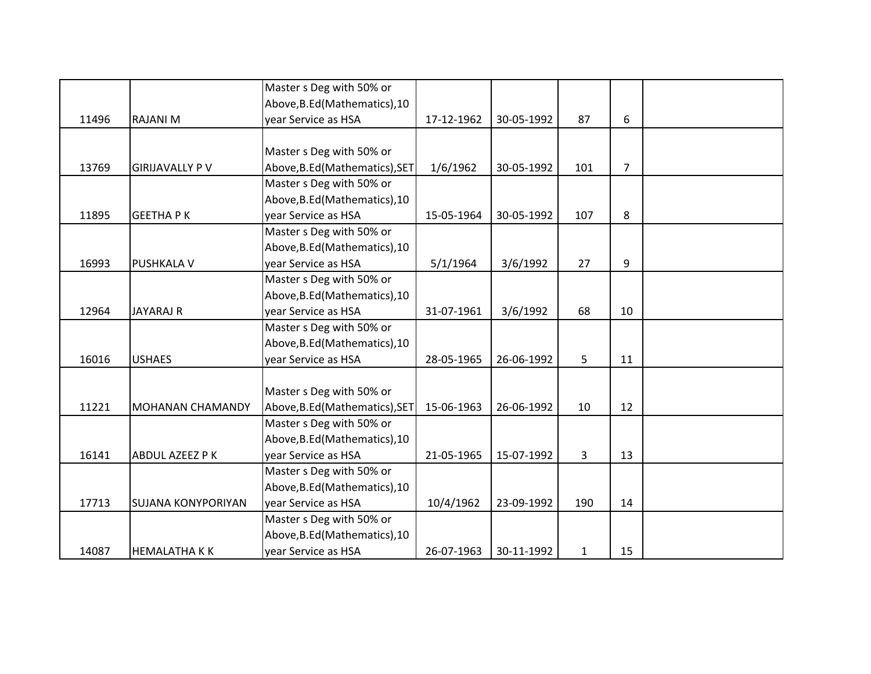|       |                           | Master s Deg with 50% or       |            |            |              |                |  |
|-------|---------------------------|--------------------------------|------------|------------|--------------|----------------|--|
|       |                           | Above, B.Ed (Mathematics), 10  |            |            |              |                |  |
| 11496 | <b>RAJANI M</b>           | year Service as HSA            | 17-12-1962 | 30-05-1992 | 87           | 6              |  |
|       |                           |                                |            |            |              |                |  |
|       |                           | Master s Deg with 50% or       |            |            |              |                |  |
| 13769 | <b>GIRIJAVALLY PV</b>     | Above, B.Ed (Mathematics), SET | 1/6/1962   | 30-05-1992 | 101          | $\overline{7}$ |  |
|       |                           | Master s Deg with 50% or       |            |            |              |                |  |
|       |                           | Above, B.Ed (Mathematics), 10  |            |            |              |                |  |
| 11895 | <b>GEETHAPK</b>           | year Service as HSA            | 15-05-1964 | 30-05-1992 | 107          | 8              |  |
|       |                           | Master s Deg with 50% or       |            |            |              |                |  |
|       |                           | Above, B.Ed (Mathematics), 10  |            |            |              |                |  |
| 16993 | <b>PUSHKALA V</b>         | year Service as HSA            | 5/1/1964   | 3/6/1992   | 27           | 9              |  |
|       |                           | Master s Deg with 50% or       |            |            |              |                |  |
|       |                           | Above, B.Ed (Mathematics), 10  |            |            |              |                |  |
| 12964 | <b>JAYARAJ R</b>          | year Service as HSA            | 31-07-1961 | 3/6/1992   | 68           | 10             |  |
|       |                           | Master s Deg with 50% or       |            |            |              |                |  |
|       |                           | Above, B.Ed (Mathematics), 10  |            |            |              |                |  |
| 16016 | <b>USHAES</b>             | year Service as HSA            | 28-05-1965 | 26-06-1992 | 5            | 11             |  |
|       |                           |                                |            |            |              |                |  |
|       |                           | Master s Deg with 50% or       |            |            |              |                |  |
| 11221 | <b>MOHANAN CHAMANDY</b>   | Above, B.Ed (Mathematics), SET | 15-06-1963 | 26-06-1992 | 10           | 12             |  |
|       |                           | Master s Deg with 50% or       |            |            |              |                |  |
|       |                           | Above, B.Ed (Mathematics), 10  |            |            |              |                |  |
| 16141 | ABDUL AZEEZ P K           | year Service as HSA            | 21-05-1965 | 15-07-1992 | 3            | 13             |  |
|       |                           | Master s Deg with 50% or       |            |            |              |                |  |
|       |                           | Above, B.Ed (Mathematics), 10  |            |            |              |                |  |
| 17713 | <b>SUJANA KONYPORIYAN</b> | year Service as HSA            | 10/4/1962  | 23-09-1992 | 190          | 14             |  |
|       |                           | Master s Deg with 50% or       |            |            |              |                |  |
|       |                           | Above, B.Ed (Mathematics), 10  |            |            |              |                |  |
| 14087 | <b>HEMALATHAKK</b>        | year Service as HSA            | 26-07-1963 | 30-11-1992 | $\mathbf{1}$ | 15             |  |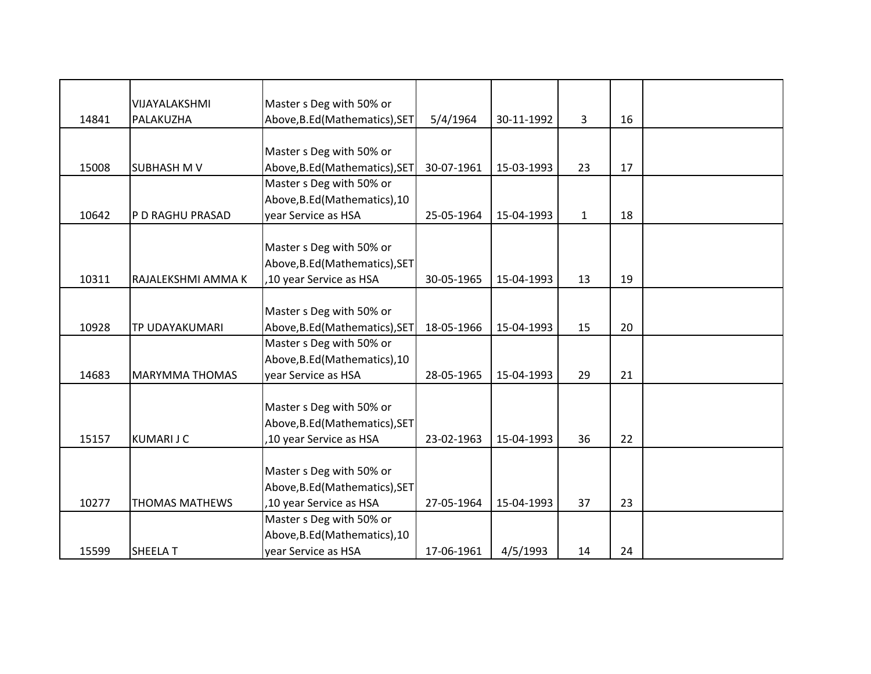|       | VIJAYALAKSHMI         | Master s Deg with 50% or       |            |            |              |    |  |
|-------|-----------------------|--------------------------------|------------|------------|--------------|----|--|
| 14841 | PALAKUZHA             | Above, B.Ed (Mathematics), SET | 5/4/1964   | 30-11-1992 | 3            | 16 |  |
|       |                       |                                |            |            |              |    |  |
|       |                       | Master s Deg with 50% or       |            |            |              |    |  |
| 15008 | <b>SUBHASH M V</b>    | Above, B.Ed (Mathematics), SET | 30-07-1961 | 15-03-1993 | 23           | 17 |  |
|       |                       | Master s Deg with 50% or       |            |            |              |    |  |
|       |                       | Above, B.Ed (Mathematics), 10  |            |            |              |    |  |
| 10642 | P D RAGHU PRASAD      | year Service as HSA            | 25-05-1964 | 15-04-1993 | $\mathbf{1}$ | 18 |  |
|       |                       |                                |            |            |              |    |  |
|       |                       | Master s Deg with 50% or       |            |            |              |    |  |
|       |                       | Above, B.Ed (Mathematics), SET |            |            |              |    |  |
| 10311 | RAJALEKSHMI AMMA K    | ,10 year Service as HSA        | 30-05-1965 | 15-04-1993 | 13           | 19 |  |
|       |                       |                                |            |            |              |    |  |
|       |                       | Master s Deg with 50% or       |            |            |              |    |  |
| 10928 | TP UDAYAKUMARI        | Above, B.Ed (Mathematics), SET | 18-05-1966 | 15-04-1993 | 15           | 20 |  |
|       |                       | Master s Deg with 50% or       |            |            |              |    |  |
|       |                       | Above, B.Ed (Mathematics), 10  |            |            |              |    |  |
| 14683 | <b>MARYMMA THOMAS</b> | year Service as HSA            | 28-05-1965 | 15-04-1993 | 29           | 21 |  |
|       |                       |                                |            |            |              |    |  |
|       |                       | Master s Deg with 50% or       |            |            |              |    |  |
|       |                       | Above, B.Ed (Mathematics), SET |            |            |              |    |  |
| 15157 | <b>KUMARIJC</b>       | ,10 year Service as HSA        | 23-02-1963 | 15-04-1993 | 36           | 22 |  |
|       |                       |                                |            |            |              |    |  |
|       |                       | Master s Deg with 50% or       |            |            |              |    |  |
|       |                       | Above, B.Ed (Mathematics), SET |            |            |              |    |  |
| 10277 | <b>THOMAS MATHEWS</b> | ,10 year Service as HSA        | 27-05-1964 | 15-04-1993 | 37           | 23 |  |
|       |                       | Master s Deg with 50% or       |            |            |              |    |  |
|       |                       | Above, B.Ed (Mathematics), 10  |            |            |              |    |  |
| 15599 | <b>SHEELA T</b>       | year Service as HSA            | 17-06-1961 | 4/5/1993   | 14           | 24 |  |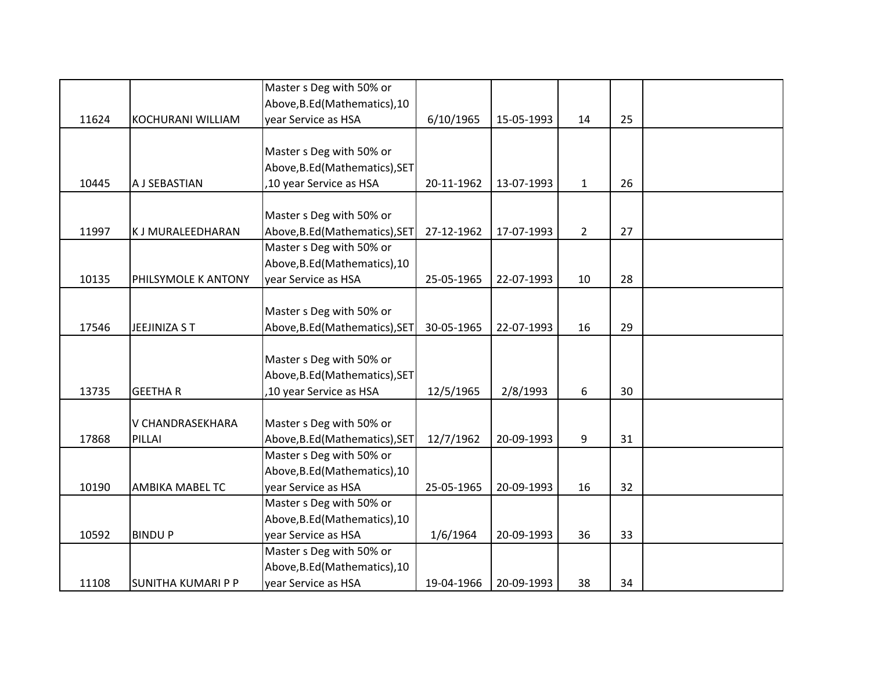|       |                           | Master s Deg with 50% or       |            |            |                |    |  |
|-------|---------------------------|--------------------------------|------------|------------|----------------|----|--|
|       |                           | Above, B.Ed (Mathematics), 10  |            |            |                |    |  |
| 11624 | KOCHURANI WILLIAM         | year Service as HSA            | 6/10/1965  | 15-05-1993 | 14             | 25 |  |
|       |                           |                                |            |            |                |    |  |
|       |                           | Master s Deg with 50% or       |            |            |                |    |  |
|       |                           | Above, B.Ed (Mathematics), SET |            |            |                |    |  |
| 10445 | A J SEBASTIAN             | ,10 year Service as HSA        | 20-11-1962 | 13-07-1993 | $\mathbf{1}$   | 26 |  |
|       |                           |                                |            |            |                |    |  |
|       |                           | Master s Deg with 50% or       |            |            |                |    |  |
| 11997 | K J MURALEEDHARAN         | Above, B.Ed (Mathematics), SET | 27-12-1962 | 17-07-1993 | $\overline{2}$ | 27 |  |
|       |                           | Master s Deg with 50% or       |            |            |                |    |  |
|       |                           | Above, B.Ed (Mathematics), 10  |            |            |                |    |  |
| 10135 | PHILSYMOLE K ANTONY       | year Service as HSA            | 25-05-1965 | 22-07-1993 | 10             | 28 |  |
|       |                           |                                |            |            |                |    |  |
|       |                           | Master s Deg with 50% or       |            |            |                |    |  |
| 17546 | JEEJINIZA S T             | Above, B.Ed (Mathematics), SET | 30-05-1965 | 22-07-1993 | 16             | 29 |  |
|       |                           |                                |            |            |                |    |  |
|       |                           | Master s Deg with 50% or       |            |            |                |    |  |
|       |                           | Above, B.Ed (Mathematics), SET |            |            |                |    |  |
| 13735 | <b>GEETHAR</b>            | ,10 year Service as HSA        | 12/5/1965  | 2/8/1993   | 6              | 30 |  |
|       |                           |                                |            |            |                |    |  |
|       | V CHANDRASEKHARA          | Master s Deg with 50% or       |            |            |                |    |  |
| 17868 | PILLAI                    | Above, B.Ed (Mathematics), SET | 12/7/1962  | 20-09-1993 | 9              | 31 |  |
|       |                           | Master s Deg with 50% or       |            |            |                |    |  |
|       |                           | Above, B.Ed (Mathematics), 10  |            |            |                |    |  |
| 10190 | <b>AMBIKA MABEL TC</b>    | year Service as HSA            | 25-05-1965 | 20-09-1993 | 16             | 32 |  |
|       |                           | Master s Deg with 50% or       |            |            |                |    |  |
|       |                           | Above, B.Ed (Mathematics), 10  |            |            |                |    |  |
| 10592 | <b>BINDUP</b>             | year Service as HSA            | 1/6/1964   | 20-09-1993 | 36             | 33 |  |
|       |                           | Master s Deg with 50% or       |            |            |                |    |  |
|       |                           | Above, B.Ed (Mathematics), 10  |            |            |                |    |  |
| 11108 | <b>SUNITHA KUMARI P P</b> | year Service as HSA            | 19-04-1966 | 20-09-1993 | 38             | 34 |  |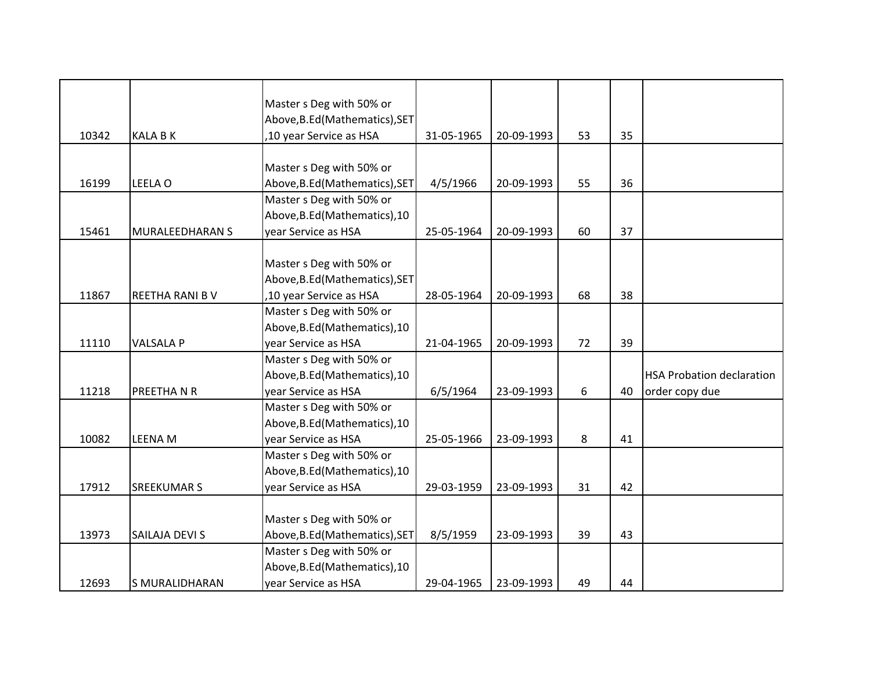|       |                       | Master s Deg with 50% or       |            |            |    |    |                                  |
|-------|-----------------------|--------------------------------|------------|------------|----|----|----------------------------------|
|       |                       | Above, B.Ed (Mathematics), SET |            |            |    |    |                                  |
| 10342 | <b>KALA B K</b>       | ,10 year Service as HSA        | 31-05-1965 | 20-09-1993 | 53 | 35 |                                  |
|       |                       |                                |            |            |    |    |                                  |
|       |                       | Master s Deg with 50% or       |            |            |    |    |                                  |
| 16199 | LEELA O               | Above, B.Ed (Mathematics), SET | 4/5/1966   | 20-09-1993 | 55 | 36 |                                  |
|       |                       | Master s Deg with 50% or       |            |            |    |    |                                  |
|       |                       | Above, B.Ed (Mathematics), 10  |            |            |    |    |                                  |
| 15461 | MURALEEDHARAN S       | year Service as HSA            | 25-05-1964 | 20-09-1993 | 60 | 37 |                                  |
|       |                       |                                |            |            |    |    |                                  |
|       |                       | Master s Deg with 50% or       |            |            |    |    |                                  |
|       |                       | Above, B.Ed (Mathematics), SET |            |            |    |    |                                  |
| 11867 | REETHA RANI BV        | ,10 year Service as HSA        | 28-05-1964 | 20-09-1993 | 68 | 38 |                                  |
|       |                       | Master s Deg with 50% or       |            |            |    |    |                                  |
|       |                       | Above, B.Ed (Mathematics), 10  |            |            |    |    |                                  |
| 11110 | <b>VALSALA P</b>      | year Service as HSA            | 21-04-1965 | 20-09-1993 | 72 | 39 |                                  |
|       |                       | Master s Deg with 50% or       |            |            |    |    |                                  |
|       |                       | Above, B.Ed (Mathematics), 10  |            |            |    |    | <b>HSA Probation declaration</b> |
| 11218 | PREETHANR             | year Service as HSA            | 6/5/1964   | 23-09-1993 | 6  | 40 | order copy due                   |
|       |                       | Master s Deg with 50% or       |            |            |    |    |                                  |
|       |                       | Above, B.Ed (Mathematics), 10  |            |            |    |    |                                  |
| 10082 | <b>LEENA M</b>        | year Service as HSA            | 25-05-1966 | 23-09-1993 | 8  | 41 |                                  |
|       |                       | Master s Deg with 50% or       |            |            |    |    |                                  |
|       |                       | Above, B.Ed (Mathematics), 10  |            |            |    |    |                                  |
| 17912 | <b>SREEKUMAR S</b>    | year Service as HSA            | 29-03-1959 | 23-09-1993 | 31 | 42 |                                  |
|       |                       |                                |            |            |    |    |                                  |
|       |                       | Master s Deg with 50% or       |            |            |    |    |                                  |
| 13973 | SAILAJA DEVI S        | Above, B.Ed (Mathematics), SET | 8/5/1959   | 23-09-1993 | 39 | 43 |                                  |
|       |                       | Master s Deg with 50% or       |            |            |    |    |                                  |
|       |                       | Above, B.Ed (Mathematics), 10  |            |            |    |    |                                  |
| 12693 | <b>S MURALIDHARAN</b> | year Service as HSA            | 29-04-1965 | 23-09-1993 | 49 | 44 |                                  |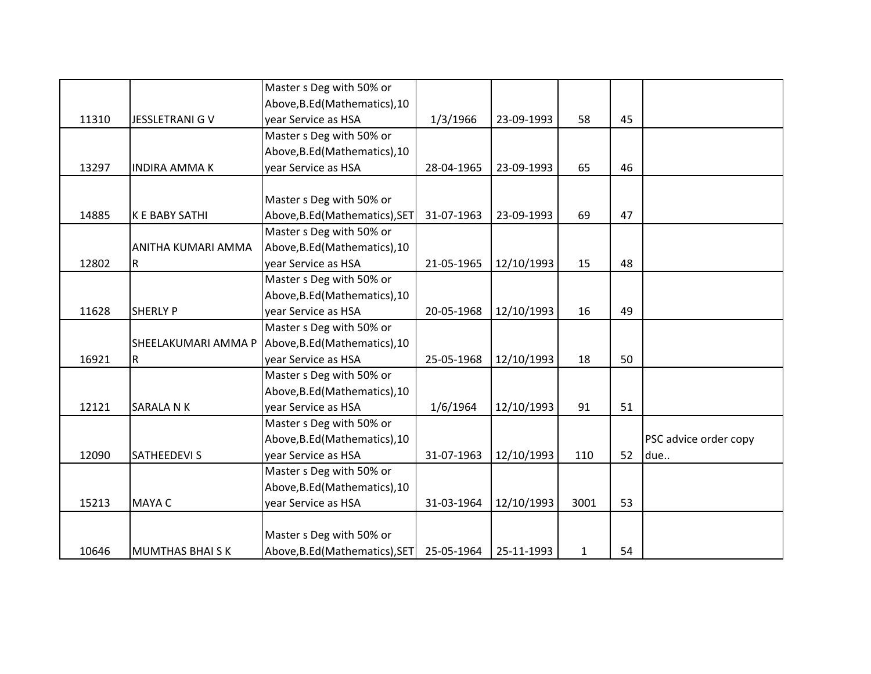|       |                        | Master s Deg with 50% or       |            |            |              |    |                       |
|-------|------------------------|--------------------------------|------------|------------|--------------|----|-----------------------|
|       |                        | Above, B.Ed (Mathematics), 10  |            |            |              |    |                       |
| 11310 | <b>JESSLETRANI G V</b> | year Service as HSA            | 1/3/1966   | 23-09-1993 | 58           | 45 |                       |
|       |                        | Master s Deg with 50% or       |            |            |              |    |                       |
|       |                        | Above, B.Ed (Mathematics), 10  |            |            |              |    |                       |
| 13297 | <b>INDIRA AMMAK</b>    | year Service as HSA            | 28-04-1965 | 23-09-1993 | 65           | 46 |                       |
|       |                        |                                |            |            |              |    |                       |
|       |                        | Master s Deg with 50% or       |            |            |              |    |                       |
| 14885 | K E BABY SATHI         | Above, B.Ed (Mathematics), SET | 31-07-1963 | 23-09-1993 | 69           | 47 |                       |
|       |                        | Master s Deg with 50% or       |            |            |              |    |                       |
|       | ANITHA KUMARI AMMA     | Above, B.Ed (Mathematics), 10  |            |            |              |    |                       |
| 12802 | R                      | year Service as HSA            | 21-05-1965 | 12/10/1993 | 15           | 48 |                       |
|       |                        | Master s Deg with 50% or       |            |            |              |    |                       |
|       |                        | Above, B.Ed (Mathematics), 10  |            |            |              |    |                       |
| 11628 | <b>SHERLY P</b>        | year Service as HSA            | 20-05-1968 | 12/10/1993 | 16           | 49 |                       |
|       |                        | Master s Deg with 50% or       |            |            |              |    |                       |
|       | SHEELAKUMARI AMMA P    | Above, B.Ed (Mathematics), 10  |            |            |              |    |                       |
| 16921 | R                      | year Service as HSA            | 25-05-1968 | 12/10/1993 | 18           | 50 |                       |
|       |                        | Master s Deg with 50% or       |            |            |              |    |                       |
|       |                        | Above, B.Ed (Mathematics), 10  |            |            |              |    |                       |
| 12121 | SARALA N K             | year Service as HSA            | 1/6/1964   | 12/10/1993 | 91           | 51 |                       |
|       |                        | Master s Deg with 50% or       |            |            |              |    |                       |
|       |                        | Above, B.Ed (Mathematics), 10  |            |            |              |    | PSC advice order copy |
| 12090 | <b>SATHEEDEVI S</b>    | year Service as HSA            | 31-07-1963 | 12/10/1993 | 110          | 52 | due                   |
|       |                        | Master s Deg with 50% or       |            |            |              |    |                       |
|       |                        | Above, B.Ed (Mathematics), 10  |            |            |              |    |                       |
| 15213 | <b>MAYA C</b>          | year Service as HSA            | 31-03-1964 | 12/10/1993 | 3001         | 53 |                       |
|       |                        |                                |            |            |              |    |                       |
|       |                        | Master s Deg with 50% or       |            |            |              |    |                       |
| 10646 | <b>MUMTHAS BHAISK</b>  | Above, B.Ed (Mathematics), SET | 25-05-1964 | 25-11-1993 | $\mathbf{1}$ | 54 |                       |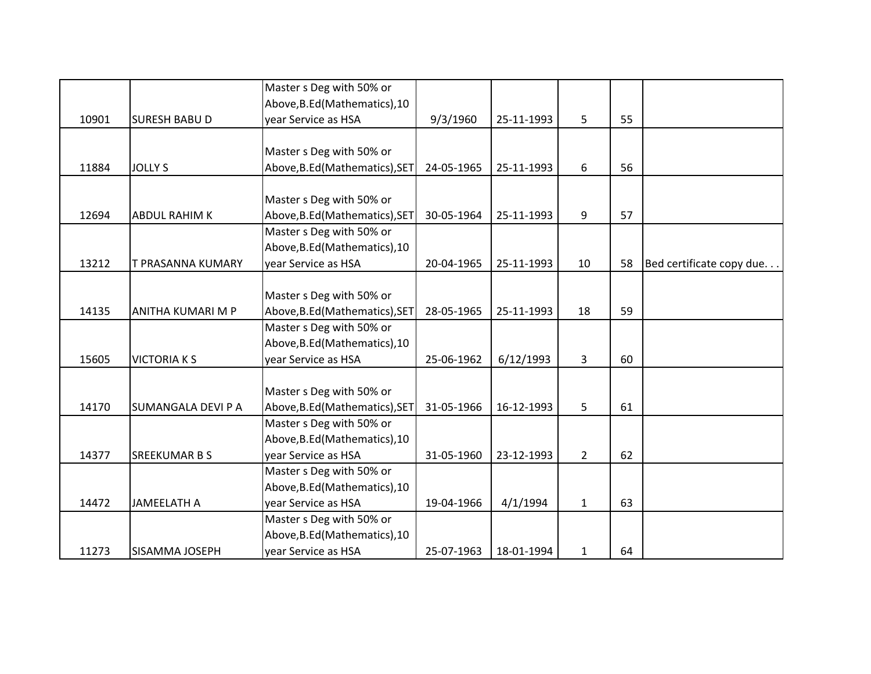|       |                      | Master s Deg with 50% or       |            |            |              |    |                          |
|-------|----------------------|--------------------------------|------------|------------|--------------|----|--------------------------|
|       |                      | Above, B.Ed (Mathematics), 10  |            |            |              |    |                          |
| 10901 | <b>SURESH BABU D</b> | year Service as HSA            | 9/3/1960   | 25-11-1993 | 5            | 55 |                          |
|       |                      |                                |            |            |              |    |                          |
|       |                      | Master s Deg with 50% or       |            |            |              |    |                          |
| 11884 | <b>JOLLY S</b>       | Above, B.Ed (Mathematics), SET | 24-05-1965 | 25-11-1993 | 6            | 56 |                          |
|       |                      |                                |            |            |              |    |                          |
|       |                      | Master s Deg with 50% or       |            |            |              |    |                          |
| 12694 | <b>ABDUL RAHIM K</b> | Above, B.Ed (Mathematics), SET | 30-05-1964 | 25-11-1993 | 9            | 57 |                          |
|       |                      | Master s Deg with 50% or       |            |            |              |    |                          |
|       |                      | Above, B.Ed (Mathematics), 10  |            |            |              |    |                          |
| 13212 | T PRASANNA KUMARY    | year Service as HSA            | 20-04-1965 | 25-11-1993 | 10           | 58 | Bed certificate copy due |
|       |                      |                                |            |            |              |    |                          |
|       |                      | Master s Deg with 50% or       |            |            |              |    |                          |
| 14135 | ANITHA KUMARI M P    | Above, B.Ed (Mathematics), SET | 28-05-1965 | 25-11-1993 | 18           | 59 |                          |
|       |                      | Master s Deg with 50% or       |            |            |              |    |                          |
|       |                      | Above, B.Ed (Mathematics), 10  |            |            |              |    |                          |
| 15605 | <b>VICTORIA K S</b>  | year Service as HSA            | 25-06-1962 | 6/12/1993  | 3            | 60 |                          |
|       |                      |                                |            |            |              |    |                          |
|       |                      | Master s Deg with 50% or       |            |            |              |    |                          |
| 14170 | SUMANGALA DEVI P A   | Above, B.Ed (Mathematics), SET | 31-05-1966 | 16-12-1993 | 5            | 61 |                          |
|       |                      | Master s Deg with 50% or       |            |            |              |    |                          |
|       |                      | Above, B.Ed (Mathematics), 10  |            |            |              |    |                          |
| 14377 | <b>SREEKUMAR B S</b> | year Service as HSA            | 31-05-1960 | 23-12-1993 | $2^{\circ}$  | 62 |                          |
|       |                      | Master s Deg with 50% or       |            |            |              |    |                          |
|       |                      | Above, B.Ed (Mathematics), 10  |            |            |              |    |                          |
| 14472 | <b>JAMEELATH A</b>   | year Service as HSA            | 19-04-1966 | 4/1/1994   | $\mathbf{1}$ | 63 |                          |
|       |                      | Master s Deg with 50% or       |            |            |              |    |                          |
|       |                      | Above, B.Ed (Mathematics), 10  |            |            |              |    |                          |
| 11273 | SISAMMA JOSEPH       | year Service as HSA            | 25-07-1963 | 18-01-1994 | 1            | 64 |                          |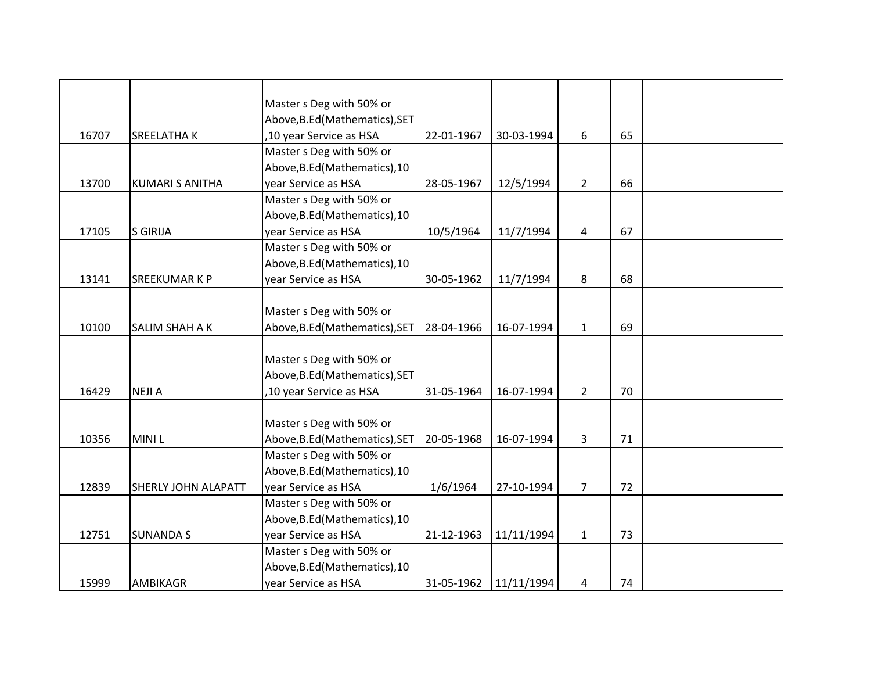|       |                            | Master s Deg with 50% or       |            |            |                |    |  |
|-------|----------------------------|--------------------------------|------------|------------|----------------|----|--|
|       |                            | Above, B.Ed (Mathematics), SET |            |            |                |    |  |
| 16707 | <b>SREELATHAK</b>          | ,10 year Service as HSA        | 22-01-1967 | 30-03-1994 | 6              | 65 |  |
|       |                            | Master s Deg with 50% or       |            |            |                |    |  |
|       |                            | Above, B.Ed (Mathematics), 10  |            |            |                |    |  |
| 13700 | <b>KUMARI S ANITHA</b>     | year Service as HSA            | 28-05-1967 | 12/5/1994  | $\overline{2}$ | 66 |  |
|       |                            | Master s Deg with 50% or       |            |            |                |    |  |
|       |                            | Above, B.Ed (Mathematics), 10  |            |            |                |    |  |
| 17105 | <b>S GIRIJA</b>            | year Service as HSA            | 10/5/1964  | 11/7/1994  | 4              | 67 |  |
|       |                            | Master s Deg with 50% or       |            |            |                |    |  |
|       |                            | Above, B.Ed (Mathematics), 10  |            |            |                |    |  |
| 13141 | SREEKUMAR K P              | year Service as HSA            | 30-05-1962 | 11/7/1994  | 8              | 68 |  |
|       |                            |                                |            |            |                |    |  |
|       |                            | Master s Deg with 50% or       |            |            |                |    |  |
| 10100 | SALIM SHAH A K             | Above, B.Ed (Mathematics), SET | 28-04-1966 | 16-07-1994 | $\mathbf{1}$   | 69 |  |
|       |                            |                                |            |            |                |    |  |
|       |                            | Master s Deg with 50% or       |            |            |                |    |  |
|       |                            | Above, B.Ed (Mathematics), SET |            |            |                |    |  |
| 16429 | <b>NEJIA</b>               | ,10 year Service as HSA        | 31-05-1964 | 16-07-1994 | $2^{\circ}$    | 70 |  |
|       |                            |                                |            |            |                |    |  |
|       |                            | Master s Deg with 50% or       |            |            |                |    |  |
| 10356 | <b>MINIL</b>               | Above, B.Ed (Mathematics), SET | 20-05-1968 | 16-07-1994 | 3              | 71 |  |
|       |                            | Master s Deg with 50% or       |            |            |                |    |  |
|       |                            | Above, B.Ed (Mathematics), 10  |            |            |                |    |  |
| 12839 | <b>SHERLY JOHN ALAPATT</b> | year Service as HSA            | 1/6/1964   | 27-10-1994 | $\overline{7}$ | 72 |  |
|       |                            | Master s Deg with 50% or       |            |            |                |    |  |
|       |                            | Above, B.Ed (Mathematics), 10  |            |            |                |    |  |
| 12751 | <b>SUNANDA S</b>           | year Service as HSA            | 21-12-1963 | 11/11/1994 | $\mathbf{1}$   | 73 |  |
|       |                            | Master s Deg with 50% or       |            |            |                |    |  |
|       |                            | Above, B.Ed (Mathematics), 10  |            |            |                |    |  |
| 15999 | <b>AMBIKAGR</b>            | year Service as HSA            | 31-05-1962 | 11/11/1994 | 4              | 74 |  |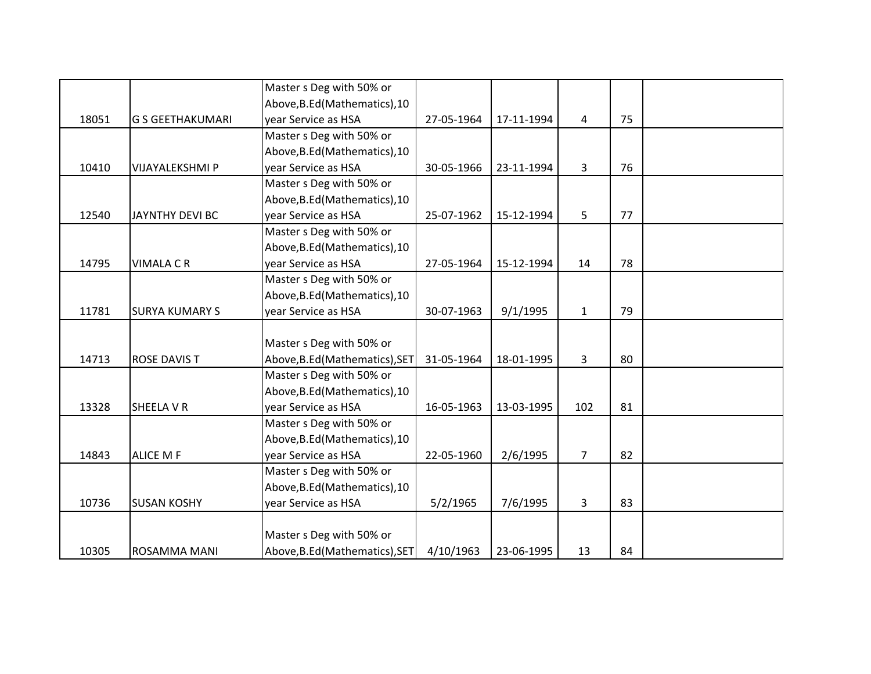|       |                         | Master s Deg with 50% or       |            |            |                |    |  |
|-------|-------------------------|--------------------------------|------------|------------|----------------|----|--|
|       |                         | Above, B.Ed (Mathematics), 10  |            |            |                |    |  |
| 18051 | <b>G S GEETHAKUMARI</b> | year Service as HSA            | 27-05-1964 | 17-11-1994 | 4              | 75 |  |
|       |                         | Master s Deg with 50% or       |            |            |                |    |  |
|       |                         | Above, B.Ed (Mathematics), 10  |            |            |                |    |  |
| 10410 | VIJAYALEKSHMI P         | year Service as HSA            | 30-05-1966 | 23-11-1994 | 3              | 76 |  |
|       |                         | Master s Deg with 50% or       |            |            |                |    |  |
|       |                         | Above, B.Ed (Mathematics), 10  |            |            |                |    |  |
| 12540 | <b>JAYNTHY DEVI BC</b>  | year Service as HSA            | 25-07-1962 | 15-12-1994 | 5              | 77 |  |
|       |                         | Master s Deg with 50% or       |            |            |                |    |  |
|       |                         | Above, B.Ed (Mathematics), 10  |            |            |                |    |  |
| 14795 | <b>VIMALA C R</b>       | year Service as HSA            | 27-05-1964 | 15-12-1994 | 14             | 78 |  |
|       |                         | Master s Deg with 50% or       |            |            |                |    |  |
|       |                         | Above, B.Ed (Mathematics), 10  |            |            |                |    |  |
| 11781 | <b>SURYA KUMARY S</b>   | year Service as HSA            | 30-07-1963 | 9/1/1995   | $\mathbf{1}$   | 79 |  |
|       |                         |                                |            |            |                |    |  |
|       |                         | Master s Deg with 50% or       |            |            |                |    |  |
| 14713 | <b>ROSE DAVIS T</b>     | Above, B.Ed (Mathematics), SET | 31-05-1964 | 18-01-1995 | 3              | 80 |  |
|       |                         | Master s Deg with 50% or       |            |            |                |    |  |
|       |                         | Above, B.Ed (Mathematics), 10  |            |            |                |    |  |
| 13328 | SHEELA V R              | year Service as HSA            | 16-05-1963 | 13-03-1995 | 102            | 81 |  |
|       |                         | Master s Deg with 50% or       |            |            |                |    |  |
|       |                         | Above, B.Ed (Mathematics), 10  |            |            |                |    |  |
| 14843 | <b>ALICE M F</b>        | year Service as HSA            | 22-05-1960 | 2/6/1995   | $\overline{7}$ | 82 |  |
|       |                         | Master s Deg with 50% or       |            |            |                |    |  |
|       |                         | Above, B.Ed (Mathematics), 10  |            |            |                |    |  |
| 10736 | <b>SUSAN KOSHY</b>      | year Service as HSA            | 5/2/1965   | 7/6/1995   | 3              | 83 |  |
|       |                         |                                |            |            |                |    |  |
|       |                         | Master s Deg with 50% or       |            |            |                |    |  |
| 10305 | ROSAMMA MANI            | Above, B.Ed (Mathematics), SET | 4/10/1963  | 23-06-1995 | 13             | 84 |  |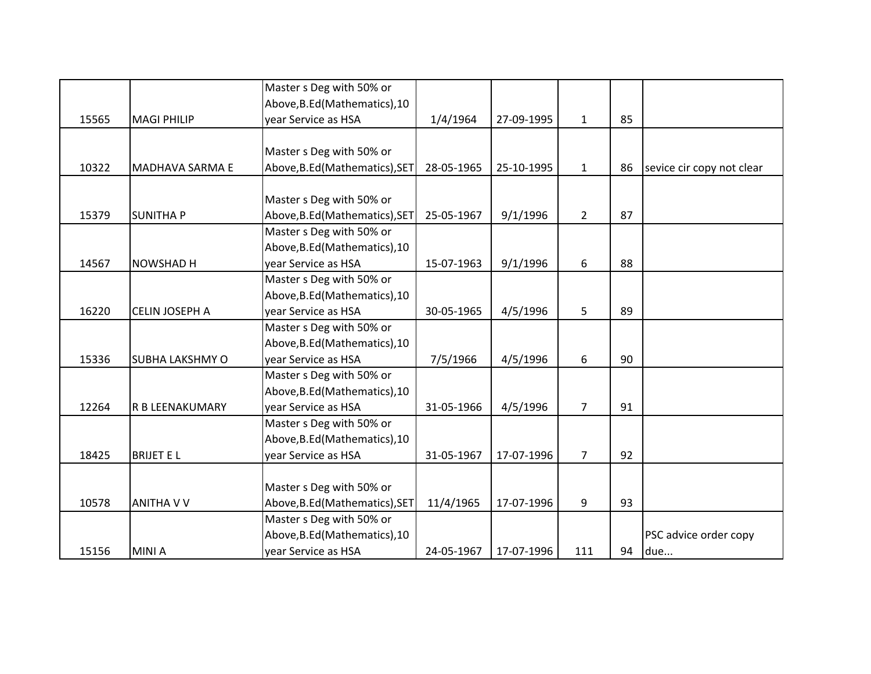|       |                        | Master s Deg with 50% or       |            |            |                |    |                           |
|-------|------------------------|--------------------------------|------------|------------|----------------|----|---------------------------|
|       |                        | Above, B.Ed (Mathematics), 10  |            |            |                |    |                           |
| 15565 | <b>MAGI PHILIP</b>     | year Service as HSA            | 1/4/1964   | 27-09-1995 | $\mathbf{1}$   | 85 |                           |
|       |                        |                                |            |            |                |    |                           |
|       |                        | Master s Deg with 50% or       |            |            |                |    |                           |
| 10322 | <b>MADHAVA SARMA E</b> | Above, B.Ed (Mathematics), SET | 28-05-1965 | 25-10-1995 | $\mathbf{1}$   | 86 | sevice cir copy not clear |
|       |                        |                                |            |            |                |    |                           |
|       |                        | Master s Deg with 50% or       |            |            |                |    |                           |
| 15379 | <b>SUNITHAP</b>        | Above, B.Ed (Mathematics), SET | 25-05-1967 | 9/1/1996   | $2^{\circ}$    | 87 |                           |
|       |                        | Master s Deg with 50% or       |            |            |                |    |                           |
|       |                        | Above, B.Ed (Mathematics), 10  |            |            |                |    |                           |
| 14567 | <b>NOWSHAD H</b>       | year Service as HSA            | 15-07-1963 | 9/1/1996   | 6              | 88 |                           |
|       |                        | Master s Deg with 50% or       |            |            |                |    |                           |
|       |                        | Above, B.Ed (Mathematics), 10  |            |            |                |    |                           |
| 16220 | <b>CELIN JOSEPH A</b>  | year Service as HSA            | 30-05-1965 | 4/5/1996   | 5              | 89 |                           |
|       |                        | Master s Deg with 50% or       |            |            |                |    |                           |
|       |                        | Above, B.Ed (Mathematics), 10  |            |            |                |    |                           |
| 15336 | <b>SUBHA LAKSHMY O</b> | year Service as HSA            | 7/5/1966   | 4/5/1996   | 6              | 90 |                           |
|       |                        | Master s Deg with 50% or       |            |            |                |    |                           |
|       |                        | Above, B.Ed (Mathematics), 10  |            |            |                |    |                           |
| 12264 | R B LEENAKUMARY        | year Service as HSA            | 31-05-1966 | 4/5/1996   | $\overline{7}$ | 91 |                           |
|       |                        | Master s Deg with 50% or       |            |            |                |    |                           |
|       |                        | Above, B.Ed (Mathematics), 10  |            |            |                |    |                           |
| 18425 | <b>BRIJET EL</b>       | year Service as HSA            | 31-05-1967 | 17-07-1996 | $\overline{7}$ | 92 |                           |
|       |                        |                                |            |            |                |    |                           |
|       |                        | Master s Deg with 50% or       |            |            |                |    |                           |
| 10578 | <b>ANITHA V V</b>      | Above, B.Ed (Mathematics), SET | 11/4/1965  | 17-07-1996 | 9              | 93 |                           |
|       |                        | Master s Deg with 50% or       |            |            |                |    |                           |
|       |                        | Above, B.Ed (Mathematics), 10  |            |            |                |    | PSC advice order copy     |
| 15156 | <b>MINIA</b>           | year Service as HSA            | 24-05-1967 | 17-07-1996 | 111            | 94 | due                       |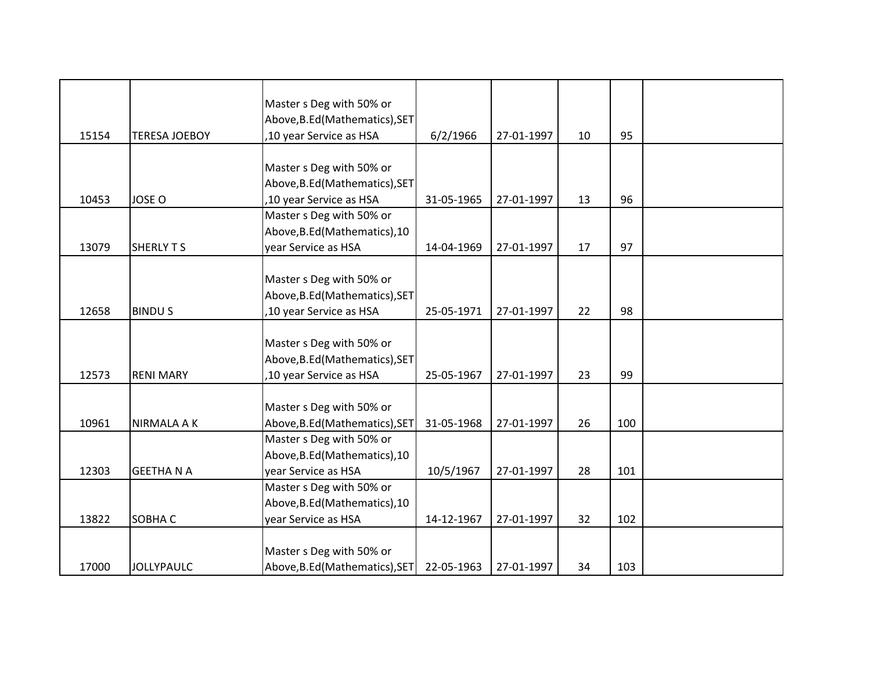|       |                      | Master s Deg with 50% or       |            |            |    |     |  |
|-------|----------------------|--------------------------------|------------|------------|----|-----|--|
|       |                      | Above, B.Ed (Mathematics), SET |            |            |    |     |  |
| 15154 | <b>TERESA JOEBOY</b> | ,10 year Service as HSA        | 6/2/1966   | 27-01-1997 | 10 | 95  |  |
|       |                      |                                |            |            |    |     |  |
|       |                      | Master s Deg with 50% or       |            |            |    |     |  |
|       |                      | Above, B.Ed (Mathematics), SET |            |            |    |     |  |
| 10453 | <b>JOSE O</b>        | ,10 year Service as HSA        | 31-05-1965 | 27-01-1997 | 13 | 96  |  |
|       |                      | Master s Deg with 50% or       |            |            |    |     |  |
|       |                      | Above, B.Ed (Mathematics), 10  |            |            |    |     |  |
| 13079 | <b>SHERLY T S</b>    | year Service as HSA            | 14-04-1969 | 27-01-1997 | 17 | 97  |  |
|       |                      |                                |            |            |    |     |  |
|       |                      | Master s Deg with 50% or       |            |            |    |     |  |
|       |                      | Above, B.Ed (Mathematics), SET |            |            |    |     |  |
| 12658 | <b>BINDUS</b>        | ,10 year Service as HSA        | 25-05-1971 | 27-01-1997 | 22 | 98  |  |
|       |                      |                                |            |            |    |     |  |
|       |                      | Master s Deg with 50% or       |            |            |    |     |  |
|       |                      | Above, B.Ed (Mathematics), SET |            |            |    |     |  |
| 12573 | <b>RENI MARY</b>     | ,10 year Service as HSA        | 25-05-1967 | 27-01-1997 | 23 | 99  |  |
|       |                      |                                |            |            |    |     |  |
|       |                      | Master s Deg with 50% or       |            |            |    |     |  |
| 10961 | <b>NIRMALA A K</b>   | Above, B.Ed (Mathematics), SET | 31-05-1968 | 27-01-1997 | 26 | 100 |  |
|       |                      | Master s Deg with 50% or       |            |            |    |     |  |
|       |                      | Above, B.Ed (Mathematics), 10  |            |            |    |     |  |
| 12303 | <b>GEETHANA</b>      | year Service as HSA            | 10/5/1967  | 27-01-1997 | 28 | 101 |  |
|       |                      | Master s Deg with 50% or       |            |            |    |     |  |
|       |                      | Above, B.Ed (Mathematics), 10  |            |            |    |     |  |
| 13822 | SOBHA C              | year Service as HSA            | 14-12-1967 | 27-01-1997 | 32 | 102 |  |
|       |                      |                                |            |            |    |     |  |
|       |                      | Master s Deg with 50% or       |            |            |    |     |  |
| 17000 | <b>JOLLYPAULC</b>    | Above, B.Ed (Mathematics), SET | 22-05-1963 | 27-01-1997 | 34 | 103 |  |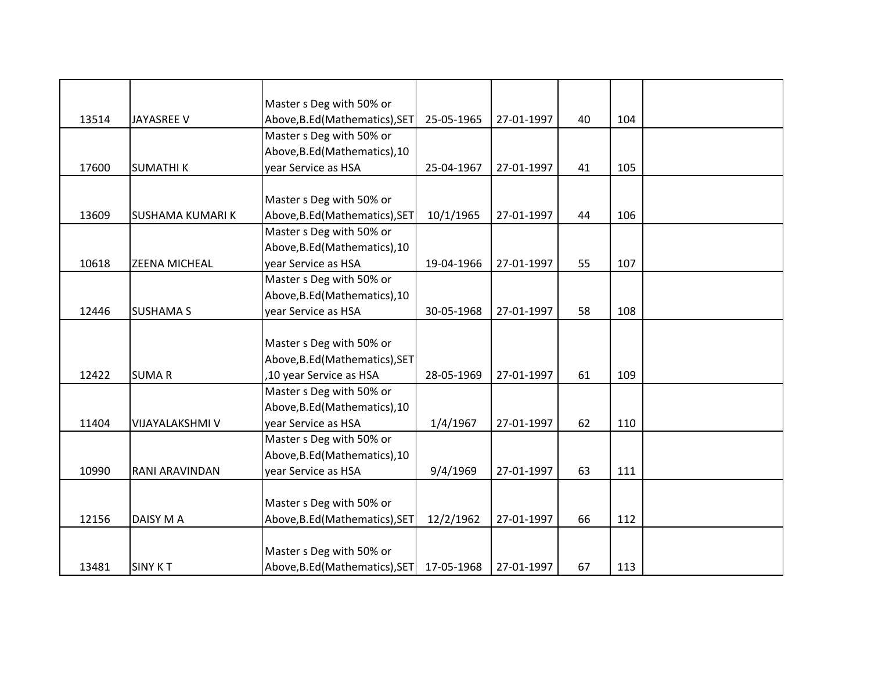|       |                         | Master s Deg with 50% or       |            |            |    |     |  |
|-------|-------------------------|--------------------------------|------------|------------|----|-----|--|
| 13514 | JAYASREE V              | Above, B.Ed (Mathematics), SET | 25-05-1965 | 27-01-1997 | 40 | 104 |  |
|       |                         | Master s Deg with 50% or       |            |            |    |     |  |
|       |                         | Above, B.Ed (Mathematics), 10  |            |            |    |     |  |
| 17600 | <b>SUMATHIK</b>         | year Service as HSA            | 25-04-1967 | 27-01-1997 | 41 | 105 |  |
|       |                         |                                |            |            |    |     |  |
|       |                         | Master s Deg with 50% or       |            |            |    |     |  |
| 13609 | <b>SUSHAMA KUMARI K</b> | Above, B.Ed (Mathematics), SET | 10/1/1965  | 27-01-1997 | 44 | 106 |  |
|       |                         | Master s Deg with 50% or       |            |            |    |     |  |
|       |                         | Above, B.Ed (Mathematics), 10  |            |            |    |     |  |
| 10618 | <b>ZEENA MICHEAL</b>    | year Service as HSA            | 19-04-1966 | 27-01-1997 | 55 | 107 |  |
|       |                         | Master s Deg with 50% or       |            |            |    |     |  |
|       |                         | Above, B.Ed (Mathematics), 10  |            |            |    |     |  |
| 12446 | <b>SUSHAMA S</b>        | year Service as HSA            | 30-05-1968 | 27-01-1997 | 58 | 108 |  |
|       |                         |                                |            |            |    |     |  |
|       |                         | Master s Deg with 50% or       |            |            |    |     |  |
|       |                         | Above, B.Ed (Mathematics), SET |            |            |    |     |  |
| 12422 | <b>SUMAR</b>            | ,10 year Service as HSA        | 28-05-1969 | 27-01-1997 | 61 | 109 |  |
|       |                         | Master s Deg with 50% or       |            |            |    |     |  |
|       |                         | Above, B.Ed (Mathematics), 10  |            |            |    |     |  |
| 11404 | VIJAYALAKSHMI V         | year Service as HSA            | 1/4/1967   | 27-01-1997 | 62 | 110 |  |
|       |                         | Master s Deg with 50% or       |            |            |    |     |  |
|       |                         | Above, B.Ed (Mathematics), 10  |            |            |    |     |  |
| 10990 | RANI ARAVINDAN          | year Service as HSA            | 9/4/1969   | 27-01-1997 | 63 | 111 |  |
|       |                         |                                |            |            |    |     |  |
|       |                         | Master s Deg with 50% or       |            |            |    |     |  |
| 12156 | DAISY M A               | Above, B.Ed (Mathematics), SET | 12/2/1962  | 27-01-1997 | 66 | 112 |  |
|       |                         |                                |            |            |    |     |  |
|       |                         | Master s Deg with 50% or       |            |            |    |     |  |
| 13481 | <b>SINY KT</b>          | Above, B.Ed (Mathematics), SET | 17-05-1968 | 27-01-1997 | 67 | 113 |  |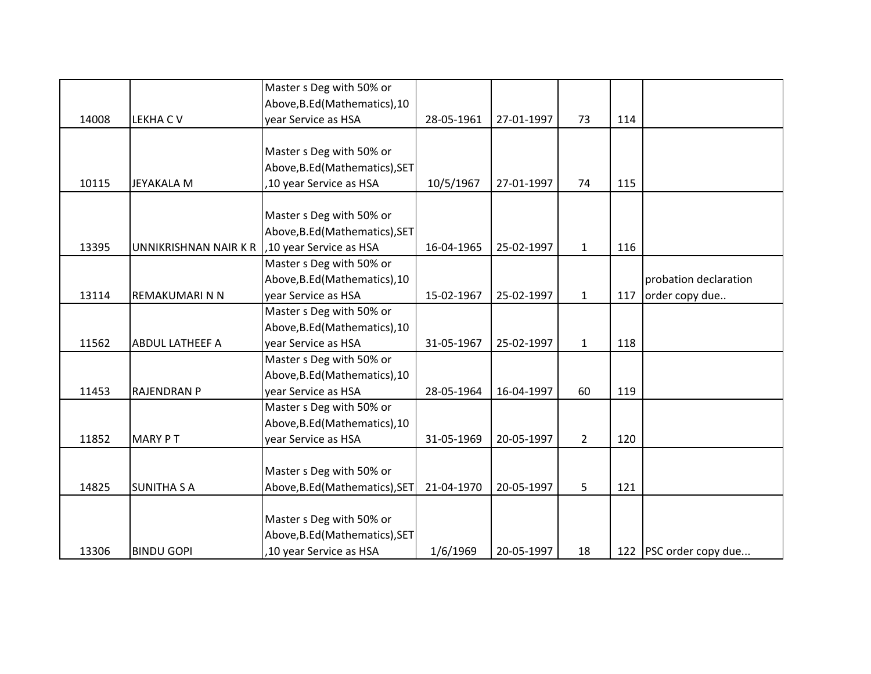|       |                        | Master s Deg with 50% or       |            |            |                |     |                        |
|-------|------------------------|--------------------------------|------------|------------|----------------|-----|------------------------|
|       |                        | Above, B.Ed (Mathematics), 10  |            |            |                |     |                        |
| 14008 | <b>LEKHACV</b>         | year Service as HSA            | 28-05-1961 | 27-01-1997 | 73             | 114 |                        |
|       |                        |                                |            |            |                |     |                        |
|       |                        | Master s Deg with 50% or       |            |            |                |     |                        |
|       |                        | Above, B.Ed (Mathematics), SET |            |            |                |     |                        |
| 10115 | <b>JEYAKALA M</b>      | ,10 year Service as HSA        | 10/5/1967  | 27-01-1997 | 74             | 115 |                        |
|       |                        |                                |            |            |                |     |                        |
|       |                        | Master s Deg with 50% or       |            |            |                |     |                        |
|       |                        | Above, B.Ed (Mathematics), SET |            |            |                |     |                        |
| 13395 | UNNIKRISHNAN NAIR K R  | ,10 year Service as HSA        | 16-04-1965 | 25-02-1997 | $\mathbf{1}$   | 116 |                        |
|       |                        | Master s Deg with 50% or       |            |            |                |     |                        |
|       |                        | Above, B.Ed (Mathematics), 10  |            |            |                |     | probation declaration  |
| 13114 | REMAKUMARI N N         | year Service as HSA            | 15-02-1967 | 25-02-1997 | $\mathbf{1}$   | 117 | order copy due         |
|       |                        | Master s Deg with 50% or       |            |            |                |     |                        |
|       |                        | Above, B.Ed (Mathematics), 10  |            |            |                |     |                        |
| 11562 | <b>ABDUL LATHEEF A</b> | year Service as HSA            | 31-05-1967 | 25-02-1997 | $\mathbf{1}$   | 118 |                        |
|       |                        | Master s Deg with 50% or       |            |            |                |     |                        |
|       |                        | Above, B.Ed (Mathematics), 10  |            |            |                |     |                        |
| 11453 | <b>RAJENDRAN P</b>     | year Service as HSA            | 28-05-1964 | 16-04-1997 | 60             | 119 |                        |
|       |                        | Master s Deg with 50% or       |            |            |                |     |                        |
|       |                        | Above, B.Ed (Mathematics), 10  |            |            |                |     |                        |
| 11852 | <b>MARY PT</b>         | year Service as HSA            | 31-05-1969 | 20-05-1997 | $\overline{2}$ | 120 |                        |
|       |                        |                                |            |            |                |     |                        |
|       |                        | Master s Deg with 50% or       |            |            |                |     |                        |
| 14825 | <b>SUNITHA S A</b>     | Above, B.Ed (Mathematics), SET | 21-04-1970 | 20-05-1997 | 5              | 121 |                        |
|       |                        |                                |            |            |                |     |                        |
|       |                        | Master s Deg with 50% or       |            |            |                |     |                        |
|       |                        | Above, B.Ed (Mathematics), SET |            |            |                |     |                        |
| 13306 | <b>BINDU GOPI</b>      | ,10 year Service as HSA        | 1/6/1969   | 20-05-1997 | 18             |     | 122 PSC order copy due |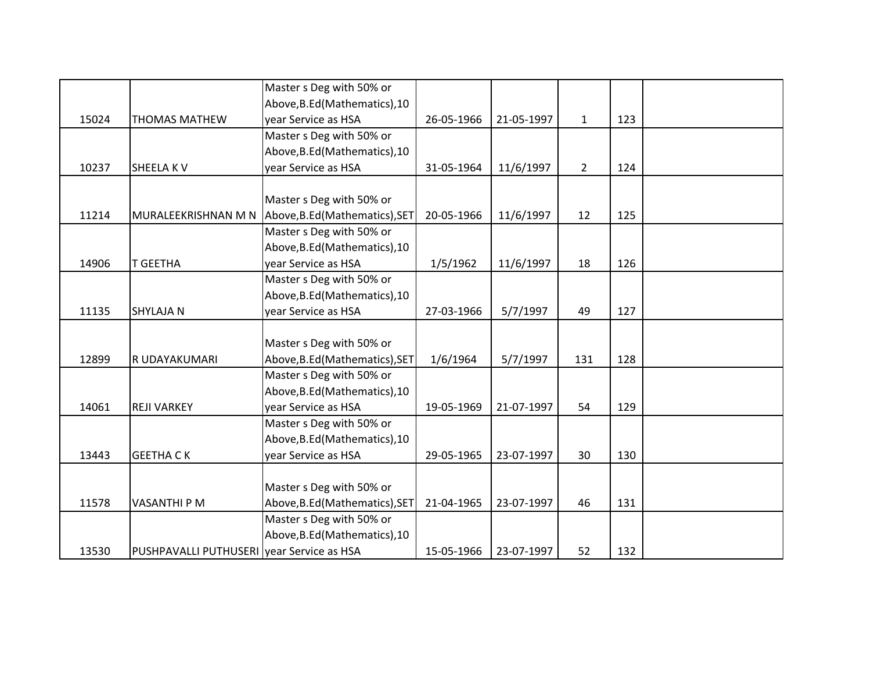|       |                                           | Master s Deg with 50% or                           |            |            |                |     |  |
|-------|-------------------------------------------|----------------------------------------------------|------------|------------|----------------|-----|--|
|       |                                           | Above, B.Ed (Mathematics), 10                      |            |            |                |     |  |
| 15024 | <b>THOMAS MATHEW</b>                      | year Service as HSA                                | 26-05-1966 | 21-05-1997 | $\mathbf{1}$   | 123 |  |
|       |                                           | Master s Deg with 50% or                           |            |            |                |     |  |
|       |                                           | Above, B.Ed (Mathematics), 10                      |            |            |                |     |  |
| 10237 | <b>SHEELAKV</b>                           | year Service as HSA                                | 31-05-1964 | 11/6/1997  | $\overline{2}$ | 124 |  |
|       |                                           |                                                    |            |            |                |     |  |
|       |                                           | Master s Deg with 50% or                           |            |            |                |     |  |
| 11214 |                                           | MURALEEKRISHNAN M N Above, B.Ed (Mathematics), SET | 20-05-1966 | 11/6/1997  | 12             | 125 |  |
|       |                                           | Master s Deg with 50% or                           |            |            |                |     |  |
|       |                                           | Above, B.Ed (Mathematics), 10                      |            |            |                |     |  |
| 14906 | <b>T GEETHA</b>                           | year Service as HSA                                | 1/5/1962   | 11/6/1997  | 18             | 126 |  |
|       |                                           | Master s Deg with 50% or                           |            |            |                |     |  |
|       |                                           | Above, B.Ed (Mathematics), 10                      |            |            |                |     |  |
| 11135 | <b>SHYLAJA N</b>                          | year Service as HSA                                | 27-03-1966 | 5/7/1997   | 49             | 127 |  |
|       |                                           |                                                    |            |            |                |     |  |
|       |                                           | Master s Deg with 50% or                           |            |            |                |     |  |
| 12899 | R UDAYAKUMARI                             | Above, B.Ed (Mathematics), SET                     | 1/6/1964   | 5/7/1997   | 131            | 128 |  |
|       |                                           | Master s Deg with 50% or                           |            |            |                |     |  |
|       |                                           | Above, B.Ed (Mathematics), 10                      |            |            |                |     |  |
| 14061 | <b>REJI VARKEY</b>                        | year Service as HSA                                | 19-05-1969 | 21-07-1997 | 54             | 129 |  |
|       |                                           | Master s Deg with 50% or                           |            |            |                |     |  |
|       |                                           | Above, B.Ed (Mathematics), 10                      |            |            |                |     |  |
| 13443 | <b>GEETHA CK</b>                          | year Service as HSA                                | 29-05-1965 | 23-07-1997 | 30             | 130 |  |
|       |                                           |                                                    |            |            |                |     |  |
|       |                                           | Master s Deg with 50% or                           |            |            |                |     |  |
| 11578 | <b>VASANTHI P M</b>                       | Above, B.Ed (Mathematics), SET                     | 21-04-1965 | 23-07-1997 | 46             | 131 |  |
|       |                                           | Master s Deg with 50% or                           |            |            |                |     |  |
|       |                                           | Above, B.Ed (Mathematics), 10                      |            |            |                |     |  |
| 13530 | PUSHPAVALLI PUTHUSERI vear Service as HSA |                                                    | 15-05-1966 | 23-07-1997 | 52             | 132 |  |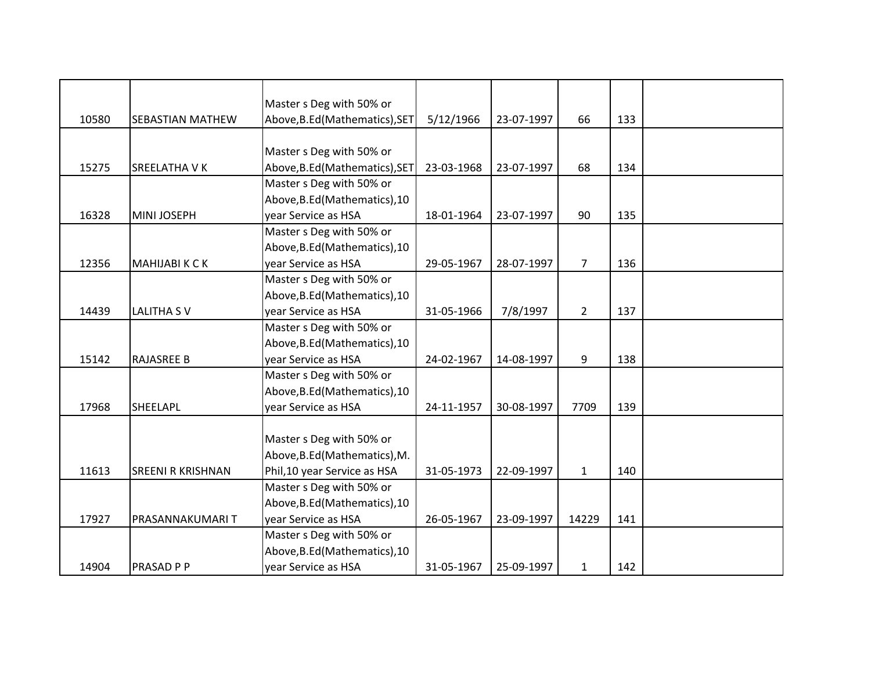|       |                          | Master s Deg with 50% or       |            |            |                |     |  |
|-------|--------------------------|--------------------------------|------------|------------|----------------|-----|--|
| 10580 | SEBASTIAN MATHEW         | Above, B.Ed (Mathematics), SET | 5/12/1966  | 23-07-1997 | 66             | 133 |  |
|       |                          |                                |            |            |                |     |  |
|       |                          | Master s Deg with 50% or       |            |            |                |     |  |
| 15275 | SREELATHA V K            | Above, B.Ed (Mathematics), SET | 23-03-1968 | 23-07-1997 | 68             | 134 |  |
|       |                          | Master s Deg with 50% or       |            |            |                |     |  |
|       |                          | Above, B.Ed (Mathematics), 10  |            |            |                |     |  |
| 16328 | MINI JOSEPH              | year Service as HSA            | 18-01-1964 | 23-07-1997 | 90             | 135 |  |
|       |                          | Master s Deg with 50% or       |            |            |                |     |  |
|       |                          | Above, B.Ed (Mathematics), 10  |            |            |                |     |  |
| 12356 | MAHIJABI K C K           | year Service as HSA            | 29-05-1967 | 28-07-1997 | $\overline{7}$ | 136 |  |
|       |                          | Master s Deg with 50% or       |            |            |                |     |  |
|       |                          | Above, B.Ed (Mathematics), 10  |            |            |                |     |  |
| 14439 | <b>LALITHA SV</b>        | year Service as HSA            | 31-05-1966 | 7/8/1997   | $\overline{2}$ | 137 |  |
|       |                          | Master s Deg with 50% or       |            |            |                |     |  |
|       |                          | Above, B.Ed (Mathematics), 10  |            |            |                |     |  |
| 15142 | <b>RAJASREE B</b>        | year Service as HSA            | 24-02-1967 | 14-08-1997 | 9              | 138 |  |
|       |                          | Master s Deg with 50% or       |            |            |                |     |  |
|       |                          | Above, B.Ed (Mathematics), 10  |            |            |                |     |  |
| 17968 | SHEELAPL                 | year Service as HSA            | 24-11-1957 | 30-08-1997 | 7709           | 139 |  |
|       |                          |                                |            |            |                |     |  |
|       |                          | Master s Deg with 50% or       |            |            |                |     |  |
|       |                          | Above, B.Ed (Mathematics), M.  |            |            |                |     |  |
| 11613 | <b>SREENI R KRISHNAN</b> | Phil, 10 year Service as HSA   | 31-05-1973 | 22-09-1997 | $\mathbf{1}$   | 140 |  |
|       |                          | Master s Deg with 50% or       |            |            |                |     |  |
|       |                          | Above, B.Ed (Mathematics), 10  |            |            |                |     |  |
| 17927 | PRASANNAKUMARI T         | year Service as HSA            | 26-05-1967 | 23-09-1997 | 14229          | 141 |  |
|       |                          | Master s Deg with 50% or       |            |            |                |     |  |
|       |                          | Above, B.Ed (Mathematics), 10  |            |            |                |     |  |
| 14904 | PRASAD P P               | year Service as HSA            | 31-05-1967 | 25-09-1997 | $\mathbf{1}$   | 142 |  |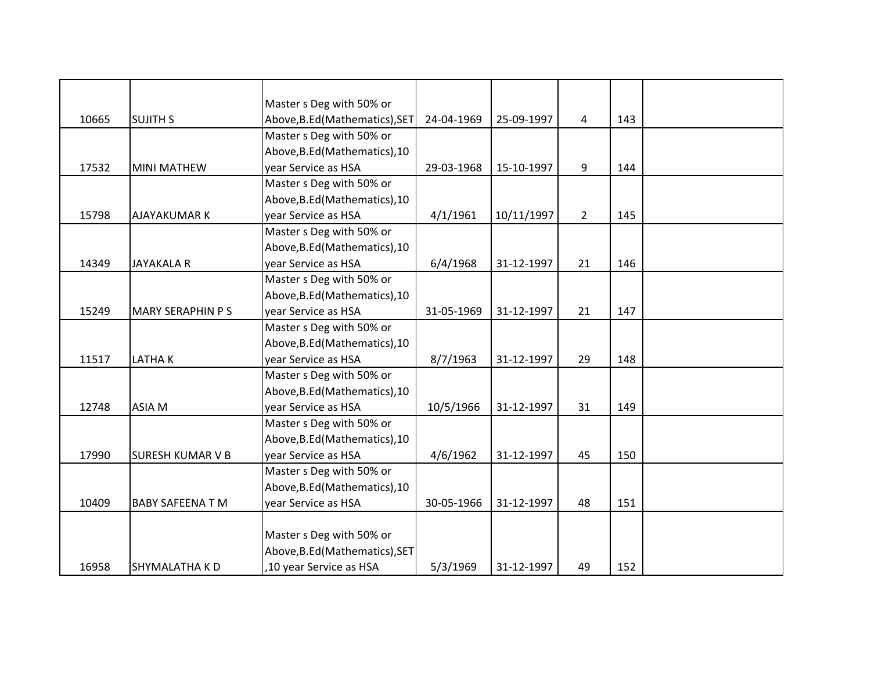|       |                         | Master s Deg with 50% or       |            |            |                |     |  |
|-------|-------------------------|--------------------------------|------------|------------|----------------|-----|--|
| 10665 | <b>SUJITH S</b>         | Above, B.Ed (Mathematics), SET | 24-04-1969 | 25-09-1997 | 4              | 143 |  |
|       |                         | Master s Deg with 50% or       |            |            |                |     |  |
|       |                         | Above, B.Ed (Mathematics), 10  |            |            |                |     |  |
| 17532 | <b>MINI MATHEW</b>      | year Service as HSA            | 29-03-1968 | 15-10-1997 | 9              | 144 |  |
|       |                         | Master s Deg with 50% or       |            |            |                |     |  |
|       |                         | Above, B.Ed (Mathematics), 10  |            |            |                |     |  |
| 15798 | <b>AJAYAKUMAR K</b>     | year Service as HSA            | 4/1/1961   | 10/11/1997 | $\overline{2}$ | 145 |  |
|       |                         | Master s Deg with 50% or       |            |            |                |     |  |
|       |                         | Above, B.Ed (Mathematics), 10  |            |            |                |     |  |
| 14349 | <b>JAYAKALA R</b>       | year Service as HSA            | 6/4/1968   | 31-12-1997 | 21             | 146 |  |
|       |                         | Master s Deg with 50% or       |            |            |                |     |  |
|       |                         | Above, B.Ed (Mathematics), 10  |            |            |                |     |  |
| 15249 | <b>MARY SERAPHIN PS</b> | year Service as HSA            | 31-05-1969 | 31-12-1997 | 21             | 147 |  |
|       |                         | Master s Deg with 50% or       |            |            |                |     |  |
|       |                         | Above, B.Ed (Mathematics), 10  |            |            |                |     |  |
| 11517 | LATHAK                  | year Service as HSA            | 8/7/1963   | 31-12-1997 | 29             | 148 |  |
|       |                         | Master s Deg with 50% or       |            |            |                |     |  |
|       |                         | Above, B.Ed (Mathematics), 10  |            |            |                |     |  |
| 12748 | ASIA M                  | year Service as HSA            | 10/5/1966  | 31-12-1997 | 31             | 149 |  |
|       |                         | Master s Deg with 50% or       |            |            |                |     |  |
|       |                         | Above, B.Ed (Mathematics), 10  |            |            |                |     |  |
| 17990 | <b>SURESH KUMAR V B</b> | year Service as HSA            | 4/6/1962   | 31-12-1997 | 45             | 150 |  |
|       |                         | Master s Deg with 50% or       |            |            |                |     |  |
|       |                         | Above, B.Ed (Mathematics), 10  |            |            |                |     |  |
| 10409 | <b>BABY SAFEENA T M</b> | year Service as HSA            | 30-05-1966 | 31-12-1997 | 48             | 151 |  |
|       |                         |                                |            |            |                |     |  |
|       |                         | Master s Deg with 50% or       |            |            |                |     |  |
|       |                         | Above, B.Ed (Mathematics), SET |            |            |                |     |  |
| 16958 | <b>SHYMALATHA KD</b>    | ,10 year Service as HSA        | 5/3/1969   | 31-12-1997 | 49             | 152 |  |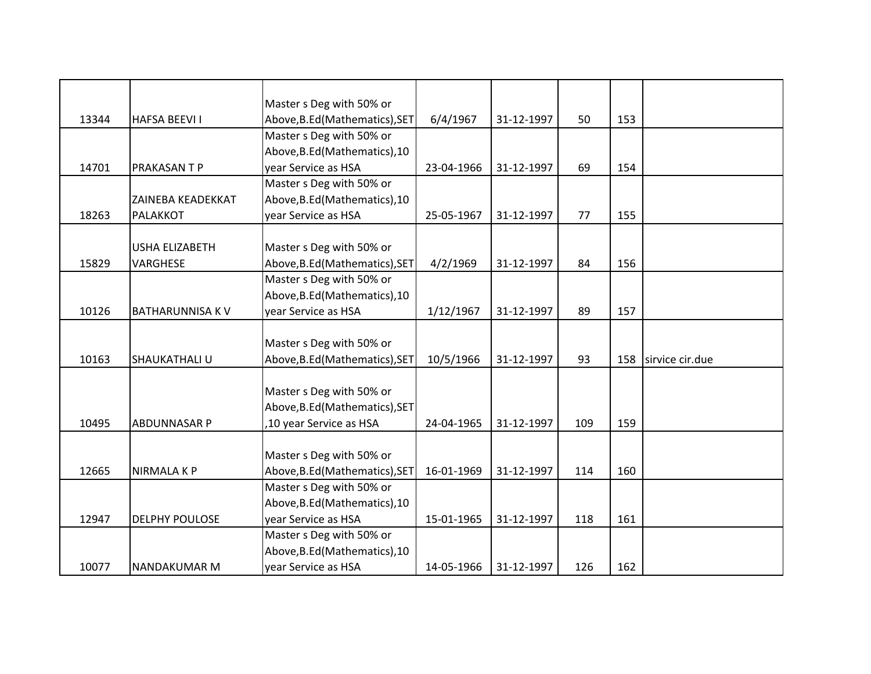|       |                        | Master s Deg with 50% or       |            |            |     |     |                 |
|-------|------------------------|--------------------------------|------------|------------|-----|-----|-----------------|
| 13344 | <b>HAFSA BEEVI I</b>   | Above, B.Ed (Mathematics), SET | 6/4/1967   | 31-12-1997 | 50  | 153 |                 |
|       |                        | Master s Deg with 50% or       |            |            |     |     |                 |
|       |                        | Above, B.Ed (Mathematics), 10  |            |            |     |     |                 |
| 14701 | PRAKASAN T P           | year Service as HSA            | 23-04-1966 | 31-12-1997 | 69  | 154 |                 |
|       |                        | Master s Deg with 50% or       |            |            |     |     |                 |
|       | ZAINEBA KEADEKKAT      | Above, B.Ed (Mathematics), 10  |            |            |     |     |                 |
| 18263 | PALAKKOT               | year Service as HSA            | 25-05-1967 | 31-12-1997 | 77  | 155 |                 |
|       |                        |                                |            |            |     |     |                 |
|       | <b>USHA ELIZABETH</b>  | Master s Deg with 50% or       |            |            |     |     |                 |
| 15829 | VARGHESE               | Above, B.Ed (Mathematics), SET | 4/2/1969   | 31-12-1997 | 84  | 156 |                 |
|       |                        | Master s Deg with 50% or       |            |            |     |     |                 |
|       |                        | Above, B.Ed (Mathematics), 10  |            |            |     |     |                 |
| 10126 | <b>BATHARUNNISA KV</b> | year Service as HSA            | 1/12/1967  | 31-12-1997 | 89  | 157 |                 |
|       |                        |                                |            |            |     |     |                 |
|       |                        | Master s Deg with 50% or       |            |            |     |     |                 |
| 10163 | SHAUKATHALI U          | Above, B.Ed (Mathematics), SET | 10/5/1966  | 31-12-1997 | 93  | 158 | sirvice cir.due |
|       |                        |                                |            |            |     |     |                 |
|       |                        | Master s Deg with 50% or       |            |            |     |     |                 |
|       |                        | Above, B.Ed (Mathematics), SET |            |            |     |     |                 |
| 10495 | <b>ABDUNNASAR P</b>    | ,10 year Service as HSA        | 24-04-1965 | 31-12-1997 | 109 | 159 |                 |
|       |                        |                                |            |            |     |     |                 |
|       |                        | Master s Deg with 50% or       |            |            |     |     |                 |
| 12665 | <b>NIRMALAKP</b>       | Above, B.Ed (Mathematics), SET | 16-01-1969 | 31-12-1997 | 114 | 160 |                 |
|       |                        | Master s Deg with 50% or       |            |            |     |     |                 |
|       |                        | Above, B.Ed (Mathematics), 10  |            |            |     |     |                 |
| 12947 | <b>DELPHY POULOSE</b>  | year Service as HSA            | 15-01-1965 | 31-12-1997 | 118 | 161 |                 |
|       |                        | Master s Deg with 50% or       |            |            |     |     |                 |
|       |                        | Above, B.Ed (Mathematics), 10  |            |            |     |     |                 |
| 10077 | NANDAKUMAR M           | year Service as HSA            | 14-05-1966 | 31-12-1997 | 126 | 162 |                 |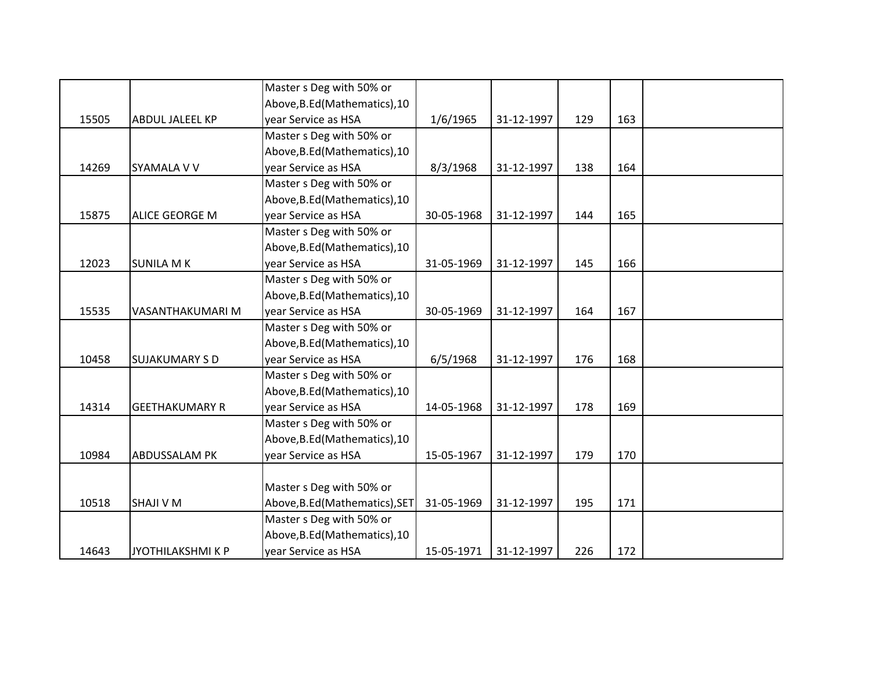|       |                        | Master s Deg with 50% or       |            |            |     |     |  |
|-------|------------------------|--------------------------------|------------|------------|-----|-----|--|
|       |                        | Above, B.Ed (Mathematics), 10  |            |            |     |     |  |
| 15505 | <b>ABDUL JALEEL KP</b> | year Service as HSA            | 1/6/1965   | 31-12-1997 | 129 | 163 |  |
|       |                        | Master s Deg with 50% or       |            |            |     |     |  |
|       |                        | Above, B.Ed (Mathematics), 10  |            |            |     |     |  |
| 14269 | <b>SYAMALA V V</b>     | vear Service as HSA            | 8/3/1968   | 31-12-1997 | 138 | 164 |  |
|       |                        | Master s Deg with 50% or       |            |            |     |     |  |
|       |                        | Above, B.Ed (Mathematics), 10  |            |            |     |     |  |
| 15875 | <b>ALICE GEORGE M</b>  | year Service as HSA            | 30-05-1968 | 31-12-1997 | 144 | 165 |  |
|       |                        | Master s Deg with 50% or       |            |            |     |     |  |
|       |                        | Above, B.Ed (Mathematics), 10  |            |            |     |     |  |
| 12023 | <b>SUNILA MK</b>       | year Service as HSA            | 31-05-1969 | 31-12-1997 | 145 | 166 |  |
|       |                        | Master s Deg with 50% or       |            |            |     |     |  |
|       |                        | Above, B.Ed (Mathematics), 10  |            |            |     |     |  |
| 15535 | VASANTHAKUMARI M       | year Service as HSA            | 30-05-1969 | 31-12-1997 | 164 | 167 |  |
|       |                        | Master s Deg with 50% or       |            |            |     |     |  |
|       |                        | Above, B.Ed (Mathematics), 10  |            |            |     |     |  |
| 10458 | <b>SUJAKUMARY S D</b>  | year Service as HSA            | 6/5/1968   | 31-12-1997 | 176 | 168 |  |
|       |                        | Master s Deg with 50% or       |            |            |     |     |  |
|       |                        | Above, B.Ed (Mathematics), 10  |            |            |     |     |  |
| 14314 | <b>GEETHAKUMARY R</b>  | year Service as HSA            | 14-05-1968 | 31-12-1997 | 178 | 169 |  |
|       |                        | Master s Deg with 50% or       |            |            |     |     |  |
|       |                        | Above, B.Ed (Mathematics), 10  |            |            |     |     |  |
| 10984 | <b>ABDUSSALAM PK</b>   | year Service as HSA            | 15-05-1967 | 31-12-1997 | 179 | 170 |  |
|       |                        |                                |            |            |     |     |  |
|       |                        | Master s Deg with 50% or       |            |            |     |     |  |
| 10518 | <b>SHAJI V M</b>       | Above, B.Ed (Mathematics), SET | 31-05-1969 | 31-12-1997 | 195 | 171 |  |
|       |                        | Master s Deg with 50% or       |            |            |     |     |  |
|       |                        | Above, B.Ed (Mathematics), 10  |            |            |     |     |  |
| 14643 | JYOTHILAKSHMI K P      | year Service as HSA            | 15-05-1971 | 31-12-1997 | 226 | 172 |  |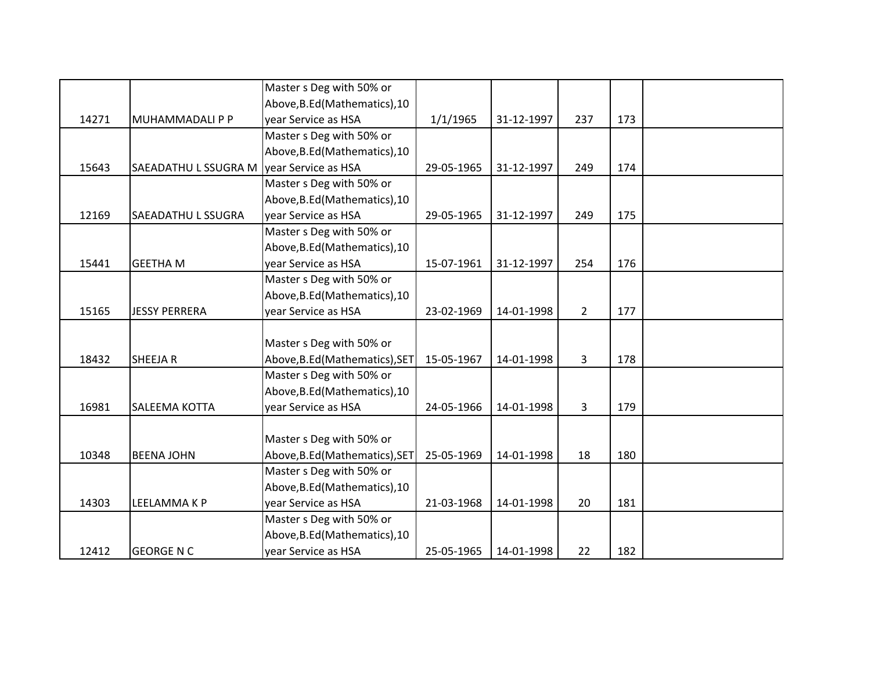|       |                                            | Master s Deg with 50% or       |            |            |                |     |  |
|-------|--------------------------------------------|--------------------------------|------------|------------|----------------|-----|--|
|       |                                            | Above, B.Ed (Mathematics), 10  |            |            |                |     |  |
| 14271 | MUHAMMADALI P P                            | year Service as HSA            | 1/1/1965   | 31-12-1997 | 237            | 173 |  |
|       |                                            | Master s Deg with 50% or       |            |            |                |     |  |
|       |                                            | Above, B.Ed (Mathematics), 10  |            |            |                |     |  |
| 15643 | SAEADATHU L SSUGRA M   year Service as HSA |                                | 29-05-1965 | 31-12-1997 | 249            | 174 |  |
|       |                                            | Master s Deg with 50% or       |            |            |                |     |  |
|       |                                            | Above, B.Ed (Mathematics), 10  |            |            |                |     |  |
| 12169 | SAEADATHU L SSUGRA                         | year Service as HSA            | 29-05-1965 | 31-12-1997 | 249            | 175 |  |
|       |                                            | Master s Deg with 50% or       |            |            |                |     |  |
|       |                                            | Above, B.Ed (Mathematics), 10  |            |            |                |     |  |
| 15441 | <b>GEETHA M</b>                            | year Service as HSA            | 15-07-1961 | 31-12-1997 | 254            | 176 |  |
|       |                                            | Master s Deg with 50% or       |            |            |                |     |  |
|       |                                            | Above, B.Ed (Mathematics), 10  |            |            |                |     |  |
| 15165 | <b>JESSY PERRERA</b>                       | year Service as HSA            | 23-02-1969 | 14-01-1998 | $\overline{2}$ | 177 |  |
|       |                                            |                                |            |            |                |     |  |
|       |                                            | Master s Deg with 50% or       |            |            |                |     |  |
| 18432 | SHEEJA R                                   | Above, B.Ed (Mathematics), SET | 15-05-1967 | 14-01-1998 | 3              | 178 |  |
|       |                                            | Master s Deg with 50% or       |            |            |                |     |  |
|       |                                            | Above, B.Ed (Mathematics), 10  |            |            |                |     |  |
| 16981 | SALEEMA KOTTA                              | year Service as HSA            | 24-05-1966 | 14-01-1998 | 3              | 179 |  |
|       |                                            |                                |            |            |                |     |  |
|       |                                            | Master s Deg with 50% or       |            |            |                |     |  |
| 10348 | <b>BEENA JOHN</b>                          | Above, B.Ed (Mathematics), SET | 25-05-1969 | 14-01-1998 | 18             | 180 |  |
|       |                                            | Master s Deg with 50% or       |            |            |                |     |  |
|       |                                            | Above, B.Ed (Mathematics), 10  |            |            |                |     |  |
| 14303 | LEELAMMA K P                               | year Service as HSA            | 21-03-1968 | 14-01-1998 | 20             | 181 |  |
|       |                                            | Master s Deg with 50% or       |            |            |                |     |  |
|       |                                            | Above, B.Ed (Mathematics), 10  |            |            |                |     |  |
| 12412 | <b>GEORGE N C</b>                          | year Service as HSA            | 25-05-1965 | 14-01-1998 | 22             | 182 |  |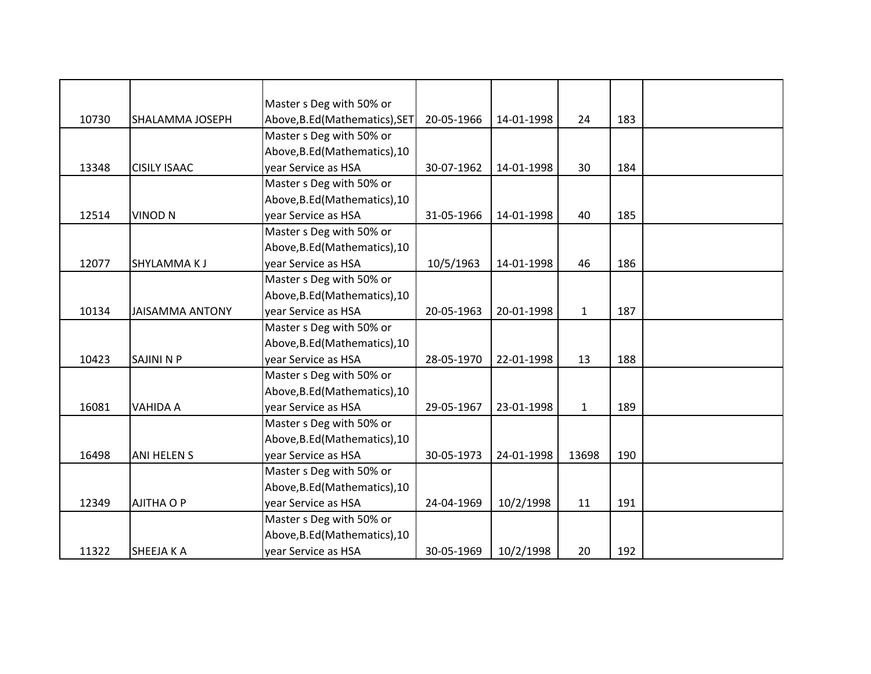|       |                        | Master s Deg with 50% or       |            |            |              |     |  |
|-------|------------------------|--------------------------------|------------|------------|--------------|-----|--|
| 10730 | SHALAMMA JOSEPH        | Above, B.Ed (Mathematics), SET | 20-05-1966 | 14-01-1998 | 24           | 183 |  |
|       |                        | Master s Deg with 50% or       |            |            |              |     |  |
|       |                        | Above, B.Ed (Mathematics), 10  |            |            |              |     |  |
| 13348 | <b>CISILY ISAAC</b>    | year Service as HSA            | 30-07-1962 | 14-01-1998 | 30           | 184 |  |
|       |                        | Master s Deg with 50% or       |            |            |              |     |  |
|       |                        | Above, B.Ed (Mathematics), 10  |            |            |              |     |  |
| 12514 | <b>VINOD N</b>         | year Service as HSA            | 31-05-1966 | 14-01-1998 | 40           | 185 |  |
|       |                        | Master s Deg with 50% or       |            |            |              |     |  |
|       |                        | Above, B.Ed (Mathematics), 10  |            |            |              |     |  |
| 12077 | SHYLAMMAKJ             | year Service as HSA            | 10/5/1963  | 14-01-1998 | 46           | 186 |  |
|       |                        | Master s Deg with 50% or       |            |            |              |     |  |
|       |                        | Above, B.Ed (Mathematics), 10  |            |            |              |     |  |
| 10134 | <b>JAISAMMA ANTONY</b> | year Service as HSA            | 20-05-1963 | 20-01-1998 | $\mathbf{1}$ | 187 |  |
|       |                        | Master s Deg with 50% or       |            |            |              |     |  |
|       |                        | Above, B.Ed (Mathematics), 10  |            |            |              |     |  |
| 10423 | <b>SAJINI N P</b>      | year Service as HSA            | 28-05-1970 | 22-01-1998 | 13           | 188 |  |
|       |                        | Master s Deg with 50% or       |            |            |              |     |  |
|       |                        | Above, B.Ed (Mathematics), 10  |            |            |              |     |  |
| 16081 | VAHIDA A               | year Service as HSA            | 29-05-1967 | 23-01-1998 | $\mathbf{1}$ | 189 |  |
|       |                        | Master s Deg with 50% or       |            |            |              |     |  |
|       |                        | Above, B.Ed (Mathematics), 10  |            |            |              |     |  |
| 16498 | <b>ANI HELEN S</b>     | year Service as HSA            | 30-05-1973 | 24-01-1998 | 13698        | 190 |  |
|       |                        | Master s Deg with 50% or       |            |            |              |     |  |
|       |                        | Above, B.Ed (Mathematics), 10  |            |            |              |     |  |
| 12349 | <b>AJITHA O P</b>      | year Service as HSA            | 24-04-1969 | 10/2/1998  | 11           | 191 |  |
|       |                        | Master s Deg with 50% or       |            |            |              |     |  |
|       |                        | Above, B.Ed (Mathematics), 10  |            |            |              |     |  |
| 11322 | SHEEJA K A             | year Service as HSA            | 30-05-1969 | 10/2/1998  | 20           | 192 |  |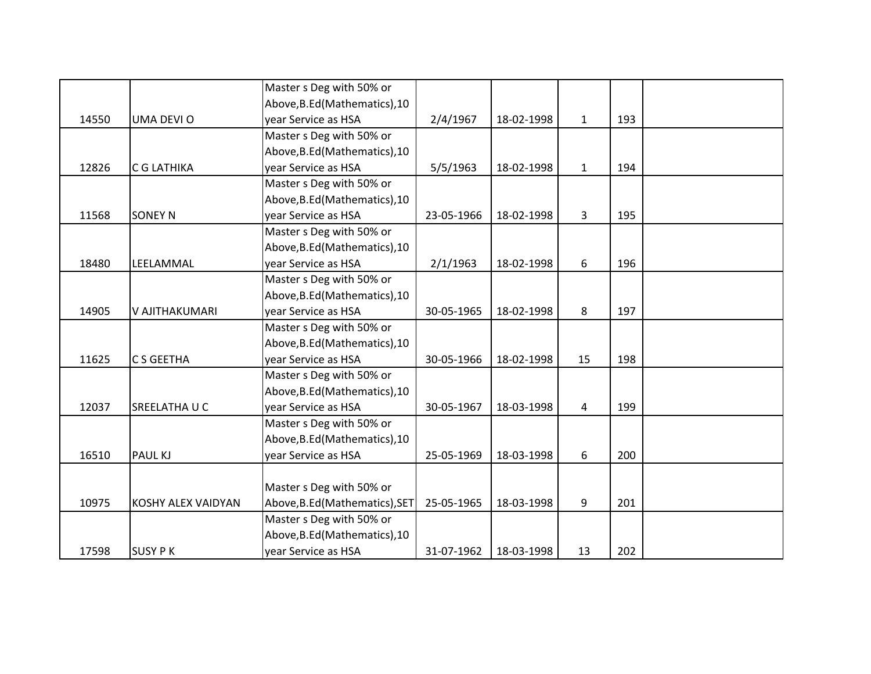|       |                    | Master s Deg with 50% or       |            |            |              |     |  |
|-------|--------------------|--------------------------------|------------|------------|--------------|-----|--|
|       |                    | Above, B.Ed (Mathematics), 10  |            |            |              |     |  |
| 14550 | UMA DEVI O         | year Service as HSA            | 2/4/1967   | 18-02-1998 | $\mathbf{1}$ | 193 |  |
|       |                    | Master s Deg with 50% or       |            |            |              |     |  |
|       |                    | Above, B.Ed (Mathematics), 10  |            |            |              |     |  |
| 12826 | C G LATHIKA        | vear Service as HSA            | 5/5/1963   | 18-02-1998 | $\mathbf{1}$ | 194 |  |
|       |                    | Master s Deg with 50% or       |            |            |              |     |  |
|       |                    | Above, B.Ed (Mathematics), 10  |            |            |              |     |  |
| 11568 | <b>SONEY N</b>     | year Service as HSA            | 23-05-1966 | 18-02-1998 | 3            | 195 |  |
|       |                    | Master s Deg with 50% or       |            |            |              |     |  |
|       |                    | Above, B.Ed (Mathematics), 10  |            |            |              |     |  |
| 18480 | LEELAMMAL          | year Service as HSA            | 2/1/1963   | 18-02-1998 | 6            | 196 |  |
|       |                    | Master s Deg with 50% or       |            |            |              |     |  |
|       |                    | Above, B.Ed (Mathematics), 10  |            |            |              |     |  |
| 14905 | V AJITHAKUMARI     | year Service as HSA            | 30-05-1965 | 18-02-1998 | 8            | 197 |  |
|       |                    | Master s Deg with 50% or       |            |            |              |     |  |
|       |                    | Above, B.Ed (Mathematics), 10  |            |            |              |     |  |
| 11625 | C S GEETHA         | year Service as HSA            | 30-05-1966 | 18-02-1998 | 15           | 198 |  |
|       |                    | Master s Deg with 50% or       |            |            |              |     |  |
|       |                    | Above, B.Ed (Mathematics), 10  |            |            |              |     |  |
| 12037 | SREELATHA U C      | year Service as HSA            | 30-05-1967 | 18-03-1998 | 4            | 199 |  |
|       |                    | Master s Deg with 50% or       |            |            |              |     |  |
|       |                    | Above, B.Ed (Mathematics), 10  |            |            |              |     |  |
| 16510 | PAUL KJ            | year Service as HSA            | 25-05-1969 | 18-03-1998 | 6            | 200 |  |
|       |                    |                                |            |            |              |     |  |
|       |                    | Master s Deg with 50% or       |            |            |              |     |  |
| 10975 | KOSHY ALEX VAIDYAN | Above, B.Ed (Mathematics), SET | 25-05-1965 | 18-03-1998 | 9            | 201 |  |
|       |                    | Master s Deg with 50% or       |            |            |              |     |  |
|       |                    | Above, B.Ed (Mathematics), 10  |            |            |              |     |  |
| 17598 | <b>SUSY PK</b>     | year Service as HSA            | 31-07-1962 | 18-03-1998 | 13           | 202 |  |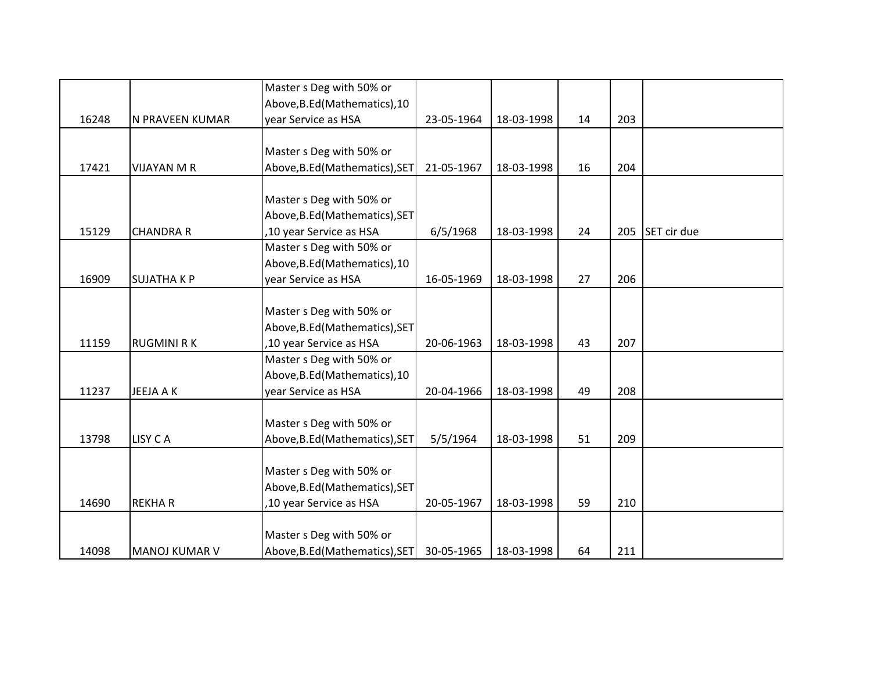|       |                    | Master s Deg with 50% or       |            |            |    |     |             |
|-------|--------------------|--------------------------------|------------|------------|----|-----|-------------|
|       |                    | Above, B.Ed (Mathematics), 10  |            |            |    |     |             |
| 16248 | N PRAVEEN KUMAR    | year Service as HSA            | 23-05-1964 | 18-03-1998 | 14 | 203 |             |
|       |                    |                                |            |            |    |     |             |
|       |                    | Master s Deg with 50% or       |            |            |    |     |             |
| 17421 | <b>VIJAYAN M R</b> | Above, B.Ed (Mathematics), SET | 21-05-1967 | 18-03-1998 | 16 | 204 |             |
|       |                    |                                |            |            |    |     |             |
|       |                    | Master s Deg with 50% or       |            |            |    |     |             |
|       |                    | Above, B.Ed (Mathematics), SET |            |            |    |     |             |
| 15129 | <b>CHANDRA R</b>   | ,10 year Service as HSA        | 6/5/1968   | 18-03-1998 | 24 | 205 | SET cir due |
|       |                    | Master s Deg with 50% or       |            |            |    |     |             |
|       |                    | Above, B.Ed (Mathematics), 10  |            |            |    |     |             |
| 16909 | <b>SUJATHAKP</b>   | year Service as HSA            | 16-05-1969 | 18-03-1998 | 27 | 206 |             |
|       |                    |                                |            |            |    |     |             |
|       |                    | Master s Deg with 50% or       |            |            |    |     |             |
|       |                    | Above, B.Ed (Mathematics), SET |            |            |    |     |             |
| 11159 | <b>RUGMINI RK</b>  | ,10 year Service as HSA        | 20-06-1963 | 18-03-1998 | 43 | 207 |             |
|       |                    | Master s Deg with 50% or       |            |            |    |     |             |
|       |                    | Above, B.Ed (Mathematics), 10  |            |            |    |     |             |
| 11237 | JEEJA A K          | year Service as HSA            | 20-04-1966 | 18-03-1998 | 49 | 208 |             |
|       |                    |                                |            |            |    |     |             |
|       |                    | Master s Deg with 50% or       |            |            |    |     |             |
| 13798 | LISY CA            | Above, B.Ed (Mathematics), SET | 5/5/1964   | 18-03-1998 | 51 | 209 |             |
|       |                    |                                |            |            |    |     |             |
|       |                    | Master s Deg with 50% or       |            |            |    |     |             |
|       |                    | Above, B.Ed (Mathematics), SET |            |            |    |     |             |
| 14690 | <b>REKHAR</b>      | ,10 year Service as HSA        | 20-05-1967 | 18-03-1998 | 59 | 210 |             |
|       |                    |                                |            |            |    |     |             |
|       |                    | Master s Deg with 50% or       |            |            |    |     |             |
| 14098 | MANOJ KUMAR V      | Above, B.Ed (Mathematics), SET | 30-05-1965 | 18-03-1998 | 64 | 211 |             |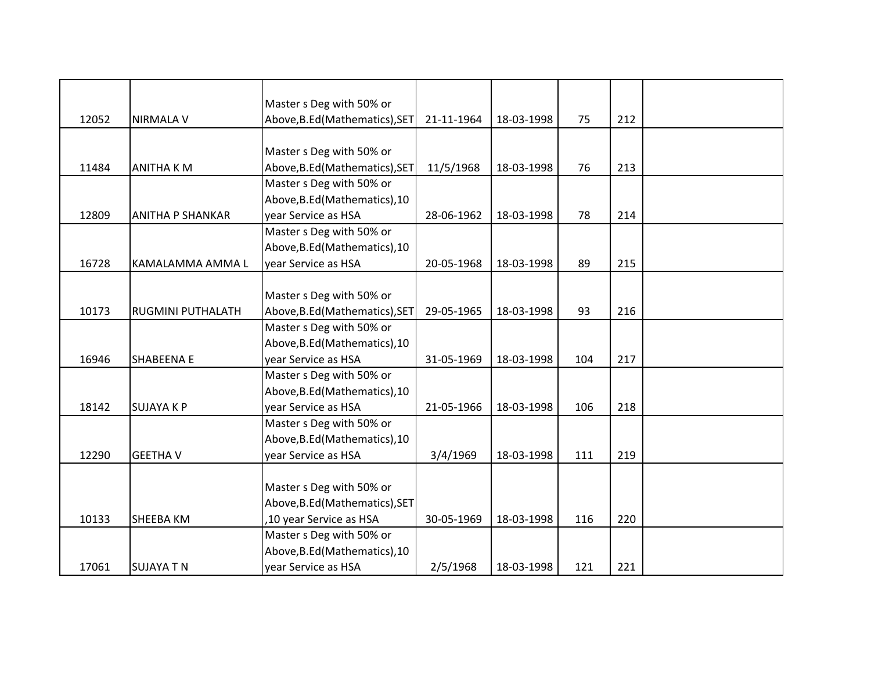|       |                          | Master s Deg with 50% or       |            |            |     |     |  |
|-------|--------------------------|--------------------------------|------------|------------|-----|-----|--|
| 12052 | <b>NIRMALA V</b>         | Above, B.Ed (Mathematics), SET | 21-11-1964 | 18-03-1998 | 75  | 212 |  |
|       |                          |                                |            |            |     |     |  |
|       |                          | Master s Deg with 50% or       |            |            |     |     |  |
| 11484 | <b>ANITHA KM</b>         | Above, B.Ed (Mathematics), SET | 11/5/1968  | 18-03-1998 | 76  | 213 |  |
|       |                          | Master s Deg with 50% or       |            |            |     |     |  |
|       |                          | Above, B.Ed (Mathematics), 10  |            |            |     |     |  |
| 12809 | <b>ANITHA P SHANKAR</b>  | year Service as HSA            | 28-06-1962 | 18-03-1998 | 78  | 214 |  |
|       |                          | Master s Deg with 50% or       |            |            |     |     |  |
|       |                          | Above, B.Ed (Mathematics), 10  |            |            |     |     |  |
| 16728 | KAMALAMMA AMMA L         | year Service as HSA            | 20-05-1968 | 18-03-1998 | 89  | 215 |  |
|       |                          |                                |            |            |     |     |  |
|       |                          | Master s Deg with 50% or       |            |            |     |     |  |
| 10173 | <b>RUGMINI PUTHALATH</b> | Above, B.Ed (Mathematics), SET | 29-05-1965 | 18-03-1998 | 93  | 216 |  |
|       |                          | Master s Deg with 50% or       |            |            |     |     |  |
|       |                          | Above, B.Ed (Mathematics), 10  |            |            |     |     |  |
| 16946 | SHABEENA E               | year Service as HSA            | 31-05-1969 | 18-03-1998 | 104 | 217 |  |
|       |                          | Master s Deg with 50% or       |            |            |     |     |  |
|       |                          | Above, B.Ed (Mathematics), 10  |            |            |     |     |  |
| 18142 | <b>SUJAYA K P</b>        | year Service as HSA            | 21-05-1966 | 18-03-1998 | 106 | 218 |  |
|       |                          | Master s Deg with 50% or       |            |            |     |     |  |
|       |                          | Above, B.Ed (Mathematics), 10  |            |            |     |     |  |
| 12290 | <b>GEETHA V</b>          | year Service as HSA            | 3/4/1969   | 18-03-1998 | 111 | 219 |  |
|       |                          |                                |            |            |     |     |  |
|       |                          | Master s Deg with 50% or       |            |            |     |     |  |
|       |                          | Above, B.Ed (Mathematics), SET |            |            |     |     |  |
| 10133 | SHEEBA KM                | ,10 year Service as HSA        | 30-05-1969 | 18-03-1998 | 116 | 220 |  |
|       |                          | Master s Deg with 50% or       |            |            |     |     |  |
|       |                          | Above, B.Ed (Mathematics), 10  |            |            |     |     |  |
| 17061 | <b>SUJAYA T N</b>        | year Service as HSA            | 2/5/1968   | 18-03-1998 | 121 | 221 |  |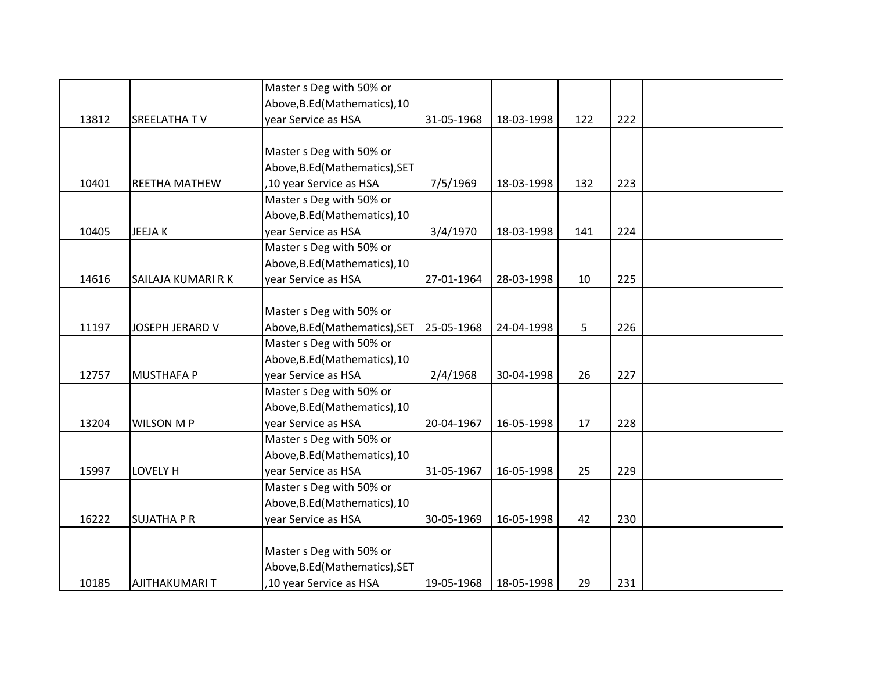|       |                    | Master s Deg with 50% or       |            |            |     |     |  |
|-------|--------------------|--------------------------------|------------|------------|-----|-----|--|
|       |                    | Above, B.Ed (Mathematics), 10  |            |            |     |     |  |
| 13812 | SREELATHA TV       | year Service as HSA            | 31-05-1968 | 18-03-1998 | 122 | 222 |  |
|       |                    |                                |            |            |     |     |  |
|       |                    | Master s Deg with 50% or       |            |            |     |     |  |
|       |                    | Above, B.Ed (Mathematics), SET |            |            |     |     |  |
| 10401 | REETHA MATHEW      | ,10 year Service as HSA        | 7/5/1969   | 18-03-1998 | 132 | 223 |  |
|       |                    | Master s Deg with 50% or       |            |            |     |     |  |
|       |                    | Above, B.Ed (Mathematics), 10  |            |            |     |     |  |
| 10405 | <b>JEEJAK</b>      | year Service as HSA            | 3/4/1970   | 18-03-1998 | 141 | 224 |  |
|       |                    | Master s Deg with 50% or       |            |            |     |     |  |
|       |                    | Above, B.Ed (Mathematics), 10  |            |            |     |     |  |
| 14616 | SAILAJA KUMARI R K | year Service as HSA            | 27-01-1964 | 28-03-1998 | 10  | 225 |  |
|       |                    |                                |            |            |     |     |  |
|       |                    | Master s Deg with 50% or       |            |            |     |     |  |
| 11197 | JOSEPH JERARD V    | Above, B.Ed (Mathematics), SET | 25-05-1968 | 24-04-1998 | 5   | 226 |  |
|       |                    | Master s Deg with 50% or       |            |            |     |     |  |
|       |                    | Above, B.Ed (Mathematics), 10  |            |            |     |     |  |
| 12757 | <b>MUSTHAFA P</b>  | year Service as HSA            | 2/4/1968   | 30-04-1998 | 26  | 227 |  |
|       |                    | Master s Deg with 50% or       |            |            |     |     |  |
|       |                    | Above, B.Ed (Mathematics), 10  |            |            |     |     |  |
| 13204 | <b>WILSON MP</b>   | year Service as HSA            | 20-04-1967 | 16-05-1998 | 17  | 228 |  |
|       |                    | Master s Deg with 50% or       |            |            |     |     |  |
|       |                    | Above, B.Ed (Mathematics), 10  |            |            |     |     |  |
| 15997 | LOVELY H           | year Service as HSA            | 31-05-1967 | 16-05-1998 | 25  | 229 |  |
|       |                    | Master s Deg with 50% or       |            |            |     |     |  |
|       |                    | Above, B.Ed (Mathematics), 10  |            |            |     |     |  |
| 16222 | <b>SUJATHA P R</b> | year Service as HSA            | 30-05-1969 | 16-05-1998 | 42  | 230 |  |
|       |                    |                                |            |            |     |     |  |
|       |                    | Master s Deg with 50% or       |            |            |     |     |  |
|       |                    | Above, B.Ed (Mathematics), SET |            |            |     |     |  |
| 10185 | AJITHAKUMARI T     | ,10 year Service as HSA        | 19-05-1968 | 18-05-1998 | 29  | 231 |  |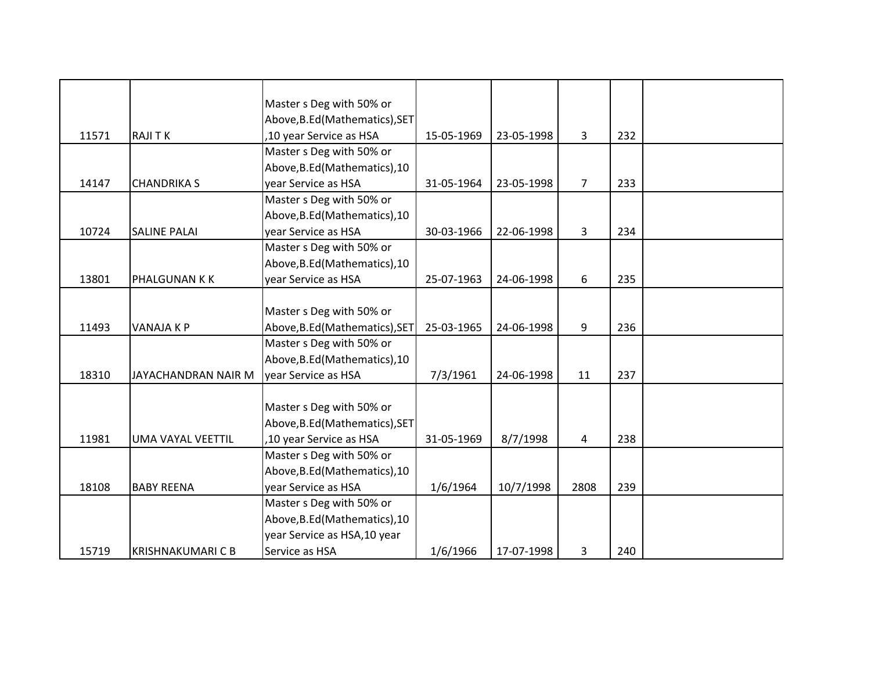|       |                          | Master s Deg with 50% or       |            |            |                |     |  |
|-------|--------------------------|--------------------------------|------------|------------|----------------|-----|--|
|       |                          | Above, B.Ed (Mathematics), SET |            |            |                |     |  |
| 11571 | <b>RAJITK</b>            | ,10 year Service as HSA        | 15-05-1969 | 23-05-1998 | 3              | 232 |  |
|       |                          | Master s Deg with 50% or       |            |            |                |     |  |
|       |                          | Above, B.Ed (Mathematics), 10  |            |            |                |     |  |
| 14147 | <b>CHANDRIKA S</b>       | year Service as HSA            | 31-05-1964 | 23-05-1998 | $\overline{7}$ | 233 |  |
|       |                          | Master s Deg with 50% or       |            |            |                |     |  |
|       |                          | Above, B.Ed (Mathematics), 10  |            |            |                |     |  |
| 10724 | <b>SALINE PALAI</b>      | year Service as HSA            | 30-03-1966 | 22-06-1998 | 3              | 234 |  |
|       |                          | Master s Deg with 50% or       |            |            |                |     |  |
|       |                          | Above, B.Ed (Mathematics), 10  |            |            |                |     |  |
| 13801 | PHALGUNAN K K            | year Service as HSA            | 25-07-1963 | 24-06-1998 | 6              | 235 |  |
|       |                          |                                |            |            |                |     |  |
|       |                          | Master s Deg with 50% or       |            |            |                |     |  |
| 11493 | <b>VANAJA K P</b>        | Above, B.Ed (Mathematics), SET | 25-03-1965 | 24-06-1998 | 9              | 236 |  |
|       |                          | Master s Deg with 50% or       |            |            |                |     |  |
|       |                          | Above, B.Ed (Mathematics), 10  |            |            |                |     |  |
| 18310 | JAYACHANDRAN NAIR M      | year Service as HSA            | 7/3/1961   | 24-06-1998 | 11             | 237 |  |
|       |                          |                                |            |            |                |     |  |
|       |                          | Master s Deg with 50% or       |            |            |                |     |  |
|       |                          | Above, B.Ed (Mathematics), SET |            |            |                |     |  |
| 11981 | UMA VAYAL VEETTIL        | ,10 year Service as HSA        | 31-05-1969 | 8/7/1998   | 4              | 238 |  |
|       |                          | Master s Deg with 50% or       |            |            |                |     |  |
|       |                          | Above, B.Ed (Mathematics), 10  |            |            |                |     |  |
| 18108 | <b>BABY REENA</b>        | vear Service as HSA            | 1/6/1964   | 10/7/1998  | 2808           | 239 |  |
|       |                          | Master s Deg with 50% or       |            |            |                |     |  |
|       |                          | Above, B.Ed (Mathematics), 10  |            |            |                |     |  |
|       |                          | year Service as HSA, 10 year   |            |            |                |     |  |
| 15719 | <b>KRISHNAKUMARI C B</b> | Service as HSA                 | 1/6/1966   | 17-07-1998 | 3              | 240 |  |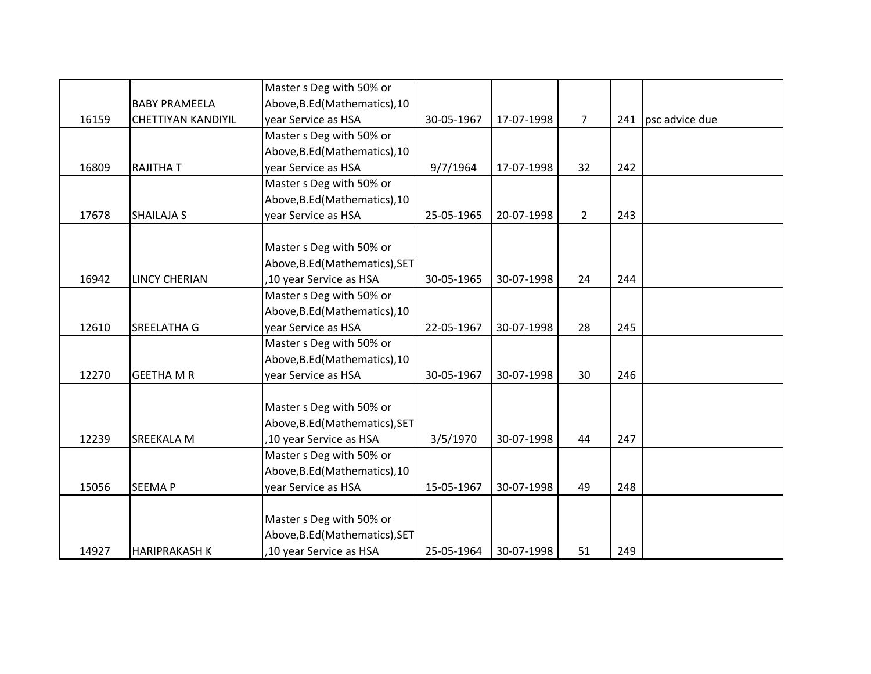|       |                           | Master s Deg with 50% or       |            |            |                |     |                    |
|-------|---------------------------|--------------------------------|------------|------------|----------------|-----|--------------------|
|       | <b>BABY PRAMEELA</b>      | Above, B.Ed (Mathematics), 10  |            |            |                |     |                    |
| 16159 | <b>CHETTIYAN KANDIYIL</b> | year Service as HSA            | 30-05-1967 | 17-07-1998 | $\overline{7}$ |     | 241 psc advice due |
|       |                           | Master s Deg with 50% or       |            |            |                |     |                    |
|       |                           | Above, B.Ed (Mathematics), 10  |            |            |                |     |                    |
| 16809 | <b>RAJITHAT</b>           | vear Service as HSA            | 9/7/1964   | 17-07-1998 | 32             | 242 |                    |
|       |                           | Master s Deg with 50% or       |            |            |                |     |                    |
|       |                           | Above, B.Ed (Mathematics), 10  |            |            |                |     |                    |
| 17678 | <b>SHAILAJA S</b>         | year Service as HSA            | 25-05-1965 | 20-07-1998 | $2^{\circ}$    | 243 |                    |
|       |                           |                                |            |            |                |     |                    |
|       |                           | Master s Deg with 50% or       |            |            |                |     |                    |
|       |                           | Above, B.Ed (Mathematics), SET |            |            |                |     |                    |
| 16942 | <b>LINCY CHERIAN</b>      | ,10 year Service as HSA        | 30-05-1965 | 30-07-1998 | 24             | 244 |                    |
|       |                           | Master s Deg with 50% or       |            |            |                |     |                    |
|       |                           | Above, B.Ed (Mathematics), 10  |            |            |                |     |                    |
| 12610 | <b>SREELATHA G</b>        | year Service as HSA            | 22-05-1967 | 30-07-1998 | 28             | 245 |                    |
|       |                           | Master s Deg with 50% or       |            |            |                |     |                    |
|       |                           | Above, B.Ed (Mathematics), 10  |            |            |                |     |                    |
| 12270 | <b>GEETHA M R</b>         | year Service as HSA            | 30-05-1967 | 30-07-1998 | 30             | 246 |                    |
|       |                           |                                |            |            |                |     |                    |
|       |                           | Master s Deg with 50% or       |            |            |                |     |                    |
|       |                           | Above, B.Ed (Mathematics), SET |            |            |                |     |                    |
| 12239 | <b>SREEKALA M</b>         | ,10 year Service as HSA        | 3/5/1970   | 30-07-1998 | 44             | 247 |                    |
|       |                           | Master s Deg with 50% or       |            |            |                |     |                    |
|       |                           | Above, B.Ed (Mathematics), 10  |            |            |                |     |                    |
| 15056 | <b>SEEMAP</b>             | year Service as HSA            | 15-05-1967 | 30-07-1998 | 49             | 248 |                    |
|       |                           |                                |            |            |                |     |                    |
|       |                           | Master s Deg with 50% or       |            |            |                |     |                    |
|       |                           | Above, B.Ed (Mathematics), SET |            |            |                |     |                    |
| 14927 | <b>HARIPRAKASH K</b>      | ,10 year Service as HSA        | 25-05-1964 | 30-07-1998 | 51             | 249 |                    |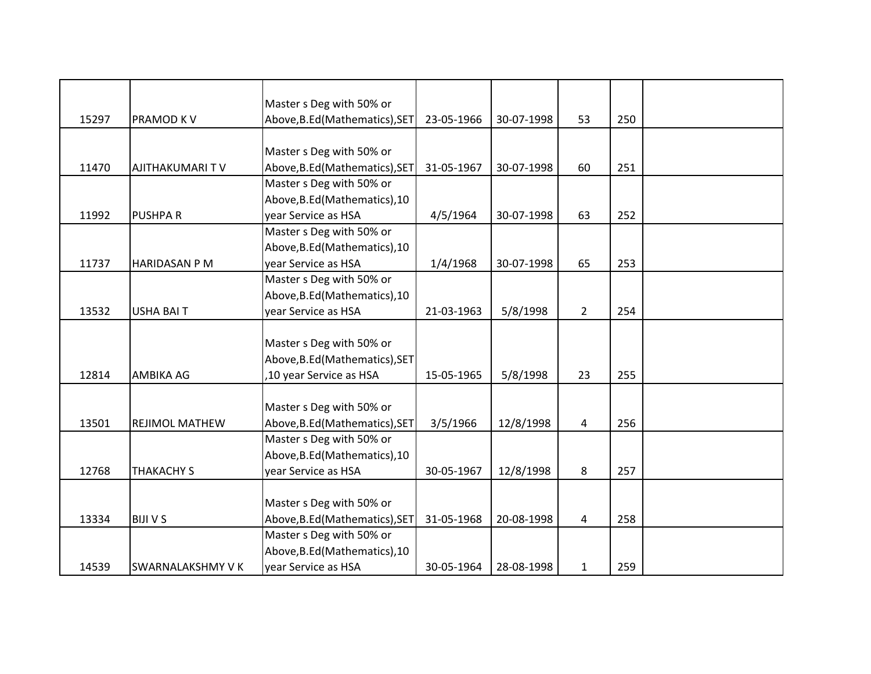|       |                         | Master s Deg with 50% or       |            |            |                |     |  |
|-------|-------------------------|--------------------------------|------------|------------|----------------|-----|--|
| 15297 | PRAMOD K V              | Above, B.Ed (Mathematics), SET | 23-05-1966 | 30-07-1998 | 53             | 250 |  |
|       |                         |                                |            |            |                |     |  |
|       |                         | Master s Deg with 50% or       |            |            |                |     |  |
| 11470 | <b>AJITHAKUMARI TV</b>  | Above, B.Ed (Mathematics), SET | 31-05-1967 | 30-07-1998 | 60             | 251 |  |
|       |                         | Master s Deg with 50% or       |            |            |                |     |  |
|       |                         | Above, B.Ed (Mathematics), 10  |            |            |                |     |  |
| 11992 | <b>PUSHPAR</b>          | year Service as HSA            | 4/5/1964   | 30-07-1998 | 63             | 252 |  |
|       |                         | Master s Deg with 50% or       |            |            |                |     |  |
|       |                         | Above, B.Ed (Mathematics), 10  |            |            |                |     |  |
| 11737 | <b>HARIDASAN P M</b>    | year Service as HSA            | 1/4/1968   | 30-07-1998 | 65             | 253 |  |
|       |                         | Master s Deg with 50% or       |            |            |                |     |  |
|       |                         | Above, B.Ed (Mathematics), 10  |            |            |                |     |  |
| 13532 | <b>USHA BAIT</b>        | year Service as HSA            | 21-03-1963 | 5/8/1998   | $\overline{2}$ | 254 |  |
|       |                         |                                |            |            |                |     |  |
|       |                         | Master s Deg with 50% or       |            |            |                |     |  |
|       |                         | Above, B.Ed (Mathematics), SET |            |            |                |     |  |
| 12814 | AMBIKA AG               | ,10 year Service as HSA        | 15-05-1965 | 5/8/1998   | 23             | 255 |  |
|       |                         |                                |            |            |                |     |  |
|       |                         | Master s Deg with 50% or       |            |            |                |     |  |
| 13501 | <b>REJIMOL MATHEW</b>   | Above, B.Ed (Mathematics), SET | 3/5/1966   | 12/8/1998  | 4              | 256 |  |
|       |                         | Master s Deg with 50% or       |            |            |                |     |  |
|       |                         | Above, B.Ed (Mathematics), 10  |            |            |                |     |  |
| 12768 | <b>THAKACHY S</b>       | year Service as HSA            | 30-05-1967 | 12/8/1998  | 8              | 257 |  |
|       |                         |                                |            |            |                |     |  |
|       |                         | Master s Deg with 50% or       |            |            |                |     |  |
| 13334 | <b>BIJIVS</b>           | Above, B.Ed (Mathematics), SET | 31-05-1968 | 20-08-1998 | 4              | 258 |  |
|       |                         | Master s Deg with 50% or       |            |            |                |     |  |
|       |                         | Above, B.Ed (Mathematics), 10  |            |            |                |     |  |
| 14539 | <b>SWARNALAKSHMY VK</b> | year Service as HSA            | 30-05-1964 | 28-08-1998 | $\mathbf{1}$   | 259 |  |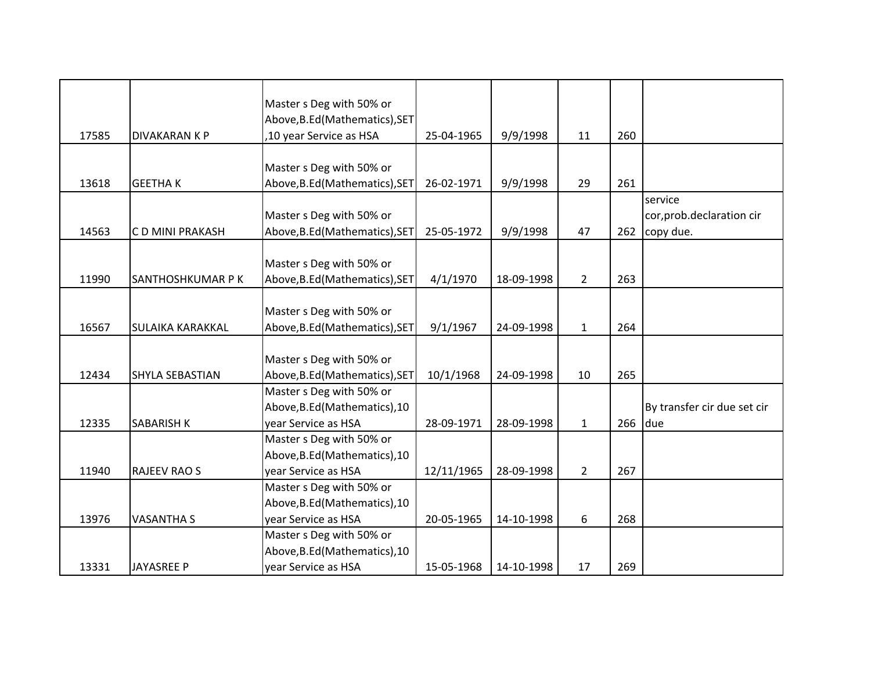|       |                         | Master s Deg with 50% or       |            |            |                |     |                             |
|-------|-------------------------|--------------------------------|------------|------------|----------------|-----|-----------------------------|
|       |                         | Above, B.Ed (Mathematics), SET |            |            |                |     |                             |
| 17585 | DIVAKARAN K P           | ,10 year Service as HSA        | 25-04-1965 | 9/9/1998   | 11             | 260 |                             |
|       |                         |                                |            |            |                |     |                             |
|       |                         | Master s Deg with 50% or       |            |            |                |     |                             |
| 13618 | <b>GEETHAK</b>          | Above, B.Ed (Mathematics), SET | 26-02-1971 | 9/9/1998   | 29             | 261 |                             |
|       |                         |                                |            |            |                |     | service                     |
|       |                         | Master s Deg with 50% or       |            |            |                |     | cor, prob.declaration cir   |
| 14563 | C D MINI PRAKASH        | Above, B.Ed (Mathematics), SET | 25-05-1972 | 9/9/1998   | 47             | 262 | copy due.                   |
|       |                         |                                |            |            |                |     |                             |
|       |                         | Master s Deg with 50% or       |            |            |                |     |                             |
| 11990 | SANTHOSHKUMAR P K       | Above, B.Ed (Mathematics), SET | 4/1/1970   | 18-09-1998 | $\overline{2}$ | 263 |                             |
|       |                         |                                |            |            |                |     |                             |
|       |                         | Master s Deg with 50% or       |            |            |                |     |                             |
| 16567 | <b>SULAIKA KARAKKAL</b> | Above, B.Ed (Mathematics), SET | 9/1/1967   | 24-09-1998 | $\mathbf{1}$   | 264 |                             |
|       |                         |                                |            |            |                |     |                             |
|       |                         | Master s Deg with 50% or       |            |            |                |     |                             |
| 12434 | <b>SHYLA SEBASTIAN</b>  | Above, B.Ed (Mathematics), SET | 10/1/1968  | 24-09-1998 | 10             | 265 |                             |
|       |                         | Master s Deg with 50% or       |            |            |                |     |                             |
|       |                         | Above, B.Ed (Mathematics), 10  |            |            |                |     | By transfer cir due set cir |
| 12335 | <b>SABARISH K</b>       | year Service as HSA            | 28-09-1971 | 28-09-1998 | $\mathbf{1}$   | 266 | due                         |
|       |                         | Master s Deg with 50% or       |            |            |                |     |                             |
|       |                         | Above, B.Ed (Mathematics), 10  |            |            |                |     |                             |
| 11940 | <b>RAJEEV RAO S</b>     | year Service as HSA            | 12/11/1965 | 28-09-1998 | $\overline{2}$ | 267 |                             |
|       |                         | Master s Deg with 50% or       |            |            |                |     |                             |
|       |                         | Above, B.Ed (Mathematics), 10  |            |            |                |     |                             |
| 13976 | <b>VASANTHA S</b>       | year Service as HSA            | 20-05-1965 | 14-10-1998 | 6              | 268 |                             |
|       |                         | Master s Deg with 50% or       |            |            |                |     |                             |
|       |                         | Above, B.Ed (Mathematics), 10  |            |            |                |     |                             |
| 13331 | <b>JAYASREE P</b>       | year Service as HSA            | 15-05-1968 | 14-10-1998 | 17             | 269 |                             |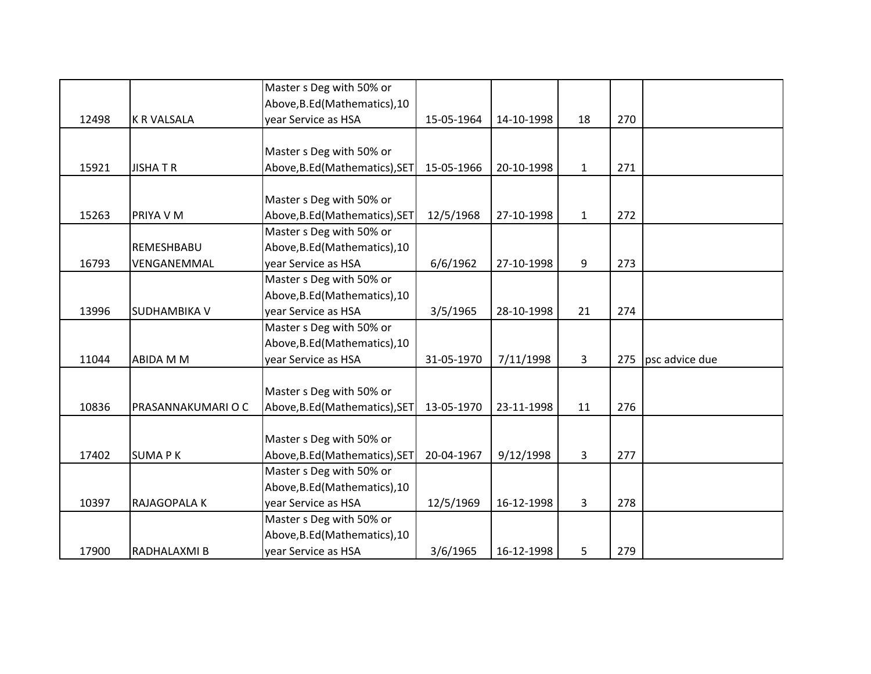|       |                    | Master s Deg with 50% or       |            |            |              |     |                |
|-------|--------------------|--------------------------------|------------|------------|--------------|-----|----------------|
|       |                    | Above, B.Ed (Mathematics), 10  |            |            |              |     |                |
| 12498 | <b>K R VALSALA</b> | year Service as HSA            | 15-05-1964 | 14-10-1998 | 18           | 270 |                |
|       |                    |                                |            |            |              |     |                |
|       |                    | Master s Deg with 50% or       |            |            |              |     |                |
| 15921 | <b>JISHATR</b>     | Above, B.Ed (Mathematics), SET | 15-05-1966 | 20-10-1998 | $\mathbf{1}$ | 271 |                |
|       |                    |                                |            |            |              |     |                |
|       |                    | Master s Deg with 50% or       |            |            |              |     |                |
| 15263 | PRIYA V M          | Above, B.Ed (Mathematics), SET | 12/5/1968  | 27-10-1998 | $\mathbf{1}$ | 272 |                |
|       |                    | Master s Deg with 50% or       |            |            |              |     |                |
|       | REMESHBABU         | Above, B.Ed (Mathematics), 10  |            |            |              |     |                |
| 16793 | VENGANEMMAL        | year Service as HSA            | 6/6/1962   | 27-10-1998 | 9            | 273 |                |
|       |                    | Master s Deg with 50% or       |            |            |              |     |                |
|       |                    | Above, B.Ed (Mathematics), 10  |            |            |              |     |                |
| 13996 | SUDHAMBIKA V       | year Service as HSA            | 3/5/1965   | 28-10-1998 | 21           | 274 |                |
|       |                    | Master s Deg with 50% or       |            |            |              |     |                |
|       |                    | Above, B.Ed (Mathematics), 10  |            |            |              |     |                |
| 11044 | <b>ABIDA M M</b>   | year Service as HSA            | 31-05-1970 | 7/11/1998  | 3            | 275 | psc advice due |
|       |                    |                                |            |            |              |     |                |
|       |                    | Master s Deg with 50% or       |            |            |              |     |                |
| 10836 | PRASANNAKUMARIOC   | Above, B.Ed (Mathematics), SET | 13-05-1970 | 23-11-1998 | 11           | 276 |                |
|       |                    |                                |            |            |              |     |                |
|       |                    | Master s Deg with 50% or       |            |            |              |     |                |
| 17402 | <b>SUMAPK</b>      | Above, B.Ed (Mathematics), SET | 20-04-1967 | 9/12/1998  | 3            | 277 |                |
|       |                    | Master s Deg with 50% or       |            |            |              |     |                |
|       |                    | Above, B.Ed (Mathematics), 10  |            |            |              |     |                |
| 10397 | RAJAGOPALA K       | year Service as HSA            | 12/5/1969  | 16-12-1998 | 3            | 278 |                |
|       |                    | Master s Deg with 50% or       |            |            |              |     |                |
|       |                    | Above, B.Ed (Mathematics), 10  |            |            |              |     |                |
| 17900 | RADHALAXMI B       | year Service as HSA            | 3/6/1965   | 16-12-1998 | 5            | 279 |                |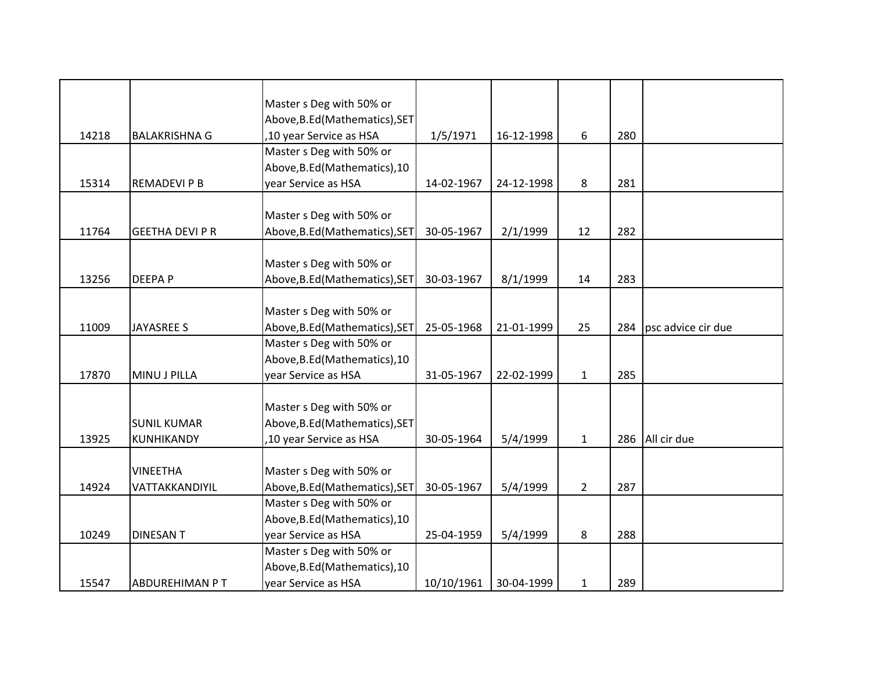|       |                        | Master s Deg with 50% or       |            |            |              |     |                    |
|-------|------------------------|--------------------------------|------------|------------|--------------|-----|--------------------|
|       |                        | Above, B.Ed (Mathematics), SET |            |            |              |     |                    |
| 14218 | <b>BALAKRISHNA G</b>   | ,10 year Service as HSA        | 1/5/1971   | 16-12-1998 | 6            | 280 |                    |
|       |                        | Master s Deg with 50% or       |            |            |              |     |                    |
|       |                        | Above, B.Ed (Mathematics), 10  |            |            |              |     |                    |
| 15314 | <b>REMADEVI P B</b>    | year Service as HSA            | 14-02-1967 | 24-12-1998 | 8            | 281 |                    |
|       |                        |                                |            |            |              |     |                    |
|       |                        | Master s Deg with 50% or       |            |            |              |     |                    |
| 11764 | <b>GEETHA DEVI P R</b> | Above, B.Ed (Mathematics), SET | 30-05-1967 |            | 12           | 282 |                    |
|       |                        |                                |            | 2/1/1999   |              |     |                    |
|       |                        | Master s Deg with 50% or       |            |            |              |     |                    |
|       |                        |                                |            |            |              |     |                    |
| 13256 | <b>DEEPAP</b>          | Above, B.Ed (Mathematics), SET | 30-03-1967 | 8/1/1999   | 14           | 283 |                    |
|       |                        |                                |            |            |              |     |                    |
|       |                        | Master s Deg with 50% or       |            |            |              |     |                    |
| 11009 | <b>JAYASREE S</b>      | Above, B.Ed (Mathematics), SET | 25-05-1968 | 21-01-1999 | 25           | 284 | psc advice cir due |
|       |                        | Master s Deg with 50% or       |            |            |              |     |                    |
|       |                        | Above, B.Ed (Mathematics), 10  |            |            |              |     |                    |
| 17870 | MINU J PILLA           | year Service as HSA            | 31-05-1967 | 22-02-1999 | $\mathbf{1}$ | 285 |                    |
|       |                        |                                |            |            |              |     |                    |
|       |                        | Master s Deg with 50% or       |            |            |              |     |                    |
|       | <b>SUNIL KUMAR</b>     | Above, B.Ed (Mathematics), SET |            |            |              |     |                    |
| 13925 | KUNHIKANDY             | ,10 year Service as HSA        | 30-05-1964 | 5/4/1999   | $\mathbf{1}$ | 286 | All cir due        |
|       |                        |                                |            |            |              |     |                    |
|       | <b>VINEETHA</b>        | Master s Deg with 50% or       |            |            |              |     |                    |
| 14924 | VATTAKKANDIYIL         | Above, B.Ed (Mathematics), SET | 30-05-1967 | 5/4/1999   | $2^{\circ}$  | 287 |                    |
|       |                        | Master s Deg with 50% or       |            |            |              |     |                    |
|       |                        | Above, B.Ed (Mathematics), 10  |            |            |              |     |                    |
| 10249 | <b>DINESAN T</b>       | year Service as HSA            | 25-04-1959 | 5/4/1999   | 8            | 288 |                    |
|       |                        | Master s Deg with 50% or       |            |            |              |     |                    |
|       |                        | Above, B.Ed (Mathematics), 10  |            |            |              |     |                    |
| 15547 | ABDUREHIMAN PT         | year Service as HSA            | 10/10/1961 | 30-04-1999 | 1            | 289 |                    |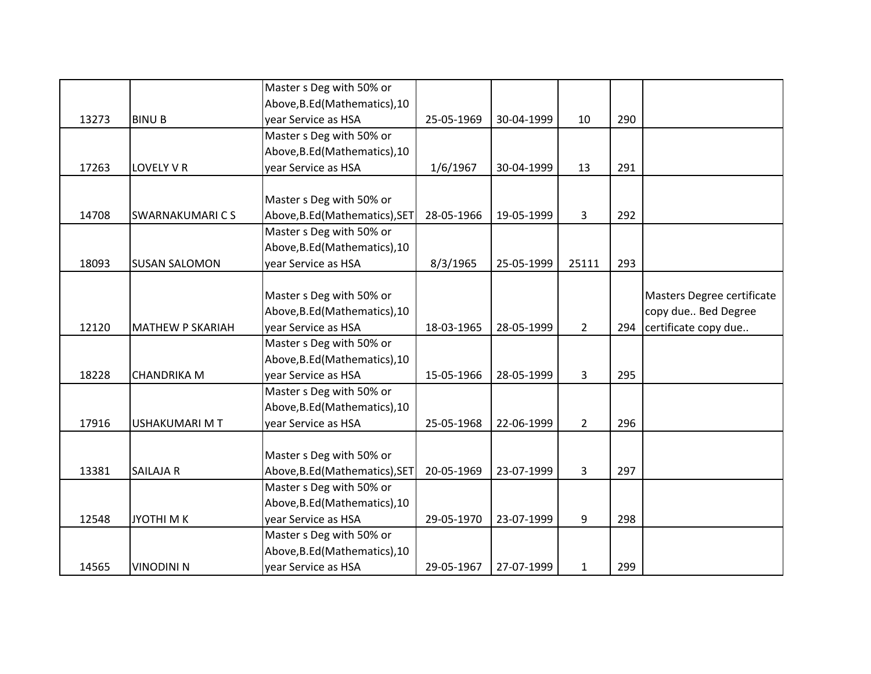|       |                         | Master s Deg with 50% or       |            |            |                |     |                            |
|-------|-------------------------|--------------------------------|------------|------------|----------------|-----|----------------------------|
|       |                         | Above, B.Ed (Mathematics), 10  |            |            |                |     |                            |
| 13273 | <b>BINUB</b>            | year Service as HSA            | 25-05-1969 | 30-04-1999 | 10             | 290 |                            |
|       |                         | Master s Deg with 50% or       |            |            |                |     |                            |
|       |                         | Above, B.Ed (Mathematics), 10  |            |            |                |     |                            |
| 17263 | LOVELY V R              | year Service as HSA            | 1/6/1967   | 30-04-1999 | 13             | 291 |                            |
|       |                         |                                |            |            |                |     |                            |
|       |                         | Master s Deg with 50% or       |            |            |                |     |                            |
| 14708 | <b>SWARNAKUMARICS</b>   | Above, B.Ed (Mathematics), SET | 28-05-1966 | 19-05-1999 | $\overline{3}$ | 292 |                            |
|       |                         | Master s Deg with 50% or       |            |            |                |     |                            |
|       |                         | Above, B.Ed (Mathematics), 10  |            |            |                |     |                            |
| 18093 | <b>SUSAN SALOMON</b>    | year Service as HSA            | 8/3/1965   | 25-05-1999 | 25111          | 293 |                            |
|       |                         |                                |            |            |                |     |                            |
|       |                         | Master s Deg with 50% or       |            |            |                |     | Masters Degree certificate |
|       |                         | Above, B.Ed (Mathematics), 10  |            |            |                |     | copy due Bed Degree        |
| 12120 | <b>MATHEW P SKARIAH</b> | year Service as HSA            | 18-03-1965 | 28-05-1999 | $\overline{2}$ | 294 | certificate copy due       |
|       |                         | Master s Deg with 50% or       |            |            |                |     |                            |
|       |                         | Above, B.Ed (Mathematics), 10  |            |            |                |     |                            |
| 18228 | <b>CHANDRIKA M</b>      | year Service as HSA            | 15-05-1966 | 28-05-1999 | 3              | 295 |                            |
|       |                         | Master s Deg with 50% or       |            |            |                |     |                            |
|       |                         | Above, B.Ed (Mathematics), 10  |            |            |                |     |                            |
| 17916 | <b>USHAKUMARI MT</b>    | year Service as HSA            | 25-05-1968 | 22-06-1999 | $\overline{2}$ | 296 |                            |
|       |                         |                                |            |            |                |     |                            |
|       |                         | Master s Deg with 50% or       |            |            |                |     |                            |
| 13381 | <b>SAILAJA R</b>        | Above, B.Ed (Mathematics), SET | 20-05-1969 | 23-07-1999 | 3              | 297 |                            |
|       |                         | Master s Deg with 50% or       |            |            |                |     |                            |
|       |                         | Above, B.Ed (Mathematics), 10  |            |            |                |     |                            |
| 12548 | <b>JYOTHIMK</b>         | year Service as HSA            | 29-05-1970 | 23-07-1999 | 9              | 298 |                            |
|       |                         | Master s Deg with 50% or       |            |            |                |     |                            |
|       |                         | Above, B.Ed (Mathematics), 10  |            |            |                |     |                            |
| 14565 | <b>VINODINI N</b>       | year Service as HSA            | 29-05-1967 | 27-07-1999 | $\mathbf{1}$   | 299 |                            |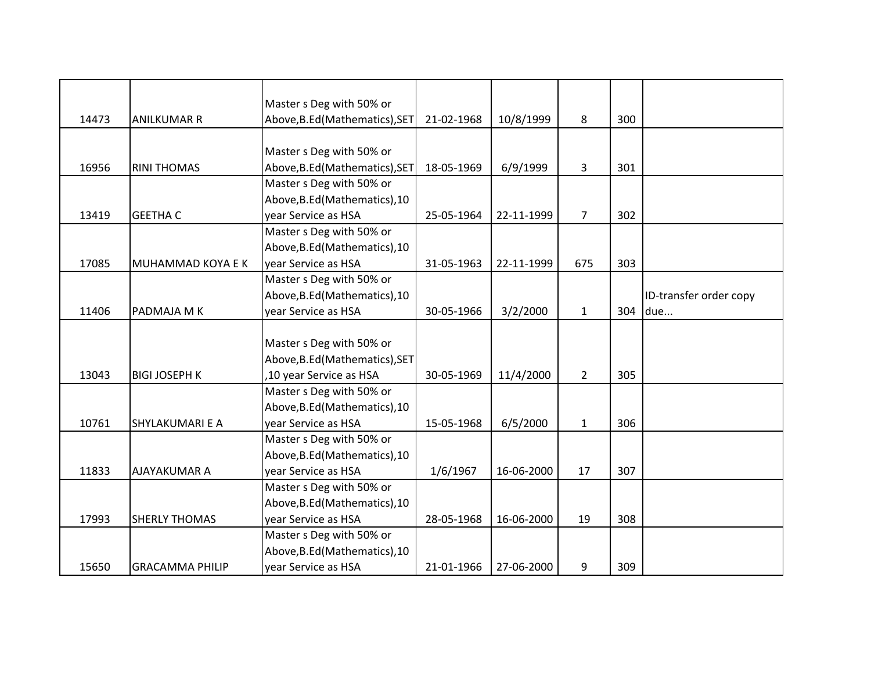|       |                        | Master s Deg with 50% or       |            |            |                |     |                        |
|-------|------------------------|--------------------------------|------------|------------|----------------|-----|------------------------|
| 14473 | <b>ANILKUMAR R</b>     | Above, B.Ed (Mathematics), SET | 21-02-1968 | 10/8/1999  | 8              | 300 |                        |
|       |                        |                                |            |            |                |     |                        |
|       |                        | Master s Deg with 50% or       |            |            |                |     |                        |
| 16956 | <b>RINI THOMAS</b>     | Above, B.Ed (Mathematics), SET | 18-05-1969 | 6/9/1999   | 3              | 301 |                        |
|       |                        | Master s Deg with 50% or       |            |            |                |     |                        |
|       |                        | Above, B.Ed (Mathematics), 10  |            |            |                |     |                        |
| 13419 | <b>GEETHA C</b>        | year Service as HSA            | 25-05-1964 | 22-11-1999 | $\overline{7}$ | 302 |                        |
|       |                        | Master s Deg with 50% or       |            |            |                |     |                        |
|       |                        | Above, B.Ed (Mathematics), 10  |            |            |                |     |                        |
| 17085 | MUHAMMAD KOYA E K      | year Service as HSA            | 31-05-1963 | 22-11-1999 | 675            | 303 |                        |
|       |                        | Master s Deg with 50% or       |            |            |                |     |                        |
|       |                        | Above, B.Ed (Mathematics), 10  |            |            |                |     | ID-transfer order copy |
| 11406 | PADMAJA M K            | year Service as HSA            | 30-05-1966 | 3/2/2000   | $\mathbf{1}$   | 304 | due                    |
|       |                        |                                |            |            |                |     |                        |
|       |                        | Master s Deg with 50% or       |            |            |                |     |                        |
|       |                        | Above, B.Ed (Mathematics), SET |            |            |                |     |                        |
| 13043 | <b>BIGI JOSEPH K</b>   | ,10 year Service as HSA        | 30-05-1969 | 11/4/2000  | $\overline{2}$ | 305 |                        |
|       |                        | Master s Deg with 50% or       |            |            |                |     |                        |
|       |                        | Above, B.Ed (Mathematics), 10  |            |            |                |     |                        |
| 10761 | SHYLAKUMARI E A        | year Service as HSA            | 15-05-1968 | 6/5/2000   | $\mathbf{1}$   | 306 |                        |
|       |                        | Master s Deg with 50% or       |            |            |                |     |                        |
|       |                        | Above, B.Ed (Mathematics), 10  |            |            |                |     |                        |
| 11833 | <b>AJAYAKUMAR A</b>    | year Service as HSA            | 1/6/1967   | 16-06-2000 | 17             | 307 |                        |
|       |                        | Master s Deg with 50% or       |            |            |                |     |                        |
|       |                        | Above, B.Ed (Mathematics), 10  |            |            |                |     |                        |
| 17993 | <b>SHERLY THOMAS</b>   | year Service as HSA            | 28-05-1968 | 16-06-2000 | 19             | 308 |                        |
|       |                        | Master s Deg with 50% or       |            |            |                |     |                        |
|       |                        | Above, B.Ed (Mathematics), 10  |            |            |                |     |                        |
| 15650 | <b>GRACAMMA PHILIP</b> | year Service as HSA            | 21-01-1966 | 27-06-2000 | 9              | 309 |                        |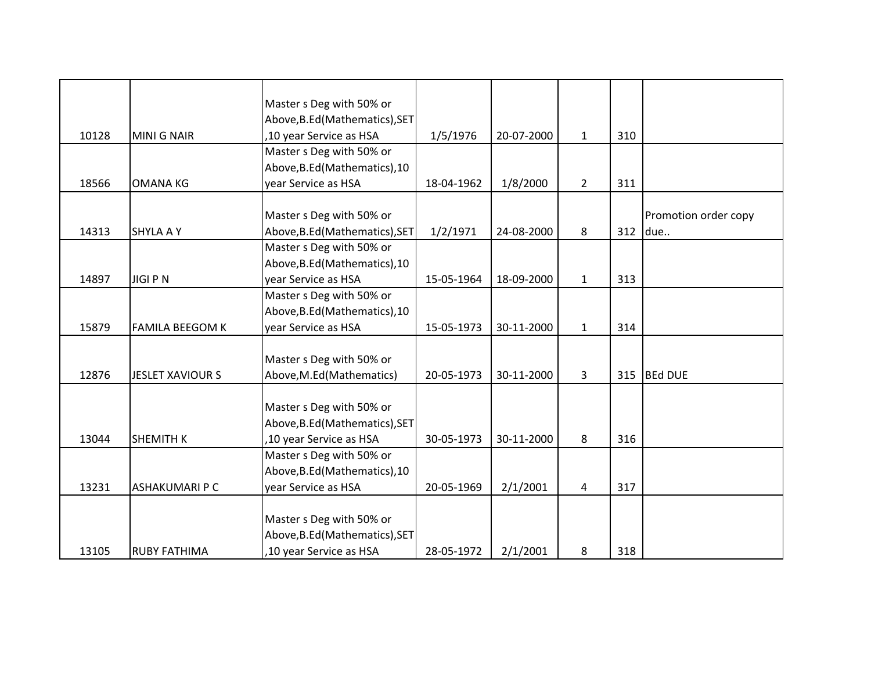|       |                         | Master s Deg with 50% or       |            |            |                |     |                      |
|-------|-------------------------|--------------------------------|------------|------------|----------------|-----|----------------------|
|       |                         | Above, B.Ed (Mathematics), SET |            |            |                |     |                      |
| 10128 | <b>MINI G NAIR</b>      | ,10 year Service as HSA        | 1/5/1976   | 20-07-2000 | $\mathbf{1}$   | 310 |                      |
|       |                         | Master s Deg with 50% or       |            |            |                |     |                      |
|       |                         | Above, B.Ed (Mathematics), 10  |            |            |                |     |                      |
| 18566 | <b>OMANA KG</b>         | year Service as HSA            | 18-04-1962 | 1/8/2000   | $\overline{2}$ | 311 |                      |
|       |                         | Master s Deg with 50% or       |            |            |                |     | Promotion order copy |
| 14313 | <b>SHYLA A Y</b>        | Above, B.Ed (Mathematics), SET | 1/2/1971   | 24-08-2000 | 8              | 312 | due                  |
|       |                         | Master s Deg with 50% or       |            |            |                |     |                      |
|       |                         | Above, B.Ed (Mathematics), 10  |            |            |                |     |                      |
| 14897 | <b>JIGIPN</b>           | year Service as HSA            | 15-05-1964 | 18-09-2000 | $\mathbf{1}$   | 313 |                      |
|       |                         | Master s Deg with 50% or       |            |            |                |     |                      |
|       |                         | Above, B.Ed (Mathematics), 10  |            |            |                |     |                      |
| 15879 | <b>FAMILA BEEGOM K</b>  | year Service as HSA            | 15-05-1973 | 30-11-2000 | $\mathbf{1}$   | 314 |                      |
|       |                         |                                |            |            |                |     |                      |
|       |                         | Master s Deg with 50% or       |            |            |                |     |                      |
| 12876 | <b>JESLET XAVIOUR S</b> | Above, M.Ed (Mathematics)      | 20-05-1973 | 30-11-2000 | 3              | 315 | <b>BEd DUE</b>       |
|       |                         |                                |            |            |                |     |                      |
|       |                         | Master s Deg with 50% or       |            |            |                |     |                      |
|       |                         | Above, B.Ed (Mathematics), SET |            |            |                |     |                      |
| 13044 | <b>SHEMITH K</b>        | ,10 year Service as HSA        | 30-05-1973 | 30-11-2000 | 8              | 316 |                      |
|       |                         | Master s Deg with 50% or       |            |            |                |     |                      |
|       |                         | Above, B.Ed (Mathematics), 10  |            |            |                |     |                      |
| 13231 | <b>ASHAKUMARI P C</b>   | year Service as HSA            | 20-05-1969 | 2/1/2001   | 4              | 317 |                      |
|       |                         | Master s Deg with 50% or       |            |            |                |     |                      |
|       |                         | Above, B.Ed (Mathematics), SET |            |            |                |     |                      |
| 13105 | <b>RUBY FATHIMA</b>     | ,10 year Service as HSA        | 28-05-1972 | 2/1/2001   | 8              | 318 |                      |
|       |                         |                                |            |            |                |     |                      |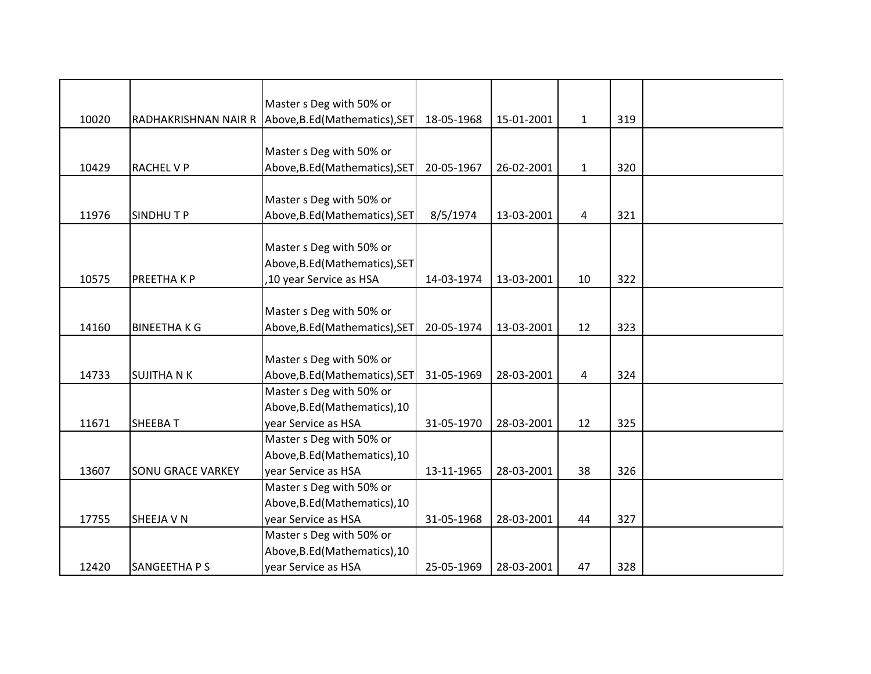|       |                          | Master s Deg with 50% or                            |            |            |              |     |  |
|-------|--------------------------|-----------------------------------------------------|------------|------------|--------------|-----|--|
| 10020 |                          | RADHAKRISHNAN NAIR R Above, B.Ed (Mathematics), SET | 18-05-1968 | 15-01-2001 | $\mathbf{1}$ | 319 |  |
|       |                          |                                                     |            |            |              |     |  |
|       |                          | Master s Deg with 50% or                            |            |            |              |     |  |
| 10429 | <b>RACHEL V P</b>        | Above, B.Ed (Mathematics), SET                      | 20-05-1967 | 26-02-2001 | $\mathbf{1}$ | 320 |  |
|       |                          |                                                     |            |            |              |     |  |
|       |                          | Master s Deg with 50% or                            |            |            |              |     |  |
| 11976 | <b>SINDHUTP</b>          | Above, B.Ed (Mathematics), SET                      | 8/5/1974   | 13-03-2001 | 4            | 321 |  |
|       |                          |                                                     |            |            |              |     |  |
|       |                          | Master s Deg with 50% or                            |            |            |              |     |  |
|       |                          | Above, B.Ed (Mathematics), SET                      |            |            |              |     |  |
| 10575 | PREETHAKP                | ,10 year Service as HSA                             | 14-03-1974 | 13-03-2001 | 10           | 322 |  |
|       |                          |                                                     |            |            |              |     |  |
|       |                          | Master s Deg with 50% or                            |            |            |              |     |  |
| 14160 | <b>BINEETHAKG</b>        | Above, B.Ed (Mathematics), SET                      | 20-05-1974 | 13-03-2001 | 12           | 323 |  |
|       |                          |                                                     |            |            |              |     |  |
|       |                          | Master s Deg with 50% or                            |            |            |              |     |  |
| 14733 | <b>SUJITHA N K</b>       | Above, B.Ed (Mathematics), SET                      | 31-05-1969 | 28-03-2001 | 4            | 324 |  |
|       |                          | Master s Deg with 50% or                            |            |            |              |     |  |
|       |                          | Above, B.Ed (Mathematics), 10                       |            |            |              |     |  |
| 11671 | <b>SHEEBAT</b>           | year Service as HSA                                 | 31-05-1970 | 28-03-2001 | 12           | 325 |  |
|       |                          | Master s Deg with 50% or                            |            |            |              |     |  |
|       |                          | Above, B.Ed (Mathematics), 10                       |            |            |              |     |  |
| 13607 | <b>SONU GRACE VARKEY</b> | year Service as HSA                                 | 13-11-1965 | 28-03-2001 | 38           | 326 |  |
|       |                          | Master s Deg with 50% or                            |            |            |              |     |  |
|       |                          | Above, B.Ed (Mathematics), 10                       |            |            |              |     |  |
| 17755 | SHEEJA V N               | year Service as HSA                                 | 31-05-1968 | 28-03-2001 | 44           | 327 |  |
|       |                          | Master s Deg with 50% or                            |            |            |              |     |  |
|       |                          | Above, B.Ed (Mathematics), 10                       |            |            |              |     |  |
| 12420 | SANGEETHA P S            | year Service as HSA                                 | 25-05-1969 | 28-03-2001 | 47           | 328 |  |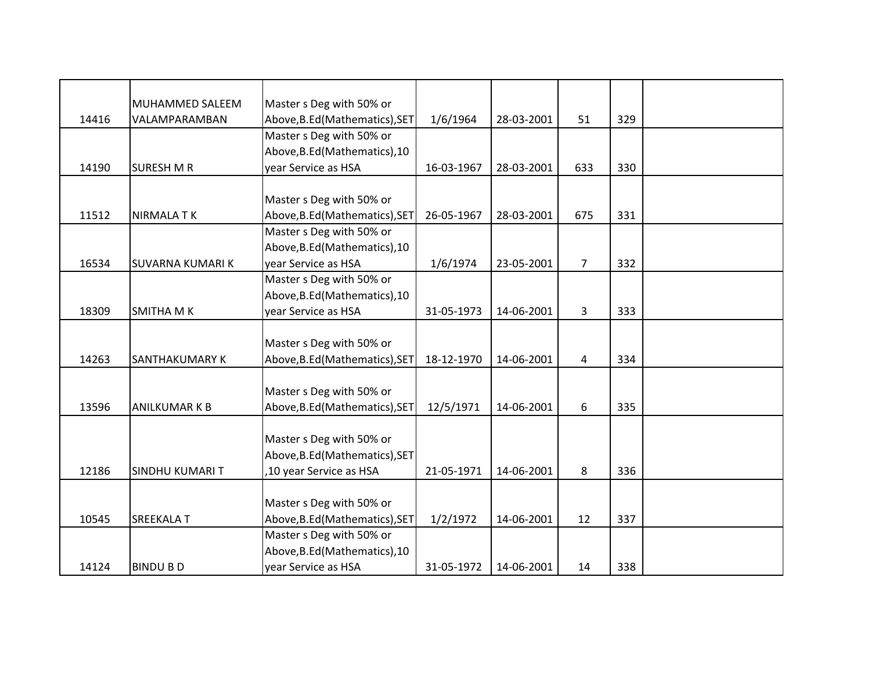|       | MUHAMMED SALEEM         | Master s Deg with 50% or       |            |            |                |     |  |
|-------|-------------------------|--------------------------------|------------|------------|----------------|-----|--|
| 14416 | VALAMPARAMBAN           | Above, B.Ed (Mathematics), SET | 1/6/1964   | 28-03-2001 | 51             | 329 |  |
|       |                         | Master s Deg with 50% or       |            |            |                |     |  |
|       |                         | Above, B.Ed (Mathematics), 10  |            |            |                |     |  |
| 14190 | <b>SURESH M R</b>       | year Service as HSA            | 16-03-1967 | 28-03-2001 | 633            | 330 |  |
|       |                         |                                |            |            |                |     |  |
|       |                         | Master s Deg with 50% or       |            |            |                |     |  |
| 11512 | <b>NIRMALA TK</b>       | Above, B.Ed (Mathematics), SET | 26-05-1967 | 28-03-2001 | 675            | 331 |  |
|       |                         | Master s Deg with 50% or       |            |            |                |     |  |
|       |                         | Above, B.Ed (Mathematics), 10  |            |            |                |     |  |
| 16534 | <b>SUVARNA KUMARI K</b> | year Service as HSA            | 1/6/1974   | 23-05-2001 | $\overline{7}$ | 332 |  |
|       |                         | Master s Deg with 50% or       |            |            |                |     |  |
|       |                         | Above, B.Ed (Mathematics), 10  |            |            |                |     |  |
| 18309 | <b>SMITHA MK</b>        | year Service as HSA            | 31-05-1973 | 14-06-2001 | 3              | 333 |  |
|       |                         |                                |            |            |                |     |  |
|       |                         | Master s Deg with 50% or       |            |            |                |     |  |
| 14263 | SANTHAKUMARY K          | Above, B.Ed (Mathematics), SET | 18-12-1970 | 14-06-2001 | 4              | 334 |  |
|       |                         |                                |            |            |                |     |  |
|       |                         | Master s Deg with 50% or       |            |            |                |     |  |
| 13596 | <b>ANILKUMAR K B</b>    | Above, B.Ed (Mathematics), SET | 12/5/1971  | 14-06-2001 | 6              | 335 |  |
|       |                         |                                |            |            |                |     |  |
|       |                         | Master s Deg with 50% or       |            |            |                |     |  |
|       |                         | Above, B.Ed (Mathematics), SET |            |            |                |     |  |
| 12186 | <b>SINDHU KUMARI T</b>  | ,10 year Service as HSA        | 21-05-1971 | 14-06-2001 | 8              | 336 |  |
|       |                         |                                |            |            |                |     |  |
|       |                         | Master s Deg with 50% or       |            |            |                |     |  |
| 10545 | <b>SREEKALA T</b>       | Above, B.Ed (Mathematics), SET | 1/2/1972   | 14-06-2001 | 12             | 337 |  |
|       |                         | Master s Deg with 50% or       |            |            |                |     |  |
|       |                         | Above, B.Ed (Mathematics), 10  |            |            |                |     |  |
| 14124 | <b>BINDU BD</b>         | year Service as HSA            | 31-05-1972 | 14-06-2001 | 14             | 338 |  |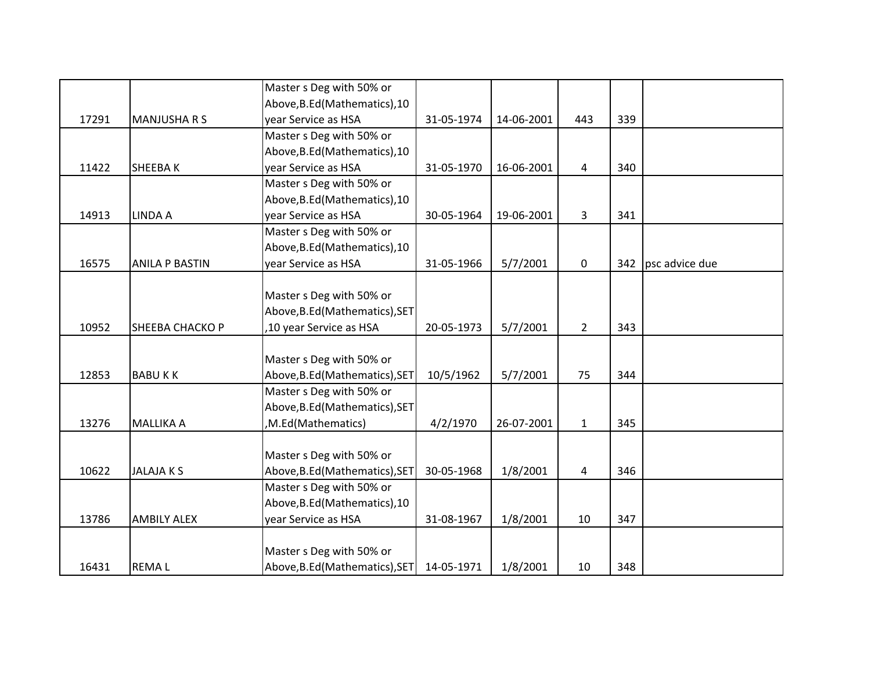|       |                       | Master s Deg with 50% or       |            |            |                |     |                |
|-------|-----------------------|--------------------------------|------------|------------|----------------|-----|----------------|
|       |                       | Above, B.Ed (Mathematics), 10  |            |            |                |     |                |
| 17291 | <b>MANJUSHA R S</b>   | year Service as HSA            | 31-05-1974 | 14-06-2001 | 443            | 339 |                |
|       |                       | Master s Deg with 50% or       |            |            |                |     |                |
|       |                       | Above, B.Ed (Mathematics), 10  |            |            |                |     |                |
| 11422 | SHEEBAK               | year Service as HSA            | 31-05-1970 | 16-06-2001 | $\overline{4}$ | 340 |                |
|       |                       | Master s Deg with 50% or       |            |            |                |     |                |
|       |                       | Above, B.Ed (Mathematics), 10  |            |            |                |     |                |
| 14913 | LINDA A               | year Service as HSA            | 30-05-1964 | 19-06-2001 | 3              | 341 |                |
|       |                       | Master s Deg with 50% or       |            |            |                |     |                |
|       |                       | Above, B.Ed (Mathematics), 10  |            |            |                |     |                |
| 16575 | <b>ANILA P BASTIN</b> | year Service as HSA            | 31-05-1966 | 5/7/2001   | $\mathbf 0$    | 342 | psc advice due |
|       |                       |                                |            |            |                |     |                |
|       |                       | Master s Deg with 50% or       |            |            |                |     |                |
|       |                       | Above, B.Ed (Mathematics), SET |            |            |                |     |                |
| 10952 | SHEEBA CHACKO P       | ,10 year Service as HSA        | 20-05-1973 | 5/7/2001   | $\overline{2}$ | 343 |                |
|       |                       |                                |            |            |                |     |                |
|       |                       | Master s Deg with 50% or       |            |            |                |     |                |
| 12853 | <b>BABUKK</b>         | Above, B.Ed (Mathematics), SET | 10/5/1962  | 5/7/2001   | 75             | 344 |                |
|       |                       | Master s Deg with 50% or       |            |            |                |     |                |
|       |                       | Above, B.Ed (Mathematics), SET |            |            |                |     |                |
| 13276 | <b>MALLIKA A</b>      | ,M.Ed(Mathematics)             | 4/2/1970   | 26-07-2001 | $\mathbf{1}$   | 345 |                |
|       |                       |                                |            |            |                |     |                |
|       |                       | Master s Deg with 50% or       |            |            |                |     |                |
| 10622 | <b>JALAJAKS</b>       | Above, B.Ed (Mathematics), SET | 30-05-1968 | 1/8/2001   | 4              | 346 |                |
|       |                       | Master s Deg with 50% or       |            |            |                |     |                |
|       |                       | Above, B.Ed (Mathematics), 10  |            |            |                |     |                |
| 13786 | <b>AMBILY ALEX</b>    | year Service as HSA            | 31-08-1967 | 1/8/2001   | 10             | 347 |                |
|       |                       |                                |            |            |                |     |                |
|       |                       | Master s Deg with 50% or       |            |            |                |     |                |
| 16431 | <b>REMAL</b>          | Above, B.Ed (Mathematics), SET | 14-05-1971 | 1/8/2001   | 10             | 348 |                |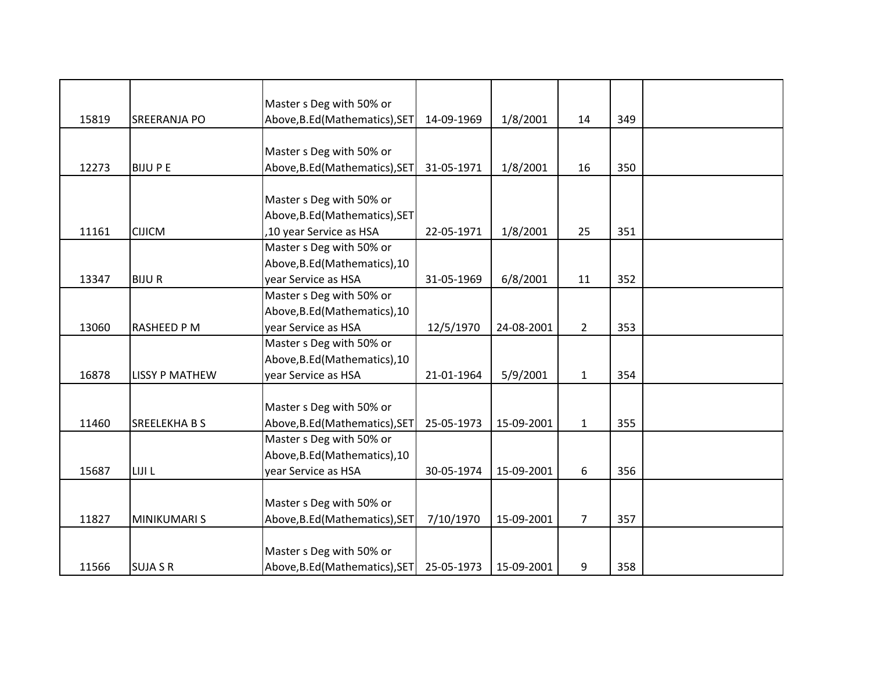|       |                       | Master s Deg with 50% or       |            |            |                |     |  |
|-------|-----------------------|--------------------------------|------------|------------|----------------|-----|--|
| 15819 | <b>SREERANJA PO</b>   | Above, B.Ed (Mathematics), SET | 14-09-1969 | 1/8/2001   | 14             | 349 |  |
|       |                       |                                |            |            |                |     |  |
|       |                       | Master s Deg with 50% or       |            |            |                |     |  |
| 12273 | <b>BIJUPE</b>         | Above, B.Ed (Mathematics), SET | 31-05-1971 | 1/8/2001   | 16             | 350 |  |
|       |                       |                                |            |            |                |     |  |
|       |                       | Master s Deg with 50% or       |            |            |                |     |  |
|       |                       | Above, B.Ed (Mathematics), SET |            |            |                |     |  |
| 11161 | <b>CIJICM</b>         | ,10 year Service as HSA        | 22-05-1971 | 1/8/2001   | 25             | 351 |  |
|       |                       | Master s Deg with 50% or       |            |            |                |     |  |
|       |                       | Above, B.Ed (Mathematics), 10  |            |            |                |     |  |
| 13347 | <b>BIJUR</b>          | year Service as HSA            | 31-05-1969 | 6/8/2001   | 11             | 352 |  |
|       |                       | Master s Deg with 50% or       |            |            |                |     |  |
|       |                       | Above, B.Ed (Mathematics), 10  |            |            |                |     |  |
| 13060 | <b>RASHEED P M</b>    | year Service as HSA            | 12/5/1970  | 24-08-2001 | $\overline{2}$ | 353 |  |
|       |                       | Master s Deg with 50% or       |            |            |                |     |  |
|       |                       | Above, B.Ed (Mathematics), 10  |            |            |                |     |  |
| 16878 | <b>LISSY P MATHEW</b> | year Service as HSA            | 21-01-1964 | 5/9/2001   | $\mathbf{1}$   | 354 |  |
|       |                       |                                |            |            |                |     |  |
|       |                       | Master s Deg with 50% or       |            |            |                |     |  |
| 11460 | <b>SREELEKHABS</b>    | Above, B.Ed (Mathematics), SET | 25-05-1973 | 15-09-2001 | $\mathbf{1}$   | 355 |  |
|       |                       | Master s Deg with 50% or       |            |            |                |     |  |
|       |                       | Above, B.Ed (Mathematics), 10  |            |            |                |     |  |
| 15687 | LIJI L                | year Service as HSA            | 30-05-1974 | 15-09-2001 | 6              | 356 |  |
|       |                       |                                |            |            |                |     |  |
|       |                       | Master s Deg with 50% or       |            |            |                |     |  |
| 11827 | <b>MINIKUMARI S</b>   | Above, B.Ed (Mathematics), SET | 7/10/1970  | 15-09-2001 | $\overline{7}$ | 357 |  |
|       |                       |                                |            |            |                |     |  |
|       |                       | Master s Deg with 50% or       |            |            |                |     |  |
| 11566 | <b>SUJA S R</b>       | Above, B.Ed (Mathematics), SET | 25-05-1973 | 15-09-2001 | 9              | 358 |  |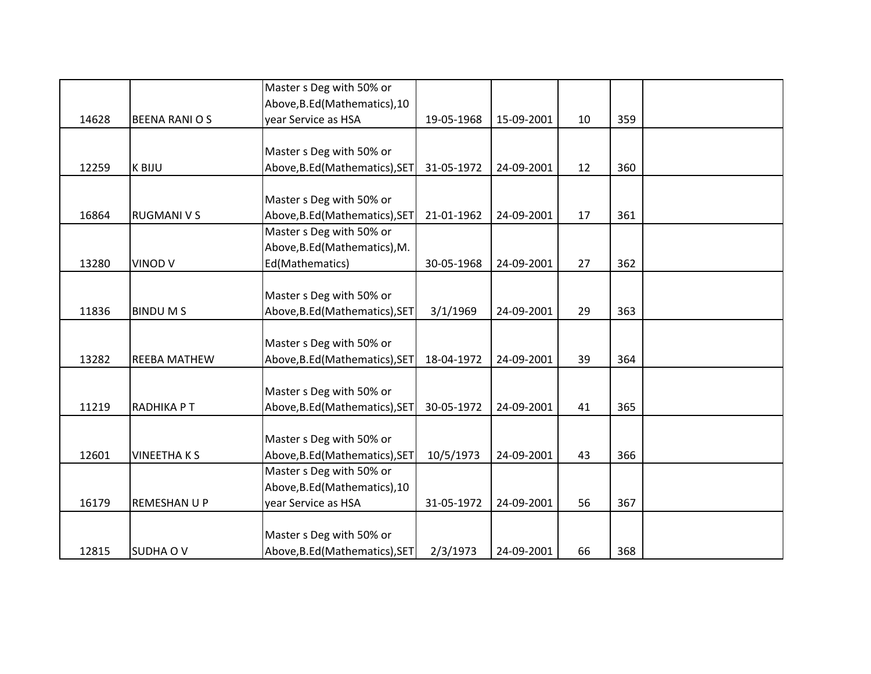|       |                       | Master s Deg with 50% or       |            |            |    |     |  |
|-------|-----------------------|--------------------------------|------------|------------|----|-----|--|
|       |                       | Above, B.Ed (Mathematics), 10  |            |            |    |     |  |
| 14628 | <b>BEENA RANI O S</b> | year Service as HSA            | 19-05-1968 | 15-09-2001 | 10 | 359 |  |
|       |                       |                                |            |            |    |     |  |
|       |                       | Master s Deg with 50% or       |            |            |    |     |  |
| 12259 | K BIJU                | Above, B.Ed (Mathematics), SET | 31-05-1972 | 24-09-2001 | 12 | 360 |  |
|       |                       |                                |            |            |    |     |  |
|       |                       | Master s Deg with 50% or       |            |            |    |     |  |
| 16864 | <b>RUGMANI V S</b>    | Above, B.Ed (Mathematics), SET | 21-01-1962 | 24-09-2001 | 17 | 361 |  |
|       |                       | Master s Deg with 50% or       |            |            |    |     |  |
|       |                       | Above, B.Ed (Mathematics), M.  |            |            |    |     |  |
| 13280 | VINOD V               | Ed(Mathematics)                | 30-05-1968 | 24-09-2001 | 27 | 362 |  |
|       |                       |                                |            |            |    |     |  |
|       |                       | Master s Deg with 50% or       |            |            |    |     |  |
| 11836 | <b>BINDUMS</b>        | Above, B.Ed (Mathematics), SET | 3/1/1969   | 24-09-2001 | 29 | 363 |  |
|       |                       |                                |            |            |    |     |  |
|       |                       | Master s Deg with 50% or       |            |            |    |     |  |
| 13282 | <b>REEBA MATHEW</b>   | Above, B.Ed (Mathematics), SET | 18-04-1972 | 24-09-2001 | 39 | 364 |  |
|       |                       |                                |            |            |    |     |  |
|       |                       | Master s Deg with 50% or       |            |            |    |     |  |
| 11219 | RADHIKA PT            | Above, B.Ed (Mathematics), SET | 30-05-1972 | 24-09-2001 | 41 | 365 |  |
|       |                       |                                |            |            |    |     |  |
|       |                       | Master s Deg with 50% or       |            |            |    |     |  |
| 12601 | <b>VINEETHAKS</b>     | Above, B.Ed (Mathematics), SET | 10/5/1973  | 24-09-2001 | 43 | 366 |  |
|       |                       | Master s Deg with 50% or       |            |            |    |     |  |
|       |                       | Above, B.Ed (Mathematics), 10  |            |            |    |     |  |
| 16179 | <b>REMESHAN U P</b>   | year Service as HSA            | 31-05-1972 | 24-09-2001 | 56 | 367 |  |
|       |                       |                                |            |            |    |     |  |
|       |                       | Master s Deg with 50% or       |            |            |    |     |  |
| 12815 | <b>SUDHA OV</b>       | Above, B.Ed (Mathematics), SET | 2/3/1973   | 24-09-2001 | 66 | 368 |  |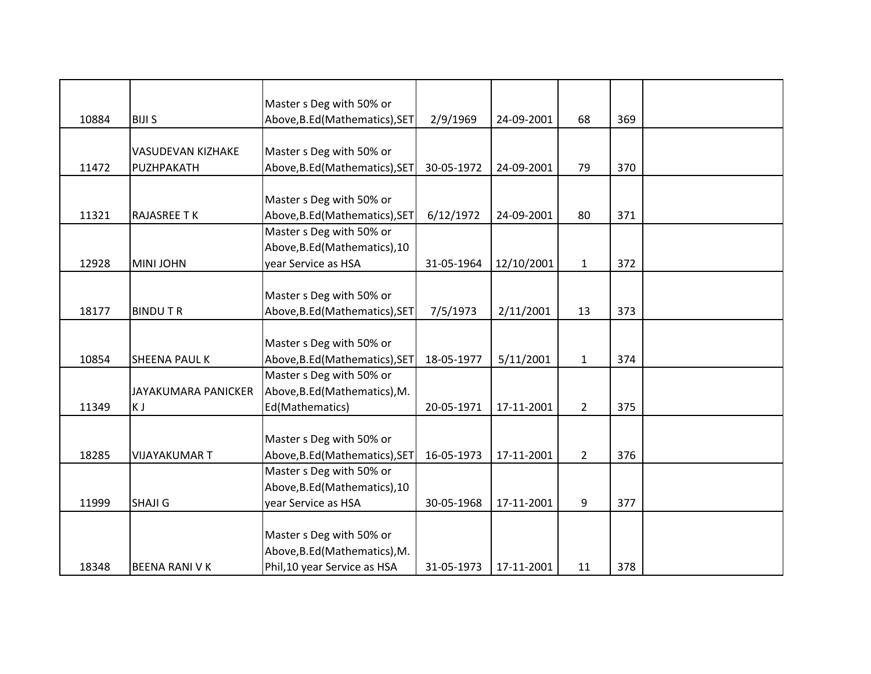|       |                       | Master s Deg with 50% or       |            |            |                |     |  |
|-------|-----------------------|--------------------------------|------------|------------|----------------|-----|--|
| 10884 | <b>BIJI S</b>         | Above, B.Ed (Mathematics), SET | 2/9/1969   | 24-09-2001 | 68             | 369 |  |
|       |                       |                                |            |            |                |     |  |
|       | VASUDEVAN KIZHAKE     | Master s Deg with 50% or       |            |            |                |     |  |
| 11472 | PUZHPAKATH            | Above, B.Ed (Mathematics), SET | 30-05-1972 | 24-09-2001 | 79             | 370 |  |
|       |                       |                                |            |            |                |     |  |
|       |                       | Master s Deg with 50% or       |            |            |                |     |  |
| 11321 | <b>RAJASREE TK</b>    | Above, B.Ed (Mathematics), SET | 6/12/1972  | 24-09-2001 | 80             | 371 |  |
|       |                       | Master s Deg with 50% or       |            |            |                |     |  |
|       |                       | Above, B.Ed (Mathematics), 10  |            |            |                |     |  |
| 12928 | <b>MINI JOHN</b>      | year Service as HSA            | 31-05-1964 | 12/10/2001 | $\mathbf{1}$   | 372 |  |
|       |                       |                                |            |            |                |     |  |
|       |                       | Master s Deg with 50% or       |            |            |                |     |  |
| 18177 | <b>BINDUTR</b>        | Above, B.Ed (Mathematics), SET | 7/5/1973   | 2/11/2001  | 13             | 373 |  |
|       |                       |                                |            |            |                |     |  |
|       |                       | Master s Deg with 50% or       |            |            |                |     |  |
| 10854 | <b>SHEENA PAUL K</b>  | Above, B.Ed (Mathematics), SET | 18-05-1977 | 5/11/2001  | $\mathbf{1}$   | 374 |  |
|       |                       | Master s Deg with 50% or       |            |            |                |     |  |
|       | JAYAKUMARA PANICKER   | Above, B.Ed (Mathematics), M.  |            |            |                |     |  |
| 11349 | K J                   | Ed(Mathematics)                | 20-05-1971 | 17-11-2001 | $\overline{2}$ | 375 |  |
|       |                       |                                |            |            |                |     |  |
|       |                       | Master s Deg with 50% or       |            |            |                |     |  |
| 18285 | <b>VIJAYAKUMAR T</b>  | Above, B.Ed (Mathematics), SET | 16-05-1973 | 17-11-2001 | $\overline{2}$ | 376 |  |
|       |                       | Master s Deg with 50% or       |            |            |                |     |  |
|       |                       | Above, B.Ed (Mathematics), 10  |            |            |                |     |  |
| 11999 | <b>SHAJI G</b>        | year Service as HSA            | 30-05-1968 | 17-11-2001 | 9              | 377 |  |
|       |                       |                                |            |            |                |     |  |
|       |                       | Master s Deg with 50% or       |            |            |                |     |  |
|       |                       | Above, B.Ed (Mathematics), M.  |            |            |                |     |  |
| 18348 | <b>BEENA RANI V K</b> | Phil, 10 year Service as HSA   | 31-05-1973 | 17-11-2001 | 11             | 378 |  |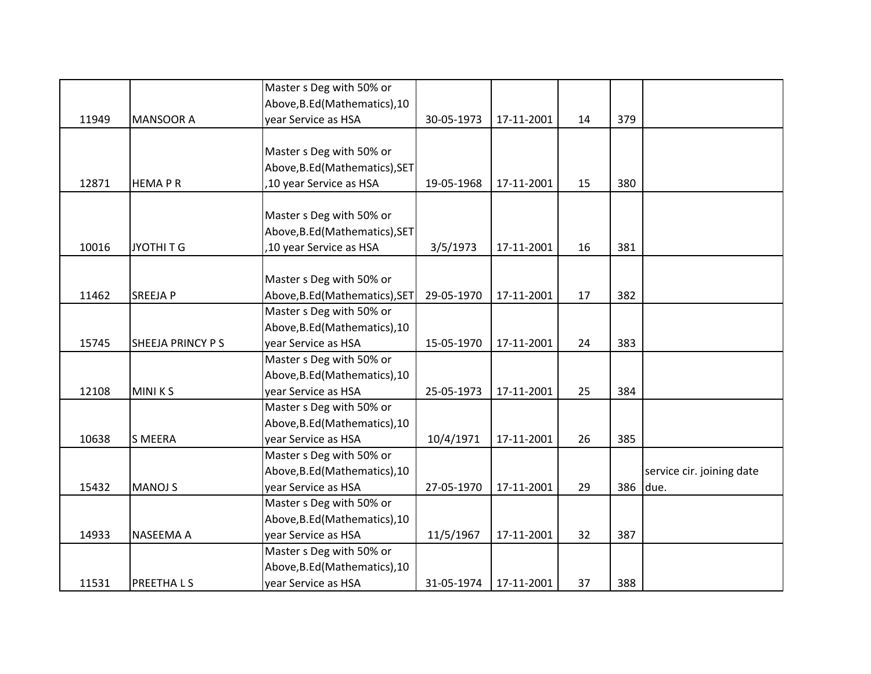|       |                         | Master s Deg with 50% or       |            |            |    |     |                           |
|-------|-------------------------|--------------------------------|------------|------------|----|-----|---------------------------|
|       |                         | Above, B.Ed (Mathematics), 10  |            |            |    |     |                           |
| 11949 | <b>MANSOOR A</b>        | year Service as HSA            | 30-05-1973 | 17-11-2001 | 14 | 379 |                           |
|       |                         |                                |            |            |    |     |                           |
|       |                         | Master s Deg with 50% or       |            |            |    |     |                           |
|       |                         | Above, B.Ed (Mathematics), SET |            |            |    |     |                           |
| 12871 | <b>HEMAPR</b>           | ,10 year Service as HSA        | 19-05-1968 | 17-11-2001 | 15 | 380 |                           |
|       |                         |                                |            |            |    |     |                           |
|       |                         | Master s Deg with 50% or       |            |            |    |     |                           |
|       |                         | Above, B.Ed (Mathematics), SET |            |            |    |     |                           |
| 10016 | JYOTHI T G              | ,10 year Service as HSA        | 3/5/1973   | 17-11-2001 | 16 | 381 |                           |
|       |                         |                                |            |            |    |     |                           |
|       |                         | Master s Deg with 50% or       |            |            |    |     |                           |
| 11462 | <b>SREEJAP</b>          | Above, B.Ed (Mathematics), SET | 29-05-1970 | 17-11-2001 | 17 | 382 |                           |
|       |                         | Master s Deg with 50% or       |            |            |    |     |                           |
|       |                         | Above, B.Ed (Mathematics), 10  |            |            |    |     |                           |
| 15745 | <b>SHEEJA PRINCY PS</b> | year Service as HSA            | 15-05-1970 | 17-11-2001 | 24 | 383 |                           |
|       |                         | Master s Deg with 50% or       |            |            |    |     |                           |
|       |                         | Above, B.Ed (Mathematics), 10  |            |            |    |     |                           |
| 12108 | <b>MINIKS</b>           | year Service as HSA            | 25-05-1973 | 17-11-2001 | 25 | 384 |                           |
|       |                         | Master s Deg with 50% or       |            |            |    |     |                           |
|       |                         | Above, B.Ed (Mathematics), 10  |            |            |    |     |                           |
| 10638 | <b>S MEERA</b>          | year Service as HSA            | 10/4/1971  | 17-11-2001 | 26 | 385 |                           |
|       |                         | Master s Deg with 50% or       |            |            |    |     |                           |
|       |                         | Above, B.Ed (Mathematics), 10  |            |            |    |     | service cir. joining date |
| 15432 | <b>MANOJ S</b>          | year Service as HSA            | 27-05-1970 | 17-11-2001 | 29 | 386 | due.                      |
|       |                         | Master s Deg with 50% or       |            |            |    |     |                           |
|       |                         | Above, B.Ed (Mathematics), 10  |            |            |    |     |                           |
| 14933 | <b>NASEEMA A</b>        | year Service as HSA            | 11/5/1967  | 17-11-2001 | 32 | 387 |                           |
|       |                         | Master s Deg with 50% or       |            |            |    |     |                           |
|       |                         | Above, B.Ed (Mathematics), 10  |            |            |    |     |                           |
| 11531 | PREETHALS               | year Service as HSA            | 31-05-1974 | 17-11-2001 | 37 | 388 |                           |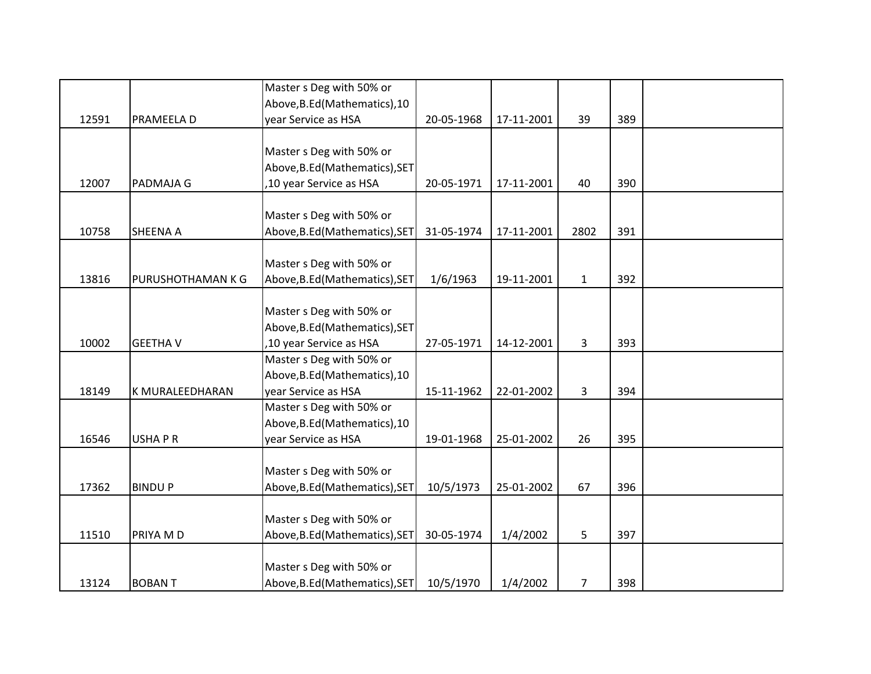|       |                        | Master s Deg with 50% or       |            |            |                |     |  |
|-------|------------------------|--------------------------------|------------|------------|----------------|-----|--|
|       |                        | Above, B.Ed (Mathematics), 10  |            |            |                |     |  |
| 12591 | PRAMEELA D             | year Service as HSA            | 20-05-1968 | 17-11-2001 | 39             | 389 |  |
|       |                        |                                |            |            |                |     |  |
|       |                        | Master s Deg with 50% or       |            |            |                |     |  |
|       |                        | Above, B.Ed (Mathematics), SET |            |            |                |     |  |
| 12007 | PADMAJA G              | ,10 year Service as HSA        | 20-05-1971 | 17-11-2001 | 40             | 390 |  |
|       |                        |                                |            |            |                |     |  |
|       |                        | Master s Deg with 50% or       |            |            |                |     |  |
| 10758 | <b>SHEENA A</b>        | Above, B.Ed (Mathematics), SET | 31-05-1974 | 17-11-2001 | 2802           | 391 |  |
|       |                        |                                |            |            |                |     |  |
|       |                        | Master s Deg with 50% or       |            |            |                |     |  |
| 13816 | PURUSHOTHAMAN K G      | Above, B.Ed (Mathematics), SET | 1/6/1963   | 19-11-2001 | $\mathbf{1}$   | 392 |  |
|       |                        |                                |            |            |                |     |  |
|       |                        | Master s Deg with 50% or       |            |            |                |     |  |
|       |                        | Above, B.Ed (Mathematics), SET |            |            |                |     |  |
| 10002 | <b>GEETHA V</b>        | ,10 year Service as HSA        | 27-05-1971 | 14-12-2001 | $\overline{3}$ | 393 |  |
|       |                        | Master s Deg with 50% or       |            |            |                |     |  |
|       |                        | Above, B.Ed (Mathematics), 10  |            |            |                |     |  |
| 18149 | <b>K MURALEEDHARAN</b> | year Service as HSA            | 15-11-1962 | 22-01-2002 | $\overline{3}$ | 394 |  |
|       |                        | Master s Deg with 50% or       |            |            |                |     |  |
|       |                        | Above, B.Ed (Mathematics), 10  |            |            |                |     |  |
| 16546 | <b>USHAPR</b>          | year Service as HSA            | 19-01-1968 | 25-01-2002 | 26             | 395 |  |
|       |                        |                                |            |            |                |     |  |
|       |                        | Master s Deg with 50% or       |            |            |                |     |  |
| 17362 | <b>BINDUP</b>          | Above, B.Ed (Mathematics), SET | 10/5/1973  | 25-01-2002 | 67             | 396 |  |
|       |                        |                                |            |            |                |     |  |
|       |                        | Master s Deg with 50% or       |            |            |                |     |  |
| 11510 | PRIYA M D              | Above, B.Ed (Mathematics), SET | 30-05-1974 | 1/4/2002   | 5              | 397 |  |
|       |                        |                                |            |            |                |     |  |
|       |                        | Master s Deg with 50% or       |            |            |                |     |  |
| 13124 | <b>BOBANT</b>          | Above, B.Ed (Mathematics), SET | 10/5/1970  | 1/4/2002   | $\overline{7}$ | 398 |  |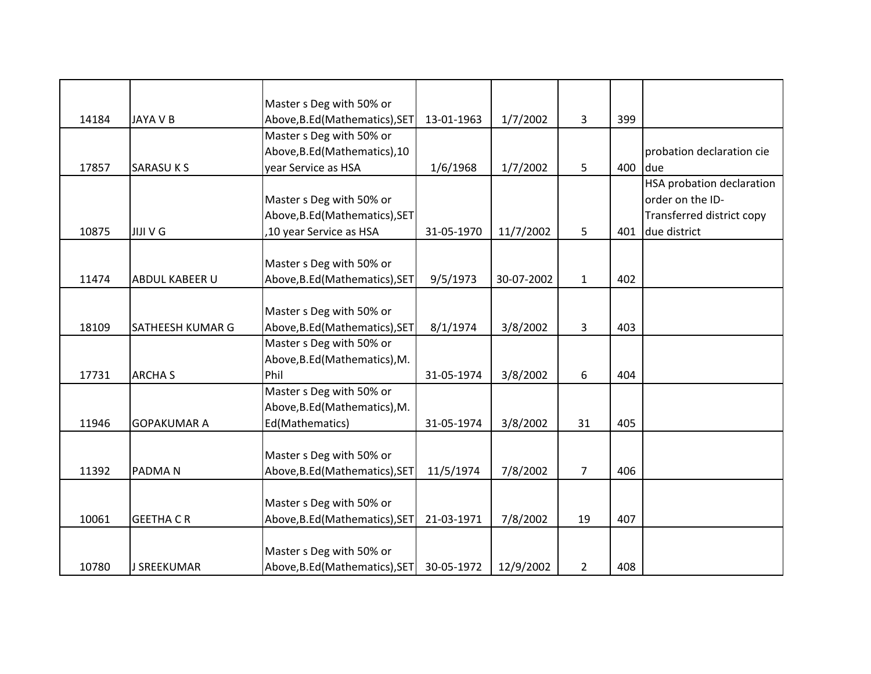|       |                         | Master s Deg with 50% or       |            |            |                |     |                                  |
|-------|-------------------------|--------------------------------|------------|------------|----------------|-----|----------------------------------|
| 14184 | <b>JAYA V B</b>         | Above, B.Ed (Mathematics), SET | 13-01-1963 | 1/7/2002   | 3              | 399 |                                  |
|       |                         | Master s Deg with 50% or       |            |            |                |     |                                  |
|       |                         | Above, B.Ed (Mathematics), 10  |            |            |                |     | probation declaration cie        |
| 17857 | <b>SARASUKS</b>         | year Service as HSA            | 1/6/1968   | 1/7/2002   | 5              | 400 | due                              |
|       |                         |                                |            |            |                |     | <b>HSA probation declaration</b> |
|       |                         | Master s Deg with 50% or       |            |            |                |     | order on the ID-                 |
|       |                         | Above, B.Ed (Mathematics), SET |            |            |                |     | Transferred district copy        |
| 10875 | <b>JIJI V G</b>         | ,10 year Service as HSA        | 31-05-1970 | 11/7/2002  | 5              | 401 | due district                     |
|       |                         | Master s Deg with 50% or       |            |            |                |     |                                  |
| 11474 | <b>ABDUL KABEER U</b>   | Above, B.Ed (Mathematics), SET | 9/5/1973   | 30-07-2002 | $\mathbf{1}$   | 402 |                                  |
|       |                         |                                |            |            |                |     |                                  |
|       |                         | Master s Deg with 50% or       |            |            |                |     |                                  |
| 18109 | <b>SATHEESH KUMAR G</b> | Above, B.Ed (Mathematics), SET | 8/1/1974   | 3/8/2002   | 3              | 403 |                                  |
|       |                         | Master s Deg with 50% or       |            |            |                |     |                                  |
|       |                         | Above, B.Ed (Mathematics), M.  |            |            |                |     |                                  |
| 17731 | <b>ARCHA S</b>          | Phil                           | 31-05-1974 | 3/8/2002   | 6              | 404 |                                  |
|       |                         | Master s Deg with 50% or       |            |            |                |     |                                  |
|       |                         | Above, B.Ed (Mathematics), M.  |            |            |                |     |                                  |
| 11946 | <b>GOPAKUMAR A</b>      | Ed(Mathematics)                | 31-05-1974 | 3/8/2002   | 31             | 405 |                                  |
|       |                         |                                |            |            |                |     |                                  |
|       |                         | Master s Deg with 50% or       |            |            |                |     |                                  |
| 11392 | <b>PADMAN</b>           | Above, B.Ed (Mathematics), SET | 11/5/1974  | 7/8/2002   | $\overline{7}$ | 406 |                                  |
|       |                         |                                |            |            |                |     |                                  |
|       |                         | Master s Deg with 50% or       |            |            |                |     |                                  |
| 10061 | <b>GEETHA CR</b>        | Above, B.Ed (Mathematics), SET | 21-03-1971 | 7/8/2002   | 19             | 407 |                                  |
|       |                         |                                |            |            |                |     |                                  |
|       |                         | Master s Deg with 50% or       |            |            |                |     |                                  |
| 10780 | J SREEKUMAR             | Above, B.Ed (Mathematics), SET | 30-05-1972 | 12/9/2002  | $\overline{2}$ | 408 |                                  |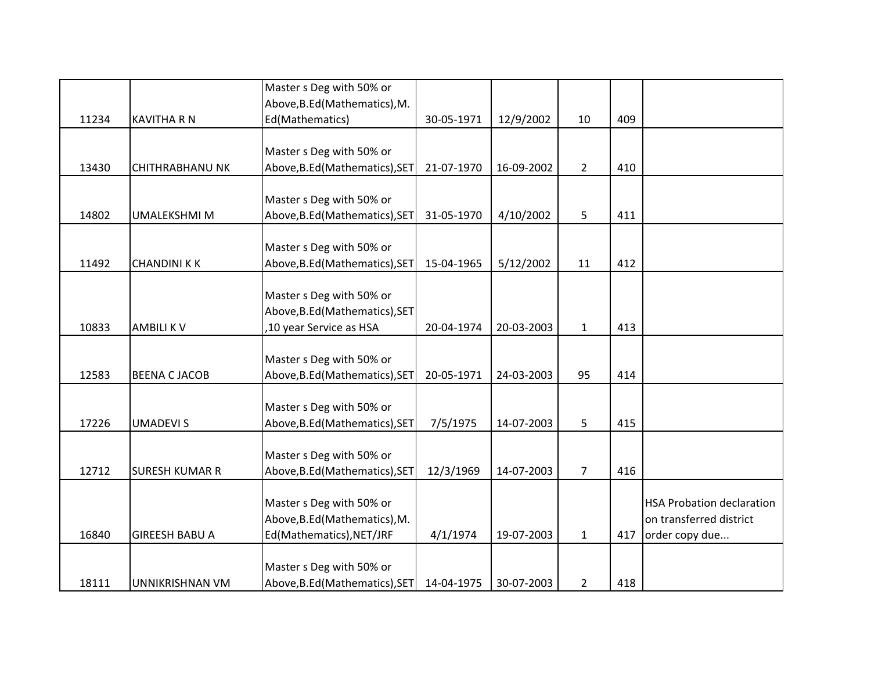|       |                        | Master s Deg with 50% or       |            |            |                |     |                                  |
|-------|------------------------|--------------------------------|------------|------------|----------------|-----|----------------------------------|
|       |                        | Above, B.Ed (Mathematics), M.  |            |            |                |     |                                  |
| 11234 | <b>KAVITHA R N</b>     | Ed(Mathematics)                | 30-05-1971 | 12/9/2002  | 10             | 409 |                                  |
|       |                        |                                |            |            |                |     |                                  |
|       |                        | Master s Deg with 50% or       |            |            |                |     |                                  |
| 13430 | <b>CHITHRABHANU NK</b> | Above, B.Ed (Mathematics), SET | 21-07-1970 | 16-09-2002 | $\overline{2}$ | 410 |                                  |
|       |                        |                                |            |            |                |     |                                  |
|       |                        | Master s Deg with 50% or       |            |            |                |     |                                  |
| 14802 | <b>UMALEKSHMI M</b>    | Above, B.Ed (Mathematics), SET | 31-05-1970 | 4/10/2002  | 5              | 411 |                                  |
|       |                        |                                |            |            |                |     |                                  |
|       |                        | Master s Deg with 50% or       |            |            |                |     |                                  |
| 11492 | <b>CHANDINI K K</b>    | Above, B.Ed (Mathematics), SET | 15-04-1965 | 5/12/2002  | 11             | 412 |                                  |
|       |                        |                                |            |            |                |     |                                  |
|       |                        | Master s Deg with 50% or       |            |            |                |     |                                  |
|       |                        | Above, B.Ed (Mathematics), SET |            |            |                |     |                                  |
| 10833 | <b>AMBILIKV</b>        | ,10 year Service as HSA        | 20-04-1974 | 20-03-2003 | $\mathbf{1}$   | 413 |                                  |
|       |                        |                                |            |            |                |     |                                  |
|       |                        | Master s Deg with 50% or       |            |            |                |     |                                  |
| 12583 | <b>BEENA C JACOB</b>   | Above, B.Ed (Mathematics), SET | 20-05-1971 | 24-03-2003 | 95             | 414 |                                  |
|       |                        |                                |            |            |                |     |                                  |
|       |                        | Master s Deg with 50% or       |            |            |                |     |                                  |
| 17226 | <b>UMADEVIS</b>        | Above, B.Ed (Mathematics), SET | 7/5/1975   | 14-07-2003 | 5              | 415 |                                  |
|       |                        |                                |            |            |                |     |                                  |
|       |                        | Master s Deg with 50% or       |            |            |                |     |                                  |
| 12712 | <b>SURESH KUMAR R</b>  | Above, B.Ed (Mathematics), SET | 12/3/1969  | 14-07-2003 | $\overline{7}$ | 416 |                                  |
|       |                        | Master s Deg with 50% or       |            |            |                |     | <b>HSA Probation declaration</b> |
|       |                        | Above, B.Ed (Mathematics), M.  |            |            |                |     | on transferred district          |
| 16840 | <b>GIREESH BABU A</b>  | Ed(Mathematics), NET/JRF       | 4/1/1974   | 19-07-2003 | $\mathbf{1}$   | 417 | order copy due                   |
|       |                        |                                |            |            |                |     |                                  |
|       |                        | Master s Deg with 50% or       |            |            |                |     |                                  |
| 18111 | UNNIKRISHNAN VM        | Above, B.Ed (Mathematics), SET | 14-04-1975 | 30-07-2003 | $\overline{2}$ | 418 |                                  |
|       |                        |                                |            |            |                |     |                                  |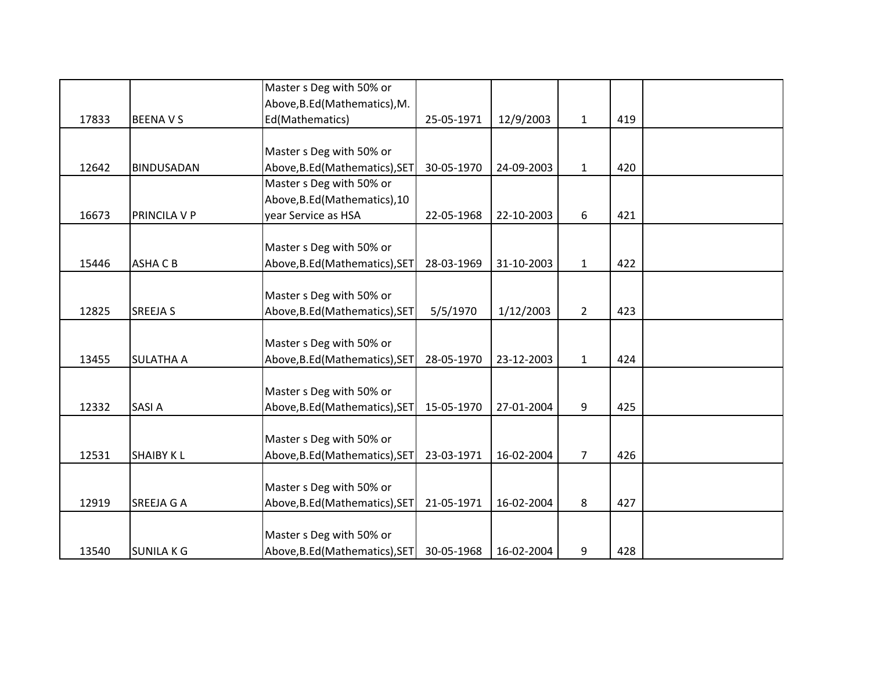|       |                   | Master s Deg with 50% or       |            |            |                |     |  |
|-------|-------------------|--------------------------------|------------|------------|----------------|-----|--|
|       |                   | Above, B.Ed (Mathematics), M.  |            |            |                |     |  |
| 17833 | <b>BEENAVS</b>    | Ed(Mathematics)                | 25-05-1971 | 12/9/2003  | $\mathbf{1}$   | 419 |  |
|       |                   |                                |            |            |                |     |  |
|       |                   | Master s Deg with 50% or       |            |            |                |     |  |
| 12642 | <b>BINDUSADAN</b> | Above, B.Ed (Mathematics), SET | 30-05-1970 | 24-09-2003 | $\mathbf{1}$   | 420 |  |
|       |                   | Master s Deg with 50% or       |            |            |                |     |  |
|       |                   | Above, B.Ed (Mathematics), 10  |            |            |                |     |  |
| 16673 | PRINCILA V P      | year Service as HSA            | 22-05-1968 | 22-10-2003 | 6              | 421 |  |
|       |                   |                                |            |            |                |     |  |
|       |                   | Master s Deg with 50% or       |            |            |                |     |  |
| 15446 | <b>ASHACB</b>     | Above, B.Ed (Mathematics), SET | 28-03-1969 | 31-10-2003 | $\mathbf{1}$   | 422 |  |
|       |                   |                                |            |            |                |     |  |
|       |                   | Master s Deg with 50% or       |            |            |                |     |  |
| 12825 | <b>SREEJA S</b>   | Above, B.Ed (Mathematics), SET | 5/5/1970   | 1/12/2003  | $\overline{2}$ | 423 |  |
|       |                   |                                |            |            |                |     |  |
|       |                   | Master s Deg with 50% or       |            |            |                |     |  |
| 13455 | <b>SULATHA A</b>  | Above, B.Ed (Mathematics), SET | 28-05-1970 | 23-12-2003 | $\mathbf{1}$   | 424 |  |
|       |                   |                                |            |            |                |     |  |
|       |                   | Master s Deg with 50% or       |            |            |                |     |  |
| 12332 | <b>SASIA</b>      | Above, B.Ed (Mathematics), SET | 15-05-1970 | 27-01-2004 | 9              | 425 |  |
|       |                   |                                |            |            |                |     |  |
|       |                   | Master s Deg with 50% or       |            |            |                |     |  |
| 12531 | <b>SHAIBY KL</b>  | Above, B.Ed (Mathematics), SET | 23-03-1971 | 16-02-2004 | $\overline{7}$ | 426 |  |
|       |                   |                                |            |            |                |     |  |
|       |                   | Master s Deg with 50% or       |            |            |                |     |  |
| 12919 | <b>SREEJA G A</b> | Above, B.Ed (Mathematics), SET | 21-05-1971 | 16-02-2004 | 8              | 427 |  |
|       |                   |                                |            |            |                |     |  |
|       |                   | Master s Deg with 50% or       |            |            |                |     |  |
| 13540 | <b>SUNILAKG</b>   | Above, B.Ed (Mathematics), SET | 30-05-1968 | 16-02-2004 | 9              | 428 |  |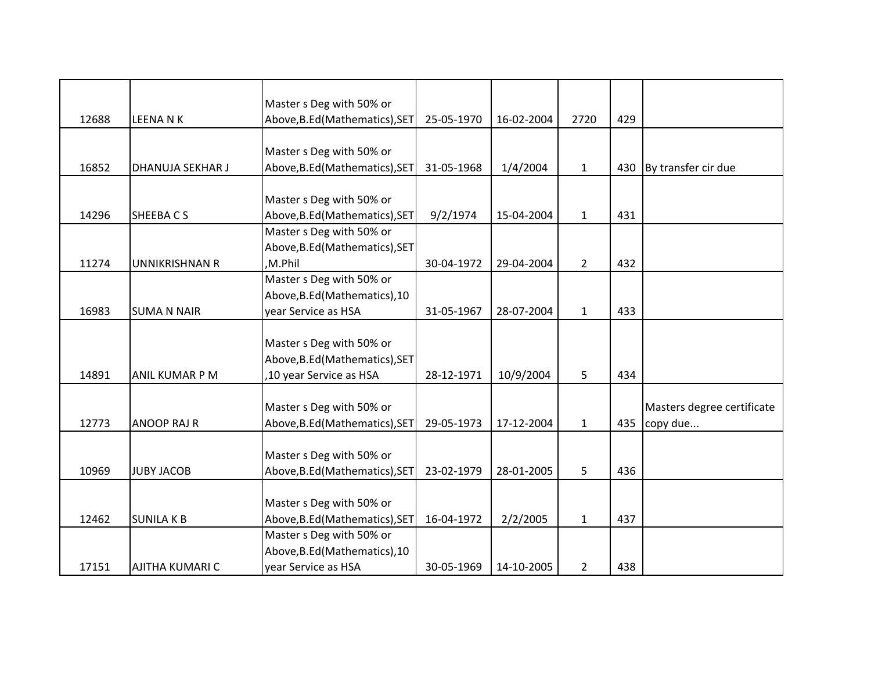|       |                        | Master s Deg with 50% or       |            |            |                |     |                            |
|-------|------------------------|--------------------------------|------------|------------|----------------|-----|----------------------------|
| 12688 | <b>LEENANK</b>         | Above, B.Ed (Mathematics), SET | 25-05-1970 | 16-02-2004 | 2720           | 429 |                            |
|       |                        |                                |            |            |                |     |                            |
|       |                        | Master s Deg with 50% or       |            |            |                |     |                            |
| 16852 | DHANUJA SEKHAR J       | Above, B.Ed (Mathematics), SET | 31-05-1968 | 1/4/2004   | $\mathbf{1}$   | 430 | By transfer cir due        |
|       |                        |                                |            |            |                |     |                            |
|       |                        | Master s Deg with 50% or       |            |            |                |     |                            |
| 14296 | SHEEBACS               | Above, B.Ed (Mathematics), SET | 9/2/1974   | 15-04-2004 | $\mathbf{1}$   | 431 |                            |
|       |                        | Master s Deg with 50% or       |            |            |                |     |                            |
|       |                        | Above, B.Ed (Mathematics), SET |            |            |                |     |                            |
| 11274 | <b>UNNIKRISHNAN R</b>  | ,M.Phil                        | 30-04-1972 | 29-04-2004 | $\overline{2}$ | 432 |                            |
|       |                        | Master s Deg with 50% or       |            |            |                |     |                            |
|       |                        | Above, B.Ed (Mathematics), 10  |            |            |                |     |                            |
| 16983 | <b>SUMA N NAIR</b>     | year Service as HSA            | 31-05-1967 | 28-07-2004 | $\mathbf{1}$   | 433 |                            |
|       |                        |                                |            |            |                |     |                            |
|       |                        | Master s Deg with 50% or       |            |            |                |     |                            |
|       |                        | Above, B.Ed (Mathematics), SET |            |            |                |     |                            |
| 14891 | <b>ANIL KUMAR P M</b>  | ,10 year Service as HSA        | 28-12-1971 | 10/9/2004  | 5              | 434 |                            |
|       |                        |                                |            |            |                |     |                            |
|       |                        | Master s Deg with 50% or       |            |            |                |     | Masters degree certificate |
| 12773 | <b>ANOOP RAJ R</b>     | Above, B.Ed (Mathematics), SET | 29-05-1973 | 17-12-2004 | $\mathbf{1}$   | 435 | copy due                   |
|       |                        |                                |            |            |                |     |                            |
|       |                        | Master s Deg with 50% or       |            |            |                |     |                            |
| 10969 | <b>JUBY JACOB</b>      | Above, B.Ed (Mathematics), SET | 23-02-1979 | 28-01-2005 | 5              | 436 |                            |
|       |                        |                                |            |            |                |     |                            |
|       |                        | Master s Deg with 50% or       |            |            |                |     |                            |
| 12462 | <b>SUNILAKB</b>        | Above, B.Ed (Mathematics), SET | 16-04-1972 | 2/2/2005   | $\mathbf{1}$   | 437 |                            |
|       |                        | Master s Deg with 50% or       |            |            |                |     |                            |
|       |                        | Above, B.Ed (Mathematics), 10  |            |            |                |     |                            |
| 17151 | <b>AJITHA KUMARI C</b> | year Service as HSA            | 30-05-1969 | 14-10-2005 | $\overline{2}$ | 438 |                            |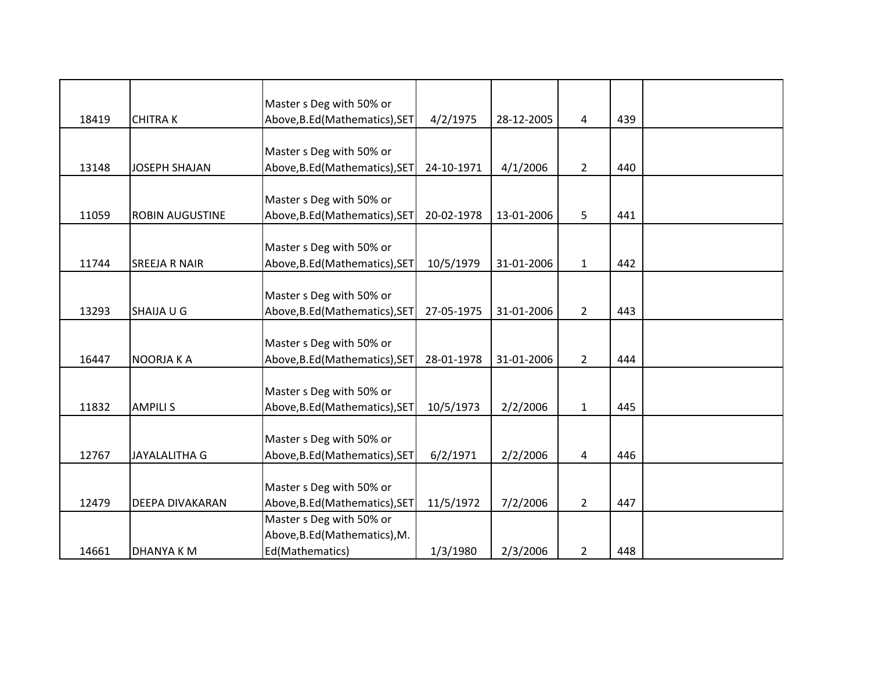|       |                        | Master s Deg with 50% or       |            |            |                |     |  |
|-------|------------------------|--------------------------------|------------|------------|----------------|-----|--|
| 18419 | <b>CHITRAK</b>         | Above, B.Ed (Mathematics), SET | 4/2/1975   | 28-12-2005 | 4              | 439 |  |
|       |                        |                                |            |            |                |     |  |
|       |                        | Master s Deg with 50% or       |            |            |                |     |  |
| 13148 | <b>JOSEPH SHAJAN</b>   | Above, B.Ed (Mathematics), SET | 24-10-1971 | 4/1/2006   | $2^{\circ}$    | 440 |  |
|       |                        |                                |            |            |                |     |  |
|       |                        | Master s Deg with 50% or       |            |            |                |     |  |
| 11059 | <b>ROBIN AUGUSTINE</b> | Above, B.Ed (Mathematics), SET | 20-02-1978 | 13-01-2006 | 5              | 441 |  |
|       |                        |                                |            |            |                |     |  |
|       |                        | Master s Deg with 50% or       |            |            |                |     |  |
| 11744 | <b>SREEJA R NAIR</b>   | Above, B.Ed (Mathematics), SET | 10/5/1979  | 31-01-2006 | $1\,$          | 442 |  |
|       |                        |                                |            |            |                |     |  |
|       |                        | Master s Deg with 50% or       |            |            |                |     |  |
| 13293 | SHAIJA U G             | Above, B.Ed (Mathematics), SET | 27-05-1975 | 31-01-2006 | $\overline{2}$ | 443 |  |
|       |                        |                                |            |            |                |     |  |
|       |                        | Master s Deg with 50% or       |            |            |                |     |  |
| 16447 | NOORJA KA              | Above, B.Ed (Mathematics), SET | 28-01-1978 | 31-01-2006 | $\overline{2}$ | 444 |  |
|       |                        |                                |            |            |                |     |  |
|       |                        | Master s Deg with 50% or       |            |            |                |     |  |
| 11832 | <b>AMPILIS</b>         | Above, B.Ed (Mathematics), SET | 10/5/1973  | 2/2/2006   | $\mathbf{1}$   | 445 |  |
|       |                        |                                |            |            |                |     |  |
|       |                        | Master s Deg with 50% or       |            |            |                |     |  |
| 12767 | <b>JAYALALITHA G</b>   | Above, B.Ed (Mathematics), SET | 6/2/1971   | 2/2/2006   | 4              | 446 |  |
|       |                        |                                |            |            |                |     |  |
|       |                        | Master s Deg with 50% or       |            |            |                |     |  |
| 12479 | <b>DEEPA DIVAKARAN</b> | Above, B.Ed (Mathematics), SET | 11/5/1972  | 7/2/2006   | $\overline{2}$ | 447 |  |
|       |                        | Master s Deg with 50% or       |            |            |                |     |  |
|       |                        | Above, B.Ed (Mathematics), M.  |            |            |                |     |  |
| 14661 | DHANYA K M             | Ed(Mathematics)                | 1/3/1980   | 2/3/2006   | $\overline{2}$ | 448 |  |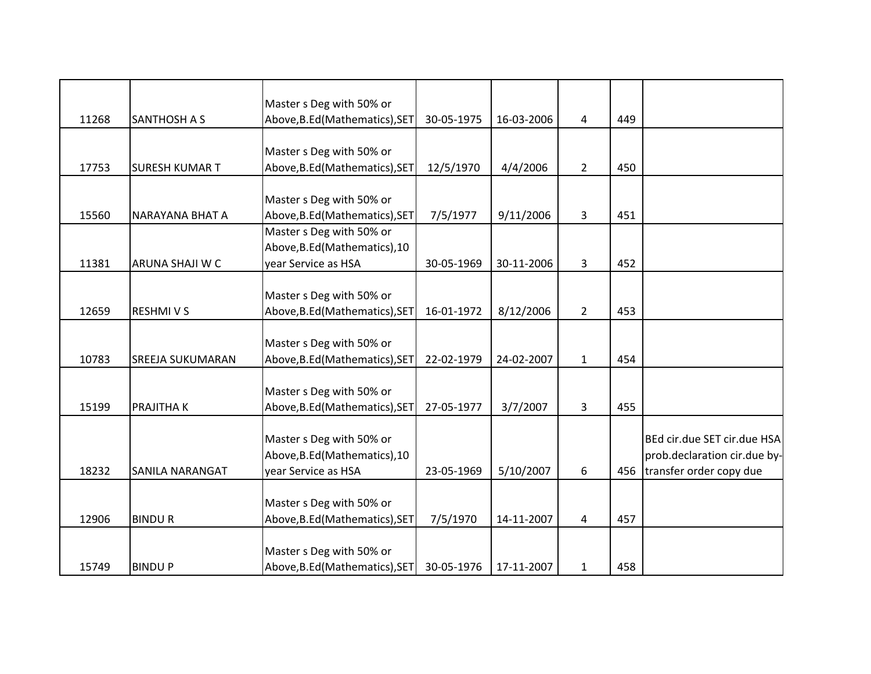|                       | Master s Deg with 50% or                                                                                                           |                                                                                                                                                                                                                                                                                                                                                    |                                                                                                                                                                                                                                                                                                                                                        |                                                                                                         |                                                                         |                                               |
|-----------------------|------------------------------------------------------------------------------------------------------------------------------------|----------------------------------------------------------------------------------------------------------------------------------------------------------------------------------------------------------------------------------------------------------------------------------------------------------------------------------------------------|--------------------------------------------------------------------------------------------------------------------------------------------------------------------------------------------------------------------------------------------------------------------------------------------------------------------------------------------------------|---------------------------------------------------------------------------------------------------------|-------------------------------------------------------------------------|-----------------------------------------------|
| <b>SURESH KUMAR T</b> |                                                                                                                                    | 12/5/1970                                                                                                                                                                                                                                                                                                                                          | 4/4/2006                                                                                                                                                                                                                                                                                                                                               | $\overline{2}$                                                                                          | 450                                                                     |                                               |
|                       |                                                                                                                                    |                                                                                                                                                                                                                                                                                                                                                    |                                                                                                                                                                                                                                                                                                                                                        |                                                                                                         |                                                                         |                                               |
|                       | Master s Deg with 50% or                                                                                                           |                                                                                                                                                                                                                                                                                                                                                    |                                                                                                                                                                                                                                                                                                                                                        |                                                                                                         |                                                                         |                                               |
| NARAYANA BHAT A       |                                                                                                                                    |                                                                                                                                                                                                                                                                                                                                                    |                                                                                                                                                                                                                                                                                                                                                        |                                                                                                         |                                                                         |                                               |
|                       |                                                                                                                                    |                                                                                                                                                                                                                                                                                                                                                    |                                                                                                                                                                                                                                                                                                                                                        |                                                                                                         |                                                                         |                                               |
|                       |                                                                                                                                    |                                                                                                                                                                                                                                                                                                                                                    |                                                                                                                                                                                                                                                                                                                                                        |                                                                                                         |                                                                         |                                               |
|                       |                                                                                                                                    |                                                                                                                                                                                                                                                                                                                                                    |                                                                                                                                                                                                                                                                                                                                                        |                                                                                                         |                                                                         |                                               |
|                       |                                                                                                                                    |                                                                                                                                                                                                                                                                                                                                                    |                                                                                                                                                                                                                                                                                                                                                        |                                                                                                         |                                                                         |                                               |
|                       |                                                                                                                                    |                                                                                                                                                                                                                                                                                                                                                    |                                                                                                                                                                                                                                                                                                                                                        |                                                                                                         |                                                                         |                                               |
|                       |                                                                                                                                    |                                                                                                                                                                                                                                                                                                                                                    |                                                                                                                                                                                                                                                                                                                                                        |                                                                                                         |                                                                         |                                               |
|                       |                                                                                                                                    |                                                                                                                                                                                                                                                                                                                                                    |                                                                                                                                                                                                                                                                                                                                                        |                                                                                                         |                                                                         |                                               |
|                       |                                                                                                                                    |                                                                                                                                                                                                                                                                                                                                                    |                                                                                                                                                                                                                                                                                                                                                        |                                                                                                         |                                                                         |                                               |
|                       |                                                                                                                                    |                                                                                                                                                                                                                                                                                                                                                    |                                                                                                                                                                                                                                                                                                                                                        |                                                                                                         |                                                                         |                                               |
|                       |                                                                                                                                    |                                                                                                                                                                                                                                                                                                                                                    |                                                                                                                                                                                                                                                                                                                                                        |                                                                                                         |                                                                         |                                               |
|                       |                                                                                                                                    |                                                                                                                                                                                                                                                                                                                                                    |                                                                                                                                                                                                                                                                                                                                                        |                                                                                                         |                                                                         |                                               |
|                       |                                                                                                                                    |                                                                                                                                                                                                                                                                                                                                                    |                                                                                                                                                                                                                                                                                                                                                        |                                                                                                         |                                                                         |                                               |
|                       |                                                                                                                                    |                                                                                                                                                                                                                                                                                                                                                    |                                                                                                                                                                                                                                                                                                                                                        |                                                                                                         |                                                                         | BEd cir.due SET cir.due HSA                   |
|                       |                                                                                                                                    |                                                                                                                                                                                                                                                                                                                                                    |                                                                                                                                                                                                                                                                                                                                                        |                                                                                                         |                                                                         | prob.declaration cir.due by-                  |
|                       |                                                                                                                                    |                                                                                                                                                                                                                                                                                                                                                    |                                                                                                                                                                                                                                                                                                                                                        |                                                                                                         |                                                                         | transfer order copy due                       |
|                       |                                                                                                                                    |                                                                                                                                                                                                                                                                                                                                                    |                                                                                                                                                                                                                                                                                                                                                        |                                                                                                         |                                                                         |                                               |
|                       |                                                                                                                                    |                                                                                                                                                                                                                                                                                                                                                    |                                                                                                                                                                                                                                                                                                                                                        |                                                                                                         |                                                                         |                                               |
| <b>BINDUR</b>         |                                                                                                                                    |                                                                                                                                                                                                                                                                                                                                                    |                                                                                                                                                                                                                                                                                                                                                        |                                                                                                         | 457                                                                     |                                               |
|                       |                                                                                                                                    |                                                                                                                                                                                                                                                                                                                                                    |                                                                                                                                                                                                                                                                                                                                                        |                                                                                                         |                                                                         |                                               |
|                       | Master s Deg with 50% or                                                                                                           |                                                                                                                                                                                                                                                                                                                                                    |                                                                                                                                                                                                                                                                                                                                                        |                                                                                                         |                                                                         |                                               |
| <b>BINDUP</b>         |                                                                                                                                    | 30-05-1976                                                                                                                                                                                                                                                                                                                                         | 17-11-2007                                                                                                                                                                                                                                                                                                                                             | $\mathbf{1}$                                                                                            | 458                                                                     |                                               |
|                       | <b>SANTHOSH A S</b><br>ARUNA SHAJI W C<br><b>RESHMIVS</b><br><b>SREEJA SUKUMARAN</b><br><b>PRAJITHAK</b><br><b>SANILA NARANGAT</b> | Master s Deg with 50% or<br>Master s Deg with 50% or<br>Above, B.Ed (Mathematics), 10<br>year Service as HSA<br>Master s Deg with 50% or<br>Master s Deg with 50% or<br>Above, B.Ed (Mathematics), SET<br>Master s Deg with 50% or<br>Master s Deg with 50% or<br>Above, B.Ed (Mathematics), 10<br>year Service as HSA<br>Master s Deg with 50% or | Above, B.Ed (Mathematics), SET<br>30-05-1975<br>Above, B.Ed (Mathematics), SET<br>Above, B.Ed (Mathematics), SET<br>7/5/1977<br>30-05-1969<br>Above, B.Ed (Mathematics), SET<br>16-01-1972<br>22-02-1979<br>Above, B.Ed (Mathematics), SET<br>27-05-1977<br>23-05-1969<br>Above, B.Ed (Mathematics), SET<br>7/5/1970<br>Above, B.Ed (Mathematics), SET | 16-03-2006<br>9/11/2006<br>30-11-2006<br>8/12/2006<br>24-02-2007<br>3/7/2007<br>5/10/2007<br>14-11-2007 | 4<br>$\mathbf{3}$<br>3<br>$\overline{2}$<br>$\mathbf{1}$<br>3<br>6<br>4 | 449<br>451<br>452<br>453<br>454<br>455<br>456 |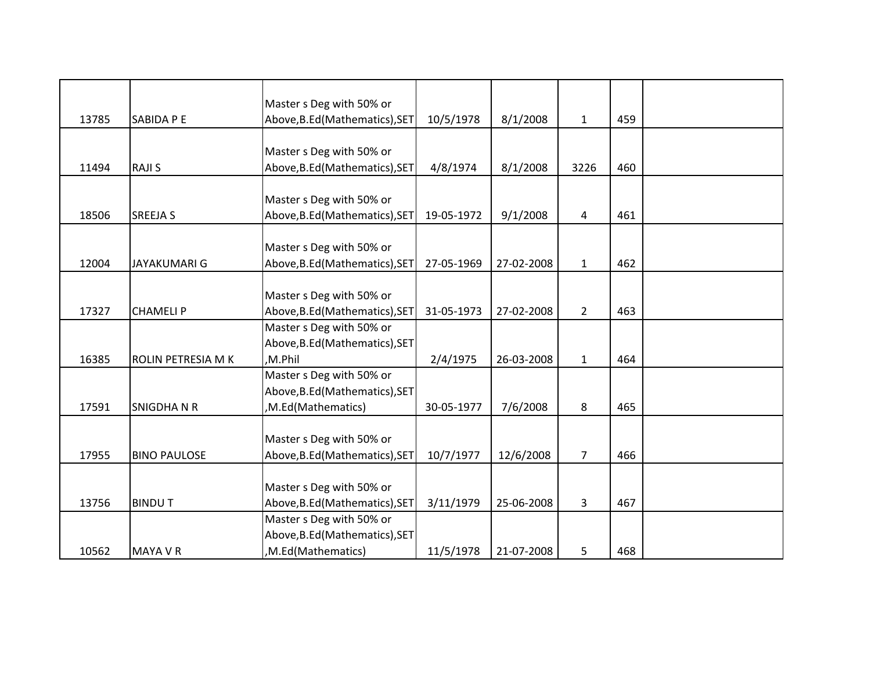|       |                     | Master s Deg with 50% or       |            |            |                 |     |  |
|-------|---------------------|--------------------------------|------------|------------|-----------------|-----|--|
| 13785 | SABIDA P E          | Above, B.Ed (Mathematics), SET | 10/5/1978  | 8/1/2008   | $\mathbf{1}$    | 459 |  |
|       |                     |                                |            |            |                 |     |  |
|       |                     | Master s Deg with 50% or       |            |            |                 |     |  |
| 11494 | <b>RAJIS</b>        | Above, B.Ed (Mathematics), SET | 4/8/1974   | 8/1/2008   | 3226            | 460 |  |
|       |                     |                                |            |            |                 |     |  |
|       |                     | Master s Deg with 50% or       |            |            |                 |     |  |
| 18506 | <b>SREEJA S</b>     | Above, B.Ed (Mathematics), SET | 19-05-1972 | 9/1/2008   | 4               | 461 |  |
|       |                     |                                |            |            |                 |     |  |
|       |                     | Master s Deg with 50% or       |            |            |                 |     |  |
| 12004 | JAYAKUMARI G        | Above, B.Ed (Mathematics), SET | 27-05-1969 | 27-02-2008 | $\mathbf{1}$    | 462 |  |
|       |                     |                                |            |            |                 |     |  |
|       |                     | Master s Deg with 50% or       |            |            |                 |     |  |
| 17327 | <b>CHAMELIP</b>     | Above, B.Ed (Mathematics), SET | 31-05-1973 | 27-02-2008 | $\overline{2}$  | 463 |  |
|       |                     | Master s Deg with 50% or       |            |            |                 |     |  |
|       |                     | Above, B.Ed (Mathematics), SET |            |            |                 |     |  |
| 16385 | ROLIN PETRESIA M K  | ,M.Phil                        | 2/4/1975   | 26-03-2008 | $\mathbf{1}$    | 464 |  |
|       |                     | Master s Deg with 50% or       |            |            |                 |     |  |
|       |                     | Above, B.Ed (Mathematics), SET |            |            |                 |     |  |
| 17591 | <b>SNIGDHANR</b>    | ,M.Ed(Mathematics)             | 30-05-1977 | 7/6/2008   | 8               | 465 |  |
|       |                     |                                |            |            |                 |     |  |
|       |                     | Master s Deg with 50% or       |            |            |                 |     |  |
| 17955 | <b>BINO PAULOSE</b> | Above, B.Ed (Mathematics), SET | 10/7/1977  | 12/6/2008  | $7\overline{ }$ | 466 |  |
|       |                     |                                |            |            |                 |     |  |
|       |                     | Master s Deg with 50% or       |            |            |                 |     |  |
| 13756 | <b>BINDUT</b>       | Above, B.Ed (Mathematics), SET | 3/11/1979  | 25-06-2008 | 3               | 467 |  |
|       |                     | Master s Deg with 50% or       |            |            |                 |     |  |
|       |                     | Above, B.Ed (Mathematics), SET |            |            |                 |     |  |
| 10562 | MAYA V R            | ,M.Ed(Mathematics)             | 11/5/1978  | 21-07-2008 | 5               | 468 |  |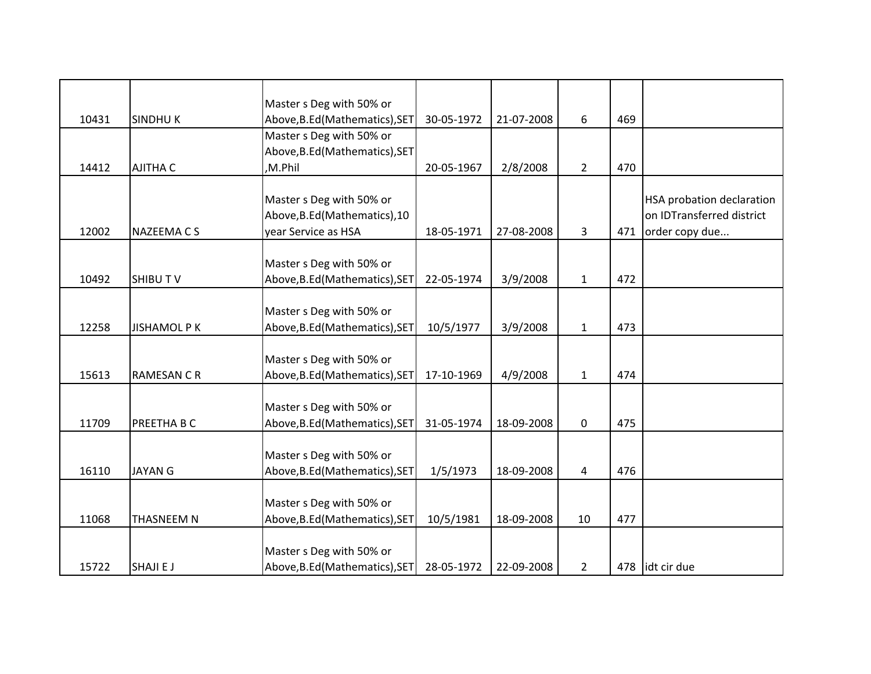|       |                     | Master s Deg with 50% or       |            |            |                |     |                           |
|-------|---------------------|--------------------------------|------------|------------|----------------|-----|---------------------------|
| 10431 | <b>SINDHUK</b>      | Above, B.Ed (Mathematics), SET | 30-05-1972 | 21-07-2008 | 6              | 469 |                           |
|       |                     | Master s Deg with 50% or       |            |            |                |     |                           |
|       |                     | Above, B.Ed (Mathematics), SET |            |            |                |     |                           |
| 14412 | <b>AJITHA C</b>     | ,M.Phil                        | 20-05-1967 | 2/8/2008   | $\overline{2}$ | 470 |                           |
|       |                     |                                |            |            |                |     |                           |
|       |                     | Master s Deg with 50% or       |            |            |                |     | HSA probation declaration |
|       |                     | Above, B.Ed (Mathematics), 10  |            |            |                |     | on IDTransferred district |
| 12002 | <b>NAZEEMA CS</b>   | year Service as HSA            | 18-05-1971 | 27-08-2008 | 3              | 471 | order copy due            |
|       |                     | Master s Deg with 50% or       |            |            |                |     |                           |
| 10492 | <b>SHIBUTV</b>      | Above, B.Ed (Mathematics), SET | 22-05-1974 | 3/9/2008   | $\mathbf{1}$   | 472 |                           |
|       |                     |                                |            |            |                |     |                           |
|       |                     | Master s Deg with 50% or       |            |            |                |     |                           |
| 12258 | <b>JISHAMOL P K</b> | Above, B.Ed (Mathematics), SET | 10/5/1977  | 3/9/2008   | $\mathbf{1}$   | 473 |                           |
|       |                     |                                |            |            |                |     |                           |
|       |                     | Master s Deg with 50% or       |            |            |                |     |                           |
| 15613 | <b>RAMESAN C R</b>  | Above, B.Ed (Mathematics), SET | 17-10-1969 | 4/9/2008   | $\mathbf{1}$   | 474 |                           |
|       |                     | Master s Deg with 50% or       |            |            |                |     |                           |
| 11709 | PREETHA B C         | Above, B.Ed (Mathematics), SET | 31-05-1974 | 18-09-2008 | 0              | 475 |                           |
|       |                     |                                |            |            |                |     |                           |
|       |                     | Master s Deg with 50% or       |            |            |                |     |                           |
| 16110 | <b>JAYAN G</b>      | Above, B.Ed (Mathematics), SET | 1/5/1973   | 18-09-2008 | 4              | 476 |                           |
|       |                     |                                |            |            |                |     |                           |
|       |                     | Master s Deg with 50% or       |            |            |                |     |                           |
| 11068 | THASNEEM N          | Above, B.Ed (Mathematics), SET | 10/5/1981  | 18-09-2008 | 10             | 477 |                           |
|       |                     |                                |            |            |                |     |                           |
|       |                     | Master s Deg with 50% or       |            |            |                |     |                           |
| 15722 | <b>SHAJIEJ</b>      | Above, B.Ed (Mathematics), SET | 28-05-1972 | 22-09-2008 | $\overline{2}$ |     | 478 lidt cir due          |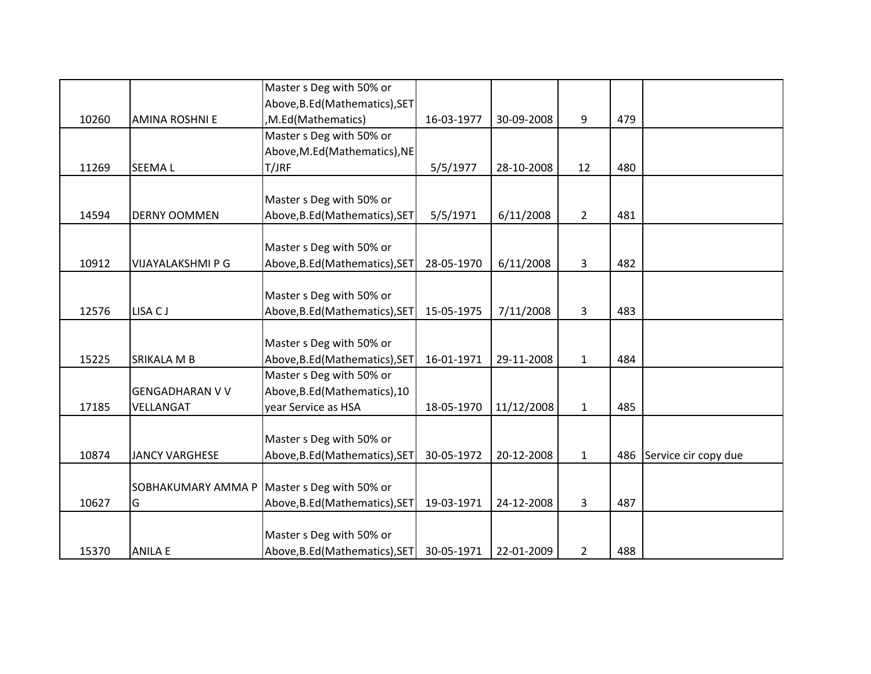|       |                        | Master s Deg with 50% or       |            |            |                |     |                      |
|-------|------------------------|--------------------------------|------------|------------|----------------|-----|----------------------|
|       |                        | Above, B.Ed (Mathematics), SET |            |            |                |     |                      |
| 10260 | <b>AMINA ROSHNI E</b>  | ,M.Ed(Mathematics)             | 16-03-1977 | 30-09-2008 | 9              | 479 |                      |
|       |                        | Master s Deg with 50% or       |            |            |                |     |                      |
|       |                        | Above, M.Ed (Mathematics), NE  |            |            |                |     |                      |
| 11269 | <b>SEEMAL</b>          | T/JRF                          | 5/5/1977   | 28-10-2008 | 12             | 480 |                      |
|       |                        |                                |            |            |                |     |                      |
|       |                        | Master s Deg with 50% or       |            |            |                |     |                      |
| 14594 | <b>DERNY OOMMEN</b>    | Above, B.Ed (Mathematics), SET | 5/5/1971   | 6/11/2008  | $\overline{2}$ | 481 |                      |
|       |                        |                                |            |            |                |     |                      |
|       |                        | Master s Deg with 50% or       |            |            |                |     |                      |
| 10912 | VIJAYALAKSHMI P G      | Above, B.Ed (Mathematics), SET | 28-05-1970 | 6/11/2008  | 3              | 482 |                      |
|       |                        |                                |            |            |                |     |                      |
|       |                        | Master s Deg with 50% or       |            |            |                |     |                      |
| 12576 | LISA CJ                | Above, B.Ed (Mathematics), SET | 15-05-1975 | 7/11/2008  | 3              | 483 |                      |
|       |                        |                                |            |            |                |     |                      |
|       |                        | Master s Deg with 50% or       |            |            |                |     |                      |
| 15225 | SRIKALA M B            | Above, B.Ed (Mathematics), SET | 16-01-1971 | 29-11-2008 | $\mathbf{1}$   | 484 |                      |
|       |                        | Master s Deg with 50% or       |            |            |                |     |                      |
|       | <b>GENGADHARAN V V</b> | Above, B.Ed (Mathematics), 10  |            |            |                |     |                      |
| 17185 | VELLANGAT              | year Service as HSA            | 18-05-1970 | 11/12/2008 | $\mathbf 1$    | 485 |                      |
|       |                        |                                |            |            |                |     |                      |
|       |                        | Master s Deg with 50% or       |            |            |                |     |                      |
| 10874 | <b>JANCY VARGHESE</b>  | Above, B.Ed (Mathematics), SET | 30-05-1972 | 20-12-2008 | $\mathbf{1}$   | 486 | Service cir copy due |
|       |                        |                                |            |            |                |     |                      |
|       | SOBHAKUMARY AMMA P     | Master s Deg with 50% or       |            |            |                |     |                      |
| 10627 | G                      | Above, B.Ed (Mathematics), SET | 19-03-1971 | 24-12-2008 | 3              | 487 |                      |
|       |                        |                                |            |            |                |     |                      |
|       |                        | Master s Deg with 50% or       |            |            |                |     |                      |
| 15370 | <b>ANILA E</b>         | Above, B.Ed (Mathematics), SET | 30-05-1971 | 22-01-2009 | $\overline{2}$ | 488 |                      |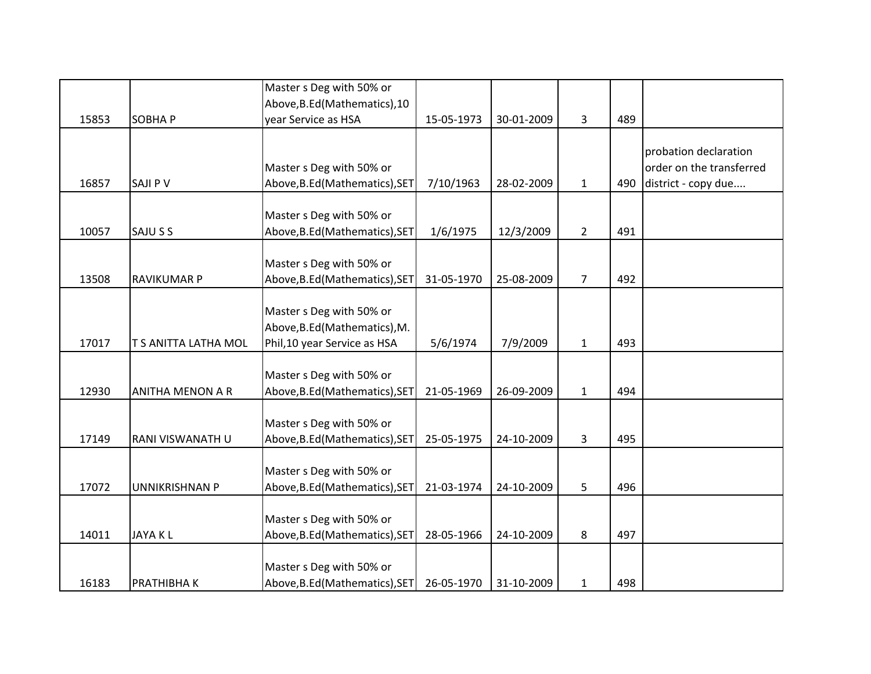|       |                         | Master s Deg with 50% or       |            |            |                |     |                          |
|-------|-------------------------|--------------------------------|------------|------------|----------------|-----|--------------------------|
|       |                         | Above, B.Ed (Mathematics), 10  |            |            |                |     |                          |
| 15853 | <b>SOBHAP</b>           | year Service as HSA            | 15-05-1973 | 30-01-2009 | 3              | 489 |                          |
|       |                         |                                |            |            |                |     |                          |
|       |                         |                                |            |            |                |     | probation declaration    |
|       |                         | Master s Deg with 50% or       |            |            |                |     | order on the transferred |
| 16857 | <b>SAJI P V</b>         | Above, B.Ed (Mathematics), SET | 7/10/1963  | 28-02-2009 | $\mathbf{1}$   | 490 | district - copy due      |
|       |                         |                                |            |            |                |     |                          |
|       |                         | Master s Deg with 50% or       |            |            |                |     |                          |
| 10057 | SAJU S S                | Above, B.Ed (Mathematics), SET | 1/6/1975   | 12/3/2009  | $\overline{2}$ | 491 |                          |
|       |                         |                                |            |            |                |     |                          |
|       |                         | Master s Deg with 50% or       |            |            |                |     |                          |
| 13508 | <b>RAVIKUMAR P</b>      | Above, B.Ed (Mathematics), SET | 31-05-1970 | 25-08-2009 | $\overline{7}$ | 492 |                          |
|       |                         |                                |            |            |                |     |                          |
|       |                         | Master s Deg with 50% or       |            |            |                |     |                          |
|       |                         | Above, B.Ed (Mathematics), M.  |            |            |                |     |                          |
| 17017 | T S ANITTA LATHA MOL    | Phil, 10 year Service as HSA   | 5/6/1974   | 7/9/2009   | $\mathbf{1}$   | 493 |                          |
|       |                         |                                |            |            |                |     |                          |
|       |                         | Master s Deg with 50% or       |            |            |                |     |                          |
| 12930 | <b>ANITHA MENON A R</b> | Above, B.Ed (Mathematics), SET | 21-05-1969 | 26-09-2009 | $\mathbf{1}$   | 494 |                          |
|       |                         |                                |            |            |                |     |                          |
|       |                         | Master s Deg with 50% or       |            |            |                |     |                          |
| 17149 | RANI VISWANATH U        | Above, B.Ed (Mathematics), SET | 25-05-1975 | 24-10-2009 | 3              | 495 |                          |
|       |                         |                                |            |            |                |     |                          |
|       |                         | Master s Deg with 50% or       |            |            |                |     |                          |
| 17072 | <b>UNNIKRISHNAN P</b>   | Above, B.Ed (Mathematics), SET | 21-03-1974 | 24-10-2009 | 5              | 496 |                          |
|       |                         |                                |            |            |                |     |                          |
|       |                         | Master s Deg with 50% or       |            |            |                |     |                          |
| 14011 | <b>JAYAKL</b>           | Above, B.Ed (Mathematics), SET | 28-05-1966 | 24-10-2009 | 8              | 497 |                          |
|       |                         |                                |            |            |                |     |                          |
|       |                         | Master s Deg with 50% or       |            |            |                |     |                          |
| 16183 | PRATHIBHA K             | Above, B.Ed (Mathematics), SET | 26-05-1970 | 31-10-2009 | $\mathbf{1}$   | 498 |                          |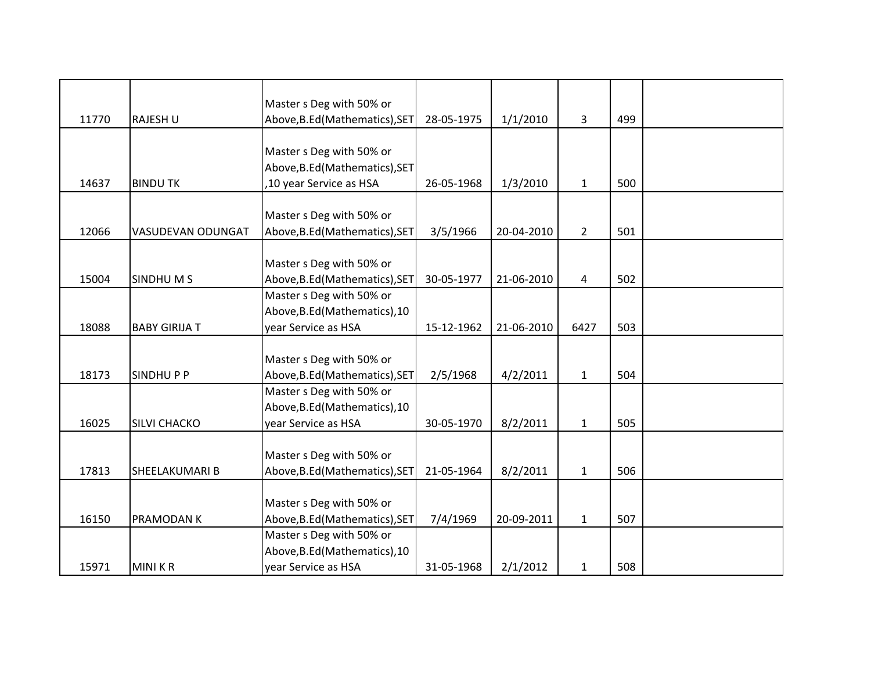|       |                      | Master s Deg with 50% or       |            |            |                |     |  |
|-------|----------------------|--------------------------------|------------|------------|----------------|-----|--|
| 11770 | RAJESH U             | Above, B.Ed (Mathematics), SET | 28-05-1975 | 1/1/2010   | 3              | 499 |  |
|       |                      |                                |            |            |                |     |  |
|       |                      | Master s Deg with 50% or       |            |            |                |     |  |
|       |                      | Above, B.Ed (Mathematics), SET |            |            |                |     |  |
| 14637 | <b>BINDU TK</b>      | ,10 year Service as HSA        | 26-05-1968 | 1/3/2010   | $\mathbf{1}$   | 500 |  |
|       |                      |                                |            |            |                |     |  |
|       |                      | Master s Deg with 50% or       |            |            |                |     |  |
| 12066 | VASUDEVAN ODUNGAT    | Above, B.Ed (Mathematics), SET | 3/5/1966   | 20-04-2010 | $\overline{2}$ | 501 |  |
|       |                      |                                |            |            |                |     |  |
|       |                      | Master s Deg with 50% or       |            |            |                |     |  |
| 15004 | SINDHUMS             | Above, B.Ed (Mathematics), SET | 30-05-1977 | 21-06-2010 | 4              | 502 |  |
|       |                      | Master s Deg with 50% or       |            |            |                |     |  |
|       |                      | Above, B.Ed (Mathematics), 10  |            |            |                |     |  |
| 18088 | <b>BABY GIRIJA T</b> | year Service as HSA            | 15-12-1962 | 21-06-2010 | 6427           | 503 |  |
|       |                      |                                |            |            |                |     |  |
|       |                      | Master s Deg with 50% or       |            |            |                |     |  |
| 18173 | <b>SINDHUPP</b>      | Above, B.Ed (Mathematics), SET | 2/5/1968   | 4/2/2011   | $\mathbf{1}$   | 504 |  |
|       |                      | Master s Deg with 50% or       |            |            |                |     |  |
|       |                      | Above, B.Ed (Mathematics), 10  |            |            |                |     |  |
| 16025 | <b>SILVI CHACKO</b>  | year Service as HSA            | 30-05-1970 | 8/2/2011   | $\mathbf{1}$   | 505 |  |
|       |                      |                                |            |            |                |     |  |
|       |                      | Master s Deg with 50% or       |            |            |                |     |  |
| 17813 | SHEELAKUMARI B       | Above, B.Ed (Mathematics), SET | 21-05-1964 | 8/2/2011   | $\mathbf{1}$   | 506 |  |
|       |                      |                                |            |            |                |     |  |
|       |                      | Master s Deg with 50% or       |            |            |                |     |  |
| 16150 | PRAMODAN K           | Above, B.Ed (Mathematics), SET | 7/4/1969   | 20-09-2011 | $\mathbf{1}$   | 507 |  |
|       |                      | Master s Deg with 50% or       |            |            |                |     |  |
|       |                      | Above, B.Ed (Mathematics), 10  |            |            |                |     |  |
| 15971 | <b>MINIKR</b>        | year Service as HSA            | 31-05-1968 | 2/1/2012   | $\mathbf{1}$   | 508 |  |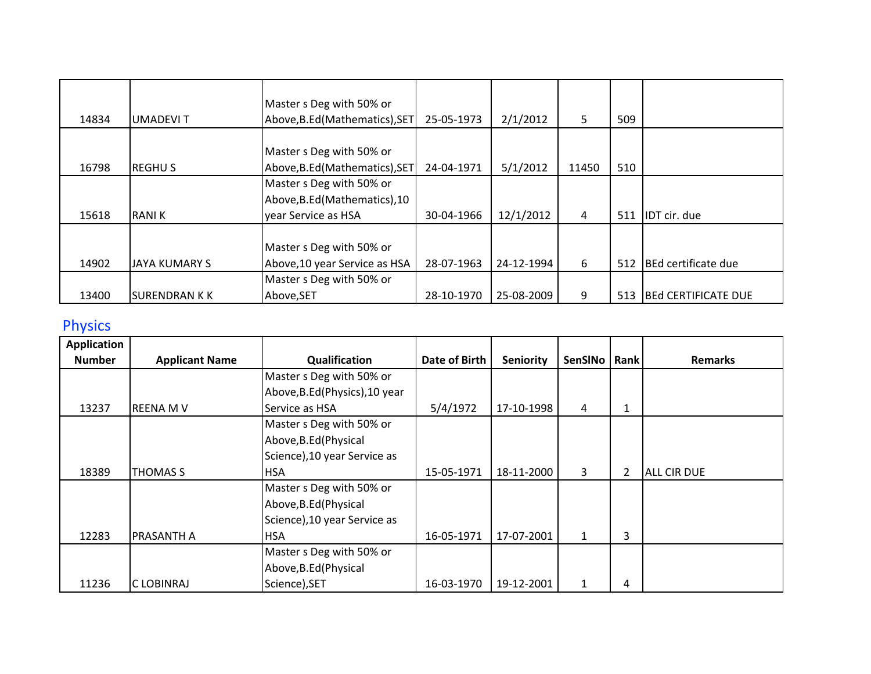| 14834 | <b>UMADEVIT</b>      | Master s Deg with 50% or<br>Above, B.Ed (Mathematics), SET | 25-05-1973 | 2/1/2012   | 5     | 509 |                            |
|-------|----------------------|------------------------------------------------------------|------------|------------|-------|-----|----------------------------|
|       |                      |                                                            |            |            |       |     |                            |
| 16798 | <b>REGHUS</b>        | Master s Deg with 50% or<br>Above, B.Ed (Mathematics), SET | 24-04-1971 | 5/1/2012   | 11450 | 510 |                            |
|       |                      | Master s Deg with 50% or                                   |            |            |       |     |                            |
|       |                      | Above, B.Ed (Mathematics), 10                              |            |            |       |     |                            |
| 15618 | <b>RANIK</b>         | year Service as HSA                                        | 30-04-1966 | 12/1/2012  | 4     | 511 | <b>IDT</b> cir. due        |
|       |                      |                                                            |            |            |       |     |                            |
|       |                      | Master s Deg with 50% or                                   |            |            |       |     |                            |
| 14902 | <b>JAYA KUMARY S</b> | Above, 10 year Service as HSA                              | 28-07-1963 | 24-12-1994 | 6     | 512 | BEd certificate due        |
|       |                      | Master s Deg with 50% or                                   |            |            |       |     |                            |
| 13400 | <b>SURENDRAN K K</b> | Above, SET                                                 | 28-10-1970 | 25-08-2009 | 9     | 513 | <b>BEd CERTIFICATE DUE</b> |

## Physics

| <b>Application</b> |                       |                                |               |                  |              |      |                    |
|--------------------|-----------------------|--------------------------------|---------------|------------------|--------------|------|--------------------|
| <b>Number</b>      | <b>Applicant Name</b> | Qualification                  | Date of Birth | <b>Seniority</b> | SenSINo      | Rank | <b>Remarks</b>     |
|                    |                       | Master s Deg with 50% or       |               |                  |              |      |                    |
|                    |                       | Above, B.Ed (Physics), 10 year |               |                  |              |      |                    |
| 13237              | <b>REENA MV</b>       | Service as HSA                 | 5/4/1972      | 17-10-1998       | 4            | 1    |                    |
|                    |                       | Master s Deg with 50% or       |               |                  |              |      |                    |
|                    |                       | Above, B.Ed (Physical          |               |                  |              |      |                    |
|                    |                       | Science), 10 year Service as   |               |                  |              |      |                    |
| 18389              | THOMAS S              | <b>HSA</b>                     | 15-05-1971    | 18-11-2000       | 3            | 2    | <b>ALL CIR DUE</b> |
|                    |                       | Master s Deg with 50% or       |               |                  |              |      |                    |
|                    |                       | Above, B.Ed (Physical          |               |                  |              |      |                    |
|                    |                       | Science), 10 year Service as   |               |                  |              |      |                    |
| 12283              | <b>PRASANTH A</b>     | <b>HSA</b>                     | 16-05-1971    | 17-07-2001       | $\mathbf{1}$ | 3    |                    |
|                    |                       | Master s Deg with 50% or       |               |                  |              |      |                    |
|                    |                       | Above, B.Ed (Physical          |               |                  |              |      |                    |
| 11236              | C LOBINRAJ            | Science), SET                  | 16-03-1970    | 19-12-2001       | $\mathbf{1}$ | 4    |                    |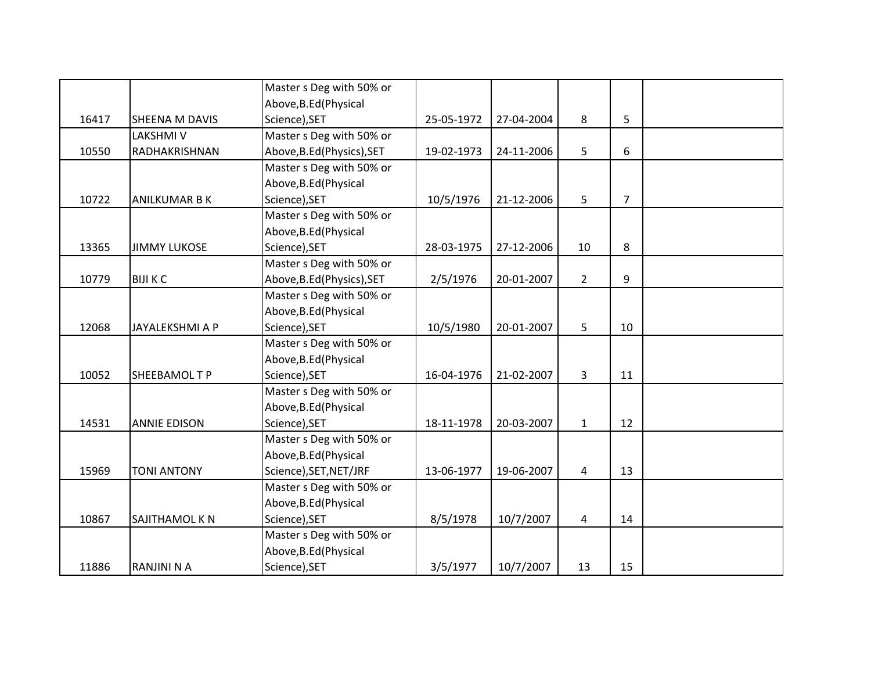|       |                      | Master s Deg with 50% or   |            |            |                |                |  |
|-------|----------------------|----------------------------|------------|------------|----------------|----------------|--|
|       |                      | Above, B.Ed (Physical      |            |            |                |                |  |
| 16417 | SHEENA M DAVIS       | Science), SET              | 25-05-1972 | 27-04-2004 | 8              | 5              |  |
|       | <b>LAKSHMIV</b>      | Master s Deg with 50% or   |            |            |                |                |  |
| 10550 | RADHAKRISHNAN        | Above, B.Ed (Physics), SET | 19-02-1973 | 24-11-2006 | 5              | 6              |  |
|       |                      | Master s Deg with 50% or   |            |            |                |                |  |
|       |                      | Above, B.Ed (Physical      |            |            |                |                |  |
| 10722 | <b>ANILKUMAR B K</b> | Science), SET              | 10/5/1976  | 21-12-2006 | 5              | $\overline{7}$ |  |
|       |                      | Master s Deg with 50% or   |            |            |                |                |  |
|       |                      | Above, B.Ed (Physical      |            |            |                |                |  |
| 13365 | <b>JIMMY LUKOSE</b>  | Science), SET              | 28-03-1975 | 27-12-2006 | 10             | 8              |  |
|       |                      | Master s Deg with 50% or   |            |            |                |                |  |
| 10779 | <b>BIJI K C</b>      | Above, B.Ed (Physics), SET | 2/5/1976   | 20-01-2007 | $2^{\circ}$    | 9              |  |
|       |                      | Master s Deg with 50% or   |            |            |                |                |  |
|       |                      | Above, B.Ed (Physical      |            |            |                |                |  |
| 12068 | JAYALEKSHMI A P      | Science), SET              | 10/5/1980  | 20-01-2007 | 5              | 10             |  |
|       |                      | Master s Deg with 50% or   |            |            |                |                |  |
|       |                      | Above, B.Ed (Physical      |            |            |                |                |  |
| 10052 | SHEEBAMOL T P        | Science), SET              | 16-04-1976 | 21-02-2007 | $\overline{3}$ | 11             |  |
|       |                      | Master s Deg with 50% or   |            |            |                |                |  |
|       |                      | Above, B.Ed (Physical      |            |            |                |                |  |
| 14531 | <b>ANNIE EDISON</b>  | Science), SET              | 18-11-1978 | 20-03-2007 | $\mathbf{1}$   | 12             |  |
|       |                      | Master s Deg with 50% or   |            |            |                |                |  |
|       |                      | Above, B.Ed (Physical      |            |            |                |                |  |
| 15969 | <b>TONI ANTONY</b>   | Science), SET, NET/JRF     | 13-06-1977 | 19-06-2007 | $\overline{4}$ | 13             |  |
|       |                      | Master s Deg with 50% or   |            |            |                |                |  |
|       |                      | Above, B.Ed (Physical      |            |            |                |                |  |
| 10867 | SAJITHAMOL K N       | Science), SET              | 8/5/1978   | 10/7/2007  | 4              | 14             |  |
|       |                      | Master s Deg with 50% or   |            |            |                |                |  |
|       |                      | Above, B.Ed (Physical      |            |            |                |                |  |
| 11886 | <b>RANJINI N A</b>   | Science), SET              | 3/5/1977   | 10/7/2007  | 13             | 15             |  |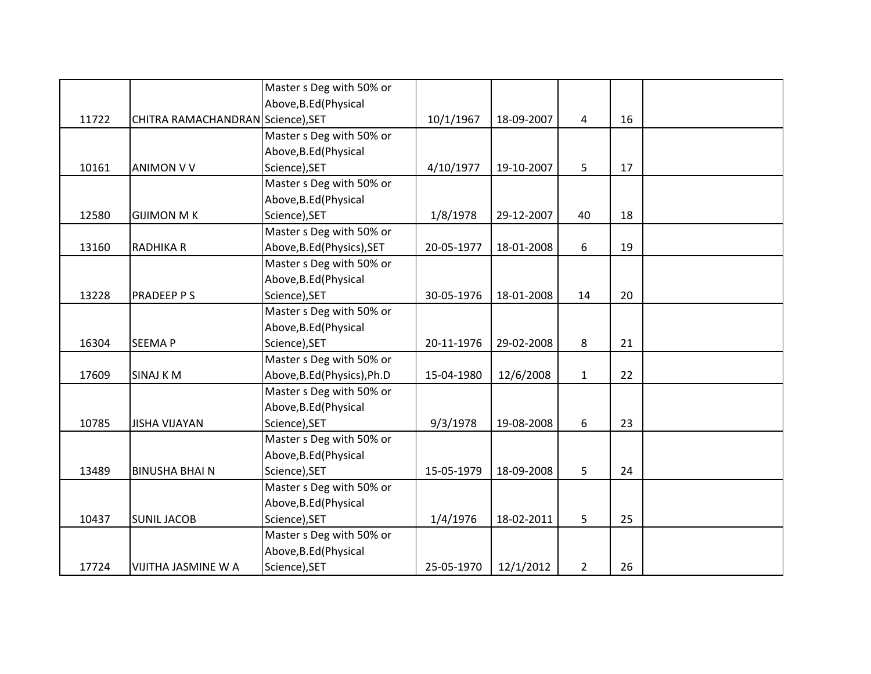|       |                                   | Master s Deg with 50% or    |            |            |                |    |  |
|-------|-----------------------------------|-----------------------------|------------|------------|----------------|----|--|
|       |                                   | Above, B.Ed (Physical       |            |            |                |    |  |
| 11722 | CHITRA RAMACHANDRAN Science), SET |                             | 10/1/1967  | 18-09-2007 | 4              | 16 |  |
|       |                                   | Master s Deg with 50% or    |            |            |                |    |  |
|       |                                   | Above, B.Ed (Physical       |            |            |                |    |  |
| 10161 | <b>ANIMON V V</b>                 | Science), SET               | 4/10/1977  | 19-10-2007 | 5              | 17 |  |
|       |                                   | Master s Deg with 50% or    |            |            |                |    |  |
|       |                                   | Above, B.Ed (Physical       |            |            |                |    |  |
| 12580 | <b>GIJIMON M K</b>                | Science), SET               | 1/8/1978   | 29-12-2007 | 40             | 18 |  |
|       |                                   | Master s Deg with 50% or    |            |            |                |    |  |
| 13160 | <b>RADHIKA R</b>                  | Above, B.Ed (Physics), SET  | 20-05-1977 | 18-01-2008 | 6              | 19 |  |
|       |                                   | Master s Deg with 50% or    |            |            |                |    |  |
|       |                                   | Above, B.Ed (Physical       |            |            |                |    |  |
| 13228 | <b>PRADEEP P S</b>                | Science), SET               | 30-05-1976 | 18-01-2008 | 14             | 20 |  |
|       |                                   | Master s Deg with 50% or    |            |            |                |    |  |
|       |                                   | Above, B.Ed (Physical       |            |            |                |    |  |
| 16304 | <b>SEEMAP</b>                     | Science), SET               | 20-11-1976 | 29-02-2008 | 8              | 21 |  |
|       |                                   | Master s Deg with 50% or    |            |            |                |    |  |
| 17609 | <b>SINAJ KM</b>                   | Above, B.Ed (Physics), Ph.D | 15-04-1980 | 12/6/2008  | $\mathbf{1}$   | 22 |  |
|       |                                   | Master s Deg with 50% or    |            |            |                |    |  |
|       |                                   | Above, B.Ed (Physical       |            |            |                |    |  |
| 10785 | <b>JISHA VIJAYAN</b>              | Science), SET               | 9/3/1978   | 19-08-2008 | 6              | 23 |  |
|       |                                   | Master s Deg with 50% or    |            |            |                |    |  |
|       |                                   | Above, B.Ed (Physical       |            |            |                |    |  |
| 13489 | <b>BINUSHA BHAI N</b>             | Science), SET               | 15-05-1979 | 18-09-2008 | 5              | 24 |  |
|       |                                   | Master s Deg with 50% or    |            |            |                |    |  |
|       |                                   | Above, B.Ed (Physical       |            |            |                |    |  |
| 10437 | <b>SUNIL JACOB</b>                | Science), SET               | 1/4/1976   | 18-02-2011 | 5              | 25 |  |
|       |                                   | Master s Deg with 50% or    |            |            |                |    |  |
|       |                                   | Above, B.Ed (Physical       |            |            |                |    |  |
| 17724 | VIJITHA JASMINE W A               | Science), SET               | 25-05-1970 | 12/1/2012  | $\overline{2}$ | 26 |  |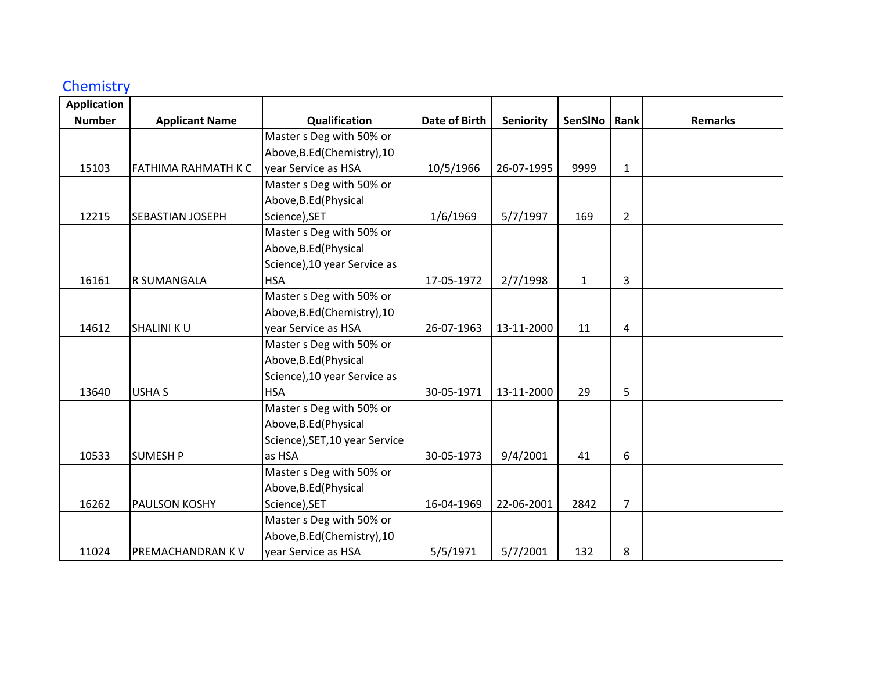## **Chemistry**

| <b>Application</b> |                            |                                |                      |            |              |                |                |
|--------------------|----------------------------|--------------------------------|----------------------|------------|--------------|----------------|----------------|
| <b>Number</b>      | <b>Applicant Name</b>      | Qualification                  | <b>Date of Birth</b> | Seniority  | SenSINo      | Rank           | <b>Remarks</b> |
|                    |                            | Master s Deg with 50% or       |                      |            |              |                |                |
|                    |                            | Above, B.Ed (Chemistry), 10    |                      |            |              |                |                |
| 15103              | <b>FATHIMA RAHMATH K C</b> | year Service as HSA            | 10/5/1966            | 26-07-1995 | 9999         | $\mathbf{1}$   |                |
|                    |                            | Master s Deg with 50% or       |                      |            |              |                |                |
|                    |                            | Above, B.Ed (Physical          |                      |            |              |                |                |
| 12215              | <b>SEBASTIAN JOSEPH</b>    | Science), SET                  | 1/6/1969             | 5/7/1997   | 169          | $\overline{2}$ |                |
|                    |                            | Master s Deg with 50% or       |                      |            |              |                |                |
|                    |                            | Above, B.Ed (Physical          |                      |            |              |                |                |
|                    |                            | Science), 10 year Service as   |                      |            |              |                |                |
| 16161              | R SUMANGALA                | <b>HSA</b>                     | 17-05-1972           | 2/7/1998   | $\mathbf{1}$ | 3              |                |
|                    |                            | Master s Deg with 50% or       |                      |            |              |                |                |
|                    |                            | Above, B.Ed (Chemistry), 10    |                      |            |              |                |                |
| 14612              | <b>SHALINI KU</b>          | year Service as HSA            | 26-07-1963           | 13-11-2000 | 11           | 4              |                |
|                    |                            | Master s Deg with 50% or       |                      |            |              |                |                |
|                    |                            | Above, B.Ed (Physical          |                      |            |              |                |                |
|                    |                            | Science), 10 year Service as   |                      |            |              |                |                |
| 13640              | <b>USHA S</b>              | <b>HSA</b>                     | 30-05-1971           | 13-11-2000 | 29           | 5              |                |
|                    |                            | Master s Deg with 50% or       |                      |            |              |                |                |
|                    |                            | Above, B.Ed (Physical          |                      |            |              |                |                |
|                    |                            | Science), SET, 10 year Service |                      |            |              |                |                |
| 10533              | <b>SUMESH P</b>            | as HSA                         | 30-05-1973           | 9/4/2001   | 41           | 6              |                |
|                    |                            | Master s Deg with 50% or       |                      |            |              |                |                |
|                    |                            | Above, B.Ed (Physical          |                      |            |              |                |                |
| 16262              | <b>PAULSON KOSHY</b>       | Science), SET                  | 16-04-1969           | 22-06-2001 | 2842         | $\overline{7}$ |                |
|                    |                            | Master s Deg with 50% or       |                      |            |              |                |                |
|                    |                            | Above, B.Ed (Chemistry), 10    |                      |            |              |                |                |
| 11024              | PREMACHANDRAN K V          | year Service as HSA            | 5/5/1971             | 5/7/2001   | 132          | 8              |                |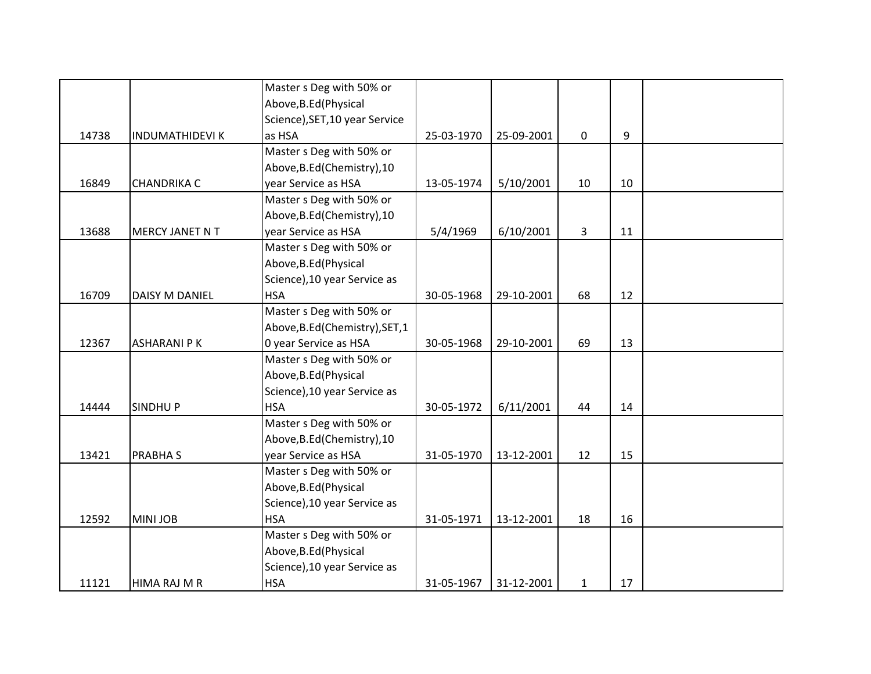|       |                       | Master s Deg with 50% or        |            |            |              |    |  |
|-------|-----------------------|---------------------------------|------------|------------|--------------|----|--|
|       |                       | Above, B.Ed (Physical           |            |            |              |    |  |
|       |                       | Science), SET, 10 year Service  |            |            |              |    |  |
| 14738 | <b>INDUMATHIDEVIK</b> | as HSA                          | 25-03-1970 | 25-09-2001 | 0            | 9  |  |
|       |                       | Master s Deg with 50% or        |            |            |              |    |  |
|       |                       | Above, B.Ed (Chemistry), 10     |            |            |              |    |  |
| 16849 | <b>CHANDRIKA C</b>    | year Service as HSA             | 13-05-1974 | 5/10/2001  | 10           | 10 |  |
|       |                       | Master s Deg with 50% or        |            |            |              |    |  |
|       |                       | Above, B.Ed (Chemistry), 10     |            |            |              |    |  |
| 13688 | MERCY JANET N T       | year Service as HSA             | 5/4/1969   | 6/10/2001  | 3            | 11 |  |
|       |                       | Master s Deg with 50% or        |            |            |              |    |  |
|       |                       | Above, B.Ed (Physical           |            |            |              |    |  |
|       |                       | Science), 10 year Service as    |            |            |              |    |  |
| 16709 | DAISY M DANIEL        | <b>HSA</b>                      | 30-05-1968 | 29-10-2001 | 68           | 12 |  |
|       |                       | Master s Deg with 50% or        |            |            |              |    |  |
|       |                       | Above, B.Ed (Chemistry), SET, 1 |            |            |              |    |  |
| 12367 | <b>ASHARANI PK</b>    | 0 year Service as HSA           | 30-05-1968 | 29-10-2001 | 69           | 13 |  |
|       |                       | Master s Deg with 50% or        |            |            |              |    |  |
|       |                       | Above, B.Ed (Physical           |            |            |              |    |  |
|       |                       | Science), 10 year Service as    |            |            |              |    |  |
| 14444 | <b>SINDHUP</b>        | <b>HSA</b>                      | 30-05-1972 | 6/11/2001  | 44           | 14 |  |
|       |                       | Master s Deg with 50% or        |            |            |              |    |  |
|       |                       | Above, B.Ed (Chemistry), 10     |            |            |              |    |  |
| 13421 | <b>PRABHAS</b>        | year Service as HSA             | 31-05-1970 | 13-12-2001 | 12           | 15 |  |
|       |                       | Master s Deg with 50% or        |            |            |              |    |  |
|       |                       | Above, B.Ed (Physical           |            |            |              |    |  |
|       |                       | Science), 10 year Service as    |            |            |              |    |  |
| 12592 | <b>MINI JOB</b>       | <b>HSA</b>                      | 31-05-1971 | 13-12-2001 | 18           | 16 |  |
|       |                       | Master s Deg with 50% or        |            |            |              |    |  |
|       |                       | Above, B.Ed (Physical           |            |            |              |    |  |
|       |                       | Science), 10 year Service as    |            |            |              |    |  |
| 11121 | HIMA RAJ M R          | <b>HSA</b>                      | 31-05-1967 | 31-12-2001 | $\mathbf{1}$ | 17 |  |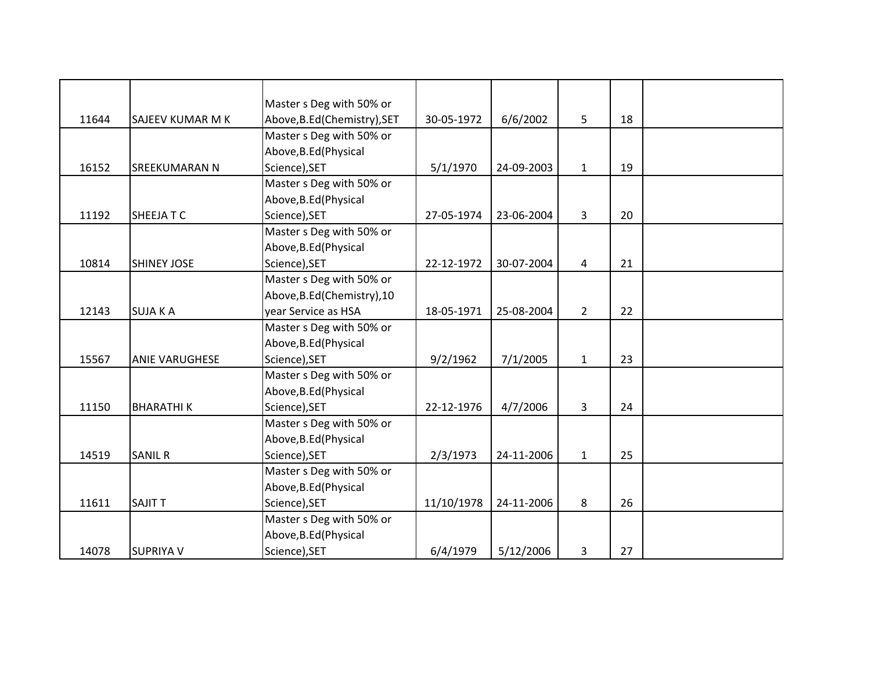|       |                       | Master s Deg with 50% or     |            |            |                |    |  |
|-------|-----------------------|------------------------------|------------|------------|----------------|----|--|
| 11644 | SAJEEV KUMAR M K      | Above, B.Ed (Chemistry), SET | 30-05-1972 | 6/6/2002   | 5              | 18 |  |
|       |                       | Master s Deg with 50% or     |            |            |                |    |  |
|       |                       | Above, B.Ed (Physical        |            |            |                |    |  |
| 16152 | <b>SREEKUMARAN N</b>  | Science), SET                | 5/1/1970   | 24-09-2003 | $\mathbf{1}$   | 19 |  |
|       |                       | Master s Deg with 50% or     |            |            |                |    |  |
|       |                       | Above, B.Ed (Physical        |            |            |                |    |  |
| 11192 | SHEEJA T C            | Science), SET                | 27-05-1974 | 23-06-2004 | 3              | 20 |  |
|       |                       | Master s Deg with 50% or     |            |            |                |    |  |
|       |                       | Above, B.Ed (Physical        |            |            |                |    |  |
| 10814 | <b>SHINEY JOSE</b>    | Science), SET                | 22-12-1972 | 30-07-2004 | 4              | 21 |  |
|       |                       | Master s Deg with 50% or     |            |            |                |    |  |
|       |                       | Above, B.Ed (Chemistry), 10  |            |            |                |    |  |
| 12143 | <b>SUJAKA</b>         | year Service as HSA          | 18-05-1971 | 25-08-2004 | $\overline{2}$ | 22 |  |
|       |                       | Master s Deg with 50% or     |            |            |                |    |  |
|       |                       | Above, B.Ed (Physical        |            |            |                |    |  |
| 15567 | <b>ANIE VARUGHESE</b> | Science), SET                | 9/2/1962   | 7/1/2005   | $\mathbf{1}$   | 23 |  |
|       |                       | Master s Deg with 50% or     |            |            |                |    |  |
|       |                       | Above, B.Ed (Physical        |            |            |                |    |  |
| 11150 | <b>BHARATHIK</b>      | Science), SET                | 22-12-1976 | 4/7/2006   | 3              | 24 |  |
|       |                       | Master s Deg with 50% or     |            |            |                |    |  |
|       |                       | Above, B.Ed (Physical        |            |            |                |    |  |
| 14519 | <b>SANIL R</b>        | Science), SET                | 2/3/1973   | 24-11-2006 | $\mathbf{1}$   | 25 |  |
|       |                       | Master s Deg with 50% or     |            |            |                |    |  |
|       |                       | Above, B.Ed (Physical        |            |            |                |    |  |
| 11611 | <b>SAJIT T</b>        | Science), SET                | 11/10/1978 | 24-11-2006 | 8              | 26 |  |
|       |                       | Master s Deg with 50% or     |            |            |                |    |  |
|       |                       | Above, B.Ed (Physical        |            |            |                |    |  |
| 14078 | <b>SUPRIYA V</b>      | Science), SET                | 6/4/1979   | 5/12/2006  | 3              | 27 |  |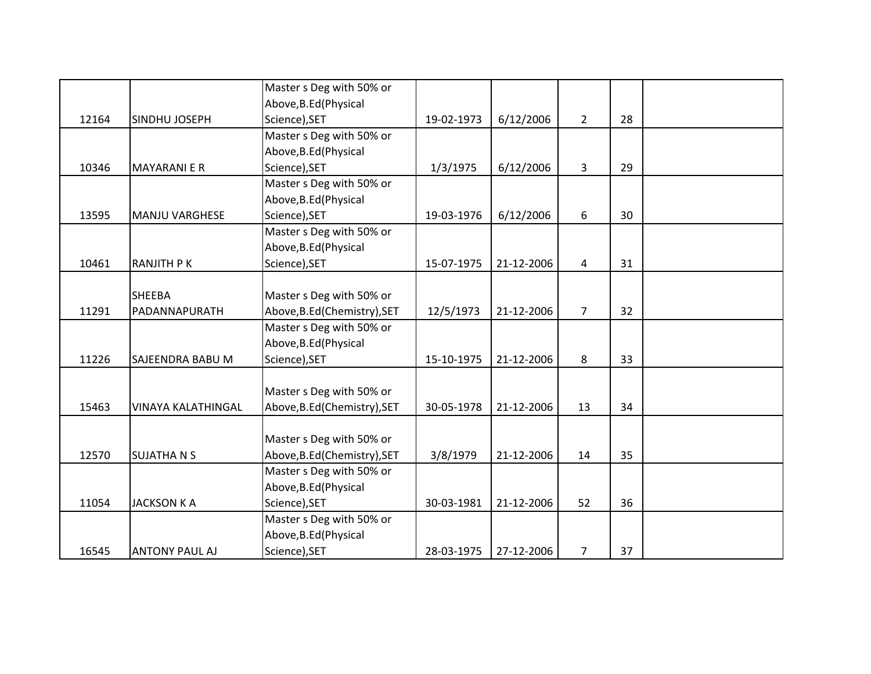|       |                           | Master s Deg with 50% or     |            |            |                |    |  |
|-------|---------------------------|------------------------------|------------|------------|----------------|----|--|
|       |                           | Above, B.Ed (Physical        |            |            |                |    |  |
| 12164 | SINDHU JOSEPH             | Science), SET                | 19-02-1973 | 6/12/2006  | $\overline{2}$ | 28 |  |
|       |                           | Master s Deg with 50% or     |            |            |                |    |  |
|       |                           | Above, B.Ed (Physical        |            |            |                |    |  |
| 10346 | <b>MAYARANIER</b>         | Science), SET                | 1/3/1975   | 6/12/2006  | 3              | 29 |  |
|       |                           | Master s Deg with 50% or     |            |            |                |    |  |
|       |                           | Above, B.Ed (Physical        |            |            |                |    |  |
| 13595 | <b>MANJU VARGHESE</b>     | Science), SET                | 19-03-1976 | 6/12/2006  | 6              | 30 |  |
|       |                           | Master s Deg with 50% or     |            |            |                |    |  |
|       |                           | Above, B.Ed (Physical        |            |            |                |    |  |
| 10461 | <b>RANJITH PK</b>         | Science), SET                | 15-07-1975 | 21-12-2006 | 4              | 31 |  |
|       |                           |                              |            |            |                |    |  |
|       | <b>SHEEBA</b>             | Master s Deg with 50% or     |            |            |                |    |  |
| 11291 | PADANNAPURATH             | Above, B.Ed (Chemistry), SET | 12/5/1973  | 21-12-2006 | $\overline{7}$ | 32 |  |
|       |                           | Master s Deg with 50% or     |            |            |                |    |  |
|       |                           | Above, B.Ed (Physical        |            |            |                |    |  |
| 11226 | <b>SAJEENDRA BABU M</b>   | Science), SET                | 15-10-1975 | 21-12-2006 | 8              | 33 |  |
|       |                           |                              |            |            |                |    |  |
|       |                           | Master s Deg with 50% or     |            |            |                |    |  |
| 15463 | <b>VINAYA KALATHINGAL</b> | Above, B.Ed (Chemistry), SET | 30-05-1978 | 21-12-2006 | 13             | 34 |  |
|       |                           |                              |            |            |                |    |  |
|       |                           | Master s Deg with 50% or     |            |            |                |    |  |
| 12570 | <b>SUJATHANS</b>          | Above, B.Ed (Chemistry), SET | 3/8/1979   | 21-12-2006 | 14             | 35 |  |
|       |                           | Master s Deg with 50% or     |            |            |                |    |  |
|       |                           | Above, B.Ed (Physical        |            |            |                |    |  |
| 11054 | <b>JACKSON K A</b>        | Science), SET                | 30-03-1981 | 21-12-2006 | 52             | 36 |  |
|       |                           | Master s Deg with 50% or     |            |            |                |    |  |
|       |                           | Above, B.Ed (Physical        |            |            |                |    |  |
| 16545 | <b>ANTONY PAUL AJ</b>     | Science), SET                | 28-03-1975 | 27-12-2006 | 7              | 37 |  |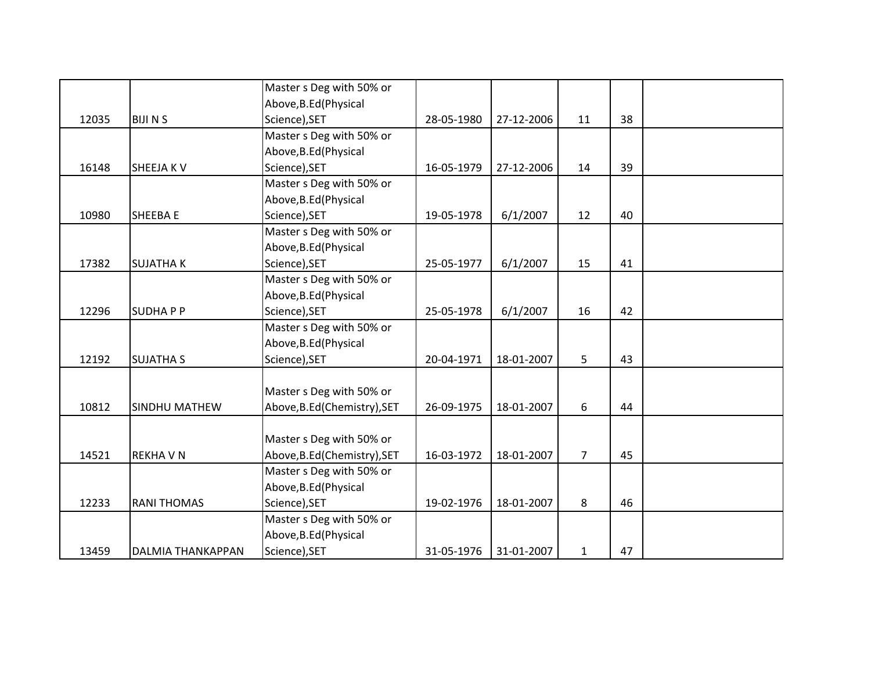|       |                          | Master s Deg with 50% or     |            |            |                |    |  |
|-------|--------------------------|------------------------------|------------|------------|----------------|----|--|
|       |                          | Above, B.Ed (Physical        |            |            |                |    |  |
| 12035 | <b>BIJINS</b>            | Science), SET                | 28-05-1980 | 27-12-2006 | 11             | 38 |  |
|       |                          | Master s Deg with 50% or     |            |            |                |    |  |
|       |                          | Above, B.Ed (Physical        |            |            |                |    |  |
| 16148 | <b>SHEEJAKV</b>          | Science), SET                | 16-05-1979 | 27-12-2006 | 14             | 39 |  |
|       |                          | Master s Deg with 50% or     |            |            |                |    |  |
|       |                          | Above, B.Ed (Physical        |            |            |                |    |  |
| 10980 | SHEEBA E                 | Science), SET                | 19-05-1978 | 6/1/2007   | 12             | 40 |  |
|       |                          | Master s Deg with 50% or     |            |            |                |    |  |
|       |                          | Above, B.Ed (Physical        |            |            |                |    |  |
| 17382 | <b>SUJATHAK</b>          | Science), SET                | 25-05-1977 | 6/1/2007   | 15             | 41 |  |
|       |                          | Master s Deg with 50% or     |            |            |                |    |  |
|       |                          | Above, B.Ed (Physical        |            |            |                |    |  |
| 12296 | <b>SUDHAPP</b>           | Science), SET                | 25-05-1978 | 6/1/2007   | 16             | 42 |  |
|       |                          | Master s Deg with 50% or     |            |            |                |    |  |
|       |                          | Above, B.Ed (Physical        |            |            |                |    |  |
| 12192 | <b>SUJATHA S</b>         | Science), SET                | 20-04-1971 | 18-01-2007 | 5              | 43 |  |
|       |                          |                              |            |            |                |    |  |
|       |                          | Master s Deg with 50% or     |            |            |                |    |  |
| 10812 | SINDHU MATHEW            | Above, B.Ed(Chemistry), SET  | 26-09-1975 | 18-01-2007 | 6              | 44 |  |
|       |                          |                              |            |            |                |    |  |
|       |                          | Master s Deg with 50% or     |            |            |                |    |  |
| 14521 | <b>REKHAVN</b>           | Above, B.Ed (Chemistry), SET | 16-03-1972 | 18-01-2007 | $\overline{7}$ | 45 |  |
|       |                          | Master s Deg with 50% or     |            |            |                |    |  |
|       |                          | Above, B.Ed (Physical        |            |            |                |    |  |
| 12233 | <b>RANI THOMAS</b>       | Science), SET                | 19-02-1976 | 18-01-2007 | 8              | 46 |  |
|       |                          | Master s Deg with 50% or     |            |            |                |    |  |
|       |                          | Above, B.Ed (Physical        |            |            |                |    |  |
| 13459 | <b>DALMIA THANKAPPAN</b> | Science), SET                | 31-05-1976 | 31-01-2007 | $\mathbf{1}$   | 47 |  |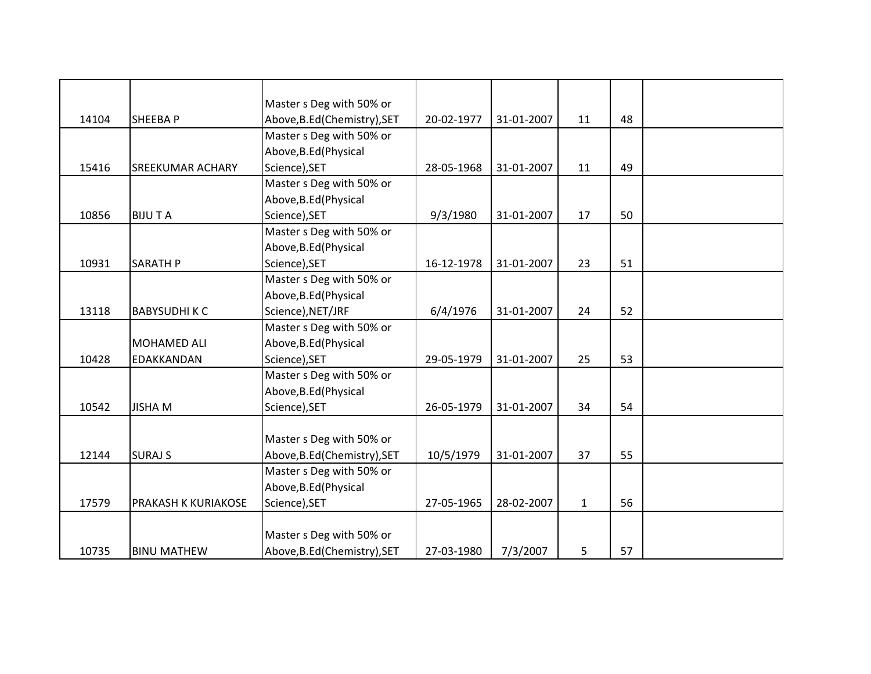|       |                         | Master s Deg with 50% or     |            |            |              |    |  |
|-------|-------------------------|------------------------------|------------|------------|--------------|----|--|
| 14104 | <b>SHEEBAP</b>          | Above, B.Ed (Chemistry), SET | 20-02-1977 | 31-01-2007 | 11           | 48 |  |
|       |                         | Master s Deg with 50% or     |            |            |              |    |  |
|       |                         | Above, B.Ed (Physical        |            |            |              |    |  |
| 15416 | <b>SREEKUMAR ACHARY</b> | Science), SET                | 28-05-1968 | 31-01-2007 | 11           | 49 |  |
|       |                         | Master s Deg with 50% or     |            |            |              |    |  |
|       |                         | Above, B.Ed (Physical        |            |            |              |    |  |
| 10856 | <b>BIJUTA</b>           | Science), SET                | 9/3/1980   | 31-01-2007 | 17           | 50 |  |
|       |                         | Master s Deg with 50% or     |            |            |              |    |  |
|       |                         | Above, B.Ed (Physical        |            |            |              |    |  |
| 10931 | <b>SARATH P</b>         | Science), SET                | 16-12-1978 | 31-01-2007 | 23           | 51 |  |
|       |                         | Master s Deg with 50% or     |            |            |              |    |  |
|       |                         | Above, B.Ed (Physical        |            |            |              |    |  |
| 13118 | <b>BABYSUDHIKC</b>      | Science), NET/JRF            | 6/4/1976   | 31-01-2007 | 24           | 52 |  |
|       |                         | Master s Deg with 50% or     |            |            |              |    |  |
|       | MOHAMED ALI             | Above, B.Ed (Physical        |            |            |              |    |  |
| 10428 | EDAKKANDAN              | Science), SET                | 29-05-1979 | 31-01-2007 | 25           | 53 |  |
|       |                         | Master s Deg with 50% or     |            |            |              |    |  |
|       |                         | Above, B.Ed (Physical        |            |            |              |    |  |
| 10542 | <b>JISHA M</b>          | Science), SET                | 26-05-1979 | 31-01-2007 | 34           | 54 |  |
|       |                         |                              |            |            |              |    |  |
|       |                         | Master s Deg with 50% or     |            |            |              |    |  |
| 12144 | <b>SURAJ S</b>          | Above, B.Ed (Chemistry), SET | 10/5/1979  | 31-01-2007 | 37           | 55 |  |
|       |                         | Master s Deg with 50% or     |            |            |              |    |  |
|       |                         | Above, B.Ed (Physical        |            |            |              |    |  |
| 17579 | PRAKASH K KURIAKOSE     | Science), SET                | 27-05-1965 | 28-02-2007 | $\mathbf{1}$ | 56 |  |
|       |                         |                              |            |            |              |    |  |
|       |                         | Master s Deg with 50% or     |            |            |              |    |  |
| 10735 | <b>BINU MATHEW</b>      | Above, B.Ed (Chemistry), SET | 27-03-1980 | 7/3/2007   | 5            | 57 |  |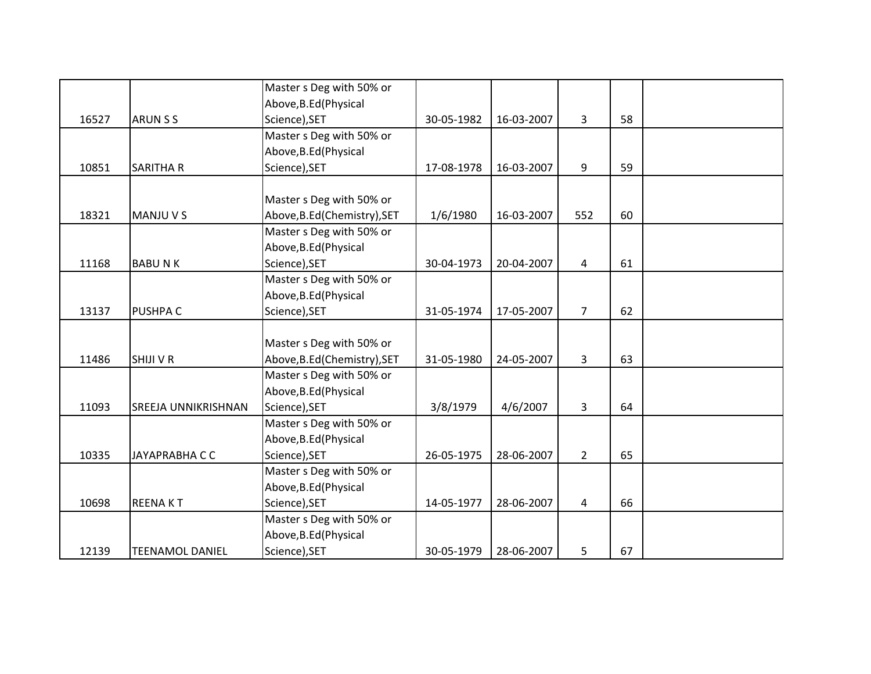|       |                        | Master s Deg with 50% or     |            |            |                |    |  |
|-------|------------------------|------------------------------|------------|------------|----------------|----|--|
|       |                        | Above, B.Ed (Physical        |            |            |                |    |  |
| 16527 | <b>ARUN S S</b>        | Science), SET                | 30-05-1982 | 16-03-2007 | $\overline{3}$ | 58 |  |
|       |                        | Master s Deg with 50% or     |            |            |                |    |  |
|       |                        | Above, B.Ed (Physical        |            |            |                |    |  |
| 10851 | <b>SARITHA R</b>       | Science), SET                | 17-08-1978 | 16-03-2007 | 9              | 59 |  |
|       |                        |                              |            |            |                |    |  |
|       |                        | Master s Deg with 50% or     |            |            |                |    |  |
| 18321 | <b>MANJU V S</b>       | Above, B.Ed (Chemistry), SET | 1/6/1980   | 16-03-2007 | 552            | 60 |  |
|       |                        | Master s Deg with 50% or     |            |            |                |    |  |
|       |                        | Above, B.Ed (Physical        |            |            |                |    |  |
| 11168 | <b>BABUNK</b>          | Science), SET                | 30-04-1973 | 20-04-2007 | 4              | 61 |  |
|       |                        | Master s Deg with 50% or     |            |            |                |    |  |
|       |                        | Above, B.Ed (Physical        |            |            |                |    |  |
| 13137 | PUSHPA C               | Science), SET                | 31-05-1974 | 17-05-2007 | $\overline{7}$ | 62 |  |
|       |                        |                              |            |            |                |    |  |
|       |                        | Master s Deg with 50% or     |            |            |                |    |  |
| 11486 | <b>SHIJI V R</b>       | Above, B.Ed (Chemistry), SET | 31-05-1980 | 24-05-2007 | 3              | 63 |  |
|       |                        | Master s Deg with 50% or     |            |            |                |    |  |
|       |                        | Above, B.Ed (Physical        |            |            |                |    |  |
| 11093 | SREEJA UNNIKRISHNAN    | Science), SET                | 3/8/1979   | 4/6/2007   | 3              | 64 |  |
|       |                        | Master s Deg with 50% or     |            |            |                |    |  |
|       |                        | Above, B.Ed (Physical        |            |            |                |    |  |
| 10335 | <b>JAYAPRABHA C C</b>  | Science), SET                | 26-05-1975 | 28-06-2007 | $2^{\circ}$    | 65 |  |
|       |                        | Master s Deg with 50% or     |            |            |                |    |  |
|       |                        | Above, B.Ed (Physical        |            |            |                |    |  |
| 10698 | <b>REENAKT</b>         | Science), SET                | 14-05-1977 | 28-06-2007 | 4              | 66 |  |
|       |                        | Master s Deg with 50% or     |            |            |                |    |  |
|       |                        | Above, B.Ed (Physical        |            |            |                |    |  |
| 12139 | <b>TEENAMOL DANIEL</b> | Science), SET                | 30-05-1979 | 28-06-2007 | 5              | 67 |  |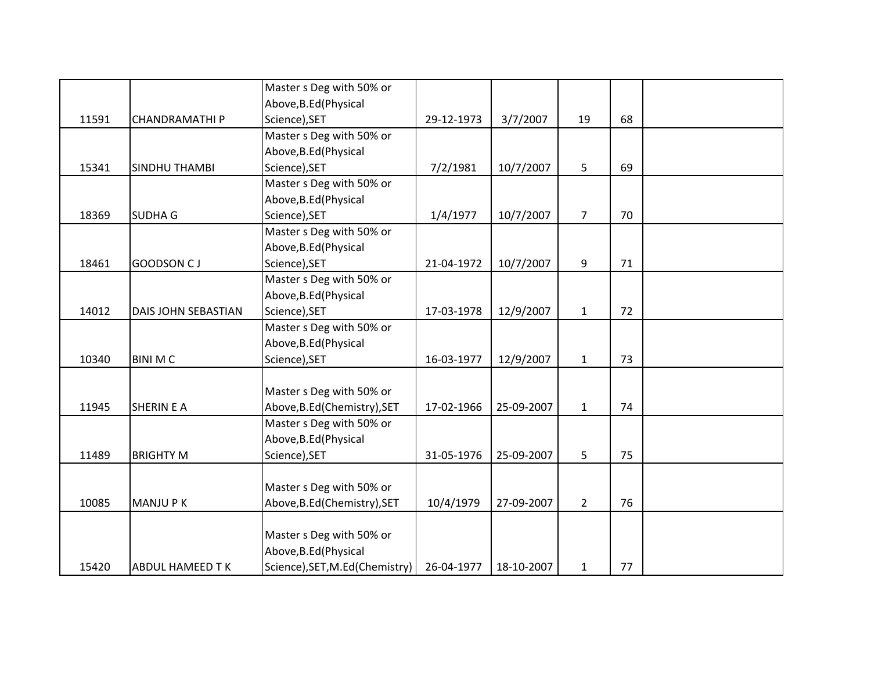|       |                        | Master s Deg with 50% or       |            |            |                |    |  |
|-------|------------------------|--------------------------------|------------|------------|----------------|----|--|
|       |                        | Above, B.Ed (Physical          |            |            |                |    |  |
| 11591 | <b>CHANDRAMATHIP</b>   | Science), SET                  | 29-12-1973 | 3/7/2007   | 19             | 68 |  |
|       |                        | Master s Deg with 50% or       |            |            |                |    |  |
|       |                        | Above, B.Ed (Physical          |            |            |                |    |  |
| 15341 | <b>SINDHU THAMBI</b>   | Science), SET                  | 7/2/1981   | 10/7/2007  | 5              | 69 |  |
|       |                        | Master s Deg with 50% or       |            |            |                |    |  |
|       |                        | Above, B.Ed (Physical          |            |            |                |    |  |
| 18369 | <b>SUDHA G</b>         | Science), SET                  | 1/4/1977   | 10/7/2007  | $\overline{7}$ | 70 |  |
|       |                        | Master s Deg with 50% or       |            |            |                |    |  |
|       |                        | Above, B.Ed (Physical          |            |            |                |    |  |
| 18461 | GOODSON CJ             | Science), SET                  | 21-04-1972 | 10/7/2007  | 9              | 71 |  |
|       |                        | Master s Deg with 50% or       |            |            |                |    |  |
|       |                        | Above, B.Ed (Physical          |            |            |                |    |  |
| 14012 | DAIS JOHN SEBASTIAN    | Science), SET                  | 17-03-1978 | 12/9/2007  | $\mathbf{1}$   | 72 |  |
|       |                        | Master s Deg with 50% or       |            |            |                |    |  |
|       |                        | Above, B.Ed (Physical          |            |            |                |    |  |
| 10340 | <b>BINI MC</b>         | Science), SET                  | 16-03-1977 | 12/9/2007  | $\mathbf{1}$   | 73 |  |
|       |                        |                                |            |            |                |    |  |
|       |                        | Master s Deg with 50% or       |            |            |                |    |  |
| 11945 | <b>SHERIN E A</b>      | Above, B.Ed (Chemistry), SET   | 17-02-1966 | 25-09-2007 | $\mathbf{1}$   | 74 |  |
|       |                        | Master s Deg with 50% or       |            |            |                |    |  |
|       |                        | Above, B.Ed (Physical          |            |            |                |    |  |
| 11489 | <b>BRIGHTY M</b>       | Science), SET                  | 31-05-1976 | 25-09-2007 | 5              | 75 |  |
|       |                        |                                |            |            |                |    |  |
|       |                        | Master s Deg with 50% or       |            |            |                |    |  |
| 10085 | <b>MANJUPK</b>         | Above, B.Ed(Chemistry), SET    | 10/4/1979  | 27-09-2007 | $2^{\circ}$    | 76 |  |
|       |                        |                                |            |            |                |    |  |
|       |                        | Master s Deg with 50% or       |            |            |                |    |  |
|       |                        | Above, B.Ed (Physical          |            |            |                |    |  |
| 15420 | <b>ABDUL HAMEED TK</b> | Science), SET, M.Ed(Chemistry) | 26-04-1977 | 18-10-2007 | $\mathbf{1}$   | 77 |  |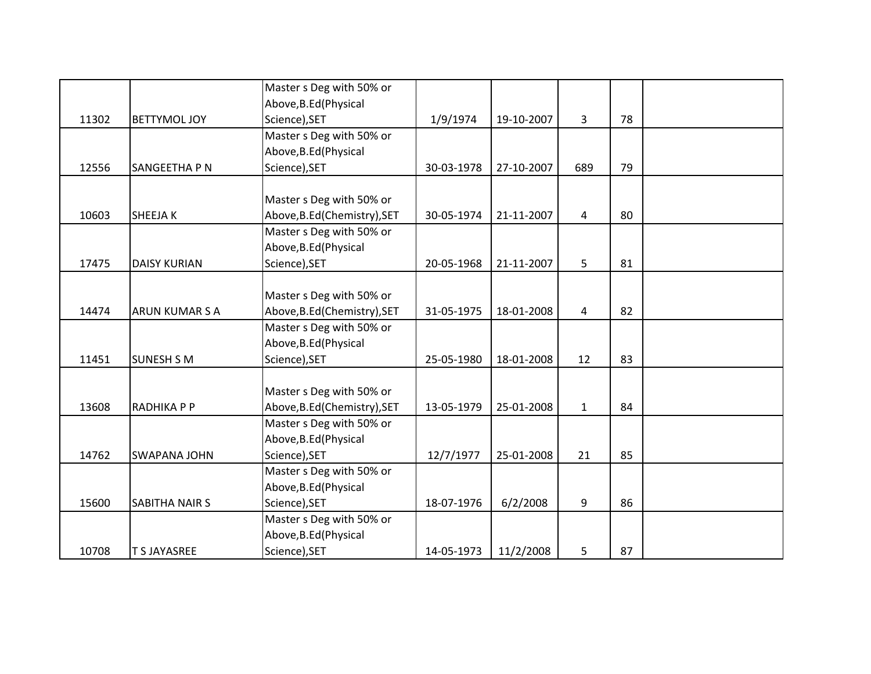|       |                       | Master s Deg with 50% or     |            |            |              |    |  |
|-------|-----------------------|------------------------------|------------|------------|--------------|----|--|
|       |                       | Above, B.Ed (Physical        |            |            |              |    |  |
| 11302 | <b>BETTYMOL JOY</b>   | Science), SET                | 1/9/1974   | 19-10-2007 | 3            | 78 |  |
|       |                       | Master s Deg with 50% or     |            |            |              |    |  |
|       |                       | Above, B.Ed (Physical        |            |            |              |    |  |
| 12556 | SANGEETHA P N         | Science), SET                | 30-03-1978 | 27-10-2007 | 689          | 79 |  |
|       |                       |                              |            |            |              |    |  |
|       |                       | Master s Deg with 50% or     |            |            |              |    |  |
| 10603 | <b>SHEEJAK</b>        | Above, B.Ed (Chemistry), SET | 30-05-1974 | 21-11-2007 | 4            | 80 |  |
|       |                       | Master s Deg with 50% or     |            |            |              |    |  |
|       |                       | Above, B.Ed (Physical        |            |            |              |    |  |
| 17475 | <b>DAISY KURIAN</b>   | Science), SET                | 20-05-1968 | 21-11-2007 | 5            | 81 |  |
|       |                       |                              |            |            |              |    |  |
|       |                       | Master s Deg with 50% or     |            |            |              |    |  |
| 14474 | <b>ARUN KUMAR S A</b> | Above, B.Ed (Chemistry), SET | 31-05-1975 | 18-01-2008 | 4            | 82 |  |
|       |                       | Master s Deg with 50% or     |            |            |              |    |  |
|       |                       | Above, B.Ed (Physical        |            |            |              |    |  |
| 11451 | <b>SUNESH S M</b>     | Science), SET                | 25-05-1980 | 18-01-2008 | 12           | 83 |  |
|       |                       |                              |            |            |              |    |  |
|       |                       | Master s Deg with 50% or     |            |            |              |    |  |
| 13608 | RADHIKA P P           | Above, B.Ed(Chemistry), SET  | 13-05-1979 | 25-01-2008 | $\mathbf{1}$ | 84 |  |
|       |                       | Master s Deg with 50% or     |            |            |              |    |  |
|       |                       | Above, B.Ed (Physical        |            |            |              |    |  |
| 14762 | <b>SWAPANA JOHN</b>   | Science), SET                | 12/7/1977  | 25-01-2008 | 21           | 85 |  |
|       |                       | Master s Deg with 50% or     |            |            |              |    |  |
|       |                       | Above, B.Ed (Physical        |            |            |              |    |  |
| 15600 | <b>SABITHA NAIR S</b> | Science), SET                | 18-07-1976 | 6/2/2008   | 9            | 86 |  |
|       |                       | Master s Deg with 50% or     |            |            |              |    |  |
|       |                       | Above, B.Ed (Physical        |            |            |              |    |  |
| 10708 | <b>T S JAYASREE</b>   | Science), SET                | 14-05-1973 | 11/2/2008  | 5            | 87 |  |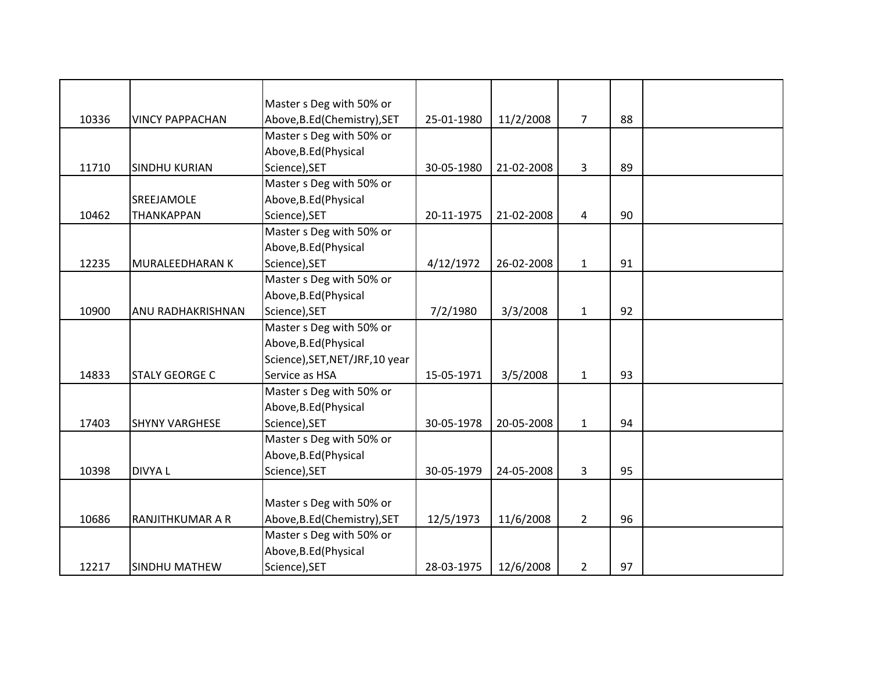|       |                         | Master s Deg with 50% or        |            |            |                |    |  |
|-------|-------------------------|---------------------------------|------------|------------|----------------|----|--|
| 10336 | <b>VINCY PAPPACHAN</b>  | Above, B.Ed (Chemistry), SET    | 25-01-1980 | 11/2/2008  | $\overline{7}$ | 88 |  |
|       |                         | Master s Deg with 50% or        |            |            |                |    |  |
|       |                         | Above, B.Ed (Physical           |            |            |                |    |  |
| 11710 | <b>SINDHU KURIAN</b>    | Science), SET                   | 30-05-1980 | 21-02-2008 | 3              | 89 |  |
|       |                         | Master s Deg with 50% or        |            |            |                |    |  |
|       | SREEJAMOLE              | Above, B.Ed (Physical           |            |            |                |    |  |
| 10462 | <b>THANKAPPAN</b>       | Science), SET                   | 20-11-1975 | 21-02-2008 | 4              | 90 |  |
|       |                         | Master s Deg with 50% or        |            |            |                |    |  |
|       |                         | Above, B.Ed (Physical           |            |            |                |    |  |
| 12235 | MURALEEDHARAN K         | Science), SET                   | 4/12/1972  | 26-02-2008 | $\mathbf{1}$   | 91 |  |
|       |                         | Master s Deg with 50% or        |            |            |                |    |  |
|       |                         | Above, B.Ed (Physical           |            |            |                |    |  |
| 10900 | ANU RADHAKRISHNAN       | Science), SET                   | 7/2/1980   | 3/3/2008   | $\mathbf{1}$   | 92 |  |
|       |                         | Master s Deg with 50% or        |            |            |                |    |  |
|       |                         | Above, B.Ed (Physical           |            |            |                |    |  |
|       |                         | Science), SET, NET/JRF, 10 year |            |            |                |    |  |
| 14833 | <b>STALY GEORGE C</b>   | Service as HSA                  | 15-05-1971 | 3/5/2008   | $\mathbf{1}$   | 93 |  |
|       |                         | Master s Deg with 50% or        |            |            |                |    |  |
|       |                         | Above, B.Ed (Physical           |            |            |                |    |  |
| 17403 | <b>SHYNY VARGHESE</b>   | Science), SET                   | 30-05-1978 | 20-05-2008 | $\mathbf{1}$   | 94 |  |
|       |                         | Master s Deg with 50% or        |            |            |                |    |  |
|       |                         | Above, B.Ed (Physical           |            |            |                |    |  |
| 10398 | <b>DIVYAL</b>           | Science), SET                   | 30-05-1979 | 24-05-2008 | 3              | 95 |  |
|       |                         |                                 |            |            |                |    |  |
|       |                         | Master s Deg with 50% or        |            |            |                |    |  |
| 10686 | <b>RANJITHKUMAR A R</b> | Above, B.Ed (Chemistry), SET    | 12/5/1973  | 11/6/2008  | $\overline{2}$ | 96 |  |
|       |                         | Master s Deg with 50% or        |            |            |                |    |  |
|       |                         | Above, B.Ed (Physical           |            |            |                |    |  |
| 12217 | <b>SINDHU MATHEW</b>    | Science), SET                   | 28-03-1975 | 12/6/2008  | $\overline{2}$ | 97 |  |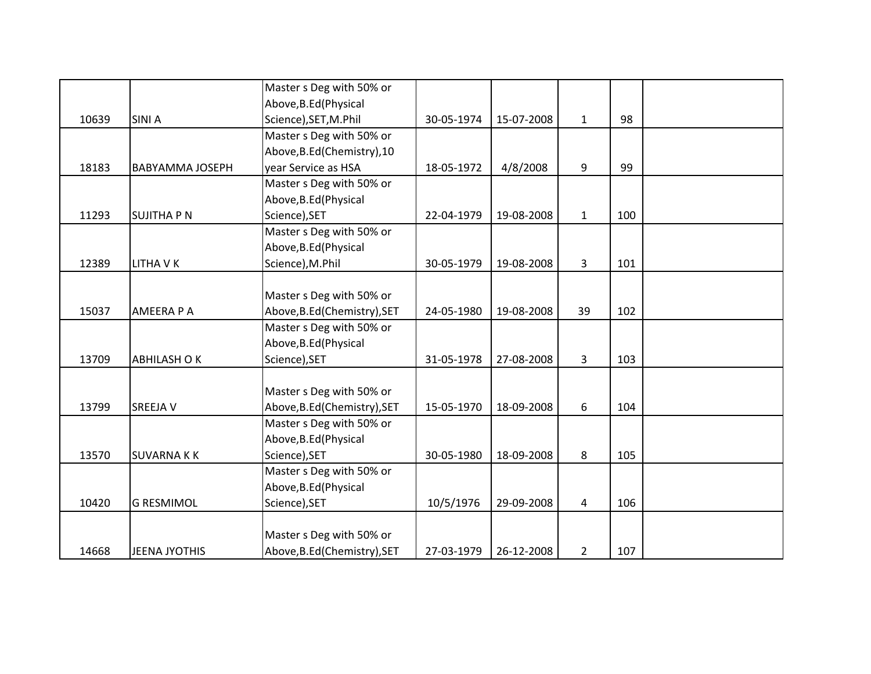|       |                        | Master s Deg with 50% or     |            |            |                |     |  |
|-------|------------------------|------------------------------|------------|------------|----------------|-----|--|
|       |                        | Above, B.Ed (Physical        |            |            |                |     |  |
| 10639 | <b>SINIA</b>           | Science), SET, M.Phil        | 30-05-1974 | 15-07-2008 | $\mathbf{1}$   | 98  |  |
|       |                        | Master s Deg with 50% or     |            |            |                |     |  |
|       |                        | Above, B.Ed (Chemistry), 10  |            |            |                |     |  |
| 18183 | <b>BABYAMMA JOSEPH</b> | year Service as HSA          | 18-05-1972 | 4/8/2008   | 9              | 99  |  |
|       |                        | Master s Deg with 50% or     |            |            |                |     |  |
|       |                        | Above, B.Ed (Physical        |            |            |                |     |  |
| 11293 | <b>SUJITHA P N</b>     | Science), SET                | 22-04-1979 | 19-08-2008 | $\mathbf{1}$   | 100 |  |
|       |                        | Master s Deg with 50% or     |            |            |                |     |  |
|       |                        | Above, B.Ed (Physical        |            |            |                |     |  |
| 12389 | <b>LITHA V K</b>       | Science), M.Phil             | 30-05-1979 | 19-08-2008 | $\overline{3}$ | 101 |  |
|       |                        |                              |            |            |                |     |  |
|       |                        | Master s Deg with 50% or     |            |            |                |     |  |
| 15037 | AMEERA P A             | Above, B.Ed(Chemistry), SET  | 24-05-1980 | 19-08-2008 | 39             | 102 |  |
|       |                        | Master s Deg with 50% or     |            |            |                |     |  |
|       |                        | Above, B.Ed (Physical        |            |            |                |     |  |
| 13709 | <b>ABHILASH OK</b>     | Science), SET                | 31-05-1978 | 27-08-2008 | $\overline{3}$ | 103 |  |
|       |                        |                              |            |            |                |     |  |
|       |                        | Master s Deg with 50% or     |            |            |                |     |  |
| 13799 | <b>SREEJA V</b>        | Above, B.Ed (Chemistry), SET | 15-05-1970 | 18-09-2008 | 6              | 104 |  |
|       |                        | Master s Deg with 50% or     |            |            |                |     |  |
|       |                        | Above, B.Ed (Physical        |            |            |                |     |  |
| 13570 | <b>SUVARNAKK</b>       | Science), SET                | 30-05-1980 | 18-09-2008 | 8              | 105 |  |
|       |                        | Master s Deg with 50% or     |            |            |                |     |  |
|       |                        | Above, B.Ed (Physical        |            |            |                |     |  |
| 10420 | <b>G RESMIMOL</b>      | Science), SET                | 10/5/1976  | 29-09-2008 | 4              | 106 |  |
|       |                        |                              |            |            |                |     |  |
|       |                        | Master s Deg with 50% or     |            |            |                |     |  |
| 14668 | <b>JEENA JYOTHIS</b>   | Above, B.Ed (Chemistry), SET | 27-03-1979 | 26-12-2008 | $\overline{2}$ | 107 |  |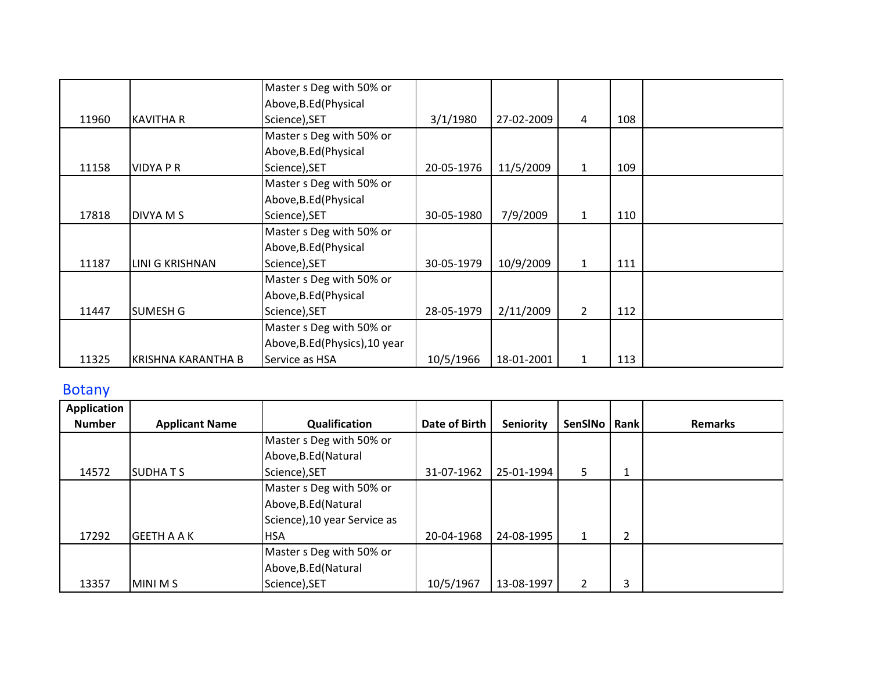|       |                    | Master s Deg with 50% or       |            |            |                |     |  |
|-------|--------------------|--------------------------------|------------|------------|----------------|-----|--|
|       |                    | Above, B.Ed (Physical          |            |            |                |     |  |
| 11960 | <b>KAVITHA R</b>   | Science), SET                  | 3/1/1980   | 27-02-2009 | 4              | 108 |  |
|       |                    | Master s Deg with 50% or       |            |            |                |     |  |
|       |                    | Above, B.Ed (Physical          |            |            |                |     |  |
| 11158 | VIDYA P R          | Science), SET                  | 20-05-1976 | 11/5/2009  | $\mathbf{1}$   | 109 |  |
|       |                    | Master s Deg with 50% or       |            |            |                |     |  |
|       |                    | Above, B.Ed (Physical          |            |            |                |     |  |
| 17818 | DIVYA M S          | Science), SET                  | 30-05-1980 | 7/9/2009   | $\mathbf{1}$   | 110 |  |
|       |                    | Master s Deg with 50% or       |            |            |                |     |  |
|       |                    | Above, B.Ed (Physical          |            |            |                |     |  |
| 11187 | LINI G KRISHNAN    | Science), SET                  | 30-05-1979 | 10/9/2009  | $\mathbf{1}$   | 111 |  |
|       |                    | Master s Deg with 50% or       |            |            |                |     |  |
|       |                    | Above, B.Ed (Physical          |            |            |                |     |  |
| 11447 | <b>SUMESH G</b>    | Science), SET                  | 28-05-1979 | 2/11/2009  | $\overline{2}$ | 112 |  |
|       |                    | Master s Deg with 50% or       |            |            |                |     |  |
|       |                    | Above, B.Ed (Physics), 10 year |            |            |                |     |  |
| 11325 | KRISHNA KARANTHA B | Service as HSA                 | 10/5/1966  | 18-01-2001 | 1              | 113 |  |

## Botany

| <b>Application</b> |                       |                              |               |                  |         |             |                |
|--------------------|-----------------------|------------------------------|---------------|------------------|---------|-------------|----------------|
| <b>Number</b>      | <b>Applicant Name</b> | Qualification                | Date of Birth | <b>Seniority</b> | SenSINo | <b>Rank</b> | <b>Remarks</b> |
|                    |                       | Master s Deg with 50% or     |               |                  |         |             |                |
|                    |                       | Above, B.Ed (Natural         |               |                  |         |             |                |
| 14572              | <b>SUDHATS</b>        | Science), SET                | 31-07-1962    | 25-01-1994       | 5       | Ŧ.          |                |
|                    |                       | Master s Deg with 50% or     |               |                  |         |             |                |
|                    |                       | Above, B.Ed (Natural         |               |                  |         |             |                |
|                    |                       | Science), 10 year Service as |               |                  |         |             |                |
| 17292              | <b>GEETH A A K</b>    | <b>HSA</b>                   | 20-04-1968    | 24-08-1995       | 1       | 2           |                |
|                    |                       | Master s Deg with 50% or     |               |                  |         |             |                |
|                    |                       | Above, B.Ed (Natural         |               |                  |         |             |                |
| 13357              | MINI M S              | Science), SET                | 10/5/1967     | 13-08-1997       | 2       | 3           |                |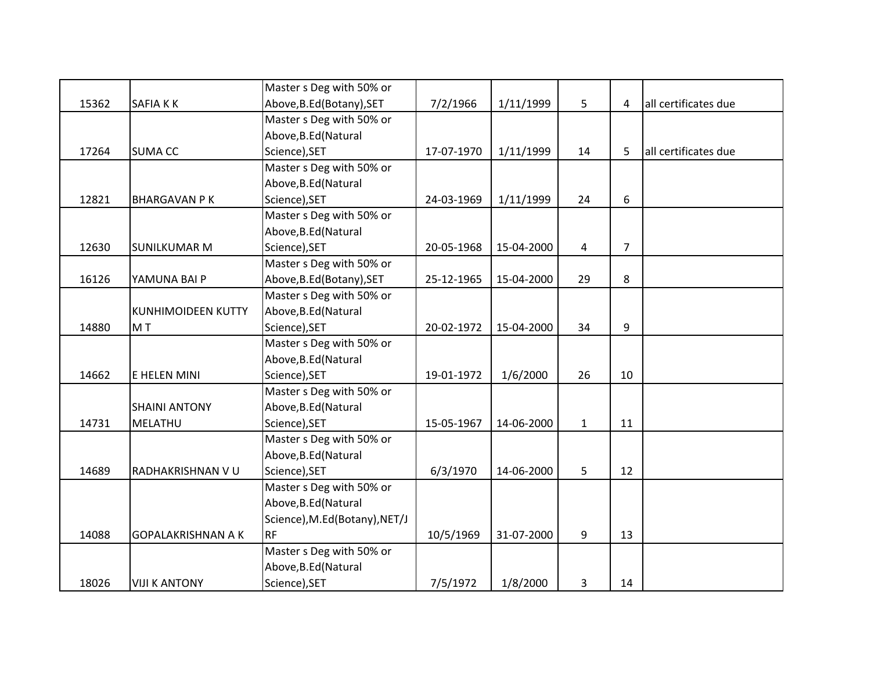|       |                           | Master s Deg with 50% or      |            |            |              |                |                      |
|-------|---------------------------|-------------------------------|------------|------------|--------------|----------------|----------------------|
| 15362 | SAFIA KK                  | Above, B.Ed (Botany), SET     | 7/2/1966   | 1/11/1999  | 5            | 4              | all certificates due |
|       |                           | Master s Deg with 50% or      |            |            |              |                |                      |
|       |                           | Above, B.Ed (Natural          |            |            |              |                |                      |
| 17264 | <b>SUMA CC</b>            | Science), SET                 | 17-07-1970 | 1/11/1999  | 14           | 5              | all certificates due |
|       |                           | Master s Deg with 50% or      |            |            |              |                |                      |
|       |                           | Above, B.Ed (Natural          |            |            |              |                |                      |
| 12821 | <b>BHARGAVAN PK</b>       | Science), SET                 | 24-03-1969 | 1/11/1999  | 24           | 6              |                      |
|       |                           | Master s Deg with 50% or      |            |            |              |                |                      |
|       |                           | Above, B.Ed (Natural          |            |            |              |                |                      |
| 12630 | <b>SUNILKUMAR M</b>       | Science), SET                 | 20-05-1968 | 15-04-2000 | 4            | $\overline{7}$ |                      |
|       |                           | Master s Deg with 50% or      |            |            |              |                |                      |
| 16126 | YAMUNA BAI P              | Above, B.Ed (Botany), SET     | 25-12-1965 | 15-04-2000 | 29           | 8              |                      |
|       |                           | Master s Deg with 50% or      |            |            |              |                |                      |
|       | <b>KUNHIMOIDEEN KUTTY</b> | Above, B.Ed (Natural          |            |            |              |                |                      |
| 14880 | MT                        | Science), SET                 | 20-02-1972 | 15-04-2000 | 34           | 9              |                      |
|       |                           | Master s Deg with 50% or      |            |            |              |                |                      |
|       |                           | Above, B.Ed (Natural          |            |            |              |                |                      |
| 14662 | E HELEN MINI              | Science), SET                 | 19-01-1972 | 1/6/2000   | 26           | 10             |                      |
|       |                           | Master s Deg with 50% or      |            |            |              |                |                      |
|       | <b>SHAINI ANTONY</b>      | Above, B.Ed (Natural          |            |            |              |                |                      |
| 14731 | MELATHU                   | Science), SET                 | 15-05-1967 | 14-06-2000 | $\mathbf{1}$ | 11             |                      |
|       |                           | Master s Deg with 50% or      |            |            |              |                |                      |
|       |                           | Above, B.Ed (Natural          |            |            |              |                |                      |
| 14689 | RADHAKRISHNAN VU          | Science), SET                 | 6/3/1970   | 14-06-2000 | 5            | 12             |                      |
|       |                           | Master s Deg with 50% or      |            |            |              |                |                      |
|       |                           | Above, B.Ed (Natural          |            |            |              |                |                      |
|       |                           | Science), M.Ed(Botany), NET/J |            |            |              |                |                      |
| 14088 | <b>GOPALAKRISHNAN A K</b> | <b>RF</b>                     | 10/5/1969  | 31-07-2000 | 9            | 13             |                      |
|       |                           | Master s Deg with 50% or      |            |            |              |                |                      |
|       |                           | Above, B.Ed (Natural          |            |            |              |                |                      |
| 18026 | <b>VIJI K ANTONY</b>      | Science), SET                 | 7/5/1972   | 1/8/2000   | 3            | 14             |                      |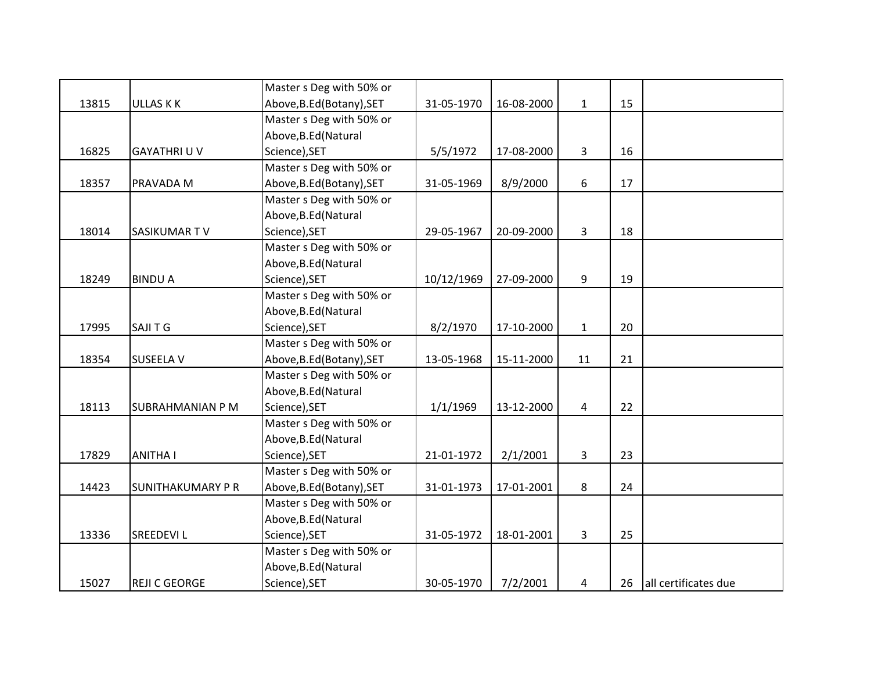|       |                          | Master s Deg with 50% or  |            |            |              |    |                      |
|-------|--------------------------|---------------------------|------------|------------|--------------|----|----------------------|
| 13815 | <b>ULLAS K K</b>         | Above, B.Ed (Botany), SET | 31-05-1970 | 16-08-2000 | $\mathbf{1}$ | 15 |                      |
|       |                          | Master s Deg with 50% or  |            |            |              |    |                      |
|       |                          | Above, B.Ed (Natural      |            |            |              |    |                      |
| 16825 | <b>GAYATHRI U V</b>      | Science), SET             | 5/5/1972   | 17-08-2000 | 3            | 16 |                      |
|       |                          | Master s Deg with 50% or  |            |            |              |    |                      |
| 18357 | PRAVADA M                | Above, B.Ed (Botany), SET | 31-05-1969 | 8/9/2000   | 6            | 17 |                      |
|       |                          | Master s Deg with 50% or  |            |            |              |    |                      |
|       |                          | Above, B.Ed (Natural      |            |            |              |    |                      |
| 18014 | SASIKUMAR TV             | Science), SET             | 29-05-1967 | 20-09-2000 | 3            | 18 |                      |
|       |                          | Master s Deg with 50% or  |            |            |              |    |                      |
|       |                          | Above, B.Ed (Natural      |            |            |              |    |                      |
| 18249 | <b>BINDUA</b>            | Science), SET             | 10/12/1969 | 27-09-2000 | 9            | 19 |                      |
|       |                          | Master s Deg with 50% or  |            |            |              |    |                      |
|       |                          | Above, B.Ed (Natural      |            |            |              |    |                      |
| 17995 | <b>SAJITG</b>            | Science), SET             | 8/2/1970   | 17-10-2000 | $\mathbf{1}$ | 20 |                      |
|       |                          | Master s Deg with 50% or  |            |            |              |    |                      |
| 18354 | <b>SUSEELA V</b>         | Above, B.Ed (Botany), SET | 13-05-1968 | 15-11-2000 | 11           | 21 |                      |
|       |                          | Master s Deg with 50% or  |            |            |              |    |                      |
|       |                          | Above, B.Ed (Natural      |            |            |              |    |                      |
| 18113 | <b>SUBRAHMANIAN P M</b>  | Science), SET             | 1/1/1969   | 13-12-2000 | 4            | 22 |                      |
|       |                          | Master s Deg with 50% or  |            |            |              |    |                      |
|       |                          | Above, B.Ed (Natural      |            |            |              |    |                      |
| 17829 | <b>ANITHA I</b>          | Science), SET             | 21-01-1972 | 2/1/2001   | 3            | 23 |                      |
|       |                          | Master s Deg with 50% or  |            |            |              |    |                      |
| 14423 | <b>SUNITHAKUMARY P R</b> | Above, B.Ed (Botany), SET | 31-01-1973 | 17-01-2001 | 8            | 24 |                      |
|       |                          | Master s Deg with 50% or  |            |            |              |    |                      |
|       |                          | Above, B.Ed (Natural      |            |            |              |    |                      |
| 13336 | <b>SREEDEVIL</b>         | Science), SET             | 31-05-1972 | 18-01-2001 | 3            | 25 |                      |
|       |                          | Master s Deg with 50% or  |            |            |              |    |                      |
|       |                          | Above, B.Ed (Natural      |            |            |              |    |                      |
| 15027 | <b>REJI C GEORGE</b>     | Science), SET             | 30-05-1970 | 7/2/2001   | 4            | 26 | all certificates due |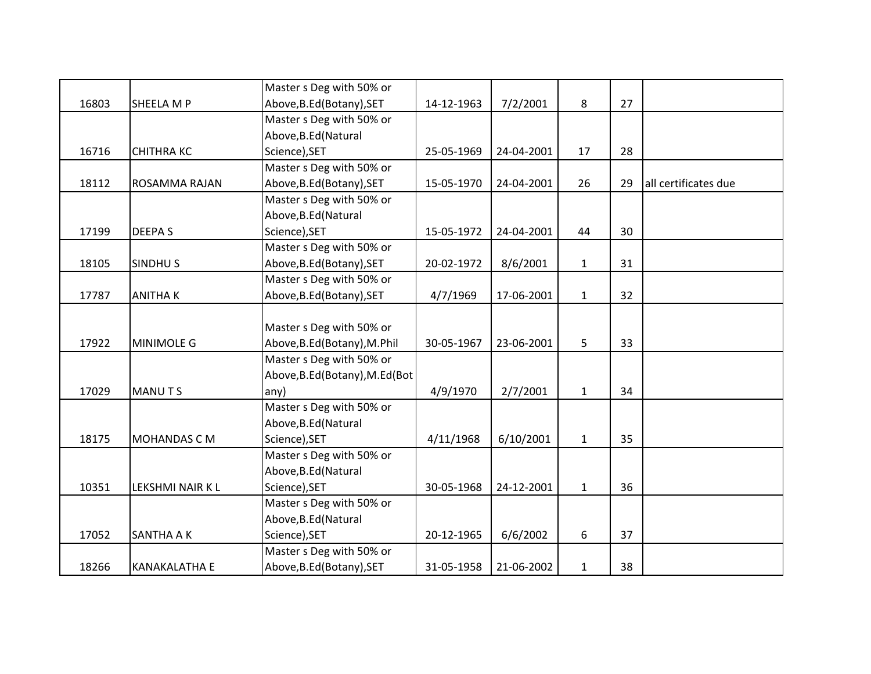|       |                      | Master s Deg with 50% or        |            |            |              |    |                      |
|-------|----------------------|---------------------------------|------------|------------|--------------|----|----------------------|
| 16803 | SHEELA M P           | Above, B.Ed (Botany), SET       | 14-12-1963 | 7/2/2001   | 8            | 27 |                      |
|       |                      | Master s Deg with 50% or        |            |            |              |    |                      |
|       |                      | Above, B.Ed (Natural            |            |            |              |    |                      |
| 16716 | <b>CHITHRA KC</b>    | Science), SET                   | 25-05-1969 | 24-04-2001 | 17           | 28 |                      |
|       |                      | Master s Deg with 50% or        |            |            |              |    |                      |
| 18112 | <b>ROSAMMA RAJAN</b> | Above, B.Ed (Botany), SET       | 15-05-1970 | 24-04-2001 | 26           | 29 | all certificates due |
|       |                      | Master s Deg with 50% or        |            |            |              |    |                      |
|       |                      | Above, B.Ed (Natural            |            |            |              |    |                      |
| 17199 | <b>DEEPAS</b>        | Science), SET                   | 15-05-1972 | 24-04-2001 | 44           | 30 |                      |
|       |                      | Master s Deg with 50% or        |            |            |              |    |                      |
| 18105 | <b>SINDHUS</b>       | Above, B.Ed (Botany), SET       | 20-02-1972 | 8/6/2001   | $\mathbf{1}$ | 31 |                      |
|       |                      | Master s Deg with 50% or        |            |            |              |    |                      |
| 17787 | <b>ANITHAK</b>       | Above, B.Ed (Botany), SET       | 4/7/1969   | 17-06-2001 | $\mathbf{1}$ | 32 |                      |
|       |                      |                                 |            |            |              |    |                      |
|       |                      | Master s Deg with 50% or        |            |            |              |    |                      |
| 17922 | <b>MINIMOLE G</b>    | Above, B.Ed (Botany), M.Phil    | 30-05-1967 | 23-06-2001 | 5            | 33 |                      |
|       |                      | Master s Deg with 50% or        |            |            |              |    |                      |
|       |                      | Above, B.Ed (Botany), M.Ed (Bot |            |            |              |    |                      |
| 17029 | <b>MANUTS</b>        | any)                            | 4/9/1970   | 2/7/2001   | $\mathbf{1}$ | 34 |                      |
|       |                      | Master s Deg with 50% or        |            |            |              |    |                      |
|       |                      | Above, B.Ed (Natural            |            |            |              |    |                      |
| 18175 | MOHANDAS CM          | Science), SET                   | 4/11/1968  | 6/10/2001  | $\mathbf{1}$ | 35 |                      |
|       |                      | Master s Deg with 50% or        |            |            |              |    |                      |
|       |                      | Above, B.Ed (Natural            |            |            |              |    |                      |
| 10351 | LEKSHMI NAIR K L     | Science), SET                   | 30-05-1968 | 24-12-2001 | $\mathbf{1}$ | 36 |                      |
|       |                      | Master s Deg with 50% or        |            |            |              |    |                      |
|       |                      | Above, B.Ed (Natural            |            |            |              |    |                      |
| 17052 | <b>SANTHA A K</b>    | Science), SET                   | 20-12-1965 | 6/6/2002   | 6            | 37 |                      |
|       |                      | Master s Deg with 50% or        |            |            |              |    |                      |
| 18266 | <b>KANAKALATHA E</b> | Above, B.Ed (Botany), SET       | 31-05-1958 | 21-06-2002 | $\mathbf{1}$ | 38 |                      |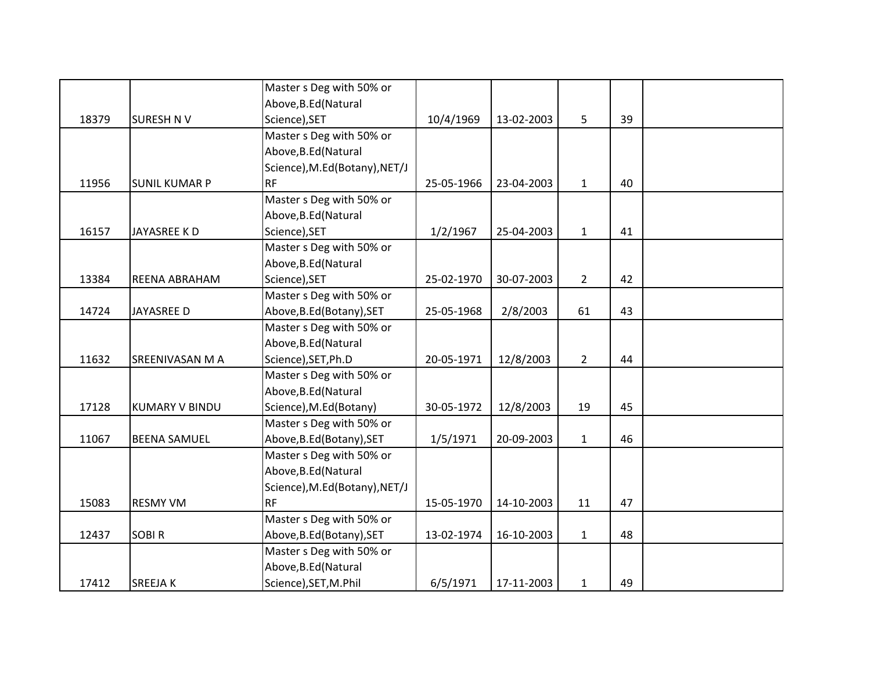|       |                       | Master s Deg with 50% or      |            |            |                |    |  |
|-------|-----------------------|-------------------------------|------------|------------|----------------|----|--|
|       |                       | Above, B.Ed (Natural          |            |            |                |    |  |
| 18379 | <b>SURESH NV</b>      | Science), SET                 | 10/4/1969  | 13-02-2003 | 5              | 39 |  |
|       |                       | Master s Deg with 50% or      |            |            |                |    |  |
|       |                       | Above, B.Ed (Natural          |            |            |                |    |  |
|       |                       | Science), M.Ed(Botany), NET/J |            |            |                |    |  |
| 11956 | <b>SUNIL KUMAR P</b>  | <b>RF</b>                     | 25-05-1966 | 23-04-2003 | $\mathbf{1}$   | 40 |  |
|       |                       | Master s Deg with 50% or      |            |            |                |    |  |
|       |                       | Above, B.Ed (Natural          |            |            |                |    |  |
| 16157 | JAYASREE KD           | Science), SET                 | 1/2/1967   | 25-04-2003 | $\mathbf{1}$   | 41 |  |
|       |                       | Master s Deg with 50% or      |            |            |                |    |  |
|       |                       | Above, B.Ed (Natural          |            |            |                |    |  |
| 13384 | REENA ABRAHAM         | Science), SET                 | 25-02-1970 | 30-07-2003 | $\overline{2}$ | 42 |  |
|       |                       | Master s Deg with 50% or      |            |            |                |    |  |
| 14724 | JAYASREE D            | Above, B.Ed (Botany), SET     | 25-05-1968 | 2/8/2003   | 61             | 43 |  |
|       |                       | Master s Deg with 50% or      |            |            |                |    |  |
|       |                       | Above, B.Ed (Natural          |            |            |                |    |  |
| 11632 | SREENIVASAN M A       | Science), SET, Ph.D           | 20-05-1971 | 12/8/2003  | $2^{\circ}$    | 44 |  |
|       |                       | Master s Deg with 50% or      |            |            |                |    |  |
|       |                       | Above, B.Ed (Natural          |            |            |                |    |  |
| 17128 | <b>KUMARY V BINDU</b> | Science), M.Ed(Botany)        | 30-05-1972 | 12/8/2003  | 19             | 45 |  |
|       |                       | Master s Deg with 50% or      |            |            |                |    |  |
| 11067 | <b>BEENA SAMUEL</b>   | Above, B.Ed (Botany), SET     | 1/5/1971   | 20-09-2003 | $\mathbf{1}$   | 46 |  |
|       |                       | Master s Deg with 50% or      |            |            |                |    |  |
|       |                       | Above, B.Ed (Natural          |            |            |                |    |  |
|       |                       | Science), M.Ed(Botany), NET/J |            |            |                |    |  |
| 15083 | <b>RESMY VM</b>       | <b>RF</b>                     | 15-05-1970 | 14-10-2003 | 11             | 47 |  |
|       |                       | Master s Deg with 50% or      |            |            |                |    |  |
| 12437 | <b>SOBIR</b>          | Above, B.Ed (Botany), SET     | 13-02-1974 | 16-10-2003 | $\mathbf{1}$   | 48 |  |
|       |                       | Master s Deg with 50% or      |            |            |                |    |  |
|       |                       | Above, B.Ed (Natural          |            |            |                |    |  |
| 17412 | <b>SREEJAK</b>        | Science), SET, M.Phil         | 6/5/1971   | 17-11-2003 | $\mathbf{1}$   | 49 |  |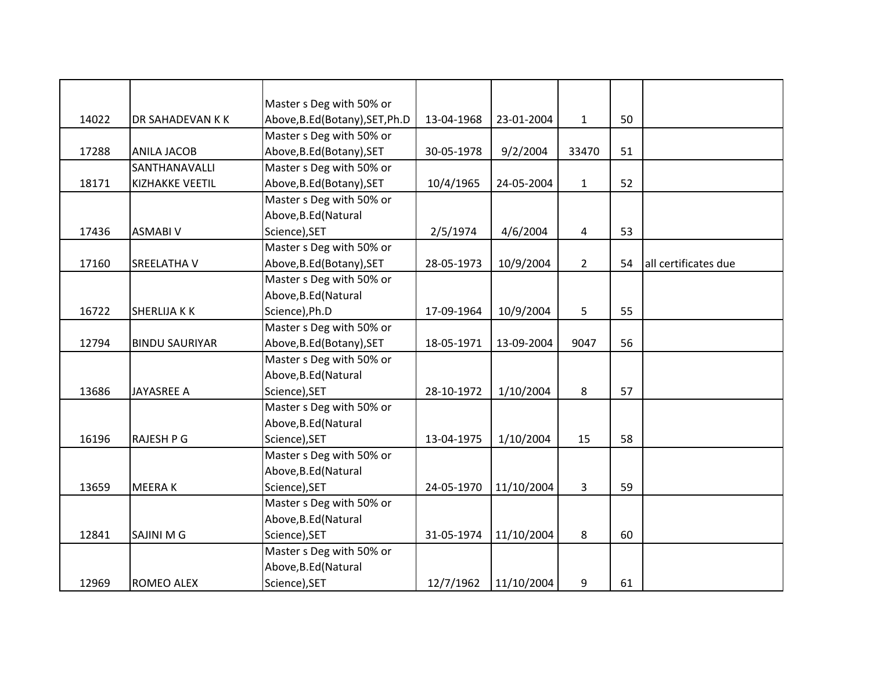|       |                        | Master s Deg with 50% or        |            |            |                |    |                      |
|-------|------------------------|---------------------------------|------------|------------|----------------|----|----------------------|
| 14022 | DR SAHADEVAN K K       | Above, B.Ed (Botany), SET, Ph.D | 13-04-1968 | 23-01-2004 | $\mathbf{1}$   | 50 |                      |
|       |                        | Master s Deg with 50% or        |            |            |                |    |                      |
| 17288 | <b>ANILA JACOB</b>     | Above, B.Ed (Botany), SET       | 30-05-1978 | 9/2/2004   | 33470          | 51 |                      |
|       | SANTHANAVALLI          | Master s Deg with 50% or        |            |            |                |    |                      |
| 18171 | <b>KIZHAKKE VEETIL</b> | Above, B.Ed (Botany), SET       | 10/4/1965  | 24-05-2004 | $\mathbf{1}$   | 52 |                      |
|       |                        | Master s Deg with 50% or        |            |            |                |    |                      |
|       |                        | Above, B.Ed (Natural            |            |            |                |    |                      |
| 17436 | <b>ASMABI V</b>        | Science), SET                   | 2/5/1974   | 4/6/2004   | 4              | 53 |                      |
|       |                        | Master s Deg with 50% or        |            |            |                |    |                      |
| 17160 | <b>SREELATHAV</b>      | Above, B.Ed (Botany), SET       | 28-05-1973 | 10/9/2004  | $\overline{2}$ | 54 | all certificates due |
|       |                        | Master s Deg with 50% or        |            |            |                |    |                      |
|       |                        | Above, B.Ed (Natural            |            |            |                |    |                      |
| 16722 | <b>SHERLIJA K K</b>    | Science), Ph.D                  | 17-09-1964 | 10/9/2004  | 5              | 55 |                      |
|       |                        | Master s Deg with 50% or        |            |            |                |    |                      |
| 12794 | <b>BINDU SAURIYAR</b>  | Above, B.Ed (Botany), SET       | 18-05-1971 | 13-09-2004 | 9047           | 56 |                      |
|       |                        | Master s Deg with 50% or        |            |            |                |    |                      |
|       |                        | Above, B.Ed (Natural            |            |            |                |    |                      |
| 13686 | <b>JAYASREE A</b>      | Science), SET                   | 28-10-1972 | 1/10/2004  | 8              | 57 |                      |
|       |                        | Master s Deg with 50% or        |            |            |                |    |                      |
|       |                        | Above, B.Ed (Natural            |            |            |                |    |                      |
| 16196 | <b>RAJESH P G</b>      | Science), SET                   | 13-04-1975 | 1/10/2004  | 15             | 58 |                      |
|       |                        | Master s Deg with 50% or        |            |            |                |    |                      |
|       |                        | Above, B.Ed (Natural            |            |            |                |    |                      |
| 13659 | <b>MEERAK</b>          | Science), SET                   | 24-05-1970 | 11/10/2004 | 3              | 59 |                      |
|       |                        | Master s Deg with 50% or        |            |            |                |    |                      |
|       |                        | Above, B.Ed (Natural            |            |            |                |    |                      |
| 12841 | <b>SAJINI M G</b>      | Science), SET                   | 31-05-1974 | 11/10/2004 | 8              | 60 |                      |
|       |                        | Master s Deg with 50% or        |            |            |                |    |                      |
|       |                        | Above, B.Ed (Natural            |            |            |                |    |                      |
| 12969 | ROMEO ALEX             | Science), SET                   | 12/7/1962  | 11/10/2004 | 9              | 61 |                      |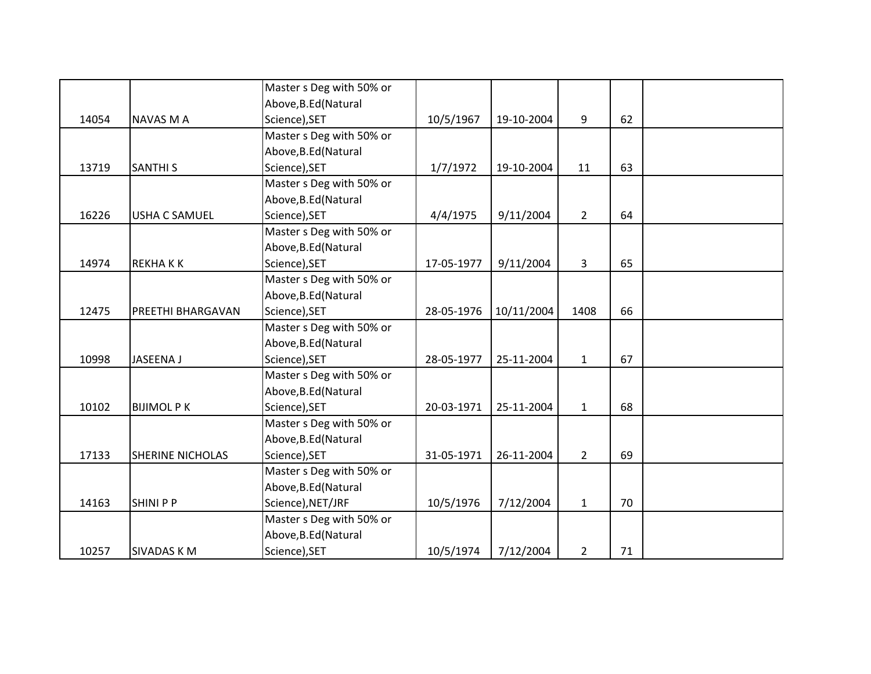|       |                         | Master s Deg with 50% or |            |            |                |    |  |
|-------|-------------------------|--------------------------|------------|------------|----------------|----|--|
|       |                         | Above, B.Ed (Natural     |            |            |                |    |  |
| 14054 | <b>NAVAS M A</b>        | Science), SET            | 10/5/1967  | 19-10-2004 | 9              | 62 |  |
|       |                         | Master s Deg with 50% or |            |            |                |    |  |
|       |                         | Above, B.Ed (Natural     |            |            |                |    |  |
| 13719 | <b>SANTHI S</b>         | Science), SET            | 1/7/1972   | 19-10-2004 | 11             | 63 |  |
|       |                         | Master s Deg with 50% or |            |            |                |    |  |
|       |                         | Above, B.Ed (Natural     |            |            |                |    |  |
| 16226 | <b>USHA C SAMUEL</b>    | Science), SET            | 4/4/1975   | 9/11/2004  | $\overline{2}$ | 64 |  |
|       |                         | Master s Deg with 50% or |            |            |                |    |  |
|       |                         | Above, B.Ed (Natural     |            |            |                |    |  |
| 14974 | <b>REKHAKK</b>          | Science), SET            | 17-05-1977 | 9/11/2004  | 3              | 65 |  |
|       |                         | Master s Deg with 50% or |            |            |                |    |  |
|       |                         | Above, B.Ed (Natural     |            |            |                |    |  |
| 12475 | PREETHI BHARGAVAN       | Science), SET            | 28-05-1976 | 10/11/2004 | 1408           | 66 |  |
|       |                         | Master s Deg with 50% or |            |            |                |    |  |
|       |                         | Above, B.Ed (Natural     |            |            |                |    |  |
| 10998 | <b>JASEENA J</b>        | Science), SET            | 28-05-1977 | 25-11-2004 | $\mathbf{1}$   | 67 |  |
|       |                         | Master s Deg with 50% or |            |            |                |    |  |
|       |                         | Above, B.Ed (Natural     |            |            |                |    |  |
| 10102 | <b>BIJIMOL P K</b>      | Science), SET            | 20-03-1971 | 25-11-2004 | $\mathbf{1}$   | 68 |  |
|       |                         | Master s Deg with 50% or |            |            |                |    |  |
|       |                         | Above, B.Ed (Natural     |            |            |                |    |  |
| 17133 | <b>SHERINE NICHOLAS</b> | Science), SET            | 31-05-1971 | 26-11-2004 | $2^{\circ}$    | 69 |  |
|       |                         | Master s Deg with 50% or |            |            |                |    |  |
|       |                         | Above, B.Ed (Natural     |            |            |                |    |  |
| 14163 | <b>SHINIPP</b>          | Science), NET/JRF        | 10/5/1976  | 7/12/2004  | $\mathbf{1}$   | 70 |  |
|       |                         | Master s Deg with 50% or |            |            |                |    |  |
|       |                         | Above, B.Ed (Natural     |            |            |                |    |  |
| 10257 | <b>SIVADAS KM</b>       | Science), SET            | 10/5/1974  | 7/12/2004  | $\overline{2}$ | 71 |  |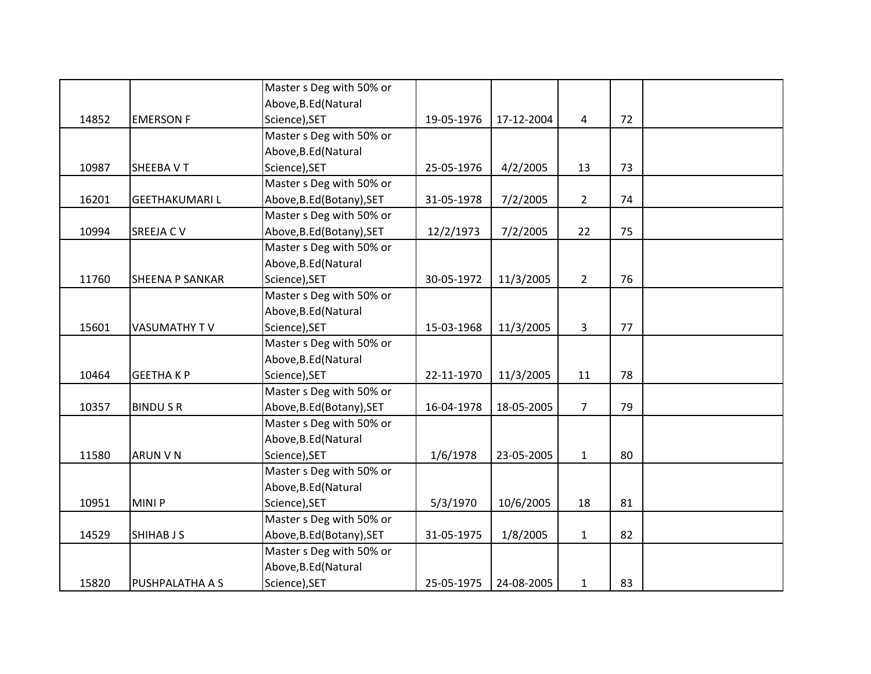|       |                        | Master s Deg with 50% or  |            |            |                |    |  |
|-------|------------------------|---------------------------|------------|------------|----------------|----|--|
|       |                        | Above, B.Ed (Natural      |            |            |                |    |  |
| 14852 | <b>EMERSON F</b>       | Science), SET             | 19-05-1976 | 17-12-2004 | 4              | 72 |  |
|       |                        | Master s Deg with 50% or  |            |            |                |    |  |
|       |                        | Above, B.Ed (Natural      |            |            |                |    |  |
| 10987 | SHEEBA VT              | Science), SET             | 25-05-1976 | 4/2/2005   | 13             | 73 |  |
|       |                        | Master s Deg with 50% or  |            |            |                |    |  |
| 16201 | <b>GEETHAKUMARIL</b>   | Above, B.Ed (Botany), SET | 31-05-1978 | 7/2/2005   | $\overline{2}$ | 74 |  |
|       |                        | Master s Deg with 50% or  |            |            |                |    |  |
| 10994 | <b>SREEJA CV</b>       | Above, B.Ed (Botany), SET | 12/2/1973  | 7/2/2005   | 22             | 75 |  |
|       |                        | Master s Deg with 50% or  |            |            |                |    |  |
|       |                        | Above, B.Ed (Natural      |            |            |                |    |  |
| 11760 | <b>SHEENA P SANKAR</b> | Science), SET             | 30-05-1972 | 11/3/2005  | $\overline{2}$ | 76 |  |
|       |                        | Master s Deg with 50% or  |            |            |                |    |  |
|       |                        | Above, B.Ed (Natural      |            |            |                |    |  |
| 15601 | VASUMATHY TV           | Science), SET             | 15-03-1968 | 11/3/2005  | 3              | 77 |  |
|       |                        | Master s Deg with 50% or  |            |            |                |    |  |
|       |                        | Above, B.Ed (Natural      |            |            |                |    |  |
| 10464 | <b>GEETHAKP</b>        | Science), SET             | 22-11-1970 | 11/3/2005  | 11             | 78 |  |
|       |                        | Master s Deg with 50% or  |            |            |                |    |  |
| 10357 | <b>BINDUSR</b>         | Above, B.Ed (Botany), SET | 16-04-1978 | 18-05-2005 | $\overline{7}$ | 79 |  |
|       |                        | Master s Deg with 50% or  |            |            |                |    |  |
|       |                        | Above, B.Ed (Natural      |            |            |                |    |  |
| 11580 | <b>ARUN V N</b>        | Science), SET             | 1/6/1978   | 23-05-2005 | $\mathbf{1}$   | 80 |  |
|       |                        | Master s Deg with 50% or  |            |            |                |    |  |
|       |                        | Above, B.Ed (Natural      |            |            |                |    |  |
| 10951 | <b>MINIP</b>           | Science), SET             | 5/3/1970   | 10/6/2005  | 18             | 81 |  |
|       |                        | Master s Deg with 50% or  |            |            |                |    |  |
| 14529 | <b>SHIHAB J S</b>      | Above, B.Ed (Botany), SET | 31-05-1975 | 1/8/2005   | $\mathbf{1}$   | 82 |  |
|       |                        | Master s Deg with 50% or  |            |            |                |    |  |
|       |                        | Above, B.Ed (Natural      |            |            |                |    |  |
| 15820 | PUSHPALATHA A S        | Science), SET             | 25-05-1975 | 24-08-2005 | $\mathbf{1}$   | 83 |  |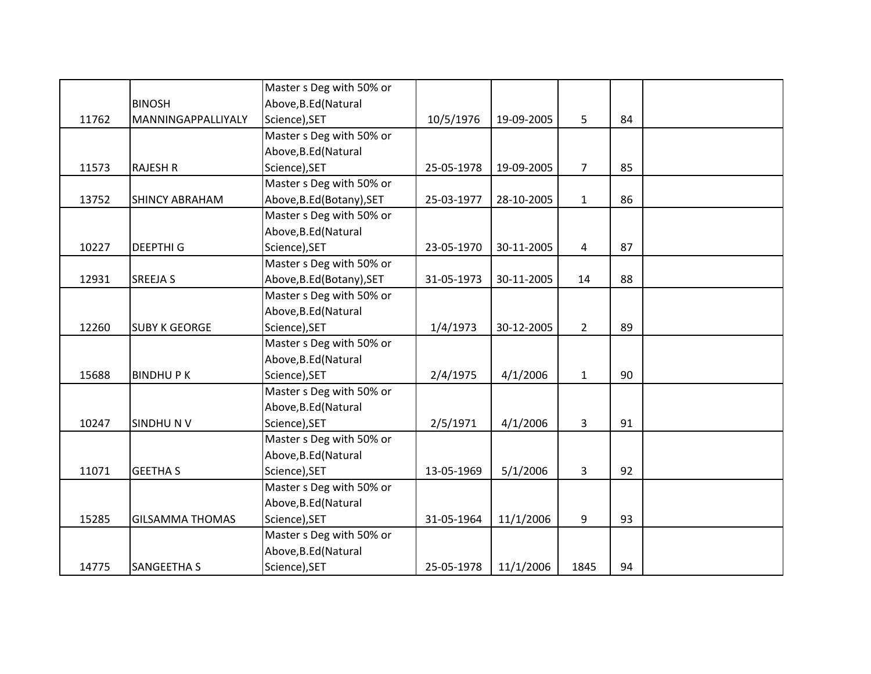|       |                        | Master s Deg with 50% or  |            |            |                |    |  |
|-------|------------------------|---------------------------|------------|------------|----------------|----|--|
|       | <b>BINOSH</b>          | Above, B.Ed (Natural      |            |            |                |    |  |
| 11762 | MANNINGAPPALLIYALY     | Science), SET             | 10/5/1976  | 19-09-2005 | 5              | 84 |  |
|       |                        | Master s Deg with 50% or  |            |            |                |    |  |
|       |                        | Above, B.Ed (Natural      |            |            |                |    |  |
| 11573 | <b>RAJESH R</b>        | Science), SET             | 25-05-1978 | 19-09-2005 | 7 <sup>1</sup> | 85 |  |
|       |                        | Master s Deg with 50% or  |            |            |                |    |  |
| 13752 | <b>SHINCY ABRAHAM</b>  | Above, B.Ed (Botany), SET | 25-03-1977 | 28-10-2005 | $\mathbf{1}$   | 86 |  |
|       |                        | Master s Deg with 50% or  |            |            |                |    |  |
|       |                        | Above, B.Ed (Natural      |            |            |                |    |  |
| 10227 | <b>DEEPTHIG</b>        | Science), SET             | 23-05-1970 | 30-11-2005 | 4              | 87 |  |
|       |                        | Master s Deg with 50% or  |            |            |                |    |  |
| 12931 | <b>SREEJA S</b>        | Above, B.Ed (Botany), SET | 31-05-1973 | 30-11-2005 | 14             | 88 |  |
|       |                        | Master s Deg with 50% or  |            |            |                |    |  |
|       |                        | Above, B.Ed (Natural      |            |            |                |    |  |
| 12260 | <b>SUBY K GEORGE</b>   | Science), SET             | 1/4/1973   | 30-12-2005 | $2^{\circ}$    | 89 |  |
|       |                        | Master s Deg with 50% or  |            |            |                |    |  |
|       |                        | Above, B.Ed (Natural      |            |            |                |    |  |
| 15688 | <b>BINDHUPK</b>        | Science), SET             | 2/4/1975   | 4/1/2006   | $\mathbf{1}$   | 90 |  |
|       |                        | Master s Deg with 50% or  |            |            |                |    |  |
|       |                        | Above, B.Ed (Natural      |            |            |                |    |  |
| 10247 | <b>SINDHUNV</b>        | Science), SET             | 2/5/1971   | 4/1/2006   | 3              | 91 |  |
|       |                        | Master s Deg with 50% or  |            |            |                |    |  |
|       |                        | Above, B.Ed (Natural      |            |            |                |    |  |
| 11071 | <b>GEETHA S</b>        | Science), SET             | 13-05-1969 | 5/1/2006   | 3              | 92 |  |
|       |                        | Master s Deg with 50% or  |            |            |                |    |  |
|       |                        | Above, B.Ed (Natural      |            |            |                |    |  |
| 15285 | <b>GILSAMMA THOMAS</b> | Science), SET             | 31-05-1964 | 11/1/2006  | 9              | 93 |  |
|       |                        | Master s Deg with 50% or  |            |            |                |    |  |
|       |                        | Above, B.Ed (Natural      |            |            |                |    |  |
| 14775 | SANGEETHA S            | Science), SET             | 25-05-1978 | 11/1/2006  | 1845           | 94 |  |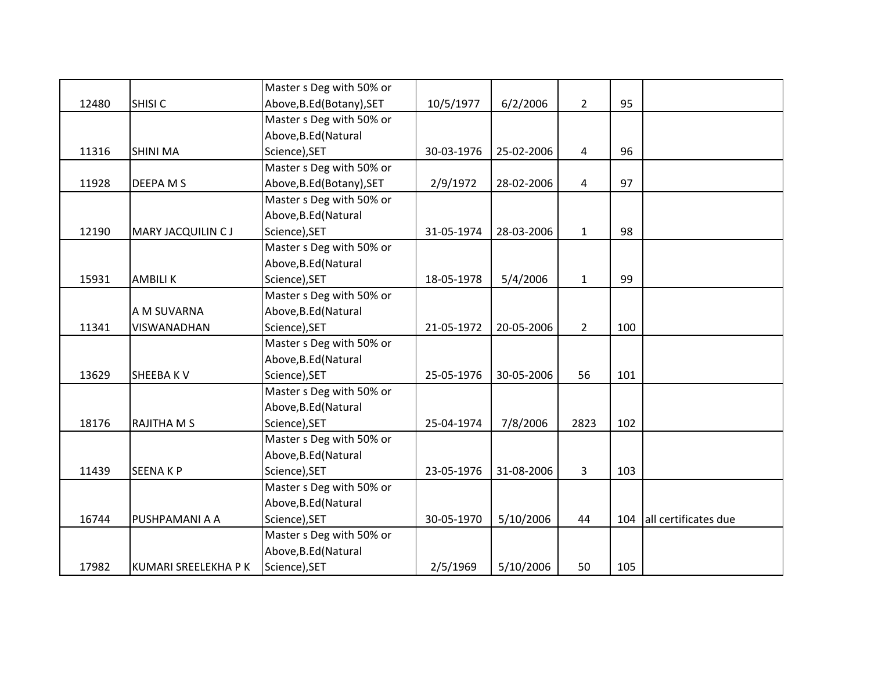|       |                      | Master s Deg with 50% or  |            |            |                |     |                      |
|-------|----------------------|---------------------------|------------|------------|----------------|-----|----------------------|
| 12480 | SHISI <sub>C</sub>   | Above, B.Ed (Botany), SET | 10/5/1977  | 6/2/2006   | $2^{\circ}$    | 95  |                      |
|       |                      | Master s Deg with 50% or  |            |            |                |     |                      |
|       |                      | Above, B.Ed (Natural      |            |            |                |     |                      |
| 11316 | <b>SHINI MA</b>      | Science), SET             | 30-03-1976 | 25-02-2006 | 4              | 96  |                      |
|       |                      | Master s Deg with 50% or  |            |            |                |     |                      |
| 11928 | DEEPA M S            | Above, B.Ed (Botany), SET | 2/9/1972   | 28-02-2006 | 4              | 97  |                      |
|       |                      | Master s Deg with 50% or  |            |            |                |     |                      |
|       |                      | Above, B.Ed (Natural      |            |            |                |     |                      |
| 12190 | MARY JACQUILIN CJ    | Science), SET             | 31-05-1974 | 28-03-2006 | $\mathbf{1}$   | 98  |                      |
|       |                      | Master s Deg with 50% or  |            |            |                |     |                      |
|       |                      | Above, B.Ed (Natural      |            |            |                |     |                      |
| 15931 | <b>AMBILIK</b>       | Science), SET             | 18-05-1978 | 5/4/2006   | $\mathbf{1}$   | 99  |                      |
|       |                      | Master s Deg with 50% or  |            |            |                |     |                      |
|       | A M SUVARNA          | Above, B.Ed (Natural      |            |            |                |     |                      |
| 11341 | VISWANADHAN          | Science), SET             | 21-05-1972 | 20-05-2006 | $\overline{2}$ | 100 |                      |
|       |                      | Master s Deg with 50% or  |            |            |                |     |                      |
|       |                      | Above, B.Ed (Natural      |            |            |                |     |                      |
| 13629 | <b>SHEEBAKV</b>      | Science), SET             | 25-05-1976 | 30-05-2006 | 56             | 101 |                      |
|       |                      | Master s Deg with 50% or  |            |            |                |     |                      |
|       |                      | Above, B.Ed (Natural      |            |            |                |     |                      |
| 18176 | RAJITHA M S          | Science), SET             | 25-04-1974 | 7/8/2006   | 2823           | 102 |                      |
|       |                      | Master s Deg with 50% or  |            |            |                |     |                      |
|       |                      | Above, B.Ed (Natural      |            |            |                |     |                      |
| 11439 | <b>SEENAKP</b>       | Science), SET             | 23-05-1976 | 31-08-2006 | 3              | 103 |                      |
|       |                      | Master s Deg with 50% or  |            |            |                |     |                      |
|       |                      | Above, B.Ed (Natural      |            |            |                |     |                      |
| 16744 | PUSHPAMANI A A       | Science), SET             | 30-05-1970 | 5/10/2006  | 44             | 104 | all certificates due |
|       |                      | Master s Deg with 50% or  |            |            |                |     |                      |
|       |                      | Above, B.Ed (Natural      |            |            |                |     |                      |
| 17982 | KUMARI SREELEKHA P K | Science), SET             | 2/5/1969   | 5/10/2006  | 50             | 105 |                      |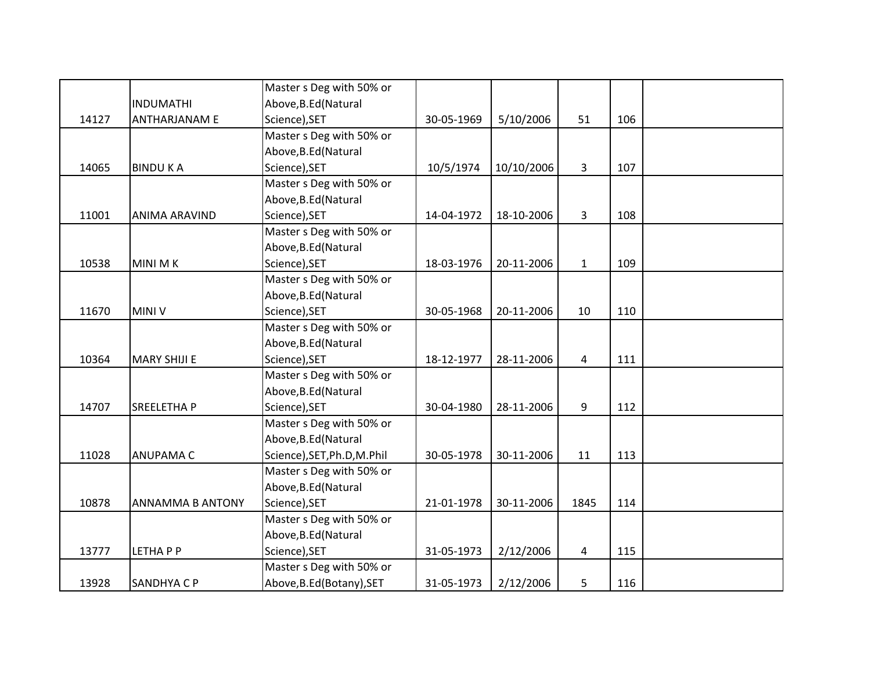|       |                         | Master s Deg with 50% or    |            |            |                |     |  |
|-------|-------------------------|-----------------------------|------------|------------|----------------|-----|--|
|       | <b>INDUMATHI</b>        | Above, B.Ed (Natural        |            |            |                |     |  |
| 14127 | <b>ANTHARJANAM E</b>    | Science), SET               | 30-05-1969 | 5/10/2006  | 51             | 106 |  |
|       |                         | Master s Deg with 50% or    |            |            |                |     |  |
|       |                         | Above, B.Ed (Natural        |            |            |                |     |  |
| 14065 | <b>BINDUKA</b>          | Science), SET               | 10/5/1974  | 10/10/2006 | 3              | 107 |  |
|       |                         | Master s Deg with 50% or    |            |            |                |     |  |
|       |                         | Above, B.Ed (Natural        |            |            |                |     |  |
| 11001 | ANIMA ARAVIND           | Science), SET               | 14-04-1972 | 18-10-2006 | $\overline{3}$ | 108 |  |
|       |                         | Master s Deg with 50% or    |            |            |                |     |  |
|       |                         | Above, B.Ed (Natural        |            |            |                |     |  |
| 10538 | <b>MINI MK</b>          | Science), SET               | 18-03-1976 | 20-11-2006 | $\mathbf{1}$   | 109 |  |
|       |                         | Master s Deg with 50% or    |            |            |                |     |  |
|       |                         | Above, B.Ed (Natural        |            |            |                |     |  |
| 11670 | <b>MINI V</b>           | Science), SET               | 30-05-1968 | 20-11-2006 | 10             | 110 |  |
|       |                         | Master s Deg with 50% or    |            |            |                |     |  |
|       |                         | Above, B.Ed (Natural        |            |            |                |     |  |
| 10364 | <b>MARY SHIJI E</b>     | Science), SET               | 18-12-1977 | 28-11-2006 | 4              | 111 |  |
|       |                         | Master s Deg with 50% or    |            |            |                |     |  |
|       |                         | Above, B.Ed (Natural        |            |            |                |     |  |
| 14707 | <b>SREELETHAP</b>       | Science), SET               | 30-04-1980 | 28-11-2006 | 9              | 112 |  |
|       |                         | Master s Deg with 50% or    |            |            |                |     |  |
|       |                         | Above, B.Ed (Natural        |            |            |                |     |  |
| 11028 | <b>ANUPAMA C</b>        | Science), SET, Ph.D, M.Phil | 30-05-1978 | 30-11-2006 | 11             | 113 |  |
|       |                         | Master s Deg with 50% or    |            |            |                |     |  |
|       |                         | Above, B.Ed (Natural        |            |            |                |     |  |
| 10878 | <b>ANNAMMA B ANTONY</b> | Science), SET               | 21-01-1978 | 30-11-2006 | 1845           | 114 |  |
|       |                         | Master s Deg with 50% or    |            |            |                |     |  |
|       |                         | Above, B.Ed (Natural        |            |            |                |     |  |
| 13777 | LETHA P P               | Science), SET               | 31-05-1973 | 2/12/2006  | 4              | 115 |  |
|       |                         | Master s Deg with 50% or    |            |            |                |     |  |
| 13928 | <b>SANDHYA C P</b>      | Above, B.Ed (Botany), SET   | 31-05-1973 | 2/12/2006  | 5              | 116 |  |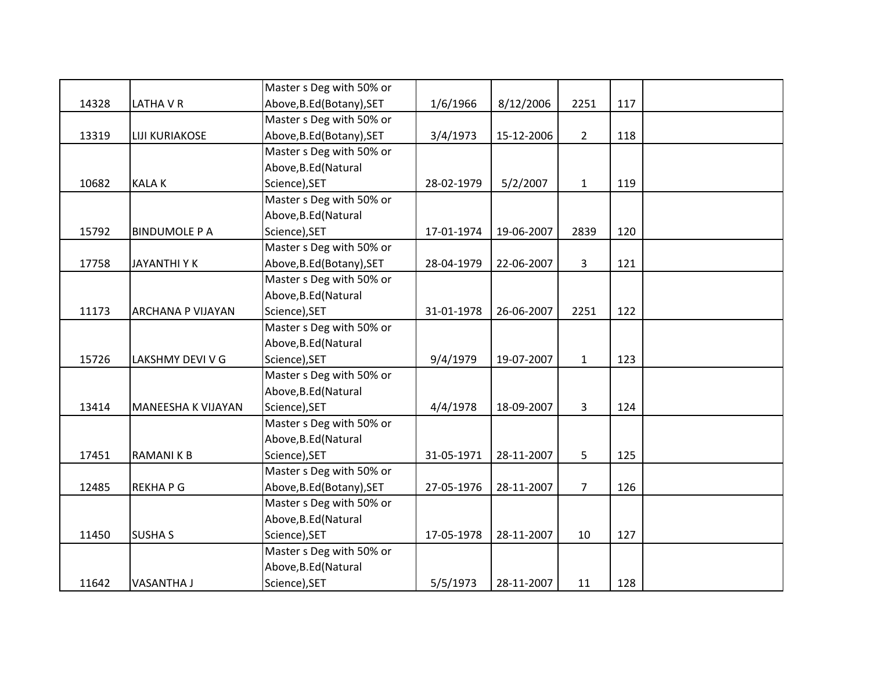|       |                           | Master s Deg with 50% or  |            |            |                 |     |  |
|-------|---------------------------|---------------------------|------------|------------|-----------------|-----|--|
| 14328 | LATHA V R                 | Above, B.Ed (Botany), SET | 1/6/1966   | 8/12/2006  | 2251            | 117 |  |
|       |                           | Master s Deg with 50% or  |            |            |                 |     |  |
| 13319 | <b>LIJI KURIAKOSE</b>     | Above, B.Ed (Botany), SET | 3/4/1973   | 15-12-2006 | $2^{\circ}$     | 118 |  |
|       |                           | Master s Deg with 50% or  |            |            |                 |     |  |
|       |                           | Above, B.Ed (Natural      |            |            |                 |     |  |
| 10682 | <b>KALAK</b>              | Science), SET             | 28-02-1979 | 5/2/2007   | $\mathbf{1}$    | 119 |  |
|       |                           | Master s Deg with 50% or  |            |            |                 |     |  |
|       |                           | Above, B.Ed (Natural      |            |            |                 |     |  |
| 15792 | <b>BINDUMOLE P A</b>      | Science), SET             | 17-01-1974 | 19-06-2007 | 2839            | 120 |  |
|       |                           | Master s Deg with 50% or  |            |            |                 |     |  |
| 17758 | <b>JAYANTHIYK</b>         | Above, B.Ed (Botany), SET | 28-04-1979 | 22-06-2007 | $\overline{3}$  | 121 |  |
|       |                           | Master s Deg with 50% or  |            |            |                 |     |  |
|       |                           | Above, B.Ed (Natural      |            |            |                 |     |  |
| 11173 | <b>ARCHANA P VIJAYAN</b>  | Science), SET             | 31-01-1978 | 26-06-2007 | 2251            | 122 |  |
|       |                           | Master s Deg with 50% or  |            |            |                 |     |  |
|       |                           | Above, B.Ed (Natural      |            |            |                 |     |  |
| 15726 | LAKSHMY DEVI V G          | Science), SET             | 9/4/1979   | 19-07-2007 | $\mathbf{1}$    | 123 |  |
|       |                           | Master s Deg with 50% or  |            |            |                 |     |  |
|       |                           | Above, B.Ed (Natural      |            |            |                 |     |  |
| 13414 | <b>MANEESHA K VIJAYAN</b> | Science), SET             | 4/4/1978   | 18-09-2007 | 3               | 124 |  |
|       |                           | Master s Deg with 50% or  |            |            |                 |     |  |
|       |                           | Above, B.Ed (Natural      |            |            |                 |     |  |
| 17451 | <b>RAMANIKB</b>           | Science), SET             | 31-05-1971 | 28-11-2007 | 5               | 125 |  |
|       |                           | Master s Deg with 50% or  |            |            |                 |     |  |
| 12485 | <b>REKHAPG</b>            | Above, B.Ed (Botany), SET | 27-05-1976 | 28-11-2007 | $7\overline{ }$ | 126 |  |
|       |                           | Master s Deg with 50% or  |            |            |                 |     |  |
|       |                           | Above, B.Ed (Natural      |            |            |                 |     |  |
| 11450 | <b>SUSHA S</b>            | Science), SET             | 17-05-1978 | 28-11-2007 | 10              | 127 |  |
|       |                           | Master s Deg with 50% or  |            |            |                 |     |  |
|       |                           | Above, B.Ed (Natural      |            |            |                 |     |  |
| 11642 | <b>VASANTHA J</b>         | Science), SET             | 5/5/1973   | 28-11-2007 | 11              | 128 |  |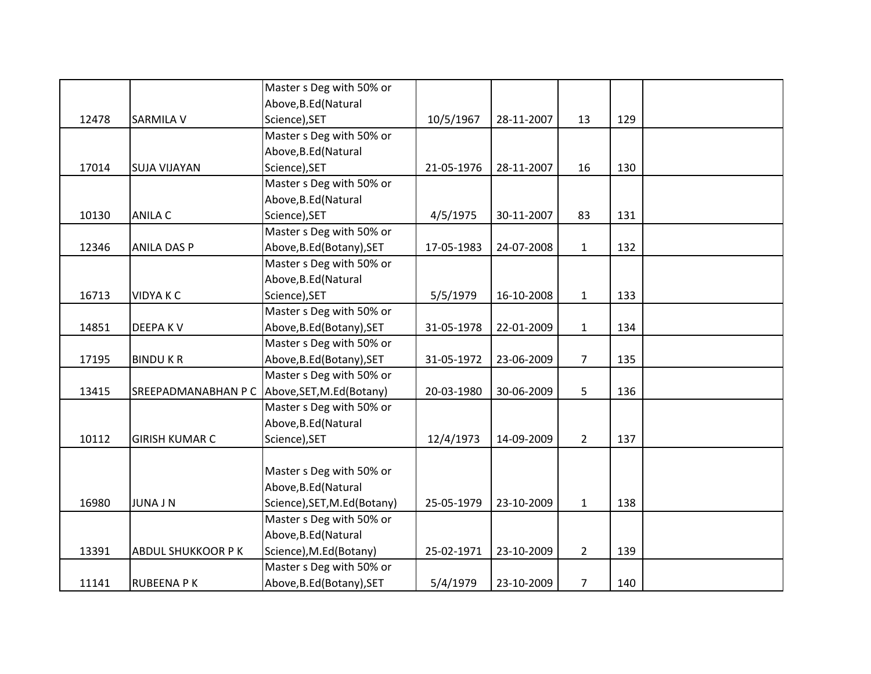|       |                       | Master s Deg with 50% or    |            |            |                |     |  |
|-------|-----------------------|-----------------------------|------------|------------|----------------|-----|--|
|       |                       | Above, B.Ed (Natural        |            |            |                |     |  |
| 12478 | <b>SARMILA V</b>      | Science), SET               | 10/5/1967  | 28-11-2007 | 13             | 129 |  |
|       |                       | Master s Deg with 50% or    |            |            |                |     |  |
|       |                       | Above, B.Ed (Natural        |            |            |                |     |  |
| 17014 | <b>SUJA VIJAYAN</b>   | Science), SET               | 21-05-1976 | 28-11-2007 | 16             | 130 |  |
|       |                       | Master s Deg with 50% or    |            |            |                |     |  |
|       |                       | Above, B.Ed (Natural        |            |            |                |     |  |
| 10130 | <b>ANILA C</b>        | Science), SET               | 4/5/1975   | 30-11-2007 | 83             | 131 |  |
|       |                       | Master s Deg with 50% or    |            |            |                |     |  |
| 12346 | <b>ANILA DAS P</b>    | Above, B.Ed (Botany), SET   | 17-05-1983 | 24-07-2008 | $\mathbf{1}$   | 132 |  |
|       |                       | Master s Deg with 50% or    |            |            |                |     |  |
|       |                       | Above, B.Ed (Natural        |            |            |                |     |  |
| 16713 | <b>VIDYAKC</b>        | Science), SET               | 5/5/1979   | 16-10-2008 | $\mathbf{1}$   | 133 |  |
|       |                       | Master s Deg with 50% or    |            |            |                |     |  |
| 14851 | <b>DEEPAKV</b>        | Above, B.Ed (Botany), SET   | 31-05-1978 | 22-01-2009 | $\mathbf{1}$   | 134 |  |
|       |                       | Master s Deg with 50% or    |            |            |                |     |  |
| 17195 | <b>BINDUKR</b>        | Above, B.Ed (Botany), SET   | 31-05-1972 | 23-06-2009 | $\overline{7}$ | 135 |  |
|       |                       | Master s Deg with 50% or    |            |            |                |     |  |
| 13415 | SREEPADMANABHAN P C   | Above, SET, M.Ed (Botany)   | 20-03-1980 | 30-06-2009 | 5 <sup>1</sup> | 136 |  |
|       |                       | Master s Deg with 50% or    |            |            |                |     |  |
|       |                       | Above, B.Ed (Natural        |            |            |                |     |  |
| 10112 | <b>GIRISH KUMAR C</b> | Science), SET               | 12/4/1973  | 14-09-2009 | $2^{\circ}$    | 137 |  |
|       |                       |                             |            |            |                |     |  |
|       |                       | Master s Deg with 50% or    |            |            |                |     |  |
|       |                       | Above, B.Ed (Natural        |            |            |                |     |  |
| 16980 | <b>JUNA J N</b>       | Science), SET, M.Ed(Botany) | 25-05-1979 | 23-10-2009 | $\mathbf{1}$   | 138 |  |
|       |                       | Master s Deg with 50% or    |            |            |                |     |  |
|       |                       | Above, B.Ed (Natural        |            |            |                |     |  |
| 13391 | ABDUL SHUKKOOR P K    | Science), M.Ed(Botany)      | 25-02-1971 | 23-10-2009 | $\overline{2}$ | 139 |  |
|       |                       | Master s Deg with 50% or    |            |            |                |     |  |
| 11141 | <b>RUBEENA PK</b>     | Above, B.Ed (Botany), SET   | 5/4/1979   | 23-10-2009 | $\overline{7}$ | 140 |  |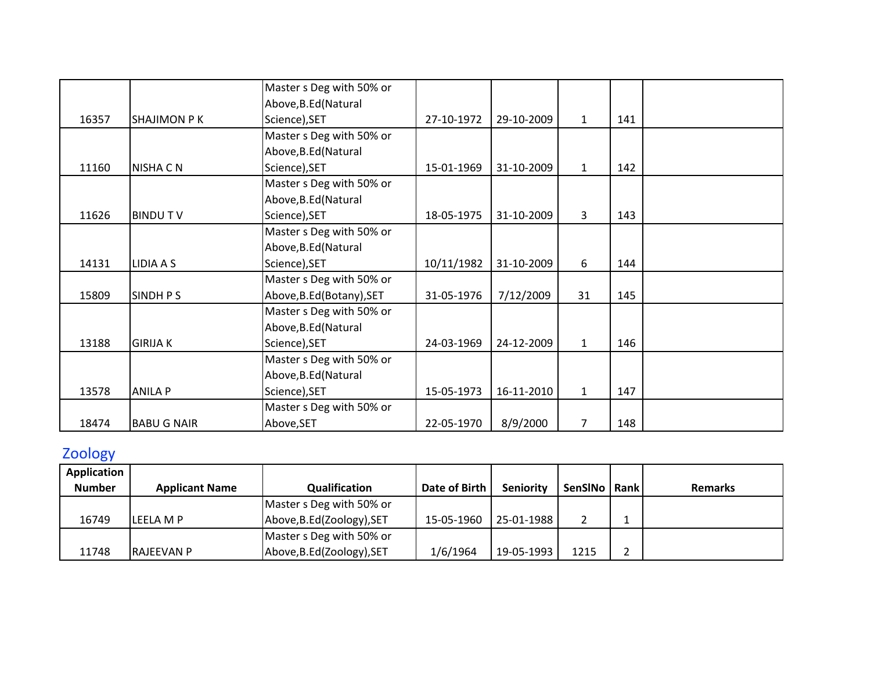|       |                    | Master s Deg with 50% or  |            |            |                |     |  |
|-------|--------------------|---------------------------|------------|------------|----------------|-----|--|
|       |                    | Above, B.Ed (Natural      |            |            |                |     |  |
| 16357 | <b>SHAJIMON PK</b> | Science), SET             | 27-10-1972 | 29-10-2009 | $\mathbf{1}$   | 141 |  |
|       |                    | Master s Deg with 50% or  |            |            |                |     |  |
|       |                    | Above, B.Ed (Natural      |            |            |                |     |  |
| 11160 | <b>NISHA C N</b>   | Science), SET             | 15-01-1969 | 31-10-2009 | $\mathbf{1}$   | 142 |  |
|       |                    | Master s Deg with 50% or  |            |            |                |     |  |
|       |                    | Above, B.Ed (Natural      |            |            |                |     |  |
| 11626 | <b>BINDUTV</b>     | Science), SET             | 18-05-1975 | 31-10-2009 | 3              | 143 |  |
|       |                    | Master s Deg with 50% or  |            |            |                |     |  |
|       |                    | Above, B.Ed (Natural      |            |            |                |     |  |
| 14131 | LIDIA A S          | Science), SET             | 10/11/1982 | 31-10-2009 | 6              | 144 |  |
|       |                    | Master s Deg with 50% or  |            |            |                |     |  |
| 15809 | SINDH P S          | Above, B.Ed (Botany), SET | 31-05-1976 | 7/12/2009  | 31             | 145 |  |
|       |                    | Master s Deg with 50% or  |            |            |                |     |  |
|       |                    | Above, B.Ed (Natural      |            |            |                |     |  |
| 13188 | <b>GIRIJA K</b>    | Science), SET             | 24-03-1969 | 24-12-2009 | $\mathbf{1}$   | 146 |  |
|       |                    | Master s Deg with 50% or  |            |            |                |     |  |
|       |                    | Above, B.Ed (Natural      |            |            |                |     |  |
| 13578 | <b>ANILA P</b>     | Science), SET             | 15-05-1973 | 16-11-2010 | $\mathbf{1}$   | 147 |  |
|       |                    | Master s Deg with 50% or  |            |            |                |     |  |
| 18474 | <b>BABU G NAIR</b> | Above, SET                | 22-05-1970 | 8/9/2000   | $\overline{7}$ | 148 |  |

## Zoology

| Application   |                       |                            |               |                  |                |                |
|---------------|-----------------------|----------------------------|---------------|------------------|----------------|----------------|
| <b>Number</b> | <b>Applicant Name</b> | Qualification              | Date of Birth | <b>Seniority</b> | SenSINo   Rank | <b>Remarks</b> |
|               |                       | Master s Deg with 50% or   |               |                  |                |                |
| 16749         | LEELA M P             | Above, B.Ed (Zoology), SET | 15-05-1960    | 25-01-1988       |                |                |
|               |                       | Master s Deg with 50% or   |               |                  |                |                |
| 11748         | <b>RAJEEVAN P</b>     | Above, B.Ed (Zoology), SET | 1/6/1964      | 19-05-1993       | 1215           |                |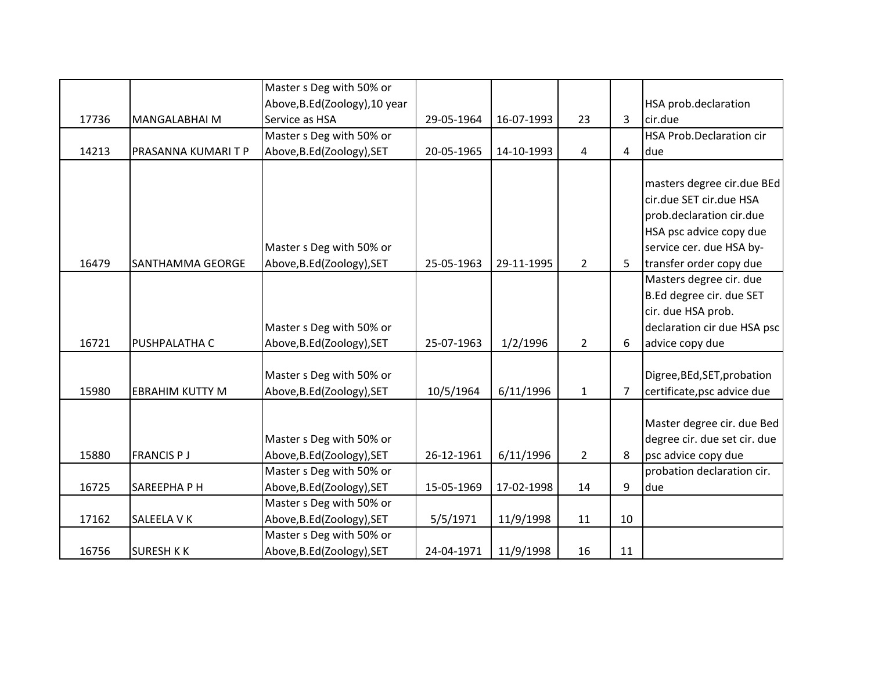|       |                        | Master s Deg with 50% or      |            |            |                |                |                                 |
|-------|------------------------|-------------------------------|------------|------------|----------------|----------------|---------------------------------|
|       |                        | Above, B.Ed(Zoology), 10 year |            |            |                |                | HSA prob.declaration            |
| 17736 | <b>MANGALABHAI M</b>   | Service as HSA                | 29-05-1964 | 16-07-1993 | 23             | 3              | cir.due                         |
|       |                        | Master s Deg with 50% or      |            |            |                |                | <b>HSA Prob.Declaration cir</b> |
| 14213 | PRASANNA KUMARI T P    | Above, B.Ed (Zoology), SET    | 20-05-1965 | 14-10-1993 | 4              | 4              | due                             |
|       |                        |                               |            |            |                |                |                                 |
|       |                        |                               |            |            |                |                | masters degree cir.due BEd      |
|       |                        |                               |            |            |                |                | cir.due SET cir.due HSA         |
|       |                        |                               |            |            |                |                | prob.declaration cir.due        |
|       |                        |                               |            |            |                |                | HSA psc advice copy due         |
|       |                        | Master s Deg with 50% or      |            |            |                |                | service cer. due HSA by-        |
| 16479 | SANTHAMMA GEORGE       | Above, B.Ed(Zoology), SET     | 25-05-1963 | 29-11-1995 | $\overline{2}$ | 5              | transfer order copy due         |
|       |                        |                               |            |            |                |                | Masters degree cir. due         |
|       |                        |                               |            |            |                |                | B.Ed degree cir. due SET        |
|       |                        |                               |            |            |                |                | cir. due HSA prob.              |
|       |                        | Master s Deg with 50% or      |            |            |                |                | declaration cir due HSA psc     |
| 16721 | PUSHPALATHA C          | Above, B.Ed (Zoology), SET    | 25-07-1963 | 1/2/1996   | $\overline{2}$ | 6              | advice copy due                 |
|       |                        |                               |            |            |                |                |                                 |
|       |                        | Master s Deg with 50% or      |            |            |                |                | Digree, BEd, SET, probation     |
| 15980 | <b>EBRAHIM KUTTY M</b> | Above, B.Ed(Zoology), SET     | 10/5/1964  | 6/11/1996  | $\mathbf{1}$   | $\overline{7}$ | certificate, psc advice due     |
|       |                        |                               |            |            |                |                |                                 |
|       |                        |                               |            |            |                |                | Master degree cir. due Bed      |
|       |                        | Master s Deg with 50% or      |            |            |                |                | degree cir. due set cir. due    |
| 15880 | <b>FRANCIS PJ</b>      | Above, B.Ed(Zoology), SET     | 26-12-1961 | 6/11/1996  | $\overline{2}$ | 8              | psc advice copy due             |
|       |                        | Master s Deg with 50% or      |            |            |                |                | probation declaration cir.      |
| 16725 | SAREEPHAPH             | Above, B.Ed (Zoology), SET    | 15-05-1969 | 17-02-1998 | 14             | 9              | due                             |
|       |                        | Master s Deg with 50% or      |            |            |                |                |                                 |
| 17162 | SALEELA V K            | Above, B.Ed(Zoology), SET     | 5/5/1971   | 11/9/1998  | 11             | 10             |                                 |
|       |                        | Master s Deg with 50% or      |            |            |                |                |                                 |
| 16756 | <b>SURESH KK</b>       | Above, B.Ed (Zoology), SET    | 24-04-1971 | 11/9/1998  | 16             | 11             |                                 |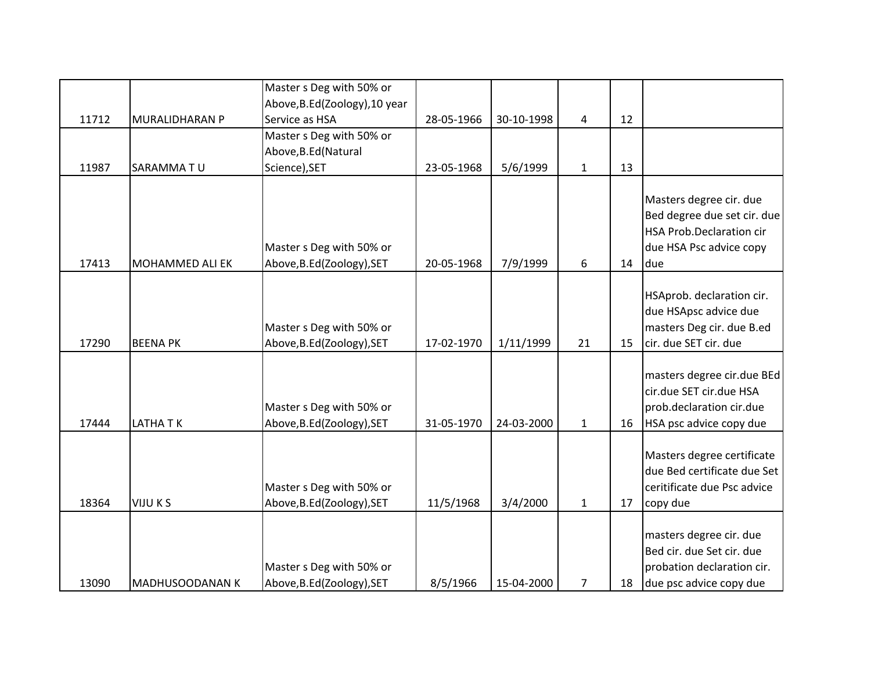|       |                        | Master s Deg with 50% or                               |            |            |                |    |                                                                                                                             |
|-------|------------------------|--------------------------------------------------------|------------|------------|----------------|----|-----------------------------------------------------------------------------------------------------------------------------|
|       |                        | Above, B.Ed(Zoology), 10 year                          |            |            |                |    |                                                                                                                             |
| 11712 | <b>MURALIDHARAN P</b>  | Service as HSA                                         | 28-05-1966 | 30-10-1998 | $\overline{a}$ | 12 |                                                                                                                             |
|       |                        | Master s Deg with 50% or                               |            |            |                |    |                                                                                                                             |
|       |                        | Above, B.Ed (Natural                                   |            |            |                |    |                                                                                                                             |
| 11987 | SARAMMATU              | Science), SET                                          | 23-05-1968 | 5/6/1999   | $\mathbf{1}$   | 13 |                                                                                                                             |
| 17413 | <b>MOHAMMED ALI EK</b> | Master s Deg with 50% or<br>Above, B.Ed(Zoology), SET  | 20-05-1968 | 7/9/1999   | 6              | 14 | Masters degree cir. due<br>Bed degree due set cir. due<br><b>HSA Prob.Declaration cir</b><br>due HSA Psc advice copy<br>due |
| 17290 | <b>BEENA PK</b>        | Master s Deg with 50% or<br>Above, B.Ed(Zoology), SET  | 17-02-1970 | 1/11/1999  | 21             | 15 | HSAprob. declaration cir.<br>due HSApsc advice due<br>masters Deg cir. due B.ed<br>cir. due SET cir. due                    |
| 17444 | <b>LATHATK</b>         | Master s Deg with 50% or<br>Above, B.Ed(Zoology), SET  | 31-05-1970 | 24-03-2000 | $\mathbf{1}$   | 16 | masters degree cir.due BEd<br>cir.due SET cir.due HSA<br>prob.declaration cir.due<br>HSA psc advice copy due                |
| 18364 | <b>VIJU KS</b>         | Master s Deg with 50% or<br>Above, B.Ed (Zoology), SET | 11/5/1968  | 3/4/2000   | $\mathbf{1}$   | 17 | Masters degree certificate<br>due Bed certificate due Set<br>ceritificate due Psc advice<br>copy due                        |
| 13090 | MADHUSOODANAN K        | Master s Deg with 50% or<br>Above, B.Ed(Zoology), SET  | 8/5/1966   | 15-04-2000 | 7              | 18 | masters degree cir. due<br>Bed cir. due Set cir. due<br>probation declaration cir.<br>due psc advice copy due               |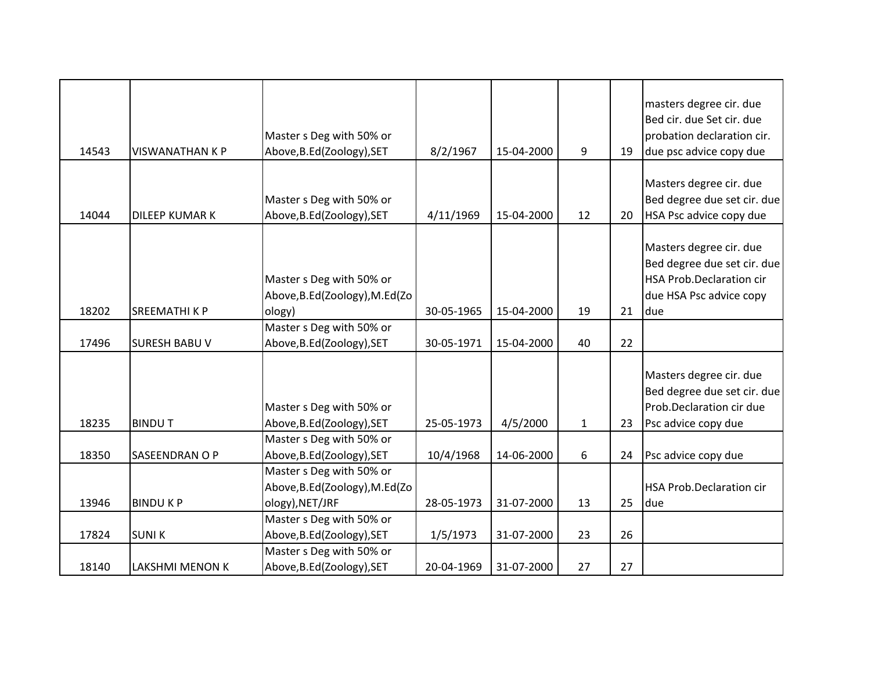| 14543 | <b>VISWANATHAN K P</b> | Master s Deg with 50% or<br>Above, B.Ed(Zoology), SET                        | 8/2/1967   | 15-04-2000 | 9            | 19 | masters degree cir. due<br>Bed cir. due Set cir. due<br>probation declaration cir.<br>due psc advice copy due        |
|-------|------------------------|------------------------------------------------------------------------------|------------|------------|--------------|----|----------------------------------------------------------------------------------------------------------------------|
| 14044 | <b>DILEEP KUMAR K</b>  | Master s Deg with 50% or<br>Above, B.Ed(Zoology), SET                        | 4/11/1969  | 15-04-2000 | 12           | 20 | Masters degree cir. due<br>Bed degree due set cir. due<br>HSA Psc advice copy due                                    |
| 18202 | <b>SREEMATHIKP</b>     | Master s Deg with 50% or<br>Above, B.Ed(Zoology), M.Ed(Zo<br>ology)          | 30-05-1965 | 15-04-2000 | 19           | 21 | Masters degree cir. due<br>Bed degree due set cir. due<br>HSA Prob.Declaration cir<br>due HSA Psc advice copy<br>due |
| 17496 | <b>SURESH BABU V</b>   | Master s Deg with 50% or<br>Above, B.Ed (Zoology), SET                       | 30-05-1971 | 15-04-2000 | 40           | 22 |                                                                                                                      |
| 18235 | <b>BINDUT</b>          | Master s Deg with 50% or<br>Above, B.Ed (Zoology), SET                       | 25-05-1973 | 4/5/2000   | $\mathbf{1}$ | 23 | Masters degree cir. due<br>Bed degree due set cir. due<br>Prob.Declaration cir due<br>Psc advice copy due            |
| 18350 | SASEENDRAN O P         | Master s Deg with 50% or<br>Above, B.Ed(Zoology), SET                        | 10/4/1968  | 14-06-2000 | 6            | 24 | Psc advice copy due                                                                                                  |
| 13946 | <b>BINDUKP</b>         | Master s Deg with 50% or<br>Above, B.Ed(Zoology), M.Ed(Zo<br>ology), NET/JRF | 28-05-1973 | 31-07-2000 | 13           | 25 | HSA Prob.Declaration cir<br>due                                                                                      |
| 17824 | <b>SUNIK</b>           | Master s Deg with 50% or<br>Above, B.Ed (Zoology), SET                       | 1/5/1973   | 31-07-2000 | 23           | 26 |                                                                                                                      |
| 18140 | LAKSHMI MENON K        | Master s Deg with 50% or<br>Above, B.Ed (Zoology), SET                       | 20-04-1969 | 31-07-2000 | 27           | 27 |                                                                                                                      |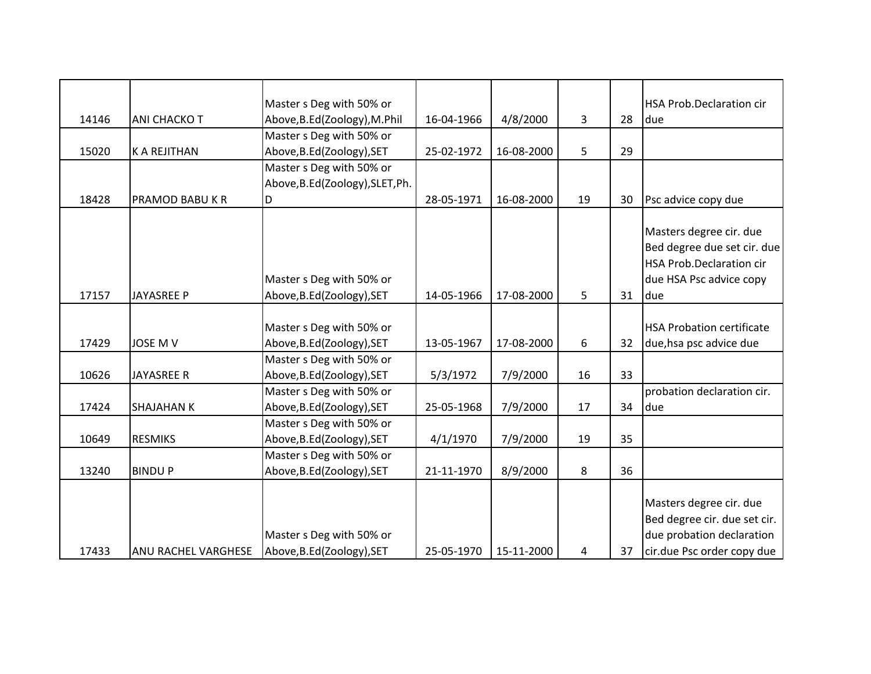|       |                     | Master s Deg with 50% or         |            |            |    |    | <b>HSA Prob.Declaration cir</b>  |
|-------|---------------------|----------------------------------|------------|------------|----|----|----------------------------------|
| 14146 | ANI CHACKO T        | Above, B.Ed(Zoology), M.Phil     | 16-04-1966 | 4/8/2000   | 3  | 28 | due                              |
|       |                     | Master s Deg with 50% or         |            |            |    |    |                                  |
| 15020 | <b>K A REJITHAN</b> | Above, B.Ed(Zoology), SET        | 25-02-1972 | 16-08-2000 | 5  | 29 |                                  |
|       |                     | Master s Deg with 50% or         |            |            |    |    |                                  |
|       |                     | Above, B.Ed (Zoology), SLET, Ph. |            |            |    |    |                                  |
| 18428 | PRAMOD BABU K R     | ID                               | 28-05-1971 | 16-08-2000 | 19 | 30 | Psc advice copy due              |
|       |                     |                                  |            |            |    |    |                                  |
|       |                     |                                  |            |            |    |    | Masters degree cir. due          |
|       |                     |                                  |            |            |    |    | Bed degree due set cir. due      |
|       |                     |                                  |            |            |    |    | <b>HSA Prob.Declaration cir</b>  |
|       |                     | Master s Deg with 50% or         |            |            |    |    | due HSA Psc advice copy          |
| 17157 | <b>JAYASREE P</b>   | Above, B.Ed (Zoology), SET       | 14-05-1966 | 17-08-2000 | 5  | 31 | due                              |
|       |                     |                                  |            |            |    |    |                                  |
|       |                     | Master s Deg with 50% or         |            |            |    |    | <b>HSA Probation certificate</b> |
| 17429 | JOSE M V            | Above, B.Ed (Zoology), SET       | 13-05-1967 | 17-08-2000 | 6  | 32 | due, hsa psc advice due          |
|       |                     | Master s Deg with 50% or         |            |            |    |    |                                  |
| 10626 | <b>JAYASREE R</b>   | Above, B.Ed(Zoology), SET        | 5/3/1972   | 7/9/2000   | 16 | 33 |                                  |
|       |                     | Master s Deg with 50% or         |            |            |    |    | probation declaration cir.       |
| 17424 | <b>SHAJAHAN K</b>   | Above, B.Ed(Zoology), SET        | 25-05-1968 | 7/9/2000   | 17 | 34 | due                              |
|       |                     | Master s Deg with 50% or         |            |            |    |    |                                  |
| 10649 | <b>RESMIKS</b>      | Above, B.Ed (Zoology), SET       | 4/1/1970   | 7/9/2000   | 19 | 35 |                                  |
|       |                     | Master s Deg with 50% or         |            |            |    |    |                                  |
| 13240 | <b>BINDUP</b>       | Above, B.Ed (Zoology), SET       | 21-11-1970 | 8/9/2000   | 8  | 36 |                                  |
|       |                     |                                  |            |            |    |    |                                  |
|       |                     |                                  |            |            |    |    | Masters degree cir. due          |
|       |                     |                                  |            |            |    |    | Bed degree cir. due set cir.     |
|       |                     | Master s Deg with 50% or         |            |            |    |    | due probation declaration        |
| 17433 | ANU RACHEL VARGHESE | Above, B.Ed (Zoology), SET       | 25-05-1970 | 15-11-2000 | 4  | 37 | cir.due Psc order copy due       |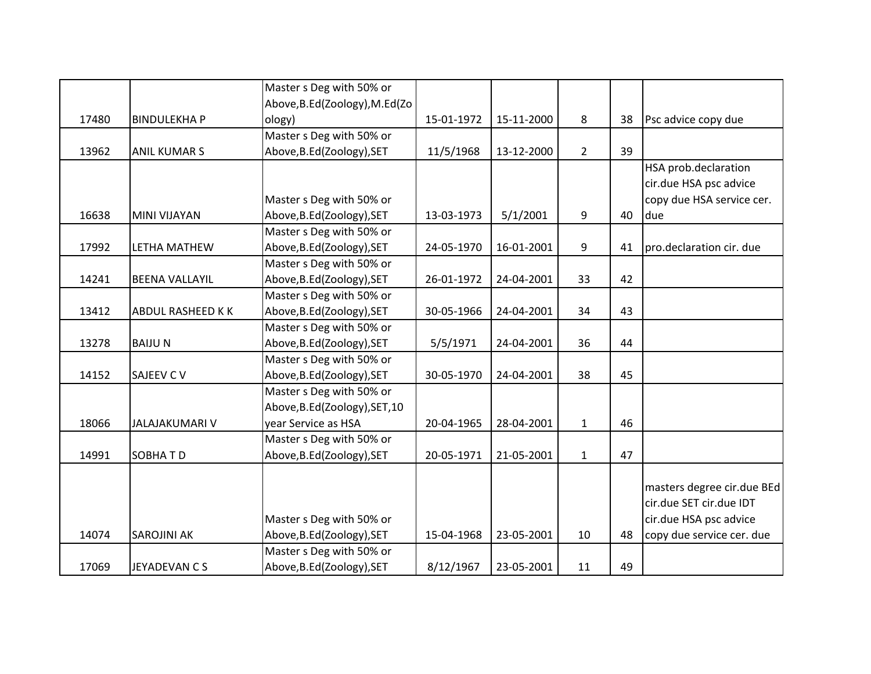| Psc advice copy due<br>HSA prob.declaration<br>cir.due HSA psc advice<br>copy due HSA service cer.<br>due<br>pro.declaration cir. due |
|---------------------------------------------------------------------------------------------------------------------------------------|
|                                                                                                                                       |
|                                                                                                                                       |
|                                                                                                                                       |
|                                                                                                                                       |
|                                                                                                                                       |
|                                                                                                                                       |
|                                                                                                                                       |
|                                                                                                                                       |
|                                                                                                                                       |
|                                                                                                                                       |
|                                                                                                                                       |
|                                                                                                                                       |
|                                                                                                                                       |
|                                                                                                                                       |
|                                                                                                                                       |
|                                                                                                                                       |
|                                                                                                                                       |
|                                                                                                                                       |
|                                                                                                                                       |
|                                                                                                                                       |
|                                                                                                                                       |
|                                                                                                                                       |
|                                                                                                                                       |
|                                                                                                                                       |
|                                                                                                                                       |
| masters degree cir.due BEd                                                                                                            |
| cir.due SET cir.due IDT                                                                                                               |
| cir.due HSA psc advice                                                                                                                |
| copy due service cer. due                                                                                                             |
|                                                                                                                                       |
|                                                                                                                                       |
|                                                                                                                                       |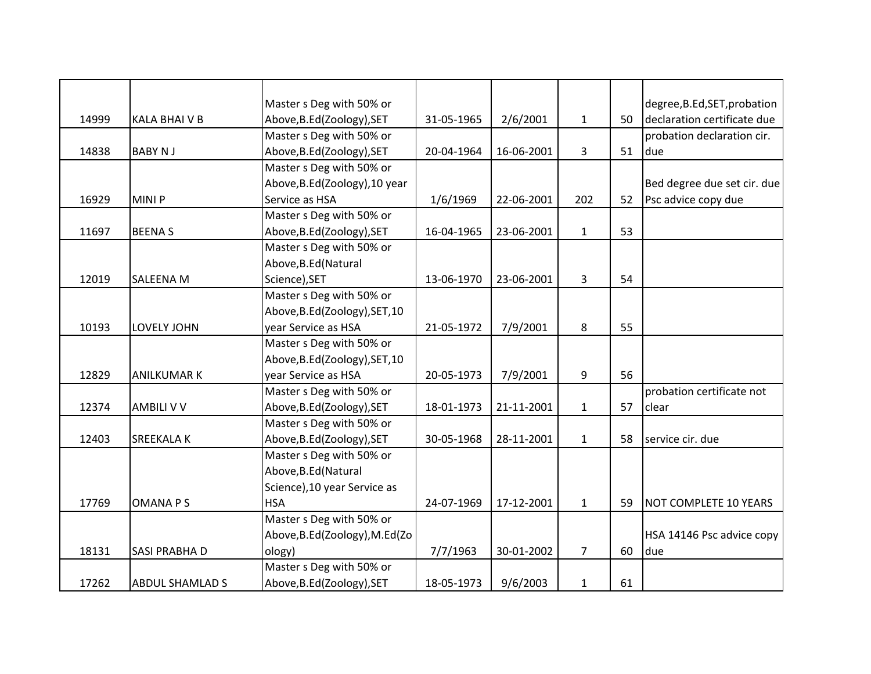|       |                        | Master s Deg with 50% or        |            |            |                |    | degree, B.Ed, SET, probation |
|-------|------------------------|---------------------------------|------------|------------|----------------|----|------------------------------|
| 14999 | <b>KALA BHAIVB</b>     | Above, B.Ed (Zoology), SET      | 31-05-1965 | 2/6/2001   | $\mathbf{1}$   | 50 | declaration certificate due  |
|       |                        | Master s Deg with 50% or        |            |            |                |    | probation declaration cir.   |
| 14838 | <b>BABY NJ</b>         | Above, B.Ed(Zoology), SET       | 20-04-1964 | 16-06-2001 | 3              | 51 | due                          |
|       |                        | Master s Deg with 50% or        |            |            |                |    |                              |
|       |                        | Above, B.Ed (Zoology), 10 year  |            |            |                |    | Bed degree due set cir. due  |
| 16929 | MINI P                 | Service as HSA                  | 1/6/1969   | 22-06-2001 | 202            | 52 | Psc advice copy due          |
|       |                        | Master s Deg with 50% or        |            |            |                |    |                              |
| 11697 | <b>BEENAS</b>          | Above, B.Ed(Zoology), SET       | 16-04-1965 | 23-06-2001 | $\mathbf{1}$   | 53 |                              |
|       |                        | Master s Deg with 50% or        |            |            |                |    |                              |
|       |                        | Above, B.Ed (Natural            |            |            |                |    |                              |
| 12019 | <b>SALEENA M</b>       | Science), SET                   | 13-06-1970 | 23-06-2001 | 3              | 54 |                              |
|       |                        | Master s Deg with 50% or        |            |            |                |    |                              |
|       |                        | Above, B.Ed(Zoology), SET, 10   |            |            |                |    |                              |
| 10193 | LOVELY JOHN            | year Service as HSA             | 21-05-1972 | 7/9/2001   | 8              | 55 |                              |
|       |                        | Master s Deg with 50% or        |            |            |                |    |                              |
|       |                        | Above, B.Ed (Zoology), SET, 10  |            |            |                |    |                              |
| 12829 | <b>ANILKUMAR K</b>     | year Service as HSA             | 20-05-1973 | 7/9/2001   | 9              | 56 |                              |
|       |                        | Master s Deg with 50% or        |            |            |                |    | probation certificate not    |
| 12374 | <b>AMBILI V V</b>      | Above, B.Ed(Zoology), SET       | 18-01-1973 | 21-11-2001 | $\mathbf{1}$   | 57 | clear                        |
|       |                        | Master s Deg with 50% or        |            |            |                |    |                              |
| 12403 | SREEKALA K             | Above, B.Ed(Zoology), SET       | 30-05-1968 | 28-11-2001 | $\mathbf{1}$   | 58 | service cir. due             |
|       |                        | Master s Deg with 50% or        |            |            |                |    |                              |
|       |                        | Above, B.Ed (Natural            |            |            |                |    |                              |
|       |                        | Science), 10 year Service as    |            |            |                |    |                              |
| 17769 | <b>OMANAPS</b>         | <b>HSA</b>                      | 24-07-1969 | 17-12-2001 | $\mathbf{1}$   | 59 | <b>NOT COMPLETE 10 YEARS</b> |
|       |                        | Master s Deg with 50% or        |            |            |                |    |                              |
|       |                        | Above, B.Ed (Zoology), M.Ed (Zo |            |            |                |    | HSA 14146 Psc advice copy    |
| 18131 | SASI PRABHA D          | ology)                          | 7/7/1963   | 30-01-2002 | $\overline{7}$ | 60 | due                          |
|       |                        | Master s Deg with 50% or        |            |            |                |    |                              |
| 17262 | <b>ABDUL SHAMLAD S</b> | Above, B.Ed (Zoology), SET      | 18-05-1973 | 9/6/2003   | $\mathbf{1}$   | 61 |                              |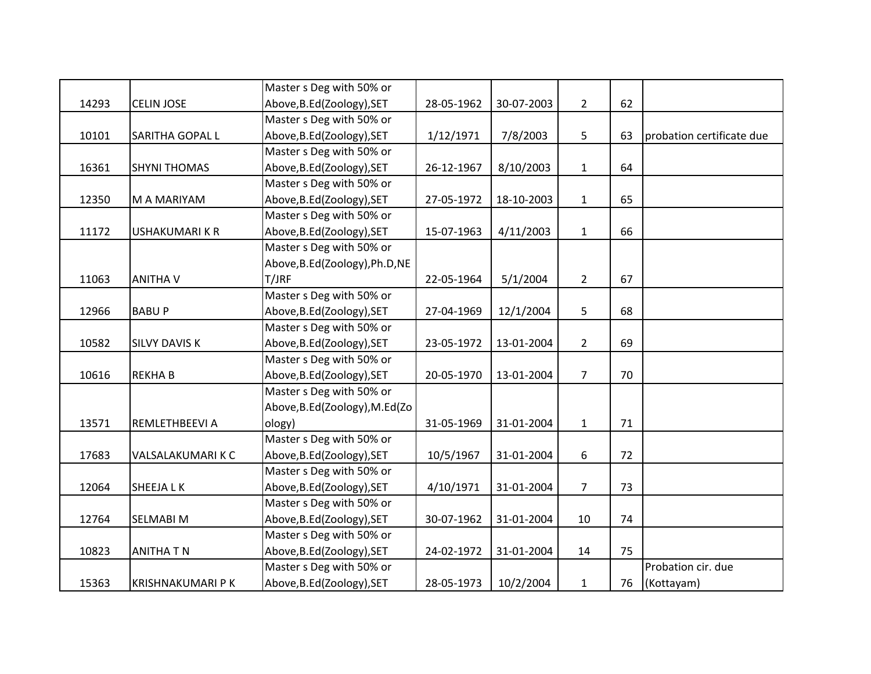|       |                          | Master s Deg with 50% or        |            |            |                |    |                           |
|-------|--------------------------|---------------------------------|------------|------------|----------------|----|---------------------------|
| 14293 | <b>CELIN JOSE</b>        | Above, B.Ed (Zoology), SET      | 28-05-1962 | 30-07-2003 | $2^{\circ}$    | 62 |                           |
|       |                          | Master s Deg with 50% or        |            |            |                |    |                           |
| 10101 | SARITHA GOPAL L          | Above, B.Ed(Zoology), SET       | 1/12/1971  | 7/8/2003   | 5              | 63 | probation certificate due |
|       |                          | Master s Deg with 50% or        |            |            |                |    |                           |
| 16361 | <b>SHYNI THOMAS</b>      | Above, B.Ed(Zoology), SET       | 26-12-1967 | 8/10/2003  | $\mathbf{1}$   | 64 |                           |
|       |                          | Master s Deg with 50% or        |            |            |                |    |                           |
| 12350 | M A MARIYAM              | Above, B.Ed (Zoology), SET      | 27-05-1972 | 18-10-2003 | $\mathbf{1}$   | 65 |                           |
|       |                          | Master s Deg with 50% or        |            |            |                |    |                           |
| 11172 | <b>USHAKUMARIKR</b>      | Above, B.Ed (Zoology), SET      | 15-07-1963 | 4/11/2003  | $\mathbf{1}$   | 66 |                           |
|       |                          | Master s Deg with 50% or        |            |            |                |    |                           |
|       |                          | Above, B.Ed (Zoology), Ph.D, NE |            |            |                |    |                           |
| 11063 | <b>ANITHA V</b>          | T/JRF                           | 22-05-1964 | 5/1/2004   | $\overline{2}$ | 67 |                           |
|       |                          | Master s Deg with 50% or        |            |            |                |    |                           |
| 12966 | <b>BABUP</b>             | Above, B.Ed(Zoology), SET       | 27-04-1969 | 12/1/2004  | 5              | 68 |                           |
|       |                          | Master s Deg with 50% or        |            |            |                |    |                           |
| 10582 | <b>SILVY DAVIS K</b>     | Above, B.Ed(Zoology), SET       | 23-05-1972 | 13-01-2004 | $2^{\circ}$    | 69 |                           |
|       |                          | Master s Deg with 50% or        |            |            |                |    |                           |
| 10616 | <b>REKHAB</b>            | Above, B.Ed(Zoology), SET       | 20-05-1970 | 13-01-2004 | 7              | 70 |                           |
|       |                          | Master s Deg with 50% or        |            |            |                |    |                           |
|       |                          | Above, B.Ed (Zoology), M.Ed (Zo |            |            |                |    |                           |
| 13571 | REMLETHBEEVI A           | ology)                          | 31-05-1969 | 31-01-2004 | $\mathbf{1}$   | 71 |                           |
|       |                          | Master s Deg with 50% or        |            |            |                |    |                           |
| 17683 | VALSALAKUMARIK C         | Above, B.Ed (Zoology), SET      | 10/5/1967  | 31-01-2004 | 6              | 72 |                           |
|       |                          | Master s Deg with 50% or        |            |            |                |    |                           |
| 12064 | <b>SHEEJALK</b>          | Above, B.Ed(Zoology), SET       | 4/10/1971  | 31-01-2004 | $\overline{7}$ | 73 |                           |
|       |                          | Master s Deg with 50% or        |            |            |                |    |                           |
| 12764 | SELMABI M                | Above, B.Ed(Zoology), SET       | 30-07-1962 | 31-01-2004 | 10             | 74 |                           |
|       |                          | Master s Deg with 50% or        |            |            |                |    |                           |
| 10823 | <b>ANITHA T N</b>        | Above, B.Ed(Zoology), SET       | 24-02-1972 | 31-01-2004 | 14             | 75 |                           |
|       |                          | Master s Deg with 50% or        |            |            |                |    | Probation cir. due        |
| 15363 | <b>KRISHNAKUMARI P K</b> | Above, B.Ed(Zoology), SET       | 28-05-1973 | 10/2/2004  | $\mathbf{1}$   | 76 | (Kottayam)                |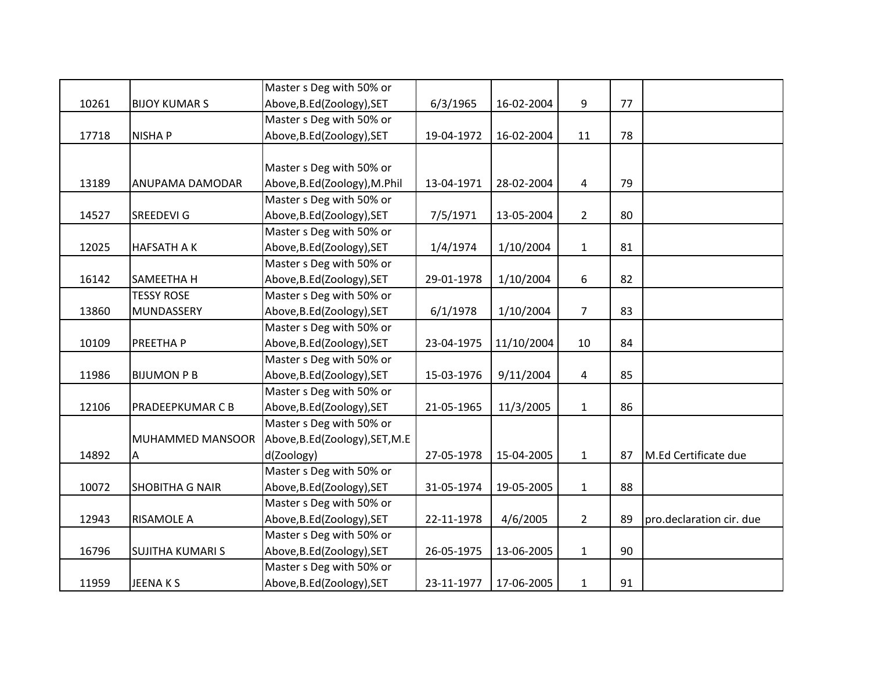|       |                         | Master s Deg with 50% or       |            |            |                |    |                          |
|-------|-------------------------|--------------------------------|------------|------------|----------------|----|--------------------------|
| 10261 | <b>BIJOY KUMAR S</b>    | Above, B.Ed (Zoology), SET     | 6/3/1965   | 16-02-2004 | 9              | 77 |                          |
|       |                         | Master s Deg with 50% or       |            |            |                |    |                          |
| 17718 | <b>NISHAP</b>           | Above, B.Ed(Zoology), SET      | 19-04-1972 | 16-02-2004 | 11             | 78 |                          |
|       |                         |                                |            |            |                |    |                          |
|       |                         | Master s Deg with 50% or       |            |            |                |    |                          |
| 13189 | ANUPAMA DAMODAR         | Above, B.Ed (Zoology), M.Phil  | 13-04-1971 | 28-02-2004 | 4              | 79 |                          |
|       |                         | Master s Deg with 50% or       |            |            |                |    |                          |
| 14527 | <b>SREEDEVI G</b>       | Above, B.Ed(Zoology), SET      | 7/5/1971   | 13-05-2004 | $\overline{2}$ | 80 |                          |
|       |                         | Master s Deg with 50% or       |            |            |                |    |                          |
| 12025 | <b>HAFSATH AK</b>       | Above, B.Ed(Zoology), SET      | 1/4/1974   | 1/10/2004  | $\mathbf{1}$   | 81 |                          |
|       |                         | Master s Deg with 50% or       |            |            |                |    |                          |
| 16142 | SAMEETHA H              | Above, B.Ed(Zoology), SET      | 29-01-1978 | 1/10/2004  | 6              | 82 |                          |
|       | <b>TESSY ROSE</b>       | Master s Deg with 50% or       |            |            |                |    |                          |
| 13860 | MUNDASSERY              | Above, B.Ed(Zoology), SET      | 6/1/1978   | 1/10/2004  | $\overline{7}$ | 83 |                          |
|       |                         | Master s Deg with 50% or       |            |            |                |    |                          |
| 10109 | PREETHA P               | Above, B.Ed(Zoology), SET      | 23-04-1975 | 11/10/2004 | 10             | 84 |                          |
|       |                         | Master s Deg with 50% or       |            |            |                |    |                          |
| 11986 | <b>BIJUMON P B</b>      | Above, B.Ed(Zoology), SET      | 15-03-1976 | 9/11/2004  | 4              | 85 |                          |
|       |                         | Master s Deg with 50% or       |            |            |                |    |                          |
| 12106 | <b>PRADEEPKUMAR C B</b> | Above, B.Ed(Zoology), SET      | 21-05-1965 | 11/3/2005  | $\mathbf{1}$   | 86 |                          |
|       |                         | Master s Deg with 50% or       |            |            |                |    |                          |
|       | MUHAMMED MANSOOR        | Above, B.Ed(Zoology), SET, M.E |            |            |                |    |                          |
| 14892 | $\mathsf{A}$            | d(Zoology)                     | 27-05-1978 | 15-04-2005 | $\mathbf 1$    | 87 | M.Ed Certificate due     |
|       |                         | Master s Deg with 50% or       |            |            |                |    |                          |
| 10072 | <b>SHOBITHA G NAIR</b>  | Above, B.Ed(Zoology), SET      | 31-05-1974 | 19-05-2005 | $\mathbf{1}$   | 88 |                          |
|       |                         | Master s Deg with 50% or       |            |            |                |    |                          |
| 12943 | RISAMOLE A              | Above, B.Ed(Zoology), SET      | 22-11-1978 | 4/6/2005   | $\overline{2}$ | 89 | pro.declaration cir. due |
|       |                         | Master s Deg with 50% or       |            |            |                |    |                          |
| 16796 | <b>SUJITHA KUMARI S</b> | Above, B.Ed(Zoology), SET      | 26-05-1975 | 13-06-2005 | $\mathbf{1}$   | 90 |                          |
|       |                         | Master s Deg with 50% or       |            |            |                |    |                          |
| 11959 | JEENAKS                 | Above, B.Ed(Zoology), SET      | 23-11-1977 | 17-06-2005 | $\mathbf{1}$   | 91 |                          |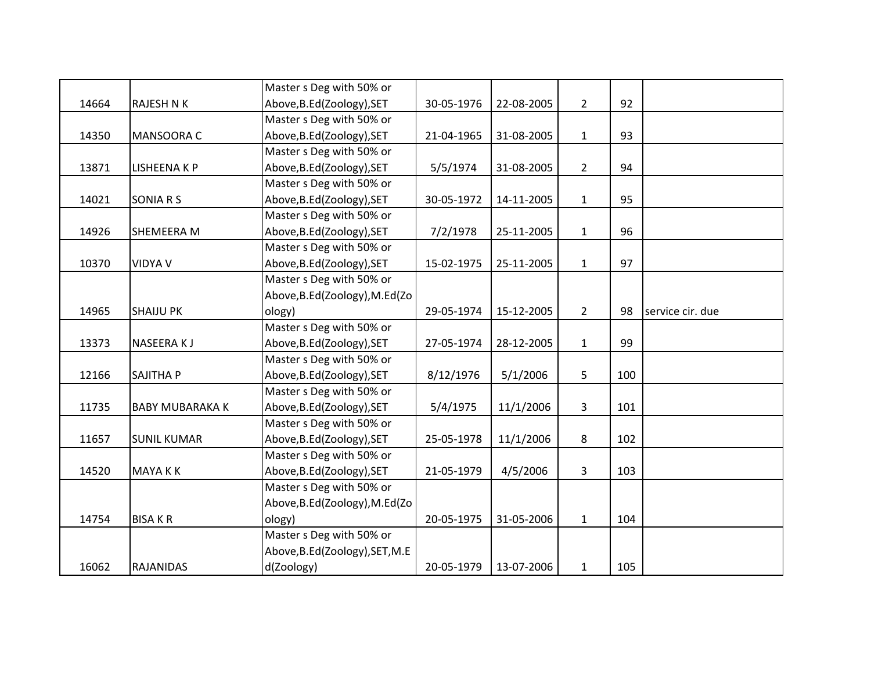|       |                        | Master s Deg with 50% or        |            |            |                |     |                  |
|-------|------------------------|---------------------------------|------------|------------|----------------|-----|------------------|
| 14664 | <b>RAJESH N K</b>      | Above, B.Ed (Zoology), SET      | 30-05-1976 | 22-08-2005 | $2^{\circ}$    | 92  |                  |
|       |                        | Master s Deg with 50% or        |            |            |                |     |                  |
| 14350 | MANSOORA C             | Above, B.Ed (Zoology), SET      | 21-04-1965 | 31-08-2005 | $\mathbf{1}$   | 93  |                  |
|       |                        | Master s Deg with 50% or        |            |            |                |     |                  |
| 13871 | <b>LISHEENAKP</b>      | Above, B.Ed (Zoology), SET      | 5/5/1974   | 31-08-2005 | $\overline{2}$ | 94  |                  |
|       |                        | Master s Deg with 50% or        |            |            |                |     |                  |
| 14021 | SONIA R S              | Above, B.Ed(Zoology), SET       | 30-05-1972 | 14-11-2005 | $\mathbf{1}$   | 95  |                  |
|       |                        | Master s Deg with 50% or        |            |            |                |     |                  |
| 14926 | SHEMEERA M             | Above, B.Ed(Zoology), SET       | 7/2/1978   | 25-11-2005 | $\mathbf{1}$   | 96  |                  |
|       |                        | Master s Deg with 50% or        |            |            |                |     |                  |
| 10370 | <b>VIDYA V</b>         | Above, B.Ed (Zoology), SET      | 15-02-1975 | 25-11-2005 | $\mathbf{1}$   | 97  |                  |
|       |                        | Master s Deg with 50% or        |            |            |                |     |                  |
|       |                        | Above, B.Ed (Zoology), M.Ed (Zo |            |            |                |     |                  |
| 14965 | <b>SHAIJU PK</b>       | ology)                          | 29-05-1974 | 15-12-2005 | $2^{\circ}$    | 98  | service cir. due |
|       |                        | Master s Deg with 50% or        |            |            |                |     |                  |
| 13373 | NASEERA KJ             | Above, B.Ed (Zoology), SET      | 27-05-1974 | 28-12-2005 | $\mathbf{1}$   | 99  |                  |
|       |                        | Master s Deg with 50% or        |            |            |                |     |                  |
| 12166 | SAJITHA P              | Above, B.Ed (Zoology), SET      | 8/12/1976  | 5/1/2006   | 5              | 100 |                  |
|       |                        | Master s Deg with 50% or        |            |            |                |     |                  |
| 11735 | <b>BABY MUBARAKA K</b> | Above, B.Ed(Zoology), SET       | 5/4/1975   | 11/1/2006  | $\mathbf{3}$   | 101 |                  |
|       |                        | Master s Deg with 50% or        |            |            |                |     |                  |
| 11657 | <b>SUNIL KUMAR</b>     | Above, B.Ed(Zoology), SET       | 25-05-1978 | 11/1/2006  | 8              | 102 |                  |
|       |                        | Master s Deg with 50% or        |            |            |                |     |                  |
| 14520 | <b>MAYAKK</b>          | Above, B.Ed(Zoology), SET       | 21-05-1979 | 4/5/2006   | 3              | 103 |                  |
|       |                        | Master s Deg with 50% or        |            |            |                |     |                  |
|       |                        | Above, B.Ed (Zoology), M.Ed (Zo |            |            |                |     |                  |
| 14754 | <b>BISAKR</b>          | ology)                          | 20-05-1975 | 31-05-2006 | $\mathbf{1}$   | 104 |                  |
|       |                        | Master s Deg with 50% or        |            |            |                |     |                  |
|       |                        | Above, B.Ed (Zoology), SET, M.E |            |            |                |     |                  |
| 16062 | <b>RAJANIDAS</b>       | d(Zoology)                      | 20-05-1979 | 13-07-2006 | $\mathbf{1}$   | 105 |                  |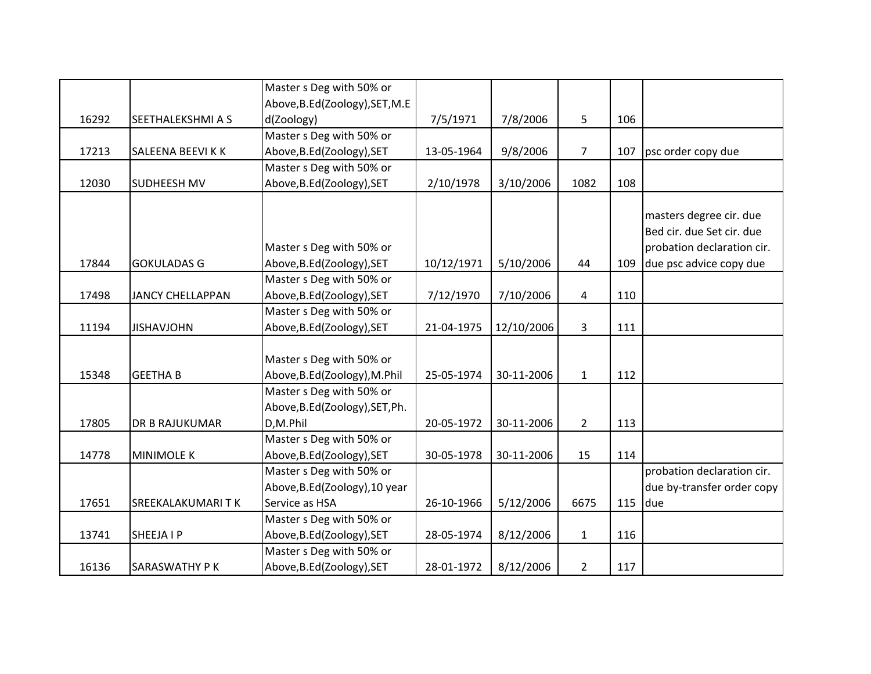|       |                         | Master s Deg with 50% or        |            |            |                |     |                            |
|-------|-------------------------|---------------------------------|------------|------------|----------------|-----|----------------------------|
|       |                         | Above, B.Ed (Zoology), SET, M.E |            |            |                |     |                            |
| 16292 | SEETHALEKSHMI A S       | d(Zoology)                      | 7/5/1971   | 7/8/2006   | 5              | 106 |                            |
|       |                         | Master s Deg with 50% or        |            |            |                |     |                            |
| 17213 | SALEENA BEEVI K K       | Above, B.Ed (Zoology), SET      | 13-05-1964 | 9/8/2006   | 7              | 107 | psc order copy due         |
|       |                         | Master s Deg with 50% or        |            |            |                |     |                            |
| 12030 | <b>SUDHEESH MV</b>      | Above, B.Ed(Zoology), SET       | 2/10/1978  | 3/10/2006  | 1082           | 108 |                            |
|       |                         |                                 |            |            |                |     |                            |
|       |                         |                                 |            |            |                |     | masters degree cir. due    |
|       |                         |                                 |            |            |                |     | Bed cir. due Set cir. due  |
|       |                         | Master s Deg with 50% or        |            |            |                |     | probation declaration cir. |
| 17844 | <b>GOKULADAS G</b>      | Above, B.Ed (Zoology), SET      | 10/12/1971 | 5/10/2006  | 44             | 109 | due psc advice copy due    |
|       |                         | Master s Deg with 50% or        |            |            |                |     |                            |
| 17498 | <b>JANCY CHELLAPPAN</b> | Above, B.Ed(Zoology), SET       | 7/12/1970  | 7/10/2006  | 4              | 110 |                            |
|       |                         | Master s Deg with 50% or        |            |            |                |     |                            |
| 11194 | <b>JISHAVJOHN</b>       | Above, B.Ed (Zoology), SET      | 21-04-1975 | 12/10/2006 | 3              | 111 |                            |
|       |                         |                                 |            |            |                |     |                            |
|       |                         | Master s Deg with 50% or        |            |            |                |     |                            |
| 15348 | <b>GEETHA B</b>         | Above, B.Ed(Zoology), M.Phil    | 25-05-1974 | 30-11-2006 | $\mathbf{1}$   | 112 |                            |
|       |                         | Master s Deg with 50% or        |            |            |                |     |                            |
|       |                         | Above, B.Ed(Zoology), SET, Ph.  |            |            |                |     |                            |
| 17805 | <b>DR B RAJUKUMAR</b>   | D,M.Phil                        | 20-05-1972 | 30-11-2006 | $\overline{2}$ | 113 |                            |
|       |                         | Master s Deg with 50% or        |            |            |                |     |                            |
| 14778 | <b>MINIMOLE K</b>       | Above, B.Ed(Zoology), SET       | 30-05-1978 | 30-11-2006 | 15             | 114 |                            |
|       |                         | Master s Deg with 50% or        |            |            |                |     | probation declaration cir. |
|       |                         | Above, B.Ed (Zoology), 10 year  |            |            |                |     | due by-transfer order copy |
| 17651 | SREEKALAKUMARITK        | Service as HSA                  | 26-10-1966 | 5/12/2006  | 6675           | 115 | due                        |
|       |                         | Master s Deg with 50% or        |            |            |                |     |                            |
| 13741 | SHEEJA I P              | Above, B.Ed (Zoology), SET      | 28-05-1974 | 8/12/2006  | $\mathbf{1}$   | 116 |                            |
|       |                         | Master s Deg with 50% or        |            |            |                |     |                            |
| 16136 | SARASWATHY P K          | Above, B.Ed (Zoology), SET      | 28-01-1972 | 8/12/2006  | $\overline{2}$ | 117 |                            |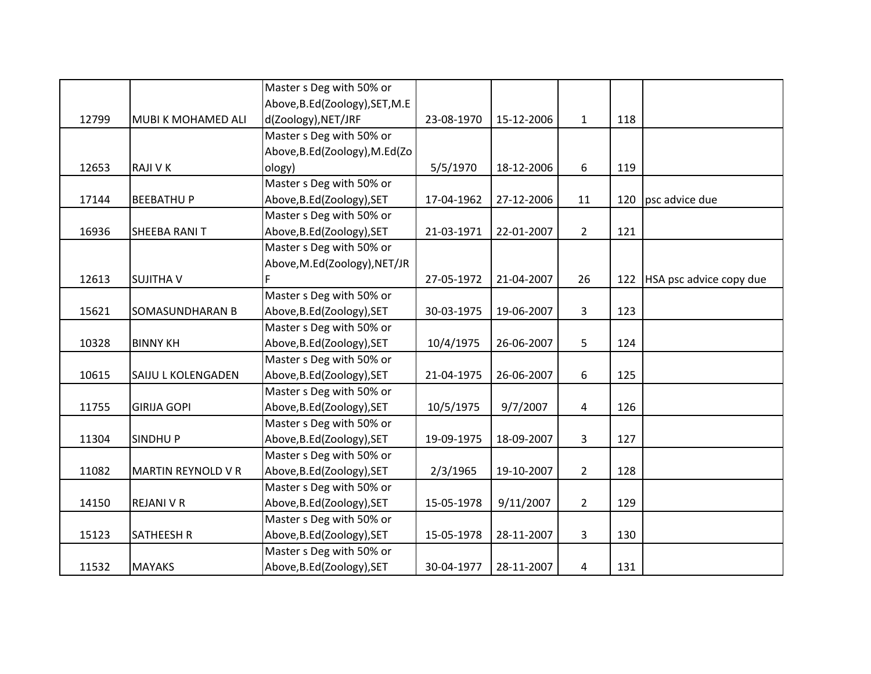|       |                           | Master s Deg with 50% or        |            |            |                         |     |                         |
|-------|---------------------------|---------------------------------|------------|------------|-------------------------|-----|-------------------------|
|       |                           | Above, B.Ed (Zoology), SET, M.E |            |            |                         |     |                         |
| 12799 | MUBI K MOHAMED ALI        | d(Zoology), NET/JRF             | 23-08-1970 | 15-12-2006 | $\mathbf{1}$            | 118 |                         |
|       |                           | Master s Deg with 50% or        |            |            |                         |     |                         |
|       |                           | Above, B.Ed(Zoology), M.Ed(Zo   |            |            |                         |     |                         |
| 12653 | <b>RAJI V K</b>           | ology)                          | 5/5/1970   | 18-12-2006 | 6                       | 119 |                         |
|       |                           | Master s Deg with 50% or        |            |            |                         |     |                         |
| 17144 | <b>BEEBATHUP</b>          | Above, B.Ed(Zoology), SET       | 17-04-1962 | 27-12-2006 | 11                      | 120 | psc advice due          |
|       |                           | Master s Deg with 50% or        |            |            |                         |     |                         |
| 16936 | SHEEBA RANIT              | Above, B.Ed(Zoology), SET       | 21-03-1971 | 22-01-2007 | $\overline{2}$          | 121 |                         |
|       |                           | Master s Deg with 50% or        |            |            |                         |     |                         |
|       |                           | Above, M.Ed(Zoology), NET/JR    |            |            |                         |     |                         |
| 12613 | <b>SUJITHA V</b>          |                                 | 27-05-1972 | 21-04-2007 | 26                      | 122 | HSA psc advice copy due |
|       |                           | Master s Deg with 50% or        |            |            |                         |     |                         |
| 15621 | SOMASUNDHARAN B           | Above, B.Ed(Zoology), SET       | 30-03-1975 | 19-06-2007 | $\overline{\mathbf{3}}$ | 123 |                         |
|       |                           | Master s Deg with 50% or        |            |            |                         |     |                         |
| 10328 | <b>BINNY KH</b>           | Above, B.Ed (Zoology), SET      | 10/4/1975  | 26-06-2007 | 5                       | 124 |                         |
|       |                           | Master s Deg with 50% or        |            |            |                         |     |                         |
| 10615 | SAIJU L KOLENGADEN        | Above, B.Ed (Zoology), SET      | 21-04-1975 | 26-06-2007 | 6                       | 125 |                         |
|       |                           | Master s Deg with 50% or        |            |            |                         |     |                         |
| 11755 | <b>GIRIJA GOPI</b>        | Above, B.Ed(Zoology), SET       | 10/5/1975  | 9/7/2007   | 4                       | 126 |                         |
|       |                           | Master s Deg with 50% or        |            |            |                         |     |                         |
| 11304 | <b>SINDHUP</b>            | Above, B.Ed(Zoology), SET       | 19-09-1975 | 18-09-2007 | 3                       | 127 |                         |
|       |                           | Master s Deg with 50% or        |            |            |                         |     |                         |
| 11082 | <b>MARTIN REYNOLD V R</b> | Above, B.Ed (Zoology), SET      | 2/3/1965   | 19-10-2007 | $2^{\circ}$             | 128 |                         |
|       |                           | Master s Deg with 50% or        |            |            |                         |     |                         |
| 14150 | <b>REJANI V R</b>         | Above, B.Ed(Zoology), SET       | 15-05-1978 | 9/11/2007  | $2^{\circ}$             | 129 |                         |
|       |                           | Master s Deg with 50% or        |            |            |                         |     |                         |
| 15123 | <b>SATHEESH R</b>         | Above, B.Ed(Zoology), SET       | 15-05-1978 | 28-11-2007 | $\mathbf{3}$            | 130 |                         |
|       |                           | Master s Deg with 50% or        |            |            |                         |     |                         |
| 11532 | <b>MAYAKS</b>             | Above, B.Ed(Zoology), SET       | 30-04-1977 | 28-11-2007 | 4                       | 131 |                         |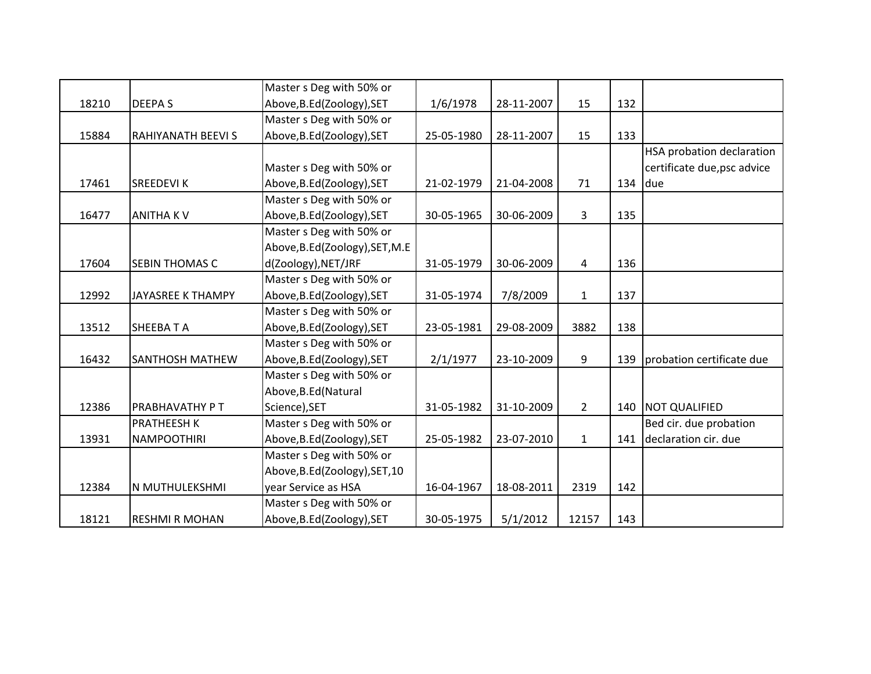|       |                          | Master s Deg with 50% or        |            |            |              |     |                             |
|-------|--------------------------|---------------------------------|------------|------------|--------------|-----|-----------------------------|
| 18210 | <b>DEEPAS</b>            | Above, B.Ed (Zoology), SET      | 1/6/1978   | 28-11-2007 | 15           | 132 |                             |
|       |                          | Master s Deg with 50% or        |            |            |              |     |                             |
| 15884 | <b>RAHIYANATH BEEVIS</b> | Above, B.Ed(Zoology), SET       | 25-05-1980 | 28-11-2007 | 15           | 133 |                             |
|       |                          |                                 |            |            |              |     | HSA probation declaration   |
|       |                          | Master s Deg with 50% or        |            |            |              |     | certificate due, psc advice |
| 17461 | <b>SREEDEVIK</b>         | Above, B.Ed(Zoology), SET       | 21-02-1979 | 21-04-2008 | 71           | 134 | due                         |
|       |                          | Master s Deg with 50% or        |            |            |              |     |                             |
| 16477 | <b>ANITHAKV</b>          | Above, B.Ed(Zoology), SET       | 30-05-1965 | 30-06-2009 | 3            | 135 |                             |
|       |                          | Master s Deg with 50% or        |            |            |              |     |                             |
|       |                          | Above, B.Ed (Zoology), SET, M.E |            |            |              |     |                             |
| 17604 | <b>SEBIN THOMAS C</b>    | d(Zoology), NET/JRF             | 31-05-1979 | 30-06-2009 | 4            | 136 |                             |
|       |                          | Master s Deg with 50% or        |            |            |              |     |                             |
| 12992 | <b>JAYASREE K THAMPY</b> | Above, B.Ed(Zoology), SET       | 31-05-1974 | 7/8/2009   | $\mathbf{1}$ | 137 |                             |
|       |                          | Master s Deg with 50% or        |            |            |              |     |                             |
| 13512 | <b>SHEEBATA</b>          | Above, B.Ed(Zoology), SET       | 23-05-1981 | 29-08-2009 | 3882         | 138 |                             |
|       |                          | Master s Deg with 50% or        |            |            |              |     |                             |
| 16432 | <b>SANTHOSH MATHEW</b>   | Above, B.Ed (Zoology), SET      | 2/1/1977   | 23-10-2009 | 9            | 139 | probation certificate due   |
|       |                          | Master s Deg with 50% or        |            |            |              |     |                             |
|       |                          | Above, B.Ed (Natural            |            |            |              |     |                             |
| 12386 | <b>PRABHAVATHY PT</b>    | Science), SET                   | 31-05-1982 | 31-10-2009 | $2^{\circ}$  | 140 | <b>NOT QUALIFIED</b>        |
|       | <b>PRATHEESH K</b>       | Master s Deg with 50% or        |            |            |              |     | Bed cir. due probation      |
| 13931 | <b>NAMPOOTHIRI</b>       | Above, B.Ed(Zoology), SET       | 25-05-1982 | 23-07-2010 | $\mathbf{1}$ | 141 | declaration cir. due        |
|       |                          | Master s Deg with 50% or        |            |            |              |     |                             |
|       |                          | Above, B.Ed(Zoology), SET, 10   |            |            |              |     |                             |
| 12384 | N MUTHULEKSHMI           | year Service as HSA             | 16-04-1967 | 18-08-2011 | 2319         | 142 |                             |
|       |                          | Master s Deg with 50% or        |            |            |              |     |                             |
| 18121 | <b>RESHMI R MOHAN</b>    | Above, B.Ed (Zoology), SET      | 30-05-1975 | 5/1/2012   | 12157        | 143 |                             |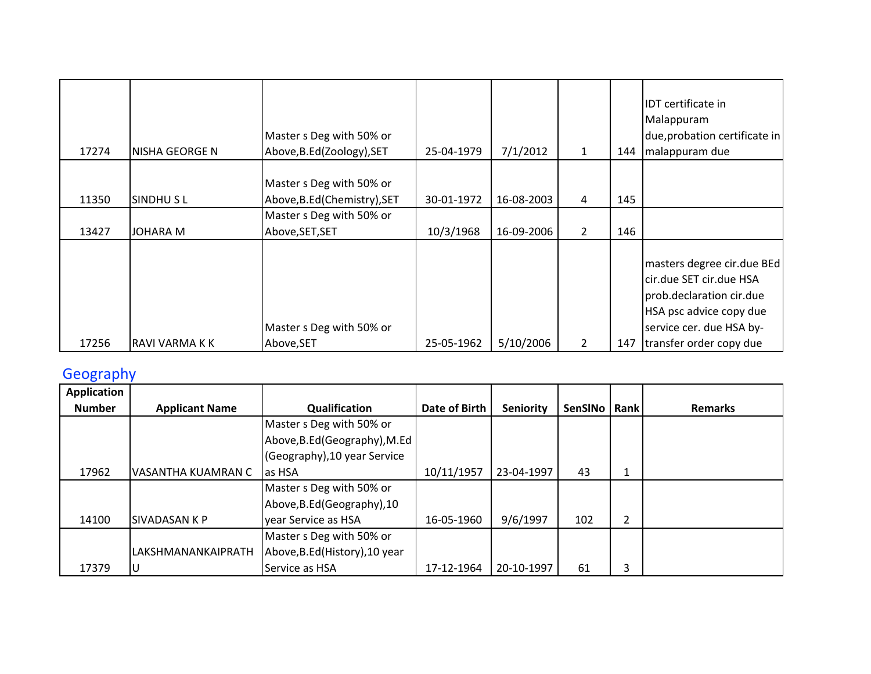| 17274          | NISHA GEORGE N              | Master s Deg with 50% or<br>Above, B.Ed (Zoology), SET                                                  | 25-04-1979              | 7/1/2012                 | $\mathbf{1}$        | 144        | <b>IDT</b> certificate in<br>Malappuram<br>due, probation certificate in<br>malappuram due |
|----------------|-----------------------------|---------------------------------------------------------------------------------------------------------|-------------------------|--------------------------|---------------------|------------|--------------------------------------------------------------------------------------------|
| 11350<br>13427 | SINDHUSL<br><b>JOHARA M</b> | Master s Deg with 50% or<br>Above, B.Ed (Chemistry), SET<br>Master s Deg with 50% or<br>Above, SET, SET | 30-01-1972<br>10/3/1968 | 16-08-2003<br>16-09-2006 | 4<br>$\overline{2}$ | 145<br>146 |                                                                                            |
|                |                             |                                                                                                         |                         |                          |                     |            | masters degree cir.due BEd                                                                 |
|                |                             |                                                                                                         |                         |                          |                     |            | cir.due SET cir.due HSA<br>prob.declaration cir.due                                        |
|                |                             | Master s Deg with 50% or                                                                                |                         |                          |                     |            | HSA psc advice copy due<br>service cer. due HSA by-                                        |
| 17256          | RAVI VARMA K K              | Above, SET                                                                                              | 25-05-1962              | 5/10/2006                | $\overline{2}$      | 147        | transfer order copy due                                                                    |

## Geography

| <b>Application</b> |                       |                                |               |            |         |      |                |
|--------------------|-----------------------|--------------------------------|---------------|------------|---------|------|----------------|
| <b>Number</b>      | <b>Applicant Name</b> | Qualification                  | Date of Birth | Seniority  | SenSINo | Rank | <b>Remarks</b> |
|                    |                       | Master s Deg with 50% or       |               |            |         |      |                |
|                    |                       | Above, B.Ed (Geography), M.Ed  |               |            |         |      |                |
|                    |                       | (Geography), 10 year Service   |               |            |         |      |                |
| 17962              | VASANTHA KUAMRAN C    | las HSA                        | 10/11/1957    | 23-04-1997 | 43      | 1    |                |
|                    |                       | Master s Deg with 50% or       |               |            |         |      |                |
|                    |                       | Above, B.Ed (Geography), 10    |               |            |         |      |                |
| 14100              | <b>SIVADASAN K P</b>  | year Service as HSA            | 16-05-1960    | 9/6/1997   | 102     | 2    |                |
|                    |                       | Master s Deg with 50% or       |               |            |         |      |                |
|                    | LAKSHMANANKAIPRATH    | Above, B.Ed (History), 10 year |               |            |         |      |                |
| 17379              |                       | Service as HSA                 | 17-12-1964    | 20-10-1997 | 61      | 3    |                |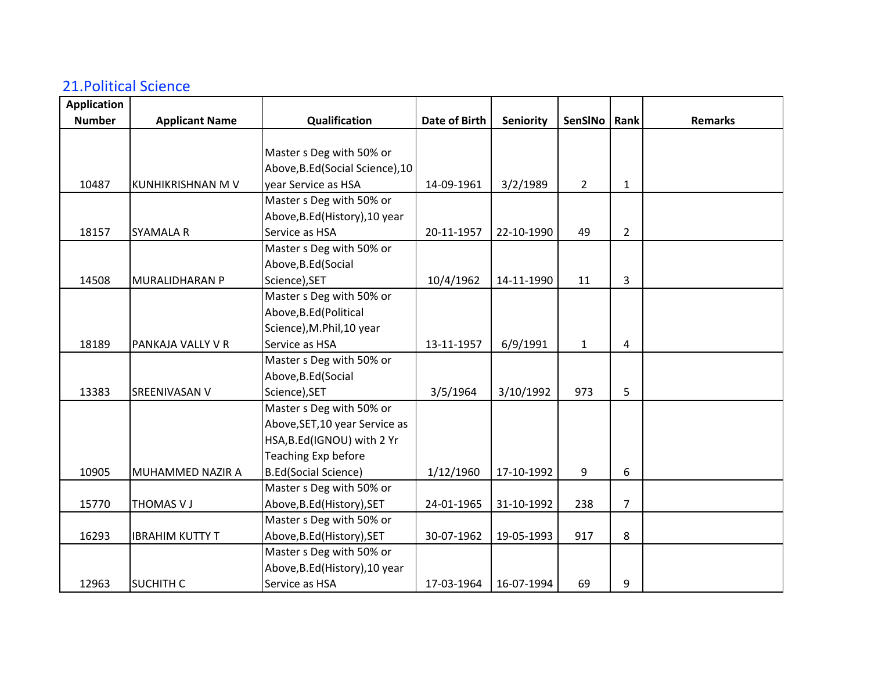## 21.Political Science

| <b>Application</b> |                        |                                  |               |            |                |                |                |
|--------------------|------------------------|----------------------------------|---------------|------------|----------------|----------------|----------------|
| <b>Number</b>      | <b>Applicant Name</b>  | Qualification                    | Date of Birth | Seniority  | SenSINo        | Rank           | <b>Remarks</b> |
|                    |                        |                                  |               |            |                |                |                |
|                    |                        | Master s Deg with 50% or         |               |            |                |                |                |
|                    |                        | Above, B.Ed (Social Science), 10 |               |            |                |                |                |
| 10487              | KUNHIKRISHNAN M V      | year Service as HSA              | 14-09-1961    | 3/2/1989   | $\overline{2}$ | $\mathbf{1}$   |                |
|                    |                        | Master s Deg with 50% or         |               |            |                |                |                |
|                    |                        | Above, B.Ed (History), 10 year   |               |            |                |                |                |
| 18157              | <b>SYAMALA R</b>       | Service as HSA                   | 20-11-1957    | 22-10-1990 | 49             | $\overline{2}$ |                |
|                    |                        | Master s Deg with 50% or         |               |            |                |                |                |
|                    |                        | Above, B.Ed (Social              |               |            |                |                |                |
| 14508              | MURALIDHARAN P         | Science), SET                    | 10/4/1962     | 14-11-1990 | 11             | 3              |                |
|                    |                        | Master s Deg with 50% or         |               |            |                |                |                |
|                    |                        | Above, B.Ed (Political           |               |            |                |                |                |
|                    |                        | Science), M.Phil, 10 year        |               |            |                |                |                |
| 18189              | PANKAJA VALLY V R      | Service as HSA                   | 13-11-1957    | 6/9/1991   | $\mathbf{1}$   | 4              |                |
|                    |                        | Master s Deg with 50% or         |               |            |                |                |                |
|                    |                        | Above, B.Ed (Social              |               |            |                |                |                |
| 13383              | SREENIVASAN V          | Science), SET                    | 3/5/1964      | 3/10/1992  | 973            | 5              |                |
|                    |                        | Master s Deg with 50% or         |               |            |                |                |                |
|                    |                        | Above, SET, 10 year Service as   |               |            |                |                |                |
|                    |                        | HSA, B.Ed(IGNOU) with 2 Yr       |               |            |                |                |                |
|                    |                        | <b>Teaching Exp before</b>       |               |            |                |                |                |
| 10905              | MUHAMMED NAZIR A       | <b>B.Ed(Social Science)</b>      | 1/12/1960     | 17-10-1992 | 9              | 6              |                |
|                    |                        | Master s Deg with 50% or         |               |            |                |                |                |
| 15770              | THOMAS V J             | Above, B.Ed (History), SET       | 24-01-1965    | 31-10-1992 | 238            | $\overline{7}$ |                |
|                    |                        | Master s Deg with 50% or         |               |            |                |                |                |
| 16293              | <b>IBRAHIM KUTTY T</b> | Above, B.Ed (History), SET       | 30-07-1962    | 19-05-1993 | 917            | 8              |                |
|                    |                        | Master s Deg with 50% or         |               |            |                |                |                |
|                    |                        | Above, B.Ed (History), 10 year   |               |            |                |                |                |
| 12963              | <b>SUCHITH C</b>       | Service as HSA                   | 17-03-1964    | 16-07-1994 | 69             | 9              |                |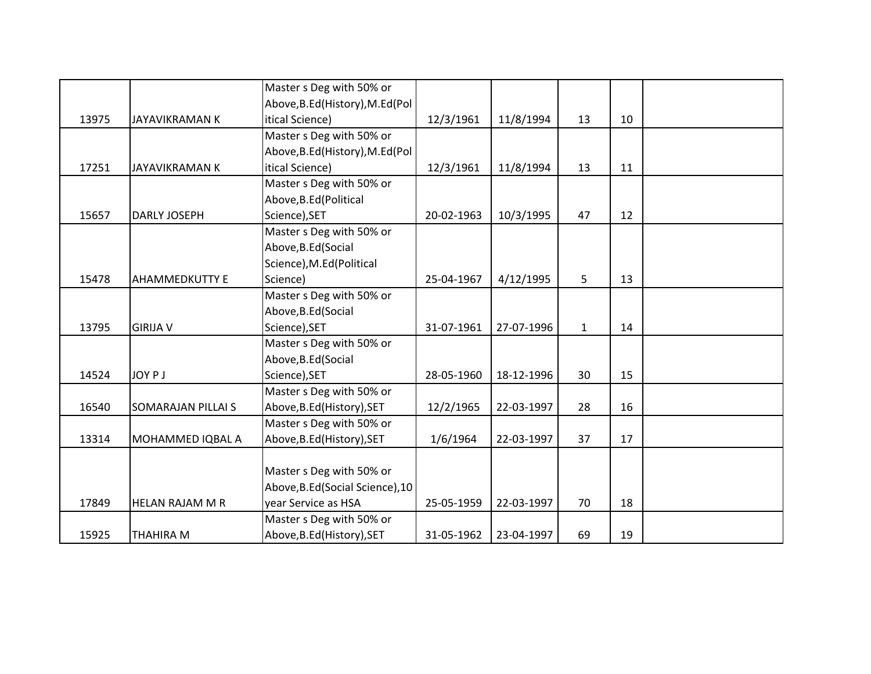|       |                       | Master s Deg with 50% or         |            |            |              |    |  |
|-------|-----------------------|----------------------------------|------------|------------|--------------|----|--|
|       |                       | Above, B.Ed (History), M.Ed (Pol |            |            |              |    |  |
| 13975 | JAYAVIKRAMAN K        | itical Science)                  | 12/3/1961  | 11/8/1994  | 13           | 10 |  |
|       |                       | Master s Deg with 50% or         |            |            |              |    |  |
|       |                       | Above, B.Ed (History), M.Ed (Pol |            |            |              |    |  |
| 17251 | JAYAVIKRAMAN K        | itical Science)                  | 12/3/1961  | 11/8/1994  | 13           | 11 |  |
|       |                       | Master s Deg with 50% or         |            |            |              |    |  |
|       |                       | Above, B.Ed (Political           |            |            |              |    |  |
| 15657 | DARLY JOSEPH          | Science), SET                    | 20-02-1963 | 10/3/1995  | 47           | 12 |  |
|       |                       | Master s Deg with 50% or         |            |            |              |    |  |
|       |                       | Above, B.Ed (Social              |            |            |              |    |  |
|       |                       | Science), M.Ed(Political         |            |            |              |    |  |
| 15478 | <b>AHAMMEDKUTTY E</b> | Science)                         | 25-04-1967 | 4/12/1995  | 5            | 13 |  |
|       |                       | Master s Deg with 50% or         |            |            |              |    |  |
|       |                       | Above, B.Ed (Social              |            |            |              |    |  |
| 13795 | <b>GIRIJA V</b>       | Science), SET                    | 31-07-1961 | 27-07-1996 | $\mathbf{1}$ | 14 |  |
|       |                       | Master s Deg with 50% or         |            |            |              |    |  |
|       |                       | Above, B.Ed (Social              |            |            |              |    |  |
| 14524 | <b>JOY PJ</b>         | Science), SET                    | 28-05-1960 | 18-12-1996 | 30           | 15 |  |
|       |                       | Master s Deg with 50% or         |            |            |              |    |  |
| 16540 | SOMARAJAN PILLAI S    | Above, B.Ed (History), SET       | 12/2/1965  | 22-03-1997 | 28           | 16 |  |
|       |                       | Master s Deg with 50% or         |            |            |              |    |  |
| 13314 | MOHAMMED IQBAL A      | Above, B.Ed (History), SET       | 1/6/1964   | 22-03-1997 | 37           | 17 |  |
|       |                       |                                  |            |            |              |    |  |
|       |                       | Master s Deg with 50% or         |            |            |              |    |  |
|       |                       | Above, B.Ed (Social Science), 10 |            |            |              |    |  |
| 17849 | HELAN RAJAM M R       | year Service as HSA              | 25-05-1959 | 22-03-1997 | 70           | 18 |  |
|       |                       | Master s Deg with 50% or         |            |            |              |    |  |
| 15925 | THAHIRA M             | Above, B.Ed (History), SET       | 31-05-1962 | 23-04-1997 | 69           | 19 |  |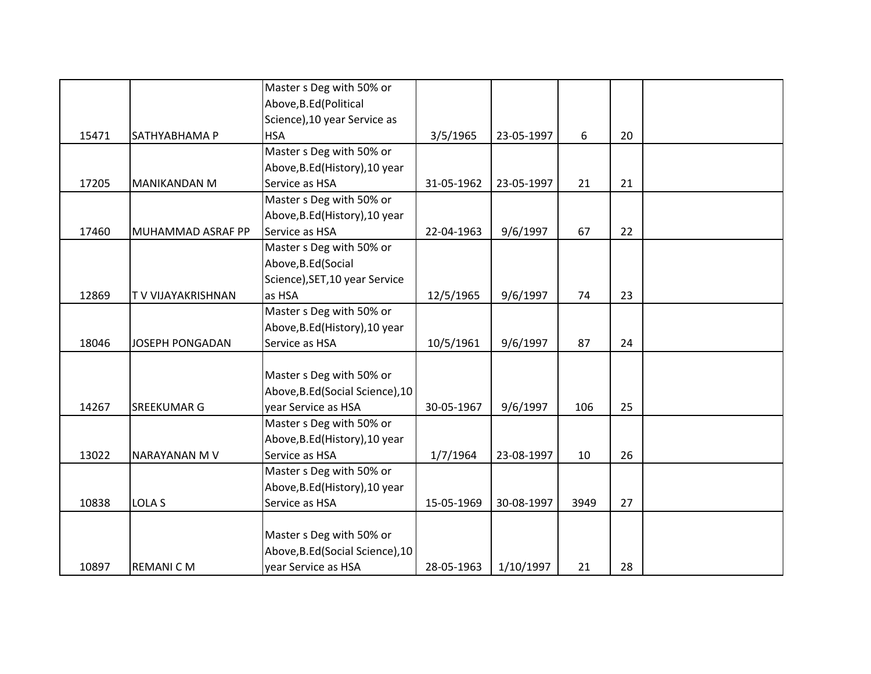|       |                          | Master s Deg with 50% or         |            |            |      |    |  |
|-------|--------------------------|----------------------------------|------------|------------|------|----|--|
|       |                          | Above, B.Ed (Political           |            |            |      |    |  |
|       |                          | Science), 10 year Service as     |            |            |      |    |  |
| 15471 | SATHYABHAMA P            | <b>HSA</b>                       | 3/5/1965   | 23-05-1997 | 6    | 20 |  |
|       |                          | Master s Deg with 50% or         |            |            |      |    |  |
|       |                          | Above, B.Ed (History), 10 year   |            |            |      |    |  |
| 17205 | <b>MANIKANDAN M</b>      | Service as HSA                   | 31-05-1962 | 23-05-1997 | 21   | 21 |  |
|       |                          | Master s Deg with 50% or         |            |            |      |    |  |
|       |                          | Above, B.Ed (History), 10 year   |            |            |      |    |  |
| 17460 | MUHAMMAD ASRAF PP        | Service as HSA                   | 22-04-1963 | 9/6/1997   | 67   | 22 |  |
|       |                          | Master s Deg with 50% or         |            |            |      |    |  |
|       |                          | Above, B.Ed (Social              |            |            |      |    |  |
|       |                          | Science), SET, 10 year Service   |            |            |      |    |  |
| 12869 | <b>TV VIJAYAKRISHNAN</b> | as HSA                           | 12/5/1965  | 9/6/1997   | 74   | 23 |  |
|       |                          | Master s Deg with 50% or         |            |            |      |    |  |
|       |                          | Above, B.Ed (History), 10 year   |            |            |      |    |  |
| 18046 | <b>JOSEPH PONGADAN</b>   | Service as HSA                   | 10/5/1961  | 9/6/1997   | 87   | 24 |  |
|       |                          |                                  |            |            |      |    |  |
|       |                          | Master s Deg with 50% or         |            |            |      |    |  |
|       |                          | Above, B.Ed (Social Science), 10 |            |            |      |    |  |
| 14267 | <b>SREEKUMAR G</b>       | year Service as HSA              | 30-05-1967 | 9/6/1997   | 106  | 25 |  |
|       |                          | Master s Deg with 50% or         |            |            |      |    |  |
|       |                          | Above, B.Ed (History), 10 year   |            |            |      |    |  |
| 13022 | <b>NARAYANAN MV</b>      | Service as HSA                   | 1/7/1964   | 23-08-1997 | 10   | 26 |  |
|       |                          | Master s Deg with 50% or         |            |            |      |    |  |
|       |                          | Above, B.Ed (History), 10 year   |            |            |      |    |  |
| 10838 | <b>LOLA S</b>            | Service as HSA                   | 15-05-1969 | 30-08-1997 | 3949 | 27 |  |
|       |                          |                                  |            |            |      |    |  |
|       |                          | Master s Deg with 50% or         |            |            |      |    |  |
|       |                          | Above, B.Ed (Social Science), 10 |            |            |      |    |  |
| 10897 | <b>REMANICM</b>          | year Service as HSA              | 28-05-1963 | 1/10/1997  | 21   | 28 |  |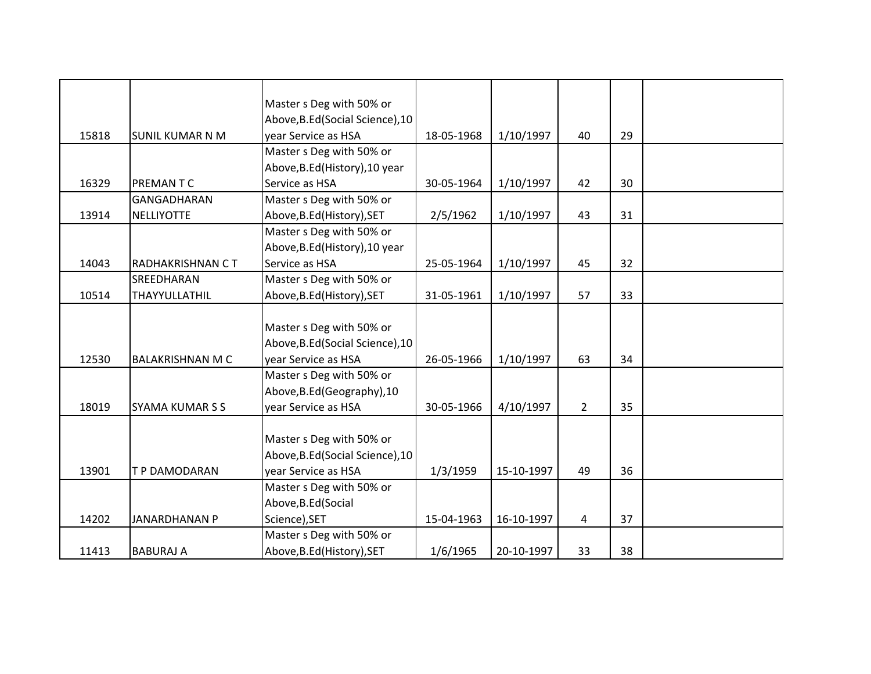|       |                         | Master s Deg with 50% or<br>Above, B.Ed (Social Science), 10 |            |            |                |    |  |
|-------|-------------------------|--------------------------------------------------------------|------------|------------|----------------|----|--|
| 15818 | <b>SUNIL KUMAR N M</b>  | year Service as HSA                                          | 18-05-1968 | 1/10/1997  | 40             | 29 |  |
|       |                         | Master s Deg with 50% or                                     |            |            |                |    |  |
|       |                         | Above, B.Ed (History), 10 year                               |            |            |                |    |  |
| 16329 | PREMAN T C              | Service as HSA                                               | 30-05-1964 | 1/10/1997  | 42             | 30 |  |
|       | GANGADHARAN             | Master s Deg with 50% or                                     |            |            |                |    |  |
| 13914 | <b>NELLIYOTTE</b>       | Above, B.Ed (History), SET                                   | 2/5/1962   | 1/10/1997  | 43             | 31 |  |
|       |                         | Master s Deg with 50% or                                     |            |            |                |    |  |
|       |                         | Above, B.Ed (History), 10 year                               |            |            |                |    |  |
| 14043 | RADHAKRISHNAN CT        | Service as HSA                                               | 25-05-1964 | 1/10/1997  | 45             | 32 |  |
|       | SREEDHARAN              | Master s Deg with 50% or                                     |            |            |                |    |  |
| 10514 | THAYYULLATHIL           | Above, B.Ed (History), SET                                   | 31-05-1961 | 1/10/1997  | 57             | 33 |  |
|       |                         |                                                              |            |            |                |    |  |
|       |                         | Master s Deg with 50% or                                     |            |            |                |    |  |
|       |                         | Above, B.Ed (Social Science), 10                             |            |            |                |    |  |
| 12530 | <b>BALAKRISHNAN M C</b> | year Service as HSA                                          | 26-05-1966 | 1/10/1997  | 63             | 34 |  |
|       |                         | Master s Deg with 50% or                                     |            |            |                |    |  |
|       |                         | Above, B.Ed (Geography), 10                                  |            |            |                |    |  |
| 18019 | <b>SYAMA KUMAR S S</b>  | year Service as HSA                                          | 30-05-1966 | 4/10/1997  | $\overline{2}$ | 35 |  |
|       |                         |                                                              |            |            |                |    |  |
|       |                         | Master s Deg with 50% or                                     |            |            |                |    |  |
|       |                         | Above, B.Ed (Social Science), 10                             |            |            |                |    |  |
| 13901 | <b>T P DAMODARAN</b>    | year Service as HSA                                          | 1/3/1959   | 15-10-1997 | 49             | 36 |  |
|       |                         | Master s Deg with 50% or                                     |            |            |                |    |  |
|       |                         | Above, B.Ed (Social                                          |            |            |                |    |  |
| 14202 | <b>JANARDHANAN P</b>    | Science), SET                                                | 15-04-1963 | 16-10-1997 | 4              | 37 |  |
|       |                         | Master s Deg with 50% or                                     |            |            |                |    |  |
| 11413 | <b>BABURAJ A</b>        | Above, B.Ed (History), SET                                   | 1/6/1965   | 20-10-1997 | 33             | 38 |  |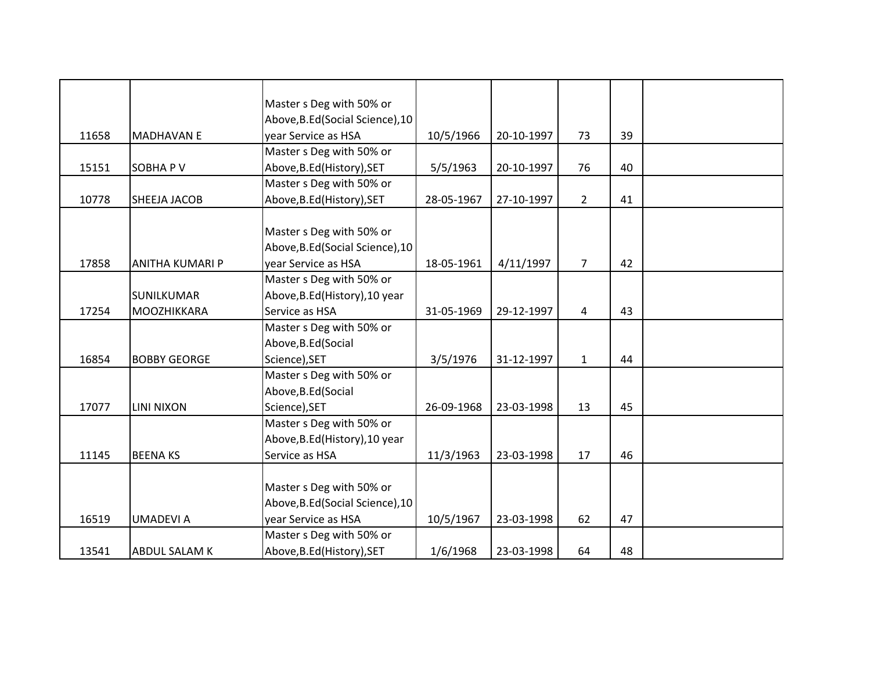|       |                        | Master s Deg with 50% or         |            |            |                |    |  |
|-------|------------------------|----------------------------------|------------|------------|----------------|----|--|
|       |                        | Above, B.Ed (Social Science), 10 |            |            |                |    |  |
| 11658 | <b>MADHAVAN E</b>      | year Service as HSA              | 10/5/1966  | 20-10-1997 | 73             | 39 |  |
|       |                        | Master s Deg with 50% or         |            |            |                |    |  |
| 15151 | <b>SOBHAPV</b>         | Above, B.Ed (History), SET       | 5/5/1963   | 20-10-1997 | 76             | 40 |  |
|       |                        | Master s Deg with 50% or         |            |            |                |    |  |
| 10778 | SHEEJA JACOB           | Above, B.Ed (History), SET       | 28-05-1967 | 27-10-1997 | $2^{\circ}$    | 41 |  |
|       |                        |                                  |            |            |                |    |  |
|       |                        | Master s Deg with 50% or         |            |            |                |    |  |
|       |                        | Above, B.Ed (Social Science), 10 |            |            |                |    |  |
| 17858 | <b>ANITHA KUMARI P</b> | year Service as HSA              | 18-05-1961 | 4/11/1997  | $\overline{7}$ | 42 |  |
|       |                        | Master s Deg with 50% or         |            |            |                |    |  |
|       | <b>SUNILKUMAR</b>      | Above, B.Ed (History), 10 year   |            |            |                |    |  |
| 17254 | <b>MOOZHIKKARA</b>     | Service as HSA                   | 31-05-1969 | 29-12-1997 | $\overline{4}$ | 43 |  |
|       |                        | Master s Deg with 50% or         |            |            |                |    |  |
|       |                        | Above, B.Ed (Social              |            |            |                |    |  |
| 16854 | <b>BOBBY GEORGE</b>    | Science), SET                    | 3/5/1976   | 31-12-1997 | $\mathbf{1}$   | 44 |  |
|       |                        | Master s Deg with 50% or         |            |            |                |    |  |
|       |                        | Above, B.Ed (Social              |            |            |                |    |  |
| 17077 | <b>LINI NIXON</b>      | Science), SET                    | 26-09-1968 | 23-03-1998 | 13             | 45 |  |
|       |                        | Master s Deg with 50% or         |            |            |                |    |  |
|       |                        | Above, B.Ed (History), 10 year   |            |            |                |    |  |
| 11145 | <b>BEENAKS</b>         | Service as HSA                   | 11/3/1963  | 23-03-1998 | 17             | 46 |  |
|       |                        |                                  |            |            |                |    |  |
|       |                        | Master s Deg with 50% or         |            |            |                |    |  |
|       |                        | Above, B.Ed (Social Science), 10 |            |            |                |    |  |
| 16519 | <b>UMADEVIA</b>        | year Service as HSA              | 10/5/1967  | 23-03-1998 | 62             | 47 |  |
|       |                        | Master s Deg with 50% or         |            |            |                |    |  |
| 13541 | <b>ABDUL SALAM K</b>   | Above, B.Ed (History), SET       | 1/6/1968   | 23-03-1998 | 64             | 48 |  |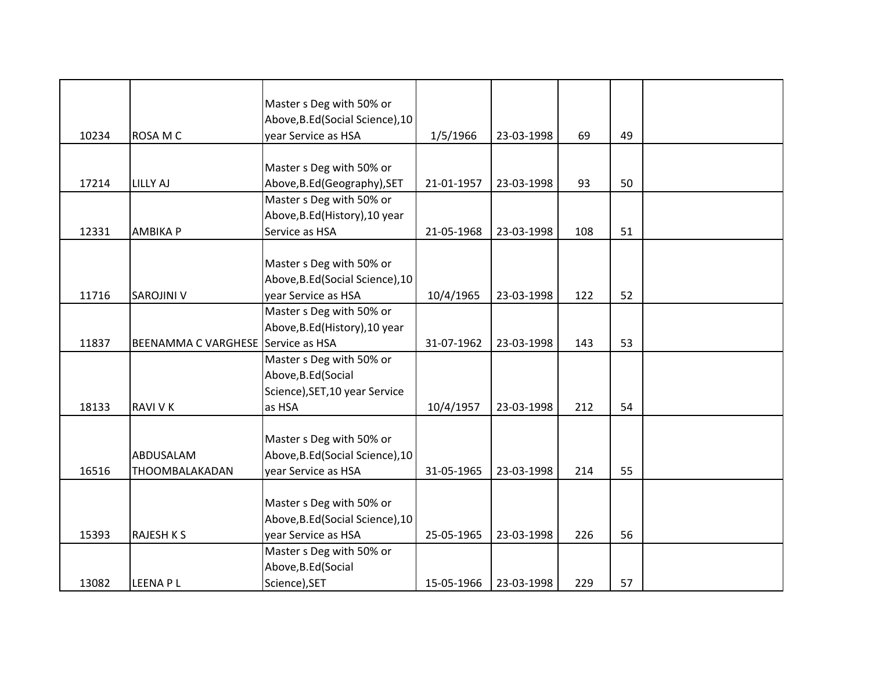|       |                                    | Master s Deg with 50% or         |            |            |     |    |  |
|-------|------------------------------------|----------------------------------|------------|------------|-----|----|--|
|       |                                    | Above, B.Ed (Social Science), 10 |            |            |     |    |  |
| 10234 | ROSA M C                           | year Service as HSA              | 1/5/1966   | 23-03-1998 | 69  | 49 |  |
|       |                                    |                                  |            |            |     |    |  |
|       |                                    | Master s Deg with 50% or         |            |            |     |    |  |
| 17214 | <b>LILLY AJ</b>                    | Above, B.Ed (Geography), SET     | 21-01-1957 | 23-03-1998 | 93  | 50 |  |
|       |                                    | Master s Deg with 50% or         |            |            |     |    |  |
|       |                                    | Above, B.Ed (History), 10 year   |            |            |     |    |  |
|       |                                    |                                  |            |            |     |    |  |
| 12331 | <b>AMBIKA P</b>                    | Service as HSA                   | 21-05-1968 | 23-03-1998 | 108 | 51 |  |
|       |                                    |                                  |            |            |     |    |  |
|       |                                    | Master s Deg with 50% or         |            |            |     |    |  |
|       |                                    | Above, B.Ed (Social Science), 10 |            |            |     |    |  |
| 11716 | SAROJINI V                         | year Service as HSA              | 10/4/1965  | 23-03-1998 | 122 | 52 |  |
|       |                                    | Master s Deg with 50% or         |            |            |     |    |  |
|       |                                    | Above, B.Ed (History), 10 year   |            |            |     |    |  |
| 11837 | BEENAMMA C VARGHESE Service as HSA |                                  | 31-07-1962 | 23-03-1998 | 143 | 53 |  |
|       |                                    | Master s Deg with 50% or         |            |            |     |    |  |
|       |                                    | Above, B.Ed (Social              |            |            |     |    |  |
|       |                                    | Science), SET, 10 year Service   |            |            |     |    |  |
| 18133 | <b>RAVI V K</b>                    | as HSA                           | 10/4/1957  | 23-03-1998 | 212 | 54 |  |
|       |                                    |                                  |            |            |     |    |  |
|       |                                    | Master s Deg with 50% or         |            |            |     |    |  |
|       | ABDUSALAM                          | Above, B.Ed (Social Science), 10 |            |            |     |    |  |
| 16516 | THOOMBALAKADAN                     | year Service as HSA              | 31-05-1965 | 23-03-1998 | 214 | 55 |  |
|       |                                    |                                  |            |            |     |    |  |
|       |                                    | Master s Deg with 50% or         |            |            |     |    |  |
|       |                                    | Above, B.Ed (Social Science), 10 |            |            |     |    |  |
| 15393 | <b>RAJESH K S</b>                  | year Service as HSA              | 25-05-1965 | 23-03-1998 | 226 | 56 |  |
|       |                                    | Master s Deg with 50% or         |            |            |     |    |  |
|       |                                    | Above, B.Ed (Social              |            |            |     |    |  |
| 13082 | <b>LEENAPL</b>                     | Science), SET                    | 15-05-1966 | 23-03-1998 | 229 | 57 |  |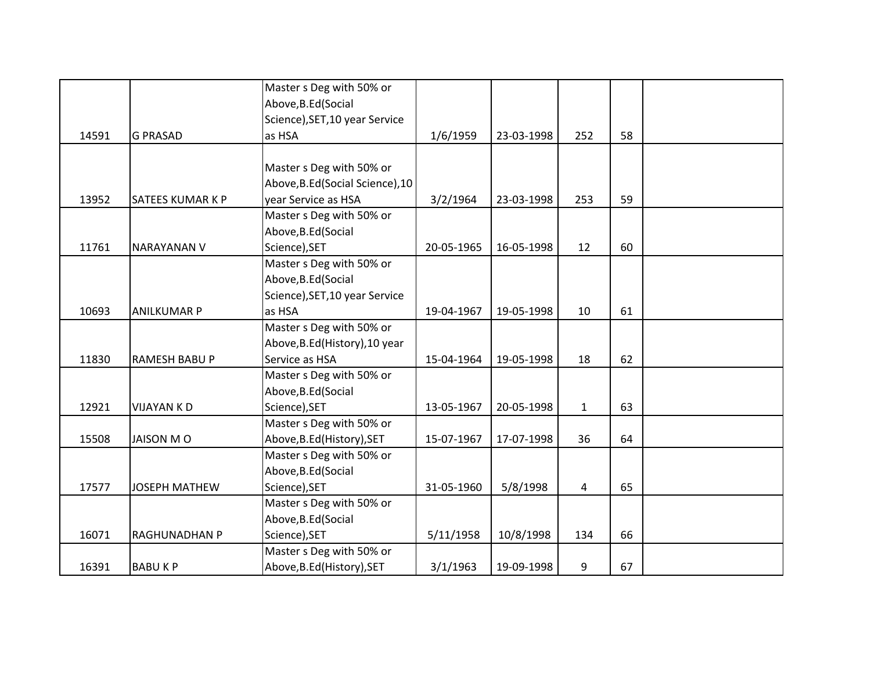|       |                         | Master s Deg with 50% or         |            |            |              |    |  |
|-------|-------------------------|----------------------------------|------------|------------|--------------|----|--|
|       |                         | Above, B.Ed (Social              |            |            |              |    |  |
|       |                         | Science), SET, 10 year Service   |            |            |              |    |  |
| 14591 | <b>G PRASAD</b>         | as HSA                           | 1/6/1959   | 23-03-1998 | 252          | 58 |  |
|       |                         |                                  |            |            |              |    |  |
|       |                         | Master s Deg with 50% or         |            |            |              |    |  |
|       |                         | Above, B.Ed (Social Science), 10 |            |            |              |    |  |
| 13952 | <b>SATEES KUMAR K P</b> | year Service as HSA              | 3/2/1964   | 23-03-1998 | 253          | 59 |  |
|       |                         | Master s Deg with 50% or         |            |            |              |    |  |
|       |                         | Above, B.Ed (Social              |            |            |              |    |  |
| 11761 | <b>NARAYANAN V</b>      | Science), SET                    | 20-05-1965 | 16-05-1998 | 12           | 60 |  |
|       |                         | Master s Deg with 50% or         |            |            |              |    |  |
|       |                         | Above, B.Ed (Social              |            |            |              |    |  |
|       |                         | Science), SET, 10 year Service   |            |            |              |    |  |
| 10693 | <b>ANILKUMAR P</b>      | as HSA                           | 19-04-1967 | 19-05-1998 | 10           | 61 |  |
|       |                         | Master s Deg with 50% or         |            |            |              |    |  |
|       |                         | Above, B.Ed (History), 10 year   |            |            |              |    |  |
| 11830 | RAMESH BABU P           | Service as HSA                   | 15-04-1964 | 19-05-1998 | 18           | 62 |  |
|       |                         | Master s Deg with 50% or         |            |            |              |    |  |
|       |                         | Above, B.Ed (Social              |            |            |              |    |  |
| 12921 | <b>VIJAYAN KD</b>       | Science), SET                    | 13-05-1967 | 20-05-1998 | $\mathbf{1}$ | 63 |  |
|       |                         | Master s Deg with 50% or         |            |            |              |    |  |
| 15508 | JAISON MO               | Above, B.Ed (History), SET       | 15-07-1967 | 17-07-1998 | 36           | 64 |  |
|       |                         | Master s Deg with 50% or         |            |            |              |    |  |
|       |                         | Above, B.Ed (Social              |            |            |              |    |  |
| 17577 | <b>JOSEPH MATHEW</b>    | Science), SET                    | 31-05-1960 | 5/8/1998   | 4            | 65 |  |
|       |                         | Master s Deg with 50% or         |            |            |              |    |  |
|       |                         | Above, B.Ed (Social              |            |            |              |    |  |
| 16071 | <b>RAGHUNADHAN P</b>    | Science), SET                    | 5/11/1958  | 10/8/1998  | 134          | 66 |  |
|       |                         | Master s Deg with 50% or         |            |            |              |    |  |
| 16391 | <b>BABUKP</b>           | Above, B.Ed (History), SET       | 3/1/1963   | 19-09-1998 | 9            | 67 |  |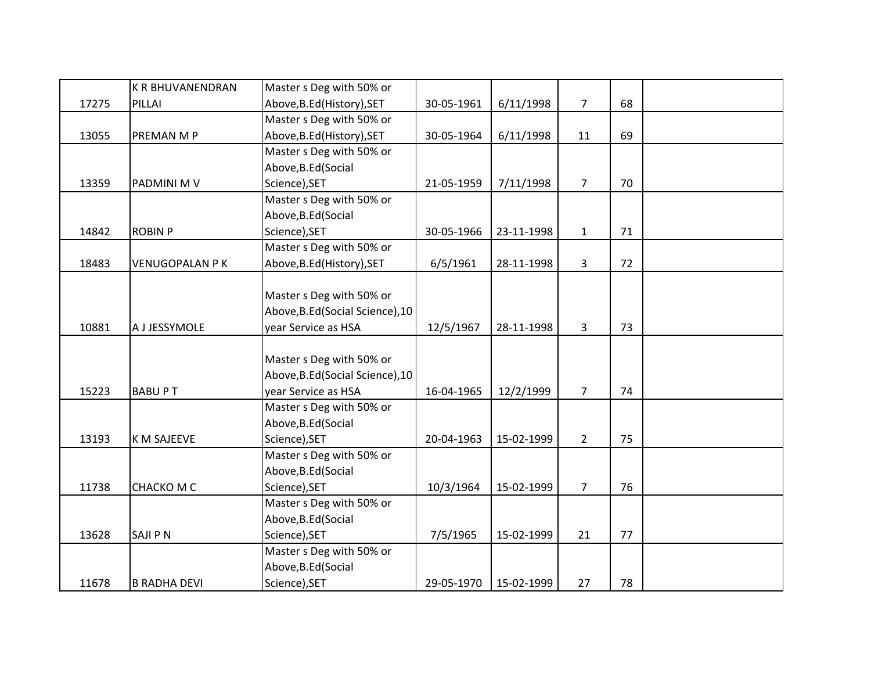|       | <b>K R BHUVANENDRAN</b> | Master s Deg with 50% or         |            |            |                |    |  |
|-------|-------------------------|----------------------------------|------------|------------|----------------|----|--|
| 17275 | PILLAI                  | Above, B.Ed (History), SET       | 30-05-1961 | 6/11/1998  | $\overline{7}$ | 68 |  |
|       |                         | Master s Deg with 50% or         |            |            |                |    |  |
| 13055 | PREMAN M P              | Above, B.Ed (History), SET       | 30-05-1964 | 6/11/1998  | 11             | 69 |  |
|       |                         | Master s Deg with 50% or         |            |            |                |    |  |
|       |                         | Above, B.Ed (Social              |            |            |                |    |  |
| 13359 | PADMINI M V             | Science), SET                    | 21-05-1959 | 7/11/1998  | $\overline{7}$ | 70 |  |
|       |                         | Master s Deg with 50% or         |            |            |                |    |  |
|       |                         | Above, B.Ed (Social              |            |            |                |    |  |
| 14842 | <b>ROBIN P</b>          | Science), SET                    | 30-05-1966 | 23-11-1998 | $\mathbf{1}$   | 71 |  |
|       |                         | Master s Deg with 50% or         |            |            |                |    |  |
| 18483 | <b>VENUGOPALAN P K</b>  | Above, B.Ed (History), SET       | 6/5/1961   | 28-11-1998 | 3              | 72 |  |
|       |                         |                                  |            |            |                |    |  |
|       |                         | Master s Deg with 50% or         |            |            |                |    |  |
|       |                         | Above, B.Ed (Social Science), 10 |            |            |                |    |  |
| 10881 | A J JESSYMOLE           | year Service as HSA              | 12/5/1967  | 28-11-1998 | 3              | 73 |  |
|       |                         |                                  |            |            |                |    |  |
|       |                         | Master s Deg with 50% or         |            |            |                |    |  |
|       |                         | Above, B.Ed (Social Science), 10 |            |            |                |    |  |
| 15223 | <b>BABUPT</b>           | year Service as HSA              | 16-04-1965 | 12/2/1999  | $\overline{7}$ | 74 |  |
|       |                         | Master s Deg with 50% or         |            |            |                |    |  |
|       |                         | Above, B.Ed (Social              |            |            |                |    |  |
| 13193 | <b>K M SAJEEVE</b>      | Science), SET                    | 20-04-1963 | 15-02-1999 | $\overline{2}$ | 75 |  |
|       |                         | Master s Deg with 50% or         |            |            |                |    |  |
|       |                         | Above, B.Ed (Social              |            |            |                |    |  |
| 11738 | <b>CHACKO M C</b>       | Science), SET                    | 10/3/1964  | 15-02-1999 | $\overline{7}$ | 76 |  |
|       |                         | Master s Deg with 50% or         |            |            |                |    |  |
|       |                         | Above, B.Ed (Social              |            |            |                |    |  |
| 13628 | <b>SAJIPN</b>           | Science), SET                    | 7/5/1965   | 15-02-1999 | 21             | 77 |  |
|       |                         | Master s Deg with 50% or         |            |            |                |    |  |
|       |                         | Above, B.Ed (Social              |            |            |                |    |  |
| 11678 | <b>B RADHA DEVI</b>     | Science), SET                    | 29-05-1970 | 15-02-1999 | 27             | 78 |  |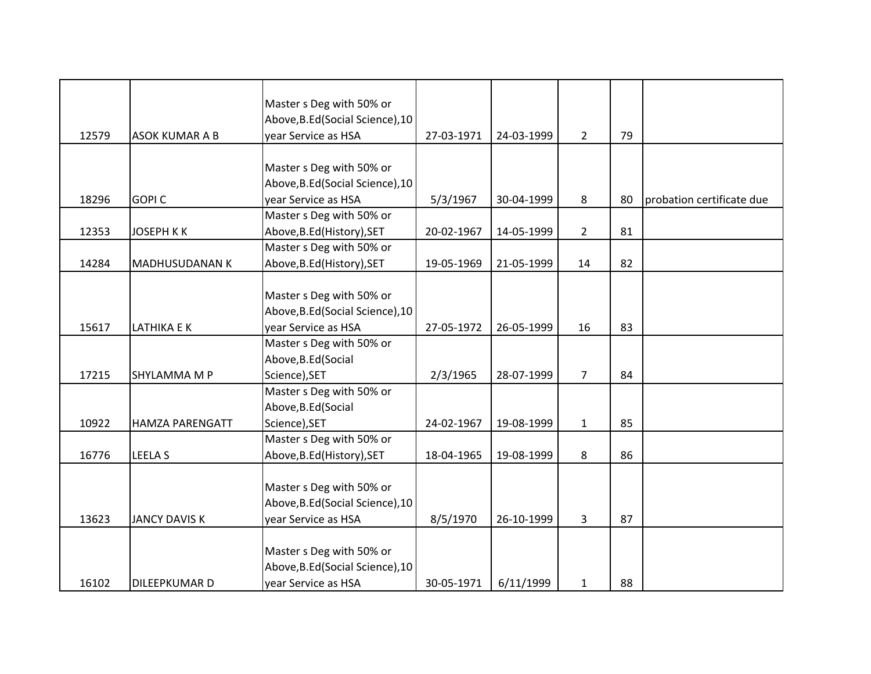|       |                       | Master s Deg with 50% or         |            |            |                |    |                           |
|-------|-----------------------|----------------------------------|------------|------------|----------------|----|---------------------------|
|       |                       | Above, B.Ed (Social Science), 10 |            |            |                |    |                           |
| 12579 | <b>ASOK KUMAR A B</b> | year Service as HSA              | 27-03-1971 | 24-03-1999 | $\overline{2}$ | 79 |                           |
|       |                       |                                  |            |            |                |    |                           |
|       |                       |                                  |            |            |                |    |                           |
|       |                       | Master s Deg with 50% or         |            |            |                |    |                           |
|       |                       | Above, B.Ed (Social Science), 10 |            |            |                |    |                           |
| 18296 | <b>GOPIC</b>          | year Service as HSA              | 5/3/1967   | 30-04-1999 | 8              | 80 | probation certificate due |
|       |                       | Master s Deg with 50% or         |            |            |                |    |                           |
| 12353 | <b>JOSEPH KK</b>      | Above, B.Ed (History), SET       | 20-02-1967 | 14-05-1999 | $\overline{2}$ | 81 |                           |
|       |                       | Master s Deg with 50% or         |            |            |                |    |                           |
| 14284 | MADHUSUDANAN K        | Above, B.Ed (History), SET       | 19-05-1969 | 21-05-1999 | 14             | 82 |                           |
|       |                       |                                  |            |            |                |    |                           |
|       |                       | Master s Deg with 50% or         |            |            |                |    |                           |
|       |                       | Above, B.Ed (Social Science), 10 |            |            |                |    |                           |
| 15617 | <b>LATHIKA E K</b>    | year Service as HSA              | 27-05-1972 | 26-05-1999 | 16             | 83 |                           |
|       |                       | Master s Deg with 50% or         |            |            |                |    |                           |
|       |                       | Above, B.Ed (Social              |            |            |                |    |                           |
| 17215 | SHYLAMMA M P          | Science), SET                    | 2/3/1965   | 28-07-1999 | $\overline{7}$ | 84 |                           |
|       |                       | Master s Deg with 50% or         |            |            |                |    |                           |
|       |                       | Above, B.Ed (Social              |            |            |                |    |                           |
| 10922 | HAMZA PARENGATT       | Science), SET                    | 24-02-1967 | 19-08-1999 | $\mathbf{1}$   | 85 |                           |
|       |                       | Master s Deg with 50% or         |            |            |                |    |                           |
| 16776 | <b>LEELA S</b>        | Above, B.Ed (History), SET       | 18-04-1965 | 19-08-1999 | 8              | 86 |                           |
|       |                       |                                  |            |            |                |    |                           |
|       |                       | Master s Deg with 50% or         |            |            |                |    |                           |
|       |                       | Above, B.Ed (Social Science), 10 |            |            |                |    |                           |
| 13623 | <b>JANCY DAVIS K</b>  | year Service as HSA              | 8/5/1970   | 26-10-1999 | 3              | 87 |                           |
|       |                       |                                  |            |            |                |    |                           |
|       |                       | Master s Deg with 50% or         |            |            |                |    |                           |
|       |                       | Above, B.Ed (Social Science), 10 |            |            |                |    |                           |
| 16102 | DILEEPKUMAR D         | year Service as HSA              | 30-05-1971 | 6/11/1999  | $\mathbf{1}$   | 88 |                           |
|       |                       |                                  |            |            |                |    |                           |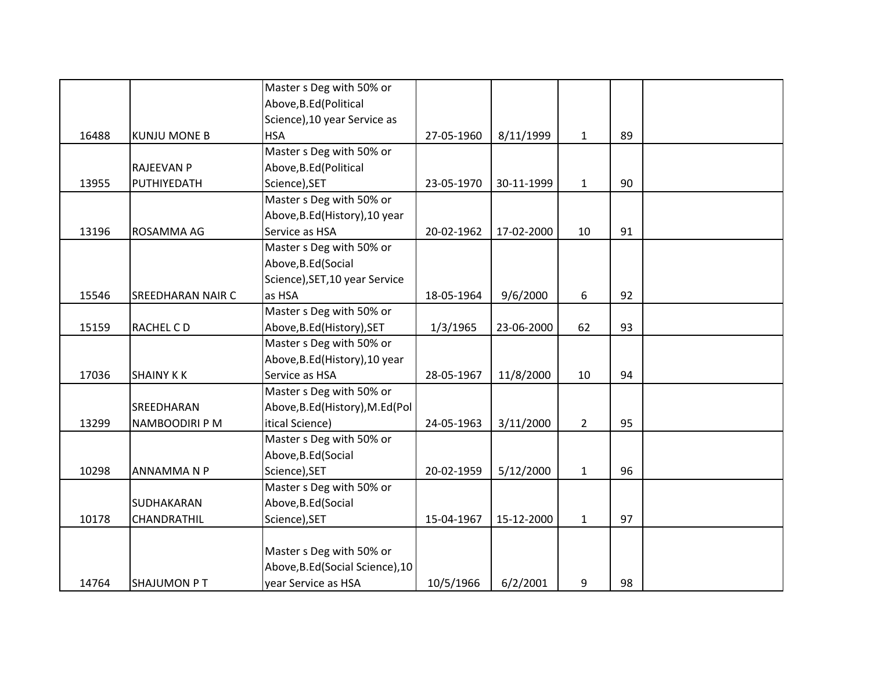|       |                     | Master s Deg with 50% or         |            |            |                |    |  |
|-------|---------------------|----------------------------------|------------|------------|----------------|----|--|
|       |                     | Above, B.Ed (Political           |            |            |                |    |  |
|       |                     | Science), 10 year Service as     |            |            |                |    |  |
| 16488 | <b>KUNJU MONE B</b> | <b>HSA</b>                       | 27-05-1960 | 8/11/1999  | $\mathbf{1}$   | 89 |  |
|       |                     | Master s Deg with 50% or         |            |            |                |    |  |
|       | <b>RAJEEVAN P</b>   | Above, B.Ed (Political           |            |            |                |    |  |
| 13955 | PUTHIYEDATH         | Science), SET                    | 23-05-1970 | 30-11-1999 | $\mathbf{1}$   | 90 |  |
|       |                     | Master s Deg with 50% or         |            |            |                |    |  |
|       |                     | Above, B.Ed (History), 10 year   |            |            |                |    |  |
| 13196 | ROSAMMA AG          | Service as HSA                   | 20-02-1962 | 17-02-2000 | 10             | 91 |  |
|       |                     | Master s Deg with 50% or         |            |            |                |    |  |
|       |                     | Above, B.Ed (Social              |            |            |                |    |  |
|       |                     | Science), SET, 10 year Service   |            |            |                |    |  |
| 15546 | SREEDHARAN NAIR C   | as HSA                           | 18-05-1964 | 9/6/2000   | 6              | 92 |  |
|       |                     | Master s Deg with 50% or         |            |            |                |    |  |
| 15159 | RACHEL CD           | Above, B.Ed (History), SET       | 1/3/1965   | 23-06-2000 | 62             | 93 |  |
|       |                     | Master s Deg with 50% or         |            |            |                |    |  |
|       |                     | Above, B.Ed (History), 10 year   |            |            |                |    |  |
| 17036 | <b>SHAINY KK</b>    | Service as HSA                   | 28-05-1967 | 11/8/2000  | 10             | 94 |  |
|       |                     | Master s Deg with 50% or         |            |            |                |    |  |
|       | SREEDHARAN          | Above, B.Ed (History), M.Ed (Pol |            |            |                |    |  |
| 13299 | NAMBOODIRI P M      | itical Science)                  | 24-05-1963 | 3/11/2000  | $\overline{2}$ | 95 |  |
|       |                     | Master s Deg with 50% or         |            |            |                |    |  |
|       |                     | Above, B.Ed (Social              |            |            |                |    |  |
| 10298 | ANNAMMANP           | Science), SET                    | 20-02-1959 | 5/12/2000  | $\mathbf{1}$   | 96 |  |
|       |                     | Master s Deg with 50% or         |            |            |                |    |  |
|       | SUDHAKARAN          | Above, B.Ed (Social              |            |            |                |    |  |
| 10178 | CHANDRATHIL         | Science), SET                    | 15-04-1967 | 15-12-2000 | $\mathbf{1}$   | 97 |  |
|       |                     |                                  |            |            |                |    |  |
|       |                     | Master s Deg with 50% or         |            |            |                |    |  |
|       |                     | Above, B.Ed (Social Science), 10 |            |            |                |    |  |
| 14764 | <b>SHAJUMON PT</b>  | year Service as HSA              | 10/5/1966  | 6/2/2001   | 9              | 98 |  |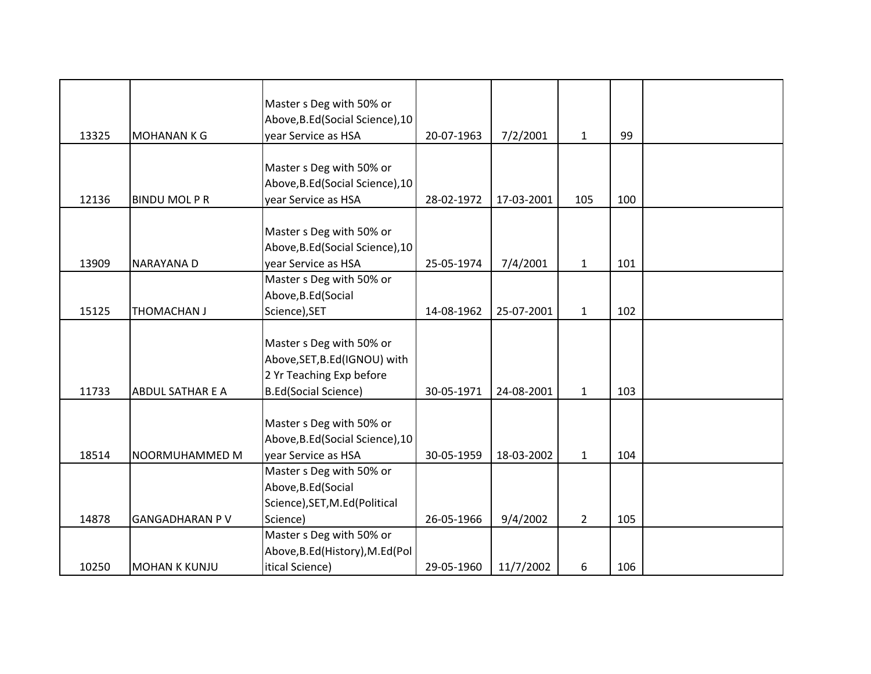|       |                         | Master s Deg with 50% or<br>Above, B.Ed (Social Science), 10                                                         |            |            |              |     |  |
|-------|-------------------------|----------------------------------------------------------------------------------------------------------------------|------------|------------|--------------|-----|--|
| 13325 | <b>MOHANANKG</b>        | year Service as HSA                                                                                                  | 20-07-1963 | 7/2/2001   | $\mathbf{1}$ | 99  |  |
| 12136 | <b>BINDU MOLPR</b>      | Master s Deg with 50% or<br>Above, B.Ed (Social Science), 10<br>year Service as HSA                                  | 28-02-1972 | 17-03-2001 | 105          | 100 |  |
| 13909 | NARAYANA D              | Master s Deg with 50% or<br>Above, B.Ed (Social Science), 10<br>year Service as HSA                                  | 25-05-1974 | 7/4/2001   | $\mathbf{1}$ | 101 |  |
| 15125 | <b>THOMACHAN J</b>      | Master s Deg with 50% or<br>Above, B.Ed (Social<br>Science), SET                                                     | 14-08-1962 | 25-07-2001 | $\mathbf{1}$ | 102 |  |
| 11733 | <b>ABDUL SATHAR E A</b> | Master s Deg with 50% or<br>Above, SET, B.Ed (IGNOU) with<br>2 Yr Teaching Exp before<br><b>B.Ed(Social Science)</b> | 30-05-1971 | 24-08-2001 | $\mathbf{1}$ | 103 |  |
| 18514 | NOORMUHAMMED M          | Master s Deg with 50% or<br>Above, B.Ed (Social Science), 10<br>year Service as HSA                                  | 30-05-1959 | 18-03-2002 | $1\,$        | 104 |  |
| 14878 | <b>GANGADHARAN PV</b>   | Master s Deg with 50% or<br>Above, B.Ed (Social<br>Science), SET, M.Ed(Political<br>Science)                         | 26-05-1966 | 9/4/2002   | $2^{\circ}$  | 105 |  |
| 10250 | <b>MOHAN K KUNJU</b>    | Master s Deg with 50% or<br>Above, B.Ed (History), M.Ed (Pol<br>itical Science)                                      | 29-05-1960 | 11/7/2002  | 6            | 106 |  |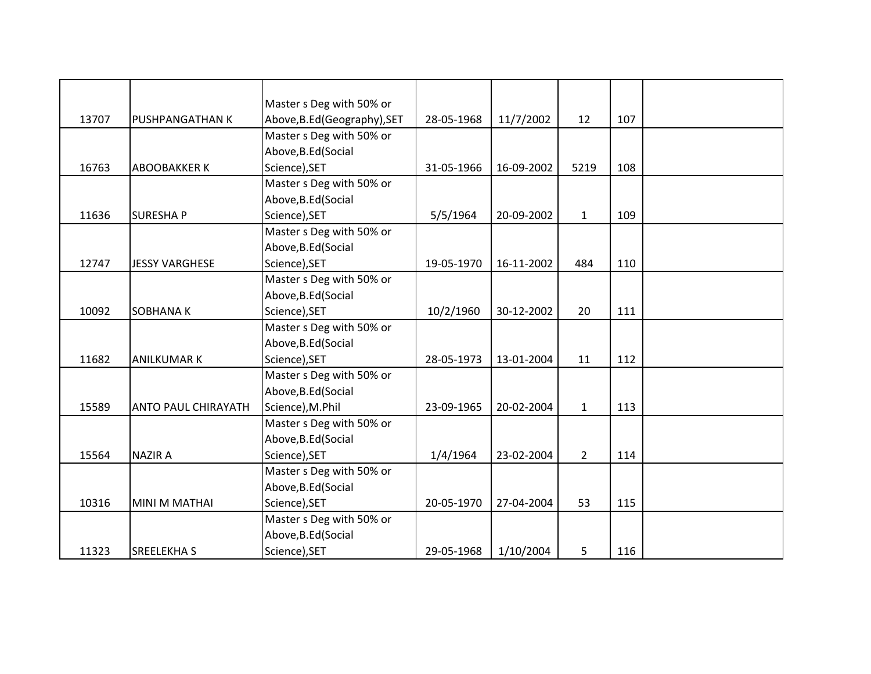|       |                            | Master s Deg with 50% or     |            |            |                |     |  |
|-------|----------------------------|------------------------------|------------|------------|----------------|-----|--|
| 13707 | PUSHPANGATHAN K            | Above, B.Ed (Geography), SET | 28-05-1968 | 11/7/2002  | 12             | 107 |  |
|       |                            | Master s Deg with 50% or     |            |            |                |     |  |
|       |                            | Above, B.Ed (Social          |            |            |                |     |  |
| 16763 | <b>ABOOBAKKER K</b>        | Science), SET                | 31-05-1966 | 16-09-2002 | 5219           | 108 |  |
|       |                            | Master s Deg with 50% or     |            |            |                |     |  |
|       |                            | Above, B.Ed (Social          |            |            |                |     |  |
| 11636 | <b>SURESHAP</b>            | Science), SET                | 5/5/1964   | 20-09-2002 | $\mathbf{1}$   | 109 |  |
|       |                            | Master s Deg with 50% or     |            |            |                |     |  |
|       |                            | Above, B.Ed (Social          |            |            |                |     |  |
| 12747 | <b>JESSY VARGHESE</b>      | Science), SET                | 19-05-1970 | 16-11-2002 | 484            | 110 |  |
|       |                            | Master s Deg with 50% or     |            |            |                |     |  |
|       |                            | Above, B.Ed (Social          |            |            |                |     |  |
| 10092 | SOBHANA K                  | Science), SET                | 10/2/1960  | 30-12-2002 | 20             | 111 |  |
|       |                            | Master s Deg with 50% or     |            |            |                |     |  |
|       |                            | Above, B.Ed (Social          |            |            |                |     |  |
| 11682 | <b>ANILKUMAR K</b>         | Science), SET                | 28-05-1973 | 13-01-2004 | 11             | 112 |  |
|       |                            | Master s Deg with 50% or     |            |            |                |     |  |
|       |                            | Above, B.Ed (Social          |            |            |                |     |  |
| 15589 | <b>ANTO PAUL CHIRAYATH</b> | Science), M.Phil             | 23-09-1965 | 20-02-2004 | $\mathbf{1}$   | 113 |  |
|       |                            | Master s Deg with 50% or     |            |            |                |     |  |
|       |                            | Above, B.Ed (Social          |            |            |                |     |  |
| 15564 | <b>NAZIR A</b>             | Science), SET                | 1/4/1964   | 23-02-2004 | $\overline{2}$ | 114 |  |
|       |                            | Master s Deg with 50% or     |            |            |                |     |  |
|       |                            | Above, B.Ed (Social          |            |            |                |     |  |
| 10316 | MINI M MATHAI              | Science), SET                | 20-05-1970 | 27-04-2004 | 53             | 115 |  |
|       |                            | Master s Deg with 50% or     |            |            |                |     |  |
|       |                            | Above, B.Ed (Social          |            |            |                |     |  |
| 11323 | <b>SREELEKHA S</b>         | Science), SET                | 29-05-1968 | 1/10/2004  | 5              | 116 |  |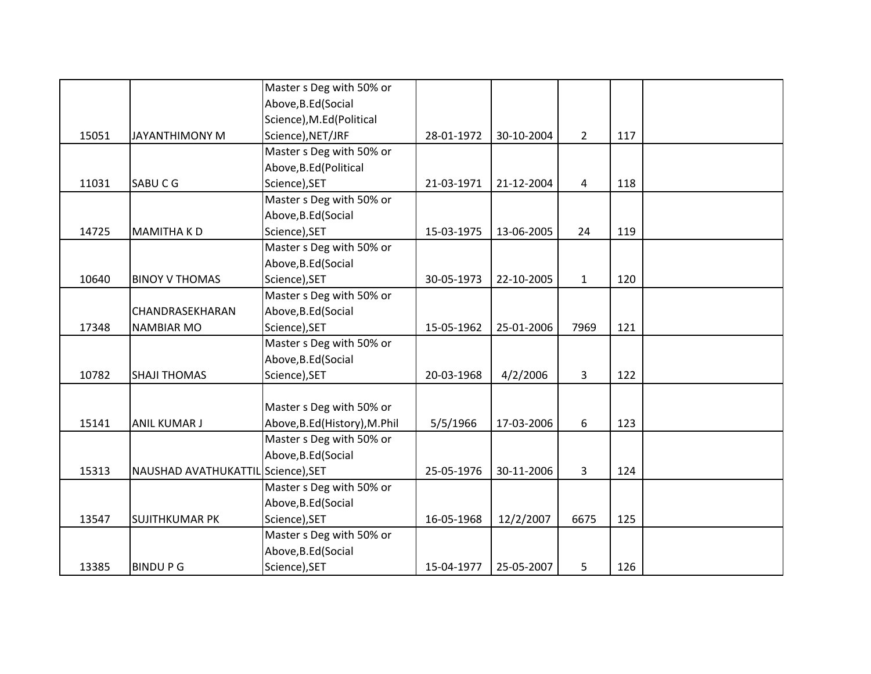|       |                                    | Master s Deg with 50% or      |            |            |                |     |  |
|-------|------------------------------------|-------------------------------|------------|------------|----------------|-----|--|
|       |                                    | Above, B.Ed (Social           |            |            |                |     |  |
|       |                                    | Science), M.Ed(Political      |            |            |                |     |  |
| 15051 | JAYANTHIMONY M                     | Science), NET/JRF             | 28-01-1972 | 30-10-2004 | $\overline{2}$ | 117 |  |
|       |                                    | Master s Deg with 50% or      |            |            |                |     |  |
|       |                                    | Above, B.Ed (Political        |            |            |                |     |  |
| 11031 | SABUCG                             | Science), SET                 | 21-03-1971 | 21-12-2004 | 4              | 118 |  |
|       |                                    | Master s Deg with 50% or      |            |            |                |     |  |
|       |                                    | Above, B.Ed (Social           |            |            |                |     |  |
| 14725 | <b>MAMITHAKD</b>                   | Science), SET                 | 15-03-1975 | 13-06-2005 | 24             | 119 |  |
|       |                                    | Master s Deg with 50% or      |            |            |                |     |  |
|       |                                    | Above, B.Ed (Social           |            |            |                |     |  |
| 10640 | <b>BINOY V THOMAS</b>              | Science), SET                 | 30-05-1973 | 22-10-2005 | $\mathbf{1}$   | 120 |  |
|       |                                    | Master s Deg with 50% or      |            |            |                |     |  |
|       | CHANDRASEKHARAN                    | Above, B.Ed (Social           |            |            |                |     |  |
| 17348 | <b>NAMBIAR MO</b>                  | Science), SET                 | 15-05-1962 | 25-01-2006 | 7969           | 121 |  |
|       |                                    | Master s Deg with 50% or      |            |            |                |     |  |
|       |                                    | Above, B.Ed (Social           |            |            |                |     |  |
| 10782 | <b>SHAJI THOMAS</b>                | Science), SET                 | 20-03-1968 | 4/2/2006   | $\overline{3}$ | 122 |  |
|       |                                    |                               |            |            |                |     |  |
|       |                                    | Master s Deg with 50% or      |            |            |                |     |  |
| 15141 | <b>ANIL KUMAR J</b>                | Above, B.Ed (History), M.Phil | 5/5/1966   | 17-03-2006 | 6              | 123 |  |
|       |                                    | Master s Deg with 50% or      |            |            |                |     |  |
|       |                                    | Above, B.Ed (Social           |            |            |                |     |  |
| 15313 | NAUSHAD AVATHUKATTIL Science), SET |                               | 25-05-1976 | 30-11-2006 | 3              | 124 |  |
|       |                                    | Master s Deg with 50% or      |            |            |                |     |  |
|       |                                    | Above, B.Ed (Social           |            |            |                |     |  |
| 13547 | <b>SUJITHKUMAR PK</b>              | Science), SET                 | 16-05-1968 | 12/2/2007  | 6675           | 125 |  |
|       |                                    | Master s Deg with 50% or      |            |            |                |     |  |
|       |                                    | Above, B.Ed (Social           |            |            |                |     |  |
| 13385 | <b>BINDUPG</b>                     | Science), SET                 | 15-04-1977 | 25-05-2007 | 5              | 126 |  |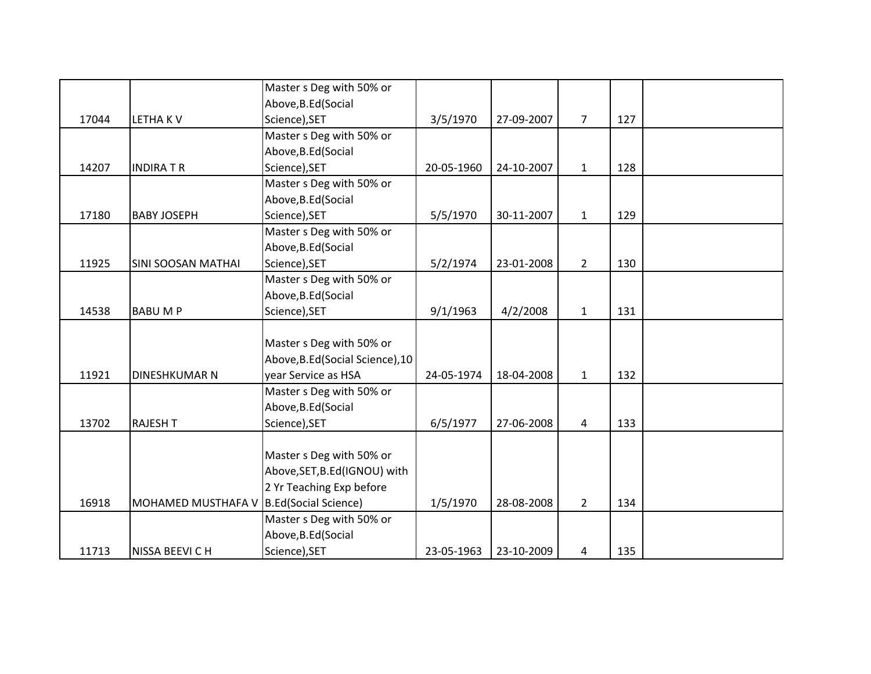|       |                                         | Master s Deg with 50% or         |            |            |                |     |  |
|-------|-----------------------------------------|----------------------------------|------------|------------|----------------|-----|--|
|       |                                         | Above, B.Ed (Social              |            |            |                |     |  |
| 17044 | <b>LETHAKV</b>                          | Science), SET                    | 3/5/1970   | 27-09-2007 | $\overline{7}$ | 127 |  |
|       |                                         | Master s Deg with 50% or         |            |            |                |     |  |
|       |                                         | Above, B.Ed (Social              |            |            |                |     |  |
| 14207 | <b>INDIRATR</b>                         | Science), SET                    | 20-05-1960 | 24-10-2007 | $\mathbf{1}$   | 128 |  |
|       |                                         | Master s Deg with 50% or         |            |            |                |     |  |
|       |                                         | Above, B.Ed (Social              |            |            |                |     |  |
| 17180 | <b>BABY JOSEPH</b>                      | Science), SET                    | 5/5/1970   | 30-11-2007 | $\mathbf{1}$   | 129 |  |
|       |                                         | Master s Deg with 50% or         |            |            |                |     |  |
|       |                                         | Above, B.Ed (Social              |            |            |                |     |  |
| 11925 | <b>SINI SOOSAN MATHAI</b>               | Science), SET                    | 5/2/1974   | 23-01-2008 | $2^{\circ}$    | 130 |  |
|       |                                         | Master s Deg with 50% or         |            |            |                |     |  |
|       |                                         | Above, B.Ed (Social              |            |            |                |     |  |
| 14538 | <b>BABUMP</b>                           | Science), SET                    | 9/1/1963   | 4/2/2008   | $\mathbf{1}$   | 131 |  |
|       |                                         |                                  |            |            |                |     |  |
|       |                                         | Master s Deg with 50% or         |            |            |                |     |  |
|       |                                         | Above, B.Ed (Social Science), 10 |            |            |                |     |  |
| 11921 | DINESHKUMAR N                           | year Service as HSA              | 24-05-1974 | 18-04-2008 | $\mathbf{1}$   | 132 |  |
|       |                                         | Master s Deg with 50% or         |            |            |                |     |  |
|       |                                         | Above, B.Ed (Social              |            |            |                |     |  |
| 13702 | <b>RAJESH T</b>                         | Science), SET                    | 6/5/1977   | 27-06-2008 | 4              | 133 |  |
|       |                                         |                                  |            |            |                |     |  |
|       |                                         | Master s Deg with 50% or         |            |            |                |     |  |
|       |                                         | Above, SET, B.Ed (IGNOU) with    |            |            |                |     |  |
|       |                                         | 2 Yr Teaching Exp before         |            |            |                |     |  |
| 16918 | MOHAMED MUSTHAFA V B.Ed(Social Science) |                                  | 1/5/1970   | 28-08-2008 | $\overline{2}$ | 134 |  |
|       |                                         | Master s Deg with 50% or         |            |            |                |     |  |
|       |                                         | Above, B.Ed (Social              |            |            |                |     |  |
| 11713 | NISSA BEEVI C H                         | Science), SET                    | 23-05-1963 | 23-10-2009 | 4              | 135 |  |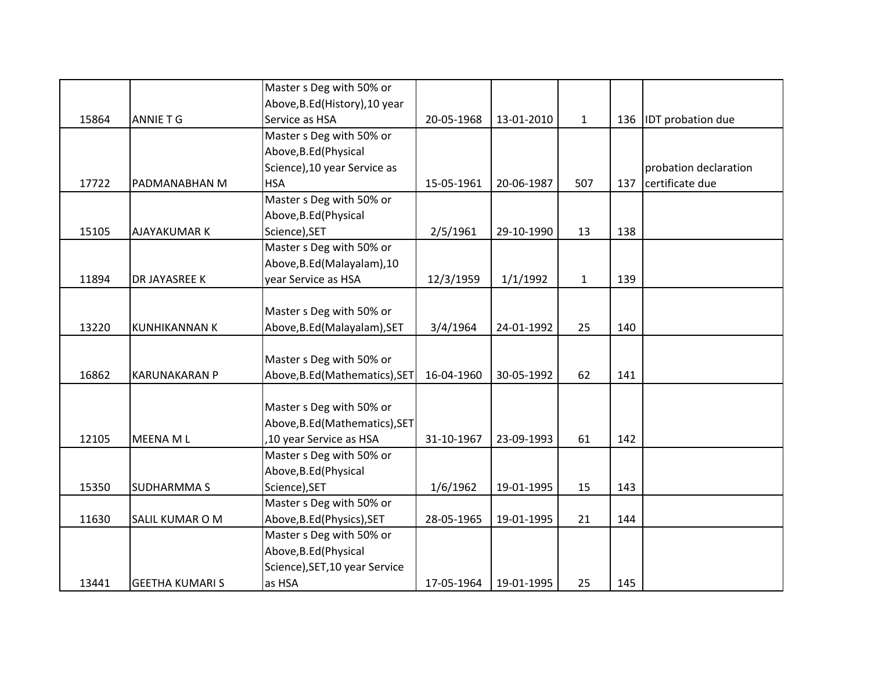|       |                        | Master s Deg with 50% or       |            |            |              |     |                          |
|-------|------------------------|--------------------------------|------------|------------|--------------|-----|--------------------------|
|       |                        | Above, B.Ed (History), 10 year |            |            |              |     |                          |
| 15864 | <b>ANNIE T G</b>       | Service as HSA                 | 20-05-1968 | 13-01-2010 | $\mathbf{1}$ | 136 | <b>IDT</b> probation due |
|       |                        | Master s Deg with 50% or       |            |            |              |     |                          |
|       |                        | Above, B.Ed (Physical          |            |            |              |     |                          |
|       |                        | Science), 10 year Service as   |            |            |              |     | probation declaration    |
| 17722 | PADMANABHAN M          | <b>HSA</b>                     | 15-05-1961 | 20-06-1987 | 507          | 137 | certificate due          |
|       |                        | Master s Deg with 50% or       |            |            |              |     |                          |
|       |                        | Above, B.Ed (Physical          |            |            |              |     |                          |
| 15105 | <b>AJAYAKUMAR K</b>    | Science), SET                  | 2/5/1961   | 29-10-1990 | 13           | 138 |                          |
|       |                        | Master s Deg with 50% or       |            |            |              |     |                          |
|       |                        | Above, B.Ed (Malayalam), 10    |            |            |              |     |                          |
| 11894 | DR JAYASREE K          | year Service as HSA            | 12/3/1959  | 1/1/1992   | $\mathbf{1}$ | 139 |                          |
|       |                        |                                |            |            |              |     |                          |
|       |                        | Master s Deg with 50% or       |            |            |              |     |                          |
| 13220 | <b>KUNHIKANNAN K</b>   | Above, B.Ed (Malayalam), SET   | 3/4/1964   | 24-01-1992 | 25           | 140 |                          |
|       |                        |                                |            |            |              |     |                          |
|       |                        | Master s Deg with 50% or       |            |            |              |     |                          |
| 16862 | <b>KARUNAKARAN P</b>   | Above, B.Ed (Mathematics), SET | 16-04-1960 | 30-05-1992 | 62           | 141 |                          |
|       |                        |                                |            |            |              |     |                          |
|       |                        | Master s Deg with 50% or       |            |            |              |     |                          |
|       |                        | Above, B.Ed (Mathematics), SET |            |            |              |     |                          |
| 12105 | MEENA ML               | ,10 year Service as HSA        | 31-10-1967 | 23-09-1993 | 61           | 142 |                          |
|       |                        | Master s Deg with 50% or       |            |            |              |     |                          |
|       |                        | Above, B.Ed (Physical          |            |            |              |     |                          |
| 15350 | <b>SUDHARMMAS</b>      | Science), SET                  | 1/6/1962   | 19-01-1995 | 15           | 143 |                          |
|       |                        | Master s Deg with 50% or       |            |            |              |     |                          |
| 11630 | SALIL KUMAR O M        | Above, B.Ed (Physics), SET     | 28-05-1965 | 19-01-1995 | 21           | 144 |                          |
|       |                        | Master s Deg with 50% or       |            |            |              |     |                          |
|       |                        | Above, B.Ed (Physical          |            |            |              |     |                          |
|       |                        | Science), SET, 10 year Service |            |            |              |     |                          |
| 13441 | <b>GEETHA KUMARI S</b> | as HSA                         | 17-05-1964 | 19-01-1995 | 25           | 145 |                          |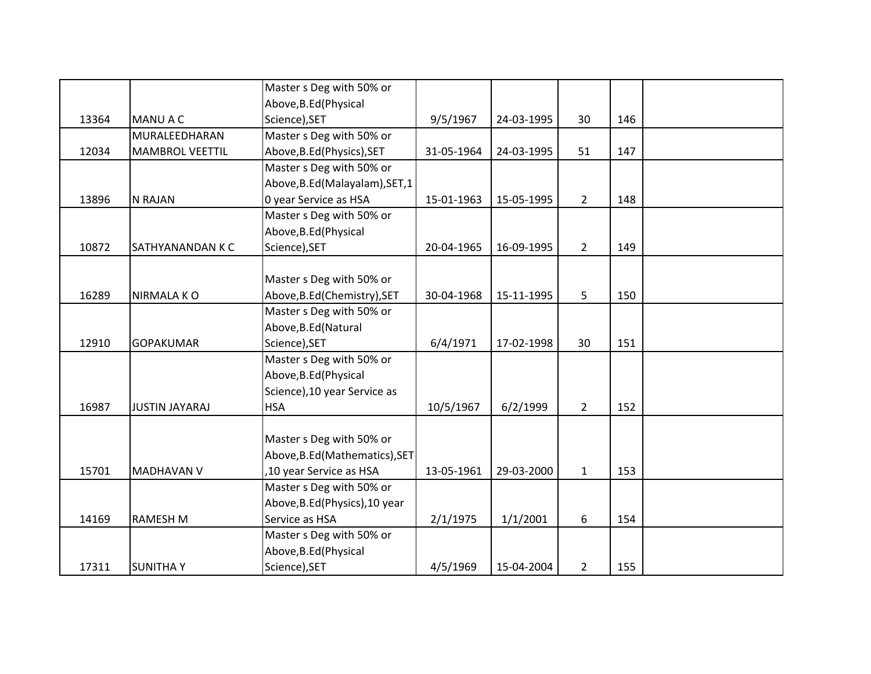|       |                         | Master s Deg with 50% or        |            |            |                |     |  |
|-------|-------------------------|---------------------------------|------------|------------|----------------|-----|--|
|       |                         | Above, B.Ed (Physical           |            |            |                |     |  |
| 13364 | MANU A C                | Science), SET                   | 9/5/1967   | 24-03-1995 | 30             | 146 |  |
|       | MURALEEDHARAN           | Master s Deg with 50% or        |            |            |                |     |  |
| 12034 | <b>MAMBROL VEETTIL</b>  | Above, B.Ed (Physics), SET      | 31-05-1964 | 24-03-1995 | 51             | 147 |  |
|       |                         | Master s Deg with 50% or        |            |            |                |     |  |
|       |                         | Above, B.Ed (Malayalam), SET, 1 |            |            |                |     |  |
| 13896 | N RAJAN                 | 0 year Service as HSA           | 15-01-1963 | 15-05-1995 | $2^{\circ}$    | 148 |  |
|       |                         | Master s Deg with 50% or        |            |            |                |     |  |
|       |                         | Above, B.Ed (Physical           |            |            |                |     |  |
| 10872 | <b>SATHYANANDAN K C</b> | Science), SET                   | 20-04-1965 | 16-09-1995 | $2^{\circ}$    | 149 |  |
|       |                         |                                 |            |            |                |     |  |
|       |                         | Master s Deg with 50% or        |            |            |                |     |  |
| 16289 | <b>NIRMALA KO</b>       | Above, B.Ed (Chemistry), SET    | 30-04-1968 | 15-11-1995 | 5 <sup>5</sup> | 150 |  |
|       |                         | Master s Deg with 50% or        |            |            |                |     |  |
|       |                         | Above, B.Ed (Natural            |            |            |                |     |  |
| 12910 | <b>GOPAKUMAR</b>        | Science), SET                   | 6/4/1971   | 17-02-1998 | 30             | 151 |  |
|       |                         | Master s Deg with 50% or        |            |            |                |     |  |
|       |                         | Above, B.Ed (Physical           |            |            |                |     |  |
|       |                         | Science), 10 year Service as    |            |            |                |     |  |
| 16987 | <b>JUSTIN JAYARAJ</b>   | <b>HSA</b>                      | 10/5/1967  | 6/2/1999   | $2^{\circ}$    | 152 |  |
|       |                         |                                 |            |            |                |     |  |
|       |                         | Master s Deg with 50% or        |            |            |                |     |  |
|       |                         | Above, B.Ed (Mathematics), SET  |            |            |                |     |  |
| 15701 | <b>MADHAVAN V</b>       | ,10 year Service as HSA         | 13-05-1961 | 29-03-2000 | $\mathbf{1}$   | 153 |  |
|       |                         | Master s Deg with 50% or        |            |            |                |     |  |
|       |                         | Above, B.Ed (Physics), 10 year  |            |            |                |     |  |
| 14169 | <b>RAMESH M</b>         | Service as HSA                  | 2/1/1975   | 1/1/2001   | 6              | 154 |  |
|       |                         | Master s Deg with 50% or        |            |            |                |     |  |
|       |                         | Above, B.Ed (Physical           |            |            |                |     |  |
| 17311 | <b>SUNITHAY</b>         | Science), SET                   | 4/5/1969   | 15-04-2004 | $\overline{2}$ | 155 |  |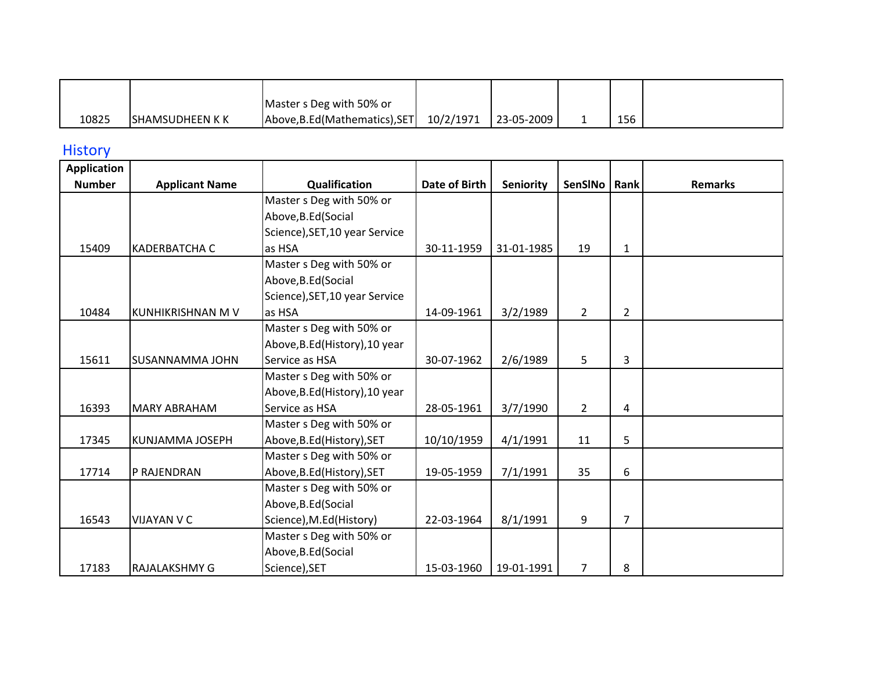|       |                  | Master s Deg with 50% or       |           |                   |     |  |
|-------|------------------|--------------------------------|-----------|-------------------|-----|--|
| 10825 | ISHAMSUDHEEN K K | Above, B.Ed (Mathematics), SET | 10/2/1971 | $123 - 05 - 2009$ | 156 |  |

## **History**

| <b>Application</b> |                        |                                |                      |                  |                |                |                |
|--------------------|------------------------|--------------------------------|----------------------|------------------|----------------|----------------|----------------|
| <b>Number</b>      | <b>Applicant Name</b>  | Qualification                  | <b>Date of Birth</b> | <b>Seniority</b> | SenSINo        | Rank           | <b>Remarks</b> |
|                    |                        | Master s Deg with 50% or       |                      |                  |                |                |                |
|                    |                        | Above, B.Ed (Social            |                      |                  |                |                |                |
|                    |                        | Science), SET, 10 year Service |                      |                  |                |                |                |
| 15409              | <b>KADERBATCHA C</b>   | as HSA                         | 30-11-1959           | 31-01-1985       | 19             | $\mathbf{1}$   |                |
|                    |                        | Master s Deg with 50% or       |                      |                  |                |                |                |
|                    |                        | Above, B.Ed (Social            |                      |                  |                |                |                |
|                    |                        | Science), SET, 10 year Service |                      |                  |                |                |                |
| 10484              | KUNHIKRISHNAN M V      | as HSA                         | 14-09-1961           | 3/2/1989         | $\overline{2}$ | $\overline{2}$ |                |
|                    |                        | Master s Deg with 50% or       |                      |                  |                |                |                |
|                    |                        | Above, B.Ed (History), 10 year |                      |                  |                |                |                |
| 15611              | <b>SUSANNAMMA JOHN</b> | Service as HSA                 | 30-07-1962           | 2/6/1989         | 5              | 3              |                |
|                    |                        | Master s Deg with 50% or       |                      |                  |                |                |                |
|                    |                        | Above, B.Ed (History), 10 year |                      |                  |                |                |                |
| 16393              | <b>MARY ABRAHAM</b>    | Service as HSA                 | 28-05-1961           | 3/7/1990         | $\overline{2}$ | 4              |                |
|                    |                        | Master s Deg with 50% or       |                      |                  |                |                |                |
| 17345              | <b>KUNJAMMA JOSEPH</b> | Above, B.Ed (History), SET     | 10/10/1959           | 4/1/1991         | 11             | 5              |                |
|                    |                        | Master s Deg with 50% or       |                      |                  |                |                |                |
| 17714              | P RAJENDRAN            | Above, B.Ed (History), SET     | 19-05-1959           | 7/1/1991         | 35             | 6              |                |
|                    |                        | Master s Deg with 50% or       |                      |                  |                |                |                |
|                    |                        | Above, B.Ed (Social            |                      |                  |                |                |                |
| 16543              | <b>VIJAYAN V C</b>     | Science), M.Ed(History)        | 22-03-1964           | 8/1/1991         | 9              | $\overline{7}$ |                |
|                    |                        | Master s Deg with 50% or       |                      |                  |                |                |                |
|                    |                        | Above, B.Ed (Social            |                      |                  |                |                |                |
| 17183              | <b>RAJALAKSHMY G</b>   | Science), SET                  | 15-03-1960           | 19-01-1991       | 7              | 8              |                |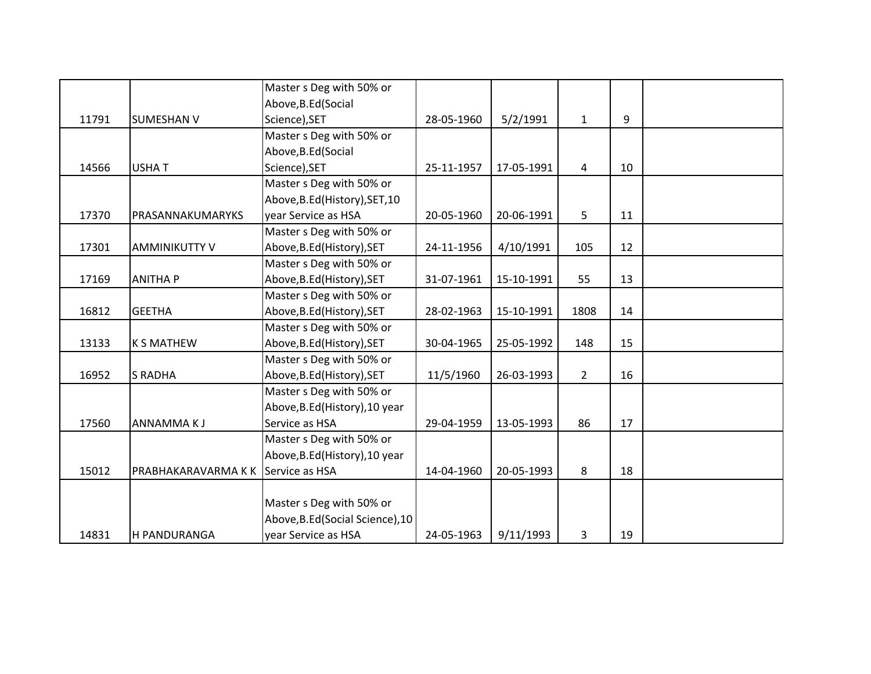|       |                      | Master s Deg with 50% or         |            |            |              |    |  |
|-------|----------------------|----------------------------------|------------|------------|--------------|----|--|
|       |                      | Above, B.Ed (Social              |            |            |              |    |  |
| 11791 | <b>SUMESHAN V</b>    | Science), SET                    | 28-05-1960 | 5/2/1991   | $\mathbf{1}$ | 9  |  |
|       |                      | Master s Deg with 50% or         |            |            |              |    |  |
|       |                      | Above, B.Ed (Social              |            |            |              |    |  |
| 14566 | <b>USHAT</b>         | Science), SET                    | 25-11-1957 | 17-05-1991 | 4            | 10 |  |
|       |                      | Master s Deg with 50% or         |            |            |              |    |  |
|       |                      | Above, B.Ed (History), SET, 10   |            |            |              |    |  |
| 17370 | PRASANNAKUMARYKS     | year Service as HSA              | 20-05-1960 | 20-06-1991 | 5            | 11 |  |
|       |                      | Master s Deg with 50% or         |            |            |              |    |  |
| 17301 | <b>AMMINIKUTTY V</b> | Above, B.Ed (History), SET       | 24-11-1956 | 4/10/1991  | 105          | 12 |  |
|       |                      | Master s Deg with 50% or         |            |            |              |    |  |
| 17169 | <b>ANITHA P</b>      | Above, B.Ed (History), SET       | 31-07-1961 | 15-10-1991 | 55           | 13 |  |
|       |                      | Master s Deg with 50% or         |            |            |              |    |  |
| 16812 | <b>GEETHA</b>        | Above, B.Ed (History), SET       | 28-02-1963 | 15-10-1991 | 1808         | 14 |  |
|       |                      | Master s Deg with 50% or         |            |            |              |    |  |
| 13133 | <b>K S MATHEW</b>    | Above, B.Ed (History), SET       | 30-04-1965 | 25-05-1992 | 148          | 15 |  |
|       |                      | Master s Deg with 50% or         |            |            |              |    |  |
| 16952 | <b>S RADHA</b>       | Above, B.Ed (History), SET       | 11/5/1960  | 26-03-1993 | $2^{\circ}$  | 16 |  |
|       |                      | Master s Deg with 50% or         |            |            |              |    |  |
|       |                      | Above, B.Ed (History), 10 year   |            |            |              |    |  |
| 17560 | <b>ANNAMMAKJ</b>     | Service as HSA                   | 29-04-1959 | 13-05-1993 | 86           | 17 |  |
|       |                      | Master s Deg with 50% or         |            |            |              |    |  |
|       |                      | Above, B.Ed (History), 10 year   |            |            |              |    |  |
| 15012 | PRABHAKARAVARMA K K  | Service as HSA                   | 14-04-1960 | 20-05-1993 | 8            | 18 |  |
|       |                      |                                  |            |            |              |    |  |
|       |                      | Master s Deg with 50% or         |            |            |              |    |  |
|       |                      | Above, B.Ed (Social Science), 10 |            |            |              |    |  |
| 14831 | H PANDURANGA         | year Service as HSA              | 24-05-1963 | 9/11/1993  | 3            | 19 |  |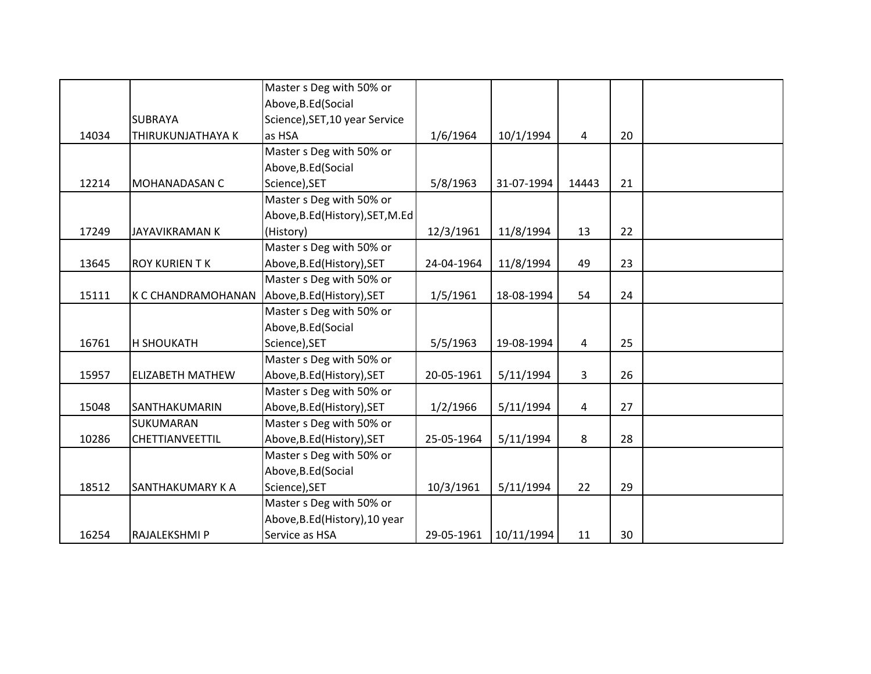|       |                                               | Master s Deg with 50% or         |            |            |                |    |  |
|-------|-----------------------------------------------|----------------------------------|------------|------------|----------------|----|--|
|       |                                               | Above, B.Ed (Social              |            |            |                |    |  |
|       | <b>SUBRAYA</b>                                | Science), SET, 10 year Service   |            |            |                |    |  |
| 14034 | THIRUKUNJATHAYA K                             | as HSA                           | 1/6/1964   | 10/1/1994  | 4              | 20 |  |
|       |                                               | Master s Deg with 50% or         |            |            |                |    |  |
|       |                                               | Above, B.Ed (Social              |            |            |                |    |  |
| 12214 | <b>MOHANADASAN C</b>                          | Science), SET                    | 5/8/1963   | 31-07-1994 | 14443          | 21 |  |
|       |                                               | Master s Deg with 50% or         |            |            |                |    |  |
|       |                                               | Above, B.Ed (History), SET, M.Ed |            |            |                |    |  |
| 17249 | <b>JAYAVIKRAMAN K</b>                         | (History)                        | 12/3/1961  | 11/8/1994  | 13             | 22 |  |
|       |                                               | Master s Deg with 50% or         |            |            |                |    |  |
| 13645 | <b>ROY KURIEN TK</b>                          | Above, B.Ed (History), SET       | 24-04-1964 | 11/8/1994  | 49             | 23 |  |
|       |                                               | Master s Deg with 50% or         |            |            |                |    |  |
| 15111 | K C CHANDRAMOHANAN Above, B.Ed (History), SET |                                  | 1/5/1961   | 18-08-1994 | 54             | 24 |  |
|       |                                               | Master s Deg with 50% or         |            |            |                |    |  |
|       |                                               | Above, B.Ed (Social              |            |            |                |    |  |
| 16761 | <b>H SHOUKATH</b>                             | Science), SET                    | 5/5/1963   | 19-08-1994 | 4              | 25 |  |
|       |                                               | Master s Deg with 50% or         |            |            |                |    |  |
| 15957 | <b>ELIZABETH MATHEW</b>                       | Above, B.Ed (History), SET       | 20-05-1961 | 5/11/1994  | $\overline{3}$ | 26 |  |
|       |                                               | Master s Deg with 50% or         |            |            |                |    |  |
| 15048 | SANTHAKUMARIN                                 | Above, B.Ed (History), SET       | 1/2/1966   | 5/11/1994  | 4              | 27 |  |
|       | SUKUMARAN                                     | Master s Deg with 50% or         |            |            |                |    |  |
| 10286 | <b>CHETTIANVEETTIL</b>                        | Above, B.Ed (History), SET       | 25-05-1964 | 5/11/1994  | 8              | 28 |  |
|       |                                               | Master s Deg with 50% or         |            |            |                |    |  |
|       |                                               | Above, B.Ed (Social              |            |            |                |    |  |
| 18512 | SANTHAKUMARY K A                              | Science), SET                    | 10/3/1961  | 5/11/1994  | 22             | 29 |  |
|       |                                               | Master s Deg with 50% or         |            |            |                |    |  |
|       |                                               | Above, B.Ed (History), 10 year   |            |            |                |    |  |
| 16254 | RAJALEKSHMI P                                 | Service as HSA                   | 29-05-1961 | 10/11/1994 | 11             | 30 |  |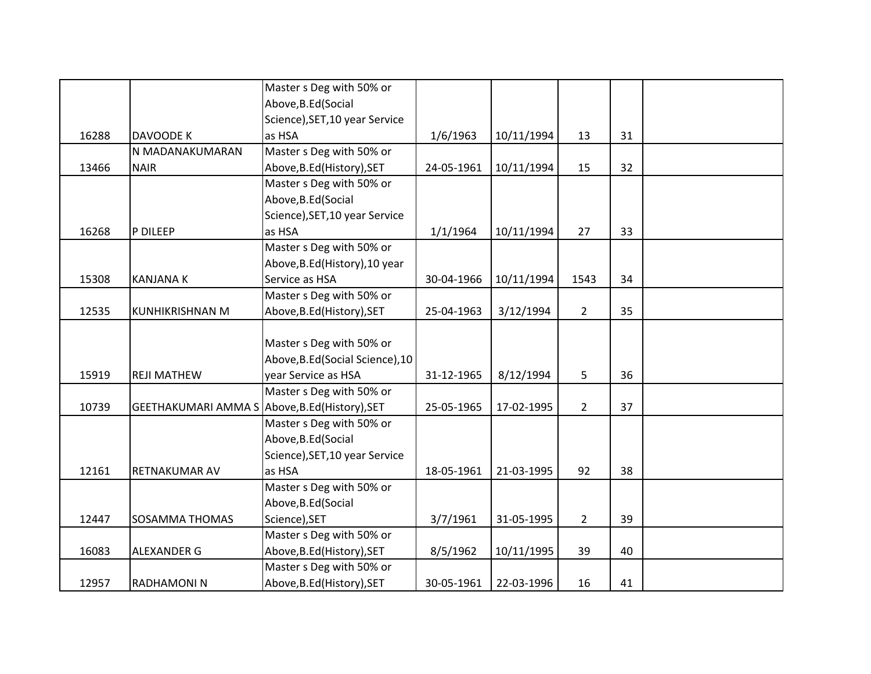|       |                                                | Master s Deg with 50% or         |            |            |                |    |  |
|-------|------------------------------------------------|----------------------------------|------------|------------|----------------|----|--|
|       |                                                | Above, B.Ed (Social              |            |            |                |    |  |
|       |                                                | Science), SET, 10 year Service   |            |            |                |    |  |
| 16288 | DAVOODE K                                      | as HSA                           | 1/6/1963   | 10/11/1994 | 13             | 31 |  |
|       | N MADANAKUMARAN                                | Master s Deg with 50% or         |            |            |                |    |  |
| 13466 | <b>NAIR</b>                                    | Above, B.Ed (History), SET       | 24-05-1961 | 10/11/1994 | 15             | 32 |  |
|       |                                                | Master s Deg with 50% or         |            |            |                |    |  |
|       |                                                | Above, B.Ed (Social              |            |            |                |    |  |
|       |                                                | Science), SET, 10 year Service   |            |            |                |    |  |
| 16268 | P DILEEP                                       | as HSA                           | 1/1/1964   | 10/11/1994 | 27             | 33 |  |
|       |                                                | Master s Deg with 50% or         |            |            |                |    |  |
|       |                                                | Above, B.Ed (History), 10 year   |            |            |                |    |  |
| 15308 | <b>KANJANA K</b>                               | Service as HSA                   | 30-04-1966 | 10/11/1994 | 1543           | 34 |  |
|       |                                                | Master s Deg with 50% or         |            |            |                |    |  |
| 12535 | <b>KUNHIKRISHNAN M</b>                         | Above, B.Ed (History), SET       | 25-04-1963 | 3/12/1994  | $\overline{2}$ | 35 |  |
|       |                                                |                                  |            |            |                |    |  |
|       |                                                | Master s Deg with 50% or         |            |            |                |    |  |
|       |                                                | Above, B.Ed (Social Science), 10 |            |            |                |    |  |
| 15919 | <b>REJI MATHEW</b>                             | year Service as HSA              | 31-12-1965 | 8/12/1994  | 5              | 36 |  |
|       |                                                | Master s Deg with 50% or         |            |            |                |    |  |
| 10739 | GEETHAKUMARI AMMA S Above, B.Ed (History), SET |                                  | 25-05-1965 | 17-02-1995 | $\overline{2}$ | 37 |  |
|       |                                                | Master s Deg with 50% or         |            |            |                |    |  |
|       |                                                | Above, B.Ed (Social              |            |            |                |    |  |
|       |                                                | Science), SET, 10 year Service   |            |            |                |    |  |
| 12161 | RETNAKUMAR AV                                  | as HSA                           | 18-05-1961 | 21-03-1995 | 92             | 38 |  |
|       |                                                | Master s Deg with 50% or         |            |            |                |    |  |
|       |                                                | Above, B.Ed (Social              |            |            |                |    |  |
| 12447 | SOSAMMA THOMAS                                 | Science), SET                    | 3/7/1961   | 31-05-1995 | $\overline{2}$ | 39 |  |
|       |                                                | Master s Deg with 50% or         |            |            |                |    |  |
| 16083 | ALEXANDER G                                    | Above, B.Ed (History), SET       | 8/5/1962   | 10/11/1995 | 39             | 40 |  |
|       |                                                | Master s Deg with 50% or         |            |            |                |    |  |
| 12957 | RADHAMONIN                                     | Above, B.Ed (History), SET       | 30-05-1961 | 22-03-1996 | 16             | 41 |  |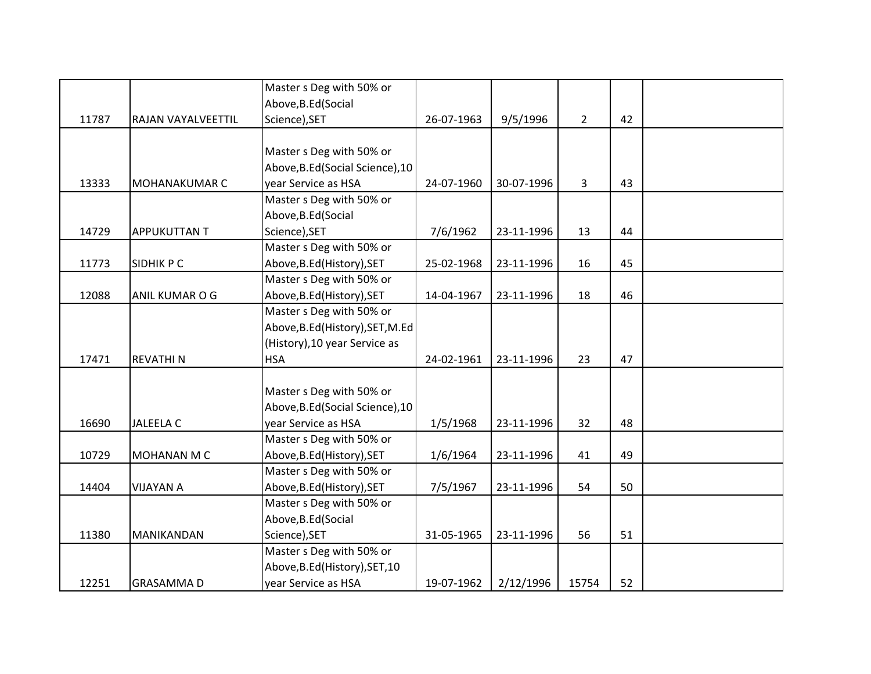|       |                     | Master s Deg with 50% or         |            |            |                |    |  |
|-------|---------------------|----------------------------------|------------|------------|----------------|----|--|
|       |                     | Above, B.Ed (Social              |            |            |                |    |  |
| 11787 | RAJAN VAYALVEETTIL  | Science), SET                    | 26-07-1963 | 9/5/1996   | $\overline{2}$ | 42 |  |
|       |                     |                                  |            |            |                |    |  |
|       |                     | Master s Deg with 50% or         |            |            |                |    |  |
|       |                     | Above, B.Ed (Social Science), 10 |            |            |                |    |  |
| 13333 | MOHANAKUMAR C       | year Service as HSA              | 24-07-1960 | 30-07-1996 | 3              | 43 |  |
|       |                     | Master s Deg with 50% or         |            |            |                |    |  |
|       |                     | Above, B.Ed (Social              |            |            |                |    |  |
| 14729 | <b>APPUKUTTAN T</b> | Science), SET                    | 7/6/1962   | 23-11-1996 | 13             | 44 |  |
|       |                     | Master s Deg with 50% or         |            |            |                |    |  |
| 11773 | <b>SIDHIK P C</b>   | Above, B.Ed (History), SET       | 25-02-1968 | 23-11-1996 | 16             | 45 |  |
|       |                     | Master s Deg with 50% or         |            |            |                |    |  |
| 12088 | ANIL KUMAR O G      | Above, B.Ed (History), SET       | 14-04-1967 | 23-11-1996 | 18             | 46 |  |
|       |                     | Master s Deg with 50% or         |            |            |                |    |  |
|       |                     | Above, B.Ed (History), SET, M.Ed |            |            |                |    |  |
|       |                     | (History), 10 year Service as    |            |            |                |    |  |
| 17471 | <b>REVATHIN</b>     | <b>HSA</b>                       | 24-02-1961 | 23-11-1996 | 23             | 47 |  |
|       |                     |                                  |            |            |                |    |  |
|       |                     | Master s Deg with 50% or         |            |            |                |    |  |
|       |                     | Above, B.Ed (Social Science), 10 |            |            |                |    |  |
| 16690 | <b>JALEELA C</b>    | year Service as HSA              | 1/5/1968   | 23-11-1996 | 32             | 48 |  |
|       |                     | Master s Deg with 50% or         |            |            |                |    |  |
| 10729 | MOHANAN M C         | Above, B.Ed (History), SET       | 1/6/1964   | 23-11-1996 | 41             | 49 |  |
|       |                     | Master s Deg with 50% or         |            |            |                |    |  |
| 14404 | <b>VIJAYAN A</b>    | Above, B.Ed (History), SET       | 7/5/1967   | 23-11-1996 | 54             | 50 |  |
|       |                     | Master s Deg with 50% or         |            |            |                |    |  |
|       |                     | Above, B.Ed (Social              |            |            |                |    |  |
| 11380 | MANIKANDAN          | Science), SET                    | 31-05-1965 | 23-11-1996 | 56             | 51 |  |
|       |                     | Master s Deg with 50% or         |            |            |                |    |  |
|       |                     | Above, B.Ed (History), SET, 10   |            |            |                |    |  |
| 12251 | <b>GRASAMMAD</b>    | year Service as HSA              | 19-07-1962 | 2/12/1996  | 15754          | 52 |  |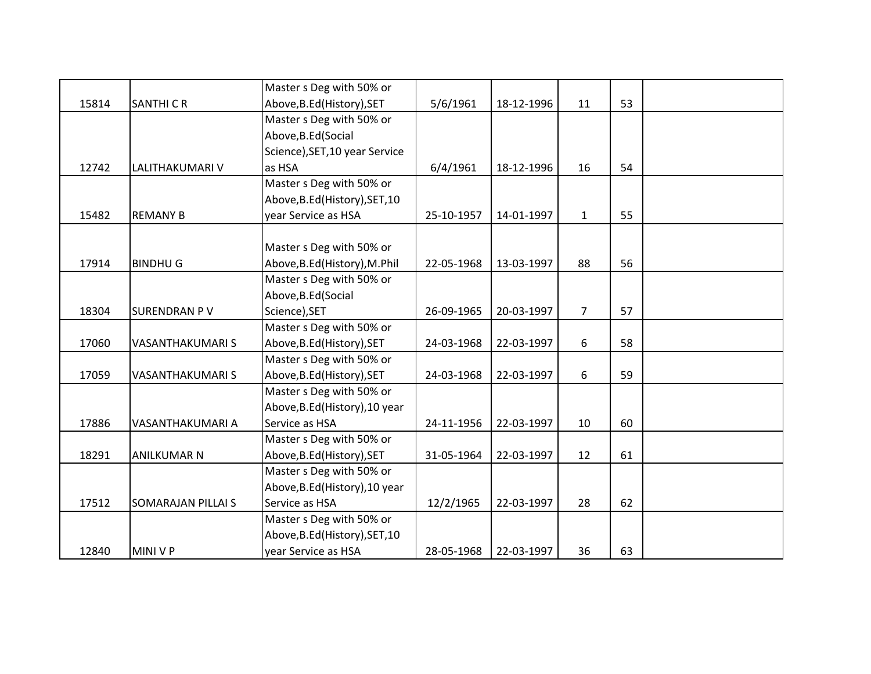|       |                           | Master s Deg with 50% or       |            |            |              |    |  |
|-------|---------------------------|--------------------------------|------------|------------|--------------|----|--|
| 15814 | <b>SANTHI CR</b>          | Above, B.Ed (History), SET     | 5/6/1961   | 18-12-1996 | 11           | 53 |  |
|       |                           | Master s Deg with 50% or       |            |            |              |    |  |
|       |                           | Above, B.Ed (Social            |            |            |              |    |  |
|       |                           | Science), SET, 10 year Service |            |            |              |    |  |
| 12742 | LALITHAKUMARI V           | as HSA                         | 6/4/1961   | 18-12-1996 | 16           | 54 |  |
|       |                           | Master s Deg with 50% or       |            |            |              |    |  |
|       |                           | Above, B.Ed (History), SET, 10 |            |            |              |    |  |
| 15482 | <b>REMANY B</b>           | year Service as HSA            | 25-10-1957 | 14-01-1997 | $\mathbf{1}$ | 55 |  |
|       |                           |                                |            |            |              |    |  |
|       |                           | Master s Deg with 50% or       |            |            |              |    |  |
| 17914 | <b>BINDHUG</b>            | Above, B.Ed (History), M.Phil  | 22-05-1968 | 13-03-1997 | 88           | 56 |  |
|       |                           | Master s Deg with 50% or       |            |            |              |    |  |
|       |                           | Above, B.Ed (Social            |            |            |              |    |  |
| 18304 | <b>SURENDRAN PV</b>       | Science), SET                  | 26-09-1965 | 20-03-1997 | 7            | 57 |  |
|       |                           | Master s Deg with 50% or       |            |            |              |    |  |
| 17060 | VASANTHAKUMARI S          | Above, B.Ed (History), SET     | 24-03-1968 | 22-03-1997 | 6            | 58 |  |
|       |                           | Master s Deg with 50% or       |            |            |              |    |  |
| 17059 | <b>VASANTHAKUMARIS</b>    | Above, B.Ed (History), SET     | 24-03-1968 | 22-03-1997 | 6            | 59 |  |
|       |                           | Master s Deg with 50% or       |            |            |              |    |  |
|       |                           | Above, B.Ed (History), 10 year |            |            |              |    |  |
| 17886 | VASANTHAKUMARI A          | Service as HSA                 | 24-11-1956 | 22-03-1997 | 10           | 60 |  |
|       |                           | Master s Deg with 50% or       |            |            |              |    |  |
| 18291 | <b>ANILKUMAR N</b>        | Above, B.Ed (History), SET     | 31-05-1964 | 22-03-1997 | 12           | 61 |  |
|       |                           | Master s Deg with 50% or       |            |            |              |    |  |
|       |                           | Above, B.Ed (History), 10 year |            |            |              |    |  |
| 17512 | <b>SOMARAJAN PILLAI S</b> | Service as HSA                 | 12/2/1965  | 22-03-1997 | 28           | 62 |  |
|       |                           | Master s Deg with 50% or       |            |            |              |    |  |
|       |                           | Above, B.Ed (History), SET, 10 |            |            |              |    |  |
| 12840 | MINI V P                  | year Service as HSA            | 28-05-1968 | 22-03-1997 | 36           | 63 |  |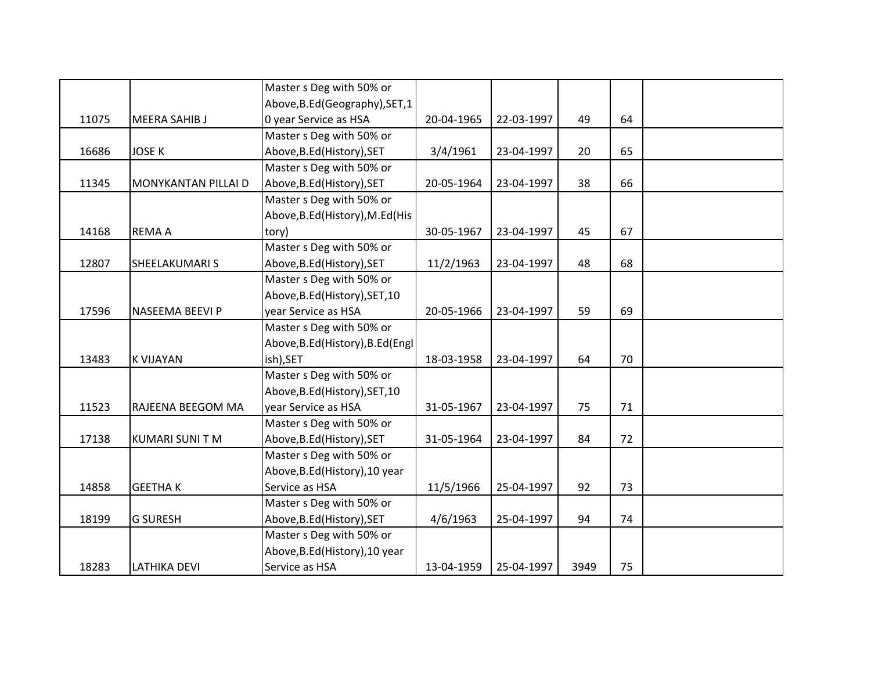|       |                        | Master s Deg with 50% or          |            |            |      |    |  |
|-------|------------------------|-----------------------------------|------------|------------|------|----|--|
|       |                        | Above, B.Ed (Geography), SET, 1   |            |            |      |    |  |
| 11075 | <b>MEERA SAHIB J</b>   | 0 year Service as HSA             | 20-04-1965 | 22-03-1997 | 49   | 64 |  |
|       |                        | Master s Deg with 50% or          |            |            |      |    |  |
| 16686 | <b>JOSE K</b>          | Above, B.Ed (History), SET        | 3/4/1961   | 23-04-1997 | 20   | 65 |  |
|       |                        | Master s Deg with 50% or          |            |            |      |    |  |
| 11345 | MONYKANTAN PILLAI D    | Above, B.Ed (History), SET        | 20-05-1964 | 23-04-1997 | 38   | 66 |  |
|       |                        | Master s Deg with 50% or          |            |            |      |    |  |
|       |                        | Above, B.Ed (History), M.Ed (His  |            |            |      |    |  |
| 14168 | <b>REMAA</b>           | tory)                             | 30-05-1967 | 23-04-1997 | 45   | 67 |  |
|       |                        | Master s Deg with 50% or          |            |            |      |    |  |
| 12807 | SHEELAKUMARI S         | Above, B.Ed (History), SET        | 11/2/1963  | 23-04-1997 | 48   | 68 |  |
|       |                        | Master s Deg with 50% or          |            |            |      |    |  |
|       |                        | Above, B.Ed (History), SET, 10    |            |            |      |    |  |
| 17596 | NASEEMA BEEVI P        | year Service as HSA               | 20-05-1966 | 23-04-1997 | 59   | 69 |  |
|       |                        | Master s Deg with 50% or          |            |            |      |    |  |
|       |                        | Above, B.Ed (History), B.Ed (Engl |            |            |      |    |  |
| 13483 | <b>K VIJAYAN</b>       | ish), SET                         | 18-03-1958 | 23-04-1997 | 64   | 70 |  |
|       |                        | Master s Deg with 50% or          |            |            |      |    |  |
|       |                        | Above, B.Ed (History), SET, 10    |            |            |      |    |  |
| 11523 | RAJEENA BEEGOM MA      | year Service as HSA               | 31-05-1967 | 23-04-1997 | 75   | 71 |  |
|       |                        | Master s Deg with 50% or          |            |            |      |    |  |
| 17138 | <b>KUMARI SUNI T M</b> | Above, B.Ed (History), SET        | 31-05-1964 | 23-04-1997 | 84   | 72 |  |
|       |                        | Master s Deg with 50% or          |            |            |      |    |  |
|       |                        | Above, B.Ed (History), 10 year    |            |            |      |    |  |
| 14858 | <b>GEETHAK</b>         | Service as HSA                    | 11/5/1966  | 25-04-1997 | 92   | 73 |  |
|       |                        | Master s Deg with 50% or          |            |            |      |    |  |
| 18199 | <b>G SURESH</b>        | Above, B.Ed (History), SET        | 4/6/1963   | 25-04-1997 | 94   | 74 |  |
|       |                        | Master s Deg with 50% or          |            |            |      |    |  |
|       |                        | Above, B.Ed (History), 10 year    |            |            |      |    |  |
| 18283 | <b>LATHIKA DEVI</b>    | Service as HSA                    | 13-04-1959 | 25-04-1997 | 3949 | 75 |  |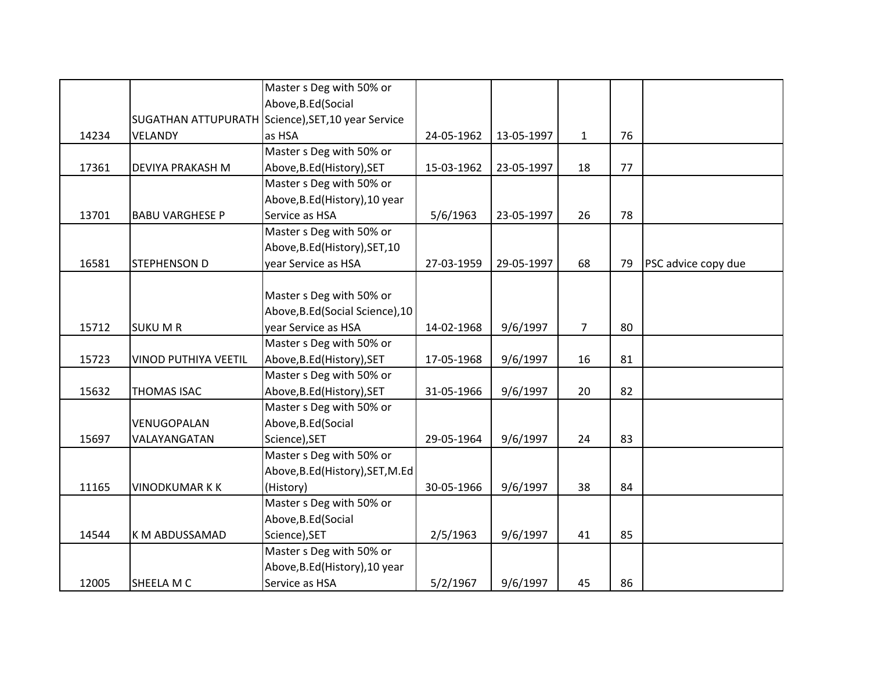|       |                        | Master s Deg with 50% or                           |            |            |                |    |                     |
|-------|------------------------|----------------------------------------------------|------------|------------|----------------|----|---------------------|
|       |                        | Above, B.Ed (Social                                |            |            |                |    |                     |
|       |                        | SUGATHAN ATTUPURATH Science), SET, 10 year Service |            |            |                |    |                     |
| 14234 | <b>VELANDY</b>         | as HSA                                             | 24-05-1962 | 13-05-1997 | $\mathbf{1}$   | 76 |                     |
|       |                        | Master s Deg with 50% or                           |            |            |                |    |                     |
| 17361 | DEVIYA PRAKASH M       | Above, B.Ed (History), SET                         | 15-03-1962 | 23-05-1997 | 18             | 77 |                     |
|       |                        | Master s Deg with 50% or                           |            |            |                |    |                     |
|       |                        | Above, B.Ed (History), 10 year                     |            |            |                |    |                     |
| 13701 | <b>BABU VARGHESE P</b> | Service as HSA                                     | 5/6/1963   | 23-05-1997 | 26             | 78 |                     |
|       |                        | Master s Deg with 50% or                           |            |            |                |    |                     |
|       |                        | Above, B.Ed (History), SET, 10                     |            |            |                |    |                     |
| 16581 | <b>STEPHENSON D</b>    | year Service as HSA                                | 27-03-1959 | 29-05-1997 | 68             | 79 | PSC advice copy due |
|       |                        |                                                    |            |            |                |    |                     |
|       |                        | Master s Deg with 50% or                           |            |            |                |    |                     |
|       |                        | Above, B.Ed (Social Science), 10                   |            |            |                |    |                     |
| 15712 | <b>SUKU M R</b>        | year Service as HSA                                | 14-02-1968 | 9/6/1997   | $\overline{7}$ | 80 |                     |
|       |                        | Master s Deg with 50% or                           |            |            |                |    |                     |
| 15723 | VINOD PUTHIYA VEETIL   | Above, B.Ed (History), SET                         | 17-05-1968 | 9/6/1997   | 16             | 81 |                     |
|       |                        | Master s Deg with 50% or                           |            |            |                |    |                     |
| 15632 | <b>THOMAS ISAC</b>     | Above, B.Ed (History), SET                         | 31-05-1966 | 9/6/1997   | 20             | 82 |                     |
|       |                        | Master s Deg with 50% or                           |            |            |                |    |                     |
|       | VENUGOPALAN            | Above, B.Ed (Social                                |            |            |                |    |                     |
| 15697 | VALAYANGATAN           | Science), SET                                      | 29-05-1964 | 9/6/1997   | 24             | 83 |                     |
|       |                        | Master s Deg with 50% or                           |            |            |                |    |                     |
|       |                        | Above, B.Ed (History), SET, M.Ed                   |            |            |                |    |                     |
| 11165 | <b>VINODKUMAR K K</b>  | (History)                                          | 30-05-1966 | 9/6/1997   | 38             | 84 |                     |
|       |                        | Master s Deg with 50% or                           |            |            |                |    |                     |
|       |                        | Above, B.Ed (Social                                |            |            |                |    |                     |
| 14544 | K M ABDUSSAMAD         | Science), SET                                      | 2/5/1963   | 9/6/1997   | 41             | 85 |                     |
|       |                        | Master s Deg with 50% or                           |            |            |                |    |                     |
|       |                        | Above, B.Ed (History), 10 year                     |            |            |                |    |                     |
| 12005 | SHEELA M C             | Service as HSA                                     | 5/2/1967   | 9/6/1997   | 45             | 86 |                     |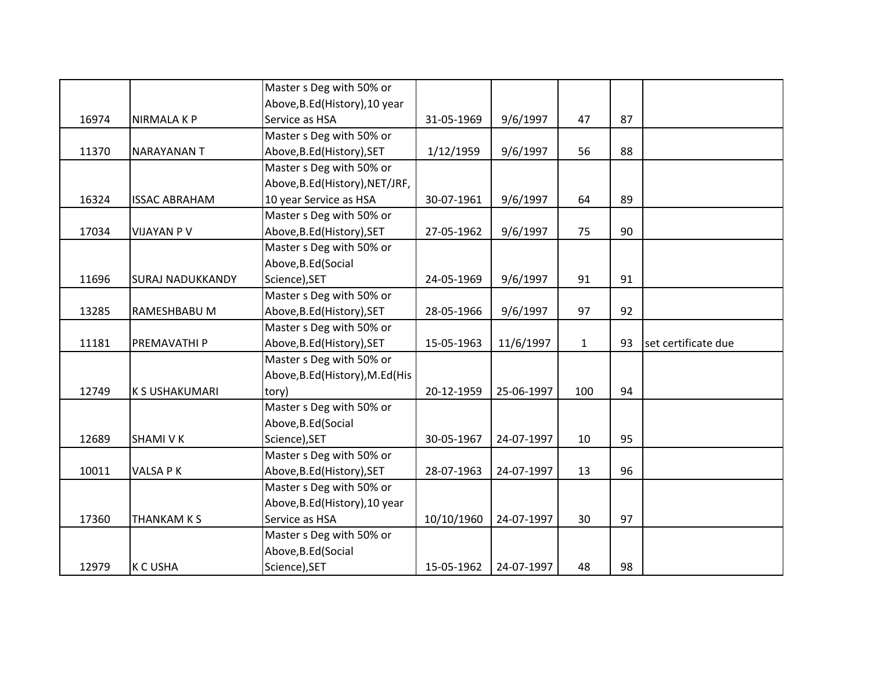|       |                         | Master s Deg with 50% or         |            |            |              |    |                     |
|-------|-------------------------|----------------------------------|------------|------------|--------------|----|---------------------|
|       |                         | Above, B.Ed (History), 10 year   |            |            |              |    |                     |
| 16974 | <b>NIRMALA K P</b>      | Service as HSA                   | 31-05-1969 | 9/6/1997   | 47           | 87 |                     |
|       |                         | Master s Deg with 50% or         |            |            |              |    |                     |
| 11370 | <b>NARAYANAN T</b>      | Above, B.Ed (History), SET       | 1/12/1959  | 9/6/1997   | 56           | 88 |                     |
|       |                         | Master s Deg with 50% or         |            |            |              |    |                     |
|       |                         | Above, B.Ed (History), NET/JRF,  |            |            |              |    |                     |
| 16324 | <b>ISSAC ABRAHAM</b>    | 10 year Service as HSA           | 30-07-1961 | 9/6/1997   | 64           | 89 |                     |
|       |                         | Master s Deg with 50% or         |            |            |              |    |                     |
| 17034 | <b>VIJAYAN P V</b>      | Above, B.Ed (History), SET       | 27-05-1962 | 9/6/1997   | 75           | 90 |                     |
|       |                         | Master s Deg with 50% or         |            |            |              |    |                     |
|       |                         | Above, B.Ed (Social              |            |            |              |    |                     |
| 11696 | <b>SURAJ NADUKKANDY</b> | Science), SET                    | 24-05-1969 | 9/6/1997   | 91           | 91 |                     |
|       |                         | Master s Deg with 50% or         |            |            |              |    |                     |
| 13285 | RAMESHBABU M            | Above, B.Ed (History), SET       | 28-05-1966 | 9/6/1997   | 97           | 92 |                     |
|       |                         | Master s Deg with 50% or         |            |            |              |    |                     |
| 11181 | PREMAVATHI P            | Above, B.Ed (History), SET       | 15-05-1963 | 11/6/1997  | $\mathbf{1}$ | 93 | set certificate due |
|       |                         | Master s Deg with 50% or         |            |            |              |    |                     |
|       |                         | Above, B.Ed (History), M.Ed (His |            |            |              |    |                     |
| 12749 | <b>K S USHAKUMARI</b>   | tory)                            | 20-12-1959 | 25-06-1997 | 100          | 94 |                     |
|       |                         | Master s Deg with 50% or         |            |            |              |    |                     |
|       |                         | Above, B.Ed (Social              |            |            |              |    |                     |
| 12689 | <b>SHAMI V K</b>        | Science), SET                    | 30-05-1967 | 24-07-1997 | 10           | 95 |                     |
|       |                         | Master s Deg with 50% or         |            |            |              |    |                     |
| 10011 | VALSA PK                | Above, B.Ed (History), SET       | 28-07-1963 | 24-07-1997 | 13           | 96 |                     |
|       |                         | Master s Deg with 50% or         |            |            |              |    |                     |
|       |                         | Above, B.Ed (History), 10 year   |            |            |              |    |                     |
| 17360 | <b>THANKAM K S</b>      | Service as HSA                   | 10/10/1960 | 24-07-1997 | 30           | 97 |                     |
|       |                         | Master s Deg with 50% or         |            |            |              |    |                     |
|       |                         | Above, B.Ed (Social              |            |            |              |    |                     |
| 12979 | <b>K C USHA</b>         | Science), SET                    | 15-05-1962 | 24-07-1997 | 48           | 98 |                     |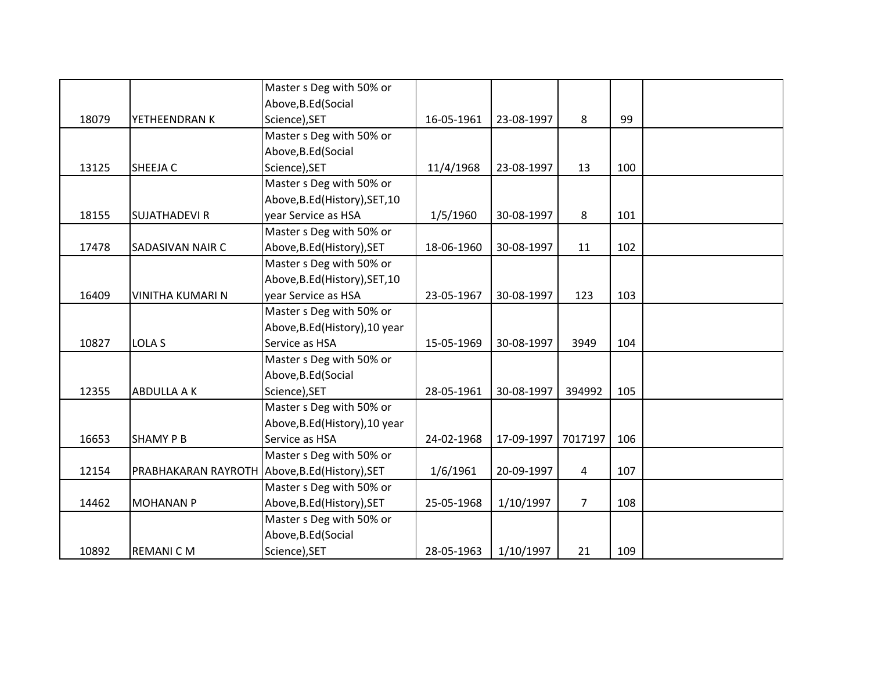|       |                                                | Master s Deg with 50% or       |            |            |                |     |  |
|-------|------------------------------------------------|--------------------------------|------------|------------|----------------|-----|--|
|       |                                                | Above, B.Ed (Social            |            |            |                |     |  |
| 18079 | YETHEENDRAN K                                  | Science), SET                  | 16-05-1961 | 23-08-1997 | 8              | 99  |  |
|       |                                                | Master s Deg with 50% or       |            |            |                |     |  |
|       |                                                | Above, B.Ed (Social            |            |            |                |     |  |
| 13125 | SHEEJA C                                       | Science), SET                  | 11/4/1968  | 23-08-1997 | 13             | 100 |  |
|       |                                                | Master s Deg with 50% or       |            |            |                |     |  |
|       |                                                | Above, B.Ed (History), SET, 10 |            |            |                |     |  |
| 18155 | <b>SUJATHADEVI R</b>                           | year Service as HSA            | 1/5/1960   | 30-08-1997 | 8              | 101 |  |
|       |                                                | Master s Deg with 50% or       |            |            |                |     |  |
| 17478 | SADASIVAN NAIR C                               | Above, B.Ed (History), SET     | 18-06-1960 | 30-08-1997 | 11             | 102 |  |
|       |                                                | Master s Deg with 50% or       |            |            |                |     |  |
|       |                                                | Above, B.Ed (History), SET, 10 |            |            |                |     |  |
| 16409 | <b>VINITHA KUMARI N</b>                        | year Service as HSA            | 23-05-1967 | 30-08-1997 | 123            | 103 |  |
|       |                                                | Master s Deg with 50% or       |            |            |                |     |  |
|       |                                                | Above, B.Ed (History), 10 year |            |            |                |     |  |
| 10827 | <b>LOLA S</b>                                  | Service as HSA                 | 15-05-1969 | 30-08-1997 | 3949           | 104 |  |
|       |                                                | Master s Deg with 50% or       |            |            |                |     |  |
|       |                                                | Above, B.Ed (Social            |            |            |                |     |  |
| 12355 | <b>ABDULLA A K</b>                             | Science), SET                  | 28-05-1961 | 30-08-1997 | 394992         | 105 |  |
|       |                                                | Master s Deg with 50% or       |            |            |                |     |  |
|       |                                                | Above, B.Ed (History), 10 year |            |            |                |     |  |
| 16653 | <b>SHAMY P B</b>                               | Service as HSA                 | 24-02-1968 | 17-09-1997 | 7017197        | 106 |  |
|       |                                                | Master s Deg with 50% or       |            |            |                |     |  |
| 12154 | PRABHAKARAN RAYROTH Above, B.Ed (History), SET |                                | 1/6/1961   | 20-09-1997 | $\overline{4}$ | 107 |  |
|       |                                                | Master s Deg with 50% or       |            |            |                |     |  |
| 14462 | <b>MOHANAN P</b>                               | Above, B.Ed (History), SET     | 25-05-1968 | 1/10/1997  | $\overline{7}$ | 108 |  |
|       |                                                | Master s Deg with 50% or       |            |            |                |     |  |
|       |                                                | Above, B.Ed (Social            |            |            |                |     |  |
| 10892 | <b>REMANICM</b>                                | Science), SET                  | 28-05-1963 | 1/10/1997  | 21             | 109 |  |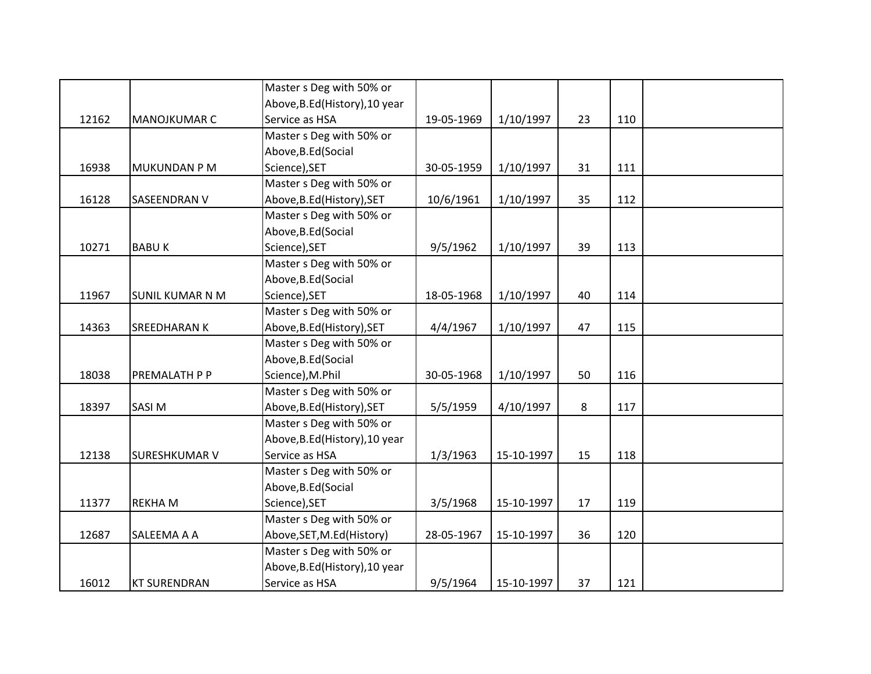|       |                        | Master s Deg with 50% or       |            |            |    |     |  |
|-------|------------------------|--------------------------------|------------|------------|----|-----|--|
|       |                        | Above, B.Ed (History), 10 year |            |            |    |     |  |
| 12162 | <b>MANOJKUMAR C</b>    | Service as HSA                 | 19-05-1969 | 1/10/1997  | 23 | 110 |  |
|       |                        | Master s Deg with 50% or       |            |            |    |     |  |
|       |                        | Above, B.Ed (Social            |            |            |    |     |  |
| 16938 | <b>MUKUNDAN P M</b>    | Science), SET                  | 30-05-1959 | 1/10/1997  | 31 | 111 |  |
|       |                        | Master s Deg with 50% or       |            |            |    |     |  |
| 16128 | <b>SASEENDRAN V</b>    | Above, B.Ed (History), SET     | 10/6/1961  | 1/10/1997  | 35 | 112 |  |
|       |                        | Master s Deg with 50% or       |            |            |    |     |  |
|       |                        | Above, B.Ed (Social            |            |            |    |     |  |
| 10271 | <b>BABUK</b>           | Science), SET                  | 9/5/1962   | 1/10/1997  | 39 | 113 |  |
|       |                        | Master s Deg with 50% or       |            |            |    |     |  |
|       |                        | Above, B.Ed (Social            |            |            |    |     |  |
| 11967 | <b>SUNIL KUMAR N M</b> | Science), SET                  | 18-05-1968 | 1/10/1997  | 40 | 114 |  |
|       |                        | Master s Deg with 50% or       |            |            |    |     |  |
| 14363 | <b>SREEDHARAN K</b>    | Above, B.Ed (History), SET     | 4/4/1967   | 1/10/1997  | 47 | 115 |  |
|       |                        | Master s Deg with 50% or       |            |            |    |     |  |
|       |                        | Above, B.Ed (Social            |            |            |    |     |  |
| 18038 | PREMALATH P P          | Science), M.Phil               | 30-05-1968 | 1/10/1997  | 50 | 116 |  |
|       |                        | Master s Deg with 50% or       |            |            |    |     |  |
| 18397 | <b>SASIM</b>           | Above, B.Ed (History), SET     | 5/5/1959   | 4/10/1997  | 8  | 117 |  |
|       |                        | Master s Deg with 50% or       |            |            |    |     |  |
|       |                        | Above, B.Ed (History), 10 year |            |            |    |     |  |
| 12138 | <b>SURESHKUMAR V</b>   | Service as HSA                 | 1/3/1963   | 15-10-1997 | 15 | 118 |  |
|       |                        | Master s Deg with 50% or       |            |            |    |     |  |
|       |                        | Above, B.Ed (Social            |            |            |    |     |  |
| 11377 | <b>REKHAM</b>          | Science), SET                  | 3/5/1968   | 15-10-1997 | 17 | 119 |  |
|       |                        | Master s Deg with 50% or       |            |            |    |     |  |
| 12687 | SALEEMA A A            | Above, SET, M.Ed (History)     | 28-05-1967 | 15-10-1997 | 36 | 120 |  |
|       |                        | Master s Deg with 50% or       |            |            |    |     |  |
|       |                        | Above, B.Ed (History), 10 year |            |            |    |     |  |
| 16012 | <b>KT SURENDRAN</b>    | Service as HSA                 | 9/5/1964   | 15-10-1997 | 37 | 121 |  |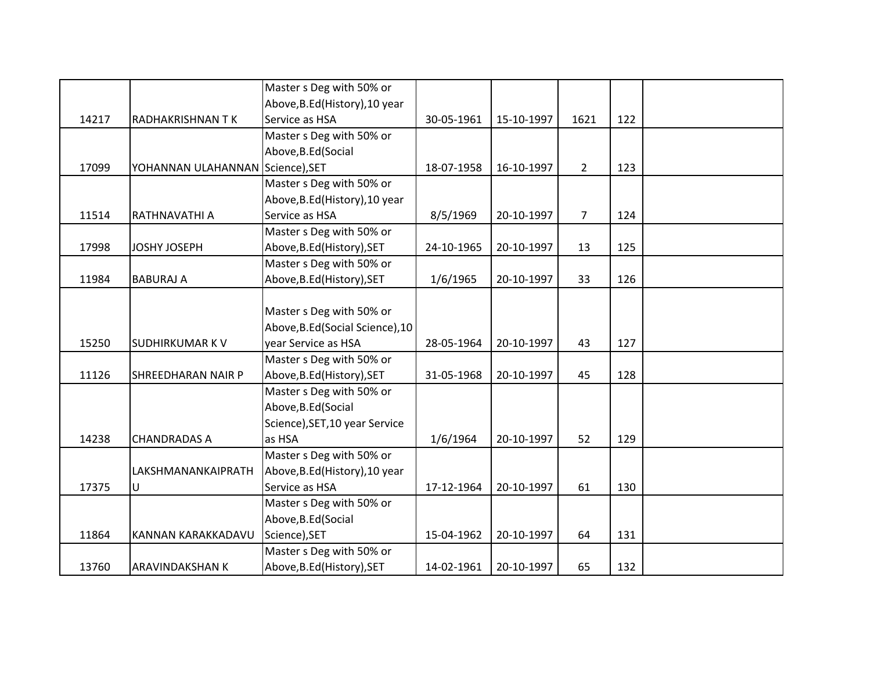|       |                                  | Master s Deg with 50% or         |            |            |                |     |  |
|-------|----------------------------------|----------------------------------|------------|------------|----------------|-----|--|
|       |                                  | Above, B.Ed (History), 10 year   |            |            |                |     |  |
| 14217 | RADHAKRISHNAN TK                 | Service as HSA                   | 30-05-1961 | 15-10-1997 | 1621           | 122 |  |
|       |                                  | Master s Deg with 50% or         |            |            |                |     |  |
|       |                                  | Above, B.Ed (Social              |            |            |                |     |  |
| 17099 | YOHANNAN ULAHANNAN Science), SET |                                  | 18-07-1958 | 16-10-1997 | $\overline{2}$ | 123 |  |
|       |                                  | Master s Deg with 50% or         |            |            |                |     |  |
|       |                                  | Above, B.Ed (History), 10 year   |            |            |                |     |  |
| 11514 | RATHNAVATHI A                    | Service as HSA                   | 8/5/1969   | 20-10-1997 | $\overline{7}$ | 124 |  |
|       |                                  | Master s Deg with 50% or         |            |            |                |     |  |
| 17998 | <b>JOSHY JOSEPH</b>              | Above, B.Ed (History), SET       | 24-10-1965 | 20-10-1997 | 13             | 125 |  |
|       |                                  | Master s Deg with 50% or         |            |            |                |     |  |
| 11984 | <b>BABURAJ A</b>                 | Above, B.Ed (History), SET       | 1/6/1965   | 20-10-1997 | 33             | 126 |  |
|       |                                  |                                  |            |            |                |     |  |
|       |                                  | Master s Deg with 50% or         |            |            |                |     |  |
|       |                                  | Above, B.Ed (Social Science), 10 |            |            |                |     |  |
| 15250 | <b>SUDHIRKUMAR KV</b>            | year Service as HSA              | 28-05-1964 | 20-10-1997 | 43             | 127 |  |
|       |                                  | Master s Deg with 50% or         |            |            |                |     |  |
| 11126 | SHREEDHARAN NAIR P               | Above, B.Ed (History), SET       | 31-05-1968 | 20-10-1997 | 45             | 128 |  |
|       |                                  | Master s Deg with 50% or         |            |            |                |     |  |
|       |                                  | Above, B.Ed (Social              |            |            |                |     |  |
|       |                                  | Science), SET, 10 year Service   |            |            |                |     |  |
| 14238 | <b>CHANDRADAS A</b>              | as HSA                           | 1/6/1964   | 20-10-1997 | 52             | 129 |  |
|       |                                  | Master s Deg with 50% or         |            |            |                |     |  |
|       | LAKSHMANANKAIPRATH               | Above, B.Ed (History), 10 year   |            |            |                |     |  |
| 17375 | U                                | Service as HSA                   | 17-12-1964 | 20-10-1997 | 61             | 130 |  |
|       |                                  | Master s Deg with 50% or         |            |            |                |     |  |
|       |                                  | Above, B.Ed (Social              |            |            |                |     |  |
| 11864 | KANNAN KARAKKADAVU               | Science), SET                    | 15-04-1962 | 20-10-1997 | 64             | 131 |  |
|       |                                  | Master s Deg with 50% or         |            |            |                |     |  |
| 13760 | <b>ARAVINDAKSHAN K</b>           | Above, B.Ed (History), SET       | 14-02-1961 | 20-10-1997 | 65             | 132 |  |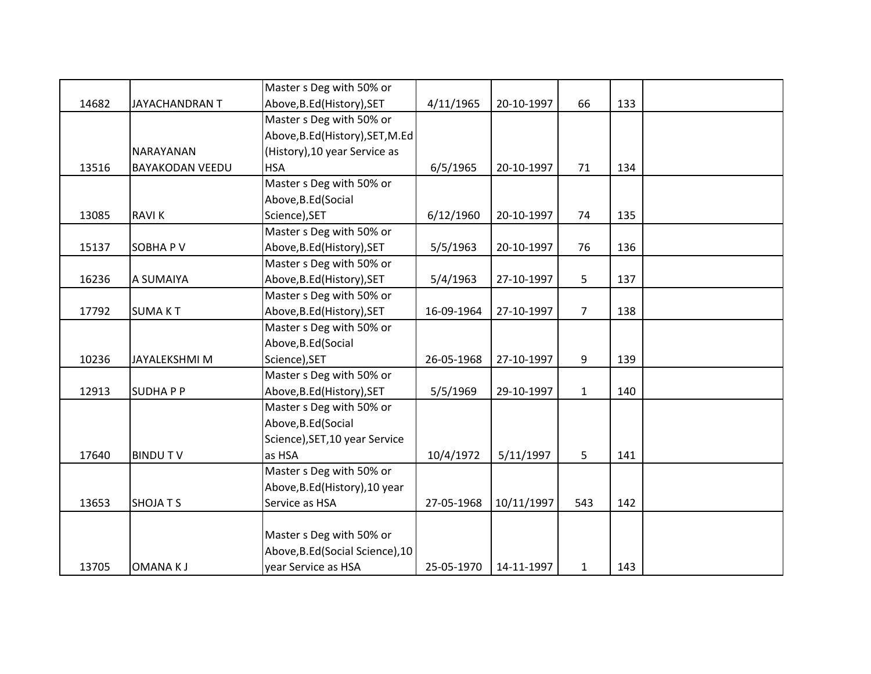|       |                        | Master s Deg with 50% or         |            |            |                |     |  |
|-------|------------------------|----------------------------------|------------|------------|----------------|-----|--|
| 14682 | <b>JAYACHANDRAN T</b>  | Above, B.Ed (History), SET       | 4/11/1965  | 20-10-1997 | 66             | 133 |  |
|       |                        | Master s Deg with 50% or         |            |            |                |     |  |
|       |                        | Above, B.Ed (History), SET, M.Ed |            |            |                |     |  |
|       | NARAYANAN              | (History), 10 year Service as    |            |            |                |     |  |
| 13516 | <b>BAYAKODAN VEEDU</b> | <b>HSA</b>                       | 6/5/1965   | 20-10-1997 | 71             | 134 |  |
|       |                        | Master s Deg with 50% or         |            |            |                |     |  |
|       |                        | Above, B.Ed (Social              |            |            |                |     |  |
| 13085 | <b>RAVIK</b>           | Science), SET                    | 6/12/1960  | 20-10-1997 | 74             | 135 |  |
|       |                        | Master s Deg with 50% or         |            |            |                |     |  |
| 15137 | SOBHA PV               | Above, B.Ed (History), SET       | 5/5/1963   | 20-10-1997 | 76             | 136 |  |
|       |                        | Master s Deg with 50% or         |            |            |                |     |  |
| 16236 | A SUMAIYA              | Above, B.Ed (History), SET       | 5/4/1963   | 27-10-1997 | 5              | 137 |  |
|       |                        | Master s Deg with 50% or         |            |            |                |     |  |
| 17792 | <b>SUMAKT</b>          | Above, B.Ed (History), SET       | 16-09-1964 | 27-10-1997 | $\overline{7}$ | 138 |  |
|       |                        | Master s Deg with 50% or         |            |            |                |     |  |
|       |                        | Above, B.Ed (Social              |            |            |                |     |  |
| 10236 | JAYALEKSHMI M          | Science), SET                    | 26-05-1968 | 27-10-1997 | 9              | 139 |  |
|       |                        | Master s Deg with 50% or         |            |            |                |     |  |
| 12913 | <b>SUDHAPP</b>         | Above, B.Ed (History), SET       | 5/5/1969   | 29-10-1997 | $\mathbf{1}$   | 140 |  |
|       |                        | Master s Deg with 50% or         |            |            |                |     |  |
|       |                        | Above, B.Ed (Social              |            |            |                |     |  |
|       |                        | Science), SET, 10 year Service   |            |            |                |     |  |
| 17640 | <b>BINDUTV</b>         | as HSA                           | 10/4/1972  | 5/11/1997  | 5              | 141 |  |
|       |                        | Master s Deg with 50% or         |            |            |                |     |  |
|       |                        | Above, B.Ed (History), 10 year   |            |            |                |     |  |
| 13653 | <b>SHOJATS</b>         | Service as HSA                   | 27-05-1968 | 10/11/1997 | 543            | 142 |  |
|       |                        |                                  |            |            |                |     |  |
|       |                        | Master s Deg with 50% or         |            |            |                |     |  |
|       |                        | Above, B.Ed (Social Science), 10 |            |            |                |     |  |
| 13705 | <b>OMANAKJ</b>         | year Service as HSA              | 25-05-1970 | 14-11-1997 | $\mathbf{1}$   | 143 |  |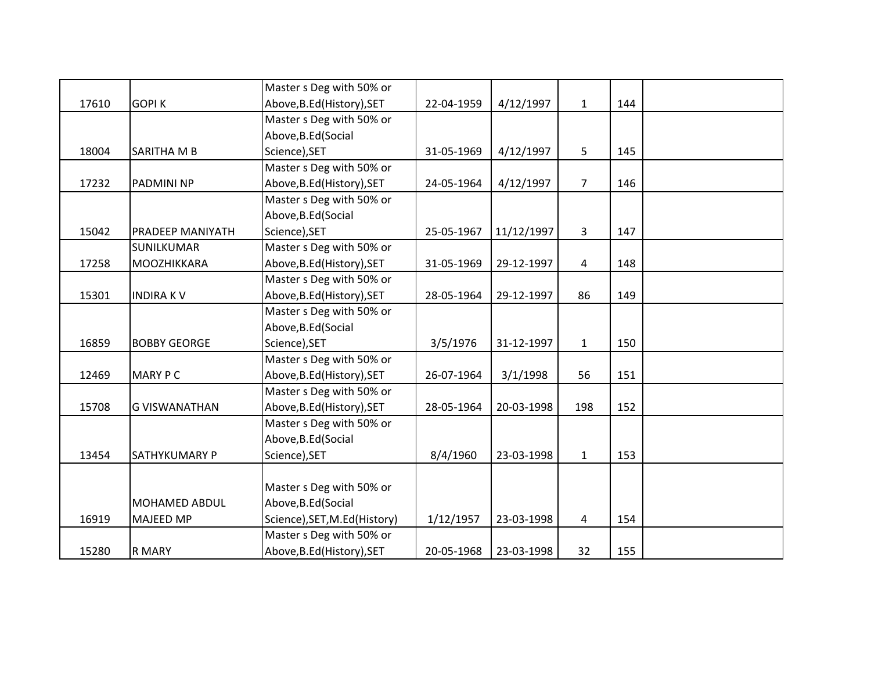|       |                         | Master s Deg with 50% or     |            |            |                |     |  |
|-------|-------------------------|------------------------------|------------|------------|----------------|-----|--|
| 17610 | <b>GOPIK</b>            | Above, B.Ed (History), SET   | 22-04-1959 | 4/12/1997  | $\mathbf{1}$   | 144 |  |
|       |                         | Master s Deg with 50% or     |            |            |                |     |  |
|       |                         | Above, B.Ed (Social          |            |            |                |     |  |
| 18004 | <b>SARITHA M B</b>      | Science), SET                | 31-05-1969 | 4/12/1997  | 5              | 145 |  |
|       |                         | Master s Deg with 50% or     |            |            |                |     |  |
| 17232 | <b>PADMINI NP</b>       | Above, B.Ed (History), SET   | 24-05-1964 | 4/12/1997  | $\overline{7}$ | 146 |  |
|       |                         | Master s Deg with 50% or     |            |            |                |     |  |
|       |                         | Above, B.Ed (Social          |            |            |                |     |  |
| 15042 | <b>PRADEEP MANIYATH</b> | Science), SET                | 25-05-1967 | 11/12/1997 | 3              | 147 |  |
|       | <b>SUNILKUMAR</b>       | Master s Deg with 50% or     |            |            |                |     |  |
| 17258 | MOOZHIKKARA             | Above, B.Ed (History), SET   | 31-05-1969 | 29-12-1997 | 4              | 148 |  |
|       |                         | Master s Deg with 50% or     |            |            |                |     |  |
| 15301 | <b>INDIRAKV</b>         | Above, B.Ed (History), SET   | 28-05-1964 | 29-12-1997 | 86             | 149 |  |
|       |                         | Master s Deg with 50% or     |            |            |                |     |  |
|       |                         | Above, B.Ed (Social          |            |            |                |     |  |
| 16859 | <b>BOBBY GEORGE</b>     | Science), SET                | 3/5/1976   | 31-12-1997 | $\mathbf{1}$   | 150 |  |
|       |                         | Master s Deg with 50% or     |            |            |                |     |  |
| 12469 | <b>MARY PC</b>          | Above, B.Ed (History), SET   | 26-07-1964 | 3/1/1998   | 56             | 151 |  |
|       |                         | Master s Deg with 50% or     |            |            |                |     |  |
| 15708 | <b>G VISWANATHAN</b>    | Above, B.Ed (History), SET   | 28-05-1964 | 20-03-1998 | 198            | 152 |  |
|       |                         | Master s Deg with 50% or     |            |            |                |     |  |
|       |                         | Above, B.Ed (Social          |            |            |                |     |  |
| 13454 | <b>SATHYKUMARY P</b>    | Science), SET                | 8/4/1960   | 23-03-1998 | $\mathbf{1}$   | 153 |  |
|       |                         |                              |            |            |                |     |  |
|       |                         | Master s Deg with 50% or     |            |            |                |     |  |
|       | <b>MOHAMED ABDUL</b>    | Above, B.Ed (Social          |            |            |                |     |  |
| 16919 | <b>MAJEED MP</b>        | Science), SET, M.Ed(History) | 1/12/1957  | 23-03-1998 | $\overline{4}$ | 154 |  |
|       |                         | Master s Deg with 50% or     |            |            |                |     |  |
| 15280 | <b>R MARY</b>           | Above, B.Ed (History), SET   | 20-05-1968 | 23-03-1998 | 32             | 155 |  |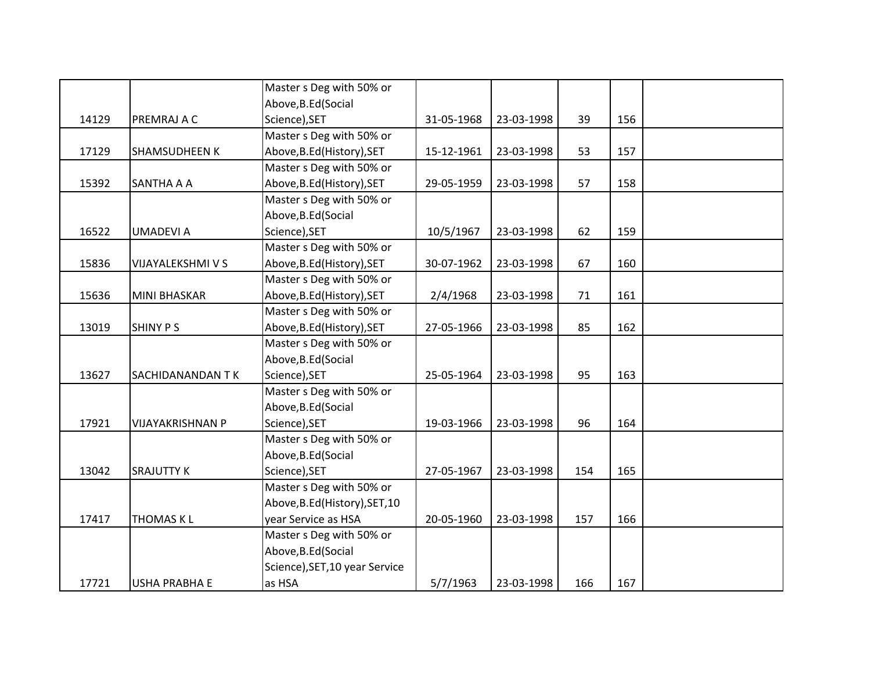|       |                         | Master s Deg with 50% or       |            |            |     |     |  |
|-------|-------------------------|--------------------------------|------------|------------|-----|-----|--|
|       |                         | Above, B.Ed (Social            |            |            |     |     |  |
| 14129 | PREMRAJ A C             | Science), SET                  | 31-05-1968 | 23-03-1998 | 39  | 156 |  |
|       |                         | Master s Deg with 50% or       |            |            |     |     |  |
| 17129 | <b>SHAMSUDHEEN K</b>    | Above, B.Ed (History), SET     | 15-12-1961 | 23-03-1998 | 53  | 157 |  |
|       |                         | Master s Deg with 50% or       |            |            |     |     |  |
| 15392 | <b>SANTHA A A</b>       | Above, B.Ed (History), SET     | 29-05-1959 | 23-03-1998 | 57  | 158 |  |
|       |                         | Master s Deg with 50% or       |            |            |     |     |  |
|       |                         | Above, B.Ed (Social            |            |            |     |     |  |
| 16522 | <b>UMADEVIA</b>         | Science), SET                  | 10/5/1967  | 23-03-1998 | 62  | 159 |  |
|       |                         | Master s Deg with 50% or       |            |            |     |     |  |
| 15836 | VIJAYALEKSHMI V S       | Above, B.Ed (History), SET     | 30-07-1962 | 23-03-1998 | 67  | 160 |  |
|       |                         | Master s Deg with 50% or       |            |            |     |     |  |
| 15636 | <b>MINI BHASKAR</b>     | Above, B.Ed (History), SET     | 2/4/1968   | 23-03-1998 | 71  | 161 |  |
|       |                         | Master s Deg with 50% or       |            |            |     |     |  |
| 13019 | <b>SHINY PS</b>         | Above, B.Ed (History), SET     | 27-05-1966 | 23-03-1998 | 85  | 162 |  |
|       |                         | Master s Deg with 50% or       |            |            |     |     |  |
|       |                         | Above, B.Ed (Social            |            |            |     |     |  |
| 13627 | SACHIDANANDAN TK        | Science), SET                  | 25-05-1964 | 23-03-1998 | 95  | 163 |  |
|       |                         | Master s Deg with 50% or       |            |            |     |     |  |
|       |                         | Above, B.Ed (Social            |            |            |     |     |  |
| 17921 | <b>VIJAYAKRISHNAN P</b> | Science), SET                  | 19-03-1966 | 23-03-1998 | 96  | 164 |  |
|       |                         | Master s Deg with 50% or       |            |            |     |     |  |
|       |                         | Above, B.Ed (Social            |            |            |     |     |  |
| 13042 | <b>SRAJUTTY K</b>       | Science), SET                  | 27-05-1967 | 23-03-1998 | 154 | 165 |  |
|       |                         | Master s Deg with 50% or       |            |            |     |     |  |
|       |                         | Above, B.Ed (History), SET, 10 |            |            |     |     |  |
| 17417 | <b>THOMAS KL</b>        | year Service as HSA            | 20-05-1960 | 23-03-1998 | 157 | 166 |  |
|       |                         | Master s Deg with 50% or       |            |            |     |     |  |
|       |                         | Above, B.Ed (Social            |            |            |     |     |  |
|       |                         | Science), SET, 10 year Service |            |            |     |     |  |
| 17721 | <b>USHA PRABHA E</b>    | as HSA                         | 5/7/1963   | 23-03-1998 | 166 | 167 |  |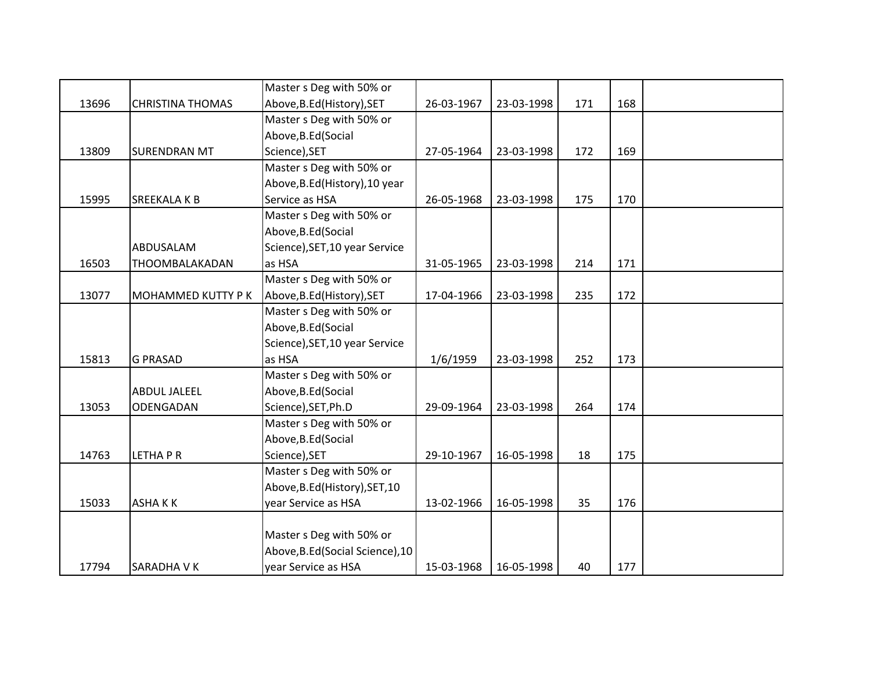|       |                          | Master s Deg with 50% or         |            |            |     |     |  |
|-------|--------------------------|----------------------------------|------------|------------|-----|-----|--|
| 13696 | <b>CHRISTINA THOMAS</b>  | Above, B.Ed (History), SET       | 26-03-1967 | 23-03-1998 | 171 | 168 |  |
|       |                          | Master s Deg with 50% or         |            |            |     |     |  |
|       |                          | Above, B.Ed (Social              |            |            |     |     |  |
| 13809 | <b>SURENDRAN MT</b>      | Science), SET                    | 27-05-1964 | 23-03-1998 | 172 | 169 |  |
|       |                          | Master s Deg with 50% or         |            |            |     |     |  |
|       |                          | Above, B.Ed (History), 10 year   |            |            |     |     |  |
| 15995 | <b>SREEKALA K B</b>      | Service as HSA                   | 26-05-1968 | 23-03-1998 | 175 | 170 |  |
|       |                          | Master s Deg with 50% or         |            |            |     |     |  |
|       |                          | Above, B.Ed (Social              |            |            |     |     |  |
|       | ABDUSALAM                | Science), SET, 10 year Service   |            |            |     |     |  |
| 16503 | THOOMBALAKADAN           | as HSA                           | 31-05-1965 | 23-03-1998 | 214 | 171 |  |
|       |                          | Master s Deg with 50% or         |            |            |     |     |  |
| 13077 | <b>MOHAMMED KUTTY PK</b> | Above, B.Ed (History), SET       | 17-04-1966 | 23-03-1998 | 235 | 172 |  |
|       |                          | Master s Deg with 50% or         |            |            |     |     |  |
|       |                          | Above, B.Ed (Social              |            |            |     |     |  |
|       |                          | Science), SET, 10 year Service   |            |            |     |     |  |
| 15813 | <b>G PRASAD</b>          | as HSA                           | 1/6/1959   | 23-03-1998 | 252 | 173 |  |
|       |                          | Master s Deg with 50% or         |            |            |     |     |  |
|       | <b>ABDUL JALEEL</b>      | Above, B.Ed (Social              |            |            |     |     |  |
| 13053 | ODENGADAN                | Science), SET, Ph.D              | 29-09-1964 | 23-03-1998 | 264 | 174 |  |
|       |                          | Master s Deg with 50% or         |            |            |     |     |  |
|       |                          | Above, B.Ed (Social              |            |            |     |     |  |
| 14763 | <b>LETHAPR</b>           | Science), SET                    | 29-10-1967 | 16-05-1998 | 18  | 175 |  |
|       |                          | Master s Deg with 50% or         |            |            |     |     |  |
|       |                          | Above, B.Ed (History), SET, 10   |            |            |     |     |  |
| 15033 | <b>ASHAKK</b>            | year Service as HSA              | 13-02-1966 | 16-05-1998 | 35  | 176 |  |
|       |                          |                                  |            |            |     |     |  |
|       |                          | Master s Deg with 50% or         |            |            |     |     |  |
|       |                          | Above, B.Ed (Social Science), 10 |            |            |     |     |  |
| 17794 | <b>SARADHA V K</b>       | year Service as HSA              | 15-03-1968 | 16-05-1998 | 40  | 177 |  |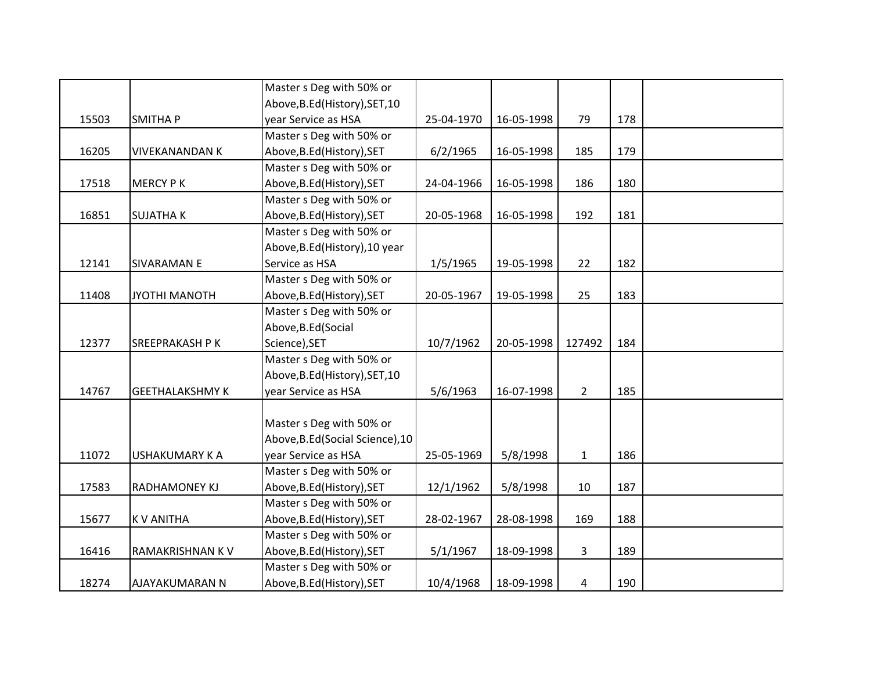|       |                        | Master s Deg with 50% or         |            |            |              |     |  |
|-------|------------------------|----------------------------------|------------|------------|--------------|-----|--|
|       |                        | Above, B.Ed (History), SET, 10   |            |            |              |     |  |
| 15503 | <b>SMITHAP</b>         | year Service as HSA              | 25-04-1970 | 16-05-1998 | 79           | 178 |  |
|       |                        | Master s Deg with 50% or         |            |            |              |     |  |
| 16205 | <b>VIVEKANANDAN K</b>  | Above, B.Ed (History), SET       | 6/2/1965   | 16-05-1998 | 185          | 179 |  |
|       |                        | Master s Deg with 50% or         |            |            |              |     |  |
| 17518 | <b>MERCY PK</b>        | Above, B.Ed (History), SET       | 24-04-1966 | 16-05-1998 | 186          | 180 |  |
|       |                        | Master s Deg with 50% or         |            |            |              |     |  |
| 16851 | <b>SUJATHAK</b>        | Above, B.Ed (History), SET       | 20-05-1968 | 16-05-1998 | 192          | 181 |  |
|       |                        | Master s Deg with 50% or         |            |            |              |     |  |
|       |                        | Above, B.Ed (History), 10 year   |            |            |              |     |  |
| 12141 | <b>SIVARAMANE</b>      | Service as HSA                   | 1/5/1965   | 19-05-1998 | 22           | 182 |  |
|       |                        | Master s Deg with 50% or         |            |            |              |     |  |
| 11408 | JYOTHI MANOTH          | Above, B.Ed (History), SET       | 20-05-1967 | 19-05-1998 | 25           | 183 |  |
|       |                        | Master s Deg with 50% or         |            |            |              |     |  |
|       |                        | Above, B.Ed (Social              |            |            |              |     |  |
| 12377 | SREEPRAKASH P K        | Science), SET                    | 10/7/1962  | 20-05-1998 | 127492       | 184 |  |
|       |                        | Master s Deg with 50% or         |            |            |              |     |  |
|       |                        | Above, B.Ed (History), SET, 10   |            |            |              |     |  |
| 14767 | <b>GEETHALAKSHMY K</b> | year Service as HSA              | 5/6/1963   | 16-07-1998 | $2^{\circ}$  | 185 |  |
|       |                        |                                  |            |            |              |     |  |
|       |                        | Master s Deg with 50% or         |            |            |              |     |  |
|       |                        | Above, B.Ed (Social Science), 10 |            |            |              |     |  |
| 11072 | <b>USHAKUMARY K A</b>  | year Service as HSA              | 25-05-1969 | 5/8/1998   | $\mathbf{1}$ | 186 |  |
|       |                        | Master s Deg with 50% or         |            |            |              |     |  |
| 17583 | <b>RADHAMONEY KJ</b>   | Above, B.Ed (History), SET       | 12/1/1962  | 5/8/1998   | 10           | 187 |  |
|       |                        | Master s Deg with 50% or         |            |            |              |     |  |
| 15677 | <b>KV ANITHA</b>       | Above, B.Ed (History), SET       | 28-02-1967 | 28-08-1998 | 169          | 188 |  |
|       |                        | Master s Deg with 50% or         |            |            |              |     |  |
| 16416 | RAMAKRISHNAN KV        | Above, B.Ed (History), SET       | 5/1/1967   | 18-09-1998 | 3            | 189 |  |
|       |                        | Master s Deg with 50% or         |            |            |              |     |  |
| 18274 | <b>AJAYAKUMARAN N</b>  | Above, B.Ed (History), SET       | 10/4/1968  | 18-09-1998 | 4            | 190 |  |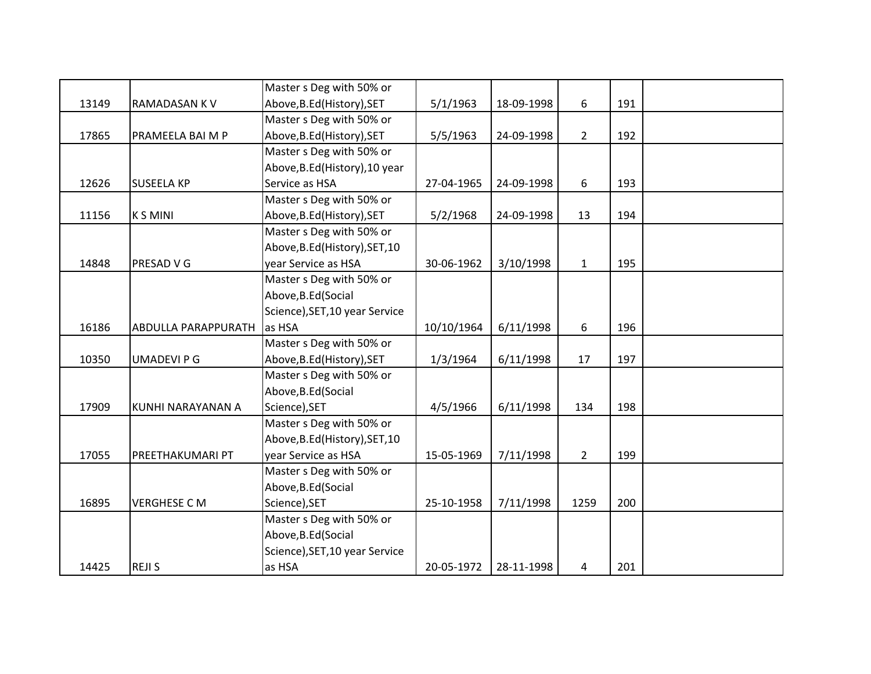|       |                            | Master s Deg with 50% or       |            |            |                |     |  |
|-------|----------------------------|--------------------------------|------------|------------|----------------|-----|--|
| 13149 | <b>RAMADASAN KV</b>        | Above, B.Ed (History), SET     | 5/1/1963   | 18-09-1998 | 6              | 191 |  |
|       |                            | Master s Deg with 50% or       |            |            |                |     |  |
| 17865 | PRAMEELA BAI M P           | Above, B.Ed (History), SET     | 5/5/1963   | 24-09-1998 | $\overline{2}$ | 192 |  |
|       |                            | Master s Deg with 50% or       |            |            |                |     |  |
|       |                            | Above, B.Ed (History), 10 year |            |            |                |     |  |
| 12626 | <b>SUSEELA KP</b>          | Service as HSA                 | 27-04-1965 | 24-09-1998 | 6              | 193 |  |
|       |                            | Master s Deg with 50% or       |            |            |                |     |  |
| 11156 | <b>KSMINI</b>              | Above, B.Ed (History), SET     | 5/2/1968   | 24-09-1998 | 13             | 194 |  |
|       |                            | Master s Deg with 50% or       |            |            |                |     |  |
|       |                            | Above, B.Ed (History), SET, 10 |            |            |                |     |  |
| 14848 | <b>PRESAD V G</b>          | year Service as HSA            | 30-06-1962 | 3/10/1998  | $\mathbf{1}$   | 195 |  |
|       |                            | Master s Deg with 50% or       |            |            |                |     |  |
|       |                            | Above, B.Ed (Social            |            |            |                |     |  |
|       |                            | Science), SET, 10 year Service |            |            |                |     |  |
| 16186 | <b>ABDULLA PARAPPURATH</b> | as HSA                         | 10/10/1964 | 6/11/1998  | 6              | 196 |  |
|       |                            | Master s Deg with 50% or       |            |            |                |     |  |
| 10350 | <b>UMADEVI P G</b>         | Above, B.Ed (History), SET     | 1/3/1964   | 6/11/1998  | 17             | 197 |  |
|       |                            | Master s Deg with 50% or       |            |            |                |     |  |
|       |                            | Above, B.Ed (Social            |            |            |                |     |  |
| 17909 | KUNHI NARAYANAN A          | Science), SET                  | 4/5/1966   | 6/11/1998  | 134            | 198 |  |
|       |                            | Master s Deg with 50% or       |            |            |                |     |  |
|       |                            | Above, B.Ed (History), SET, 10 |            |            |                |     |  |
| 17055 | PREETHAKUMARI PT           | year Service as HSA            | 15-05-1969 | 7/11/1998  | $\overline{2}$ | 199 |  |
|       |                            | Master s Deg with 50% or       |            |            |                |     |  |
|       |                            | Above, B.Ed (Social            |            |            |                |     |  |
| 16895 | <b>VERGHESE CM</b>         | Science), SET                  | 25-10-1958 | 7/11/1998  | 1259           | 200 |  |
|       |                            | Master s Deg with 50% or       |            |            |                |     |  |
|       |                            | Above, B.Ed (Social            |            |            |                |     |  |
|       |                            | Science), SET, 10 year Service |            |            |                |     |  |
| 14425 | <b>REJIS</b>               | as HSA                         | 20-05-1972 | 28-11-1998 | 4              | 201 |  |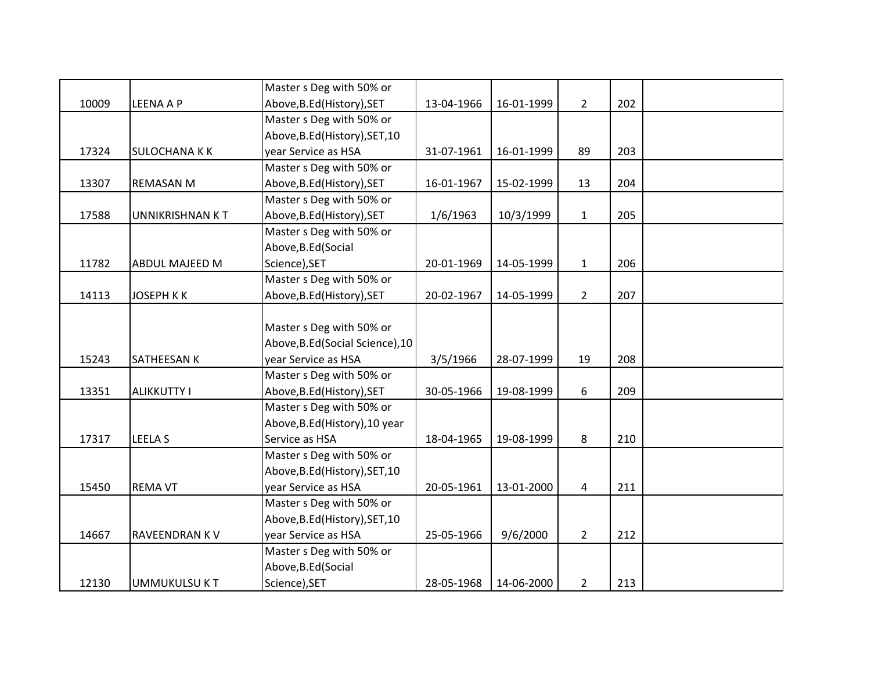|       |                      | Master s Deg with 50% or         |            |            |                |     |  |
|-------|----------------------|----------------------------------|------------|------------|----------------|-----|--|
| 10009 | <b>LEENA A P</b>     | Above, B.Ed (History), SET       | 13-04-1966 | 16-01-1999 | $\overline{2}$ | 202 |  |
|       |                      | Master s Deg with 50% or         |            |            |                |     |  |
|       |                      | Above, B.Ed (History), SET, 10   |            |            |                |     |  |
| 17324 | <b>SULOCHANA K K</b> | year Service as HSA              | 31-07-1961 | 16-01-1999 | 89             | 203 |  |
|       |                      | Master s Deg with 50% or         |            |            |                |     |  |
| 13307 | <b>REMASAN M</b>     | Above, B.Ed (History), SET       | 16-01-1967 | 15-02-1999 | 13             | 204 |  |
|       |                      | Master s Deg with 50% or         |            |            |                |     |  |
| 17588 | UNNIKRISHNAN KT      | Above, B.Ed (History), SET       | 1/6/1963   | 10/3/1999  | $\mathbf{1}$   | 205 |  |
|       |                      | Master s Deg with 50% or         |            |            |                |     |  |
|       |                      | Above, B.Ed (Social              |            |            |                |     |  |
| 11782 | ABDUL MAJEED M       | Science), SET                    | 20-01-1969 | 14-05-1999 | $\mathbf{1}$   | 206 |  |
|       |                      | Master s Deg with 50% or         |            |            |                |     |  |
| 14113 | <b>JOSEPH KK</b>     | Above, B.Ed (History), SET       | 20-02-1967 | 14-05-1999 | $2^{\circ}$    | 207 |  |
|       |                      |                                  |            |            |                |     |  |
|       |                      | Master s Deg with 50% or         |            |            |                |     |  |
|       |                      | Above, B.Ed (Social Science), 10 |            |            |                |     |  |
| 15243 | <b>SATHEESAN K</b>   | year Service as HSA              | 3/5/1966   | 28-07-1999 | 19             | 208 |  |
|       |                      | Master s Deg with 50% or         |            |            |                |     |  |
| 13351 | <b>ALIKKUTTY I</b>   | Above, B.Ed (History), SET       | 30-05-1966 | 19-08-1999 | 6              | 209 |  |
|       |                      | Master s Deg with 50% or         |            |            |                |     |  |
|       |                      | Above, B.Ed (History), 10 year   |            |            |                |     |  |
| 17317 | <b>LEELA S</b>       | Service as HSA                   | 18-04-1965 | 19-08-1999 | 8              | 210 |  |
|       |                      | Master s Deg with 50% or         |            |            |                |     |  |
|       |                      | Above, B.Ed (History), SET, 10   |            |            |                |     |  |
| 15450 | <b>REMA VT</b>       | year Service as HSA              | 20-05-1961 | 13-01-2000 | 4              | 211 |  |
|       |                      | Master s Deg with 50% or         |            |            |                |     |  |
|       |                      | Above, B.Ed (History), SET, 10   |            |            |                |     |  |
| 14667 | RAVEENDRAN KV        | year Service as HSA              | 25-05-1966 | 9/6/2000   | $\overline{2}$ | 212 |  |
|       |                      | Master s Deg with 50% or         |            |            |                |     |  |
|       |                      | Above, B.Ed (Social              |            |            |                |     |  |
| 12130 | <b>UMMUKULSU KT</b>  | Science), SET                    | 28-05-1968 | 14-06-2000 | $\overline{2}$ | 213 |  |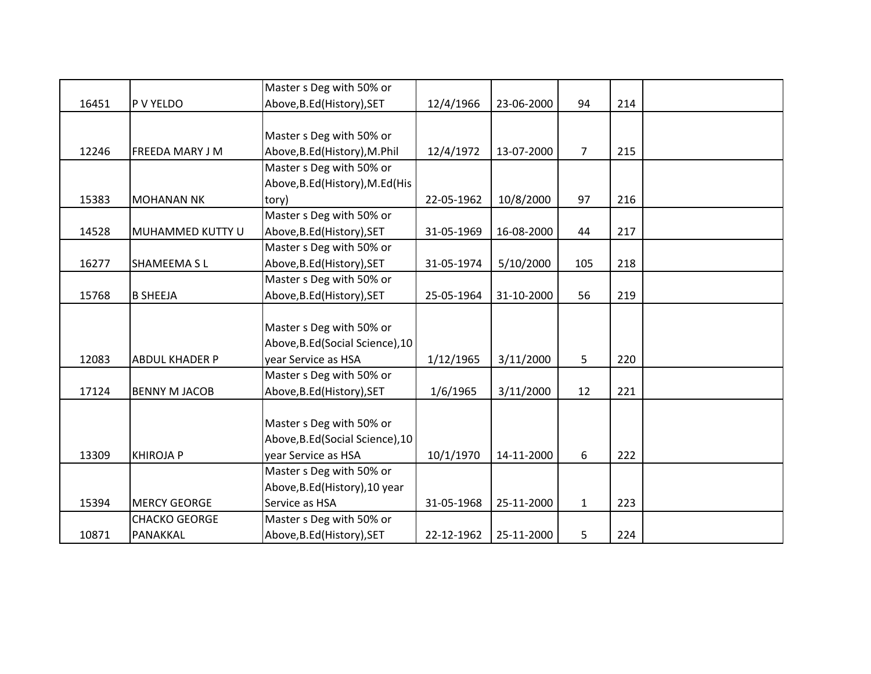|       |                       | Master s Deg with 50% or         |            |            |                |     |  |
|-------|-----------------------|----------------------------------|------------|------------|----------------|-----|--|
| 16451 | P V YELDO             | Above, B.Ed (History), SET       | 12/4/1966  | 23-06-2000 | 94             | 214 |  |
|       |                       |                                  |            |            |                |     |  |
|       |                       | Master s Deg with 50% or         |            |            |                |     |  |
| 12246 | FREEDA MARY J M       | Above, B.Ed (History), M.Phil    | 12/4/1972  | 13-07-2000 | $\overline{7}$ | 215 |  |
|       |                       | Master s Deg with 50% or         |            |            |                |     |  |
|       |                       | Above, B.Ed (History), M.Ed (His |            |            |                |     |  |
| 15383 | <b>MOHANAN NK</b>     | tory)                            | 22-05-1962 | 10/8/2000  | 97             | 216 |  |
|       |                       | Master s Deg with 50% or         |            |            |                |     |  |
| 14528 | MUHAMMED KUTTY U      | Above, B.Ed (History), SET       | 31-05-1969 | 16-08-2000 | 44             | 217 |  |
|       |                       | Master s Deg with 50% or         |            |            |                |     |  |
| 16277 | <b>SHAMEEMA SL</b>    | Above, B.Ed (History), SET       | 31-05-1974 | 5/10/2000  | 105            | 218 |  |
|       |                       | Master s Deg with 50% or         |            |            |                |     |  |
| 15768 | <b>B SHEEJA</b>       | Above, B.Ed (History), SET       | 25-05-1964 | 31-10-2000 | 56             | 219 |  |
|       |                       |                                  |            |            |                |     |  |
|       |                       | Master s Deg with 50% or         |            |            |                |     |  |
|       |                       | Above, B.Ed (Social Science), 10 |            |            |                |     |  |
| 12083 | <b>ABDUL KHADER P</b> | year Service as HSA              | 1/12/1965  | 3/11/2000  | 5              | 220 |  |
|       |                       | Master s Deg with 50% or         |            |            |                |     |  |
| 17124 | <b>BENNY M JACOB</b>  | Above, B.Ed (History), SET       | 1/6/1965   | 3/11/2000  | 12             | 221 |  |
|       |                       |                                  |            |            |                |     |  |
|       |                       | Master s Deg with 50% or         |            |            |                |     |  |
|       |                       | Above, B.Ed (Social Science), 10 |            |            |                |     |  |
| 13309 | <b>KHIROJA P</b>      | year Service as HSA              | 10/1/1970  | 14-11-2000 | 6              | 222 |  |
|       |                       | Master s Deg with 50% or         |            |            |                |     |  |
|       |                       | Above, B.Ed (History), 10 year   |            |            |                |     |  |
| 15394 | <b>MERCY GEORGE</b>   | Service as HSA                   | 31-05-1968 | 25-11-2000 | $\mathbf{1}$   | 223 |  |
|       | <b>CHACKO GEORGE</b>  | Master s Deg with 50% or         |            |            |                |     |  |
| 10871 | PANAKKAL              | Above, B.Ed (History), SET       | 22-12-1962 | 25-11-2000 | 5              | 224 |  |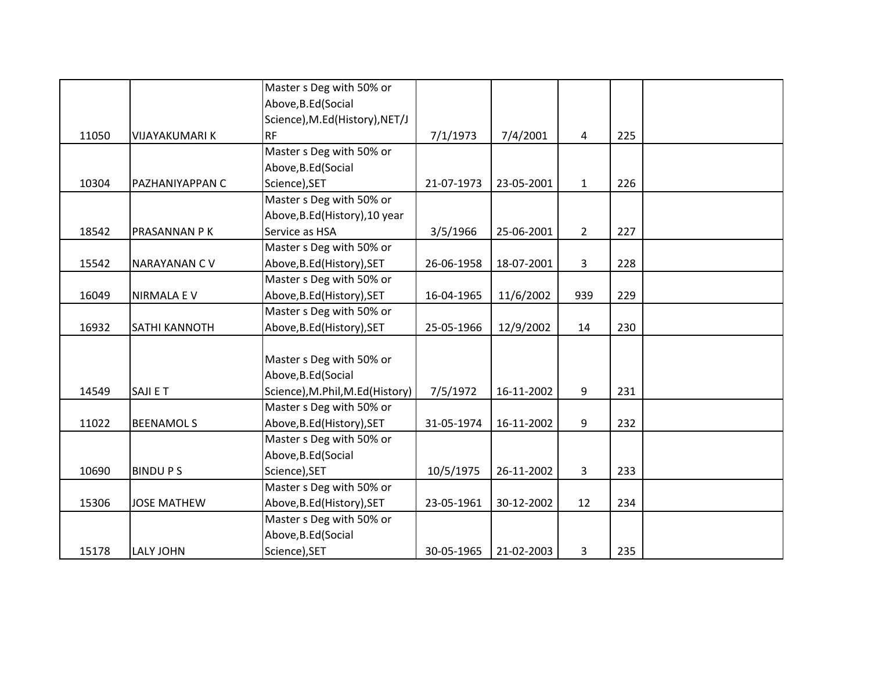|       |                       | Master s Deg with 50% or         |            |            |              |     |  |
|-------|-----------------------|----------------------------------|------------|------------|--------------|-----|--|
|       |                       | Above, B.Ed (Social              |            |            |              |     |  |
|       |                       | Science), M.Ed(History), NET/J   |            |            |              |     |  |
| 11050 | <b>VIJAYAKUMARI K</b> | <b>RF</b>                        | 7/1/1973   | 7/4/2001   | 4            | 225 |  |
|       |                       | Master s Deg with 50% or         |            |            |              |     |  |
|       |                       | Above, B.Ed (Social              |            |            |              |     |  |
| 10304 | PAZHANIYAPPAN C       | Science), SET                    | 21-07-1973 | 23-05-2001 | $\mathbf{1}$ | 226 |  |
|       |                       | Master s Deg with 50% or         |            |            |              |     |  |
|       |                       | Above, B.Ed (History), 10 year   |            |            |              |     |  |
| 18542 | PRASANNAN P K         | Service as HSA                   | 3/5/1966   | 25-06-2001 | $2^{\circ}$  | 227 |  |
|       |                       | Master s Deg with 50% or         |            |            |              |     |  |
| 15542 | NARAYANAN CV          | Above, B.Ed (History), SET       | 26-06-1958 | 18-07-2001 | 3            | 228 |  |
|       |                       | Master s Deg with 50% or         |            |            |              |     |  |
| 16049 | <b>NIRMALA E V</b>    | Above, B.Ed (History), SET       | 16-04-1965 | 11/6/2002  | 939          | 229 |  |
|       |                       | Master s Deg with 50% or         |            |            |              |     |  |
| 16932 | SATHI KANNOTH         | Above, B.Ed (History), SET       | 25-05-1966 | 12/9/2002  | 14           | 230 |  |
|       |                       |                                  |            |            |              |     |  |
|       |                       | Master s Deg with 50% or         |            |            |              |     |  |
|       |                       | Above, B.Ed (Social              |            |            |              |     |  |
| 14549 | SAJI E T              | Science), M.Phil, M.Ed (History) | 7/5/1972   | 16-11-2002 | 9            | 231 |  |
|       |                       | Master s Deg with 50% or         |            |            |              |     |  |
| 11022 | <b>BEENAMOLS</b>      | Above, B.Ed (History), SET       | 31-05-1974 | 16-11-2002 | 9            | 232 |  |
|       |                       | Master s Deg with 50% or         |            |            |              |     |  |
|       |                       | Above, B.Ed (Social              |            |            |              |     |  |
| 10690 | <b>BINDUPS</b>        | Science), SET                    | 10/5/1975  | 26-11-2002 | 3            | 233 |  |
|       |                       | Master s Deg with 50% or         |            |            |              |     |  |
| 15306 | <b>JOSE MATHEW</b>    | Above, B.Ed (History), SET       | 23-05-1961 | 30-12-2002 | 12           | 234 |  |
|       |                       | Master s Deg with 50% or         |            |            |              |     |  |
|       |                       | Above, B.Ed (Social              |            |            |              |     |  |
| 15178 | <b>LALY JOHN</b>      | Science), SET                    | 30-05-1965 | 21-02-2003 | 3            | 235 |  |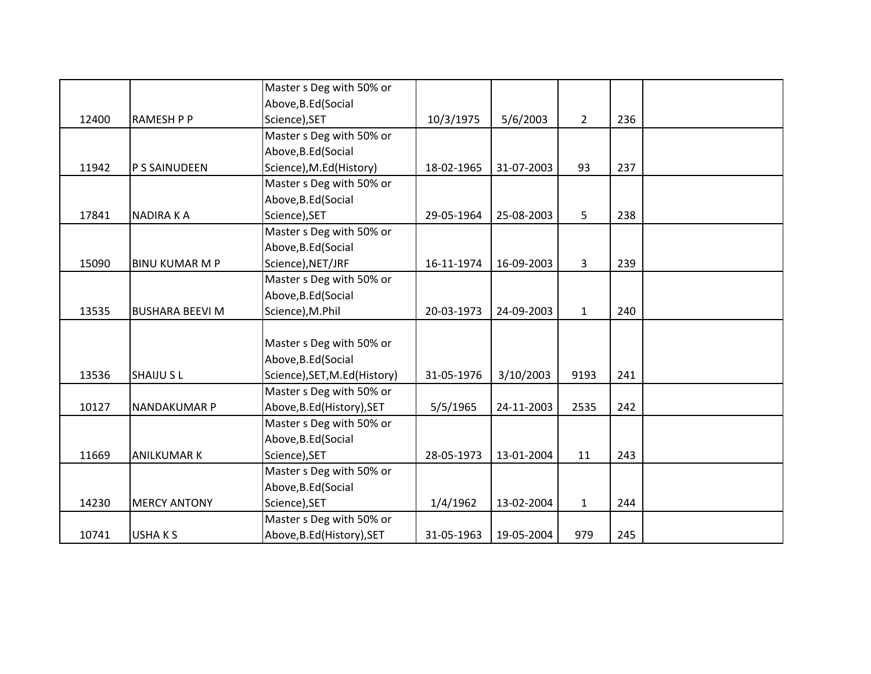|       |                        | Master s Deg with 50% or      |            |            |                |     |  |
|-------|------------------------|-------------------------------|------------|------------|----------------|-----|--|
|       |                        | Above, B.Ed (Social           |            |            |                |     |  |
| 12400 | <b>RAMESH P P</b>      | Science), SET                 | 10/3/1975  | 5/6/2003   | $\overline{2}$ | 236 |  |
|       |                        | Master s Deg with 50% or      |            |            |                |     |  |
|       |                        | Above, B.Ed (Social           |            |            |                |     |  |
| 11942 | P S SAINUDEEN          | Science), M.Ed(History)       | 18-02-1965 | 31-07-2003 | 93             | 237 |  |
|       |                        | Master s Deg with 50% or      |            |            |                |     |  |
|       |                        | Above, B.Ed (Social           |            |            |                |     |  |
| 17841 | <b>NADIRAKA</b>        | Science), SET                 | 29-05-1964 | 25-08-2003 | 5              | 238 |  |
|       |                        | Master s Deg with 50% or      |            |            |                |     |  |
|       |                        | Above, B.Ed (Social           |            |            |                |     |  |
| 15090 | <b>BINU KUMAR M P</b>  | Science), NET/JRF             | 16-11-1974 | 16-09-2003 | 3              | 239 |  |
|       |                        | Master s Deg with 50% or      |            |            |                |     |  |
|       |                        | Above, B.Ed (Social           |            |            |                |     |  |
| 13535 | <b>BUSHARA BEEVI M</b> | Science), M.Phil              | 20-03-1973 | 24-09-2003 | $\mathbf{1}$   | 240 |  |
|       |                        |                               |            |            |                |     |  |
|       |                        | Master s Deg with 50% or      |            |            |                |     |  |
|       |                        | Above, B.Ed (Social           |            |            |                |     |  |
| 13536 | <b>SHAIJU SL</b>       | Science), SET, M.Ed (History) | 31-05-1976 | 3/10/2003  | 9193           | 241 |  |
|       |                        | Master s Deg with 50% or      |            |            |                |     |  |
| 10127 | NANDAKUMAR P           | Above, B.Ed (History), SET    | 5/5/1965   | 24-11-2003 | 2535           | 242 |  |
|       |                        | Master s Deg with 50% or      |            |            |                |     |  |
|       |                        | Above, B.Ed (Social           |            |            |                |     |  |
| 11669 | <b>ANILKUMAR K</b>     | Science), SET                 | 28-05-1973 | 13-01-2004 | 11             | 243 |  |
|       |                        | Master s Deg with 50% or      |            |            |                |     |  |
|       |                        | Above, B.Ed (Social           |            |            |                |     |  |
| 14230 | <b>MERCY ANTONY</b>    | Science), SET                 | 1/4/1962   | 13-02-2004 | $\mathbf{1}$   | 244 |  |
|       |                        | Master s Deg with 50% or      |            |            |                |     |  |
| 10741 | USHAKS                 | Above, B.Ed (History), SET    | 31-05-1963 | 19-05-2004 | 979            | 245 |  |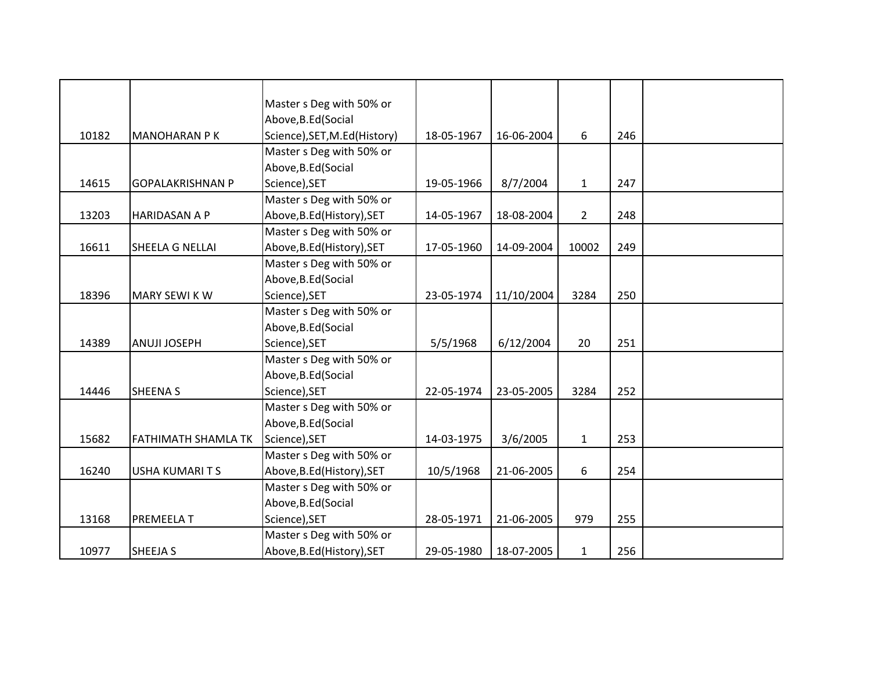|       |                            | Master s Deg with 50% or     |            |            |                |     |  |
|-------|----------------------------|------------------------------|------------|------------|----------------|-----|--|
|       |                            | Above, B.Ed (Social          |            |            |                |     |  |
| 10182 | <b>MANOHARAN P K</b>       | Science), SET, M.Ed(History) | 18-05-1967 | 16-06-2004 | 6              | 246 |  |
|       |                            | Master s Deg with 50% or     |            |            |                |     |  |
|       |                            | Above, B.Ed (Social          |            |            |                |     |  |
| 14615 | <b>GOPALAKRISHNAN P</b>    | Science), SET                | 19-05-1966 | 8/7/2004   | $\mathbf{1}$   | 247 |  |
|       |                            | Master s Deg with 50% or     |            |            |                |     |  |
| 13203 | HARIDASAN A P              | Above, B.Ed (History), SET   | 14-05-1967 | 18-08-2004 | $\overline{2}$ | 248 |  |
|       |                            | Master s Deg with 50% or     |            |            |                |     |  |
| 16611 | SHEELA G NELLAI            | Above, B.Ed (History), SET   | 17-05-1960 | 14-09-2004 | 10002          | 249 |  |
|       |                            | Master s Deg with 50% or     |            |            |                |     |  |
|       |                            | Above, B.Ed (Social          |            |            |                |     |  |
| 18396 | <b>MARY SEWI KW</b>        | Science), SET                | 23-05-1974 | 11/10/2004 | 3284           | 250 |  |
|       |                            | Master s Deg with 50% or     |            |            |                |     |  |
|       |                            | Above, B.Ed (Social          |            |            |                |     |  |
| 14389 | ANUJI JOSEPH               | Science), SET                | 5/5/1968   | 6/12/2004  | 20             | 251 |  |
|       |                            | Master s Deg with 50% or     |            |            |                |     |  |
|       |                            | Above, B.Ed (Social          |            |            |                |     |  |
| 14446 | <b>SHEENA S</b>            | Science), SET                | 22-05-1974 | 23-05-2005 | 3284           | 252 |  |
|       |                            | Master s Deg with 50% or     |            |            |                |     |  |
|       |                            | Above, B.Ed (Social          |            |            |                |     |  |
| 15682 | <b>FATHIMATH SHAMLA TK</b> | Science), SET                | 14-03-1975 | 3/6/2005   | $\mathbf{1}$   | 253 |  |
|       |                            | Master s Deg with 50% or     |            |            |                |     |  |
| 16240 | <b>USHA KUMARITS</b>       | Above, B.Ed (History), SET   | 10/5/1968  | 21-06-2005 | 6              | 254 |  |
|       |                            | Master s Deg with 50% or     |            |            |                |     |  |
|       |                            | Above, B.Ed (Social          |            |            |                |     |  |
| 13168 | PREMEELA T                 | Science), SET                | 28-05-1971 | 21-06-2005 | 979            | 255 |  |
|       |                            | Master s Deg with 50% or     |            |            |                |     |  |
| 10977 | <b>SHEEJA S</b>            | Above, B.Ed (History), SET   | 29-05-1980 | 18-07-2005 | $\mathbf{1}$   | 256 |  |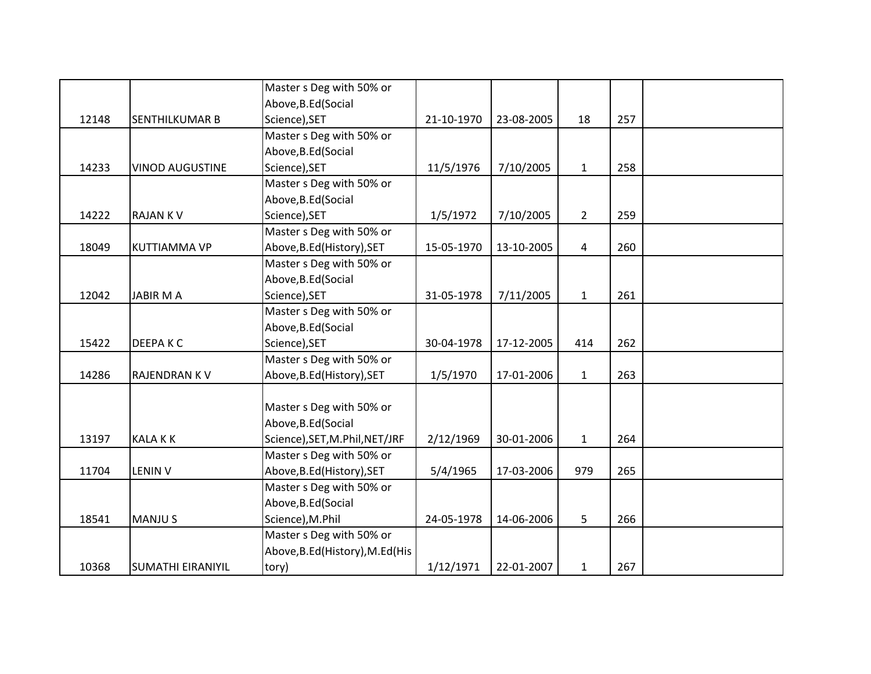|       |                          | Master s Deg with 50% or         |            |            |                |     |  |
|-------|--------------------------|----------------------------------|------------|------------|----------------|-----|--|
|       |                          | Above, B.Ed (Social              |            |            |                |     |  |
| 12148 | <b>SENTHILKUMAR B</b>    | Science), SET                    | 21-10-1970 | 23-08-2005 | 18             | 257 |  |
|       |                          | Master s Deg with 50% or         |            |            |                |     |  |
|       |                          | Above, B.Ed (Social              |            |            |                |     |  |
| 14233 | <b>VINOD AUGUSTINE</b>   | Science), SET                    | 11/5/1976  | 7/10/2005  | $\mathbf{1}$   | 258 |  |
|       |                          | Master s Deg with 50% or         |            |            |                |     |  |
|       |                          | Above, B.Ed (Social              |            |            |                |     |  |
| 14222 | <b>RAJANKV</b>           | Science), SET                    | 1/5/1972   | 7/10/2005  | $\overline{2}$ | 259 |  |
|       |                          | Master s Deg with 50% or         |            |            |                |     |  |
| 18049 | <b>KUTTIAMMA VP</b>      | Above, B.Ed (History), SET       | 15-05-1970 | 13-10-2005 | 4              | 260 |  |
|       |                          | Master s Deg with 50% or         |            |            |                |     |  |
|       |                          | Above, B.Ed (Social              |            |            |                |     |  |
| 12042 | <b>JABIR MA</b>          | Science), SET                    | 31-05-1978 | 7/11/2005  | $\mathbf{1}$   | 261 |  |
|       |                          | Master s Deg with 50% or         |            |            |                |     |  |
|       |                          | Above, B.Ed (Social              |            |            |                |     |  |
| 15422 | <b>DEEPAKC</b>           | Science), SET                    | 30-04-1978 | 17-12-2005 | 414            | 262 |  |
|       |                          | Master s Deg with 50% or         |            |            |                |     |  |
| 14286 | <b>RAJENDRANKV</b>       | Above, B.Ed (History), SET       | 1/5/1970   | 17-01-2006 | $\mathbf{1}$   | 263 |  |
|       |                          |                                  |            |            |                |     |  |
|       |                          | Master s Deg with 50% or         |            |            |                |     |  |
|       |                          | Above, B.Ed (Social              |            |            |                |     |  |
| 13197 | <b>KALAKK</b>            | Science), SET, M.Phil, NET/JRF   | 2/12/1969  | 30-01-2006 | $\mathbf{1}$   | 264 |  |
|       |                          | Master s Deg with 50% or         |            |            |                |     |  |
| 11704 | <b>LENIN V</b>           | Above, B.Ed (History), SET       | 5/4/1965   | 17-03-2006 | 979            | 265 |  |
|       |                          | Master s Deg with 50% or         |            |            |                |     |  |
|       |                          | Above, B.Ed (Social              |            |            |                |     |  |
| 18541 | <b>MANJUS</b>            | Science), M.Phil                 | 24-05-1978 | 14-06-2006 | 5              | 266 |  |
|       |                          | Master s Deg with 50% or         |            |            |                |     |  |
|       |                          | Above, B.Ed (History), M.Ed (His |            |            |                |     |  |
| 10368 | <b>SUMATHI EIRANIYIL</b> | tory)                            | 1/12/1971  | 22-01-2007 | $\mathbf{1}$   | 267 |  |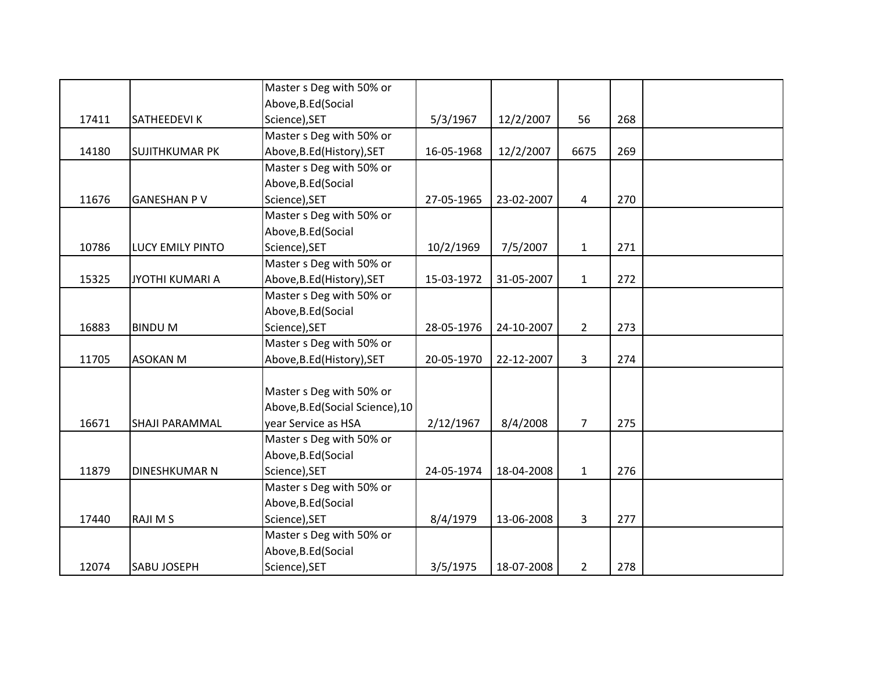|       |                         | Master s Deg with 50% or         |            |            |                |     |  |
|-------|-------------------------|----------------------------------|------------|------------|----------------|-----|--|
|       |                         | Above, B.Ed (Social              |            |            |                |     |  |
| 17411 | <b>SATHEEDEVIK</b>      | Science), SET                    | 5/3/1967   | 12/2/2007  | 56             | 268 |  |
|       |                         | Master s Deg with 50% or         |            |            |                |     |  |
| 14180 | <b>SUJITHKUMAR PK</b>   | Above, B.Ed (History), SET       | 16-05-1968 | 12/2/2007  | 6675           | 269 |  |
|       |                         | Master s Deg with 50% or         |            |            |                |     |  |
|       |                         | Above, B.Ed (Social              |            |            |                |     |  |
| 11676 | <b>GANESHAN PV</b>      | Science), SET                    | 27-05-1965 | 23-02-2007 | $\overline{4}$ | 270 |  |
|       |                         | Master s Deg with 50% or         |            |            |                |     |  |
|       |                         | Above, B.Ed (Social              |            |            |                |     |  |
| 10786 | <b>LUCY EMILY PINTO</b> | Science), SET                    | 10/2/1969  | 7/5/2007   | $\mathbf{1}$   | 271 |  |
|       |                         | Master s Deg with 50% or         |            |            |                |     |  |
| 15325 | JYOTHI KUMARI A         | Above, B.Ed (History), SET       | 15-03-1972 | 31-05-2007 | $\mathbf{1}$   | 272 |  |
|       |                         | Master s Deg with 50% or         |            |            |                |     |  |
|       |                         | Above, B.Ed (Social              |            |            |                |     |  |
| 16883 | <b>BINDUM</b>           | Science), SET                    | 28-05-1976 | 24-10-2007 | $\overline{2}$ | 273 |  |
|       |                         | Master s Deg with 50% or         |            |            |                |     |  |
| 11705 | <b>ASOKAN M</b>         | Above, B.Ed (History), SET       | 20-05-1970 | 22-12-2007 | 3              | 274 |  |
|       |                         |                                  |            |            |                |     |  |
|       |                         | Master s Deg with 50% or         |            |            |                |     |  |
|       |                         | Above, B.Ed (Social Science), 10 |            |            |                |     |  |
| 16671 | <b>SHAJI PARAMMAL</b>   | year Service as HSA              | 2/12/1967  | 8/4/2008   | $\overline{7}$ | 275 |  |
|       |                         | Master s Deg with 50% or         |            |            |                |     |  |
|       |                         | Above, B.Ed (Social              |            |            |                |     |  |
| 11879 | <b>DINESHKUMAR N</b>    | Science), SET                    | 24-05-1974 | 18-04-2008 | $\mathbf{1}$   | 276 |  |
|       |                         | Master s Deg with 50% or         |            |            |                |     |  |
|       |                         | Above, B.Ed (Social              |            |            |                |     |  |
| 17440 | <b>RAJIMS</b>           | Science), SET                    | 8/4/1979   | 13-06-2008 | $\overline{3}$ | 277 |  |
|       |                         | Master s Deg with 50% or         |            |            |                |     |  |
|       |                         | Above, B.Ed (Social              |            |            |                |     |  |
| 12074 | <b>SABU JOSEPH</b>      | Science), SET                    | 3/5/1975   | 18-07-2008 | $\overline{2}$ | 278 |  |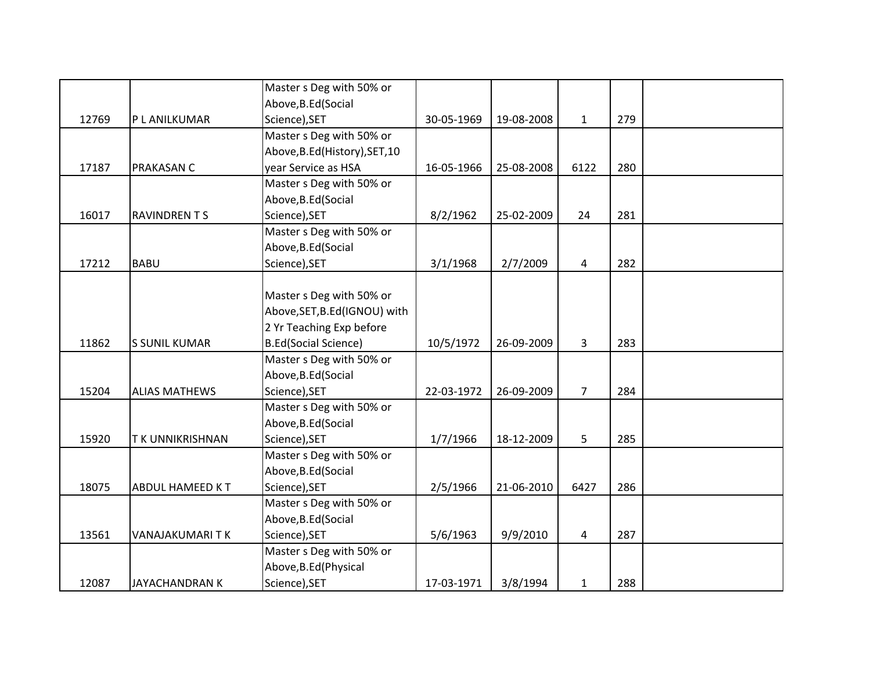|       |                        | Master s Deg with 50% or       |            |            |                |     |  |
|-------|------------------------|--------------------------------|------------|------------|----------------|-----|--|
|       |                        | Above, B.Ed (Social            |            |            |                |     |  |
| 12769 | P L ANILKUMAR          | Science), SET                  | 30-05-1969 | 19-08-2008 | $\mathbf{1}$   | 279 |  |
|       |                        | Master s Deg with 50% or       |            |            |                |     |  |
|       |                        | Above, B.Ed (History), SET, 10 |            |            |                |     |  |
| 17187 | PRAKASAN C             | year Service as HSA            | 16-05-1966 | 25-08-2008 | 6122           | 280 |  |
|       |                        | Master s Deg with 50% or       |            |            |                |     |  |
|       |                        | Above, B.Ed (Social            |            |            |                |     |  |
| 16017 | <b>RAVINDRENTS</b>     | Science), SET                  | 8/2/1962   | 25-02-2009 | 24             | 281 |  |
|       |                        | Master s Deg with 50% or       |            |            |                |     |  |
|       |                        | Above, B.Ed (Social            |            |            |                |     |  |
| 17212 | <b>BABU</b>            | Science), SET                  | 3/1/1968   | 2/7/2009   | 4              | 282 |  |
|       |                        |                                |            |            |                |     |  |
|       |                        | Master s Deg with 50% or       |            |            |                |     |  |
|       |                        | Above, SET, B.Ed (IGNOU) with  |            |            |                |     |  |
|       |                        | 2 Yr Teaching Exp before       |            |            |                |     |  |
| 11862 | <b>S SUNIL KUMAR</b>   | <b>B.Ed(Social Science)</b>    | 10/5/1972  | 26-09-2009 | $\overline{3}$ | 283 |  |
|       |                        | Master s Deg with 50% or       |            |            |                |     |  |
|       |                        | Above, B.Ed (Social            |            |            |                |     |  |
| 15204 | <b>ALIAS MATHEWS</b>   | Science), SET                  | 22-03-1972 | 26-09-2009 | $\overline{7}$ | 284 |  |
|       |                        | Master s Deg with 50% or       |            |            |                |     |  |
|       |                        | Above, B.Ed (Social            |            |            |                |     |  |
| 15920 | <b>TK UNNIKRISHNAN</b> | Science), SET                  | 1/7/1966   | 18-12-2009 | 5              | 285 |  |
|       |                        | Master s Deg with 50% or       |            |            |                |     |  |
|       |                        | Above, B.Ed (Social            |            |            |                |     |  |
| 18075 | <b>ABDUL HAMEED KT</b> | Science), SET                  | 2/5/1966   | 21-06-2010 | 6427           | 286 |  |
|       |                        | Master s Deg with 50% or       |            |            |                |     |  |
|       |                        | Above, B.Ed (Social            |            |            |                |     |  |
| 13561 | VANAJAKUMARITK         | Science), SET                  | 5/6/1963   | 9/9/2010   | 4              | 287 |  |
|       |                        | Master s Deg with 50% or       |            |            |                |     |  |
|       |                        | Above, B.Ed (Physical          |            |            |                |     |  |
| 12087 | JAYACHANDRAN K         | Science), SET                  | 17-03-1971 | 3/8/1994   | $\mathbf{1}$   | 288 |  |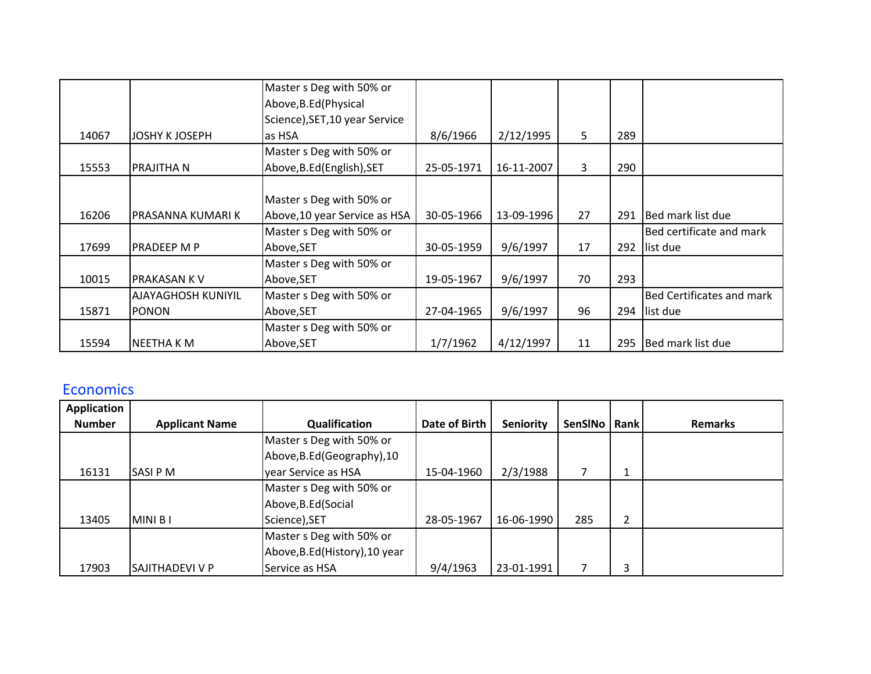|       |                       | Master s Deg with 50% or       |            |            |    |     |                                  |
|-------|-----------------------|--------------------------------|------------|------------|----|-----|----------------------------------|
|       |                       | Above, B.Ed (Physical          |            |            |    |     |                                  |
|       |                       | Science), SET, 10 year Service |            |            |    |     |                                  |
| 14067 | <b>JOSHY K JOSEPH</b> | las HSA                        | 8/6/1966   | 2/12/1995  | 5  | 289 |                                  |
|       |                       | Master s Deg with 50% or       |            |            |    |     |                                  |
| 15553 | <b>PRAJITHA N</b>     | Above, B.Ed (English), SET     | 25-05-1971 | 16-11-2007 | 3  | 290 |                                  |
|       |                       |                                |            |            |    |     |                                  |
|       |                       | Master s Deg with 50% or       |            |            |    |     |                                  |
| 16206 | IPRASANNA KUMARI K    | Above, 10 year Service as HSA  | 30-05-1966 | 13-09-1996 | 27 | 291 | Bed mark list due                |
|       |                       | Master s Deg with 50% or       |            |            |    |     | Bed certificate and mark         |
| 17699 | <b>PRADEEP M P</b>    | Above, SET                     | 30-05-1959 | 9/6/1997   | 17 | 292 | list due                         |
|       |                       | Master s Deg with 50% or       |            |            |    |     |                                  |
| 10015 | <b>PRAKASAN KV</b>    | Above, SET                     | 19-05-1967 | 9/6/1997   | 70 | 293 |                                  |
|       | AJAYAGHOSH KUNIYIL    | Master s Deg with 50% or       |            |            |    |     | <b>Bed Certificates and mark</b> |
| 15871 | <b>PONON</b>          | Above, SET                     | 27-04-1965 | 9/6/1997   | 96 | 294 | list due                         |
|       |                       | Master s Deg with 50% or       |            |            |    |     |                                  |
| 15594 | <b>NEETHAKM</b>       | Above, SET                     | 1/7/1962   | 4/12/1997  | 11 | 295 | Bed mark list due                |

### Economics

| <b>Application</b> |                       |                                |               |                  |                |      |                |
|--------------------|-----------------------|--------------------------------|---------------|------------------|----------------|------|----------------|
| <b>Number</b>      | <b>Applicant Name</b> | Qualification                  | Date of Birth | <b>Seniority</b> | <b>SenSINo</b> | Rank | <b>Remarks</b> |
|                    |                       | Master s Deg with 50% or       |               |                  |                |      |                |
|                    |                       | Above, B.Ed (Geography), 10    |               |                  |                |      |                |
| 16131              | <b>SASIPM</b>         | year Service as HSA            | 15-04-1960    | 2/3/1988         | ⇁              | J.   |                |
|                    |                       | Master s Deg with 50% or       |               |                  |                |      |                |
|                    |                       | Above, B.Ed (Social            |               |                  |                |      |                |
| 13405              | MINI B I              | Science), SET                  | 28-05-1967    | 16-06-1990       | 285            | 2    |                |
|                    |                       | Master s Deg with 50% or       |               |                  |                |      |                |
|                    |                       | Above, B.Ed (History), 10 year |               |                  |                |      |                |
| 17903              | lSAJITHADEVI V P      | Service as HSA                 | 9/4/1963      | 23-01-1991       | ⇁              | 3    |                |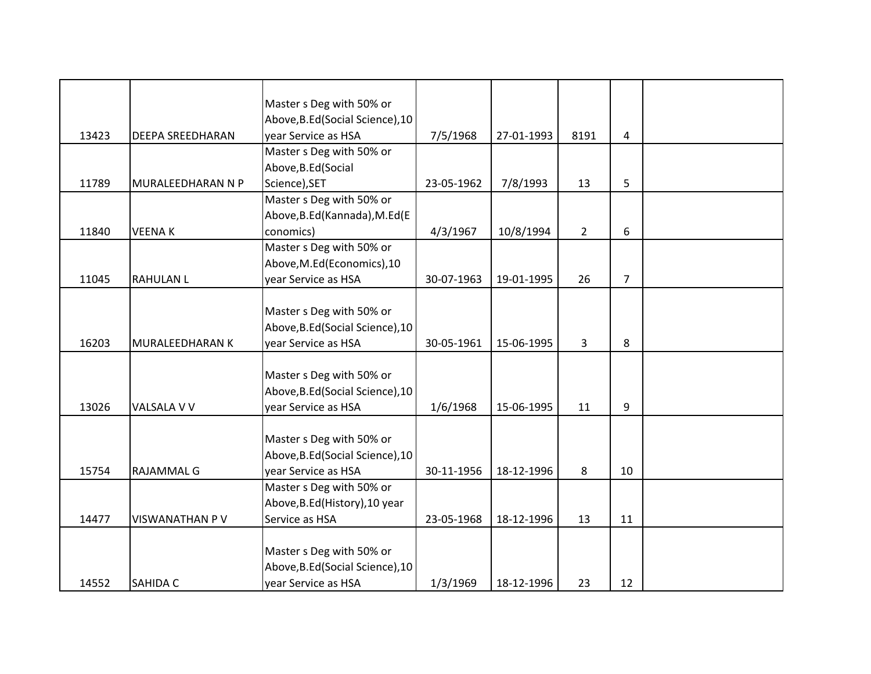|       |                        | Master s Deg with 50% or         |            |            |                |                |  |
|-------|------------------------|----------------------------------|------------|------------|----------------|----------------|--|
|       |                        | Above, B.Ed (Social Science), 10 |            |            |                |                |  |
| 13423 | DEEPA SREEDHARAN       | year Service as HSA              | 7/5/1968   | 27-01-1993 | 8191           | 4              |  |
|       |                        | Master s Deg with 50% or         |            |            |                |                |  |
|       |                        |                                  |            |            |                |                |  |
|       |                        | Above, B.Ed (Social              |            |            |                |                |  |
| 11789 | MURALEEDHARAN N P      | Science), SET                    | 23-05-1962 | 7/8/1993   | 13             | 5              |  |
|       |                        | Master s Deg with 50% or         |            |            |                |                |  |
|       |                        | Above, B.Ed (Kannada), M.Ed (E   |            |            |                |                |  |
| 11840 | <b>VEENAK</b>          | conomics)                        | 4/3/1967   | 10/8/1994  | $\overline{2}$ | 6              |  |
|       |                        | Master s Deg with 50% or         |            |            |                |                |  |
|       |                        | Above, M.Ed (Economics), 10      |            |            |                |                |  |
| 11045 | <b>RAHULAN L</b>       | year Service as HSA              | 30-07-1963 | 19-01-1995 | 26             | $\overline{7}$ |  |
|       |                        |                                  |            |            |                |                |  |
|       |                        | Master s Deg with 50% or         |            |            |                |                |  |
|       |                        | Above, B.Ed (Social Science), 10 |            |            |                |                |  |
| 16203 | <b>MURALEEDHARAN K</b> | year Service as HSA              | 30-05-1961 | 15-06-1995 | $\overline{3}$ | 8              |  |
|       |                        |                                  |            |            |                |                |  |
|       |                        | Master s Deg with 50% or         |            |            |                |                |  |
|       |                        | Above, B.Ed (Social Science), 10 |            |            |                |                |  |
| 13026 | VALSALA V V            | year Service as HSA              | 1/6/1968   | 15-06-1995 | 11             | 9              |  |
|       |                        |                                  |            |            |                |                |  |
|       |                        | Master s Deg with 50% or         |            |            |                |                |  |
|       |                        | Above, B.Ed (Social Science), 10 |            |            |                |                |  |
| 15754 | <b>RAJAMMAL G</b>      | year Service as HSA              | 30-11-1956 | 18-12-1996 | 8              | 10             |  |
|       |                        | Master s Deg with 50% or         |            |            |                |                |  |
|       |                        | Above, B.Ed (History), 10 year   |            |            |                |                |  |
| 14477 | VISWANATHAN P V        | Service as HSA                   | 23-05-1968 | 18-12-1996 | 13             | 11             |  |
|       |                        |                                  |            |            |                |                |  |
|       |                        | Master s Deg with 50% or         |            |            |                |                |  |
|       |                        | Above, B.Ed (Social Science), 10 |            |            |                |                |  |
| 14552 | SAHIDA C               | year Service as HSA              | 1/3/1969   | 18-12-1996 | 23             | 12             |  |
|       |                        |                                  |            |            |                |                |  |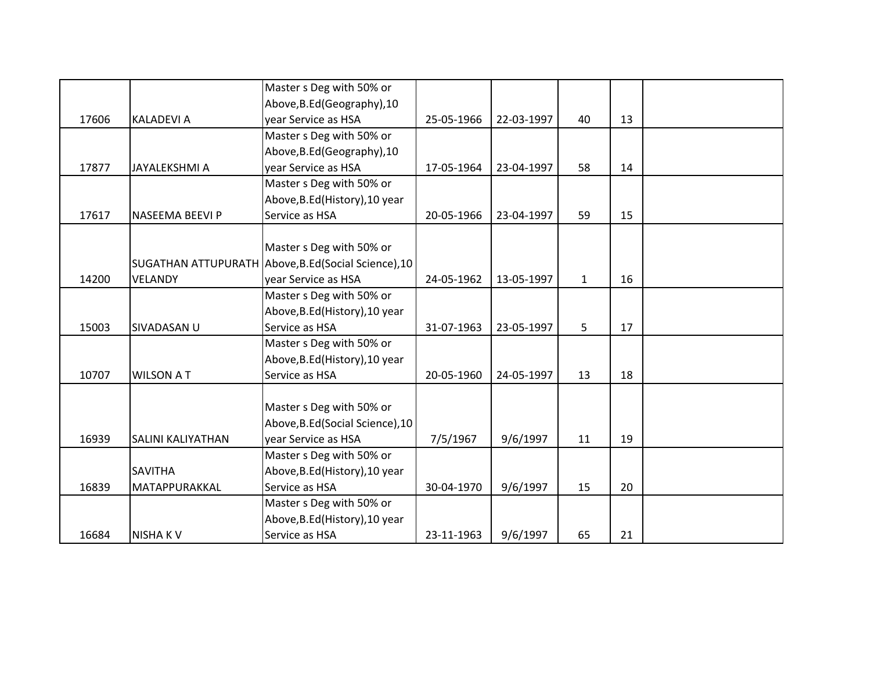|       |                          | Master s Deg with 50% or                             |            |            |              |    |  |
|-------|--------------------------|------------------------------------------------------|------------|------------|--------------|----|--|
|       |                          | Above, B.Ed (Geography), 10                          |            |            |              |    |  |
| 17606 | <b>KALADEVI A</b>        | year Service as HSA                                  | 25-05-1966 | 22-03-1997 | 40           | 13 |  |
|       |                          | Master s Deg with 50% or                             |            |            |              |    |  |
|       |                          | Above, B.Ed (Geography), 10                          |            |            |              |    |  |
| 17877 | <b>JAYALEKSHMI A</b>     | year Service as HSA                                  | 17-05-1964 | 23-04-1997 | 58           | 14 |  |
|       |                          | Master s Deg with 50% or                             |            |            |              |    |  |
|       |                          | Above, B.Ed (History), 10 year                       |            |            |              |    |  |
| 17617 | NASEEMA BEEVI P          | Service as HSA                                       | 20-05-1966 | 23-04-1997 | 59           | 15 |  |
|       |                          |                                                      |            |            |              |    |  |
|       |                          | Master s Deg with 50% or                             |            |            |              |    |  |
|       |                          | SUGATHAN ATTUPURATH Above, B.Ed (Social Science), 10 |            |            |              |    |  |
| 14200 | <b>VELANDY</b>           | year Service as HSA                                  | 24-05-1962 | 13-05-1997 | $\mathbf{1}$ | 16 |  |
|       |                          | Master s Deg with 50% or                             |            |            |              |    |  |
|       |                          | Above, B.Ed (History), 10 year                       |            |            |              |    |  |
| 15003 | SIVADASAN U              | Service as HSA                                       | 31-07-1963 | 23-05-1997 | 5            | 17 |  |
|       |                          | Master s Deg with 50% or                             |            |            |              |    |  |
|       |                          | Above, B.Ed (History), 10 year                       |            |            |              |    |  |
| 10707 | <b>WILSON AT</b>         | Service as HSA                                       | 20-05-1960 | 24-05-1997 | 13           | 18 |  |
|       |                          |                                                      |            |            |              |    |  |
|       |                          | Master s Deg with 50% or                             |            |            |              |    |  |
|       |                          | Above, B.Ed (Social Science), 10                     |            |            |              |    |  |
| 16939 | <b>SALINI KALIYATHAN</b> | year Service as HSA                                  | 7/5/1967   | 9/6/1997   | 11           | 19 |  |
|       |                          | Master s Deg with 50% or                             |            |            |              |    |  |
|       | <b>SAVITHA</b>           | Above, B.Ed (History), 10 year                       |            |            |              |    |  |
| 16839 | MATAPPURAKKAL            | Service as HSA                                       | 30-04-1970 | 9/6/1997   | 15           | 20 |  |
|       |                          | Master s Deg with 50% or                             |            |            |              |    |  |
|       |                          | Above, B.Ed (History), 10 year                       |            |            |              |    |  |
| 16684 | <b>NISHAKV</b>           | Service as HSA                                       | 23-11-1963 | 9/6/1997   | 65           | 21 |  |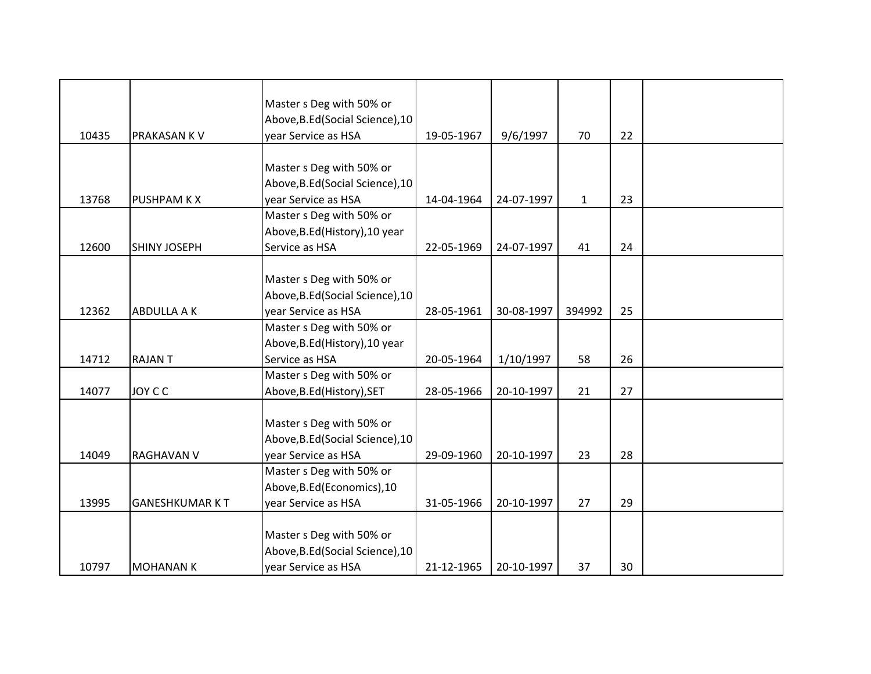|       |                       | Master s Deg with 50% or         |            |            |              |    |  |
|-------|-----------------------|----------------------------------|------------|------------|--------------|----|--|
|       |                       | Above, B.Ed (Social Science), 10 |            |            |              |    |  |
| 10435 | PRAKASAN K V          | year Service as HSA              | 19-05-1967 | 9/6/1997   | 70           | 22 |  |
|       |                       |                                  |            |            |              |    |  |
|       |                       | Master s Deg with 50% or         |            |            |              |    |  |
|       |                       | Above, B.Ed (Social Science), 10 |            |            |              |    |  |
| 13768 | <b>PUSHPAM K X</b>    | year Service as HSA              | 14-04-1964 | 24-07-1997 | $\mathbf{1}$ | 23 |  |
|       |                       | Master s Deg with 50% or         |            |            |              |    |  |
|       |                       | Above, B.Ed (History), 10 year   |            |            |              |    |  |
| 12600 | <b>SHINY JOSEPH</b>   | Service as HSA                   | 22-05-1969 | 24-07-1997 | 41           | 24 |  |
|       |                       |                                  |            |            |              |    |  |
|       |                       | Master s Deg with 50% or         |            |            |              |    |  |
|       |                       | Above, B.Ed (Social Science), 10 |            |            |              |    |  |
| 12362 | <b>ABDULLA A K</b>    | year Service as HSA              | 28-05-1961 | 30-08-1997 | 394992       | 25 |  |
|       |                       | Master s Deg with 50% or         |            |            |              |    |  |
|       |                       | Above, B.Ed (History), 10 year   |            |            |              |    |  |
| 14712 | <b>RAJANT</b>         | Service as HSA                   | 20-05-1964 | 1/10/1997  | 58           | 26 |  |
|       |                       | Master s Deg with 50% or         |            |            |              |    |  |
| 14077 | <b>JOY C C</b>        | Above, B.Ed (History), SET       | 28-05-1966 | 20-10-1997 | 21           | 27 |  |
|       |                       |                                  |            |            |              |    |  |
|       |                       | Master s Deg with 50% or         |            |            |              |    |  |
|       |                       | Above, B.Ed (Social Science), 10 |            |            |              |    |  |
| 14049 | <b>RAGHAVAN V</b>     | year Service as HSA              | 29-09-1960 | 20-10-1997 | 23           | 28 |  |
|       |                       | Master s Deg with 50% or         |            |            |              |    |  |
|       |                       | Above, B.Ed (Economics), 10      |            |            |              |    |  |
| 13995 | <b>GANESHKUMAR KT</b> | year Service as HSA              | 31-05-1966 | 20-10-1997 | 27           | 29 |  |
|       |                       |                                  |            |            |              |    |  |
|       |                       | Master s Deg with 50% or         |            |            |              |    |  |
|       |                       | Above, B.Ed (Social Science), 10 |            |            |              |    |  |
| 10797 | <b>MOHANAN K</b>      | year Service as HSA              | 21-12-1965 | 20-10-1997 | 37           | 30 |  |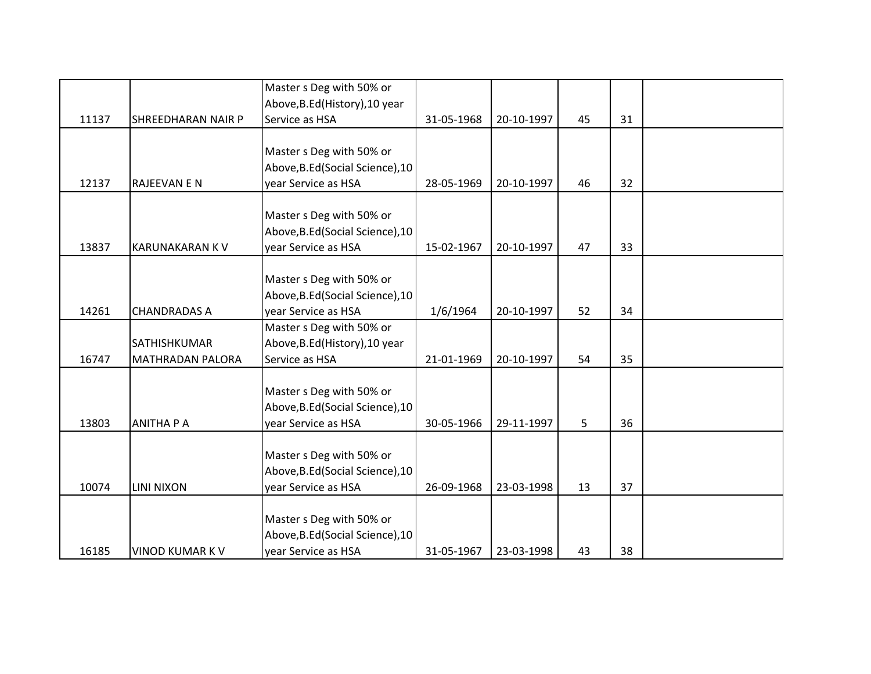|       |                         | Master s Deg with 50% or         |            |            |    |    |  |
|-------|-------------------------|----------------------------------|------------|------------|----|----|--|
|       |                         | Above, B.Ed (History), 10 year   |            |            |    |    |  |
| 11137 | SHREEDHARAN NAIR P      | Service as HSA                   | 31-05-1968 | 20-10-1997 | 45 | 31 |  |
|       |                         |                                  |            |            |    |    |  |
|       |                         | Master s Deg with 50% or         |            |            |    |    |  |
|       |                         | Above, B.Ed (Social Science), 10 |            |            |    |    |  |
| 12137 | <b>RAJEEVAN E N</b>     | year Service as HSA              | 28-05-1969 | 20-10-1997 | 46 | 32 |  |
|       |                         |                                  |            |            |    |    |  |
|       |                         | Master s Deg with 50% or         |            |            |    |    |  |
|       |                         | Above, B.Ed (Social Science), 10 |            |            |    |    |  |
| 13837 | <b>KARUNAKARAN K V</b>  | year Service as HSA              | 15-02-1967 | 20-10-1997 | 47 | 33 |  |
|       |                         |                                  |            |            |    |    |  |
|       |                         | Master s Deg with 50% or         |            |            |    |    |  |
|       |                         | Above, B.Ed (Social Science), 10 |            |            |    |    |  |
| 14261 | <b>CHANDRADAS A</b>     | year Service as HSA              | 1/6/1964   | 20-10-1997 | 52 | 34 |  |
|       |                         | Master s Deg with 50% or         |            |            |    |    |  |
|       | SATHISHKUMAR            | Above, B.Ed (History), 10 year   |            |            |    |    |  |
| 16747 | <b>MATHRADAN PALORA</b> | Service as HSA                   | 21-01-1969 | 20-10-1997 | 54 | 35 |  |
|       |                         |                                  |            |            |    |    |  |
|       |                         | Master s Deg with 50% or         |            |            |    |    |  |
|       |                         | Above, B.Ed (Social Science), 10 |            |            |    |    |  |
| 13803 | <b>ANITHA P A</b>       | year Service as HSA              | 30-05-1966 | 29-11-1997 | 5  | 36 |  |
|       |                         |                                  |            |            |    |    |  |
|       |                         | Master s Deg with 50% or         |            |            |    |    |  |
|       |                         | Above, B.Ed (Social Science), 10 |            |            |    |    |  |
| 10074 | <b>LINI NIXON</b>       | year Service as HSA              | 26-09-1968 | 23-03-1998 | 13 | 37 |  |
|       |                         |                                  |            |            |    |    |  |
|       |                         | Master s Deg with 50% or         |            |            |    |    |  |
|       |                         | Above, B.Ed (Social Science), 10 |            |            |    |    |  |
| 16185 | <b>VINOD KUMAR K V</b>  | year Service as HSA              | 31-05-1967 | 23-03-1998 | 43 | 38 |  |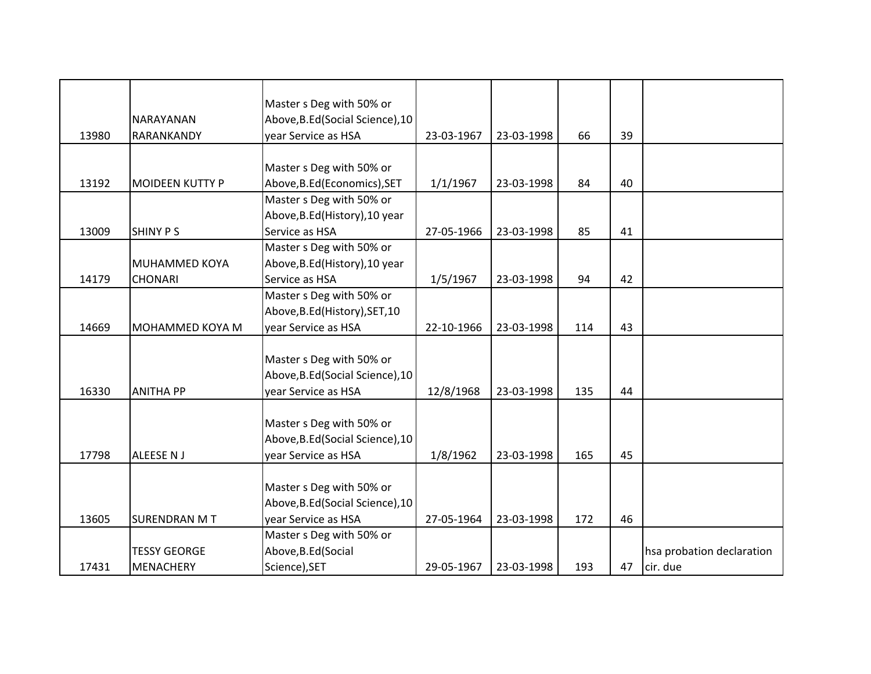|       |                         | Master s Deg with 50% or                                |            |            |     |    |                           |
|-------|-------------------------|---------------------------------------------------------|------------|------------|-----|----|---------------------------|
| 13980 | NARAYANAN<br>RARANKANDY | Above, B.Ed (Social Science), 10<br>year Service as HSA | 23-03-1967 | 23-03-1998 | 66  | 39 |                           |
|       |                         |                                                         |            |            |     |    |                           |
|       |                         | Master s Deg with 50% or                                |            |            |     |    |                           |
| 13192 | <b>MOIDEEN KUTTY P</b>  | Above, B.Ed (Economics), SET                            | 1/1/1967   | 23-03-1998 | 84  | 40 |                           |
|       |                         | Master s Deg with 50% or                                |            |            |     |    |                           |
|       |                         | Above, B.Ed (History), 10 year                          |            |            |     |    |                           |
| 13009 | <b>SHINY PS</b>         | Service as HSA                                          | 27-05-1966 | 23-03-1998 | 85  | 41 |                           |
|       |                         | Master s Deg with 50% or                                |            |            |     |    |                           |
|       | MUHAMMED KOYA           | Above, B.Ed (History), 10 year                          |            |            |     |    |                           |
| 14179 | <b>CHONARI</b>          | Service as HSA                                          | 1/5/1967   | 23-03-1998 | 94  | 42 |                           |
|       |                         | Master s Deg with 50% or                                |            |            |     |    |                           |
|       |                         | Above, B.Ed (History), SET, 10                          |            |            |     |    |                           |
| 14669 | MOHAMMED KOYA M         | year Service as HSA                                     | 22-10-1966 | 23-03-1998 | 114 | 43 |                           |
|       |                         |                                                         |            |            |     |    |                           |
|       |                         | Master s Deg with 50% or                                |            |            |     |    |                           |
|       |                         | Above, B.Ed (Social Science), 10                        |            |            |     |    |                           |
| 16330 | <b>ANITHA PP</b>        | year Service as HSA                                     | 12/8/1968  | 23-03-1998 | 135 | 44 |                           |
|       |                         | Master s Deg with 50% or                                |            |            |     |    |                           |
|       |                         | Above, B.Ed (Social Science), 10                        |            |            |     |    |                           |
| 17798 | <b>ALEESE NJ</b>        | year Service as HSA                                     | 1/8/1962   | 23-03-1998 | 165 | 45 |                           |
|       |                         |                                                         |            |            |     |    |                           |
|       |                         | Master s Deg with 50% or                                |            |            |     |    |                           |
|       |                         | Above, B.Ed (Social Science), 10                        |            |            |     |    |                           |
| 13605 | <b>SURENDRAN MT</b>     | year Service as HSA                                     | 27-05-1964 | 23-03-1998 | 172 | 46 |                           |
|       |                         | Master s Deg with 50% or                                |            |            |     |    |                           |
|       | <b>TESSY GEORGE</b>     | Above, B.Ed (Social                                     |            |            |     |    | hsa probation declaration |
| 17431 | <b>MENACHERY</b>        | Science), SET                                           | 29-05-1967 | 23-03-1998 | 193 | 47 | cir. due                  |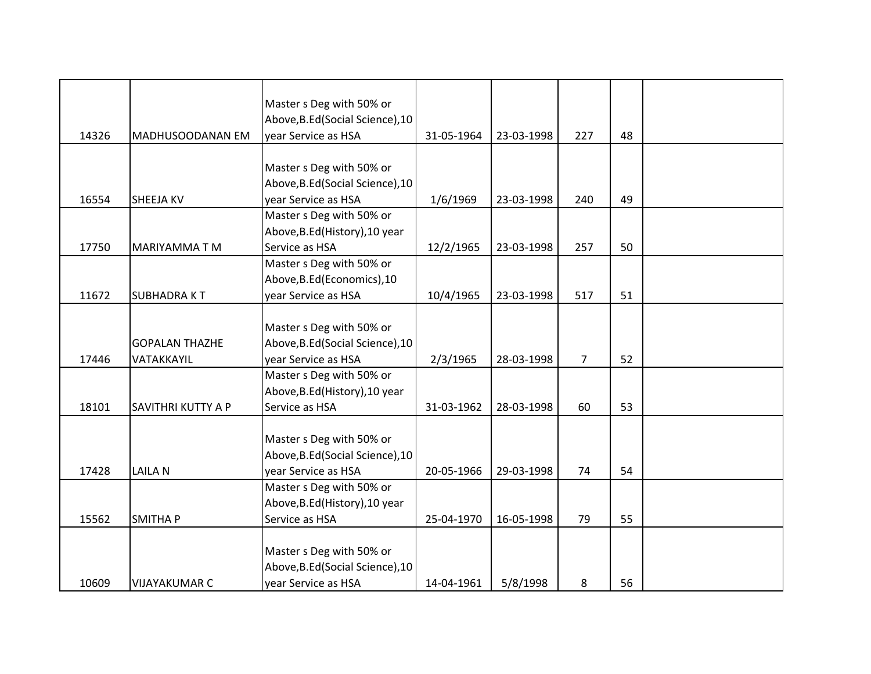|       |                           | Master s Deg with 50% or         |            |            |                |    |  |
|-------|---------------------------|----------------------------------|------------|------------|----------------|----|--|
|       |                           | Above, B.Ed (Social Science), 10 |            |            |                |    |  |
| 14326 | MADHUSOODANAN EM          | year Service as HSA              | 31-05-1964 | 23-03-1998 | 227            | 48 |  |
|       |                           |                                  |            |            |                |    |  |
|       |                           | Master s Deg with 50% or         |            |            |                |    |  |
|       |                           | Above, B.Ed (Social Science), 10 |            |            |                |    |  |
| 16554 | <b>SHEEJA KV</b>          | year Service as HSA              | 1/6/1969   | 23-03-1998 | 240            | 49 |  |
|       |                           | Master s Deg with 50% or         |            |            |                |    |  |
|       |                           | Above, B.Ed (History), 10 year   |            |            |                |    |  |
| 17750 | <b>MARIYAMMATM</b>        | Service as HSA                   | 12/2/1965  | 23-03-1998 | 257            | 50 |  |
|       |                           | Master s Deg with 50% or         |            |            |                |    |  |
|       |                           | Above, B.Ed (Economics), 10      |            |            |                |    |  |
| 11672 | <b>SUBHADRAKT</b>         | year Service as HSA              | 10/4/1965  | 23-03-1998 | 517            | 51 |  |
|       |                           |                                  |            |            |                |    |  |
|       |                           | Master s Deg with 50% or         |            |            |                |    |  |
|       | <b>GOPALAN THAZHE</b>     | Above, B.Ed (Social Science), 10 |            |            |                |    |  |
| 17446 | VATAKKAYIL                | year Service as HSA              | 2/3/1965   | 28-03-1998 | $\overline{7}$ | 52 |  |
|       |                           | Master s Deg with 50% or         |            |            |                |    |  |
|       |                           | Above, B.Ed (History), 10 year   |            |            |                |    |  |
| 18101 | <b>SAVITHRI KUTTY A P</b> | Service as HSA                   | 31-03-1962 | 28-03-1998 | 60             | 53 |  |
|       |                           |                                  |            |            |                |    |  |
|       |                           | Master s Deg with 50% or         |            |            |                |    |  |
|       |                           | Above, B.Ed (Social Science), 10 |            |            |                |    |  |
| 17428 | <b>LAILAN</b>             | year Service as HSA              | 20-05-1966 | 29-03-1998 | 74             | 54 |  |
|       |                           | Master s Deg with 50% or         |            |            |                |    |  |
|       |                           | Above, B.Ed (History), 10 year   |            |            |                |    |  |
| 15562 | <b>SMITHA P</b>           | Service as HSA                   | 25-04-1970 | 16-05-1998 | 79             | 55 |  |
|       |                           |                                  |            |            |                |    |  |
|       |                           | Master s Deg with 50% or         |            |            |                |    |  |
|       |                           | Above, B.Ed (Social Science), 10 |            |            |                |    |  |
| 10609 | <b>VIJAYAKUMAR C</b>      | year Service as HSA              | 14-04-1961 | 5/8/1998   | 8              | 56 |  |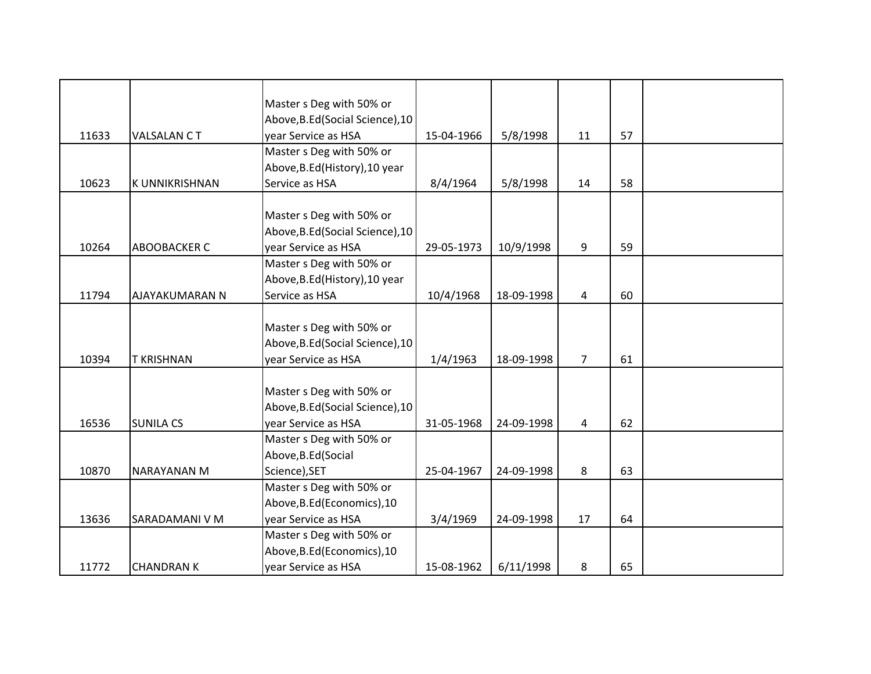|       |                       | Master s Deg with 50% or         |            |            |                |    |  |
|-------|-----------------------|----------------------------------|------------|------------|----------------|----|--|
|       |                       | Above, B.Ed (Social Science), 10 |            |            |                |    |  |
| 11633 | <b>VALSALAN CT</b>    | year Service as HSA              | 15-04-1966 | 5/8/1998   | 11             | 57 |  |
|       |                       | Master s Deg with 50% or         |            |            |                |    |  |
|       |                       | Above, B.Ed (History), 10 year   |            |            |                |    |  |
| 10623 | <b>K UNNIKRISHNAN</b> | Service as HSA                   | 8/4/1964   | 5/8/1998   | 14             | 58 |  |
|       |                       |                                  |            |            |                |    |  |
|       |                       | Master s Deg with 50% or         |            |            |                |    |  |
|       |                       | Above, B.Ed (Social Science), 10 |            |            |                |    |  |
| 10264 | <b>ABOOBACKER C</b>   | year Service as HSA              | 29-05-1973 | 10/9/1998  | 9              | 59 |  |
|       |                       | Master s Deg with 50% or         |            |            |                |    |  |
|       |                       | Above, B.Ed (History), 10 year   |            |            |                |    |  |
| 11794 | AJAYAKUMARAN N        | Service as HSA                   | 10/4/1968  | 18-09-1998 | $\overline{4}$ | 60 |  |
|       |                       |                                  |            |            |                |    |  |
|       |                       | Master s Deg with 50% or         |            |            |                |    |  |
|       |                       | Above, B.Ed (Social Science), 10 |            |            |                |    |  |
| 10394 | <b>T KRISHNAN</b>     | year Service as HSA              | 1/4/1963   | 18-09-1998 | $\overline{7}$ | 61 |  |
|       |                       |                                  |            |            |                |    |  |
|       |                       | Master s Deg with 50% or         |            |            |                |    |  |
|       |                       | Above, B.Ed (Social Science), 10 |            |            |                |    |  |
| 16536 | <b>SUNILA CS</b>      | year Service as HSA              | 31-05-1968 | 24-09-1998 | 4              | 62 |  |
|       |                       | Master s Deg with 50% or         |            |            |                |    |  |
|       |                       | Above, B.Ed (Social              |            |            |                |    |  |
| 10870 | <b>NARAYANAN M</b>    | Science), SET                    | 25-04-1967 | 24-09-1998 | 8              | 63 |  |
|       |                       | Master s Deg with 50% or         |            |            |                |    |  |
|       |                       | Above, B.Ed (Economics), 10      |            |            |                |    |  |
| 13636 | SARADAMANI V M        | year Service as HSA              | 3/4/1969   | 24-09-1998 | 17             | 64 |  |
|       |                       | Master s Deg with 50% or         |            |            |                |    |  |
|       |                       | Above, B.Ed (Economics), 10      |            |            |                |    |  |
| 11772 | <b>CHANDRAN K</b>     | year Service as HSA              | 15-08-1962 | 6/11/1998  | 8              | 65 |  |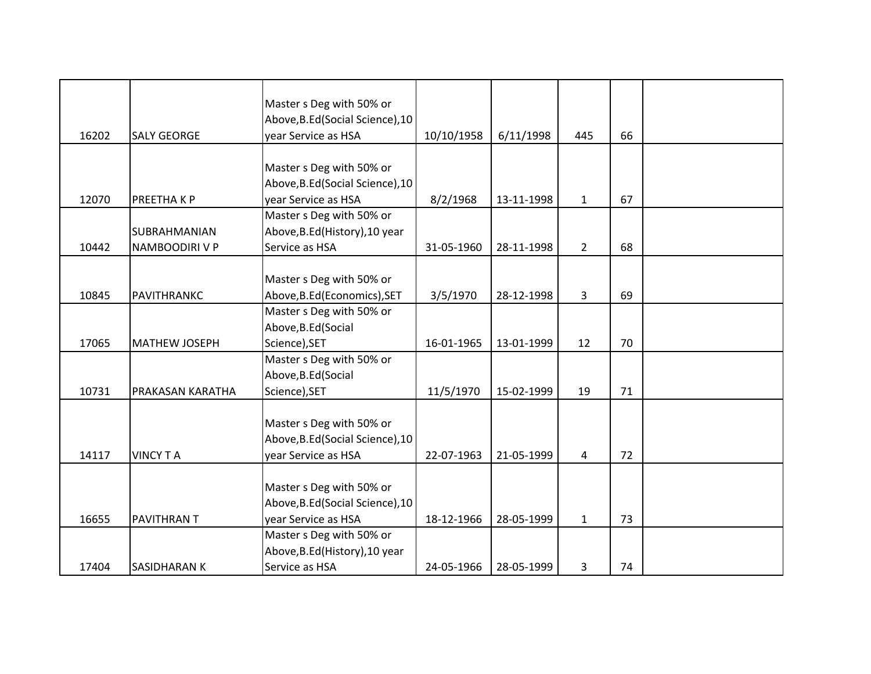|       |                      | Master s Deg with 50% or         |            |            |                |    |  |
|-------|----------------------|----------------------------------|------------|------------|----------------|----|--|
|       |                      | Above, B.Ed (Social Science), 10 |            |            |                |    |  |
| 16202 | <b>SALY GEORGE</b>   | year Service as HSA              | 10/10/1958 | 6/11/1998  | 445            | 66 |  |
|       |                      |                                  |            |            |                |    |  |
|       |                      | Master s Deg with 50% or         |            |            |                |    |  |
|       |                      | Above, B.Ed (Social Science), 10 |            |            |                |    |  |
| 12070 | PREETHA K P          | year Service as HSA              | 8/2/1968   | 13-11-1998 | $\mathbf{1}$   | 67 |  |
|       |                      | Master s Deg with 50% or         |            |            |                |    |  |
|       | <b>SUBRAHMANIAN</b>  | Above, B.Ed (History), 10 year   |            |            |                |    |  |
| 10442 | NAMBOODIRI V P       | Service as HSA                   | 31-05-1960 | 28-11-1998 | $2^{\circ}$    | 68 |  |
|       |                      |                                  |            |            |                |    |  |
|       |                      | Master s Deg with 50% or         |            |            |                |    |  |
| 10845 | PAVITHRANKC          | Above, B.Ed (Economics), SET     | 3/5/1970   | 28-12-1998 | 3              | 69 |  |
|       |                      | Master s Deg with 50% or         |            |            |                |    |  |
|       |                      | Above, B.Ed (Social              |            |            |                |    |  |
| 17065 | <b>MATHEW JOSEPH</b> | Science), SET                    | 16-01-1965 | 13-01-1999 | 12             | 70 |  |
|       |                      | Master s Deg with 50% or         |            |            |                |    |  |
|       |                      | Above, B.Ed (Social              |            |            |                |    |  |
| 10731 | PRAKASAN KARATHA     | Science), SET                    | 11/5/1970  | 15-02-1999 | 19             | 71 |  |
|       |                      |                                  |            |            |                |    |  |
|       |                      | Master s Deg with 50% or         |            |            |                |    |  |
|       |                      | Above, B.Ed (Social Science), 10 |            |            |                |    |  |
| 14117 | <b>VINCY TA</b>      | year Service as HSA              | 22-07-1963 | 21-05-1999 | $\overline{4}$ | 72 |  |
|       |                      |                                  |            |            |                |    |  |
|       |                      | Master s Deg with 50% or         |            |            |                |    |  |
|       |                      | Above, B.Ed (Social Science), 10 |            |            |                |    |  |
| 16655 | PAVITHRAN T          | year Service as HSA              | 18-12-1966 | 28-05-1999 | $\mathbf{1}$   | 73 |  |
|       |                      | Master s Deg with 50% or         |            |            |                |    |  |
|       |                      | Above, B.Ed (History), 10 year   |            |            |                |    |  |
| 17404 | <b>SASIDHARAN K</b>  | Service as HSA                   | 24-05-1966 | 28-05-1999 | 3              | 74 |  |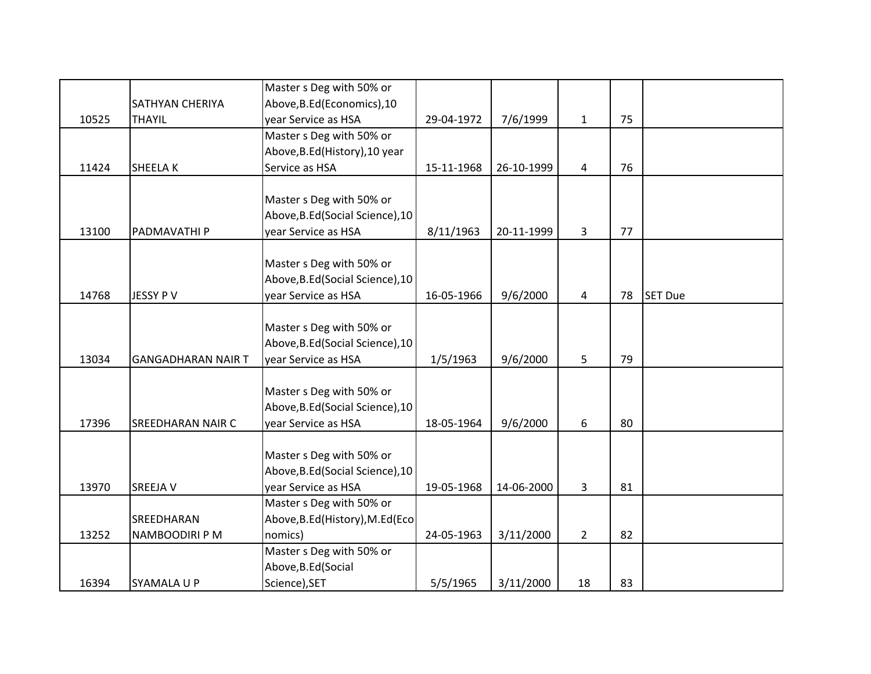|       |                           | Master s Deg with 50% or         |            |            |                |    |                |
|-------|---------------------------|----------------------------------|------------|------------|----------------|----|----------------|
|       | <b>SATHYAN CHERIYA</b>    | Above, B.Ed (Economics), 10      |            |            |                |    |                |
| 10525 | <b>THAYIL</b>             | year Service as HSA              | 29-04-1972 | 7/6/1999   | $\mathbf{1}$   | 75 |                |
|       |                           | Master s Deg with 50% or         |            |            |                |    |                |
|       |                           | Above, B.Ed (History), 10 year   |            |            |                |    |                |
| 11424 | <b>SHEELAK</b>            | Service as HSA                   | 15-11-1968 | 26-10-1999 | $\overline{4}$ | 76 |                |
|       |                           |                                  |            |            |                |    |                |
|       |                           | Master s Deg with 50% or         |            |            |                |    |                |
|       |                           | Above, B.Ed (Social Science), 10 |            |            |                |    |                |
| 13100 | PADMAVATHI P              | year Service as HSA              | 8/11/1963  | 20-11-1999 | 3              | 77 |                |
|       |                           |                                  |            |            |                |    |                |
|       |                           | Master s Deg with 50% or         |            |            |                |    |                |
|       |                           | Above, B.Ed (Social Science), 10 |            |            |                |    |                |
| 14768 | JESSY P V                 | year Service as HSA              | 16-05-1966 | 9/6/2000   | 4              | 78 | <b>SET Due</b> |
|       |                           |                                  |            |            |                |    |                |
|       |                           | Master s Deg with 50% or         |            |            |                |    |                |
|       |                           | Above, B.Ed (Social Science), 10 |            |            |                |    |                |
| 13034 | <b>GANGADHARAN NAIR T</b> | year Service as HSA              | 1/5/1963   | 9/6/2000   | 5              | 79 |                |
|       |                           |                                  |            |            |                |    |                |
|       |                           | Master s Deg with 50% or         |            |            |                |    |                |
|       |                           | Above, B.Ed (Social Science), 10 |            |            |                |    |                |
| 17396 | <b>SREEDHARAN NAIR C</b>  | year Service as HSA              | 18-05-1964 | 9/6/2000   | 6              | 80 |                |
|       |                           |                                  |            |            |                |    |                |
|       |                           | Master s Deg with 50% or         |            |            |                |    |                |
|       |                           | Above, B.Ed (Social Science), 10 |            |            |                |    |                |
| 13970 | <b>SREEJA V</b>           | year Service as HSA              | 19-05-1968 | 14-06-2000 | 3              | 81 |                |
|       |                           | Master s Deg with 50% or         |            |            |                |    |                |
|       | SREEDHARAN                | Above, B.Ed (History), M.Ed (Eco |            |            |                |    |                |
| 13252 | NAMBOODIRI P M            | nomics)                          | 24-05-1963 | 3/11/2000  | $2^{\circ}$    | 82 |                |
|       |                           | Master s Deg with 50% or         |            |            |                |    |                |
|       |                           | Above, B.Ed (Social              |            |            |                |    |                |
| 16394 | <b>SYAMALA U P</b>        | Science), SET                    | 5/5/1965   | 3/11/2000  | 18             | 83 |                |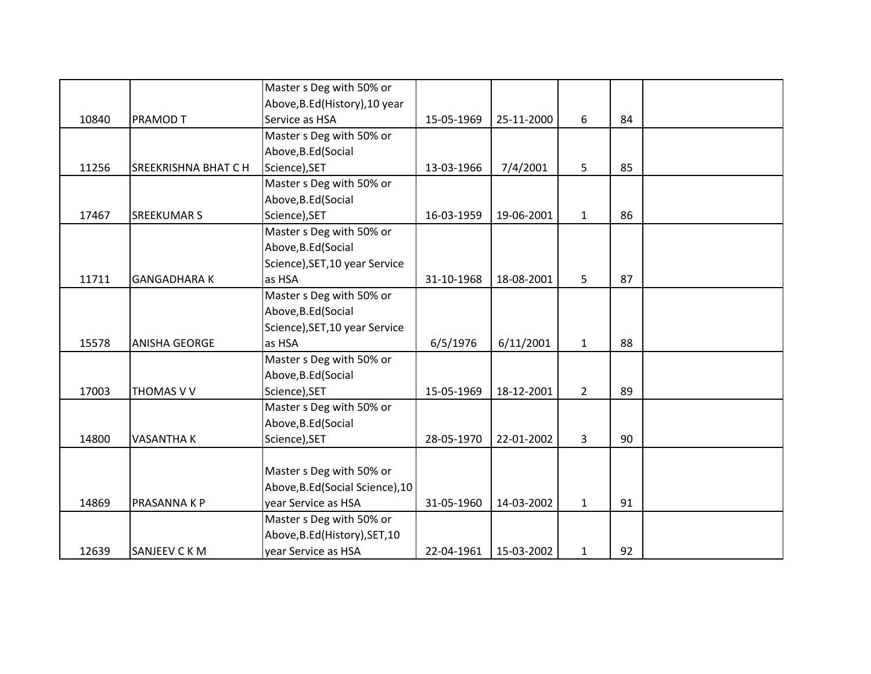|       |                            | Master s Deg with 50% or         |            |            |                |    |  |
|-------|----------------------------|----------------------------------|------------|------------|----------------|----|--|
|       |                            | Above, B.Ed (History), 10 year   |            |            |                |    |  |
| 10840 | <b>PRAMOD T</b>            | Service as HSA                   | 15-05-1969 | 25-11-2000 | 6              | 84 |  |
|       |                            | Master s Deg with 50% or         |            |            |                |    |  |
|       |                            | Above, B.Ed (Social              |            |            |                |    |  |
| 11256 | <b>SREEKRISHNA BHAT CH</b> | Science), SET                    | 13-03-1966 | 7/4/2001   | 5              | 85 |  |
|       |                            | Master s Deg with 50% or         |            |            |                |    |  |
|       |                            | Above, B.Ed (Social              |            |            |                |    |  |
| 17467 | <b>SREEKUMAR S</b>         | Science), SET                    | 16-03-1959 | 19-06-2001 | $\mathbf{1}$   | 86 |  |
|       |                            | Master s Deg with 50% or         |            |            |                |    |  |
|       |                            | Above, B.Ed (Social              |            |            |                |    |  |
|       |                            | Science), SET, 10 year Service   |            |            |                |    |  |
| 11711 | <b>GANGADHARAK</b>         | as HSA                           | 31-10-1968 | 18-08-2001 | 5              | 87 |  |
|       |                            | Master s Deg with 50% or         |            |            |                |    |  |
|       |                            | Above, B.Ed (Social              |            |            |                |    |  |
|       |                            | Science), SET, 10 year Service   |            |            |                |    |  |
| 15578 | <b>ANISHA GEORGE</b>       | as HSA                           | 6/5/1976   | 6/11/2001  | $\mathbf{1}$   | 88 |  |
|       |                            | Master s Deg with 50% or         |            |            |                |    |  |
|       |                            | Above, B.Ed (Social              |            |            |                |    |  |
| 17003 | THOMAS V V                 | Science), SET                    | 15-05-1969 | 18-12-2001 | $\overline{2}$ | 89 |  |
|       |                            | Master s Deg with 50% or         |            |            |                |    |  |
|       |                            | Above, B.Ed (Social              |            |            |                |    |  |
| 14800 | <b>VASANTHAK</b>           | Science), SET                    | 28-05-1970 | 22-01-2002 | 3              | 90 |  |
|       |                            |                                  |            |            |                |    |  |
|       |                            | Master s Deg with 50% or         |            |            |                |    |  |
|       |                            | Above, B.Ed (Social Science), 10 |            |            |                |    |  |
| 14869 | PRASANNA K P               | year Service as HSA              | 31-05-1960 | 14-03-2002 | $\mathbf{1}$   | 91 |  |
|       |                            | Master s Deg with 50% or         |            |            |                |    |  |
|       |                            | Above, B.Ed (History), SET, 10   |            |            |                |    |  |
| 12639 | SANJEEV C K M              | year Service as HSA              | 22-04-1961 | 15-03-2002 | $\mathbf{1}$   | 92 |  |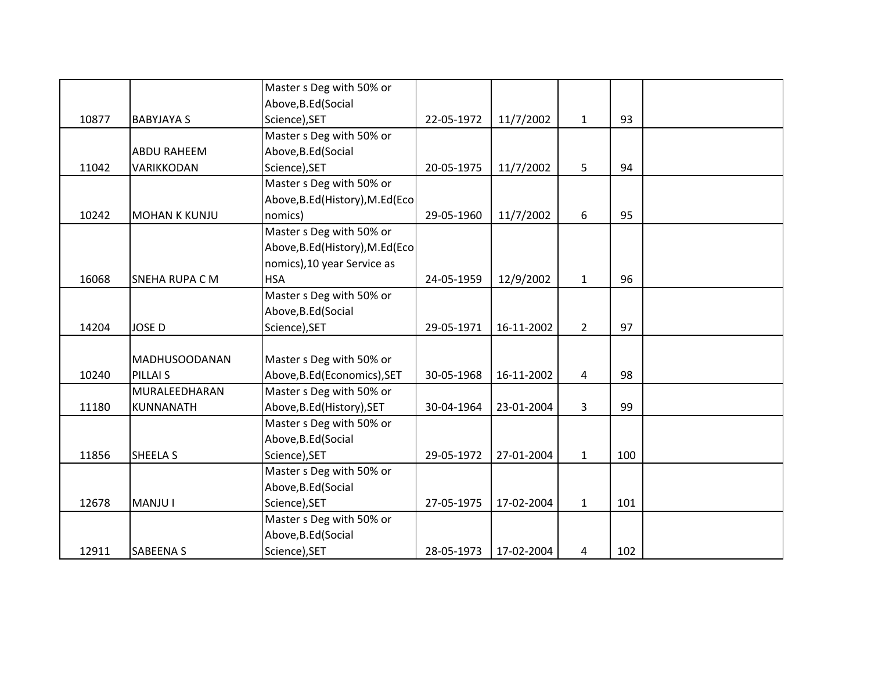|       |                      | Master s Deg with 50% or         |            |            |                |     |  |
|-------|----------------------|----------------------------------|------------|------------|----------------|-----|--|
|       |                      | Above, B.Ed (Social              |            |            |                |     |  |
| 10877 | <b>BABYJAYA S</b>    | Science), SET                    | 22-05-1972 | 11/7/2002  | $\mathbf{1}$   | 93  |  |
|       |                      | Master s Deg with 50% or         |            |            |                |     |  |
|       | <b>ABDU RAHEEM</b>   | Above, B.Ed (Social              |            |            |                |     |  |
| 11042 | VARIKKODAN           | Science), SET                    | 20-05-1975 | 11/7/2002  | 5              | 94  |  |
|       |                      | Master s Deg with 50% or         |            |            |                |     |  |
|       |                      | Above, B.Ed (History), M.Ed (Eco |            |            |                |     |  |
| 10242 | <b>MOHAN K KUNJU</b> | nomics)                          | 29-05-1960 | 11/7/2002  | 6              | 95  |  |
|       |                      | Master s Deg with 50% or         |            |            |                |     |  |
|       |                      | Above, B.Ed (History), M.Ed (Eco |            |            |                |     |  |
|       |                      | nomics), 10 year Service as      |            |            |                |     |  |
| 16068 | SNEHA RUPA C M       | <b>HSA</b>                       | 24-05-1959 | 12/9/2002  | $\mathbf{1}$   | 96  |  |
|       |                      | Master s Deg with 50% or         |            |            |                |     |  |
|       |                      | Above, B.Ed (Social              |            |            |                |     |  |
| 14204 | <b>JOSE D</b>        | Science), SET                    | 29-05-1971 | 16-11-2002 | $\overline{2}$ | 97  |  |
|       |                      |                                  |            |            |                |     |  |
|       | <b>MADHUSOODANAN</b> | Master s Deg with 50% or         |            |            |                |     |  |
| 10240 | PILLAI <sub>S</sub>  | Above, B.Ed (Economics), SET     | 30-05-1968 | 16-11-2002 | $\overline{4}$ | 98  |  |
|       | MURALEEDHARAN        | Master s Deg with 50% or         |            |            |                |     |  |
| 11180 | KUNNANATH            | Above, B.Ed (History), SET       | 30-04-1964 | 23-01-2004 | 3              | 99  |  |
|       |                      | Master s Deg with 50% or         |            |            |                |     |  |
|       |                      | Above, B.Ed (Social              |            |            |                |     |  |
| 11856 | <b>SHEELA S</b>      | Science), SET                    | 29-05-1972 | 27-01-2004 | $\mathbf{1}$   | 100 |  |
|       |                      | Master s Deg with 50% or         |            |            |                |     |  |
|       |                      | Above, B.Ed (Social              |            |            |                |     |  |
| 12678 | <b>MANJU I</b>       | Science), SET                    | 27-05-1975 | 17-02-2004 | $\mathbf{1}$   | 101 |  |
|       |                      | Master s Deg with 50% or         |            |            |                |     |  |
|       |                      | Above, B.Ed (Social              |            |            |                |     |  |
| 12911 | SABEENA S            | Science), SET                    | 28-05-1973 | 17-02-2004 | 4              | 102 |  |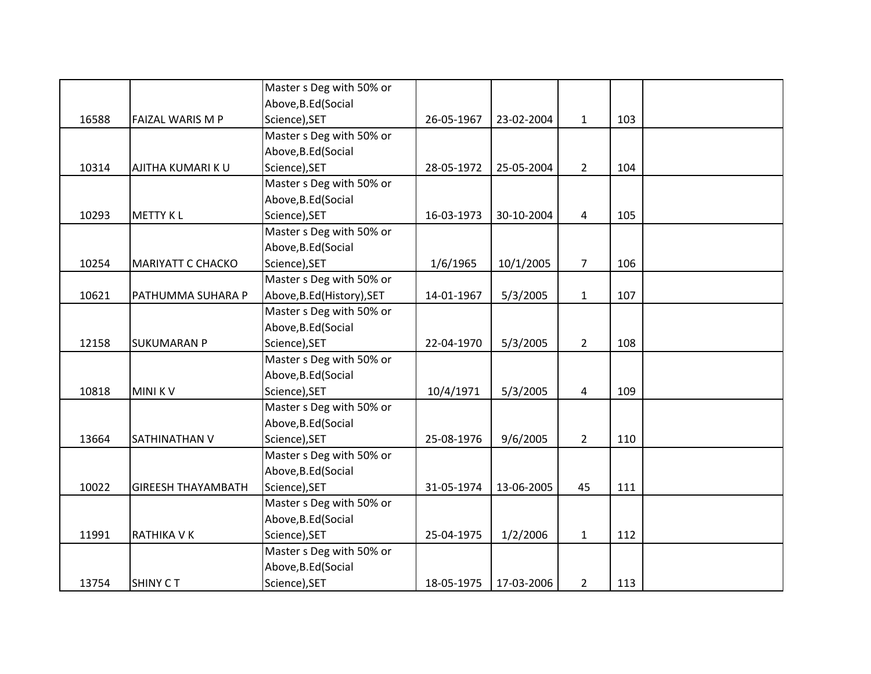|       |                           | Master s Deg with 50% or   |            |            |                |     |  |
|-------|---------------------------|----------------------------|------------|------------|----------------|-----|--|
|       |                           | Above, B.Ed (Social        |            |            |                |     |  |
| 16588 | FAIZAL WARIS M P          | Science), SET              | 26-05-1967 | 23-02-2004 | $\mathbf{1}$   | 103 |  |
|       |                           | Master s Deg with 50% or   |            |            |                |     |  |
|       |                           | Above, B.Ed (Social        |            |            |                |     |  |
| 10314 | AJITHA KUMARI KU          | Science), SET              | 28-05-1972 | 25-05-2004 | $\overline{2}$ | 104 |  |
|       |                           | Master s Deg with 50% or   |            |            |                |     |  |
|       |                           | Above, B.Ed (Social        |            |            |                |     |  |
| 10293 | <b>METTY KL</b>           | Science), SET              | 16-03-1973 | 30-10-2004 | 4              | 105 |  |
|       |                           | Master s Deg with 50% or   |            |            |                |     |  |
|       |                           | Above, B.Ed (Social        |            |            |                |     |  |
| 10254 | <b>MARIYATT C CHACKO</b>  | Science), SET              | 1/6/1965   | 10/1/2005  | $\overline{7}$ | 106 |  |
|       |                           | Master s Deg with 50% or   |            |            |                |     |  |
| 10621 | PATHUMMA SUHARA P         | Above, B.Ed (History), SET | 14-01-1967 | 5/3/2005   | $\mathbf{1}$   | 107 |  |
|       |                           | Master s Deg with 50% or   |            |            |                |     |  |
|       |                           | Above, B.Ed (Social        |            |            |                |     |  |
| 12158 | <b>SUKUMARAN P</b>        | Science), SET              | 22-04-1970 | 5/3/2005   | $\overline{2}$ | 108 |  |
|       |                           | Master s Deg with 50% or   |            |            |                |     |  |
|       |                           | Above, B.Ed (Social        |            |            |                |     |  |
| 10818 | <b>MINIKV</b>             | Science), SET              | 10/4/1971  | 5/3/2005   | 4              | 109 |  |
|       |                           | Master s Deg with 50% or   |            |            |                |     |  |
|       |                           | Above, B.Ed (Social        |            |            |                |     |  |
| 13664 | SATHINATHAN V             | Science), SET              | 25-08-1976 | 9/6/2005   | $\overline{2}$ | 110 |  |
|       |                           | Master s Deg with 50% or   |            |            |                |     |  |
|       |                           | Above, B.Ed (Social        |            |            |                |     |  |
| 10022 | <b>GIREESH THAYAMBATH</b> | Science), SET              | 31-05-1974 | 13-06-2005 | 45             | 111 |  |
|       |                           | Master s Deg with 50% or   |            |            |                |     |  |
|       |                           | Above, B.Ed (Social        |            |            |                |     |  |
| 11991 | RATHIKA V K               | Science), SET              | 25-04-1975 | 1/2/2006   | $\mathbf{1}$   | 112 |  |
|       |                           | Master s Deg with 50% or   |            |            |                |     |  |
|       |                           | Above, B.Ed (Social        |            |            |                |     |  |
| 13754 | <b>SHINY CT</b>           | Science), SET              | 18-05-1975 | 17-03-2006 | $\overline{2}$ | 113 |  |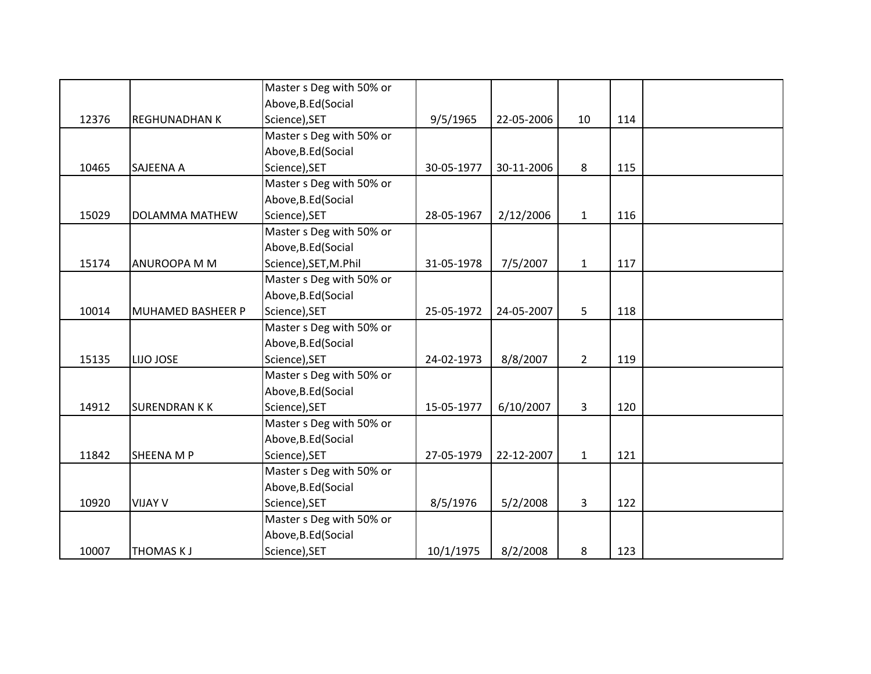|       |                      | Master s Deg with 50% or |            |            |                |     |  |
|-------|----------------------|--------------------------|------------|------------|----------------|-----|--|
|       |                      | Above, B.Ed (Social      |            |            |                |     |  |
| 12376 | <b>REGHUNADHAN K</b> | Science), SET            | 9/5/1965   | 22-05-2006 | 10             | 114 |  |
|       |                      | Master s Deg with 50% or |            |            |                |     |  |
|       |                      | Above, B.Ed (Social      |            |            |                |     |  |
| 10465 | <b>SAJEENA A</b>     | Science), SET            | 30-05-1977 | 30-11-2006 | 8              | 115 |  |
|       |                      | Master s Deg with 50% or |            |            |                |     |  |
|       |                      | Above, B.Ed (Social      |            |            |                |     |  |
| 15029 | DOLAMMA MATHEW       | Science), SET            | 28-05-1967 | 2/12/2006  | $\mathbf{1}$   | 116 |  |
|       |                      | Master s Deg with 50% or |            |            |                |     |  |
|       |                      | Above, B.Ed (Social      |            |            |                |     |  |
| 15174 | <b>ANUROOPA M M</b>  | Science), SET, M.Phil    | 31-05-1978 | 7/5/2007   | $\mathbf{1}$   | 117 |  |
|       |                      | Master s Deg with 50% or |            |            |                |     |  |
|       |                      | Above, B.Ed (Social      |            |            |                |     |  |
| 10014 | MUHAMED BASHEER P    | Science), SET            | 25-05-1972 | 24-05-2007 | 5              | 118 |  |
|       |                      | Master s Deg with 50% or |            |            |                |     |  |
|       |                      | Above, B.Ed (Social      |            |            |                |     |  |
| 15135 | LIJO JOSE            | Science), SET            | 24-02-1973 | 8/8/2007   | $\overline{2}$ | 119 |  |
|       |                      | Master s Deg with 50% or |            |            |                |     |  |
|       |                      | Above, B.Ed (Social      |            |            |                |     |  |
| 14912 | <b>SURENDRAN KK</b>  | Science), SET            | 15-05-1977 | 6/10/2007  | 3              | 120 |  |
|       |                      | Master s Deg with 50% or |            |            |                |     |  |
|       |                      | Above, B.Ed (Social      |            |            |                |     |  |
| 11842 | <b>SHEENA M P</b>    | Science), SET            | 27-05-1979 | 22-12-2007 | $\mathbf{1}$   | 121 |  |
|       |                      | Master s Deg with 50% or |            |            |                |     |  |
|       |                      | Above, B.Ed (Social      |            |            |                |     |  |
| 10920 | <b>VIJAY V</b>       | Science), SET            | 8/5/1976   | 5/2/2008   | 3              | 122 |  |
|       |                      | Master s Deg with 50% or |            |            |                |     |  |
|       |                      | Above, B.Ed (Social      |            |            |                |     |  |
| 10007 | <b>THOMAS KJ</b>     | Science), SET            | 10/1/1975  | 8/2/2008   | 8              | 123 |  |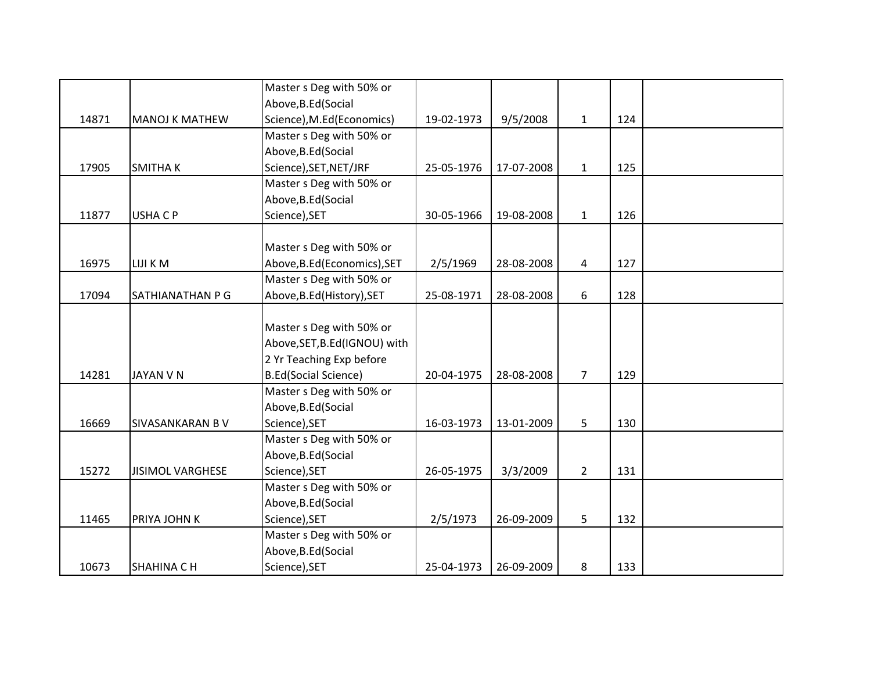|       |                         | Master s Deg with 50% or      |            |            |                |     |  |
|-------|-------------------------|-------------------------------|------------|------------|----------------|-----|--|
|       |                         | Above, B.Ed (Social           |            |            |                |     |  |
| 14871 | <b>MANOJ K MATHEW</b>   | Science), M.Ed(Economics)     | 19-02-1973 | 9/5/2008   | $\mathbf{1}$   | 124 |  |
|       |                         | Master s Deg with 50% or      |            |            |                |     |  |
|       |                         | Above, B.Ed (Social           |            |            |                |     |  |
| 17905 | <b>SMITHAK</b>          | Science), SET, NET/JRF        | 25-05-1976 | 17-07-2008 | $\mathbf{1}$   | 125 |  |
|       |                         | Master s Deg with 50% or      |            |            |                |     |  |
|       |                         | Above, B.Ed (Social           |            |            |                |     |  |
| 11877 | <b>USHACP</b>           | Science), SET                 | 30-05-1966 | 19-08-2008 | $\mathbf{1}$   | 126 |  |
|       |                         |                               |            |            |                |     |  |
|       |                         | Master s Deg with 50% or      |            |            |                |     |  |
| 16975 | LIJI K M                | Above, B.Ed (Economics), SET  | 2/5/1969   | 28-08-2008 | 4              | 127 |  |
|       |                         | Master s Deg with 50% or      |            |            |                |     |  |
| 17094 | SATHIANATHAN P G        | Above, B.Ed (History), SET    | 25-08-1971 | 28-08-2008 | 6              | 128 |  |
|       |                         |                               |            |            |                |     |  |
|       |                         | Master s Deg with 50% or      |            |            |                |     |  |
|       |                         | Above, SET, B.Ed (IGNOU) with |            |            |                |     |  |
|       |                         | 2 Yr Teaching Exp before      |            |            |                |     |  |
| 14281 | <b>JAYAN V N</b>        | <b>B.Ed(Social Science)</b>   | 20-04-1975 | 28-08-2008 | $\overline{7}$ | 129 |  |
|       |                         | Master s Deg with 50% or      |            |            |                |     |  |
|       |                         | Above, B.Ed (Social           |            |            |                |     |  |
| 16669 | <b>SIVASANKARAN B V</b> | Science), SET                 | 16-03-1973 | 13-01-2009 | 5              | 130 |  |
|       |                         | Master s Deg with 50% or      |            |            |                |     |  |
|       |                         | Above, B.Ed (Social           |            |            |                |     |  |
| 15272 | <b>JISIMOL VARGHESE</b> | Science), SET                 | 26-05-1975 | 3/3/2009   | $2^{\circ}$    | 131 |  |
|       |                         | Master s Deg with 50% or      |            |            |                |     |  |
|       |                         | Above, B.Ed (Social           |            |            |                |     |  |
| 11465 | PRIYA JOHN K            | Science), SET                 | 2/5/1973   | 26-09-2009 | 5              | 132 |  |
|       |                         | Master s Deg with 50% or      |            |            |                |     |  |
|       |                         | Above, B.Ed (Social           |            |            |                |     |  |
| 10673 | <b>SHAHINA CH</b>       | Science), SET                 | 25-04-1973 | 26-09-2009 | 8              | 133 |  |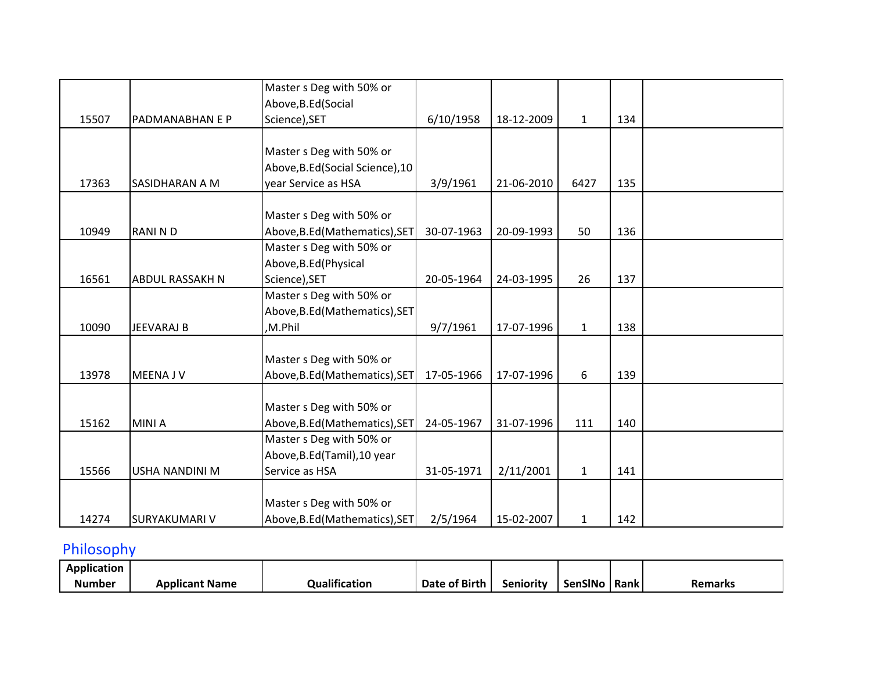|       |                        | Master s Deg with 50% or         |            |            |              |     |  |
|-------|------------------------|----------------------------------|------------|------------|--------------|-----|--|
|       |                        | Above, B.Ed (Social              |            |            |              |     |  |
| 15507 | PADMANABHAN E P        | Science), SET                    | 6/10/1958  | 18-12-2009 | $\mathbf{1}$ | 134 |  |
|       |                        |                                  |            |            |              |     |  |
|       |                        | Master s Deg with 50% or         |            |            |              |     |  |
|       |                        | Above, B.Ed (Social Science), 10 |            |            |              |     |  |
| 17363 | SASIDHARAN A M         | year Service as HSA              | 3/9/1961   | 21-06-2010 | 6427         | 135 |  |
|       |                        |                                  |            |            |              |     |  |
|       |                        | Master s Deg with 50% or         |            |            |              |     |  |
| 10949 | <b>RANIND</b>          | Above, B.Ed (Mathematics), SET   | 30-07-1963 | 20-09-1993 | 50           | 136 |  |
|       |                        | Master s Deg with 50% or         |            |            |              |     |  |
|       |                        | Above, B.Ed (Physical            |            |            |              |     |  |
| 16561 | <b>ABDUL RASSAKH N</b> | Science), SET                    | 20-05-1964 | 24-03-1995 | 26           | 137 |  |
|       |                        | Master s Deg with 50% or         |            |            |              |     |  |
|       |                        | Above, B.Ed (Mathematics), SET   |            |            |              |     |  |
| 10090 | <b>JEEVARAJ B</b>      | ,M.Phil                          | 9/7/1961   | 17-07-1996 | $\mathbf{1}$ | 138 |  |
|       |                        |                                  |            |            |              |     |  |
|       |                        | Master s Deg with 50% or         |            |            |              |     |  |
| 13978 | <b>MEENAJV</b>         | Above, B.Ed (Mathematics), SET   | 17-05-1966 | 17-07-1996 | 6            | 139 |  |
|       |                        |                                  |            |            |              |     |  |
|       |                        | Master s Deg with 50% or         |            |            |              |     |  |
| 15162 | <b>MINIA</b>           | Above, B.Ed (Mathematics), SET   | 24-05-1967 | 31-07-1996 | 111          | 140 |  |
|       |                        | Master s Deg with 50% or         |            |            |              |     |  |
|       |                        | Above, B.Ed (Tamil), 10 year     |            |            |              |     |  |
| 15566 | USHA NANDINI M         | Service as HSA                   | 31-05-1971 | 2/11/2001  | $\mathbf{1}$ | 141 |  |
|       |                        |                                  |            |            |              |     |  |
|       |                        | Master s Deg with 50% or         |            |            |              |     |  |
| 14274 | SURYAKUMARI V          | Above, B.Ed (Mathematics), SET   | 2/5/1964   | 15-02-2007 | $\mathbf{1}$ | 142 |  |

# Philosophy

| <br>Application |                       |                           |               |                  |         |      |                |
|-----------------|-----------------------|---------------------------|---------------|------------------|---------|------|----------------|
| <b>Number</b>   | <b>Applicant Name</b> | $\cdots$<br>Qualification | Date of Birth | . .<br>Senioritv | SenSINo | Rank | <b>Remarks</b> |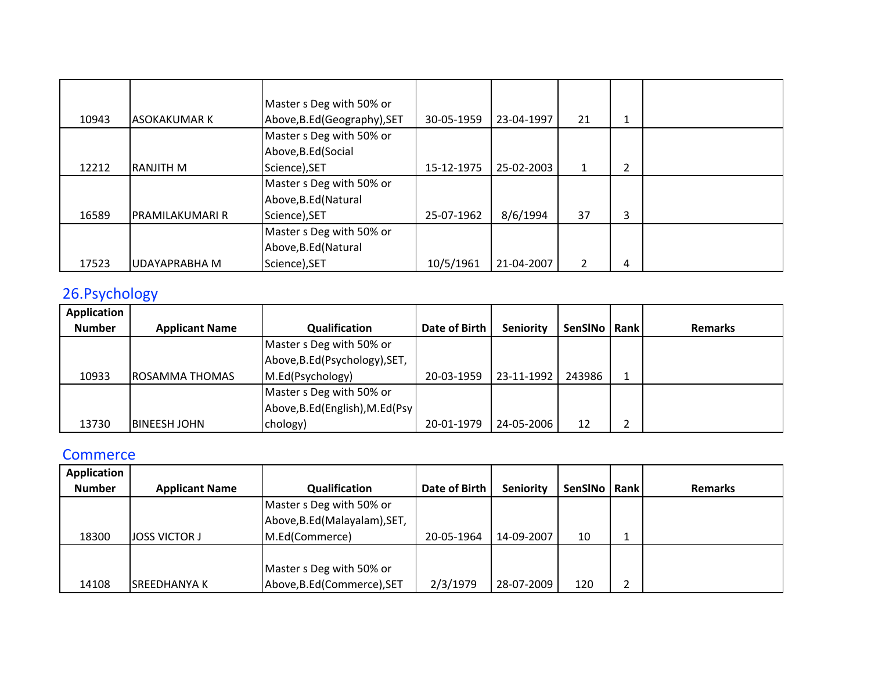|       |                     | Master s Deg with 50% or     |            |            |              |   |  |
|-------|---------------------|------------------------------|------------|------------|--------------|---|--|
| 10943 | <b>ASOKAKUMAR K</b> | Above, B.Ed (Geography), SET | 30-05-1959 | 23-04-1997 | 21           | 1 |  |
|       |                     | Master s Deg with 50% or     |            |            |              |   |  |
|       |                     | Above, B.Ed (Social          |            |            |              |   |  |
| 12212 | <b>RANJITH M</b>    | Science), SET                | 15-12-1975 | 25-02-2003 | $\mathbf{1}$ | 2 |  |
|       |                     | Master s Deg with 50% or     |            |            |              |   |  |
|       |                     | Above, B.Ed (Natural         |            |            |              |   |  |
| 16589 | IPRAMILAKUMARI R    | Science), SET                | 25-07-1962 | 8/6/1994   | 37           | 3 |  |
|       |                     | Master s Deg with 50% or     |            |            |              |   |  |
|       |                     | Above, B.Ed (Natural         |            |            |              |   |  |
| 17523 | UDAYAPRABHA M       | Science), SET                | 10/5/1961  | 21-04-2007 | 2            | 4 |  |

## 26.Psychology

| Application   |                       |                                  |               |                  |                |        |                |
|---------------|-----------------------|----------------------------------|---------------|------------------|----------------|--------|----------------|
| <b>Number</b> | <b>Applicant Name</b> | Qualification                    | Date of Birth | <b>Seniority</b> | SenSINo   Rank |        | <b>Remarks</b> |
|               |                       | Master s Deg with 50% or         |               |                  |                |        |                |
|               |                       | Above, B.Ed (Psychology), SET,   |               |                  |                |        |                |
| 10933         | ROSAMMA THOMAS        | M.Ed(Psychology)                 | 20-03-1959    | 23-11-1992       | 243986         |        |                |
|               |                       | Master s Deg with 50% or         |               |                  |                |        |                |
|               |                       | Above, B.Ed (English), M.Ed (Psy |               |                  |                |        |                |
| 13730         | IBINEESH JOHN         | chology)                         | 20-01-1979    | 24-05-2006       | 12             | ◠<br>← |                |

## **Commerce**

| Application   |                       |                               |               |            |                |        |                |
|---------------|-----------------------|-------------------------------|---------------|------------|----------------|--------|----------------|
| <b>Number</b> | <b>Applicant Name</b> | Qualification                 | Date of Birth | Seniority  | <b>SenSINo</b> | l Rank | <b>Remarks</b> |
|               |                       | Master s Deg with 50% or      |               |            |                |        |                |
|               |                       | Above, B.Ed (Malayalam), SET, |               |            |                |        |                |
| 18300         | <b>JOSS VICTOR J</b>  | M.Ed(Commerce)                | 20-05-1964    | 14-09-2007 | 10             |        |                |
|               |                       |                               |               |            |                |        |                |
|               |                       | Master s Deg with 50% or      |               |            |                |        |                |
| 14108         | ISREEDHANYA K         | Above, B.Ed (Commerce), SET   | 2/3/1979      | 28-07-2009 | 120            | ำ<br>∼ |                |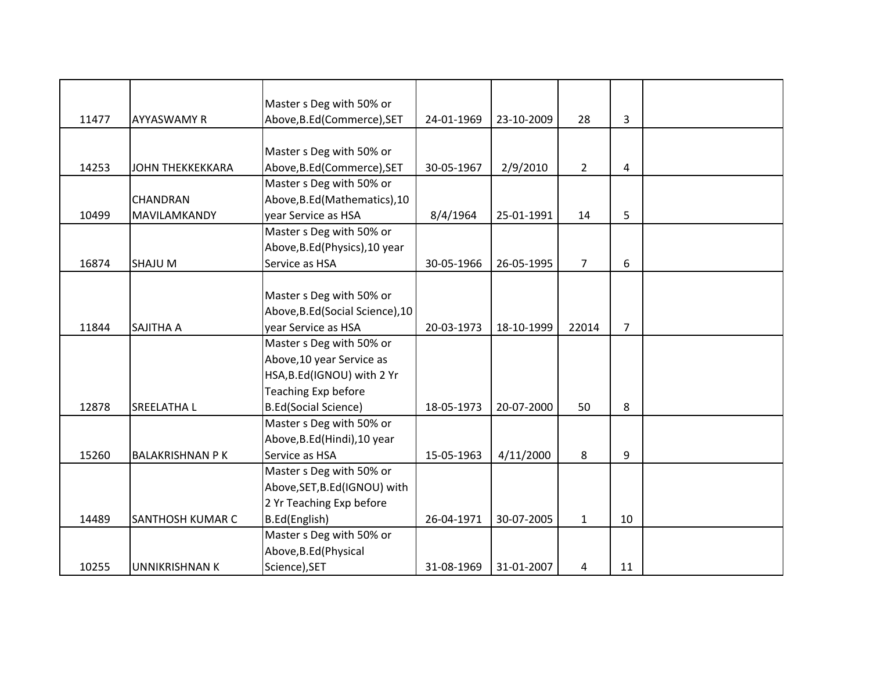|       |                         | Master s Deg with 50% or         |            |            |                |                |  |
|-------|-------------------------|----------------------------------|------------|------------|----------------|----------------|--|
| 11477 | <b>AYYASWAMY R</b>      | Above, B.Ed (Commerce), SET      | 24-01-1969 | 23-10-2009 | 28             | 3              |  |
|       |                         |                                  |            |            |                |                |  |
|       |                         | Master s Deg with 50% or         |            |            |                |                |  |
| 14253 | <b>JOHN THEKKEKKARA</b> | Above, B.Ed (Commerce), SET      | 30-05-1967 | 2/9/2010   | $\overline{2}$ | 4              |  |
|       |                         | Master s Deg with 50% or         |            |            |                |                |  |
|       | <b>CHANDRAN</b>         | Above, B.Ed (Mathematics), 10    |            |            |                |                |  |
| 10499 | MAVILAMKANDY            | year Service as HSA              | 8/4/1964   | 25-01-1991 | 14             | 5              |  |
|       |                         | Master s Deg with 50% or         |            |            |                |                |  |
|       |                         | Above, B.Ed (Physics), 10 year   |            |            |                |                |  |
| 16874 | <b>SHAJU M</b>          | Service as HSA                   | 30-05-1966 | 26-05-1995 | $\overline{7}$ | 6              |  |
|       |                         |                                  |            |            |                |                |  |
|       |                         | Master s Deg with 50% or         |            |            |                |                |  |
|       |                         | Above, B.Ed (Social Science), 10 |            |            |                |                |  |
| 11844 | <b>SAJITHA A</b>        | vear Service as HSA              | 20-03-1973 | 18-10-1999 | 22014          | $\overline{7}$ |  |
|       |                         | Master s Deg with 50% or         |            |            |                |                |  |
|       |                         | Above, 10 year Service as        |            |            |                |                |  |
|       |                         | HSA, B.Ed(IGNOU) with 2 Yr       |            |            |                |                |  |
|       |                         | Teaching Exp before              |            |            |                |                |  |
| 12878 | <b>SREELATHAL</b>       | <b>B.Ed(Social Science)</b>      | 18-05-1973 | 20-07-2000 | 50             | 8              |  |
|       |                         | Master s Deg with 50% or         |            |            |                |                |  |
|       |                         | Above, B.Ed (Hindi), 10 year     |            |            |                |                |  |
| 15260 | <b>BALAKRISHNAN P K</b> | Service as HSA                   | 15-05-1963 | 4/11/2000  | 8              | 9              |  |
|       |                         | Master s Deg with 50% or         |            |            |                |                |  |
|       |                         | Above, SET, B.Ed (IGNOU) with    |            |            |                |                |  |
|       |                         | 2 Yr Teaching Exp before         |            |            |                |                |  |
| 14489 | SANTHOSH KUMAR C        | B.Ed(English)                    | 26-04-1971 | 30-07-2005 | $\mathbf{1}$   | 10             |  |
|       |                         | Master s Deg with 50% or         |            |            |                |                |  |
|       |                         | Above, B.Ed (Physical            |            |            |                |                |  |
| 10255 | <b>UNNIKRISHNAN K</b>   | Science), SET                    | 31-08-1969 | 31-01-2007 | 4              | 11             |  |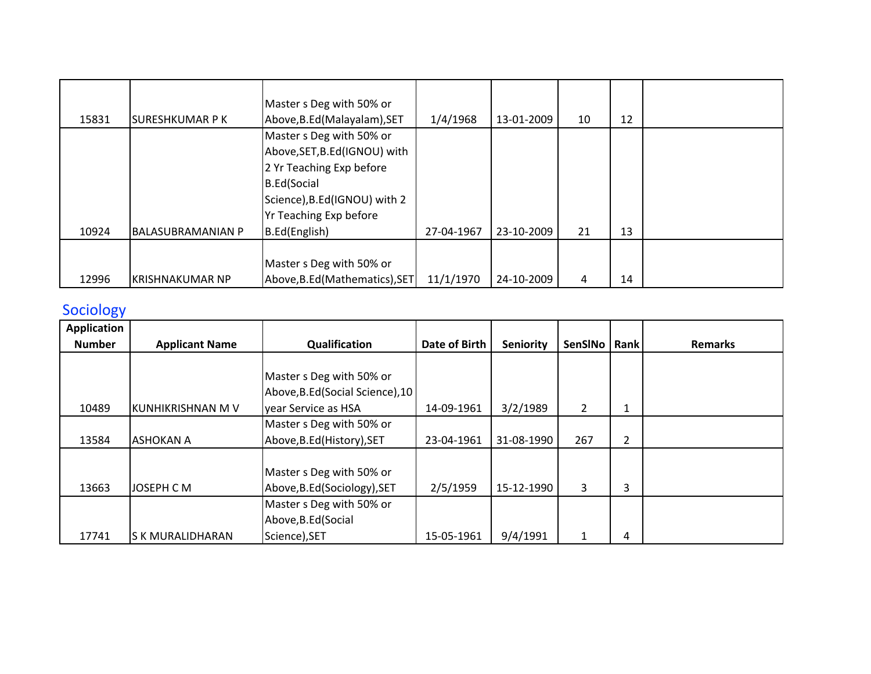| 15831 | <b>SURESHKUMAR P K</b>   | Master s Deg with 50% or<br>Above, B.Ed (Malayalam), SET                                                                                                               | 1/4/1968   | 13-01-2009 | 10 | 12 |  |
|-------|--------------------------|------------------------------------------------------------------------------------------------------------------------------------------------------------------------|------------|------------|----|----|--|
|       |                          | Master s Deg with 50% or<br>Above, SET, B.Ed (IGNOU) with<br>2 Yr Teaching Exp before<br><b>B.Ed</b> (Social<br>Science), B.Ed(IGNOU) with 2<br>Yr Teaching Exp before |            |            |    |    |  |
| 10924 | <b>BALASUBRAMANIAN P</b> | B.Ed(English)                                                                                                                                                          | 27-04-1967 | 23-10-2009 | 21 | 13 |  |
| 12996 | <b>KRISHNAKUMAR NP</b>   | Master s Deg with 50% or<br>Above, B.Ed (Mathematics), SET                                                                                                             | 11/1/1970  | 24-10-2009 | 4  | 14 |  |

## **Sociology**

| <b>Application</b> |                       |                                  |               |                  |                |   |                |
|--------------------|-----------------------|----------------------------------|---------------|------------------|----------------|---|----------------|
| <b>Number</b>      | <b>Applicant Name</b> | Qualification                    | Date of Birth | <b>Seniority</b> | SenSINo   Rank |   | <b>Remarks</b> |
|                    |                       |                                  |               |                  |                |   |                |
|                    |                       | Master s Deg with 50% or         |               |                  |                |   |                |
|                    |                       | Above, B.Ed (Social Science), 10 |               |                  |                |   |                |
| 10489              | KUNHIKRISHNAN M V     | year Service as HSA              | 14-09-1961    | 3/2/1989         | $\overline{2}$ | 1 |                |
|                    |                       | Master s Deg with 50% or         |               |                  |                |   |                |
| 13584              | <b>ASHOKAN A</b>      | Above, B.Ed (History), SET       | 23-04-1961    | 31-08-1990       | 267            | 2 |                |
|                    |                       |                                  |               |                  |                |   |                |
|                    |                       | Master s Deg with 50% or         |               |                  |                |   |                |
| 13663              | JOSEPH C M            | Above, B.Ed (Sociology), SET     | 2/5/1959      | 15-12-1990       | 3              | 3 |                |
|                    |                       | Master s Deg with 50% or         |               |                  |                |   |                |
|                    |                       | Above, B.Ed (Social              |               |                  |                |   |                |
| 17741              | S K MURALIDHARAN      | Science), SET                    | 15-05-1961    | 9/4/1991         | 1              | 4 |                |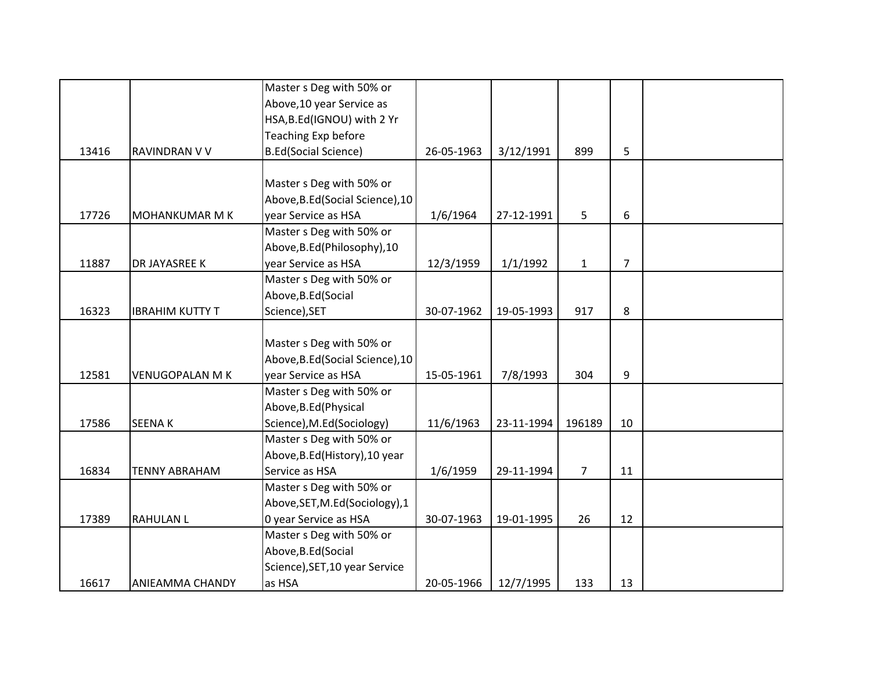|       |                        | Master s Deg with 50% or         |            |            |                |                |  |
|-------|------------------------|----------------------------------|------------|------------|----------------|----------------|--|
|       |                        | Above, 10 year Service as        |            |            |                |                |  |
|       |                        | HSA, B.Ed(IGNOU) with 2 Yr       |            |            |                |                |  |
|       |                        | Teaching Exp before              |            |            |                |                |  |
| 13416 | RAVINDRAN V V          | <b>B.Ed(Social Science)</b>      | 26-05-1963 | 3/12/1991  | 899            | 5              |  |
|       |                        |                                  |            |            |                |                |  |
|       |                        | Master s Deg with 50% or         |            |            |                |                |  |
|       |                        | Above, B.Ed (Social Science), 10 |            |            |                |                |  |
| 17726 | MOHANKUMAR M K         | year Service as HSA              | 1/6/1964   | 27-12-1991 | 5              | 6              |  |
|       |                        | Master s Deg with 50% or         |            |            |                |                |  |
|       |                        | Above, B.Ed (Philosophy), 10     |            |            |                |                |  |
| 11887 | DR JAYASREE K          | year Service as HSA              | 12/3/1959  | 1/1/1992   | $\mathbf{1}$   | $\overline{7}$ |  |
|       |                        | Master s Deg with 50% or         |            |            |                |                |  |
|       |                        | Above, B.Ed (Social              |            |            |                |                |  |
| 16323 | <b>IBRAHIM KUTTY T</b> | Science), SET                    | 30-07-1962 | 19-05-1993 | 917            | 8              |  |
|       |                        |                                  |            |            |                |                |  |
|       |                        | Master s Deg with 50% or         |            |            |                |                |  |
|       |                        | Above, B.Ed (Social Science), 10 |            |            |                |                |  |
| 12581 | <b>VENUGOPALAN M K</b> | year Service as HSA              | 15-05-1961 | 7/8/1993   | 304            | 9              |  |
|       |                        | Master s Deg with 50% or         |            |            |                |                |  |
|       |                        | Above, B.Ed (Physical            |            |            |                |                |  |
| 17586 | <b>SEENAK</b>          | Science), M.Ed(Sociology)        | 11/6/1963  | 23-11-1994 | 196189         | 10             |  |
|       |                        | Master s Deg with 50% or         |            |            |                |                |  |
|       |                        | Above, B.Ed (History), 10 year   |            |            |                |                |  |
| 16834 | <b>TENNY ABRAHAM</b>   | Service as HSA                   | 1/6/1959   | 29-11-1994 | $\overline{7}$ | 11             |  |
|       |                        | Master s Deg with 50% or         |            |            |                |                |  |
|       |                        | Above, SET, M.Ed (Sociology), 1  |            |            |                |                |  |
| 17389 | <b>RAHULAN L</b>       | 0 year Service as HSA            | 30-07-1963 | 19-01-1995 | 26             | 12             |  |
|       |                        | Master s Deg with 50% or         |            |            |                |                |  |
|       |                        | Above, B.Ed (Social              |            |            |                |                |  |
|       |                        | Science), SET, 10 year Service   |            |            |                |                |  |
| 16617 | ANIEAMMA CHANDY        | as HSA                           | 20-05-1966 | 12/7/1995  | 133            | 13             |  |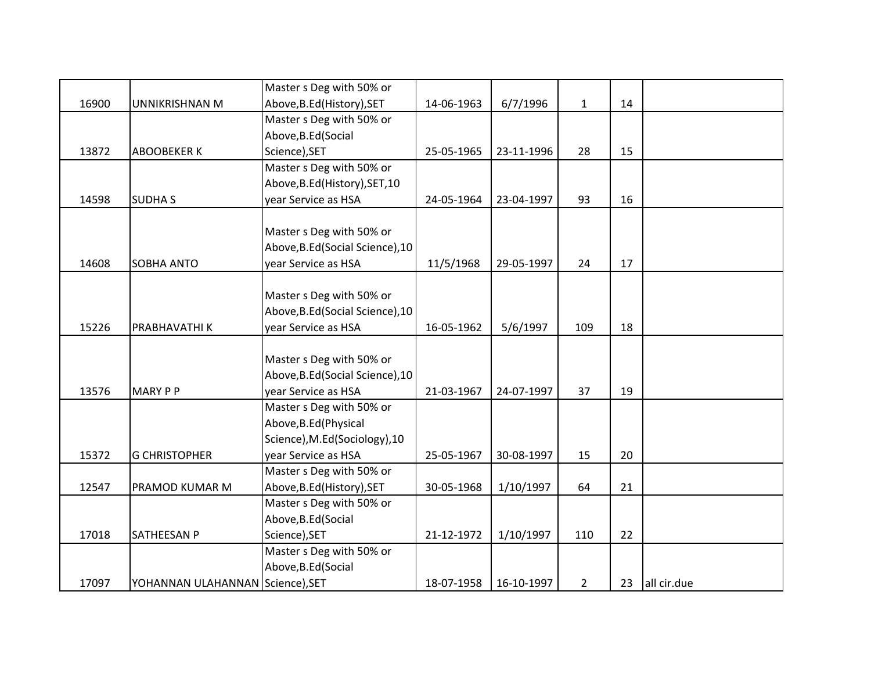|       |                                  | Master s Deg with 50% or         |            |            |                |    |             |
|-------|----------------------------------|----------------------------------|------------|------------|----------------|----|-------------|
| 16900 | UNNIKRISHNAN M                   | Above, B.Ed (History), SET       | 14-06-1963 | 6/7/1996   | $\mathbf{1}$   | 14 |             |
|       |                                  | Master s Deg with 50% or         |            |            |                |    |             |
|       |                                  | Above, B.Ed (Social              |            |            |                |    |             |
| 13872 | <b>ABOOBEKER K</b>               | Science), SET                    | 25-05-1965 | 23-11-1996 | 28             | 15 |             |
|       |                                  | Master s Deg with 50% or         |            |            |                |    |             |
|       |                                  | Above, B.Ed (History), SET, 10   |            |            |                |    |             |
| 14598 | <b>SUDHAS</b>                    | year Service as HSA              | 24-05-1964 | 23-04-1997 | 93             | 16 |             |
|       |                                  |                                  |            |            |                |    |             |
|       |                                  | Master s Deg with 50% or         |            |            |                |    |             |
|       |                                  | Above, B.Ed (Social Science), 10 |            |            |                |    |             |
| 14608 | SOBHA ANTO                       | year Service as HSA              | 11/5/1968  | 29-05-1997 | 24             | 17 |             |
|       |                                  |                                  |            |            |                |    |             |
|       |                                  | Master s Deg with 50% or         |            |            |                |    |             |
|       |                                  | Above, B.Ed (Social Science), 10 |            |            |                |    |             |
| 15226 | PRABHAVATHI K                    | year Service as HSA              | 16-05-1962 | 5/6/1997   | 109            | 18 |             |
|       |                                  |                                  |            |            |                |    |             |
|       |                                  | Master s Deg with 50% or         |            |            |                |    |             |
|       |                                  | Above, B.Ed (Social Science), 10 |            |            |                |    |             |
| 13576 | <b>MARY P P</b>                  | year Service as HSA              | 21-03-1967 | 24-07-1997 | 37             | 19 |             |
|       |                                  | Master s Deg with 50% or         |            |            |                |    |             |
|       |                                  | Above, B.Ed (Physical            |            |            |                |    |             |
|       |                                  | Science), M.Ed(Sociology), 10    |            |            |                |    |             |
| 15372 | <b>G CHRISTOPHER</b>             | year Service as HSA              | 25-05-1967 | 30-08-1997 | 15             | 20 |             |
|       |                                  | Master s Deg with 50% or         |            |            |                |    |             |
| 12547 | PRAMOD KUMAR M                   | Above, B.Ed (History), SET       | 30-05-1968 | 1/10/1997  | 64             | 21 |             |
|       |                                  | Master s Deg with 50% or         |            |            |                |    |             |
|       |                                  | Above, B.Ed (Social              |            |            |                |    |             |
| 17018 | <b>SATHEESAN P</b>               | Science), SET                    | 21-12-1972 | 1/10/1997  | 110            | 22 |             |
|       |                                  | Master s Deg with 50% or         |            |            |                |    |             |
|       |                                  | Above, B.Ed (Social              |            |            |                |    |             |
| 17097 | YOHANNAN ULAHANNAN Science), SET |                                  | 18-07-1958 | 16-10-1997 | $\overline{2}$ | 23 | all cir.due |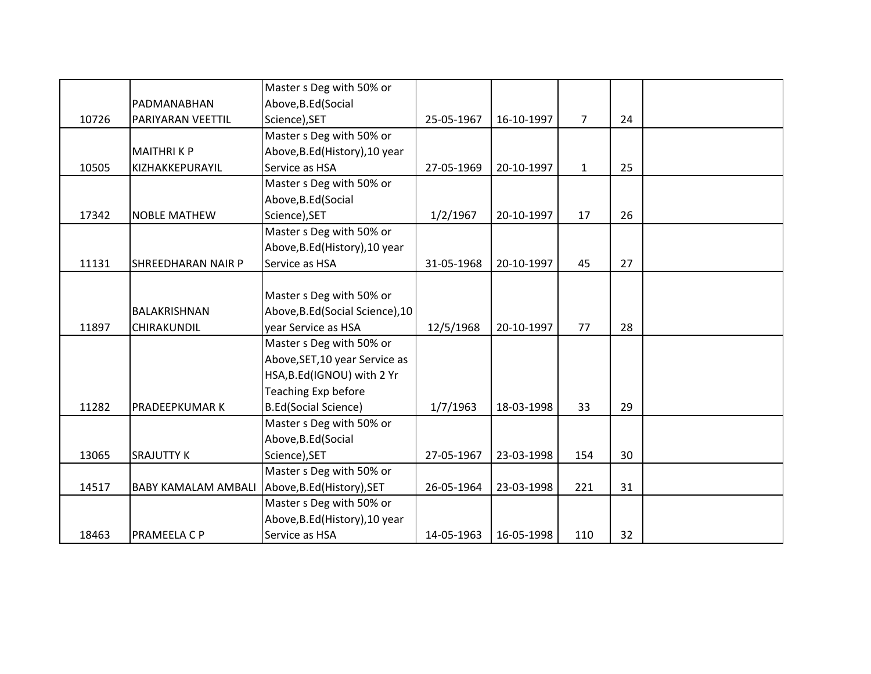|       |                            | Master s Deg with 50% or         |            |            |                |    |  |
|-------|----------------------------|----------------------------------|------------|------------|----------------|----|--|
|       | PADMANABHAN                | Above, B.Ed (Social              |            |            |                |    |  |
| 10726 | PARIYARAN VEETTIL          | Science), SET                    | 25-05-1967 | 16-10-1997 | $\overline{7}$ | 24 |  |
|       |                            | Master s Deg with 50% or         |            |            |                |    |  |
|       | <b>MAITHRIKP</b>           | Above, B.Ed (History), 10 year   |            |            |                |    |  |
| 10505 | KIZHAKKEPURAYIL            | Service as HSA                   | 27-05-1969 | 20-10-1997 | $\mathbf{1}$   | 25 |  |
|       |                            | Master s Deg with 50% or         |            |            |                |    |  |
|       |                            | Above, B.Ed (Social              |            |            |                |    |  |
| 17342 | <b>NOBLE MATHEW</b>        | Science), SET                    | 1/2/1967   | 20-10-1997 | 17             | 26 |  |
|       |                            | Master s Deg with 50% or         |            |            |                |    |  |
|       |                            | Above, B.Ed (History), 10 year   |            |            |                |    |  |
| 11131 | <b>SHREEDHARAN NAIR P</b>  | Service as HSA                   | 31-05-1968 | 20-10-1997 | 45             | 27 |  |
|       |                            |                                  |            |            |                |    |  |
|       |                            | Master s Deg with 50% or         |            |            |                |    |  |
|       | BALAKRISHNAN               | Above, B.Ed (Social Science), 10 |            |            |                |    |  |
| 11897 | CHIRAKUNDIL                | year Service as HSA              | 12/5/1968  | 20-10-1997 | 77             | 28 |  |
|       |                            | Master s Deg with 50% or         |            |            |                |    |  |
|       |                            | Above, SET, 10 year Service as   |            |            |                |    |  |
|       |                            | HSA, B.Ed (IGNOU) with 2 Yr      |            |            |                |    |  |
|       |                            | Teaching Exp before              |            |            |                |    |  |
| 11282 | PRADEEPKUMAR K             | <b>B.Ed(Social Science)</b>      | 1/7/1963   | 18-03-1998 | 33             | 29 |  |
|       |                            | Master s Deg with 50% or         |            |            |                |    |  |
|       |                            | Above, B.Ed (Social              |            |            |                |    |  |
| 13065 | <b>SRAJUTTY K</b>          | Science), SET                    | 27-05-1967 | 23-03-1998 | 154            | 30 |  |
|       |                            | Master s Deg with 50% or         |            |            |                |    |  |
| 14517 | <b>BABY KAMALAM AMBALI</b> | Above, B.Ed (History), SET       | 26-05-1964 | 23-03-1998 | 221            | 31 |  |
|       |                            | Master s Deg with 50% or         |            |            |                |    |  |
|       |                            | Above, B.Ed (History), 10 year   |            |            |                |    |  |
| 18463 | PRAMEELA C P               | Service as HSA                   | 14-05-1963 | 16-05-1998 | 110            | 32 |  |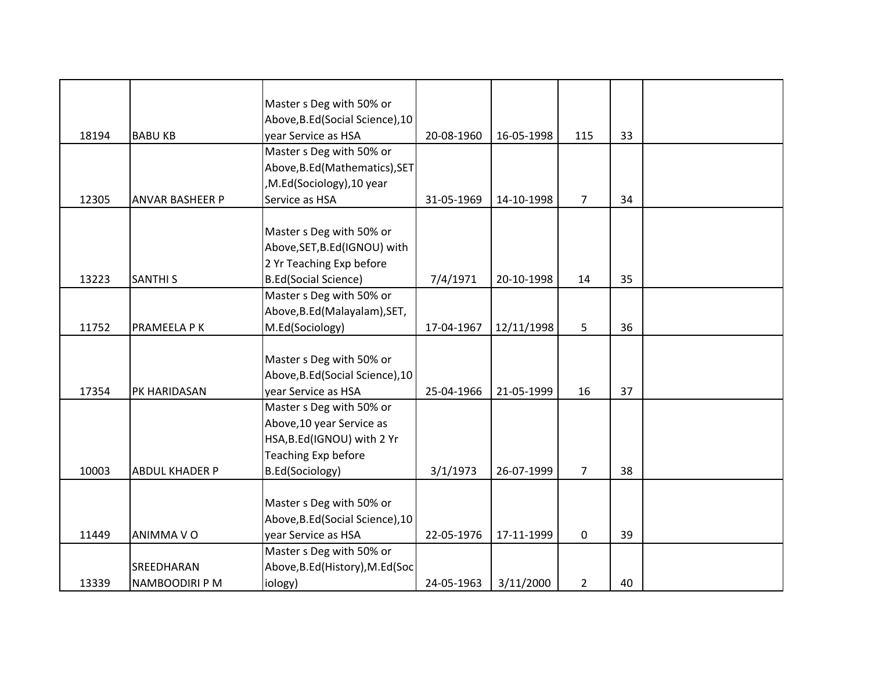|       |                        | Master s Deg with 50% or         |            |            |                |    |  |
|-------|------------------------|----------------------------------|------------|------------|----------------|----|--|
|       |                        | Above, B.Ed (Social Science), 10 |            |            |                |    |  |
| 18194 | <b>BABU KB</b>         | year Service as HSA              | 20-08-1960 | 16-05-1998 | 115            | 33 |  |
|       |                        | Master s Deg with 50% or         |            |            |                |    |  |
|       |                        | Above, B.Ed (Mathematics), SET   |            |            |                |    |  |
|       |                        | ,M.Ed(Sociology),10 year         |            |            |                |    |  |
| 12305 | <b>ANVAR BASHEER P</b> | Service as HSA                   | 31-05-1969 | 14-10-1998 | 7 <sup>7</sup> | 34 |  |
|       |                        |                                  |            |            |                |    |  |
|       |                        | Master s Deg with 50% or         |            |            |                |    |  |
|       |                        | Above, SET, B.Ed (IGNOU) with    |            |            |                |    |  |
|       |                        | 2 Yr Teaching Exp before         |            |            |                |    |  |
|       | <b>SANTHI S</b>        | <b>B.Ed(Social Science)</b>      |            |            | 14             | 35 |  |
| 13223 |                        | Master s Deg with 50% or         | 7/4/1971   | 20-10-1998 |                |    |  |
|       |                        | Above, B.Ed (Malayalam), SET,    |            |            |                |    |  |
|       |                        |                                  |            |            |                |    |  |
| 11752 | PRAMEELA P K           | M.Ed(Sociology)                  | 17-04-1967 | 12/11/1998 | 5              | 36 |  |
|       |                        |                                  |            |            |                |    |  |
|       |                        | Master s Deg with 50% or         |            |            |                |    |  |
|       |                        | Above, B.Ed (Social Science), 10 |            |            |                |    |  |
| 17354 | PK HARIDASAN           | year Service as HSA              | 25-04-1966 | 21-05-1999 | 16             | 37 |  |
|       |                        | Master s Deg with 50% or         |            |            |                |    |  |
|       |                        | Above, 10 year Service as        |            |            |                |    |  |
|       |                        | HSA, B.Ed(IGNOU) with 2 Yr       |            |            |                |    |  |
|       |                        | Teaching Exp before              |            |            |                |    |  |
| 10003 | <b>ABDUL KHADER P</b>  | B.Ed(Sociology)                  | 3/1/1973   | 26-07-1999 | $\overline{7}$ | 38 |  |
|       |                        |                                  |            |            |                |    |  |
|       |                        | Master s Deg with 50% or         |            |            |                |    |  |
|       |                        | Above, B.Ed (Social Science), 10 |            |            |                |    |  |
| 11449 | ANIMMA VO              | year Service as HSA              | 22-05-1976 | 17-11-1999 | 0              | 39 |  |
|       |                        | Master s Deg with 50% or         |            |            |                |    |  |
|       | SREEDHARAN             | Above, B.Ed (History), M.Ed (Soc |            |            |                |    |  |
| 13339 | NAMBOODIRI P M         | iology)                          | 24-05-1963 | 3/11/2000  | $\overline{2}$ | 40 |  |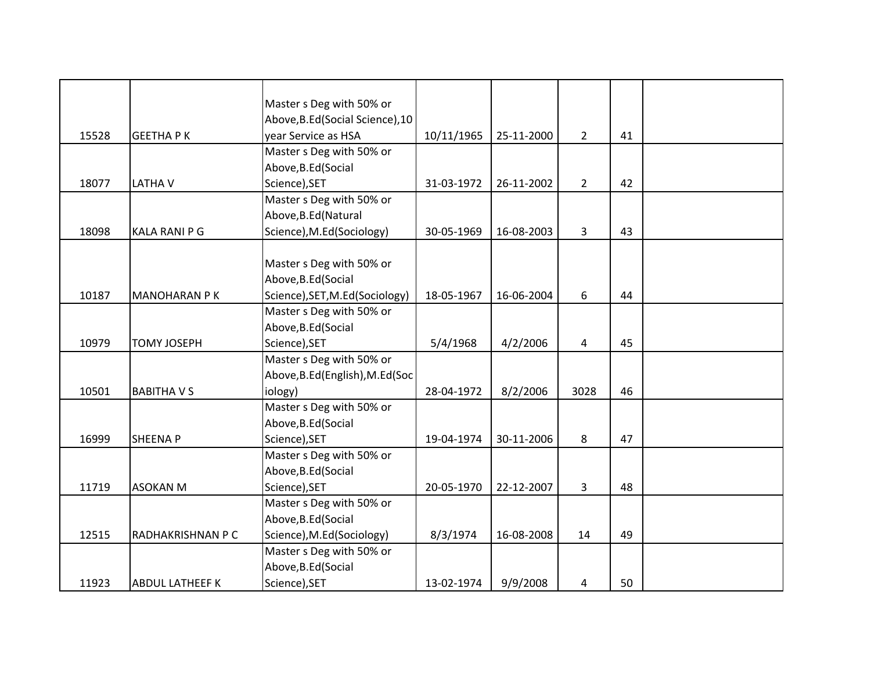|       |                        | Master s Deg with 50% or         |            |            |                |    |  |
|-------|------------------------|----------------------------------|------------|------------|----------------|----|--|
|       |                        | Above, B.Ed (Social Science), 10 |            |            |                |    |  |
| 15528 | <b>GEETHAPK</b>        | year Service as HSA              | 10/11/1965 | 25-11-2000 | $\overline{2}$ | 41 |  |
|       |                        | Master s Deg with 50% or         |            |            |                |    |  |
|       |                        | Above, B.Ed (Social              |            |            |                |    |  |
| 18077 | <b>LATHAV</b>          | Science), SET                    | 31-03-1972 | 26-11-2002 | $\overline{2}$ | 42 |  |
|       |                        | Master s Deg with 50% or         |            |            |                |    |  |
|       |                        | Above, B.Ed (Natural             |            |            |                |    |  |
| 18098 | <b>KALA RANI P G</b>   | Science), M.Ed(Sociology)        | 30-05-1969 | 16-08-2003 | 3              | 43 |  |
|       |                        |                                  |            |            |                |    |  |
|       |                        | Master s Deg with 50% or         |            |            |                |    |  |
|       |                        | Above, B.Ed (Social              |            |            |                |    |  |
| 10187 | <b>MANOHARAN PK</b>    | Science), SET, M.Ed(Sociology)   | 18-05-1967 | 16-06-2004 | 6              | 44 |  |
|       |                        | Master s Deg with 50% or         |            |            |                |    |  |
|       |                        | Above, B.Ed (Social              |            |            |                |    |  |
| 10979 | <b>TOMY JOSEPH</b>     | Science), SET                    | 5/4/1968   | 4/2/2006   | 4              | 45 |  |
|       |                        | Master s Deg with 50% or         |            |            |                |    |  |
|       |                        | Above, B.Ed (English), M.Ed (Soc |            |            |                |    |  |
| 10501 | <b>BABITHAVS</b>       | iology)                          | 28-04-1972 | 8/2/2006   | 3028           | 46 |  |
|       |                        | Master s Deg with 50% or         |            |            |                |    |  |
|       |                        | Above, B.Ed (Social              |            |            |                |    |  |
| 16999 | <b>SHEENAP</b>         | Science), SET                    | 19-04-1974 | 30-11-2006 | 8              | 47 |  |
|       |                        | Master s Deg with 50% or         |            |            |                |    |  |
|       |                        | Above, B.Ed (Social              |            |            |                |    |  |
| 11719 | <b>ASOKAN M</b>        | Science), SET                    | 20-05-1970 | 22-12-2007 | 3              | 48 |  |
|       |                        | Master s Deg with 50% or         |            |            |                |    |  |
|       |                        | Above, B.Ed (Social              |            |            |                |    |  |
| 12515 | RADHAKRISHNAN P C      | Science), M.Ed(Sociology)        | 8/3/1974   | 16-08-2008 | 14             | 49 |  |
|       |                        | Master s Deg with 50% or         |            |            |                |    |  |
|       |                        | Above, B.Ed (Social              |            |            |                |    |  |
| 11923 | <b>ABDUL LATHEEF K</b> | Science), SET                    | 13-02-1974 | 9/9/2008   | 4              | 50 |  |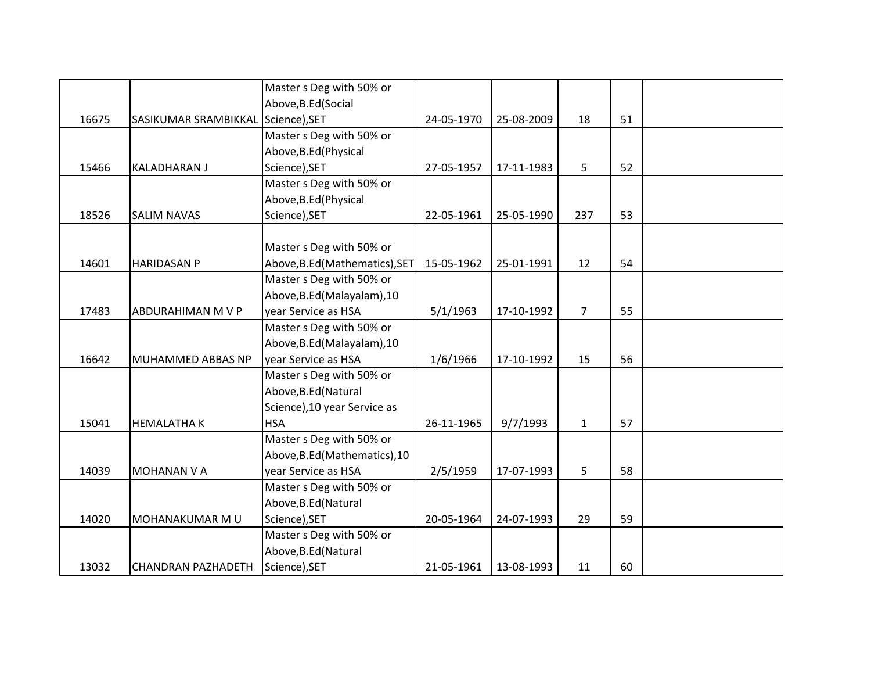|       |                                    | Master s Deg with 50% or       |            |            |                |    |  |
|-------|------------------------------------|--------------------------------|------------|------------|----------------|----|--|
|       |                                    | Above, B.Ed (Social            |            |            |                |    |  |
| 16675 | SASIKUMAR SRAMBIKKAL Science), SET |                                | 24-05-1970 | 25-08-2009 | 18             | 51 |  |
|       |                                    | Master s Deg with 50% or       |            |            |                |    |  |
|       |                                    | Above, B.Ed (Physical          |            |            |                |    |  |
| 15466 | <b>KALADHARAN J</b>                | Science), SET                  | 27-05-1957 | 17-11-1983 | 5              | 52 |  |
|       |                                    | Master s Deg with 50% or       |            |            |                |    |  |
|       |                                    | Above, B.Ed (Physical          |            |            |                |    |  |
| 18526 | <b>SALIM NAVAS</b>                 | Science), SET                  | 22-05-1961 | 25-05-1990 | 237            | 53 |  |
|       |                                    |                                |            |            |                |    |  |
|       |                                    | Master s Deg with 50% or       |            |            |                |    |  |
| 14601 | <b>HARIDASAN P</b>                 | Above, B.Ed (Mathematics), SET | 15-05-1962 | 25-01-1991 | 12             | 54 |  |
|       |                                    | Master s Deg with 50% or       |            |            |                |    |  |
|       |                                    | Above, B.Ed (Malayalam), 10    |            |            |                |    |  |
| 17483 | <b>ABDURAHIMAN M V P</b>           | year Service as HSA            | 5/1/1963   | 17-10-1992 | $\overline{7}$ | 55 |  |
|       |                                    | Master s Deg with 50% or       |            |            |                |    |  |
|       |                                    | Above, B.Ed (Malayalam), 10    |            |            |                |    |  |
| 16642 | MUHAMMED ABBAS NP                  | year Service as HSA            | 1/6/1966   | 17-10-1992 | 15             | 56 |  |
|       |                                    | Master s Deg with 50% or       |            |            |                |    |  |
|       |                                    | Above, B.Ed (Natural           |            |            |                |    |  |
|       |                                    | Science), 10 year Service as   |            |            |                |    |  |
| 15041 | <b>HEMALATHAK</b>                  | <b>HSA</b>                     | 26-11-1965 | 9/7/1993   | $\mathbf{1}$   | 57 |  |
|       |                                    | Master s Deg with 50% or       |            |            |                |    |  |
|       |                                    | Above, B.Ed (Mathematics), 10  |            |            |                |    |  |
| 14039 | <b>MOHANAN V A</b>                 | year Service as HSA            | 2/5/1959   | 17-07-1993 | 5              | 58 |  |
|       |                                    | Master s Deg with 50% or       |            |            |                |    |  |
|       |                                    | Above, B.Ed (Natural           |            |            |                |    |  |
| 14020 | MOHANAKUMAR M U                    | Science), SET                  | 20-05-1964 | 24-07-1993 | 29             | 59 |  |
|       |                                    | Master s Deg with 50% or       |            |            |                |    |  |
|       |                                    | Above, B.Ed (Natural           |            |            |                |    |  |
| 13032 | <b>CHANDRAN PAZHADETH</b>          | Science), SET                  | 21-05-1961 | 13-08-1993 | 11             | 60 |  |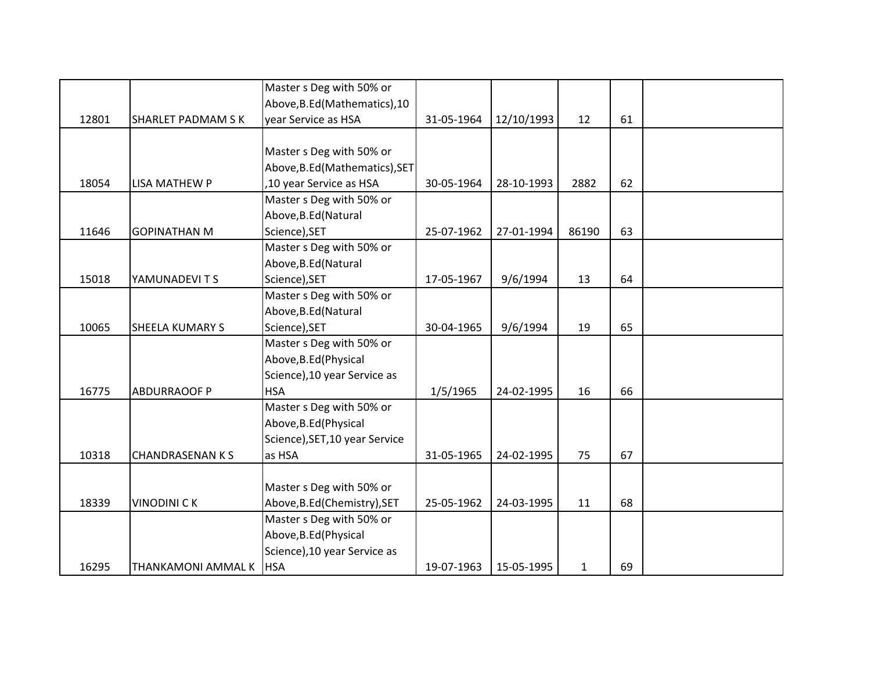|       |                           | Master s Deg with 50% or       |            |            |       |    |  |
|-------|---------------------------|--------------------------------|------------|------------|-------|----|--|
|       |                           | Above, B.Ed (Mathematics), 10  |            |            |       |    |  |
| 12801 | <b>SHARLET PADMAM S K</b> | year Service as HSA            | 31-05-1964 | 12/10/1993 | 12    | 61 |  |
|       |                           |                                |            |            |       |    |  |
|       |                           | Master s Deg with 50% or       |            |            |       |    |  |
|       |                           | Above, B.Ed (Mathematics), SET |            |            |       |    |  |
| 18054 | <b>LISA MATHEW P</b>      | ,10 year Service as HSA        | 30-05-1964 | 28-10-1993 | 2882  | 62 |  |
|       |                           | Master s Deg with 50% or       |            |            |       |    |  |
|       |                           | Above, B.Ed (Natural           |            |            |       |    |  |
| 11646 | <b>GOPINATHAN M</b>       | Science), SET                  | 25-07-1962 | 27-01-1994 | 86190 | 63 |  |
|       |                           | Master s Deg with 50% or       |            |            |       |    |  |
|       |                           | Above, B.Ed (Natural           |            |            |       |    |  |
| 15018 | YAMUNADEVITS              | Science), SET                  | 17-05-1967 | 9/6/1994   | 13    | 64 |  |
|       |                           | Master s Deg with 50% or       |            |            |       |    |  |
|       |                           | Above, B.Ed (Natural           |            |            |       |    |  |
| 10065 | <b>SHEELA KUMARY S</b>    | Science), SET                  | 30-04-1965 | 9/6/1994   | 19    | 65 |  |
|       |                           | Master s Deg with 50% or       |            |            |       |    |  |
|       |                           | Above, B.Ed (Physical          |            |            |       |    |  |
|       |                           | Science), 10 year Service as   |            |            |       |    |  |
| 16775 | <b>ABDURRAOOF P</b>       | <b>HSA</b>                     | 1/5/1965   | 24-02-1995 | 16    | 66 |  |
|       |                           | Master s Deg with 50% or       |            |            |       |    |  |
|       |                           | Above, B.Ed (Physical          |            |            |       |    |  |
|       |                           | Science), SET, 10 year Service |            |            |       |    |  |
| 10318 | <b>CHANDRASENAN KS</b>    | as HSA                         | 31-05-1965 | 24-02-1995 | 75    | 67 |  |
|       |                           |                                |            |            |       |    |  |
|       |                           | Master s Deg with 50% or       |            |            |       |    |  |
| 18339 | <b>VINODINI CK</b>        | Above, B.Ed (Chemistry), SET   | 25-05-1962 | 24-03-1995 | 11    | 68 |  |
|       |                           | Master s Deg with 50% or       |            |            |       |    |  |
|       |                           | Above, B.Ed (Physical          |            |            |       |    |  |
|       |                           | Science), 10 year Service as   |            |            |       |    |  |
| 16295 | THANKAMONI AMMAL K   HSA  |                                | 19-07-1963 | 15-05-1995 | 1     | 69 |  |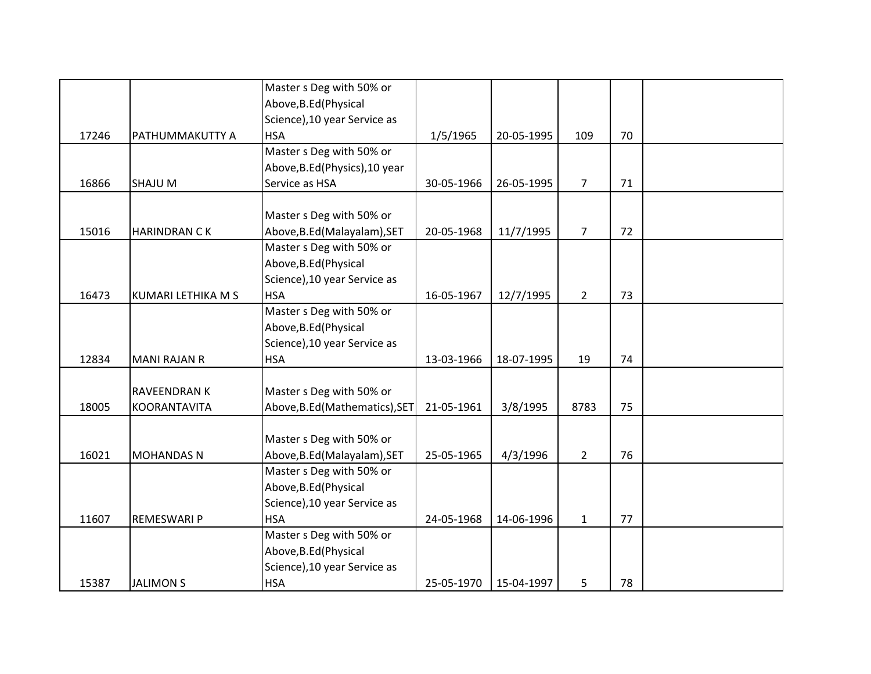|       |                     | Master s Deg with 50% or       |            |            |                |    |  |
|-------|---------------------|--------------------------------|------------|------------|----------------|----|--|
|       |                     | Above, B.Ed (Physical          |            |            |                |    |  |
|       |                     | Science), 10 year Service as   |            |            |                |    |  |
| 17246 | PATHUMMAKUTTY A     | <b>HSA</b>                     | 1/5/1965   | 20-05-1995 | 109            | 70 |  |
|       |                     | Master s Deg with 50% or       |            |            |                |    |  |
|       |                     | Above, B.Ed (Physics), 10 year |            |            |                |    |  |
| 16866 | SHAJU M             | Service as HSA                 | 30-05-1966 | 26-05-1995 | $\overline{7}$ | 71 |  |
|       |                     |                                |            |            |                |    |  |
|       |                     | Master s Deg with 50% or       |            |            |                |    |  |
| 15016 | <b>HARINDRAN CK</b> | Above, B.Ed (Malayalam), SET   | 20-05-1968 | 11/7/1995  | $\overline{7}$ | 72 |  |
|       |                     | Master s Deg with 50% or       |            |            |                |    |  |
|       |                     | Above, B.Ed (Physical          |            |            |                |    |  |
|       |                     | Science), 10 year Service as   |            |            |                |    |  |
| 16473 | KUMARI LETHIKA M S  | <b>HSA</b>                     | 16-05-1967 | 12/7/1995  | $\overline{2}$ | 73 |  |
|       |                     | Master s Deg with 50% or       |            |            |                |    |  |
|       |                     | Above, B.Ed (Physical          |            |            |                |    |  |
|       |                     | Science), 10 year Service as   |            |            |                |    |  |
| 12834 | <b>MANI RAJAN R</b> | <b>HSA</b>                     | 13-03-1966 | 18-07-1995 | 19             | 74 |  |
|       |                     |                                |            |            |                |    |  |
|       | <b>RAVEENDRAN K</b> | Master s Deg with 50% or       |            |            |                |    |  |
| 18005 | <b>KOORANTAVITA</b> | Above, B.Ed (Mathematics), SET | 21-05-1961 | 3/8/1995   | 8783           | 75 |  |
|       |                     |                                |            |            |                |    |  |
|       |                     | Master s Deg with 50% or       |            |            |                |    |  |
| 16021 | <b>MOHANDAS N</b>   | Above, B.Ed (Malayalam), SET   | 25-05-1965 | 4/3/1996   | $\overline{2}$ | 76 |  |
|       |                     | Master s Deg with 50% or       |            |            |                |    |  |
|       |                     | Above, B.Ed (Physical          |            |            |                |    |  |
|       |                     | Science), 10 year Service as   |            |            |                |    |  |
| 11607 | REMESWARI P         | <b>HSA</b>                     | 24-05-1968 | 14-06-1996 | $\mathbf{1}$   | 77 |  |
|       |                     | Master s Deg with 50% or       |            |            |                |    |  |
|       |                     | Above, B.Ed (Physical          |            |            |                |    |  |
|       |                     | Science), 10 year Service as   |            |            |                |    |  |
| 15387 | <b>JALIMON S</b>    | <b>HSA</b>                     | 25-05-1970 | 15-04-1997 | 5              | 78 |  |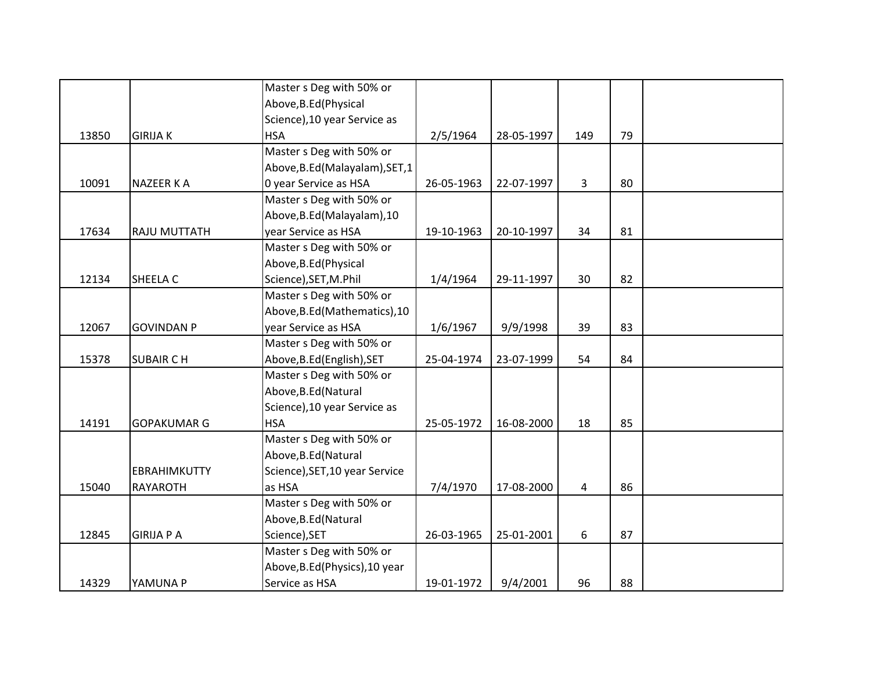|       |                     | Master s Deg with 50% or        |            |            |     |    |  |
|-------|---------------------|---------------------------------|------------|------------|-----|----|--|
|       |                     | Above, B.Ed (Physical           |            |            |     |    |  |
|       |                     | Science), 10 year Service as    |            |            |     |    |  |
| 13850 | <b>GIRIJA K</b>     | <b>HSA</b>                      | 2/5/1964   | 28-05-1997 | 149 | 79 |  |
|       |                     | Master s Deg with 50% or        |            |            |     |    |  |
|       |                     | Above, B.Ed (Malayalam), SET, 1 |            |            |     |    |  |
| 10091 | <b>NAZEER K A</b>   | 0 year Service as HSA           | 26-05-1963 | 22-07-1997 | 3   | 80 |  |
|       |                     | Master s Deg with 50% or        |            |            |     |    |  |
|       |                     | Above, B.Ed (Malayalam), 10     |            |            |     |    |  |
| 17634 | <b>RAJU MUTTATH</b> | year Service as HSA             | 19-10-1963 | 20-10-1997 | 34  | 81 |  |
|       |                     | Master s Deg with 50% or        |            |            |     |    |  |
|       |                     | Above, B.Ed (Physical           |            |            |     |    |  |
| 12134 | SHEELA C            | Science), SET, M.Phil           | 1/4/1964   | 29-11-1997 | 30  | 82 |  |
|       |                     | Master s Deg with 50% or        |            |            |     |    |  |
|       |                     | Above, B.Ed (Mathematics), 10   |            |            |     |    |  |
| 12067 | <b>GOVINDAN P</b>   | year Service as HSA             | 1/6/1967   | 9/9/1998   | 39  | 83 |  |
|       |                     | Master s Deg with 50% or        |            |            |     |    |  |
| 15378 | <b>SUBAIR CH</b>    | Above, B.Ed (English), SET      | 25-04-1974 | 23-07-1999 | 54  | 84 |  |
|       |                     | Master s Deg with 50% or        |            |            |     |    |  |
|       |                     | Above, B.Ed (Natural            |            |            |     |    |  |
|       |                     | Science), 10 year Service as    |            |            |     |    |  |
| 14191 | <b>GOPAKUMAR G</b>  | <b>HSA</b>                      | 25-05-1972 | 16-08-2000 | 18  | 85 |  |
|       |                     | Master s Deg with 50% or        |            |            |     |    |  |
|       |                     | Above, B.Ed (Natural            |            |            |     |    |  |
|       | <b>EBRAHIMKUTTY</b> | Science), SET, 10 year Service  |            |            |     |    |  |
| 15040 | <b>RAYAROTH</b>     | as HSA                          | 7/4/1970   | 17-08-2000 | 4   | 86 |  |
|       |                     | Master s Deg with 50% or        |            |            |     |    |  |
|       |                     | Above, B.Ed (Natural            |            |            |     |    |  |
| 12845 | <b>GIRIJA P A</b>   | Science), SET                   | 26-03-1965 | 25-01-2001 | 6   | 87 |  |
|       |                     | Master s Deg with 50% or        |            |            |     |    |  |
|       |                     | Above, B.Ed (Physics), 10 year  |            |            |     |    |  |
| 14329 | YAMUNA P            | Service as HSA                  | 19-01-1972 | 9/4/2001   | 96  | 88 |  |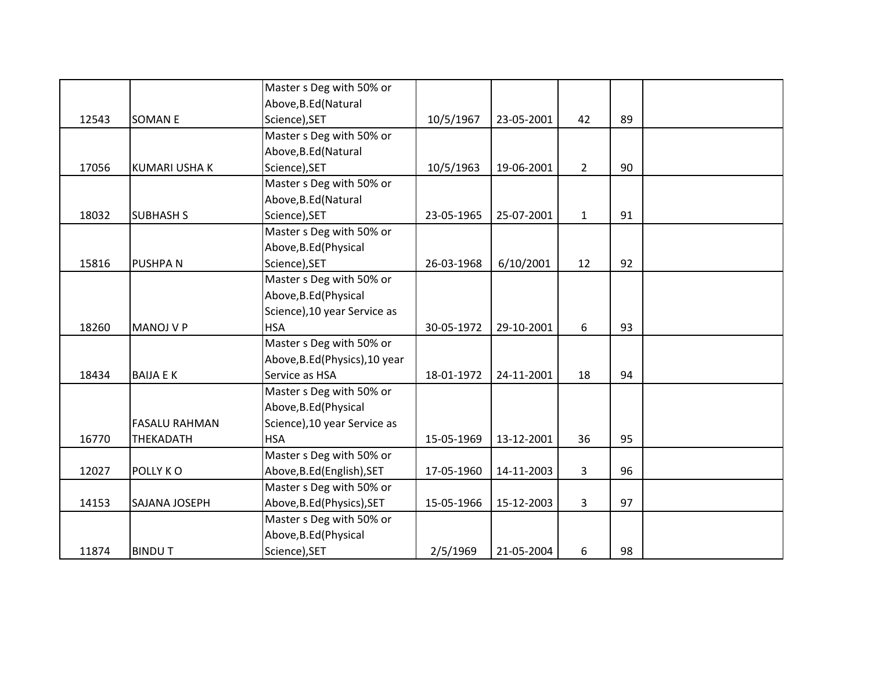|       |                      | Master s Deg with 50% or       |            |            |              |    |  |
|-------|----------------------|--------------------------------|------------|------------|--------------|----|--|
|       |                      | Above, B.Ed (Natural           |            |            |              |    |  |
| 12543 | <b>SOMANE</b>        | Science), SET                  | 10/5/1967  | 23-05-2001 | 42           | 89 |  |
|       |                      | Master s Deg with 50% or       |            |            |              |    |  |
|       |                      | Above, B.Ed (Natural           |            |            |              |    |  |
| 17056 | <b>KUMARI USHA K</b> | Science), SET                  | 10/5/1963  | 19-06-2001 | $2^{\circ}$  | 90 |  |
|       |                      | Master s Deg with 50% or       |            |            |              |    |  |
|       |                      | Above, B.Ed (Natural           |            |            |              |    |  |
| 18032 | <b>SUBHASH S</b>     | Science), SET                  | 23-05-1965 | 25-07-2001 | $\mathbf{1}$ | 91 |  |
|       |                      | Master s Deg with 50% or       |            |            |              |    |  |
|       |                      | Above, B.Ed (Physical          |            |            |              |    |  |
| 15816 | <b>PUSHPAN</b>       | Science), SET                  | 26-03-1968 | 6/10/2001  | 12           | 92 |  |
|       |                      | Master s Deg with 50% or       |            |            |              |    |  |
|       |                      | Above, B.Ed (Physical          |            |            |              |    |  |
|       |                      | Science), 10 year Service as   |            |            |              |    |  |
| 18260 | <b>MANOJ V P</b>     | <b>HSA</b>                     | 30-05-1972 | 29-10-2001 | 6            | 93 |  |
|       |                      | Master s Deg with 50% or       |            |            |              |    |  |
|       |                      | Above, B.Ed (Physics), 10 year |            |            |              |    |  |
| 18434 | <b>BAIJA E K</b>     | Service as HSA                 | 18-01-1972 | 24-11-2001 | 18           | 94 |  |
|       |                      | Master s Deg with 50% or       |            |            |              |    |  |
|       |                      | Above, B.Ed (Physical          |            |            |              |    |  |
|       | <b>FASALU RAHMAN</b> | Science), 10 year Service as   |            |            |              |    |  |
| 16770 | THEKADATH            | <b>HSA</b>                     | 15-05-1969 | 13-12-2001 | 36           | 95 |  |
|       |                      | Master s Deg with 50% or       |            |            |              |    |  |
| 12027 | POLLY KO             | Above, B.Ed (English), SET     | 17-05-1960 | 14-11-2003 | 3            | 96 |  |
|       |                      | Master s Deg with 50% or       |            |            |              |    |  |
| 14153 | SAJANA JOSEPH        | Above, B.Ed (Physics), SET     | 15-05-1966 | 15-12-2003 | 3            | 97 |  |
|       |                      | Master s Deg with 50% or       |            |            |              |    |  |
|       |                      | Above, B.Ed (Physical          |            |            |              |    |  |
| 11874 | <b>BINDUT</b>        | Science), SET                  | 2/5/1969   | 21-05-2004 | 6            | 98 |  |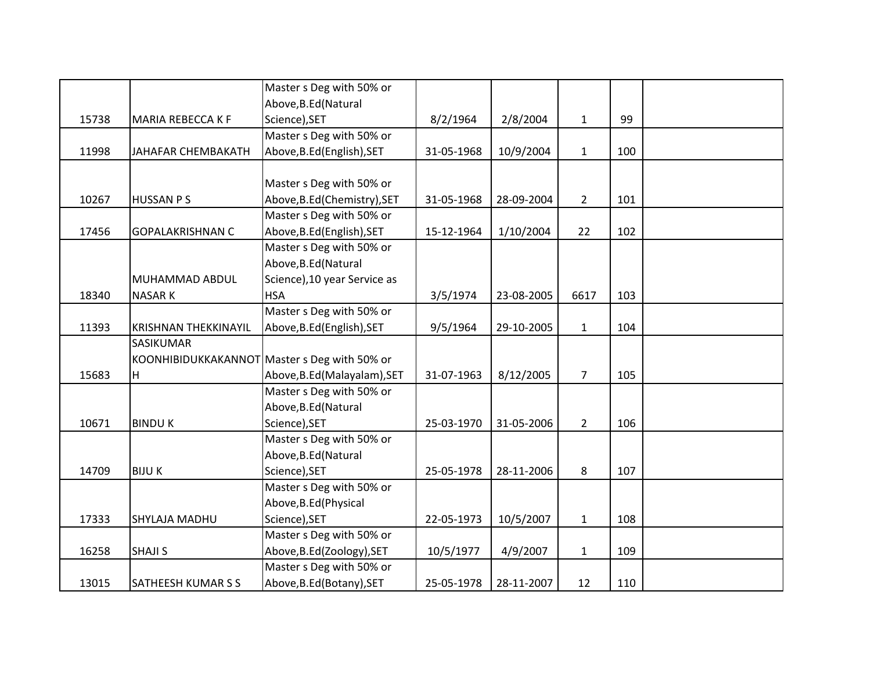|       |                             | Master s Deg with 50% or                     |            |            |                |     |  |
|-------|-----------------------------|----------------------------------------------|------------|------------|----------------|-----|--|
|       |                             | Above, B.Ed (Natural                         |            |            |                |     |  |
| 15738 | MARIA REBECCA K F           | Science), SET                                | 8/2/1964   | 2/8/2004   | $\mathbf{1}$   | 99  |  |
|       |                             | Master s Deg with 50% or                     |            |            |                |     |  |
| 11998 | JAHAFAR CHEMBAKATH          | Above, B.Ed (English), SET                   | 31-05-1968 | 10/9/2004  | $\mathbf{1}$   | 100 |  |
|       |                             |                                              |            |            |                |     |  |
|       |                             | Master s Deg with 50% or                     |            |            |                |     |  |
| 10267 | <b>HUSSAN PS</b>            | Above, B.Ed (Chemistry), SET                 | 31-05-1968 | 28-09-2004 | $2^{\circ}$    | 101 |  |
|       |                             | Master s Deg with 50% or                     |            |            |                |     |  |
| 17456 | <b>GOPALAKRISHNAN C</b>     | Above, B.Ed (English), SET                   | 15-12-1964 | 1/10/2004  | 22             | 102 |  |
|       |                             | Master s Deg with 50% or                     |            |            |                |     |  |
|       |                             | Above, B.Ed (Natural                         |            |            |                |     |  |
|       | MUHAMMAD ABDUL              | Science), 10 year Service as                 |            |            |                |     |  |
| 18340 | <b>NASARK</b>               | <b>HSA</b>                                   | 3/5/1974   | 23-08-2005 | 6617           | 103 |  |
|       |                             | Master s Deg with 50% or                     |            |            |                |     |  |
| 11393 | <b>KRISHNAN THEKKINAYIL</b> | Above, B.Ed (English), SET                   | 9/5/1964   | 29-10-2005 | $\mathbf{1}$   | 104 |  |
|       | SASIKUMAR                   |                                              |            |            |                |     |  |
|       |                             | KOONHIBIDUKKAKANNOT Master s Deg with 50% or |            |            |                |     |  |
| 15683 | H                           | Above, B.Ed (Malayalam), SET                 | 31-07-1963 | 8/12/2005  | $\overline{7}$ | 105 |  |
|       |                             | Master s Deg with 50% or                     |            |            |                |     |  |
|       |                             | Above, B.Ed (Natural                         |            |            |                |     |  |
| 10671 | <b>BINDUK</b>               | Science), SET                                | 25-03-1970 | 31-05-2006 | $\overline{2}$ | 106 |  |
|       |                             | Master s Deg with 50% or                     |            |            |                |     |  |
|       |                             | Above, B.Ed (Natural                         |            |            |                |     |  |
| 14709 | <b>BIJUK</b>                | Science), SET                                | 25-05-1978 | 28-11-2006 | 8              | 107 |  |
|       |                             | Master s Deg with 50% or                     |            |            |                |     |  |
|       |                             | Above, B.Ed (Physical                        |            |            |                |     |  |
| 17333 | SHYLAJA MADHU               | Science), SET                                | 22-05-1973 | 10/5/2007  | $\mathbf{1}$   | 108 |  |
|       |                             | Master s Deg with 50% or                     |            |            |                |     |  |
| 16258 | <b>SHAJI S</b>              | Above, B.Ed (Zoology), SET                   | 10/5/1977  | 4/9/2007   | $\mathbf{1}$   | 109 |  |
|       |                             | Master s Deg with 50% or                     |            |            |                |     |  |
| 13015 | SATHEESH KUMAR S S          | Above, B.Ed (Botany), SET                    | 25-05-1978 | 28-11-2007 | 12             | 110 |  |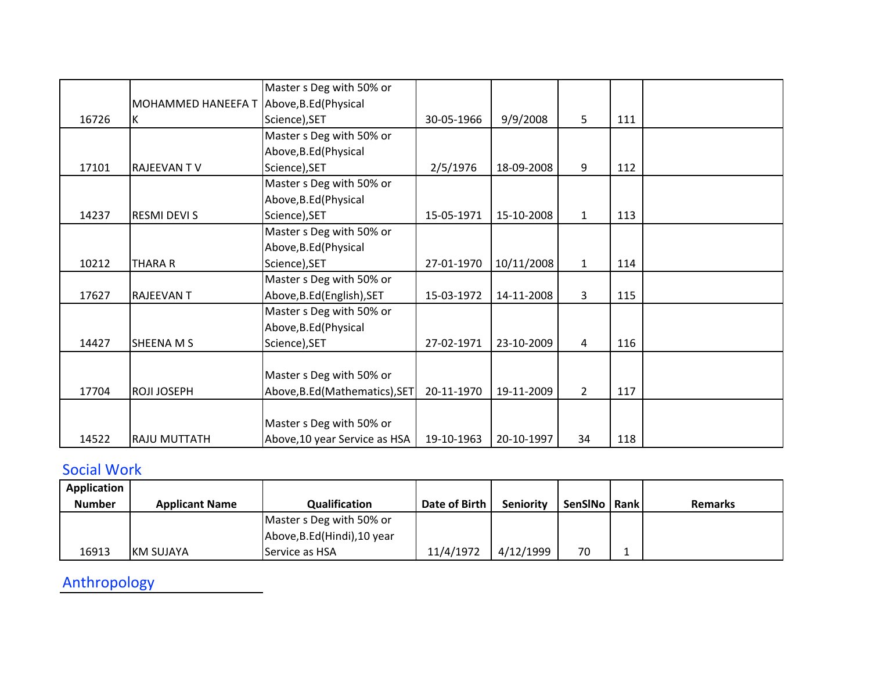|       |                                          | Master s Deg with 50% or       |            |            |              |     |  |
|-------|------------------------------------------|--------------------------------|------------|------------|--------------|-----|--|
|       | MOHAMMED HANEEFA T Above, B.Ed (Physical |                                |            |            |              |     |  |
| 16726 | K                                        | Science), SET                  | 30-05-1966 | 9/9/2008   | 5            | 111 |  |
|       |                                          | Master s Deg with 50% or       |            |            |              |     |  |
|       |                                          | Above, B.Ed (Physical          |            |            |              |     |  |
| 17101 | <b>RAJEEVAN TV</b>                       | Science), SET                  | 2/5/1976   | 18-09-2008 | 9            | 112 |  |
|       |                                          | Master s Deg with 50% or       |            |            |              |     |  |
|       |                                          | Above, B.Ed (Physical          |            |            |              |     |  |
| 14237 | <b>RESMI DEVI S</b>                      | Science), SET                  | 15-05-1971 | 15-10-2008 | $\mathbf{1}$ | 113 |  |
|       |                                          | Master s Deg with 50% or       |            |            |              |     |  |
|       |                                          | Above, B.Ed (Physical          |            |            |              |     |  |
| 10212 | <b>THARA R</b>                           | Science), SET                  | 27-01-1970 | 10/11/2008 | $\mathbf{1}$ | 114 |  |
|       |                                          | Master s Deg with 50% or       |            |            |              |     |  |
| 17627 | <b>RAJEEVANT</b>                         | Above, B.Ed (English), SET     | 15-03-1972 | 14-11-2008 | 3            | 115 |  |
|       |                                          | Master s Deg with 50% or       |            |            |              |     |  |
|       |                                          | Above, B.Ed (Physical          |            |            |              |     |  |
| 14427 | <b>SHEENA M S</b>                        | Science), SET                  | 27-02-1971 | 23-10-2009 | 4            | 116 |  |
|       |                                          |                                |            |            |              |     |  |
|       |                                          | Master s Deg with 50% or       |            |            |              |     |  |
| 17704 | <b>ROJI JOSEPH</b>                       | Above, B.Ed (Mathematics), SET | 20-11-1970 | 19-11-2009 | $2^{\circ}$  | 117 |  |
|       |                                          |                                |            |            |              |     |  |
|       |                                          | Master s Deg with 50% or       |            |            |              |     |  |
| 14522 | <b>RAJU MUTTATH</b>                      | Above, 10 year Service as HSA  | 19-10-1963 | 20-10-1997 | 34           | 118 |  |

## Social Work

| Application   |                       |                              |               |                  |                |                |
|---------------|-----------------------|------------------------------|---------------|------------------|----------------|----------------|
| <b>Number</b> | <b>Applicant Name</b> | Qualification                | Date of Birth | <b>Seniority</b> | SenSINo   Rank | <b>Remarks</b> |
|               |                       | Master s Deg with 50% or     |               |                  |                |                |
|               |                       | Above, B.Ed (Hindi), 10 year |               |                  |                |                |
| 16913         | KM SUJAYA             | Service as HSA               | 11/4/1972     | 4/12/1999        | 70             |                |

Anthropology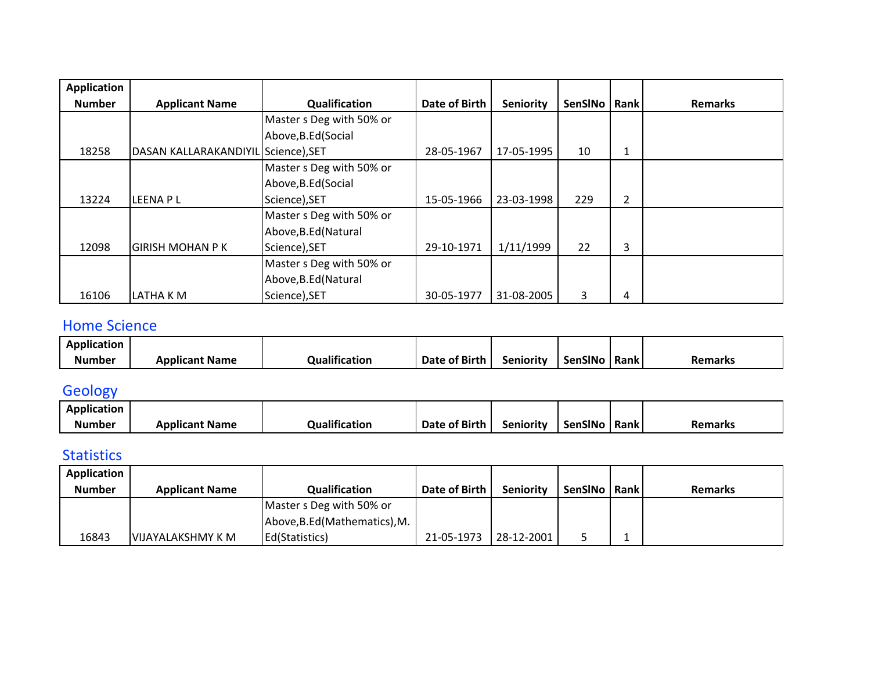| <b>Application</b> |                                     |                          |               |                  |                |                |                |
|--------------------|-------------------------------------|--------------------------|---------------|------------------|----------------|----------------|----------------|
| <b>Number</b>      | <b>Applicant Name</b>               | Qualification            | Date of Birth | <b>Seniority</b> | SenSINo   Rank |                | <b>Remarks</b> |
|                    |                                     | Master s Deg with 50% or |               |                  |                |                |                |
|                    |                                     | Above, B.Ed (Social      |               |                  |                |                |                |
| 18258              | DASAN KALLARAKANDIYIL Science), SET |                          | 28-05-1967    | 17-05-1995       | 10             | $\mathbf{1}$   |                |
|                    |                                     | Master s Deg with 50% or |               |                  |                |                |                |
|                    |                                     | Above, B.Ed (Social      |               |                  |                |                |                |
| 13224              | LEENA P L                           | Science), SET            | 15-05-1966    | 23-03-1998       | 229            | $\overline{2}$ |                |
|                    |                                     | Master s Deg with 50% or |               |                  |                |                |                |
|                    |                                     | Above, B.Ed (Natural     |               |                  |                |                |                |
| 12098              | <b>GIRISH MOHAN P K</b>             | Science), SET            | 29-10-1971    | 1/11/1999        | 22             | 3              |                |
|                    |                                     | Master s Deg with 50% or |               |                  |                |                |                |
|                    |                                     | Above, B.Ed (Natural     |               |                  |                |                |                |
| 16106              | LATHA K M                           | Science), SET            | 30-05-1977    | 31-08-2005       | 3              | 4              |                |

#### Home Science

| Application   |                       |               |               |           |         |             |                |
|---------------|-----------------------|---------------|---------------|-----------|---------|-------------|----------------|
| <b>Number</b> | <b>Applicant Name</b> | Qualification | Date of Birth | Seniority | SenSINo | <b>Rank</b> | <b>Remarks</b> |

## **Geology**

| Application   |                       |                      |               |                  |                |      |                |
|---------------|-----------------------|----------------------|---------------|------------------|----------------|------|----------------|
| <b>Number</b> | <b>Applicant Name</b> | <b>Qualification</b> | Date of Birth | <b>Seniority</b> | <b>SenSINo</b> | Rank | <b>Remarks</b> |

### Statistics

| Application   |                       |                               |               |                  |                |                |
|---------------|-----------------------|-------------------------------|---------------|------------------|----------------|----------------|
| <b>Number</b> | <b>Applicant Name</b> | Qualification                 | Date of Birth | <b>Seniority</b> | SenSINo   Rank | <b>Remarks</b> |
|               |                       | Master s Deg with 50% or      |               |                  |                |                |
|               |                       | Above, B.Ed (Mathematics), M. |               |                  |                |                |
| 16843         | VIJAYALAKSHMY K M     | Ed(Statistics)                | 21-05-1973    | 28-12-2001       |                |                |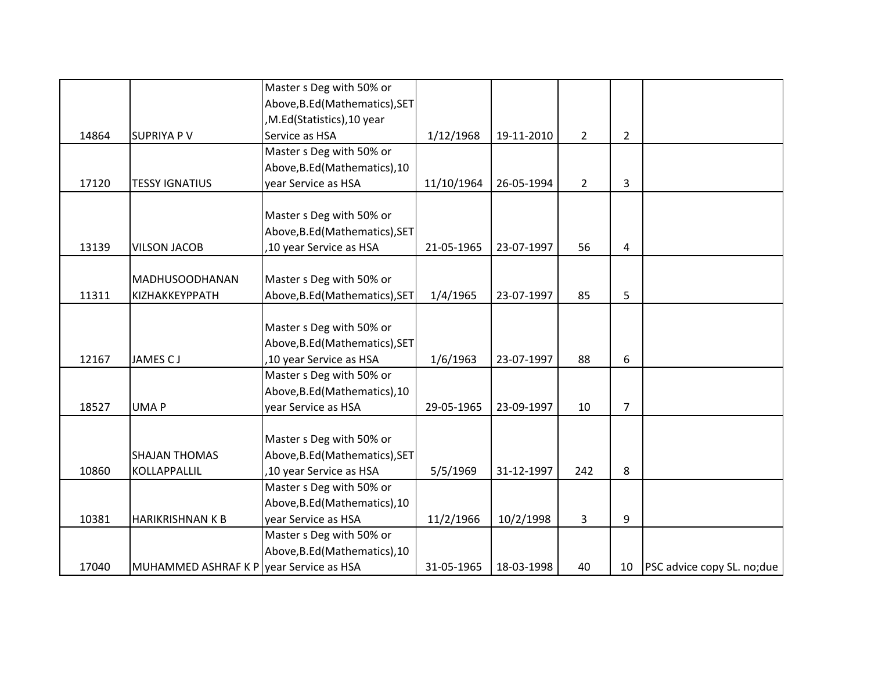|       |                                         | Master s Deg with 50% or       |            |            |                |                |                                    |
|-------|-----------------------------------------|--------------------------------|------------|------------|----------------|----------------|------------------------------------|
|       |                                         | Above, B.Ed (Mathematics), SET |            |            |                |                |                                    |
|       |                                         | , M.Ed(Statistics), 10 year    |            |            |                |                |                                    |
| 14864 | <b>SUPRIYA P V</b>                      | Service as HSA                 | 1/12/1968  | 19-11-2010 | $\overline{2}$ | $\overline{2}$ |                                    |
|       |                                         | Master s Deg with 50% or       |            |            |                |                |                                    |
|       |                                         | Above, B.Ed (Mathematics), 10  |            |            |                |                |                                    |
| 17120 | <b>TESSY IGNATIUS</b>                   | year Service as HSA            | 11/10/1964 | 26-05-1994 | $\overline{2}$ | 3              |                                    |
|       |                                         |                                |            |            |                |                |                                    |
|       |                                         | Master s Deg with 50% or       |            |            |                |                |                                    |
|       |                                         | Above, B.Ed (Mathematics), SET |            |            |                |                |                                    |
| 13139 | <b>VILSON JACOB</b>                     | ,10 year Service as HSA        | 21-05-1965 | 23-07-1997 | 56             | $\overline{a}$ |                                    |
|       |                                         |                                |            |            |                |                |                                    |
| 11311 | MADHUSOODHANAN<br>ΚΙΖΗΑΚΚΕΥΡΡΑΤΗ        | Master s Deg with 50% or       |            | 23-07-1997 | 85             | 5              |                                    |
|       |                                         | Above, B.Ed (Mathematics), SET | 1/4/1965   |            |                |                |                                    |
|       |                                         | Master s Deg with 50% or       |            |            |                |                |                                    |
|       |                                         | Above, B.Ed (Mathematics), SET |            |            |                |                |                                    |
| 12167 | JAMES CJ                                | ,10 year Service as HSA        | 1/6/1963   | 23-07-1997 | 88             | 6              |                                    |
|       |                                         | Master s Deg with 50% or       |            |            |                |                |                                    |
|       |                                         | Above, B.Ed (Mathematics), 10  |            |            |                |                |                                    |
| 18527 | <b>UMAP</b>                             | year Service as HSA            | 29-05-1965 | 23-09-1997 | 10             | $\overline{7}$ |                                    |
|       |                                         |                                |            |            |                |                |                                    |
|       |                                         | Master s Deg with 50% or       |            |            |                |                |                                    |
|       | <b>SHAJAN THOMAS</b>                    | Above, B.Ed (Mathematics), SET |            |            |                |                |                                    |
| 10860 | KOLLAPPALLIL                            | ,10 year Service as HSA        | 5/5/1969   | 31-12-1997 | 242            | 8              |                                    |
|       |                                         | Master s Deg with 50% or       |            |            |                |                |                                    |
|       |                                         | Above, B.Ed (Mathematics), 10  |            |            |                |                |                                    |
| 10381 | <b>HARIKRISHNAN K B</b>                 | year Service as HSA            | 11/2/1966  | 10/2/1998  | 3              | 9              |                                    |
|       |                                         | Master s Deg with 50% or       |            |            |                |                |                                    |
|       |                                         | Above, B.Ed (Mathematics), 10  |            |            |                |                |                                    |
| 17040 | MUHAMMED ASHRAF K P year Service as HSA |                                | 31-05-1965 | 18-03-1998 | 40             | 10             | <b>PSC</b> advice copy SL. no; due |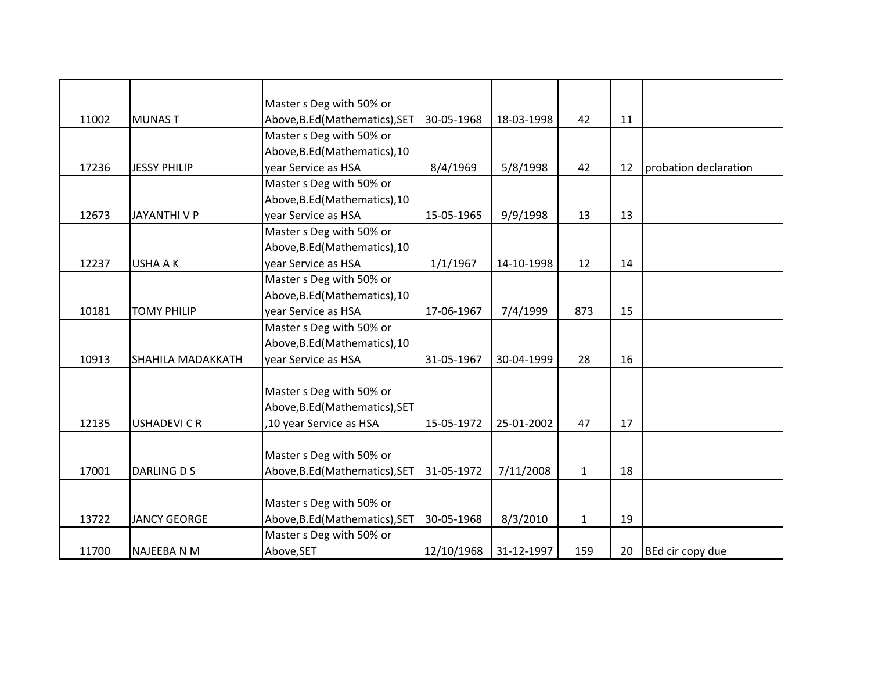|       |                     | Master s Deg with 50% or       |            |            |              |    |                       |
|-------|---------------------|--------------------------------|------------|------------|--------------|----|-----------------------|
| 11002 | <b>MUNAST</b>       | Above, B.Ed (Mathematics), SET | 30-05-1968 | 18-03-1998 | 42           | 11 |                       |
|       |                     | Master s Deg with 50% or       |            |            |              |    |                       |
|       |                     | Above, B.Ed (Mathematics), 10  |            |            |              |    |                       |
| 17236 | <b>JESSY PHILIP</b> | year Service as HSA            | 8/4/1969   | 5/8/1998   | 42           | 12 | probation declaration |
|       |                     | Master s Deg with 50% or       |            |            |              |    |                       |
|       |                     | Above, B.Ed (Mathematics), 10  |            |            |              |    |                       |
| 12673 | <b>JAYANTHIVP</b>   | year Service as HSA            | 15-05-1965 | 9/9/1998   | 13           | 13 |                       |
|       |                     | Master s Deg with 50% or       |            |            |              |    |                       |
|       |                     | Above, B.Ed (Mathematics), 10  |            |            |              |    |                       |
| 12237 | <b>USHA A K</b>     | year Service as HSA            | 1/1/1967   | 14-10-1998 | 12           | 14 |                       |
|       |                     | Master s Deg with 50% or       |            |            |              |    |                       |
|       |                     | Above, B.Ed (Mathematics), 10  |            |            |              |    |                       |
| 10181 | <b>TOMY PHILIP</b>  | year Service as HSA            | 17-06-1967 | 7/4/1999   | 873          | 15 |                       |
|       |                     | Master s Deg with 50% or       |            |            |              |    |                       |
|       |                     | Above, B.Ed (Mathematics), 10  |            |            |              |    |                       |
| 10913 | SHAHILA MADAKKATH   | year Service as HSA            | 31-05-1967 | 30-04-1999 | 28           | 16 |                       |
|       |                     |                                |            |            |              |    |                       |
|       |                     | Master s Deg with 50% or       |            |            |              |    |                       |
|       |                     | Above, B.Ed (Mathematics), SET |            |            |              |    |                       |
| 12135 | <b>USHADEVICR</b>   | ,10 year Service as HSA        | 15-05-1972 | 25-01-2002 | 47           | 17 |                       |
|       |                     |                                |            |            |              |    |                       |
|       |                     | Master s Deg with 50% or       |            |            |              |    |                       |
| 17001 | <b>DARLING D S</b>  | Above, B.Ed (Mathematics), SET | 31-05-1972 | 7/11/2008  | $\mathbf{1}$ | 18 |                       |
|       |                     |                                |            |            |              |    |                       |
|       |                     | Master s Deg with 50% or       |            |            |              |    |                       |
| 13722 | <b>JANCY GEORGE</b> | Above, B.Ed (Mathematics), SET | 30-05-1968 | 8/3/2010   | $\mathbf{1}$ | 19 |                       |
|       |                     | Master s Deg with 50% or       |            |            |              |    |                       |
| 11700 | <b>NAJEEBA N M</b>  | Above, SET                     | 12/10/1968 | 31-12-1997 | 159          | 20 | BEd cir copy due      |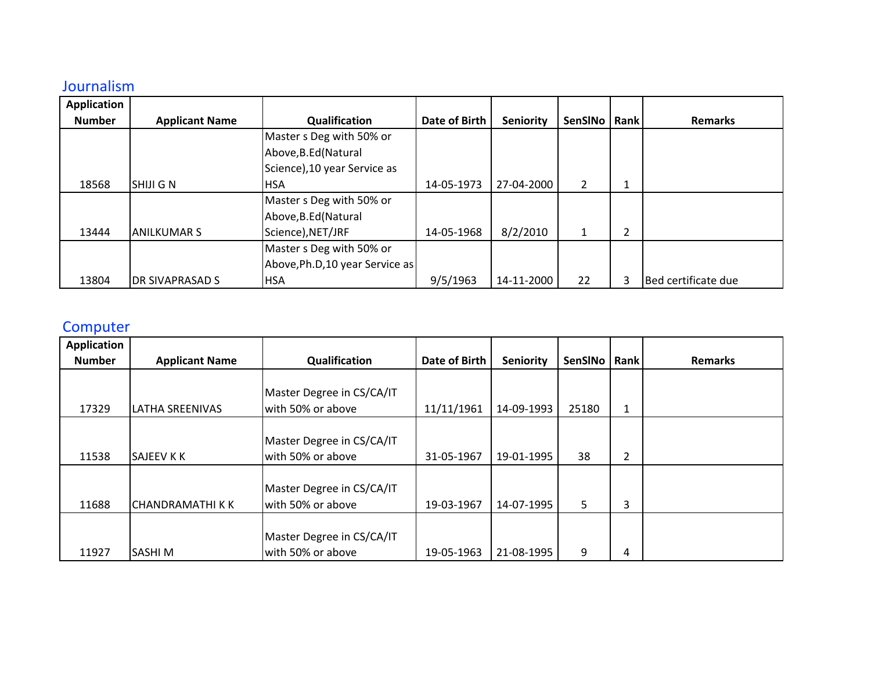## Journalism

| <b>Application</b> |                        |                                 |                      |                  |                |   |                     |
|--------------------|------------------------|---------------------------------|----------------------|------------------|----------------|---|---------------------|
| <b>Number</b>      | <b>Applicant Name</b>  | Qualification                   | <b>Date of Birth</b> | <b>Seniority</b> | SenSINo   Rank |   | <b>Remarks</b>      |
|                    |                        | Master s Deg with 50% or        |                      |                  |                |   |                     |
|                    |                        | Above, B.Ed (Natural            |                      |                  |                |   |                     |
|                    |                        | Science), 10 year Service as    |                      |                  |                |   |                     |
| 18568              | <b>SHIJI G N</b>       | <b>HSA</b>                      | 14-05-1973           | 27-04-2000       | $\overline{2}$ |   |                     |
|                    |                        | Master s Deg with 50% or        |                      |                  |                |   |                     |
|                    |                        | Above, B.Ed (Natural            |                      |                  |                |   |                     |
| 13444              | IANILKUMAR S           | Science), NET/JRF               | 14-05-1968           | 8/2/2010         | 1              | 2 |                     |
|                    |                        | Master s Deg with 50% or        |                      |                  |                |   |                     |
|                    |                        | Above, Ph.D, 10 year Service as |                      |                  |                |   |                     |
| 13804              | <b>DR SIVAPRASAD S</b> | <b>HSA</b>                      | 9/5/1963             | 14-11-2000       | 22             | 3 | Bed certificate due |

## **Computer**

| <b>Application</b> |                         |                                                |               |                  |         |      |                |
|--------------------|-------------------------|------------------------------------------------|---------------|------------------|---------|------|----------------|
| <b>Number</b>      | <b>Applicant Name</b>   | Qualification                                  | Date of Birth | <b>Seniority</b> | SenSINo | Rank | <b>Remarks</b> |
| 17329              | <b>LATHA SREENIVAS</b>  | Master Degree in CS/CA/IT<br>with 50% or above | 11/11/1961    | 14-09-1993       | 25180   | 1    |                |
| 11538              | <b>SAJEEV K K</b>       | Master Degree in CS/CA/IT<br>with 50% or above | 31-05-1967    | 19-01-1995       | 38      | 2    |                |
| 11688              | <b>CHANDRAMATHI K K</b> | Master Degree in CS/CA/IT<br>with 50% or above | 19-03-1967    | 14-07-1995       | 5       | 3    |                |
| 11927              | <b>SASHIM</b>           | Master Degree in CS/CA/IT<br>with 50% or above | 19-05-1963    | 21-08-1995       | 9       | 4    |                |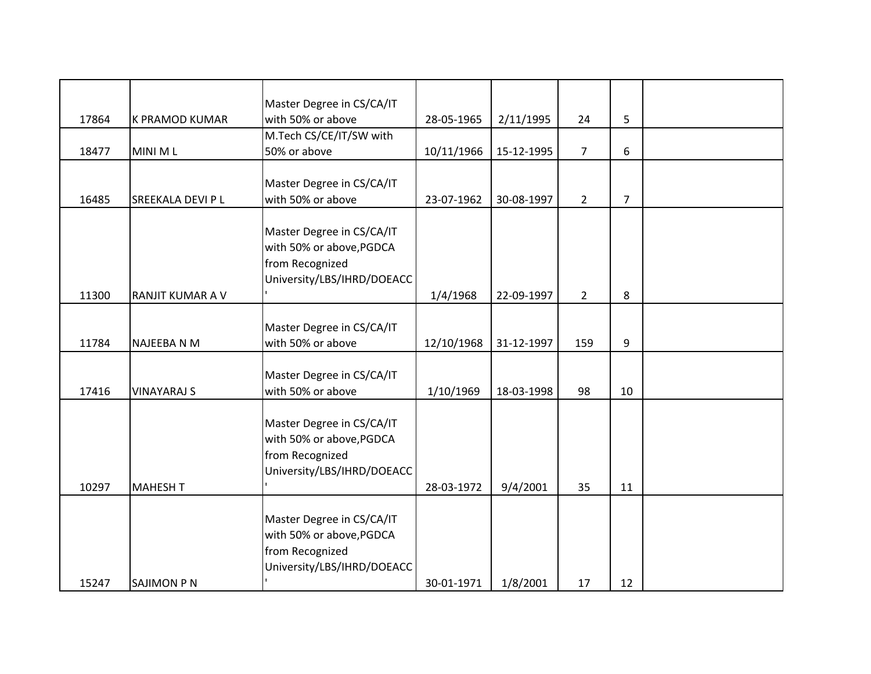|       |                       | Master Degree in CS/CA/IT                      |            |            |                |                |  |
|-------|-----------------------|------------------------------------------------|------------|------------|----------------|----------------|--|
| 17864 | <b>K PRAMOD KUMAR</b> | with 50% or above                              | 28-05-1965 | 2/11/1995  | 24             | 5              |  |
|       |                       | M.Tech CS/CE/IT/SW with                        |            |            |                |                |  |
| 18477 | MINI ML               | 50% or above                                   | 10/11/1966 | 15-12-1995 | $\overline{7}$ | 6              |  |
|       |                       |                                                |            |            |                |                |  |
|       |                       | Master Degree in CS/CA/IT                      |            |            |                |                |  |
| 16485 | SREEKALA DEVI P L     | with 50% or above                              | 23-07-1962 | 30-08-1997 | $\overline{2}$ | $\overline{7}$ |  |
|       |                       |                                                |            |            |                |                |  |
|       |                       | Master Degree in CS/CA/IT                      |            |            |                |                |  |
|       |                       | with 50% or above, PGDCA                       |            |            |                |                |  |
|       |                       | from Recognized                                |            |            |                |                |  |
|       |                       | University/LBS/IHRD/DOEACC                     |            |            |                |                |  |
| 11300 | RANJIT KUMAR A V      |                                                | 1/4/1968   | 22-09-1997 | $\overline{2}$ | 8              |  |
|       |                       |                                                |            |            |                |                |  |
|       |                       | Master Degree in CS/CA/IT                      |            |            |                |                |  |
| 11784 | <b>NAJEEBA N M</b>    | with 50% or above                              | 12/10/1968 | 31-12-1997 | 159            | 9              |  |
|       |                       |                                                |            |            |                |                |  |
| 17416 | <b>VINAYARAJ S</b>    | Master Degree in CS/CA/IT<br>with 50% or above |            | 18-03-1998 | 98             | 10             |  |
|       |                       |                                                | 1/10/1969  |            |                |                |  |
|       |                       | Master Degree in CS/CA/IT                      |            |            |                |                |  |
|       |                       | with 50% or above, PGDCA                       |            |            |                |                |  |
|       |                       | from Recognized                                |            |            |                |                |  |
|       |                       | University/LBS/IHRD/DOEACC                     |            |            |                |                |  |
| 10297 | <b>MAHESH T</b>       |                                                | 28-03-1972 | 9/4/2001   | 35             | 11             |  |
|       |                       |                                                |            |            |                |                |  |
|       |                       | Master Degree in CS/CA/IT                      |            |            |                |                |  |
|       |                       | with 50% or above, PGDCA                       |            |            |                |                |  |
|       |                       | from Recognized                                |            |            |                |                |  |
|       |                       | University/LBS/IHRD/DOEACC                     |            |            |                |                |  |
| 15247 | <b>SAJIMON P N</b>    |                                                | 30-01-1971 | 1/8/2001   | 17             | 12             |  |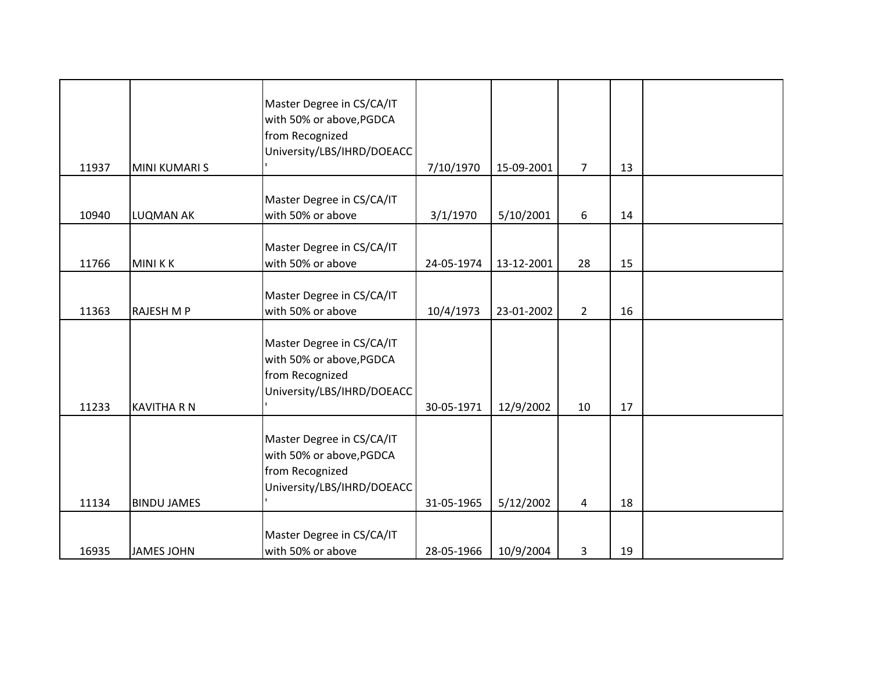| 11937 | <b>MINI KUMARI S</b> | Master Degree in CS/CA/IT<br>with 50% or above, PGDCA<br>from Recognized<br>University/LBS/IHRD/DOEACC | 7/10/1970  | 15-09-2001 | $\overline{7}$ | 13 |  |
|-------|----------------------|--------------------------------------------------------------------------------------------------------|------------|------------|----------------|----|--|
| 10940 | <b>LUQMAN AK</b>     | Master Degree in CS/CA/IT<br>with 50% or above                                                         | 3/1/1970   | 5/10/2001  | 6              | 14 |  |
| 11766 | <b>MINIKK</b>        | Master Degree in CS/CA/IT<br>with 50% or above                                                         | 24-05-1974 | 13-12-2001 | 28             | 15 |  |
| 11363 | <b>RAJESH M P</b>    | Master Degree in CS/CA/IT<br>with 50% or above                                                         | 10/4/1973  | 23-01-2002 | $\overline{2}$ | 16 |  |
| 11233 | <b>KAVITHA R N</b>   | Master Degree in CS/CA/IT<br>with 50% or above, PGDCA<br>from Recognized<br>University/LBS/IHRD/DOEACC | 30-05-1971 | 12/9/2002  | 10             | 17 |  |
| 11134 | <b>BINDU JAMES</b>   | Master Degree in CS/CA/IT<br>with 50% or above, PGDCA<br>from Recognized<br>University/LBS/IHRD/DOEACC | 31-05-1965 | 5/12/2002  | $\overline{4}$ | 18 |  |
| 16935 | <b>JAMES JOHN</b>    | Master Degree in CS/CA/IT<br>with 50% or above                                                         | 28-05-1966 | 10/9/2004  | 3              | 19 |  |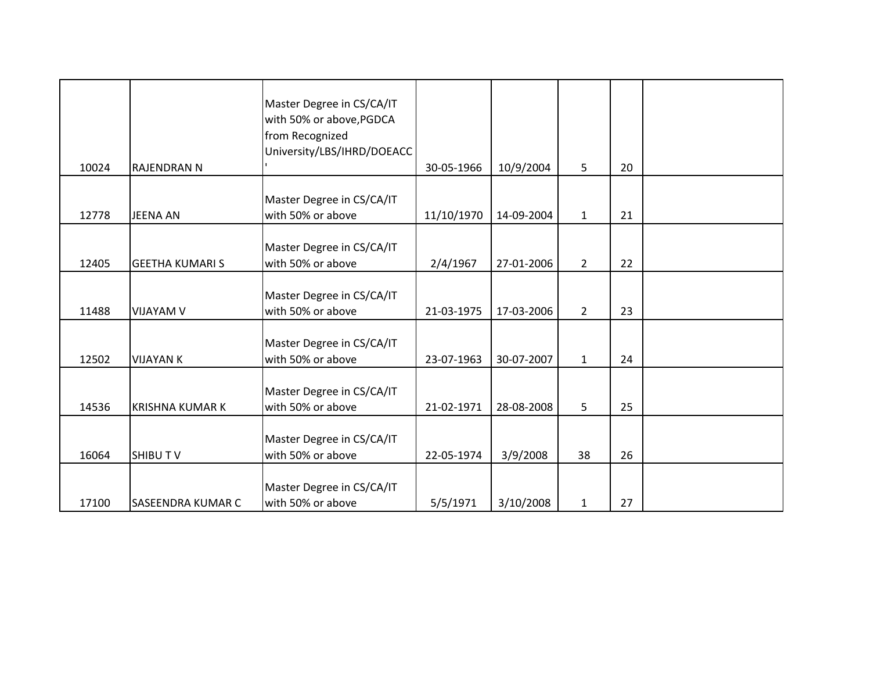|       |                          | Master Degree in CS/CA/IT<br>with 50% or above, PGDCA<br>from Recognized<br>University/LBS/IHRD/DOEACC |            |            |              |    |  |
|-------|--------------------------|--------------------------------------------------------------------------------------------------------|------------|------------|--------------|----|--|
| 10024 | <b>RAJENDRAN N</b>       |                                                                                                        | 30-05-1966 | 10/9/2004  | 5            | 20 |  |
| 12778 | <b>JEENA AN</b>          | Master Degree in CS/CA/IT<br>with 50% or above                                                         | 11/10/1970 | 14-09-2004 | $\mathbf{1}$ | 21 |  |
| 12405 | <b>GEETHA KUMARI S</b>   | Master Degree in CS/CA/IT<br>with 50% or above                                                         | 2/4/1967   | 27-01-2006 | $2^{\circ}$  | 22 |  |
| 11488 | <b>VIJAYAM V</b>         | Master Degree in CS/CA/IT<br>with 50% or above                                                         | 21-03-1975 | 17-03-2006 | $2^{\circ}$  | 23 |  |
| 12502 | <b>VIJAYAN K</b>         | Master Degree in CS/CA/IT<br>with 50% or above                                                         | 23-07-1963 | 30-07-2007 | $\mathbf{1}$ | 24 |  |
| 14536 | <b>KRISHNA KUMAR K</b>   | Master Degree in CS/CA/IT<br>with 50% or above                                                         | 21-02-1971 | 28-08-2008 | 5            | 25 |  |
| 16064 | <b>SHIBUTV</b>           | Master Degree in CS/CA/IT<br>with 50% or above                                                         | 22-05-1974 | 3/9/2008   | 38           | 26 |  |
| 17100 | <b>SASEENDRA KUMAR C</b> | Master Degree in CS/CA/IT<br>with 50% or above                                                         | 5/5/1971   | 3/10/2008  | 1            | 27 |  |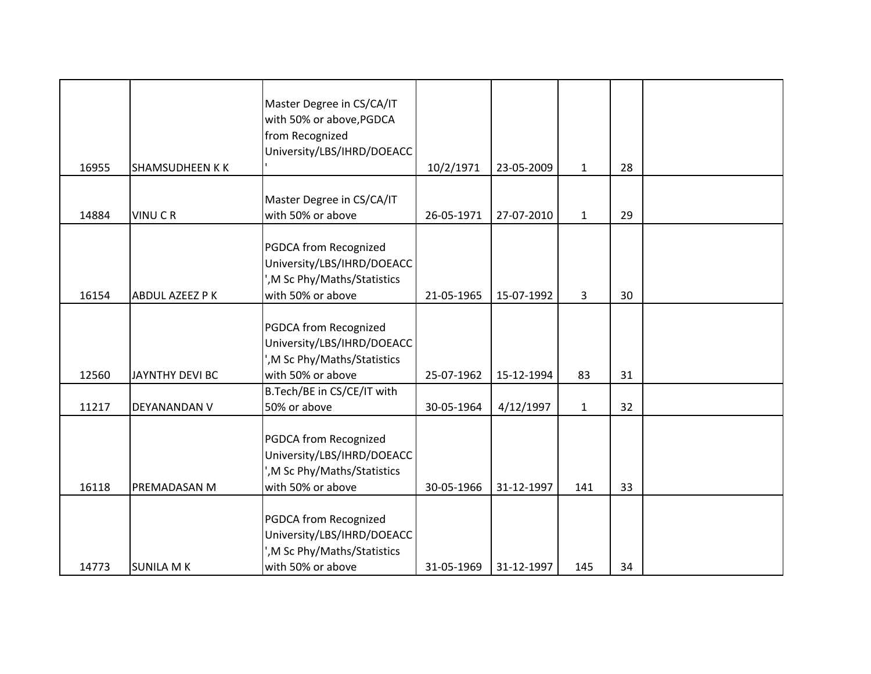| 16955 | <b>SHAMSUDHEEN KK</b>  | Master Degree in CS/CA/IT<br>with 50% or above, PGDCA<br>from Recognized<br>University/LBS/IHRD/DOEACC | 10/2/1971  | 23-05-2009 | $\mathbf{1}$ | 28 |  |
|-------|------------------------|--------------------------------------------------------------------------------------------------------|------------|------------|--------------|----|--|
|       |                        |                                                                                                        |            |            |              |    |  |
| 14884 | <b>VINUCR</b>          | Master Degree in CS/CA/IT<br>with 50% or above                                                         | 26-05-1971 | 27-07-2010 | $\mathbf{1}$ | 29 |  |
|       |                        |                                                                                                        |            |            |              |    |  |
|       |                        | PGDCA from Recognized                                                                                  |            |            |              |    |  |
|       |                        | University/LBS/IHRD/DOEACC<br>', M Sc Phy/Maths/Statistics                                             |            |            |              |    |  |
| 16154 | ABDUL AZEEZ P K        | with 50% or above                                                                                      | 21-05-1965 | 15-07-1992 | 3            | 30 |  |
|       |                        |                                                                                                        |            |            |              |    |  |
|       |                        | PGDCA from Recognized<br>University/LBS/IHRD/DOEACC                                                    |            |            |              |    |  |
|       |                        | ', M Sc Phy/Maths/Statistics                                                                           |            |            |              |    |  |
| 12560 | <b>JAYNTHY DEVI BC</b> | with 50% or above                                                                                      | 25-07-1962 | 15-12-1994 | 83           | 31 |  |
| 11217 | DEYANANDAN V           | B.Tech/BE in CS/CE/IT with<br>50% or above                                                             | 30-05-1964 | 4/12/1997  | $\mathbf{1}$ | 32 |  |
|       |                        |                                                                                                        |            |            |              |    |  |
|       |                        | PGDCA from Recognized<br>University/LBS/IHRD/DOEACC                                                    |            |            |              |    |  |
| 16118 | PREMADASAN M           | ', M Sc Phy/Maths/Statistics<br>with 50% or above                                                      | 30-05-1966 | 31-12-1997 | 141          | 33 |  |
|       |                        |                                                                                                        |            |            |              |    |  |
|       |                        | PGDCA from Recognized                                                                                  |            |            |              |    |  |
|       |                        | University/LBS/IHRD/DOEACC                                                                             |            |            |              |    |  |
| 14773 | <b>SUNILA M K</b>      | ', M Sc Phy/Maths/Statistics<br>with 50% or above                                                      | 31-05-1969 | 31-12-1997 | 145          | 34 |  |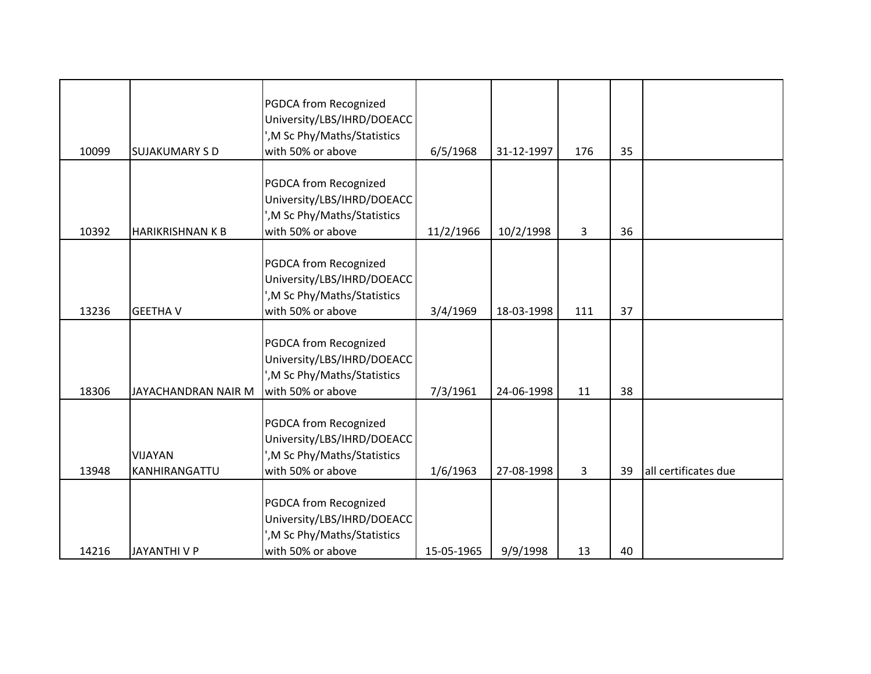| 10099 | <b>SUJAKUMARY S D</b>           | <b>PGDCA from Recognized</b><br>University/LBS/IHRD/DOEACC<br>', M Sc Phy/Maths/Statistics<br>with 50% or above | 6/5/1968   | 31-12-1997 | 176 | 35 |                      |
|-------|---------------------------------|-----------------------------------------------------------------------------------------------------------------|------------|------------|-----|----|----------------------|
|       |                                 | <b>PGDCA from Recognized</b><br>University/LBS/IHRD/DOEACC<br>', M Sc Phy/Maths/Statistics                      |            |            |     |    |                      |
| 10392 | <b>HARIKRISHNAN K B</b>         | with 50% or above<br>PGDCA from Recognized<br>University/LBS/IHRD/DOEACC<br>', M Sc Phy/Maths/Statistics        | 11/2/1966  | 10/2/1998  | 3   | 36 |                      |
| 13236 | <b>GEETHA V</b>                 | with 50% or above                                                                                               | 3/4/1969   | 18-03-1998 | 111 | 37 |                      |
| 18306 | JAYACHANDRAN NAIR M             | PGDCA from Recognized<br>University/LBS/IHRD/DOEACC<br>', M Sc Phy/Maths/Statistics<br>with 50% or above        | 7/3/1961   | 24-06-1998 | 11  | 38 |                      |
| 13948 | <b>VIJAYAN</b><br>KANHIRANGATTU | PGDCA from Recognized<br>University/LBS/IHRD/DOEACC<br>', M Sc Phy/Maths/Statistics<br>with 50% or above        | 1/6/1963   | 27-08-1998 | 3   | 39 | all certificates due |
| 14216 | <b>JAYANTHIVP</b>               | <b>PGDCA from Recognized</b><br>University/LBS/IHRD/DOEACC<br>', M Sc Phy/Maths/Statistics<br>with 50% or above | 15-05-1965 | 9/9/1998   | 13  | 40 |                      |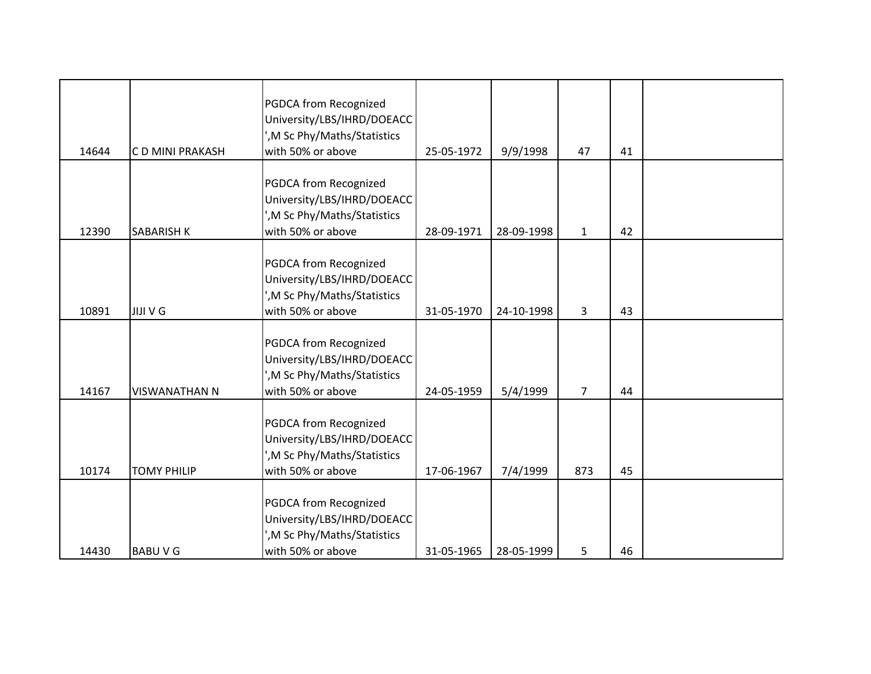| 14644 | C D MINI PRAKASH     | PGDCA from Recognized<br>University/LBS/IHRD/DOEACC<br>', M Sc Phy/Maths/Statistics<br>with 50% or above        | 25-05-1972 | 9/9/1998   | 47             | 41 |  |
|-------|----------------------|-----------------------------------------------------------------------------------------------------------------|------------|------------|----------------|----|--|
| 12390 | <b>SABARISH K</b>    | <b>PGDCA from Recognized</b><br>University/LBS/IHRD/DOEACC<br>', M Sc Phy/Maths/Statistics<br>with 50% or above | 28-09-1971 | 28-09-1998 | $\mathbf{1}$   | 42 |  |
| 10891 | <b>JIJI V G</b>      | PGDCA from Recognized<br>University/LBS/IHRD/DOEACC<br>', M Sc Phy/Maths/Statistics<br>with 50% or above        | 31-05-1970 | 24-10-1998 | 3              | 43 |  |
| 14167 | <b>VISWANATHAN N</b> | <b>PGDCA from Recognized</b><br>University/LBS/IHRD/DOEACC<br>', M Sc Phy/Maths/Statistics<br>with 50% or above | 24-05-1959 | 5/4/1999   | $\overline{7}$ | 44 |  |
| 10174 | <b>TOMY PHILIP</b>   | PGDCA from Recognized<br>University/LBS/IHRD/DOEACC<br>', M Sc Phy/Maths/Statistics<br>with 50% or above        | 17-06-1967 | 7/4/1999   | 873            | 45 |  |
| 14430 | <b>BABUVG</b>        | <b>PGDCA from Recognized</b><br>University/LBS/IHRD/DOEACC<br>', M Sc Phy/Maths/Statistics<br>with 50% or above | 31-05-1965 | 28-05-1999 | 5              | 46 |  |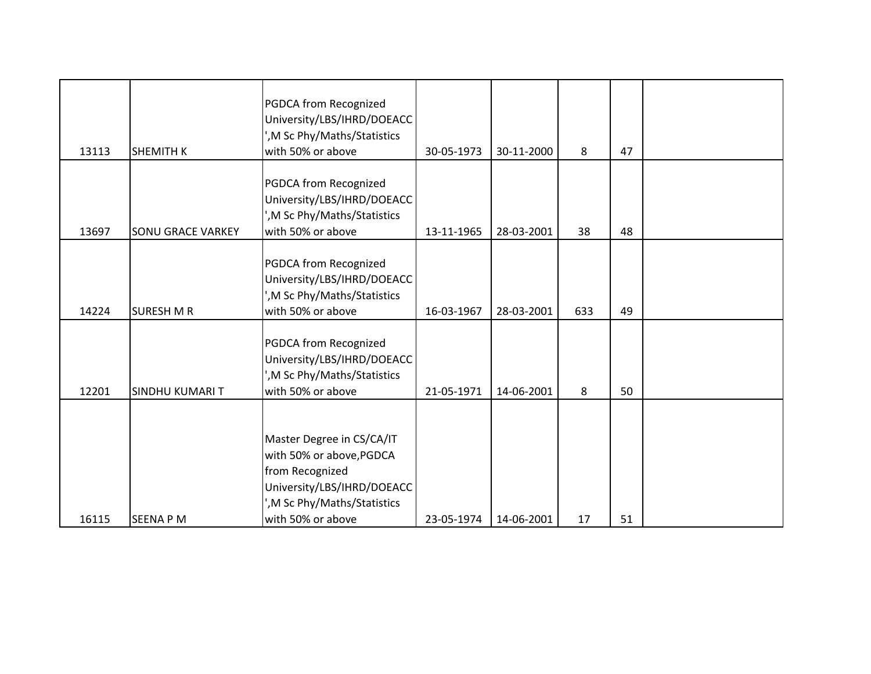|       |                          | <b>PGDCA from Recognized</b><br>University/LBS/IHRD/DOEACC<br>', M Sc Phy/Maths/Statistics                                                                  |            |            |     |    |  |
|-------|--------------------------|-------------------------------------------------------------------------------------------------------------------------------------------------------------|------------|------------|-----|----|--|
| 13113 | <b>SHEMITH K</b>         | with 50% or above                                                                                                                                           | 30-05-1973 | 30-11-2000 | 8   | 47 |  |
| 13697 | <b>SONU GRACE VARKEY</b> | PGDCA from Recognized<br>University/LBS/IHRD/DOEACC<br>', M Sc Phy/Maths/Statistics<br>with 50% or above                                                    | 13-11-1965 | 28-03-2001 | 38  | 48 |  |
| 14224 | <b>SURESH M R</b>        | PGDCA from Recognized<br>University/LBS/IHRD/DOEACC<br>', M Sc Phy/Maths/Statistics<br>with 50% or above                                                    | 16-03-1967 | 28-03-2001 | 633 | 49 |  |
| 12201 | <b>SINDHU KUMARIT</b>    | PGDCA from Recognized<br>University/LBS/IHRD/DOEACC<br>', M Sc Phy/Maths/Statistics<br>with 50% or above                                                    | 21-05-1971 | 14-06-2001 | 8   | 50 |  |
| 16115 | <b>SEENA PM</b>          | Master Degree in CS/CA/IT<br>with 50% or above, PGDCA<br>from Recognized<br>University/LBS/IHRD/DOEACC<br>', M Sc Phy/Maths/Statistics<br>with 50% or above | 23-05-1974 | 14-06-2001 | 17  | 51 |  |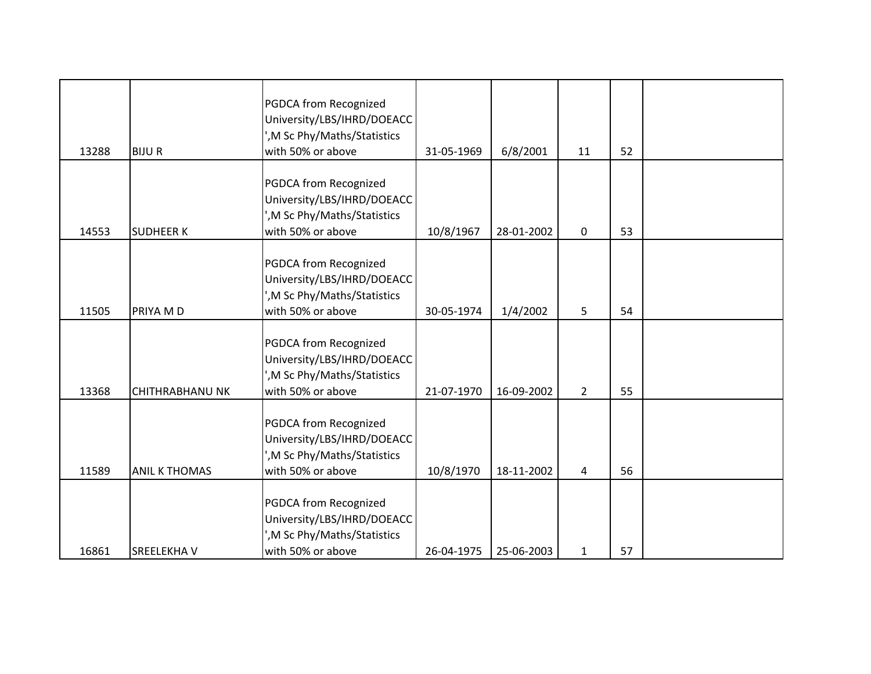| 13288 | <b>BIJUR</b>           | PGDCA from Recognized<br>University/LBS/IHRD/DOEACC<br>', M Sc Phy/Maths/Statistics<br>with 50% or above        | 31-05-1969 | 6/8/2001   | 11             | 52 |  |
|-------|------------------------|-----------------------------------------------------------------------------------------------------------------|------------|------------|----------------|----|--|
| 14553 | <b>SUDHEER K</b>       | <b>PGDCA from Recognized</b><br>University/LBS/IHRD/DOEACC<br>', M Sc Phy/Maths/Statistics<br>with 50% or above | 10/8/1967  | 28-01-2002 | 0              | 53 |  |
| 11505 | PRIYA M D              | PGDCA from Recognized<br>University/LBS/IHRD/DOEACC<br>', M Sc Phy/Maths/Statistics<br>with 50% or above        | 30-05-1974 | 1/4/2002   | 5              | 54 |  |
| 13368 | <b>CHITHRABHANU NK</b> | PGDCA from Recognized<br>University/LBS/IHRD/DOEACC<br>', M Sc Phy/Maths/Statistics<br>with 50% or above        | 21-07-1970 | 16-09-2002 | $\overline{2}$ | 55 |  |
| 11589 | <b>ANIL K THOMAS</b>   | PGDCA from Recognized<br>University/LBS/IHRD/DOEACC<br>', M Sc Phy/Maths/Statistics<br>with 50% or above        | 10/8/1970  | 18-11-2002 | 4              | 56 |  |
| 16861 | <b>SREELEKHAV</b>      | <b>PGDCA from Recognized</b><br>University/LBS/IHRD/DOEACC<br>', M Sc Phy/Maths/Statistics<br>with 50% or above | 26-04-1975 | 25-06-2003 | $\mathbf{1}$   | 57 |  |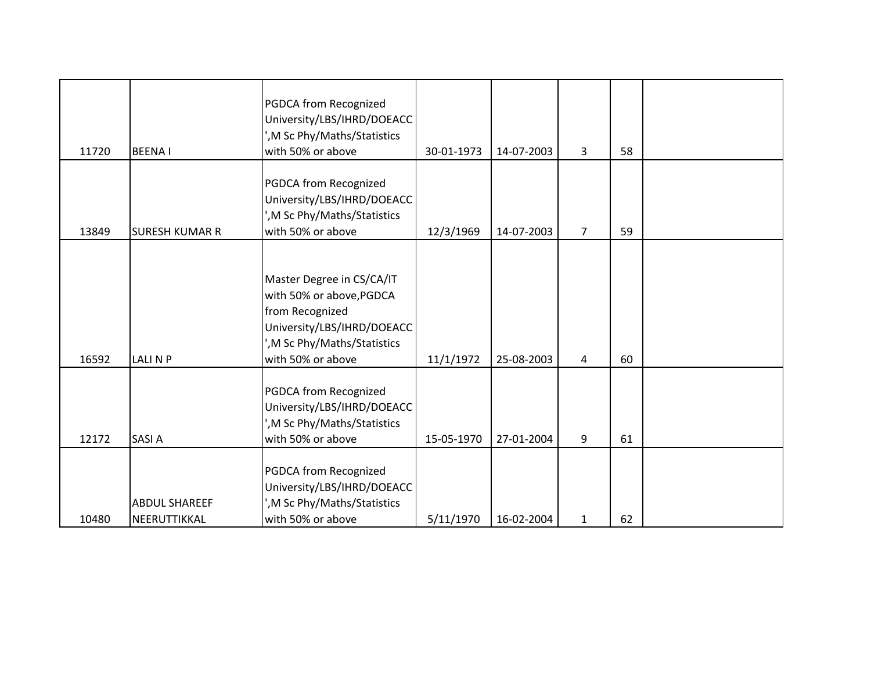| 11720 | <b>BEENAI</b>                        | PGDCA from Recognized<br>University/LBS/IHRD/DOEACC<br>', M Sc Phy/Maths/Statistics<br>with 50% or above                                                    | 30-01-1973 | 14-07-2003 | 3              | 58 |  |
|-------|--------------------------------------|-------------------------------------------------------------------------------------------------------------------------------------------------------------|------------|------------|----------------|----|--|
| 13849 | <b>SURESH KUMAR R</b>                | PGDCA from Recognized<br>University/LBS/IHRD/DOEACC<br>', M Sc Phy/Maths/Statistics<br>with 50% or above                                                    | 12/3/1969  | 14-07-2003 | $\overline{7}$ | 59 |  |
| 16592 | <b>LALINP</b>                        | Master Degree in CS/CA/IT<br>with 50% or above, PGDCA<br>from Recognized<br>University/LBS/IHRD/DOEACC<br>', M Sc Phy/Maths/Statistics<br>with 50% or above | 11/1/1972  | 25-08-2003 | 4              | 60 |  |
| 12172 | <b>SASIA</b>                         | PGDCA from Recognized<br>University/LBS/IHRD/DOEACC<br>', M Sc Phy/Maths/Statistics<br>with 50% or above                                                    | 15-05-1970 | 27-01-2004 | 9              | 61 |  |
| 10480 | <b>ABDUL SHAREEF</b><br>NEERUTTIKKAL | PGDCA from Recognized<br>University/LBS/IHRD/DOEACC<br>', M Sc Phy/Maths/Statistics<br>with 50% or above                                                    | 5/11/1970  | 16-02-2004 | $\mathbf{1}$   | 62 |  |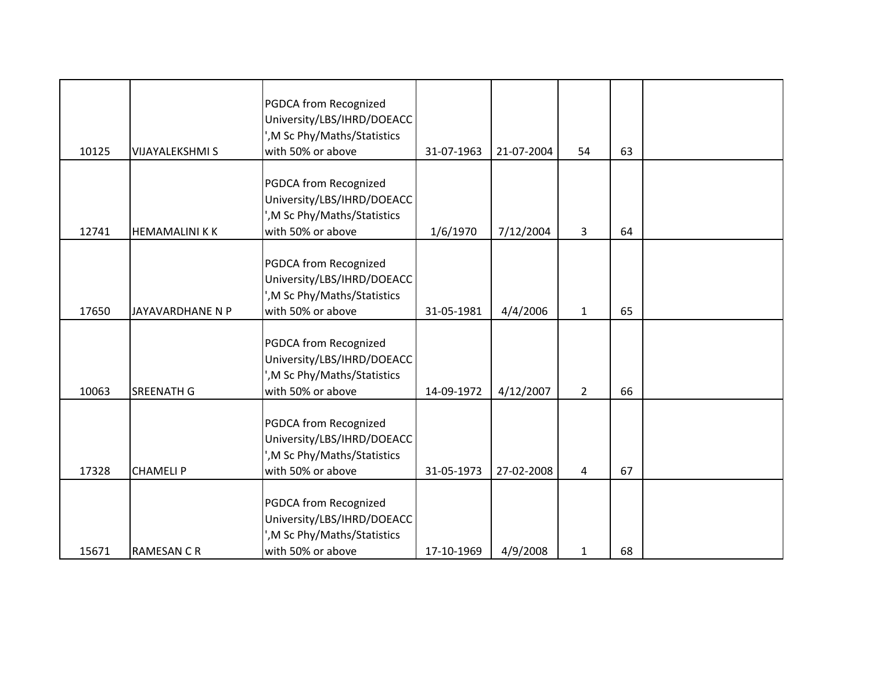| 10125 | <b>VIJAYALEKSHMI S</b> | PGDCA from Recognized<br>University/LBS/IHRD/DOEACC<br>', M Sc Phy/Maths/Statistics<br>with 50% or above        | 31-07-1963 | 21-07-2004 | 54             | 63 |  |
|-------|------------------------|-----------------------------------------------------------------------------------------------------------------|------------|------------|----------------|----|--|
| 12741 | <b>HEMAMALINI KK</b>   | PGDCA from Recognized<br>University/LBS/IHRD/DOEACC<br>', M Sc Phy/Maths/Statistics<br>with 50% or above        | 1/6/1970   | 7/12/2004  | 3              | 64 |  |
| 17650 | JAYAVARDHANE N P       | PGDCA from Recognized<br>University/LBS/IHRD/DOEACC<br>', M Sc Phy/Maths/Statistics<br>with 50% or above        | 31-05-1981 | 4/4/2006   | $\mathbf{1}$   | 65 |  |
| 10063 | <b>SREENATH G</b>      | PGDCA from Recognized<br>University/LBS/IHRD/DOEACC<br>', M Sc Phy/Maths/Statistics<br>with 50% or above        | 14-09-1972 | 4/12/2007  | $\overline{2}$ | 66 |  |
| 17328 | <b>CHAMELIP</b>        | PGDCA from Recognized<br>University/LBS/IHRD/DOEACC<br>', M Sc Phy/Maths/Statistics<br>with 50% or above        | 31-05-1973 | 27-02-2008 | 4              | 67 |  |
| 15671 | <b>RAMESAN C R</b>     | <b>PGDCA from Recognized</b><br>University/LBS/IHRD/DOEACC<br>', M Sc Phy/Maths/Statistics<br>with 50% or above | 17-10-1969 | 4/9/2008   | $\mathbf{1}$   | 68 |  |